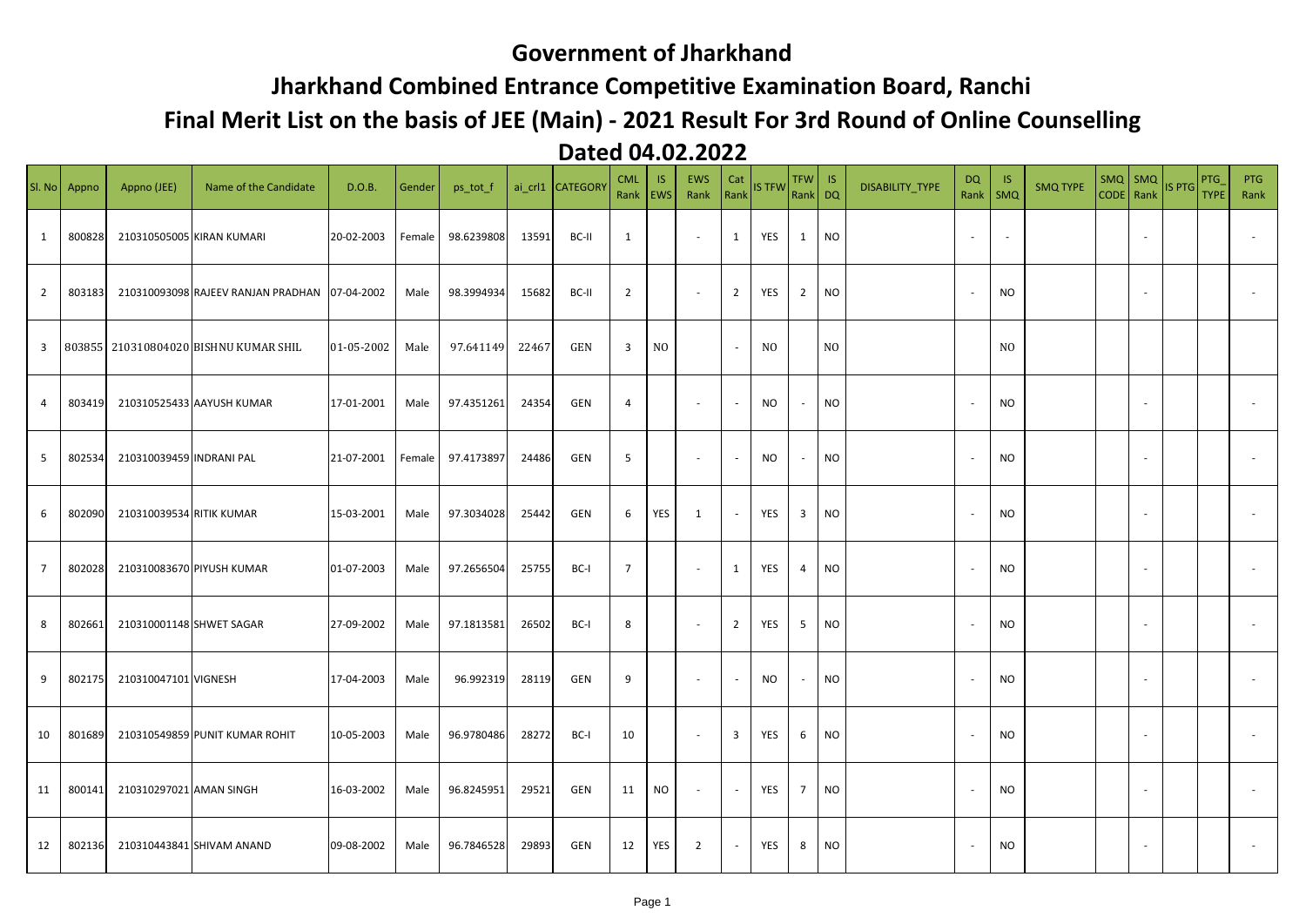## **Government of Jharkhand**

## **Jharkhand Combined Entrance Competitive Examination Board, Ranchi**

## **Final Merit List on the basis of JEE (Main) - 2021 Result For 3rd Round of Online Counselling**

## **Dated 04.02.2022**

|                | Sl. No Appno | Appno (JEE)               | Name of the Candidate                 | D.O.B.     | Gender | ps_tot_f   |       | ai crl1 CATEGORY | <b>CML</b><br>Rank      | IS.<br><b>EWS</b> | <b>EWS</b><br>Rank          | Cat<br>Rank    | <b>IS TFW</b>  | <b>TFW</b><br>Rank DQ | IS        | <b>DISABILITY TYPE</b> | DQ<br>Rank     | -IS<br>SMQ     | <b>SMQ TYPE</b> | CODE Rank | $SMQ$ SMQ | IS PTG TYPE | PTG | <b>PTG</b><br>Rank |
|----------------|--------------|---------------------------|---------------------------------------|------------|--------|------------|-------|------------------|-------------------------|-------------------|-----------------------------|----------------|----------------|-----------------------|-----------|------------------------|----------------|----------------|-----------------|-----------|-----------|-------------|-----|--------------------|
| 1              | 800828       | 210310505005 KIRAN KUMARI |                                       | 20-02-2003 | Female | 98.6239808 | 13591 | BC-II            | 1                       |                   | $\sim$                      | $\mathbf{1}$   | YES            | 1                     | <b>NO</b> |                        | $\sim$         | $\sim$         |                 |           |           |             |     |                    |
| $\overline{2}$ | 803183       |                           | 210310093098 RAJEEV RANJAN PRADHAN    | 07-04-2002 | Male   | 98.3994934 | 15682 | BC-II            | $\overline{2}$          |                   | $\sim$                      | $\overline{2}$ | YES            | $\overline{2}$        | <b>NO</b> |                        | $\sim$         | <b>NO</b>      |                 |           |           |             |     |                    |
| 3              |              |                           | 803855 210310804020 BISHNU KUMAR SHIL | 01-05-2002 | Male   | 97.641149  | 22467 | <b>GEN</b>       | $\overline{\mathbf{3}}$ | N <sub>O</sub>    |                             | $\sim$         | N <sub>0</sub> |                       | NO        |                        |                | N <sub>O</sub> |                 |           |           |             |     |                    |
| 4              | 803419       |                           | 210310525433 AAYUSH KUMAR             | 17-01-2001 | Male   | 97.4351261 | 24354 | <b>GEN</b>       | 4                       |                   | $\sim$                      |                | NO.            | $\sim$                | <b>NO</b> |                        |                | <b>NO</b>      |                 |           |           |             |     |                    |
| 5              | 802534       | 210310039459 INDRANI PAL  |                                       | 21-07-2001 | Female | 97.4173897 | 24486 | GEN              | 5                       |                   | $\sim$                      |                | <b>NO</b>      | $\sim$                | <b>NO</b> |                        | $\overline{a}$ | <b>NO</b>      |                 |           |           |             |     |                    |
| 6              | 802090       | 210310039534 RITIK KUMAR  |                                       | 15-03-2001 | Male   | 97.3034028 | 25442 | GEN              | 6                       | YES               | 1                           | $\sim$         | YES            | $\overline{3}$        | <b>NO</b> |                        |                | <b>NO</b>      |                 |           |           |             |     |                    |
| $\overline{7}$ | 802028       |                           | 210310083670 PIYUSH KUMAR             | 01-07-2003 | Male   | 97.2656504 | 25755 | BC-I             | $\overline{7}$          |                   | $\sim$                      | $\mathbf{1}$   | YES            | 4                     | <b>NO</b> |                        |                | <b>NO</b>      |                 |           |           |             |     |                    |
| 8              | 802661       | 210310001148 SHWET SAGAR  |                                       | 27-09-2002 | Male   | 97.1813581 | 26502 | BC-I             | 8                       |                   | $\sim$                      | $\overline{2}$ | YES            | 5                     | <b>NO</b> |                        |                | <b>NO</b>      |                 |           |           |             |     |                    |
| 9              | 802175       | 210310047101 VIGNESH      |                                       | 17-04-2003 | Male   | 96.992319  | 28119 | <b>GEN</b>       | 9                       |                   | $\sim$                      | $\sim$         | NO.            | $\sim$                | <b>NO</b> |                        |                | <b>NO</b>      |                 |           |           |             |     |                    |
| 10             | 801689       |                           | 210310549859 PUNIT KUMAR ROHIT        | 10-05-2003 | Male   | 96.9780486 | 28272 | BC-I             | 10                      |                   | $\mathcal{L}_{\mathcal{A}}$ | 3              | YES            | 6                     | <b>NO</b> |                        |                | <b>NO</b>      |                 |           |           |             |     |                    |
| 11             | 800141       | 210310297021 AMAN SINGH   |                                       | 16-03-2002 | Male   | 96.8245951 | 29521 | GEN              | 11                      | <b>NO</b>         | $\overline{\phantom{a}}$    |                | YES            | $\overline{7}$        | NO        |                        |                | <b>NO</b>      |                 |           |           |             |     |                    |
| 12             | 802136       |                           | 210310443841 SHIVAM ANAND             | 09-08-2002 | Male   | 96.7846528 | 29893 | <b>GEN</b>       | 12                      | YES               | $\overline{2}$              |                | YES            | 8                     | <b>NO</b> |                        |                | <b>NO</b>      |                 |           |           |             |     |                    |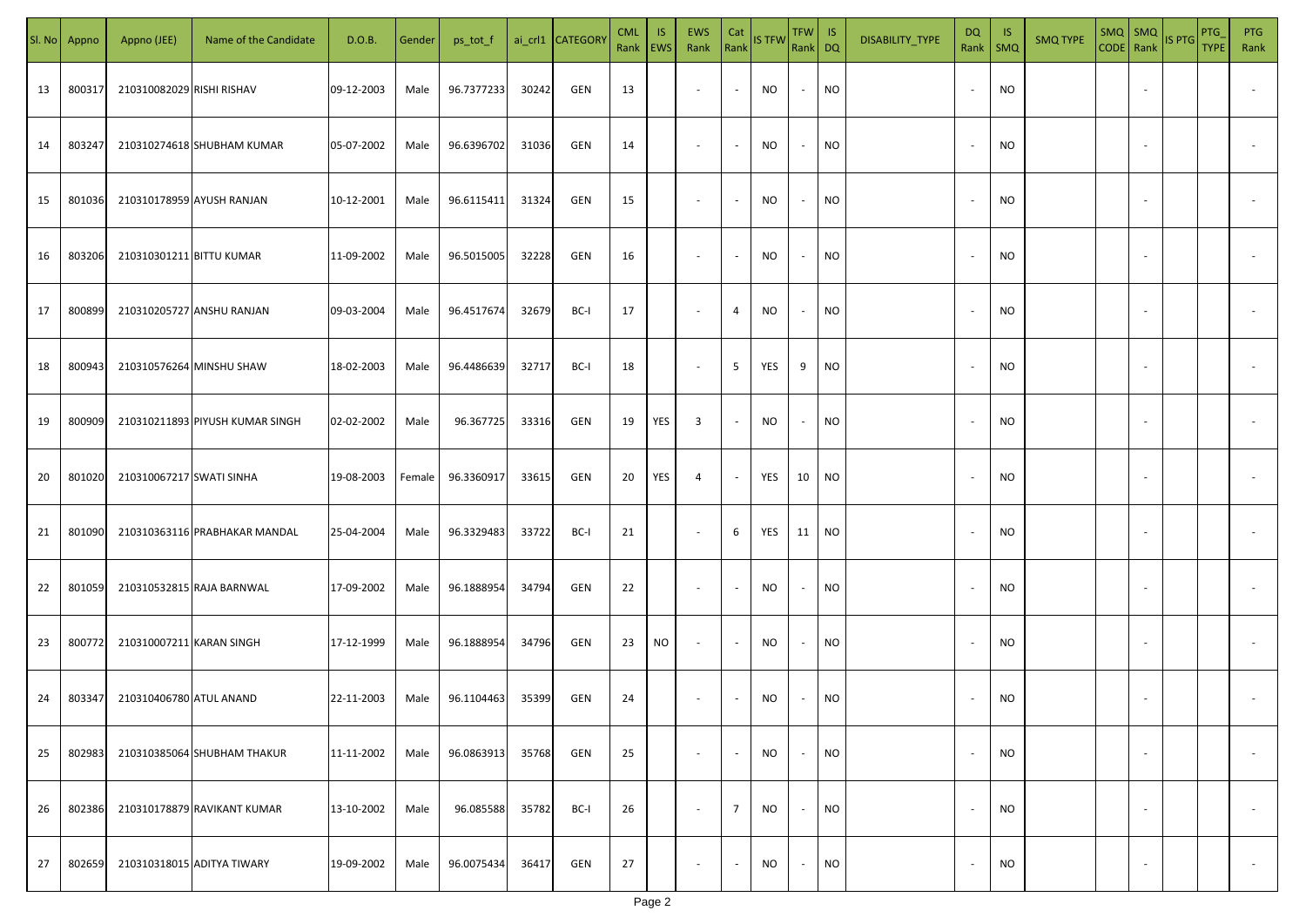| SI. No | Appno  | Appno (JEE)               | Name of the Candidate           | D.O.B.     | Gender | ps_tot_f   |       | ai_crl1 CATEGORY | <b>CML</b><br>Rank   EWS | IS        | EWS<br>Rank              | Cat            | Rank IS TFW | TFW IS<br>Rank DQ |           | DISABILITY_TYPE | DQ<br>Rank               | -IS<br><b>SMQ</b> | <b>SMQ TYPE</b> | $SMQ$ $SMQ$ | CODE Rank IS PTG | PTG<br><b>TYPE</b> | <b>PTG</b><br>Rank       |
|--------|--------|---------------------------|---------------------------------|------------|--------|------------|-------|------------------|--------------------------|-----------|--------------------------|----------------|-------------|-------------------|-----------|-----------------|--------------------------|-------------------|-----------------|-------------|------------------|--------------------|--------------------------|
| 13     | 800317 | 210310082029 RISHI RISHAV |                                 | 09-12-2003 | Male   | 96.7377233 | 30242 | GEN              | 13                       |           | $\sim$                   | $\sim$         | <b>NO</b>   | $\sim$            | <b>NO</b> |                 | $\overline{\phantom{a}}$ | <b>NO</b>         |                 |             |                  |                    |                          |
| 14     | 803247 |                           | 210310274618 SHUBHAM KUMAR      | 05-07-2002 | Male   | 96.6396702 | 31036 | GEN              | 14                       |           | $\sim$                   | $\sim$         | NO          | $\sim$            | <b>NO</b> |                 | $\overline{\phantom{a}}$ | <b>NO</b>         |                 |             |                  |                    |                          |
| 15     | 801036 |                           | 210310178959 AYUSH RANJAN       | 10-12-2001 | Male   | 96.6115411 | 31324 | GEN              | 15                       |           | $\sim$                   | $\sim$         | NO          | $\sim$            | <b>NO</b> |                 | $\sim$                   | <b>NO</b>         |                 |             |                  |                    |                          |
| 16     | 803206 | 210310301211 BITTU KUMAR  |                                 | 11-09-2002 | Male   | 96.5015005 | 32228 | GEN              | 16                       |           | $\overline{\phantom{a}}$ | $\sim$         | NO.         | $\sim$            | <b>NO</b> |                 |                          | <b>NO</b>         |                 |             |                  |                    |                          |
| 17     | 800899 |                           | 210310205727 ANSHU RANJAN       | 09-03-2004 | Male   | 96.4517674 | 32679 | BC-I             | 17                       |           | $\overline{\phantom{a}}$ | 4              | NO          | $\sim$            | <b>NO</b> |                 |                          | <b>NO</b>         |                 |             |                  |                    |                          |
| 18     | 800943 |                           | 210310576264 MINSHU SHAW        | 18-02-2003 | Male   | 96.4486639 | 32717 | BC-I             | 18                       |           | $\sim$                   | 5              | YES         | 9                 | <b>NO</b> |                 |                          | <b>NO</b>         |                 |             |                  |                    |                          |
| 19     | 800909 |                           | 210310211893 PIYUSH KUMAR SINGH | 02-02-2002 | Male   | 96.367725  | 33316 | GEN              | 19                       | YES       | 3                        | $\sim$         | NO          | $\sim$            | NO        |                 |                          | <b>NO</b>         |                 |             |                  |                    |                          |
| 20     | 801020 | 210310067217 SWATI SINHA  |                                 | 19-08-2003 | Female | 96.3360917 | 33615 | GEN              | 20                       | YES       | 4                        | $\sim$         | YES         | 10                | <b>NO</b> |                 |                          | <b>NO</b>         |                 |             |                  |                    |                          |
| 21     | 801090 |                           | 210310363116 PRABHAKAR MANDAL   | 25-04-2004 | Male   | 96.3329483 | 33722 | BC-I             | 21                       |           | $\sim$                   | 6              | YES         | 11                | <b>NO</b> |                 |                          | <b>NO</b>         |                 |             |                  |                    |                          |
| 22     | 801059 |                           | 210310532815 RAJA BARNWAL       | 17-09-2002 | Male   | 96.1888954 | 34794 | GEN              | 22                       |           | $\sim$                   | $\sim$         | <b>NO</b>   | $\sim$            | <b>NO</b> |                 |                          | <b>NO</b>         |                 |             |                  |                    |                          |
| 23     | 800772 | 210310007211 KARAN SINGH  |                                 | 17-12-1999 | Male   | 96.1888954 | 34796 | GEN              | 23                       | <b>NO</b> | $\sim$                   | $\sim$         | NO          | $\sim$            | <b>NO</b> |                 |                          | <b>NO</b>         |                 |             |                  |                    |                          |
| 24     | 803347 | 210310406780 ATUL ANAND   |                                 | 22-11-2003 | Male   | 96.1104463 | 35399 | GEN              | 24                       |           |                          | $\sim$         | NO.         | $\sim$            | <b>NO</b> |                 |                          | <b>NO</b>         |                 |             |                  |                    |                          |
| 25     | 802983 |                           | 210310385064 SHUBHAM THAKUR     | 11-11-2002 | Male   | 96.0863913 | 35768 | GEN              | 25                       |           | $\sim$                   | $\sim$         | NO          | $\sim$            | <b>NO</b> |                 | $\sim$                   | <b>NO</b>         |                 | $\sim$      |                  |                    | $\overline{\phantom{a}}$ |
| 26     | 802386 |                           | 210310178879 RAVIKANT KUMAR     | 13-10-2002 | Male   | 96.085588  | 35782 | BC-I             | 26                       |           | $\sim$                   | $\overline{7}$ | NO          | $\sim$            | <b>NO</b> |                 | $\overline{\phantom{a}}$ | <b>NO</b>         |                 | $\sim$      |                  |                    | $\overline{\phantom{a}}$ |
| 27     | 802659 |                           | 210310318015 ADITYA TIWARY      | 19-09-2002 | Male   | 96.0075434 | 36417 | GEN              | 27                       |           | $\overline{\phantom{a}}$ | $\sim$         | NO          | $\sim$            | <b>NO</b> |                 |                          | <b>NO</b>         |                 |             |                  |                    | $\overline{\phantom{a}}$ |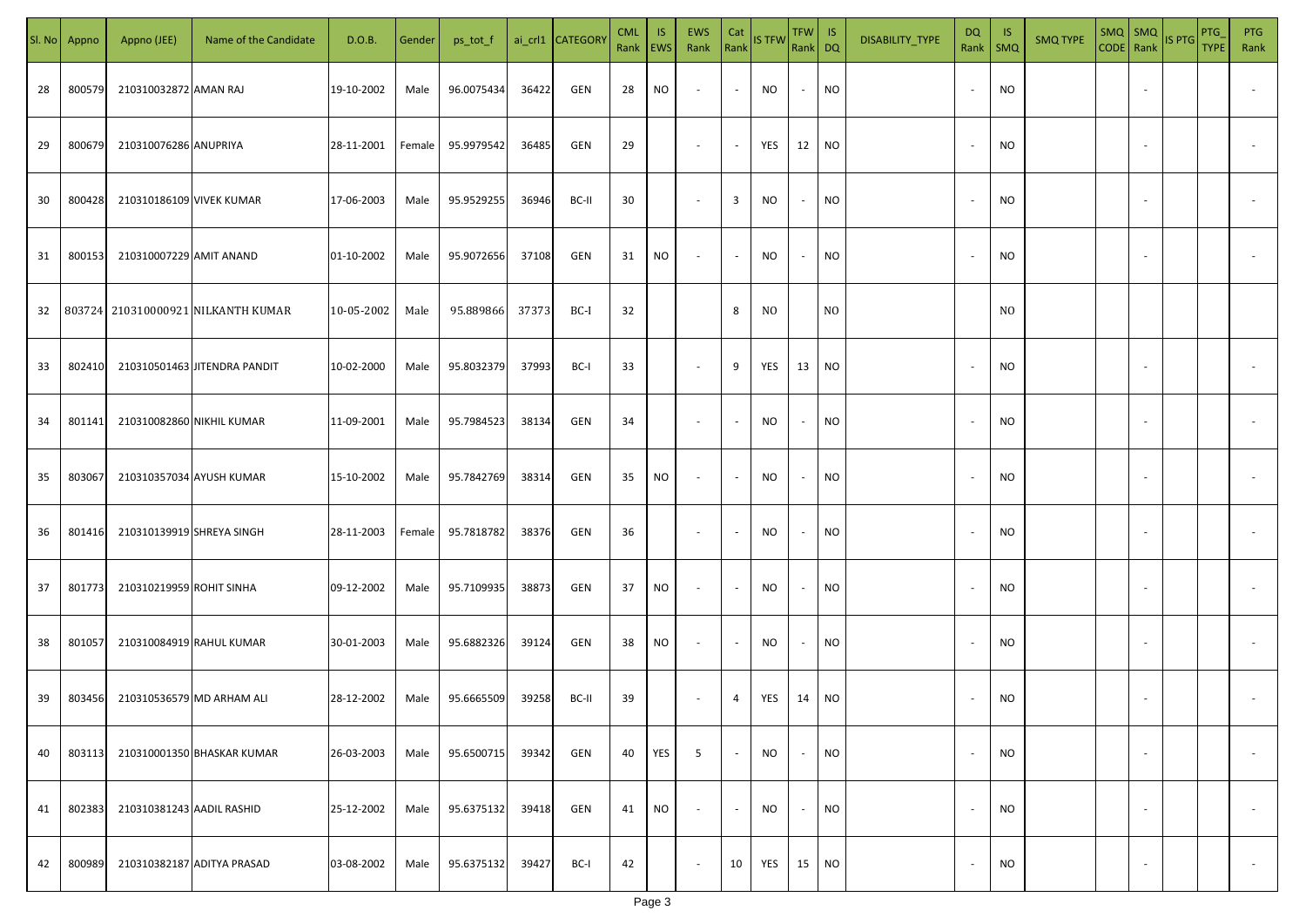| SI. No | Appno  | Appno (JEE)               | Name of the Candidate        | D.O.B.     | Gender | ps_tot_f   |       | ai_crl1 CATEGOR\ | <b>CML</b><br>Rank | IS.<br><b>EWS</b> | EWS<br>Rank              | Cat                      | Rank IS TFW    | $TFW$ IS<br>Rank DQ |                 | DISABILITY_TYPE | <b>DQ</b><br>Rank        | -IS<br>$\mathsf{SMQ}$ | <b>SMQ TYPE</b> | SMQ   SMQ                | CODE Rank IS PTG | PTG<br><b>TYPE</b> | <b>PTG</b><br>Rank       |
|--------|--------|---------------------------|------------------------------|------------|--------|------------|-------|------------------|--------------------|-------------------|--------------------------|--------------------------|----------------|---------------------|-----------------|-----------------|--------------------------|-----------------------|-----------------|--------------------------|------------------|--------------------|--------------------------|
| 28     | 800579 | 210310032872 AMAN RAJ     |                              | 19-10-2002 | Male   | 96.0075434 | 36422 | GEN              | 28                 | NO                | $\sim$                   | $\sim$                   | NO             | $\sim$              | <b>NO</b>       |                 | $\overline{\phantom{a}}$ | <b>NO</b>             |                 |                          |                  |                    |                          |
| 29     | 800679 | 210310076286 ANUPRIYA     |                              | 28-11-2001 | Female | 95.9979542 | 36485 | GEN              | 29                 |                   | $\overline{\phantom{a}}$ | $\sim$                   | YES            | 12                  | <b>NO</b>       |                 | $\overline{\phantom{a}}$ | <b>NO</b>             |                 |                          |                  |                    |                          |
| 30     | 800428 | 210310186109 VIVEK KUMAR  |                              | 17-06-2003 | Male   | 95.9529255 | 36946 | BC-II            | 30                 |                   | $\sim$                   | $\overline{3}$           | <b>NO</b>      | $\sim$              | <b>NO</b>       |                 | $\sim$                   | NO                    |                 |                          |                  |                    |                          |
| 31     | 800153 | 210310007229 AMIT ANAND   |                              | 01-10-2002 | Male   | 95.9072656 | 37108 | GEN              | 31                 | NO                | $\sim$                   | $\blacksquare$           | NO             | $\sim$              | <b>NO</b>       |                 |                          | NO                    |                 |                          |                  |                    |                          |
| 32     | 803724 |                           | 210310000921 NILKANTH KUMAR  | 10-05-2002 | Male   | 95.889866  | 37373 | BC-I             | 32                 |                   |                          | 8                        | N <sub>O</sub> |                     | N <sub>O</sub>  |                 |                          | N <sub>O</sub>        |                 |                          |                  |                    |                          |
| 33     | 802410 |                           | 210310501463 JITENDRA PANDIT | 10-02-2000 | Male   | 95.8032379 | 37993 | BC-I             | 33                 |                   | $\sim$                   | 9                        | YES            | 13                  | NO <sub>1</sub> |                 |                          | <b>NO</b>             |                 |                          |                  |                    |                          |
| 34     | 801141 | 210310082860 NIKHIL KUMAR |                              | 11-09-2001 | Male   | 95.7984523 | 38134 | GEN              | 34                 |                   | $\sim$                   | $\overline{\phantom{a}}$ | <b>NO</b>      | $\sim$              | <b>NO</b>       |                 |                          | <b>NO</b>             |                 |                          |                  |                    |                          |
| 35     | 803067 | 210310357034 AYUSH KUMAR  |                              | 15-10-2002 | Male   | 95.7842769 | 38314 | GEN              | 35                 | NO                | $\sim$                   | $\sim$                   | NO             | $\sim$              | <b>NO</b>       |                 |                          | <b>NO</b>             |                 |                          |                  |                    |                          |
| 36     | 801416 | 210310139919 SHREYA SINGH |                              | 28-11-2003 | Female | 95.7818782 | 38376 | GEN              | 36                 |                   | $\sim$                   | $\overline{\phantom{a}}$ | NO             | $\sim$              | <b>NO</b>       |                 |                          | <b>NO</b>             |                 |                          |                  |                    |                          |
| 37     | 801773 | 210310219959 ROHIT SINHA  |                              | 09-12-2002 | Male   | 95.7109935 | 38873 | GEN              | 37                 | <b>NO</b>         | $\sim$                   | $\sim$                   | NO.            | $\sim$              | <b>NO</b>       |                 |                          | <b>NO</b>             |                 |                          |                  |                    |                          |
| 38     | 801057 | 210310084919 RAHUL KUMAR  |                              | 30-01-2003 | Male   | 95.6882326 | 39124 | GEN              | 38                 | <b>NO</b>         | $\sim$                   | $\sim$                   | <b>NO</b>      | $\sim$              | <b>NO</b>       |                 |                          | <b>NO</b>             |                 |                          |                  |                    |                          |
| 39     | 803456 | 210310536579 MD ARHAM ALI |                              | 28-12-2002 | Male   | 95.6665509 | 39258 | BC-II            | 39                 |                   | $\sim$                   | $\overline{4}$           | YES            | 14                  | NO <sub>1</sub> |                 |                          | NO                    |                 |                          |                  |                    |                          |
| 40     | 803113 |                           | 210310001350 BHASKAR KUMAR   | 26-03-2003 | Male   | 95.6500715 | 39342 | GEN              | 40                 | YES               | 5                        | $\sim$                   | <b>NO</b>      | $\sim$              | <b>NO</b>       |                 |                          | <b>NO</b>             |                 | $\sim$                   |                  |                    | $\overline{\phantom{a}}$ |
| 41     | 802383 | 210310381243 AADIL RASHID |                              | 25-12-2002 | Male   | 95.6375132 | 39418 | GEN              | 41                 | <b>NO</b>         | $\overline{\phantom{a}}$ | $\sim$                   | NO.            | $\sim$              | <b>NO</b>       |                 | $\overline{\phantom{a}}$ | <b>NO</b>             |                 | $\sim$                   |                  |                    | $\overline{\phantom{a}}$ |
| 42     | 800989 |                           | 210310382187 ADITYA PRASAD   | 03-08-2002 | Male   | 95.6375132 | 39427 | BC-I             | 42                 |                   | $\overline{\phantom{a}}$ | 10                       | YES            | 15 NO               |                 |                 |                          | <b>NO</b>             |                 | $\overline{\phantom{a}}$ |                  |                    | $\overline{\phantom{a}}$ |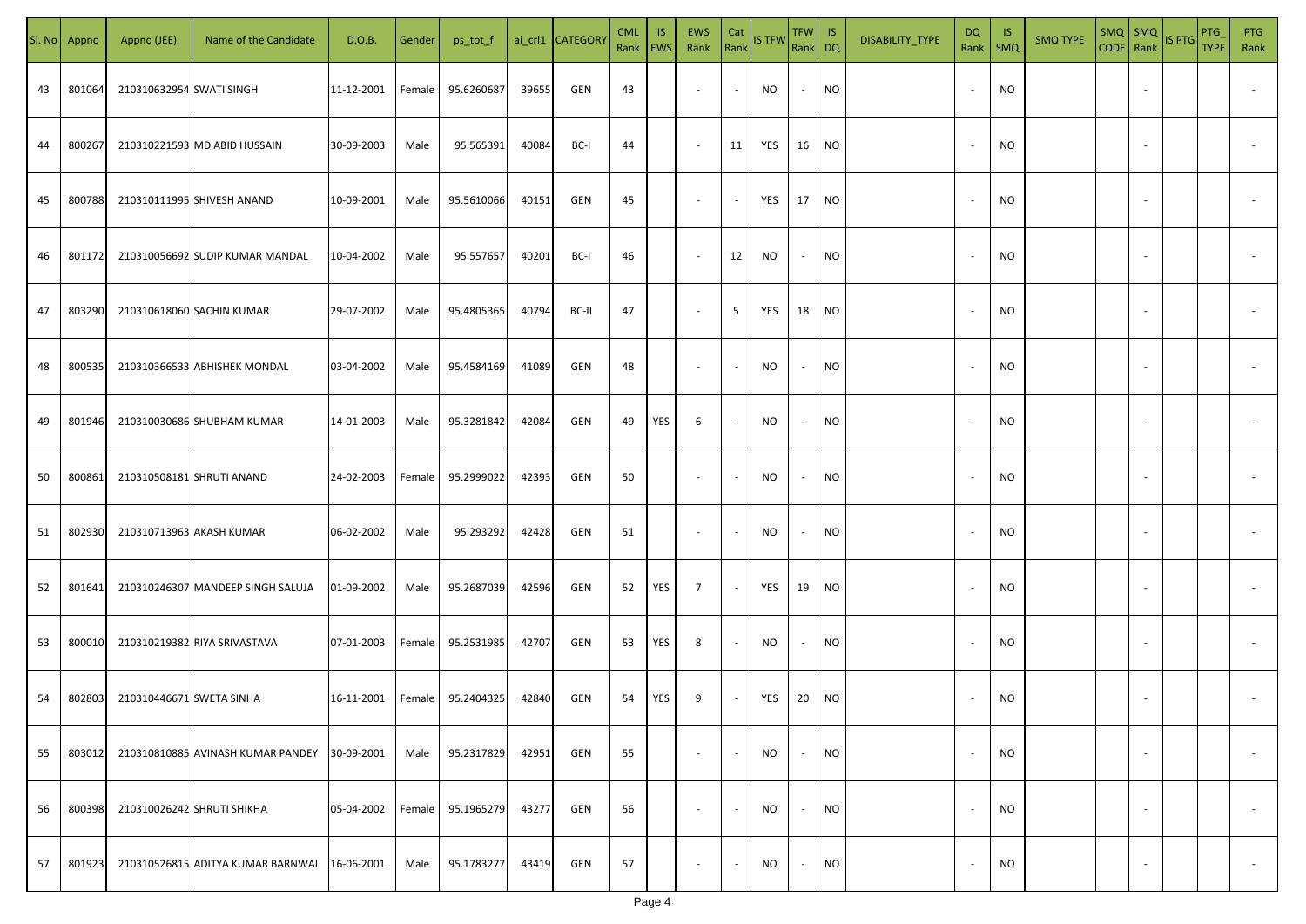| SI. No | Appno  | Appno (JEE)              | Name of the Candidate             | D.O.B.     | Gender | ps_tot_f   |       | ai_crl1 CATEGOR\ | <b>CML</b><br>Rank EWS | IS. | <b>EWS</b><br>Rank       | Cat<br>Rank              | <b>IS TFW</b> | TFW IS<br>Rank DQ |                             | DISABILITY_TYPE | <b>DQ</b>                | - IS<br>Rank   SMQ | <b>SMQ TYPE</b> |                          | $\left \frac{\text{SMQ}}{\text{CODE}}\right \frac{\text{SMQ}}{\text{Rank}}\left \frac{\text{IS PTG}}{\text{B}}\right $ | <b>PTG</b><br><b>TYPE</b> | <b>PTG</b><br>Rank       |
|--------|--------|--------------------------|-----------------------------------|------------|--------|------------|-------|------------------|------------------------|-----|--------------------------|--------------------------|---------------|-------------------|-----------------------------|-----------------|--------------------------|--------------------|-----------------|--------------------------|------------------------------------------------------------------------------------------------------------------------|---------------------------|--------------------------|
| 43     | 801064 | 210310632954 SWATI SINGH |                                   | 11-12-2001 | Female | 95.6260687 | 39655 | GEN              | 43                     |     | $\sim$                   | $\sim$                   | NO            | $\sim$            | <b>NO</b>                   |                 |                          | <b>NO</b>          |                 |                          |                                                                                                                        |                           |                          |
| 44     | 800267 |                          | 210310221593 MD ABID HUSSAIN      | 30-09-2003 | Male   | 95.565391  | 40084 | BC-I             | 44                     |     | $\sim$                   | 11                       | YES           | 16                | NO <sub>1</sub>             |                 | $\overline{\phantom{a}}$ | <b>NO</b>          |                 |                          |                                                                                                                        |                           |                          |
| 45     | 800788 |                          | 210310111995 SHIVESH ANAND        | 10-09-2001 | Male   | 95.5610066 | 40151 | GEN              | 45                     |     | $\overline{\phantom{a}}$ | $\sim$                   | YES           | 17                | $\overline{\phantom{a}}$ NO |                 |                          | <b>NO</b>          |                 |                          |                                                                                                                        |                           |                          |
| 46     | 801172 |                          | 210310056692 SUDIP KUMAR MANDAL   | 10-04-2002 | Male   | 95.557657  | 40201 | BC-I             | 46                     |     | $\sim$                   | 12                       | <b>NO</b>     | $\sim$            | NO <sub>1</sub>             |                 |                          | <b>NO</b>          |                 |                          |                                                                                                                        |                           |                          |
| 47     | 803290 |                          | 210310618060 SACHIN KUMAR         | 29-07-2002 | Male   | 95.4805365 | 40794 | BC-II            | 47                     |     | $\sim$                   | 5 <sup>5</sup>           | YES           | 18                | NO                          |                 |                          | NO                 |                 |                          |                                                                                                                        |                           |                          |
| 48     | 800535 |                          | 210310366533 ABHISHEK MONDAL      | 03-04-2002 | Male   | 95.4584169 | 41089 | GEN              | 48                     |     | $\overline{\phantom{a}}$ | $\sim$                   | <b>NO</b>     | $\sim$            | <b>NO</b>                   |                 |                          | <b>NO</b>          |                 |                          |                                                                                                                        |                           |                          |
| 49     | 801946 |                          | 210310030686 SHUBHAM KUMAR        | 14-01-2003 | Male   | 95.3281842 | 42084 | GEN              | 49                     | YES | 6                        | $\sim$                   | NO            | $\sim$            | <b>NO</b>                   |                 |                          | <b>NO</b>          |                 |                          |                                                                                                                        |                           |                          |
| 50     | 800861 |                          | 210310508181 SHRUTI ANAND         | 24-02-2003 | Female | 95.2999022 | 42393 | GEN              | 50                     |     | $\sim$                   | $\sim$                   | <b>NO</b>     | $\sim$            | <b>NO</b>                   |                 |                          | <b>NO</b>          |                 |                          |                                                                                                                        |                           |                          |
| 51     | 802930 |                          | 210310713963 AKASH KUMAR          | 06-02-2002 | Male   | 95.293292  | 42428 | GEN              | 51                     |     | $\sim$                   | $\sim$                   | NO            | $\sim$            | <b>NO</b>                   |                 |                          | <b>NO</b>          |                 |                          |                                                                                                                        |                           |                          |
| 52     | 801641 |                          | 210310246307 MANDEEP SINGH SALUJA | 01-09-2002 | Male   | 95.2687039 | 42596 | GEN              | 52                     | YES | $\overline{7}$           | $\sim$                   | YES           | 19                | <b>NO</b>                   |                 |                          | <b>NO</b>          |                 |                          |                                                                                                                        |                           |                          |
| 53     | 800010 |                          | 210310219382 RIYA SRIVASTAVA      | 07-01-2003 | Female | 95.2531985 | 42707 | GEN              | 53                     | YES | 8                        | $\overline{\phantom{a}}$ | NO.           | $\sim$            | <b>NO</b>                   |                 |                          | <b>NO</b>          |                 |                          |                                                                                                                        |                           |                          |
| 54     | 802803 | 210310446671 SWETA SINHA |                                   | 16-11-2001 | Female | 95.2404325 | 42840 | GEN              | 54                     | YES | 9                        | $\sim$                   | YES           | 20                | NO <sub>1</sub>             |                 |                          | <b>NO</b>          |                 |                          |                                                                                                                        |                           |                          |
| 55     | 803012 |                          | 210310810885 AVINASH KUMAR PANDEY | 30-09-2001 | Male   | 95.2317829 | 42951 | GEN              | 55                     |     | $\sim$                   | $\sim$                   | <b>NO</b>     | $\sim$            | <b>NO</b>                   |                 | $\overline{\phantom{a}}$ | <b>NO</b>          |                 | $\overline{\phantom{a}}$ |                                                                                                                        |                           | $\overline{\phantom{a}}$ |
| 56     | 800398 |                          | 210310026242 SHRUTI SHIKHA        | 05-04-2002 | Female | 95.1965279 | 43277 | GEN              | 56                     |     | $\sim$                   | $\sim$                   | <b>NO</b>     | $\sim$            | <b>NO</b>                   |                 | $\overline{\phantom{a}}$ | <b>NO</b>          |                 | $\overline{\phantom{a}}$ |                                                                                                                        |                           | $\overline{\phantom{a}}$ |
| 57     | 801923 |                          | 210310526815 ADITYA KUMAR BARNWAL | 16-06-2001 | Male   | 95.1783277 | 43419 | GEN              | 57                     |     | $\overline{\phantom{a}}$ | $\sim$                   | NO.           | $\sim$            | <b>NO</b>                   |                 |                          | <b>NO</b>          |                 | $\overline{\phantom{a}}$ |                                                                                                                        |                           | $\sim$                   |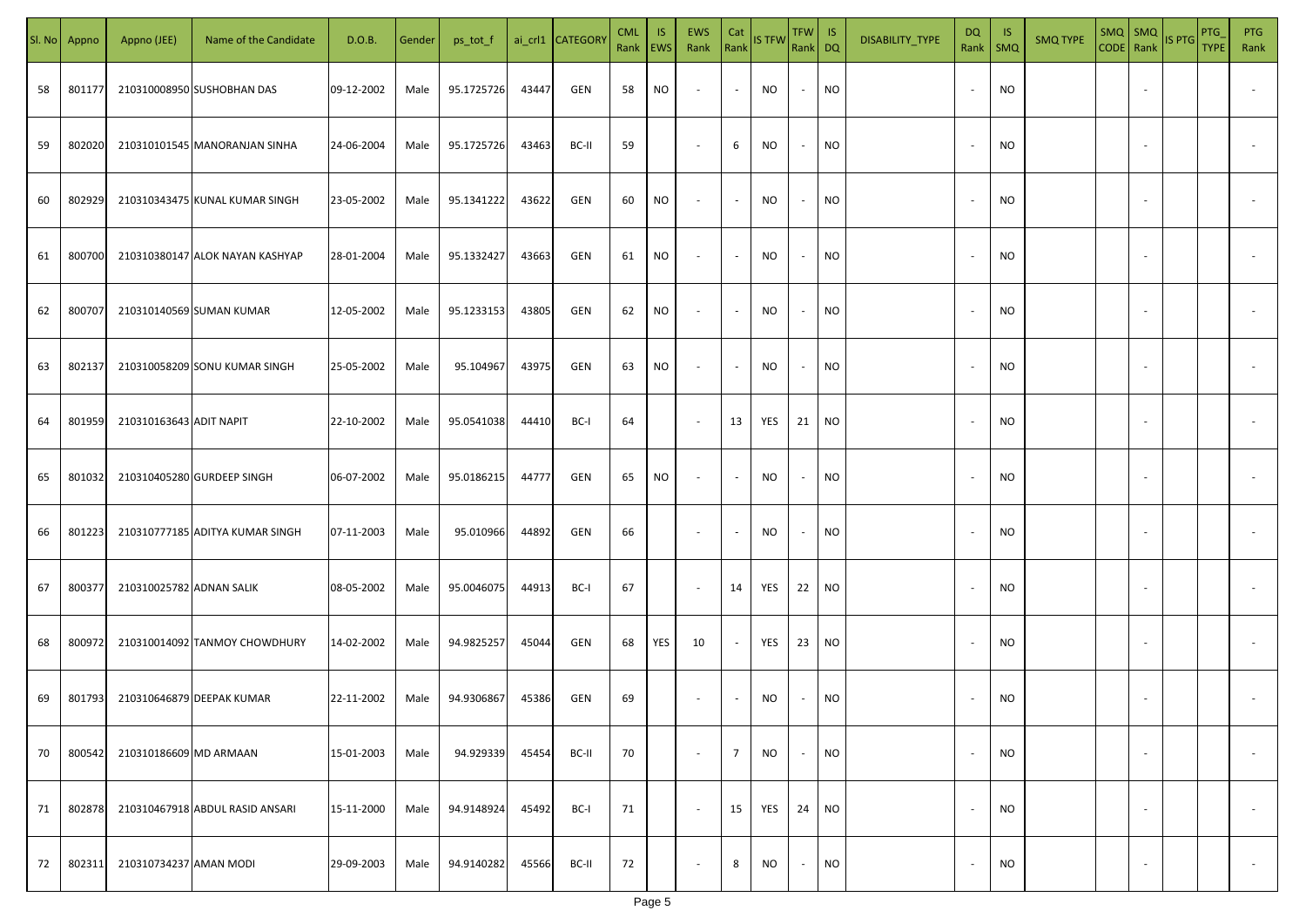| SI. No | Appno  | Appno (JEE)              | Name of the Candidate           | D.O.B.     | Gender | ps_tot_f   |       | ai_crl1 CATEGOR\ | <b>CML</b><br>Rank   EWS | IS. | EWS<br>Rank              | Cat<br>Rank              | <b>IS TFW</b> | TFW IS<br>Rank DQ |                 | DISABILITY_TYPE | DQ<br>Rank               | IS.<br>$\mathsf{SMQ}$ | <b>SMQ TYPE</b> | $SMQ$ $SMQ$              | CODE Rank IS PTG | PTG<br><b>TYPE</b> | <b>PTG</b><br>Rank       |
|--------|--------|--------------------------|---------------------------------|------------|--------|------------|-------|------------------|--------------------------|-----|--------------------------|--------------------------|---------------|-------------------|-----------------|-----------------|--------------------------|-----------------------|-----------------|--------------------------|------------------|--------------------|--------------------------|
| 58     | 801177 |                          | 210310008950 SUSHOBHAN DAS      | 09-12-2002 | Male   | 95.1725726 | 43447 | GEN              | 58                       | NO  | $\sim$                   | $\sim$                   | NO            | $\sim$            | <b>NO</b>       |                 | $\overline{\phantom{a}}$ | <b>NO</b>             |                 |                          |                  |                    |                          |
| 59     | 802020 |                          | 210310101545 MANORANJAN SINHA   | 24-06-2004 | Male   | 95.1725726 | 43463 | BC-II            | 59                       |     | $\overline{\phantom{a}}$ | 6                        | <b>NO</b>     | $\sim$            | <b>NO</b>       |                 | $\sim$                   | <b>NO</b>             |                 |                          |                  |                    |                          |
| 60     | 802929 |                          | 210310343475 KUNAL KUMAR SINGH  | 23-05-2002 | Male   | 95.1341222 | 43622 | GEN              | 60                       | NO  | $\sim$                   | $\sim$                   | <b>NO</b>     | $\sim$            | <b>NO</b>       |                 | $\sim$                   | <b>NO</b>             |                 |                          |                  |                    |                          |
| 61     | 800700 |                          | 210310380147 ALOK NAYAN KASHYAP | 28-01-2004 | Male   | 95.1332427 | 43663 | GEN              | 61                       | NO  | $\sim$                   | $\blacksquare$           | NO            | $\sim$            | <b>NO</b>       |                 |                          | <b>NO</b>             |                 |                          |                  |                    |                          |
| 62     | 800707 |                          | 210310140569 SUMAN KUMAR        | 12-05-2002 | Male   | 95.1233153 | 43805 | GEN              | 62                       | NO  | $\overline{\phantom{a}}$ | $\sim$                   | <b>NO</b>     | $\sim$            | <b>NO</b>       |                 |                          | <b>NO</b>             |                 |                          |                  |                    |                          |
| 63     | 802137 |                          | 210310058209 SONU KUMAR SINGH   | 25-05-2002 | Male   | 95.104967  | 43975 | GEN              | 63                       | NO  | $\overline{\phantom{a}}$ | $\blacksquare$           | <b>NO</b>     | $\sim$            | <b>NO</b>       |                 |                          | <b>NO</b>             |                 |                          |                  |                    |                          |
| 64     | 801959 | 210310163643 ADIT NAPIT  |                                 | 22-10-2002 | Male   | 95.0541038 | 44410 | BC-I             | 64                       |     | $\sim$                   | 13                       | YES           | 21                | NO <sub>1</sub> |                 |                          | <b>NO</b>             |                 |                          |                  |                    |                          |
| 65     | 801032 |                          | 210310405280 GURDEEP SINGH      | 06-07-2002 | Male   | 95.0186215 | 44777 | GEN              | 65                       | NO  | $\sim$                   | $\sim$                   | NO            | $\sim$            | <b>NO</b>       |                 |                          | <b>NO</b>             |                 |                          |                  |                    |                          |
| 66     | 801223 |                          | 210310777185 ADITYA KUMAR SINGH | 07-11-2003 | Male   | 95.010966  | 44892 | GEN              | 66                       |     | $\sim$                   | $\overline{\phantom{a}}$ | NO            | $\sim$            | <b>NO</b>       |                 |                          | <b>NO</b>             |                 |                          |                  |                    |                          |
| 67     | 800377 | 210310025782 ADNAN SALIK |                                 | 08-05-2002 | Male   | 95.0046075 | 44913 | BC-I             | 67                       |     | $\sim$                   | 14                       | YES           | 22                | <b>NO</b>       |                 |                          | <b>NO</b>             |                 |                          |                  |                    |                          |
| 68     | 800972 |                          | 210310014092 TANMOY CHOWDHURY   | 14-02-2002 | Male   | 94.9825257 | 45044 | GEN              | 68                       | YES | 10                       | $\sim$                   | YES           | 23                | <b>NO</b>       |                 |                          | <b>NO</b>             |                 |                          |                  |                    |                          |
| 69     | 801793 |                          | 210310646879 DEEPAK KUMAR       | 22-11-2002 | Male   | 94.9306867 | 45386 | GEN              | 69                       |     | $\overline{\phantom{a}}$ | $\overline{\phantom{a}}$ | NO.           | $\sim$            | <b>NO</b>       |                 |                          | NO                    |                 |                          |                  |                    |                          |
| 70     | 800542 | 210310186609 MD ARMAAN   |                                 | 15-01-2003 | Male   | 94.929339  | 45454 | BC-II            | 70                       |     | $\sim$                   | $\overline{7}$           | <b>NO</b>     | $\sim$            | <b>NO</b>       |                 | ٠.                       | <b>NO</b>             |                 | $\sim$                   |                  |                    | $\overline{\phantom{a}}$ |
| 71     | 802878 |                          | 210310467918 ABDUL RASID ANSARI | 15-11-2000 | Male   | 94.9148924 | 45492 | BC-I             | 71                       |     | $\overline{\phantom{a}}$ | 15                       | YES           | 24                | <b>NO</b>       |                 | $\overline{\phantom{a}}$ | <b>NO</b>             |                 | $\sim$                   |                  |                    | $\overline{\phantom{a}}$ |
| 72     | 802311 | 210310734237 AMAN MODI   |                                 | 29-09-2003 | Male   | 94.9140282 | 45566 | BC-II            | 72                       |     | $\overline{\phantom{a}}$ | 8                        | NO            | $\sim$            | <b>NO</b>       |                 |                          | <b>NO</b>             |                 | $\overline{\phantom{a}}$ |                  |                    | $\overline{\phantom{a}}$ |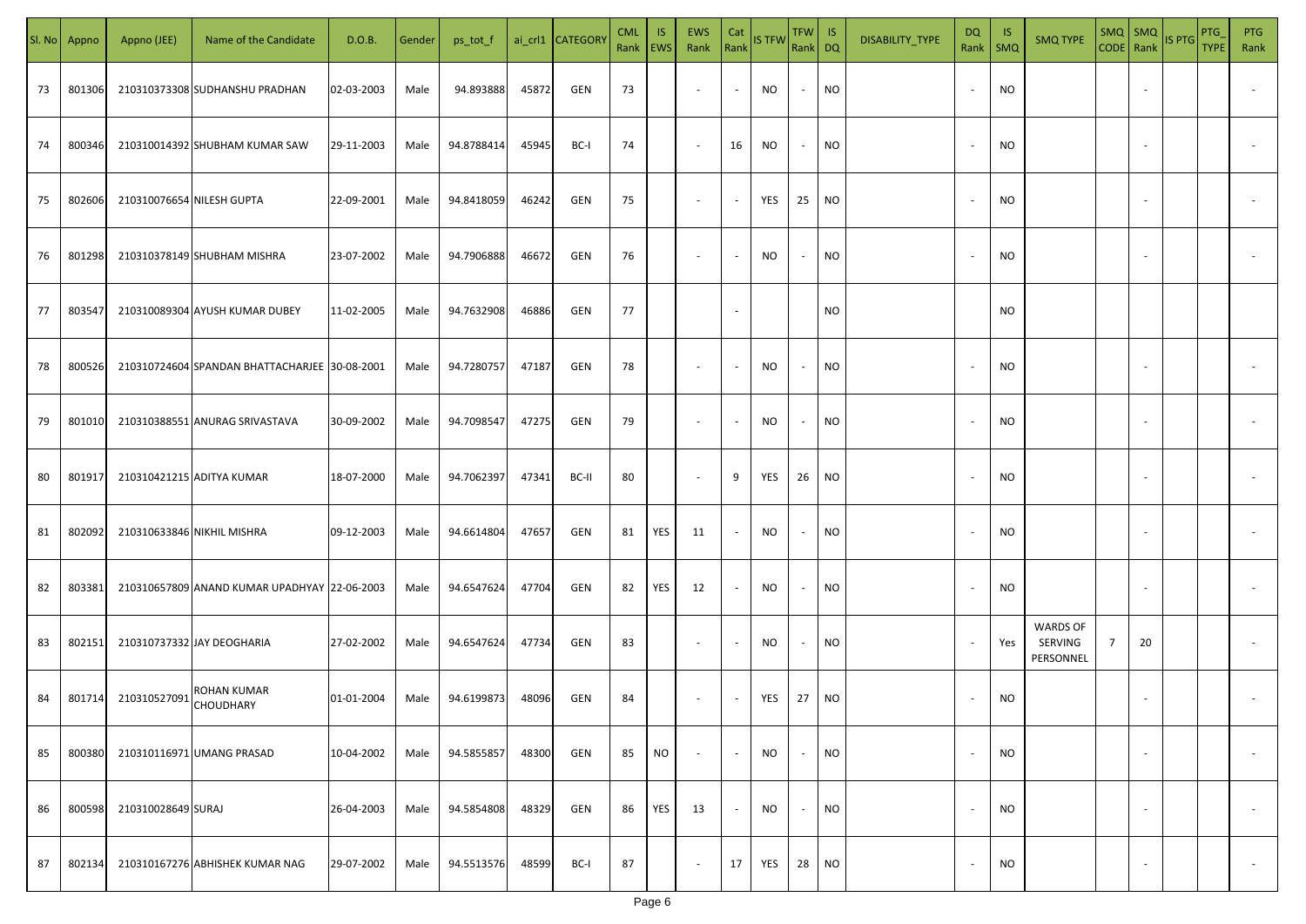| SI. No | Appno  | Appno (JEE)                | Name of the Candidate                         | D.O.B.       | Gender | ps_tot_f   |       | ai_crl1 CATEGORY | <b>CML</b> | <b>IS</b><br>Rank   EWS | EWS<br>Rank              | Cat<br>Rank              | IS TFW    | TFW IS<br>Rank DQ        |           | DISABILITY_TYPE | DQ<br>Rank               | -IS<br>SMQ | <b>SMQ TYPE</b>                         | $SMQ$ $SMQ$    |        | CODE Rank IS PTG | PTG<br><b>TYPE</b> | <b>PTG</b><br>Rank       |
|--------|--------|----------------------------|-----------------------------------------------|--------------|--------|------------|-------|------------------|------------|-------------------------|--------------------------|--------------------------|-----------|--------------------------|-----------|-----------------|--------------------------|------------|-----------------------------------------|----------------|--------|------------------|--------------------|--------------------------|
| 73     | 801306 |                            | 210310373308 SUDHANSHU PRADHAN                | 02-03-2003   | Male   | 94.893888  | 45872 | GEN              | 73         |                         | $\sim$                   | $\sim$                   | NO        | $\sim$                   | <b>NO</b> |                 | $\overline{\phantom{a}}$ | <b>NO</b>  |                                         |                |        |                  |                    |                          |
| 74     | 800346 |                            | 210310014392 SHUBHAM KUMAR SAW                | 29-11-2003   | Male   | 94.8788414 | 45945 | BC-I             | 74         |                         | $\sim$                   | 16                       | NO        | $\sim$                   | <b>NO</b> |                 | $\overline{\phantom{a}}$ | <b>NO</b>  |                                         |                |        |                  |                    |                          |
| 75     | 802606 | 210310076654 NILESH GUPTA  |                                               | 22-09-2001   | Male   | 94.8418059 | 46242 | GEN              | 75         |                         | $\overline{\phantom{a}}$ | $\sim$                   | YES       | 25                       | <b>NO</b> |                 | $\sim$                   | <b>NO</b>  |                                         |                |        |                  |                    |                          |
| 76     | 801298 |                            | 210310378149 SHUBHAM MISHRA                   | 23-07-2002   | Male   | 94.7906888 | 46672 | GEN              | 76         |                         |                          | $\sim$                   | NO.       | $\sim$                   | <b>NO</b> |                 |                          | <b>NO</b>  |                                         |                |        |                  |                    |                          |
| 77     | 803547 |                            | 210310089304 AYUSH KUMAR DUBEY                | 11-02-2005   | Male   | 94.7632908 | 46886 | GEN              | 77         |                         |                          | $\sim$                   |           |                          | NO.       |                 |                          | <b>NO</b>  |                                         |                |        |                  |                    |                          |
| 78     | 800526 |                            | 210310724604 SPANDAN BHATTACHARJEE 30-08-2001 |              | Male   | 94.7280757 | 47187 | GEN              | 78         |                         |                          | $\sim$                   | NO        | $\sim$                   | <b>NO</b> |                 |                          | <b>NO</b>  |                                         |                |        |                  |                    |                          |
| 79     | 801010 |                            | 210310388551 ANURAG SRIVASTAVA                | 30-09-2002   | Male   | 94.7098547 | 47275 | GEN              | 79         |                         | $\overline{\phantom{a}}$ | $\overline{\phantom{a}}$ | NO        | $\overline{\phantom{a}}$ | NO        |                 |                          | <b>NO</b>  |                                         |                |        |                  |                    |                          |
| 80     | 801917 |                            | 210310421215 ADITYA KUMAR                     | 18-07-2000   | Male   | 94.7062397 | 47341 | BC-II            | 80         |                         | $\sim$                   | 9                        | YES       | 26                       | <b>NO</b> |                 |                          | <b>NO</b>  |                                         |                |        |                  |                    |                          |
| 81     | 802092 | 210310633846 NIKHIL MISHRA |                                               | $09-12-2003$ | Male   | 94.6614804 | 47657 | GEN              | 81         | YES                     | 11                       | $\sim$                   | <b>NO</b> | $\sim$                   | <b>NO</b> |                 |                          | <b>NO</b>  |                                         |                |        |                  |                    |                          |
| 82     | 803381 |                            | 210310657809 ANAND KUMAR UPADHYAY 22-06-2003  |              | Male   | 94.6547624 | 47704 | GEN              | 82         | YES                     | 12                       | $\sim$                   | <b>NO</b> | $\overline{\phantom{a}}$ | <b>NO</b> |                 |                          | <b>NO</b>  |                                         |                |        |                  |                    |                          |
| 83     | 802151 |                            | 210310737332 JAY DEOGHARIA                    | 27-02-2002   | Male   | 94.6547624 | 47734 | GEN              | 83         |                         | $\sim$                   | $\sim$                   | NO        | $\sim$                   | <b>NO</b> |                 |                          | Yes        | <b>WARDS OF</b><br>SERVING<br>PERSONNEL | $\overline{7}$ | 20     |                  |                    |                          |
| 84     | 801714 | 210310527091               | ROHAN KUMAR<br><b>CHOUDHARY</b>               | 01-01-2004   | Male   | 94.6199873 | 48096 | GEN              | 84         |                         |                          | $\sim$                   | YES       | 27                       | NO        |                 |                          | <b>NO</b>  |                                         |                |        |                  |                    |                          |
| 85     | 800380 |                            | 210310116971 UMANG PRASAD                     | 10-04-2002   | Male   | 94.5855857 | 48300 | GEN              | 85         | <b>NO</b>               | $\sim$                   | $\sim$                   | <b>NO</b> | $\sim$                   | <b>NO</b> |                 | $\sim$                   | <b>NO</b>  |                                         |                | $\sim$ |                  |                    | $\overline{\phantom{a}}$ |
| 86     | 800598 | 210310028649 SURAJ         |                                               | 26-04-2003   | Male   | 94.5854808 | 48329 | GEN              | 86         | YES                     | 13                       | $\sim$                   | NO        | $\sim$                   | <b>NO</b> |                 | $\sim$                   | <b>NO</b>  |                                         |                | $\sim$ |                  |                    | $\overline{\phantom{a}}$ |
| 87     | 802134 |                            | 210310167276 ABHISHEK KUMAR NAG               | 29-07-2002   | Male   | 94.5513576 | 48599 | BC-I             | 87         |                         | $\overline{\phantom{a}}$ | 17                       | YES       | 28                       | <b>NO</b> |                 |                          | <b>NO</b>  |                                         |                |        |                  |                    | $\overline{\phantom{a}}$ |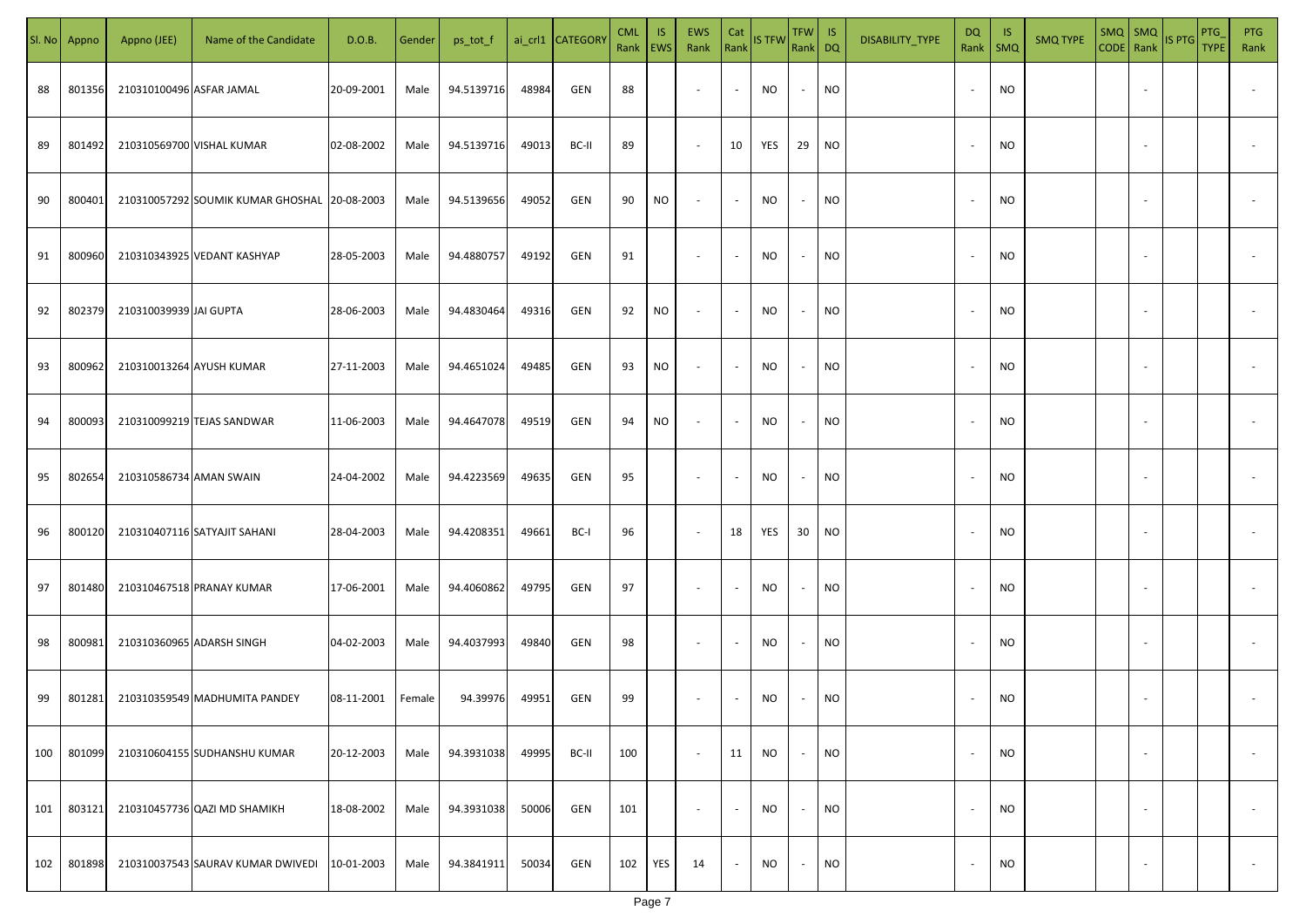| SI. No | Appno  | Appno (JEE)              | Name of the Candidate                        | D.O.B.     | Gender | ps_tot_f   |       | ai_crl1 CATEGOR\ | <b>CML</b><br>Rank EWS | IS. | <b>EWS</b><br>Rank       | Cat<br>Rank              | <b>IS TFW</b> | TFW IS<br>Rank DQ |                             | DISABILITY_TYPE | <b>DQ</b><br>Rank        | - IS<br>$\mathsf{SMQ}$ | <b>SMQ TYPE</b> | $SMQ$ $SMQ$              | CODE Rank IS PTG | <b>PTG</b><br><b>TYPE</b> | <b>PTG</b><br>Rank       |
|--------|--------|--------------------------|----------------------------------------------|------------|--------|------------|-------|------------------|------------------------|-----|--------------------------|--------------------------|---------------|-------------------|-----------------------------|-----------------|--------------------------|------------------------|-----------------|--------------------------|------------------|---------------------------|--------------------------|
| 88     | 801356 | 210310100496 ASFAR JAMAL |                                              | 20-09-2001 | Male   | 94.5139716 | 48984 | GEN              | 88                     |     | $\sim$                   | $\sim$                   | NO            | $\sim$            | <b>NO</b>                   |                 |                          | <b>NO</b>              |                 |                          |                  |                           |                          |
| 89     | 801492 |                          | 210310569700 VISHAL KUMAR                    | 02-08-2002 | Male   | 94.5139716 | 49013 | BC-II            | 89                     |     | $\sim$                   | 10                       | YES           | 29                | <b>NO</b>                   |                 | $\sim$                   | <b>NO</b>              |                 |                          |                  |                           |                          |
| 90     | 800401 |                          | 210310057292 SOUMIK KUMAR GHOSHAL 20-08-2003 |            | Male   | 94.5139656 | 49052 | GEN              | 90                     | NO  | $\overline{\phantom{a}}$ | $\sim$                   | <b>NO</b>     | $\sim$            | <b>NO</b>                   |                 |                          | <b>NO</b>              |                 |                          |                  |                           |                          |
| 91     | 800960 |                          | 210310343925 VEDANT KASHYAP                  | 28-05-2003 | Male   | 94.4880757 | 49192 | GEN              | 91                     |     | $\overline{\phantom{a}}$ | $\sim$                   | <b>NO</b>     | $\sim$            | <b>NO</b>                   |                 |                          | <b>NO</b>              |                 |                          |                  |                           |                          |
| 92     | 802379 | 210310039939 JAI GUPTA   |                                              | 28-06-2003 | Male   | 94.4830464 | 49316 | GEN              | 92                     | NO  | $\sim$                   | $\sim$                   | NO            | $\sim$            | <b>NO</b>                   |                 |                          | NO                     |                 |                          |                  |                           |                          |
| 93     | 800962 |                          | 210310013264 AYUSH KUMAR                     | 27-11-2003 | Male   | 94.4651024 | 49485 | GEN              | 93                     | NO  | $\overline{\phantom{a}}$ | $\sim$                   | <b>NO</b>     | $\sim$            | <b>NO</b>                   |                 |                          | <b>NO</b>              |                 |                          |                  |                           |                          |
| 94     | 800093 |                          | 210310099219 TEJAS SANDWAR                   | 11-06-2003 | Male   | 94.4647078 | 49519 | GEN              | 94                     | NO  | $\overline{\phantom{a}}$ | $\sim$                   | NO            | $\sim$            | <b>NO</b>                   |                 |                          | <b>NO</b>              |                 |                          |                  |                           |                          |
| 95     | 802654 | 210310586734 AMAN SWAIN  |                                              | 24-04-2002 | Male   | 94.4223569 | 49635 | GEN              | 95                     |     | $\overline{\phantom{a}}$ | $\sim$                   | <b>NO</b>     | $\sim$            | <b>NO</b>                   |                 |                          | <b>NO</b>              |                 |                          |                  |                           |                          |
| 96     | 800120 |                          | 210310407116 SATYAJIT SAHANI                 | 28-04-2003 | Male   | 94.4208351 | 49661 | BC-I             | 96                     |     | $\sim$                   | 18                       | YES           | 30                | $\overline{\phantom{a}}$ NO |                 |                          | <b>NO</b>              |                 |                          |                  |                           |                          |
| 97     | 801480 |                          | 210310467518 PRANAY KUMAR                    | 17-06-2001 | Male   | 94.4060862 | 49795 | GEN              | 97                     |     | $\sim$                   | $\overline{\phantom{a}}$ | NO            | $\sim$            | <b>NO</b>                   |                 |                          | <b>NO</b>              |                 |                          |                  |                           |                          |
| 98     | 800981 |                          | 210310360965 ADARSH SINGH                    | 04-02-2003 | Male   | 94.4037993 | 49840 | GEN              | 98                     |     | $\sim$                   | $\overline{\phantom{a}}$ | NO            | $\sim$            | <b>NO</b>                   |                 |                          | <b>NO</b>              |                 |                          |                  |                           |                          |
| 99     | 801281 |                          | 210310359549 MADHUMITA PANDEY                | 08-11-2001 | Female | 94.39976   | 49951 | GEN              | 99                     |     | $\overline{\phantom{a}}$ | $\overline{\phantom{a}}$ | <b>NO</b>     | $\sim$            | <b>NO</b>                   |                 |                          | <b>NO</b>              |                 |                          |                  |                           |                          |
| 100    | 801099 |                          | 210310604155 SUDHANSHU KUMAR                 | 20-12-2003 | Male   | 94.3931038 | 49995 | BC-II            | 100                    |     | $\sim$                   | 11                       | <b>NO</b>     | $\sim$            | <b>NO</b>                   |                 | $\overline{\phantom{a}}$ | <b>NO</b>              |                 | $\overline{\phantom{a}}$ |                  |                           | $\overline{\phantom{a}}$ |
| 101    | 803121 |                          | 210310457736 QAZI MD SHAMIKH                 | 18-08-2002 | Male   | 94.3931038 | 50006 | GEN              | 101                    |     | $\sim$                   | $\sim$                   | <b>NO</b>     | $\sim$            | <b>NO</b>                   |                 | $\sim$                   | <b>NO</b>              |                 | $\overline{\phantom{a}}$ |                  |                           | $\overline{\phantom{a}}$ |
| 102    | 801898 |                          | 210310037543 SAURAV KUMAR DWIVEDI            | 10-01-2003 | Male   | 94.3841911 | 50034 | GEN              | 102                    | YES | 14                       | $\sim$                   | NO.           | $\sim$            | <b>NO</b>                   |                 |                          | <b>NO</b>              |                 | $\overline{\phantom{a}}$ |                  |                           | $\sim$                   |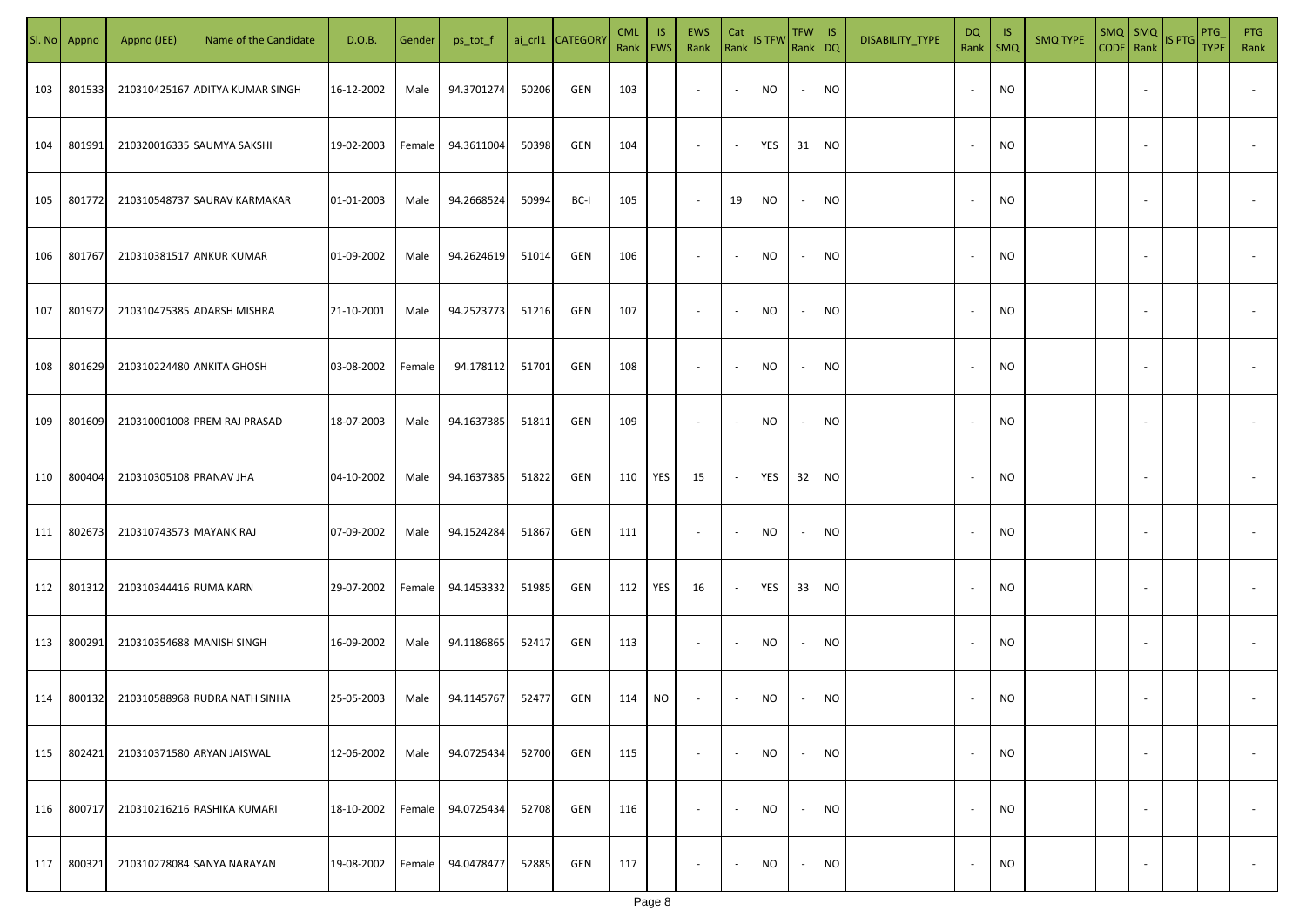| SI. No | Appno  | Appno (JEE)               | Name of the Candidate           | D.O.B.     | Gender | ps_tot_f   |       | ai_crl1 CATEGOR\ | <b>CML</b><br>Rank EWS | IS. | <b>EWS</b><br>Rank       | Cat<br>Rank              | <b>IS TFW</b> | TFW IS<br>Rank DQ |                 | DISABILITY_TYPE | <b>DQ</b><br>Rank        | - IS<br>$\mathsf{SMQ}$ | <b>SMQ TYPE</b> | SMQ   SMQ                | CODE Rank IS PTG | <b>PTG</b><br><b>TYPE</b> | <b>PTG</b><br>Rank       |
|--------|--------|---------------------------|---------------------------------|------------|--------|------------|-------|------------------|------------------------|-----|--------------------------|--------------------------|---------------|-------------------|-----------------|-----------------|--------------------------|------------------------|-----------------|--------------------------|------------------|---------------------------|--------------------------|
| 103    | 801533 |                           | 210310425167 ADITYA KUMAR SINGH | 16-12-2002 | Male   | 94.3701274 | 50206 | GEN              | 103                    |     | $\sim$                   | $\sim$                   | NO            | $\sim$            | <b>NO</b>       |                 |                          | <b>NO</b>              |                 |                          |                  |                           |                          |
| 104    | 801991 |                           | 210320016335 SAUMYA SAKSHI      | 19-02-2003 | Female | 94.3611004 | 50398 | GEN              | 104                    |     | $\sim$                   | $\sim$                   | YES           | 31                | NO <sub>1</sub> |                 | $\overline{\phantom{a}}$ | <b>NO</b>              |                 |                          |                  |                           |                          |
| 105    | 801772 |                           | 210310548737 SAURAV KARMAKAR    | 01-01-2003 | Male   | 94.2668524 | 50994 | BC-I             | 105                    |     | $\sim$                   | 19                       | <b>NO</b>     | $\sim$            | <b>NO</b>       |                 |                          | <b>NO</b>              |                 |                          |                  |                           |                          |
| 106    | 801767 |                           | 210310381517 ANKUR KUMAR        | 01-09-2002 | Male   | 94.2624619 | 51014 | GEN              | 106                    |     | $\overline{\phantom{a}}$ | $\sim$                   | <b>NO</b>     | $\sim$            | <b>NO</b>       |                 |                          | <b>NO</b>              |                 |                          |                  |                           |                          |
| 107    | 801972 |                           | 210310475385 ADARSH MISHRA      | 21-10-2001 | Male   | 94.2523773 | 51216 | GEN              | 107                    |     | $\overline{\phantom{a}}$ | $\sim$                   | NO            | $\sim$            | <b>NO</b>       |                 |                          | NO                     |                 |                          |                  |                           |                          |
| 108    | 801629 |                           | 210310224480 ANKITA GHOSH       | 03-08-2002 | Female | 94.178112  | 51701 | GEN              | 108                    |     | $\overline{\phantom{a}}$ | $\sim$                   | <b>NO</b>     | $\sim$            | <b>NO</b>       |                 |                          | <b>NO</b>              |                 |                          |                  |                           |                          |
| 109    | 801609 |                           | 210310001008 PREM RAJ PRASAD    | 18-07-2003 | Male   | 94.1637385 | 51811 | GEN              | 109                    |     | $\overline{\phantom{a}}$ | $\sim$                   | <b>NO</b>     | $\sim$            | <b>NO</b>       |                 |                          | <b>NO</b>              |                 |                          |                  |                           |                          |
| 110    | 800404 | 210310305108 PRANAV JHA   |                                 | 04-10-2002 | Male   | 94.1637385 | 51822 | GEN              | 110                    | YES | 15                       | $\sim$                   | YES           | 32                | NO <sub>1</sub> |                 |                          | <b>NO</b>              |                 |                          |                  |                           |                          |
| 111    | 802673 | 210310743573 MAYANK RAJ   |                                 | 07-09-2002 | Male   | 94.1524284 | 51867 | GEN              | 111                    |     | $\sim$                   | $\overline{\phantom{a}}$ | <b>NO</b>     | $\sim$            | <b>NO</b>       |                 |                          | <b>NO</b>              |                 |                          |                  |                           |                          |
| 112    | 801312 | 210310344416 RUMA KARN    |                                 | 29-07-2002 | Female | 94.1453332 | 51985 | GEN              | 112                    | YES | 16                       | $\sim$                   | YES           | 33                | <b>NO</b>       |                 |                          | <b>NO</b>              |                 |                          |                  |                           |                          |
| 113    | 800291 | 210310354688 MANISH SINGH |                                 | 16-09-2002 | Male   | 94.1186865 | 52417 | GEN              | 113                    |     | $\sim$                   | $\sim$                   | NO            | $\sim$            | <b>NO</b>       |                 |                          | <b>NO</b>              |                 |                          |                  |                           |                          |
| 114    | 800132 |                           | 210310588968 RUDRA NATH SINHA   | 25-05-2003 | Male   | 94.1145767 | 52477 | GEN              | 114                    | NO. | $\sim$                   | $\sim$                   | <b>NO</b>     | $\sim$            | <b>NO</b>       |                 |                          | <b>NO</b>              |                 |                          |                  |                           |                          |
| 115    | 802421 |                           | 210310371580 ARYAN JAISWAL      | 12-06-2002 | Male   | 94.0725434 | 52700 | GEN              | 115                    |     | $\sim$                   | $\sim$                   | <b>NO</b>     | $\sim$            | <b>NO</b>       |                 | $\overline{\phantom{a}}$ | <b>NO</b>              |                 | $\overline{\phantom{a}}$ |                  |                           | $\overline{\phantom{a}}$ |
| 116    | 800717 |                           | 210310216216 RASHIKA KUMARI     | 18-10-2002 | Female | 94.0725434 | 52708 | GEN              | 116                    |     | $\sim$                   | $\sim$                   | <b>NO</b>     | $\sim$            | <b>NO</b>       |                 | $\sim$                   | <b>NO</b>              |                 | $\overline{\phantom{a}}$ |                  |                           | $\overline{\phantom{a}}$ |
| 117    | 800321 |                           | 210310278084 SANYA NARAYAN      | 19-08-2002 | Female | 94.0478477 | 52885 | GEN              | 117                    |     | $\sim$                   | $\sim$                   | NO            | $\sim$            | <b>NO</b>       |                 |                          | <b>NO</b>              |                 | $\overline{\phantom{a}}$ |                  |                           | $\overline{\phantom{a}}$ |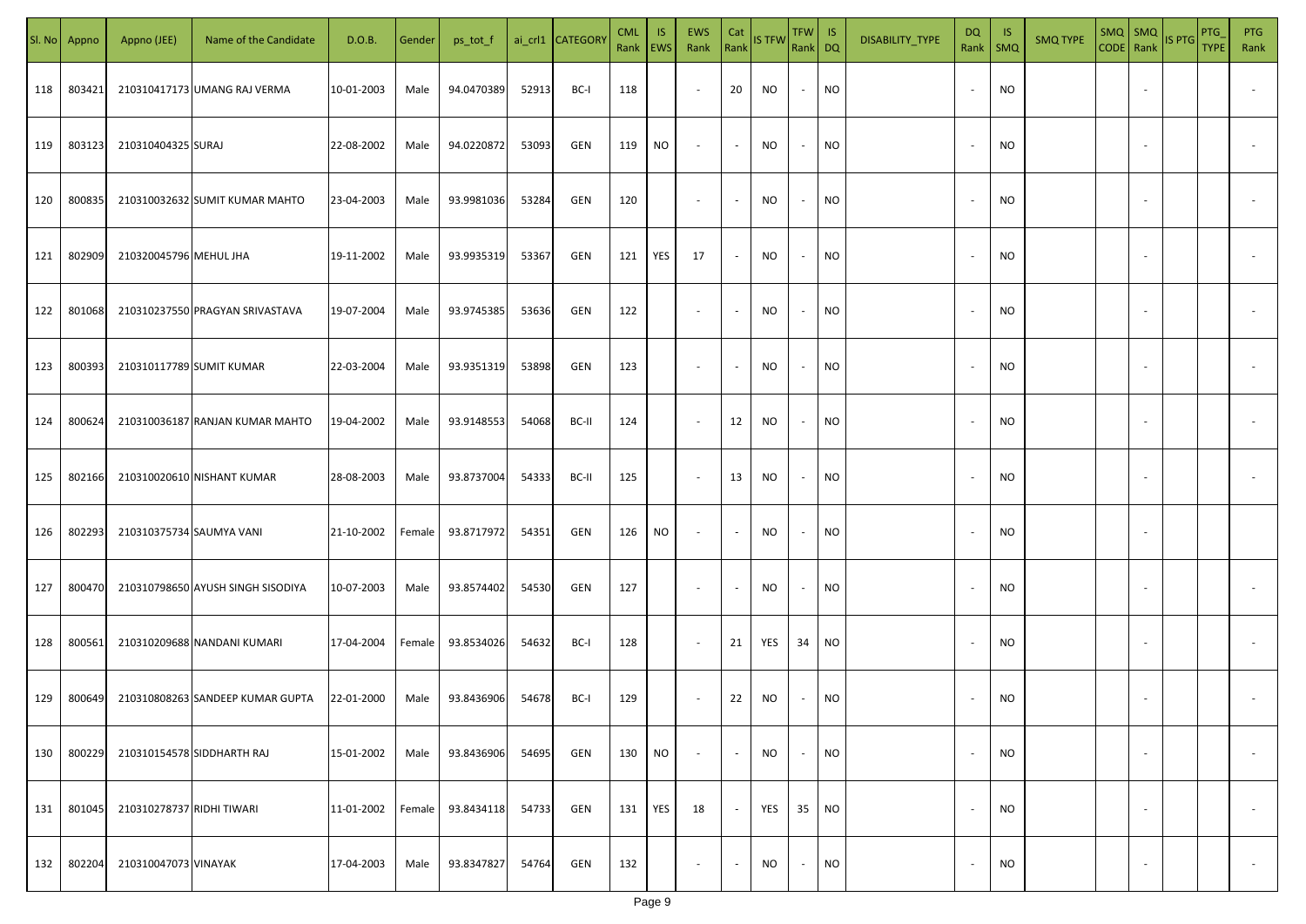| SI. No | Appno  | Appno (JEE)               | Name of the Candidate             | D.O.B.     | Gender | ps_tot_f   |       | ai_crl1 CATEGOR\ | <b>CML</b><br>Rank EWS | IS. | <b>EWS</b><br>Rank       | Cat                      | Rank IS TFW | $TFW$ IS<br>Rank DQ |                 | DISABILITY_TYPE | <b>DQ</b> | - IS<br>Rank   SMQ | <b>SMQ TYPE</b> |                          | $\left \frac{\text{SMQ}}{\text{CODE}}\right \frac{\text{SMQ}}{\text{Rank}}\left \frac{\text{IS PTG}}{\text{B}}\right $ | <b>PTG</b><br><b>TYPE</b> | <b>PTG</b><br>Rank       |
|--------|--------|---------------------------|-----------------------------------|------------|--------|------------|-------|------------------|------------------------|-----|--------------------------|--------------------------|-------------|---------------------|-----------------|-----------------|-----------|--------------------|-----------------|--------------------------|------------------------------------------------------------------------------------------------------------------------|---------------------------|--------------------------|
| 118    | 803421 |                           | 210310417173 UMANG RAJ VERMA      | 10-01-2003 | Male   | 94.0470389 | 52913 | BC-I             | 118                    |     | $\sim$                   | 20                       | NO          | $\sim$              | <b>NO</b>       |                 |           | <b>NO</b>          |                 |                          |                                                                                                                        |                           |                          |
| 119    | 803123 | 210310404325 SURAJ        |                                   | 22-08-2002 | Male   | 94.0220872 | 53093 | GEN              | 119                    | NO  | $\sim$                   | $\sim$                   | NO          | $\sim$              | <b>NO</b>       |                 |           | <b>NO</b>          |                 |                          |                                                                                                                        |                           |                          |
| 120    | 800835 |                           | 210310032632 SUMIT KUMAR MAHTO    | 23-04-2003 | Male   | 93.9981036 | 53284 | GEN              | 120                    |     | $\overline{\phantom{a}}$ | $\sim$                   | <b>NO</b>   | $\sim$              | <b>NO</b>       |                 |           | <b>NO</b>          |                 |                          |                                                                                                                        |                           |                          |
| 121    | 802909 | 210320045796 MEHUL JHA    |                                   | 19-11-2002 | Male   | 93.9935319 | 53367 | GEN              | 121                    | YES | 17                       | $\sim$                   | <b>NO</b>   | $\sim$              | NO <sub>1</sub> |                 |           | NO                 |                 |                          |                                                                                                                        |                           |                          |
| 122    | 801068 |                           | 210310237550 PRAGYAN SRIVASTAVA   | 19-07-2004 | Male   | 93.9745385 | 53636 | GEN              | 122                    |     | $\overline{\phantom{a}}$ | $\sim$                   | NO          | $\sim$              | <b>NO</b>       |                 |           | NO                 |                 |                          |                                                                                                                        |                           |                          |
| 123    | 800393 |                           | 210310117789 SUMIT KUMAR          | 22-03-2004 | Male   | 93.9351319 | 53898 | GEN              | 123                    |     | $\overline{\phantom{a}}$ | $\sim$                   | <b>NO</b>   | $\sim$              | <b>NO</b>       |                 |           | NO                 |                 |                          |                                                                                                                        |                           |                          |
| 124    | 800624 |                           | 210310036187 RANJAN KUMAR MAHTO   | 19-04-2002 | Male   | 93.9148553 | 54068 | BC-II            | 124                    |     | $\sim$                   | 12                       | NO          | $\sim$              | <b>NO</b>       |                 |           | <b>NO</b>          |                 |                          |                                                                                                                        |                           |                          |
| 125    | 802166 |                           | 210310020610 NISHANT KUMAR        | 28-08-2003 | Male   | 93.8737004 | 54333 | BC-II            | 125                    |     | $\sim$                   | 13                       | NO          | $\sim$              | <b>NO</b>       |                 |           | <b>NO</b>          |                 |                          |                                                                                                                        |                           |                          |
| 126    | 802293 | 210310375734 SAUMYA VANI  |                                   | 21-10-2002 | Female | 93.8717972 | 54351 | GEN              | 126                    | NO. | $\sim$                   | $\sim$                   | NO.         | $\sim$              | NO              |                 |           | <b>NO</b>          |                 |                          |                                                                                                                        |                           |                          |
| 127    | 800470 |                           | 210310798650 AYUSH SINGH SISODIYA | 10-07-2003 | Male   | 93.8574402 | 54530 | GEN              | 127                    |     | $\sim$                   | $\overline{\phantom{a}}$ | NO          | $\sim$              | NO              |                 |           | <b>NO</b>          |                 |                          |                                                                                                                        |                           |                          |
| 128    | 800561 |                           | 210310209688 NANDANI KUMARI       | 17-04-2004 | Female | 93.8534026 | 54632 | BC-I             | 128                    |     | $\sim$                   | 21                       | YES         | 34                  | <b>NO</b>       |                 |           | <b>NO</b>          |                 |                          |                                                                                                                        |                           |                          |
| 129    | 800649 |                           | 210310808263 SANDEEP KUMAR GUPTA  | 22-01-2000 | Male   | 93.8436906 | 54678 | BC-I             | 129                    |     | $\sim$                   | 22                       | NO          | $\sim$              | <b>NO</b>       |                 |           | <b>NO</b>          |                 |                          |                                                                                                                        |                           |                          |
| 130    | 800229 |                           | 210310154578 SIDDHARTH RAJ        | 15-01-2002 | Male   | 93.8436906 | 54695 | GEN              | 130                    | NO  | $\overline{\phantom{a}}$ | $\sim$                   | <b>NO</b>   | $\sim$              | <b>NO</b>       |                 | $\sim$    | <b>NO</b>          |                 | $\overline{\phantom{a}}$ |                                                                                                                        |                           | $\overline{\phantom{a}}$ |
| 131    | 801045 | 210310278737 RIDHI TIWARI |                                   | 11-01-2002 | Female | 93.8434118 | 54733 | GEN              | 131                    | YES | 18                       | $\sim$                   | YES         | 35                  | N               |                 | $\sim$    | <b>NO</b>          |                 | $\overline{\phantom{a}}$ |                                                                                                                        |                           | $\overline{\phantom{a}}$ |
| 132    | 802204 | 210310047073 VINAYAK      |                                   | 17-04-2003 | Male   | 93.8347827 | 54764 | GEN              | 132                    |     | $\sim$                   | $\sim$                   | NO          | $\sim$              | <b>NO</b>       |                 |           | <b>NO</b>          |                 | $\overline{\phantom{a}}$ |                                                                                                                        |                           | $\sim$                   |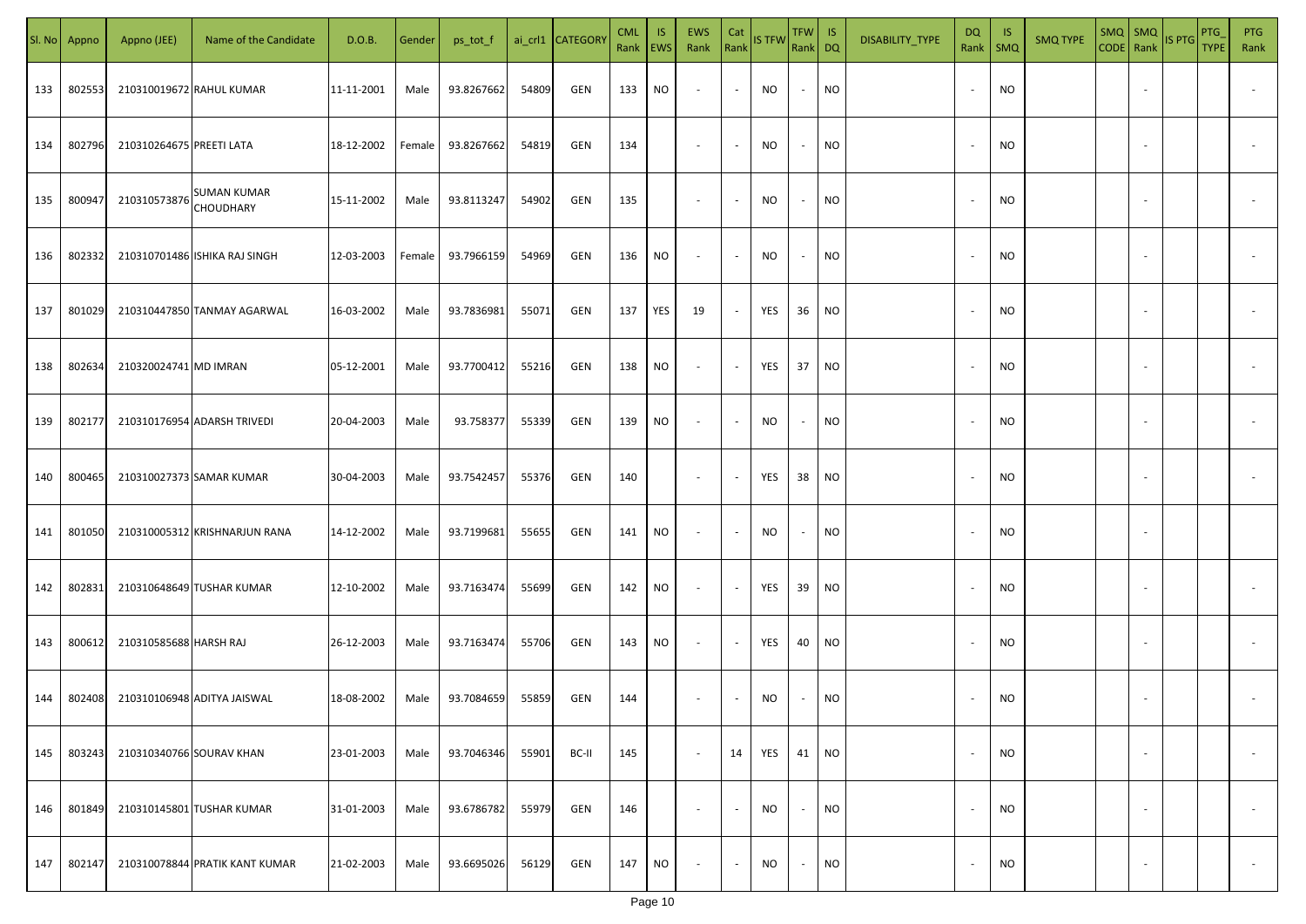| SI. No. | Appno  | Appno (JEE)              | Name of the Candidate                  | D.O.B.     | Gender | ps_tot_f   |       | ai_crl1 CATEGORY | <b>CML</b><br>Rank   EWS | IS.       | EWS<br>Rank              | Cat<br>Rank              | <b>IS TFW</b> | $TFW$ IS<br>Rank DQ      |           | DISABILITY_TYPE | DQ                       | -IS<br>Rank   SMQ | <b>SMQ TYPE</b> |                          | SMQ SMQ<br>CODE Rank IS PTG | PTG<br><b>TYPE</b> | <b>PTG</b><br>Rank       |
|---------|--------|--------------------------|----------------------------------------|------------|--------|------------|-------|------------------|--------------------------|-----------|--------------------------|--------------------------|---------------|--------------------------|-----------|-----------------|--------------------------|-------------------|-----------------|--------------------------|-----------------------------|--------------------|--------------------------|
| 133     | 802553 |                          | 210310019672 RAHUL KUMAR               | 11-11-2001 | Male   | 93.8267662 | 54809 | GEN              | 133                      | NO.       | $\sim$                   | $\blacksquare$           | NO            | $\sim$                   | <b>NO</b> |                 |                          | <b>NO</b>         |                 |                          |                             |                    |                          |
| 134     | 802796 | 210310264675 PREETI LATA |                                        | 18-12-2002 | Female | 93.8267662 | 54819 | GEN              | 134                      |           | $\sim$                   | $\sim$                   | NO            | $\sim$                   | <b>NO</b> |                 |                          | <b>NO</b>         |                 |                          |                             |                    |                          |
| 135     | 800947 | 210310573876             | <b>SUMAN KUMAR</b><br><b>CHOUDHARY</b> | 15-11-2002 | Male   | 93.8113247 | 54902 | GEN              | 135                      |           | $\overline{\phantom{a}}$ | $\sim$                   | NO            | $\sim$                   | <b>NO</b> |                 | $\overline{\phantom{a}}$ | <b>NO</b>         |                 |                          |                             |                    |                          |
| 136     | 802332 |                          | 210310701486 ISHIKA RAJ SINGH          | 12-03-2003 | Female | 93.7966159 | 54969 | GEN              | 136                      | NO        | $\overline{\phantom{a}}$ | $\sim$                   | NO            | $\overline{\phantom{a}}$ | <b>NO</b> |                 | $\sim$                   | <b>NO</b>         |                 |                          |                             |                    |                          |
| 137     | 801029 |                          | 210310447850 TANMAY AGARWAL            | 16-03-2002 | Male   | 93.7836981 | 55071 | GEN              | 137                      | YES       | 19                       | $\sim$                   | YES           | 36                       | <b>NO</b> |                 | $\sim$                   | NO                |                 |                          |                             |                    |                          |
| 138     | 802634 | 210320024741 MD IMRAN    |                                        | 05-12-2001 | Male   | 93.7700412 | 55216 | GEN              | 138                      | NO        | $\overline{\phantom{a}}$ | $\overline{\phantom{a}}$ | YES           | 37                       | <b>NO</b> |                 |                          | NO                |                 |                          |                             |                    |                          |
| 139     | 802177 |                          | 210310176954 ADARSH TRIVEDI            | 20-04-2003 | Male   | 93.758377  | 55339 | GEN              | 139                      | NO        | $\overline{\phantom{a}}$ | $\overline{\phantom{a}}$ | <b>NO</b>     | $\sim$                   | <b>NO</b> |                 |                          | <b>NO</b>         |                 |                          |                             |                    |                          |
| 140     | 800465 |                          | 210310027373 SAMAR KUMAR               | 30-04-2003 | Male   | 93.7542457 | 55376 | GEN              | 140                      |           | $\overline{\phantom{a}}$ | $\overline{\phantom{a}}$ | YES           | 38                       | <b>NO</b> |                 |                          | NO                |                 |                          |                             |                    |                          |
| 141     | 801050 |                          | 210310005312 KRISHNARJUN RANA          | 14-12-2002 | Male   | 93.7199681 | 55655 | GEN              | 141                      | NO.       | $\overline{\phantom{a}}$ | $\overline{\phantom{a}}$ | NO            | $\overline{\phantom{a}}$ | <b>NO</b> |                 |                          | <b>NO</b>         |                 |                          |                             |                    |                          |
| 142     | 802831 |                          | 210310648649 TUSHAR KUMAR              | 12-10-2002 | Male   | 93.7163474 | 55699 | GEN              | 142                      | NO        | $\sim$                   | $\overline{\phantom{a}}$ | YES           | 39                       | <b>NO</b> |                 |                          | <b>NO</b>         |                 |                          |                             |                    |                          |
| 143     | 800612 | 210310585688 HARSH RAJ   |                                        | 26-12-2003 | Male   | 93.7163474 | 55706 | GEN              | 143                      | NO        | $\sim$                   | $\overline{\phantom{a}}$ | YES           | 40                       | <b>NO</b> |                 |                          | <b>NO</b>         |                 |                          |                             |                    |                          |
| 144     | 802408 |                          | 210310106948 ADITYA JAISWAL            | 18-08-2002 | Male   | 93.7084659 | 55859 | GEN              | 144                      |           | $\overline{\phantom{a}}$ |                          | NO            |                          | <b>NO</b> |                 |                          | <b>NO</b>         |                 |                          |                             |                    |                          |
| 145     | 803243 | 210310340766 SOURAV KHAN |                                        | 23-01-2003 | Male   | 93.7046346 | 55901 | BC-II            | 145                      |           | $\sim$                   | 14                       | YES           | 41                       | <b>NO</b> |                 |                          | <b>NO</b>         |                 | $\overline{\phantom{a}}$ |                             |                    | $\overline{\phantom{a}}$ |
| 146     | 801849 |                          | 210310145801 TUSHAR KUMAR              | 31-01-2003 | Male   | 93.6786782 | 55979 | GEN              | 146                      |           | $\overline{\phantom{a}}$ | $\blacksquare$           | <b>NO</b>     | $\overline{\phantom{a}}$ | <b>NO</b> |                 | $\overline{\phantom{a}}$ | <b>NO</b>         |                 | $\overline{\phantom{a}}$ |                             |                    | $\overline{\phantom{a}}$ |
| 147     | 802147 |                          | 210310078844 PRATIK KANT KUMAR         | 21-02-2003 | Male   | 93.6695026 | 56129 | GEN              | 147                      | <b>NO</b> | $\overline{\phantom{a}}$ | $\sim$                   | <b>NO</b>     | $\sim$                   | <b>NO</b> |                 |                          | <b>NO</b>         |                 | $\sim$                   |                             |                    | $\overline{\phantom{a}}$ |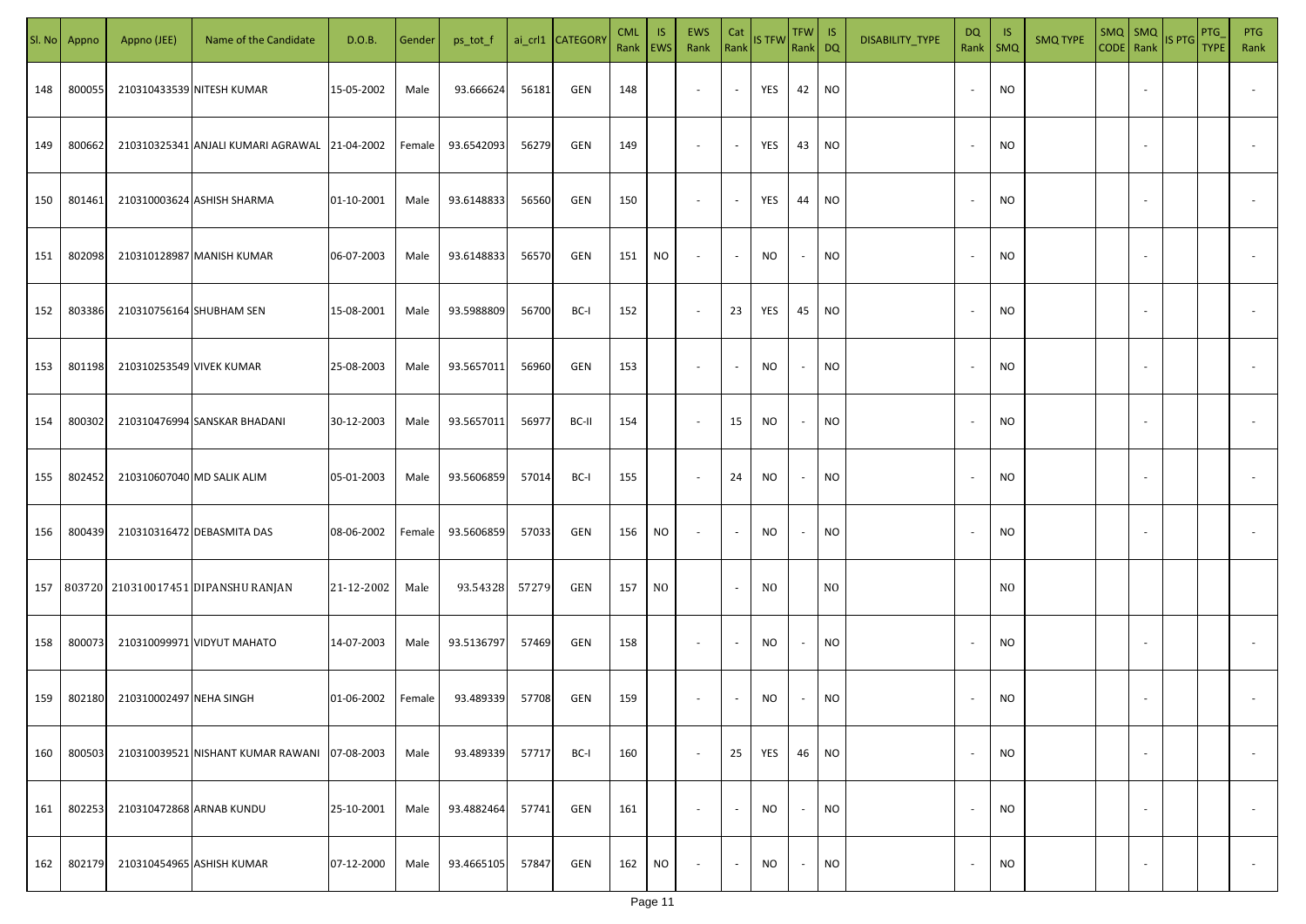| SI. No. | Appno  | Appno (JEE)              | Name of the Candidate                         | D.O.B.     | Gender | ps_tot_f   |       | ai_crl1 CATEGORY | <b>CML</b><br>Rank   EWS | IS.       | EWS<br>Rank              | Cat<br>Rank              | <b>IS TFW</b> | $TFW$ IS<br>Rank DQ      |                | DISABILITY_TYPE | <b>DQ</b><br>Rank        | -IS<br>$\mathsf{SMQ}$ | <b>SMQ TYPE</b> |                          | $\begin{array}{ c c c c }\n\hline\n\text{SMQ} & \text{SMQ} \\ \hline\n\text{CODE} & \text{Rank}\n\end{array}$ IS PTG | <b>PTG</b><br><b>TYPE</b> | <b>PTG</b><br>Rank       |
|---------|--------|--------------------------|-----------------------------------------------|------------|--------|------------|-------|------------------|--------------------------|-----------|--------------------------|--------------------------|---------------|--------------------------|----------------|-----------------|--------------------------|-----------------------|-----------------|--------------------------|----------------------------------------------------------------------------------------------------------------------|---------------------------|--------------------------|
| 148     | 800055 |                          | 210310433539 NITESH KUMAR                     | 15-05-2002 | Male   | 93.666624  | 56181 | GEN              | 148                      |           | $\sim$                   | $\blacksquare$           | YES           | 42                       | <b>NO</b>      |                 |                          | <b>NO</b>             |                 |                          |                                                                                                                      |                           |                          |
| 149     | 800662 |                          | 210310325341 ANJALI KUMARI AGRAWAL 21-04-2002 |            | Female | 93.6542093 | 56279 | GEN              | 149                      |           | $\sim$                   | $\sim$                   | YES           | 43                       | <b>NO</b>      |                 |                          | <b>NO</b>             |                 |                          |                                                                                                                      |                           |                          |
| 150     | 801461 |                          | 210310003624 ASHISH SHARMA                    | 01-10-2001 | Male   | 93.6148833 | 56560 | GEN              | 150                      |           | $\overline{\phantom{a}}$ | $\sim$                   | YES           | 44                       | <b>NO</b>      |                 | $\sim$                   | <b>NO</b>             |                 |                          |                                                                                                                      |                           |                          |
| 151     | 802098 |                          | 210310128987 MANISH KUMAR                     | 06-07-2003 | Male   | 93.6148833 | 56570 | GEN              | 151                      | NO        | $\overline{\phantom{a}}$ | $\sim$                   | NO            | $\overline{\phantom{a}}$ | <b>NO</b>      |                 |                          | <b>NO</b>             |                 |                          |                                                                                                                      |                           |                          |
| 152     | 803386 | 210310756164 SHUBHAM SEN |                                               | 15-08-2001 | Male   | 93.5988809 | 56700 | BC-I             | 152                      |           | $\overline{\phantom{a}}$ | 23                       | YES           | 45                       | <b>NO</b>      |                 | $\sim$                   | NO                    |                 |                          |                                                                                                                      |                           |                          |
| 153     | 801198 | 210310253549 VIVEK KUMAR |                                               | 25-08-2003 | Male   | 93.5657011 | 56960 | GEN              | 153                      |           | $\overline{\phantom{a}}$ | $\overline{\phantom{a}}$ | NO            | $\overline{\phantom{a}}$ | <b>NO</b>      |                 |                          | NO                    |                 |                          |                                                                                                                      |                           |                          |
| 154     | 800302 |                          | 210310476994 SANSKAR BHADANI                  | 30-12-2003 | Male   | 93.5657011 | 56977 | BC-II            | 154                      |           | $\overline{\phantom{a}}$ | 15                       | <b>NO</b>     | $\sim$                   | <b>NO</b>      |                 |                          | <b>NO</b>             |                 |                          |                                                                                                                      |                           |                          |
| 155     | 802452 |                          | 210310607040 MD SALIK ALIM                    | 05-01-2003 | Male   | 93.5606859 | 57014 | BC-I             | 155                      |           | $\overline{\phantom{a}}$ | 24                       | NO            | $\overline{\phantom{a}}$ | <b>NO</b>      |                 |                          | <b>NO</b>             |                 |                          |                                                                                                                      |                           |                          |
| 156     | 800439 |                          | 210310316472 DEBASMITA DAS                    | 08-06-2002 | Female | 93.5606859 | 57033 | GEN              | 156                      | NO.       | $\overline{\phantom{a}}$ | $\overline{\phantom{a}}$ | NO            | $\overline{\phantom{a}}$ | <b>NO</b>      |                 |                          | <b>NO</b>             |                 |                          |                                                                                                                      |                           |                          |
|         |        |                          | 157 803720 210310017451 DIPANSHU RANJAN       | 21-12-2002 | Male   | 93.54328   | 57279 | GEN              | 157                      | NO.       |                          | $\sim$                   | NO.           |                          | N <sub>O</sub> |                 |                          | N <sub>0</sub>        |                 |                          |                                                                                                                      |                           |                          |
| 158     | 800073 |                          | 210310099971 VIDYUT MAHATO                    | 14-07-2003 | Male   | 93.5136797 | 57469 | GEN              | 158                      |           | $\sim$                   |                          | NO            |                          | <b>NO</b>      |                 |                          | <b>NO</b>             |                 |                          |                                                                                                                      |                           |                          |
| 159     | 802180 | 210310002497 NEHA SINGH  |                                               | 01-06-2002 | Female | 93.489339  | 57708 | GEN              | 159                      |           | $\overline{\phantom{a}}$ |                          | NO            |                          | <b>NO</b>      |                 |                          | <b>NO</b>             |                 |                          |                                                                                                                      |                           |                          |
| 160     | 800503 |                          | 210310039521 NISHANT KUMAR RAWANI 07-08-2003  |            | Male   | 93.489339  | 57717 | BC-I             | 160                      |           | $\sim$                   | 25                       | YES           | 46                       | <b>NO</b>      |                 |                          | <b>NO</b>             |                 | $\overline{\phantom{a}}$ |                                                                                                                      |                           | $\overline{\phantom{a}}$ |
| 161     | 802253 |                          | 210310472868 ARNAB KUNDU                      | 25-10-2001 | Male   | 93.4882464 | 57741 | GEN              | 161                      |           | $\overline{\phantom{a}}$ | $\blacksquare$           | <b>NO</b>     | $\sim$                   | <b>NO</b>      |                 | $\overline{\phantom{a}}$ | <b>NO</b>             |                 | $\overline{\phantom{a}}$ |                                                                                                                      |                           | $\overline{\phantom{a}}$ |
| 162     | 802179 |                          | 210310454965 ASHISH KUMAR                     | 07-12-2000 | Male   | 93.4665105 | 57847 | GEN              | 162                      | <b>NO</b> | $\overline{\phantom{a}}$ | $\sim$                   | <b>NO</b>     | $\sim$                   | <b>NO</b>      |                 |                          | <b>NO</b>             |                 | $\sim$                   |                                                                                                                      |                           | $\sim$                   |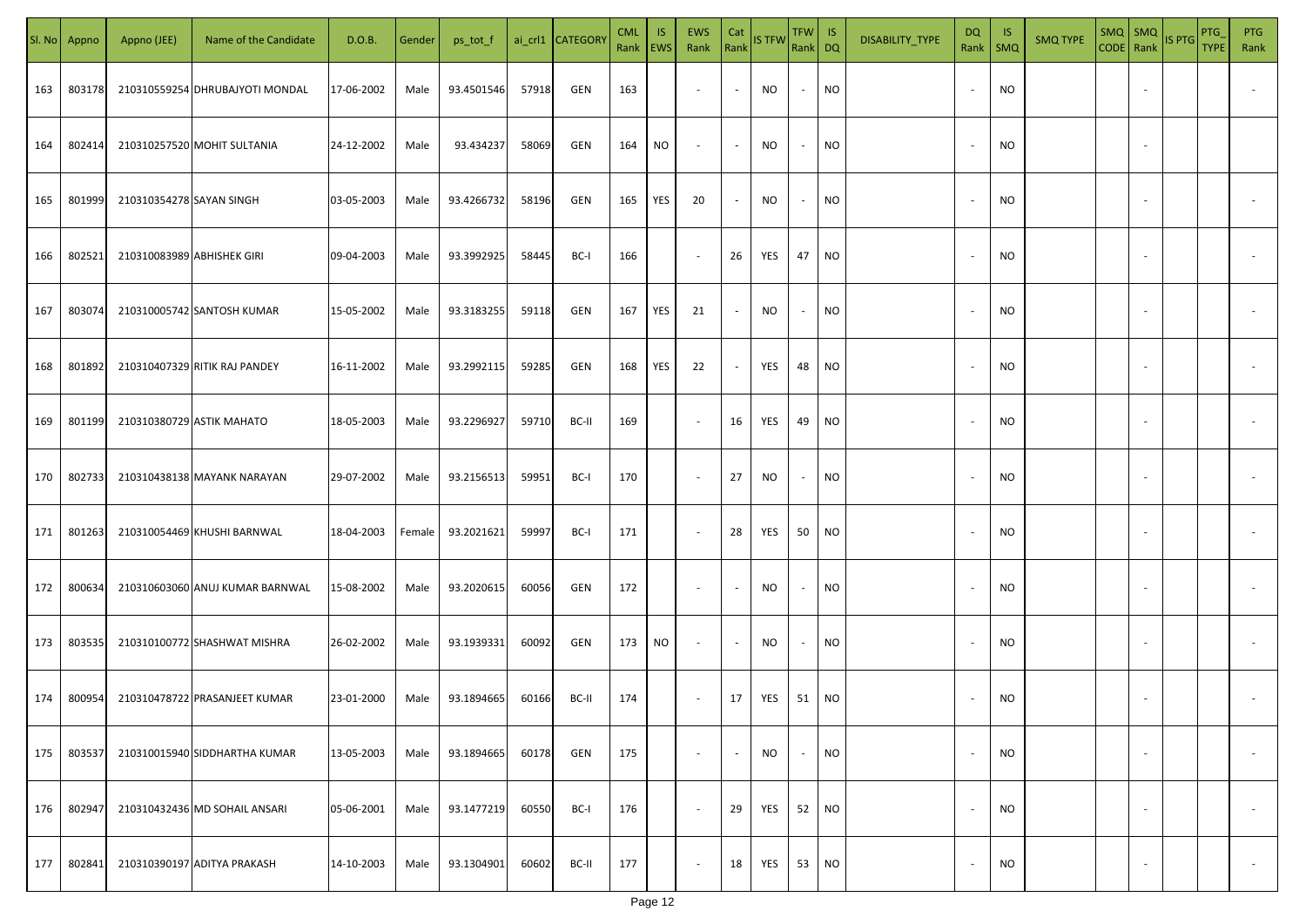| SI. No | Appno  | Appno (JEE)                | Name of the Candidate           | D.O.B.     | Gender | ps_tot_f   |       | ai_crl1 CATEGORY | <b>CML</b><br>Rank   EWS | <b>IS</b> | EWS<br>Rank              | Cat                      | Rank IS TFW | TFW IS<br>Rank DQ        |           | DISABILITY_TYPE | <b>DQ</b><br>Rank        | <b>IS</b><br><b>SMQ</b> | <b>SMQ TYPE</b> | $SMQ$ $SMQ$<br>CODE Rank |                          | IS PTG | PTG<br><b>TYPE</b> | <b>PTG</b><br>Rank       |
|--------|--------|----------------------------|---------------------------------|------------|--------|------------|-------|------------------|--------------------------|-----------|--------------------------|--------------------------|-------------|--------------------------|-----------|-----------------|--------------------------|-------------------------|-----------------|--------------------------|--------------------------|--------|--------------------|--------------------------|
| 163    | 803178 |                            | 210310559254 DHRUBAJYOTI MONDAL | 17-06-2002 | Male   | 93.4501546 | 57918 | GEN              | 163                      |           | $\sim$                   | $\sim$                   | NO.         | $\overline{\phantom{a}}$ | NO        |                 | $\overline{\phantom{a}}$ | <b>NO</b>               |                 |                          |                          |        |                    |                          |
| 164    | 802414 |                            | 210310257520 MOHIT SULTANIA     | 24-12-2002 | Male   | 93.434237  | 58069 | GEN              | 164                      | NO        | $\sim$                   | $\sim$                   | <b>NO</b>   | $\sim$                   | <b>NO</b> |                 | $\overline{\phantom{a}}$ | <b>NO</b>               |                 |                          |                          |        |                    |                          |
| 165    | 801999 | 210310354278 SAYAN SINGH   |                                 | 03-05-2003 | Male   | 93.4266732 | 58196 | GEN              | 165                      | YES       | 20                       | $\overline{\phantom{a}}$ | <b>NO</b>   | $\sim$                   | <b>NO</b> |                 |                          | <b>NO</b>               |                 |                          |                          |        |                    |                          |
| 166    | 802521 | 210310083989 ABHISHEK GIRI |                                 | 09-04-2003 | Male   | 93.3992925 | 58445 | BC-I             | 166                      |           | $\sim$                   | 26                       | YES         | 47                       | <b>NO</b> |                 |                          | <b>NO</b>               |                 |                          |                          |        |                    |                          |
| 167    | 803074 |                            | 210310005742 SANTOSH KUMAR      | 15-05-2002 | Male   | 93.3183255 | 59118 | GEN              | 167                      | YES       | 21                       | $\sim$                   | NO.         | $\sim$                   | <b>NO</b> |                 |                          | ΝO                      |                 |                          |                          |        |                    |                          |
| 168    | 801892 |                            | 210310407329 RITIK RAJ PANDEY   | 16-11-2002 | Male   | 93.2992115 | 59285 | GEN              | 168                      | YES       | 22                       | $\sim$                   | YES         | 48                       | <b>NO</b> |                 |                          | <b>NO</b>               |                 |                          |                          |        |                    |                          |
| 169    | 801199 |                            | 210310380729 ASTIK MAHATO       | 18-05-2003 | Male   | 93.2296927 | 59710 | BC-II            | 169                      |           | $\sim$                   | 16                       | YES         | 49                       | <b>NO</b> |                 |                          | <b>NO</b>               |                 |                          |                          |        |                    |                          |
| 170    | 802733 |                            | 210310438138 MAYANK NARAYAN     | 29-07-2002 | Male   | 93.2156513 | 59951 | BC-I             | 170                      |           | $\sim$                   | 27                       | NO          | $\overline{\phantom{a}}$ | NO        |                 |                          | <b>NO</b>               |                 |                          |                          |        |                    |                          |
| 171    | 801263 |                            | 210310054469 KHUSHI BARNWAL     | 18-04-2003 | Female | 93.2021621 | 59997 | BC-I             | 171                      |           | $\sim$                   | 28                       | YES         | 50                       | NO        |                 |                          | <b>NO</b>               |                 |                          |                          |        |                    |                          |
| 172    | 800634 |                            | 210310603060 ANUJ KUMAR BARNWAL | 15-08-2002 | Male   | 93.2020615 | 60056 | GEN              | 172                      |           | $\sim$                   | $\overline{\phantom{a}}$ | NO.         | $\sim$                   | <b>NO</b> |                 |                          | <b>NO</b>               |                 |                          |                          |        |                    |                          |
| 173    | 803535 |                            | 210310100772 SHASHWAT MISHRA    | 26-02-2002 | Male   | 93.1939331 | 60092 | GEN              | 173                      | <b>NO</b> | $\sim$                   | $\sim$                   | <b>NO</b>   | $\sim$                   | <b>NO</b> |                 |                          | <b>NO</b>               |                 |                          |                          |        |                    |                          |
| 174    | 800954 |                            | 210310478722 PRASANJEET KUMAR   | 23-01-2000 | Male   | 93.1894665 | 60166 | BC-II            | 174                      |           | $\sim$                   | 17                       | YES         | 51                       | NO        |                 |                          | <b>NO</b>               |                 |                          |                          |        |                    |                          |
| 175    | 803537 |                            | 210310015940 SIDDHARTHA KUMAR   | 13-05-2003 | Male   | 93.1894665 | 60178 | GEN              | 175                      |           | $\sim$                   | $\sim$                   | NO          | $\sim$                   | <b>NO</b> |                 | $\overline{\phantom{a}}$ | <b>NO</b>               |                 |                          | $\overline{\phantom{a}}$ |        |                    | $\overline{\phantom{a}}$ |
| 176    | 802947 |                            | 210310432436 MD SOHAIL ANSARI   | 05-06-2001 | Male   | 93.1477219 | 60550 | BC-I             | 176                      |           | $\sim$                   | 29                       | YES         | 52                       | <b>NO</b> |                 | $\overline{\phantom{a}}$ | <b>NO</b>               |                 |                          | $\overline{\phantom{a}}$ |        |                    | $\overline{\phantom{a}}$ |
| 177    | 802841 |                            | 210310390197 ADITYA PRAKASH     | 14-10-2003 | Male   | 93.1304901 | 60602 | BC-II            | 177                      |           | $\overline{\phantom{a}}$ | 18                       | YES         | 53                       | <b>NO</b> |                 | $\overline{\phantom{a}}$ | <b>NO</b>               |                 |                          | $\overline{\phantom{a}}$ |        |                    | $\sim$                   |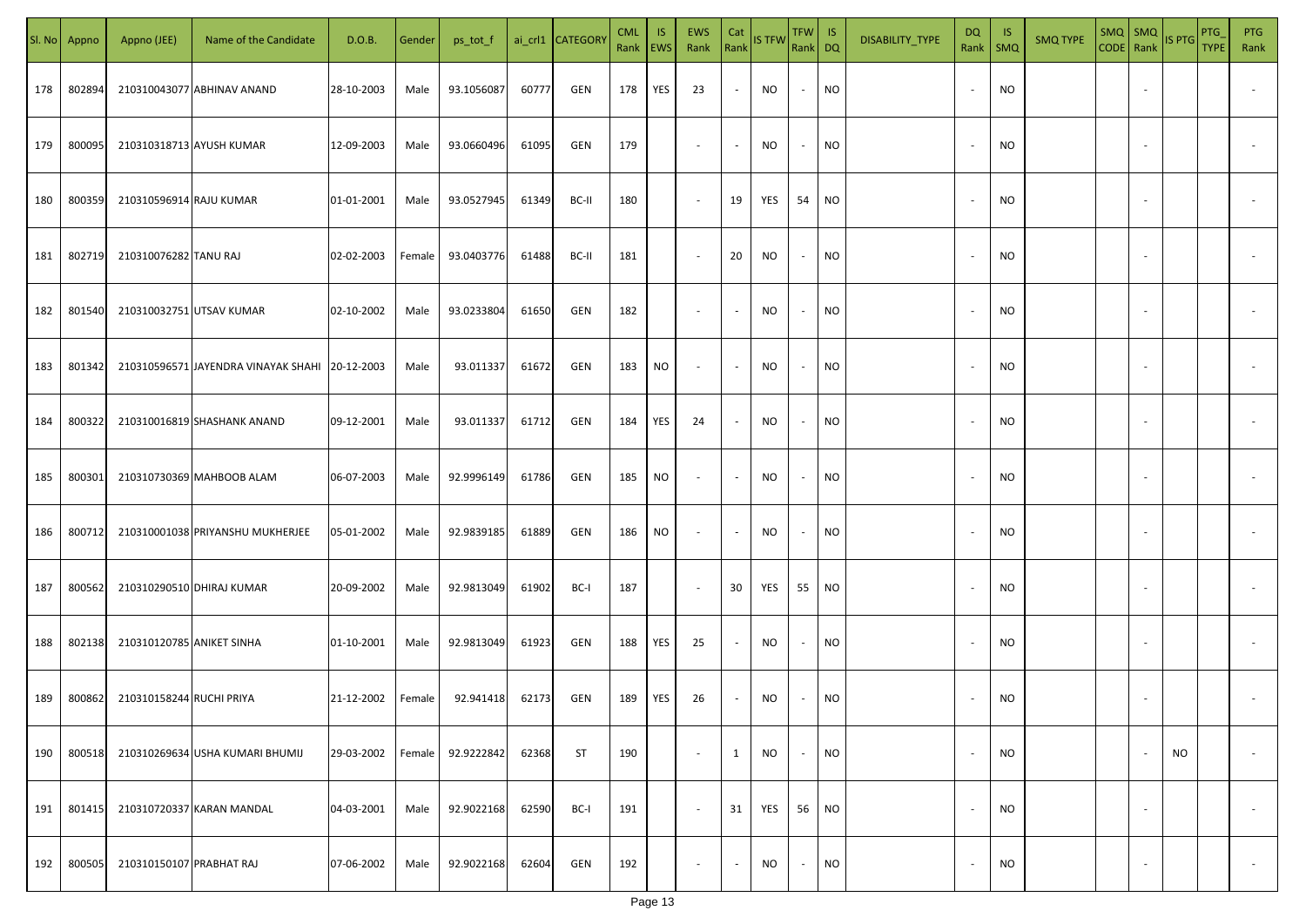|     | Sl. No Appno | Appno (JEE)               | Name of the Candidate                          | D.O.B.     | Gender | ps_tot_f   |       | ai_crl1 CATEGORY | <b>CML</b><br>Rank EWS | IS. | <b>EWS</b><br>Rank       | Cat<br>Rank              | <b>IS TFW</b> | $TFW$ IS<br>Rank DQ      |           | DISABILITY_TYPE | <b>DQ</b> | -IS<br>Rank   SMQ | <b>SMQ TYPE</b> |                          | SMQ SMQ<br>CODE Rank IS PTG | <b>PTG</b><br><b>TYPE</b> | <b>PTG</b><br>Rank       |
|-----|--------------|---------------------------|------------------------------------------------|------------|--------|------------|-------|------------------|------------------------|-----|--------------------------|--------------------------|---------------|--------------------------|-----------|-----------------|-----------|-------------------|-----------------|--------------------------|-----------------------------|---------------------------|--------------------------|
| 178 | 802894       |                           | 210310043077 ABHINAV ANAND                     | 28-10-2003 | Male   | 93.1056087 | 60777 | GEN              | 178                    | YES | 23                       | $\blacksquare$           | NO            | $\sim$                   | <b>NO</b> |                 |           | <b>NO</b>         |                 |                          |                             |                           |                          |
| 179 | 800095       |                           | 210310318713 AYUSH KUMAR                       | 12-09-2003 | Male   | 93.0660496 | 61095 | GEN              | 179                    |     | $\sim$                   | $\sim$                   | NO            | $\sim$                   | <b>NO</b> |                 | $\sim$    | <b>NO</b>         |                 |                          |                             |                           |                          |
| 180 | 800359       | 210310596914 RAJU KUMAR   |                                                | 01-01-2001 | Male   | 93.0527945 | 61349 | BC-II            | 180                    |     | $\overline{\phantom{a}}$ | 19                       | YES           | 54                       | <b>NO</b> |                 |           | <b>NO</b>         |                 |                          |                             |                           |                          |
| 181 | 802719       | 210310076282 TANU RAJ     |                                                | 02-02-2003 | Female | 93.0403776 | 61488 | BC-II            | 181                    |     | $\overline{\phantom{a}}$ | 20                       | NO            | $\sim$                   | <b>NO</b> |                 |           | NO                |                 |                          |                             |                           |                          |
| 182 | 801540       |                           | 210310032751 UTSAV KUMAR                       | 02-10-2002 | Male   | 93.0233804 | 61650 | GEN              | 182                    |     | $\overline{\phantom{a}}$ | $\overline{\phantom{a}}$ | NO            | $\overline{\phantom{a}}$ | <b>NO</b> |                 |           | NO                |                 |                          |                             |                           |                          |
| 183 | 801342       |                           | 210310596571 JAYENDRA VINAYAK SHAHI 20-12-2003 |            | Male   | 93.011337  | 61672 | GEN              | 183                    | NO  | $\overline{\phantom{a}}$ | $\sim$                   | NO            | $\sim$                   | <b>NO</b> |                 |           | <b>NO</b>         |                 |                          |                             |                           |                          |
| 184 | 800322       |                           | 210310016819 SHASHANK ANAND                    | 09-12-2001 | Male   | 93.011337  | 61712 | GEN              | 184                    | YES | 24                       | $\overline{\phantom{a}}$ | NO            | $\overline{\phantom{a}}$ | <b>NO</b> |                 |           | <b>NO</b>         |                 |                          |                             |                           |                          |
| 185 | 800301       |                           | 210310730369 MAHBOOB ALAM                      | 06-07-2003 | Male   | 92.9996149 | 61786 | GEN              | 185                    | NO. | $\sim$                   | $\sim$                   | NO            | $\overline{\phantom{a}}$ | <b>NO</b> |                 |           | <b>NO</b>         |                 |                          |                             |                           |                          |
| 186 | 800712       |                           | 210310001038 PRIYANSHU MUKHERJEE               | 05-01-2002 | Male   | 92.9839185 | 61889 | GEN              | 186                    | NO. | $\sim$                   | $\sim$                   | NO            | $\overline{\phantom{a}}$ | <b>NO</b> |                 |           | NO                |                 |                          |                             |                           |                          |
| 187 | 800562       |                           | 210310290510 DHIRAJ KUMAR                      | 20-09-2002 | Male   | 92.9813049 | 61902 | BC-I             | 187                    |     | $\sim$                   | 30                       | YES           | 55                       | <b>NO</b> |                 |           | <b>NO</b>         |                 |                          |                             |                           |                          |
| 188 | 802138       | 210310120785 ANIKET SINHA |                                                | 01-10-2001 | Male   | 92.9813049 | 61923 | GEN              | 188                    | YES | 25                       | $\overline{\phantom{a}}$ | <b>NO</b>     | $\overline{\phantom{a}}$ | <b>NO</b> |                 |           | <b>NO</b>         |                 |                          |                             |                           |                          |
| 189 | 800862       | 210310158244 RUCHI PRIYA  |                                                | 21-12-2002 | Female | 92.941418  | 62173 | GEN              | 189                    | YES | 26                       | $\overline{\phantom{a}}$ | NO            |                          | <b>NO</b> |                 |           | <b>NO</b>         |                 |                          |                             |                           |                          |
| 190 | 800518       |                           | 210310269634 USHA KUMARI BHUMIJ                | 29-03-2002 | Female | 92.9222842 | 62368 | <b>ST</b>        | 190                    |     | $\overline{\phantom{a}}$ | 1                        | NO            | $\overline{\phantom{a}}$ | <b>NO</b> |                 |           | NO                |                 | $\overline{\phantom{a}}$ | NO                          |                           | $\overline{\phantom{a}}$ |
| 191 | 801415       |                           | 210310720337 KARAN MANDAL                      | 04-03-2001 | Male   | 92.9022168 | 62590 | BC-I             | 191                    |     | $\sim$                   | 31                       | YES           | 56                       | <b>NO</b> |                 | $\sim$    | <b>NO</b>         |                 | $\overline{\phantom{a}}$ |                             |                           | $\overline{\phantom{a}}$ |
| 192 | 800505       | 210310150107 PRABHAT RAJ  |                                                | 07-06-2002 | Male   | 92.9022168 | 62604 | GEN              | 192                    |     | $\overline{\phantom{a}}$ | $\sim$                   | NO            | $\overline{\phantom{a}}$ | <b>NO</b> |                 |           | <b>NO</b>         |                 | $\overline{\phantom{a}}$ |                             |                           | $\sim$                   |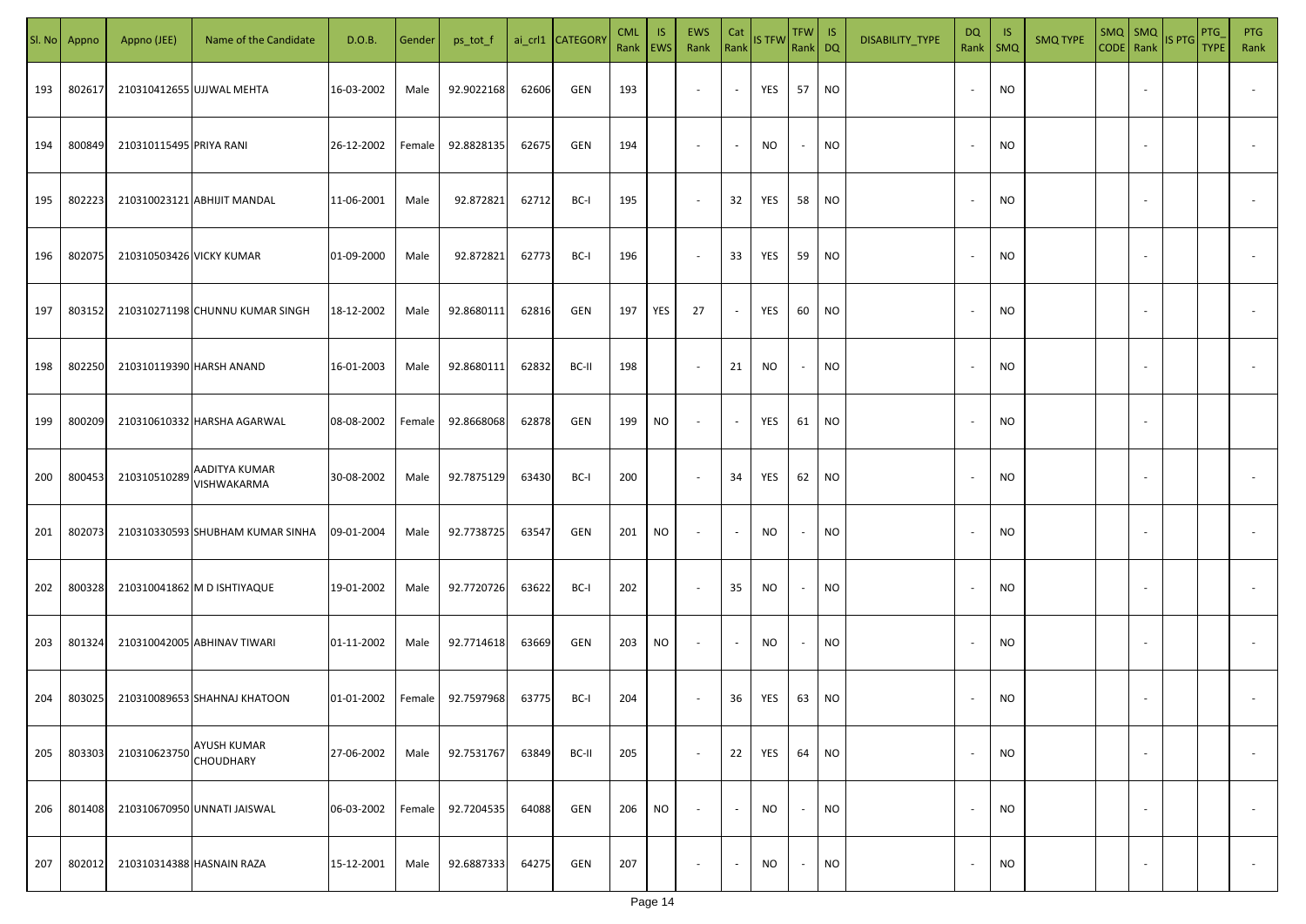| SI. No | Appno  | Appno (JEE)              | Name of the Candidate                  | D.O.B.     | Gender | ps_tot_f   |       | ai_crl1 CATEGORY | <b>CML</b><br>Rank | IS.<br> EWS | EWS<br>Rank              | Cat<br>Rank              | <b>IS TFW</b> | TFW IS<br>Rank DQ |                 | DISABILITY_TYPE | DQ<br>Rank               | - IS<br>SMQ | <b>SMQ TYPE</b> | $SMQ$ $SMQ$              | CODE Rank IS PTG | PTG<br><b>TYPE</b> | <b>PTG</b><br>Rank       |
|--------|--------|--------------------------|----------------------------------------|------------|--------|------------|-------|------------------|--------------------|-------------|--------------------------|--------------------------|---------------|-------------------|-----------------|-----------------|--------------------------|-------------|-----------------|--------------------------|------------------|--------------------|--------------------------|
| 193    | 802617 |                          | 210310412655 UJJWAL MEHTA              | 16-03-2002 | Male   | 92.9022168 | 62606 | GEN              | 193                |             | $\overline{\phantom{a}}$ | $\sim$                   | YES           | 57                | <b>NO</b>       |                 | $\overline{\phantom{a}}$ | <b>NO</b>   |                 |                          |                  |                    |                          |
| 194    | 800849 | 210310115495 PRIYA RANI  |                                        | 26-12-2002 | Female | 92.8828135 | 62675 | GEN              | 194                |             | $\overline{\phantom{a}}$ | $\blacksquare$           | <b>NO</b>     | $\sim$            | <b>NO</b>       |                 | $\sim$                   | <b>NO</b>   |                 |                          |                  |                    |                          |
| 195    | 802223 |                          | 210310023121 ABHIJIT MANDAL            | 11-06-2001 | Male   | 92.872821  | 62712 | BC-I             | 195                |             | $\sim$                   | 32                       | YES           | 58                | <b>NO</b>       |                 | $\sim$                   | <b>NO</b>   |                 |                          |                  |                    |                          |
| 196    | 802075 | 210310503426 VICKY KUMAR |                                        | 01-09-2000 | Male   | 92.872821  | 62773 | BC-I             | 196                |             | $\sim$                   | 33                       | YES           | 59                | <b>NO</b>       |                 |                          | <b>NO</b>   |                 |                          |                  |                    |                          |
| 197    | 803152 |                          | 210310271198 CHUNNU KUMAR SINGH        | 18-12-2002 | Male   | 92.8680111 | 62816 | GEN              | 197                | YES         | 27                       | $\sim$                   | YES           | 60                | <b>NO</b>       |                 |                          | <b>NO</b>   |                 |                          |                  |                    |                          |
| 198    | 802250 | 210310119390 HARSH ANAND |                                        | 16-01-2003 | Male   | 92.8680111 | 62832 | BC-II            | 198                |             | $\overline{\phantom{a}}$ | 21                       | <b>NO</b>     | $\sim$            | <b>NO</b>       |                 |                          | <b>NO</b>   |                 |                          |                  |                    |                          |
| 199    | 800209 |                          | 210310610332 HARSHA AGARWAL            | 08-08-2002 | Female | 92.8668068 | 62878 | GEN              | 199                | NO          | $\sim$                   | $\overline{\phantom{a}}$ | YES           | 61                | NO              |                 |                          | <b>NO</b>   |                 |                          |                  |                    |                          |
| 200    | 800453 | 210310510289             | AADITYA KUMAR<br>VISHWAKARMA           | 30-08-2002 | Male   | 92.7875129 | 63430 | BC-I             | 200                |             | $\sim$                   | 34                       | YES           | 62                | <b>NO</b>       |                 |                          | <b>NO</b>   |                 |                          |                  |                    |                          |
| 201    | 802073 |                          | 210310330593 SHUBHAM KUMAR SINHA       | 09-01-2004 | Male   | 92.7738725 | 63547 | GEN              | 201                | NO          | $\sim$                   | $\sim$                   | <b>NO</b>     | $\sim$            | <b>NO</b>       |                 |                          | <b>NO</b>   |                 |                          |                  |                    |                          |
| 202    | 800328 |                          | 210310041862 M D ISHTIYAQUE            | 19-01-2002 | Male   | 92.7720726 | 63622 | BC-I             | 202                |             | $\sim$                   | 35                       | <b>NO</b>     | $\sim$            | <b>NO</b>       |                 |                          | <b>NO</b>   |                 |                          |                  |                    |                          |
| 203    | 801324 |                          | 210310042005 ABHINAV TIWARI            | 01-11-2002 | Male   | 92.7714618 | 63669 | GEN              | 203                | NO          | $\sim$                   | $\sim$                   | <b>NO</b>     | $\sim$            | <b>NO</b>       |                 |                          | <b>NO</b>   |                 |                          |                  |                    |                          |
| 204    | 803025 |                          | 210310089653 SHAHNAJ KHATOON           | 01-01-2002 | Female | 92.7597968 | 63775 | BC-I             | 204                |             | $\sim$                   | 36                       | YES           | 63                | NO <sub>1</sub> |                 |                          | NO          |                 |                          |                  |                    |                          |
| 205    | 803303 | 210310623750             | <b>AYUSH KUMAR</b><br><b>CHOUDHARY</b> | 27-06-2002 | Male   | 92.7531767 | 63849 | BC-II            | 205                |             | $\sim$                   | 22                       | YES           | 64                | <b>NO</b>       |                 |                          | <b>NO</b>   |                 | $\sim$                   |                  |                    | $\overline{\phantom{a}}$ |
| 206    | 801408 |                          | 210310670950 UNNATI JAISWAL            | 06-03-2002 | Female | 92.7204535 | 64088 | GEN              | 206                | <b>NO</b>   | $\overline{\phantom{a}}$ | $\sim$                   | NO.           | $\sim$            | <b>NO</b>       |                 | $\overline{\phantom{a}}$ | <b>NO</b>   |                 | $\sim$                   |                  |                    | $\overline{\phantom{a}}$ |
| 207    | 802012 |                          | 210310314388 HASNAIN RAZA              | 15-12-2001 | Male   | 92.6887333 | 64275 | GEN              | 207                |             | $\overline{\phantom{a}}$ | $\sim$                   | NO            | $\sim$            | <b>NO</b>       |                 |                          | <b>NO</b>   |                 | $\overline{\phantom{a}}$ |                  |                    | $\sim$                   |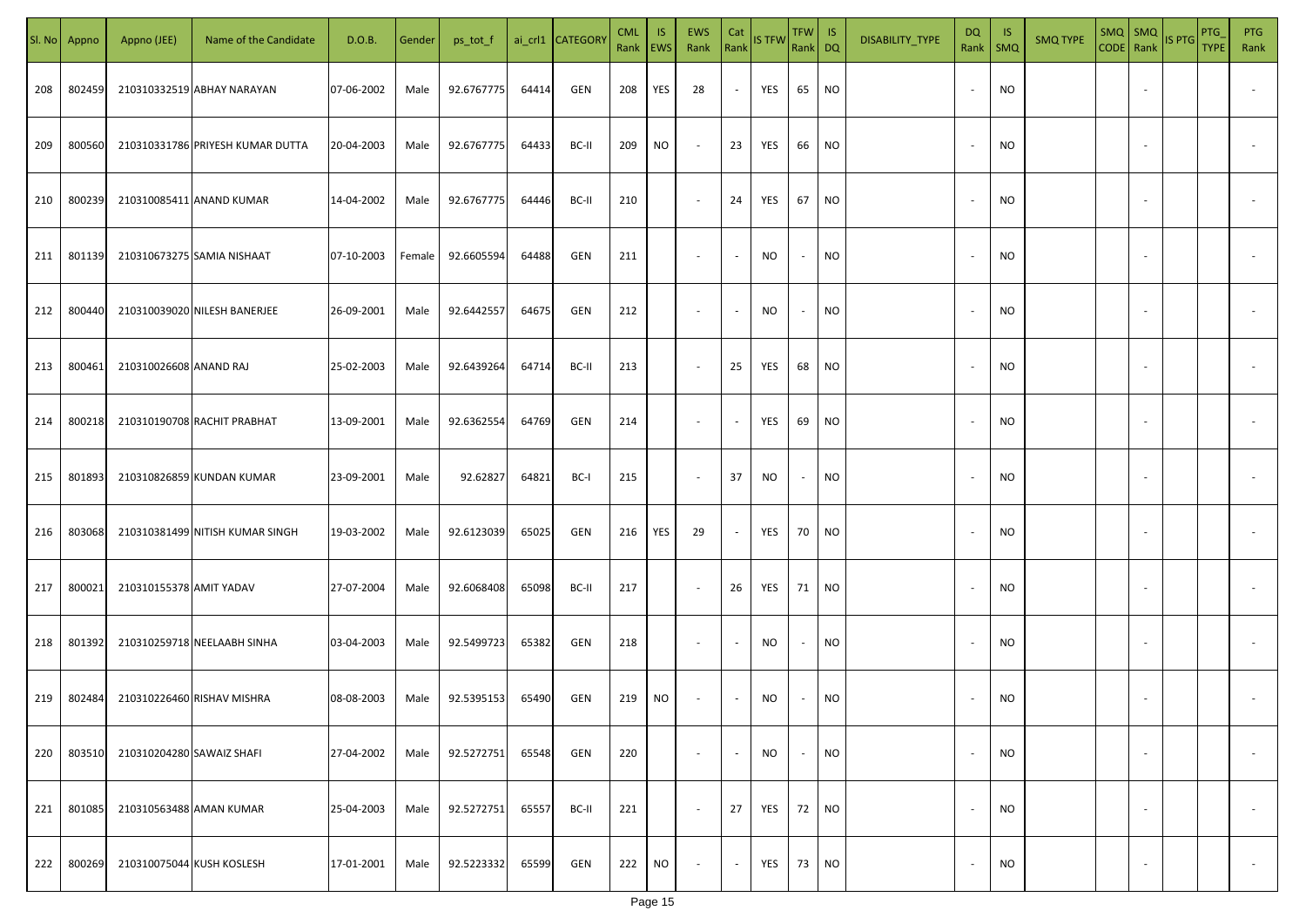|     | Sl. No Appno | Appno (JEE)               | Name of the Candidate            | D.O.B.     | Gender | ps_tot_f   |       | ai_crl1 CATEGORY | <b>CML</b><br>Rank EWS | IS.       | <b>EWS</b><br>Rank       | Cat<br>Rank              | <b>IS TFW</b> | $TFW$ IS<br>Rank DQ      |           | DISABILITY_TYPE | <b>DQ</b>                | -IS<br>Rank   SMQ | <b>SMQ TYPE</b> |                          | SMQ SMQ<br>CODE Rank IS PTG | <b>PTG</b><br><b>TYPE</b> | <b>PTG</b><br>Rank       |
|-----|--------------|---------------------------|----------------------------------|------------|--------|------------|-------|------------------|------------------------|-----------|--------------------------|--------------------------|---------------|--------------------------|-----------|-----------------|--------------------------|-------------------|-----------------|--------------------------|-----------------------------|---------------------------|--------------------------|
| 208 | 802459       |                           | 210310332519 ABHAY NARAYAN       | 07-06-2002 | Male   | 92.6767775 | 64414 | GEN              | 208                    | YES       | 28                       | $\overline{\phantom{a}}$ | YES           | 65                       | <b>NO</b> |                 |                          | <b>NO</b>         |                 |                          |                             |                           |                          |
| 209 | 800560       |                           | 210310331786 PRIYESH KUMAR DUTTA | 20-04-2003 | Male   | 92.6767775 | 64433 | BC-II            | 209                    | NO        | $\sim$                   | 23                       | YES           | 66                       | <b>NO</b> |                 |                          | <b>NO</b>         |                 |                          |                             |                           |                          |
| 210 | 800239       |                           | 210310085411 ANAND KUMAR         | 14-04-2002 | Male   | 92.6767775 | 64446 | BC-II            | 210                    |           | $\overline{\phantom{a}}$ | 24                       | YES           | 67                       | <b>NO</b> |                 |                          | <b>NO</b>         |                 |                          |                             |                           |                          |
| 211 | 801139       |                           | 210310673275 SAMIA NISHAAT       | 07-10-2003 | Female | 92.6605594 | 64488 | GEN              | 211                    |           | $\overline{\phantom{a}}$ | $\sim$                   | NO            | $\sim$                   | <b>NO</b> |                 |                          | NO                |                 |                          |                             |                           |                          |
| 212 | 800440       |                           | 210310039020 NILESH BANERJEE     | 26-09-2001 | Male   | 92.6442557 | 64675 | GEN              | 212                    |           | $\overline{\phantom{a}}$ | $\overline{\phantom{a}}$ | NO            | $\overline{\phantom{a}}$ | <b>NO</b> |                 |                          | NO                |                 |                          |                             |                           |                          |
| 213 | 800461       | 210310026608 ANAND RAJ    |                                  | 25-02-2003 | Male   | 92.6439264 | 64714 | BC-II            | 213                    |           | $\overline{\phantom{a}}$ | 25                       | YES           | 68                       | <b>NO</b> |                 |                          | <b>NO</b>         |                 |                          |                             |                           |                          |
| 214 | 800218       |                           | 210310190708 RACHIT PRABHAT      | 13-09-2001 | Male   | 92.6362554 | 64769 | GEN              | 214                    |           | $\overline{\phantom{a}}$ | $\overline{\phantom{a}}$ | YES           | 69                       | <b>NO</b> |                 |                          | <b>NO</b>         |                 |                          |                             |                           |                          |
| 215 | 801893       |                           | 210310826859 KUNDAN KUMAR        | 23-09-2001 | Male   | 92.62827   | 64821 | BC-I             | 215                    |           | $\sim$                   | 37                       | NO            | $\overline{\phantom{a}}$ | <b>NO</b> |                 |                          | <b>NO</b>         |                 |                          |                             |                           |                          |
| 216 | 803068       |                           | 210310381499 NITISH KUMAR SINGH  | 19-03-2002 | Male   | 92.6123039 | 65025 | GEN              | 216                    | YES       | 29                       | $\sim$                   | YES           | 70                       | <b>NO</b> |                 |                          | NO                |                 |                          |                             |                           |                          |
| 217 | 800021       | 210310155378 AMIT YADAV   |                                  | 27-07-2004 | Male   | 92.6068408 | 65098 | BC-II            | 217                    |           | $\sim$                   | 26                       | YES           | 71                       | <b>NO</b> |                 |                          | <b>NO</b>         |                 |                          |                             |                           |                          |
| 218 | 801392       |                           | 210310259718 NEELAABH SINHA      | 03-04-2003 | Male   | 92.5499723 | 65382 | GEN              | 218                    |           | $\sim$                   | $\overline{\phantom{a}}$ | NO            | $\overline{\phantom{a}}$ | <b>NO</b> |                 |                          | <b>NO</b>         |                 |                          |                             |                           |                          |
| 219 | 802484       |                           | 210310226460 RISHAV MISHRA       | 08-08-2003 | Male   | 92.5395153 | 65490 | GEN              | 219                    | NO        | $\overline{\phantom{a}}$ | $\sim$                   | NO            |                          | <b>NO</b> |                 |                          | <b>NO</b>         |                 |                          |                             |                           |                          |
| 220 | 803510       | 210310204280 SAWAIZ SHAFI |                                  | 27-04-2002 | Male   | 92.5272751 | 65548 | GEN              | 220                    |           | $\overline{\phantom{a}}$ | $\blacksquare$           | <b>NO</b>     | $\overline{\phantom{a}}$ | <b>NO</b> |                 |                          | <b>NO</b>         |                 | $\overline{\phantom{a}}$ |                             |                           | $\overline{\phantom{a}}$ |
| 221 | 801085       | 210310563488 AMAN KUMAR   |                                  | 25-04-2003 | Male   | 92.5272751 | 65557 | BC-II            | 221                    |           | $\sim$                   | 27                       | YES           | 72                       | <b>NO</b> |                 | $\overline{\phantom{a}}$ | <b>NO</b>         |                 | $\overline{\phantom{a}}$ |                             |                           | $\overline{\phantom{a}}$ |
| 222 | 800269       | 210310075044 KUSH KOSLESH |                                  | 17-01-2001 | Male   | 92.5223332 | 65599 | GEN              | 222                    | <b>NO</b> | $\overline{\phantom{a}}$ | $\blacksquare$           | YES           | 73                       | <b>NO</b> |                 |                          | <b>NO</b>         |                 | $\overline{\phantom{a}}$ |                             |                           | $\sim$                   |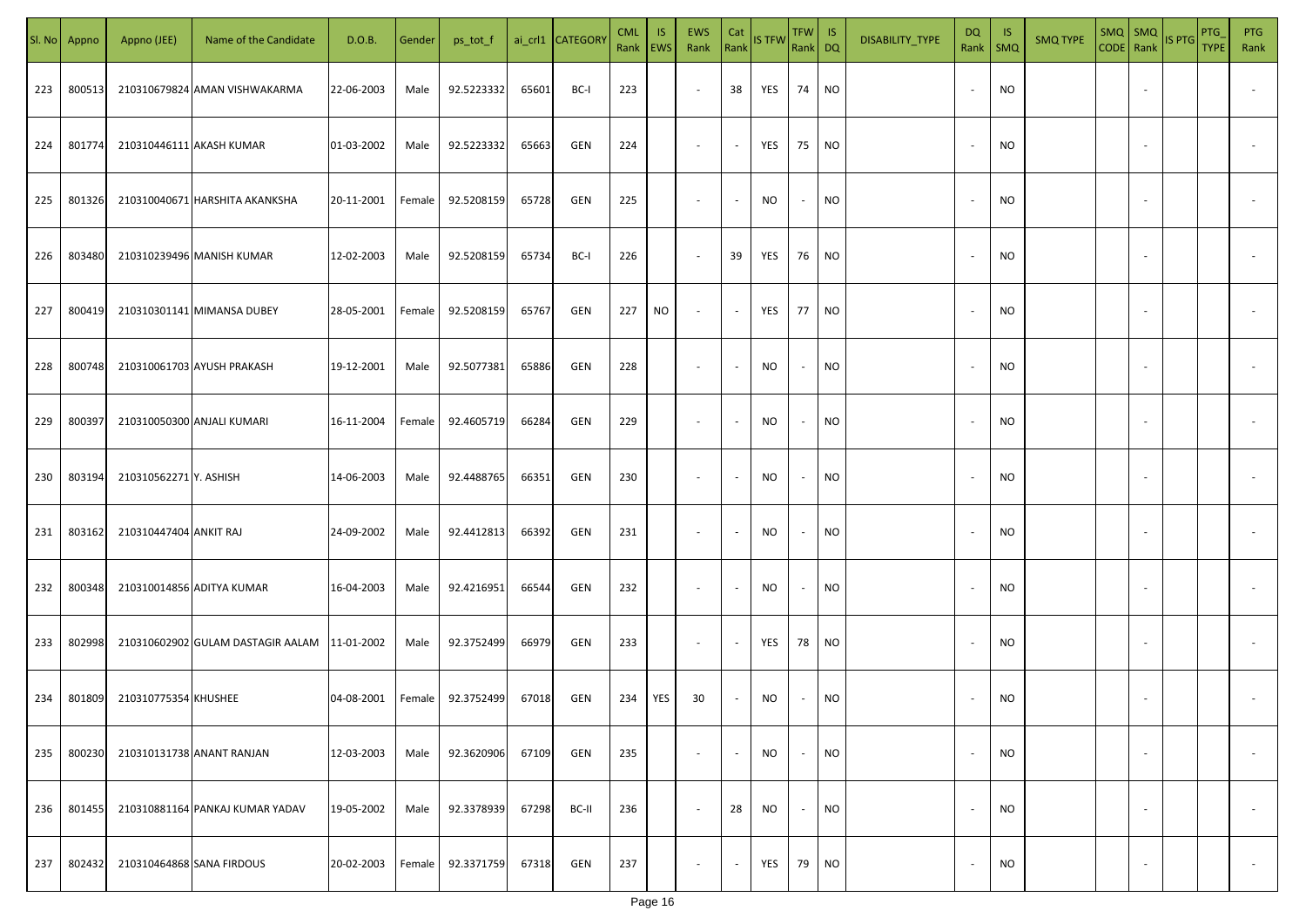|     | Sl. No Appno | Appno (JEE)            | Name of the Candidate                        | D.O.B.     | Gender | ps_tot_f   |       | ai_crl1 CATEGORY | <b>CML</b><br>Rank EWS | IS. | EWS<br>Rank              | Cat<br>Rank              | <b>IS TFW</b> | $TFW$ IS<br>Rank DQ      |           | DISABILITY_TYPE | <b>DQ</b>                | - IS<br>Rank   SMQ | <b>SMQ TYPE</b> |                          | SMQ SMQ<br>CODE Rank IS PTG | <b>PTG</b><br><b>TYPE</b> | <b>PTG</b><br>Rank       |
|-----|--------------|------------------------|----------------------------------------------|------------|--------|------------|-------|------------------|------------------------|-----|--------------------------|--------------------------|---------------|--------------------------|-----------|-----------------|--------------------------|--------------------|-----------------|--------------------------|-----------------------------|---------------------------|--------------------------|
| 223 | 800513       |                        | 210310679824 AMAN VISHWAKARMA                | 22-06-2003 | Male   | 92.5223332 | 65601 | BC-I             | 223                    |     | $\sim$                   | 38                       | YES           | 74                       | <b>NO</b> |                 |                          | <b>NO</b>          |                 |                          |                             |                           |                          |
| 224 | 801774       |                        | 210310446111 AKASH KUMAR                     | 01-03-2002 | Male   | 92.5223332 | 65663 | GEN              | 224                    |     | $\sim$                   | $\sim$                   | YES           | 75                       | <b>NO</b> |                 | $\sim$                   | <b>NO</b>          |                 |                          |                             |                           |                          |
| 225 | 801326       |                        | 210310040671 HARSHITA AKANKSHA               | 20-11-2001 | Female | 92.5208159 | 65728 | GEN              | 225                    |     | $\overline{\phantom{a}}$ | $\sim$                   | NO            | $\overline{\phantom{a}}$ | <b>NO</b> |                 |                          | <b>NO</b>          |                 |                          |                             |                           |                          |
| 226 | 803480       |                        | 210310239496 MANISH KUMAR                    | 12-02-2003 | Male   | 92.5208159 | 65734 | BC-I             | 226                    |     | $\overline{\phantom{a}}$ | 39                       | YES           | 76                       | <b>NO</b> |                 |                          | NO                 |                 |                          |                             |                           |                          |
| 227 | 800419       |                        | 210310301141 MIMANSA DUBEY                   | 28-05-2001 | Female | 92.5208159 | 65767 | GEN              | 227                    | NO  | $\overline{\phantom{a}}$ | $\sim$                   | YES           | 77                       | <b>NO</b> |                 |                          | NO                 |                 |                          |                             |                           |                          |
| 228 | 800748       |                        | 210310061703 AYUSH PRAKASH                   | 19-12-2001 | Male   | 92.5077381 | 65886 | GEN              | 228                    |     | $\overline{\phantom{a}}$ | $\overline{\phantom{a}}$ | NO            | $\sim$                   | <b>NO</b> |                 |                          | <b>NO</b>          |                 |                          |                             |                           |                          |
| 229 | 800397       |                        | 210310050300 ANJALI KUMARI                   | 16-11-2004 | Female | 92.4605719 | 66284 | GEN              | 229                    |     | $\overline{\phantom{a}}$ | $\overline{\phantom{a}}$ | NO            | $\overline{\phantom{a}}$ | <b>NO</b> |                 |                          | <b>NO</b>          |                 |                          |                             |                           |                          |
| 230 | 803194       | 210310562271 Y. ASHISH |                                              | 14-06-2003 | Male   | 92.4488765 | 66351 | GEN              | 230                    |     | $\overline{\phantom{a}}$ | $\overline{\phantom{a}}$ | NO            | $\overline{\phantom{a}}$ | <b>NO</b> |                 |                          | <b>NO</b>          |                 |                          |                             |                           |                          |
| 231 | 803162       | 210310447404 ANKIT RAJ |                                              | 24-09-2002 | Male   | 92.4412813 | 66392 | GEN              | 231                    |     | $\overline{\phantom{a}}$ | $\overline{\phantom{a}}$ | NO            | $\overline{\phantom{a}}$ | <b>NO</b> |                 |                          | NO                 |                 |                          |                             |                           |                          |
| 232 | 800348       |                        | 210310014856 ADITYA KUMAR                    | 16-04-2003 | Male   | 92.4216951 | 66544 | GEN              | 232                    |     | $\sim$                   | $\sim$                   | NO            | $\overline{\phantom{a}}$ | <b>NO</b> |                 |                          | <b>NO</b>          |                 |                          |                             |                           |                          |
| 233 | 802998       |                        | 210310602902 GULAM DASTAGIR AALAM 11-01-2002 |            | Male   | 92.3752499 | 66979 | GEN              | 233                    |     | $\sim$                   | $\overline{\phantom{a}}$ | YES           | 78                       | <b>NO</b> |                 |                          | <b>NO</b>          |                 |                          |                             |                           |                          |
| 234 | 801809       | 210310775354 KHUSHEE   |                                              | 04-08-2001 | Female | 92.3752499 | 67018 | GEN              | 234                    | YES | 30                       | $\sim$                   | NO            |                          | <b>NO</b> |                 |                          | <b>NO</b>          |                 |                          |                             |                           |                          |
| 235 | 800230       |                        | 210310131738 ANANT RANJAN                    | 12-03-2003 | Male   | 92.3620906 | 67109 | GEN              | 235                    |     | $\overline{\phantom{a}}$ | $\overline{\phantom{a}}$ | <b>NO</b>     | $\overline{\phantom{a}}$ | <b>NO</b> |                 |                          | <b>NO</b>          |                 | $\overline{\phantom{a}}$ |                             |                           | $\overline{\phantom{a}}$ |
| 236 | 801455       |                        | 210310881164 PANKAJ KUMAR YADAV              | 19-05-2002 | Male   | 92.3378939 | 67298 | BC-II            | 236                    |     | $\overline{\phantom{a}}$ | 28                       | <b>NO</b>     | $\sim$                   | <b>NO</b> |                 | $\overline{\phantom{a}}$ | <b>NO</b>          |                 | $\overline{\phantom{a}}$ |                             |                           | $\overline{\phantom{a}}$ |
| 237 | 802432       |                        | 210310464868 SANA FIRDOUS                    | 20-02-2003 | Female | 92.3371759 | 67318 | GEN              | 237                    |     | $\overline{\phantom{a}}$ | $\sim$                   | YES           | 79                       | <b>NO</b> |                 |                          | <b>NO</b>          |                 | $\overline{\phantom{a}}$ |                             |                           | $\sim$                   |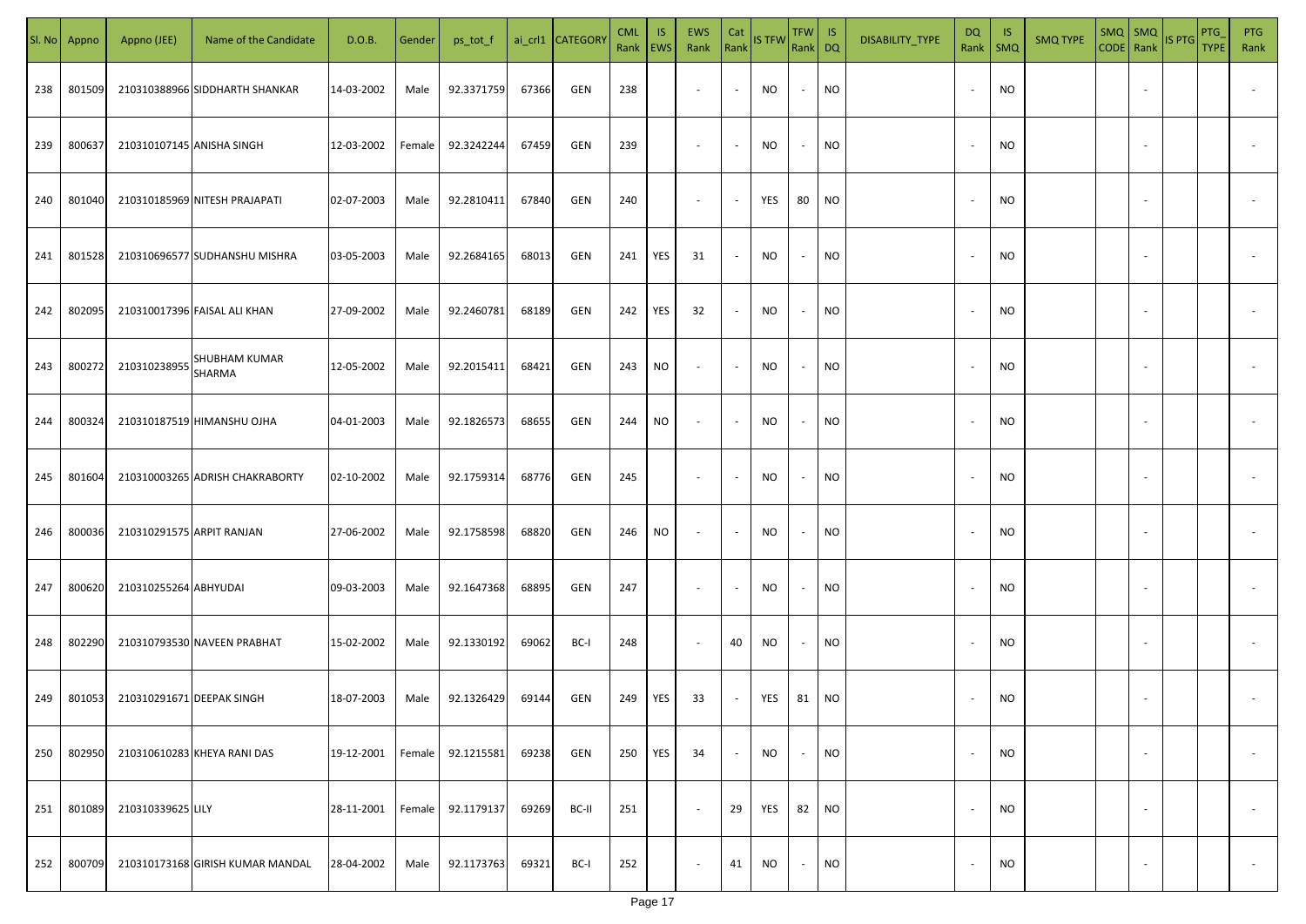| SI. No | Appno  | Appno (JEE)               | Name of the Candidate            | D.O.B.     | Gender | ps_tot_f   |       | ai_crl1 CATEGOR\ | <b>CML</b><br>Rank EWS | IS. | <b>EWS</b><br>Rank       | Cat<br>Rank              | <b>IS TFW</b> | TFW IS<br>Rank DQ |                 | DISABILITY_TYPE | DQ                       | - IS<br>Rank   SMQ | <b>SMQ TYPE</b> | SMQ   SMQ                | CODE Rank IS PTG | <b>PTG</b><br><b>TYPE</b> | <b>PTG</b><br>Rank       |
|--------|--------|---------------------------|----------------------------------|------------|--------|------------|-------|------------------|------------------------|-----|--------------------------|--------------------------|---------------|-------------------|-----------------|-----------------|--------------------------|--------------------|-----------------|--------------------------|------------------|---------------------------|--------------------------|
| 238    | 801509 |                           | 210310388966 SIDDHARTH SHANKAR   | 14-03-2002 | Male   | 92.3371759 | 67366 | GEN              | 238                    |     | $\sim$                   | $\sim$                   | NO            | $\sim$            | <b>NO</b>       |                 |                          | <b>NO</b>          |                 |                          |                  |                           |                          |
| 239    | 800637 | 210310107145 ANISHA SINGH |                                  | 12-03-2002 | Female | 92.3242244 | 67459 | GEN              | 239                    |     | $\sim$                   | $\sim$                   | <b>NO</b>     | $\sim$            | <b>NO</b>       |                 | $\sim$                   | <b>NO</b>          |                 |                          |                  |                           |                          |
| 240    | 801040 |                           | 210310185969 NITESH PRAJAPATI    | 02-07-2003 | Male   | 92.2810411 | 67840 | GEN              | 240                    |     | $\overline{\phantom{a}}$ | $\sim$                   | YES           | 80                | NO              |                 |                          | <b>NO</b>          |                 |                          |                  |                           |                          |
| 241    | 801528 |                           | 210310696577 SUDHANSHU MISHRA    | 03-05-2003 | Male   | 92.2684165 | 68013 | GEN              | 241                    | YES | 31                       | $\sim$                   | <b>NO</b>     | $\sim$            | <b>NO</b>       |                 |                          | <b>NO</b>          |                 |                          |                  |                           |                          |
| 242    | 802095 |                           | 210310017396 FAISAL ALI KHAN     | 27-09-2002 | Male   | 92.2460781 | 68189 | GEN              | 242                    | YES | 32                       | $\sim$                   | NO            | $\sim$            | <b>NO</b>       |                 |                          | NO                 |                 |                          |                  |                           |                          |
| 243    | 800272 | 210310238955              | SHUBHAM KUMAR<br><b>SHARMA</b>   | 12-05-2002 | Male   | 92.2015411 | 68421 | GEN              | 243                    | NO  | $\overline{\phantom{a}}$ | $\sim$                   | <b>NO</b>     | $\sim$            | <b>NO</b>       |                 |                          | <b>NO</b>          |                 |                          |                  |                           |                          |
| 244    | 800324 |                           | 210310187519 HIMANSHU OJHA       | 04-01-2003 | Male   | 92.1826573 | 68655 | GEN              | 244                    | NO  | $\overline{\phantom{a}}$ | $\sim$                   | NO            | $\sim$            | <b>NO</b>       |                 |                          | <b>NO</b>          |                 |                          |                  |                           |                          |
| 245    | 801604 |                           | 210310003265 ADRISH CHAKRABORTY  | 02-10-2002 | Male   | 92.1759314 | 68776 | GEN              | 245                    |     | $\sim$                   | $\sim$                   | <b>NO</b>     | $\sim$            | <b>NO</b>       |                 |                          | <b>NO</b>          |                 |                          |                  |                           |                          |
| 246    | 800036 | 210310291575 ARPIT RANJAN |                                  | 27-06-2002 | Male   | 92.1758598 | 68820 | GEN              | 246                    | NO. | $\sim$                   | $\sim$                   | NO            | $\sim$            | <b>NO</b>       |                 |                          | <b>NO</b>          |                 |                          |                  |                           |                          |
| 247    | 800620 | 210310255264 ABHYUDAI     |                                  | 09-03-2003 | Male   | 92.1647368 | 68895 | GEN              | 247                    |     | $\sim$                   | $\overline{\phantom{a}}$ | NO            | $\sim$            | <b>NO</b>       |                 |                          | <b>NO</b>          |                 |                          |                  |                           |                          |
| 248    | 802290 |                           | 210310793530 NAVEEN PRABHAT      | 15-02-2002 | Male   | 92.1330192 | 69062 | BC-I             | 248                    |     | $\sim$                   | 40                       | NO            | $\sim$            | <b>NO</b>       |                 |                          | <b>NO</b>          |                 |                          |                  |                           |                          |
| 249    | 801053 | 210310291671 DEEPAK SINGH |                                  | 18-07-2003 | Male   | 92.1326429 | 69144 | GEN              | 249                    | YES | 33                       | $\sim$                   | YES           | 81                | NO <sub>1</sub> |                 |                          | <b>NO</b>          |                 |                          |                  |                           |                          |
| 250    | 802950 |                           | 210310610283 KHEYA RANI DAS      | 19-12-2001 | Female | 92.1215581 | 69238 | GEN              | 250                    | YES | 34                       | $\sim$                   | <b>NO</b>     | $\sim$            | <b>NO</b>       |                 | $\overline{\phantom{a}}$ | <b>NO</b>          |                 | $\overline{\phantom{a}}$ |                  |                           | $\overline{\phantom{a}}$ |
| 251    | 801089 | 210310339625 LILY         |                                  | 28-11-2001 | Female | 92.1179137 | 69269 | BC-II            | 251                    |     | $\overline{\phantom{a}}$ | 29                       | YES           | 82                | NO <sub>1</sub> |                 | $\sim$                   | <b>NO</b>          |                 | $\overline{\phantom{a}}$ |                  |                           | $\overline{\phantom{a}}$ |
| 252    | 800709 |                           | 210310173168 GIRISH KUMAR MANDAL | 28-04-2002 | Male   | 92.1173763 | 69321 | BC-I             | 252                    |     | $\sim$                   | 41                       | NO            | $\sim$            | <b>NO</b>       |                 |                          | <b>NO</b>          |                 | $\overline{\phantom{a}}$ |                  |                           | $\sim$                   |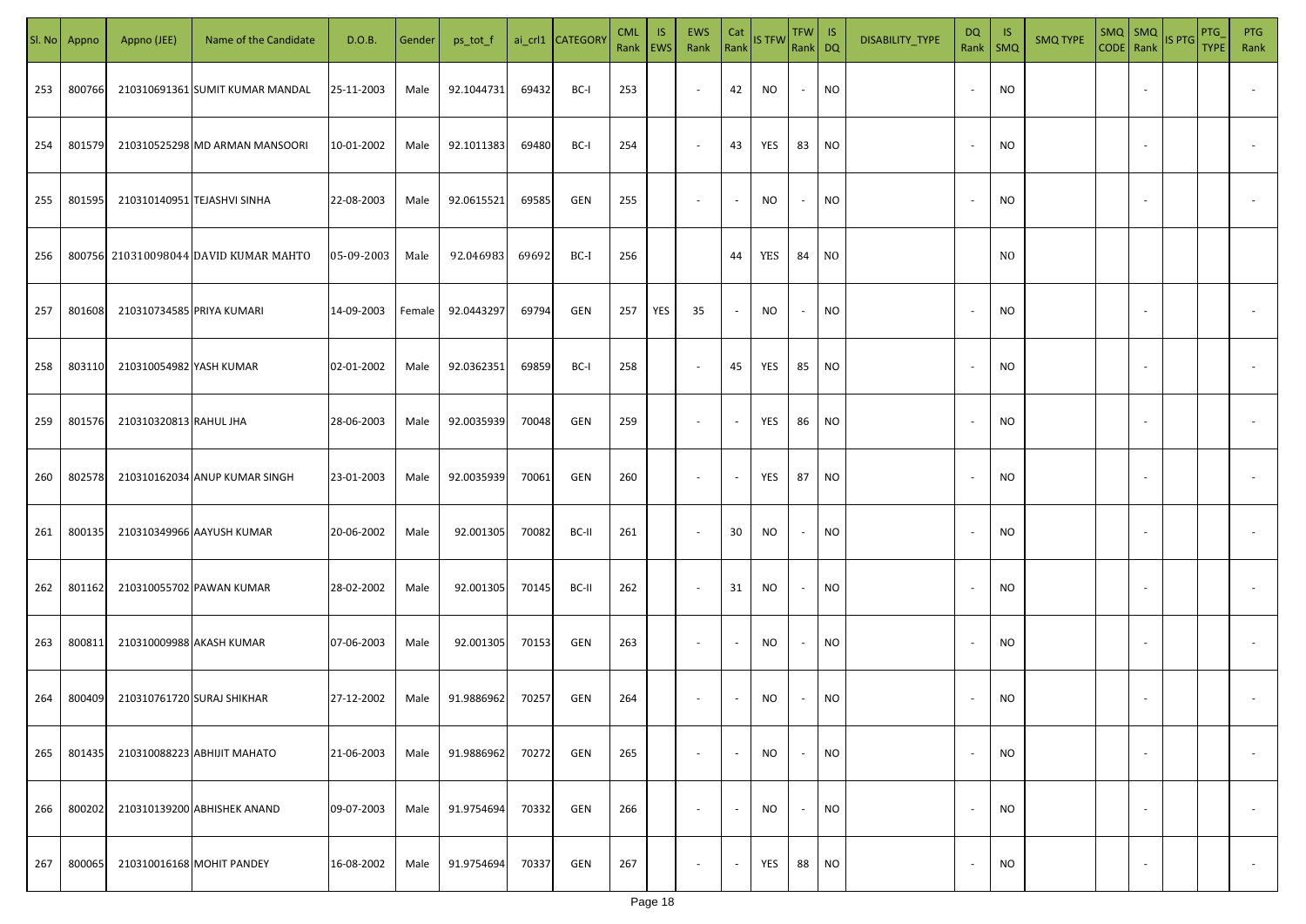|     | Sl. No Appno | Appno (JEE)               | Name of the Candidate                 | D.O.B.     | Gender | ps_tot_f   |       | ai_crl1 CATEGORY | <b>CML</b><br>Rank EWS | IS. | <b>EWS</b><br>Rank       | Cat<br>Rank              | <b>IS TFW</b> | $TFW$ IS<br>Rank DQ      |           | DISABILITY_TYPE | <b>DQ</b>                | - IS<br>Rank   SMQ | <b>SMQ TYPE</b> | SMQ SMQ |                          | CODE Rank IS PTG | <b>PTG</b><br><b>TYPE</b> | <b>PTG</b><br>Rank       |
|-----|--------------|---------------------------|---------------------------------------|------------|--------|------------|-------|------------------|------------------------|-----|--------------------------|--------------------------|---------------|--------------------------|-----------|-----------------|--------------------------|--------------------|-----------------|---------|--------------------------|------------------|---------------------------|--------------------------|
| 253 | 800766       |                           | 210310691361 SUMIT KUMAR MANDAL       | 25-11-2003 | Male   | 92.1044731 | 69432 | BC-I             | 253                    |     | $\overline{\phantom{a}}$ | 42                       | NO            | $\sim$                   | <b>NO</b> |                 |                          | <b>NO</b>          |                 |         |                          |                  |                           |                          |
| 254 | 801579       |                           | 210310525298 MD ARMAN MANSOORI        | 10-01-2002 | Male   | 92.1011383 | 69480 | BC-I             | 254                    |     | $\overline{\phantom{a}}$ | 43                       | YES           | 83                       | <b>NO</b> |                 | $\sim$                   | <b>NO</b>          |                 |         |                          |                  |                           |                          |
| 255 | 801595       |                           | 210310140951 TEJASHVI SINHA           | 22-08-2003 | Male   | 92.0615521 | 69585 | GEN              | 255                    |     | $\overline{\phantom{a}}$ | $\sim$                   | NO            | $\sim$                   | <b>NO</b> |                 |                          | <b>NO</b>          |                 |         |                          |                  |                           |                          |
| 256 |              |                           | 800756 210310098044 DAVID KUMAR MAHTO | 05-09-2003 | Male   | 92.046983  | 69692 | BC-I             | 256                    |     |                          | 44                       | YES           | 84                       | NO        |                 |                          | N <sub>0</sub>     |                 |         |                          |                  |                           |                          |
| 257 | 801608       | 210310734585 PRIYA KUMARI |                                       | 14-09-2003 | Female | 92.0443297 | 69794 | GEN              | 257                    | YES | 35                       | $\sim$                   | NO            | $\overline{\phantom{a}}$ | <b>NO</b> |                 |                          | <b>NO</b>          |                 |         |                          |                  |                           |                          |
| 258 | 803110       | 210310054982 YASH KUMAR   |                                       | 02-01-2002 | Male   | 92.0362351 | 69859 | BC-I             | 258                    |     | $\overline{\phantom{a}}$ | 45                       | YES           | 85                       | <b>NO</b> |                 |                          | <b>NO</b>          |                 |         |                          |                  |                           |                          |
| 259 | 801576       | 210310320813 RAHUL JHA    |                                       | 28-06-2003 | Male   | 92.0035939 | 70048 | GEN              | 259                    |     | $\overline{\phantom{a}}$ | $\sim$                   | YES           | 86                       | <b>NO</b> |                 |                          | <b>NO</b>          |                 |         |                          |                  |                           |                          |
| 260 | 802578       |                           | 210310162034 ANUP KUMAR SINGH         | 23-01-2003 | Male   | 92.0035939 | 70061 | GEN              | 260                    |     | $\sim$                   | $\overline{\phantom{a}}$ | YES           | 87                       | <b>NO</b> |                 |                          | <b>NO</b>          |                 |         |                          |                  |                           |                          |
| 261 | 800135       |                           | 210310349966 AAYUSH KUMAR             | 20-06-2002 | Male   | 92.001305  | 70082 | BC-II            | 261                    |     | $\sim$                   | 30                       | NO            | $\sim$                   | <b>NO</b> |                 |                          | NO                 |                 |         |                          |                  |                           |                          |
| 262 | 801162       |                           | 210310055702 PAWAN KUMAR              | 28-02-2002 | Male   | 92.001305  | 70145 | BC-II            | 262                    |     | $\sim$                   | 31                       | NO            | $\sim$                   | <b>NO</b> |                 |                          | <b>NO</b>          |                 |         |                          |                  |                           |                          |
| 263 | 800811       | 210310009988 AKASH KUMAR  |                                       | 07-06-2003 | Male   | 92.001305  | 70153 | GEN              | 263                    |     | $\sim$                   | $\overline{\phantom{a}}$ | NO            | $\overline{\phantom{a}}$ | <b>NO</b> |                 |                          | <b>NO</b>          |                 |         |                          |                  |                           |                          |
| 264 | 800409       |                           | 210310761720 SURAJ SHIKHAR            | 27-12-2002 | Male   | 91.9886962 | 70257 | GEN              | 264                    |     | $\overline{\phantom{a}}$ | $\overline{\phantom{a}}$ | NO            |                          | <b>NO</b> |                 |                          | <b>NO</b>          |                 |         |                          |                  |                           |                          |
| 265 | 801435       |                           | 210310088223 ABHIJIT MAHATO           | 21-06-2003 | Male   | 91.9886962 | 70272 | GEN              | 265                    |     | $\overline{\phantom{a}}$ | $\overline{\phantom{a}}$ | NO            | $\overline{\phantom{a}}$ | <b>NO</b> |                 |                          | <b>NO</b>          |                 |         | $\overline{\phantom{a}}$ |                  |                           | $\overline{\phantom{a}}$ |
| 266 | 800202       |                           | 210310139200 ABHISHEK ANAND           | 09-07-2003 | Male   | 91.9754694 | 70332 | GEN              | 266                    |     | $\overline{\phantom{a}}$ | $\overline{\phantom{a}}$ | <b>NO</b>     | $\overline{\phantom{a}}$ | <b>NO</b> |                 | $\overline{\phantom{a}}$ | <b>NO</b>          |                 |         | $\overline{\phantom{a}}$ |                  |                           | $\overline{\phantom{a}}$ |
| 267 | 800065       |                           | 210310016168 MOHIT PANDEY             | 16-08-2002 | Male   | 91.9754694 | 70337 | GEN              | 267                    |     | $\overline{\phantom{a}}$ | $\sim$                   | YES           | 88                       | <b>NO</b> |                 |                          | <b>NO</b>          |                 |         | $\overline{\phantom{a}}$ |                  |                           | $\overline{\phantom{a}}$ |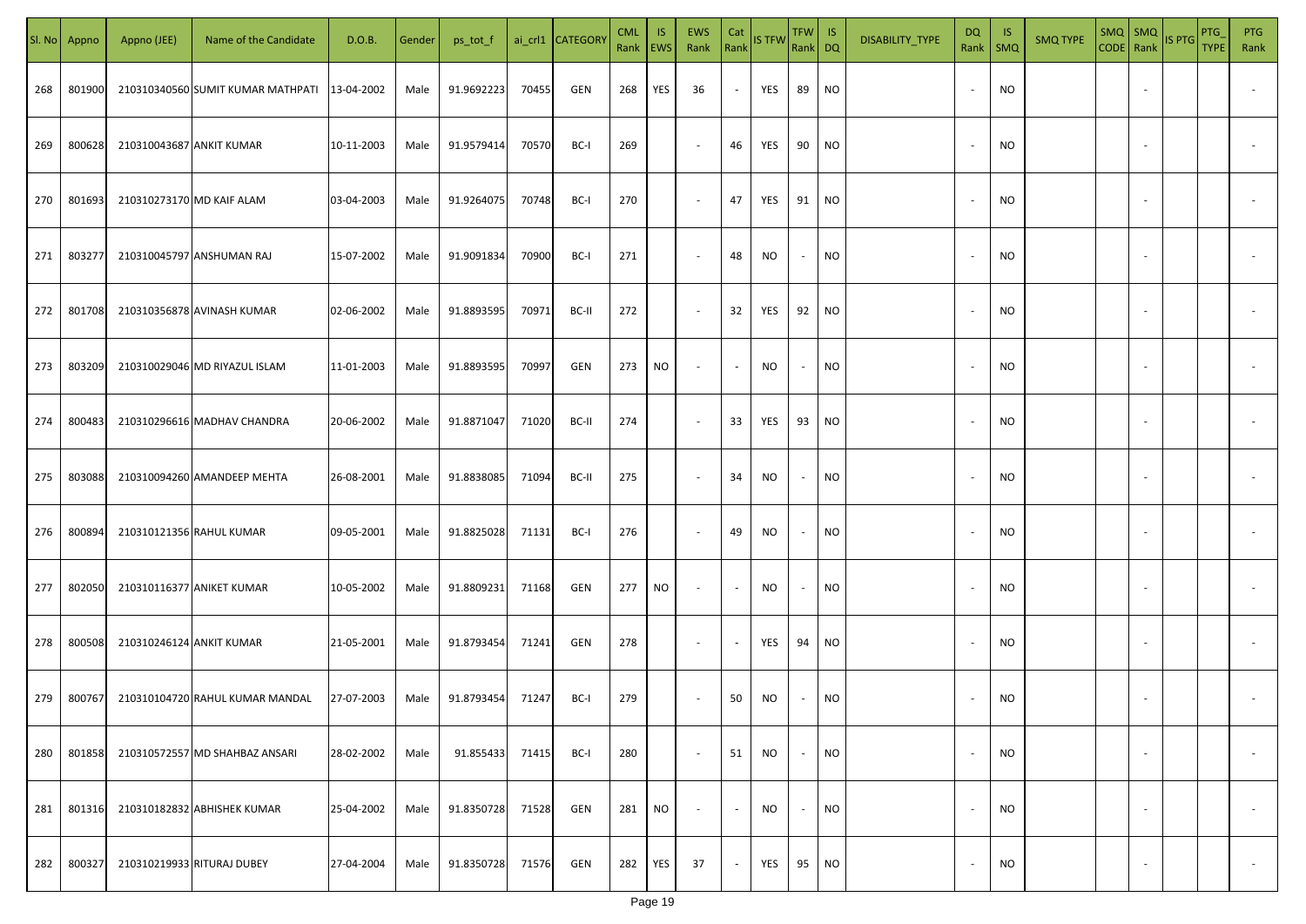| SI. No. | Appno  | Appno (JEE)              | Name of the Candidate             | D.O.B.     | Gender | ps_tot_f   |       | ai_crl1 CATEGORY | <b>CML</b><br>Rank   EWS | IS. | <b>EWS</b><br>Rank       | Cat<br>Rank              | <b>IS TFW</b> | $TFW$ IS<br>Rank DQ      |           | DISABILITY_TYPE | DQ                       | -IS<br>Rank   SMQ | <b>SMQ TYPE</b> |                          | $\begin{array}{ c c c c }\n\hline\n\text{SMQ} & \text{SMQ} \\ \hline\n\text{CODE} & \text{Rank}\n\end{array}$ IS PTG | <b>PTG</b><br><b>TYPE</b> | <b>PTG</b><br>Rank       |
|---------|--------|--------------------------|-----------------------------------|------------|--------|------------|-------|------------------|--------------------------|-----|--------------------------|--------------------------|---------------|--------------------------|-----------|-----------------|--------------------------|-------------------|-----------------|--------------------------|----------------------------------------------------------------------------------------------------------------------|---------------------------|--------------------------|
| 268     | 801900 |                          | 210310340560 SUMIT KUMAR MATHPATI | 13-04-2002 | Male   | 91.9692223 | 70455 | GEN              | 268                      | YES | 36                       | $\sim$                   | YES           | 89                       | <b>NO</b> |                 |                          | <b>NO</b>         |                 |                          |                                                                                                                      |                           |                          |
| 269     | 800628 | 210310043687 ANKIT KUMAR |                                   | 10-11-2003 | Male   | 91.9579414 | 70570 | BC-I             | 269                      |     | $\sim$                   | 46                       | YES           | 90                       | <b>NO</b> |                 |                          | <b>NO</b>         |                 |                          |                                                                                                                      |                           |                          |
| 270     | 801693 |                          | 210310273170 MD KAIF ALAM         | 03-04-2003 | Male   | 91.9264075 | 70748 | BC-I             | 270                      |     | $\overline{\phantom{a}}$ | 47                       | YES           | 91                       | <b>NO</b> |                 | $\sim$                   | <b>NO</b>         |                 |                          |                                                                                                                      |                           |                          |
| 271     | 803277 |                          | 210310045797 ANSHUMAN RAJ         | 15-07-2002 | Male   | 91.9091834 | 70900 | BC-I             | 271                      |     | $\overline{\phantom{a}}$ | 48                       | NO            | $\overline{\phantom{a}}$ | <b>NO</b> |                 | $\sim$                   | <b>NO</b>         |                 |                          |                                                                                                                      |                           |                          |
| 272     | 801708 |                          | 210310356878 AVINASH KUMAR        | 02-06-2002 | Male   | 91.8893595 | 70971 | BC-II            | 272                      |     | $\overline{\phantom{a}}$ | 32                       | YES           | 92                       | <b>NO</b> |                 | $\sim$                   | <b>NO</b>         |                 |                          |                                                                                                                      |                           |                          |
| 273     | 803209 |                          | 210310029046 MD RIYAZUL ISLAM     | 11-01-2003 | Male   | 91.8893595 | 70997 | GEN              | 273                      | NO  | $\overline{\phantom{a}}$ | $\overline{\phantom{a}}$ | NO            | $\overline{\phantom{a}}$ | <b>NO</b> |                 |                          | <b>NO</b>         |                 |                          |                                                                                                                      |                           |                          |
| 274     | 800483 |                          | 210310296616 MADHAV CHANDRA       | 20-06-2002 | Male   | 91.8871047 | 71020 | BC-II            | 274                      |     | $\overline{\phantom{a}}$ | 33                       | YES           | 93                       | <b>NO</b> |                 |                          | <b>NO</b>         |                 |                          |                                                                                                                      |                           |                          |
| 275     | 803088 |                          | 210310094260 AMANDEEP MEHTA       | 26-08-2001 | Male   | 91.8838085 | 71094 | BC-II            | 275                      |     | $\overline{\phantom{a}}$ | 34                       | NO            | $\overline{\phantom{a}}$ | <b>NO</b> |                 |                          | <b>NO</b>         |                 |                          |                                                                                                                      |                           |                          |
| 276     | 800894 |                          | 210310121356 RAHUL KUMAR          | 09-05-2001 | Male   | 91.8825028 | 71131 | BC-I             | 276                      |     | $\overline{\phantom{a}}$ | 49                       | NO            | $\overline{\phantom{a}}$ | <b>NO</b> |                 |                          | <b>NO</b>         |                 |                          |                                                                                                                      |                           |                          |
| 277     | 802050 |                          | 210310116377 ANIKET KUMAR         | 10-05-2002 | Male   | 91.8809231 | 71168 | GEN              | 277                      | NO. | $\sim$                   | $\overline{\phantom{a}}$ | NO            |                          | <b>NO</b> |                 |                          | <b>NO</b>         |                 |                          |                                                                                                                      |                           |                          |
| 278     | 800508 | 210310246124 ANKIT KUMAR |                                   | 21-05-2001 | Male   | 91.8793454 | 71241 | GEN              | 278                      |     | $\sim$                   | $\overline{\phantom{a}}$ | YES           | 94                       | <b>NO</b> |                 |                          | <b>NO</b>         |                 |                          |                                                                                                                      |                           |                          |
| 279     | 800767 |                          | 210310104720 RAHUL KUMAR MANDAL   | 27-07-2003 | Male   | 91.8793454 | 71247 | BC-I             | 279                      |     | $\sim$                   | 50                       | NO            |                          | <b>NO</b> |                 |                          | <b>NO</b>         |                 |                          |                                                                                                                      |                           |                          |
| 280     | 801858 |                          | 210310572557 MD SHAHBAZ ANSARI    | 28-02-2002 | Male   | 91.855433  | 71415 | BC-I             | 280                      |     | $\overline{\phantom{a}}$ | 51                       | <b>NO</b>     | $\overline{\phantom{a}}$ | <b>NO</b> |                 |                          | <b>NO</b>         |                 | $\overline{\phantom{a}}$ |                                                                                                                      |                           | $\overline{\phantom{a}}$ |
| 281     | 801316 |                          | 210310182832 ABHISHEK KUMAR       | 25-04-2002 | Male   | 91.8350728 | 71528 | GEN              | 281                      | NO. | $\overline{\phantom{a}}$ | $\sim$                   | <b>NO</b>     | $\sim$                   | <b>NO</b> |                 | $\overline{\phantom{a}}$ | <b>NO</b>         |                 | $\overline{\phantom{a}}$ |                                                                                                                      |                           | $\overline{\phantom{a}}$ |
| 282     | 800327 |                          | 210310219933 RITURAJ DUBEY        | 27-04-2004 | Male   | 91.8350728 | 71576 | GEN              | 282                      | YES | 37                       | $\overline{\phantom{a}}$ | YES           | 95                       | <b>NO</b> |                 |                          | <b>NO</b>         |                 | $\sim$                   |                                                                                                                      |                           | $\overline{\phantom{a}}$ |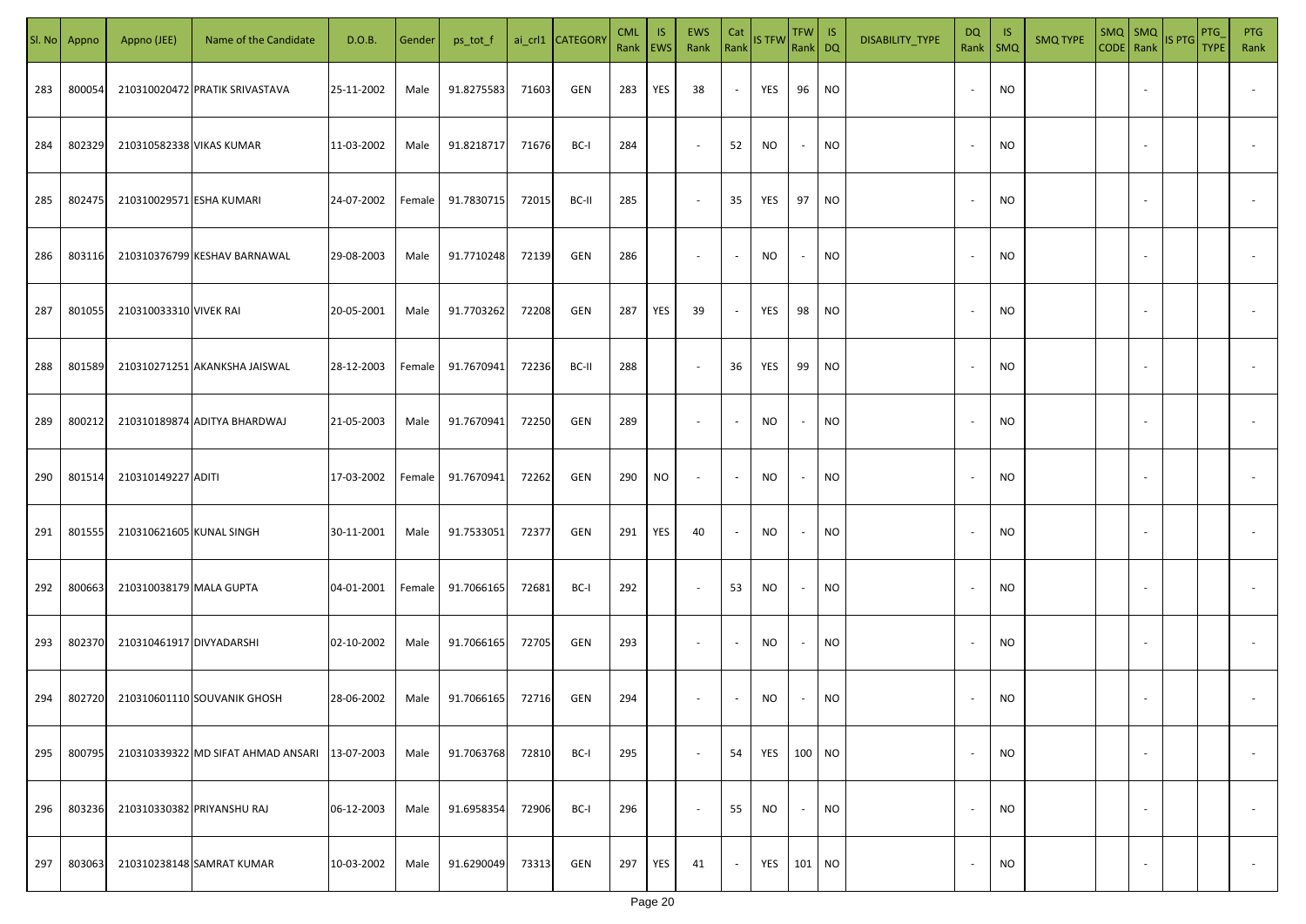| SI. No. | Appno  | Appno (JEE)              | Name of the Candidate                         | D.O.B.     | Gender | ps_tot_f   |       | ai_crl1 CATEGORY | <b>CML</b><br>Rank   EWS | IS. | <b>EWS</b><br>Rank       | Cat<br>Rank              | <b>IS TFW</b> | $TFW$ IS<br>Rank DQ      |           | DISABILITY_TYPE | DQ                       | - IS<br>Rank   SMQ | <b>SMQ TYPE</b> |                          | $\begin{array}{ c c c c }\n\hline\n\text{SMQ} & \text{SMQ} \\ \hline\n\text{CODE} & \text{Rank}\n\end{array}$ IS PTG | PTG<br><b>TYPE</b> | <b>PTG</b><br>Rank       |
|---------|--------|--------------------------|-----------------------------------------------|------------|--------|------------|-------|------------------|--------------------------|-----|--------------------------|--------------------------|---------------|--------------------------|-----------|-----------------|--------------------------|--------------------|-----------------|--------------------------|----------------------------------------------------------------------------------------------------------------------|--------------------|--------------------------|
| 283     | 800054 |                          | 210310020472 PRATIK SRIVASTAVA                | 25-11-2002 | Male   | 91.8275583 | 71603 | GEN              | 283                      | YES | 38                       | $\sim$                   | YES           | 96                       | <b>NO</b> |                 |                          | <b>NO</b>          |                 |                          |                                                                                                                      |                    |                          |
| 284     | 802329 | 210310582338 VIKAS KUMAR |                                               | 11-03-2002 | Male   | 91.8218717 | 71676 | BC-I             | 284                      |     | $\sim$                   | 52                       | NO            | $\sim$                   | <b>NO</b> |                 |                          | <b>NO</b>          |                 |                          |                                                                                                                      |                    |                          |
| 285     | 802475 | 210310029571 ESHA KUMARI |                                               | 24-07-2002 | Female | 91.7830715 | 72015 | BC-II            | 285                      |     | $\overline{\phantom{a}}$ | 35                       | YES           | 97                       | <b>NO</b> |                 | $\overline{\phantom{a}}$ | <b>NO</b>          |                 |                          |                                                                                                                      |                    |                          |
| 286     | 803116 |                          | 210310376799 KESHAV BARNAWAL                  | 29-08-2003 | Male   | 91.7710248 | 72139 | GEN              | 286                      |     | $\overline{\phantom{a}}$ | $\sim$                   | NO            | $\overline{\phantom{a}}$ | <b>NO</b> |                 | $\sim$                   | <b>NO</b>          |                 |                          |                                                                                                                      |                    |                          |
| 287     | 801055 | 210310033310 VIVEK RAI   |                                               | 20-05-2001 | Male   | 91.7703262 | 72208 | GEN              | 287                      | YES | 39                       | $\sim$                   | YES           | 98                       | <b>NO</b> |                 | $\sim$                   | <b>NO</b>          |                 |                          |                                                                                                                      |                    |                          |
| 288     | 801589 |                          | 210310271251 AKANKSHA JAISWAL                 | 28-12-2003 | Female | 91.7670941 | 72236 | BC-II            | 288                      |     | $\overline{\phantom{a}}$ | 36                       | YES           | 99                       | <b>NO</b> |                 |                          | <b>NO</b>          |                 |                          |                                                                                                                      |                    |                          |
| 289     | 800212 |                          | 210310189874 ADITYA BHARDWAJ                  | 21-05-2003 | Male   | 91.7670941 | 72250 | GEN              | 289                      |     | $\overline{\phantom{a}}$ | $\overline{\phantom{a}}$ | NO            | $\sim$                   | <b>NO</b> |                 |                          | <b>NO</b>          |                 |                          |                                                                                                                      |                    |                          |
| 290     | 801514 | 210310149227 ADITI       |                                               | 17-03-2002 | Female | 91.7670941 | 72262 | GEN              | 290                      | NO. | $\overline{\phantom{a}}$ | $\sim$                   | NO            | $\overline{\phantom{a}}$ | <b>NO</b> |                 |                          | NO                 |                 |                          |                                                                                                                      |                    |                          |
| 291     | 801555 | 210310621605 KUNAL SINGH |                                               | 30-11-2001 | Male   | 91.7533051 | 72377 | GEN              | 291                      | YES | 40                       | $\overline{\phantom{a}}$ | NO            | $\overline{\phantom{a}}$ | <b>NO</b> |                 |                          | <b>NO</b>          |                 |                          |                                                                                                                      |                    |                          |
| 292     | 800663 | 210310038179 MALA GUPTA  |                                               | 04-01-2001 | Female | 91.7066165 | 72681 | BC-I             | 292                      |     | $\sim$                   | 53                       | NO            | $\overline{\phantom{a}}$ | <b>NO</b> |                 |                          | <b>NO</b>          |                 |                          |                                                                                                                      |                    |                          |
| 293     | 802370 | 210310461917 DIVYADARSHI |                                               | 02-10-2002 | Male   | 91.7066165 | 72705 | GEN              | 293                      |     | $\sim$                   | $\sim$                   | NO            | $\overline{\phantom{a}}$ | <b>NO</b> |                 |                          | <b>NO</b>          |                 |                          |                                                                                                                      |                    |                          |
| 294     | 802720 |                          | 210310601110 SOUVANIK GHOSH                   | 28-06-2002 | Male   | 91.7066165 | 72716 | GEN              | 294                      |     | $\overline{\phantom{a}}$ |                          | NO            |                          | <b>NO</b> |                 |                          | <b>NO</b>          |                 |                          |                                                                                                                      |                    |                          |
| 295     | 800795 |                          | 210310339322 MD SIFAT AHMAD ANSARI 13-07-2003 |            | Male   | 91.7063768 | 72810 | BC-I             | 295                      |     | $\sim$                   | 54                       | YES           | 100 NO                   |           |                 |                          | <b>NO</b>          |                 | $\overline{\phantom{a}}$ |                                                                                                                      |                    | $\overline{\phantom{a}}$ |
| 296     | 803236 |                          | 210310330382 PRIYANSHU RAJ                    | 06-12-2003 | Male   | 91.6958354 | 72906 | BC-I             | 296                      |     | $\overline{\phantom{a}}$ | 55                       | <b>NO</b>     | $\sim$                   | <b>NO</b> |                 | $\overline{\phantom{a}}$ | <b>NO</b>          |                 | $\overline{\phantom{a}}$ |                                                                                                                      |                    | $\overline{\phantom{a}}$ |
| 297     | 803063 |                          | 210310238148 SAMRAT KUMAR                     | 10-03-2002 | Male   | 91.6290049 | 73313 | GEN              | 297                      | YES | 41                       | $\overline{\phantom{a}}$ | YES           | 101 NO                   |           |                 |                          | <b>NO</b>          |                 | $\sim$                   |                                                                                                                      |                    | $\sim$                   |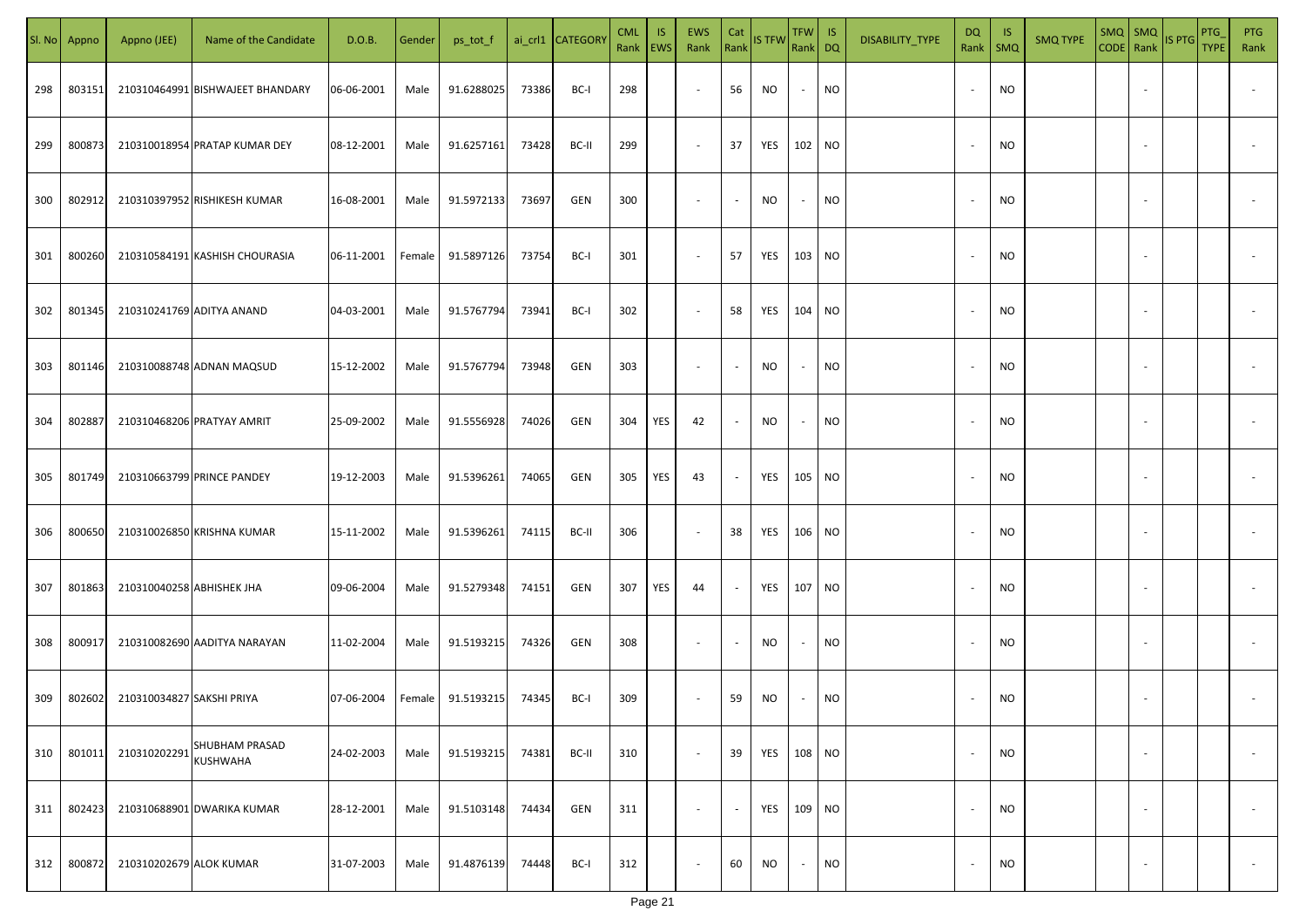| SI. No | Appno  | Appno (JEE)               | Name of the Candidate             | D.O.B.     | Gender | ps_tot_f   |       | ai_crl1 CATEGORY | <b>CML</b><br>Rank | IS.<br><b>EWS</b> | EWS<br>Rank              | Cat<br>Rank              | <b>IS TFW</b> | TFW IS<br>Rank DQ |           | DISABILITY_TYPE | DQ<br>Rank               | - IS<br>SMQ | <b>SMQ TYPE</b> | $SMQ$ $SMQ$              | CODE Rank IS PTG | PTG<br><b>TYPE</b> | <b>PTG</b><br>Rank       |
|--------|--------|---------------------------|-----------------------------------|------------|--------|------------|-------|------------------|--------------------|-------------------|--------------------------|--------------------------|---------------|-------------------|-----------|-----------------|--------------------------|-------------|-----------------|--------------------------|------------------|--------------------|--------------------------|
| 298    | 803151 |                           | 210310464991 BISHWAJEET BHANDARY  | 06-06-2001 | Male   | 91.6288025 | 73386 | BC-I             | 298                |                   | $\overline{\phantom{a}}$ | 56                       | NO            | $\sim$            | <b>NO</b> |                 | $\overline{\phantom{a}}$ | <b>NO</b>   |                 |                          |                  |                    |                          |
| 299    | 800873 |                           | 210310018954 PRATAP KUMAR DEY     | 08-12-2001 | Male   | 91.6257161 | 73428 | BC-II            | 299                |                   | $\overline{\phantom{a}}$ | 37                       | YES           | 102 NO            |           |                 | $\sim$                   | <b>NO</b>   |                 |                          |                  |                    |                          |
| 300    | 802912 |                           | 210310397952 RISHIKESH KUMAR      | 16-08-2001 | Male   | 91.5972133 | 73697 | GEN              | 300                |                   | $\sim$                   | $\sim$                   | NO            | $\sim$            | <b>NO</b> |                 | $\sim$                   | <b>NO</b>   |                 |                          |                  |                    |                          |
| 301    | 800260 |                           | 210310584191 KASHISH CHOURASIA    | 06-11-2001 | Female | 91.5897126 | 73754 | BC-I             | 301                |                   | $\sim$                   | 57                       | YES           | 103 NO            |           |                 |                          | <b>NO</b>   |                 |                          |                  |                    |                          |
| 302    | 801345 |                           | 210310241769 ADITYA ANAND         | 04-03-2001 | Male   | 91.5767794 | 73941 | BC-I             | 302                |                   | $\overline{\phantom{a}}$ | 58                       | YES           | 104 NO            |           |                 |                          | <b>NO</b>   |                 |                          |                  |                    |                          |
| 303    | 801146 |                           | 210310088748 ADNAN MAQSUD         | 15-12-2002 | Male   | 91.5767794 | 73948 | GEN              | 303                |                   | $\overline{\phantom{a}}$ | $\blacksquare$           | <b>NO</b>     | $\sim$            | <b>NO</b> |                 |                          | <b>NO</b>   |                 |                          |                  |                    |                          |
| 304    | 802887 |                           | 210310468206 PRATYAY AMRIT        | 25-09-2002 | Male   | 91.5556928 | 74026 | GEN              | 304                | YES               | 42                       | $\overline{\phantom{a}}$ | <b>NO</b>     | $\sim$            | <b>NO</b> |                 |                          | <b>NO</b>   |                 |                          |                  |                    |                          |
| 305    | 801749 |                           | 210310663799 PRINCE PANDEY        | 19-12-2003 | Male   | 91.5396261 | 74065 | GEN              | 305                | YES               | 43                       | $\sim$                   | YES           | 105 NO            |           |                 |                          | <b>NO</b>   |                 |                          |                  |                    |                          |
| 306    | 800650 |                           | 210310026850 KRISHNA KUMAR        | 15-11-2002 | Male   | 91.5396261 | 74115 | BC-II            | 306                |                   | $\sim$                   | 38                       | YES           | 106 NO            |           |                 |                          | <b>NO</b>   |                 |                          |                  |                    |                          |
| 307    | 801863 | 210310040258 ABHISHEK JHA |                                   | 09-06-2004 | Male   | 91.5279348 | 74151 | GEN              | 307                | YES               | 44                       | $\overline{\phantom{a}}$ | YES           | 107 NO            |           |                 |                          | <b>NO</b>   |                 |                          |                  |                    |                          |
| 308    | 800917 |                           | 210310082690 AADITYA NARAYAN      | 11-02-2004 | Male   | 91.5193215 | 74326 | GEN              | 308                |                   | $\overline{\phantom{a}}$ | $\overline{\phantom{a}}$ | <b>NO</b>     | $\sim$            | <b>NO</b> |                 |                          | <b>NO</b>   |                 |                          |                  |                    |                          |
| 309    | 802602 | 210310034827 SAKSHI PRIYA |                                   | 07-06-2004 | Female | 91.5193215 | 74345 | BC-I             | 309                |                   | $\sim$                   | 59                       | NO            | $\sim$            | <b>NO</b> |                 |                          | NO          |                 |                          |                  |                    |                          |
| 310    | 801011 | 210310202291              | SHUBHAM PRASAD<br><b>KUSHWAHA</b> | 24-02-2003 | Male   | 91.5193215 | 74381 | BC-II            | 310                |                   | $\sim$                   | 39                       | YES           | 108 NO            |           |                 |                          | <b>NO</b>   |                 | $\sim$                   |                  |                    | $\overline{\phantom{a}}$ |
| 311    | 802423 |                           | 210310688901 DWARIKA KUMAR        | 28-12-2001 | Male   | 91.5103148 | 74434 | GEN              | 311                |                   | $\overline{\phantom{a}}$ | $\sim$                   | YES           | 109 NO            |           |                 |                          | <b>NO</b>   |                 | $\sim$                   |                  |                    | $\overline{\phantom{a}}$ |
| 312    | 800872 | 210310202679 ALOK KUMAR   |                                   | 31-07-2003 | Male   | 91.4876139 | 74448 | BC-I             | 312                |                   | $\overline{\phantom{a}}$ | 60                       | NO            | $\sim$            | <b>NO</b> |                 |                          | <b>NO</b>   |                 | $\overline{\phantom{a}}$ |                  |                    | $\overline{\phantom{a}}$ |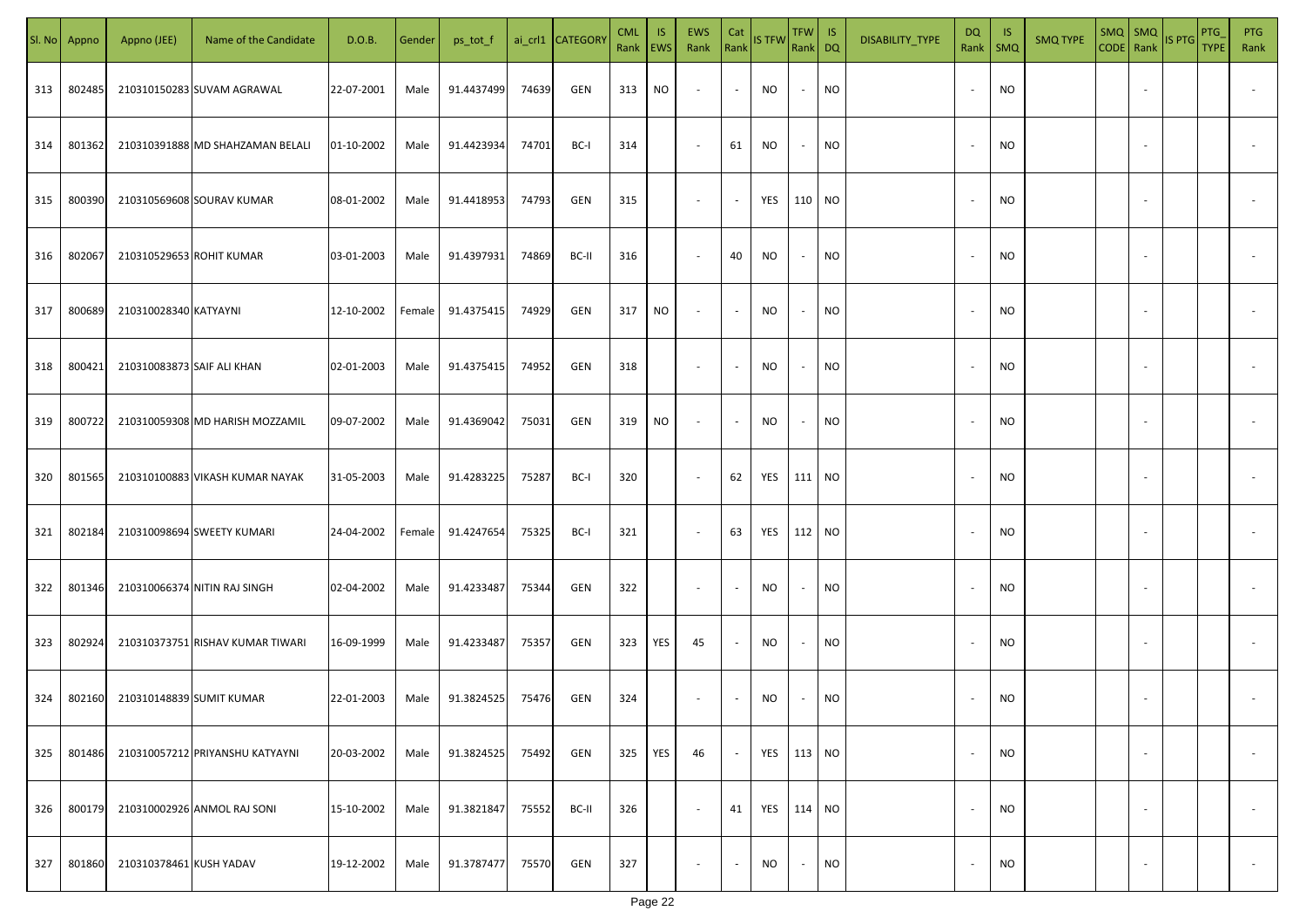| SI. No. | Appno  | Appno (JEE)                | Name of the Candidate            | D.O.B.     | Gender | ps_tot_f   |       | ai_crl1 CATEGORY | <b>CML</b><br>Rank   EWS | IS. | <b>EWS</b><br>Rank       | Cat<br>Rank              | <b>IS TFW</b> | $TFW$ IS<br>Rank DQ      |           | DISABILITY_TYPE | DQ                       | -IS<br>Rank   SMQ | <b>SMQ TYPE</b> |                          | $\begin{array}{ c c c c }\n\hline\n\text{SMQ} & \text{SMQ} \\ \hline\n\text{CODE} & \text{Rank}\n\end{array}$ IS PTG | PTG<br><b>TYPE</b> | <b>PTG</b><br>Rank       |
|---------|--------|----------------------------|----------------------------------|------------|--------|------------|-------|------------------|--------------------------|-----|--------------------------|--------------------------|---------------|--------------------------|-----------|-----------------|--------------------------|-------------------|-----------------|--------------------------|----------------------------------------------------------------------------------------------------------------------|--------------------|--------------------------|
| 313     | 802485 |                            | 210310150283 SUVAM AGRAWAL       | 22-07-2001 | Male   | 91.4437499 | 74639 | GEN              | 313                      | NO. | $\overline{\phantom{a}}$ | $\blacksquare$           | NO            | $\sim$                   | <b>NO</b> |                 |                          | <b>NO</b>         |                 |                          |                                                                                                                      |                    |                          |
| 314     | 801362 |                            | 210310391888 MD SHAHZAMAN BELALI | 01-10-2002 | Male   | 91.4423934 | 74701 | BC-I             | 314                      |     | $\sim$                   | 61                       | NO            | $\sim$                   | <b>NO</b> |                 |                          | <b>NO</b>         |                 |                          |                                                                                                                      |                    |                          |
| 315     | 800390 |                            | 210310569608 SOURAV KUMAR        | 08-01-2002 | Male   | 91.4418953 | 74793 | GEN              | 315                      |     | $\overline{\phantom{a}}$ | $\sim$                   | YES           | 110 NO                   |           |                 |                          | <b>NO</b>         |                 |                          |                                                                                                                      |                    |                          |
| 316     | 802067 | 210310529653 ROHIT KUMAR   |                                  | 03-01-2003 | Male   | 91.4397931 | 74869 | BC-II            | 316                      |     | $\overline{\phantom{a}}$ | 40                       | NO            | $\sim$                   | <b>NO</b> |                 |                          | <b>NO</b>         |                 |                          |                                                                                                                      |                    |                          |
| 317     | 800689 | 210310028340 KATYAYNI      |                                  | 12-10-2002 | Female | 91.4375415 | 74929 | GEN              | 317                      | NO  | $\overline{\phantom{a}}$ | $\sim$                   | NO            | $\sim$                   | <b>NO</b> |                 | $\sim$                   | <b>NO</b>         |                 |                          |                                                                                                                      |                    |                          |
| 318     | 800421 | 210310083873 SAIF ALI KHAN |                                  | 02-01-2003 | Male   | 91.4375415 | 74952 | GEN              | 318                      |     | $\overline{\phantom{a}}$ | $\overline{\phantom{a}}$ | NO            | $\sim$                   | <b>NO</b> |                 |                          | <b>NO</b>         |                 |                          |                                                                                                                      |                    |                          |
| 319     | 800722 |                            | 210310059308 MD HARISH MOZZAMIL  | 09-07-2002 | Male   | 91.4369042 | 75031 | GEN              | 319                      | NO. | $\overline{\phantom{a}}$ | $\overline{\phantom{a}}$ | <b>NO</b>     | $\sim$                   | <b>NO</b> |                 |                          | <b>NO</b>         |                 |                          |                                                                                                                      |                    |                          |
| 320     | 801565 |                            | 210310100883 VIKASH KUMAR NAYAK  | 31-05-2003 | Male   | 91.4283225 | 75287 | BC-I             | 320                      |     | $\overline{\phantom{a}}$ | 62                       | YES           | 111 NO                   |           |                 |                          | <b>NO</b>         |                 |                          |                                                                                                                      |                    |                          |
| 321     | 802184 |                            | 210310098694 SWEETY KUMARI       | 24-04-2002 | Female | 91.4247654 | 75325 | BC-I             | 321                      |     | $\overline{\phantom{a}}$ | 63                       | YES           | 112 NO                   |           |                 |                          | <b>NO</b>         |                 |                          |                                                                                                                      |                    |                          |
| 322     | 801346 |                            | 210310066374 NITIN RAJ SINGH     | 02-04-2002 | Male   | 91.4233487 | 75344 | GEN              | 322                      |     | $\overline{\phantom{a}}$ |                          | NO            |                          | <b>NO</b> |                 |                          | <b>NO</b>         |                 |                          |                                                                                                                      |                    |                          |
| 323     | 802924 |                            | 210310373751 RISHAV KUMAR TIWARI | 16-09-1999 | Male   | 91.4233487 | 75357 | GEN              | 323                      | YES | 45                       | $\overline{\phantom{a}}$ | NO            | $\overline{\phantom{a}}$ | <b>NO</b> |                 |                          | <b>NO</b>         |                 |                          |                                                                                                                      |                    |                          |
| 324     | 802160 | 210310148839 SUMIT KUMAR   |                                  | 22-01-2003 | Male   | 91.3824525 | 75476 | GEN              | 324                      |     | $\overline{\phantom{a}}$ |                          | NO            |                          | <b>NO</b> |                 |                          | <b>NO</b>         |                 |                          |                                                                                                                      |                    |                          |
| 325     | 801486 |                            | 210310057212 PRIYANSHU KATYAYNI  | 20-03-2002 | Male   | 91.3824525 | 75492 | GEN              | 325                      | YES | 46                       | $\sim$                   | YES           | 113 NO                   |           |                 |                          | <b>NO</b>         |                 | $\overline{\phantom{a}}$ |                                                                                                                      |                    | $\overline{\phantom{a}}$ |
| 326     | 800179 |                            | 210310002926 ANMOL RAJ SONI      | 15-10-2002 | Male   | 91.3821847 | 75552 | BC-II            | 326                      |     | $\overline{\phantom{a}}$ | 41                       | YES           | 114 NO                   |           |                 | $\overline{\phantom{a}}$ | <b>NO</b>         |                 | $\overline{\phantom{a}}$ |                                                                                                                      |                    | $\overline{\phantom{a}}$ |
| 327     | 801860 | 210310378461 KUSH YADAV    |                                  | 19-12-2002 | Male   | 91.3787477 | 75570 | GEN              | 327                      |     | $\overline{\phantom{a}}$ | $\sim$                   | <b>NO</b>     | $\sim$                   | <b>NO</b> |                 |                          | <b>NO</b>         |                 |                          |                                                                                                                      |                    | $\sim$                   |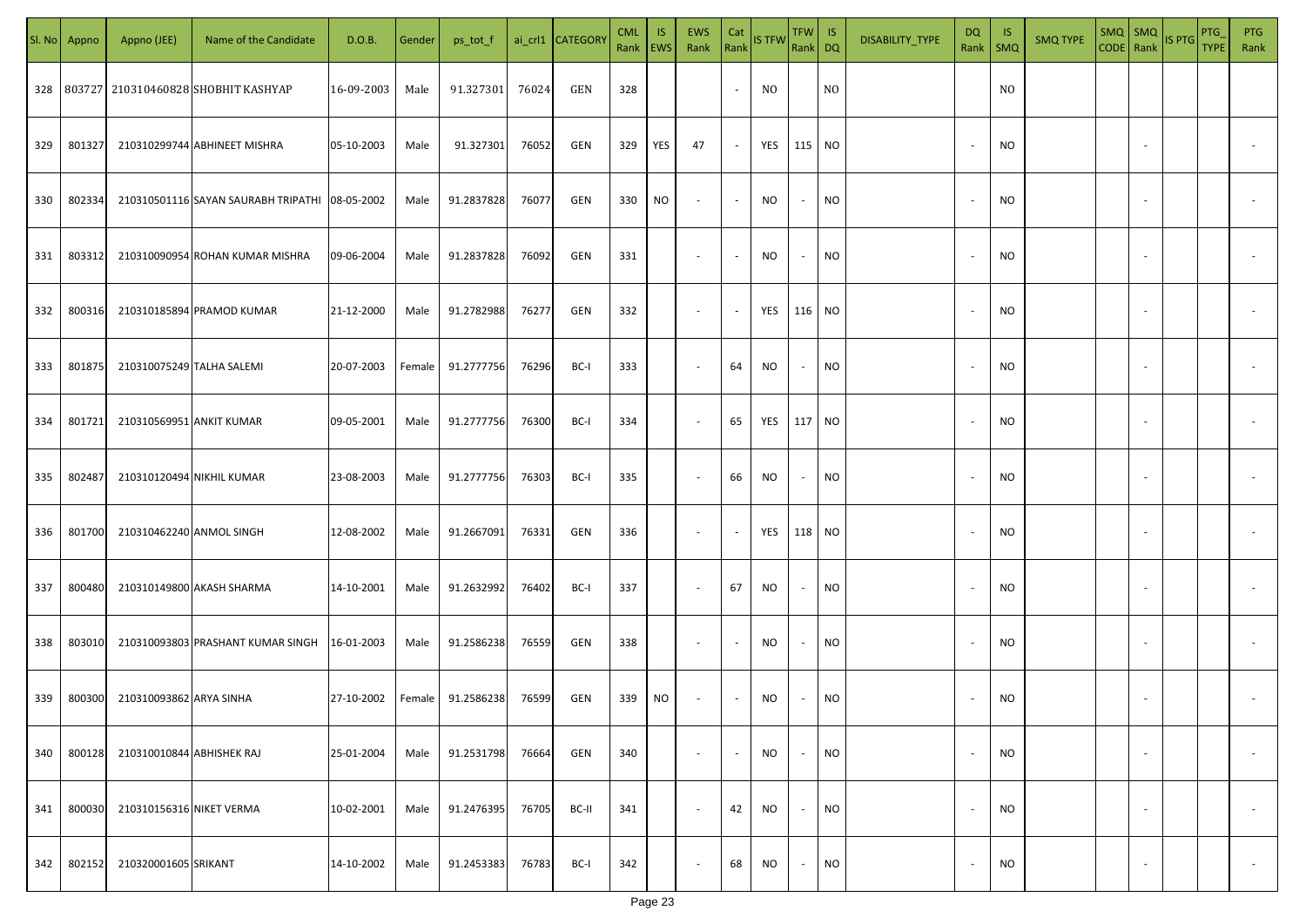| SI. No. | Appno  | Appno (JEE)               | Name of the Candidate                          | D.O.B.     | Gender | ps_tot_f   |       | ai_crl1 CATEGORY | <b>CML</b><br>Rank EWS | <b>IS</b> | EWS<br>Rank              | Cat            | Rank IS TFW | TFW   IS<br>Rank DQ |                | DISABILITY_TYPE | DQ                       | - IS<br>Rank   SMQ | <b>SMQ TYPE</b> | $SMQ$ SMQ<br>CODE Rank |                          | IS PTG | PTG<br><b>TYPE</b> | <b>PTG</b><br>Rank |
|---------|--------|---------------------------|------------------------------------------------|------------|--------|------------|-------|------------------|------------------------|-----------|--------------------------|----------------|-------------|---------------------|----------------|-----------------|--------------------------|--------------------|-----------------|------------------------|--------------------------|--------|--------------------|--------------------|
|         |        |                           | 328 803727 210310460828 SHOBHIT KASHYAP        | 16-09-2003 | Male   | 91.327301  | 76024 | GEN              | 328                    |           |                          | $\blacksquare$ | NO.         |                     | N <sub>O</sub> |                 |                          | N <sub>O</sub>     |                 |                        |                          |        |                    |                    |
| 329     | 801327 |                           | 210310299744 ABHINEET MISHRA                   | 05-10-2003 | Male   | 91.327301  | 76052 | GEN              | 329                    | YES       | 47                       | $\sim$         | YES         | 115                 | <b>NO</b>      |                 | $\overline{\phantom{a}}$ | NO.                |                 |                        | $\sim$                   |        |                    |                    |
| 330     | 802334 |                           | 210310501116 SAYAN SAURABH TRIPATHI 08-05-2002 |            | Male   | 91.2837828 | 76077 | GEN              | 330                    | NO        | $\sim$                   | $\sim$         | NO          | $\sim$              | <b>NO</b>      |                 | $\overline{\phantom{a}}$ | NO.                |                 |                        | $\sim$                   |        |                    |                    |
| 331     | 803312 |                           | 210310090954 ROHAN KUMAR MISHRA                | 09-06-2004 | Male   | 91.2837828 | 76092 | GEN              | 331                    |           | $\sim$                   | $\sim$         | NO          | $\sim$              | <b>NO</b>      |                 | $\overline{\phantom{a}}$ | NO.                |                 |                        | $\sim$                   |        |                    |                    |
| 332     | 800316 |                           | 210310185894 PRAMOD KUMAR                      | 21-12-2000 | Male   | 91.2782988 | 76277 | GEN              | 332                    |           | $\sim$                   | $\sim$         | YES         | 116 NO              |                |                 |                          | NO.                |                 |                        |                          |        |                    |                    |
| 333     | 801875 | 210310075249 TALHA SALEMI |                                                | 20-07-2003 | Female | 91.2777756 | 76296 | BC-I             | 333                    |           | $\overline{\phantom{a}}$ | 64             | <b>NO</b>   | $\sim$              | <b>NO</b>      |                 |                          | NO.                |                 |                        | $\overline{\phantom{a}}$ |        |                    |                    |
| 334     | 801721 | 210310569951 ANKIT KUMAR  |                                                | 09-05-2001 | Male   | 91.2777756 | 76300 | BC-I             | 334                    |           | $\sim$                   | 65             | YES         | 117 NO              |                |                 |                          | NO.                |                 |                        |                          |        |                    |                    |
| 335     | 802487 |                           | 210310120494 NIKHIL KUMAR                      | 23-08-2003 | Male   | 91.2777756 | 76303 | BC-I             | 335                    |           | $\sim$                   | 66             | NO          | $\sim$              | <b>NO</b>      |                 |                          | NO.                |                 |                        |                          |        |                    |                    |
| 336     | 801700 | 210310462240 ANMOL SINGH  |                                                | 12-08-2002 | Male   | 91.2667091 | 76331 | GEN              | 336                    |           | $\sim$                   | $\sim$         | YES         | 118 NO              |                |                 |                          | NO.                |                 |                        |                          |        |                    |                    |
| 337     | 800480 |                           | 210310149800 AKASH SHARMA                      | 14-10-2001 | Male   | 91.2632992 | 76402 | BC-I             | 337                    |           | $\sim$                   | 67             | NO          | $\sim$              | <b>NO</b>      |                 |                          | NO.                |                 |                        |                          |        |                    |                    |
| 338     | 803010 |                           | 210310093803 PRASHANT KUMAR SINGH              | 16-01-2003 | Male   | 91.2586238 | 76559 | GEN              | 338                    |           | $\sim$                   | $\sim$         | <b>NO</b>   | $\sim$              | <b>NO</b>      |                 |                          | <b>NO</b>          |                 |                        |                          |        |                    |                    |
| 339     | 800300 | 210310093862 ARYA SINHA   |                                                | 27-10-2002 | Female | 91.2586238 | 76599 | GEN              | 339                    | <b>NO</b> | $\sim$                   | $\sim$         | NO          | $\sim$              | <b>NO</b>      |                 |                          | NO.                |                 |                        |                          |        |                    |                    |
| 340     | 800128 | 210310010844 ABHISHEK RAJ |                                                | 25-01-2004 | Male   | 91.2531798 | 76664 | GEN              | 340                    |           | $\sim$                   | $\sim$         | NO          | $\sim$              | <b>NO</b>      |                 | $\overline{\phantom{a}}$ | <b>NO</b>          |                 |                        | $\overline{\phantom{a}}$ |        |                    | $\sim$             |
| 341     | 800030 | 210310156316 NIKET VERMA  |                                                | 10-02-2001 | Male   | 91.2476395 | 76705 | BC-II            | 341                    |           | $\sim$                   | 42             | NO          | $\sim$              | <b>NO</b>      |                 | $\overline{\phantom{a}}$ | <b>NO</b>          |                 |                        | $\overline{\phantom{a}}$ |        |                    | $\sim$             |
| 342     | 802152 | 210320001605 SRIKANT      |                                                | 14-10-2002 | Male   | 91.2453383 | 76783 | BC-I             | 342                    |           | $\sim$                   | 68             | NO          | $\sim$              | <b>NO</b>      |                 | $\overline{\phantom{a}}$ | <b>NO</b>          |                 |                        | $\overline{\phantom{a}}$ |        |                    | $\sim$             |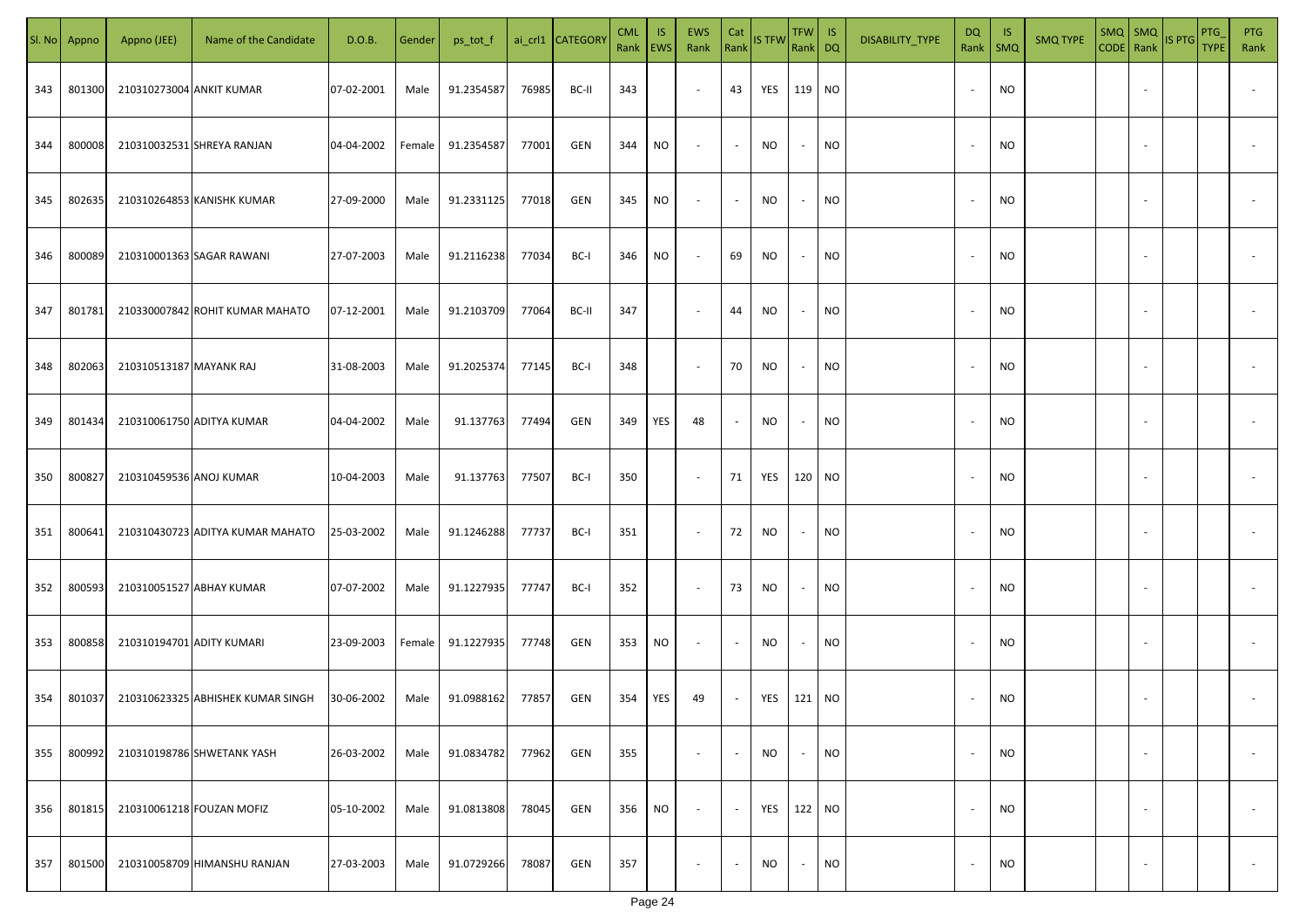| SI. No | Appno  | Appno (JEE)               | Name of the Candidate             | D.O.B.     | Gender | ps_tot_f   |       | ai_crl1 CATEGOR\ | <b>CML</b><br>Rank   EWS | IS. | EWS<br>Rank              | Cat<br>Rank              | <b>IS TFW</b> | TFW IS<br>Rank DQ |           | DISABILITY_TYPE | DQ<br>Rank               | - IS<br>$\mathsf{SMQ}$ | <b>SMQ TYPE</b> | $SMQ$ $SMQ$ | CODE Rank IS PTG | PTG<br><b>TYPE</b> | <b>PTG</b><br>Rank       |
|--------|--------|---------------------------|-----------------------------------|------------|--------|------------|-------|------------------|--------------------------|-----|--------------------------|--------------------------|---------------|-------------------|-----------|-----------------|--------------------------|------------------------|-----------------|-------------|------------------|--------------------|--------------------------|
| 343    | 801300 | 210310273004 ANKIT KUMAR  |                                   | 07-02-2001 | Male   | 91.2354587 | 76985 | BC-II            | 343                      |     | $\overline{\phantom{a}}$ | 43                       | YES           | 119 NO            |           |                 | $\overline{\phantom{a}}$ | <b>NO</b>              |                 |             |                  |                    |                          |
| 344    | 800008 |                           | 210310032531 SHREYA RANJAN        | 04-04-2002 | Female | 91.2354587 | 77001 | GEN              | 344                      | NO  | $\overline{\phantom{a}}$ | $\sim$                   | <b>NO</b>     | $\sim$            | <b>NO</b> |                 | $\sim$                   | <b>NO</b>              |                 |             |                  |                    |                          |
| 345    | 802635 |                           | 210310264853 KANISHK KUMAR        | 27-09-2000 | Male   | 91.2331125 | 77018 | GEN              | 345                      | NO  | $\sim$                   | $\sim$                   | NO            | $\sim$            | <b>NO</b> |                 | $\sim$                   | <b>NO</b>              |                 |             |                  |                    |                          |
| 346    | 800089 |                           | 210310001363 SAGAR RAWANI         | 27-07-2003 | Male   | 91.2116238 | 77034 | BC-I             | 346                      | NO  | $\sim$                   | 69                       | NO.           | $\sim$            | <b>NO</b> |                 |                          | <b>NO</b>              |                 |             |                  |                    |                          |
| 347    | 801781 |                           | 210330007842 ROHIT KUMAR MAHATO   | 07-12-2001 | Male   | 91.2103709 | 77064 | BC-II            | 347                      |     | $\overline{\phantom{a}}$ | 44                       | <b>NO</b>     | $\sim$            | <b>NO</b> |                 |                          | <b>NO</b>              |                 |             |                  |                    |                          |
| 348    | 802063 | 210310513187 MAYANK RAJ   |                                   | 31-08-2003 | Male   | 91.2025374 | 77145 | BC-I             | 348                      |     | $\sim$                   | 70                       | NO            | $\sim$            | <b>NO</b> |                 |                          | <b>NO</b>              |                 |             |                  |                    |                          |
| 349    | 801434 |                           | 210310061750 ADITYA KUMAR         | 04-04-2002 | Male   | 91.137763  | 77494 | GEN              | 349                      | YES | 48                       | $\overline{\phantom{a}}$ | <b>NO</b>     | $\sim$            | <b>NO</b> |                 |                          | <b>NO</b>              |                 |             |                  |                    |                          |
| 350    | 800827 | 210310459536 ANOJ KUMAR   |                                   | 10-04-2003 | Male   | 91.137763  | 77507 | BC-I             | 350                      |     | $\sim$                   | 71                       | YES           | 120 NO            |           |                 |                          | <b>NO</b>              |                 |             |                  |                    |                          |
| 351    | 800641 |                           | 210310430723 ADITYA KUMAR MAHATO  | 25-03-2002 | Male   | 91.1246288 | 77737 | BC-I             | 351                      |     | $\sim$                   | 72                       | <b>NO</b>     | $\sim$            | <b>NO</b> |                 |                          | <b>NO</b>              |                 |             |                  |                    |                          |
| 352    | 800593 |                           | 210310051527 ABHAY KUMAR          | 07-07-2002 | Male   | 91.1227935 | 77747 | BC-I             | 352                      |     | $\sim$                   | 73                       | NO            | $\sim$            | <b>NO</b> |                 |                          | <b>NO</b>              |                 |             |                  |                    |                          |
| 353    | 800858 | 210310194701 ADITY KUMARI |                                   | 23-09-2003 | Female | 91.1227935 | 77748 | GEN              | 353                      | NO  | $\sim$                   | $\sim$                   | <b>NO</b>     | $\sim$            | <b>NO</b> |                 |                          | <b>NO</b>              |                 |             |                  |                    |                          |
| 354    | 801037 |                           | 210310623325 ABHISHEK KUMAR SINGH | 30-06-2002 | Male   | 91.0988162 | 77857 | GEN              | 354                      | YES | 49                       | $\sim$                   | YES           | 121 NO            |           |                 |                          | NO                     |                 |             |                  |                    |                          |
| 355    | 800992 |                           | 210310198786 SHWETANK YASH        | 26-03-2002 | Male   | 91.0834782 | 77962 | GEN              | 355                      |     | $\sim$                   | $\sim$                   | <b>NO</b>     | $\sim$            | <b>NO</b> |                 | ٠.                       | <b>NO</b>              |                 | $\sim$      |                  |                    | $\overline{\phantom{a}}$ |
| 356    | 801815 |                           | 210310061218 FOUZAN MOFIZ         | 05-10-2002 | Male   | 91.0813808 | 78045 | GEN              | 356                      | NO. | $\overline{\phantom{a}}$ | $\sim$                   | YES           | 122 NO            |           |                 | $\overline{\phantom{a}}$ | <b>NO</b>              |                 | $\sim$      |                  |                    | $\overline{\phantom{a}}$ |
| 357    | 801500 |                           | 210310058709 HIMANSHU RANJAN      | 27-03-2003 | Male   | 91.0729266 | 78087 | GEN              | 357                      |     | $\overline{\phantom{a}}$ | $\sim$                   | NO            | $\sim$            | <b>NO</b> |                 |                          | <b>NO</b>              |                 |             |                  |                    | $\overline{\phantom{a}}$ |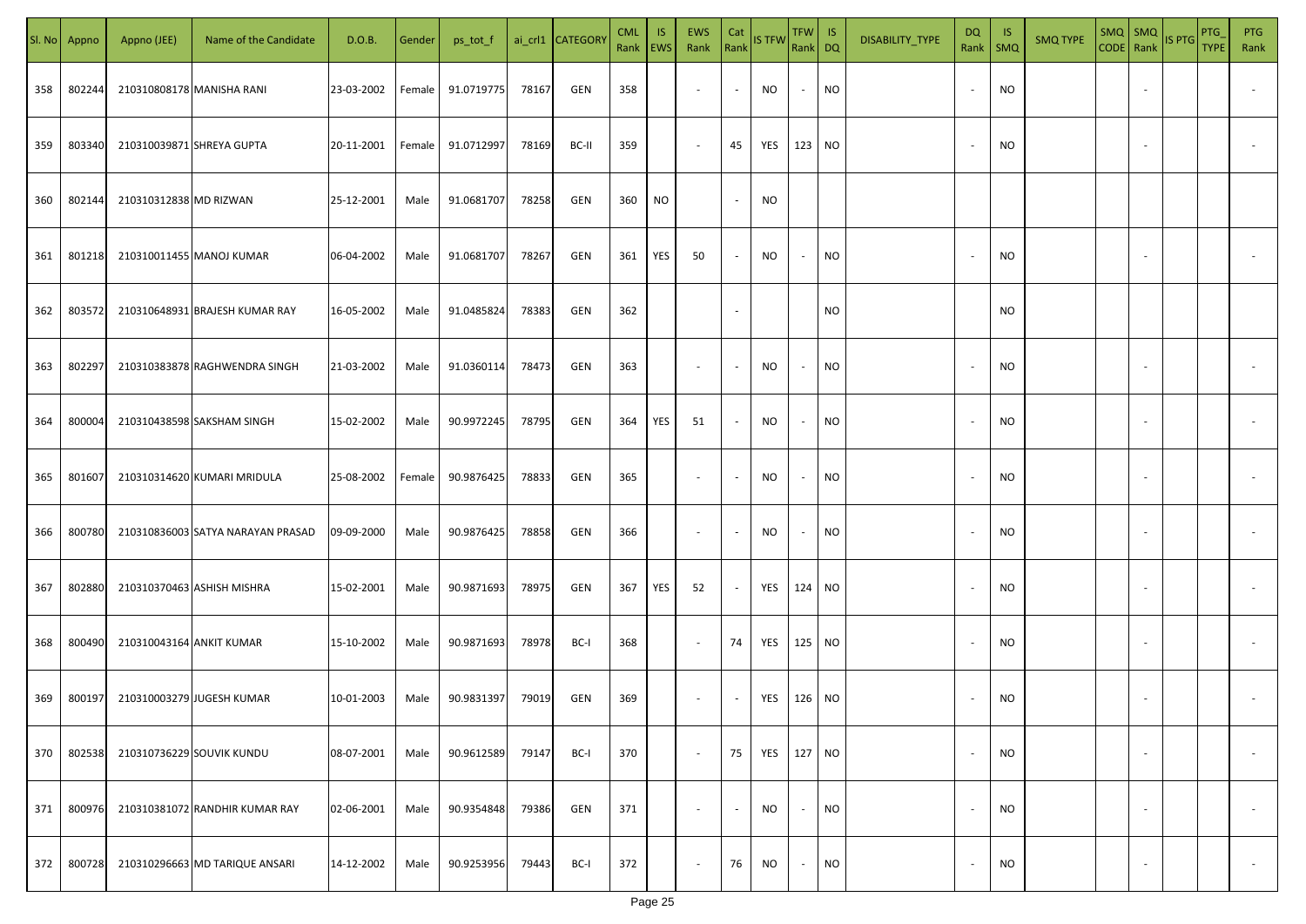| SI. No. | Appno  | Appno (JEE)               | Name of the Candidate             | D.O.B.     | Gender | ps_tot_f   |       | ai_crl1 CATEGOR\ | <b>CML</b><br>Rank   EWS | IS.       | EWS<br>Rank              | Cat                      | Rank IS TFW | $TFW$ IS<br>Rank DQ |           | DISABILITY_TYPE | $\mathsf{DQ}$<br>Rank    | - IS<br><b>SMQ</b> | <b>SMQ TYPE</b> | $SMQ$ $SMQ$<br>CODE Rank |                | IS PTG | <b>PTG</b><br><b>TYPE</b> | <b>PTG</b><br>Rank       |
|---------|--------|---------------------------|-----------------------------------|------------|--------|------------|-------|------------------|--------------------------|-----------|--------------------------|--------------------------|-------------|---------------------|-----------|-----------------|--------------------------|--------------------|-----------------|--------------------------|----------------|--------|---------------------------|--------------------------|
| 358     | 802244 |                           | 210310808178 MANISHA RANI         | 23-03-2002 | Female | 91.0719775 | 78167 | GEN              | 358                      |           | $\sim$                   | $\sim$                   | NO          | $\sim$              | <b>NO</b> |                 | $\overline{\phantom{a}}$ | <b>NO</b>          |                 |                          |                |        |                           |                          |
| 359     | 803340 |                           | 210310039871 SHREYA GUPTA         | 20-11-2001 | Female | 91.0712997 | 78169 | BC-II            | 359                      |           | $\sim$                   | 45                       | YES         | 123 NO              |           |                 |                          | <b>NO</b>          |                 |                          |                |        |                           |                          |
| 360     | 802144 | 210310312838 MD RIZWAN    |                                   | 25-12-2001 | Male   | 91.0681707 | 78258 | GEN              | 360                      | <b>NO</b> |                          | $\sim$                   | <b>NO</b>   |                     |           |                 |                          |                    |                 |                          |                |        |                           |                          |
| 361     | 801218 |                           | 210310011455 MANOJ KUMAR          | 06-04-2002 | Male   | 91.0681707 | 78267 | GEN              | 361                      | YES       | 50                       | $\sim$                   | NO          | $\sim$              | <b>NO</b> |                 | $\overline{\phantom{a}}$ | <b>NO</b>          |                 |                          |                |        |                           |                          |
| 362     | 803572 |                           | 210310648931 BRAJESH KUMAR RAY    | 16-05-2002 | Male   | 91.0485824 | 78383 | GEN              | 362                      |           |                          | $\overline{\phantom{a}}$ |             |                     | <b>NO</b> |                 |                          | <b>NO</b>          |                 |                          |                |        |                           |                          |
| 363     | 802297 |                           | 210310383878 RAGHWENDRA SINGH     | 21-03-2002 | Male   | 91.0360114 | 78473 | GEN              | 363                      |           | $\sim$                   | $\overline{\phantom{a}}$ | NO.         | $\sim$              | <b>NO</b> |                 |                          | <b>NO</b>          |                 |                          |                |        |                           |                          |
| 364     | 800004 |                           | 210310438598 SAKSHAM SINGH        | 15-02-2002 | Male   | 90.9972245 | 78795 | GEN              | 364                      | YES       | 51                       | $\sim$                   | NO.         | $\sim$              | <b>NO</b> |                 |                          | <b>NO</b>          |                 |                          |                |        |                           |                          |
| 365     | 801607 |                           | 210310314620 KUMARI MRIDULA       | 25-08-2002 | Female | 90.9876425 | 78833 | GEN              | 365                      |           | $\overline{\phantom{a}}$ | $\overline{\phantom{a}}$ | NO          | $\sim$              | <b>NO</b> |                 |                          | <b>NO</b>          |                 |                          |                |        |                           |                          |
| 366     | 800780 |                           | 210310836003 SATYA NARAYAN PRASAD | 09-09-2000 | Male   | 90.9876425 | 78858 | GEN              | 366                      |           | $\overline{\phantom{a}}$ | $\overline{\phantom{a}}$ | NO          | $\sim$              | <b>NO</b> |                 |                          | <b>NO</b>          |                 |                          |                |        |                           |                          |
| 367     | 802880 |                           | 210310370463 ASHISH MISHRA        | 15-02-2001 | Male   | 90.9871693 | 78975 | GEN              | 367                      | YES       | 52                       | $\overline{\phantom{a}}$ | YES         | 124 NO              |           |                 |                          | <b>NO</b>          |                 |                          |                |        |                           |                          |
| 368     | 800490 | 210310043164 ANKIT KUMAR  |                                   | 15-10-2002 | Male   | 90.9871693 | 78978 | BC-I             | 368                      |           | $\sim$                   | 74                       | YES         | 125 NO              |           |                 |                          | <b>NO</b>          |                 |                          |                |        |                           |                          |
| 369     | 800197 |                           | 210310003279 JUGESH KUMAR         | 10-01-2003 | Male   | 90.9831397 | 79019 | GEN              | 369                      |           | $\sim$                   | $\overline{\phantom{a}}$ | YES         | 126 NO              |           |                 |                          | <b>NO</b>          |                 |                          |                |        |                           |                          |
| 370     | 802538 | 210310736229 SOUVIK KUNDU |                                   | 08-07-2001 | Male   | 90.9612589 | 79147 | BC-I             | 370                      |           | $\sim$                   | 75                       | YES         | 127 NO              |           |                 | $\overline{\phantom{a}}$ | <b>NO</b>          |                 |                          | $\overline{a}$ |        |                           | $\overline{\phantom{a}}$ |
| 371     | 800976 |                           | 210310381072 RANDHIR KUMAR RAY    | 02-06-2001 | Male   | 90.9354848 | 79386 | GEN              | 371                      |           | $\overline{\phantom{a}}$ | $\sim$                   | NO          | $\sim$              | <b>NO</b> |                 | $\overline{\phantom{a}}$ | <b>NO</b>          |                 |                          | $\sim$         |        |                           | $\overline{\phantom{a}}$ |
| 372     | 800728 |                           | 210310296663 MD TARIQUE ANSARI    | 14-12-2002 | Male   | 90.9253956 | 79443 | BC-I             | 372                      |           | $\sim$                   | 76                       | NO          | $\sim$              | <b>NO</b> |                 |                          | <b>NO</b>          |                 |                          |                |        |                           | $\sim$                   |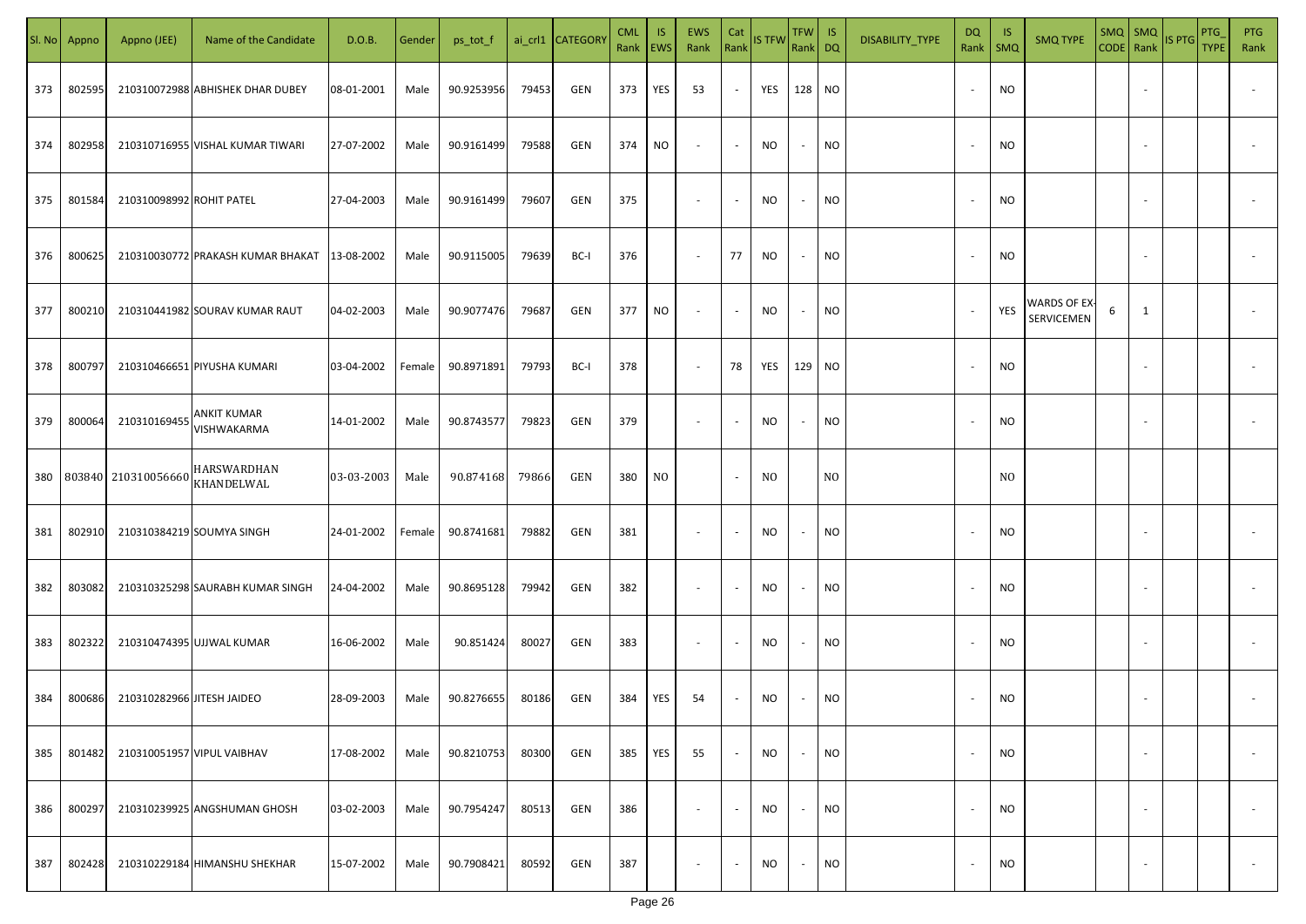| SI. No | Appno  | Appno (JEE)                | Name of the Candidate             | D.O.B.     | Gender | ps_tot_f   |       | ai_crl1 CATEGORY | <b>CML</b><br>Rank   EWS | IS. | <b>EWS</b><br>Rank       | Cat<br>Rank              | <b>IS TFW</b>  | $TFW$ IS<br>Rank DQ      |           | DISABILITY_TYPE | DQ<br>Rank               | - IS<br>$\mathsf{SMQ}$ | <b>SMQ TYPE</b>            |   | SMQ SMQ                  | CODE Rank IS PTG | <b>PTG</b><br><b>TYPE</b> | <b>PTG</b><br>Rank       |
|--------|--------|----------------------------|-----------------------------------|------------|--------|------------|-------|------------------|--------------------------|-----|--------------------------|--------------------------|----------------|--------------------------|-----------|-----------------|--------------------------|------------------------|----------------------------|---|--------------------------|------------------|---------------------------|--------------------------|
| 373    | 802595 |                            | 210310072988 ABHISHEK DHAR DUBEY  | 08-01-2001 | Male   | 90.9253956 | 79453 | GEN              | 373                      | YES | 53                       | $\sim$                   | YES            | 128 NO                   |           |                 |                          | <b>NO</b>              |                            |   |                          |                  |                           |                          |
| 374    | 802958 |                            | 210310716955 VISHAL KUMAR TIWARI  | 27-07-2002 | Male   | 90.9161499 | 79588 | GEN              | 374                      | NO  | $\sim$                   | $\sim$                   | <b>NO</b>      | $\sim$                   | <b>NO</b> |                 |                          | <b>NO</b>              |                            |   |                          |                  |                           |                          |
| 375    | 801584 | 210310098992 ROHIT PATEL   |                                   | 27-04-2003 | Male   | 90.9161499 | 79607 | GEN              | 375                      |     | $\overline{\phantom{a}}$ | $\blacksquare$           | <b>NO</b>      | $\sim$                   | <b>NO</b> |                 |                          | <b>NO</b>              |                            |   |                          |                  |                           |                          |
| 376    | 800625 |                            | 210310030772 PRAKASH KUMAR BHAKAT | 13-08-2002 | Male   | 90.9115005 | 79639 | BC-I             | 376                      |     | $\sim$                   | 77                       | <b>NO</b>      | $\sim$                   | <b>NO</b> |                 |                          | <b>NO</b>              |                            |   |                          |                  |                           |                          |
| 377    | 800210 |                            | 210310441982 SOURAV KUMAR RAUT    | 04-02-2003 | Male   | 90.9077476 | 79687 | GEN              | 377                      | NO. | $\sim$                   | $\sim$                   | NO             | $\sim$                   | <b>NO</b> |                 |                          | YES                    | WARDS OF EX-<br>SERVICEMEN | 6 | 1                        |                  |                           |                          |
| 378    | 800797 |                            | 210310466651 PIYUSHA KUMARI       | 03-04-2002 | Female | 90.8971891 | 79793 | BC-I             | 378                      |     | $\overline{\phantom{a}}$ | 78                       | YES            | 129 NO                   |           |                 |                          | <b>NO</b>              |                            |   |                          |                  |                           |                          |
| 379    | 800064 | 210310169455               | ANKIT KUMAR<br>VISHWAKARMA        | 14-01-2002 | Male   | 90.8743577 | 79823 | GEN              | 379                      |     | $\overline{\phantom{a}}$ | $\sim$                   | <b>NO</b>      | $\sim$                   | <b>NO</b> |                 |                          | <b>NO</b>              |                            |   |                          |                  |                           |                          |
| 380    |        | 803840 210310056660        | HARSWARDHAN<br>KHANDELWAL         | 03-03-2003 | Male   | 90.874168  | 79866 | GEN              | 380                      | NO. |                          | $\sim$                   | N <sub>O</sub> |                          | NO        |                 |                          | N <sub>0</sub>         |                            |   |                          |                  |                           |                          |
| 381    | 802910 |                            | 210310384219 SOUMYA SINGH         | 24-01-2002 | Female | 90.8741681 | 79882 | GEN              | 381                      |     | $\sim$                   | $\overline{\phantom{a}}$ | NO             | $\sim$                   | <b>NO</b> |                 |                          | <b>NO</b>              |                            |   |                          |                  |                           |                          |
| 382    | 803082 |                            | 210310325298 SAURABH KUMAR SINGH  | 24-04-2002 | Male   | 90.8695128 | 79942 | GEN              | 382                      |     | $\sim$                   | $\overline{\phantom{a}}$ | NO             | $\sim$                   | <b>NO</b> |                 |                          | <b>NO</b>              |                            |   |                          |                  |                           |                          |
| 383    | 802322 |                            | 210310474395 UJJWAL KUMAR         | 16-06-2002 | Male   | 90.851424  | 80027 | GEN              | 383                      |     | $\sim$                   | $\overline{\phantom{a}}$ | NO.            | $\sim$                   | <b>NO</b> |                 |                          | <b>NO</b>              |                            |   |                          |                  |                           |                          |
| 384    | 800686 | 210310282966 JITESH JAIDEO |                                   | 28-09-2003 | Male   | 90.8276655 | 80186 | GEN              | 384                      | YES | 54                       | $\sim$                   | <b>NO</b>      | $\sim$                   | <b>NO</b> |                 |                          | <b>NO</b>              |                            |   |                          |                  |                           |                          |
| 385    | 801482 |                            | 210310051957 VIPUL VAIBHAV        | 17-08-2002 | Male   | 90.8210753 | 80300 | GEN              | 385                      | YES | 55                       | $\sim$                   | <b>NO</b>      | $\overline{\phantom{a}}$ | <b>NO</b> |                 | $\overline{\phantom{a}}$ | <b>NO</b>              |                            |   | $\overline{\phantom{a}}$ |                  |                           | $\overline{\phantom{a}}$ |
| 386    | 800297 |                            | 210310239925 ANGSHUMAN GHOSH      | 03-02-2003 | Male   | 90.7954247 | 80513 | GEN              | 386                      |     | $\sim$                   | $\sim$                   | <b>NO</b>      | $\sim$                   | <b>NO</b> |                 | $\sim$                   | <b>NO</b>              |                            |   | $\overline{\phantom{a}}$ |                  |                           | $\overline{\phantom{a}}$ |
| 387    | 802428 |                            | 210310229184 HIMANSHU SHEKHAR     | 15-07-2002 | Male   | 90.7908421 | 80592 | GEN              | 387                      |     | $\overline{\phantom{a}}$ | $\sim$                   | NO             | $\sim$                   | <b>NO</b> |                 |                          | <b>NO</b>              |                            |   | $\overline{\phantom{a}}$ |                  |                           | $\sim$                   |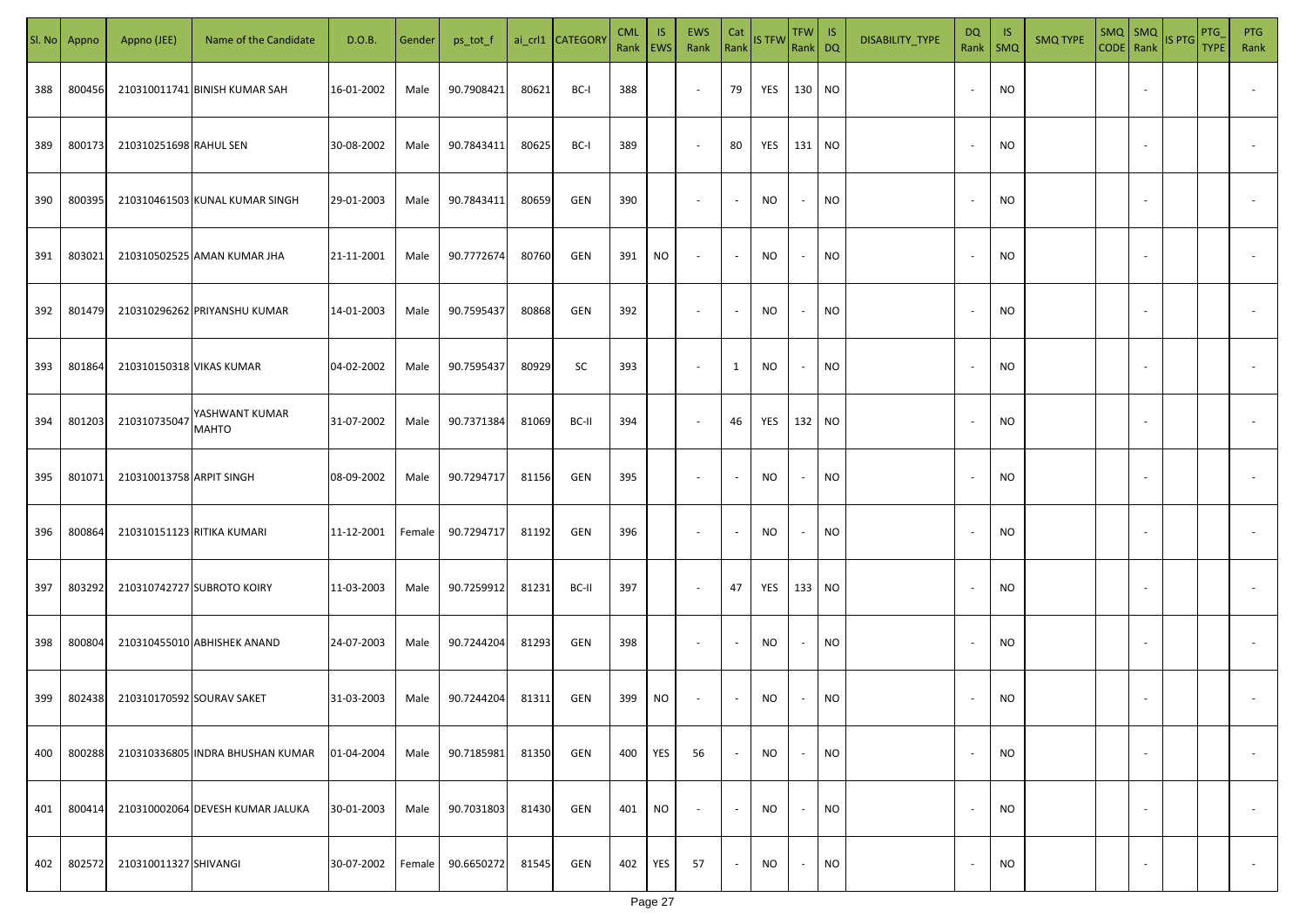| SI. No | Appno  | Appno (JEE)               | Name of the Candidate            | D.O.B.     | Gender | ps_tot_f   |       | ai_crl1 CATEGORY | <b>CML</b><br>Rank   EWS | <b>IS</b> | EWS<br>Rank              | Cat<br>Rank              | <b>IS TFW</b> | TFW IS<br>Rank DQ |           | DISABILITY_TYPE | <b>DQ</b><br>Rank        | -IS<br>SMQ | <b>SMQ TYPE</b> | SMQ SMQ                  | CODE Rank IS PTG | <b>PTG</b><br><b>TYPE</b> | <b>PTG</b><br>Rank       |
|--------|--------|---------------------------|----------------------------------|------------|--------|------------|-------|------------------|--------------------------|-----------|--------------------------|--------------------------|---------------|-------------------|-----------|-----------------|--------------------------|------------|-----------------|--------------------------|------------------|---------------------------|--------------------------|
| 388    | 800456 |                           | 210310011741 BINISH KUMAR SAH    | 16-01-2002 | Male   | 90.7908421 | 80621 | BC-I             | 388                      |           | $\sim$                   | 79                       | YES           | 130 NO            |           |                 | $\sim$                   | <b>NO</b>  |                 |                          |                  |                           |                          |
| 389    | 800173 | 210310251698 RAHUL SEN    |                                  | 30-08-2002 | Male   | 90.7843411 | 80625 | BC-I             | 389                      |           | $\sim$                   | 80                       | YES           | 131 NO            |           |                 | $\overline{\phantom{a}}$ | <b>NO</b>  |                 |                          |                  |                           |                          |
| 390    | 800395 |                           | 210310461503 KUNAL KUMAR SINGH   | 29-01-2003 | Male   | 90.7843411 | 80659 | GEN              | 390                      |           | $\sim$                   | $\sim$                   | NO            | $\sim$            | <b>NO</b> |                 | $\overline{\phantom{a}}$ | <b>NO</b>  |                 |                          |                  |                           |                          |
| 391    | 803021 |                           | 210310502525 AMAN KUMAR JHA      | 21-11-2001 | Male   | 90.7772674 | 80760 | GEN              | 391                      | NO        | $\overline{\phantom{a}}$ | $\sim$                   | NO.           | $\sim$            | <b>NO</b> |                 | $\sim$                   | <b>NO</b>  |                 |                          |                  |                           |                          |
| 392    | 801479 |                           | 210310296262 PRIYANSHU KUMAR     | 14-01-2003 | Male   | 90.7595437 | 80868 | GEN              | 392                      |           | $\sim$                   | $\overline{\phantom{a}}$ | NO.           | $\sim$            | <b>NO</b> |                 |                          | <b>NO</b>  |                 |                          |                  |                           |                          |
| 393    | 801864 | 210310150318 VIKAS KUMAR  |                                  | 04-02-2002 | Male   | 90.7595437 | 80929 | SC               | 393                      |           | $\overline{\phantom{a}}$ | $\mathbf{1}$             | <b>NO</b>     | $\sim$            | <b>NO</b> |                 |                          | <b>NO</b>  |                 |                          |                  |                           |                          |
| 394    | 801203 | 210310735047              | YASHWANT KUMAR<br><b>MAHTO</b>   | 31-07-2002 | Male   | 90.7371384 | 81069 | BC-II            | 394                      |           | $\sim$                   | 46                       | YES           | 132 NO            |           |                 |                          | <b>NO</b>  |                 |                          |                  |                           |                          |
| 395    | 801071 | 210310013758 ARPIT SINGH  |                                  | 08-09-2002 | Male   | 90.7294717 | 81156 | GEN              | 395                      |           | $\overline{\phantom{a}}$ | $\overline{\phantom{a}}$ | NO.           | $\sim$            | <b>NO</b> |                 |                          | <b>NO</b>  |                 |                          |                  |                           |                          |
| 396    | 800864 |                           | 210310151123 RITIKA KUMARI       | 11-12-2001 | Female | 90.7294717 | 81192 | GEN              | 396                      |           | $\sim$                   | $\overline{\phantom{a}}$ | NO.           | $\sim$            | <b>NO</b> |                 |                          | <b>NO</b>  |                 |                          |                  |                           |                          |
| 397    | 803292 |                           | 210310742727 SUBROTO KOIRY       | 11-03-2003 | Male   | 90.7259912 | 81231 | BC-II            | 397                      |           | $\sim$                   | 47                       | YES           | 133 NO            |           |                 |                          | <b>NO</b>  |                 |                          |                  |                           |                          |
| 398    | 800804 |                           | 210310455010 ABHISHEK ANAND      | 24-07-2003 | Male   | 90.7244204 | 81293 | GEN              | 398                      |           | $\sim$                   | $\sim$                   | <b>NO</b>     | $\sim$            | <b>NO</b> |                 |                          | <b>NO</b>  |                 |                          |                  |                           |                          |
| 399    | 802438 | 210310170592 SOURAV SAKET |                                  | 31-03-2003 | Male   | 90.7244204 | 81311 | GEN              | 399                      | NO        | $\overline{\phantom{a}}$ | $\sim$                   | NO            | $\sim$            | <b>NO</b> |                 |                          | <b>NO</b>  |                 |                          |                  |                           |                          |
| 400    | 800288 |                           | 210310336805 INDRA BHUSHAN KUMAR | 01-04-2004 | Male   | 90.7185981 | 81350 | GEN              | 400                      | YES       | 56                       | $\sim$                   | NO            | $\sim$            | <b>NO</b> |                 | $\sim$                   | <b>NO</b>  |                 | $\overline{\phantom{a}}$ |                  |                           | $\overline{\phantom{a}}$ |
| 401    | 800414 |                           | 210310002064 DEVESH KUMAR JALUKA | 30-01-2003 | Male   | 90.7031803 | 81430 | GEN              | 401                      | <b>NO</b> | $\sim$                   | $\sim$                   | <b>NO</b>     | $\sim$            | <b>NO</b> |                 | $\overline{\phantom{a}}$ | <b>NO</b>  |                 | $\overline{\phantom{a}}$ |                  |                           | $\overline{\phantom{a}}$ |
| 402    | 802572 | 210310011327 SHIVANGI     |                                  | 30-07-2002 | Female | 90.6650272 | 81545 | GEN              | 402                      | YES       | 57                       | $\sim$                   | <b>NO</b>     | $\sim$            | <b>NO</b> |                 | $\overline{\phantom{a}}$ | <b>NO</b>  |                 | $\overline{\phantom{a}}$ |                  |                           | $\overline{\phantom{a}}$ |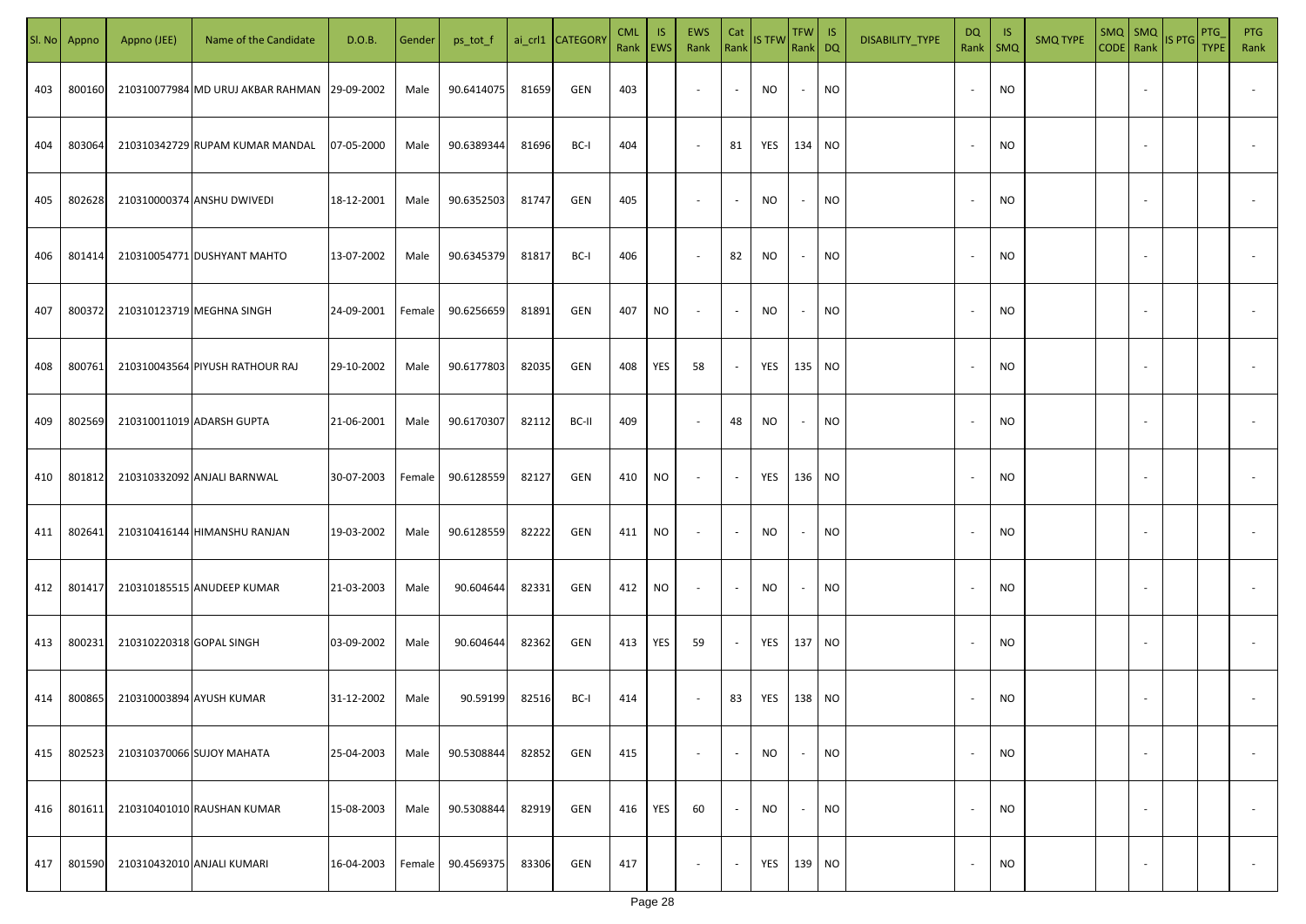| SI. No. | Appno  | Appno (JEE)              | Name of the Candidate                        | D.O.B.     | Gender | ps_tot_f   |       | ai_crl1 CATEGORY | <b>CML</b><br>Rank | IS.<br><b>EWS</b> | EWS<br>Rank              | Cat<br>Rank              | <b>IS TFW</b> | $TFW$ IS<br>Rank DQ |           | DISABILITY_TYPE | DQ<br>Rank | IS.<br>$\mathsf{SMQ}$ | <b>SMQ TYPE</b> | $SMQ$ $SMQ$              | CODE Rank IS PTG | PTG<br><b>TYPE</b> | <b>PTG</b><br>Rank       |
|---------|--------|--------------------------|----------------------------------------------|------------|--------|------------|-------|------------------|--------------------|-------------------|--------------------------|--------------------------|---------------|---------------------|-----------|-----------------|------------|-----------------------|-----------------|--------------------------|------------------|--------------------|--------------------------|
| 403     | 800160 |                          | 210310077984 MD URUJ AKBAR RAHMAN 29-09-2002 |            | Male   | 90.6414075 | 81659 | GEN              | 403                |                   | $\overline{\phantom{a}}$ | $\sim$                   | NO            | $\sim$              | <b>NO</b> |                 | $\sim$     | <b>NO</b>             |                 |                          |                  |                    |                          |
| 404     | 803064 |                          | 210310342729 RUPAM KUMAR MANDAL              | 07-05-2000 | Male   | 90.6389344 | 81696 | BC-I             | 404                |                   | $\overline{\phantom{a}}$ | 81                       | YES           | 134 NO              |           |                 | $\sim$     | <b>NO</b>             |                 |                          |                  |                    |                          |
| 405     | 802628 |                          | 210310000374 ANSHU DWIVEDI                   | 18-12-2001 | Male   | 90.6352503 | 81747 | GEN              | 405                |                   | $\overline{\phantom{a}}$ | $\overline{\phantom{a}}$ | NO            | $\sim$              | <b>NO</b> |                 | $\sim$     | <b>NO</b>             |                 |                          |                  |                    |                          |
| 406     | 801414 |                          | 210310054771 DUSHYANT MAHTO                  | 13-07-2002 | Male   | 90.6345379 | 81817 | BC-I             | 406                |                   | $\overline{\phantom{a}}$ | 82                       | NO            | $\sim$              | <b>NO</b> |                 |            | <b>NO</b>             |                 |                          |                  |                    |                          |
| 407     | 800372 |                          | 210310123719 MEGHNA SINGH                    | 24-09-2001 | Female | 90.6256659 | 81891 | GEN              | 407                | NO                | $\sim$                   | $\overline{\phantom{a}}$ | <b>NO</b>     | $\sim$              | <b>NO</b> |                 |            | <b>NO</b>             |                 |                          |                  |                    |                          |
| 408     | 800761 |                          | 210310043564 PIYUSH RATHOUR RAJ              | 29-10-2002 | Male   | 90.6177803 | 82035 | GEN              | 408                | YES               | 58                       | $\overline{\phantom{a}}$ | YES           | 135 NO              |           |                 |            | <b>NO</b>             |                 |                          |                  |                    |                          |
| 409     | 802569 |                          | 210310011019 ADARSH GUPTA                    | 21-06-2001 | Male   | 90.6170307 | 82112 | BC-II            | 409                |                   | $\sim$                   | 48                       | NO            | $\sim$              | <b>NO</b> |                 |            | NO                    |                 |                          |                  |                    |                          |
| 410     | 801812 |                          | 210310332092 ANJALI BARNWAL                  | 30-07-2003 | Female | 90.6128559 | 82127 | GEN              | 410                | NO                | $\sim$                   | $\sim$                   | YES           | 136 NO              |           |                 |            | <b>NO</b>             |                 |                          |                  |                    |                          |
| 411     | 802641 |                          | 210310416144 HIMANSHU RANJAN                 | 19-03-2002 | Male   | 90.6128559 | 82222 | GEN              | 411                | NO                | $\sim$                   | $\sim$                   | NO            |                     | <b>NO</b> |                 |            | <b>NO</b>             |                 |                          |                  |                    |                          |
| 412     | 801417 |                          | 210310185515 ANUDEEP KUMAR                   | 21-03-2003 | Male   | 90.604644  | 82331 | GEN              | 412                | <b>NO</b>         | $\sim$                   | $\sim$                   | <b>NO</b>     |                     | <b>NO</b> |                 |            | <b>NO</b>             |                 |                          |                  |                    |                          |
| 413     | 800231 | 210310220318 GOPAL SINGH |                                              | 03-09-2002 | Male   | 90.604644  | 82362 | GEN              | 413                | YES               | 59                       | $\sim$                   | YES           | 137 NO              |           |                 |            | <b>NO</b>             |                 |                          |                  |                    |                          |
| 414     | 800865 | 210310003894 AYUSH KUMAR |                                              | 31-12-2002 | Male   | 90.59199   | 82516 | BC-I             | 414                |                   | $\overline{\phantom{a}}$ | 83                       | YES           | 138 NO              |           |                 |            | NO                    |                 |                          |                  |                    |                          |
| 415     | 802523 |                          | 210310370066 SUJOY MAHATA                    | 25-04-2003 | Male   | 90.5308844 | 82852 | GEN              | 415                |                   | $\overline{\phantom{a}}$ | $\overline{\phantom{a}}$ | <b>NO</b>     | $\sim$              | <b>NO</b> |                 |            | <b>NO</b>             |                 | $\sim$                   |                  |                    | $\overline{\phantom{a}}$ |
| 416     | 801611 |                          | 210310401010 RAUSHAN KUMAR                   | 15-08-2003 | Male   | 90.5308844 | 82919 | GEN              | 416                | YES               | 60                       | $\sim$                   | <b>NO</b>     | $\sim$              | <b>NO</b> |                 |            | <b>NO</b>             |                 | $\sim$                   |                  |                    | $\overline{\phantom{a}}$ |
| 417     | 801590 |                          | 210310432010 ANJALI KUMARI                   | 16-04-2003 | Female | 90.4569375 | 83306 | GEN              | 417                |                   | $\overline{\phantom{a}}$ | $\sim$                   | YES           | 139 NO              |           |                 |            | <b>NO</b>             |                 | $\overline{\phantom{a}}$ |                  |                    | $\overline{\phantom{a}}$ |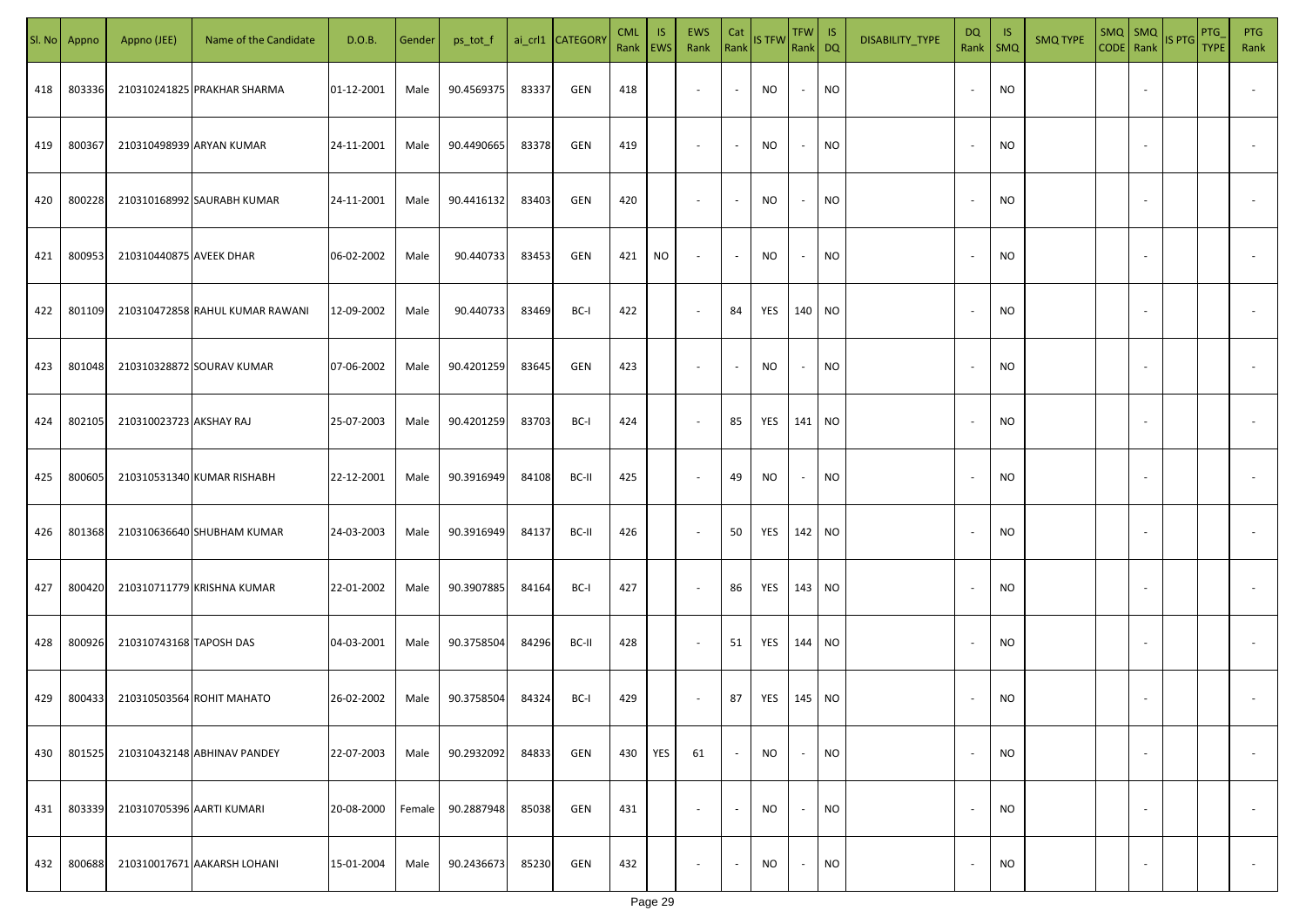| SI. No | Appno  | Appno (JEE)               | Name of the Candidate           | D.O.B.     | Gender | ps_tot_f   |       | ai_crl1 CATEGOR\ | <b>CML</b><br>Rank EWS | IS. | <b>EWS</b><br>Rank       | Cat<br>Rank    | <b>IS TFW</b> | TFW IS<br>Rank DQ |           | DISABILITY_TYPE | <b>DQ</b><br>Rank        | - IS<br>$\mathsf{SMQ}$ | <b>SMQ TYPE</b> | SMQ   SMQ                | CODE Rank IS PTG | <b>PTG</b><br><b>TYPE</b> | <b>PTG</b><br>Rank       |
|--------|--------|---------------------------|---------------------------------|------------|--------|------------|-------|------------------|------------------------|-----|--------------------------|----------------|---------------|-------------------|-----------|-----------------|--------------------------|------------------------|-----------------|--------------------------|------------------|---------------------------|--------------------------|
| 418    | 803336 |                           | 210310241825 PRAKHAR SHARMA     | 01-12-2001 | Male   | 90.4569375 | 83337 | GEN              | 418                    |     | $\sim$                   | $\sim$         | NO            | $\sim$            | <b>NO</b> |                 |                          | <b>NO</b>              |                 |                          |                  |                           |                          |
| 419    | 800367 |                           | 210310498939 ARYAN KUMAR        | 24-11-2001 | Male   | 90.4490665 | 83378 | GEN              | 419                    |     | $\sim$                   | $\sim$         | <b>NO</b>     | $\sim$            | <b>NO</b> |                 | $\sim$                   | <b>NO</b>              |                 |                          |                  |                           |                          |
| 420    | 800228 |                           | 210310168992 SAURABH KUMAR      | 24-11-2001 | Male   | 90.4416132 | 83403 | GEN              | 420                    |     | $\overline{\phantom{a}}$ | $\blacksquare$ | <b>NO</b>     | $\sim$            | <b>NO</b> |                 |                          | <b>NO</b>              |                 |                          |                  |                           |                          |
| 421    | 800953 | 210310440875 AVEEK DHAR   |                                 | 06-02-2002 | Male   | 90.440733  | 83453 | GEN              | 421                    | NO  | $\overline{\phantom{a}}$ | $\sim$         | <b>NO</b>     | $\sim$            | <b>NO</b> |                 |                          | <b>NO</b>              |                 |                          |                  |                           |                          |
| 422    | 801109 |                           | 210310472858 RAHUL KUMAR RAWANI | 12-09-2002 | Male   | 90.440733  | 83469 | BC-I             | 422                    |     | $\sim$                   | 84             | YES           | 140 NO            |           |                 |                          | <b>NO</b>              |                 |                          |                  |                           |                          |
| 423    | 801048 |                           | 210310328872 SOURAV KUMAR       | 07-06-2002 | Male   | 90.4201259 | 83645 | GEN              | 423                    |     | $\overline{\phantom{a}}$ | $\sim$         | <b>NO</b>     | $\sim$            | <b>NO</b> |                 |                          | NO                     |                 |                          |                  |                           |                          |
| 424    | 802105 | 210310023723 AKSHAY RAJ   |                                 | 25-07-2003 | Male   | 90.4201259 | 83703 | BC-I             | 424                    |     | $\overline{\phantom{a}}$ | 85             | YES           | 141 NO            |           |                 |                          | <b>NO</b>              |                 |                          |                  |                           |                          |
| 425    | 800605 |                           | 210310531340 KUMAR RISHABH      | 22-12-2001 | Male   | 90.3916949 | 84108 | BC-II            | 425                    |     | $\sim$                   | 49             | <b>NO</b>     | $\sim$            | <b>NO</b> |                 |                          | <b>NO</b>              |                 |                          |                  |                           |                          |
| 426    | 801368 |                           | 210310636640 SHUBHAM KUMAR      | 24-03-2003 | Male   | 90.3916949 | 84137 | BC-II            | 426                    |     | $\sim$                   | 50             | YES           | 142 NO            |           |                 |                          | <b>NO</b>              |                 |                          |                  |                           |                          |
| 427    | 800420 |                           | 210310711779 KRISHNA KUMAR      | 22-01-2002 | Male   | 90.3907885 | 84164 | BC-I             | 427                    |     | $\sim$                   | 86             | YES           | 143 NO            |           |                 |                          | <b>NO</b>              |                 |                          |                  |                           |                          |
| 428    | 800926 | 210310743168 TAPOSH DAS   |                                 | 04-03-2001 | Male   | 90.3758504 | 84296 | BC-II            | 428                    |     | $\sim$                   | 51             | YES           | 144 NO            |           |                 |                          | <b>NO</b>              |                 |                          |                  |                           |                          |
| 429    | 800433 |                           | 210310503564 ROHIT MAHATO       | 26-02-2002 | Male   | 90.3758504 | 84324 | BC-I             | 429                    |     | $\overline{\phantom{a}}$ | 87             | YES           | 145 NO            |           |                 |                          | <b>NO</b>              |                 |                          |                  |                           |                          |
| 430    | 801525 |                           | 210310432148 ABHINAV PANDEY     | 22-07-2003 | Male   | 90.2932092 | 84833 | GEN              | 430                    | YES | 61                       | $\sim$         | <b>NO</b>     | $\sim$            | <b>NO</b> |                 | $\overline{\phantom{a}}$ | <b>NO</b>              |                 | $\overline{\phantom{a}}$ |                  |                           | $\overline{\phantom{a}}$ |
| 431    | 803339 | 210310705396 AARTI KUMARI |                                 | 20-08-2000 | Female | 90.2887948 | 85038 | GEN              | 431                    |     | $\sim$                   | $\sim$         | <b>NO</b>     | $\sim$            | <b>NO</b> |                 | $\sim$                   | <b>NO</b>              |                 | $\overline{\phantom{a}}$ |                  |                           | $\overline{\phantom{a}}$ |
| 432    | 800688 |                           | 210310017671 AAKARSH LOHANI     | 15-01-2004 | Male   | 90.2436673 | 85230 | GEN              | 432                    |     | $\overline{\phantom{a}}$ | $\sim$         | NO            | $\sim$            | <b>NO</b> |                 |                          | <b>NO</b>              |                 | $\overline{\phantom{a}}$ |                  |                           | $\overline{\phantom{a}}$ |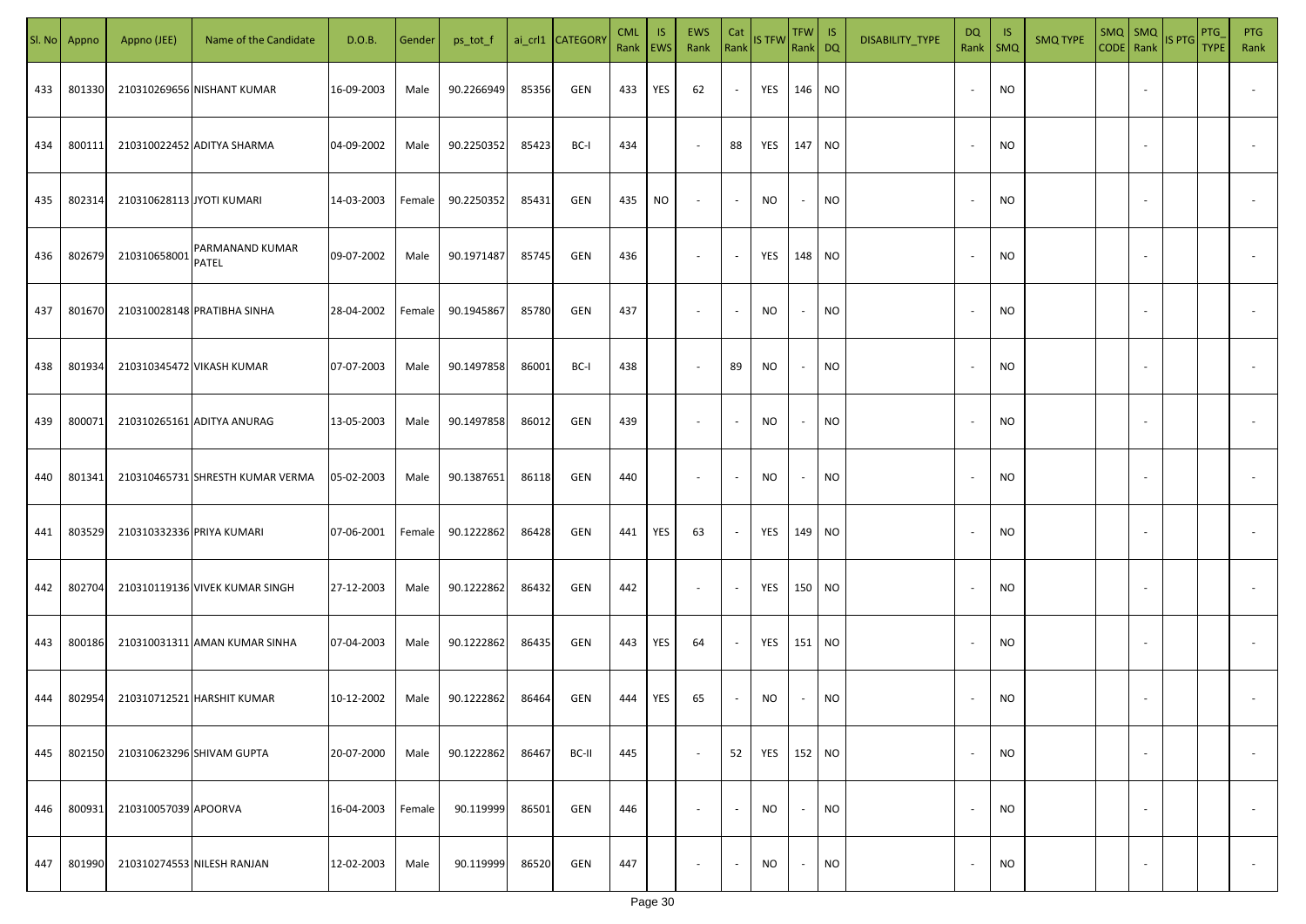| SI. No | Appno  | Appno (JEE)               | Name of the Candidate            | D.O.B.     | Gender | ps_tot_f   |       | ai_crl1 CATEGOR\ | <b>CML</b><br>Rank EWS | IS. | <b>EWS</b><br>Rank       | Cat<br>Rank              | <b>IS TFW</b> | $TFW$ IS<br>Rank DQ |           | DISABILITY_TYPE | <b>DQ</b>                | - IS<br>Rank   SMQ | <b>SMQ TYPE</b> |                          | $\left \frac{\text{SMQ}}{\text{CODE}}\right \frac{\text{SMQ}}{\text{Rank}}\left \frac{\text{IS PTG}}{\text{B}}\right $ | <b>PTG</b><br><b>TYPE</b> | <b>PTG</b><br>Rank       |
|--------|--------|---------------------------|----------------------------------|------------|--------|------------|-------|------------------|------------------------|-----|--------------------------|--------------------------|---------------|---------------------|-----------|-----------------|--------------------------|--------------------|-----------------|--------------------------|------------------------------------------------------------------------------------------------------------------------|---------------------------|--------------------------|
| 433    | 801330 |                           | 210310269656 NISHANT KUMAR       | 16-09-2003 | Male   | 90.2266949 | 85356 | GEN              | 433                    | YES | 62                       | $\sim$                   | YES           | 146 NO              |           |                 |                          | <b>NO</b>          |                 |                          |                                                                                                                        |                           |                          |
| 434    | 800111 |                           | 210310022452 ADITYA SHARMA       | 04-09-2002 | Male   | 90.2250352 | 85423 | BC-I             | 434                    |     | $\sim$                   | 88                       | YES           | 147 NO              |           |                 | $\sim$                   | <b>NO</b>          |                 |                          |                                                                                                                        |                           |                          |
| 435    | 802314 | 210310628113 JYOTI KUMARI |                                  | 14-03-2003 | Female | 90.2250352 | 85431 | GEN              | 435                    | NO  | $\overline{\phantom{a}}$ | $\sim$                   | <b>NO</b>     | $\sim$              | <b>NO</b> |                 |                          | <b>NO</b>          |                 |                          |                                                                                                                        |                           |                          |
| 436    | 802679 | 210310658001              | PARMANAND KUMAR<br><b>PATEL</b>  | 09-07-2002 | Male   | 90.1971487 | 85745 | GEN              | 436                    |     | $\overline{\phantom{a}}$ | $\sim$                   | YES           | 148 NO              |           |                 |                          | NO                 |                 |                          |                                                                                                                        |                           |                          |
| 437    | 801670 |                           | 210310028148 PRATIBHA SINHA      | 28-04-2002 | Female | 90.1945867 | 85780 | GEN              | 437                    |     | $\overline{\phantom{a}}$ | $\sim$                   | NO            | $\sim$              | <b>NO</b> |                 |                          | NO                 |                 |                          |                                                                                                                        |                           |                          |
| 438    | 801934 |                           | 210310345472 VIKASH KUMAR        | 07-07-2003 | Male   | 90.1497858 | 86001 | BC-I             | 438                    |     | $\overline{\phantom{a}}$ | 89                       | <b>NO</b>     | $\sim$              | <b>NO</b> |                 |                          | <b>NO</b>          |                 |                          |                                                                                                                        |                           |                          |
| 439    | 800071 |                           | 210310265161 ADITYA ANURAG       | 13-05-2003 | Male   | 90.1497858 | 86012 | GEN              | 439                    |     | $\overline{\phantom{a}}$ | $\sim$                   | NO            | $\sim$              | <b>NO</b> |                 |                          | <b>NO</b>          |                 |                          |                                                                                                                        |                           |                          |
| 440    | 801341 |                           | 210310465731 SHRESTH KUMAR VERMA | 05-02-2003 | Male   | 90.1387651 | 86118 | GEN              | 440                    |     | $\sim$                   | $\sim$                   | <b>NO</b>     | $\sim$              | <b>NO</b> |                 |                          | <b>NO</b>          |                 |                          |                                                                                                                        |                           |                          |
| 441    | 803529 | 210310332336 PRIYA KUMARI |                                  | 07-06-2001 | Female | 90.1222862 | 86428 | GEN              | 441                    | YES | 63                       | $\sim$                   | YES           | 149 NO              |           |                 |                          | <b>NO</b>          |                 |                          |                                                                                                                        |                           |                          |
| 442    | 802704 |                           | 210310119136 VIVEK KUMAR SINGH   | 27-12-2003 | Male   | 90.1222862 | 86432 | GEN              | 442                    |     | $\sim$                   | $\overline{\phantom{a}}$ | YES           | 150 NO              |           |                 |                          | <b>NO</b>          |                 |                          |                                                                                                                        |                           |                          |
| 443    | 800186 |                           | 210310031311 AMAN KUMAR SINHA    | 07-04-2003 | Male   | 90.1222862 | 86435 | GEN              | 443                    | YES | 64                       | $\sim$                   | YES           | 151 NO              |           |                 |                          | <b>NO</b>          |                 |                          |                                                                                                                        |                           |                          |
| 444    | 802954 |                           | 210310712521 HARSHIT KUMAR       | 10-12-2002 | Male   | 90.1222862 | 86464 | GEN              | 444                    | YES | 65                       | $\sim$                   | <b>NO</b>     | $\sim$              | <b>NO</b> |                 |                          | <b>NO</b>          |                 |                          |                                                                                                                        |                           |                          |
| 445    | 802150 |                           | 210310623296 SHIVAM GUPTA        | 20-07-2000 | Male   | 90.1222862 | 86467 | BC-II            | 445                    |     | $\sim$                   | 52                       | YES           | 152 NO              |           |                 | $\overline{\phantom{a}}$ | <b>NO</b>          |                 | $\overline{\phantom{a}}$ |                                                                                                                        |                           | $\overline{\phantom{a}}$ |
| 446    | 800931 | 210310057039 APOORVA      |                                  | 16-04-2003 | Female | 90.119999  | 86501 | GEN              | 446                    |     | $\sim$                   | $\sim$                   | <b>NO</b>     | $\sim$              | <b>NO</b> |                 | $\sim$                   | <b>NO</b>          |                 | $\overline{\phantom{a}}$ |                                                                                                                        |                           | $\overline{\phantom{a}}$ |
| 447    | 801990 |                           | 210310274553 NILESH RANJAN       | 12-02-2003 | Male   | 90.119999  | 86520 | GEN              | 447                    |     | $\overline{\phantom{a}}$ | $\sim$                   | NO            | $\sim$              | <b>NO</b> |                 |                          | <b>NO</b>          |                 | $\overline{\phantom{a}}$ |                                                                                                                        |                           | $\overline{\phantom{a}}$ |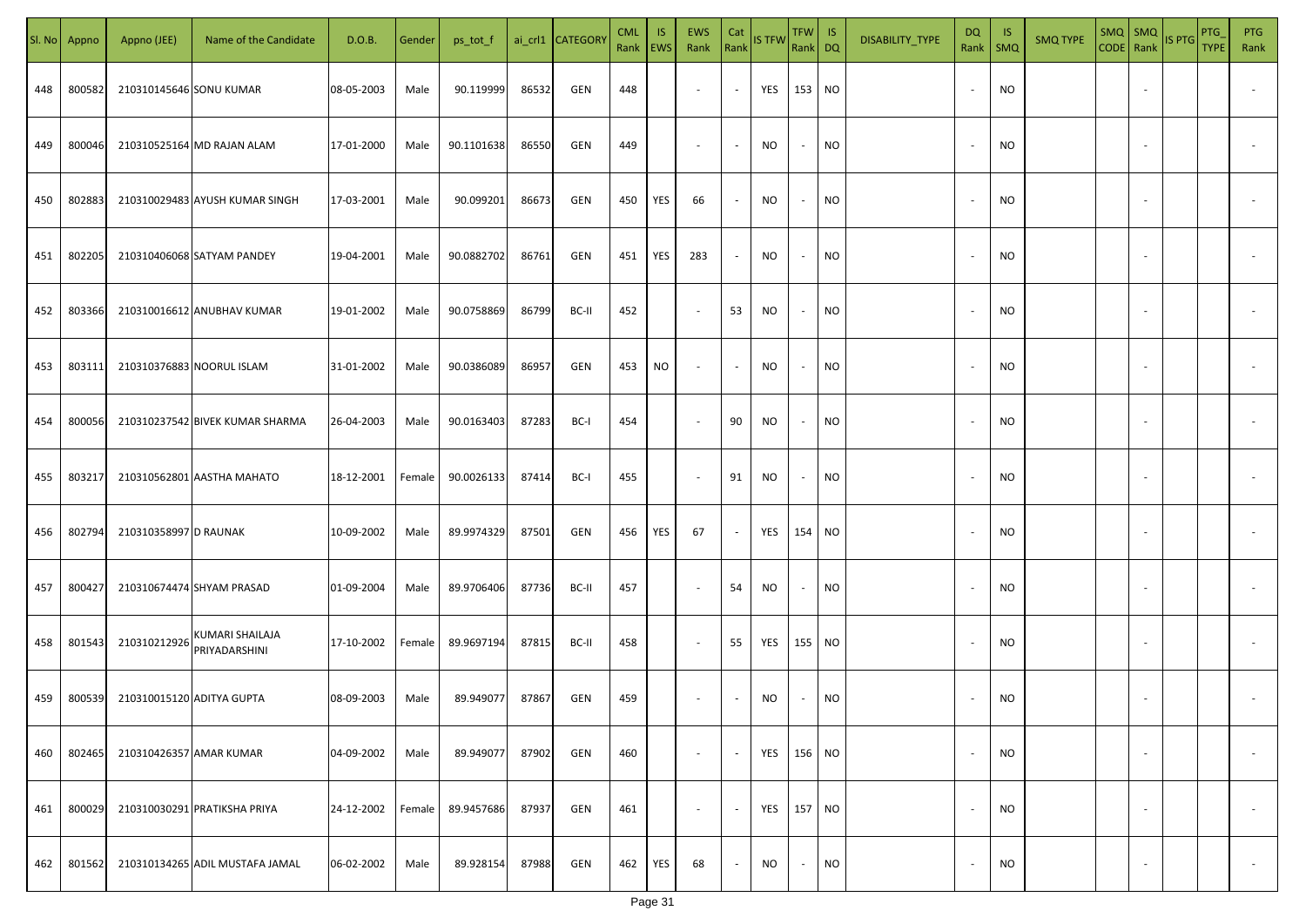| SI. No | Appno  | Appno (JEE)               | Name of the Candidate                   | D.O.B.     | Gender | ps_tot_f   |       | ai_crl1 CATEGOR\ | <b>CML</b><br>Rank EWS | IS. | <b>EWS</b><br>Rank       | Cat<br>Rank              | <b>IS TFW</b> | TFW IS<br>Rank DQ |           | DISABILITY_TYPE | DQ<br>Rank               | -IS<br>$\mathsf{SMQ}$ | <b>SMQ TYPE</b> | SMQ SMQ                  | CODE Rank IS PTG | <b>PTG</b><br><b>TYPE</b> | <b>PTG</b><br>Rank       |
|--------|--------|---------------------------|-----------------------------------------|------------|--------|------------|-------|------------------|------------------------|-----|--------------------------|--------------------------|---------------|-------------------|-----------|-----------------|--------------------------|-----------------------|-----------------|--------------------------|------------------|---------------------------|--------------------------|
| 448    | 800582 | 210310145646 SONU KUMAR   |                                         | 08-05-2003 | Male   | 90.119999  | 86532 | GEN              | 448                    |     | $\sim$                   | $\sim$                   | YES           | 153 NO            |           |                 |                          | <b>NO</b>             |                 |                          |                  |                           |                          |
| 449    | 800046 |                           | 210310525164 MD RAJAN ALAM              | 17-01-2000 | Male   | 90.1101638 | 86550 | GEN              | 449                    |     | $\sim$                   | $\sim$                   | <b>NO</b>     | $\sim$            | <b>NO</b> |                 | $\sim$                   | <b>NO</b>             |                 |                          |                  |                           |                          |
| 450    | 802883 |                           | 210310029483 AYUSH KUMAR SINGH          | 17-03-2001 | Male   | 90.099201  | 86673 | GEN              | 450                    | YES | 66                       | $\blacksquare$           | <b>NO</b>     | $\sim$            | <b>NO</b> |                 |                          | <b>NO</b>             |                 |                          |                  |                           |                          |
| 451    | 802205 |                           | 210310406068 SATYAM PANDEY              | 19-04-2001 | Male   | 90.0882702 | 86761 | GEN              | 451                    | YES | 283                      | $\sim$                   | <b>NO</b>     | $\sim$            | <b>NO</b> |                 |                          | <b>NO</b>             |                 |                          |                  |                           |                          |
| 452    | 803366 |                           | 210310016612 ANUBHAV KUMAR              | 19-01-2002 | Male   | 90.0758869 | 86799 | BC-II            | 452                    |     | $\sim$                   | 53                       | NO            | $\sim$            | <b>NO</b> |                 |                          | <b>NO</b>             |                 |                          |                  |                           |                          |
| 453    | 803111 |                           | 210310376883 NOORUL ISLAM               | 31-01-2002 | Male   | 90.0386089 | 86957 | GEN              | 453                    | NO  | $\overline{\phantom{a}}$ | $\sim$                   | <b>NO</b>     | $\sim$            | <b>NO</b> |                 |                          | <b>NO</b>             |                 |                          |                  |                           |                          |
| 454    | 800056 |                           | 210310237542 BIVEK KUMAR SHARMA         | 26-04-2003 | Male   | 90.0163403 | 87283 | BC-I             | 454                    |     | $\overline{\phantom{a}}$ | 90                       | NO            | $\sim$            | <b>NO</b> |                 |                          | <b>NO</b>             |                 |                          |                  |                           |                          |
| 455    | 803217 |                           | 210310562801 AASTHA MAHATO              | 18-12-2001 | Female | 90.0026133 | 87414 | BC-I             | 455                    |     | $\sim$                   | 91                       | <b>NO</b>     | $\sim$            | <b>NO</b> |                 |                          | <b>NO</b>             |                 |                          |                  |                           |                          |
| 456    | 802794 | 210310358997 D RAUNAK     |                                         | 10-09-2002 | Male   | 89.9974329 | 87501 | GEN              | 456                    | YES | 67                       | $\overline{\phantom{a}}$ | YES           | 154 NO            |           |                 |                          | <b>NO</b>             |                 |                          |                  |                           |                          |
| 457    | 800427 |                           | 210310674474 SHYAM PRASAD               | 01-09-2004 | Male   | 89.9706406 | 87736 | BC-II            | 457                    |     | $\sim$                   | 54                       | NO            | $\sim$            | <b>NO</b> |                 |                          | <b>NO</b>             |                 |                          |                  |                           |                          |
| 458    | 801543 | 210310212926              | <b>KUMARI SHAILAJA</b><br>PRIYADARSHINI | 17-10-2002 | Female | 89.9697194 | 87815 | BC-II            | 458                    |     | $\sim$                   | 55                       | YES           | 155 NO            |           |                 |                          | <b>NO</b>             |                 |                          |                  |                           |                          |
| 459    | 800539 | 210310015120 ADITYA GUPTA |                                         | 08-09-2003 | Male   | 89.949077  | 87867 | GEN              | 459                    |     | $\overline{\phantom{a}}$ | $\overline{\phantom{a}}$ | <b>NO</b>     | $\sim$            | <b>NO</b> |                 |                          | <b>NO</b>             |                 |                          |                  |                           |                          |
| 460    | 802465 | 210310426357 AMAR KUMAR   |                                         | 04-09-2002 | Male   | 89.949077  | 87902 | GEN              | 460                    |     | $\sim$                   | $\sim$                   | YES           | 156 NO            |           |                 | $\overline{\phantom{a}}$ | <b>NO</b>             |                 | $\overline{\phantom{a}}$ |                  |                           | $\overline{\phantom{a}}$ |
| 461    | 800029 |                           | 210310030291 PRATIKSHA PRIYA            | 24-12-2002 | Female | 89.9457686 | 87937 | GEN              | 461                    |     | $\sim$                   | $\sim$                   | YES           | 157 NO            |           |                 | $\overline{\phantom{a}}$ | <b>NO</b>             |                 | $\overline{\phantom{a}}$ |                  |                           | $\overline{\phantom{a}}$ |
| 462    | 801562 |                           | 210310134265 ADIL MUSTAFA JAMAL         | 06-02-2002 | Male   | 89.928154  | 87988 | GEN              | 462                    | YES | 68                       | $\sim$                   | NO.           | $\sim$            | <b>NO</b> |                 |                          | <b>NO</b>             |                 | $\overline{\phantom{a}}$ |                  |                           | $\overline{\phantom{a}}$ |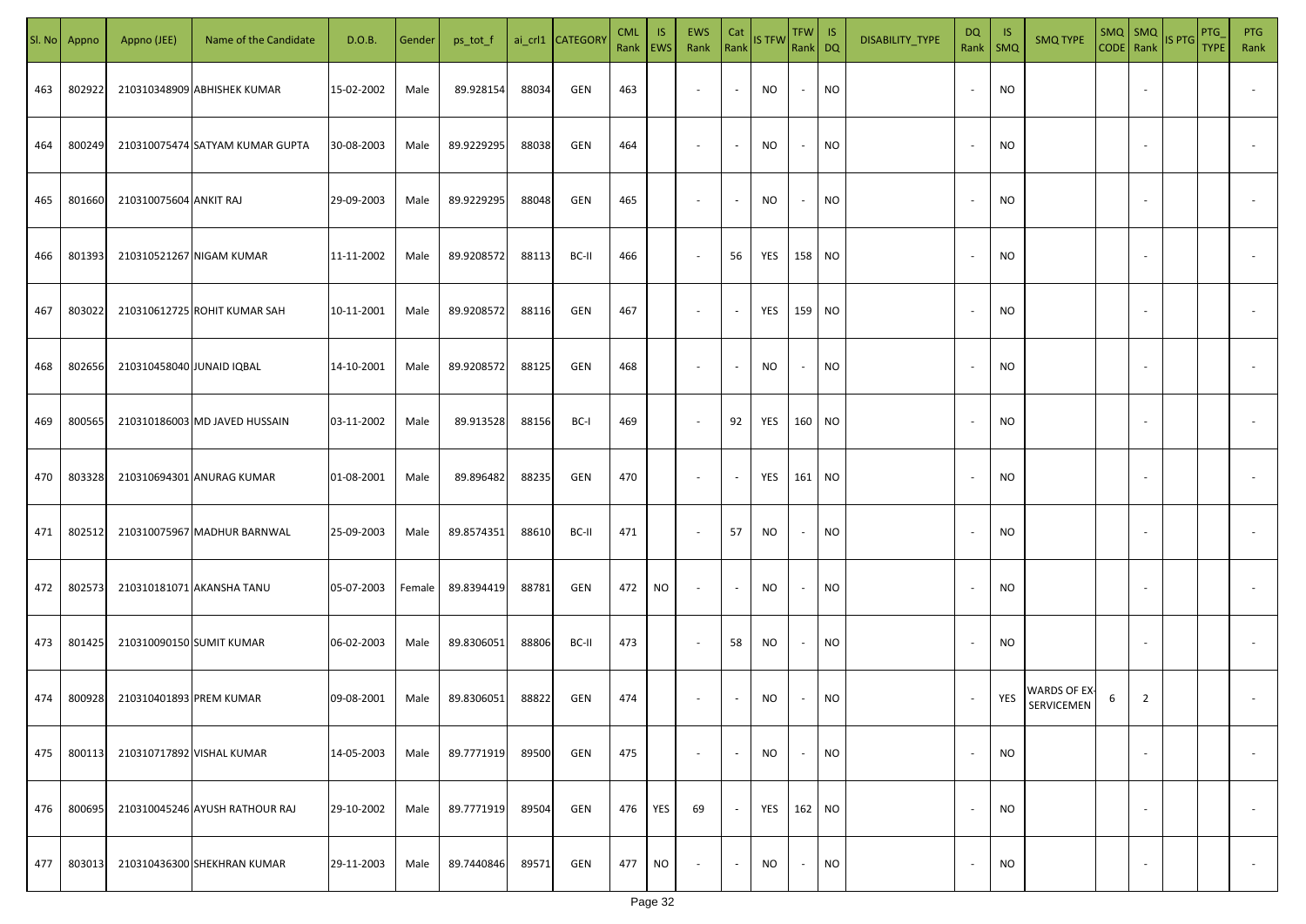| SI. No | Appno  | Appno (JEE)               | Name of the Candidate           | D.O.B.     | Gender | ps_tot_f   |       | ai_crl1 CATEGORY | <b>CML</b><br>Rank   EWS | <b>IS</b> | EWS<br>Rank              | Cat<br>Rank    | <b>IS TFW</b> | TFW IS<br>Rank DQ |           | DISABILITY_TYPE | <b>DQ</b><br>Rank        | -IS<br>SMQ | <b>SMQ TYPE</b>            | $SMQ$ $SMQ$ |                          | CODE Rank IS PTG | <b>PTG</b><br><b>TYPE</b> | <b>PTG</b><br>Rank       |
|--------|--------|---------------------------|---------------------------------|------------|--------|------------|-------|------------------|--------------------------|-----------|--------------------------|----------------|---------------|-------------------|-----------|-----------------|--------------------------|------------|----------------------------|-------------|--------------------------|------------------|---------------------------|--------------------------|
| 463    | 802922 |                           | 210310348909 ABHISHEK KUMAR     | 15-02-2002 | Male   | 89.928154  | 88034 | GEN              | 463                      |           | $\sim$                   | $\sim$         | <b>NO</b>     | $\sim$            | NO        |                 | $\sim$                   | <b>NO</b>  |                            |             |                          |                  |                           |                          |
| 464    | 800249 |                           | 210310075474 SATYAM KUMAR GUPTA | 30-08-2003 | Male   | 89.9229295 | 88038 | GEN              | 464                      |           | $\sim$                   | $\sim$         | NO            | $\sim$            | NO        |                 | $\overline{\phantom{a}}$ | <b>NO</b>  |                            |             |                          |                  |                           |                          |
| 465    | 801660 | 210310075604 ANKIT RAJ    |                                 | 29-09-2003 | Male   | 89.9229295 | 88048 | GEN              | 465                      |           | $\sim$                   | $\sim$         | ΝO            | $\sim$            | <b>NO</b> |                 | $\overline{\phantom{a}}$ | <b>NO</b>  |                            |             |                          |                  |                           |                          |
| 466    | 801393 |                           | 210310521267 NIGAM KUMAR        | 11-11-2002 | Male   | 89.9208572 | 88113 | BC-II            | 466                      |           | $\sim$                   | 56             | YES           | 158 NO            |           |                 | $\sim$                   | <b>NO</b>  |                            |             |                          |                  |                           |                          |
| 467    | 803022 |                           | 210310612725 ROHIT KUMAR SAH    | 10-11-2001 | Male   | 89.9208572 | 88116 | GEN              | 467                      |           | $\sim$                   | $\blacksquare$ | YES           | 159 NO            |           |                 |                          | <b>NO</b>  |                            |             |                          |                  |                           |                          |
| 468    | 802656 | 210310458040 JUNAID IQBAL |                                 | 14-10-2001 | Male   | 89.9208572 | 88125 | GEN              | 468                      |           | $\overline{\phantom{a}}$ | $\sim$         | NO.           | $\sim$            | <b>NO</b> |                 |                          | <b>NO</b>  |                            |             |                          |                  |                           |                          |
| 469    | 800565 |                           | 210310186003 MD JAVED HUSSAIN   | 03-11-2002 | Male   | 89.913528  | 88156 | BC-I             | 469                      |           | $\sim$                   | 92             | YES           | 160 NO            |           |                 |                          | <b>NO</b>  |                            |             |                          |                  |                           |                          |
| 470    | 803328 |                           | 210310694301 ANURAG KUMAR       | 01-08-2001 | Male   | 89.896482  | 88235 | GEN              | 470                      |           | $\overline{\phantom{a}}$ | $\sim$         | YES           | 161 NO            |           |                 |                          | <b>NO</b>  |                            |             |                          |                  |                           |                          |
| 471    | 802512 |                           | 210310075967 MADHUR BARNWAL     | 25-09-2003 | Male   | 89.8574351 | 88610 | BC-II            | 471                      |           | $\overline{\phantom{a}}$ | 57             | NO            | $\sim$            | NO        |                 |                          | <b>NO</b>  |                            |             |                          |                  |                           |                          |
| 472    | 802573 |                           | 210310181071 AKANSHA TANU       | 05-07-2003 | Female | 89.8394419 | 88781 | GEN              | 472                      | <b>NO</b> | $\sim$                   | $\sim$         | NO.           | $\sim$            | NO        |                 |                          | <b>NO</b>  |                            |             |                          |                  |                           |                          |
| 473    | 801425 | 210310090150 SUMIT KUMAR  |                                 | 06-02-2003 | Male   | 89.8306051 | 88806 | BC-II            | 473                      |           | $\sim$                   | 58             | NO.           | $\sim$            | <b>NO</b> |                 |                          | <b>NO</b>  |                            |             |                          |                  |                           |                          |
| 474    | 800928 | 210310401893 PREM KUMAR   |                                 | 09-08-2001 | Male   | 89.8306051 | 88822 | GEN              | 474                      |           | $\overline{\phantom{a}}$ | $\sim$         | NO            | $\sim$            | <b>NO</b> |                 |                          | YES        | WARDS OF EX-<br>SERVICEMEN | 6           | $\overline{2}$           |                  |                           |                          |
| 475    | 800113 |                           | 210310717892 VISHAL KUMAR       | 14-05-2003 | Male   | 89.7771919 | 89500 | GEN              | 475                      |           | $\sim$                   | $\sim$         | NO            | $\sim$            | <b>NO</b> |                 | $\sim$                   | <b>NO</b>  |                            |             | $\overline{\phantom{a}}$ |                  |                           | $\overline{\phantom{a}}$ |
| 476    | 800695 |                           | 210310045246 AYUSH RATHOUR RAJ  | 29-10-2002 | Male   | 89.7771919 | 89504 | GEN              | 476                      | YES       | 69                       | $\sim$         | YES           | 162 NO            |           |                 | $\overline{\phantom{a}}$ | <b>NO</b>  |                            |             | $\overline{\phantom{a}}$ |                  |                           | $\overline{\phantom{a}}$ |
| 477    | 803013 |                           | 210310436300 SHEKHRAN KUMAR     | 29-11-2003 | Male   | 89.7440846 | 89571 | GEN              | 477                      | <b>NO</b> | $\overline{\phantom{a}}$ | $\sim$         | <b>NO</b>     | $\sim$            | <b>NO</b> |                 |                          | <b>NO</b>  |                            |             | $\overline{\phantom{a}}$ |                  |                           | $\overline{\phantom{a}}$ |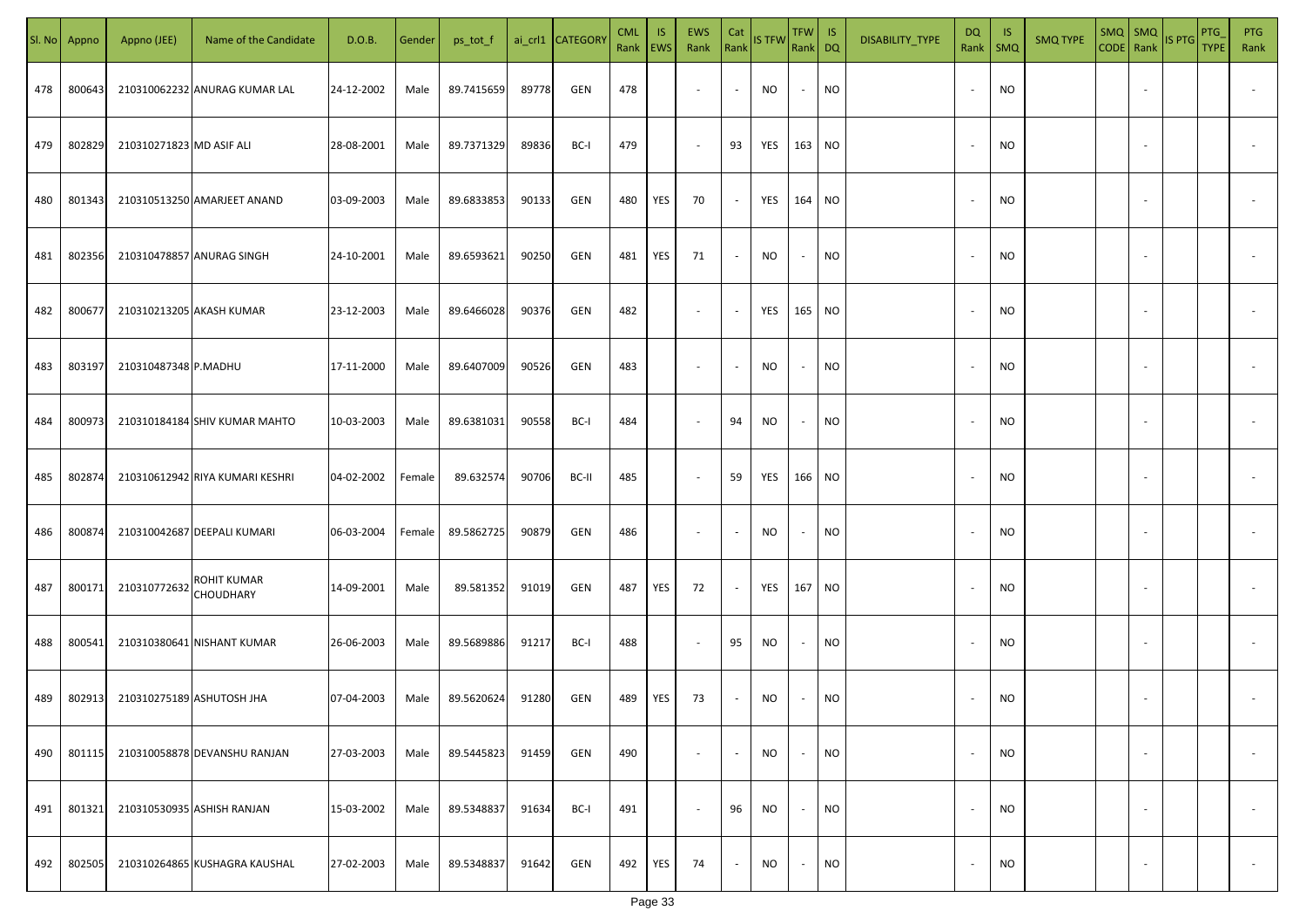| SI. No. | Appno  | Appno (JEE)               | Name of the Candidate           | D.O.B.     | Gender | ps_tot_f   |       | ai_crl1 CATEGORY | <b>CML</b><br>Rank   EWS | IS. | <b>EWS</b><br>Rank       | Cat<br>Rank              | <b>IS TFW</b> | $TFW$ IS<br>Rank DQ      |           | DISABILITY_TYPE | DQ                       | -IS<br>Rank   SMQ | <b>SMQ TYPE</b> |                          | $\begin{array}{ c c c c }\n\hline\n\text{SMQ} & \text{SMQ} \\ \hline\n\text{CODE} & \text{Rank}\n\end{array}$ IS PTG | <b>PTG</b><br><b>TYPE</b> | <b>PTG</b><br>Rank       |
|---------|--------|---------------------------|---------------------------------|------------|--------|------------|-------|------------------|--------------------------|-----|--------------------------|--------------------------|---------------|--------------------------|-----------|-----------------|--------------------------|-------------------|-----------------|--------------------------|----------------------------------------------------------------------------------------------------------------------|---------------------------|--------------------------|
| 478     | 800643 |                           | 210310062232 ANURAG KUMAR LAL   | 24-12-2002 | Male   | 89.7415659 | 89778 | GEN              | 478                      |     | $\overline{\phantom{a}}$ | $\sim$                   | NO            | $\sim$                   | <b>NO</b> |                 |                          | <b>NO</b>         |                 |                          |                                                                                                                      |                           |                          |
| 479     | 802829 | 210310271823 MD ASIF ALI  |                                 | 28-08-2001 | Male   | 89.7371329 | 89836 | BC-I             | 479                      |     | $\sim$                   | 93                       | YES           | 163 NO                   |           |                 |                          | <b>NO</b>         |                 |                          |                                                                                                                      |                           |                          |
| 480     | 801343 |                           | 210310513250 AMARJEET ANAND     | 03-09-2003 | Male   | 89.6833853 | 90133 | GEN              | 480                      | YES | 70                       | $\sim$                   | YES           | 164 NO                   |           |                 | $\sim$                   | <b>NO</b>         |                 |                          |                                                                                                                      |                           |                          |
| 481     | 802356 |                           | 210310478857 ANURAG SINGH       | 24-10-2001 | Male   | 89.6593621 | 90250 | GEN              | 481                      | YES | 71                       | $\sim$                   | NO            | $\overline{\phantom{a}}$ | <b>NO</b> |                 | $\sim$                   | <b>NO</b>         |                 |                          |                                                                                                                      |                           |                          |
| 482     | 800677 | 210310213205 AKASH KUMAR  |                                 | 23-12-2003 | Male   | 89.6466028 | 90376 | GEN              | 482                      |     | $\overline{\phantom{a}}$ | $\sim$                   | YES           | 165 NO                   |           |                 | $\sim$                   | NO                |                 |                          |                                                                                                                      |                           |                          |
| 483     | 803197 | 210310487348 P.MADHU      |                                 | 17-11-2000 | Male   | 89.6407009 | 90526 | GEN              | 483                      |     | $\overline{\phantom{a}}$ | $\overline{\phantom{a}}$ | NO            | $\overline{\phantom{a}}$ | <b>NO</b> |                 |                          | NO                |                 |                          |                                                                                                                      |                           |                          |
| 484     | 800973 |                           | 210310184184 SHIV KUMAR MAHTO   | 10-03-2003 | Male   | 89.6381031 | 90558 | BC-I             | 484                      |     | $\overline{\phantom{a}}$ | 94                       | <b>NO</b>     | $\sim$                   | <b>NO</b> |                 |                          | <b>NO</b>         |                 |                          |                                                                                                                      |                           |                          |
| 485     | 802874 |                           | 210310612942 RIYA KUMARI KESHRI | 04-02-2002 | Female | 89.632574  | 90706 | BC-II            | 485                      |     | $\overline{\phantom{a}}$ | 59                       | YES           | 166 NO                   |           |                 |                          | NO                |                 |                          |                                                                                                                      |                           |                          |
| 486     | 800874 |                           | 210310042687 DEEPALI KUMARI     | 06-03-2004 | Female | 89.5862725 | 90879 | GEN              | 486                      |     | $\overline{\phantom{a}}$ | $\overline{\phantom{a}}$ | NO            | $\overline{\phantom{a}}$ | <b>NO</b> |                 |                          | <b>NO</b>         |                 |                          |                                                                                                                      |                           |                          |
| 487     | 800171 | 210310772632              | ROHIT KUMAR<br><b>CHOUDHARY</b> | 14-09-2001 | Male   | 89.581352  | 91019 | GEN              | 487                      | YES | 72                       | $\overline{\phantom{a}}$ | YES           | 167 NO                   |           |                 |                          | <b>NO</b>         |                 |                          |                                                                                                                      |                           |                          |
| 488     | 800541 |                           | 210310380641 NISHANT KUMAR      | 26-06-2003 | Male   | 89.5689886 | 91217 | BC-I             | 488                      |     | $\sim$                   | 95                       | NO            | $\overline{\phantom{a}}$ | <b>NO</b> |                 |                          | <b>NO</b>         |                 |                          |                                                                                                                      |                           |                          |
| 489     | 802913 | 210310275189 ASHUTOSH JHA |                                 | 07-04-2003 | Male   | 89.5620624 | 91280 | GEN              | 489                      | YES | 73                       | $\sim$                   | NO            |                          | <b>NO</b> |                 |                          | <b>NO</b>         |                 |                          |                                                                                                                      |                           |                          |
| 490     | 801115 |                           | 210310058878 DEVANSHU RANJAN    | 27-03-2003 | Male   | 89.5445823 | 91459 | GEN              | 490                      |     | $\overline{\phantom{a}}$ | $\overline{\phantom{a}}$ | <b>NO</b>     | $\overline{\phantom{a}}$ | <b>NO</b> |                 |                          | <b>NO</b>         |                 | $\overline{\phantom{a}}$ |                                                                                                                      |                           | $\overline{\phantom{a}}$ |
| 491     | 801321 |                           | 210310530935 ASHISH RANJAN      | 15-03-2002 | Male   | 89.5348837 | 91634 | BC-I             | 491                      |     | $\overline{\phantom{a}}$ | 96                       | <b>NO</b>     | $\sim$                   | <b>NO</b> |                 | $\overline{\phantom{a}}$ | <b>NO</b>         |                 | $\overline{\phantom{a}}$ |                                                                                                                      |                           | $\overline{\phantom{a}}$ |
| 492     | 802505 |                           | 210310264865 KUSHAGRA KAUSHAL   | 27-02-2003 | Male   | 89.5348837 | 91642 | GEN              | 492                      | YES | 74                       | $\sim$                   | <b>NO</b>     | $\sim$                   | <b>NO</b> |                 |                          | <b>NO</b>         |                 |                          |                                                                                                                      |                           | $\overline{\phantom{a}}$ |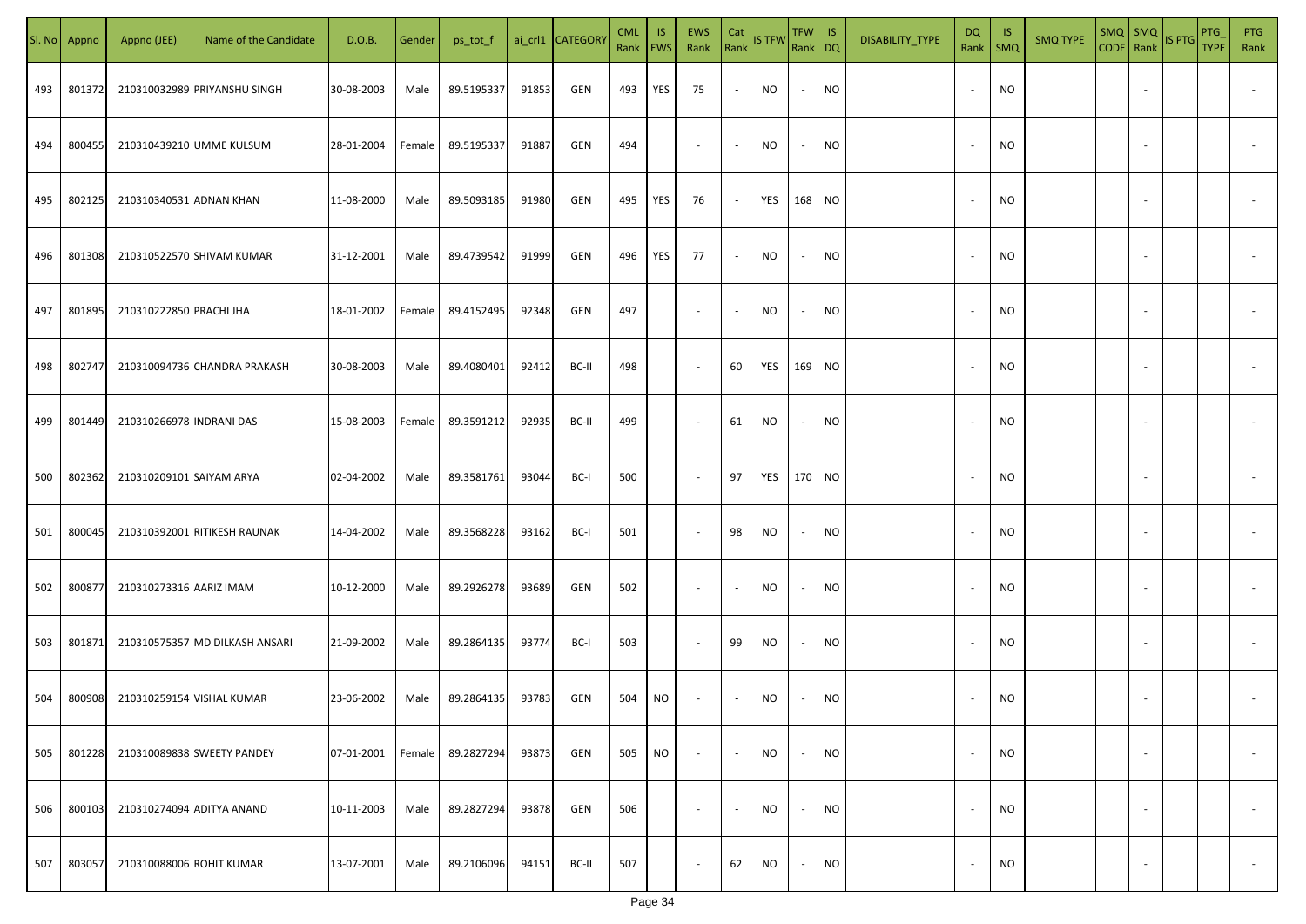| SI. No. | Appno  | Appno (JEE)               | Name of the Candidate          | D.O.B.     | Gender | ps_tot_f   |       | ai_crl1 CATEGORY | <b>CML</b><br>Rank EWS | IS. | EWS<br>Rank              | Cat<br>Rank              | <b>IS TFW</b> | $TFW$ IS<br>Rank DQ      |           | DISABILITY_TYPE | <b>DQ</b> | -IS<br>Rank   SMQ | <b>SMQ TYPE</b> |                          | $\begin{array}{ c c c c }\n\hline\n\text{SMQ} & \text{SMQ} & \text{IS PTG}\n\hline\n\text{CODE} & \text{Rank}\n\end{array}$ | PTG<br><b>TYPE</b> | <b>PTG</b><br>Rank       |
|---------|--------|---------------------------|--------------------------------|------------|--------|------------|-------|------------------|------------------------|-----|--------------------------|--------------------------|---------------|--------------------------|-----------|-----------------|-----------|-------------------|-----------------|--------------------------|-----------------------------------------------------------------------------------------------------------------------------|--------------------|--------------------------|
| 493     | 801372 |                           | 210310032989 PRIYANSHU SINGH   | 30-08-2003 | Male   | 89.5195337 | 91853 | GEN              | 493                    | YES | 75                       | $\sim$                   | NO            | $\sim$                   | <b>NO</b> |                 |           | <b>NO</b>         |                 |                          |                                                                                                                             |                    |                          |
| 494     | 800455 |                           | 210310439210 UMME KULSUM       | 28-01-2004 | Female | 89.5195337 | 91887 | GEN              | 494                    |     | $\sim$                   | $\sim$                   | NO            | $\sim$                   | <b>NO</b> |                 | $\sim$    | <b>NO</b>         |                 |                          |                                                                                                                             |                    |                          |
| 495     | 802125 | 210310340531 ADNAN KHAN   |                                | 11-08-2000 | Male   | 89.5093185 | 91980 | GEN              | 495                    | YES | 76                       | $\sim$                   | YES           | 168 NO                   |           |                 |           | <b>NO</b>         |                 |                          |                                                                                                                             |                    |                          |
| 496     | 801308 |                           | 210310522570 SHIVAM KUMAR      | 31-12-2001 | Male   | 89.4739542 | 91999 | GEN              | 496                    | YES | 77                       | $\sim$                   | NO            | $\sim$                   | <b>NO</b> |                 |           | NO                |                 |                          |                                                                                                                             |                    |                          |
| 497     | 801895 | 210310222850 PRACHI JHA   |                                | 18-01-2002 | Female | 89.4152495 | 92348 | GEN              | 497                    |     | $\overline{\phantom{a}}$ | $\overline{\phantom{a}}$ | NO            | $\overline{\phantom{a}}$ | <b>NO</b> |                 |           | NO                |                 |                          |                                                                                                                             |                    |                          |
| 498     | 802747 |                           | 210310094736 CHANDRA PRAKASH   | 30-08-2003 | Male   | 89.4080401 | 92412 | BC-II            | 498                    |     | $\overline{\phantom{a}}$ | 60                       | YES           | 169 NO                   |           |                 |           | <b>NO</b>         |                 |                          |                                                                                                                             |                    |                          |
| 499     | 801449 | 210310266978 INDRANI DAS  |                                | 15-08-2003 | Female | 89.3591212 | 92935 | BC-II            | 499                    |     | $\overline{\phantom{a}}$ | 61                       | NO            | $\overline{\phantom{a}}$ | <b>NO</b> |                 |           | <b>NO</b>         |                 |                          |                                                                                                                             |                    |                          |
| 500     | 802362 | 210310209101 SAIYAM ARYA  |                                | 02-04-2002 | Male   | 89.3581761 | 93044 | BC-I             | 500                    |     | $\overline{\phantom{a}}$ | 97                       | YES           | 170 NO                   |           |                 |           | <b>NO</b>         |                 |                          |                                                                                                                             |                    |                          |
| 501     | 800045 |                           | 210310392001 RITIKESH RAUNAK   | 14-04-2002 | Male   | 89.3568228 | 93162 | BC-I             | 501                    |     | $\sim$                   | 98                       | NO            | $\sim$                   | <b>NO</b> |                 |           | NO                |                 |                          |                                                                                                                             |                    |                          |
| 502     | 800877 | 210310273316 AARIZ IMAM   |                                | 10-12-2000 | Male   | 89.2926278 | 93689 | GEN              | 502                    |     | $\sim$                   | $\sim$                   | NO            | $\overline{\phantom{a}}$ | <b>NO</b> |                 |           | <b>NO</b>         |                 |                          |                                                                                                                             |                    |                          |
| 503     | 801871 |                           | 210310575357 MD DILKASH ANSARI | 21-09-2002 | Male   | 89.2864135 | 93774 | BC-I             | 503                    |     | $\sim$                   | 99                       | NO            | $\overline{\phantom{a}}$ | <b>NO</b> |                 |           | <b>NO</b>         |                 |                          |                                                                                                                             |                    |                          |
| 504     | 800908 | 210310259154 VISHAL KUMAR |                                | 23-06-2002 | Male   | 89.2864135 | 93783 | GEN              | 504                    | NO  | $\overline{\phantom{a}}$ | $\sim$                   | NO            |                          | <b>NO</b> |                 |           | <b>NO</b>         |                 |                          |                                                                                                                             |                    |                          |
| 505     | 801228 |                           | 210310089838 SWEETY PANDEY     | 07-01-2001 | Female | 89.2827294 | 93873 | GEN              | 505                    | NO  | $\overline{\phantom{a}}$ | $\blacksquare$           | NO            | $\overline{\phantom{a}}$ | <b>NO</b> |                 | $\sim$    | <b>NO</b>         |                 | $\overline{\phantom{a}}$ |                                                                                                                             |                    | $\overline{\phantom{a}}$ |
| 506     | 800103 |                           | 210310274094 ADITYA ANAND      | 10-11-2003 | Male   | 89.2827294 | 93878 | GEN              | 506                    |     | $\overline{\phantom{a}}$ | $\overline{\phantom{a}}$ | <b>NO</b>     | $\sim$                   | <b>NO</b> |                 | $\sim$    | <b>NO</b>         |                 | $\overline{\phantom{a}}$ |                                                                                                                             |                    | $\overline{\phantom{a}}$ |
| 507     | 803057 | 210310088006 ROHIT KUMAR  |                                | 13-07-2001 | Male   | 89.2106096 | 94151 | BC-II            | 507                    |     | $\overline{\phantom{a}}$ | 62                       | NO            | $\sim$                   | <b>NO</b> |                 |           | <b>NO</b>         |                 | $\overline{\phantom{a}}$ |                                                                                                                             |                    | $\sim$                   |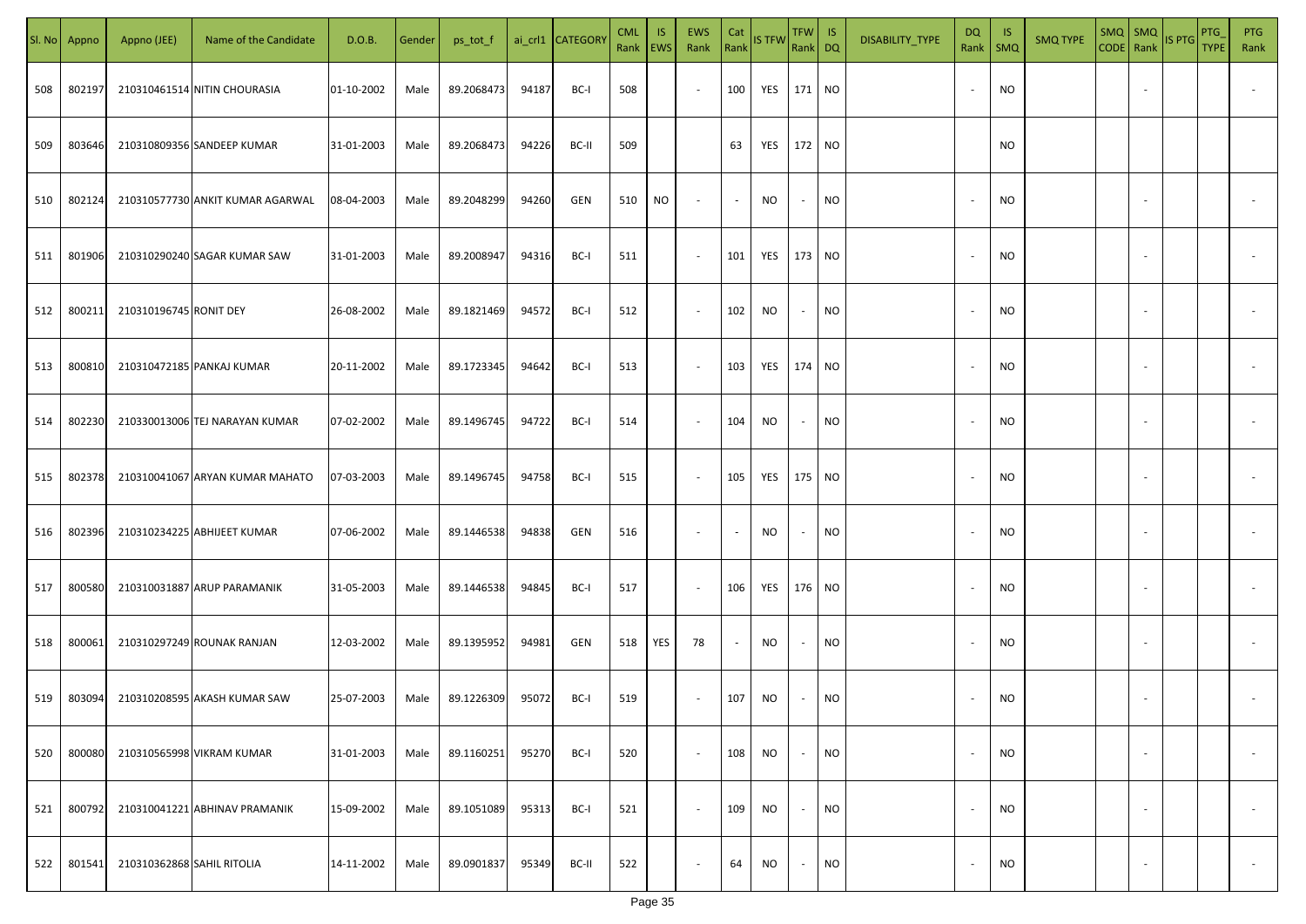| SI. No. | Appno  | Appno (JEE)                | Name of the Candidate            | D.O.B.     | Gender | ps_tot_f   |       | ai_crl1 CATEGORY | <b>CML</b><br>Rank   EWS | <b>IS</b> | EWS<br>Rank | Cat    | Rank IS TFW | TFW IS<br>Rank DQ |           | DISABILITY_TYPE | DQ<br>Rank   SMQ         | - IS      | <b>SMQ TYPE</b> | $SMQ$ $SMQ$<br>CODE Rank |                          | IS PTG | PTG<br><b>TYPE</b> | <b>PTG</b><br>Rank |
|---------|--------|----------------------------|----------------------------------|------------|--------|------------|-------|------------------|--------------------------|-----------|-------------|--------|-------------|-------------------|-----------|-----------------|--------------------------|-----------|-----------------|--------------------------|--------------------------|--------|--------------------|--------------------|
| 508     | 80219  |                            | 210310461514 NITIN CHOURASIA     | 01-10-2002 | Male   | 89.2068473 | 94187 | BC-I             | 508                      |           | $\sim$      | 100    | YES         | 171 NO            |           |                 | $\overline{\phantom{a}}$ | NO.       |                 |                          | $\sim$                   |        |                    |                    |
| 509     | 803646 |                            | 210310809356 SANDEEP KUMAR       | 31-01-2003 | Male   | 89.2068473 | 94226 | BC-II            | 509                      |           |             | 63     | YES         | 172 NO            |           |                 |                          | NO.       |                 |                          |                          |        |                    |                    |
| 510     | 802124 |                            | 210310577730 ANKIT KUMAR AGARWAL | 08-04-2003 | Male   | 89.2048299 | 94260 | GEN              | 510                      | NO        | $\sim$      | $\sim$ | NO          | $\sim$            | <b>NO</b> |                 | $\overline{\phantom{a}}$ | NO.       |                 |                          |                          |        |                    |                    |
| 511     | 801906 |                            | 210310290240 SAGAR KUMAR SAW     | 31-01-2003 | Male   | 89.2008947 | 94316 | BC-I             | 511                      |           | $\sim$      | 101    | YES         | 173 NO            |           |                 | $\overline{\phantom{a}}$ | NO.       |                 |                          | $\sim$                   |        |                    |                    |
| 512     | 800211 | 210310196745 RONIT DEY     |                                  | 26-08-2002 | Male   | 89.1821469 | 94572 | BC-I             | 512                      |           | $\sim$      | 102    | NO          | $\sim$            | <b>NO</b> |                 | $\sim$                   | NO.       |                 |                          | $\sim$                   |        |                    |                    |
| 513     | 800810 |                            | 210310472185 PANKAJ KUMAR        | 20-11-2002 | Male   | 89.1723345 | 94642 | BC-I             | 513                      |           | $\sim$      | 103    | YES         | 174 NO            |           |                 | ٠.                       | NO        |                 |                          | $\overline{\phantom{a}}$ |        |                    |                    |
| 514     | 802230 |                            | 210330013006 TEJ NARAYAN KUMAR   | 07-02-2002 | Male   | 89.1496745 | 94722 | BC-I             | 514                      |           | $\sim$      | 104    | NO.         | $\sim$            | <b>NO</b> |                 |                          | NO.       |                 |                          | $\sim$                   |        |                    |                    |
| 515     | 802378 |                            | 210310041067 ARYAN KUMAR MAHATO  | 07-03-2003 | Male   | 89.1496745 | 94758 | BC-I             | 515                      |           | $\sim$      | 105    | YES         | 175               | <b>NO</b> |                 |                          | NO.       |                 |                          | $\overline{\phantom{a}}$ |        |                    |                    |
| 516     | 802396 |                            | 210310234225 ABHIJEET KUMAR      | 07-06-2002 | Male   | 89.1446538 | 94838 | GEN              | 516                      |           | $\sim$      | $\sim$ | <b>NO</b>   | $\sim$            | <b>NO</b> |                 |                          | NO.       |                 |                          |                          |        |                    |                    |
| 517     | 800580 |                            | 210310031887 ARUP PARAMANIK      | 31-05-2003 | Male   | 89.1446538 | 94845 | BC-I             | 517                      |           | $\sim$      | 106    | YES         | 176 NO            |           |                 |                          | NO.       |                 |                          |                          |        |                    |                    |
| 518     | 800061 |                            | 210310297249 ROUNAK RANJAN       | 12-03-2002 | Male   | 89.1395952 | 94981 | GEN              | 518                      | YES       | 78          | $\sim$ | NO          | $\sim$            | <b>NO</b> |                 |                          | NO.       |                 |                          |                          |        |                    |                    |
| 519     | 803094 |                            | 210310208595 AKASH KUMAR SAW     | 25-07-2003 | Male   | 89.1226309 | 95072 | BC-I             | 519                      |           | $\sim$      | 107    | <b>NO</b>   | $\sim$            | <b>NO</b> |                 |                          | <b>NO</b> |                 |                          |                          |        |                    |                    |
| 520     | 800080 |                            | 210310565998 VIKRAM KUMAR        | 31-01-2003 | Male   | 89.1160251 | 95270 | BC-I             | 520                      |           | $\sim$      | 108    | <b>NO</b>   | $\sim$            | <b>NO</b> |                 | $\overline{\phantom{a}}$ | <b>NO</b> |                 |                          | $\overline{\phantom{a}}$ |        |                    | $\sim$             |
| 521     | 800792 |                            | 210310041221 ABHINAV PRAMANIK    | 15-09-2002 | Male   | 89.1051089 | 95313 | BC-I             | 521                      |           | $\sim$      | 109    | <b>NO</b>   | $\sim$            | <b>NO</b> |                 | $\overline{\phantom{a}}$ | <b>NO</b> |                 |                          | $\overline{\phantom{a}}$ |        |                    | $\sim$             |
| 522     | 801541 | 210310362868 SAHIL RITOLIA |                                  | 14-11-2002 | Male   | 89.0901837 | 95349 | BC-II            | 522                      |           | $\sim$      | 64     | <b>NO</b>   | $\sim$            | <b>NO</b> |                 | $\overline{\phantom{a}}$ | <b>NO</b> |                 |                          | $\overline{\phantom{a}}$ |        |                    | $\sim$             |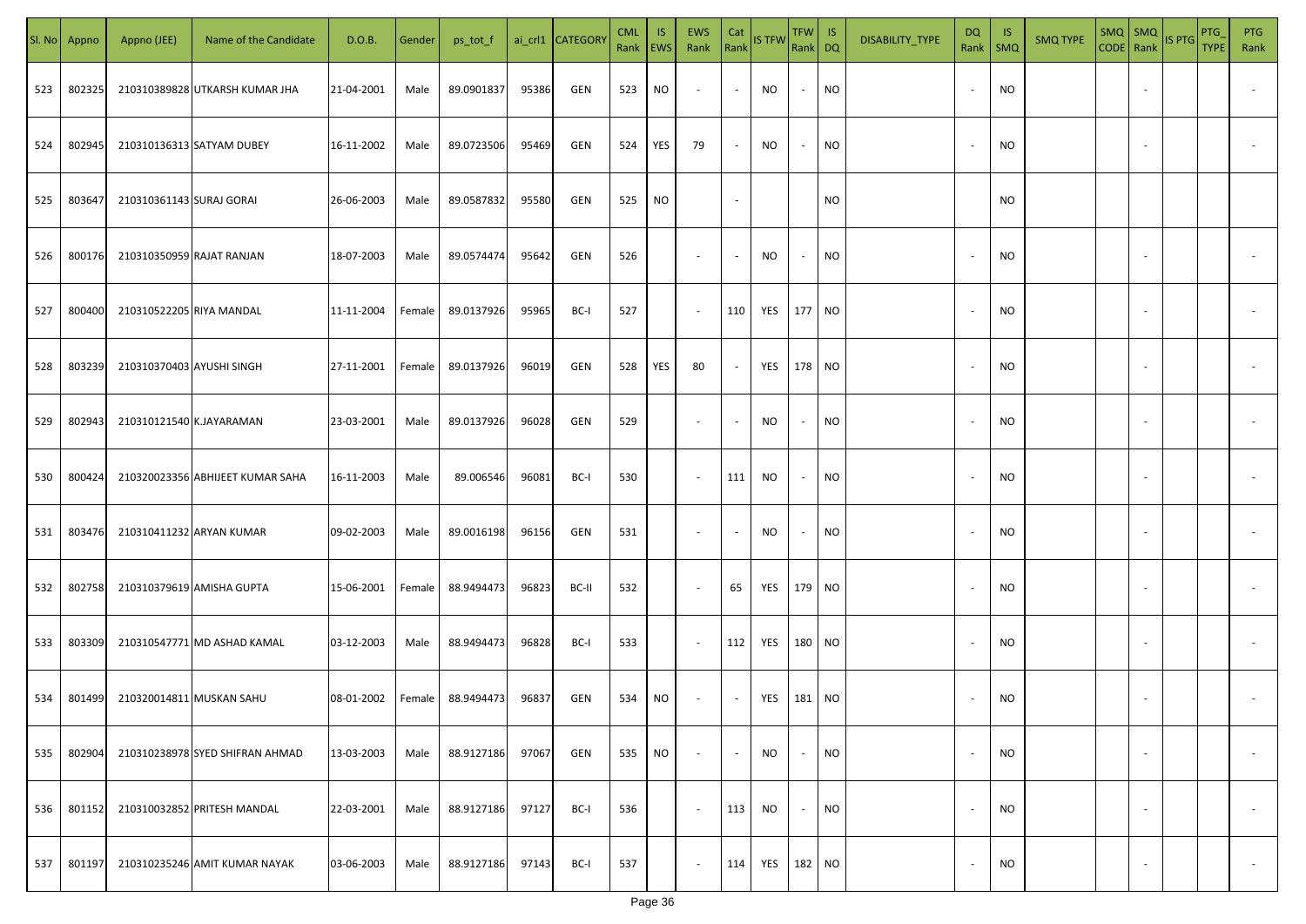| SI. No | Appno  | Appno (JEE)               | Name of the Candidate            | D.O.B.     | Gender | ps_tot_f   |       | ai_crl1 CATEGORY | <b>CML</b><br>Rank EWS | <b>IS</b> | EWS<br>Rank Rank IS TFW | Cat                      |           | TFW IS<br>Rank DQ        |           | DISABILITY_TYPE | DQ<br>Rank               | - IS<br><b>SMQ</b> | <b>SMQ TYPE</b> | $SMQ$ $SMQ$<br>CODE Rank |                          | IS PTG | PTG<br><b>TYPE</b> | <b>PTG</b><br>Rank       |
|--------|--------|---------------------------|----------------------------------|------------|--------|------------|-------|------------------|------------------------|-----------|-------------------------|--------------------------|-----------|--------------------------|-----------|-----------------|--------------------------|--------------------|-----------------|--------------------------|--------------------------|--------|--------------------|--------------------------|
| 523    | 802325 |                           | 210310389828 UTKARSH KUMAR JHA   | 21-04-2001 | Male   | 89.0901837 | 95386 | GEN              | 523                    | NO        | $\sim$                  | $\sim$                   | <b>NO</b> | $\sim$                   | NO        |                 | $\overline{\phantom{a}}$ | <b>NO</b>          |                 |                          |                          |        |                    |                          |
| 524    | 802945 |                           | 210310136313 SATYAM DUBEY        | 16-11-2002 | Male   | 89.0723506 | 95469 | GEN              | 524                    | YES       | 79                      | $\sim$                   | <b>NO</b> | $\sim$                   | <b>NO</b> |                 | $\overline{\phantom{a}}$ | <b>NO</b>          |                 |                          |                          |        |                    |                          |
| 525    | 803647 | 210310361143 SURAJ GORAI  |                                  | 26-06-2003 | Male   | 89.0587832 | 95580 | GEN              | 525                    | NO        |                         | $\sim$                   |           |                          | <b>NO</b> |                 |                          | <b>NO</b>          |                 |                          |                          |        |                    |                          |
| 526    | 800176 | 210310350959 RAJAT RANJAN |                                  | 18-07-2003 | Male   | 89.0574474 | 95642 | GEN              | 526                    |           | $\sim$                  | $\sim$                   | NO        | $\sim$                   | NO        |                 |                          | <b>NO</b>          |                 |                          |                          |        |                    |                          |
| 527    | 800400 | 210310522205 RIYA MANDAL  |                                  | 11-11-2004 | Female | 89.0137926 | 95965 | BC-I             | 527                    |           | $\sim$                  | 110                      | YES       | 177 NO                   |           |                 |                          | <b>NO</b>          |                 |                          |                          |        |                    |                          |
| 528    | 803239 | 210310370403 AYUSHI SINGH |                                  | 27-11-2001 | Female | 89.0137926 | 96019 | GEN              | 528                    | YES       | 80                      | $\sim$                   | YES       | 178 NO                   |           |                 |                          | <b>NO</b>          |                 |                          |                          |        |                    |                          |
| 529    | 802943 | 210310121540 K.JAYARAMAN  |                                  | 23-03-2001 | Male   | 89.0137926 | 96028 | GEN              | 529                    |           | $\sim$                  | $\sim$                   | NO        | $\overline{\phantom{a}}$ | <b>NO</b> |                 |                          | <b>NO</b>          |                 |                          |                          |        |                    |                          |
| 530    | 800424 |                           | 210320023356 ABHIJEET KUMAR SAHA | 16-11-2003 | Male   | 89.006546  | 96081 | BC-I             | 530                    |           | $\sim$                  | 111                      | NO        | $\overline{\phantom{a}}$ | NO        |                 |                          | <b>NO</b>          |                 |                          |                          |        |                    |                          |
| 531    | 803476 |                           | 210310411232 ARYAN KUMAR         | 09-02-2003 | Male   | 89.0016198 | 96156 | GEN              | 531                    |           | $\sim$                  | $\overline{\phantom{a}}$ | NO.       | $\overline{\phantom{a}}$ | NO        |                 |                          | <b>NO</b>          |                 |                          |                          |        |                    |                          |
| 532    | 802758 |                           | 210310379619 AMISHA GUPTA        | 15-06-2001 | Female | 88.9494473 | 96823 | BC-II            | 532                    |           | $\sim$                  | 65                       | YES       | 179 NO                   |           |                 |                          | <b>NO</b>          |                 |                          |                          |        |                    |                          |
| 533    | 803309 |                           | 210310547771 MD ASHAD KAMAL      | 03-12-2003 | Male   | 88.9494473 | 96828 | BC-I             | 533                    |           | $\sim$                  | 112                      | YES       | 180 NO                   |           |                 |                          | <b>NO</b>          |                 |                          |                          |        |                    |                          |
| 534    | 801499 |                           | 210320014811 MUSKAN SAHU         | 08-01-2002 | Female | 88.9494473 | 96837 | GEN              | 534                    | NO        | $\sim$                  | $\sim$                   | YES       | 181 NO                   |           |                 |                          | <b>NO</b>          |                 |                          |                          |        |                    |                          |
| 535    | 802904 |                           | 210310238978 SYED SHIFRAN AHMAD  | 13-03-2003 | Male   | 88.9127186 | 97067 | GEN              | 535                    | <b>NO</b> | $\sim$                  | $\sim$                   | NO        | $\sim$                   | <b>NO</b> |                 | $\overline{\phantom{a}}$ | <b>NO</b>          |                 |                          | $\overline{\phantom{a}}$ |        |                    | $\overline{\phantom{a}}$ |
| 536    | 801152 |                           | 210310032852 PRITESH MANDAL      | 22-03-2001 | Male   | 88.9127186 | 97127 | BC-I             | 536                    |           | $\sim$                  | 113                      | NO.       | $\sim$                   | <b>NO</b> |                 | $\overline{\phantom{a}}$ | <b>NO</b>          |                 |                          | $\overline{\phantom{a}}$ |        |                    | $\overline{\phantom{a}}$ |
| 537    | 801197 |                           | 210310235246 AMIT KUMAR NAYAK    | 03-06-2003 | Male   | 88.9127186 | 97143 | BC-I             | 537                    |           | $\sim$                  | 114                      | YES       | 182 NO                   |           |                 | $\overline{\phantom{a}}$ | <b>NO</b>          |                 |                          | $\overline{\phantom{a}}$ |        |                    | $\sim$                   |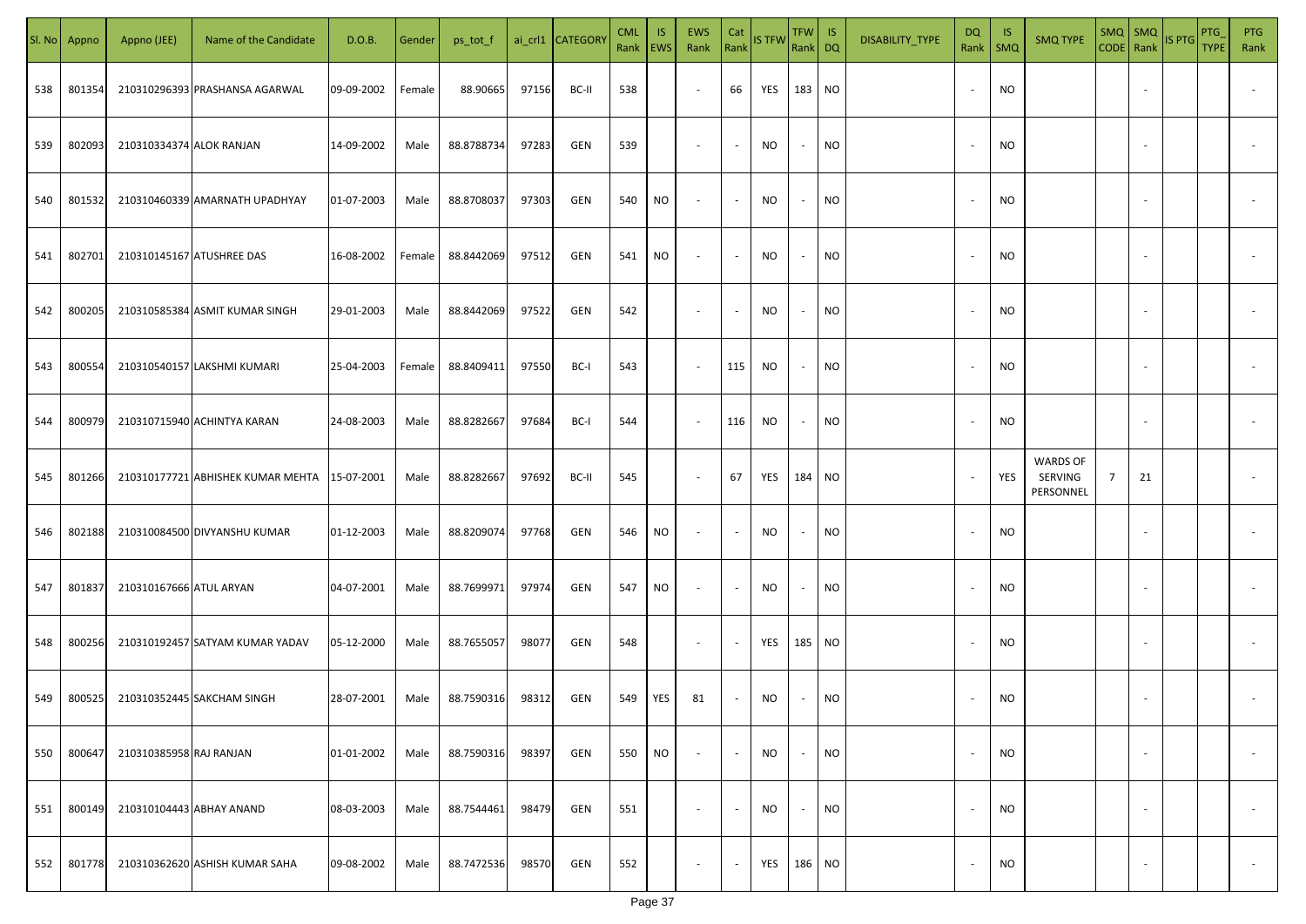| SI. No. | Appno  | Appno (JEE)              | Name of the Candidate             | D.O.B.     | Gender | ps_tot_f   |       | ai_crl1 CATEGORY | <b>CML</b> | <b>IS</b><br>Rank EWS | <b>EWS</b><br>Rank       | Cat<br>Rank              | <b>IS TFW</b> | TFW  <br>Rank DQ         | IS        | DISABILITY_TYPE | DQ<br>Rank               | -IS<br>$\mathsf{SMQ}$ | <b>SMQ TYPE</b>                         | $SMQ$ SMQ<br>CODE Rank |                          | <b>IS PTG</b> | <b>PTG</b><br><b>TYPE</b> | <b>PTG</b><br>Rank       |
|---------|--------|--------------------------|-----------------------------------|------------|--------|------------|-------|------------------|------------|-----------------------|--------------------------|--------------------------|---------------|--------------------------|-----------|-----------------|--------------------------|-----------------------|-----------------------------------------|------------------------|--------------------------|---------------|---------------------------|--------------------------|
| 538     | 801354 |                          | 210310296393 PRASHANSA AGARWAL    | 09-09-2002 | Female | 88.90665   | 97156 | BC-II            | 538        |                       | $\overline{\phantom{a}}$ | 66                       | YES           | 183 NO                   |           |                 |                          | <b>NO</b>             |                                         |                        |                          |               |                           |                          |
| 539     | 802093 | 210310334374 ALOK RANJAN |                                   | 14-09-2002 | Male   | 88.8788734 | 97283 | GEN              | 539        |                       | $\overline{\phantom{a}}$ | $\sim$                   | NO            | $\sim$                   | <b>NO</b> |                 |                          | NO                    |                                         |                        |                          |               |                           |                          |
| 540     | 801532 |                          | 210310460339 AMARNATH UPADHYAY    | 01-07-2003 | Male   | 88.8708037 | 97303 | GEN              | 540        | NO.                   | $\overline{\phantom{a}}$ | $\overline{\phantom{a}}$ | <b>NO</b>     | $\sim$                   | <b>NO</b> |                 |                          | <b>NO</b>             |                                         |                        |                          |               |                           |                          |
| 541     | 802701 |                          | 210310145167 ATUSHREE DAS         | 16-08-2002 | Female | 88.8442069 | 97512 | <b>GEN</b>       | 541        | NO.                   | $\overline{\phantom{a}}$ | $\overline{\phantom{a}}$ | NO            | $\sim$                   | NO        |                 |                          | NO.                   |                                         |                        |                          |               |                           |                          |
| 542     | 800205 |                          | 210310585384 ASMIT KUMAR SINGH    | 29-01-2003 | Male   | 88.8442069 | 97522 | <b>GEN</b>       | 542        |                       | $\overline{\phantom{a}}$ | $\overline{\phantom{a}}$ | NO            | $\overline{\phantom{a}}$ | <b>NO</b> |                 |                          | NO.                   |                                         |                        |                          |               |                           |                          |
| 543     | 800554 |                          | 210310540157 LAKSHMI KUMARI       | 25-04-2003 | Female | 88.8409411 | 97550 | BC-I             | 543        |                       | $\overline{\phantom{a}}$ | 115                      | <b>NO</b>     | $\overline{\phantom{a}}$ | NO        |                 |                          | NO.                   |                                         |                        |                          |               |                           |                          |
| 544     | 800979 |                          | 210310715940 ACHINTYA KARAN       | 24-08-2003 | Male   | 88.8282667 | 97684 | BC-I             | 544        |                       | $\overline{\phantom{a}}$ | 116                      | <b>NO</b>     | $\overline{\phantom{a}}$ | <b>NO</b> |                 |                          | <b>NO</b>             |                                         |                        |                          |               |                           |                          |
| 545     | 801266 |                          | 210310177721 ABHISHEK KUMAR MEHTA | 15-07-2001 | Male   | 88.8282667 | 97692 | BC-II            | 545        |                       | $\sim$                   | 67                       | YES           | 184 NO                   |           |                 |                          | YES                   | <b>WARDS OF</b><br>SERVING<br>PERSONNEL | 7                      | 21                       |               |                           |                          |
| 546     | 802188 |                          | 210310084500 DIVYANSHU KUMAR      | 01-12-2003 | Male   | 88.8209074 | 97768 | GEN              | 546        | NO.                   | $\sim$                   | $\overline{\phantom{a}}$ | <b>NO</b>     | $\overline{\phantom{a}}$ | <b>NO</b> |                 |                          | <b>NO</b>             |                                         |                        |                          |               |                           |                          |
| 547     | 801837 | 210310167666 ATUL ARYAN  |                                   | 04-07-2001 | Male   | 88.7699971 | 97974 | GEN              | 547        | NO.                   | $\sim$                   | $\overline{\phantom{a}}$ | NO            | $\sim$                   | <b>NO</b> |                 |                          | <b>NO</b>             |                                         |                        |                          |               |                           |                          |
| 548     | 800256 |                          | 210310192457 SATYAM KUMAR YADAV   | 05-12-2000 | Male   | 88.7655057 | 98077 | GEN              | 548        |                       | $\sim$                   |                          | YES           | 185                      | <b>NO</b> |                 |                          | <b>NO</b>             |                                         |                        |                          |               |                           |                          |
| 549     | 800525 |                          | 210310352445 SAKCHAM SINGH        | 28-07-2001 | Male   | 88.7590316 | 98312 | GEN              | 549        | YES                   | 81                       |                          | NO            |                          | <b>NO</b> |                 |                          | <b>NO</b>             |                                         |                        |                          |               |                           |                          |
| 550     | 800647 | 210310385958 RAJ RANJAN  |                                   | 01-01-2002 | Male   | 88.7590316 | 98397 | GEN              | 550        | <b>NO</b>             | $\overline{\phantom{a}}$ | $\overline{\phantom{a}}$ | <b>NO</b>     | $\sim$                   | <b>NO</b> |                 | $\overline{\phantom{a}}$ | <b>NO</b>             |                                         |                        |                          |               |                           | $\overline{\phantom{a}}$ |
| 551     | 800149 |                          | 210310104443 ABHAY ANAND          | 08-03-2003 | Male   | 88.7544461 | 98479 | GEN              | 551        |                       | $\overline{\phantom{a}}$ | $\overline{\phantom{a}}$ | <b>NO</b>     | $\sim$                   | <b>NO</b> |                 | $\overline{\phantom{a}}$ | <b>NO</b>             |                                         |                        | $\overline{\phantom{a}}$ |               |                           | $\overline{\phantom{a}}$ |
| 552     | 801778 |                          | 210310362620 ASHISH KUMAR SAHA    | 09-08-2002 | Male   | 88.7472536 | 98570 | GEN              | 552        |                       | $\overline{\phantom{a}}$ |                          | YES           | 186 NO                   |           |                 |                          | <b>NO</b>             |                                         |                        | $\overline{\phantom{a}}$ |               |                           | $\sim$                   |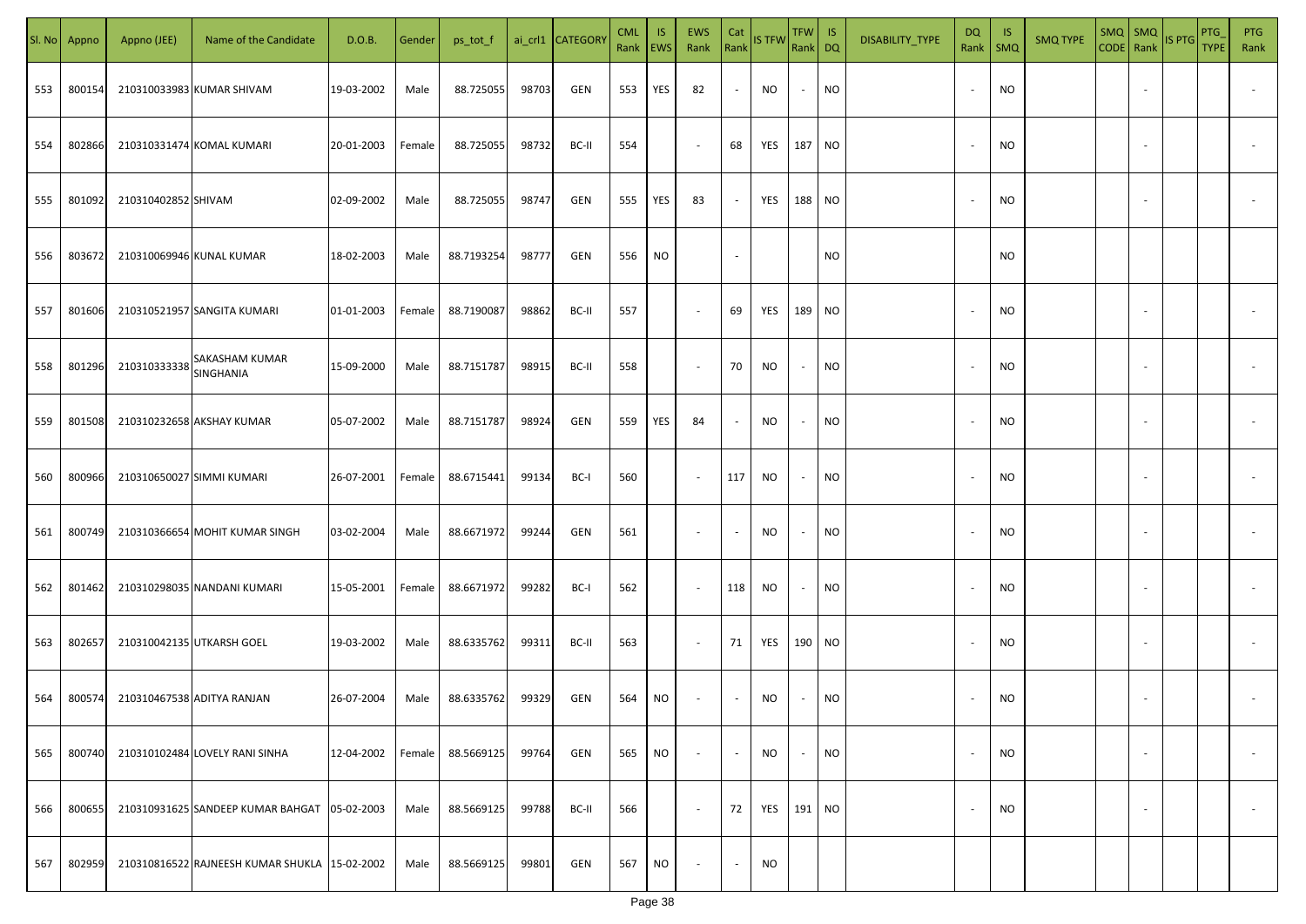| SI. No. | Appno  | Appno (JEE)               | Name of the Candidate                         | D.O.B.     | Gender | ps_tot_f   |       | ai_crl1 CATEGOR\ | <b>CML</b><br>Rank EWS | IS.       | <b>EWS</b><br>Rank       | Cat<br>Rank              | <b>IS TFW</b> | TFW IS<br>Rank DQ |           | DISABILITY_TYPE | DQ<br>Rank               | -IS<br><b>SMQ</b> | <b>SMQ TYPE</b> | $SMQ$ $SMQ$<br>CODE Rank |                          | IS PTG | PTG<br><b>TYPE</b> | PTG<br>Rank              |
|---------|--------|---------------------------|-----------------------------------------------|------------|--------|------------|-------|------------------|------------------------|-----------|--------------------------|--------------------------|---------------|-------------------|-----------|-----------------|--------------------------|-------------------|-----------------|--------------------------|--------------------------|--------|--------------------|--------------------------|
| 553     | 800154 |                           | 210310033983 KUMAR SHIVAM                     | 19-03-2002 | Male   | 88.725055  | 98703 | GEN              | 553                    | YES       | 82                       | $\blacksquare$           | NO.           | $\sim$            | <b>NO</b> |                 | $\overline{\phantom{a}}$ | <b>NO</b>         |                 |                          |                          |        |                    |                          |
| 554     | 802866 |                           | 210310331474 KOMAL KUMARI                     | 20-01-2003 | Female | 88.725055  | 98732 | BC-II            | 554                    |           | $\sim$                   | 68                       | YES           | 187 NO            |           |                 | $\overline{\phantom{a}}$ | <b>NO</b>         |                 |                          |                          |        |                    |                          |
| 555     | 801092 | 210310402852 SHIVAM       |                                               | 02-09-2002 | Male   | 88.725055  | 98747 | GEN              | 555                    | YES       | 83                       | $\sim$                   | YES           | 188 NO            |           |                 |                          | <b>NO</b>         |                 |                          |                          |        |                    |                          |
| 556     | 803672 | 210310069946 KUNAL KUMAR  |                                               | 18-02-2003 | Male   | 88.7193254 | 98777 | GEN              | 556                    | <b>NO</b> |                          | $\sim$                   |               |                   | NO        |                 |                          | <b>NO</b>         |                 |                          |                          |        |                    |                          |
| 557     | 801606 |                           | 210310521957 SANGITA KUMARI                   | 01-01-2003 | Female | 88.7190087 | 98862 | BC-II            | 557                    |           | $\sim$                   | 69                       | YES           | 189 NO            |           |                 |                          | <b>NO</b>         |                 |                          |                          |        |                    |                          |
| 558     | 801296 | 210310333338              | <b>SAKASHAM KUMAR</b><br>SINGHANIA            | 15-09-2000 | Male   | 88.7151787 | 98915 | BC-II            | 558                    |           | $\overline{\phantom{a}}$ | 70                       | <b>NO</b>     | $\sim$            | <b>NO</b> |                 |                          | <b>NO</b>         |                 |                          |                          |        |                    |                          |
| 559     | 801508 |                           | 210310232658 AKSHAY KUMAR                     | 05-07-2002 | Male   | 88.7151787 | 98924 | GEN              | 559                    | YES       | 84                       | $\sim$                   | NO            | $\sim$            | <b>NO</b> |                 |                          | <b>NO</b>         |                 |                          |                          |        |                    |                          |
| 560     | 800966 |                           | 210310650027 SIMMI KUMARI                     | 26-07-2001 | Female | 88.6715441 | 99134 | BC-I             | 560                    |           | $\sim$                   | 117                      | NO.           | $\sim$            | <b>NO</b> |                 |                          | <b>NO</b>         |                 |                          |                          |        |                    |                          |
| 561     | 800749 |                           | 210310366654 MOHIT KUMAR SINGH                | 03-02-2004 | Male   | 88.6671972 | 99244 | GEN              | 561                    |           | $\sim$                   | $\overline{\phantom{a}}$ | NO.           | $\sim$            | <b>NO</b> |                 |                          | <b>NO</b>         |                 |                          |                          |        |                    |                          |
| 562     | 801462 |                           | 210310298035 NANDANI KUMARI                   | 15-05-2001 | Female | 88.6671972 | 99282 | BC-I             | 562                    |           | $\sim$                   | 118                      | NO            | $\sim$            | NO        |                 |                          | <b>NO</b>         |                 |                          |                          |        |                    |                          |
| 563     | 802657 | 210310042135 UTKARSH GOEL |                                               | 19-03-2002 | Male   | 88.6335762 | 99311 | BC-II            | 563                    |           | $\sim$                   | 71                       | YES           | 190 NO            |           |                 |                          | <b>NO</b>         |                 |                          |                          |        |                    |                          |
| 564     | 800574 |                           | 210310467538 ADITYA RANJAN                    | 26-07-2004 | Male   | 88.6335762 | 99329 | GEN              | 564                    | NO        | $\sim$                   | $\sim$                   | NO.           | $\sim$            | <b>NO</b> |                 |                          | <b>NO</b>         |                 |                          |                          |        |                    |                          |
| 565     | 800740 |                           | 210310102484 LOVELY RANI SINHA                | 12-04-2002 | Female | 88.5669125 | 99764 | GEN              | 565                    | NO        | $\overline{\phantom{a}}$ | $\sim$                   | NO            | $\sim$            | <b>NO</b> |                 | $\overline{\phantom{a}}$ | <b>NO</b>         |                 |                          | $\overline{\phantom{a}}$ |        |                    | $\overline{\phantom{a}}$ |
| 566     | 800655 |                           | 210310931625 SANDEEP KUMAR BAHGAT 05-02-2003  |            | Male   | 88.5669125 | 99788 | BC-II            | 566                    |           | $\sim$                   | 72                       | YES           | 191 NO            |           |                 |                          | <b>NO</b>         |                 |                          | $\sim$                   |        |                    | $\overline{\phantom{a}}$ |
| 567     | 802959 |                           | 210310816522 RAJNEESH KUMAR SHUKLA 15-02-2002 |            | Male   | 88.5669125 | 99801 | GEN              | 567                    | NO        | $\overline{\phantom{a}}$ | $\sim$                   | NO            |                   |           |                 |                          |                   |                 |                          |                          |        |                    |                          |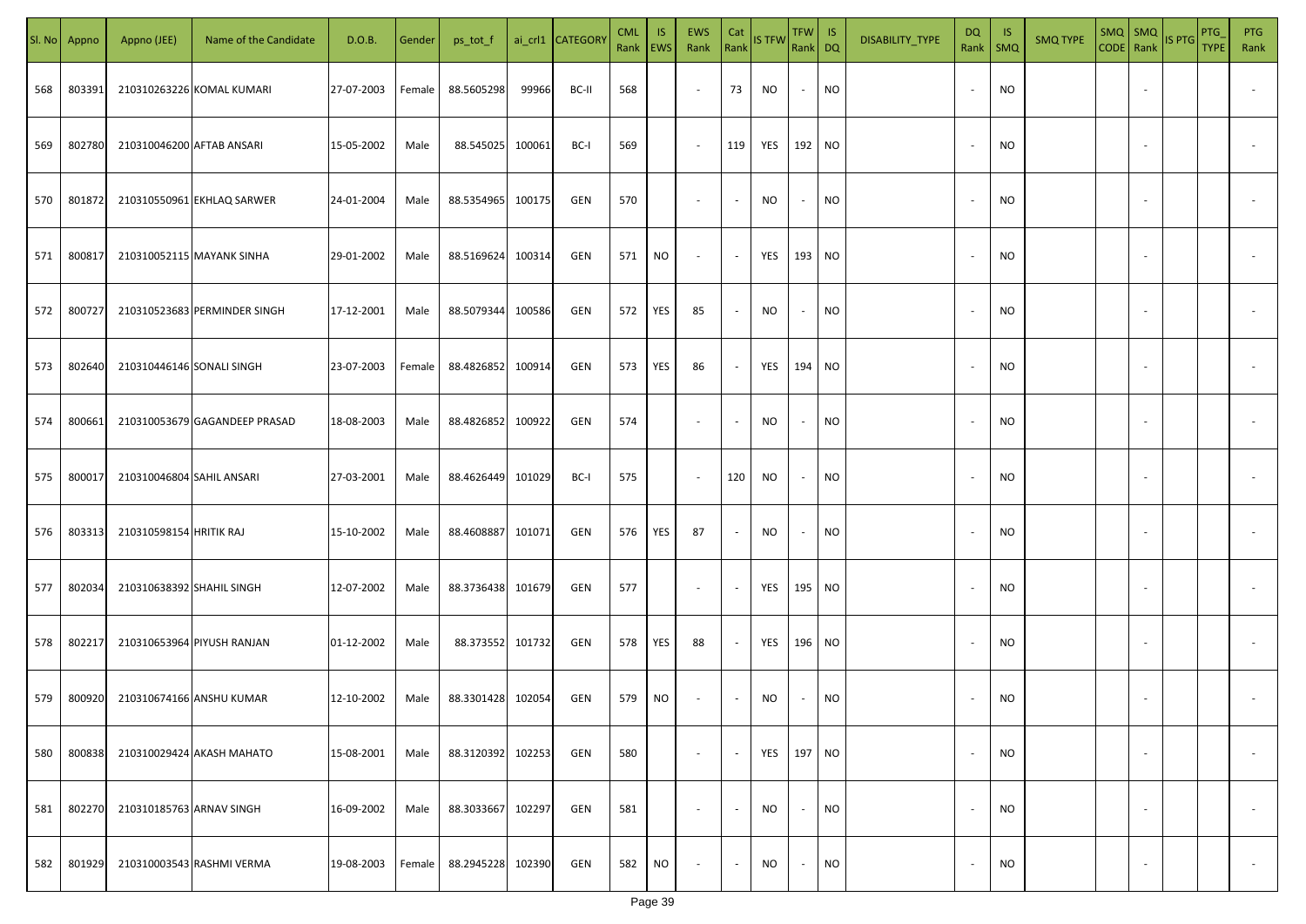| SI. No. | Appno  | Appno (JEE)               | Name of the Candidate         | D.O.B.     | Gender | ps_tot_f          |        | ai_crl1 CATEGORY | <b>CML</b><br>Rank   EWS | IS.       | EWS<br>Rank              | Cat<br>Rank              | <b>IS TFW</b> | TFW   IS<br>Rank DQ      |           | DISABILITY_TYPE | DQ                       | -IS<br>Rank   SMQ | <b>SMQ TYPE</b> |                          | $\begin{array}{ c c c c }\n\hline\n\text{SMQ} & \text{SMQ} \\ \hline\n\text{CODE} & \text{Rank}\n\end{array}$ IS PTG | PTG<br><b>TYPE</b> | <b>PTG</b><br>Rank       |
|---------|--------|---------------------------|-------------------------------|------------|--------|-------------------|--------|------------------|--------------------------|-----------|--------------------------|--------------------------|---------------|--------------------------|-----------|-----------------|--------------------------|-------------------|-----------------|--------------------------|----------------------------------------------------------------------------------------------------------------------|--------------------|--------------------------|
| 568     | 803391 |                           | 210310263226 KOMAL KUMARI     | 27-07-2003 | Female | 88.5605298        | 99966  | BC-II            | 568                      |           | $\overline{\phantom{a}}$ | 73                       | NO            | $\sim$                   | <b>NO</b> |                 |                          | <b>NO</b>         |                 |                          |                                                                                                                      |                    |                          |
| 569     | 802780 | 210310046200 AFTAB ANSARI |                               | 15-05-2002 | Male   | 88.545025         | 100061 | BC-I             | 569                      |           | $\sim$                   | 119                      | YES           | 192 NO                   |           |                 |                          | <b>NO</b>         |                 |                          |                                                                                                                      |                    |                          |
| 570     | 801872 |                           | 210310550961 EKHLAQ SARWER    | 24-01-2004 | Male   | 88.5354965        | 100175 | GEN              | 570                      |           | $\overline{\phantom{a}}$ | $\sim$                   | NO            | $\sim$                   | <b>NO</b> |                 | $\overline{\phantom{a}}$ | <b>NO</b>         |                 |                          |                                                                                                                      |                    |                          |
| 571     | 800817 |                           | 210310052115 MAYANK SINHA     | 29-01-2002 | Male   | 88.5169624        | 100314 | GEN              | 571                      | NO        | $\overline{\phantom{a}}$ | $\sim$                   | YES           | 193 NO                   |           |                 |                          | <b>NO</b>         |                 |                          |                                                                                                                      |                    |                          |
| 572     | 800727 |                           | 210310523683 PERMINDER SINGH  | 17-12-2001 | Male   | 88.5079344        | 100586 | GEN              | 572                      | YES       | 85                       | $\overline{\phantom{a}}$ | NO            | $\sim$                   | <b>NO</b> |                 | $\sim$                   | <b>NO</b>         |                 |                          |                                                                                                                      |                    |                          |
| 573     | 802640 | 210310446146 SONALI SINGH |                               | 23-07-2003 | Female | 88.4826852        | 100914 | GEN              | 573                      | YES       | 86                       | $\overline{\phantom{a}}$ | YES           | 194 NO                   |           |                 |                          | <b>NO</b>         |                 |                          |                                                                                                                      |                    |                          |
| 574     | 800661 |                           | 210310053679 GAGANDEEP PRASAD | 18-08-2003 | Male   | 88.4826852        | 100922 | GEN              | 574                      |           | $\overline{\phantom{a}}$ | $\sim$                   | NO            | $\sim$                   | <b>NO</b> |                 |                          | <b>NO</b>         |                 |                          |                                                                                                                      |                    |                          |
| 575     | 800017 | 210310046804 SAHIL ANSARI |                               | 27-03-2001 | Male   | 88.4626449        | 101029 | BC-I             | 575                      |           | $\sim$                   | 120                      | <b>NO</b>     | $\sim$                   | <b>NO</b> |                 |                          | <b>NO</b>         |                 |                          |                                                                                                                      |                    |                          |
| 576     | 803313 | 210310598154 HRITIK RAJ   |                               | 15-10-2002 | Male   | 88.4608887        | 101071 | GEN              | 576                      | YES       | 87                       | $\overline{\phantom{a}}$ | NO            | $\overline{\phantom{a}}$ | <b>NO</b> |                 |                          | <b>NO</b>         |                 |                          |                                                                                                                      |                    |                          |
| 577     | 802034 | 210310638392 SHAHIL SINGH |                               | 12-07-2002 | Male   | 88.3736438        | 101679 | GEN              | 577                      |           | $\sim$                   | $\overline{\phantom{a}}$ | YES           | 195 NO                   |           |                 |                          | <b>NO</b>         |                 |                          |                                                                                                                      |                    |                          |
| 578     | 802217 |                           | 210310653964 PIYUSH RANJAN    | 01-12-2002 | Male   | 88.373552 101732  |        | GEN              | 578                      | YES       | 88                       | $\overline{\phantom{a}}$ | YES           | 196 NO                   |           |                 |                          | <b>NO</b>         |                 |                          |                                                                                                                      |                    |                          |
| 579     | 800920 |                           | 210310674166 ANSHU KUMAR      | 12-10-2002 | Male   | 88.3301428 102054 |        | GEN              | 579                      | <b>NO</b> | $\overline{\phantom{a}}$ | $\sim$                   | NO            |                          | <b>NO</b> |                 |                          | <b>NO</b>         |                 |                          |                                                                                                                      |                    |                          |
| 580     | 800838 |                           | 210310029424 AKASH MAHATO     | 15-08-2001 | Male   | 88.3120392        | 102253 | GEN              | 580                      |           | $\overline{\phantom{a}}$ | $\overline{\phantom{a}}$ | YES           | 197 NO                   |           |                 |                          | <b>NO</b>         |                 | $\overline{\phantom{a}}$ |                                                                                                                      |                    | $\overline{\phantom{a}}$ |
| 581     | 802270 | 210310185763 ARNAV SINGH  |                               | 16-09-2002 | Male   | 88.3033667        | 102297 | GEN              | 581                      |           | $\overline{\phantom{a}}$ | $\blacksquare$           | <b>NO</b>     | $\sim$                   | <b>NO</b> |                 | $\overline{\phantom{a}}$ | <b>NO</b>         |                 | $\overline{\phantom{a}}$ |                                                                                                                      |                    | $\overline{\phantom{a}}$ |
| 582     | 801929 |                           | 210310003543 RASHMI VERMA     | 19-08-2003 | Female | 88.2945228        | 102390 | GEN              | 582                      | <b>NO</b> | $\overline{\phantom{a}}$ | $\sim$                   | <b>NO</b>     | $\sim$                   | <b>NO</b> |                 |                          | <b>NO</b>         |                 | $\sim$                   |                                                                                                                      |                    | $\overline{\phantom{a}}$ |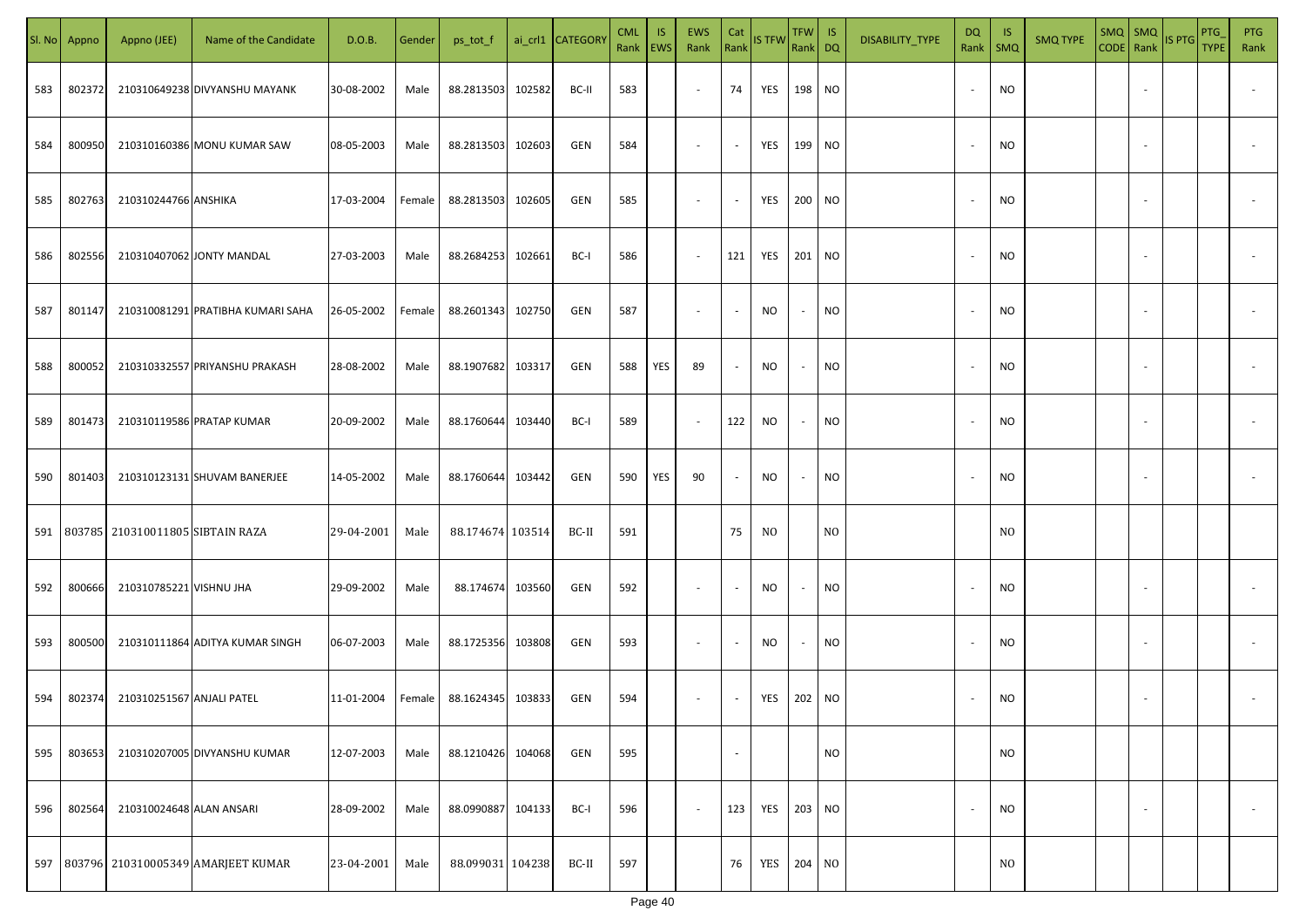| SI. No | Appno  | Appno (JEE)               | Name of the Candidate              | D.O.B.     | Gender | ps_tot_f          |        | ai_crl1 CATEGORY | <b>CML</b><br>Rank EWS | IS. | EWS<br>Rank              | Cat<br>Rank              | <b>IS TFW</b>  | $TFW$ IS<br>Rank DQ |                 | DISABILITY_TYPE | DQ                       | - IS<br>Rank   SMQ | <b>SMQ TYPE</b> |                          | $\left \frac{\text{SMQ}}{\text{CODE}}\right \frac{\text{SMQ}}{\text{Rank}}\left \frac{\text{IS PTG}}{\text{B}}\right $ | PTG<br><b>TYPE</b> | <b>PTG</b><br>Rank       |
|--------|--------|---------------------------|------------------------------------|------------|--------|-------------------|--------|------------------|------------------------|-----|--------------------------|--------------------------|----------------|---------------------|-----------------|-----------------|--------------------------|--------------------|-----------------|--------------------------|------------------------------------------------------------------------------------------------------------------------|--------------------|--------------------------|
| 583    | 802372 |                           | 210310649238 DIVYANSHU MAYANK      | 30-08-2002 | Male   | 88.2813503        | 102582 | BC-II            | 583                    |     | $\sim$                   | 74                       | YES            | 198 NO              |                 |                 |                          | <b>NO</b>          |                 |                          |                                                                                                                        |                    |                          |
| 584    | 800950 |                           | 210310160386 MONU KUMAR SAW        | 08-05-2003 | Male   | 88.2813503        | 102603 | GEN              | 584                    |     | $\sim$                   | $\sim$                   | YES            | 199 NO              |                 |                 |                          | <b>NO</b>          |                 |                          |                                                                                                                        |                    |                          |
| 585    | 802763 | 210310244766 ANSHIKA      |                                    | 17-03-2004 | Female | 88.2813503        | 102605 | GEN              | 585                    |     | $\overline{\phantom{a}}$ | $\sim$                   | YES            | 200 NO              |                 |                 | $\overline{\phantom{a}}$ | <b>NO</b>          |                 |                          |                                                                                                                        |                    |                          |
| 586    | 802556 |                           | 210310407062 JONTY MANDAL          | 27-03-2003 | Male   | 88.2684253        | 102661 | BC-I             | 586                    |     | $\sim$                   | 121                      | YES            | 201 NO              |                 |                 | $\sim$                   | <b>NO</b>          |                 |                          |                                                                                                                        |                    |                          |
| 587    | 801147 |                           | 210310081291 PRATIBHA KUMARI SAHA  | 26-05-2002 | Female | 88.2601343        | 102750 | GEN              | 587                    |     | $\sim$                   | $\sim$                   | NO             | $\sim$              | NO <sub>1</sub> |                 | $\sim$                   | <b>NO</b>          |                 |                          |                                                                                                                        |                    |                          |
| 588    | 800052 |                           | 210310332557 PRIYANSHU PRAKASH     | 28-08-2002 | Male   | 88.1907682        | 103317 | GEN              | 588                    | YES | 89                       | $\blacksquare$           | NO             | $\sim$              | <b>NO</b>       |                 |                          | <b>NO</b>          |                 |                          |                                                                                                                        |                    |                          |
| 589    | 801473 |                           | 210310119586 PRATAP KUMAR          | 20-09-2002 | Male   | 88.1760644        | 103440 | BC-I             | 589                    |     | $\overline{\phantom{a}}$ | 122                      | <b>NO</b>      | $\sim$              | NO <sub>1</sub> |                 |                          | <b>NO</b>          |                 |                          |                                                                                                                        |                    |                          |
| 590    | 801403 |                           | 210310123131 SHUVAM BANERJEE       | 14-05-2002 | Male   | 88.1760644        | 103442 | GEN              | 590                    | YES | 90                       | $\sim$                   | <b>NO</b>      | $\sim$              | <b>NO</b>       |                 |                          | <b>NO</b>          |                 |                          |                                                                                                                        |                    |                          |
| 591    | 803785 | 210310011805 SIBTAIN RAZA |                                    | 29-04-2001 | Male   | 88.174674 103514  |        | BC-II            | 591                    |     |                          | 75                       | N <sub>0</sub> |                     | N <sub>0</sub>  |                 |                          | N <sub>0</sub>     |                 |                          |                                                                                                                        |                    |                          |
| 592    | 800666 | 210310785221 VISHNU JHA   |                                    | 29-09-2002 | Male   | 88.174674         | 103560 | GEN              | 592                    |     | $\sim$                   | $\overline{\phantom{a}}$ | <b>NO</b>      | $\sim$              | <b>NO</b>       |                 |                          | <b>NO</b>          |                 |                          |                                                                                                                        |                    |                          |
| 593    | 800500 |                           | 210310111864 ADITYA KUMAR SINGH    | 06-07-2003 | Male   | 88.1725356 103808 |        | GEN              | 593                    |     | $\sim$                   | $\overline{\phantom{a}}$ | NO             | $\sim$              | <b>NO</b>       |                 |                          | <b>NO</b>          |                 |                          |                                                                                                                        |                    |                          |
| 594    | 802374 | 210310251567 ANJALI PATEL |                                    | 11-01-2004 | Female | 88.1624345        | 103833 | GEN              | 594                    |     | $\sim$                   | $\sim$                   | YES            | 202 NO              |                 |                 |                          | <b>NO</b>          |                 |                          |                                                                                                                        |                    |                          |
| 595    | 803653 |                           | 210310207005 DIVYANSHU KUMAR       | 12-07-2003 | Male   | 88.1210426        | 104068 | GEN              | 595                    |     |                          | $\blacksquare$           |                |                     | <b>NO</b>       |                 |                          | <b>NO</b>          |                 |                          |                                                                                                                        |                    |                          |
| 596    | 802564 | 210310024648 ALAN ANSARI  |                                    | 28-09-2002 | Male   | 88.0990887        | 104133 | BC-I             | 596                    |     | $\overline{\phantom{a}}$ | 123                      | YES            | 203 NO              |                 |                 |                          | <b>NO</b>          |                 | $\overline{\phantom{a}}$ |                                                                                                                        |                    | $\overline{\phantom{a}}$ |
| 597    |        |                           | 803796 210310005349 AMARJEET KUMAR | 23-04-2001 | Male   | 88.099031 104238  |        | BC-II            | 597                    |     |                          | 76                       | YES            | 204 NO              |                 |                 |                          | N <sub>0</sub>     |                 |                          |                                                                                                                        |                    |                          |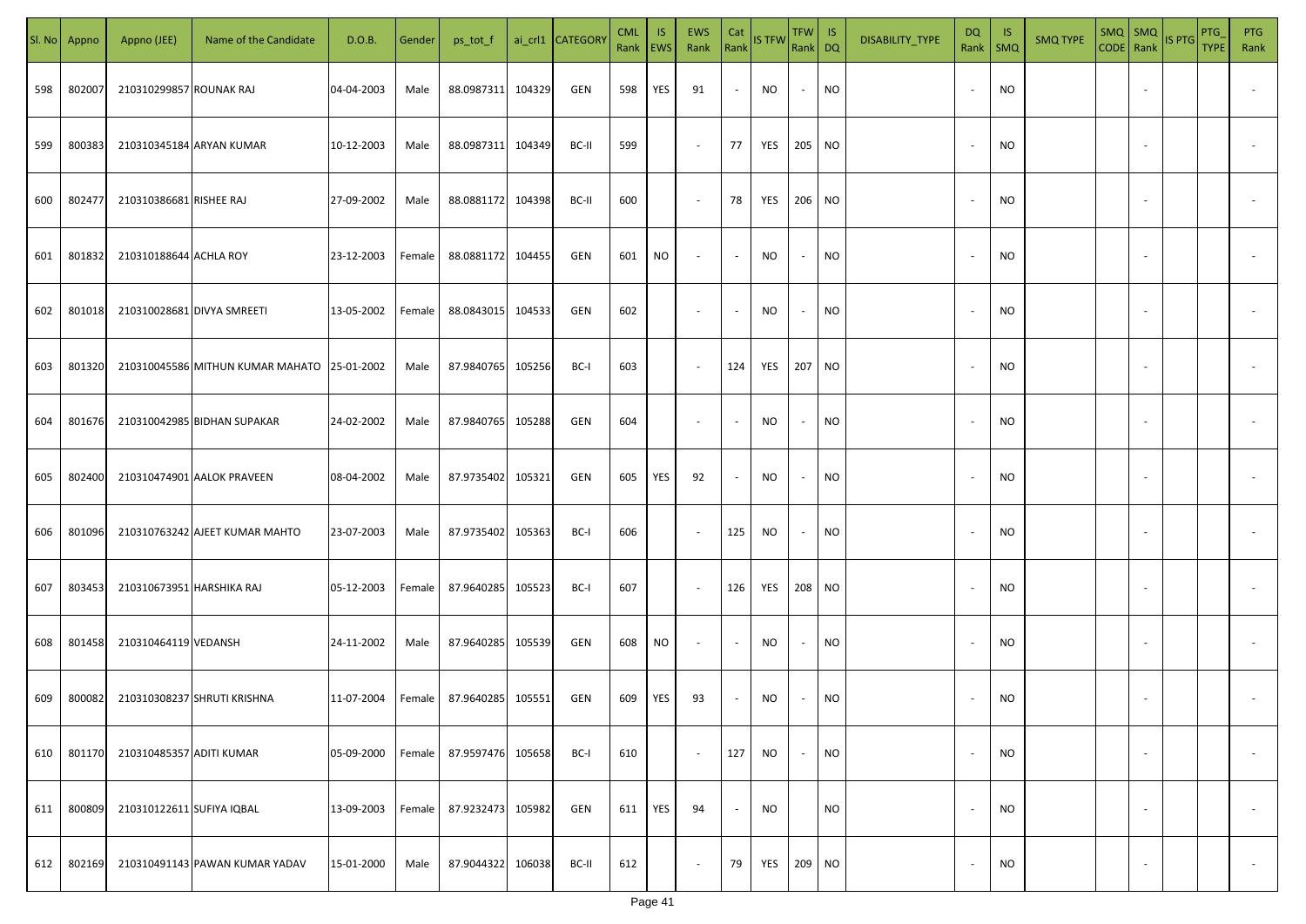|     | Sl. No Appno | Appno (JEE)               | Name of the Candidate                       | D.O.B.     | Gender | ps_tot_f          |        | ai_crl1 CATEGORY | <b>CML</b><br>Rank   EWS | IS. | <b>EWS</b><br>Rank       | Cat<br>Rank              | <b>IS TFW</b> | $TFW$ IS<br>Rank DQ      |           | DISABILITY_TYPE | <b>DQ</b> | - IS<br>Rank   SMQ | <b>SMQ TYPE</b> |                          | SMQ SMQ<br>CODE Rank IS PTG | <b>PTG</b><br><b>TYPE</b> | <b>PTG</b><br>Rank       |
|-----|--------------|---------------------------|---------------------------------------------|------------|--------|-------------------|--------|------------------|--------------------------|-----|--------------------------|--------------------------|---------------|--------------------------|-----------|-----------------|-----------|--------------------|-----------------|--------------------------|-----------------------------|---------------------------|--------------------------|
| 598 | 802007       | 210310299857 ROUNAK RAJ   |                                             | 04-04-2003 | Male   | 88.0987311        | 104329 | GEN              | 598                      | YES | 91                       | $\sim$                   | NO            | $\sim$                   | <b>NO</b> |                 |           | <b>NO</b>          |                 |                          |                             |                           |                          |
| 599 | 800383       |                           | 210310345184 ARYAN KUMAR                    | 10-12-2003 | Male   | 88.0987311 104349 |        | BC-II            | 599                      |     | $\sim$                   | 77                       | YES           | 205 NO                   |           |                 | $\sim$    | <b>NO</b>          |                 |                          |                             |                           |                          |
| 600 | 802477       | 210310386681 RISHEE RAJ   |                                             | 27-09-2002 | Male   | 88.0881172        | 104398 | BC-II            | 600                      |     | $\overline{\phantom{a}}$ | 78                       | YES           | 206 NO                   |           |                 |           | <b>NO</b>          |                 |                          |                             |                           |                          |
| 601 | 801832       | 210310188644 ACHLA ROY    |                                             | 23-12-2003 | Female | 88.0881172        | 104455 | GEN              | 601                      | NO  | $\overline{\phantom{a}}$ | $\sim$                   | NO            | $\overline{\phantom{a}}$ | <b>NO</b> |                 |           | NO                 |                 |                          |                             |                           |                          |
| 602 | 801018       |                           | 210310028681 DIVYA SMREETI                  | 13-05-2002 | Female | 88.0843015        | 104533 | GEN              | 602                      |     | $\overline{\phantom{a}}$ | $\overline{\phantom{a}}$ | NO            | $\overline{\phantom{a}}$ | <b>NO</b> |                 |           | <b>NO</b>          |                 |                          |                             |                           |                          |
| 603 | 801320       |                           | 210310045586 MITHUN KUMAR MAHATO 25-01-2002 |            | Male   | 87.9840765        | 105256 | BC-I             | 603                      |     | $\overline{\phantom{a}}$ | 124                      | YES           | 207 NO                   |           |                 |           | <b>NO</b>          |                 |                          |                             |                           |                          |
| 604 | 801676       |                           | 210310042985 BIDHAN SUPAKAR                 | 24-02-2002 | Male   | 87.9840765        | 105288 | GEN              | 604                      |     | $\overline{\phantom{a}}$ | $\overline{\phantom{a}}$ | NO            | $\overline{\phantom{a}}$ | <b>NO</b> |                 |           | <b>NO</b>          |                 |                          |                             |                           |                          |
| 605 | 802400       |                           | 210310474901 AALOK PRAVEEN                  | 08-04-2002 | Male   | 87.9735402        | 105321 | GEN              | 605                      | YES | 92                       | $\overline{\phantom{a}}$ | NO            | $\overline{\phantom{a}}$ | <b>NO</b> |                 |           | <b>NO</b>          |                 |                          |                             |                           |                          |
| 606 | 801096       |                           | 210310763242 AJEET KUMAR MAHTO              | 23-07-2003 | Male   | 87.9735402        | 105363 | BC-I             | 606                      |     | $\sim$                   | 125                      | NO            | $\sim$                   | <b>NO</b> |                 |           | NO                 |                 |                          |                             |                           |                          |
| 607 | 803453       | 210310673951 HARSHIKA RAJ |                                             | 05-12-2003 | Female | 87.9640285        | 105523 | BC-I             | 607                      |     | $\sim$                   | 126                      | YES           | 208 NO                   |           |                 |           | <b>NO</b>          |                 |                          |                             |                           |                          |
| 608 | 801458       | 210310464119 VEDANSH      |                                             | 24-11-2002 | Male   | 87.9640285 105539 |        | GEN              | 608                      | NO  | $\sim$                   | $\sim$                   | <b>NO</b>     | $\overline{\phantom{a}}$ | <b>NO</b> |                 |           | <b>NO</b>          |                 |                          |                             |                           |                          |
| 609 | 800082       |                           | 210310308237 SHRUTI KRISHNA                 | 11-07-2004 | Female | 87.9640285        | 105551 | GEN              | 609                      | YES | 93                       | $\sim$                   | NO            |                          | <b>NO</b> |                 |           | <b>NO</b>          |                 |                          |                             |                           |                          |
| 610 | 801170       | 210310485357 ADITI KUMAR  |                                             | 05-09-2000 | Female | 87.9597476        | 105658 | BC-I             | 610                      |     | $\blacksquare$           | 127                      | <b>NO</b>     | $\overline{\phantom{a}}$ | <b>NO</b> |                 |           | <b>NO</b>          |                 | $\overline{\phantom{a}}$ |                             |                           | $\overline{\phantom{a}}$ |
| 611 | 800809       | 210310122611 SUFIYA IQBAL |                                             | 13-09-2003 | Female | 87.9232473        | 105982 | GEN              | 611                      | YES | 94                       | $\blacksquare$           | <b>NO</b>     |                          | <b>NO</b> |                 |           | <b>NO</b>          |                 | $\overline{\phantom{a}}$ |                             |                           | $\overline{\phantom{a}}$ |
| 612 | 802169       |                           | 210310491143 PAWAN KUMAR YADAV              | 15-01-2000 | Male   | 87.9044322        | 106038 | BC-II            | 612                      |     | $\overline{\phantom{a}}$ | 79                       | YES           | 209 NO                   |           |                 |           | <b>NO</b>          |                 | $\overline{\phantom{a}}$ |                             |                           | $\overline{\phantom{a}}$ |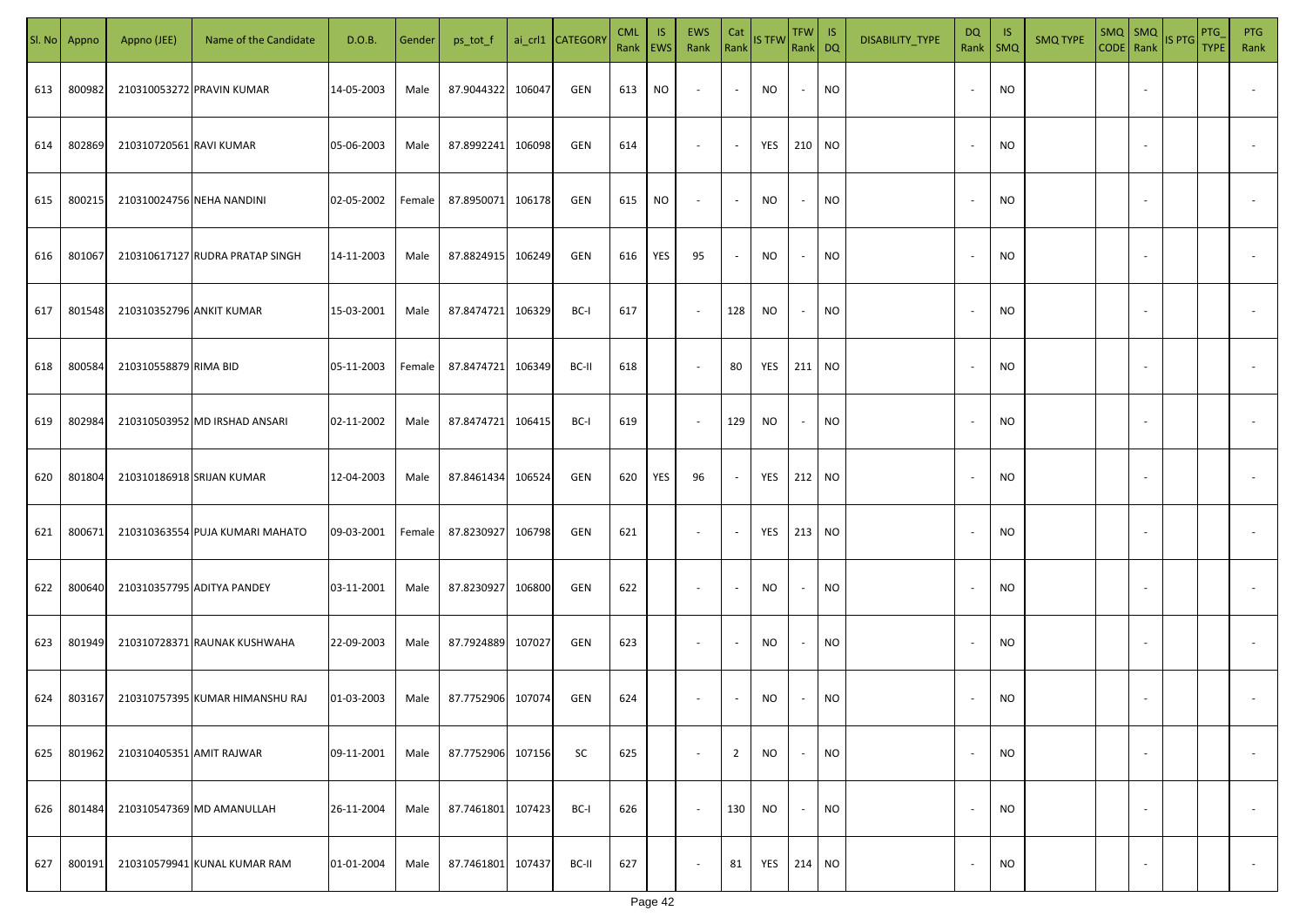|     | Sl. No Appno | Appno (JEE)              | Name of the Candidate           | D.O.B.     | Gender | ps_tot_f          |        | ai_crl1 CATEGORY | <b>CML</b><br>Rank   EWS | IS. | EWS<br>Rank              | Cat<br>Rank              | <b>IS TFW</b>     | $TFW$ IS<br>Rank DQ      |           | DISABILITY_TYPE | DQ<br>Rank               | - IS<br>$\mathsf{SMQ}$ | <b>SMQ TYPE</b> | SMQ   SMQ                | CODE Rank IS PTG | <b>PTG</b><br><b>TYPE</b> | <b>PTG</b><br>Rank       |
|-----|--------------|--------------------------|---------------------------------|------------|--------|-------------------|--------|------------------|--------------------------|-----|--------------------------|--------------------------|-------------------|--------------------------|-----------|-----------------|--------------------------|------------------------|-----------------|--------------------------|------------------|---------------------------|--------------------------|
| 613 | 800982       |                          | 210310053272 PRAVIN KUMAR       | 14-05-2003 | Male   | 87.9044322        | 106047 | GEN              | 613                      | NO. | $\overline{\phantom{a}}$ | $\sim$                   | <b>NO</b>         | $\overline{\phantom{a}}$ | <b>NO</b> |                 |                          | <b>NO</b>              |                 |                          |                  |                           |                          |
| 614 | 802869       | 210310720561 RAVI KUMAR  |                                 | 05-06-2003 | Male   | 87.8992241        | 106098 | GEN              | 614                      |     | $\blacksquare$           | $\overline{\phantom{a}}$ | YES 210 NO        |                          |           |                 |                          | <b>NO</b>              |                 |                          |                  |                           |                          |
| 615 | 800215       |                          | 210310024756 NEHA NANDINI       | 02-05-2002 | Female | 87.8950071        | 106178 | GEN              | 615                      | NO  | $\overline{\phantom{a}}$ | $\blacksquare$           | <b>NO</b>         | $\overline{\phantom{a}}$ | <b>NO</b> |                 | $\overline{\phantom{a}}$ | <b>NO</b>              |                 |                          |                  |                           |                          |
| 616 | 801067       |                          | 210310617127 RUDRA PRATAP SINGH | 14-11-2003 | Male   | 87.8824915        | 106249 | GEN              | 616                      | YES | 95                       |                          | <b>NO</b>         | $\overline{\phantom{a}}$ | <b>NO</b> |                 | $\sim$                   | <b>NO</b>              |                 |                          |                  |                           |                          |
| 617 | 801548       | 210310352796 ANKIT KUMAR |                                 | 15-03-2001 | Male   | 87.8474721        | 106329 | BC-I             | 617                      |     | $\blacksquare$           | 128                      | <b>NO</b>         | $\overline{\phantom{a}}$ | <b>NO</b> |                 | $\sim$                   | <b>NO</b>              |                 | $\overline{\phantom{a}}$ |                  |                           |                          |
| 618 | 800584       | 210310558879 RIMA BID    |                                 | 05-11-2003 | Female | 87.8474721 106349 |        | BC-II            | 618                      |     | $\sim$                   | 80                       | YES               | 211 NO                   |           |                 |                          | <b>NO</b>              |                 |                          |                  |                           |                          |
| 619 | 802984       |                          | 210310503952 MD IRSHAD ANSARI   | 02-11-2002 | Male   | 87.8474721 106415 |        | BC-I             | 619                      |     | $\overline{\phantom{a}}$ | 129                      | NO.               | $\overline{\phantom{a}}$ | <b>NO</b> |                 |                          | <b>NO</b>              |                 |                          |                  |                           |                          |
| 620 | 801804       |                          | 210310186918 SRIJAN KUMAR       | 12-04-2003 | Male   | 87.8461434        | 106524 | GEN              | 620                      | YES | 96                       |                          | YES               | 212 NO                   |           |                 |                          | <b>NO</b>              |                 |                          |                  |                           |                          |
| 621 | 800671       |                          | 210310363554 PUJA KUMARI MAHATO | 09-03-2001 | Female | 87.8230927        | 106798 | GEN              | 621                      |     | $\overline{\phantom{a}}$ |                          | YES               | 213 NO                   |           |                 |                          | <b>NO</b>              |                 |                          |                  |                           |                          |
| 622 | 800640       |                          | 210310357795 ADITYA PANDEY      | 03-11-2001 | Male   | 87.8230927        | 106800 | GEN              | 622                      |     | $\overline{\phantom{a}}$ |                          | <b>NO</b>         |                          | <b>NO</b> |                 |                          | <b>NO</b>              |                 |                          |                  |                           |                          |
| 623 | 801949       |                          | 210310728371 RAUNAK KUSHWAHA    | 22-09-2003 | Male   | 87.7924889        | 107027 | GEN              | 623                      |     | $\overline{\phantom{a}}$ |                          | <b>NO</b>         |                          | <b>NO</b> |                 |                          | <b>NO</b>              |                 |                          |                  |                           |                          |
| 624 | 803167       |                          | 210310757395 KUMAR HIMANSHU RAJ | 01-03-2003 | Male   | 87.7752906        | 107074 | GEN              | 624                      |     | $\overline{\phantom{a}}$ |                          | <b>NO</b>         |                          | <b>NO</b> |                 |                          | <b>NO</b>              |                 |                          |                  |                           |                          |
| 625 | 801962       | 210310405351 AMIT RAJWAR |                                 | 09-11-2001 | Male   | 87.7752906        | 107156 | SC               | 625                      |     | $\overline{\phantom{a}}$ | $\overline{2}$           | <b>NO</b>         |                          | <b>NO</b> |                 | $\overline{\phantom{a}}$ | <b>NO</b>              |                 | $\overline{\phantom{a}}$ |                  |                           | $\overline{\phantom{a}}$ |
| 626 | 801484       |                          | 210310547369 MD AMANULLAH       | 26-11-2004 | Male   | 87.7461801        | 107423 | BC-I             | 626                      |     | $\blacksquare$           | 130                      | <b>NO</b>         | $\overline{\phantom{a}}$ | <b>NO</b> |                 | $\sim$                   | <b>NO</b>              |                 | $\overline{\phantom{a}}$ |                  |                           | $\overline{\phantom{a}}$ |
| 627 | 800191       |                          | 210310579941 KUNAL KUMAR RAM    | 01-01-2004 | Male   | 87.7461801        | 107437 | BC-II            | 627                      |     | $\overline{\phantom{a}}$ | 81                       | <b>YES</b> 214 NO |                          |           |                 |                          | <b>NO</b>              |                 | $\sim$                   |                  |                           | $\sim$                   |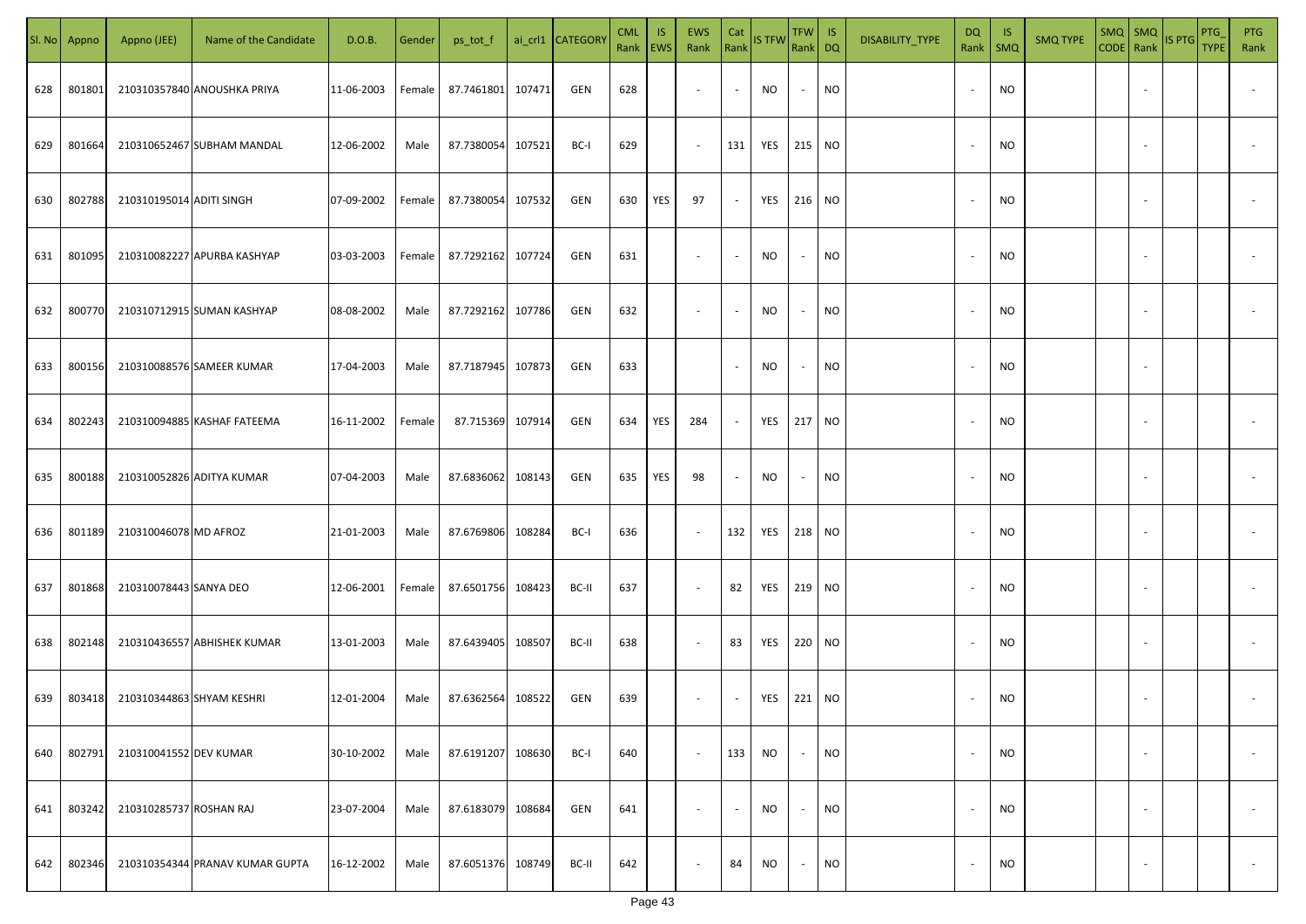|     | Sl. No Appno | Appno (JEE)               | Name of the Candidate           | D.O.B.     | Gender | ps_tot_f          |        | ai_crl1 CATEGORY | <b>CML</b><br>Rank   EWS | IS. | <b>EWS</b><br>Rank       | Cat<br>Rank              | <b>IS TFW</b> | $TFW$ IS<br>Rank DQ      |           | DISABILITY_TYPE | <b>DQ</b>                | -IS<br>Rank   SMQ | <b>SMQ TYPE</b> |                          | SMQ SMQ<br>CODE Rank IS PTG | <b>PTG</b><br><b>TYPE</b> | <b>PTG</b><br>Rank       |
|-----|--------------|---------------------------|---------------------------------|------------|--------|-------------------|--------|------------------|--------------------------|-----|--------------------------|--------------------------|---------------|--------------------------|-----------|-----------------|--------------------------|-------------------|-----------------|--------------------------|-----------------------------|---------------------------|--------------------------|
| 628 | 801801       |                           | 210310357840 ANOUSHKA PRIYA     | 11-06-2003 | Female | 87.7461801        | 107471 | GEN              | 628                      |     | $\sim$                   | $\sim$                   | NO            | $\sim$                   | <b>NO</b> |                 |                          | <b>NO</b>         |                 |                          |                             |                           |                          |
| 629 | 801664       |                           | 210310652467 SUBHAM MANDAL      | 12-06-2002 | Male   | 87.7380054        | 107521 | BC-I             | 629                      |     | $\sim$                   | 131                      | YES 215 NO    |                          |           |                 |                          | <b>NO</b>         |                 |                          |                             |                           |                          |
| 630 | 802788       | 210310195014 ADITI SINGH  |                                 | 07-09-2002 | Female | 87.7380054        | 107532 | GEN              | 630                      | YES | 97                       | $\sim$                   | YES           | 216 NO                   |           |                 |                          | <b>NO</b>         |                 |                          |                             |                           |                          |
| 631 | 801095       |                           | 210310082227 APURBA KASHYAP     | 03-03-2003 | Female | 87.7292162        | 107724 | GEN              | 631                      |     | $\overline{\phantom{a}}$ | $\sim$                   | NO            | $\sim$                   | <b>NO</b> |                 |                          | <b>NO</b>         |                 |                          |                             |                           |                          |
| 632 | 800770       |                           | 210310712915 SUMAN KASHYAP      | 08-08-2002 | Male   | 87.7292162 107786 |        | GEN              | 632                      |     | $\overline{\phantom{a}}$ | $\overline{\phantom{a}}$ | NO            | $\overline{\phantom{a}}$ | <b>NO</b> |                 |                          | <b>NO</b>         |                 |                          |                             |                           |                          |
| 633 | 800156       |                           | 210310088576 SAMEER KUMAR       | 17-04-2003 | Male   | 87.7187945        | 107873 | GEN              | 633                      |     |                          | $\sim$                   | NO            | $\sim$                   | <b>NO</b> |                 |                          | <b>NO</b>         |                 |                          |                             |                           |                          |
| 634 | 802243       |                           | 210310094885 KASHAF FATEEMA     | 16-11-2002 | Female | 87.715369         | 107914 | GEN              | 634                      | YES | 284                      | $\sim$                   | YES           | 217 NO                   |           |                 |                          | <b>NO</b>         |                 |                          |                             |                           |                          |
| 635 | 800188       |                           | 210310052826 ADITYA KUMAR       | 07-04-2003 | Male   | 87.6836062        | 108143 | GEN              | 635                      | YES | 98                       | $\overline{\phantom{a}}$ | NO            | $\overline{\phantom{a}}$ | <b>NO</b> |                 |                          | <b>NO</b>         |                 |                          |                             |                           |                          |
| 636 | 801189       | 210310046078 MD AFROZ     |                                 | 21-01-2003 | Male   | 87.6769806        | 108284 | BC-I             | 636                      |     | $\sim$                   | 132                      | YES           | 218 NO                   |           |                 |                          | NO                |                 |                          |                             |                           |                          |
| 637 | 801868       | 210310078443 SANYA DEO    |                                 | 12-06-2001 | Female | 87.6501756        | 108423 | BC-II            | 637                      |     | $\sim$                   | 82                       | YES           | 219 NO                   |           |                 |                          | <b>NO</b>         |                 |                          |                             |                           |                          |
| 638 | 802148       |                           | 210310436557 ABHISHEK KUMAR     | 13-01-2003 | Male   | 87.6439405        | 108507 | BC-II            | 638                      |     | $\sim$                   | 83                       | YES           | 220 NO                   |           |                 |                          | <b>NO</b>         |                 |                          |                             |                           |                          |
| 639 | 803418       | 210310344863 SHYAM KESHRI |                                 | 12-01-2004 | Male   | 87.6362564        | 108522 | GEN              | 639                      |     | $\sim$                   | $\sim$                   | YES           | 221 NO                   |           |                 |                          | <b>NO</b>         |                 |                          |                             |                           |                          |
| 640 | 802791       | 210310041552 DEV KUMAR    |                                 | 30-10-2002 | Male   | 87.6191207        | 108630 | BC-I             | 640                      |     | $\blacksquare$           | 133                      | NO            | $\sim$                   | <b>NO</b> |                 |                          | <b>NO</b>         |                 | $\overline{\phantom{a}}$ |                             |                           | $\overline{\phantom{a}}$ |
| 641 | 803242       | 210310285737 ROSHAN RAJ   |                                 | 23-07-2004 | Male   | 87.6183079        | 108684 | GEN              | 641                      |     | $\overline{\phantom{a}}$ | $\overline{\phantom{a}}$ | <b>NO</b>     | $\overline{\phantom{a}}$ | <b>NO</b> |                 | $\overline{\phantom{a}}$ | <b>NO</b>         |                 | $\overline{\phantom{a}}$ |                             |                           | $\overline{\phantom{a}}$ |
| 642 | 802346       |                           | 210310354344 PRANAV KUMAR GUPTA | 16-12-2002 | Male   | 87.6051376        | 108749 | BC-II            | 642                      |     | $\overline{\phantom{a}}$ | 84                       | <b>NO</b>     | $\sim$                   | <b>NO</b> |                 |                          | <b>NO</b>         |                 | $\overline{\phantom{a}}$ |                             |                           | $\sim$                   |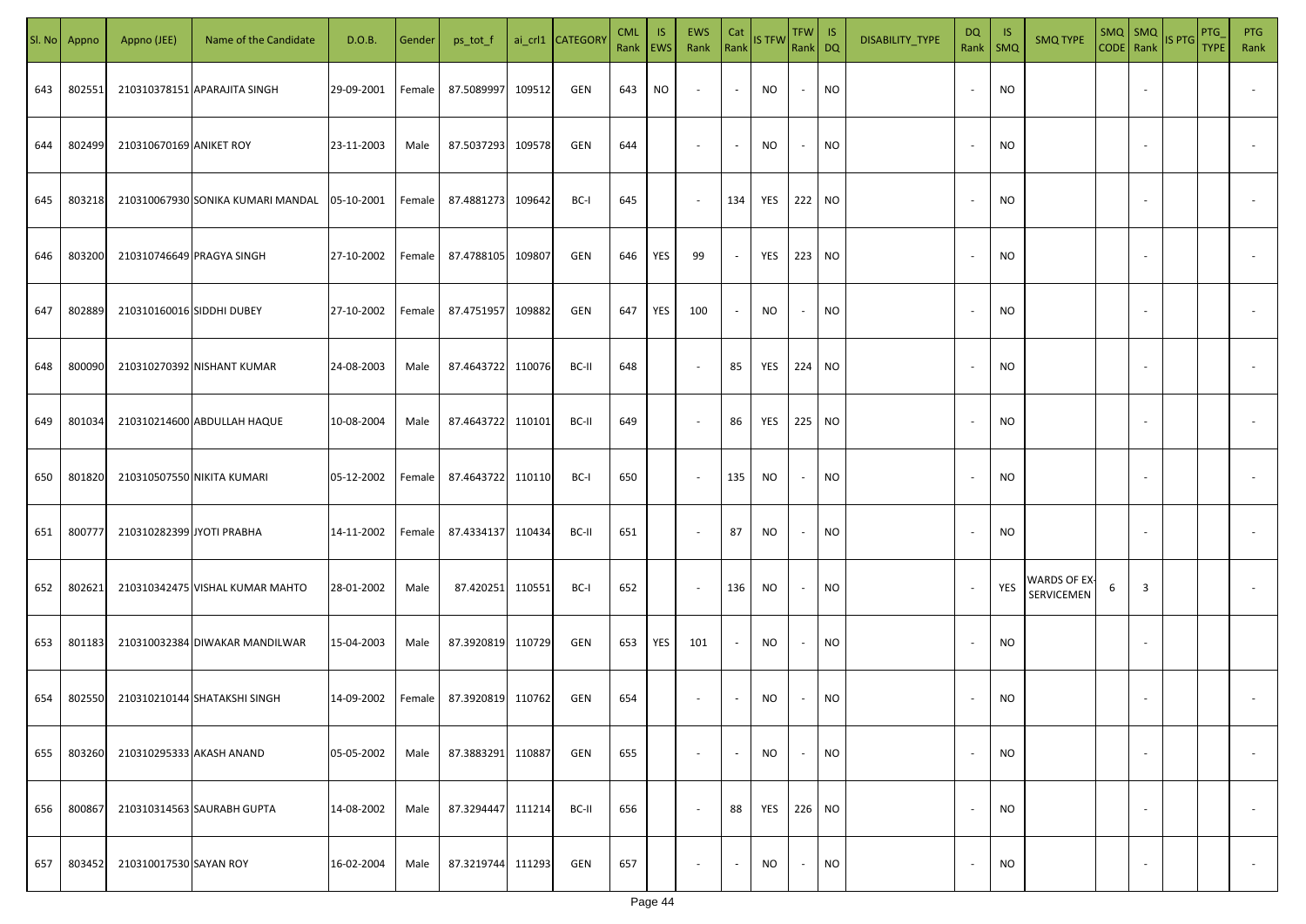| SI. No. | Appno  | Appno (JEE)               | Name of the Candidate             | D.O.B.     | Gender | ps_tot_f          |        | ai_crl1 CATEGORY | <b>CML</b><br>Rank EWS | IS. | <b>EWS</b><br>Rank       | Cat<br>Rank              | <b>IS TFW</b> | <b>TFW</b><br>Rank DQ    | IS        | DISABILITY_TYPE | DQ<br>Rank               | -IS<br>$\mathsf{SMQ}$ | <b>SMQ TYPE</b>            |   | $SMQ$ SMQ<br>CODE Rank   | IS PTG | <b>PTG</b><br><b>TYPE</b> | <b>PTG</b><br>Rank       |
|---------|--------|---------------------------|-----------------------------------|------------|--------|-------------------|--------|------------------|------------------------|-----|--------------------------|--------------------------|---------------|--------------------------|-----------|-----------------|--------------------------|-----------------------|----------------------------|---|--------------------------|--------|---------------------------|--------------------------|
| 643     | 802551 |                           | 210310378151 APARAJITA SINGH      | 29-09-2001 | Female | 87.5089997        | 109512 | GEN              | 643                    | NO. | $\overline{\phantom{a}}$ | $\sim$                   | NO            | $\sim$                   | <b>NO</b> |                 |                          | <b>NO</b>             |                            |   |                          |        |                           |                          |
| 644     | 802499 | 210310670169 ANIKET ROY   |                                   | 23-11-2003 | Male   | 87.5037293        | 109578 | GEN              | 644                    |     | $\overline{\phantom{a}}$ | $\sim$                   | NO            | $\sim$                   | <b>NO</b> |                 |                          | NO                    |                            |   |                          |        |                           |                          |
| 645     | 803218 |                           | 210310067930 SONIKA KUMARI MANDAL | 05-10-2001 | Female | 87.4881273        | 109642 | BC-I             | 645                    |     | $\sim$                   | 134                      | YES           | 222 NO                   |           |                 |                          | <b>NO</b>             |                            |   |                          |        |                           |                          |
| 646     | 803200 |                           | 210310746649 PRAGYA SINGH         | 27-10-2002 | Female | 87.4788105        | 109807 | <b>GEN</b>       | 646                    | YES | 99                       | $\sim$                   | YES           | 223 NO                   |           |                 |                          | NO.                   |                            |   |                          |        |                           |                          |
| 647     | 802889 | 210310160016 SIDDHI DUBEY |                                   | 27-10-2002 | Female | 87.4751957        | 109882 | <b>GEN</b>       | 647                    | YES | 100                      | $\sim$                   | NO            | $\sim$                   | <b>NO</b> |                 |                          | NO.                   |                            |   |                          |        |                           |                          |
| 648     | 800090 |                           | 210310270392 NISHANT KUMAR        | 24-08-2003 | Male   | 87.4643722        | 110076 | BC-II            | 648                    |     | $\overline{\phantom{a}}$ | 85                       | YES           | 224 NO                   |           |                 |                          | NO.                   |                            |   |                          |        |                           |                          |
| 649     | 801034 |                           | 210310214600 ABDULLAH HAQUE       | 10-08-2004 | Male   | 87.4643722        | 110101 | BC-II            | 649                    |     | $\overline{\phantom{a}}$ | 86                       | YES           | 225 NO                   |           |                 |                          | <b>NO</b>             |                            |   |                          |        |                           |                          |
| 650     | 801820 |                           | 210310507550 NIKITA KUMARI        | 05-12-2002 | Female | 87.4643722        | 110110 | BC-I             | 650                    |     | $\overline{\phantom{a}}$ | 135                      | <b>NO</b>     | $\overline{\phantom{a}}$ | <b>NO</b> |                 |                          | <b>NO</b>             |                            |   |                          |        |                           |                          |
| 651     | 800777 | 210310282399 JYOTI PRABHA |                                   | 14-11-2002 | Female | 87.4334137        | 110434 | BC-II            | 651                    |     | $\sim$                   | 87                       | <b>NO</b>     | $\overline{\phantom{a}}$ | <b>NO</b> |                 |                          | <b>NO</b>             |                            |   |                          |        |                           |                          |
| 652     | 802621 |                           | 210310342475 VISHAL KUMAR MAHTO   | 28-01-2002 | Male   | 87.420251         | 110551 | BC-I             | 652                    |     | $\sim$                   | 136                      | <b>NO</b>     | $\overline{\phantom{a}}$ | <b>NO</b> |                 |                          | YES                   | WARDS OF EX-<br>SERVICEMEN | 6 | 3                        |        |                           |                          |
| 653     | 801183 |                           | 210310032384 DIWAKAR MANDILWAR    | 15-04-2003 | Male   | 87.3920819        | 110729 | GEN              | 653                    | YES | 101                      |                          | <b>NO</b>     | $\sim$                   | <b>NO</b> |                 |                          | <b>NO</b>             |                            |   |                          |        |                           |                          |
| 654     | 802550 |                           | 210310210144 SHATAKSHI SINGH      | 14-09-2002 | Female | 87.3920819        | 110762 | GEN              | 654                    |     | $\overline{\phantom{a}}$ |                          | NO            |                          | <b>NO</b> |                 |                          | <b>NO</b>             |                            |   |                          |        |                           |                          |
| 655     | 803260 | 210310295333 AKASH ANAND  |                                   | 05-05-2002 | Male   | 87.3883291        | 110887 | GEN              | 655                    |     | $\overline{\phantom{a}}$ | $\overline{\phantom{a}}$ | <b>NO</b>     | $\sim$                   | <b>NO</b> |                 | $\overline{\phantom{a}}$ | <b>NO</b>             |                            |   |                          |        |                           | $\overline{\phantom{a}}$ |
| 656     | 800867 |                           | 210310314563 SAURABH GUPTA        | 14-08-2002 | Male   | 87.3294447        | 111214 | BC-II            | 656                    |     | $\overline{\phantom{a}}$ | 88                       | YES           | 226 NO                   |           |                 | $\overline{\phantom{a}}$ | <b>NO</b>             |                            |   | $\overline{\phantom{a}}$ |        |                           | $\overline{\phantom{a}}$ |
| 657     | 803452 | 210310017530 SAYAN ROY    |                                   | 16-02-2004 | Male   | 87.3219744 111293 |        | GEN              | 657                    |     | $\overline{\phantom{a}}$ |                          | <b>NO</b>     | $\sim$                   | <b>NO</b> |                 |                          | <b>NO</b>             |                            |   |                          |        |                           | $\sim$                   |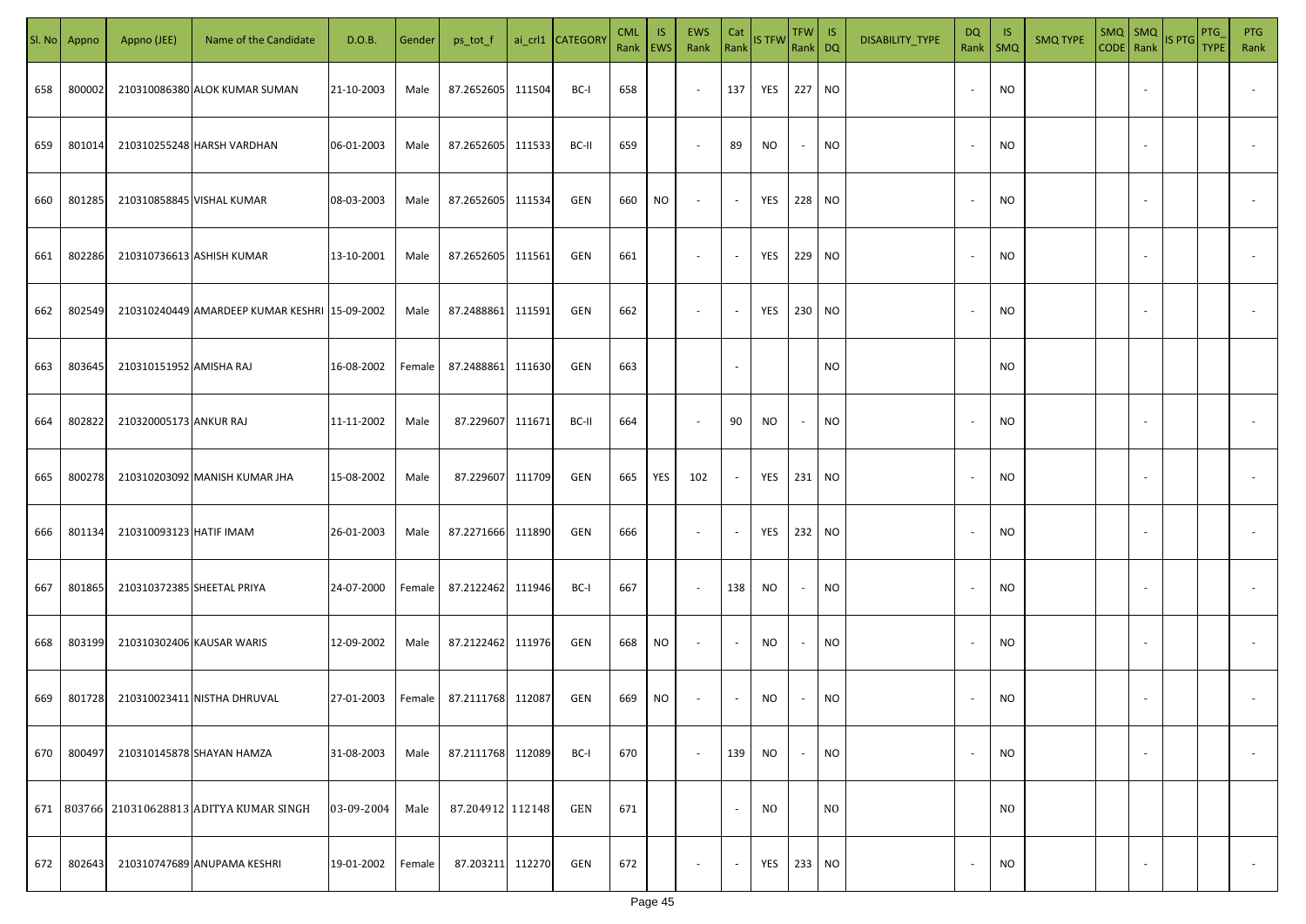|     | Sl. No Appno | Appno (JEE)                | Name of the Candidate                         | D.O.B.     | Gender | ps_tot_f          |        | ai_crl1 CATEGORY | <b>CML</b><br>Rank   EWS | IS. | <b>EWS</b><br>Rank       | Cat<br>Rank | <b>IS TFW</b>  | $TFW$ IS<br>Rank DQ      |                | DISABILITY_TYPE | <b>DQ</b> | - IS<br>Rank   SMQ | <b>SMQ TYPE</b> |                          | SMQ SMQ<br>CODE Rank IS PTG | <b>PTG</b><br><b>TYPE</b> | <b>PTG</b><br>Rank       |
|-----|--------------|----------------------------|-----------------------------------------------|------------|--------|-------------------|--------|------------------|--------------------------|-----|--------------------------|-------------|----------------|--------------------------|----------------|-----------------|-----------|--------------------|-----------------|--------------------------|-----------------------------|---------------------------|--------------------------|
| 658 | 800002       |                            | 210310086380 ALOK KUMAR SUMAN                 | 21-10-2003 | Male   | 87.2652605 111504 |        | BC-I             | 658                      |     | $\sim$                   | 137         | YES 227 NO     |                          |                |                 |           | <b>NO</b>          |                 |                          |                             |                           |                          |
| 659 | 801014       |                            | 210310255248 HARSH VARDHAN                    | 06-01-2003 | Male   | 87.2652605 111533 |        | BC-II            | 659                      |     | $\overline{\phantom{a}}$ | 89          | NO             | $\sim$                   | <b>NO</b>      |                 |           | <b>NO</b>          |                 |                          |                             |                           |                          |
| 660 | 801285       |                            | 210310858845 VISHAL KUMAR                     | 08-03-2003 | Male   | 87.2652605 111534 |        | GEN              | 660                      | NO  | $\overline{\phantom{a}}$ | $\sim$      | YES            | 228 NO                   |                |                 |           | <b>NO</b>          |                 |                          |                             |                           |                          |
| 661 | 802286       |                            | 210310736613 ASHISH KUMAR                     | 13-10-2001 | Male   | 87.2652605 111561 |        | GEN              | 661                      |     | $\overline{\phantom{a}}$ | $\sim$      | YES            | 229 NO                   |                |                 |           | <b>NO</b>          |                 |                          |                             |                           |                          |
| 662 | 802549       |                            | 210310240449 AMARDEEP KUMAR KESHRI 15-09-2002 |            | Male   | 87.2488861        | 111591 | GEN              | 662                      |     | $\overline{\phantom{a}}$ | $\sim$      | YES            | 230 NO                   |                |                 |           | <b>NO</b>          |                 |                          |                             |                           |                          |
| 663 | 803645       | 210310151952 AMISHA RAJ    |                                               | 16-08-2002 | Female | 87.2488861        | 111630 | GEN              | 663                      |     |                          | $\sim$      |                |                          | <b>NO</b>      |                 |           | <b>NO</b>          |                 |                          |                             |                           |                          |
| 664 | 802822       | 210320005173 ANKUR RAJ     |                                               | 11-11-2002 | Male   | 87.229607         | 111671 | BC-II            | 664                      |     | $\overline{\phantom{a}}$ | 90          | NO             | $\overline{\phantom{a}}$ | <b>NO</b>      |                 |           | <b>NO</b>          |                 |                          |                             |                           |                          |
| 665 | 800278       |                            | 210310203092 MANISH KUMAR JHA                 | 15-08-2002 | Male   | 87.229607 111709  |        | GEN              | 665                      | YES | 102                      | $\sim$      | YES            | 231 NO                   |                |                 |           | <b>NO</b>          |                 |                          |                             |                           |                          |
| 666 | 801134       | 210310093123 HATIF IMAM    |                                               | 26-01-2003 | Male   | 87.2271666 111890 |        | GEN              | 666                      |     | $\sim$                   | $\sim$      | YES            | 232 NO                   |                |                 |           | NO                 |                 |                          |                             |                           |                          |
| 667 | 801865       | 210310372385 SHEETAL PRIYA |                                               | 24-07-2000 | Female | 87.2122462 111946 |        | BC-I             | 667                      |     | $\sim$                   | 138         | <b>NO</b>      | $\sim$                   | <b>NO</b>      |                 |           | <b>NO</b>          |                 |                          |                             |                           |                          |
| 668 | 803199       | 210310302406 KAUSAR WARIS  |                                               | 12-09-2002 | Male   | 87.2122462 111976 |        | GEN              | 668                      | NO  | $\sim$                   | $\sim$      | NO.            | $\overline{\phantom{a}}$ | <b>NO</b>      |                 |           | <b>NO</b>          |                 |                          |                             |                           |                          |
| 669 | 801728       |                            | 210310023411 NISTHA DHRUVAL                   | 27-01-2003 | Female | 87.2111768 112087 |        | GEN              | 669                      | NO  | $\overline{\phantom{a}}$ | $\sim$      | NO             |                          | <b>NO</b>      |                 |           | <b>NO</b>          |                 |                          |                             |                           |                          |
| 670 | 800497       |                            | 210310145878 SHAYAN HAMZA                     | 31-08-2003 | Male   | 87.2111768 112089 |        | BC-I             | 670                      |     | $\sim$                   | 139         | NO             | $\overline{\phantom{a}}$ | <b>NO</b>      |                 |           | <b>NO</b>          |                 | $\overline{\phantom{a}}$ |                             |                           | $\overline{\phantom{a}}$ |
|     |              |                            | 671 803766 210310628813 ADITYA KUMAR SINGH    | 03-09-2004 | Male   | 87.204912 112148  |        | GEN              | 671                      |     |                          | $\sim$      | N <sub>O</sub> |                          | N <sub>O</sub> |                 |           | N <sub>O</sub>     |                 |                          |                             |                           |                          |
| 672 | 802643       |                            | 210310747689 ANUPAMA KESHRI                   | 19-01-2002 | Female | 87.203211 112270  |        | GEN              | 672                      |     | $\overline{\phantom{a}}$ | $\sim$      | YES            | 233 NO                   |                |                 |           | <b>NO</b>          |                 | $\overline{\phantom{a}}$ |                             |                           | $\sim$                   |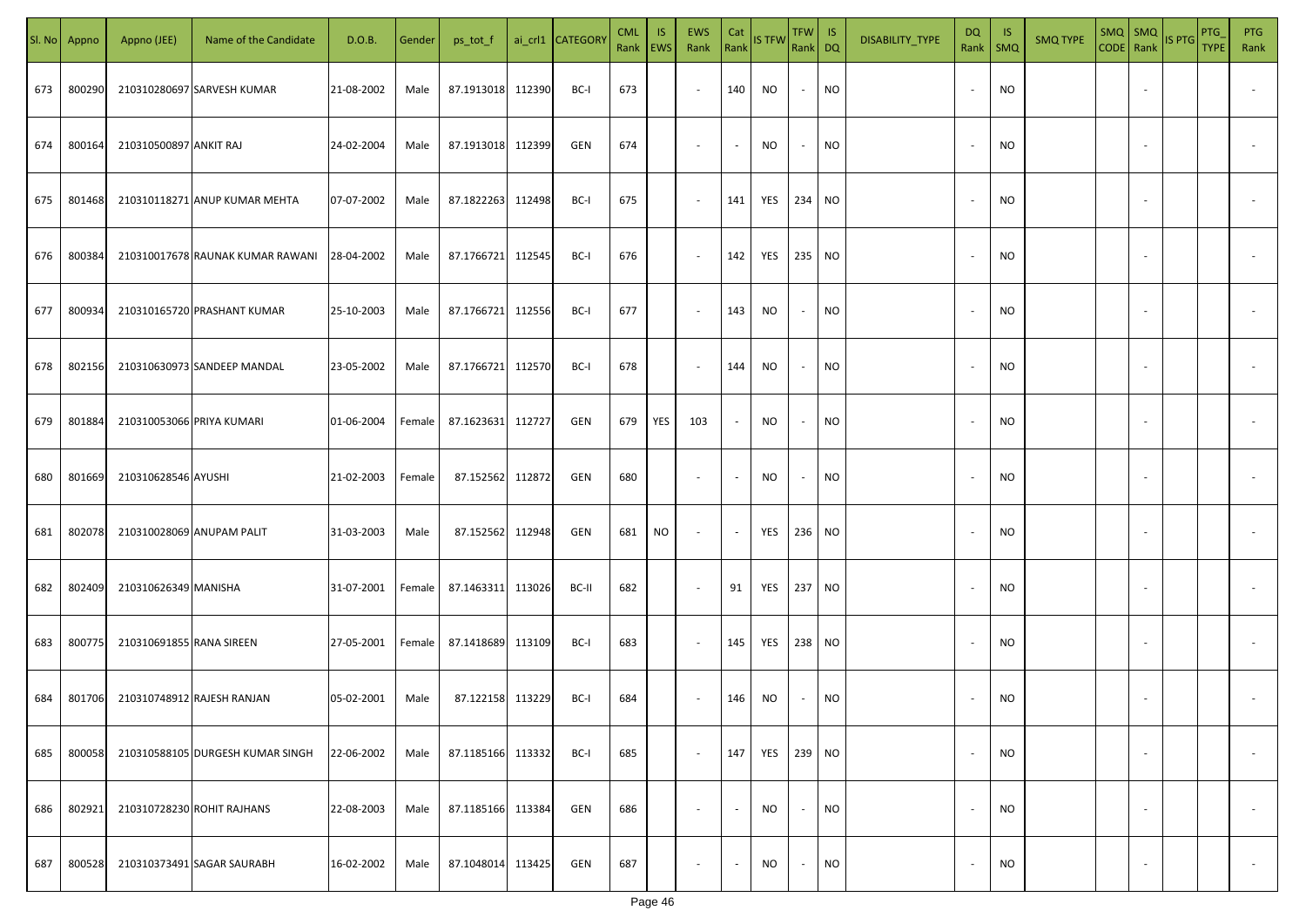|     | Sl. No Appno | Appno (JEE)               | Name of the Candidate            | D.O.B.     | Gender | ps_tot_f          |        | ai_crl1 CATEGORY | <b>CML</b><br>Rank   EWS | IS. | EWS<br>Rank              | Cat<br>Rank    | <b>IS TFW</b> | $TFW$ IS<br>Rank DQ      |           | DISABILITY_TYPE | <b>DQ</b>                | - IS<br>Rank   SMQ | <b>SMQ TYPE</b> |                          | $\begin{array}{ c c c c }\n\hline\n\text{SMQ} & \text{SMQ} \\ \text{CODE} & \text{Rank}\n\end{array}$ | <b>PTG</b><br><b>TYPE</b> | <b>PTG</b><br>Rank       |
|-----|--------------|---------------------------|----------------------------------|------------|--------|-------------------|--------|------------------|--------------------------|-----|--------------------------|----------------|---------------|--------------------------|-----------|-----------------|--------------------------|--------------------|-----------------|--------------------------|-------------------------------------------------------------------------------------------------------|---------------------------|--------------------------|
| 673 | 800290       |                           | 210310280697 SARVESH KUMAR       | 21-08-2002 | Male   | 87.1913018 112390 |        | BC-I             | 673                      |     | $\sim$                   | 140            | <b>NO</b>     | $\sim$                   | <b>NO</b> |                 |                          | <b>NO</b>          |                 |                          |                                                                                                       |                           |                          |
| 674 | 800164       | 210310500897 ANKIT RAJ    |                                  | 24-02-2004 | Male   | 87.1913018 112399 |        | GEN              | 674                      |     | $\sim$                   | $\sim$         | NO            | $\sim$                   | <b>NO</b> |                 |                          | <b>NO</b>          |                 |                          |                                                                                                       |                           |                          |
| 675 | 801468       |                           | 210310118271 ANUP KUMAR MEHTA    | 07-07-2002 | Male   | 87.1822263 112498 |        | BC-I             | 675                      |     | $\sim$                   | 141            | YES           | 234 NO                   |           |                 |                          | <b>NO</b>          |                 |                          |                                                                                                       |                           |                          |
| 676 | 800384       |                           | 210310017678 RAUNAK KUMAR RAWANI | 28-04-2002 | Male   | 87.1766721 112545 |        | BC-I             | 676                      |     | $\overline{\phantom{a}}$ | 142            | YES           | 235 NO                   |           |                 |                          | <b>NO</b>          |                 |                          |                                                                                                       |                           |                          |
| 677 | 800934       |                           | 210310165720 PRASHANT KUMAR      | 25-10-2003 | Male   | 87.1766721        | 112556 | BC-I             | 677                      |     | $\overline{\phantom{a}}$ | 143            | NO            | $\sim$                   | <b>NO</b> |                 |                          | <b>NO</b>          |                 |                          |                                                                                                       |                           |                          |
| 678 | 802156       |                           | 210310630973 SANDEEP MANDAL      | 23-05-2002 | Male   | 87.1766721        | 112570 | BC-I             | 678                      |     | $\overline{\phantom{a}}$ | 144            | NO            | $\sim$                   | <b>NO</b> |                 |                          | <b>NO</b>          |                 |                          |                                                                                                       |                           |                          |
| 679 | 801884       | 210310053066 PRIYA KUMARI |                                  | 01-06-2004 | Female | 87.1623631        | 112727 | GEN              | 679                      | YES | 103                      | $\sim$         | NO            | $\overline{\phantom{a}}$ | <b>NO</b> |                 |                          | <b>NO</b>          |                 |                          |                                                                                                       |                           |                          |
| 680 | 801669       | 210310628546 AYUSHI       |                                  | 21-02-2003 | Female | 87.152562 112872  |        | GEN              | 680                      |     | $\overline{\phantom{a}}$ | $\sim$         | NO            | $\overline{\phantom{a}}$ | <b>NO</b> |                 |                          | <b>NO</b>          |                 |                          |                                                                                                       |                           |                          |
| 681 | 802078       | 210310028069 ANUPAM PALIT |                                  | 31-03-2003 | Male   | 87.152562 112948  |        | GEN              | 681                      | NO  | $\sim$                   | $\sim$         | YES           | 236 NO                   |           |                 |                          | NO                 |                 |                          |                                                                                                       |                           |                          |
| 682 | 802409       | 210310626349 MANISHA      |                                  | 31-07-2001 | Female | 87.1463311 113026 |        | BC-II            | 682                      |     | $\sim$                   | 91             | YES           | 237 NO                   |           |                 |                          | <b>NO</b>          |                 |                          |                                                                                                       |                           |                          |
| 683 | 800775       | 210310691855 RANA SIREEN  |                                  | 27-05-2001 | Female | 87.1418689 113109 |        | BC-I             | 683                      |     | $\sim$                   | 145            | YES           | 238 NO                   |           |                 |                          | <b>NO</b>          |                 |                          |                                                                                                       |                           |                          |
| 684 | 801706       |                           | 210310748912 RAJESH RANJAN       | 05-02-2001 | Male   | 87.122158 113229  |        | BC-I             | 684                      |     | $\sim$                   | 146            | <b>NO</b>     |                          | <b>NO</b> |                 |                          | <b>NO</b>          |                 |                          |                                                                                                       |                           |                          |
| 685 | 800058       |                           | 210310588105 DURGESH KUMAR SINGH | 22-06-2002 | Male   | 87.1185166 113332 |        | BC-I             | 685                      |     | $\sim$                   | 147            | YES           | 239 NO                   |           |                 |                          | <b>NO</b>          |                 | $\overline{\phantom{a}}$ |                                                                                                       |                           | $\overline{\phantom{a}}$ |
| 686 | 802921       |                           | 210310728230 ROHIT RAJHANS       | 22-08-2003 | Male   | 87.1185166 113384 |        | GEN              | 686                      |     | $\overline{\phantom{a}}$ | $\blacksquare$ | <b>NO</b>     | $\overline{\phantom{a}}$ | <b>NO</b> |                 | $\overline{\phantom{a}}$ | <b>NO</b>          |                 | $\overline{\phantom{a}}$ |                                                                                                       |                           | $\overline{\phantom{a}}$ |
| 687 | 800528       |                           | 210310373491 SAGAR SAURABH       | 16-02-2002 | Male   | 87.1048014 113425 |        | GEN              | 687                      |     | $\overline{\phantom{a}}$ | $\sim$         | <b>NO</b>     | $\sim$                   | <b>NO</b> |                 |                          | <b>NO</b>          |                 | $\overline{\phantom{a}}$ |                                                                                                       |                           | $\sim$                   |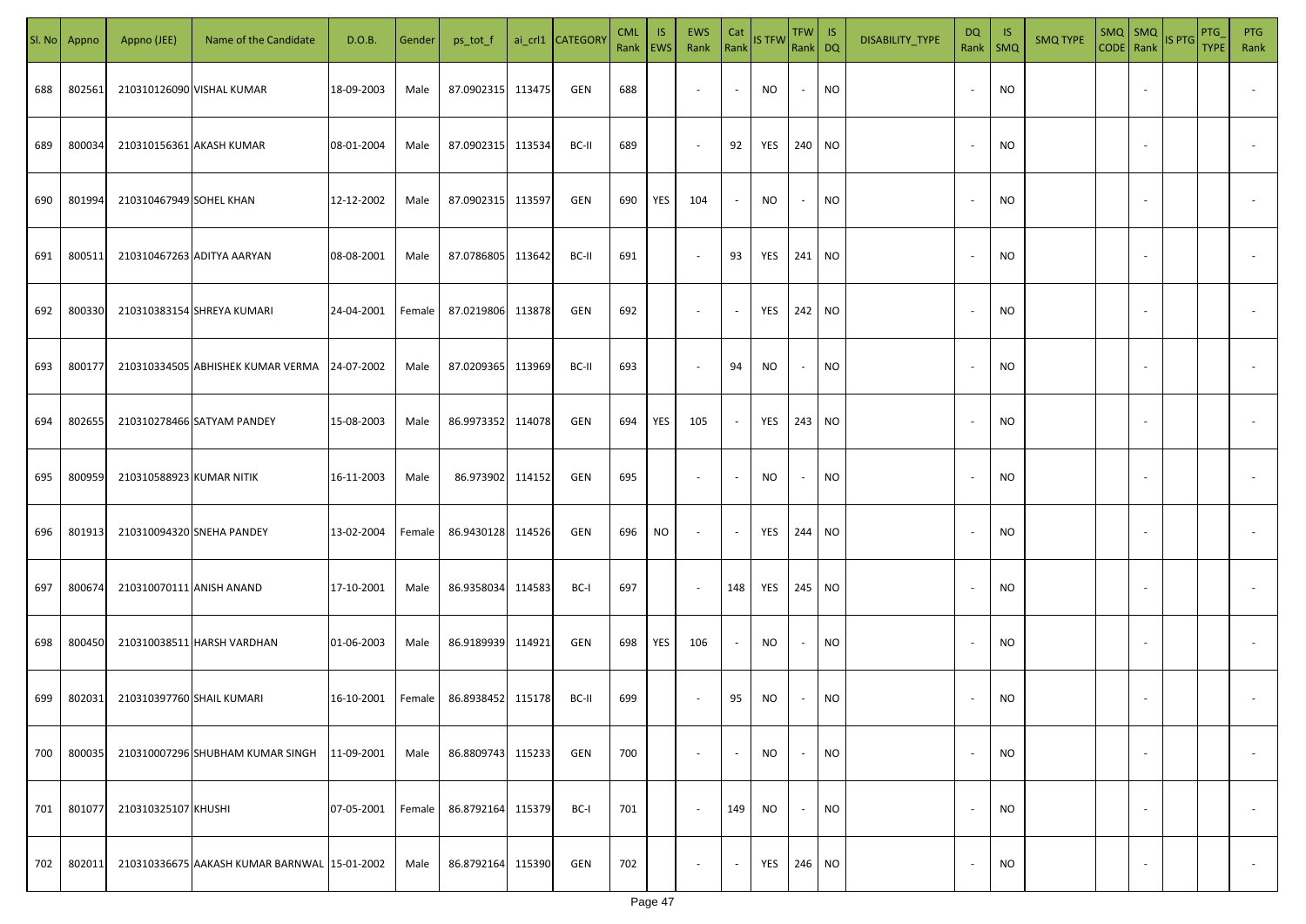| SI. No | Appno  | Appno (JEE)               | Name of the Candidate                        | D.O.B.     | Gender | ps_tot_f          |        | ai_crl1 CATEGOR\ | <b>CML</b><br>Rank   EWS | IS. | EWS<br>Rank              | Cat                      | Rank IS TFW | TFW IS<br>Rank DQ |           | DISABILITY_TYPE | <b>DQ</b><br>Rank        | -IS<br>$\mathsf{SMQ}$ | <b>SMQ TYPE</b> | SMQ   SMQ                | CODE Rank IS PTG | PTG<br><b>TYPE</b> | PTG<br>Rank              |
|--------|--------|---------------------------|----------------------------------------------|------------|--------|-------------------|--------|------------------|--------------------------|-----|--------------------------|--------------------------|-------------|-------------------|-----------|-----------------|--------------------------|-----------------------|-----------------|--------------------------|------------------|--------------------|--------------------------|
| 688    | 802561 |                           | 210310126090 VISHAL KUMAR                    | 18-09-2003 | Male   | 87.0902315 113475 |        | GEN              | 688                      |     | $\overline{\phantom{a}}$ | $\sim$                   | NO          | $\sim$            | <b>NO</b> |                 | $\overline{\phantom{a}}$ | <b>NO</b>             |                 |                          |                  |                    |                          |
| 689    | 800034 |                           | 210310156361 AKASH KUMAR                     | 08-01-2004 | Male   | 87.0902315 113534 |        | BC-II            | 689                      |     | $\overline{\phantom{a}}$ | 92                       | YES         | 240 NO            |           |                 | $\overline{\phantom{a}}$ | <b>NO</b>             |                 |                          |                  |                    |                          |
| 690    | 801994 | 210310467949 SOHEL KHAN   |                                              | 12-12-2002 | Male   | 87.0902315 113597 |        | GEN              | 690                      | YES | 104                      | $\sim$                   | NO          | $\sim$            | <b>NO</b> |                 | $\sim$                   | <b>NO</b>             |                 |                          |                  |                    |                          |
| 691    | 800511 |                           | 210310467263 ADITYA AARYAN                   | 08-08-2001 | Male   | 87.0786805 113642 |        | BC-II            | 691                      |     | $\sim$                   | 93                       | YES         | 241 NO            |           |                 |                          | <b>NO</b>             |                 |                          |                  |                    |                          |
| 692    | 800330 |                           | 210310383154 SHREYA KUMARI                   | 24-04-2001 | Female | 87.0219806        | 113878 | GEN              | 692                      |     | $\overline{\phantom{a}}$ | $\sim$                   | YES         | 242 NO            |           |                 |                          | <b>NO</b>             |                 |                          |                  |                    |                          |
| 693    | 800177 |                           | 210310334505 ABHISHEK KUMAR VERMA 24-07-2002 |            | Male   | 87.0209365        | 113969 | BC-II            | 693                      |     | $\sim$                   | 94                       | NO          | $\sim$            | <b>NO</b> |                 |                          | <b>NO</b>             |                 |                          |                  |                    |                          |
| 694    | 802655 |                           | 210310278466 SATYAM PANDEY                   | 15-08-2003 | Male   | 86.9973352 114078 |        | GEN              | 694                      | YES | 105                      | $\sim$                   | YES         | 243 NO            |           |                 |                          | <b>NO</b>             |                 |                          |                  |                    |                          |
| 695    | 800959 | 210310588923 KUMAR NITIK  |                                              | 16-11-2003 | Male   | 86.973902 114152  |        | GEN              | 695                      |     | $\sim$                   | $\overline{\phantom{a}}$ | <b>NO</b>   | $\sim$            | <b>NO</b> |                 |                          | <b>NO</b>             |                 |                          |                  |                    |                          |
| 696    | 801913 |                           | 210310094320 SNEHA PANDEY                    | 13-02-2004 | Female | 86.9430128 114526 |        | GEN              | 696                      | NO  | $\sim$                   | $\overline{\phantom{a}}$ | YES         | 244 NO            |           |                 |                          | <b>NO</b>             |                 |                          |                  |                    |                          |
| 697    | 800674 | 210310070111 ANISH ANAND  |                                              | 17-10-2001 | Male   | 86.9358034        | 114583 | BC-I             | 697                      |     | $\sim$                   | 148                      | YES         | 245 NO            |           |                 |                          | <b>NO</b>             |                 |                          |                  |                    |                          |
| 698    | 800450 |                           | 210310038511 HARSH VARDHAN                   | 01-06-2003 | Male   | 86.9189939 114921 |        | GEN              | 698                      | YES | 106                      | $\overline{\phantom{a}}$ | <b>NO</b>   | $\sim$            | <b>NO</b> |                 |                          | <b>NO</b>             |                 |                          |                  |                    |                          |
| 699    | 802031 | 210310397760 SHAIL KUMARI |                                              | 16-10-2001 | Female | 86.8938452 115178 |        | BC-II            | 699                      |     | $\sim$                   | 95                       | NO.         | $\sim$            | <b>NO</b> |                 |                          | NO                    |                 |                          |                  |                    |                          |
| 700    | 800035 |                           | 210310007296 SHUBHAM KUMAR SINGH             | 11-09-2001 | Male   | 86.8809743        | 115233 | GEN              | 700                      |     | $\sim$                   | $\sim$                   | <b>NO</b>   | $\sim$            | <b>NO</b> |                 |                          | <b>NO</b>             |                 | $\sim$                   |                  |                    | $\overline{\phantom{a}}$ |
| 701    | 801077 | 210310325107 KHUSHI       |                                              | 07-05-2001 | Female | 86.8792164 115379 |        | BC-I             | 701                      |     | $\sim$                   | 149                      | NO.         | $\sim$            | <b>NO</b> |                 |                          | <b>NO</b>             |                 | $\sim$                   |                  |                    | $\overline{\phantom{a}}$ |
| 702    | 802011 |                           | 210310336675 AAKASH KUMAR BARNWAL 15-01-2002 |            | Male   | 86.8792164        | 115390 | GEN              | 702                      |     | $\overline{\phantom{a}}$ | $\sim$                   | YES         | 246 NO            |           |                 |                          | <b>NO</b>             |                 | $\overline{\phantom{a}}$ |                  |                    | $\overline{\phantom{a}}$ |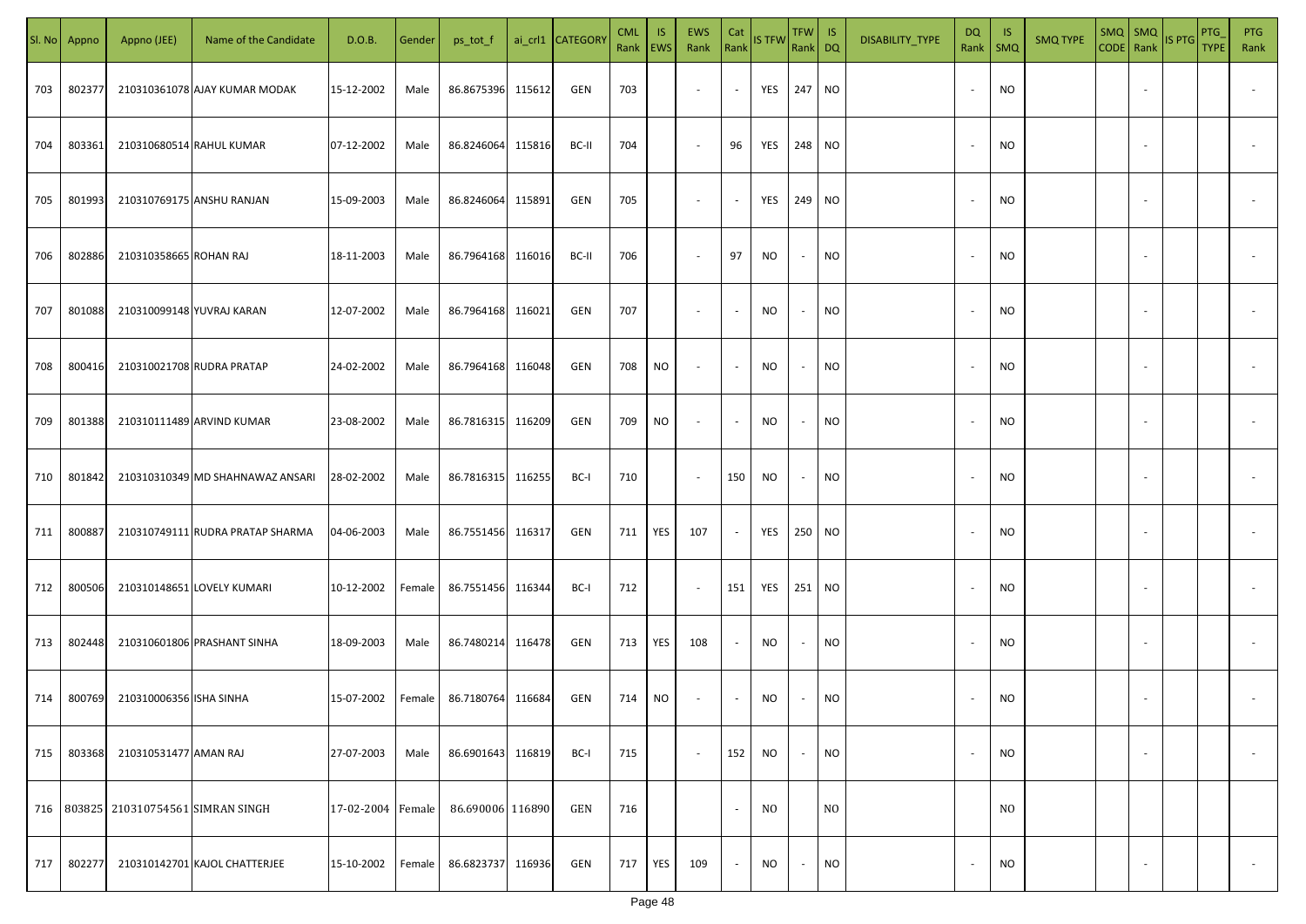| SI. No. | Appno  | Appno (JEE)                          | Name of the Candidate            | D.O.B.            | Gender | ps_tot_f          |        | ai_crl1 CATEGORY | <b>CML</b><br>Rank   EWS | IS. | <b>EWS</b><br>Rank       | Cat<br>Rank              | <b>IS TFW</b>     | $TFW$ IS<br>Rank DQ      |                | DISABILITY_TYPE | DQ     | - IS<br>Rank   SMQ | <b>SMQ TYPE</b> |                          | $\begin{array}{ c c c c }\n\hline\n\text{SMQ} & \text{SMQ} \\ \hline\n\text{CODE} & \text{Rank}\n\end{array}$ IS PTG | PTG<br><b>TYPE</b> | <b>PTG</b><br>Rank       |
|---------|--------|--------------------------------------|----------------------------------|-------------------|--------|-------------------|--------|------------------|--------------------------|-----|--------------------------|--------------------------|-------------------|--------------------------|----------------|-----------------|--------|--------------------|-----------------|--------------------------|----------------------------------------------------------------------------------------------------------------------|--------------------|--------------------------|
| 703     | 802377 |                                      | 210310361078 AJAY KUMAR MODAK    | 15-12-2002        | Male   | 86.8675396        | 115612 | GEN              | 703                      |     | $\sim$                   | $\sim$                   | <b>YES</b> 247 NO |                          |                |                 |        | <b>NO</b>          |                 |                          |                                                                                                                      |                    |                          |
| 704     | 803361 | 210310680514 RAHUL KUMAR             |                                  | 07-12-2002        | Male   | 86.8246064        | 115816 | BC-II            | 704                      |     | $\sim$                   | 96                       | <b>YES</b>        | 248 NO                   |                |                 |        | <b>NO</b>          |                 |                          |                                                                                                                      |                    |                          |
| 705     | 801993 |                                      | 210310769175 ANSHU RANJAN        | 15-09-2003        | Male   | 86.8246064        | 115891 | GEN              | 705                      |     | $\overline{\phantom{a}}$ | $\sim$                   | YES               | 249 NO                   |                |                 |        | <b>NO</b>          |                 |                          |                                                                                                                      |                    |                          |
| 706     | 802886 | 210310358665 ROHAN RAJ               |                                  | 18-11-2003        | Male   | 86.7964168        | 116016 | BC-II            | 706                      |     | $\overline{\phantom{a}}$ | 97                       | NO                | $\overline{\phantom{a}}$ | <b>NO</b>      |                 | $\sim$ | <b>NO</b>          |                 |                          |                                                                                                                      |                    |                          |
| 707     | 801088 | 210310099148 YUVRAJ KARAN            |                                  | 12-07-2002        | Male   | 86.7964168 116021 |        | GEN              | 707                      |     | $\overline{\phantom{a}}$ | $\overline{\phantom{a}}$ | NO                | $\sim$                   | <b>NO</b>      |                 | $\sim$ | <b>NO</b>          |                 |                          |                                                                                                                      |                    |                          |
| 708     | 800416 | 210310021708 RUDRA PRATAP            |                                  | 24-02-2002        | Male   | 86.7964168 116048 |        | GEN              | 708                      | NO  | $\overline{\phantom{a}}$ | $\overline{\phantom{a}}$ | NO                | $\sim$                   | <b>NO</b>      |                 |        | <b>NO</b>          |                 |                          |                                                                                                                      |                    |                          |
| 709     | 801388 |                                      | 210310111489 ARVIND KUMAR        | 23-08-2002        | Male   | 86.7816315 116209 |        | GEN              | 709                      | NO  | $\sim$                   | $\overline{\phantom{a}}$ | <b>NO</b>         | $\sim$                   | <b>NO</b>      |                 |        | <b>NO</b>          |                 |                          |                                                                                                                      |                    |                          |
| 710     | 801842 |                                      | 210310310349 MD SHAHNAWAZ ANSARI | 28-02-2002        | Male   | 86.7816315 116255 |        | BC-I             | 710                      |     | $\sim$                   | 150                      | <b>NO</b>         | $\sim$                   | <b>NO</b>      |                 |        | <b>NO</b>          |                 |                          |                                                                                                                      |                    |                          |
| 711     | 800887 |                                      | 210310749111 RUDRA PRATAP SHARMA | 04-06-2003        | Male   | 86.7551456 116317 |        | GEN              | 711                      | YES | 107                      | $\sim$                   | YES               | 250 NO                   |                |                 |        | <b>NO</b>          |                 |                          |                                                                                                                      |                    |                          |
| 712     | 800506 |                                      | 210310148651 LOVELY KUMARI       | 10-12-2002        | Female | 86.7551456 116344 |        | BC-I             | 712                      |     | $\sim$                   | 151                      | YES               | 251 NO                   |                |                 |        | <b>NO</b>          |                 |                          |                                                                                                                      |                    |                          |
| 713     | 802448 |                                      | 210310601806 PRASHANT SINHA      | 18-09-2003        | Male   | 86.7480214        | 116478 | GEN              | 713                      | YES | 108                      | $\overline{\phantom{a}}$ | NO                | $\overline{\phantom{a}}$ | <b>NO</b>      |                 |        | <b>NO</b>          |                 |                          |                                                                                                                      |                    |                          |
| 714     | 800769 | 210310006356 ISHA SINHA              |                                  | 15-07-2002        | Female | 86.7180764        | 116684 | GEN              | 714                      | NO. | $\overline{\phantom{a}}$ | $\sim$                   | NO                |                          | <b>NO</b>      |                 |        | <b>NO</b>          |                 |                          |                                                                                                                      |                    |                          |
| 715     | 803368 | 210310531477 AMAN RAJ                |                                  | 27-07-2003        | Male   | 86.6901643        | 116819 | BC-I             | 715                      |     | $\sim$                   | 152                      | <b>NO</b>         |                          | <b>NO</b>      |                 |        | <b>NO</b>          |                 | $\overline{\phantom{a}}$ |                                                                                                                      |                    | $\overline{\phantom{a}}$ |
|         |        | 716 803825 210310754561 SIMRAN SINGH |                                  | 17-02-2004 Female |        | 86.690006 116890  |        | GEN              | 716                      |     |                          | $\sim$                   | N <sub>0</sub>    |                          | N <sub>O</sub> |                 |        | N <sub>O</sub>     |                 |                          |                                                                                                                      |                    |                          |
| 717     | 802277 |                                      | 210310142701 KAJOL CHATTERJEE    | 15-10-2002        | Female | 86.6823737        | 116936 | GEN              | 717                      | YES | 109                      | $\sim$                   | <b>NO</b>         | $\sim$                   | <b>NO</b>      |                 |        | <b>NO</b>          |                 |                          |                                                                                                                      |                    | $\overline{\phantom{a}}$ |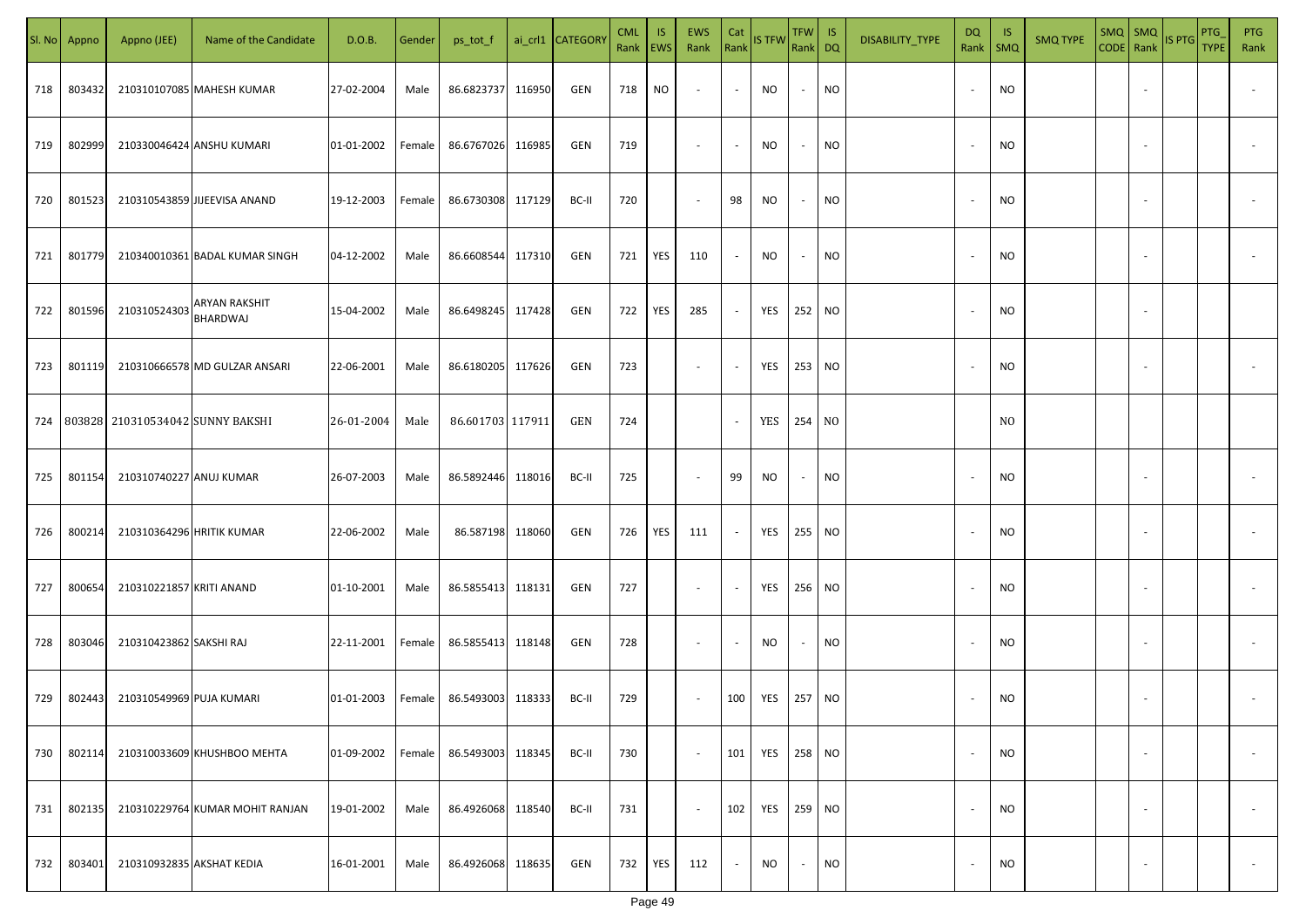| SI. No. | Appno  | Appno (JEE)                          | Name of the Candidate            | D.O.B.     | Gender | ps_tot_f          |        | ai_crl1 CATEGORY | <b>CML</b><br>Rank   EWS | IS. | EWS<br>Rank              | Cat<br>Rank              | <b>IS TFW</b>     | $TFW$ IS<br>Rank DQ      |           | DISABILITY_TYPE | <b>DQ</b> | -IS<br>Rank   SMQ | <b>SMQ TYPE</b> |                          | SMQ SMQ<br>CODE Rank IS PTG | <b>PTG</b><br><b>TYPE</b> | <b>PTG</b><br>Rank       |
|---------|--------|--------------------------------------|----------------------------------|------------|--------|-------------------|--------|------------------|--------------------------|-----|--------------------------|--------------------------|-------------------|--------------------------|-----------|-----------------|-----------|-------------------|-----------------|--------------------------|-----------------------------|---------------------------|--------------------------|
| 718     | 803432 |                                      | 210310107085 MAHESH KUMAR        | 27-02-2004 | Male   | 86.6823737        | 116950 | GEN              | 718                      | NO  | $\sim$                   | $\sim$                   | NO                | $\sim$                   | <b>NO</b> |                 |           | <b>NO</b>         |                 |                          |                             |                           |                          |
| 719     | 802999 |                                      | 210330046424 ANSHU KUMARI        | 01-01-2002 | Female | 86.6767026 116985 |        | GEN              | 719                      |     | $\sim$                   | $\sim$                   | NO                | $\sim$                   | <b>NO</b> |                 | $\sim$    | <b>NO</b>         |                 |                          |                             |                           |                          |
| 720     | 801523 |                                      | 210310543859 JIJEEVISA ANAND     | 19-12-2003 | Female | 86.6730308 117129 |        | BC-II            | 720                      |     | $\overline{\phantom{a}}$ | 98                       | NO                | $\overline{\phantom{a}}$ | <b>NO</b> |                 |           | <b>NO</b>         |                 |                          |                             |                           |                          |
| 721     | 801779 |                                      | 210340010361 BADAL KUMAR SINGH   | 04-12-2002 | Male   | 86.6608544        | 117310 | GEN              | 721                      | YES | 110                      | $\sim$                   | NO                | $\overline{\phantom{a}}$ | <b>NO</b> |                 |           | <b>NO</b>         |                 |                          |                             |                           |                          |
| 722     | 801596 | 210310524303                         | <b>ARYAN RAKSHIT</b><br>BHARDWAJ | 15-04-2002 | Male   | 86.6498245        | 117428 | GEN              | 722                      | YES | 285                      | $\sim$                   | YES               | 252 NO                   |           |                 |           | <b>NO</b>         |                 |                          |                             |                           |                          |
| 723     | 801119 |                                      | 210310666578 MD GULZAR ANSARI    | 22-06-2001 | Male   | 86.6180205 117626 |        | GEN              | 723                      |     | $\overline{\phantom{a}}$ | $\sim$                   | YES               | 253 NO                   |           |                 |           | <b>NO</b>         |                 |                          |                             |                           |                          |
|         |        | 724 803828 210310534042 SUNNY BAKSHI |                                  | 26-01-2004 | Male   | 86.601703 117911  |        | GEN              | 724                      |     |                          | $\overline{\phantom{a}}$ | YES               | 254 NO                   |           |                 |           | N <sub>0</sub>    |                 |                          |                             |                           |                          |
| 725     | 801154 | 210310740227 ANUJ KUMAR              |                                  | 26-07-2003 | Male   | 86.5892446        | 118016 | BC-II            | 725                      |     | $\overline{\phantom{a}}$ | 99                       | NO                | $\overline{\phantom{a}}$ | <b>NO</b> |                 |           | <b>NO</b>         |                 |                          |                             |                           |                          |
| 726     | 800214 | 210310364296 HRITIK KUMAR            |                                  | 22-06-2002 | Male   | 86.587198 118060  |        | GEN              | 726                      | YES | 111                      | $\sim$                   | YES               | 255 NO                   |           |                 |           | NO                |                 |                          |                             |                           |                          |
| 727     | 800654 | 210310221857 KRITI ANAND             |                                  | 01-10-2001 | Male   | 86.5855413 118131 |        | GEN              | 727                      |     | $\sim$                   | $\overline{\phantom{a}}$ | YES               | 256 NO                   |           |                 |           | <b>NO</b>         |                 |                          |                             |                           |                          |
| 728     | 803046 | 210310423862 SAKSHI RAJ              |                                  | 22-11-2001 | Female | 86.5855413 118148 |        | GEN              | 728                      |     | $\sim$                   | $\overline{\phantom{a}}$ | <b>NO</b>         | $\overline{\phantom{a}}$ | <b>NO</b> |                 |           | <b>NO</b>         |                 |                          |                             |                           |                          |
| 729     | 802443 | 210310549969 PUJA KUMARI             |                                  | 01-01-2003 | Female | 86.5493003 118333 |        | BC-II            | 729                      |     | $\sim$                   | 100                      | YES               | 257 NO                   |           |                 |           | <b>NO</b>         |                 |                          |                             |                           |                          |
| 730     | 802114 |                                      | 210310033609 KHUSHBOO MEHTA      | 01-09-2002 | Female | 86.5493003        | 118345 | BC-II            | 730                      |     | $\sim$                   | 101                      | YES               | 258 NO                   |           |                 |           | <b>NO</b>         |                 | $\overline{\phantom{a}}$ |                             |                           | $\overline{\phantom{a}}$ |
| 731     | 802135 |                                      | 210310229764 KUMAR MOHIT RANJAN  | 19-01-2002 | Male   | 86.4926068 118540 |        | BC-II            | 731                      |     | $\sim$                   | 102                      | <b>YES</b> 259 NO |                          |           |                 |           | <b>NO</b>         |                 | $\overline{\phantom{a}}$ |                             |                           | $\overline{\phantom{a}}$ |
| 732     | 803401 | 210310932835 AKSHAT KEDIA            |                                  | 16-01-2001 | Male   | 86.4926068 118635 |        | GEN              | 732                      | YES | 112                      | $\sim$                   | <b>NO</b>         | $\sim$                   | <b>NO</b> |                 |           | <b>NO</b>         |                 | $\overline{\phantom{a}}$ |                             |                           | $\sim$                   |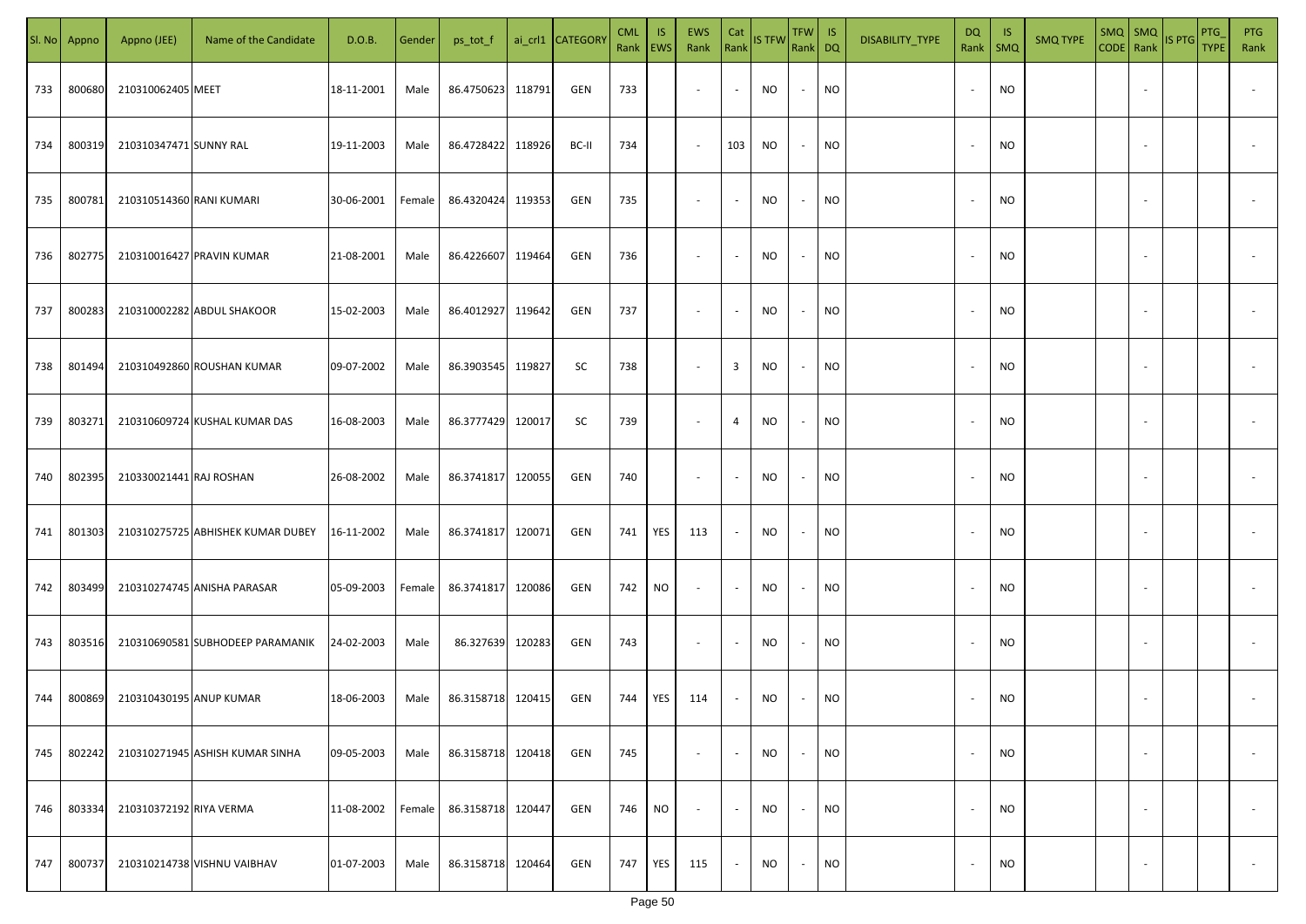| SI. No. | Appno  | Appno (JEE)              | Name of the Candidate             | D.O.B.     | Gender | ps_tot_f          |        | ai_crl1 CATEGORY | <b>CML</b><br>Rank   EWS | IS. | EWS<br>Rank              | Cat<br>Rank              | <b>IS TFW</b> | $TFW$ IS<br>Rank DQ      |           | DISABILITY_TYPE | DQ                       | - IS<br>Rank   SMQ | <b>SMQ TYPE</b> |                          | SMQ SMQ<br>CODE Rank IS PTG | PTG<br><b>TYPE</b> | <b>PTG</b><br>Rank       |
|---------|--------|--------------------------|-----------------------------------|------------|--------|-------------------|--------|------------------|--------------------------|-----|--------------------------|--------------------------|---------------|--------------------------|-----------|-----------------|--------------------------|--------------------|-----------------|--------------------------|-----------------------------|--------------------|--------------------------|
| 733     | 800680 | 210310062405 MEET        |                                   | 18-11-2001 | Male   | 86.4750623        | 118791 | GEN              | 733                      |     | $\overline{\phantom{a}}$ | $\sim$                   | NO            | $\sim$                   | <b>NO</b> |                 |                          | <b>NO</b>          |                 |                          |                             |                    |                          |
| 734     | 800319 | 210310347471 SUNNY RAL   |                                   | 19-11-2003 | Male   | 86.4728422        | 118926 | BC-II            | 734                      |     | $\sim$                   | 103                      | NO            | $\sim$                   | <b>NO</b> |                 |                          | <b>NO</b>          |                 |                          |                             |                    |                          |
| 735     | 800781 | 210310514360 RANI KUMARI |                                   | 30-06-2001 | Female | 86.4320424        | 119353 | GEN              | 735                      |     | $\overline{\phantom{a}}$ | $\sim$                   | NO            | $\sim$                   | <b>NO</b> |                 | $\overline{\phantom{a}}$ | <b>NO</b>          |                 |                          |                             |                    |                          |
| 736     | 802775 |                          | 210310016427 PRAVIN KUMAR         | 21-08-2001 | Male   | 86.4226607        | 119464 | GEN              | 736                      |     | $\overline{\phantom{a}}$ | $\sim$                   | NO            | $\overline{\phantom{a}}$ | <b>NO</b> |                 | $\sim$                   | <b>NO</b>          |                 |                          |                             |                    |                          |
| 737     | 800283 |                          | 210310002282 ABDUL SHAKOOR        | 15-02-2003 | Male   | 86.4012927 119642 |        | GEN              | 737                      |     | $\overline{\phantom{a}}$ | $\overline{\phantom{a}}$ | NO            | $\sim$                   | <b>NO</b> |                 | $\sim$                   | <b>NO</b>          |                 |                          |                             |                    |                          |
| 738     | 801494 |                          | 210310492860 ROUSHAN KUMAR        | 09-07-2002 | Male   | 86.3903545 119827 |        | SC               | 738                      |     | $\overline{\phantom{a}}$ | $\overline{\mathbf{3}}$  | NO            | $\sim$                   | <b>NO</b> |                 |                          | <b>NO</b>          |                 |                          |                             |                    |                          |
| 739     | 803271 |                          | 210310609724 KUSHAL KUMAR DAS     | 16-08-2003 | Male   | 86.3777429        | 120017 | SC               | 739                      |     | $\overline{\phantom{a}}$ | $\overline{4}$           | <b>NO</b>     | $\sim$                   | <b>NO</b> |                 |                          | <b>NO</b>          |                 |                          |                             |                    |                          |
| 740     | 802395 | 210330021441 RAJ ROSHAN  |                                   | 26-08-2002 | Male   | 86.3741817        | 120055 | GEN              | 740                      |     | $\overline{\phantom{a}}$ | $\overline{\phantom{a}}$ | NO            | $\overline{\phantom{a}}$ | <b>NO</b> |                 |                          | NO                 |                 |                          |                             |                    |                          |
| 741     | 801303 |                          | 210310275725 ABHISHEK KUMAR DUBEY | 16-11-2002 | Male   | 86.3741817        | 120071 | GEN              | 741                      | YES | 113                      | $\overline{\phantom{a}}$ | NO            | $\overline{\phantom{a}}$ | <b>NO</b> |                 |                          | <b>NO</b>          |                 |                          |                             |                    |                          |
| 742     | 803499 |                          | 210310274745 ANISHA PARASAR       | 05-09-2003 | Female | 86.3741817        | 120086 | GEN              | 742                      | NO. | $\sim$                   | $\overline{\phantom{a}}$ | NO            |                          | <b>NO</b> |                 |                          | <b>NO</b>          |                 |                          |                             |                    |                          |
| 743     | 803516 |                          | 210310690581 SUBHODEEP PARAMANIK  | 24-02-2003 | Male   | 86.327639         | 120283 | GEN              | 743                      |     | $\sim$                   |                          | NO            | $\overline{\phantom{a}}$ | <b>NO</b> |                 |                          | <b>NO</b>          |                 |                          |                             |                    |                          |
| 744     | 800869 | 210310430195 ANUP KUMAR  |                                   | 18-06-2003 | Male   | 86.3158718 120415 |        | GEN              | 744                      | YES | 114                      | $\sim$                   | NO            |                          | <b>NO</b> |                 |                          | <b>NO</b>          |                 |                          |                             |                    |                          |
| 745     | 802242 |                          | 210310271945 ASHISH KUMAR SINHA   | 09-05-2003 | Male   | 86.3158718        | 120418 | GEN              | 745                      |     | $\overline{\phantom{a}}$ | $\overline{\phantom{a}}$ | <b>NO</b>     | $\overline{\phantom{a}}$ | <b>NO</b> |                 |                          | <b>NO</b>          |                 | $\overline{\phantom{a}}$ |                             |                    | $\overline{\phantom{a}}$ |
| 746     | 803334 | 210310372192 RIYA VERMA  |                                   | 11-08-2002 | Female | 86.3158718        | 120447 | GEN              | 746                      | NO. | $\overline{\phantom{a}}$ | $\sim$                   | <b>NO</b>     | $\sim$                   | <b>NO</b> |                 | $\overline{\phantom{a}}$ | <b>NO</b>          |                 | $\overline{\phantom{a}}$ |                             |                    | $\overline{\phantom{a}}$ |
| 747     | 800737 |                          | 210310214738 VISHNU VAIBHAV       | 01-07-2003 | Male   | 86.3158718        | 120464 | GEN              | 747                      | YES | 115                      | $\sim$                   | <b>NO</b>     | $\sim$                   | <b>NO</b> |                 |                          | <b>NO</b>          |                 | $\sim$                   |                             |                    | $\sim$                   |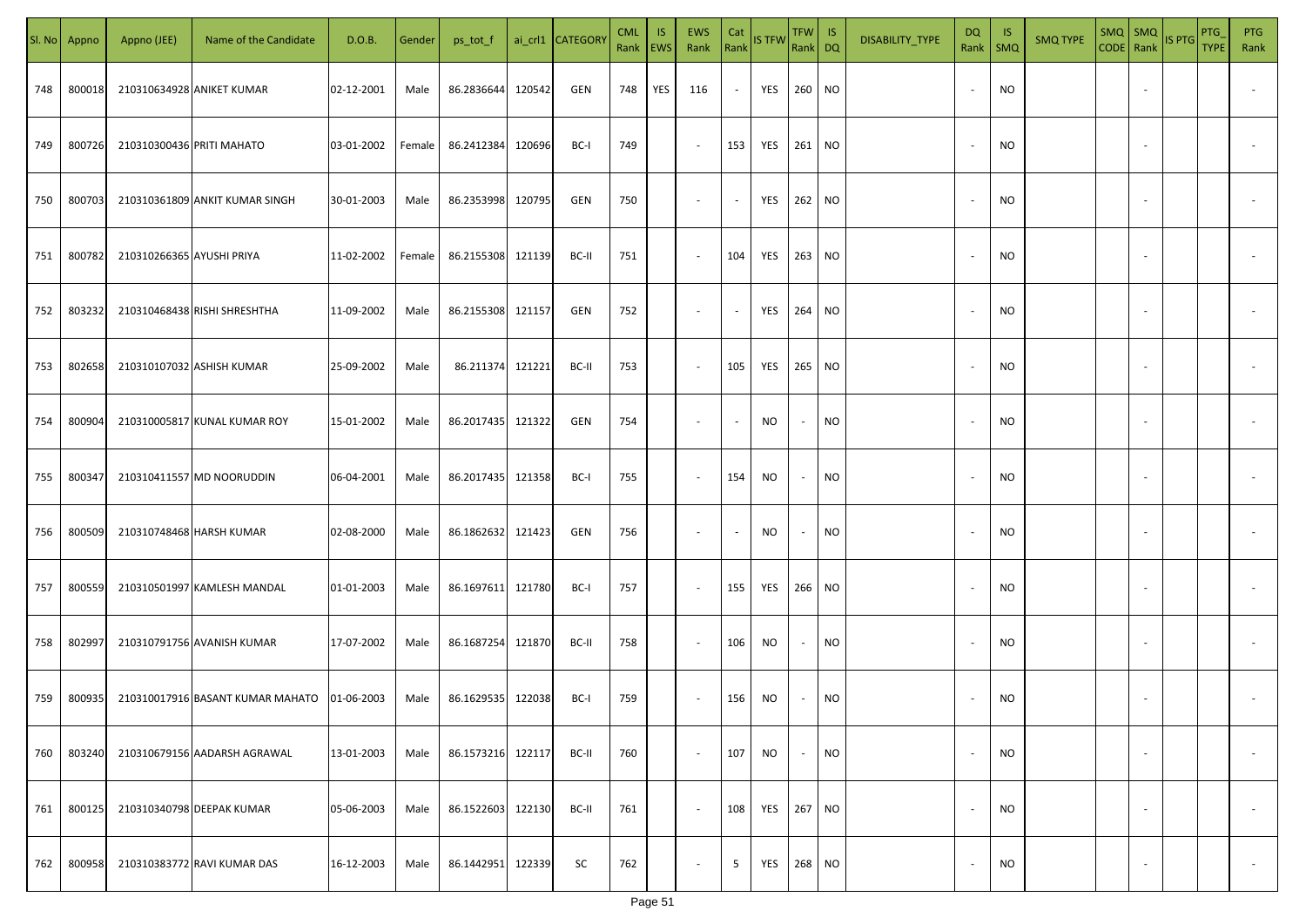| SI. No | Appno  | Appno (JEE)               | Name of the Candidate            | D.O.B.     | Gender | ps_tot_f          |        | ai_crl1 CATEGORY | <b>CML</b> | <b>IS</b><br>Rank EWS | EWS<br>Rank              | Cat<br>Rank              | IS TFW Rank DQ | TFW                      | IS        | DISABILITY_TYPE | DQ<br>Rank | -IS<br>$\mathsf{SMQ}$ | <b>SMQ TYPE</b> | $SMQ$ SMQ                | CODE Rank IS PTG | PTG<br><b>TYPE</b> | <b>PTG</b><br>Rank       |
|--------|--------|---------------------------|----------------------------------|------------|--------|-------------------|--------|------------------|------------|-----------------------|--------------------------|--------------------------|----------------|--------------------------|-----------|-----------------|------------|-----------------------|-----------------|--------------------------|------------------|--------------------|--------------------------|
| 748    | 800018 |                           | 210310634928 ANIKET KUMAR        | 02-12-2001 | Male   | 86.2836644        | 120542 | GEN              | 748        | YES                   | 116                      | $\sim$                   | YES            | 260                      | <b>NO</b> |                 | $\sim$     | <b>NO</b>             |                 |                          |                  |                    |                          |
| 749    | 800726 | 210310300436 PRITI MAHATO |                                  | 03-01-2002 | Female | 86.2412384        | 120696 | BC-I             | 749        |                       | $\sim$                   | 153                      | YES            | 261                      | <b>NO</b> |                 | $\sim$     | NO                    |                 |                          |                  |                    |                          |
| 750    | 800703 |                           | 210310361809 ANKIT KUMAR SINGH   | 30-01-2003 | Male   | 86.2353998 120795 |        | GEN              | 750        |                       | $\overline{\phantom{a}}$ | $\overline{\phantom{a}}$ | YES            | 262                      | <b>NO</b> |                 | $\sim$     | NO                    |                 |                          |                  |                    |                          |
| 751    | 800782 | 210310266365 AYUSHI PRIYA |                                  | 11-02-2002 | Female | 86.2155308 121139 |        | BC-II            | 751        |                       | $\sim$                   | 104                      | YES            | 263                      | <b>NO</b> |                 |            | <b>NO</b>             |                 |                          |                  |                    |                          |
| 752    | 803232 |                           | 210310468438 RISHI SHRESHTHA     | 11-09-2002 | Male   | 86.2155308 121157 |        | GEN              | 752        |                       | $\overline{\phantom{a}}$ | $\overline{\phantom{a}}$ | YES            | 264                      | <b>NO</b> |                 |            | <b>NO</b>             |                 |                          |                  |                    |                          |
| 753    | 802658 |                           | 210310107032 ASHISH KUMAR        | 25-09-2002 | Male   | 86.211374 121221  |        | BC-II            | 753        |                       | $\sim$                   | 105                      | YES            | 265                      | <b>NO</b> |                 |            | <b>NO</b>             |                 |                          |                  |                    |                          |
| 754    | 800904 |                           | 210310005817 KUNAL KUMAR ROY     | 15-01-2002 | Male   | 86.2017435 121322 |        | GEN              | 754        |                       | $\overline{\phantom{a}}$ | $\overline{a}$           | <b>NO</b>      |                          | NO        |                 |            | <b>NO</b>             |                 |                          |                  |                    |                          |
| 755    | 800347 |                           | 210310411557 MD NOORUDDIN        | 06-04-2001 | Male   | 86.2017435 121358 |        | BC-I             | 755        |                       | $\sim$                   | 154                      | <b>NO</b>      |                          | <b>NO</b> |                 |            | <b>NO</b>             |                 |                          |                  |                    |                          |
| 756    | 800509 |                           | 210310748468 HARSH KUMAR         | 02-08-2000 | Male   | 86.1862632 121423 |        | GEN              | 756        |                       | $\sim$                   |                          | <b>NO</b>      |                          | <b>NO</b> |                 |            | <b>NO</b>             |                 |                          |                  |                    |                          |
| 757    | 800559 |                           | 210310501997 KAMLESH MANDAL      | 01-01-2003 | Male   | 86.1697611 121780 |        | BC-I             | 757        |                       | $\sim$                   | 155                      | YES            | 266                      | <b>NO</b> |                 |            | <b>NO</b>             |                 |                          |                  |                    |                          |
| 758    | 802997 |                           | 210310791756 AVANISH KUMAR       | 17-07-2002 | Male   | 86.1687254        | 121870 | BC-II            | 758        |                       | $\sim$                   | 106                      | NO             | $\overline{\phantom{a}}$ | <b>NO</b> |                 |            | <b>NO</b>             |                 |                          |                  |                    |                          |
| 759    | 800935 |                           | 210310017916 BASANT KUMAR MAHATO | 01-06-2003 | Male   | 86.1629535 122038 |        | BC-I             | 759        |                       | $\sim$                   | 156                      | NO             | $\sim$                   | NO        |                 |            | NO                    |                 |                          |                  |                    |                          |
| 760    | 803240 |                           | 210310679156 AADARSH AGRAWAL     | 13-01-2003 | Male   | 86.1573216 122117 |        | BC-II            | 760        |                       | $\sim$                   | 107                      | <b>NO</b>      | $\sim$                   | <b>NO</b> |                 | $\sim$     | <b>NO</b>             |                 |                          |                  |                    | $\overline{\phantom{a}}$ |
| 761    | 800125 |                           | 210310340798 DEEPAK KUMAR        | 05-06-2003 | Male   | 86.1522603        | 122130 | BC-II            | 761        |                       | $\overline{\phantom{a}}$ | 108                      | YES            | 267                      | <b>NO</b> |                 | $\sim$     | <b>NO</b>             |                 | $\sim$                   |                  |                    | $\overline{\phantom{a}}$ |
| 762    | 800958 |                           | 210310383772 RAVI KUMAR DAS      | 16-12-2003 | Male   | 86.1442951        | 122339 | SC               | 762        |                       | $\overline{\phantom{a}}$ | 5                        | YES            | 268                      | <b>NO</b> |                 | $\sim$     | <b>NO</b>             |                 | $\overline{\phantom{a}}$ |                  |                    | $\sim$                   |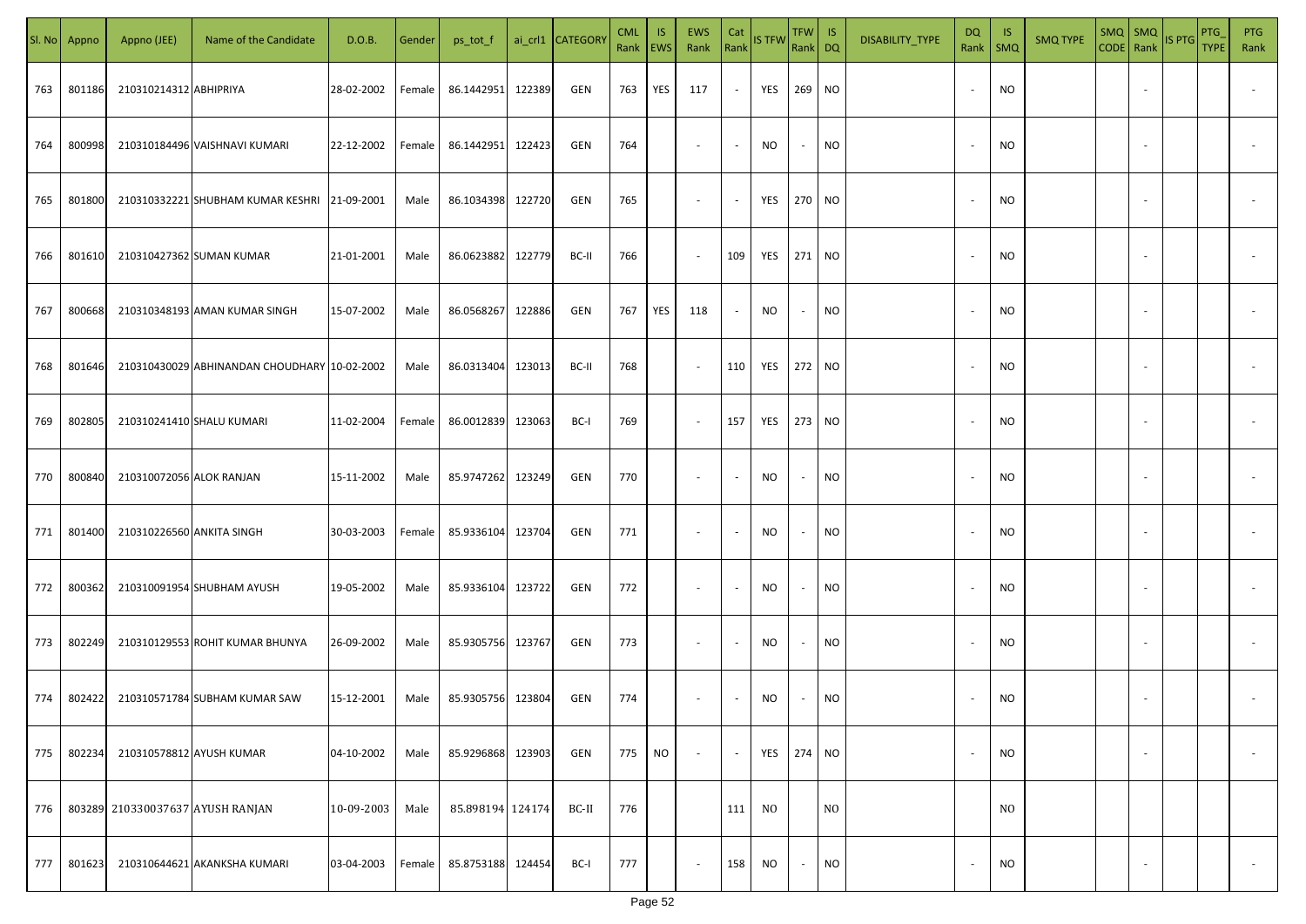|     | Sl. No Appno | Appno (JEE)                      | Name of the Candidate                        | D.O.B.     | Gender | ps_tot_f          |        | ai_crl1 CATEGORY | <b>CML</b><br>Rank EWS | IS.       | <b>EWS</b><br>Rank       | Cat<br>Rank              | <b>IS TFW</b>  | TFW IS<br>Rank DQ        |                | DISABILITY_TYPE | <b>DQ</b> | - IS<br>Rank   SMQ | <b>SMQ TYPE</b> | SMQ   SMQ                | CODE Rank IS PTG | <b>PTG</b><br><b>TYPE</b> | <b>PTG</b><br>Rank       |
|-----|--------------|----------------------------------|----------------------------------------------|------------|--------|-------------------|--------|------------------|------------------------|-----------|--------------------------|--------------------------|----------------|--------------------------|----------------|-----------------|-----------|--------------------|-----------------|--------------------------|------------------|---------------------------|--------------------------|
| 763 | 801186       | 210310214312 ABHIPRIYA           |                                              | 28-02-2002 | Female | 86.1442951        | 122389 | GEN              | 763                    | YES       | 117                      | $\sim$                   | YES 269 NO     |                          |                |                 |           | <b>NO</b>          |                 |                          |                  |                           |                          |
| 764 | 800998       |                                  | 210310184496 VAISHNAVI KUMARI                | 22-12-2002 | Female | 86.1442951        | 122423 | GEN              | 764                    |           | $\sim$                   | $\sim$                   | <b>NO</b>      | $\sim$                   | <b>NO</b>      |                 |           | <b>NO</b>          |                 |                          |                  |                           |                          |
| 765 | 801800       |                                  | 210310332221 SHUBHAM KUMAR KESHRI 21-09-2001 |            | Male   | 86.1034398        | 122720 | GEN              | 765                    |           | $\overline{\phantom{a}}$ | $\sim$                   | YES            | 270 NO                   |                |                 |           | <b>NO</b>          |                 |                          |                  |                           |                          |
| 766 | 801610       |                                  | 210310427362 SUMAN KUMAR                     | 21-01-2001 | Male   | 86.0623882        | 122779 | BC-II            | 766                    |           | $\overline{\phantom{a}}$ | 109                      | YES 271 NO     |                          |                |                 |           | <b>NO</b>          |                 |                          |                  |                           |                          |
| 767 | 800668       |                                  | 210310348193 AMAN KUMAR SINGH                | 15-07-2002 | Male   | 86.0568267        | 122886 | GEN              | 767                    | YES       | 118                      | $\sim$                   | NO             | $\sim$                   | <b>NO</b>      |                 |           | <b>NO</b>          |                 |                          |                  |                           |                          |
| 768 | 801646       |                                  | 210310430029 ABHINANDAN CHOUDHARY 10-02-2002 |            | Male   | 86.0313404        | 123013 | BC-II            | 768                    |           | $\overline{\phantom{a}}$ | 110                      | YES            | 272 NO                   |                |                 |           | <b>NO</b>          |                 |                          |                  |                           |                          |
| 769 | 802805       | 210310241410 SHALU KUMARI        |                                              | 11-02-2004 | Female | 86.0012839        | 123063 | BC-I             | 769                    |           | $\overline{\phantom{a}}$ | 157                      | YES            | 273 NO                   |                |                 |           | <b>NO</b>          |                 |                          |                  |                           |                          |
| 770 | 800840       | 210310072056 ALOK RANJAN         |                                              | 15-11-2002 | Male   | 85.9747262        | 123249 | GEN              | 770                    |           | $\overline{\phantom{a}}$ | $\overline{\phantom{a}}$ | NO             | $\overline{\phantom{a}}$ | <b>NO</b>      |                 |           | <b>NO</b>          |                 |                          |                  |                           |                          |
| 771 | 801400       | 210310226560 ANKITA SINGH        |                                              | 30-03-2003 | Female | 85.9336104        | 123704 | GEN              | 771                    |           | $\overline{\phantom{a}}$ | $\overline{\phantom{a}}$ | NO             | $\overline{\phantom{a}}$ | <b>NO</b>      |                 |           | NO                 |                 |                          |                  |                           |                          |
| 772 | 800362       |                                  | 210310091954 SHUBHAM AYUSH                   | 19-05-2002 | Male   | 85.9336104        | 123722 | GEN              | 772                    |           | $\sim$                   | $\sim$                   | NO             | $\overline{\phantom{a}}$ | <b>NO</b>      |                 |           | <b>NO</b>          |                 |                          |                  |                           |                          |
| 773 | 802249       |                                  | 210310129553 ROHIT KUMAR BHUNYA              | 26-09-2002 | Male   | 85.9305756 123767 |        | GEN              | 773                    |           | $\sim$                   | $\sim$                   | <b>NO</b>      | $\overline{\phantom{a}}$ | <b>NO</b>      |                 |           | <b>NO</b>          |                 |                          |                  |                           |                          |
| 774 | 802422       |                                  | 210310571784 SUBHAM KUMAR SAW                | 15-12-2001 | Male   | 85.9305756 123804 |        | GEN              | 774                    |           | $\overline{\phantom{a}}$ | $\overline{\phantom{a}}$ | NO             |                          | <b>NO</b>      |                 |           | <b>NO</b>          |                 |                          |                  |                           |                          |
| 775 | 802234       | 210310578812 AYUSH KUMAR         |                                              | 04-10-2002 | Male   | 85.9296868        | 123903 | GEN              | 775                    | <b>NO</b> | $\overline{\phantom{a}}$ | $\blacksquare$           | YES            | 274 NO                   |                |                 |           | <b>NO</b>          |                 | $\overline{\phantom{a}}$ |                  |                           | $\overline{\phantom{a}}$ |
| 776 |              | 803289 210330037637 AYUSH RANJAN |                                              | 10-09-2003 | Male   | 85.898194 124174  |        | BC-II            | 776                    |           |                          | 111                      | N <sub>O</sub> |                          | N <sub>O</sub> |                 |           | N <sub>O</sub>     |                 |                          |                  |                           |                          |
| 777 | 801623       |                                  | 210310644621 AKANKSHA KUMARI                 | 03-04-2003 | Female | 85.8753188 124454 |        | BC-I             | 777                    |           | $\overline{\phantom{a}}$ | 158                      | <b>NO</b>      | $\overline{\phantom{a}}$ | <b>NO</b>      |                 |           | <b>NO</b>          |                 |                          |                  |                           | $\sim$                   |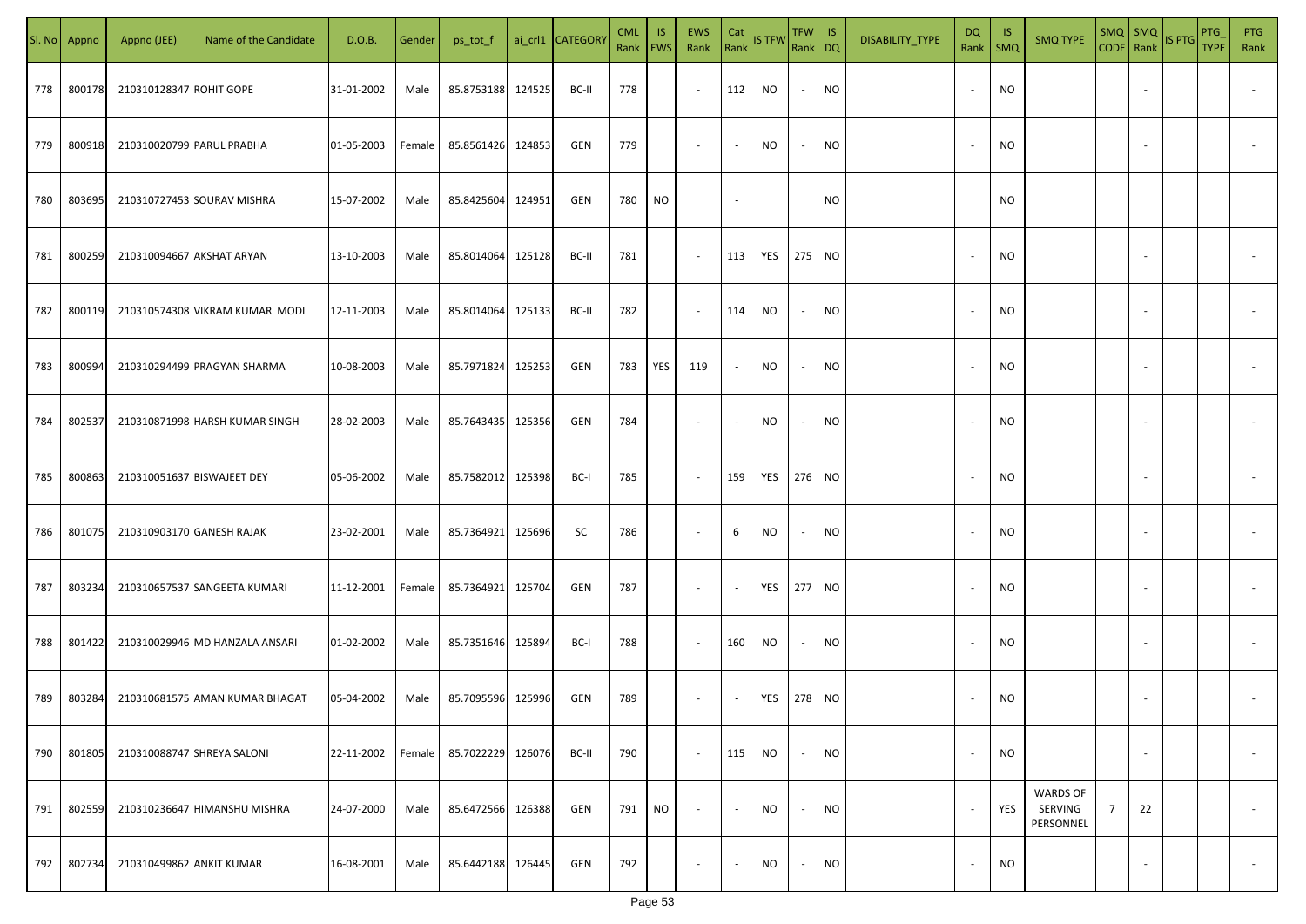| SI. No | Appno  | Appno (JEE)              | Name of the Candidate          | D.O.B.     | Gender | ps_tot_f          |        | ai_crl1 CATEGORY | <b>CML</b><br>Rank EWS | -IS       | EWS<br>Rank | Cat                      | Rank IS TFW | $TFW$ IS<br>Rank DQ |           | DISABILITY_TYPE | DQ<br>Rank   SMQ         | <b>IS</b> | <b>SMQ TYPE</b>                         | $SMQ$ $SMQ$    |                          | CODE Rank IS PTG | PTG<br><b>TYPE</b> | <b>PTG</b><br>Rank |
|--------|--------|--------------------------|--------------------------------|------------|--------|-------------------|--------|------------------|------------------------|-----------|-------------|--------------------------|-------------|---------------------|-----------|-----------------|--------------------------|-----------|-----------------------------------------|----------------|--------------------------|------------------|--------------------|--------------------|
| 778    | 800178 | 210310128347 ROHIT GOPE  |                                | 31-01-2002 | Male   | 85.8753188        | 124525 | BC-II            | 778                    |           | $\sim$      | 112                      | NO          | $\sim$              | <b>NO</b> |                 | $\overline{\phantom{a}}$ | <b>NO</b> |                                         |                |                          |                  |                    |                    |
| 779    | 800918 |                          | 210310020799 PARUL PRABHA      | 01-05-2003 | Female | 85.8561426        | 124853 | <b>GEN</b>       | 779                    |           | $\sim$      | $\overline{\phantom{a}}$ | NO          | $\sim$              | <b>NO</b> |                 | $\overline{\phantom{a}}$ | NO.       |                                         |                |                          |                  |                    |                    |
| 780    | 803695 |                          | 210310727453 SOURAV MISHRA     | 15-07-2002 | Male   | 85.8425604        | 124951 | <b>GEN</b>       | 780                    | NO        |             | $\sim$                   |             |                     | NO.       |                 |                          | NO.       |                                         |                |                          |                  |                    |                    |
| 781    | 800259 |                          | 210310094667 AKSHAT ARYAN      | 13-10-2003 | Male   | 85.8014064        | 125128 | BC-II            | 781                    |           | $\sim$      | 113                      | YES         | 275 NO              |           |                 |                          | NO.       |                                         |                |                          |                  |                    |                    |
| 782    | 800119 |                          | 210310574308 VIKRAM KUMAR MODI | 12-11-2003 | Male   | 85.8014064        | 125133 | BC-II            | 782                    |           | $\sim$      | 114                      | NO          | $\sim$              | <b>NO</b> |                 |                          | NO.       |                                         |                |                          |                  |                    |                    |
| 783    | 800994 |                          | 210310294499 PRAGYAN SHARMA    | 10-08-2003 | Male   | 85.7971824        | 125253 | <b>GEN</b>       | 783                    | YES       | 119         | $\overline{\phantom{a}}$ | NO          | $\sim$              | <b>NO</b> |                 |                          | NO.       |                                         |                |                          |                  |                    |                    |
| 784    | 802537 |                          | 210310871998 HARSH KUMAR SINGH | 28-02-2003 | Male   | 85.7643435        | 125356 | <b>GEN</b>       | 784                    |           | $\sim$      | $\overline{\phantom{a}}$ | NO.         | $\sim$              | <b>NO</b> |                 |                          | NO.       |                                         |                |                          |                  |                    |                    |
| 785    | 800863 |                          | 210310051637 BISWAJEET DEY     | 05-06-2002 | Male   | 85.7582012        | 125398 | BC-I             | 785                    |           | $\sim$      | 159                      | YES         | 276 NO              |           |                 |                          | NO.       |                                         |                |                          |                  |                    |                    |
| 786    | 801075 |                          | 210310903170 GANESH RAJAK      | 23-02-2001 | Male   | 85.7364921        | 125696 | SC               | 786                    |           | $\sim$      | 6                        | NO          | $\sim$              | <b>NO</b> |                 |                          | NO.       |                                         |                |                          |                  |                    |                    |
| 787    | 803234 |                          | 210310657537 SANGEETA KUMARI   | 11-12-2001 | Female | 85.7364921        | 125704 | GEN              | 787                    |           | $\sim$      |                          | YES         | 277                 | <b>NO</b> |                 |                          | <b>NO</b> |                                         |                |                          |                  |                    |                    |
| 788    | 801422 |                          | 210310029946 MD HANZALA ANSARI | 01-02-2002 | Male   | 85.7351646        | 125894 | BC-I             | 788                    |           | $\sim$      | 160                      | NO          | $\sim$              | <b>NO</b> |                 |                          | <b>NO</b> |                                         |                |                          |                  |                    |                    |
| 789    | 803284 |                          | 210310681575 AMAN KUMAR BHAGAT | 05-04-2002 | Male   | 85.7095596 125996 |        | <b>GEN</b>       | 789                    |           | $\sim$      | $\sim$                   | YES         | 278 NO              |           |                 |                          | NO        |                                         |                |                          |                  |                    |                    |
| 790    | 801805 |                          | 210310088747 SHREYA SALONI     | 22-11-2002 | Female | 85.7022229        | 126076 | BC-II            | 790                    |           | $\sim$      | 115                      | <b>NO</b>   | $\sim$              | <b>NO</b> |                 | $\overline{\phantom{a}}$ | <b>NO</b> |                                         |                | $\sim$                   |                  |                    | $\sim$             |
| 791    | 802559 |                          | 210310236647 HIMANSHU MISHRA   | 24-07-2000 | Male   | 85.6472566        | 126388 | GEN              | 791                    | <b>NO</b> | $\sim$      | $\sim$                   | <b>NO</b>   | $\sim$              | <b>NO</b> |                 | $\overline{\phantom{a}}$ | YES       | <b>WARDS OF</b><br>SERVING<br>PERSONNEL | $\overline{7}$ | 22                       |                  |                    | $\sim$             |
| 792    | 802734 | 210310499862 ANKIT KUMAR |                                | 16-08-2001 | Male   | 85.6442188        | 126445 | GEN              | 792                    |           | $\sim$      | $\overline{\phantom{a}}$ | NO          | $\sim$              | <b>NO</b> |                 |                          | <b>NO</b> |                                         |                | $\overline{\phantom{a}}$ |                  |                    | $\sim$             |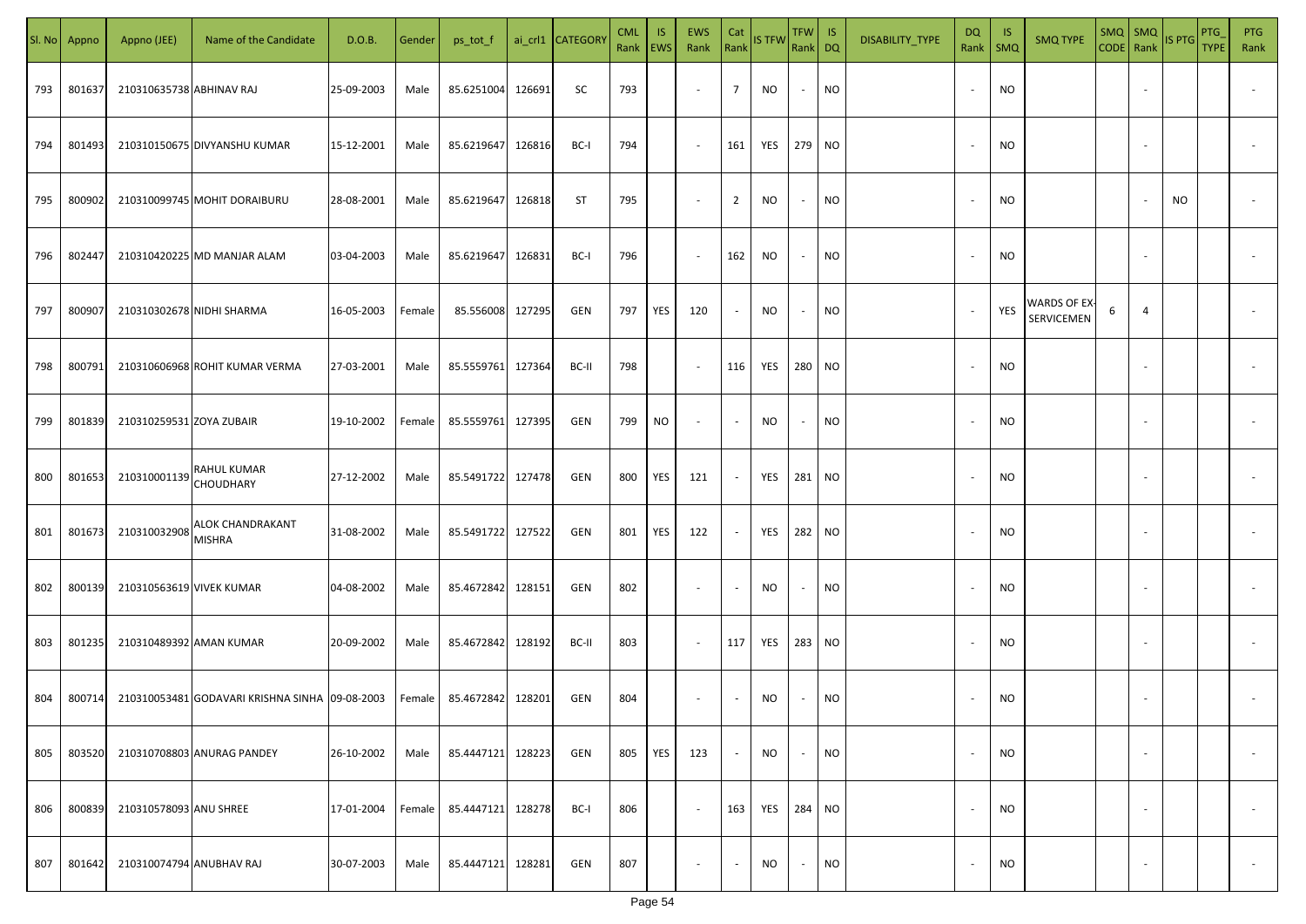| SI. No | Appno  | Appno (JEE)              | Name of the Candidate                          | D.O.B.     | Gender | ps_tot_f          |        | ai_crl1 CATEGORY | <b>CML</b><br>Rank EWS | IS. | <b>EWS</b><br>Rank       | Cat<br>Rank              | <b>IS TFW</b> | TFW IS<br>Rank DQ |           | DISABILITY_TYPE | DQ<br>Rank               | -IS<br>$\mathsf{SMQ}$ | <b>SMQ TYPE</b>            | $SMQ$ $SMQ$<br>CODE Rank IS PTG |                          |    | <b>PTG</b><br><b>TYPE</b> | <b>PTG</b><br>Rank       |
|--------|--------|--------------------------|------------------------------------------------|------------|--------|-------------------|--------|------------------|------------------------|-----|--------------------------|--------------------------|---------------|-------------------|-----------|-----------------|--------------------------|-----------------------|----------------------------|---------------------------------|--------------------------|----|---------------------------|--------------------------|
| 793    | 801637 | 210310635738 ABHINAV RAJ |                                                | 25-09-2003 | Male   | 85.6251004        | 126691 | SC               | 793                    |     | $\sim$                   | $\overline{7}$           | NO            | $\sim$            | <b>NO</b> |                 |                          | <b>NO</b>             |                            |                                 |                          |    |                           |                          |
| 794    | 801493 |                          | 210310150675 DIVYANSHU KUMAR                   | 15-12-2001 | Male   | 85.6219647        | 126816 | BC-I             | 794                    |     | $\sim$                   | 161                      | YES           | 279 NO            |           |                 |                          | <b>NO</b>             |                            |                                 |                          |    |                           |                          |
| 795    | 800902 |                          | 210310099745 MOHIT DORAIBURU                   | 28-08-2001 | Male   | 85.6219647        | 126818 | <b>ST</b>        | 795                    |     | $\overline{\phantom{a}}$ | $\overline{2}$           | <b>NO</b>     | $\sim$            | <b>NO</b> |                 |                          | <b>NO</b>             |                            |                                 |                          | NO |                           |                          |
| 796    | 802447 |                          | 210310420225 MD MANJAR ALAM                    | 03-04-2003 | Male   | 85.6219647        | 126831 | BC-I             | 796                    |     | $\sim$                   | 162                      | NO            | $\sim$            | <b>NO</b> |                 |                          | <b>NO</b>             |                            |                                 |                          |    |                           |                          |
| 797    | 800907 |                          | 210310302678 NIDHI SHARMA                      | 16-05-2003 | Female | 85.556008         | 127295 | GEN              | 797                    | YES | 120                      | $\sim$                   | NO            | $\sim$            | <b>NO</b> |                 |                          | YES                   | WARDS OF EX-<br>SERVICEMEN | 6                               | 4                        |    |                           |                          |
| 798    | 800791 |                          | 210310606968 ROHIT KUMAR VERMA                 | 27-03-2001 | Male   | 85.5559761        | 127364 | BC-II            | 798                    |     | $\overline{\phantom{a}}$ | 116                      | YES           | 280 NO            |           |                 |                          | <b>NO</b>             |                            |                                 |                          |    |                           |                          |
| 799    | 801839 | 210310259531 ZOYA ZUBAIR |                                                | 19-10-2002 | Female | 85.5559761        | 127395 | GEN              | 799                    | NO  | $\overline{\phantom{a}}$ | $\sim$                   | <b>NO</b>     | $\sim$            | <b>NO</b> |                 |                          | <b>NO</b>             |                            |                                 |                          |    |                           |                          |
| 800    | 801653 | 210310001139             | RAHUL KUMAR<br>CHOUDHARY                       | 27-12-2002 | Male   | 85.5491722        | 127478 | GEN              | 800                    | YES | 121                      | $\sim$                   | YES           | 281 NO            |           |                 |                          | <b>NO</b>             |                            |                                 |                          |    |                           |                          |
| 801    | 801673 | 210310032908 MISHRA      | <b>ALOK CHANDRAKANT</b>                        | 31-08-2002 | Male   | 85.5491722 127522 |        | GEN              | 801                    | YES | 122                      | $\sim$                   | YES           | 282 NO            |           |                 |                          | <b>NO</b>             |                            |                                 |                          |    |                           |                          |
| 802    | 800139 | 210310563619 VIVEK KUMAR |                                                | 04-08-2002 | Male   | 85.4672842        | 128151 | GEN              | 802                    |     | $\sim$                   | $\overline{\phantom{a}}$ | NO            | $\sim$            | <b>NO</b> |                 |                          | <b>NO</b>             |                            |                                 |                          |    |                           |                          |
| 803    | 801235 | 210310489392 AMAN KUMAR  |                                                | 20-09-2002 | Male   | 85.4672842 128192 |        | BC-II            | 803                    |     | $\sim$                   | 117                      | YES           | 283 NO            |           |                 |                          | <b>NO</b>             |                            |                                 |                          |    |                           |                          |
| 804    | 800714 |                          | 210310053481 GODAVARI KRISHNA SINHA 09-08-2003 |            | Female | 85.4672842        | 128201 | GEN              | 804                    |     | $\overline{\phantom{a}}$ | $\overline{\phantom{a}}$ | <b>NO</b>     | $\sim$            | <b>NO</b> |                 |                          | <b>NO</b>             |                            |                                 |                          |    |                           |                          |
| 805    | 803520 |                          | 210310708803 ANURAG PANDEY                     | 26-10-2002 | Male   | 85.4447121 128223 |        | GEN              | 805                    | YES | 123                      | $\sim$                   | <b>NO</b>     | $\sim$            | <b>NO</b> |                 | $\overline{\phantom{a}}$ | <b>NO</b>             |                            |                                 | $\overline{\phantom{a}}$ |    |                           | $\overline{\phantom{a}}$ |
| 806    | 800839 | 210310578093 ANU SHREE   |                                                | 17-01-2004 | Female | 85.4447121        | 128278 | BC-I             | 806                    |     | $\sim$                   | 163                      | YES           | 284 NO            |           |                 | $\overline{\phantom{a}}$ | <b>NO</b>             |                            |                                 | $\overline{\phantom{a}}$ |    |                           | $\overline{\phantom{a}}$ |
| 807    | 801642 | 210310074794 ANUBHAV RAJ |                                                | 30-07-2003 | Male   | 85.4447121        | 128281 | GEN              | 807                    |     | $\overline{\phantom{a}}$ | $\blacksquare$           | NO            | $\sim$            | <b>NO</b> |                 |                          | <b>NO</b>             |                            |                                 | $\sim$                   |    |                           | $\sim$                   |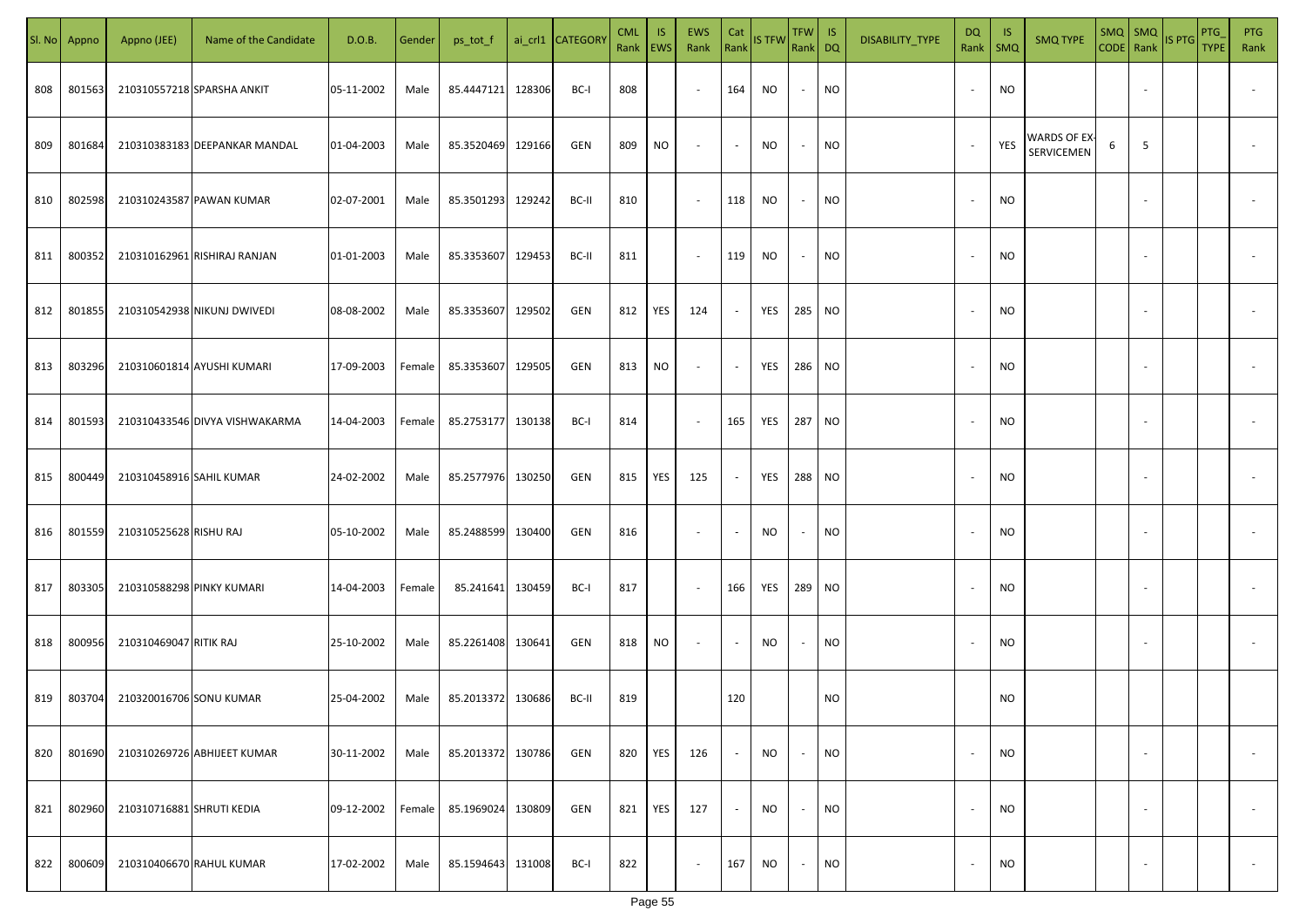| SI. No. | Appno  | Appno (JEE)               | Name of the Candidate          | D.O.B.     | Gender | ps_tot_f          |        | ai_crl1 CATEGORY | <b>CML</b><br>Rank   EWS | IS. | <b>EWS</b><br>Rank       | Cat<br>Rank              | <b>IS TFW</b> | $TFW$ IS<br>Rank DQ      |           | DISABILITY_TYPE | DQ                       | -IS<br>Rank   SMQ | <b>SMQ TYPE</b>            |   |                          | $\begin{array}{ c c c c }\n\hline\n\text{SMQ} & \text{SMQ} \\ \hline\n\text{CODE} & \text{Rank}\n\end{array}$ IS PTG | PTG<br><b>TYPE</b> | <b>PTG</b><br>Rank       |
|---------|--------|---------------------------|--------------------------------|------------|--------|-------------------|--------|------------------|--------------------------|-----|--------------------------|--------------------------|---------------|--------------------------|-----------|-----------------|--------------------------|-------------------|----------------------------|---|--------------------------|----------------------------------------------------------------------------------------------------------------------|--------------------|--------------------------|
| 808     | 801563 |                           | 210310557218 SPARSHA ANKIT     | 05-11-2002 | Male   | 85.4447121        | 128306 | BC-I             | 808                      |     | $\sim$                   | 164                      | NO            | $\sim$                   | <b>NO</b> |                 |                          | <b>NO</b>         |                            |   |                          |                                                                                                                      |                    |                          |
| 809     | 801684 |                           | 210310383183 DEEPANKAR MANDAL  | 01-04-2003 | Male   | 85.3520469        | 129166 | GEN              | 809                      | NO  | $\sim$                   | $\sim$                   | NO            | $\overline{\phantom{a}}$ | <b>NO</b> |                 |                          | YES               | WARDS OF EX-<br>SERVICEMEN | 6 | 5                        |                                                                                                                      |                    |                          |
| 810     | 802598 |                           | 210310243587 PAWAN KUMAR       | 02-07-2001 | Male   | 85.3501293        | 129242 | BC-II            | 810                      |     | $\sim$                   | 118                      | NO            | $\sim$                   | <b>NO</b> |                 | $\overline{\phantom{a}}$ | <b>NO</b>         |                            |   |                          |                                                                                                                      |                    |                          |
| 811     | 800352 |                           | 210310162961 RISHIRAJ RANJAN   | 01-01-2003 | Male   | 85.3353607        | 129453 | BC-II            | 811                      |     | $\sim$                   | 119                      | NO            | $\overline{\phantom{a}}$ | <b>NO</b> |                 | $\sim$                   | <b>NO</b>         |                            |   |                          |                                                                                                                      |                    |                          |
| 812     | 801855 |                           | 210310542938 NIKUNJ DWIVEDI    | 08-08-2002 | Male   | 85.3353607        | 129502 | GEN              | 812                      | YES | 124                      | $\overline{\phantom{a}}$ | YES           | 285 NO                   |           |                 | $\sim$                   | <b>NO</b>         |                            |   |                          |                                                                                                                      |                    |                          |
| 813     | 803296 |                           | 210310601814 AYUSHI KUMARI     | 17-09-2003 | Female | 85.3353607        | 129505 | GEN              | 813                      | NO  | $\overline{\phantom{a}}$ | $\overline{\phantom{a}}$ | YES           | 286 NO                   |           |                 |                          | <b>NO</b>         |                            |   |                          |                                                                                                                      |                    |                          |
| 814     | 801593 |                           | 210310433546 DIVYA VISHWAKARMA | 14-04-2003 | Female | 85.2753177 130138 |        | BC-I             | 814                      |     | $\overline{\phantom{a}}$ | 165                      | YES           | 287 NO                   |           |                 |                          | <b>NO</b>         |                            |   |                          |                                                                                                                      |                    |                          |
| 815     | 800449 | 210310458916 SAHIL KUMAR  |                                | 24-02-2002 | Male   | 85.2577976        | 130250 | GEN              | 815                      | YES | 125                      | $\sim$                   | YES           | 288 NO                   |           |                 |                          | <b>NO</b>         |                            |   |                          |                                                                                                                      |                    |                          |
| 816     | 801559 | 210310525628 RISHU RAJ    |                                | 05-10-2002 | Male   | 85.2488599        | 130400 | GEN              | 816                      |     | $\overline{\phantom{a}}$ | $\overline{\phantom{a}}$ | NO            | $\overline{\phantom{a}}$ | <b>NO</b> |                 |                          | <b>NO</b>         |                            |   |                          |                                                                                                                      |                    |                          |
| 817     | 803305 | 210310588298 PINKY KUMARI |                                | 14-04-2003 | Female | 85.241641         | 130459 | BC-I             | 817                      |     | $\sim$                   | 166                      | YES           | 289 NO                   |           |                 |                          | <b>NO</b>         |                            |   |                          |                                                                                                                      |                    |                          |
| 818     | 800956 | 210310469047 RITIK RAJ    |                                | 25-10-2002 | Male   | 85.2261408        | 130641 | GEN              | 818                      | NO  | $\sim$                   | $\sim$                   | NO            | $\overline{\phantom{a}}$ | <b>NO</b> |                 |                          | <b>NO</b>         |                            |   |                          |                                                                                                                      |                    |                          |
| 819     | 803704 | 210320016706 SONU KUMAR   |                                | 25-04-2002 | Male   | 85.2013372 130686 |        | BC-II            | 819                      |     |                          | 120                      |               |                          | <b>NO</b> |                 |                          | <b>NO</b>         |                            |   |                          |                                                                                                                      |                    |                          |
| 820     | 801690 |                           | 210310269726 ABHIJEET KUMAR    | 30-11-2002 | Male   | 85.2013372        | 130786 | GEN              | 820                      | YES | 126                      | $\overline{\phantom{a}}$ | <b>NO</b>     | $\overline{\phantom{a}}$ | <b>NO</b> |                 |                          | <b>NO</b>         |                            |   | $\overline{\phantom{a}}$ |                                                                                                                      |                    | $\overline{\phantom{a}}$ |
| 821     | 802960 | 210310716881 SHRUTI KEDIA |                                | 09-12-2002 | Female | 85.1969024        | 130809 | GEN              | 821                      | YES | 127                      | $\blacksquare$           | <b>NO</b>     | $\sim$                   | <b>NO</b> |                 | $\overline{\phantom{a}}$ | <b>NO</b>         |                            |   | $\overline{\phantom{a}}$ |                                                                                                                      |                    | $\overline{\phantom{a}}$ |
| 822     | 800609 |                           | 210310406670 RAHUL KUMAR       | 17-02-2002 | Male   | 85.1594643        | 131008 | BC-I             | 822                      |     | $\overline{\phantom{a}}$ | 167                      | <b>NO</b>     | $\sim$                   | <b>NO</b> |                 |                          | <b>NO</b>         |                            |   |                          |                                                                                                                      |                    | $\sim$                   |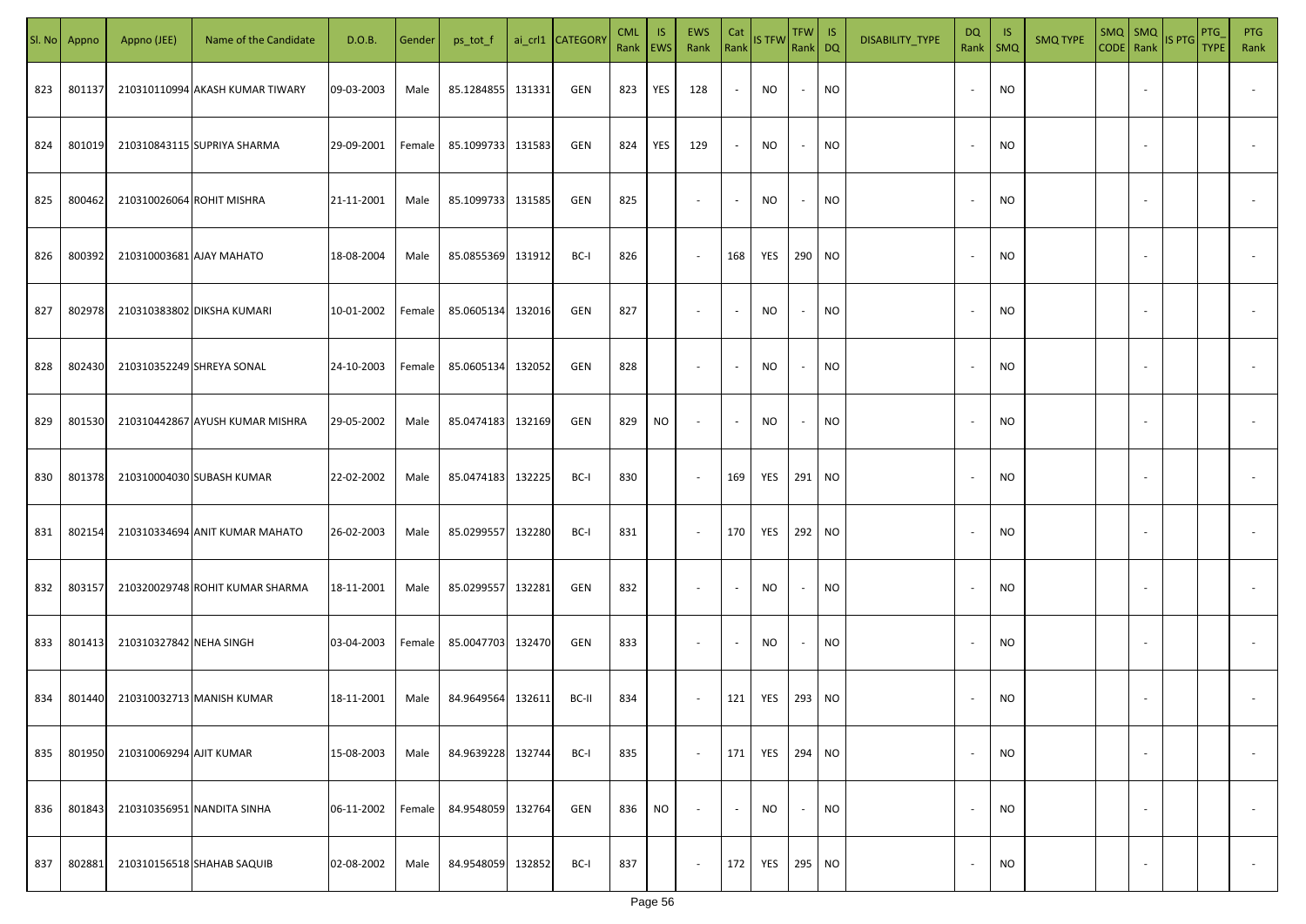|     | Sl. No Appno | Appno (JEE)               | Name of the Candidate           | D.O.B.     | Gender | ps_tot_f          |        | ai_crl1 CATEGORY | <b>CML</b><br>Rank EWS | IS. | <b>EWS</b><br>Rank       | Cat<br>Rank              | <b>IS TFW</b> | $TFW$ IS<br>Rank DQ      |           | DISABILITY_TYPE | <b>DQ</b> | -IS<br>Rank   SMQ | <b>SMQ TYPE</b> |                          | SMQ SMQ<br>CODE Rank IS PTG | <b>PTG</b><br><b>TYPE</b> | <b>PTG</b><br>Rank       |
|-----|--------------|---------------------------|---------------------------------|------------|--------|-------------------|--------|------------------|------------------------|-----|--------------------------|--------------------------|---------------|--------------------------|-----------|-----------------|-----------|-------------------|-----------------|--------------------------|-----------------------------|---------------------------|--------------------------|
| 823 | 801137       |                           | 210310110994 AKASH KUMAR TIWARY | 09-03-2003 | Male   | 85.1284855        | 131331 | GEN              | 823                    | YES | 128                      | $\sim$                   | NO            | $\sim$                   | <b>NO</b> |                 |           | <b>NO</b>         |                 |                          |                             |                           |                          |
| 824 | 801019       |                           | 210310843115 SUPRIYA SHARMA     | 29-09-2001 | Female | 85.1099733 131583 |        | GEN              | 824                    | YES | 129                      | $\sim$                   | NO            | $\sim$                   | <b>NO</b> |                 |           | <b>NO</b>         |                 |                          |                             |                           |                          |
| 825 | 800462       | 210310026064 ROHIT MISHRA |                                 | 21-11-2001 | Male   | 85.1099733 131585 |        | GEN              | 825                    |     | $\overline{\phantom{a}}$ | $\overline{\phantom{a}}$ | NO            | $\overline{\phantom{a}}$ | <b>NO</b> |                 |           | <b>NO</b>         |                 |                          |                             |                           |                          |
| 826 | 800392       | 210310003681 AJAY MAHATO  |                                 | 18-08-2004 | Male   | 85.0855369 131912 |        | BC-I             | 826                    |     | $\overline{\phantom{a}}$ | 168                      | YES           | 290 NO                   |           |                 |           | <b>NO</b>         |                 |                          |                             |                           |                          |
| 827 | 802978       |                           | 210310383802 DIKSHA KUMARI      | 10-01-2002 | Female | 85.0605134        | 132016 | GEN              | 827                    |     | $\overline{\phantom{a}}$ | $\overline{\phantom{a}}$ | NO            | $\overline{\phantom{a}}$ | <b>NO</b> |                 |           | <b>NO</b>         |                 |                          |                             |                           |                          |
| 828 | 802430       |                           | 210310352249 SHREYA SONAL       | 24-10-2003 | Female | 85.0605134        | 132052 | GEN              | 828                    |     | $\overline{\phantom{a}}$ | $\overline{\phantom{a}}$ | NO            | $\sim$                   | <b>NO</b> |                 |           | <b>NO</b>         |                 |                          |                             |                           |                          |
| 829 | 801530       |                           | 210310442867 AYUSH KUMAR MISHRA | 29-05-2002 | Male   | 85.0474183        | 132169 | GEN              | 829                    | NO  | $\overline{\phantom{a}}$ | $\overline{\phantom{a}}$ | NO            | $\overline{\phantom{a}}$ | <b>NO</b> |                 |           | <b>NO</b>         |                 |                          |                             |                           |                          |
| 830 | 801378       |                           | 210310004030 SUBASH KUMAR       | 22-02-2002 | Male   | 85.0474183        | 132225 | BC-I             | 830                    |     | $\sim$                   | 169                      | YES           | 291 NO                   |           |                 |           | <b>NO</b>         |                 |                          |                             |                           |                          |
| 831 | 802154       |                           | 210310334694 ANIT KUMAR MAHATO  | 26-02-2003 | Male   | 85.0299557        | 132280 | BC-I             | 831                    |     | $\sim$                   | 170                      | YES           | 292 NO                   |           |                 |           | NO                |                 |                          |                             |                           |                          |
| 832 | 803157       |                           | 210320029748 ROHIT KUMAR SHARMA | 18-11-2001 | Male   | 85.0299557        | 132281 | GEN              | 832                    |     | $\sim$                   | $\sim$                   | NO            | $\overline{\phantom{a}}$ | <b>NO</b> |                 |           | <b>NO</b>         |                 |                          |                             |                           |                          |
| 833 | 801413       | 210310327842 NEHA SINGH   |                                 | 03-04-2003 | Female | 85.0047703 132470 |        | GEN              | 833                    |     | $\sim$                   | $\overline{\phantom{a}}$ | <b>NO</b>     | $\overline{\phantom{a}}$ | <b>NO</b> |                 |           | <b>NO</b>         |                 |                          |                             |                           |                          |
| 834 | 801440       |                           | 210310032713 MANISH KUMAR       | 18-11-2001 | Male   | 84.9649564        | 132611 | BC-II            | 834                    |     | $\overline{\phantom{a}}$ | 121                      | YES           | 293 NO                   |           |                 |           | <b>NO</b>         |                 |                          |                             |                           |                          |
| 835 | 801950       | 210310069294 AJIT KUMAR   |                                 | 15-08-2003 | Male   | 84.9639228        | 132744 | BC-I             | 835                    |     | $\sim$                   | 171                      | YES           | 294 NO                   |           |                 |           | <b>NO</b>         |                 | $\overline{\phantom{a}}$ |                             |                           | $\overline{\phantom{a}}$ |
| 836 | 801843       |                           | 210310356951 NANDITA SINHA      | 06-11-2002 | Female | 84.9548059        | 132764 | GEN              | 836                    | NO. | $\overline{\phantom{a}}$ | $\blacksquare$           | <b>NO</b>     | $\overline{\phantom{a}}$ | <b>NO</b> |                 |           | <b>NO</b>         |                 | $\overline{\phantom{a}}$ |                             |                           | $\overline{\phantom{a}}$ |
| 837 | 802881       |                           | 210310156518 SHAHAB SAQUIB      | 02-08-2002 | Male   | 84.9548059        | 132852 | BC-I             | 837                    |     | $\sim$                   | 172                      | YES           | 295 NO                   |           |                 |           | <b>NO</b>         |                 | $\overline{\phantom{a}}$ |                             |                           | $\sim$                   |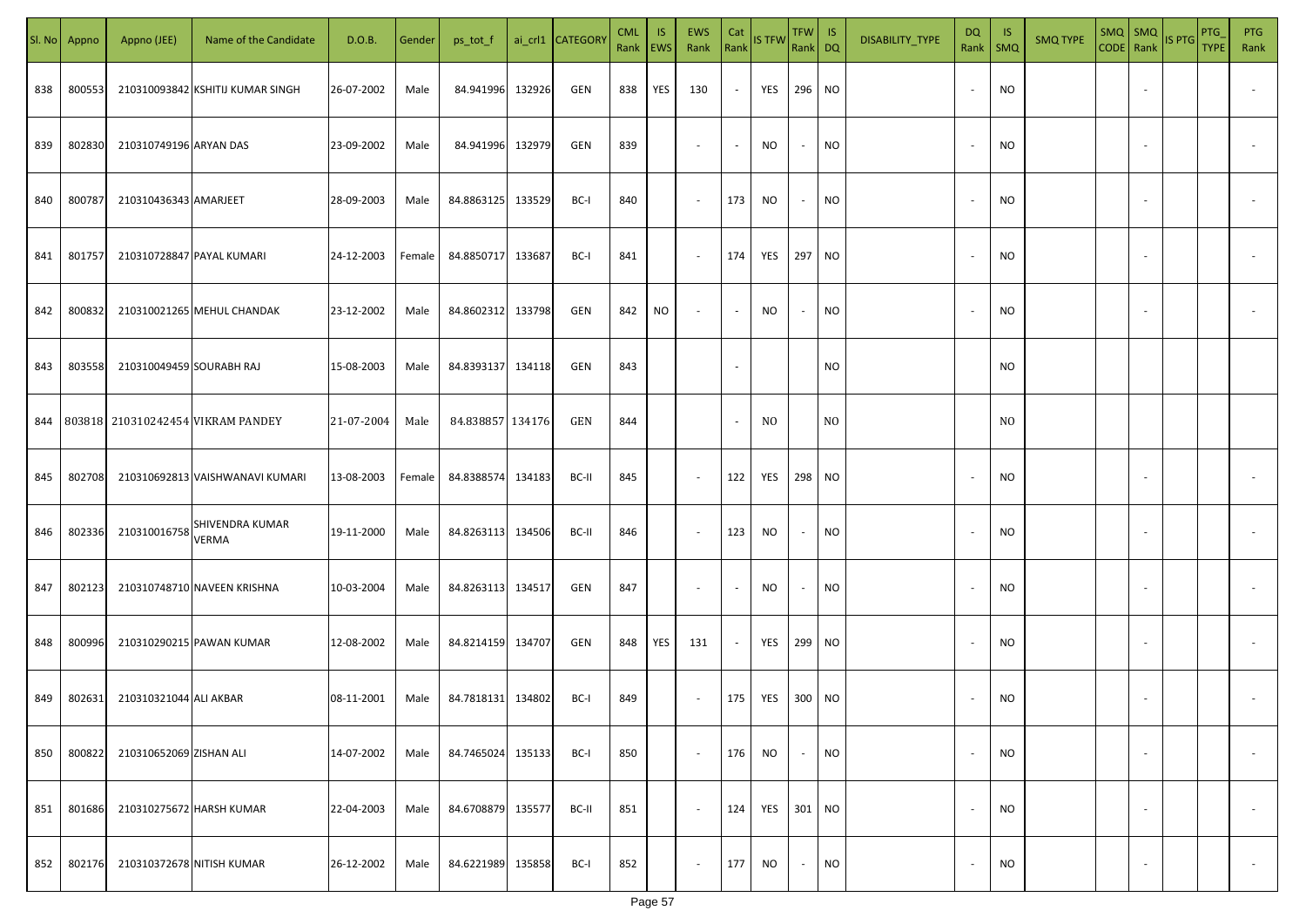| SI. No. | Appno  | Appno (JEE)              | Name of the Candidate                     | D.O.B.     | Gender | ps_tot_f          |        | ai_crl1 CATEGORY | <b>CML</b><br>Rank EWS | IS. | EWS<br>Rank              | Cat<br>Rank              | <b>IS TFW</b>  | $TFW$ IS<br>Rank DQ      |                | DISABILITY_TYPE | <b>DQ</b>                | - IS<br>Rank   SMQ | <b>SMQ TYPE</b> |                          | $\left \frac{\text{SMQ}}{\text{CODE}}\right \frac{\text{SMQ}}{\text{Rank}}\left \frac{\text{IS PTG}}{\text{B}}\right $ | PTG<br><b>TYPE</b> | <b>PTG</b><br>Rank       |
|---------|--------|--------------------------|-------------------------------------------|------------|--------|-------------------|--------|------------------|------------------------|-----|--------------------------|--------------------------|----------------|--------------------------|----------------|-----------------|--------------------------|--------------------|-----------------|--------------------------|------------------------------------------------------------------------------------------------------------------------|--------------------|--------------------------|
| 838     | 800553 |                          | 210310093842 KSHITIJ KUMAR SINGH          | 26-07-2002 | Male   | 84.941996         | 132926 | GEN              | 838                    | YES | 130                      | $\sim$                   | YES            | 296 NO                   |                |                 |                          | <b>NO</b>          |                 |                          |                                                                                                                        |                    |                          |
| 839     | 802830 | 210310749196 ARYAN DAS   |                                           | 23-09-2002 | Male   | 84.941996         | 132979 | GEN              | 839                    |     | $\sim$                   | $\sim$                   | NO             | $\sim$                   | <b>NO</b>      |                 | $\sim$                   | <b>NO</b>          |                 |                          |                                                                                                                        |                    |                          |
| 840     | 800787 | 210310436343 AMARJEET    |                                           | 28-09-2003 | Male   | 84.8863125 133529 |        | BC-I             | 840                    |     | $\sim$                   | 173                      | NO             | $\sim$                   | <b>NO</b>      |                 |                          | <b>NO</b>          |                 |                          |                                                                                                                        |                    |                          |
| 841     | 801757 |                          | 210310728847 PAYAL KUMARI                 | 24-12-2003 | Female | 84.8850717        | 133687 | BC-I             | 841                    |     | $\overline{\phantom{a}}$ | 174                      | YES            | 297 NO                   |                |                 |                          | NO                 |                 |                          |                                                                                                                        |                    |                          |
| 842     | 800832 |                          | 210310021265 MEHUL CHANDAK                | 23-12-2002 | Male   | 84.8602312        | 133798 | GEN              | 842                    | NO  | $\overline{\phantom{a}}$ | $\sim$                   | NO             | $\overline{\phantom{a}}$ | <b>NO</b>      |                 |                          | NO                 |                 |                          |                                                                                                                        |                    |                          |
| 843     | 803558 | 210310049459 SOURABH RAJ |                                           | 15-08-2003 | Male   | 84.8393137 134118 |        | GEN              | 843                    |     |                          | $\overline{\phantom{a}}$ |                |                          | <b>NO</b>      |                 |                          | <b>NO</b>          |                 |                          |                                                                                                                        |                    |                          |
|         |        |                          | 844   803818   210310242454 VIKRAM PANDEY | 21-07-2004 | Male   | 84.838857 134176  |        | GEN              | 844                    |     |                          | $\sim$                   | N <sub>0</sub> |                          | N <sub>O</sub> |                 |                          | N <sub>0</sub>     |                 |                          |                                                                                                                        |                    |                          |
| 845     | 802708 |                          | 210310692813 VAISHWANAVI KUMARI           | 13-08-2003 | Female | 84.8388574        | 134183 | BC-II            | 845                    |     | $\sim$                   | 122                      | YES            | 298 NO                   |                |                 |                          | <b>NO</b>          |                 |                          |                                                                                                                        |                    |                          |
| 846     | 802336 | 210310016758             | SHIVENDRA KUMAR<br><b>VERMA</b>           | 19-11-2000 | Male   | 84.8263113 134506 |        | BC-II            | 846                    |     | $\sim$                   | 123                      | <b>NO</b>      | $\sim$                   | <b>NO</b>      |                 |                          | NO                 |                 |                          |                                                                                                                        |                    |                          |
| 847     | 802123 |                          | 210310748710 NAVEEN KRISHNA               | 10-03-2004 | Male   | 84.8263113 134517 |        | GEN              | 847                    |     | $\sim$                   | $\sim$                   | NO             | $\sim$                   | <b>NO</b>      |                 |                          | <b>NO</b>          |                 |                          |                                                                                                                        |                    |                          |
| 848     | 800996 |                          | 210310290215 PAWAN KUMAR                  | 12-08-2002 | Male   | 84.8214159 134707 |        | GEN              | 848                    | YES | 131                      | $\sim$                   | YES            | 299 NO                   |                |                 |                          | <b>NO</b>          |                 |                          |                                                                                                                        |                    |                          |
| 849     | 802631 | 210310321044 ALI AKBAR   |                                           | 08-11-2001 | Male   | 84.7818131 134802 |        | BC-I             | 849                    |     | $\sim$                   | 175                      | YES            | 300 NO                   |                |                 |                          | <b>NO</b>          |                 |                          |                                                                                                                        |                    |                          |
| 850     | 800822 | 210310652069 ZISHAN ALI  |                                           | 14-07-2002 | Male   | 84.7465024        | 135133 | BC-I             | 850                    |     | $\blacksquare$           | 176                      | NO             | $\sim$                   | <b>NO</b>      |                 |                          | <b>NO</b>          |                 | $\overline{\phantom{a}}$ |                                                                                                                        |                    | $\overline{\phantom{a}}$ |
| 851     | 801686 |                          | 210310275672 HARSH KUMAR                  | 22-04-2003 | Male   | 84.6708879        | 135577 | BC-II            | 851                    |     | $\sim$                   | 124                      | YES            | 301 NO                   |                |                 | $\overline{\phantom{a}}$ | <b>NO</b>          |                 | $\overline{\phantom{a}}$ |                                                                                                                        |                    | $\overline{\phantom{a}}$ |
| 852     | 802176 |                          | 210310372678 NITISH KUMAR                 | 26-12-2002 | Male   | 84.6221989        | 135858 | BC-I             | 852                    |     | $\sim$                   | 177                      | <b>NO</b>      | $\sim$                   | <b>NO</b>      |                 |                          | <b>NO</b>          |                 | $\overline{\phantom{a}}$ |                                                                                                                        |                    | $\sim$                   |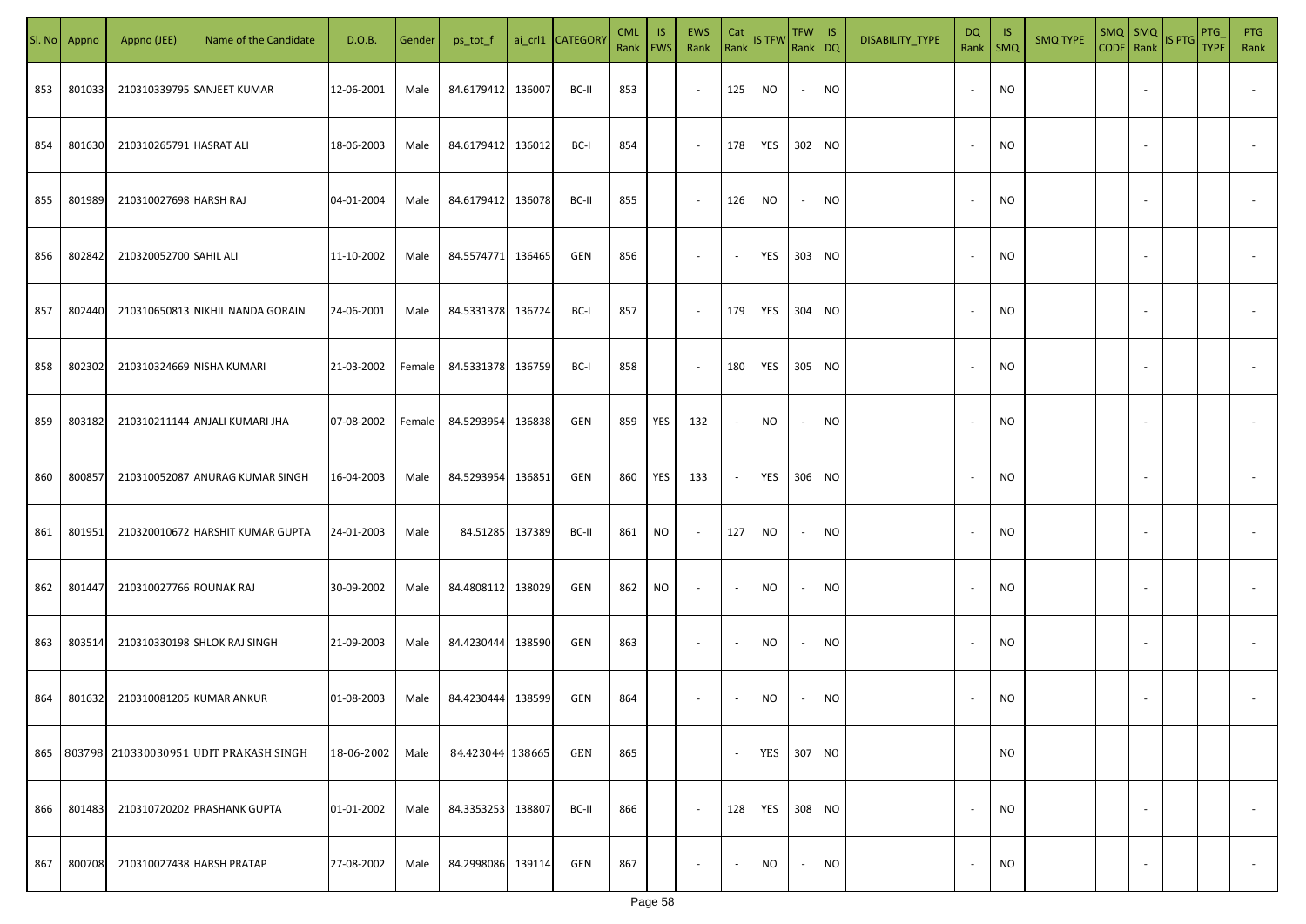| SI. No. | Appno  | Appno (JEE)               | Name of the Candidate                      | D.O.B.     | Gender | ps_tot_f          |        | ai_crl1 CATEGORY | <b>CML</b><br>Rank   EWS | IS. | <b>EWS</b><br>Rank       | Cat<br>Rank              | <b>IS TFW</b> | $TFW$ IS<br>Rank DQ |           | DISABILITY_TYPE | DQ | - IS<br>Rank   SMQ | <b>SMQ TYPE</b> |                          | $\left \frac{\text{SMQ}}{\text{CODE}}\right \frac{\text{SMQ}}{\text{Rank}}\left \frac{\text{IS PTG}}{\text{B}}\right $ | PTG<br><b>TYPE</b> | <b>PTG</b><br>Rank       |
|---------|--------|---------------------------|--------------------------------------------|------------|--------|-------------------|--------|------------------|--------------------------|-----|--------------------------|--------------------------|---------------|---------------------|-----------|-----------------|----|--------------------|-----------------|--------------------------|------------------------------------------------------------------------------------------------------------------------|--------------------|--------------------------|
| 853     | 801033 |                           | 210310339795 SANJEET KUMAR                 | 12-06-2001 | Male   | 84.6179412        | 136007 | BC-II            | 853                      |     | $\sim$                   | 125                      | <b>NO</b>     | $\sim$              | <b>NO</b> |                 |    | <b>NO</b>          |                 |                          |                                                                                                                        |                    |                          |
| 854     | 801630 | 210310265791 HASRAT ALI   |                                            | 18-06-2003 | Male   | 84.6179412        | 136012 | BC-I             | 854                      |     | $\sim$                   | 178                      | YES           | 302 NO              |           |                 |    | <b>NO</b>          |                 |                          |                                                                                                                        |                    |                          |
| 855     | 801989 | 210310027698 HARSH RAJ    |                                            | 04-01-2004 | Male   | 84.6179412        | 136078 | BC-II            | 855                      |     | $\sim$                   | 126                      | NO.           | $\sim$              | <b>NO</b> |                 |    | <b>NO</b>          |                 |                          |                                                                                                                        |                    |                          |
| 856     | 802842 | 210320052700 SAHIL ALI    |                                            | 11-10-2002 | Male   | 84.5574771 136465 |        | GEN              | 856                      |     | $\sim$                   | $\sim$                   | YES           | 303 NO              |           |                 |    | <b>NO</b>          |                 |                          |                                                                                                                        |                    |                          |
| 857     | 802440 |                           | 210310650813 NIKHIL NANDA GORAIN           | 24-06-2001 | Male   | 84.5331378 136724 |        | BC-I             | 857                      |     | $\sim$                   | 179                      | YES           | 304 NO              |           |                 |    | <b>NO</b>          |                 |                          |                                                                                                                        |                    |                          |
| 858     | 802302 | 210310324669 NISHA KUMARI |                                            | 21-03-2002 | Female | 84.5331378 136759 |        | BC-I             | 858                      |     | $\overline{\phantom{a}}$ | 180                      | YES           | 305 NO              |           |                 |    | <b>NO</b>          |                 |                          |                                                                                                                        |                    |                          |
| 859     | 803182 |                           | 210310211144 ANJALI KUMARI JHA             | 07-08-2002 | Female | 84.5293954        | 136838 | GEN              | 859                      | YES | 132                      | $\sim$                   | NO            | $\sim$              | <b>NO</b> |                 |    | <b>NO</b>          |                 |                          |                                                                                                                        |                    |                          |
| 860     | 800857 |                           | 210310052087 ANURAG KUMAR SINGH            | 16-04-2003 | Male   | 84.5293954        | 136851 | GEN              | 860                      | YES | 133                      | $\sim$                   | YES           | 306 NO              |           |                 |    | <b>NO</b>          |                 |                          |                                                                                                                        |                    |                          |
| 861     | 801951 |                           | 210320010672 HARSHIT KUMAR GUPTA           | 24-01-2003 | Male   | 84.51285 137389   |        | BC-II            | 861                      | NO  | $\overline{\phantom{a}}$ | 127                      | NO.           | $\sim$              | <b>NO</b> |                 |    | <b>NO</b>          |                 |                          |                                                                                                                        |                    |                          |
| 862     | 801447 | 210310027766 ROUNAK RAJ   |                                            | 30-09-2002 | Male   | 84.4808112        | 138029 | GEN              | 862                      | NO. | $\overline{\phantom{a}}$ | $\sim$                   | NO            | $\sim$              | <b>NO</b> |                 |    | <b>NO</b>          |                 |                          |                                                                                                                        |                    |                          |
| 863     | 803514 |                           | 210310330198 SHLOK RAJ SINGH               | 21-09-2003 | Male   | 84.4230444        | 138590 | GEN              | 863                      |     | $\overline{\phantom{a}}$ | $\overline{\phantom{a}}$ | NO            | $\sim$              | <b>NO</b> |                 |    | NO                 |                 |                          |                                                                                                                        |                    |                          |
| 864     | 801632 | 210310081205 KUMAR ANKUR  |                                            | 01-08-2003 | Male   | 84.4230444        | 138599 | GEN              | 864                      |     | $\sim$                   |                          | NO            |                     | <b>NO</b> |                 |    | <b>NO</b>          |                 |                          |                                                                                                                        |                    |                          |
|         |        |                           | 865 803798 210330030951 UDIT PRAKASH SINGH | 18-06-2002 | Male   | 84.423044 138665  |        | GEN              | 865                      |     |                          | $\overline{\phantom{a}}$ | YES 307 NO    |                     |           |                 |    | N <sub>O</sub>     |                 |                          |                                                                                                                        |                    |                          |
| 866     | 801483 |                           | 210310720202 PRASHANK GUPTA                | 01-01-2002 | Male   | 84.3353253        | 138807 | BC-II            | 866                      |     | $\sim$                   | 128                      | YES 308 NO    |                     |           |                 |    | <b>NO</b>          |                 | $\overline{\phantom{a}}$ |                                                                                                                        |                    | $\overline{\phantom{a}}$ |
| 867     | 800708 | 210310027438 HARSH PRATAP |                                            | 27-08-2002 | Male   | 84.2998086 139114 |        | GEN              | 867                      |     | $\overline{\phantom{a}}$ | $\sim$                   | NO            | $\sim$              | <b>NO</b> |                 |    | <b>NO</b>          |                 | $\overline{\phantom{a}}$ |                                                                                                                        |                    | $\sim$                   |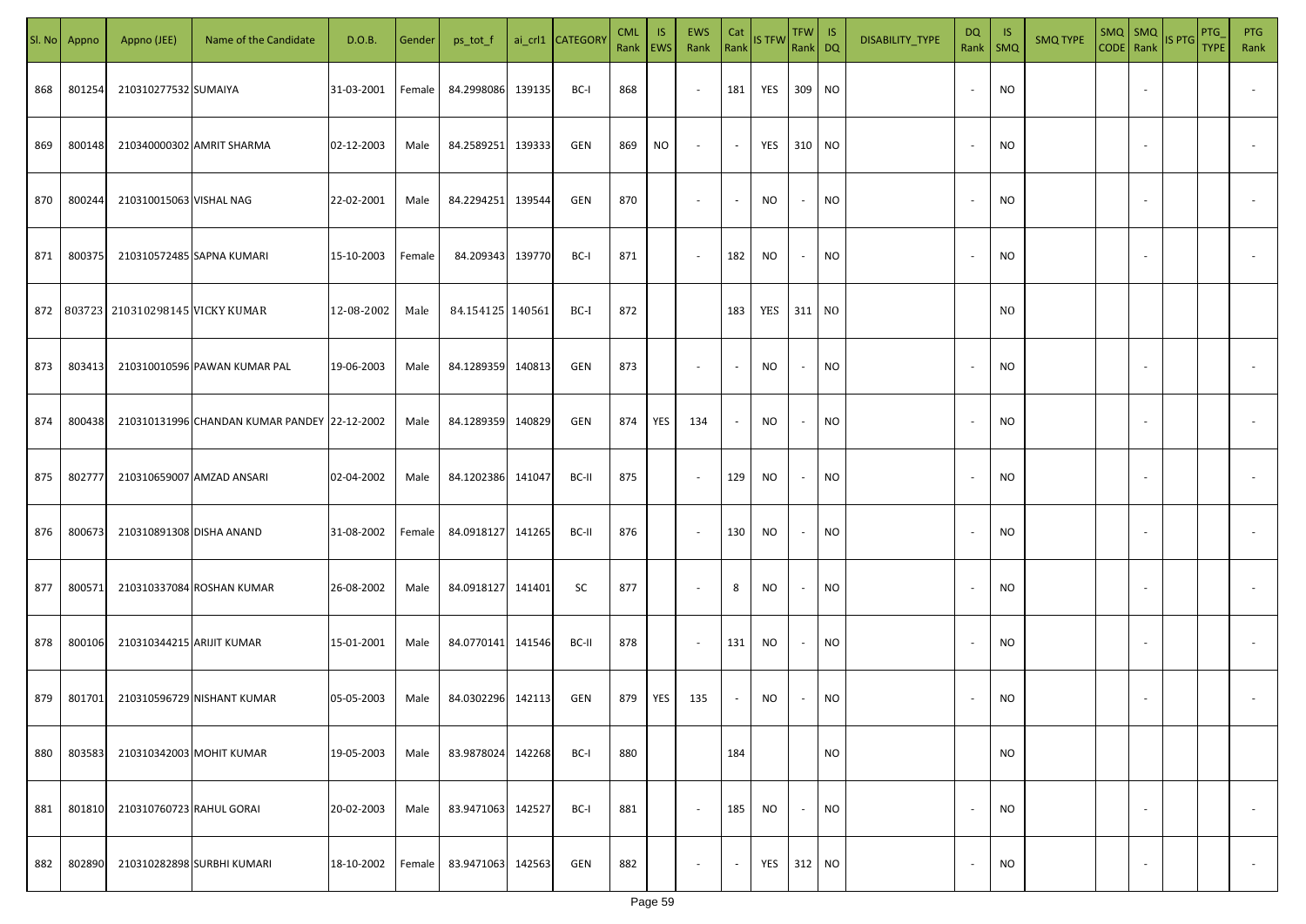|     | Sl. No Appno | Appno (JEE)                             | Name of the Candidate                        | D.O.B.     | Gender | ps_tot_f          |        | ai_crl1 CATEGORY | <b>CML</b><br>Rank EWS | IS. | EWS<br>Rank              | Cat<br>Rank              | <b>IS TFW</b> | TFW   IS<br>Rank DQ      |           | DISABILITY_TYPE | DQ<br>Rank               | - IS<br>$\mathsf{SMQ}$ | <b>SMQ TYPE</b> |                          | $\begin{array}{ c c c c }\n\hline\n\text{SMQ} & \text{SMQ} \\ \hline\n\text{CODE} & \text{Rank}\n\end{array}$ IS PTG | <b>PTG</b><br><b>TYPE</b> | <b>PTG</b><br>Rank       |
|-----|--------------|-----------------------------------------|----------------------------------------------|------------|--------|-------------------|--------|------------------|------------------------|-----|--------------------------|--------------------------|---------------|--------------------------|-----------|-----------------|--------------------------|------------------------|-----------------|--------------------------|----------------------------------------------------------------------------------------------------------------------|---------------------------|--------------------------|
| 868 | 801254       | 210310277532 SUMAIYA                    |                                              | 31-03-2001 | Female | 84.2998086        | 139135 | BC-I             | 868                    |     | $\overline{\phantom{a}}$ | 181                      | YES 309 NO    |                          |           |                 |                          | <b>NO</b>              |                 | $\sim$                   |                                                                                                                      |                           |                          |
| 869 | 800148       |                                         | 210340000302 AMRIT SHARMA                    | 02-12-2003 | Male   | 84.2589251        | 139333 | GEN              | 869                    | NO  | $\overline{\phantom{a}}$ | $\sim$                   | YES 310 NO    |                          |           |                 |                          | <b>NO</b>              |                 |                          |                                                                                                                      |                           |                          |
| 870 | 800244       | 210310015063 VISHAL NAG                 |                                              | 22-02-2001 | Male   | 84.2294251        | 139544 | GEN              | 870                    |     | $\overline{\phantom{a}}$ | $\overline{\phantom{a}}$ | <b>NO</b>     | $\overline{\phantom{a}}$ | <b>NO</b> |                 | $\overline{\phantom{a}}$ | <b>NO</b>              |                 |                          |                                                                                                                      |                           |                          |
| 871 | 800375       |                                         | 210310572485 SAPNA KUMARI                    | 15-10-2003 | Female | 84.209343         | 139770 | BC-I             | 871                    |     | $\sim$                   | 182                      | <b>NO</b>     | $\overline{\phantom{a}}$ | <b>NO</b> |                 | $\sim$                   | <b>NO</b>              |                 |                          |                                                                                                                      |                           |                          |
|     |              | 872   803723   210310298145 VICKY KUMAR |                                              | 12-08-2002 | Male   | 84.154125 140561  |        | BC-I             | 872                    |     |                          | 183                      | YES 311 NO    |                          |           |                 |                          | N <sub>0</sub>         |                 |                          |                                                                                                                      |                           |                          |
| 873 | 803413       |                                         | 210310010596 PAWAN KUMAR PAL                 | 19-06-2003 | Male   | 84.1289359 140813 |        | GEN              | 873                    |     | $\sim$                   |                          | <b>NO</b>     | $\overline{\phantom{a}}$ | <b>NO</b> |                 |                          | <b>NO</b>              |                 |                          |                                                                                                                      |                           |                          |
| 874 | 800438       |                                         | 210310131996 CHANDAN KUMAR PANDEY 22-12-2002 |            | Male   | 84.1289359        | 140829 | GEN              | 874                    | YES | 134                      |                          | NO.           | $\overline{\phantom{a}}$ | <b>NO</b> |                 |                          | <b>NO</b>              |                 |                          |                                                                                                                      |                           |                          |
| 875 | 802777       |                                         | 210310659007 AMZAD ANSARI                    | 02-04-2002 | Male   | 84.1202386        | 141047 | BC-II            | 875                    |     | $\sim$                   | 129                      | <b>NO</b>     |                          | <b>NO</b> |                 |                          | <b>NO</b>              |                 |                          |                                                                                                                      |                           |                          |
| 876 | 800673       | 210310891308 DISHA ANAND                |                                              | 31-08-2002 | Female | 84.0918127        | 141265 | BC-II            | 876                    |     | $\sim$                   | 130                      | <b>NO</b>     |                          | <b>NO</b> |                 |                          | <b>NO</b>              |                 |                          |                                                                                                                      |                           |                          |
| 877 | 800571       |                                         | 210310337084 ROSHAN KUMAR                    | 26-08-2002 | Male   | 84.0918127 141401 |        | SC               | 877                    |     | $\overline{\phantom{a}}$ | 8                        | <b>NO</b>     |                          | <b>NO</b> |                 |                          | <b>NO</b>              |                 |                          |                                                                                                                      |                           |                          |
| 878 | 800106       | 210310344215 ARIJIT KUMAR               |                                              | 15-01-2001 | Male   | 84.0770141 141546 |        | BC-II            | 878                    |     | $\sim$                   | 131                      | NO            |                          | <b>NO</b> |                 |                          | <b>NO</b>              |                 |                          |                                                                                                                      |                           |                          |
| 879 | 801701       |                                         | 210310596729 NISHANT KUMAR                   | 05-05-2003 | Male   | 84.0302296        | 142113 | GEN              | 879                    | YES | 135                      |                          | <b>NO</b>     |                          | <b>NO</b> |                 |                          | <b>NO</b>              |                 |                          |                                                                                                                      |                           |                          |
| 880 | 803583       |                                         | 210310342003 MOHIT KUMAR                     | 19-05-2003 | Male   | 83.9878024        | 142268 | BC-I             | 880                    |     |                          | 184                      |               |                          | <b>NO</b> |                 |                          | <b>NO</b>              |                 |                          |                                                                                                                      |                           |                          |
| 881 | 801810       | 210310760723 RAHUL GORAI                |                                              | 20-02-2003 | Male   | 83.9471063 142527 |        | BC-I             | 881                    |     | $\blacksquare$           | 185                      | <b>NO</b>     | $\overline{\phantom{a}}$ | <b>NO</b> |                 | $\sim$                   | <b>NO</b>              |                 | $\overline{\phantom{a}}$ |                                                                                                                      |                           | $\overline{\phantom{a}}$ |
| 882 | 802890       |                                         | 210310282898 SURBHI KUMARI                   | 18-10-2002 | Female | 83.9471063 142563 |        | GEN              | 882                    |     | $\overline{\phantom{a}}$ | $\overline{\phantom{a}}$ | YES           | 312 NO                   |           |                 |                          | <b>NO</b>              |                 | $\sim$                   |                                                                                                                      |                           | $\overline{\phantom{a}}$ |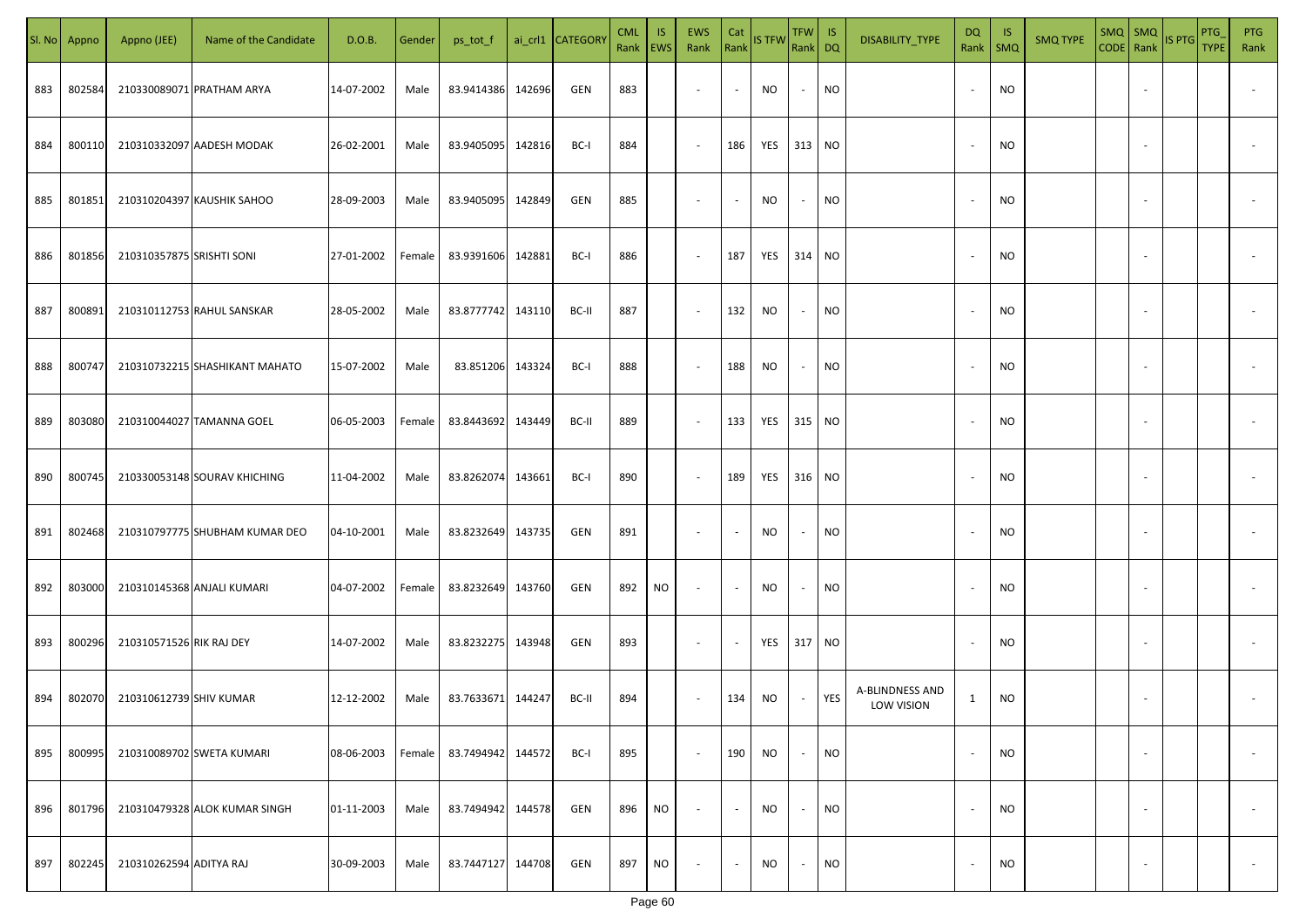| SI. No. | Appno  | Appno (JEE)               | Name of the Candidate          | D.O.B.     | Gender | ps_tot_f          |        | ai_crl1 CATEGORY | <b>CML</b><br>Rank EWS | IS.       | <b>EWS</b><br>Rank       | Cat<br>Rank              | <b>IS TFW</b> | $TFW$ IS<br>Rank DQ      |           | DISABILITY_TYPE               | <b>DQ</b>    | -IS<br>Rank   SMQ | <b>SMQ TYPE</b> |                          | SMQ SMQ<br>CODE Rank IS PTG | <b>PTG</b><br><b>TYPE</b> | <b>PTG</b><br>Rank       |
|---------|--------|---------------------------|--------------------------------|------------|--------|-------------------|--------|------------------|------------------------|-----------|--------------------------|--------------------------|---------------|--------------------------|-----------|-------------------------------|--------------|-------------------|-----------------|--------------------------|-----------------------------|---------------------------|--------------------------|
| 883     | 802584 |                           | 210330089071 PRATHAM ARYA      | 14-07-2002 | Male   | 83.9414386        | 142696 | GEN              | 883                    |           | $\overline{\phantom{a}}$ | $\sim$                   | NO            | $\sim$                   | <b>NO</b> |                               |              | <b>NO</b>         |                 |                          |                             |                           |                          |
| 884     | 800110 |                           | 210310332097 AADESH MODAK      | 26-02-2001 | Male   | 83.9405095        | 142816 | BC-I             | 884                    |           | $\sim$                   | 186                      | YES           | 313 NO                   |           |                               |              | <b>NO</b>         |                 |                          |                             |                           |                          |
| 885     | 801851 |                           | 210310204397 KAUSHIK SAHOO     | 28-09-2003 | Male   | 83.9405095        | 142849 | GEN              | 885                    |           | $\overline{\phantom{a}}$ | $\sim$                   | NO            | $\overline{\phantom{a}}$ | <b>NO</b> |                               |              | <b>NO</b>         |                 |                          |                             |                           |                          |
| 886     | 801856 | 210310357875 SRISHTI SONI |                                | 27-01-2002 | Female | 83.9391606        | 142881 | BC-I             | 886                    |           | $\overline{\phantom{a}}$ | 187                      | YES           | 314 NO                   |           |                               |              | <b>NO</b>         |                 |                          |                             |                           |                          |
| 887     | 800891 |                           | 210310112753 RAHUL SANSKAR     | 28-05-2002 | Male   | 83.8777742 143110 |        | BC-II            | 887                    |           | $\overline{\phantom{a}}$ | 132                      | NO            | $\sim$                   | <b>NO</b> |                               |              | <b>NO</b>         |                 |                          |                             |                           |                          |
| 888     | 800747 |                           | 210310732215 SHASHIKANT MAHATO | 15-07-2002 | Male   | 83.851206         | 143324 | BC-I             | 888                    |           | $\overline{\phantom{a}}$ | 188                      | NO            | $\sim$                   | <b>NO</b> |                               |              | <b>NO</b>         |                 |                          |                             |                           |                          |
| 889     | 803080 |                           | 210310044027 TAMANNA GOEL      | 06-05-2003 | Female | 83.8443692        | 143449 | BC-II            | 889                    |           | $\overline{\phantom{a}}$ | 133                      | YES           | 315 NO                   |           |                               |              | <b>NO</b>         |                 |                          |                             |                           |                          |
| 890     | 800745 |                           | 210330053148 SOURAV KHICHING   | 11-04-2002 | Male   | 83.8262074        | 143661 | BC-I             | 890                    |           | $\sim$                   | 189                      | YES           | 316 NO                   |           |                               |              | <b>NO</b>         |                 |                          |                             |                           |                          |
| 891     | 802468 |                           | 210310797775 SHUBHAM KUMAR DEO | 04-10-2001 | Male   | 83.8232649        | 143735 | GEN              | 891                    |           | $\overline{\phantom{a}}$ | $\overline{\phantom{a}}$ | NO            | $\overline{\phantom{a}}$ | <b>NO</b> |                               |              | NO                |                 |                          |                             |                           |                          |
| 892     | 803000 |                           | 210310145368 ANJALI KUMARI     | 04-07-2002 | Female | 83.8232649        | 143760 | GEN              | 892                    | NO        | $\sim$                   | $\sim$                   | NO            | $\overline{\phantom{a}}$ | <b>NO</b> |                               |              | <b>NO</b>         |                 |                          |                             |                           |                          |
| 893     | 800296 | 210310571526 RIK RAJ DEY  |                                | 14-07-2002 | Male   | 83.8232275 143948 |        | GEN              | 893                    |           | $\sim$                   | $\overline{\phantom{a}}$ | YES           | 317 NO                   |           |                               |              | <b>NO</b>         |                 |                          |                             |                           |                          |
| 894     | 802070 | 210310612739 SHIV KUMAR   |                                | 12-12-2002 | Male   | 83.7633671 144247 |        | BC-II            | 894                    |           | $\sim$                   | 134                      | <b>NO</b>     |                          | YES       | A-BLINDNESS AND<br>LOW VISION | $\mathbf{1}$ | NO                |                 |                          |                             |                           |                          |
| 895     | 800995 |                           | 210310089702 SWETA KUMARI      | 08-06-2003 | Female | 83.7494942        | 144572 | BC-I             | 895                    |           | $\sim$                   | 190                      | NO            | $\overline{\phantom{a}}$ | <b>NO</b> |                               |              | <b>NO</b>         |                 | $\overline{\phantom{a}}$ |                             |                           | $\overline{\phantom{a}}$ |
| 896     | 801796 |                           | 210310479328 ALOK KUMAR SINGH  | 01-11-2003 | Male   | 83.7494942        | 144578 | GEN              | 896                    | NO.       | $\overline{\phantom{a}}$ | $\blacksquare$           | <b>NO</b>     | $\overline{\phantom{a}}$ | <b>NO</b> |                               |              | <b>NO</b>         |                 | $\overline{\phantom{a}}$ |                             |                           | $\overline{\phantom{a}}$ |
| 897     | 802245 | 210310262594 ADITYA RAJ   |                                | 30-09-2003 | Male   | 83.7447127 144708 |        | GEN              | 897                    | <b>NO</b> | $\overline{\phantom{a}}$ | $\sim$                   | <b>NO</b>     | $\sim$                   | <b>NO</b> |                               |              | <b>NO</b>         |                 | $\overline{\phantom{a}}$ |                             |                           | $\overline{\phantom{a}}$ |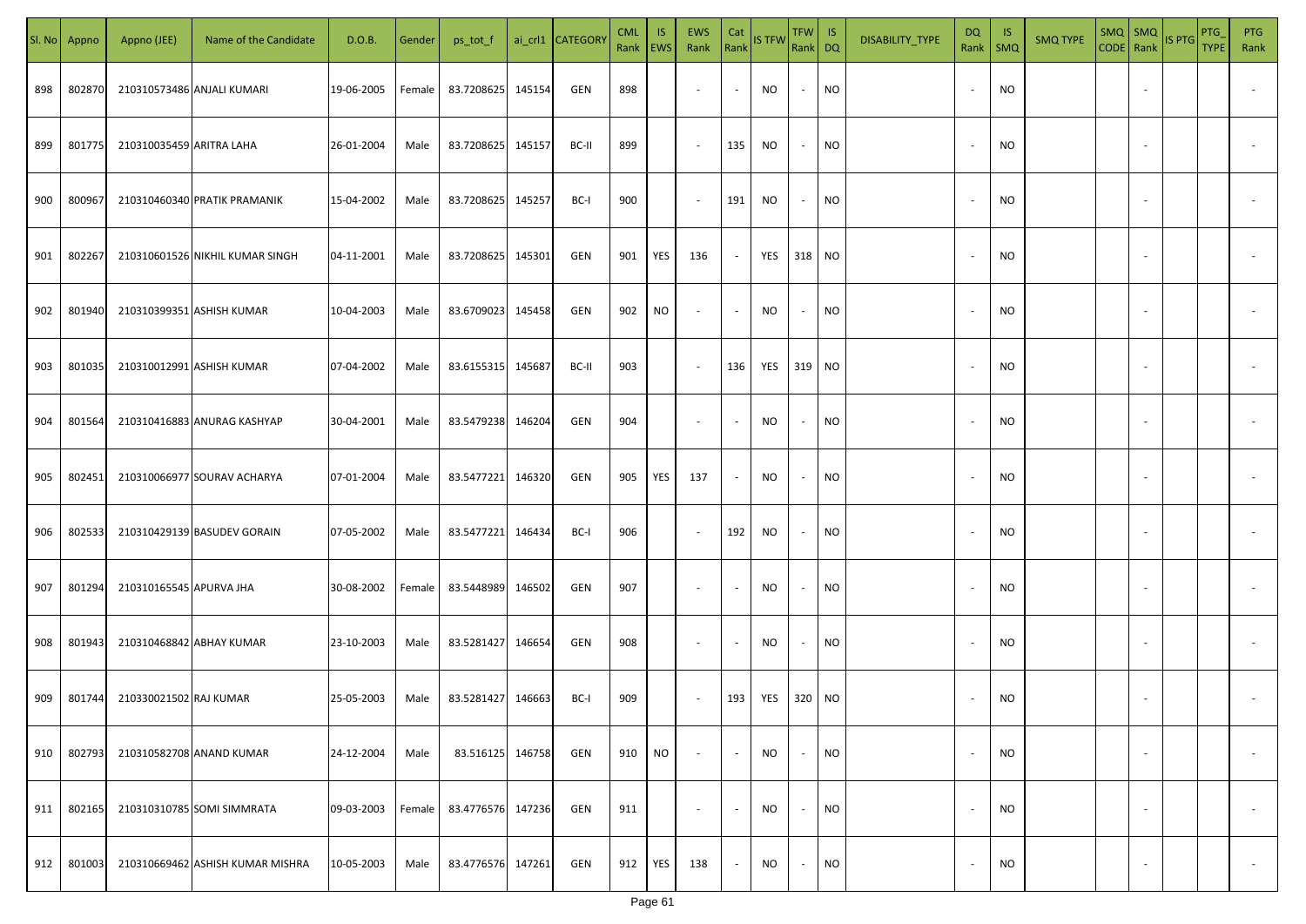| SI. No. | Appno  | Appno (JEE)              | Name of the Candidate            | D.O.B.     | Gender | ps_tot_f          |        | ai_crl1 CATEGORY | <b>CML</b><br>Rank EWS | IS.       | <b>EWS</b><br>Rank       | Cat<br>Rank              | <b>IS TFW</b> | $TFW$ IS<br>Rank DQ      |           | DISABILITY_TYPE | <b>DQ</b> | -IS<br>Rank   SMQ | <b>SMQ TYPE</b> |                          | SMQ SMQ<br>CODE Rank IS PTG | <b>PTG</b><br><b>TYPE</b> | <b>PTG</b><br>Rank       |
|---------|--------|--------------------------|----------------------------------|------------|--------|-------------------|--------|------------------|------------------------|-----------|--------------------------|--------------------------|---------------|--------------------------|-----------|-----------------|-----------|-------------------|-----------------|--------------------------|-----------------------------|---------------------------|--------------------------|
| 898     | 802870 |                          | 210310573486 ANJALI KUMARI       | 19-06-2005 | Female | 83.7208625        | 145154 | GEN              | 898                    |           | $\overline{\phantom{a}}$ | $\sim$                   | NO            | $\overline{\phantom{a}}$ | <b>NO</b> |                 |           | <b>NO</b>         |                 |                          |                             |                           |                          |
| 899     | 801775 | 210310035459 ARITRA LAHA |                                  | 26-01-2004 | Male   | 83.7208625 145157 |        | BC-II            | 899                    |           | $\sim$                   | 135                      | NO            | $\sim$                   | <b>NO</b> |                 | $\sim$    | <b>NO</b>         |                 |                          |                             |                           |                          |
| 900     | 800967 |                          | 210310460340 PRATIK PRAMANIK     | 15-04-2002 | Male   | 83.7208625        | 145257 | BC-I             | 900                    |           | $\sim$                   | 191                      | NO            | $\overline{\phantom{a}}$ | <b>NO</b> |                 |           | <b>NO</b>         |                 |                          |                             |                           |                          |
| 901     | 802267 |                          | 210310601526 NIKHIL KUMAR SINGH  | 04-11-2001 | Male   | 83.7208625        | 145301 | GEN              | 901                    | YES       | 136                      | $\sim$                   | YES           | 318 NO                   |           |                 |           | NO                |                 |                          |                             |                           |                          |
| 902     | 801940 |                          | 210310399351 ASHISH KUMAR        | 10-04-2003 | Male   | 83.6709023        | 145458 | GEN              | 902                    | NO        | $\overline{\phantom{a}}$ | $\sim$                   | NO            | $\overline{\phantom{a}}$ | <b>NO</b> |                 |           | <b>NO</b>         |                 |                          |                             |                           |                          |
| 903     | 801035 |                          | 210310012991 ASHISH KUMAR        | 07-04-2002 | Male   | 83.6155315 145687 |        | BC-II            | 903                    |           | $\overline{\phantom{a}}$ | 136                      | YES           | 319 NO                   |           |                 |           | <b>NO</b>         |                 |                          |                             |                           |                          |
| 904     | 801564 |                          | 210310416883 ANURAG KASHYAP      | 30-04-2001 | Male   | 83.5479238        | 146204 | GEN              | 904                    |           | $\overline{\phantom{a}}$ | $\sim$                   | NO            | $\overline{\phantom{a}}$ | <b>NO</b> |                 |           | <b>NO</b>         |                 |                          |                             |                           |                          |
| 905     | 802451 |                          | 210310066977 SOURAV ACHARYA      | 07-01-2004 | Male   | 83.5477221        | 146320 | GEN              | 905                    | YES       | 137                      | $\overline{\phantom{a}}$ | NO            | $\overline{\phantom{a}}$ | <b>NO</b> |                 |           | <b>NO</b>         |                 |                          |                             |                           |                          |
| 906     | 802533 |                          | 210310429139 BASUDEV GORAIN      | 07-05-2002 | Male   | 83.5477221        | 146434 | BC-I             | 906                    |           | $\sim$                   | 192                      | NO            | $\sim$                   | <b>NO</b> |                 |           | NO                |                 |                          |                             |                           |                          |
| 907     | 801294 | 210310165545 APURVA JHA  |                                  | 30-08-2002 | Female | 83.5448989        | 146502 | GEN              | 907                    |           | $\sim$                   | $\sim$                   | NO            | $\overline{\phantom{a}}$ | <b>NO</b> |                 |           | <b>NO</b>         |                 |                          |                             |                           |                          |
| 908     | 801943 | 210310468842 ABHAY KUMAR |                                  | 23-10-2003 | Male   | 83.5281427 146654 |        | GEN              | 908                    |           | $\sim$                   | $\overline{\phantom{a}}$ | <b>NO</b>     | $\overline{\phantom{a}}$ | <b>NO</b> |                 |           | <b>NO</b>         |                 |                          |                             |                           |                          |
| 909     | 801744 | 210330021502 RAJ KUMAR   |                                  | 25-05-2003 | Male   | 83.5281427        | 146663 | BC-I             | 909                    |           | $\overline{\phantom{a}}$ | 193                      | YES           | 320 NO                   |           |                 |           | <b>NO</b>         |                 |                          |                             |                           |                          |
| 910     | 802793 |                          | 210310582708 ANAND KUMAR         | 24-12-2004 | Male   | 83.516125         | 146758 | GEN              | 910                    | <b>NO</b> | $\overline{\phantom{a}}$ | $\blacksquare$           | <b>NO</b>     | $\overline{\phantom{a}}$ | <b>NO</b> |                 |           | <b>NO</b>         |                 | $\overline{\phantom{a}}$ |                             |                           | $\overline{\phantom{a}}$ |
| 911     | 802165 |                          | 210310310785 SOMI SIMMRATA       | 09-03-2003 | Female | 83.4776576 147236 |        | GEN              | 911                    |           | $\overline{\phantom{a}}$ | $\sim$                   | <b>NO</b>     | $\overline{\phantom{a}}$ | <b>NO</b> |                 |           | <b>NO</b>         |                 | $\overline{\phantom{a}}$ |                             |                           | $\overline{\phantom{a}}$ |
| 912     | 801003 |                          | 210310669462 ASHISH KUMAR MISHRA | 10-05-2003 | Male   | 83.4776576 147261 |        | GEN              | 912                    | YES       | 138                      | $\sim$                   | <b>NO</b>     | $\sim$                   | <b>NO</b> |                 |           | <b>NO</b>         |                 | $\overline{\phantom{a}}$ |                             |                           | $\overline{\phantom{a}}$ |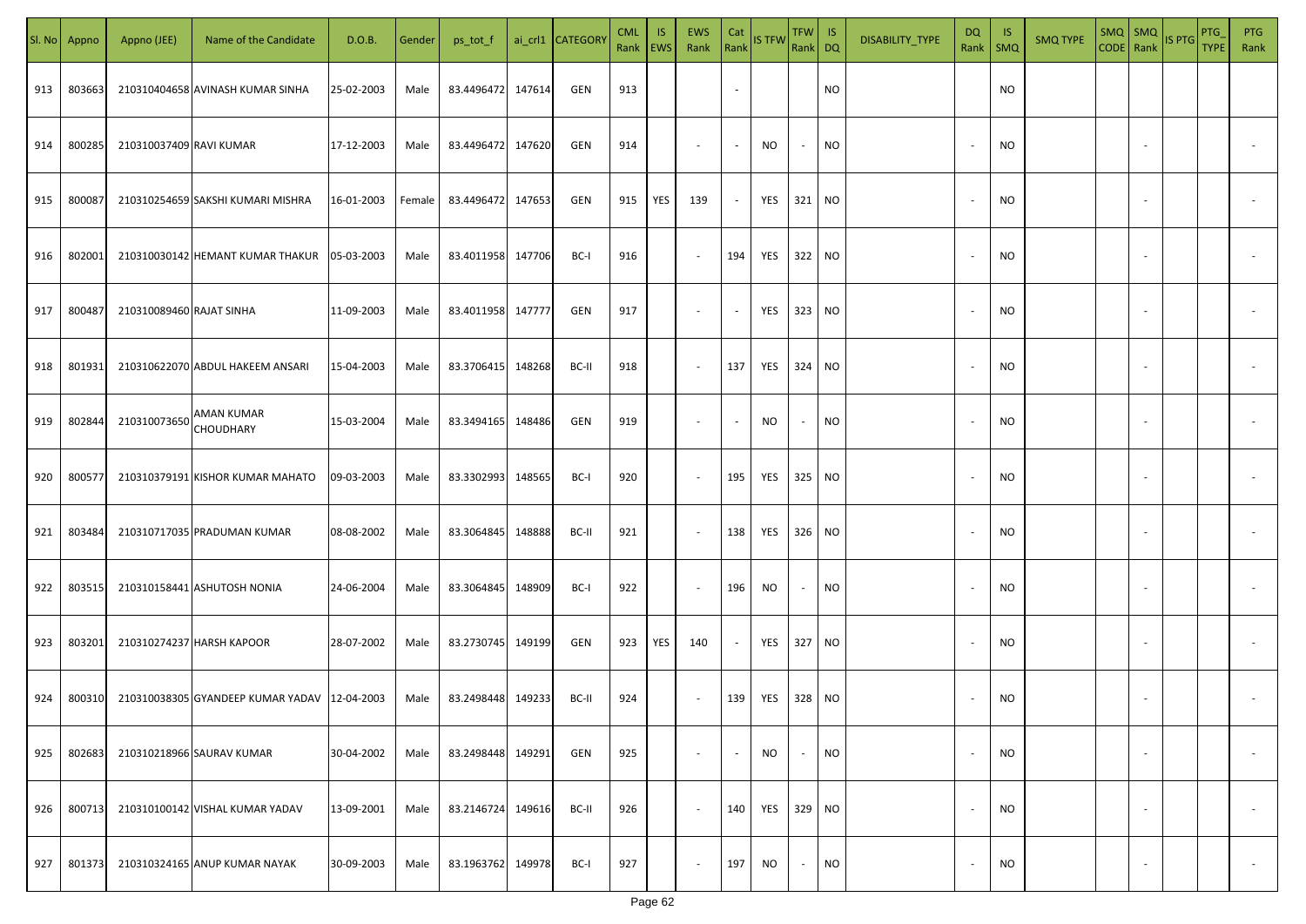| SI. No | Appno  | Appno (JEE)              | Name of the Candidate                        | D.O.B.     | Gender | ps_tot_f          |        | ai_crl1 CATEGORY | <b>CML</b><br>Rank   EWS | <b>IS</b> | EWS<br>Rank              | Cat                      | Rank IS TFW | TFW IS<br>Rank DQ |           | DISABILITY_TYPE | DQ<br>Rank               | - IS<br>SMQ | <b>SMQ TYPE</b> | $SMQ$ SMQ<br>CODE Rank |                          | IS PTG | PTG<br><b>TYPE</b> | <b>PTG</b><br>Rank |
|--------|--------|--------------------------|----------------------------------------------|------------|--------|-------------------|--------|------------------|--------------------------|-----------|--------------------------|--------------------------|-------------|-------------------|-----------|-----------------|--------------------------|-------------|-----------------|------------------------|--------------------------|--------|--------------------|--------------------|
| 913    | 803663 |                          | 210310404658 AVINASH KUMAR SINHA             | 25-02-2003 | Male   | 83.4496472 147614 |        | GEN              | 913                      |           |                          | $\overline{\phantom{a}}$ |             |                   | <b>NO</b> |                 |                          | <b>NO</b>   |                 |                        |                          |        |                    |                    |
| 914    | 800285 | 210310037409 RAVI KUMAR  |                                              | 17-12-2003 | Male   | 83.4496472        | 147620 | GEN              | 914                      |           | $\sim$                   | $\sim$                   | NO          | $\sim$            | <b>NO</b> |                 | $\overline{\phantom{a}}$ | NO.         |                 |                        | $\sim$                   |        |                    |                    |
| 915    | 800087 |                          | 210310254659 SAKSHI KUMARI MISHRA            | 16-01-2003 | Female | 83.4496472 147653 |        | GEN              | 915                      | YES       | 139                      | $\sim$                   | YES         | 321               | NO        |                 | $\sim$                   | NO.         |                 |                        | $\sim$                   |        |                    |                    |
| 916    | 802001 |                          | 210310030142 HEMANT KUMAR THAKUR             | 05-03-2003 | Male   | 83.4011958 147706 |        | BC-I             | 916                      |           | $\sim$                   | 194                      | YES         | 322               | <b>NO</b> |                 | ٠.                       | NO.         |                 |                        |                          |        |                    |                    |
| 917    | 800487 | 210310089460 RAJAT SINHA |                                              | 11-09-2003 | Male   | 83.4011958 147777 |        | GEN              | 917                      |           | $\overline{\phantom{a}}$ | $\sim$                   | YES         | 323               | <b>NO</b> |                 |                          | NO.         |                 |                        |                          |        |                    |                    |
| 918    | 801931 |                          | 210310622070 ABDUL HAKEEM ANSARI             | 15-04-2003 | Male   | 83.3706415        | 148268 | BC-II            | 918                      |           | $\sim$                   | 137                      | YES         | 324               | <b>NO</b> |                 |                          | NO.         |                 |                        | $\overline{\phantom{a}}$ |        |                    |                    |
| 919    | 802844 | 210310073650             | AMAN KUMAR<br>CHOUDHARY                      | 15-03-2004 | Male   | 83.3494165 148486 |        | GEN              | 919                      |           | $\overline{\phantom{a}}$ | $\overline{\phantom{a}}$ | NO          | $\sim$            | NO        |                 |                          | NO.         |                 |                        |                          |        |                    |                    |
| 920    | 800577 |                          | 210310379191 KISHOR KUMAR MAHATO             | 09-03-2003 | Male   | 83.3302993        | 148565 | BC-I             | 920                      |           | $\sim$                   | 195                      | YES         | 325               | <b>NO</b> |                 |                          | NO.         |                 |                        |                          |        |                    |                    |
| 921    | 803484 |                          | 210310717035 PRADUMAN KUMAR                  | 08-08-2002 | Male   | 83.3064845        | 148888 | BC-II            | 921                      |           | $\sim$                   | 138                      | YES         | 326               | <b>NO</b> |                 |                          | NO.         |                 |                        |                          |        |                    |                    |
| 922    | 803515 |                          | 210310158441 ASHUTOSH NONIA                  | 24-06-2004 | Male   | 83.3064845        | 148909 | BC-I             | 922                      |           | $\sim$                   | 196                      | <b>NO</b>   | $\sim$            | <b>NO</b> |                 |                          | <b>NO</b>   |                 |                        |                          |        |                    |                    |
| 923    | 803201 |                          | 210310274237 HARSH KAPOOR                    | 28-07-2002 | Male   | 83.2730745        | 149199 | GEN              | 923                      | YES       | 140                      | $\sim$                   | YES         | 327               | <b>NO</b> |                 |                          | NO.         |                 |                        |                          |        |                    |                    |
| 924    | 800310 |                          | 210310038305 GYANDEEP KUMAR YADAV 12-04-2003 |            | Male   | 83.2498448 149233 |        | BC-II            | 924                      |           | $\sim$                   | 139                      | YES         | 328 NO            |           |                 |                          | NO.         |                 |                        |                          |        |                    |                    |
| 925    | 802683 |                          | 210310218966 SAURAV KUMAR                    | 30-04-2002 | Male   | 83.2498448        | 149291 | GEN              | 925                      |           | $\sim$                   | $\sim$                   | NO          | $\sim$            | <b>NO</b> |                 | $\overline{\phantom{a}}$ | <b>NO</b>   |                 |                        | $\overline{\phantom{a}}$ |        |                    | $\sim$             |
| 926    | 800713 |                          | 210310100142 VISHAL KUMAR YADAV              | 13-09-2001 | Male   | 83.2146724        | 149616 | BC-II            | 926                      |           | $\sim$                   | 140                      | YES         | 329               | <b>NO</b> |                 | $\overline{\phantom{a}}$ | <b>NO</b>   |                 |                        | $\overline{\phantom{a}}$ |        |                    | $\sim$             |
| 927    | 801373 |                          | 210310324165 ANUP KUMAR NAYAK                | 30-09-2003 | Male   | 83.1963762        | 149978 | BC-I             | 927                      |           | $\sim$                   | 197                      | NO          | $\sim$            | <b>NO</b> |                 | $\overline{\phantom{a}}$ | NO.         |                 |                        | $\overline{\phantom{a}}$ |        |                    | $\sim$             |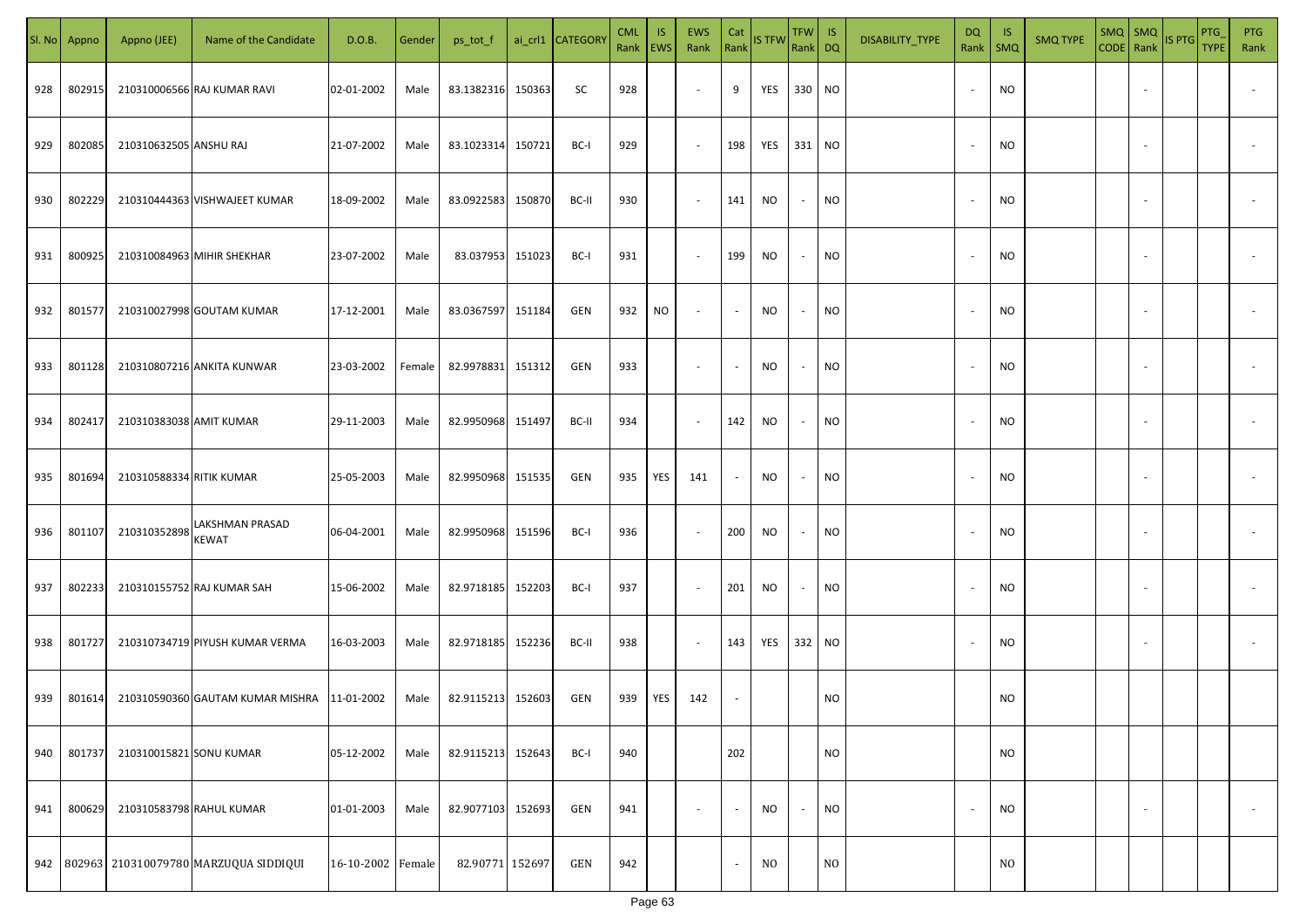| SI. No. | Appno  | Appno (JEE)              | Name of the Candidate                       | D.O.B.            | Gender | ps_tot_f          |        | ai_crl1 CATEGOR | <b>CML</b> | IS.<br>Rank   EWS | <b>EWS</b><br>Rank       | Cat<br>Rank              | <b>IS TFW</b>  | TFW IS<br>Rank DQ |                | DISABILITY_TYPE | <b>DQ</b><br>Rank        | -IS<br><b>SMQ</b> | <b>SMQ TYPE</b> | $SMQ$ $SMQ$<br>CODE Rank |                          | <b>IS PTG</b> | <b>PTG</b><br><b>TYPE</b> | <b>PTG</b><br>Rank       |
|---------|--------|--------------------------|---------------------------------------------|-------------------|--------|-------------------|--------|-----------------|------------|-------------------|--------------------------|--------------------------|----------------|-------------------|----------------|-----------------|--------------------------|-------------------|-----------------|--------------------------|--------------------------|---------------|---------------------------|--------------------------|
| 928     | 802915 |                          | 210310006566 RAJ KUMAR RAVI                 | 02-01-2002        | Male   | 83.1382316        | 150363 | SC              | 928        |                   | $\sim$                   | 9                        | YES            | 330 NO            |                |                 | $\overline{\phantom{a}}$ | <b>NO</b>         |                 |                          |                          |               |                           |                          |
| 929     | 802085 | 210310632505 ANSHU RAJ   |                                             | 21-07-2002        | Male   | 83.1023314        | 150721 | BC-I            | 929        |                   | $\sim$                   | 198                      | YES            | 331 NO            |                |                 |                          | <b>NO</b>         |                 |                          |                          |               |                           |                          |
| 930     | 802229 |                          | 210310444363 VISHWAJEET KUMAR               | 18-09-2002        | Male   | 83.0922583        | 150870 | BC-II           | 930        |                   | $\sim$                   | 141                      | NO.            | $\sim$            | <b>NO</b>      |                 | $\overline{\phantom{a}}$ | <b>NO</b>         |                 |                          |                          |               |                           |                          |
| 931     | 800925 |                          | 210310084963 MIHIR SHEKHAR                  | 23-07-2002        | Male   | 83.037953         | 151023 | BC-I            | 931        |                   | $\sim$                   | 199                      | NO             | $\sim$            | <b>NO</b>      |                 | $\overline{\phantom{a}}$ | <b>NO</b>         |                 |                          |                          |               |                           |                          |
| 932     | 801577 |                          | 210310027998 GOUTAM KUMAR                   | 17-12-2001        | Male   | 83.0367597        | 151184 | GEN             | 932        | NO                | $\sim$                   | $\sim$                   | NO.            | $\sim$            | NO             |                 | $\overline{\phantom{a}}$ | <b>NO</b>         |                 |                          |                          |               |                           |                          |
| 933     | 801128 |                          | 210310807216 ANKITA KUNWAR                  | 23-03-2002        | Female | 82.9978831        | 151312 | GEN             | 933        |                   | $\sim$                   | $\overline{\phantom{a}}$ | NO.            | $\sim$            | <b>NO</b>      |                 |                          | <b>NO</b>         |                 |                          |                          |               |                           |                          |
| 934     | 802417 | 210310383038 AMIT KUMAR  |                                             | 29-11-2003        | Male   | 82.9950968 151497 |        | BC-II           | 934        |                   | $\sim$                   | 142                      | NO.            | $\sim$            | NO             |                 |                          | <b>NO</b>         |                 |                          |                          |               |                           |                          |
| 935     | 801694 | 210310588334 RITIK KUMAR |                                             | 25-05-2003        | Male   | 82.9950968        | 151535 | GEN             | 935        | YES               | 141                      | $\sim$                   | NO.            | $\sim$            | <b>NO</b>      |                 |                          | <b>NO</b>         |                 |                          |                          |               |                           |                          |
| 936     | 801107 | 210310352898             | LAKSHMAN PRASAD<br>KEWAT                    | 06-04-2001        | Male   | 82.9950968        | 151596 | BC-I            | 936        |                   | $\sim$                   | 200                      | NO.            | $\sim$            | <b>NO</b>      |                 |                          | <b>NO</b>         |                 |                          |                          |               |                           |                          |
| 937     | 802233 |                          | 210310155752 RAJ KUMAR SAH                  | 15-06-2002        | Male   | 82.9718185        | 152203 | BC-I            | 937        |                   | $\sim$                   | 201                      | NO.            | $\sim$            | <b>NO</b>      |                 |                          | <b>NO</b>         |                 |                          |                          |               |                           |                          |
| 938     | 801727 |                          | 210310734719 PIYUSH KUMAR VERMA             | 16-03-2003        | Male   | 82.9718185 152236 |        | BC-II           | 938        |                   | $\sim$                   | 143                      | YES            | 332 NO            |                |                 |                          | <b>NO</b>         |                 |                          |                          |               |                           |                          |
| 939     | 801614 |                          | 210310590360 GAUTAM KUMAR MISHRA 11-01-2002 |                   | Male   | 82.9115213 152603 |        | GEN             | 939        | YES               | 142                      |                          |                |                   | <b>NO</b>      |                 |                          | <b>NO</b>         |                 |                          |                          |               |                           |                          |
| 940     | 801737 | 210310015821 SONU KUMAR  |                                             | 05-12-2002        | Male   | 82.9115213        | 152643 | BC-I            | 940        |                   |                          | 202                      |                |                   | <b>NO</b>      |                 |                          | <b>NO</b>         |                 |                          |                          |               |                           |                          |
| 941     | 800629 | 210310583798 RAHUL KUMAR |                                             | 01-01-2003        | Male   | 82.9077103 152693 |        | GEN             | 941        |                   | $\overline{\phantom{a}}$ | $\sim$                   | NO             | $\sim$            | <b>NO</b>      |                 | $\overline{\phantom{a}}$ | <b>NO</b>         |                 |                          | $\overline{\phantom{a}}$ |               |                           | $\overline{\phantom{a}}$ |
|         |        |                          | 942 802963 210310079780 MARZUQUA SIDDIQUI   | 16-10-2002 Female |        | 82.90771 152697   |        | GEN             | 942        |                   |                          | $\blacksquare$           | N <sub>O</sub> |                   | N <sub>O</sub> |                 |                          | N <sub>O</sub>    |                 |                          |                          |               |                           |                          |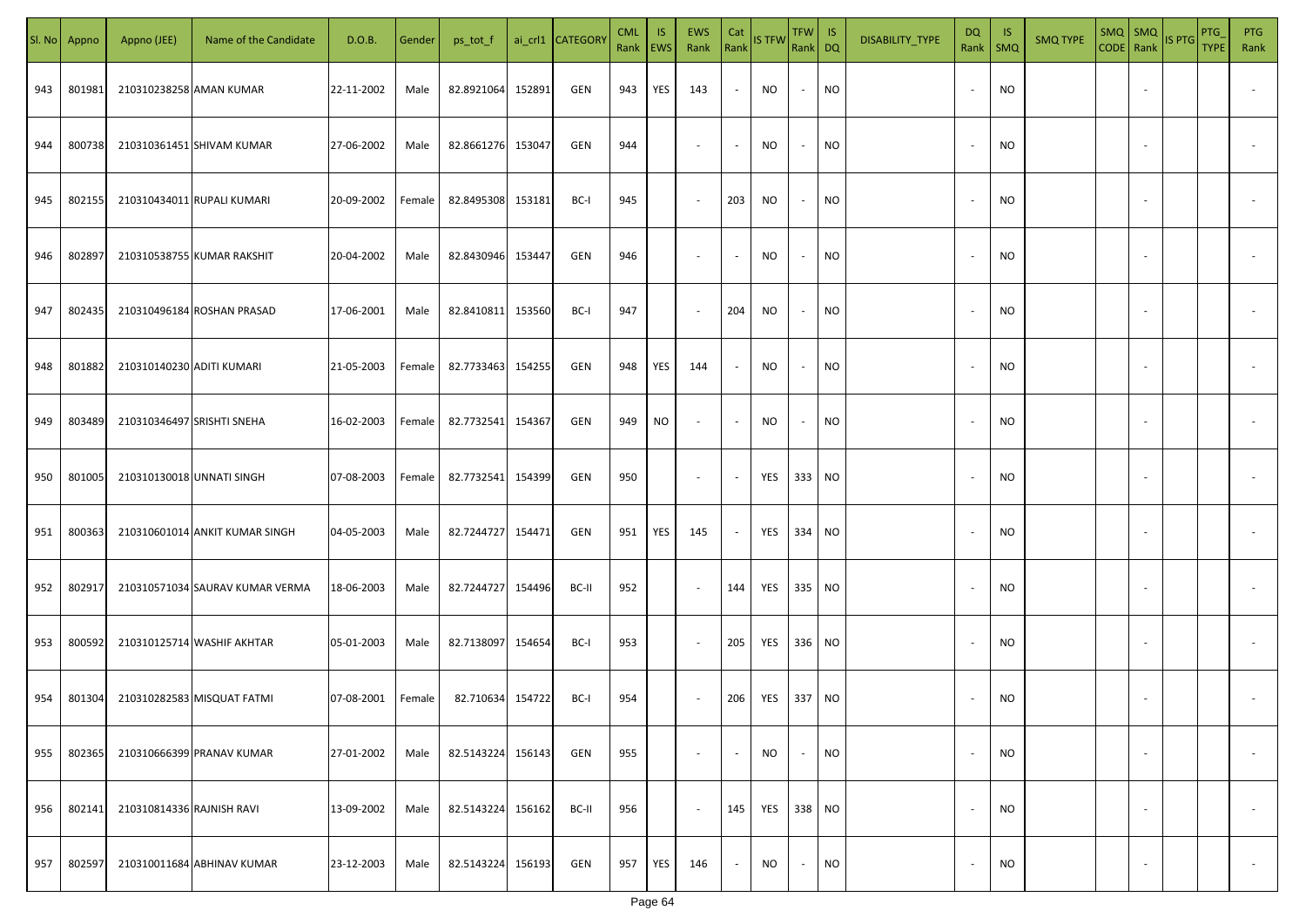| SI. No. | Appno  | Appno (JEE)               | Name of the Candidate           | D.O.B.     | Gender | ps_tot_f          |        | ai_crl1 CATEGORY | <b>CML</b><br>Rank EWS | IS. | <b>EWS</b><br>Rank       | Cat<br>Rank              | <b>IS TFW</b> | $TFW$ IS<br>Rank DQ      |           | DISABILITY_TYPE | <b>DQ</b>                | -IS<br>Rank   SMQ | <b>SMQ TYPE</b> |                          | SMQ SMQ<br>CODE Rank IS PTG | <b>PTG</b><br><b>TYPE</b> | <b>PTG</b><br>Rank       |
|---------|--------|---------------------------|---------------------------------|------------|--------|-------------------|--------|------------------|------------------------|-----|--------------------------|--------------------------|---------------|--------------------------|-----------|-----------------|--------------------------|-------------------|-----------------|--------------------------|-----------------------------|---------------------------|--------------------------|
| 943     | 801981 | 210310238258 AMAN KUMAR   |                                 | 22-11-2002 | Male   | 82.8921064        | 152891 | GEN              | 943                    | YES | 143                      | $\sim$                   | NO            | $\sim$                   | <b>NO</b> |                 |                          | <b>NO</b>         |                 |                          |                             |                           |                          |
| 944     | 800738 |                           | 210310361451 SHIVAM KUMAR       | 27-06-2002 | Male   | 82.8661276        | 153047 | GEN              | 944                    |     | $\sim$                   | $\sim$                   | NO            | $\sim$                   | <b>NO</b> |                 |                          | <b>NO</b>         |                 |                          |                             |                           |                          |
| 945     | 802155 |                           | 210310434011 RUPALI KUMARI      | 20-09-2002 | Female | 82.8495308        | 153181 | BC-I             | 945                    |     | $\overline{\phantom{a}}$ | 203                      | NO            | $\overline{\phantom{a}}$ | <b>NO</b> |                 |                          | <b>NO</b>         |                 |                          |                             |                           |                          |
| 946     | 802897 |                           | 210310538755 KUMAR RAKSHIT      | 20-04-2002 | Male   | 82.8430946        | 153447 | GEN              | 946                    |     | $\overline{\phantom{a}}$ | $\sim$                   | NO            | $\overline{\phantom{a}}$ | <b>NO</b> |                 |                          | <b>NO</b>         |                 |                          |                             |                           |                          |
| 947     | 802435 |                           | 210310496184 ROSHAN PRASAD      | 17-06-2001 | Male   | 82.8410811        | 153560 | BC-I             | 947                    |     | $\overline{\phantom{a}}$ | 204                      | NO            | $\overline{\phantom{a}}$ | <b>NO</b> |                 |                          | <b>NO</b>         |                 |                          |                             |                           |                          |
| 948     | 801882 | 210310140230 ADITI KUMARI |                                 | 21-05-2003 | Female | 82.7733463 154255 |        | GEN              | 948                    | YES | 144                      | $\sim$                   | NO            | $\sim$                   | <b>NO</b> |                 |                          | <b>NO</b>         |                 |                          |                             |                           |                          |
| 949     | 803489 |                           | 210310346497 SRISHTI SNEHA      | 16-02-2003 | Female | 82.7732541        | 154367 | GEN              | 949                    | NO  | $\overline{\phantom{a}}$ | $\overline{\phantom{a}}$ | NO            | $\overline{\phantom{a}}$ | <b>NO</b> |                 |                          | <b>NO</b>         |                 |                          |                             |                           |                          |
| 950     | 801005 | 210310130018 UNNATI SINGH |                                 | 07-08-2003 | Female | 82.7732541        | 154399 | GEN              | 950                    |     | $\overline{\phantom{a}}$ | $\overline{\phantom{a}}$ | YES           | 333 NO                   |           |                 |                          | <b>NO</b>         |                 |                          |                             |                           |                          |
| 951     | 800363 |                           | 210310601014 ANKIT KUMAR SINGH  | 04-05-2003 | Male   | 82.7244727        | 154471 | GEN              | 951                    | YES | 145                      | $\sim$                   | YES           | 334 NO                   |           |                 |                          | NO                |                 |                          |                             |                           |                          |
| 952     | 802917 |                           | 210310571034 SAURAV KUMAR VERMA | 18-06-2003 | Male   | 82.7244727 154496 |        | BC-II            | 952                    |     | $\sim$                   | 144                      | YES           | 335 NO                   |           |                 |                          | <b>NO</b>         |                 |                          |                             |                           |                          |
| 953     | 800592 |                           | 210310125714 WASHIF AKHTAR      | 05-01-2003 | Male   | 82.7138097        | 154654 | BC-I             | 953                    |     | $\sim$                   | 205                      | YES           | 336 NO                   |           |                 |                          | <b>NO</b>         |                 |                          |                             |                           |                          |
| 954     | 801304 |                           | 210310282583 MISQUAT FATMI      | 07-08-2001 | Female | 82.710634         | 154722 | BC-I             | 954                    |     | $\sim$                   | 206                      | YES           | 337 NO                   |           |                 |                          | <b>NO</b>         |                 |                          |                             |                           |                          |
| 955     | 802365 |                           | 210310666399 PRANAV KUMAR       | 27-01-2002 | Male   | 82.5143224        | 156143 | GEN              | 955                    |     | $\overline{\phantom{a}}$ | $\overline{\phantom{a}}$ | <b>NO</b>     | $\overline{\phantom{a}}$ | <b>NO</b> |                 |                          | <b>NO</b>         |                 | $\overline{\phantom{a}}$ |                             |                           | $\overline{\phantom{a}}$ |
| 956     | 802141 | 210310814336 RAJNISH RAVI |                                 | 13-09-2002 | Male   | 82.5143224        | 156162 | BC-II            | 956                    |     | $\sim$                   | 145                      | YES           | 338 NO                   |           |                 | $\overline{\phantom{a}}$ | <b>NO</b>         |                 | $\overline{\phantom{a}}$ |                             |                           | $\overline{\phantom{a}}$ |
| 957     | 802597 |                           | 210310011684 ABHINAV KUMAR      | 23-12-2003 | Male   | 82.5143224        | 156193 | GEN              | 957                    | YES | 146                      | $\sim$                   | <b>NO</b>     | $\sim$                   | <b>NO</b> |                 |                          | <b>NO</b>         |                 | $\overline{\phantom{a}}$ |                             |                           | $\sim$                   |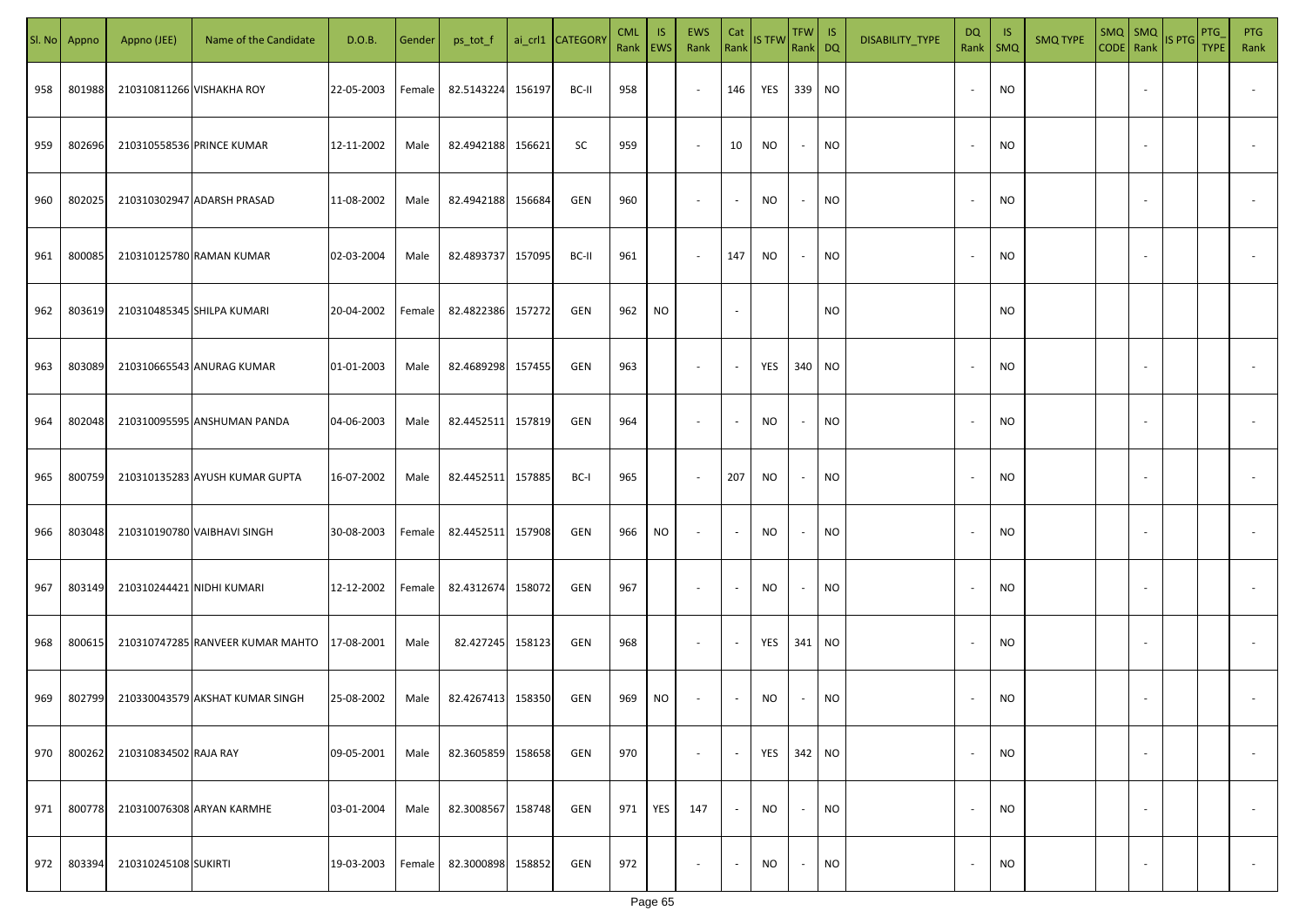|     | Sl. No Appno | Appno (JEE)               | Name of the Candidate            | D.O.B.     | Gender | ps_tot_f          |        | ai_crl1 CATEGORY | <b>CML</b><br>Rank EWS | IS. | <b>EWS</b><br>Rank       | Cat<br>Rank              | <b>IS TFW</b> | $TFW$ IS<br>Rank DQ      |           | DISABILITY_TYPE | <b>DQ</b> | - IS<br>Rank   SMQ | <b>SMQ TYPE</b> |                          | SMQ SMQ<br>CODE Rank IS PTG | <b>PTG</b><br><b>TYPE</b> | <b>PTG</b><br>Rank       |
|-----|--------------|---------------------------|----------------------------------|------------|--------|-------------------|--------|------------------|------------------------|-----|--------------------------|--------------------------|---------------|--------------------------|-----------|-----------------|-----------|--------------------|-----------------|--------------------------|-----------------------------|---------------------------|--------------------------|
| 958 | 801988       |                           | 210310811266 VISHAKHA ROY        | 22-05-2003 | Female | 82.5143224        | 156197 | BC-II            | 958                    |     | $\sim$                   | 146                      | YES 339 NO    |                          |           |                 |           | <b>NO</b>          |                 |                          |                             |                           |                          |
| 959 | 802696       |                           | 210310558536 PRINCE KUMAR        | 12-11-2002 | Male   | 82.4942188        | 156621 | SC               | 959                    |     | $\sim$                   | 10                       | NO            | $\sim$                   | <b>NO</b> |                 |           | <b>NO</b>          |                 |                          |                             |                           |                          |
| 960 | 802025       |                           | 210310302947 ADARSH PRASAD       | 11-08-2002 | Male   | 82.4942188        | 156684 | GEN              | 960                    |     | $\overline{\phantom{a}}$ | $\sim$                   | NO            | $\overline{\phantom{a}}$ | <b>NO</b> |                 |           | <b>NO</b>          |                 |                          |                             |                           |                          |
| 961 | 800085       |                           | 210310125780 RAMAN KUMAR         | 02-03-2004 | Male   | 82.4893737        | 157095 | BC-II            | 961                    |     | $\overline{\phantom{a}}$ | 147                      | NO            | $\sim$                   | <b>NO</b> |                 |           | NO                 |                 |                          |                             |                           |                          |
| 962 | 803619       |                           | 210310485345 SHILPA KUMARI       | 20-04-2002 | Female | 82.4822386 157272 |        | GEN              | 962                    | NO  |                          | $\sim$                   |               |                          | NO        |                 |           | <b>NO</b>          |                 |                          |                             |                           |                          |
| 963 | 803089       |                           | 210310665543 ANURAG KUMAR        | 01-01-2003 | Male   | 82.4689298 157455 |        | GEN              | 963                    |     | $\overline{\phantom{a}}$ | $\sim$                   | YES           | 340 NO                   |           |                 |           | <b>NO</b>          |                 |                          |                             |                           |                          |
| 964 | 802048       |                           | 210310095595 ANSHUMAN PANDA      | 04-06-2003 | Male   | 82.4452511        | 157819 | GEN              | 964                    |     | $\overline{\phantom{a}}$ | $\sim$                   | NO            | $\overline{\phantom{a}}$ | <b>NO</b> |                 |           | <b>NO</b>          |                 |                          |                             |                           |                          |
| 965 | 800759       |                           | 210310135283 AYUSH KUMAR GUPTA   | 16-07-2002 | Male   | 82.4452511        | 157885 | BC-I             | 965                    |     | $\sim$                   | 207                      | NO            | $\sim$                   | <b>NO</b> |                 |           | <b>NO</b>          |                 |                          |                             |                           |                          |
| 966 | 803048       |                           | 210310190780 VAIBHAVI SINGH      | 30-08-2003 | Female | 82.4452511 157908 |        | GEN              | 966                    | NO  | $\sim$                   | $\sim$                   | NO            | $\overline{\phantom{a}}$ | <b>NO</b> |                 |           | NO                 |                 |                          |                             |                           |                          |
| 967 | 803149       | 210310244421 NIDHI KUMARI |                                  | 12-12-2002 | Female | 82.4312674        | 158072 | GEN              | 967                    |     | $\sim$                   | $\sim$                   | NO            | $\overline{\phantom{a}}$ | <b>NO</b> |                 |           | <b>NO</b>          |                 |                          |                             |                           |                          |
| 968 | 800615       |                           | 210310747285 RANVEER KUMAR MAHTO | 17-08-2001 | Male   | 82.427245 158123  |        | GEN              | 968                    |     | $\sim$                   | $\overline{\phantom{a}}$ | YES           | 341 NO                   |           |                 |           | <b>NO</b>          |                 |                          |                             |                           |                          |
| 969 | 802799       |                           | 210330043579 AKSHAT KUMAR SINGH  | 25-08-2002 | Male   | 82.4267413 158350 |        | GEN              | 969                    | NO  | $\overline{\phantom{a}}$ | $\sim$                   | NO            |                          | <b>NO</b> |                 |           | <b>NO</b>          |                 |                          |                             |                           |                          |
| 970 | 800262       | 210310834502 RAJA RAY     |                                  | 09-05-2001 | Male   | 82.3605859        | 158658 | GEN              | 970                    |     | $\overline{\phantom{a}}$ | $\blacksquare$           | YES           | 342 NO                   |           |                 |           | <b>NO</b>          |                 | $\overline{\phantom{a}}$ |                             |                           | $\overline{\phantom{a}}$ |
| 971 | 800778       |                           | 210310076308 ARYAN KARMHE        | 03-01-2004 | Male   | 82.3008567        | 158748 | GEN              | 971                    | YES | 147                      | $\sim$                   | <b>NO</b>     | $\sim$                   | <b>NO</b> |                 | $\sim$    | <b>NO</b>          |                 | $\overline{\phantom{a}}$ |                             |                           | $\overline{\phantom{a}}$ |
| 972 | 803394       | 210310245108 SUKIRTI      |                                  | 19-03-2003 | Female | 82.3000898        | 158852 | GEN              | 972                    |     | $\overline{\phantom{a}}$ | $\sim$                   | <b>NO</b>     | $\overline{\phantom{a}}$ | <b>NO</b> |                 |           | <b>NO</b>          |                 | $\overline{\phantom{a}}$ |                             |                           | $\sim$                   |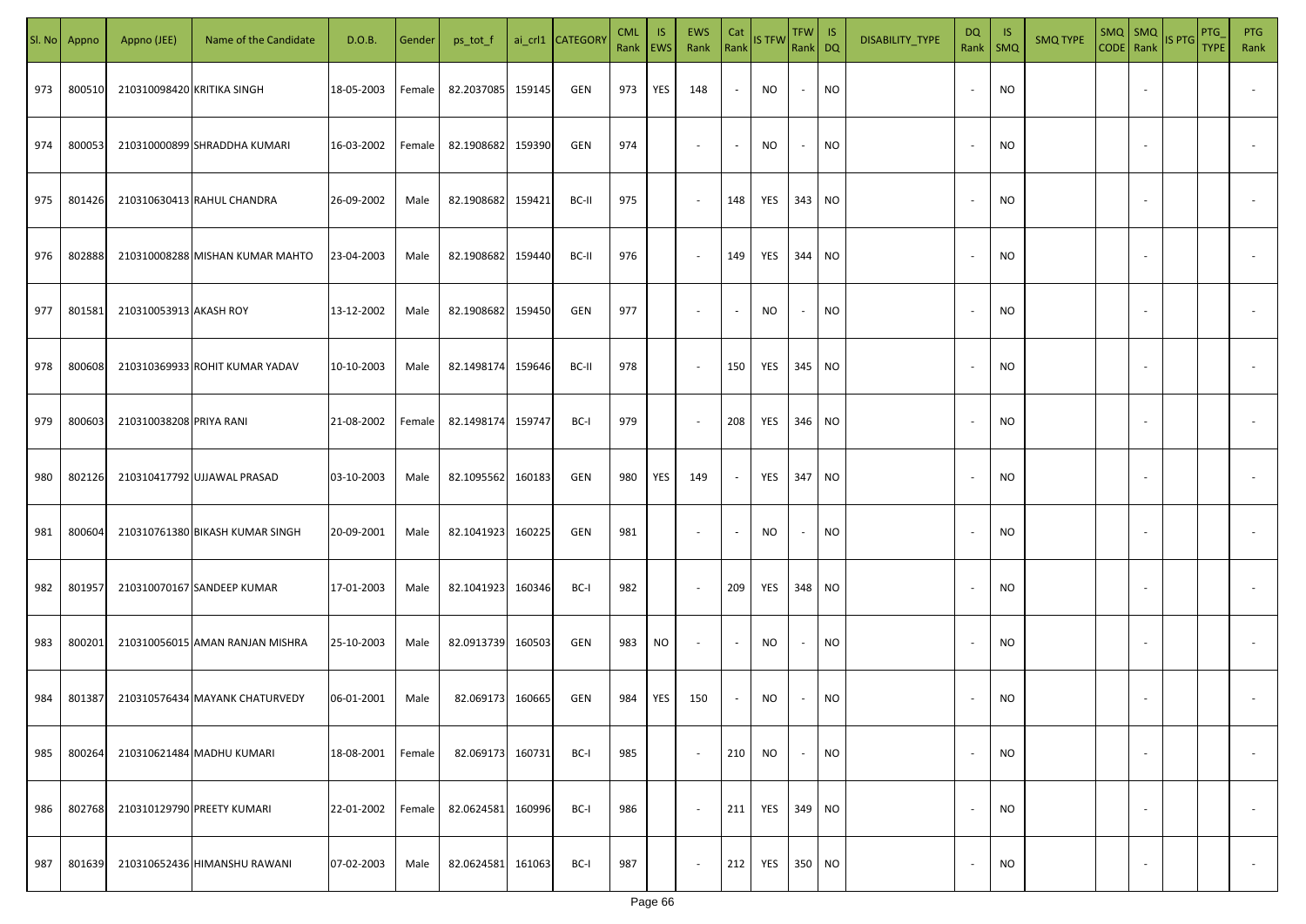|     | Sl. No Appno | Appno (JEE)                | Name of the Candidate           | D.O.B.     | Gender | ps_tot_f   |        | ai_crl1 CATEGORY | <b>CML</b><br>Rank EWS | IS. | <b>EWS</b><br>Rank       | Cat<br>Rank | <b>IS TFW</b> | $TFW$ IS<br>Rank DQ      |           | DISABILITY_TYPE | <b>DQ</b> | -IS<br>Rank   SMQ | <b>SMQ TYPE</b> |                          | SMQ SMQ<br>CODE Rank IS PTG | <b>PTG</b><br><b>TYPE</b> | <b>PTG</b><br>Rank       |
|-----|--------------|----------------------------|---------------------------------|------------|--------|------------|--------|------------------|------------------------|-----|--------------------------|-------------|---------------|--------------------------|-----------|-----------------|-----------|-------------------|-----------------|--------------------------|-----------------------------|---------------------------|--------------------------|
| 973 | 800510       | 210310098420 KRITIKA SINGH |                                 | 18-05-2003 | Female | 82.2037085 | 159145 | GEN              | 973                    | YES | 148                      | $\sim$      | NO            | $\sim$                   | <b>NO</b> |                 |           | <b>NO</b>         |                 |                          |                             |                           |                          |
| 974 | 800053       |                            | 210310000899 SHRADDHA KUMARI    | 16-03-2002 | Female | 82.1908682 | 159390 | GEN              | 974                    |     | $\overline{\phantom{a}}$ | $\sim$      | NO            | $\sim$                   | <b>NO</b> |                 |           | <b>NO</b>         |                 |                          |                             |                           |                          |
| 975 | 801426       |                            | 210310630413 RAHUL CHANDRA      | 26-09-2002 | Male   | 82.1908682 | 159421 | BC-II            | 975                    |     | $\overline{\phantom{a}}$ | 148         | YES           | 343 NO                   |           |                 |           | <b>NO</b>         |                 |                          |                             |                           |                          |
| 976 | 802888       |                            | 210310008288 MISHAN KUMAR MAHTO | 23-04-2003 | Male   | 82.1908682 | 159440 | BC-II            | 976                    |     | $\overline{\phantom{a}}$ | 149         | YES           | 344 NO                   |           |                 |           | <b>NO</b>         |                 |                          |                             |                           |                          |
| 977 | 801581       | 210310053913 AKASH ROY     |                                 | 13-12-2002 | Male   | 82.1908682 | 159450 | GEN              | 977                    |     | $\overline{\phantom{a}}$ | $\sim$      | NO            | $\overline{\phantom{a}}$ | <b>NO</b> |                 |           | <b>NO</b>         |                 |                          |                             |                           |                          |
| 978 | 800608       |                            | 210310369933 ROHIT KUMAR YADAV  | 10-10-2003 | Male   | 82.1498174 | 159646 | BC-II            | 978                    |     | $\overline{\phantom{a}}$ | 150         | YES           | 345 NO                   |           |                 |           | <b>NO</b>         |                 |                          |                             |                           |                          |
| 979 | 800603       | 210310038208 PRIYA RANI    |                                 | 21-08-2002 | Female | 82.1498174 | 159747 | BC-I             | 979                    |     | $\overline{\phantom{a}}$ | 208         | YES           | 346 NO                   |           |                 |           | <b>NO</b>         |                 |                          |                             |                           |                          |
| 980 | 802126       |                            | 210310417792 UJJAWAL PRASAD     | 03-10-2003 | Male   | 82.1095562 | 160183 | GEN              | 980                    | YES | 149                      | $\sim$      | YES           | 347 NO                   |           |                 |           | <b>NO</b>         |                 |                          |                             |                           |                          |
| 981 | 800604       |                            | 210310761380 BIKASH KUMAR SINGH | 20-09-2001 | Male   | 82.1041923 | 160225 | GEN              | 981                    |     | $\overline{\phantom{a}}$ | $\sim$      | NO            | $\overline{\phantom{a}}$ | <b>NO</b> |                 |           | NO                |                 |                          |                             |                           |                          |
| 982 | 801957       |                            | 210310070167 SANDEEP KUMAR      | 17-01-2003 | Male   | 82.1041923 | 160346 | BC-I             | 982                    |     | $\sim$                   | 209         | YES           | 348 NO                   |           |                 |           | <b>NO</b>         |                 |                          |                             |                           |                          |
| 983 | 800201       |                            | 210310056015 AMAN RANJAN MISHRA | 25-10-2003 | Male   | 82.0913739 | 160503 | GEN              | 983                    | NO  | $\sim$                   | $\sim$      | <b>NO</b>     |                          | <b>NO</b> |                 |           | <b>NO</b>         |                 |                          |                             |                           |                          |
| 984 | 801387       |                            | 210310576434 MAYANK CHATURVEDY  | 06-01-2001 | Male   | 82.069173  | 160665 | GEN              | 984                    | YES | 150                      | $\sim$      | NO            |                          | <b>NO</b> |                 |           | <b>NO</b>         |                 |                          |                             |                           |                          |
| 985 | 800264       |                            | 210310621484 MADHU KUMARI       | 18-08-2001 | Female | 82.069173  | 160731 | BC-I             | 985                    |     | $\blacksquare$           | 210         | NO            | $\overline{\phantom{a}}$ | <b>NO</b> |                 |           | <b>NO</b>         |                 | $\overline{\phantom{a}}$ |                             |                           | $\overline{\phantom{a}}$ |
| 986 | 802768       |                            | 210310129790 PREETY KUMARI      | 22-01-2002 | Female | 82.0624581 | 160996 | BC-I             | 986                    |     | $\sim$                   | 211         | YES 349 NO    |                          |           |                 |           | <b>NO</b>         |                 | $\overline{\phantom{a}}$ |                             |                           | $\overline{\phantom{a}}$ |
| 987 | 801639       |                            | 210310652436 HIMANSHU RAWANI    | 07-02-2003 | Male   | 82.0624581 | 161063 | BC-I             | 987                    |     | $\sim$                   | 212         | YES 350 NO    |                          |           |                 |           | <b>NO</b>         |                 | $\overline{\phantom{a}}$ |                             |                           | $\sim$                   |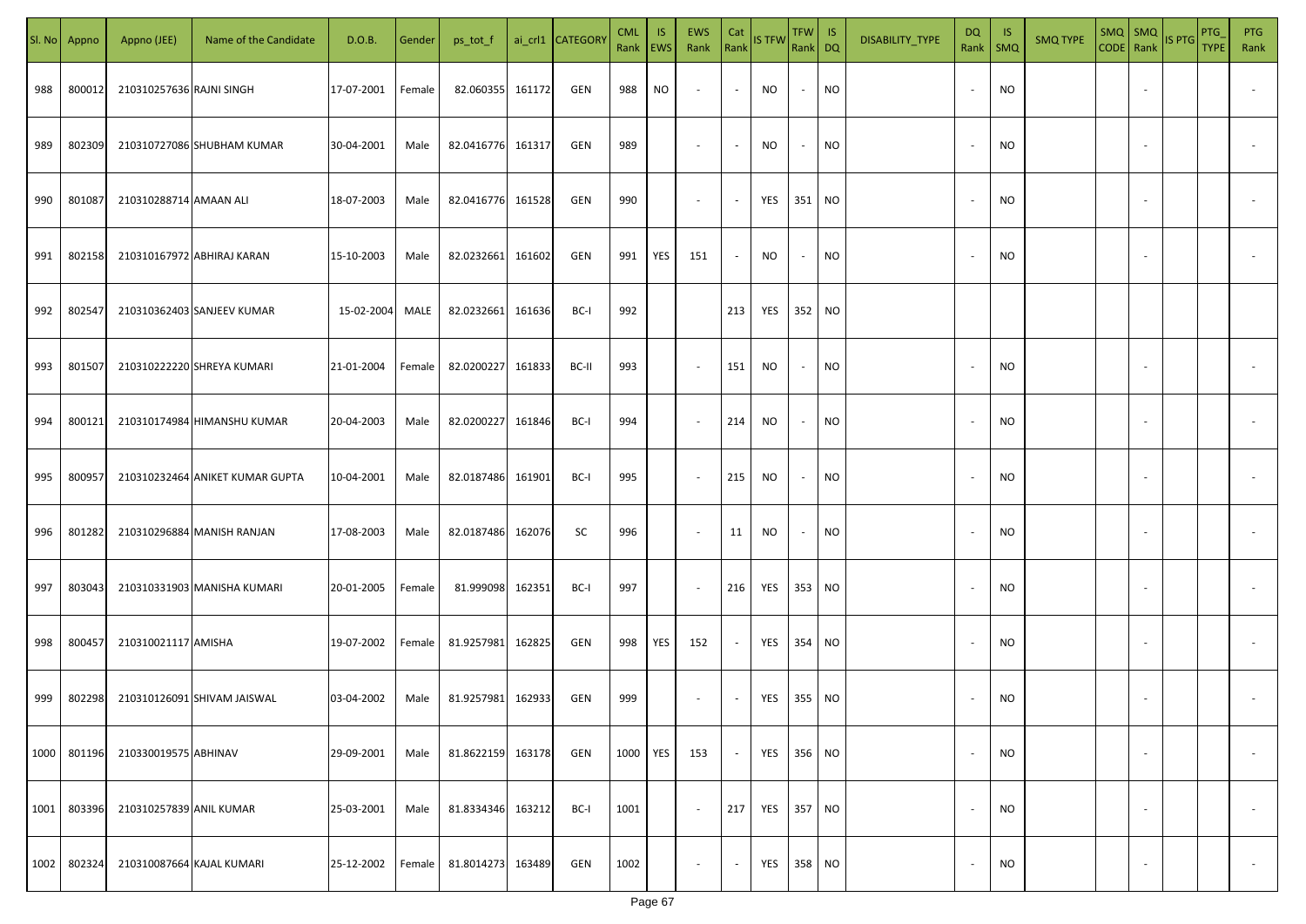| SI. No. | Appno  | Appno (JEE)               | Name of the Candidate           | D.O.B.     | Gender | ps_tot_f          |        | ai_crl1 CATEGORY | <b>CML</b><br>Rank   EWS | IS. | EWS<br>Rank              | Cat<br>Rank              | <b>IS TFW</b> | $TFW$ IS<br>Rank DQ      |           | DISABILITY_TYPE | DQ                       | -IS<br>Rank   SMQ | <b>SMQ TYPE</b> |                          | $\begin{array}{ c c c c }\n\hline\n\text{SMQ} & \text{SMQ} \\ \hline\n\text{CODE} & \text{Rank}\n\end{array}$ IS PTG | PTG<br><b>TYPE</b> | <b>PTG</b><br>Rank       |
|---------|--------|---------------------------|---------------------------------|------------|--------|-------------------|--------|------------------|--------------------------|-----|--------------------------|--------------------------|---------------|--------------------------|-----------|-----------------|--------------------------|-------------------|-----------------|--------------------------|----------------------------------------------------------------------------------------------------------------------|--------------------|--------------------------|
| 988     | 800012 | 210310257636 RAJNI SINGH  |                                 | 17-07-2001 | Female | 82.060355         | 161172 | GEN              | 988                      | NO  | $\overline{\phantom{a}}$ | $\blacksquare$           | NO            | $\sim$                   | <b>NO</b> |                 |                          | <b>NO</b>         |                 |                          |                                                                                                                      |                    |                          |
| 989     | 802309 |                           | 210310727086 SHUBHAM KUMAR      | 30-04-2001 | Male   | 82.0416776 161317 |        | GEN              | 989                      |     | $\sim$                   | $\sim$                   | NO            | $\sim$                   | <b>NO</b> |                 |                          | <b>NO</b>         |                 |                          |                                                                                                                      |                    |                          |
| 990     | 801087 | 210310288714 AMAAN ALI    |                                 | 18-07-2003 | Male   | 82.0416776 161528 |        | GEN              | 990                      |     | $\overline{\phantom{a}}$ | $\sim$                   | YES           | 351 NO                   |           |                 | $\sim$                   | <b>NO</b>         |                 |                          |                                                                                                                      |                    |                          |
| 991     | 802158 |                           | 210310167972 ABHIRAJ KARAN      | 15-10-2003 | Male   | 82.0232661        | 161602 | GEN              | 991                      | YES | 151                      | $\sim$                   | NO            | $\overline{\phantom{a}}$ | <b>NO</b> |                 |                          | <b>NO</b>         |                 |                          |                                                                                                                      |                    |                          |
| 992     | 802547 |                           | 210310362403 SANJEEV KUMAR      | 15-02-2004 | MALE   | 82.0232661        | 161636 | BC-I             | 992                      |     |                          | 213                      | YES           | 352 NO                   |           |                 |                          |                   |                 |                          |                                                                                                                      |                    |                          |
| 993     | 801507 |                           | 210310222220 SHREYA KUMARI      | 21-01-2004 | Female | 82.0200227 161833 |        | BC-II            | 993                      |     | $\overline{\phantom{a}}$ | 151                      | NO            | $\sim$                   | <b>NO</b> |                 |                          | <b>NO</b>         |                 |                          |                                                                                                                      |                    |                          |
| 994     | 800121 |                           | 210310174984 HIMANSHU KUMAR     | 20-04-2003 | Male   | 82.0200227 161846 |        | BC-I             | 994                      |     | $\overline{\phantom{a}}$ | 214                      | <b>NO</b>     | $\sim$                   | <b>NO</b> |                 |                          | <b>NO</b>         |                 |                          |                                                                                                                      |                    |                          |
| 995     | 800957 |                           | 210310232464 ANIKET KUMAR GUPTA | 10-04-2001 | Male   | 82.0187486        | 161901 | BC-I             | 995                      |     | $\sim$                   | 215                      | <b>NO</b>     | $\overline{\phantom{a}}$ | <b>NO</b> |                 |                          | <b>NO</b>         |                 |                          |                                                                                                                      |                    |                          |
| 996     | 801282 |                           | 210310296884 MANISH RANJAN      | 17-08-2003 | Male   | 82.0187486        | 162076 | SC               | 996                      |     | $\overline{\phantom{a}}$ | 11                       | NO            | $\overline{\phantom{a}}$ | <b>NO</b> |                 |                          | <b>NO</b>         |                 |                          |                                                                                                                      |                    |                          |
| 997     | 803043 |                           | 210310331903 MANISHA KUMARI     | 20-01-2005 | Female | 81.999098         | 162351 | BC-I             | 997                      |     | $\sim$                   | 216                      | YES           | 353 NO                   |           |                 |                          | <b>NO</b>         |                 |                          |                                                                                                                      |                    |                          |
| 998     | 800457 | 210310021117 AMISHA       |                                 | 19-07-2002 | Female | 81.9257981        | 162825 | GEN              | 998                      | YES | 152                      | $\sim$                   | YES           | 354 NO                   |           |                 |                          | <b>NO</b>         |                 |                          |                                                                                                                      |                    |                          |
| 999     | 802298 |                           | 210310126091 SHIVAM JAISWAL     | 03-04-2002 | Male   | 81.9257981        | 162933 | GEN              | 999                      |     | $\sim$                   | $\overline{\phantom{a}}$ | YES           | 355 NO                   |           |                 |                          | <b>NO</b>         |                 |                          |                                                                                                                      |                    |                          |
| 1000    | 801196 | 210330019575 ABHINAV      |                                 | 29-09-2001 | Male   | 81.8622159        | 163178 | GEN              | 1000                     | YES | 153                      | $\sim$                   | YES           | 356 NO                   |           |                 |                          | <b>NO</b>         |                 | $\overline{\phantom{a}}$ |                                                                                                                      |                    | $\overline{\phantom{a}}$ |
| 1001    | 803396 | 210310257839 ANIL KUMAR   |                                 | 25-03-2001 | Male   | 81.8334346        | 163212 | BC-I             | 1001                     |     | $\sim$                   | 217                      | YES           | 357 NO                   |           |                 | $\overline{\phantom{a}}$ | <b>NO</b>         |                 | $\overline{\phantom{a}}$ |                                                                                                                      |                    | $\overline{\phantom{a}}$ |
| 1002    | 802324 | 210310087664 KAJAL KUMARI |                                 | 25-12-2002 | Female | 81.8014273        | 163489 | GEN              | 1002                     |     | $\overline{\phantom{a}}$ | $\blacksquare$           | YES           | 358 NO                   |           |                 |                          | <b>NO</b>         |                 | $\overline{\phantom{a}}$ |                                                                                                                      |                    | $\sim$                   |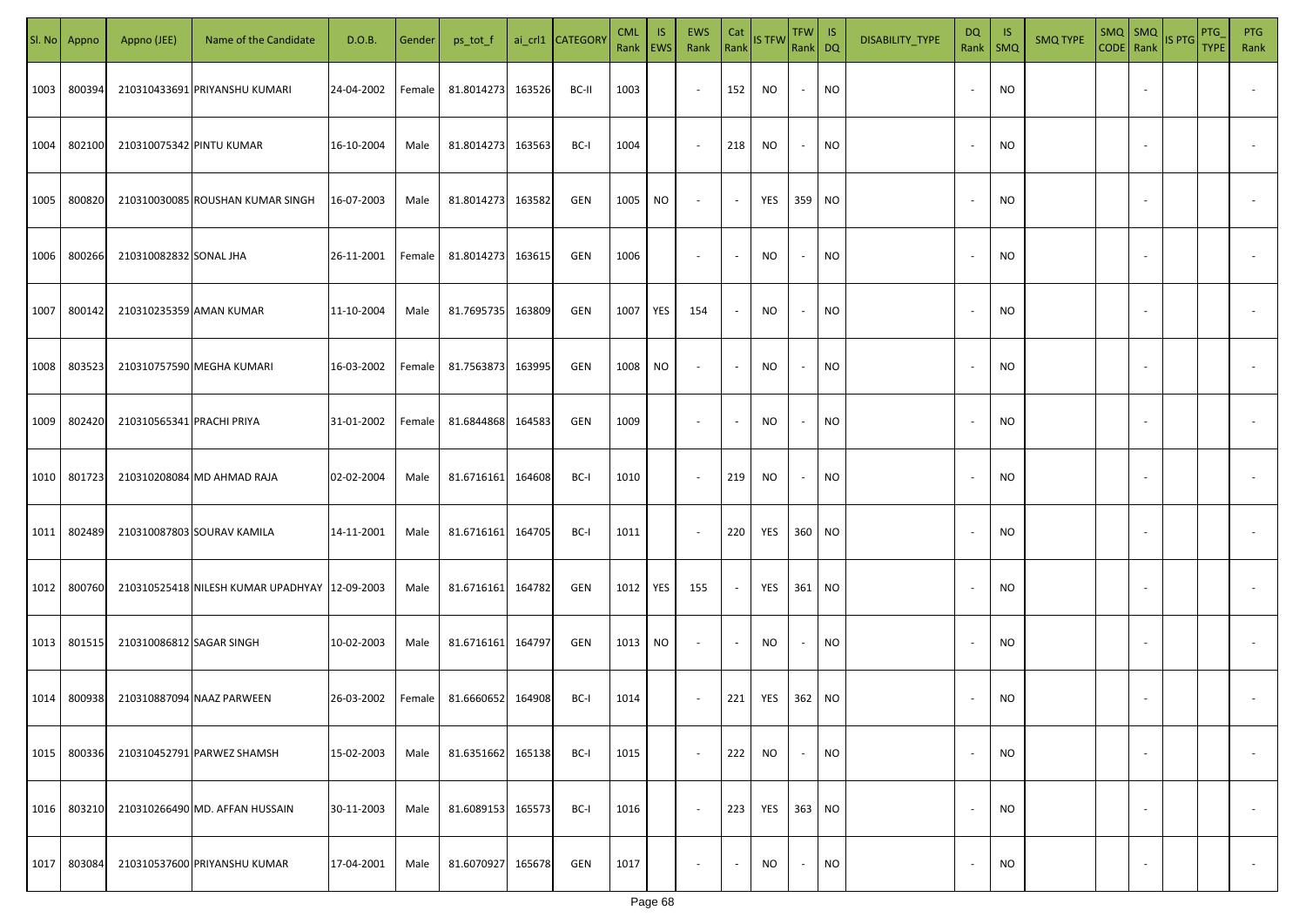|      | Sl. No Appno | Appno (JEE)               | Name of the Candidate                           | D.O.B.     | Gender | ps_tot_f          |        | ai_crl1 CATEGORY | <b>CML</b><br>Rank EWS | IS. | EWS<br>Rank              | Cat<br>Rank              | <b>IS TFW</b> | $TFW$ IS<br>Rank DQ      |           | DISABILITY_TYPE | <b>DQ</b> | - IS<br>Rank   SMQ | <b>SMQ TYPE</b> |                          | SMQ SMQ<br>CODE Rank IS PTG | <b>PTG</b><br><b>TYPE</b> | <b>PTG</b><br>Rank       |
|------|--------------|---------------------------|-------------------------------------------------|------------|--------|-------------------|--------|------------------|------------------------|-----|--------------------------|--------------------------|---------------|--------------------------|-----------|-----------------|-----------|--------------------|-----------------|--------------------------|-----------------------------|---------------------------|--------------------------|
| 1003 | 800394       |                           | 210310433691 PRIYANSHU KUMARI                   | 24-04-2002 | Female | 81.8014273        | 163526 | BC-II            | 1003                   |     | $\sim$                   | 152                      | NO            | $\sim$                   | <b>NO</b> |                 |           | <b>NO</b>          |                 |                          |                             |                           |                          |
| 1004 | 802100       | 210310075342 PINTU KUMAR  |                                                 | 16-10-2004 | Male   | 81.8014273        | 163563 | BC-I             | 1004                   |     | $\sim$                   | 218                      | NO            | $\sim$                   | <b>NO</b> |                 |           | <b>NO</b>          |                 |                          |                             |                           |                          |
| 1005 | 800820       |                           | 210310030085 ROUSHAN KUMAR SINGH                | 16-07-2003 | Male   | 81.8014273        | 163582 | GEN              | 1005                   | NO  | $\overline{\phantom{a}}$ | $\sim$                   | YES           | 359 NO                   |           |                 |           | <b>NO</b>          |                 |                          |                             |                           |                          |
| 1006 | 800266       | 210310082832 SONAL JHA    |                                                 | 26-11-2001 | Female | 81.8014273        | 163615 | GEN              | 1006                   |     | $\overline{\phantom{a}}$ | $\sim$                   | NO            | $\sim$                   | <b>NO</b> |                 |           | <b>NO</b>          |                 |                          |                             |                           |                          |
| 1007 | 800142       | 210310235359 AMAN KUMAR   |                                                 | 11-10-2004 | Male   | 81.7695735        | 163809 | GEN              | 1007                   | YES | 154                      | $\sim$                   | NO            | $\overline{\phantom{a}}$ | <b>NO</b> |                 |           | <b>NO</b>          |                 |                          |                             |                           |                          |
| 1008 | 803523       |                           | 210310757590 MEGHA KUMARI                       | 16-03-2002 | Female | 81.7563873        | 163995 | GEN              | 1008                   | NO. | $\overline{\phantom{a}}$ | $\sim$                   | NO            | $\sim$                   | <b>NO</b> |                 |           | <b>NO</b>          |                 |                          |                             |                           |                          |
| 1009 | 802420       | 210310565341 PRACHI PRIYA |                                                 | 31-01-2002 | Female | 81.6844868        | 164583 | GEN              | 1009                   |     | $\overline{\phantom{a}}$ | $\sim$                   | NO            | $\overline{\phantom{a}}$ | <b>NO</b> |                 |           | <b>NO</b>          |                 |                          |                             |                           |                          |
| 1010 | 801723       |                           | 210310208084 MD AHMAD RAJA                      | 02-02-2004 | Male   | 81.6716161        | 164608 | BC-I             | 1010                   |     | $\sim$                   | 219                      | NO            | $\overline{\phantom{a}}$ | <b>NO</b> |                 |           | <b>NO</b>          |                 |                          |                             |                           |                          |
| 1011 | 802489       |                           | 210310087803 SOURAV KAMILA                      | 14-11-2001 | Male   | 81.6716161        | 164705 | BC-I             | 1011                   |     | $\sim$                   | 220                      | YES           | 360 NO                   |           |                 |           | NO                 |                 |                          |                             |                           |                          |
| 1012 | 800760       |                           | 210310525418 NILESH KUMAR UPADHYAY   12-09-2003 |            | Male   | 81.6716161 164782 |        | GEN              | 1012                   | YES | 155                      | $\sim$                   | YES           | 361 NO                   |           |                 |           | <b>NO</b>          |                 |                          |                             |                           |                          |
| 1013 | 801515       | 210310086812 SAGAR SINGH  |                                                 | 10-02-2003 | Male   | 81.6716161 164797 |        | GEN              | 1013                   | NO. | $\sim$                   | $\overline{\phantom{a}}$ | <b>NO</b>     |                          | <b>NO</b> |                 |           | <b>NO</b>          |                 |                          |                             |                           |                          |
| 1014 | 800938       |                           | 210310887094 NAAZ PARWEEN                       | 26-03-2002 | Female | 81.6660652        | 164908 | BC-I             | 1014                   |     | $\sim$                   | 221                      | YES           | 362 NO                   |           |                 |           | <b>NO</b>          |                 |                          |                             |                           |                          |
| 1015 | 800336       |                           | 210310452791 PARWEZ SHAMSH                      | 15-02-2003 | Male   | 81.6351662        | 165138 | BC-I             | 1015                   |     | $\sim$                   | 222                      | <b>NO</b>     | $\overline{\phantom{a}}$ | <b>NO</b> |                 |           | <b>NO</b>          |                 | $\overline{\phantom{a}}$ |                             |                           | $\overline{\phantom{a}}$ |
| 1016 | 803210       |                           | 210310266490 MD. AFFAN HUSSAIN                  | 30-11-2003 | Male   | 81.6089153        | 165573 | BC-I             | 1016                   |     | $\sim$                   | 223                      | YES           | 363 NO                   |           |                 |           | <b>NO</b>          |                 | $\overline{\phantom{a}}$ |                             |                           | $\overline{\phantom{a}}$ |
| 1017 | 803084       |                           | 210310537600 PRIYANSHU KUMAR                    | 17-04-2001 | Male   | 81.6070927        | 165678 | GEN              | 1017                   |     | $\overline{\phantom{a}}$ | $\sim$                   | NO            | $\sim$                   | <b>NO</b> |                 |           | <b>NO</b>          |                 | $\overline{\phantom{a}}$ |                             |                           | $\sim$                   |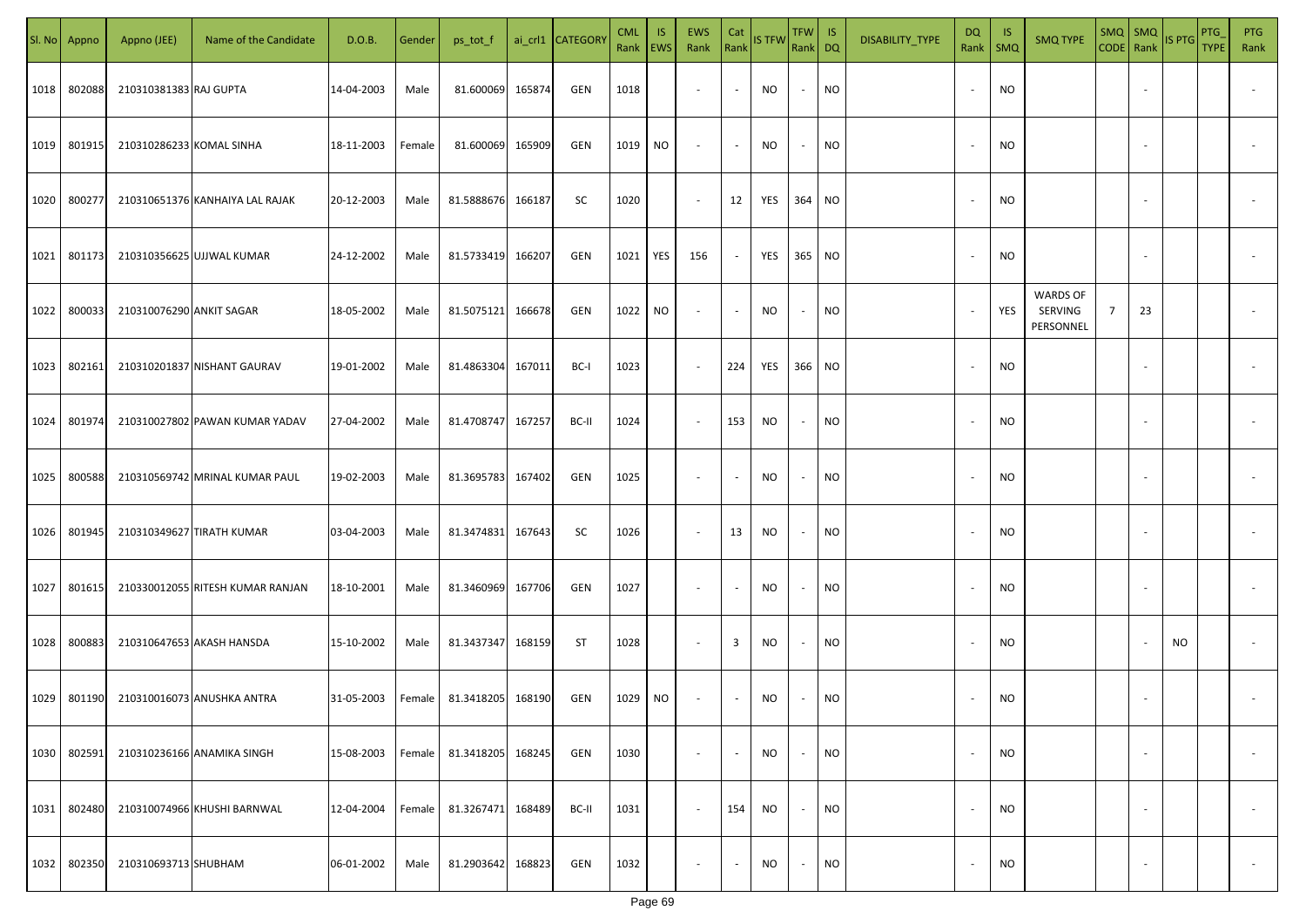|      | Sl. No Appno | Appno (JEE)              | Name of the Candidate            | D.O.B.     | Gender | ps_tot_f   |        | ai_crl1 CATEGORY | <b>CML</b><br>Rank | IS.<br>EWS | <b>EWS</b><br>Rank       | Cat<br>Rank             | <b>IS TFW</b> | TFW  <br>Rank DQ         | IS        | DISABILITY_TYPE | DQ                       | -IS<br>Rank   SMQ | <b>SMQ TYPE</b>                         |                | $SMQ$ $SMQ$<br>CODE Rank | IS PTG | PTG<br><b>TYPE</b> | <b>PTG</b><br>Rank |
|------|--------------|--------------------------|----------------------------------|------------|--------|------------|--------|------------------|--------------------|------------|--------------------------|-------------------------|---------------|--------------------------|-----------|-----------------|--------------------------|-------------------|-----------------------------------------|----------------|--------------------------|--------|--------------------|--------------------|
| 1018 | 802088       | 210310381383 RAJ GUPTA   |                                  | 14-04-2003 | Male   | 81.600069  | 165874 | GEN              | 1018               |            | $\overline{\phantom{a}}$ |                         | <b>NO</b>     | $\overline{\phantom{a}}$ | <b>NO</b> |                 | $\overline{\phantom{a}}$ | NO                |                                         |                |                          |        |                    |                    |
| 1019 | 801915       | 210310286233 KOMAL SINHA |                                  | 18-11-2003 | Female | 81.600069  | 165909 | GEN              | 1019               | NO         | $\overline{\phantom{a}}$ |                         | NO            | $\overline{\phantom{a}}$ | <b>NO</b> |                 | $\overline{\phantom{a}}$ | <b>NO</b>         |                                         |                |                          |        |                    |                    |
| 1020 | 800277       |                          | 210310651376 KANHAIYA LAL RAJAK  | 20-12-2003 | Male   | 81.5888676 | 166187 | SC               | 1020               |            | $\sim$                   | 12                      | YES           | 364 NO                   |           |                 | $\overline{\phantom{a}}$ | <b>NO</b>         |                                         |                |                          |        |                    |                    |
| 1021 | 801173       |                          | 210310356625 UJJWAL KUMAR        | 24-12-2002 | Male   | 81.5733419 | 166207 | GEN              | 1021               | YES        | 156                      |                         | YES           | 365 NO                   |           |                 | $\overline{\phantom{a}}$ | NO                |                                         |                |                          |        |                    |                    |
| 1022 | 800033       | 210310076290 ANKIT SAGAR |                                  | 18-05-2002 | Male   | 81.5075121 | 166678 | GEN              | 1022               | NO         | $\overline{\phantom{a}}$ |                         | NO            | $\overline{\phantom{a}}$ | NO        |                 | $\overline{\phantom{a}}$ | YES               | <b>WARDS OF</b><br>SERVING<br>PERSONNEL | $\overline{7}$ | 23                       |        |                    |                    |
| 1023 | 802161       |                          | 210310201837 NISHANT GAURAV      | 19-01-2002 | Male   | 81.4863304 | 167011 | BC-I             | 1023               |            | $\overline{\phantom{a}}$ | 224                     | YES           | 366 NO                   |           |                 | $\sim$                   | NO                |                                         |                |                          |        |                    |                    |
| 1024 | 801974       |                          | 210310027802 PAWAN KUMAR YADAV   | 27-04-2002 | Male   | 81.4708747 | 167257 | BC-II            | 1024               |            | $\overline{\phantom{a}}$ | 153                     | NO            | $\overline{\phantom{a}}$ | <b>NO</b> |                 | $\overline{\phantom{a}}$ | <b>NO</b>         |                                         |                |                          |        |                    |                    |
| 1025 | 800588       |                          | 210310569742 MRINAL KUMAR PAUL   | 19-02-2003 | Male   | 81.3695783 | 167402 | GEN              | 1025               |            | $\overline{\phantom{a}}$ |                         | <b>NO</b>     |                          | <b>NO</b> |                 |                          | <b>NO</b>         |                                         |                |                          |        |                    |                    |
| 1026 | 801945       |                          | 210310349627 TIRATH KUMAR        | 03-04-2003 | Male   | 81.3474831 | 167643 | SC               | 1026               |            | $\sim$                   | 13                      | <b>NO</b>     | $\overline{\phantom{a}}$ | <b>NO</b> |                 | $\overline{\phantom{a}}$ | <b>NO</b>         |                                         |                |                          |        |                    |                    |
| 1027 | 801615       |                          | 210330012055 RITESH KUMAR RANJAN | 18-10-2001 | Male   | 81.3460969 | 167706 | GEN              | 1027               |            | $\overline{\phantom{a}}$ |                         | NO            | $\overline{\phantom{a}}$ | <b>NO</b> |                 |                          | NO                |                                         |                |                          |        |                    |                    |
| 1028 | 800883       |                          | 210310647653 AKASH HANSDA        | 15-10-2002 | Male   | 81.3437347 | 168159 | <b>ST</b>        | 1028               |            | $\sim$                   | $\overline{\mathbf{3}}$ | <b>NO</b>     | $\sim$                   | <b>NO</b> |                 | $\overline{\phantom{a}}$ | <b>NO</b>         |                                         |                |                          | NO.    |                    |                    |
| 1029 | 801190       |                          | 210310016073 ANUSHKA ANTRA       | 31-05-2003 | Female | 81.3418205 | 168190 | GEN              | 1029               | NO.        | $\sim$                   |                         | NO            |                          | <b>NO</b> |                 |                          | <b>NO</b>         |                                         |                |                          |        |                    |                    |
| 1030 | 802591       |                          | 210310236166 ANAMIKA SINGH       | 15-08-2003 | Female | 81.3418205 | 168245 | GEN              | 1030               |            | $\overline{\phantom{a}}$ |                         | NO            | $\overline{\phantom{a}}$ | <b>NO</b> |                 | $\overline{\phantom{a}}$ | <b>NO</b>         |                                         |                |                          |        |                    |                    |
| 1031 | 802480       |                          | 210310074966 KHUSHI BARNWAL      | 12-04-2004 | Female | 81.3267471 | 168489 | BC-II            | 1031               |            | $\overline{\phantom{a}}$ | 154                     | NO            | $\overline{\phantom{a}}$ | <b>NO</b> |                 | $\overline{\phantom{a}}$ | <b>NO</b>         |                                         |                |                          |        |                    |                    |
| 1032 | 802350       | 210310693713 SHUBHAM     |                                  | 06-01-2002 | Male   | 81.2903642 | 168823 | GEN              | 1032               |            | $\overline{\phantom{a}}$ |                         | <b>NO</b>     | $\overline{\phantom{a}}$ | <b>NO</b> |                 | $\overline{\phantom{a}}$ | <b>NO</b>         |                                         |                |                          |        |                    |                    |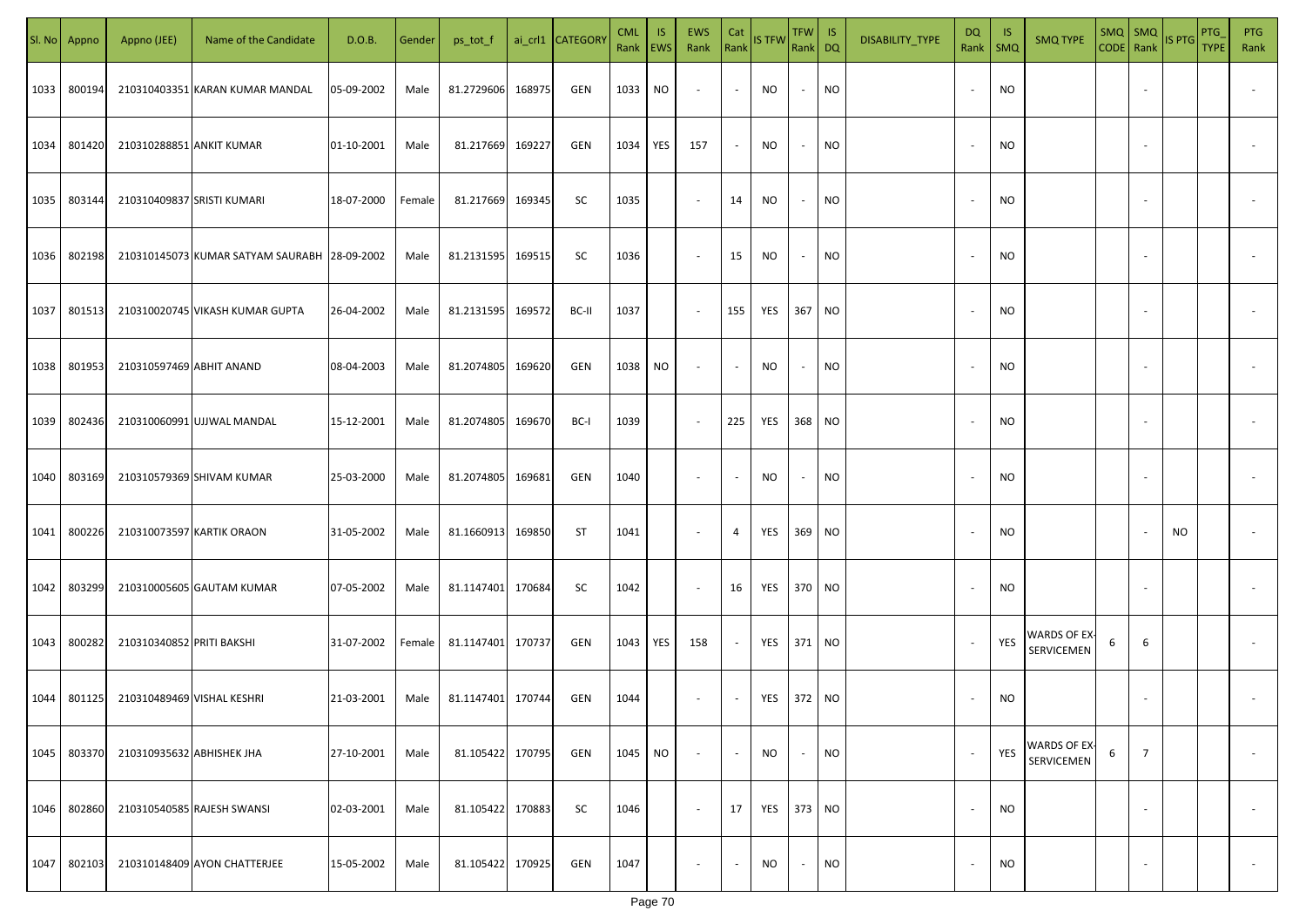| SI. No. | Appno  | Appno (JEE)                | Name of the Candidate                        | D.O.B.     | Gender | ps_tot_f          |        | ai_crl1 CATEGORY | <b>CML</b><br>Rank EWS | IS. | EWS<br>Rank              | Cat<br>Rank              | <b>IS TFW</b> | <b>TFW</b><br>Rank DQ    | IS        | DISABILITY_TYPE | DQ<br>Rank               | -IS<br>$\mathsf{SMQ}$ | <b>SMQ TYPE</b>            | $SMQ$ SMQ<br>CODE Rank |                | IS PTG    | PTG<br><b>TYPE</b> | <b>PTG</b><br>Rank       |
|---------|--------|----------------------------|----------------------------------------------|------------|--------|-------------------|--------|------------------|------------------------|-----|--------------------------|--------------------------|---------------|--------------------------|-----------|-----------------|--------------------------|-----------------------|----------------------------|------------------------|----------------|-----------|--------------------|--------------------------|
| 1033    | 800194 |                            | 210310403351 KARAN KUMAR MANDAL              | 05-09-2002 | Male   | 81.2729606        | 168975 | GEN              | 1033                   | NO. | $\overline{\phantom{a}}$ | $\sim$                   | NO            | $\sim$                   | <b>NO</b> |                 |                          | NO                    |                            |                        |                |           |                    |                          |
| 1034    | 801420 | 210310288851 ANKIT KUMAR   |                                              | 01-10-2001 | Male   | 81.217669         | 169227 | GEN              | 1034                   | YES | 157                      | $\sim$                   | NO.           | $\sim$                   | <b>NO</b> |                 |                          | <b>NO</b>             |                            |                        |                |           |                    |                          |
| 1035    | 803144 | 210310409837 SRISTI KUMARI |                                              | 18-07-2000 | Female | 81.217669         | 169345 | SC               | 1035                   |     | $\overline{\phantom{a}}$ | 14                       | NO            | $\sim$                   | <b>NO</b> |                 |                          | NO.                   |                            |                        |                |           |                    |                          |
| 1036    | 802198 |                            | 210310145073 KUMAR SATYAM SAURABH 28-09-2002 |            | Male   | 81.2131595        | 169515 | SC               | 1036                   |     | $\sim$                   | 15                       | NO.           | $\sim$                   | <b>NO</b> |                 |                          | NO.                   |                            |                        |                |           |                    |                          |
| 1037    | 801513 |                            | 210310020745 VIKASH KUMAR GUPTA              | 26-04-2002 | Male   | 81.2131595        | 169572 | BC-II            | 1037                   |     | $\overline{\phantom{a}}$ | 155                      | YES           | 367                      | <b>NO</b> |                 |                          | NO.                   |                            |                        |                |           |                    |                          |
| 1038    | 801953 | 210310597469 ABHIT ANAND   |                                              | 08-04-2003 | Male   | 81.2074805        | 169620 | <b>GEN</b>       | 1038                   | NO. | $\overline{\phantom{a}}$ | $\overline{\phantom{a}}$ | NO.           | $\overline{\phantom{a}}$ | <b>NO</b> |                 |                          | <b>NO</b>             |                            |                        |                |           |                    |                          |
| 1039    | 802436 |                            | 210310060991 UJJWAL MANDAL                   | 15-12-2001 | Male   | 81.2074805        | 169670 | BC-I             | 1039                   |     | $\overline{\phantom{a}}$ | 225                      | YES           | 368                      | <b>NO</b> |                 |                          | <b>NO</b>             |                            |                        |                |           |                    |                          |
| 1040    | 803169 |                            | 210310579369 SHIVAM KUMAR                    | 25-03-2000 | Male   | 81.2074805        | 169681 | <b>GEN</b>       | 1040                   |     | $\sim$                   |                          | NO            | $\overline{\phantom{a}}$ | <b>NO</b> |                 |                          | <b>NO</b>             |                            |                        |                |           |                    |                          |
| 1041    | 800226 |                            | 210310073597 KARTIK ORAON                    | 31-05-2002 | Male   | 81.1660913        | 169850 | ST               | 1041                   |     | $\sim$                   | $\overline{4}$           | YES           | 369                      | <b>NO</b> |                 |                          | NO.                   |                            |                        |                | <b>NO</b> |                    |                          |
| 1042    | 803299 |                            | 210310005605 GAUTAM KUMAR                    | 07-05-2002 | Male   | 81.1147401        | 170684 | SC               | 1042                   |     | $\sim$                   | 16                       | YES           | 370 NO                   |           |                 |                          | <b>NO</b>             |                            |                        |                |           |                    |                          |
| 1043    | 800282 | 210310340852 PRITI BAKSHI  |                                              | 31-07-2002 | Female | 81.1147401 170737 |        | GEN              | 1043                   | YES | 158                      |                          | YES           | 371 NO                   |           |                 |                          | YES                   | WARDS OF EX-<br>SERVICEMEN | 6                      | 6              |           |                    |                          |
| 1044    | 801125 | 210310489469 VISHAL KESHRI |                                              | 21-03-2001 | Male   | 81.1147401 170744 |        | GEN              | 1044                   |     | $\overline{\phantom{a}}$ |                          | YES           | 372 NO                   |           |                 |                          | <b>NO</b>             |                            |                        |                |           |                    |                          |
| 1045    | 803370 | 210310935632 ABHISHEK JHA  |                                              | 27-10-2001 | Male   | 81.105422         | 170795 | GEN              | 1045                   | NO. | $\overline{\phantom{a}}$ | $\sim$                   | <b>NO</b>     | $\sim$                   | <b>NO</b> |                 |                          | YES                   | WARDS OF EX-<br>SERVICEMEN | 6                      | $\overline{7}$ |           |                    | $\sim$                   |
| 1046    | 802860 |                            | 210310540585 RAJESH SWANSI                   | 02-03-2001 | Male   | 81.105422         | 170883 | SC               | 1046                   |     | $\overline{\phantom{a}}$ | 17                       | YES           | 373 NO                   |           |                 | $\overline{\phantom{a}}$ | <b>NO</b>             |                            |                        | $\sim$         |           |                    | $\overline{\phantom{a}}$ |
| 1047    | 802103 |                            | 210310148409 AYON CHATTERJEE                 | 15-05-2002 | Male   | 81.105422         | 170925 | GEN              | 1047                   |     | $\overline{\phantom{a}}$ | $\sim$                   | <b>NO</b>     | $\sim$                   | <b>NO</b> |                 |                          | <b>NO</b>             |                            |                        |                |           |                    | $\sim$                   |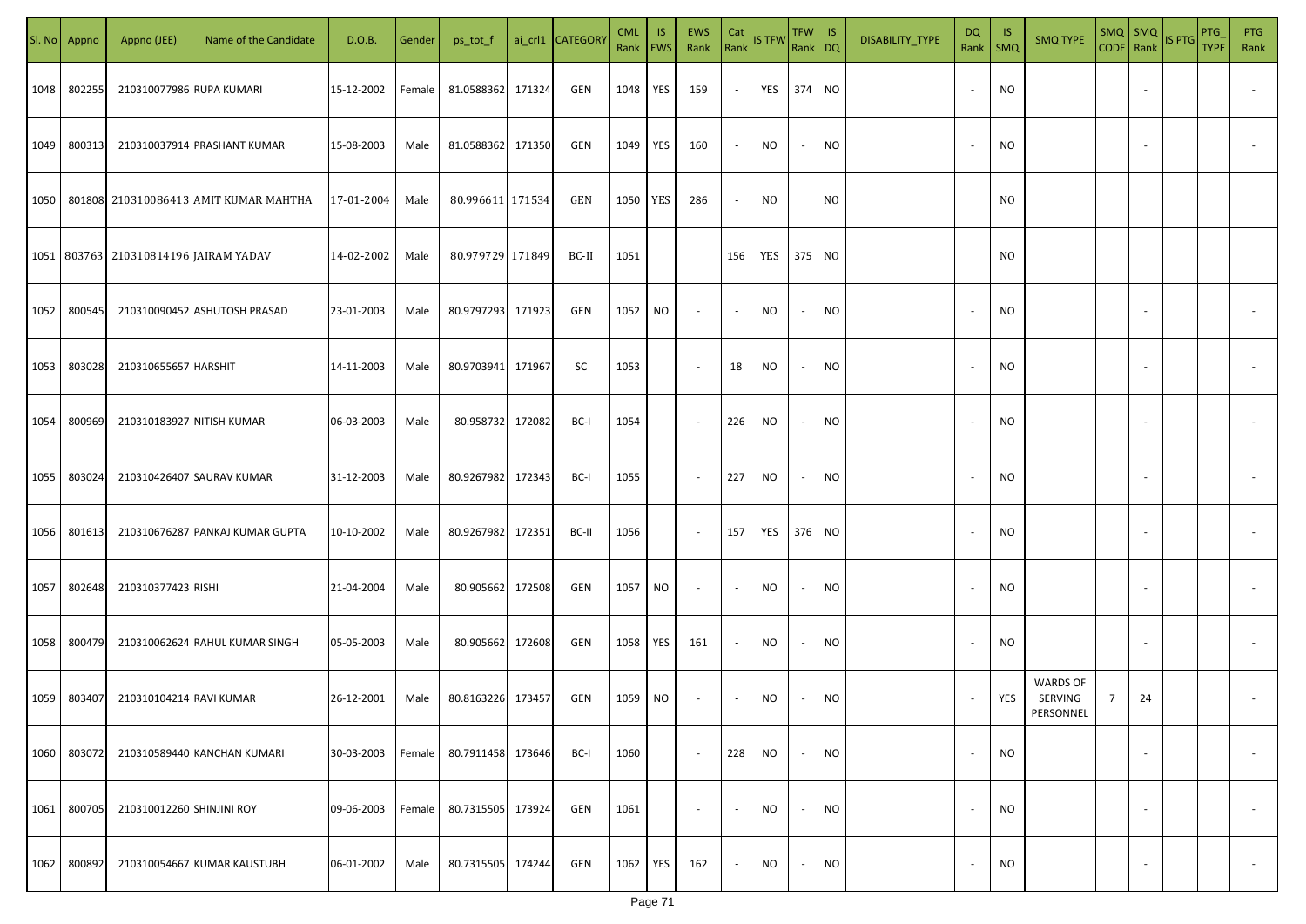| SI. No | Appno  | Appno (JEE)                                 | Name of the Candidate                        | D.O.B.     | Gender | ps_tot_f          |        | ai_crl1 CATEGORY | <b>CML</b><br>Rank EWS | <b>IS</b> | EWS<br>Rank Rank IS TFW  | Cat    |            | TFW IS<br>Rank DQ        |           | DISABILITY_TYPE | <b>DQ</b><br>Rank        | - IS<br><b>SMQ</b> | <b>SMQ TYPE</b>                         | SMQ SMQ<br>CODE Rank |                          | IS PTG | PTG<br><b>TYPE</b> | <b>PTG</b><br>Rank       |
|--------|--------|---------------------------------------------|----------------------------------------------|------------|--------|-------------------|--------|------------------|------------------------|-----------|--------------------------|--------|------------|--------------------------|-----------|-----------------|--------------------------|--------------------|-----------------------------------------|----------------------|--------------------------|--------|--------------------|--------------------------|
| 1048   | 802255 | 210310077986 RUPA KUMARI                    |                                              | 15-12-2002 | Female | 81.0588362 171324 |        | GEN              | 1048                   | YES       | 159                      | $\sim$ | YES 374 NO |                          |           |                 | $\overline{\phantom{a}}$ | <b>NO</b>          |                                         |                      |                          |        |                    |                          |
| 1049   | 800313 |                                             | 210310037914 PRASHANT KUMAR                  | 15-08-2003 | Male   | 81.0588362 171350 |        | GEN              | 1049                   | YES       | 160                      | $\sim$ | <b>NO</b>  | $\sim$                   | <b>NO</b> |                 | $\overline{\phantom{a}}$ | <b>NO</b>          |                                         |                      |                          |        |                    |                          |
|        |        |                                             | 1050   801808 210310086413 AMIT KUMAR MAHTHA | 17-01-2004 | Male   | 80.996611 171534  |        | GEN              | 1050 YES               |           | 286                      | $\sim$ | NO.        |                          | NO.       |                 |                          | N <sub>0</sub>     |                                         |                      |                          |        |                    |                          |
|        |        | 1051   803763   210310814196   JAIRAM YADAV |                                              | 14-02-2002 | Male   | 80.979729 171849  |        | BC-II            | 1051                   |           |                          | 156    | YES 375 NO |                          |           |                 |                          | N <sub>0</sub>     |                                         |                      |                          |        |                    |                          |
| 1052   | 800545 |                                             | 210310090452 ASHUTOSH PRASAD                 | 23-01-2003 | Male   | 80.9797293 171923 |        | GEN              | 1052                   | NO        |                          | $\sim$ | NO.        | $\sim$                   | NO        |                 |                          | <b>NO</b>          |                                         |                      |                          |        |                    |                          |
| 1053   | 803028 | 210310655657 HARSHIT                        |                                              | 14-11-2003 | Male   | 80.9703941 171967 |        | SC               | 1053                   |           | $\overline{\phantom{a}}$ | 18     | <b>NO</b>  | $\sim$                   | <b>NO</b> |                 |                          | <b>NO</b>          |                                         |                      |                          |        |                    |                          |
| 1054   | 800969 | 210310183927 NITISH KUMAR                   |                                              | 06-03-2003 | Male   | 80.958732         | 172082 | BC-I             | 1054                   |           | $\sim$                   | 226    | NO         | $\sim$                   | <b>NO</b> |                 |                          | <b>NO</b>          |                                         |                      |                          |        |                    |                          |
| 1055   | 803024 |                                             | 210310426407 SAURAV KUMAR                    | 31-12-2003 | Male   | 80.9267982 172343 |        | BC-I             | 1055                   |           | $\sim$                   | 227    | NO         | $\overline{\phantom{a}}$ | NO        |                 |                          | <b>NO</b>          |                                         |                      |                          |        |                    |                          |
| 1056   | 801613 |                                             | 210310676287 PANKAJ KUMAR GUPTA              | 10-10-2002 | Male   | 80.9267982 172351 |        | BC-II            | 1056                   |           | $\sim$                   | 157    | YES        | 376 NO                   |           |                 |                          | <b>NO</b>          |                                         |                      |                          |        |                    |                          |
| 1057   | 802648 | 210310377423 RISHI                          |                                              | 21-04-2004 | Male   | 80.905662 172508  |        | GEN              | 1057                   | <b>NO</b> | $\sim$                   | $\sim$ | NO.        | $\sim$                   | <b>NO</b> |                 |                          | <b>NO</b>          |                                         |                      |                          |        |                    |                          |
| 1058   | 800479 |                                             | 210310062624 RAHUL KUMAR SINGH               | 05-05-2003 | Male   | 80.905662 172608  |        | GEN              | 1058                   | YES       | 161                      | $\sim$ | <b>NO</b>  | $\sim$                   | <b>NO</b> |                 |                          | <b>NO</b>          |                                         |                      |                          |        |                    |                          |
| 1059   | 803407 | 210310104214 RAVI KUMAR                     |                                              | 26-12-2001 | Male   | 80.8163226 173457 |        | GEN              | 1059                   | NO        | $\sim$                   | $\sim$ | NO         | $\sim$                   | <b>NO</b> |                 |                          | YES                | <b>WARDS OF</b><br>SERVING<br>PERSONNEL | $\overline{7}$       | 24                       |        |                    |                          |
| 1060   | 803072 |                                             | 210310589440 KANCHAN KUMARI                  | 30-03-2003 | Female | 80.7911458 173646 |        | BC-I             | 1060                   |           | $\sim$                   | 228    | NO         | $\sim$                   | <b>NO</b> |                 | $\overline{\phantom{a}}$ | <b>NO</b>          |                                         |                      | $\overline{\phantom{a}}$ |        |                    | $\overline{\phantom{a}}$ |
| 1061   | 800705 | 210310012260 SHINJINI ROY                   |                                              | 09-06-2003 | Female | 80.7315505 173924 |        | GEN              | 1061                   |           | $\sim$                   | $\sim$ | NO         | $\sim$                   | <b>NO</b> |                 | $\overline{\phantom{a}}$ | <b>NO</b>          |                                         |                      | $\overline{\phantom{a}}$ |        |                    | $\overline{\phantom{a}}$ |
| 1062   | 800892 |                                             | 210310054667 KUMAR KAUSTUBH                  | 06-01-2002 | Male   | 80.7315505 174244 |        | GEN              | 1062                   | YES       | 162                      | $\sim$ | <b>NO</b>  | $\sim$                   | <b>NO</b> |                 | $\overline{\phantom{a}}$ | <b>NO</b>          |                                         |                      | $\overline{\phantom{a}}$ |        |                    | $\sim$                   |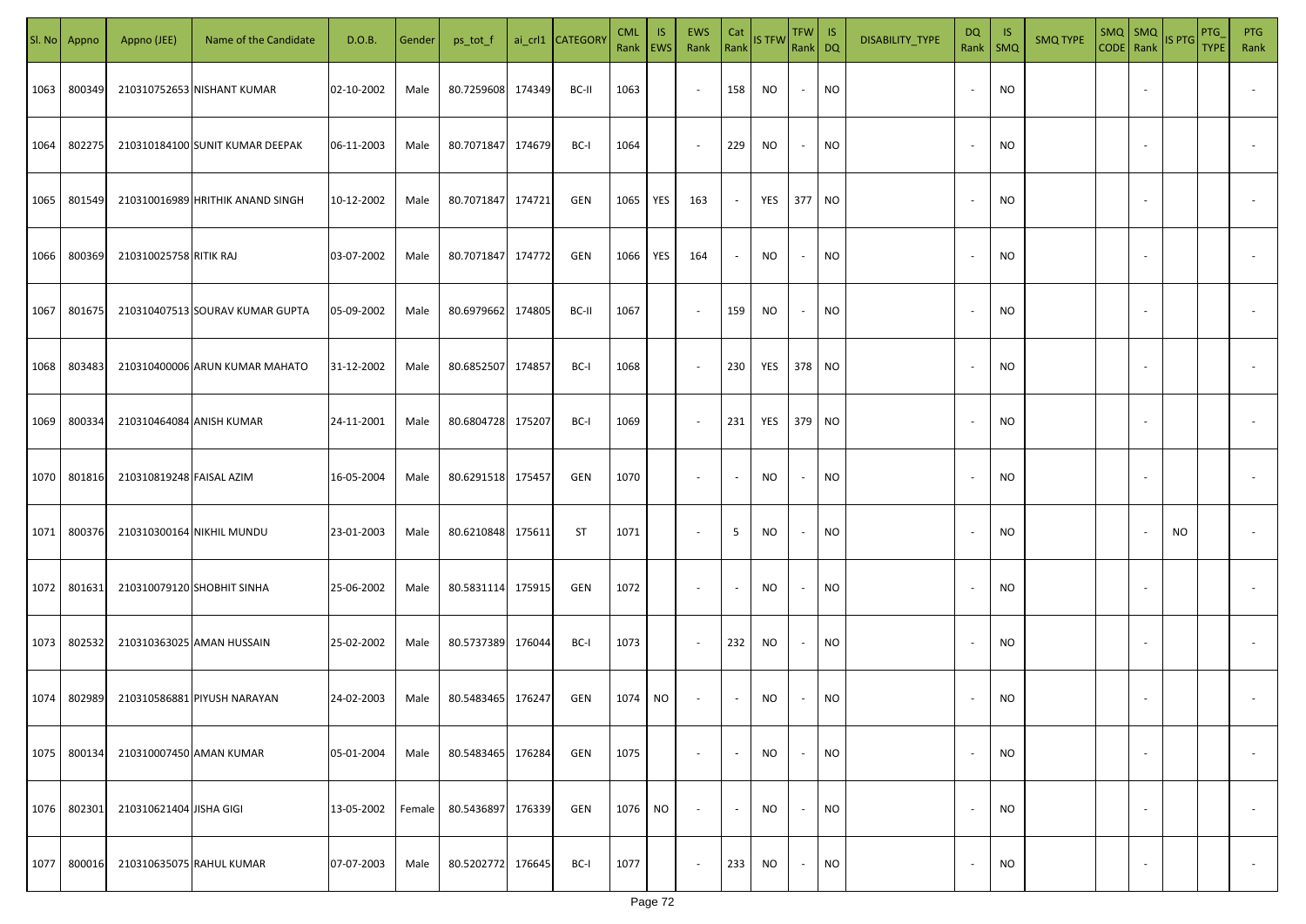| SI. No. | Appno  | Appno (JEE)                | Name of the Candidate            | D.O.B.     | Gender | ps_tot_f          |        | ai_crl1 CATEGORY | <b>CML</b><br>Rank | IS.<br><b>EWS</b> | EWS<br>Rank              | Cat<br>Rank              | <b>IS TFW</b> | $TFW$ IS<br>Rank DQ      |           | DISABILITY_TYPE | DQ<br>Rank | IS.<br>$\mathsf{SMQ}$ | <b>SMQ TYPE</b> | $SMQ$ $SMQ$              | CODE Rank IS PTG | PTG<br><b>TYPE</b> | <b>PTG</b><br>Rank       |
|---------|--------|----------------------------|----------------------------------|------------|--------|-------------------|--------|------------------|--------------------|-------------------|--------------------------|--------------------------|---------------|--------------------------|-----------|-----------------|------------|-----------------------|-----------------|--------------------------|------------------|--------------------|--------------------------|
| 1063    | 800349 |                            | 210310752653 NISHANT KUMAR       | 02-10-2002 | Male   | 80.7259608        | 174349 | BC-II            | 1063               |                   | $\sim$                   | 158                      | NO            | $\sim$                   | <b>NO</b> |                 |            | <b>NO</b>             |                 |                          |                  |                    |                          |
| 1064    | 802275 |                            | 210310184100 SUNIT KUMAR DEEPAK  | 06-11-2003 | Male   | 80.7071847        | 174679 | BC-I             | 1064               |                   | $\sim$                   | 229                      | NO            | $\sim$                   | <b>NO</b> |                 | $\sim$     | <b>NO</b>             |                 |                          |                  |                    |                          |
| 1065    | 801549 |                            | 210310016989 HRITHIK ANAND SINGH | 10-12-2002 | Male   | 80.7071847 174721 |        | GEN              | 1065               | YES               | 163                      | $\sim$                   | YES           | 377 NO                   |           |                 | $\sim$     | <b>NO</b>             |                 |                          |                  |                    |                          |
| 1066    | 800369 | 210310025758 RITIK RAJ     |                                  | 03-07-2002 | Male   | 80.7071847 174772 |        | GEN              | 1066               | YES               | 164                      | $\sim$                   | NO            | $\overline{\phantom{a}}$ | <b>NO</b> |                 |            | <b>NO</b>             |                 |                          |                  |                    |                          |
| 1067    | 801675 |                            | 210310407513 SOURAV KUMAR GUPTA  | 05-09-2002 | Male   | 80.6979662 174805 |        | BC-II            | 1067               |                   | $\overline{\phantom{a}}$ | 159                      | <b>NO</b>     | $\sim$                   | <b>NO</b> |                 |            | <b>NO</b>             |                 |                          |                  |                    |                          |
| 1068    | 803483 |                            | 210310400006 ARUN KUMAR MAHATO   | 31-12-2002 | Male   | 80.6852507        | 174857 | BC-I             | 1068               |                   | $\overline{\phantom{a}}$ | 230                      | YES           | 378 NO                   |           |                 |            | <b>NO</b>             |                 |                          |                  |                    |                          |
| 1069    | 800334 | 210310464084 ANISH KUMAR   |                                  | 24-11-2001 | Male   | 80.6804728 175207 |        | BC-I             | 1069               |                   | $\sim$                   | 231                      | YES           | 379 NO                   |           |                 |            | NO                    |                 |                          |                  |                    |                          |
| 1070    | 801816 | 210310819248 FAISAL AZIM   |                                  | 16-05-2004 | Male   | 80.6291518 175457 |        | GEN              | 1070               |                   | $\sim$                   | $\sim$                   | NO            |                          | <b>NO</b> |                 |            | <b>NO</b>             |                 |                          |                  |                    |                          |
| 1071    | 800376 |                            | 210310300164 NIKHIL MUNDU        | 23-01-2003 | Male   | 80.6210848        | 175611 | ST               | 1071               |                   | $\overline{\phantom{a}}$ | 5                        | NO            |                          | <b>NO</b> |                 |            | <b>NO</b>             |                 |                          | NO               |                    |                          |
| 1072    | 801631 | 210310079120 SHOBHIT SINHA |                                  | 25-06-2002 | Male   | 80.5831114 175915 |        | GEN              | 1072               |                   | $\overline{\phantom{a}}$ |                          | <b>NO</b>     |                          | <b>NO</b> |                 |            | <b>NO</b>             |                 |                          |                  |                    |                          |
| 1073    | 802532 |                            | 210310363025 AMAN HUSSAIN        | 25-02-2002 | Male   | 80.5737389        | 176044 | BC-I             | 1073               |                   | $\sim$                   | 232                      | NO            |                          | <b>NO</b> |                 |            | <b>NO</b>             |                 |                          |                  |                    |                          |
| 1074    | 802989 |                            | 210310586881 PIYUSH NARAYAN      | 24-02-2003 | Male   | 80.5483465 176247 |        | GEN              | 1074               | NO.               | $\overline{\phantom{a}}$ | $\sim$                   | NO            |                          | NO        |                 |            | NO                    |                 |                          |                  |                    |                          |
| 1075    | 800134 | 210310007450 AMAN KUMAR    |                                  | 05-01-2004 | Male   | 80.5483465        | 176284 | GEN              | 1075               |                   | $\overline{\phantom{a}}$ | $\overline{\phantom{a}}$ | <b>NO</b>     | $\sim$                   | <b>NO</b> |                 |            | <b>NO</b>             |                 | $\sim$                   |                  |                    | $\overline{\phantom{a}}$ |
| 1076    | 802301 | 210310621404 JISHA GIGI    |                                  | 13-05-2002 | Female | 80.5436897        | 176339 | GEN              | 1076               | NO.               | $\overline{\phantom{a}}$ | $\sim$                   | <b>NO</b>     | $\sim$                   | <b>NO</b> |                 |            | <b>NO</b>             |                 | $\sim$                   |                  |                    | $\overline{\phantom{a}}$ |
| 1077    | 800016 |                            | 210310635075 RAHUL KUMAR         | 07-07-2003 | Male   | 80.5202772        | 176645 | BC-I             | 1077               |                   | $\overline{\phantom{a}}$ | 233                      | NO            | $\sim$                   | <b>NO</b> |                 |            | <b>NO</b>             |                 | $\overline{\phantom{a}}$ |                  |                    | $\overline{\phantom{a}}$ |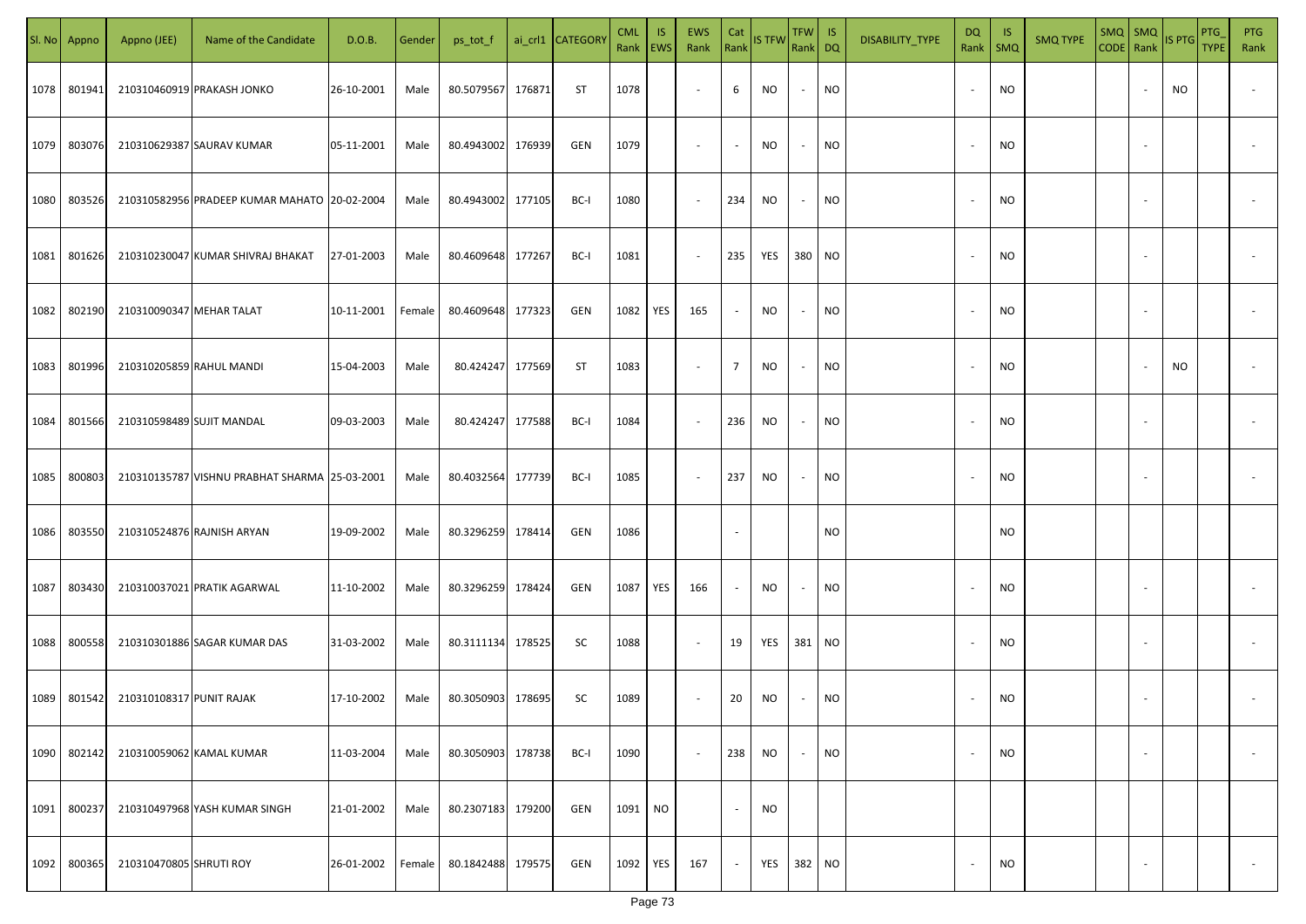|      | Sl. No Appno | Appno (JEE)               | Name of the Candidate                         | D.O.B.     | Gender | ps_tot_f          |        | ai_crl1 CATEGORY | <b>CML</b><br>Rank EWS | IS.       | <b>EWS</b><br>Rank       | Cat<br>Rank              | <b>IS TFW</b> | $TFW$ IS<br>Rank DQ      |           | DISABILITY_TYPE | <b>DQ</b> | - IS<br>Rank   SMQ | <b>SMQ TYPE</b> | SMQ   SMQ                | CODE Rank IS PTG | <b>PTG</b><br><b>TYPE</b> | <b>PTG</b><br>Rank       |
|------|--------------|---------------------------|-----------------------------------------------|------------|--------|-------------------|--------|------------------|------------------------|-----------|--------------------------|--------------------------|---------------|--------------------------|-----------|-----------------|-----------|--------------------|-----------------|--------------------------|------------------|---------------------------|--------------------------|
| 1078 | 801941       |                           | 210310460919 PRAKASH JONKO                    | 26-10-2001 | Male   | 80.5079567        | 176871 | ST               | 1078                   |           | $\overline{\phantom{a}}$ | 6                        | NO            | $\sim$                   | <b>NO</b> |                 |           | <b>NO</b>          |                 |                          | NO.              |                           |                          |
| 1079 | 803076       |                           | 210310629387 SAURAV KUMAR                     | 05-11-2001 | Male   | 80.4943002 176939 |        | GEN              | 1079                   |           | $\sim$                   | $\sim$                   | NO            | $\sim$                   | <b>NO</b> |                 |           | <b>NO</b>          |                 |                          |                  |                           |                          |
| 1080 | 803526       |                           | 210310582956 PRADEEP KUMAR MAHATO 20-02-2004  |            | Male   | 80.4943002 177105 |        | BC-I             | 1080                   |           | $\sim$                   | 234                      | NO            | $\sim$                   | <b>NO</b> |                 |           | <b>NO</b>          |                 |                          |                  |                           |                          |
| 1081 | 801626       |                           | 210310230047 KUMAR SHIVRAJ BHAKAT             | 27-01-2003 | Male   | 80.4609648 177267 |        | BC-I             | 1081                   |           | $\overline{\phantom{a}}$ | 235                      | YES           | 380 NO                   |           |                 |           | <b>NO</b>          |                 |                          |                  |                           |                          |
| 1082 | 802190       | 210310090347 MEHAR TALAT  |                                               | 10-11-2001 | Female | 80.4609648 177323 |        | GEN              | 1082                   | YES       | 165                      | $\sim$                   | NO            | $\sim$                   | <b>NO</b> |                 |           | <b>NO</b>          |                 |                          |                  |                           |                          |
| 1083 | 801996       | 210310205859 RAHUL MANDI  |                                               | 15-04-2003 | Male   | 80.424247 177569  |        | ST               | 1083                   |           | $\overline{\phantom{a}}$ | $\overline{7}$           | <b>NO</b>     | $\sim$                   | <b>NO</b> |                 |           | <b>NO</b>          |                 |                          | NO               |                           |                          |
| 1084 | 801566       | 210310598489 SUJIT MANDAL |                                               | 09-03-2003 | Male   | 80.424247         | 177588 | BC-I             | 1084                   |           | $\overline{\phantom{a}}$ | 236                      | NO            | $\overline{\phantom{a}}$ | <b>NO</b> |                 |           | <b>NO</b>          |                 |                          |                  |                           |                          |
| 1085 | 800803       |                           | 210310135787 VISHNU PRABHAT SHARMA 25-03-2001 |            | Male   | 80.4032564        | 177739 | BC-I             | 1085                   |           | $\sim$                   | 237                      | NO            | $\overline{\phantom{a}}$ | <b>NO</b> |                 |           | NO                 |                 |                          |                  |                           |                          |
| 1086 | 803550       |                           | 210310524876 RAJNISH ARYAN                    | 19-09-2002 | Male   | 80.3296259        | 178414 | GEN              | 1086                   |           |                          |                          |               |                          | NO.       |                 |           | <b>NO</b>          |                 |                          |                  |                           |                          |
| 1087 | 803430       |                           | 210310037021 PRATIK AGARWAL                   | 11-10-2002 | Male   | 80.3296259        | 178424 | GEN              | 1087                   | YES       | 166                      | $\overline{\phantom{a}}$ | NO            | $\sim$                   | <b>NO</b> |                 |           | <b>NO</b>          |                 |                          |                  |                           |                          |
| 1088 | 800558       |                           | 210310301886 SAGAR KUMAR DAS                  | 31-03-2002 | Male   | 80.3111134 178525 |        | SC               | 1088                   |           | $\sim$                   | 19                       | YES           | 381 NO                   |           |                 |           | <b>NO</b>          |                 |                          |                  |                           |                          |
| 1089 | 801542       | 210310108317 PUNIT RAJAK  |                                               | 17-10-2002 | Male   | 80.3050903 178695 |        | SC               | 1089                   |           | $\overline{\phantom{a}}$ | 20                       | NO            |                          | <b>NO</b> |                 |           | <b>NO</b>          |                 |                          |                  |                           |                          |
| 1090 | 802142       |                           | 210310059062 KAMAL KUMAR                      | 11-03-2004 | Male   | 80.3050903        | 178738 | BC-I             | 1090                   |           | $\sim$                   | 238                      | <b>NO</b>     | $\overline{\phantom{a}}$ | <b>NO</b> |                 |           | <b>NO</b>          |                 | $\overline{\phantom{a}}$ |                  |                           | $\overline{\phantom{a}}$ |
| 1091 | 800237       |                           | 210310497968 YASH KUMAR SINGH                 | 21-01-2002 | Male   | 80.2307183 179200 |        | GEN              | 1091                   | <b>NO</b> |                          | $\blacksquare$           | <b>NO</b>     |                          |           |                 |           |                    |                 |                          |                  |                           |                          |
| 1092 | 800365       | 210310470805 SHRUTI ROY   |                                               | 26-01-2002 | Female | 80.1842488        | 179575 | GEN              | 1092                   | YES       | 167                      | $\overline{\phantom{a}}$ | YES           | 382 NO                   |           |                 |           | <b>NO</b>          |                 | $\overline{\phantom{a}}$ |                  |                           | $\overline{\phantom{a}}$ |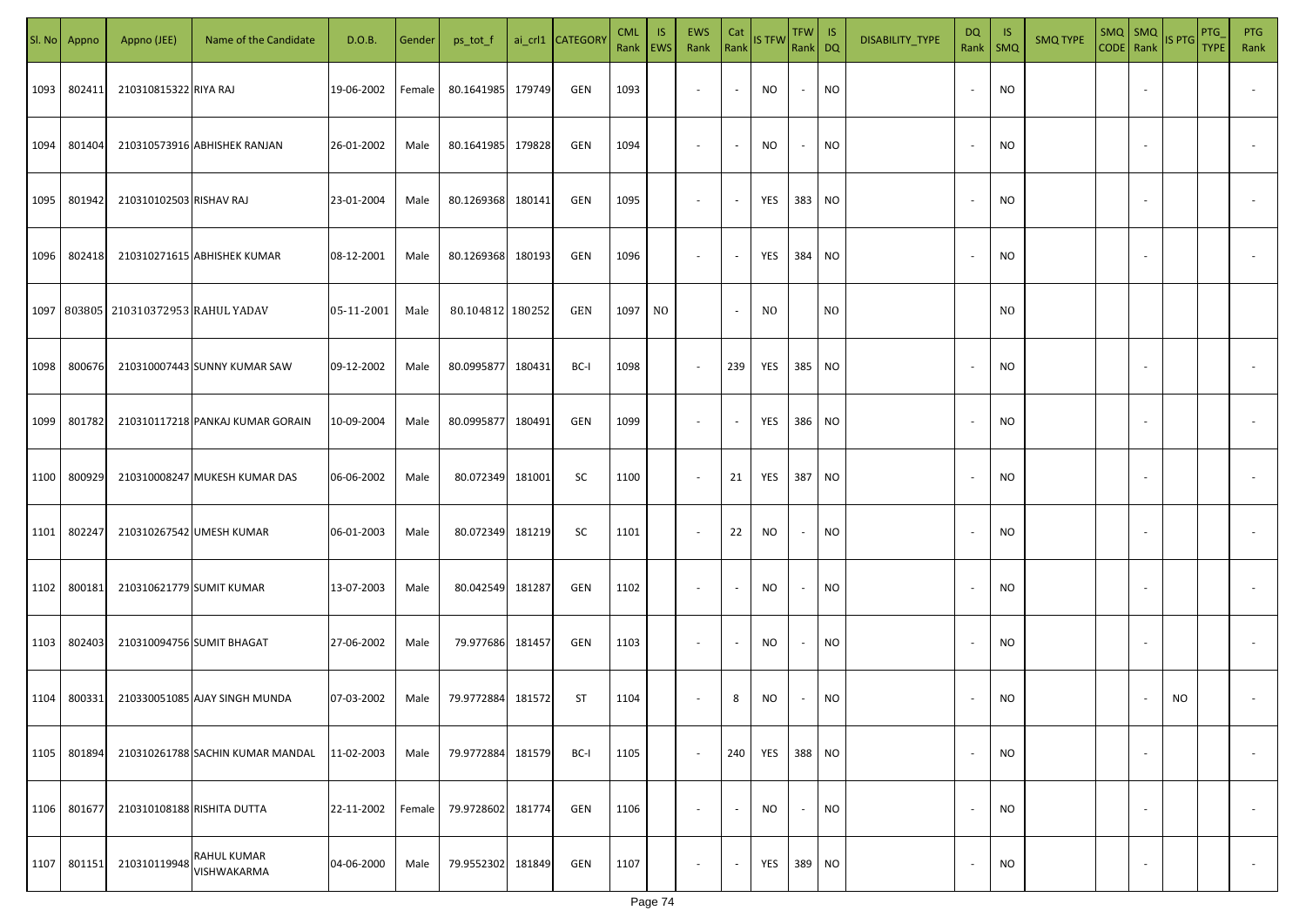|      | Sl. No Appno | Appno (JEE)                          | Name of the Candidate            | D.O.B.     | Gender | ps_tot_f         |        | ai_crl1 CATEGORY | <b>CML</b><br>Rank EWS | IS. | <b>EWS</b><br>Rank       | Cat<br>Rank              | <b>IS TFW</b> | $TFW$ IS<br>Rank DQ      |                | DISABILITY_TYPE | <b>DQ</b> | - IS<br>Rank   SMQ | <b>SMQ TYPE</b> |                          | SMQ SMQ<br>CODE Rank IS PTG | <b>PTG</b><br><b>TYPE</b> | <b>PTG</b><br>Rank       |
|------|--------------|--------------------------------------|----------------------------------|------------|--------|------------------|--------|------------------|------------------------|-----|--------------------------|--------------------------|---------------|--------------------------|----------------|-----------------|-----------|--------------------|-----------------|--------------------------|-----------------------------|---------------------------|--------------------------|
| 1093 | 802411       | 210310815322 RIYA RAJ                |                                  | 19-06-2002 | Female | 80.1641985       | 179749 | GEN              | 1093                   |     | $\overline{\phantom{a}}$ | $\sim$                   | NO            | $\sim$                   | <b>NO</b>      |                 |           | <b>NO</b>          |                 |                          |                             |                           |                          |
| 1094 | 801404       |                                      | 210310573916 ABHISHEK RANJAN     | 26-01-2002 | Male   | 80.1641985       | 179828 | GEN              | 1094                   |     | $\overline{\phantom{a}}$ | $\sim$                   | NO            | $\sim$                   | <b>NO</b>      |                 |           | <b>NO</b>          |                 |                          |                             |                           |                          |
| 1095 | 801942       | 210310102503 RISHAV RAJ              |                                  | 23-01-2004 | Male   | 80.1269368       | 180141 | GEN              | 1095                   |     | $\overline{\phantom{a}}$ | $\sim$                   | YES           | 383 NO                   |                |                 |           | <b>NO</b>          |                 |                          |                             |                           |                          |
| 1096 | 802418       |                                      | 210310271615 ABHISHEK KUMAR      | 08-12-2001 | Male   | 80.1269368       | 180193 | GEN              | 1096                   |     | $\overline{\phantom{a}}$ | $\sim$                   | YES           | 384 NO                   |                |                 |           | NO                 |                 |                          |                             |                           |                          |
|      |              | 1097 803805 210310372953 RAHUL YADAV |                                  | 05-11-2001 | Male   | 80.104812 180252 |        | GEN              | 1097                   | NO. |                          | $\sim$                   | NO.           |                          | N <sub>0</sub> |                 |           | N <sub>0</sub>     |                 |                          |                             |                           |                          |
| 1098 | 800676       |                                      | 210310007443 SUNNY KUMAR SAW     | 09-12-2002 | Male   | 80.0995877       | 180431 | BC-I             | 1098                   |     | $\overline{\phantom{a}}$ | 239                      | YES           | 385 NO                   |                |                 |           | <b>NO</b>          |                 |                          |                             |                           |                          |
| 1099 | 801782       |                                      | 210310117218 PANKAJ KUMAR GORAIN | 10-09-2004 | Male   | 80.0995877       | 180491 | GEN              | 1099                   |     | $\overline{\phantom{a}}$ | $\sim$                   | YES           | 386 NO                   |                |                 |           | <b>NO</b>          |                 |                          |                             |                           |                          |
| 1100 | 800929       |                                      | 210310008247 MUKESH KUMAR DAS    | 06-06-2002 | Male   | 80.072349        | 181001 | SC               | 1100                   |     | $\sim$                   | 21                       | YES           | 387 NO                   |                |                 |           | <b>NO</b>          |                 |                          |                             |                           |                          |
| 1101 | 802247       |                                      | 210310267542 UMESH KUMAR         | 06-01-2003 | Male   | 80.072349        | 181219 | SC               | 1101                   |     | $\sim$                   | 22                       | NO            | $\sim$                   | <b>NO</b>      |                 |           | NO                 |                 |                          |                             |                           |                          |
| 1102 | 800181       | 210310621779 SUMIT KUMAR             |                                  | 13-07-2003 | Male   | 80.042549        | 181287 | GEN              | 1102                   |     | $\sim$                   | $\sim$                   | NO            | $\overline{\phantom{a}}$ | <b>NO</b>      |                 |           | <b>NO</b>          |                 |                          |                             |                           |                          |
| 1103 | 802403       |                                      | 210310094756 SUMIT BHAGAT        | 27-06-2002 | Male   | 79.977686 181457 |        | GEN              | 1103                   |     | $\sim$                   | $\sim$                   | <b>NO</b>     | $\overline{\phantom{a}}$ | <b>NO</b>      |                 |           | <b>NO</b>          |                 |                          |                             |                           |                          |
| 1104 | 800331       |                                      | 210330051085 AJAY SINGH MUNDA    | 07-03-2002 | Male   | 79.9772884       | 181572 | ST               | 1104                   |     | $\overline{\phantom{a}}$ | 8                        | NO            |                          | <b>NO</b>      |                 |           | <b>NO</b>          |                 |                          | <b>NO</b>                   |                           |                          |
| 1105 | 801894       |                                      | 210310261788 SACHIN KUMAR MANDAL | 11-02-2003 | Male   | 79.9772884       | 181579 | BC-I             | 1105                   |     | $\sim$                   | 240                      | YES           | 388 NO                   |                |                 |           | <b>NO</b>          |                 | $\overline{\phantom{a}}$ |                             |                           | $\overline{\phantom{a}}$ |
| 1106 | 801677       |                                      | 210310108188 RISHITA DUTTA       | 22-11-2002 | Female | 79.9728602       | 181774 | GEN              | 1106                   |     | $\overline{\phantom{a}}$ | $\overline{\phantom{a}}$ | <b>NO</b>     | $\overline{\phantom{a}}$ | <b>NO</b>      |                 |           | <b>NO</b>          |                 | $\overline{\phantom{a}}$ |                             |                           | $\overline{\phantom{a}}$ |
| 1107 | 801151       | 210310119948                         | RAHUL KUMAR<br>VISHWAKARMA       | 04-06-2000 | Male   | 79.9552302       | 181849 | GEN              | 1107                   |     | $\overline{\phantom{a}}$ | $\sim$                   | YES           | 389 NO                   |                |                 |           | <b>NO</b>          |                 | $\overline{\phantom{a}}$ |                             |                           | $\sim$                   |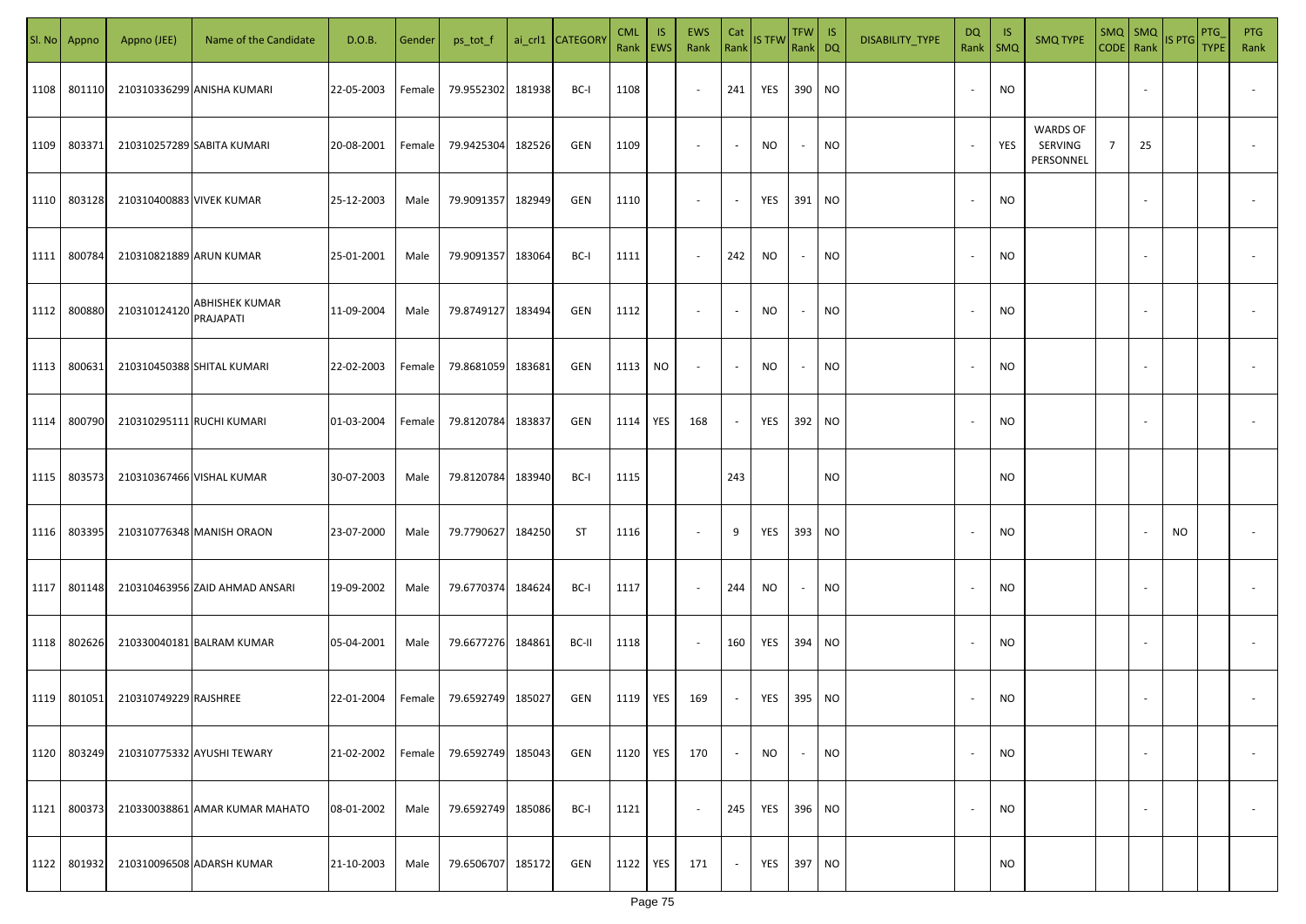| SI. No. | Appno  | Appno (JEE)              | Name of the Candidate              | D.O.B.     | Gender | ps_tot_f   |        | ai_crl1 CATEGORY | <b>CML</b><br>Rank | IS.<br>EWS | <b>EWS</b><br>Rank       | Cat<br>Rank | <b>IS TFW</b> | <b>TFW</b><br>Rank DQ    | IS        | DISABILITY_TYPE | DQ                       | -IS<br>Rank   SMQ | <b>SMQ TYPE</b>                         | $SMQ$ SMQ<br>$CODE$ Rank |    | IS PTG | PTG<br><b>TYPE</b> | <b>PTG</b><br>Rank |
|---------|--------|--------------------------|------------------------------------|------------|--------|------------|--------|------------------|--------------------|------------|--------------------------|-------------|---------------|--------------------------|-----------|-----------------|--------------------------|-------------------|-----------------------------------------|--------------------------|----|--------|--------------------|--------------------|
| 1108    | 801110 |                          | 210310336299 ANISHA KUMARI         | 22-05-2003 | Female | 79.9552302 | 181938 | BC-I             | 1108               |            | $\sim$                   | 241         | YES           | 390 NO                   |           |                 | $\overline{\phantom{a}}$ | <b>NO</b>         |                                         |                          |    |        |                    |                    |
| 1109    | 803371 |                          | 210310257289 SABITA KUMARI         | 20-08-2001 | Female | 79.9425304 | 182526 | GEN              | 1109               |            | $\overline{\phantom{a}}$ |             | <b>NO</b>     | $\sim$                   | <b>NO</b> |                 | $\overline{\phantom{a}}$ | YES               | <b>WARDS OF</b><br>SERVING<br>PERSONNEL | $\overline{7}$           | 25 |        |                    |                    |
| 1110    | 803128 | 210310400883 VIVEK KUMAR |                                    | 25-12-2003 | Male   | 79.9091357 | 182949 | GEN              | 1110               |            | $\overline{\phantom{a}}$ |             | YES           | 391 NO                   |           |                 | $\overline{\phantom{a}}$ | NO                |                                         |                          |    |        |                    |                    |
| 1111    | 800784 | 210310821889 ARUN KUMAR  |                                    | 25-01-2001 | Male   | 79.9091357 | 183064 | BC-I             | 1111               |            | $\sim$                   | 242         | NO            | $\sim$                   | NO        |                 | $\sim$                   | NO                |                                         |                          |    |        |                    |                    |
| 1112    | 800880 | 210310124120             | <b>ABHISHEK KUMAR</b><br>PRAJAPATI | 11-09-2004 | Male   | 79.8749127 | 183494 | GEN              | 1112               |            | $\overline{\phantom{a}}$ |             | <b>NO</b>     | $\overline{\phantom{a}}$ | <b>NO</b> |                 | $\overline{\phantom{a}}$ | NO                |                                         |                          |    |        |                    |                    |
| 1113    | 800631 |                          | 210310450388 SHITAL KUMARI         | 22-02-2003 | Female | 79.8681059 | 183681 | <b>GEN</b>       | 1113               | NO.        | $\overline{\phantom{a}}$ |             | NO.           | $\overline{\phantom{a}}$ | <b>NO</b> |                 | $\overline{\phantom{a}}$ | <b>NO</b>         |                                         |                          |    |        |                    |                    |
| 1114    | 800790 |                          | 210310295111 RUCHI KUMARI          | 01-03-2004 | Female | 79.8120784 | 183837 | GEN              | 1114               | YES        | 168                      |             | YES           | 392                      | <b>NO</b> |                 | $\overline{\phantom{a}}$ | <b>NO</b>         |                                         |                          |    |        |                    |                    |
| 1115    | 803573 |                          | 210310367466 VISHAL KUMAR          | 30-07-2003 | Male   | 79.8120784 | 183940 | BC-I             | 1115               |            |                          | 243         |               |                          | <b>NO</b> |                 |                          | NO                |                                         |                          |    |        |                    |                    |
| 1116    | 803395 |                          | 210310776348 MANISH ORAON          | 23-07-2000 | Male   | 79.7790627 | 184250 | <b>ST</b>        | 1116               |            | $\overline{\phantom{a}}$ | 9           | YES           | 393                      | <b>NO</b> |                 |                          | NO                |                                         |                          |    | NO.    |                    |                    |
| 1117    | 801148 |                          | 210310463956 ZAID AHMAD ANSARI     | 19-09-2002 | Male   | 79.6770374 | 184624 | BC-I             | 1117               |            | $\sim$                   | 244         | <b>NO</b>     | $\overline{\phantom{a}}$ | <b>NO</b> |                 |                          | <b>NO</b>         |                                         |                          |    |        |                    |                    |
| 1118    | 802626 |                          | 210330040181 BALRAM KUMAR          | 05-04-2001 | Male   | 79.6677276 | 184861 | BC-II            | 1118               |            | $\sim$                   | 160         | YES           | 394 NO                   |           |                 | $\overline{\phantom{a}}$ | <b>NO</b>         |                                         |                          |    |        |                    |                    |
| 1119    | 801051 | 210310749229 RAJSHREE    |                                    | 22-01-2004 | Female | 79.6592749 | 185027 | GEN              | 1119               | YES        | 169                      |             | YES           | 395 NO                   |           |                 | $\overline{\phantom{a}}$ | <b>NO</b>         |                                         |                          |    |        |                    |                    |
| 1120    | 803249 |                          | 210310775332 AYUSHI TEWARY         | 21-02-2002 | Female | 79.6592749 | 185043 | GEN              | 1120               | YES        | 170                      |             | NO            | $\overline{\phantom{a}}$ | <b>NO</b> |                 | $\overline{\phantom{a}}$ | <b>NO</b>         |                                         |                          |    |        |                    |                    |
| 1121    | 800373 |                          | 210330038861 AMAR KUMAR MAHATO     | 08-01-2002 | Male   | 79.6592749 | 185086 | BC-I             | 1121               |            | $\overline{\phantom{a}}$ | 245         | YES           | 396 NO                   |           |                 | $\sim$                   | <b>NO</b>         |                                         |                          |    |        |                    |                    |
| 1122    | 801932 |                          | 210310096508 ADARSH KUMAR          | 21-10-2003 | Male   | 79.6506707 | 185172 | GEN              | 1122               | YES        | 171                      |             | YES           | 397 NO                   |           |                 |                          | <b>NO</b>         |                                         |                          |    |        |                    |                    |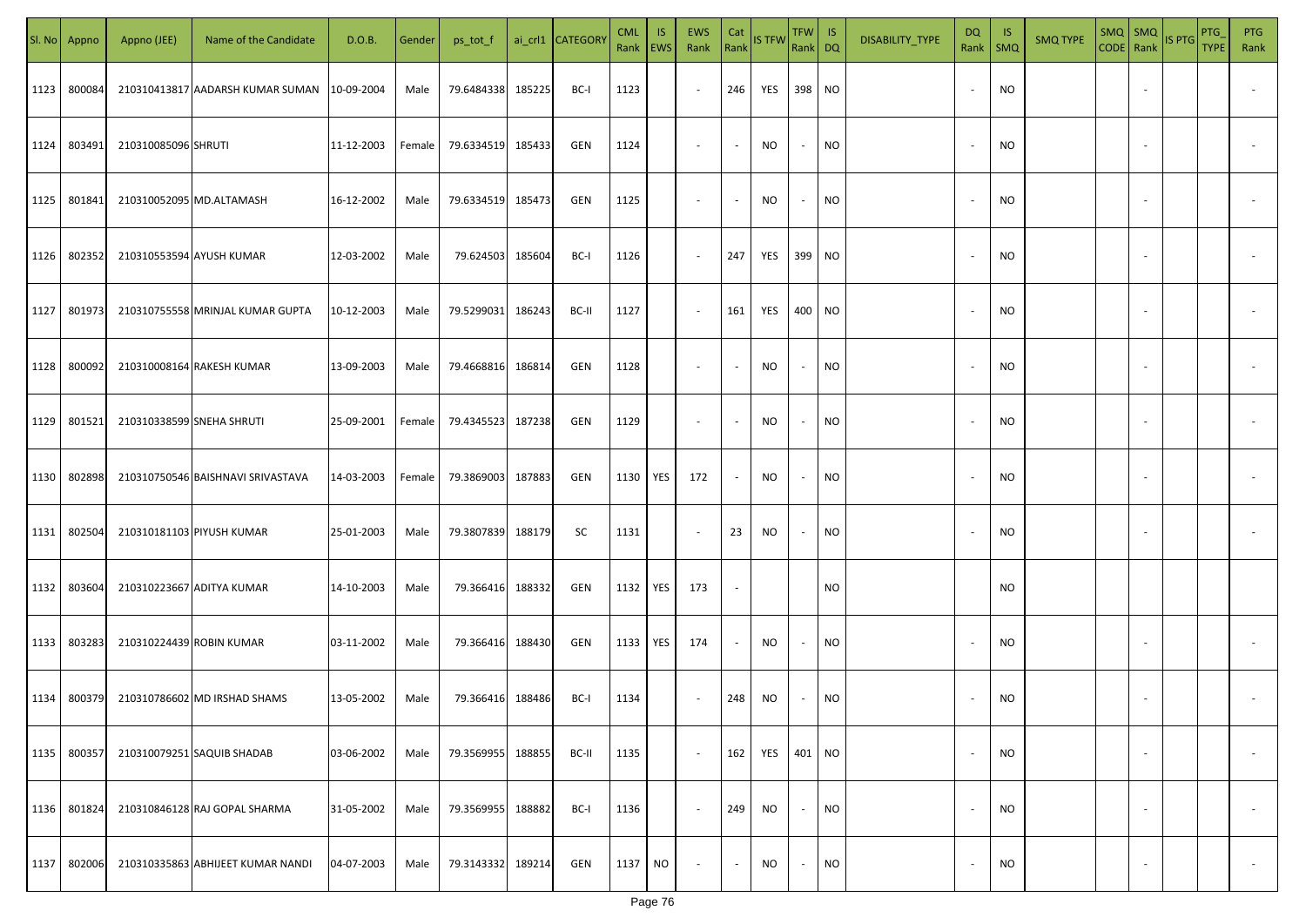|      | Sl. No Appno | Appno (JEE)               | Name of the Candidate                         | D.O.B.     | Gender | ps_tot_f   |        | ai_crl1 CATEGORY | <b>CML</b><br>Rank   EWS | IS.       | <b>EWS</b><br>Rank       | Cat<br>Rank              | <b>IS TFW</b> | $TFW$ IS<br>Rank DQ      |           | DISABILITY_TYPE | DQ     | -IS<br>Rank   SMQ | <b>SMQ TYPE</b> |                          | $\begin{array}{ c c c c }\n\hline\n\text{SMQ} & \text{SMQ} \\ \hline\n\text{CODE} & \text{Rank}\n\end{array}$ IS PTG | PTG<br><b>TYPE</b> | <b>PTG</b><br>Rank       |
|------|--------------|---------------------------|-----------------------------------------------|------------|--------|------------|--------|------------------|--------------------------|-----------|--------------------------|--------------------------|---------------|--------------------------|-----------|-----------------|--------|-------------------|-----------------|--------------------------|----------------------------------------------------------------------------------------------------------------------|--------------------|--------------------------|
| 1123 | 800084       |                           | 210310413817 AADARSH KUMAR SUMAN   10-09-2004 |            | Male   | 79.6484338 | 185225 | BC-I             | 1123                     |           | $\sim$                   | 246                      | YES           | 398 NO                   |           |                 |        | <b>NO</b>         |                 |                          |                                                                                                                      |                    |                          |
| 1124 | 803491       | 210310085096 SHRUTI       |                                               | 11-12-2003 | Female | 79.6334519 | 185433 | GEN              | 1124                     |           | $\sim$                   | $\sim$                   | NO            | $\sim$                   | <b>NO</b> |                 |        | <b>NO</b>         |                 |                          |                                                                                                                      |                    |                          |
| 1125 | 801841       | 210310052095 MD.ALTAMASH  |                                               | 16-12-2002 | Male   | 79.6334519 | 185473 | GEN              | 1125                     |           | $\overline{\phantom{a}}$ | $\sim$                   | NO            | $\sim$                   | <b>NO</b> |                 |        | <b>NO</b>         |                 |                          |                                                                                                                      |                    |                          |
| 1126 | 802352       | 210310553594 AYUSH KUMAR  |                                               | 12-03-2002 | Male   | 79.624503  | 185604 | BC-I             | 1126                     |           | $\sim$                   | 247                      | YES           | 399 NO                   |           |                 | $\sim$ | <b>NO</b>         |                 |                          |                                                                                                                      |                    |                          |
| 1127 | 801973       |                           | 210310755558 MRINJAL KUMAR GUPTA              | 10-12-2003 | Male   | 79.5299031 | 186243 | BC-II            | 1127                     |           | $\sim$                   | 161                      | YES           | 400 NO                   |           |                 | $\sim$ | <b>NO</b>         |                 |                          |                                                                                                                      |                    |                          |
| 1128 | 800092       |                           | 210310008164 RAKESH KUMAR                     | 13-09-2003 | Male   | 79.4668816 | 186814 | GEN              | 1128                     |           | $\overline{\phantom{a}}$ | $\overline{\phantom{a}}$ | NO            | $\sim$                   | <b>NO</b> |                 |        | <b>NO</b>         |                 |                          |                                                                                                                      |                    |                          |
| 1129 | 801521       | 210310338599 SNEHA SHRUTI |                                               | 25-09-2001 | Female | 79.4345523 | 187238 | GEN              | 1129                     |           | $\overline{\phantom{a}}$ | $\overline{\phantom{a}}$ | NO            | $\sim$                   | <b>NO</b> |                 |        | <b>NO</b>         |                 |                          |                                                                                                                      |                    |                          |
| 1130 | 802898       |                           | 210310750546 BAISHNAVI SRIVASTAVA             | 14-03-2003 | Female | 79.3869003 | 187883 | GEN              | 1130                     | YES       | 172                      | $\overline{\phantom{a}}$ | NO            | $\overline{\phantom{a}}$ | <b>NO</b> |                 |        | <b>NO</b>         |                 |                          |                                                                                                                      |                    |                          |
| 1131 | 802504       |                           | 210310181103 PIYUSH KUMAR                     | 25-01-2003 | Male   | 79.3807839 | 188179 | SC               | 1131                     |           | $\overline{\phantom{a}}$ | 23                       | NO            | $\overline{\phantom{a}}$ | <b>NO</b> |                 |        | <b>NO</b>         |                 |                          |                                                                                                                      |                    |                          |
| 1132 | 803604       |                           | 210310223667 ADITYA KUMAR                     | 14-10-2003 | Male   | 79.366416  | 188332 | GEN              | 1132                     | YES       | 173                      |                          |               |                          | <b>NO</b> |                 |        | <b>NO</b>         |                 |                          |                                                                                                                      |                    |                          |
| 1133 | 803283       | 210310224439 ROBIN KUMAR  |                                               | 03-11-2002 | Male   | 79.366416  | 188430 | GEN              | 1133                     | YES       | 174                      | $\overline{\phantom{a}}$ | NO            | $\overline{\phantom{a}}$ | <b>NO</b> |                 |        | <b>NO</b>         |                 |                          |                                                                                                                      |                    |                          |
| 1134 | 800379       |                           | 210310786602 MD IRSHAD SHAMS                  | 13-05-2002 | Male   | 79.366416  | 188486 | BC-I             | 1134                     |           | $\sim$                   | 248                      | NO            |                          | <b>NO</b> |                 |        | <b>NO</b>         |                 |                          |                                                                                                                      |                    |                          |
| 1135 | 800357       |                           | 210310079251 SAQUIB SHADAB                    | 03-06-2002 | Male   | 79.3569955 | 188855 | BC-II            | 1135                     |           | $\sim$                   | 162                      | YES           | 401 NO                   |           |                 |        | <b>NO</b>         |                 | $\overline{\phantom{a}}$ |                                                                                                                      |                    | $\overline{\phantom{a}}$ |
| 1136 | 801824       |                           | 210310846128 RAJ GOPAL SHARMA                 | 31-05-2002 | Male   | 79.3569955 | 188882 | BC-I             | 1136                     |           | $\sim$                   | 249                      | NO            | $\sim$                   | <b>NO</b> |                 |        | <b>NO</b>         |                 | $\overline{\phantom{a}}$ |                                                                                                                      |                    | $\overline{\phantom{a}}$ |
| 1137 | 802006       |                           | 210310335863 ABHIJEET KUMAR NANDI             | 04-07-2003 | Male   | 79.3143332 | 189214 | GEN              | 1137                     | <b>NO</b> | $\overline{\phantom{a}}$ | $\sim$                   | <b>NO</b>     | $\sim$                   | <b>NO</b> |                 |        | <b>NO</b>         |                 | $\sim$                   |                                                                                                                      |                    | $\sim$                   |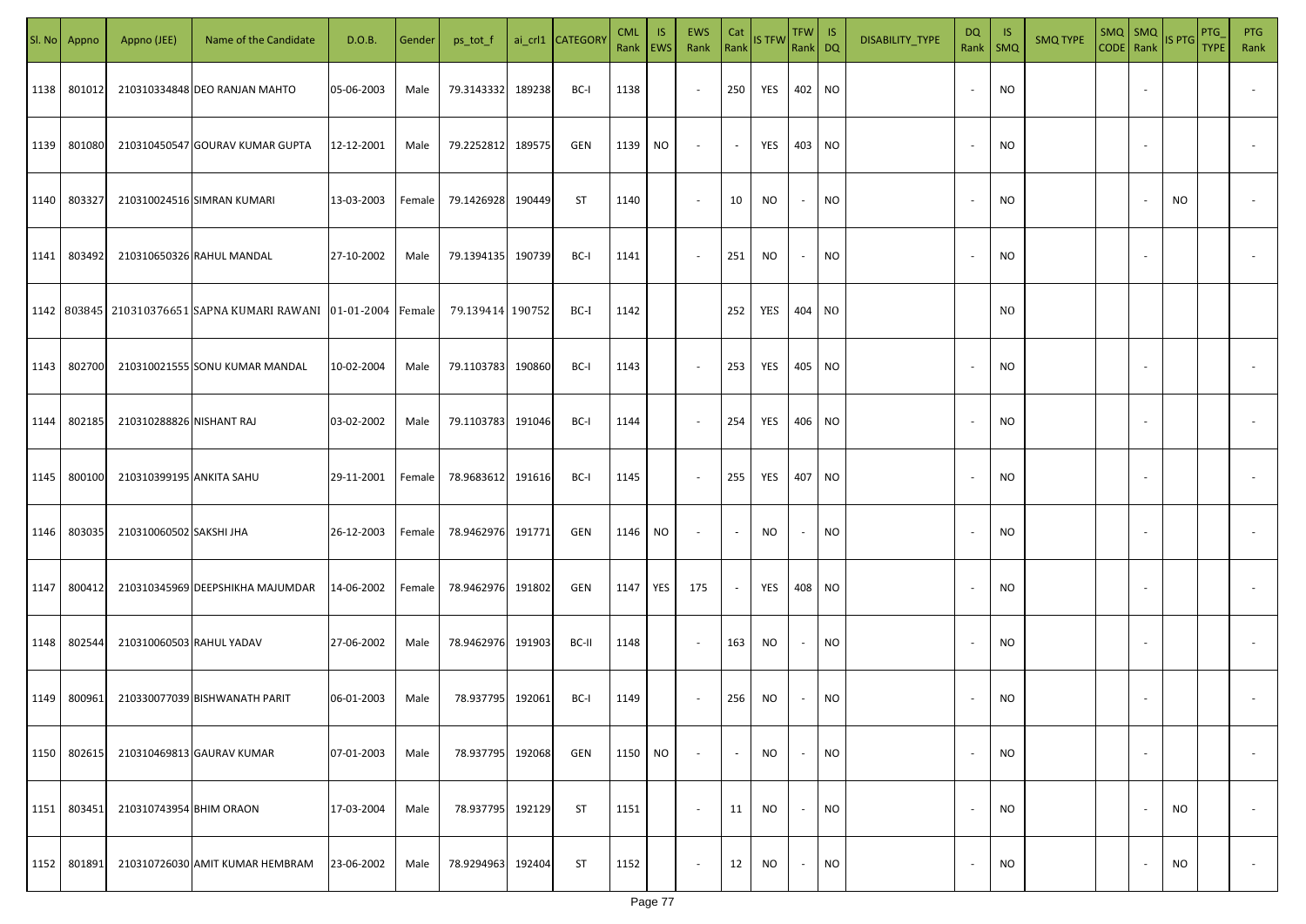| SI. No | Appno  | Appno (JEE)              | Name of the Candidate                                                    | D.O.B.     | Gender | ps_tot_f          |        | ai_crl1 CATEGORY | <b>CML</b><br>Rank EWS | <b>IS</b> | EWS<br>Rank Rank STFW    | Cat    |            | TFW IS<br>Rank DQ |           | DISABILITY_TYPE | <b>DQ</b><br>Rank        | - IS<br><b>SMQ</b> | <b>SMQ TYPE</b> | $SMQ$ $SMQ$<br>CODE Rank |                          | IS PTG | PTG<br><b>TYPE</b> | <b>PTG</b><br>Rank       |
|--------|--------|--------------------------|--------------------------------------------------------------------------|------------|--------|-------------------|--------|------------------|------------------------|-----------|--------------------------|--------|------------|-------------------|-----------|-----------------|--------------------------|--------------------|-----------------|--------------------------|--------------------------|--------|--------------------|--------------------------|
| 1138   | 801012 |                          | 210310334848 DEO RANJAN MAHTO                                            | 05-06-2003 | Male   | 79.3143332        | 189238 | BC-I             | 1138                   |           | $\sim$                   | 250    | YES        | 402 NO            |           |                 | $\overline{\phantom{a}}$ | <b>NO</b>          |                 |                          |                          |        |                    |                          |
| 1139   | 801080 |                          | 210310450547 GOURAV KUMAR GUPTA                                          | 12-12-2001 | Male   | 79.2252812        | 189575 | GEN              | 1139                   | <b>NO</b> | $\sim$                   | $\sim$ | YES        | 403 NO            |           |                 | $\overline{\phantom{a}}$ | <b>NO</b>          |                 |                          |                          |        |                    |                          |
| 1140   | 803327 |                          | 210310024516 SIMRAN KUMARI                                               | 13-03-2003 | Female | 79.1426928 190449 |        | ST               | 1140                   |           | $\overline{\phantom{a}}$ | 10     | <b>NO</b>  | $\sim$            | <b>NO</b> |                 |                          | <b>NO</b>          |                 |                          |                          | NO.    |                    |                          |
| 1141   | 803492 |                          | 210310650326 RAHUL MANDAL                                                | 27-10-2002 | Male   | 79.1394135 190739 |        | BC-I             | 1141                   |           | $\sim$                   | 251    | NO         | $\sim$            | NO        |                 |                          | <b>NO</b>          |                 |                          |                          |        |                    |                          |
|        |        |                          | 1142   803845   210310376651   SAPNA KUMARI RAWANI   01-01-2004   Female |            |        | 79.139414 190752  |        | BC-I             | 1142                   |           |                          | 252    | YES 404 NO |                   |           |                 |                          | N <sub>0</sub>     |                 |                          |                          |        |                    |                          |
| 1143   | 802700 |                          | 210310021555 SONU KUMAR MANDAL                                           | 10-02-2004 | Male   | 79.1103783        | 190860 | BC-I             | 1143                   |           | $\sim$                   | 253    | YES        | 405 NO            |           |                 |                          | <b>NO</b>          |                 |                          |                          |        |                    |                          |
| 1144   | 802185 | 210310288826 NISHANT RAJ |                                                                          | 03-02-2002 | Male   | 79.1103783        | 191046 | BC-I             | 1144                   |           | $\sim$                   | 254    | YES        | 406 NO            |           |                 |                          | <b>NO</b>          |                 |                          |                          |        |                    |                          |
| 1145   | 800100 | 210310399195 ANKITA SAHU |                                                                          | 29-11-2001 | Female | 78.9683612        | 191616 | BC-I             | 1145                   |           | $\sim$                   | 255    | YES        | 407               | NO        |                 |                          | <b>NO</b>          |                 |                          |                          |        |                    |                          |
| 1146   | 803035 | 210310060502 SAKSHI JHA  |                                                                          | 26-12-2003 | Female | 78.9462976 191771 |        | GEN              | 1146                   | <b>NO</b> | $\sim$                   |        | NO.        | $\sim$            | NO        |                 |                          | <b>NO</b>          |                 |                          |                          |        |                    |                          |
| 1147   | 800412 |                          | 210310345969 DEEPSHIKHA MAJUMDAR                                         | 14-06-2002 | Female | 78.9462976 191802 |        | GEN              | 1147                   | YES       | 175                      | $\sim$ | YES        |                   | 408 NO    |                 |                          | <b>NO</b>          |                 |                          |                          |        |                    |                          |
| 1148   | 802544 | 210310060503 RAHUL YADAV |                                                                          | 27-06-2002 | Male   | 78.9462976 191903 |        | BC-II            | 1148                   |           | $\sim$                   | 163    | NO.        | $\sim$            | <b>NO</b> |                 |                          | <b>NO</b>          |                 |                          |                          |        |                    |                          |
| 1149   | 800961 |                          | 210330077039 BISHWANATH PARIT                                            | 06-01-2003 | Male   | 78.937795 192061  |        | BC-I             | 1149                   |           | $\sim$                   | 256    | NO         | $\sim$            | <b>NO</b> |                 |                          | <b>NO</b>          |                 |                          |                          |        |                    |                          |
| 1150   | 802615 |                          | 210310469813 GAURAV KUMAR                                                | 07-01-2003 | Male   | 78.937795 192068  |        | GEN              | 1150                   | <b>NO</b> | $\sim$                   | $\sim$ | NO         | $\sim$            | <b>NO</b> |                 | $\overline{\phantom{a}}$ | <b>NO</b>          |                 |                          | $\overline{\phantom{a}}$ |        |                    | $\overline{\phantom{a}}$ |
| 1151   | 803451 | 210310743954 BHIM ORAON  |                                                                          | 17-03-2004 | Male   | 78.937795 192129  |        | ST               | 1151                   |           | $\sim$                   | 11     | <b>NO</b>  | $\sim$            | <b>NO</b> |                 | $\overline{\phantom{a}}$ | <b>NO</b>          |                 |                          |                          | NO     |                    | $\overline{\phantom{a}}$ |
| 1152   | 801891 |                          | 210310726030 AMIT KUMAR HEMBRAM                                          | 23-06-2002 | Male   | 78.9294963 192404 |        | ST               | 1152                   |           | $\sim$                   | 12     | <b>NO</b>  | $\sim$            | <b>NO</b> |                 | $\overline{\phantom{a}}$ | <b>NO</b>          |                 |                          |                          | NO     |                    | $\sim$                   |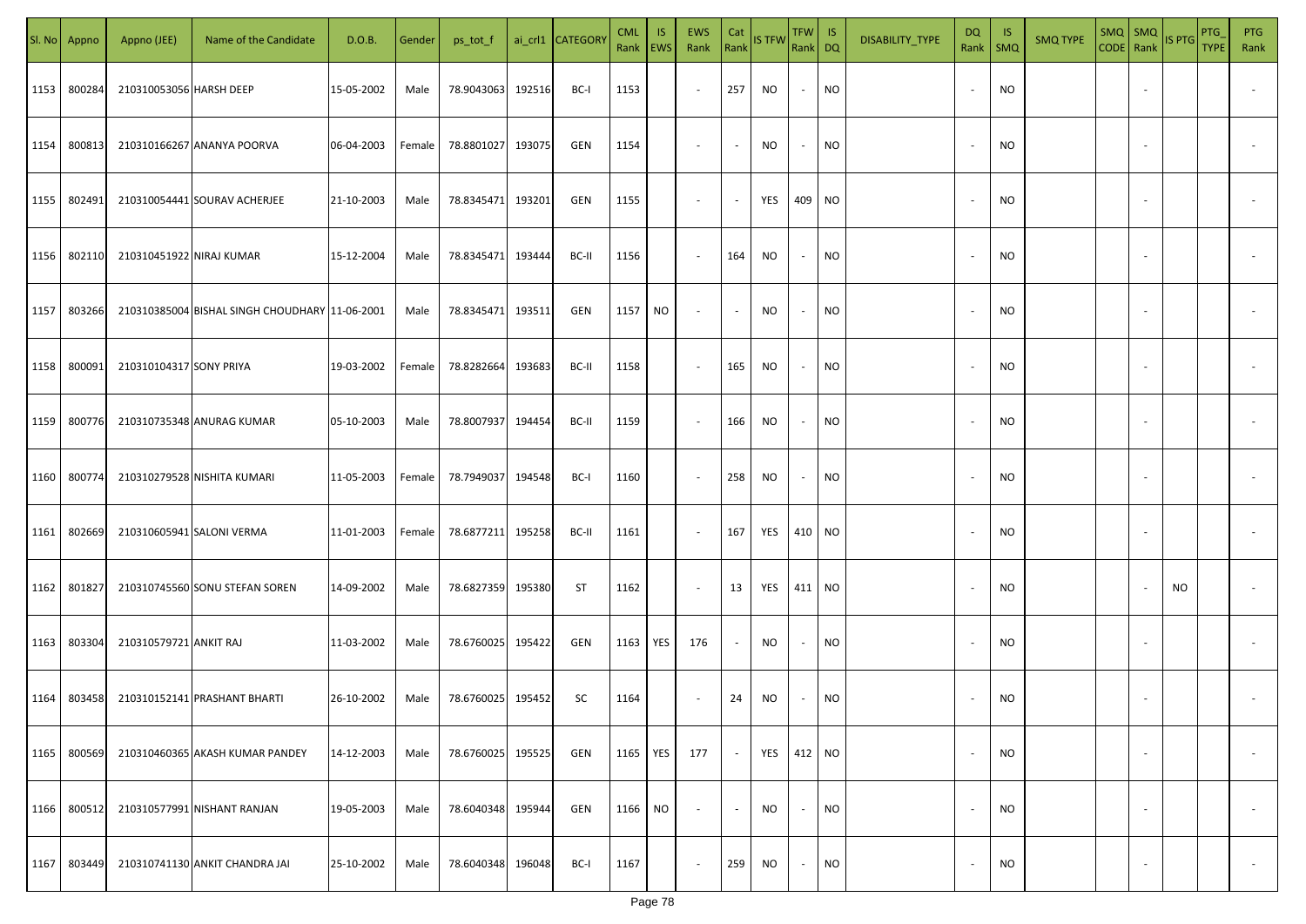|      | Sl. No Appno | Appno (JEE)              | Name of the Candidate                          | D.O.B.     | Gender | ps_tot_f   |        | ai_crl1 CATEGORY | <b>CML</b><br>Rank EWS | IS. | EWS<br>Rank              | Cat<br>Rank              | <b>IS TFW</b> | TFW  <br>Rank DQ         | IS        | DISABILITY_TYPE | DQ<br>Rank               | -IS<br>$\mathsf{SMQ}$ | <b>SMQ TYPE</b> | CODE Rank | $SMQ$ SMQ                | IS PTG    | PTG<br><b>TYPE</b> | <b>PTG</b><br>Rank |
|------|--------------|--------------------------|------------------------------------------------|------------|--------|------------|--------|------------------|------------------------|-----|--------------------------|--------------------------|---------------|--------------------------|-----------|-----------------|--------------------------|-----------------------|-----------------|-----------|--------------------------|-----------|--------------------|--------------------|
| 1153 | 800284       | 210310053056 HARSH DEEP  |                                                | 15-05-2002 | Male   | 78.9043063 | 192516 | BC-I             | 1153                   |     | $\blacksquare$           | 257                      | <b>NO</b>     | $\sim$                   | <b>NO</b> |                 |                          | NO                    |                 |           |                          |           |                    |                    |
| 1154 | 800813       |                          | 210310166267 ANANYA POORVA                     | 06-04-2003 | Female | 78.8801027 | 193075 | GEN              | 1154                   |     | $\overline{\phantom{a}}$ | $\sim$                   | <b>NO</b>     | $\sim$                   | <b>NO</b> |                 |                          | <b>NO</b>             |                 |           |                          |           |                    |                    |
| 1155 | 802491       |                          | 210310054441 SOURAV ACHERJEE                   | 21-10-2003 | Male   | 78.8345471 | 193201 | GEN              | 1155                   |     | $\overline{\phantom{a}}$ | $\sim$                   | YES           | 409 NO                   |           |                 | $\overline{\phantom{a}}$ | NO.                   |                 |           |                          |           |                    |                    |
| 1156 | 802110       | 210310451922 NIRAJ KUMAR |                                                | 15-12-2004 | Male   | 78.8345471 | 193444 | BC-II            | 1156                   |     | $\sim$                   | 164                      | <b>NO</b>     | $\sim$                   | <b>NO</b> |                 |                          | NO.                   |                 |           |                          |           |                    |                    |
| 1157 | 803266       |                          | 210310385004 BISHAL SINGH CHOUDHARY 11-06-2001 |            | Male   | 78.8345471 | 193511 | GEN              | 1157                   | NO  | $\overline{\phantom{a}}$ | $\overline{\phantom{a}}$ | NO.           | $\overline{\phantom{a}}$ | NO.       |                 |                          | NO.                   |                 |           |                          |           |                    |                    |
| 1158 | 800091       | 210310104317 SONY PRIYA  |                                                | 19-03-2002 | Female | 78.8282664 | 193683 | BC-II            | 1158                   |     | $\overline{\phantom{a}}$ | 165                      | <b>NO</b>     | $\overline{\phantom{a}}$ | <b>NO</b> |                 |                          | <b>NO</b>             |                 |           |                          |           |                    |                    |
| 1159 | 800776       |                          | 210310735348 ANURAG KUMAR                      | 05-10-2003 | Male   | 78.8007937 | 194454 | BC-II            | 1159                   |     | $\sim$                   | 166                      | <b>NO</b>     | $\overline{\phantom{a}}$ | <b>NO</b> |                 |                          | <b>NO</b>             |                 |           |                          |           |                    |                    |
| 1160 | 800774       |                          | 210310279528 NISHITA KUMARI                    | 11-05-2003 | Female | 78.7949037 | 194548 | BC-I             | 1160                   |     | $\sim$                   | 258                      | <b>NO</b>     | $\overline{\phantom{a}}$ | <b>NO</b> |                 |                          | <b>NO</b>             |                 |           |                          |           |                    |                    |
| 1161 | 802669       |                          | 210310605941 SALONI VERMA                      | 11-01-2003 | Female | 78.6877211 | 195258 | BC-II            | 1161                   |     | $\sim$                   | 167                      | YES           | 410 NO                   |           |                 |                          | <b>NO</b>             |                 |           |                          |           |                    |                    |
| 1162 | 801827       |                          | 210310745560 SONU STEFAN SOREN                 | 14-09-2002 | Male   | 78.6827359 | 195380 | ST               | 1162                   |     | $\overline{\phantom{a}}$ | 13                       | YES           | 411 NO                   |           |                 |                          | <b>NO</b>             |                 |           |                          | <b>NO</b> |                    |                    |
| 1163 | 803304       | 210310579721 ANKIT RAJ   |                                                | 11-03-2002 | Male   | 78.6760025 | 195422 | GEN              | 1163                   | YES | 176                      |                          | <b>NO</b>     | $\overline{\phantom{a}}$ | <b>NO</b> |                 |                          | <b>NO</b>             |                 |           |                          |           |                    |                    |
| 1164 | 803458       |                          | 210310152141 PRASHANT BHARTI                   | 26-10-2002 | Male   | 78.6760025 | 195452 | SC               | 1164                   |     | $\overline{\phantom{a}}$ | 24                       | <b>NO</b>     | $\overline{\phantom{a}}$ | <b>NO</b> |                 |                          | <b>NO</b>             |                 |           |                          |           |                    |                    |
| 1165 | 800569       |                          | 210310460365 AKASH KUMAR PANDEY                | 14-12-2003 | Male   | 78.6760025 | 195525 | GEN              | 1165                   | YES | 177                      | $\sim$                   | YES           |                          | 412 NO    |                 | $\overline{\phantom{a}}$ | NO.                   |                 |           | $\overline{\phantom{a}}$ |           |                    | $\sim$             |
| 1166 | 800512       |                          | 210310577991 NISHANT RANJAN                    | 19-05-2003 | Male   | 78.6040348 | 195944 | GEN              | 1166                   | NO. | $\overline{\phantom{a}}$ | $\sim$                   | <b>NO</b>     | $\sim$                   | <b>NO</b> |                 | $\sim$                   | <b>NO</b>             |                 |           | $\overline{\phantom{a}}$ |           |                    | $\sim$             |
| 1167 | 803449       |                          | 210310741130 ANKIT CHANDRA JAI                 | 25-10-2002 | Male   | 78.6040348 | 196048 | BC-I             | 1167                   |     | $\overline{\phantom{a}}$ | 259                      | NO            | $\sim$                   | <b>NO</b> |                 |                          | <b>NO</b>             |                 |           |                          |           |                    | $\sim$             |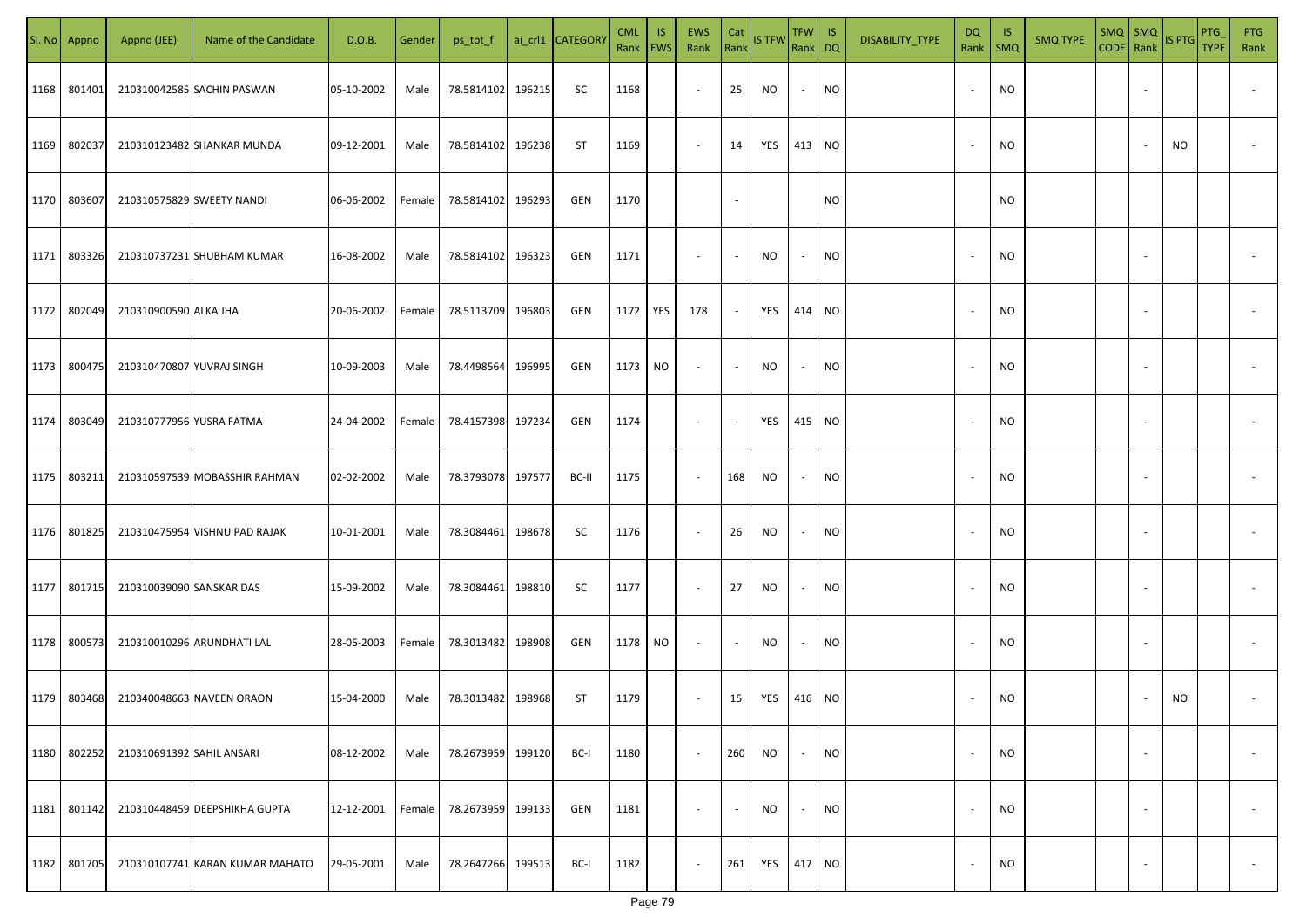|      | Sl. No Appno | Appno (JEE)               | Name of the Candidate           | D.O.B.     | Gender | ps_tot_f          |        | ai_crl1 CATEGORY | <b>CML</b><br>Rank   EWS | IS.       | EWS<br>Rank              | Cat<br>Rank              | <b>IS TFW</b> | $TFW$ IS<br>Rank DQ      |           | DISABILITY_TYPE | DQ     | - IS<br>Rank   SMQ | <b>SMQ TYPE</b> |                          | $\begin{array}{ c c c c }\n\hline\n\text{SMQ} & \text{SMQ} \\ \hline\n\text{CODE} & \text{Rank}\n\end{array}$ IS PTG | PTG<br><b>TYPE</b> | <b>PTG</b><br>Rank       |
|------|--------------|---------------------------|---------------------------------|------------|--------|-------------------|--------|------------------|--------------------------|-----------|--------------------------|--------------------------|---------------|--------------------------|-----------|-----------------|--------|--------------------|-----------------|--------------------------|----------------------------------------------------------------------------------------------------------------------|--------------------|--------------------------|
| 1168 | 801401       |                           | 210310042585 SACHIN PASWAN      | 05-10-2002 | Male   | 78.5814102        | 196215 | SC               | 1168                     |           | $\overline{\phantom{a}}$ | 25                       | NO            | $\sim$                   | <b>NO</b> |                 |        | <b>NO</b>          |                 |                          |                                                                                                                      |                    |                          |
| 1169 | 802037       |                           | 210310123482 SHANKAR MUNDA      | 09-12-2001 | Male   | 78.5814102        | 196238 | ST               | 1169                     |           | $\sim$                   | 14                       | YES           | 413 NO                   |           |                 |        | <b>NO</b>          |                 |                          | NO                                                                                                                   |                    |                          |
| 1170 | 803607       | 210310575829 SWEETY NANDI |                                 | 06-06-2002 | Female | 78.5814102        | 196293 | GEN              | 1170                     |           |                          | $\sim$                   |               |                          | <b>NO</b> |                 |        | <b>NO</b>          |                 |                          |                                                                                                                      |                    |                          |
| 1171 | 803326       |                           | 210310737231 SHUBHAM KUMAR      | 16-08-2002 | Male   | 78.5814102        | 196323 | GEN              | 1171                     |           | $\overline{\phantom{a}}$ | $\sim$                   | NO            | $\overline{\phantom{a}}$ | <b>NO</b> |                 |        | <b>NO</b>          |                 |                          |                                                                                                                      |                    |                          |
| 1172 | 802049       | 210310900590 ALKA JHA     |                                 | 20-06-2002 | Female | 78.5113709        | 196803 | GEN              | 1172                     | YES       | 178                      | $\overline{\phantom{a}}$ | YES           | 414 NO                   |           |                 | $\sim$ | <b>NO</b>          |                 |                          |                                                                                                                      |                    |                          |
| 1173 | 800475       | 210310470807 YUVRAJ SINGH |                                 | 10-09-2003 | Male   | 78.4498564        | 196995 | GEN              | 1173                     | <b>NO</b> | $\overline{\phantom{a}}$ | $\sim$                   | NO            | $\sim$                   | <b>NO</b> |                 |        | <b>NO</b>          |                 |                          |                                                                                                                      |                    |                          |
| 1174 | 803049       | 210310777956 YUSRA FATMA  |                                 | 24-04-2002 | Female | 78.4157398 197234 |        | GEN              | 1174                     |           | $\overline{\phantom{a}}$ | $\sim$                   | YES           | 415 NO                   |           |                 |        | <b>NO</b>          |                 |                          |                                                                                                                      |                    |                          |
| 1175 | 803211       |                           | 210310597539 MOBASSHIR RAHMAN   | 02-02-2002 | Male   | 78.3793078        | 197577 | BC-II            | 1175                     |           | $\sim$                   | 168                      | <b>NO</b>     | $\sim$                   | <b>NO</b> |                 |        | <b>NO</b>          |                 |                          |                                                                                                                      |                    |                          |
| 1176 | 801825       |                           | 210310475954 VISHNU PAD RAJAK   | 10-01-2001 | Male   | 78.3084461        | 198678 | SC               | 1176                     |           | $\overline{\phantom{a}}$ | 26                       | NO            | $\overline{\phantom{a}}$ | <b>NO</b> |                 |        | <b>NO</b>          |                 |                          |                                                                                                                      |                    |                          |
| 1177 | 801715       | 210310039090 SANSKAR DAS  |                                 | 15-09-2002 | Male   | 78.3084461        | 198810 | SC               | 1177                     |           | $\overline{\phantom{a}}$ | 27                       | NO            |                          | <b>NO</b> |                 |        | <b>NO</b>          |                 |                          |                                                                                                                      |                    |                          |
| 1178 | 800573       |                           | 210310010296 ARUNDHATI LAL      | 28-05-2003 | Female | 78.3013482        | 198908 | GEN              | 1178                     | NO        | $\sim$                   | $\sim$                   | NO            |                          | <b>NO</b> |                 |        | <b>NO</b>          |                 |                          |                                                                                                                      |                    |                          |
| 1179 | 803468       |                           | 210340048663 NAVEEN ORAON       | 15-04-2000 | Male   | 78.3013482        | 198968 | ST               | 1179                     |           | $\sim$                   | 15                       | YES           | 416 NO                   |           |                 |        | <b>NO</b>          |                 |                          | NO                                                                                                                   |                    |                          |
| 1180 | 802252       | 210310691392 SAHIL ANSARI |                                 | 08-12-2002 | Male   | 78.2673959        | 199120 | BC-I             | 1180                     |           | $\sim$                   | 260                      | NO            | $\overline{\phantom{a}}$ | <b>NO</b> |                 |        | <b>NO</b>          |                 | $\overline{\phantom{a}}$ |                                                                                                                      |                    | $\overline{\phantom{a}}$ |
| 1181 | 801142       |                           | 210310448459 DEEPSHIKHA GUPTA   | 12-12-2001 | Female | 78.2673959        | 199133 | GEN              | 1181                     |           | $\overline{\phantom{a}}$ | $\blacksquare$           | <b>NO</b>     |                          | <b>NO</b> |                 |        | <b>NO</b>          |                 | $\overline{\phantom{a}}$ |                                                                                                                      |                    | $\overline{\phantom{a}}$ |
| 1182 | 801705       |                           | 210310107741 KARAN KUMAR MAHATO | 29-05-2001 | Male   | 78.2647266 199513 |        | BC-I             | 1182                     |           | $\overline{\phantom{a}}$ | 261                      | YES           | 417 NO                   |           |                 |        | <b>NO</b>          |                 | $\sim$                   |                                                                                                                      |                    | $\sim$                   |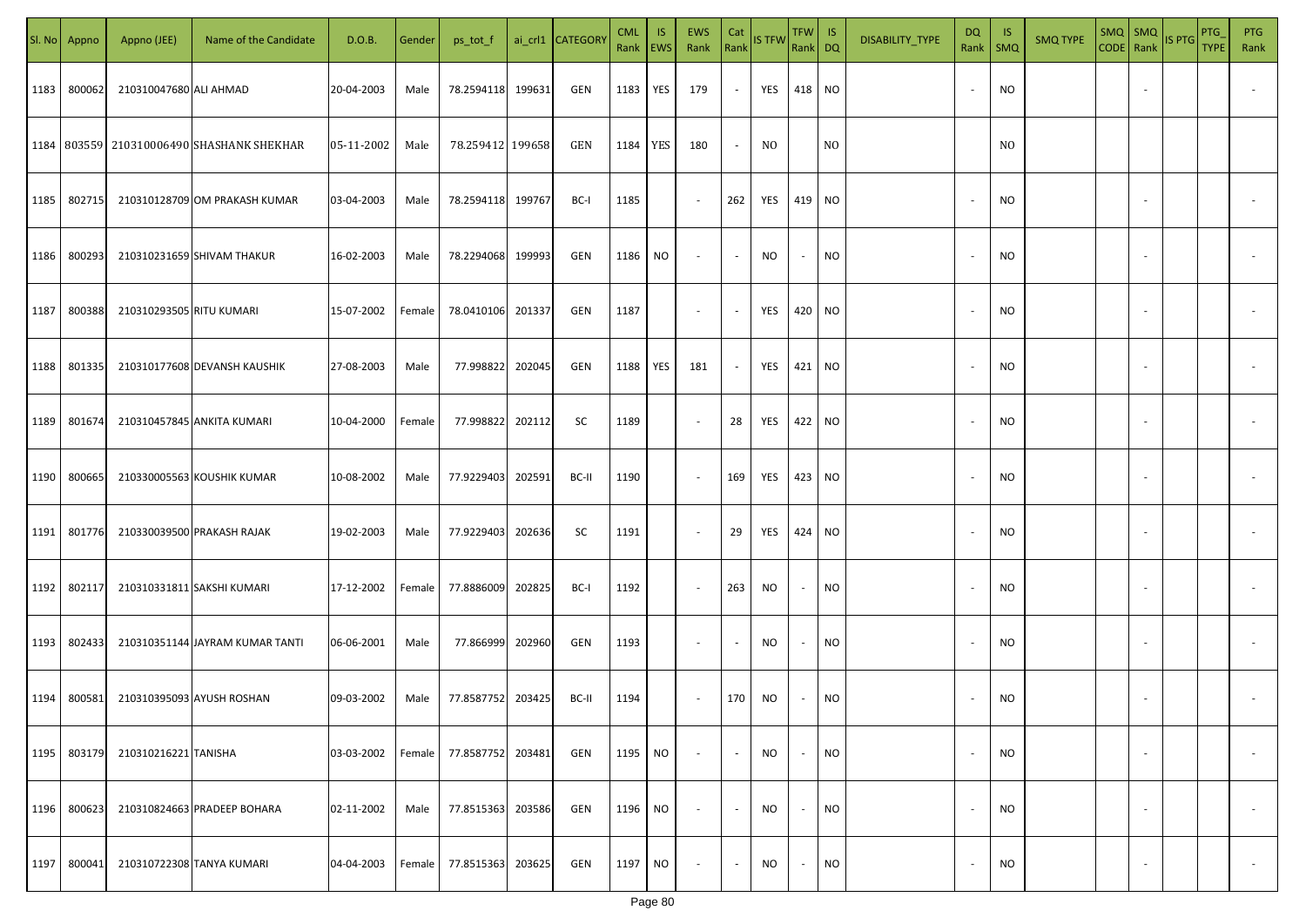|      | Sl. No Appno | Appno (JEE)               | Name of the Candidate                         | D.O.B.     | Gender | ps_tot_f         |        | ai_crl1 CATEGOR\ | <b>CML</b><br>Rank EWS | IS.       | <b>EWS</b><br>Rank       | Cat<br>Rank | <b>IS TFW</b> | TFW IS<br>Rank DQ |                | DISABILITY_TYPE | DQ<br>Rank               | -IS<br><b>SMQ</b> | <b>SMQ TYPE</b> | $SMQ$ SMQ<br>CODE Rank |                          | IS PTG | PTG<br><b>TYPE</b> | <b>PTG</b><br>Rank       |
|------|--------------|---------------------------|-----------------------------------------------|------------|--------|------------------|--------|------------------|------------------------|-----------|--------------------------|-------------|---------------|-------------------|----------------|-----------------|--------------------------|-------------------|-----------------|------------------------|--------------------------|--------|--------------------|--------------------------|
| 1183 | 800062       | 210310047680 ALI AHMAD    |                                               | 20-04-2003 | Male   | 78.2594118       | 199631 | GEN              | 1183                   | YES       | 179                      | $\sim$      | YES           | 418 NO            |                |                 |                          | <b>NO</b>         |                 |                        |                          |        |                    |                          |
|      |              |                           | 1184   803559   210310006490 SHASHANK SHEKHAR | 05-11-2002 | Male   | 78.259412 199658 |        | GEN              | 1184                   | YES       | 180                      | $\sim$      | NO.           |                   | N <sub>0</sub> |                 |                          | N <sub>0</sub>    |                 |                        |                          |        |                    |                          |
| 1185 | 802715       |                           | 210310128709 OM PRAKASH KUMAR                 | 03-04-2003 | Male   | 78.2594118       | 199767 | BC-I             | 1185                   |           | $\sim$                   | 262         | YES           | 419 NO            |                |                 |                          | <b>NO</b>         |                 |                        |                          |        |                    |                          |
| 1186 | 800293       |                           | 210310231659 SHIVAM THAKUR                    | 16-02-2003 | Male   | 78.2294068       | 199993 | GEN              | 1186                   | NO        | $\overline{\phantom{a}}$ | $\sim$      | NO.           | $\sim$            | NO             |                 |                          | <b>NO</b>         |                 |                        |                          |        |                    |                          |
| 1187 | 800388       | 210310293505 RITU KUMARI  |                                               | 15-07-2002 | Female | 78.0410106       | 201337 | GEN              | 1187                   |           | $\sim$                   | $\sim$      | YES           | 420 NO            |                |                 |                          | <b>NO</b>         |                 |                        |                          |        |                    |                          |
| 1188 | 801335       |                           | 210310177608 DEVANSH KAUSHIK                  | 27-08-2003 | Male   | 77.998822        | 202045 | GEN              | 1188                   | YES       | 181                      | $\sim$      | YES           | 421 NO            |                |                 |                          | <b>NO</b>         |                 |                        |                          |        |                    |                          |
| 1189 | 801674       |                           | 210310457845 ANKITA KUMARI                    | 10-04-2000 | Female | 77.998822        | 202112 | SC               | 1189                   |           | $\overline{\phantom{a}}$ | 28          | YES           | 422 NO            |                |                 |                          | <b>NO</b>         |                 |                        |                          |        |                    |                          |
| 1190 | 800665       |                           | 210330005563 KOUSHIK KUMAR                    | 10-08-2002 | Male   | 77.9229403       | 202591 | BC-II            | 1190                   |           | $\sim$                   | 169         | YES           | 423 NO            |                |                 |                          | <b>NO</b>         |                 |                        |                          |        |                    |                          |
| 1191 | 801776       |                           | 210330039500 PRAKASH RAJAK                    | 19-02-2003 | Male   | 77.9229403       | 202636 | SC               | 1191                   |           | $\sim$                   | 29          | YES           | 424 NO            |                |                 |                          | <b>NO</b>         |                 |                        |                          |        |                    |                          |
| 1192 | 802117       |                           | 210310331811 SAKSHI KUMARI                    | 17-12-2002 | Female | 77.8886009       | 202825 | BC-I             | 1192                   |           | $\sim$                   | 263         | NO            | $\sim$            | NO             |                 |                          | <b>NO</b>         |                 |                        |                          |        |                    |                          |
| 1193 | 802433       |                           | 210310351144 JAYRAM KUMAR TANTI               | 06-06-2001 | Male   | 77.866999        | 202960 | GEN              | 1193                   |           | $\sim$                   |             | NO.           | $\sim$            | <b>NO</b>      |                 |                          | <b>NO</b>         |                 |                        |                          |        |                    |                          |
| 1194 | 800581       | 210310395093 AYUSH ROSHAN |                                               | 09-03-2002 | Male   | 77.8587752       | 203425 | BC-II            | 1194                   |           | $\sim$                   | 170         | NO.           | $\sim$            | <b>NO</b>      |                 |                          | <b>NO</b>         |                 |                        |                          |        |                    |                          |
| 1195 | 803179       | 210310216221 TANISHA      |                                               | 03-03-2002 | Female | 77.8587752       | 203481 | GEN              | 1195                   | NO        | $\overline{\phantom{a}}$ | $\sim$      | NO            | $\sim$            | <b>NO</b>      |                 | $\overline{\phantom{a}}$ | <b>NO</b>         |                 |                        | $\overline{\phantom{a}}$ |        |                    | $\overline{\phantom{a}}$ |
| 1196 | 800623       |                           | 210310824663 PRADEEP BOHARA                   | 02-11-2002 | Male   | 77.8515363       | 203586 | GEN              | 1196                   | NO        | $\sim$                   | $\sim$      | NO            | $\sim$            | <b>NO</b>      |                 | $\overline{\phantom{a}}$ | <b>NO</b>         |                 |                        | $\sim$                   |        |                    | $\overline{\phantom{a}}$ |
| 1197 | 800041       | 210310722308 TANYA KUMARI |                                               | 04-04-2003 | Female | 77.8515363       | 203625 | GEN              | 1197                   | <b>NO</b> | $\sim$                   | $\sim$      | NO            | $\sim$            | <b>NO</b>      |                 |                          | <b>NO</b>         |                 |                        | $\overline{\phantom{a}}$ |        |                    | $\sim$                   |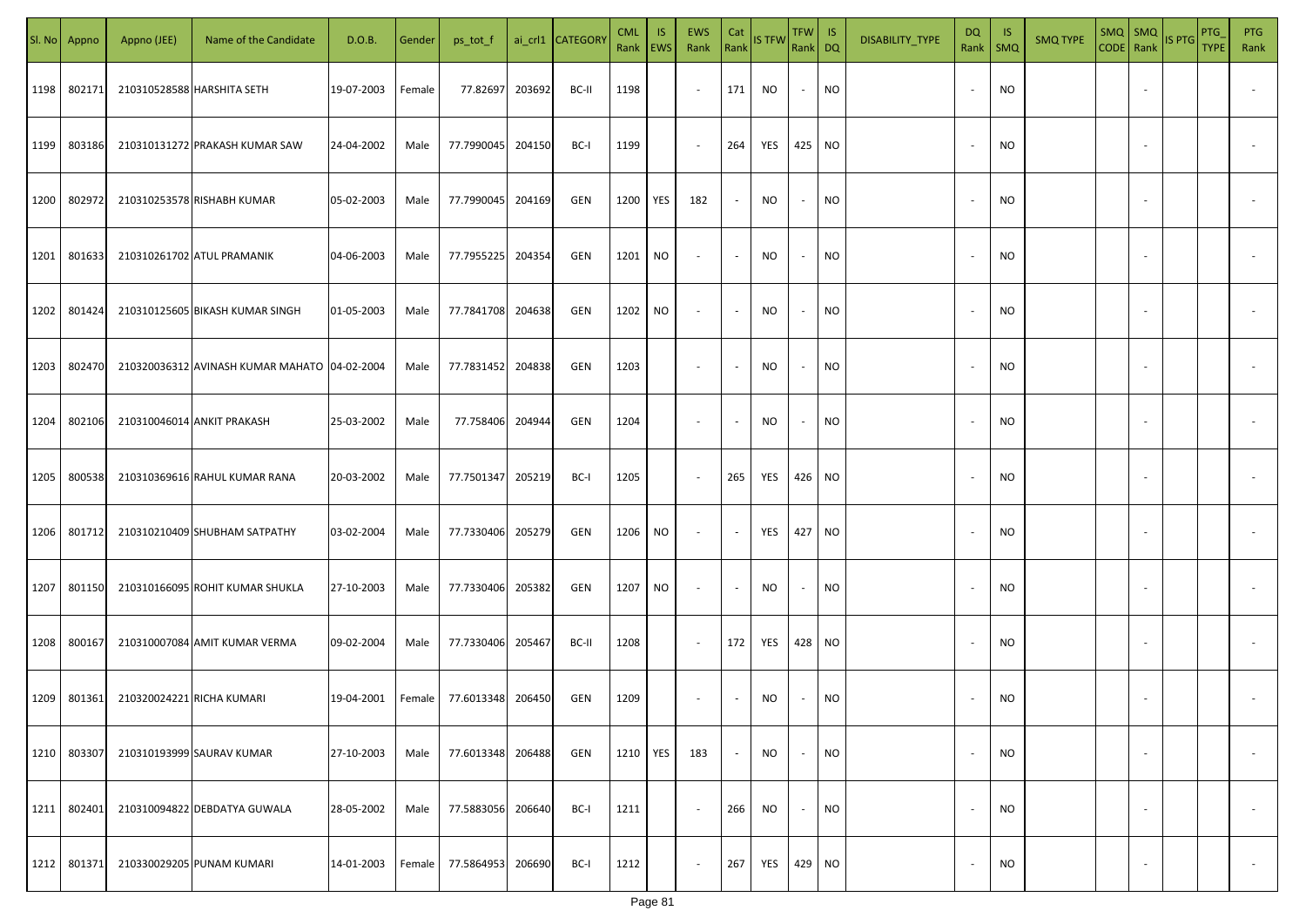| SI. No | Appno  | Appno (JEE)               | Name of the Candidate                        | D.O.B.     | Gender | ps_tot_f          |        | ai_crl1 CATEGOR\ | <b>CML</b><br>Rank EWS | IS. | <b>EWS</b><br>Rank       | Cat<br>Rank | <b>IS TFW</b> | TFW IS<br>Rank DQ        |                 | DISABILITY_TYPE | DQ                       | - IS<br>Rank   SMQ | <b>SMQ TYPE</b> | $SMQ$ $SMQ$              | CODE Rank IS PTG | <b>PTG</b><br><b>TYPE</b> | <b>PTG</b><br>Rank       |
|--------|--------|---------------------------|----------------------------------------------|------------|--------|-------------------|--------|------------------|------------------------|-----|--------------------------|-------------|---------------|--------------------------|-----------------|-----------------|--------------------------|--------------------|-----------------|--------------------------|------------------|---------------------------|--------------------------|
| 1198   | 802171 |                           | 210310528588 HARSHITA SETH                   | 19-07-2003 | Female | 77.82697          | 203692 | BC-II            | 1198                   |     | $\sim$                   | 171         | NO.           | $\sim$                   | <b>NO</b>       |                 |                          | <b>NO</b>          |                 |                          |                  |                           |                          |
| 1199   | 803186 |                           | 210310131272 PRAKASH KUMAR SAW               | 24-04-2002 | Male   | 77.7990045        | 204150 | BC-I             | 1199                   |     | $\sim$                   | 264         | YES           | 425 NO                   |                 |                 |                          | <b>NO</b>          |                 |                          |                  |                           |                          |
| 1200   | 802972 |                           | 210310253578 RISHABH KUMAR                   | 05-02-2003 | Male   | 77.7990045        | 204169 | GEN              | 1200                   | YES | 182                      | $\sim$      | NO            | $\sim$                   | <b>NO</b>       |                 |                          | <b>NO</b>          |                 |                          |                  |                           |                          |
| 1201   | 801633 |                           | 210310261702 ATUL PRAMANIK                   | 04-06-2003 | Male   | 77.7955225        | 204354 | GEN              | 1201                   | NO  | $\overline{\phantom{a}}$ | $\sim$      | NO            | $\sim$                   | NO <sub>1</sub> |                 |                          | <b>NO</b>          |                 |                          |                  |                           |                          |
| 1202   | 801424 |                           | 210310125605 BIKASH KUMAR SINGH              | 01-05-2003 | Male   | 77.7841708        | 204638 | GEN              | 1202                   | NO  | $\sim$                   | $\sim$      | NO            | $\sim$                   | <b>NO</b>       |                 |                          | <b>NO</b>          |                 |                          |                  |                           |                          |
| 1203   | 802470 |                           | 210320036312 AVINASH KUMAR MAHATO 04-02-2004 |            | Male   | 77.7831452        | 204838 | GEN              | 1203                   |     | $\overline{\phantom{a}}$ | $\sim$      | NO            | $\sim$                   | <b>NO</b>       |                 |                          | <b>NO</b>          |                 |                          |                  |                           |                          |
| 1204   | 802106 |                           | 210310046014 ANKIT PRAKASH                   | 25-03-2002 | Male   | 77.758406         | 204944 | GEN              | 1204                   |     | $\overline{\phantom{a}}$ | $\sim$      | <b>NO</b>     | $\sim$                   | <b>NO</b>       |                 |                          | <b>NO</b>          |                 |                          |                  |                           |                          |
| 1205   | 800538 |                           | 210310369616 RAHUL KUMAR RANA                | 20-03-2002 | Male   | 77.7501347        | 205219 | BC-I             | 1205                   |     | $\sim$                   | 265         | YES           | 426 NO                   |                 |                 |                          | <b>NO</b>          |                 |                          |                  |                           |                          |
| 1206   | 801712 |                           | 210310210409 SHUBHAM SATPATHY                | 03-02-2004 | Male   | 77.7330406        | 205279 | GEN              | 1206                   | NO  | $\sim$                   | $\sim$      | YES           | 427 NO                   |                 |                 |                          | <b>NO</b>          |                 |                          |                  |                           |                          |
| 1207   | 801150 |                           | 210310166095 ROHIT KUMAR SHUKLA              | 27-10-2003 | Male   | 77.7330406        | 205382 | GEN              | 1207                   | NO. | $\sim$                   | $\sim$      | NO.           | $\sim$                   | <b>NO</b>       |                 |                          | <b>NO</b>          |                 |                          |                  |                           |                          |
| 1208   | 800167 |                           | 210310007084 AMIT KUMAR VERMA                | 09-02-2004 | Male   | 77.7330406 205467 |        | BC-II            | 1208                   |     | $\sim$                   | 172         | YES           | 428 NO                   |                 |                 |                          | <b>NO</b>          |                 |                          |                  |                           |                          |
| 1209   | 801361 | 210320024221 RICHA KUMARI |                                              | 19-04-2001 | Female | 77.6013348        | 206450 | GEN              | 1209                   |     | $\overline{\phantom{a}}$ | $\sim$      | <b>NO</b>     | $\sim$                   | <b>NO</b>       |                 |                          | <b>NO</b>          |                 |                          |                  |                           |                          |
| 1210   | 803307 |                           | 210310193999 SAURAV KUMAR                    | 27-10-2003 | Male   | 77.6013348        | 206488 | GEN              | 1210                   | YES | 183                      | $\bullet$   | <b>NO</b>     | $\overline{\phantom{a}}$ | <b>NO</b>       |                 |                          | <b>NO</b>          |                 | $\overline{\phantom{a}}$ |                  |                           | $\overline{\phantom{a}}$ |
| 1211   | 802401 |                           | 210310094822 DEBDATYA GUWALA                 | 28-05-2002 | Male   | 77.5883056        | 206640 | BC-I             | 1211                   |     | $\sim$                   | 266         | NO            | $\sim$                   | <b>NO</b>       |                 | $\overline{\phantom{a}}$ | <b>NO</b>          |                 | $\overline{\phantom{a}}$ |                  |                           | $\overline{\phantom{a}}$ |
| 1212   | 801371 |                           | 210330029205 PUNAM KUMARI                    | 14-01-2003 | Female | 77.5864953        | 206690 | BC-I             | 1212                   |     | $\sim$                   | 267         | YES           | 429 NO                   |                 |                 |                          | <b>NO</b>          |                 | $\overline{\phantom{a}}$ |                  |                           | $\sim$                   |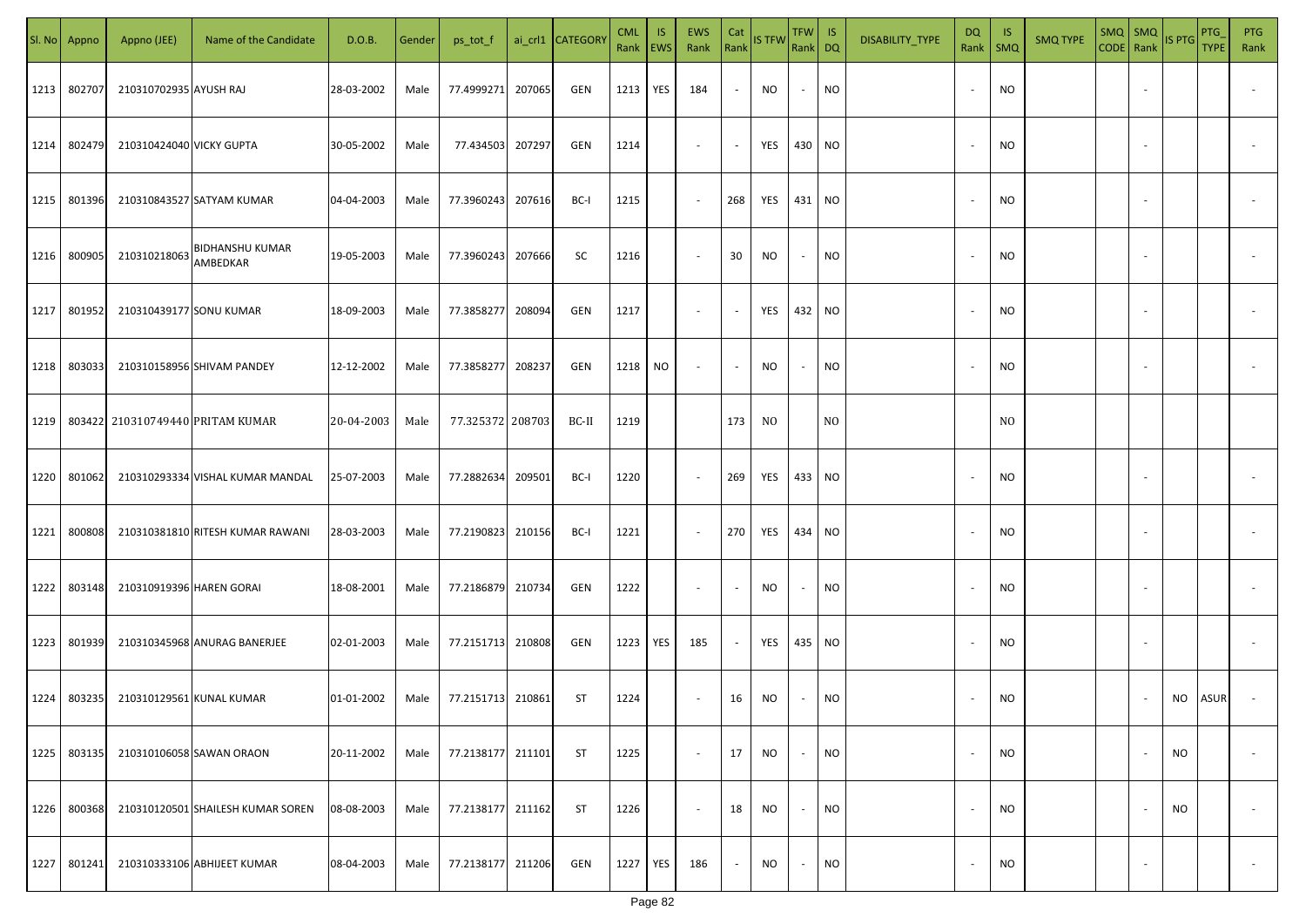|      | Sl. No Appno | Appno (JEE)              | Name of the Candidate              | D.O.B.     | Gender | ps_tot_f          |        | ai_crl1 CATEGORY | <b>CML</b><br>Rank EWS | IS. | <b>EWS</b><br>Rank       | Cat<br>Rank | <b>IS TFW</b> | $TFW$ IS<br>Rank DQ      |                | DISABILITY_TYPE | DQ | -IS<br>Rank   SMQ | <b>SMQ TYPE</b> | SMQ   SMQ                | CODE Rank IS PTG | <b>PTG</b><br><b>TYPE</b> | <b>PTG</b><br>Rank       |
|------|--------------|--------------------------|------------------------------------|------------|--------|-------------------|--------|------------------|------------------------|-----|--------------------------|-------------|---------------|--------------------------|----------------|-----------------|----|-------------------|-----------------|--------------------------|------------------|---------------------------|--------------------------|
| 1213 | 802707       | 210310702935 AYUSH RAJ   |                                    | 28-03-2002 | Male   | 77.4999271        | 207065 | GEN              | 1213                   | YES | 184                      | $\sim$      | NO            | $\sim$                   | <b>NO</b>      |                 |    | <b>NO</b>         |                 |                          |                  |                           |                          |
| 1214 | 802479       | 210310424040 VICKY GUPTA |                                    | 30-05-2002 | Male   | 77.434503         | 207297 | GEN              | 1214                   |     | $\sim$                   | $\sim$      | YES           | 430 NO                   |                |                 |    | <b>NO</b>         |                 |                          |                  |                           |                          |
| 1215 | 801396       |                          | 210310843527 SATYAM KUMAR          | 04-04-2003 | Male   | 77.3960243        | 207616 | BC-I             | 1215                   |     | $\sim$                   | 268         | YES           | 431 NO                   |                |                 |    | <b>NO</b>         |                 |                          |                  |                           |                          |
| 1216 | 800905       | 210310218063             | <b>BIDHANSHU KUMAR</b><br>AMBEDKAR | 19-05-2003 | Male   | 77.3960243        | 207666 | SC               | 1216                   |     | $\overline{\phantom{a}}$ | 30          | NO            | $\overline{\phantom{a}}$ | <b>NO</b>      |                 |    | <b>NO</b>         |                 |                          |                  |                           |                          |
| 1217 | 801952       | 210310439177 SONU KUMAR  |                                    | 18-09-2003 | Male   | 77.3858277        | 208094 | GEN              | 1217                   |     | $\overline{\phantom{a}}$ | $\sim$      | YES           | 432 NO                   |                |                 |    | <b>NO</b>         |                 |                          |                  |                           |                          |
| 1218 | 803033       |                          | 210310158956 SHIVAM PANDEY         | 12-12-2002 | Male   | 77.3858277        | 208237 | GEN              | 1218 NO                |     | $\overline{\phantom{a}}$ | $\sim$      | NO            | $\sim$                   | <b>NO</b>      |                 |    | <b>NO</b>         |                 |                          |                  |                           |                          |
| 1219 |              |                          | 803422 210310749440 PRITAM KUMAR   | 20-04-2003 | Male   | 77.325372 208703  |        | BC-II            | 1219                   |     |                          | 173         | NO.           |                          | N <sub>O</sub> |                 |    | NO.               |                 |                          |                  |                           |                          |
| 1220 | 801062       |                          | 210310293334 VISHAL KUMAR MANDAL   | 25-07-2003 | Male   | 77.2882634        | 209501 | BC-I             | 1220                   |     | $\sim$                   | 269         | YES           | 433 NO                   |                |                 |    | <b>NO</b>         |                 |                          |                  |                           |                          |
| 1221 | 800808       |                          | 210310381810 RITESH KUMAR RAWANI   | 28-03-2003 | Male   | 77.2190823        | 210156 | BC-I             | 1221                   |     | $\sim$                   | 270         | YES           | 434 NO                   |                |                 |    | NO                |                 |                          |                  |                           |                          |
| 1222 | 803148       | 210310919396 HAREN GORAI |                                    | 18-08-2001 | Male   | 77.2186879 210734 |        | GEN              | 1222                   |     | $\sim$                   |             | NO            |                          | <b>NO</b>      |                 |    | <b>NO</b>         |                 |                          |                  |                           |                          |
| 1223 | 801939       |                          | 210310345968 ANURAG BANERJEE       | 02-01-2003 | Male   | 77.2151713 210808 |        | GEN              | 1223                   | YES | 185                      | $\sim$      | YES           | 435 NO                   |                |                 |    | <b>NO</b>         |                 |                          |                  |                           |                          |
| 1224 | 803235       | 210310129561 KUNAL KUMAR |                                    | 01-01-2002 | Male   | 77.2151713 210861 |        | ST               | 1224                   |     | $\overline{\phantom{a}}$ | 16          | NO            |                          | <b>NO</b>      |                 |    | <b>NO</b>         |                 |                          | NO.              | <b>ASUR</b>               |                          |
| 1225 | 803135       |                          | 210310106058 SAWAN ORAON           | 20-11-2002 | Male   | 77.2138177 211101 |        | ST               | 1225                   |     | $\sim$                   | 17          | <b>NO</b>     | $\overline{\phantom{a}}$ | <b>NO</b>      |                 |    | <b>NO</b>         |                 | $\overline{\phantom{a}}$ | NO               |                           | $\overline{\phantom{a}}$ |
| 1226 | 800368       |                          | 210310120501 SHAILESH KUMAR SOREN  | 08-08-2003 | Male   | 77.2138177        | 211162 | ST               | 1226                   |     | $\overline{\phantom{a}}$ | 18          | <b>NO</b>     | $\overline{\phantom{a}}$ | <b>NO</b>      |                 |    | <b>NO</b>         |                 |                          | <b>NO</b>        |                           | $\overline{\phantom{a}}$ |
| 1227 | 801241       |                          | 210310333106 ABHIJEET KUMAR        | 08-04-2003 | Male   | 77.2138177        | 211206 | GEN              | 1227                   | YES | 186                      | $\sim$      | <b>NO</b>     | $\sim$                   | <b>NO</b>      |                 |    | <b>NO</b>         |                 | $\overline{\phantom{a}}$ |                  |                           | $\overline{\phantom{a}}$ |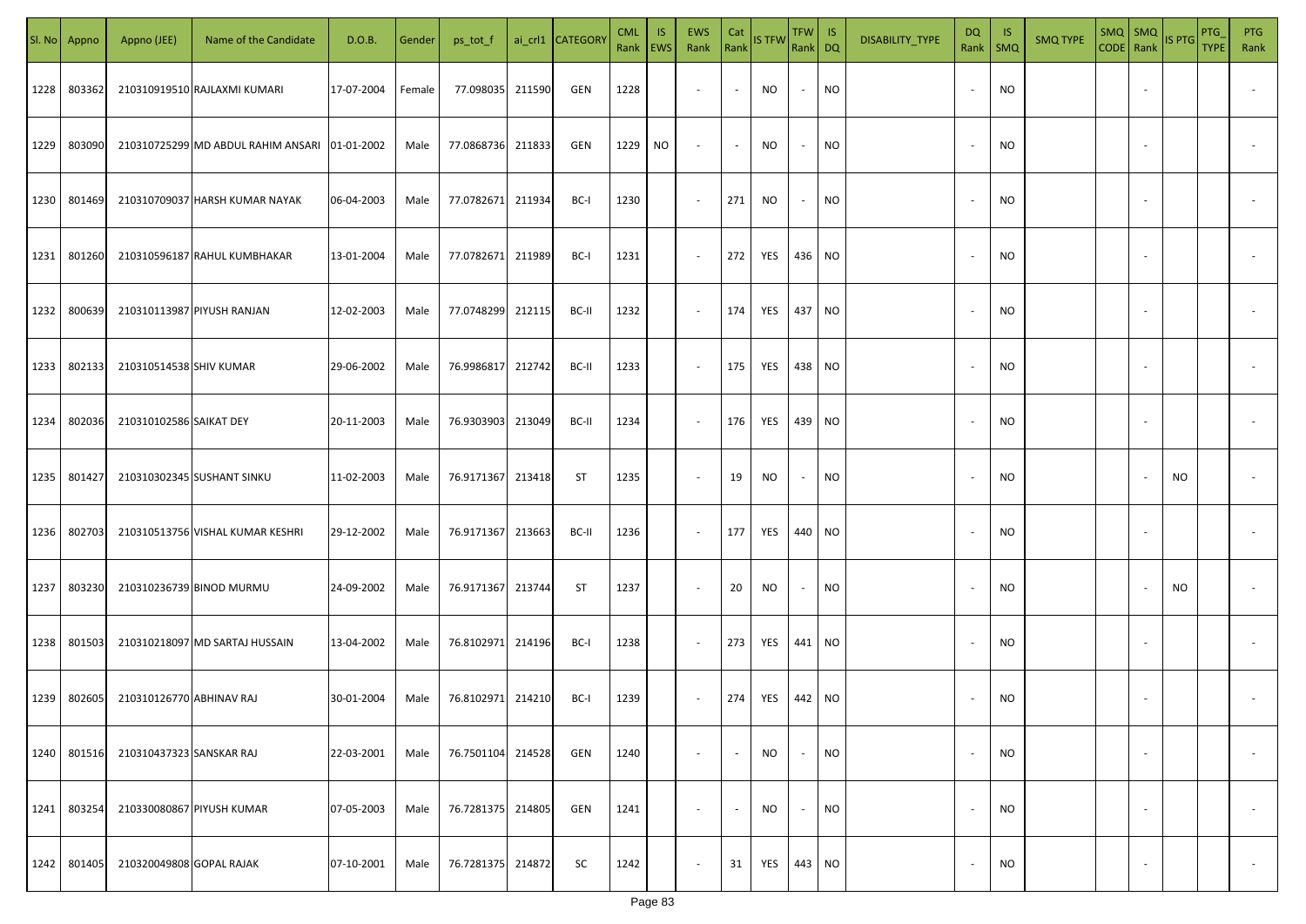|      | Sl. No Appno | Appno (JEE)              | Name of the Candidate                         | D.O.B.     | Gender | ps_tot_f          |        | ai_crl1 CATEGORY | <b>CML</b><br>Rank EWS | IS. | <b>EWS</b><br>Rank       | Cat<br>Rank              | <b>IS TFW</b> | $TFW$ IS<br>Rank DQ      |           | DISABILITY_TYPE | <b>DQ</b>                | - IS<br>Rank   SMQ | <b>SMQ TYPE</b> |                          | SMQ SMQ<br>CODE Rank IS PTG | <b>PTG</b><br><b>TYPE</b> | <b>PTG</b><br>Rank       |
|------|--------------|--------------------------|-----------------------------------------------|------------|--------|-------------------|--------|------------------|------------------------|-----|--------------------------|--------------------------|---------------|--------------------------|-----------|-----------------|--------------------------|--------------------|-----------------|--------------------------|-----------------------------|---------------------------|--------------------------|
| 1228 | 803362       |                          | 210310919510 RAJLAXMI KUMARI                  | 17-07-2004 | Female | 77.098035 211590  |        | GEN              | 1228                   |     | $\sim$                   | $\sim$                   | NO            | $\sim$                   | <b>NO</b> |                 |                          | <b>NO</b>          |                 |                          |                             |                           |                          |
| 1229 | 803090       |                          | 210310725299 MD ABDUL RAHIM ANSARI 01-01-2002 |            | Male   | 77.0868736 211833 |        | GEN              | 1229                   | NO. | $\sim$                   | $\sim$                   | NO.           | $\sim$                   | <b>NO</b> |                 |                          | <b>NO</b>          |                 |                          |                             |                           |                          |
| 1230 | 801469       |                          | 210310709037 HARSH KUMAR NAYAK                | 06-04-2003 | Male   | 77.0782671 211934 |        | BC-I             | 1230                   |     | $\sim$                   | 271                      | NO            | $\sim$                   | <b>NO</b> |                 |                          | <b>NO</b>          |                 |                          |                             |                           |                          |
| 1231 | 801260       |                          | 210310596187 RAHUL KUMBHAKAR                  | 13-01-2004 | Male   | 77.0782671 211989 |        | BC-I             | 1231                   |     | $\overline{\phantom{a}}$ | 272                      | YES           | 436 NO                   |           |                 |                          | <b>NO</b>          |                 |                          |                             |                           |                          |
| 1232 | 800639       |                          | 210310113987 PIYUSH RANJAN                    | 12-02-2003 | Male   | 77.0748299        | 212115 | BC-II            | 1232                   |     | $\overline{\phantom{a}}$ | 174                      | YES           | 437 NO                   |           |                 |                          | <b>NO</b>          |                 |                          |                             |                           |                          |
| 1233 | 802133       | 210310514538 SHIV KUMAR  |                                               | 29-06-2002 | Male   | 76.9986817 212742 |        | BC-II            | 1233                   |     | $\overline{\phantom{a}}$ | 175                      | YES           | 438 NO                   |           |                 |                          | <b>NO</b>          |                 |                          |                             |                           |                          |
| 1234 | 802036       | 210310102586 SAIKAT DEY  |                                               | 20-11-2003 | Male   | 76.9303903        | 213049 | BC-II            | 1234                   |     | $\sim$                   | 176                      | YES           | 439 NO                   |           |                 |                          | <b>NO</b>          |                 |                          |                             |                           |                          |
| 1235 | 801427       |                          | 210310302345 SUSHANT SINKU                    | 11-02-2003 | Male   | 76.9171367 213418 |        | ST               | 1235                   |     | $\sim$                   | 19                       | NO            | $\overline{\phantom{a}}$ | <b>NO</b> |                 |                          | <b>NO</b>          |                 |                          | NO                          |                           |                          |
| 1236 | 802703       |                          | 210310513756 VISHAL KUMAR KESHRI              | 29-12-2002 | Male   | 76.9171367 213663 |        | BC-II            | 1236                   |     | $\sim$                   | 177                      | YES           | 440 NO                   |           |                 |                          | NO                 |                 |                          |                             |                           |                          |
| 1237 | 803230       |                          | 210310236739 BINOD MURMU                      | 24-09-2002 | Male   | 76.9171367 213744 |        | ST               | 1237                   |     | $\sim$                   | 20                       | NO            | $\sim$                   | <b>NO</b> |                 |                          | <b>NO</b>          |                 |                          | NO.                         |                           |                          |
| 1238 | 801503       |                          | 210310218097 MD SARTAJ HUSSAIN                | 13-04-2002 | Male   | 76.8102971 214196 |        | BC-I             | 1238                   |     | $\sim$                   | 273                      | YES           | 441 NO                   |           |                 |                          | <b>NO</b>          |                 |                          |                             |                           |                          |
| 1239 | 802605       | 210310126770 ABHINAV RAJ |                                               | 30-01-2004 | Male   | 76.8102971 214210 |        | BC-I             | 1239                   |     | $\sim$                   | 274                      | YES           | 442 NO                   |           |                 |                          | <b>NO</b>          |                 |                          |                             |                           |                          |
| 1240 | 801516       | 210310437323 SANSKAR RAJ |                                               | 22-03-2001 | Male   | 76.7501104        | 214528 | GEN              | 1240                   |     | $\overline{\phantom{a}}$ | $\overline{\phantom{a}}$ | <b>NO</b>     | $\overline{\phantom{a}}$ | <b>NO</b> |                 |                          | <b>NO</b>          |                 | $\overline{\phantom{a}}$ |                             |                           | $\overline{\phantom{a}}$ |
| 1241 | 803254       |                          | 210330080867 PIYUSH KUMAR                     | 07-05-2003 | Male   | 76.7281375 214805 |        | GEN              | 1241                   |     | $\overline{\phantom{a}}$ | $\overline{\phantom{a}}$ | <b>NO</b>     | $\overline{\phantom{a}}$ | <b>NO</b> |                 | $\overline{\phantom{a}}$ | <b>NO</b>          |                 | $\overline{\phantom{a}}$ |                             |                           | $\overline{\phantom{a}}$ |
| 1242 | 801405       | 210320049808 GOPAL RAJAK |                                               | 07-10-2001 | Male   | 76.7281375        | 214872 | SC               | 1242                   |     | $\overline{\phantom{a}}$ | 31                       | YES           | 443 NO                   |           |                 |                          | <b>NO</b>          |                 | $\overline{\phantom{a}}$ |                             |                           | $\overline{\phantom{a}}$ |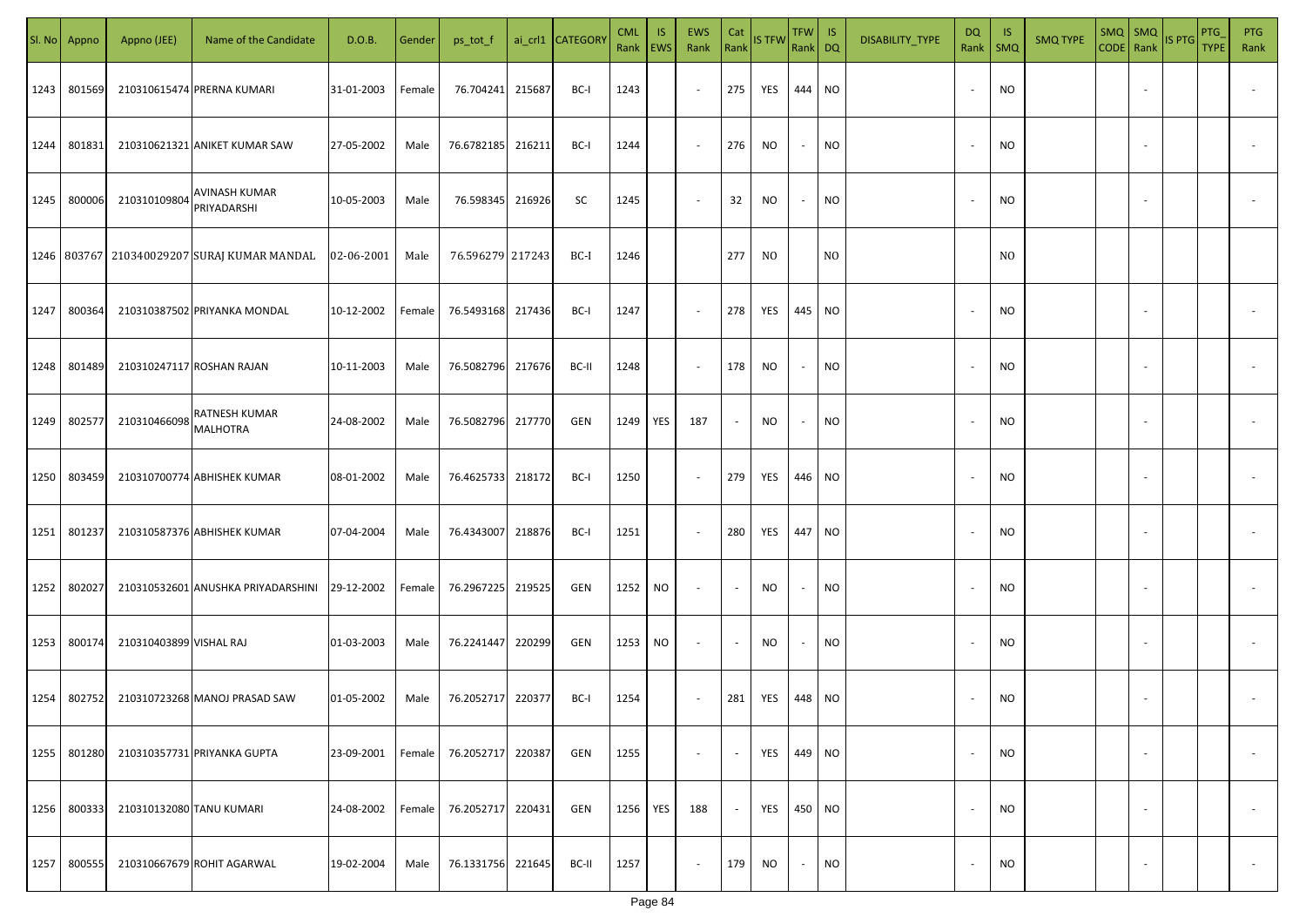|      | Sl. No Appno | Appno (JEE)              | Name of the Candidate                             | D.O.B.     | Gender | ps_tot_f          |        | ai_crl1 CATEGORY | <b>CML</b><br>Rank EWS | IS. | <b>EWS</b><br>Rank       | Cat<br>Rank              | <b>IS TFW</b>  | $TFW$ IS<br>Rank DQ      |                | DISABILITY_TYPE | DQ | -IS<br>Rank   SMQ | <b>SMQ TYPE</b> | $SMQ$ $SMQ$              | CODE Rank IS PTG | <b>PTG</b><br><b>TYPE</b> | <b>PTG</b><br>Rank       |
|------|--------------|--------------------------|---------------------------------------------------|------------|--------|-------------------|--------|------------------|------------------------|-----|--------------------------|--------------------------|----------------|--------------------------|----------------|-----------------|----|-------------------|-----------------|--------------------------|------------------|---------------------------|--------------------------|
| 1243 | 801569       |                          | 210310615474 PRERNA KUMARI                        | 31-01-2003 | Female | 76.704241         | 215687 | BC-I             | 1243                   |     | $\sim$                   | 275                      | YES            | 444 NO                   |                |                 |    | <b>NO</b>         |                 |                          |                  |                           |                          |
| 1244 | 801831       |                          | 210310621321 ANIKET KUMAR SAW                     | 27-05-2002 | Male   | 76.6782185 216211 |        | BC-I             | 1244                   |     | $\sim$                   | 276                      | NO             | $\sim$                   | <b>NO</b>      |                 |    | <b>NO</b>         |                 |                          |                  |                           |                          |
| 1245 | 800006       | 210310109804             | <b>AVINASH KUMAR</b><br>PRIYADARSHI               | 10-05-2003 | Male   | 76.598345         | 216926 | SC               | 1245                   |     | $\overline{\phantom{a}}$ | 32                       | NO             | $\overline{\phantom{a}}$ | <b>NO</b>      |                 |    | <b>NO</b>         |                 |                          |                  |                           |                          |
|      |              |                          | 1246   803767   210340029207   SURAJ KUMAR MANDAL | 02-06-2001 | Male   | 76.596279 217243  |        | BC-I             | 1246                   |     |                          | 277                      | N <sub>0</sub> |                          | N <sub>0</sub> |                 |    | N <sub>0</sub>    |                 |                          |                  |                           |                          |
| 1247 | 800364       |                          | 210310387502 PRIYANKA MONDAL                      | 10-12-2002 | Female | 76.5493168 217436 |        | BC-I             | 1247                   |     | $\overline{\phantom{a}}$ | 278                      | YES            | 445 NO                   |                |                 |    | <b>NO</b>         |                 |                          |                  |                           |                          |
| 1248 | 801489       |                          | 210310247117 ROSHAN RAJAN                         | 10-11-2003 | Male   | 76.5082796        | 217676 | BC-II            | 1248                   |     | $\overline{\phantom{a}}$ | 178                      | NO             | $\sim$                   | <b>NO</b>      |                 |    | <b>NO</b>         |                 |                          |                  |                           |                          |
| 1249 | 802577       | 210310466098             | RATNESH KUMAR<br>MALHOTRA                         | 24-08-2002 | Male   | 76.5082796        | 217770 | GEN              | 1249                   | YES | 187                      | $\overline{\phantom{a}}$ | NO             | $\overline{\phantom{a}}$ | <b>NO</b>      |                 |    | <b>NO</b>         |                 |                          |                  |                           |                          |
| 1250 | 803459       |                          | 210310700774 ABHISHEK KUMAR                       | 08-01-2002 | Male   | 76.4625733        | 218172 | BC-I             | 1250                   |     | $\sim$                   | 279                      | YES            | 446 NO                   |                |                 |    | <b>NO</b>         |                 |                          |                  |                           |                          |
| 1251 | 801237       |                          | 210310587376 ABHISHEK KUMAR                       | 07-04-2004 | Male   | 76.4343007 218876 |        | BC-I             | 1251                   |     | $\sim$                   | 280                      | YES            | 447 NO                   |                |                 |    | NO                |                 |                          |                  |                           |                          |
| 1252 | 802027       |                          | 210310532601 ANUSHKA PRIYADARSHINI                | 29-12-2002 | Female | 76.2967225 219525 |        | GEN              | 1252                   | NO. | $\sim$                   | $\sim$                   | <b>NO</b>      |                          | <b>NO</b>      |                 |    | <b>NO</b>         |                 |                          |                  |                           |                          |
| 1253 | 800174       | 210310403899 VISHAL RAJ  |                                                   | 01-03-2003 | Male   | 76.2241447        | 220299 | GEN              | 1253                   | NO. | $\sim$                   | $\sim$                   | NO.            |                          | <b>NO</b>      |                 |    | <b>NO</b>         |                 |                          |                  |                           |                          |
| 1254 | 802752       |                          | 210310723268 MANOJ PRASAD SAW                     | 01-05-2002 | Male   | 76.2052717        | 220377 | BC-I             | 1254                   |     | $\overline{\phantom{a}}$ | 281                      | YES            | 448 NO                   |                |                 |    | <b>NO</b>         |                 |                          |                  |                           |                          |
| 1255 | 801280       |                          | 210310357731 PRIYANKA GUPTA                       | 23-09-2001 | Female | 76.2052717        | 220387 | GEN              | 1255                   |     | $\overline{\phantom{a}}$ | $\overline{\phantom{a}}$ | YES            | 449 NO                   |                |                 |    | <b>NO</b>         |                 | $\overline{\phantom{a}}$ |                  |                           | $\overline{\phantom{a}}$ |
| 1256 | 800333       | 210310132080 TANU KUMARI |                                                   | 24-08-2002 | Female | 76.2052717        | 220431 | GEN              | 1256                   | YES | 188                      | $\sim$                   | YES            | 450 NO                   |                |                 |    | <b>NO</b>         |                 | $\overline{\phantom{a}}$ |                  |                           | $\overline{\phantom{a}}$ |
| 1257 | 800555       |                          | 210310667679 ROHIT AGARWAL                        | 19-02-2004 | Male   | 76.1331756        | 221645 | BC-II            | 1257                   |     | $\sim$                   | 179                      | NO             | $\sim$                   | <b>NO</b>      |                 |    | <b>NO</b>         |                 | $\overline{\phantom{a}}$ |                  |                           | $\sim$                   |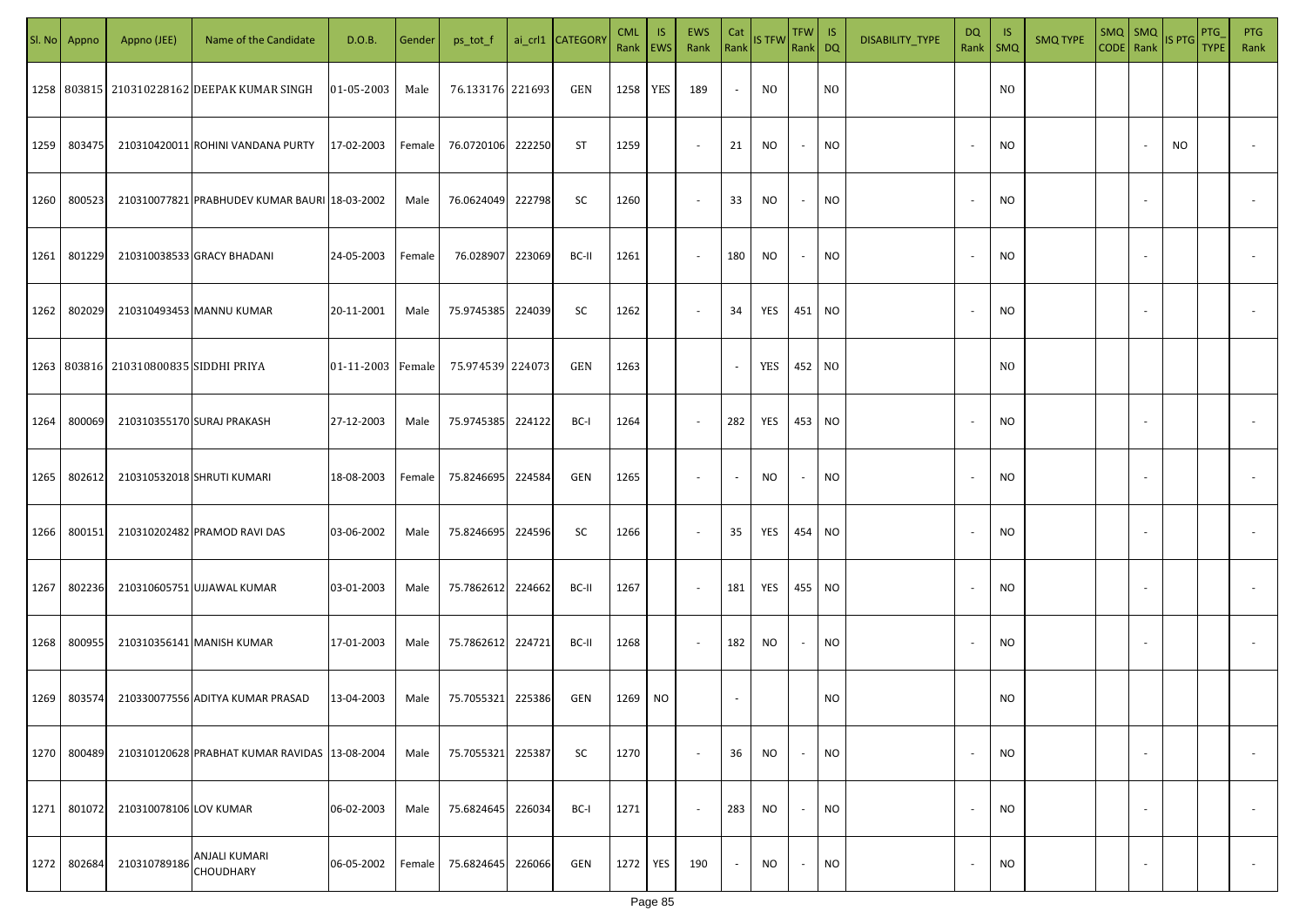|      | Sl. No Appno | Appno (JEE)                           | Name of the Candidate                           | D.O.B.            | Gender | ps_tot_f          |        | ai_crl1 CATEGORY | <b>CML</b><br>Rank EWS | <b>IS</b>  | EWS<br>Rank              | Cat    | Rank IS TFW | TFW   IS<br>Rank DQ |                | DISABILITY_TYPE | DQ<br>Rank   SMQ         | - IS           | <b>SMQ TYPE</b> | $SMQ$ SMQ<br>CODE Rank |                          | IS PTG | PTG<br><b>TYPE</b> | <b>PTG</b><br>Rank |
|------|--------------|---------------------------------------|-------------------------------------------------|-------------------|--------|-------------------|--------|------------------|------------------------|------------|--------------------------|--------|-------------|---------------------|----------------|-----------------|--------------------------|----------------|-----------------|------------------------|--------------------------|--------|--------------------|--------------------|
|      |              |                                       | 1258   803815   210310228162 DEEPAK KUMAR SINGH | 01-05-2003        | Male   | 76.133176 221693  |        | GEN              | 1258                   | <b>YES</b> | 189                      | $\sim$ | NO.         |                     | N <sub>O</sub> |                 |                          | N <sub>O</sub> |                 |                        |                          |        |                    |                    |
| 1259 | 803475       |                                       | 210310420011 ROHINI VANDANA PURTY               | 17-02-2003        | Female | 76.0720106        | 222250 | ST               | 1259                   |            | $\sim$                   | 21     | NO          | $\sim$              | <b>NO</b>      |                 | $\sim$                   | NO.            |                 |                        |                          | NO.    |                    |                    |
| 1260 | 800523       |                                       | 210310077821 PRABHUDEV KUMAR BAURI 18-03-2002   |                   | Male   | 76.0624049        | 222798 | SC               | 1260                   |            | $\sim$                   | 33     | <b>NO</b>   | $\sim$              | <b>NO</b>      |                 |                          | NO.            |                 |                        | $\sim$                   |        |                    |                    |
| 1261 | 801229       |                                       | 210310038533 GRACY BHADANI                      | 24-05-2003        | Female | 76.028907         | 223069 | BC-II            | 1261                   |            | $\sim$                   | 180    | <b>NO</b>   | $\sim$              | <b>NO</b>      |                 | $\overline{\phantom{a}}$ | NO.            |                 |                        | $\sim$                   |        |                    |                    |
| 1262 | 802029       |                                       | 210310493453 MANNU KUMAR                        | 20-11-2001        | Male   | 75.9745385 224039 |        | SC               | 1262                   |            | $\overline{\phantom{a}}$ | 34     | YES         | 451 NO              |                |                 |                          | NO.            |                 |                        |                          |        |                    |                    |
|      |              | 1263 803816 210310800835 SIDDHI PRIYA |                                                 | 01-11-2003 Female |        | 75.974539 224073  |        | GEN              | 1263                   |            |                          | $\sim$ | YES         | 452 NO              |                |                 |                          | N <sub>O</sub> |                 |                        |                          |        |                    |                    |
| 1264 | 800069       |                                       | 210310355170 SURAJ PRAKASH                      | 27-12-2003        | Male   | 75.9745385 224122 |        | BC-I             | 1264                   |            | $\sim$                   | 282    | YES         | 453 NO              |                |                 |                          | NO.            |                 |                        |                          |        |                    |                    |
| 1265 | 802612       |                                       | 210310532018 SHRUTI KUMARI                      | 18-08-2003        | Female | 75.8246695 224584 |        | GEN              | 1265                   |            | $\sim$                   | $\sim$ | NO          | $\sim$              | <b>NO</b>      |                 |                          | NO.            |                 |                        |                          |        |                    |                    |
| 1266 | 800151       |                                       | 210310202482 PRAMOD RAVI DAS                    | 03-06-2002        | Male   | 75.8246695 224596 |        | SC               | 1266                   |            | $\sim$                   | 35     | YES         | 454 NO              |                |                 |                          | NO.            |                 |                        |                          |        |                    |                    |
| 1267 | 802236       |                                       | 210310605751 UJJAWAL KUMAR                      | 03-01-2003        | Male   | 75.7862612 224662 |        | BC-II            | 1267                   |            | $\sim$                   | 181    | YES         | 455                 | <b>NO</b>      |                 |                          | NO.            |                 |                        |                          |        |                    |                    |
| 1268 | 800955       |                                       | 210310356141 MANISH KUMAR                       | 17-01-2003        | Male   | 75.7862612 224721 |        | BC-II            | 1268                   |            | $\sim$                   | 182    | NO.         | $\sim$              | <b>NO</b>      |                 |                          | <b>NO</b>      |                 |                        |                          |        |                    |                    |
| 1269 | 803574       |                                       | 210330077556 ADITYA KUMAR PRASAD                | 13-04-2003        | Male   | 75.7055321 225386 |        | GEN              | 1269                   | <b>NO</b>  |                          |        |             |                     | <b>NO</b>      |                 |                          | NO.            |                 |                        |                          |        |                    |                    |
| 1270 | 800489       |                                       | 210310120628 PRABHAT KUMAR RAVIDAS 13-08-2004   |                   | Male   | 75.7055321        | 225387 | SC               | 1270                   |            | $\sim$                   | 36     | NO          | $\sim$              | <b>NO</b>      |                 | $\overline{\phantom{a}}$ | <b>NO</b>      |                 |                        | $\overline{\phantom{a}}$ |        |                    | $\sim$             |
| 1271 | 801072       | 210310078106 LOV KUMAR                |                                                 | 06-02-2003        | Male   | 75.6824645        | 226034 | BC-I             | 1271                   |            | $\sim$                   | 283    | NO.         | $\sim$              | <b>NO</b>      |                 | $\overline{\phantom{a}}$ | <b>NO</b>      |                 |                        | $\overline{\phantom{a}}$ |        |                    | $\sim$             |
| 1272 | 802684       | 210310789186                          | <b>ANJALI KUMARI</b><br>CHOUDHARY               | 06-05-2002        | Female | 75.6824645        | 226066 | GEN              | 1272                   | YES        | 190                      | $\sim$ | NO          | $\sim$              | <b>NO</b>      |                 | $\overline{\phantom{a}}$ | <b>NO</b>      |                 |                        | $\overline{\phantom{a}}$ |        |                    | $\sim$             |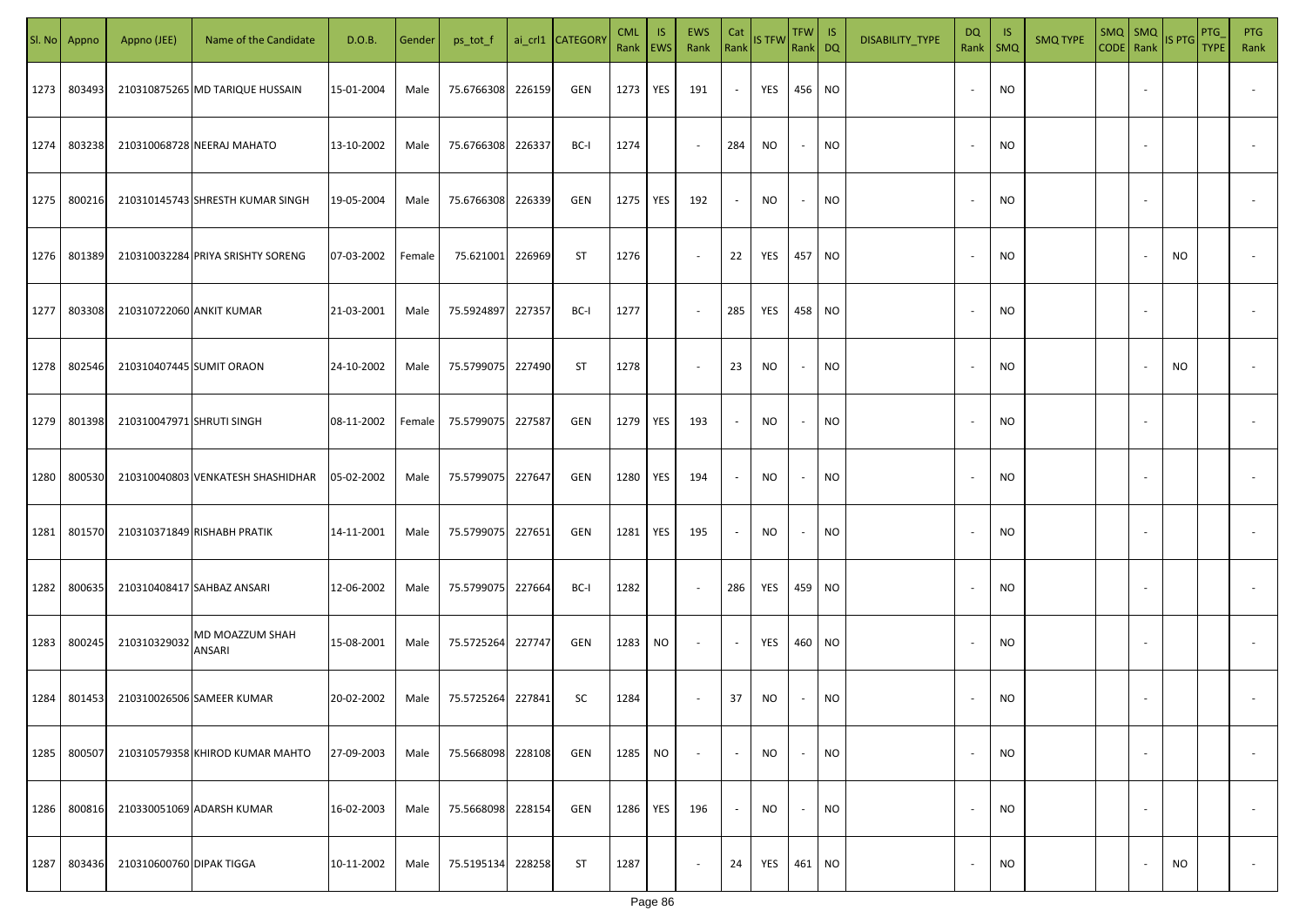| SI. No | Appno  | Appno (JEE)               | Name of the Candidate             | D.O.B.     | Gender | ps_tot_f          |        | ai_crl1 CATEGORY | <b>CML</b><br>Rank EWS | <b>IS</b> | EWS<br>Rank              | Cat<br>Rank              | IS TFW Rank DQ | <b>TFW</b>               | IS        | DISABILITY_TYPE | DQ<br>Rank               | -IS<br>$\mathsf{SMQ}$ | <b>SMQ TYPE</b> | $SMQ$ SMQ<br>CODE Rank | <b>IS PTG</b> | PTG<br><b>TYPE</b> | <b>PTG</b><br>Rank       |
|--------|--------|---------------------------|-----------------------------------|------------|--------|-------------------|--------|------------------|------------------------|-----------|--------------------------|--------------------------|----------------|--------------------------|-----------|-----------------|--------------------------|-----------------------|-----------------|------------------------|---------------|--------------------|--------------------------|
| 1273   | 803493 |                           | 210310875265 MD TARIQUE HUSSAIN   | 15-01-2004 | Male   | 75.6766308        | 226159 | GEN              | 1273                   | YES       | 191                      | $\sim$                   | YES            | 456                      | <b>NO</b> |                 | $\sim$                   | <b>NO</b>             |                 |                        |               |                    |                          |
| 1274   | 803238 |                           | 210310068728 NEERAJ MAHATO        | 13-10-2002 | Male   | 75.6766308 226337 |        | BC-I             | 1274                   |           | $\sim$                   | 284                      | <b>NO</b>      | $\sim$                   | <b>NO</b> |                 | $\sim$                   | NO                    |                 |                        |               |                    |                          |
| 1275   | 800216 |                           | 210310145743 SHRESTH KUMAR SINGH  | 19-05-2004 | Male   | 75.6766308 226339 |        | GEN              | 1275                   | YES       | 192                      | $\overline{\phantom{a}}$ | NO             | $\overline{\phantom{a}}$ | <b>NO</b> |                 | $\sim$                   | NO                    |                 |                        |               |                    |                          |
| 1276   | 801389 |                           | 210310032284 PRIYA SRISHTY SORENG | 07-03-2002 | Female | 75.621001         | 226969 | ST               | 1276                   |           | $\sim$                   | 22                       | YES            | 457                      | <b>NO</b> |                 |                          | NO                    |                 |                        | NO            |                    |                          |
| 1277   | 803308 | 210310722060 ANKIT KUMAR  |                                   | 21-03-2001 | Male   | 75.5924897        | 227357 | BC-I             | 1277                   |           | $\overline{\phantom{a}}$ | 285                      | YES            | 458                      | <b>NO</b> |                 |                          | <b>NO</b>             |                 |                        |               |                    |                          |
| 1278   | 802546 | 210310407445 SUMIT ORAON  |                                   | 24-10-2002 | Male   | 75.5799075        | 227490 | <b>ST</b>        | 1278                   |           | $\sim$                   | 23                       | <b>NO</b>      |                          | <b>NO</b> |                 |                          | <b>NO</b>             |                 |                        | <b>NO</b>     |                    |                          |
| 1279   | 801398 | 210310047971 SHRUTI SINGH |                                   | 08-11-2002 | Female | 75.5799075        | 227587 | GEN              | 1279 YES               |           | 193                      |                          | <b>NO</b>      |                          | NO.       |                 |                          | <b>NO</b>             |                 |                        |               |                    |                          |
| 1280   | 800530 |                           | 210310040803 VENKATESH SHASHIDHAR | 05-02-2002 | Male   | 75.5799075        | 227647 | GEN              | 1280                   | YES       | 194                      |                          | <b>NO</b>      |                          | <b>NO</b> |                 |                          | <b>NO</b>             |                 |                        |               |                    |                          |
| 1281   | 801570 |                           | 210310371849 RISHABH PRATIK       | 14-11-2001 | Male   | 75.5799075        | 227651 | GEN              | 1281                   | YES       | 195                      |                          | NO.            |                          | <b>NO</b> |                 |                          | <b>NO</b>             |                 |                        |               |                    |                          |
| 1282   | 800635 |                           | 210310408417 SAHBAZ ANSARI        | 12-06-2002 | Male   | 75.5799075        | 227664 | BC-I             | 1282                   |           | $\sim$                   | 286                      | YES            | 459                      | <b>NO</b> |                 |                          | <b>NO</b>             |                 |                        |               |                    |                          |
| 1283   | 800245 | 210310329032              | MD MOAZZUM SHAH<br><b>ANSARI</b>  | 15-08-2001 | Male   | 75.5725264        | 227747 | GEN              | 1283                   | NO        | $\sim$                   |                          | YES            | 460 NO                   |           |                 |                          | <b>NO</b>             |                 |                        |               |                    |                          |
| 1284   | 801453 |                           | 210310026506 SAMEER KUMAR         | 20-02-2002 | Male   | 75.5725264        | 227841 | SC               | 1284                   |           | $\overline{\phantom{a}}$ | 37                       | NO             | $\sim$                   | NO        |                 |                          | NO                    |                 |                        |               |                    |                          |
| 1285   | 800507 |                           | 210310579358 KHIROD KUMAR MAHTO   | 27-09-2003 | Male   | 75.5668098        | 228108 | GEN              | 1285                   | NO        | $\overline{\phantom{a}}$ | $\overline{\phantom{a}}$ | NO             | $\sim$                   | <b>NO</b> |                 | $\overline{\phantom{a}}$ | <b>NO</b>             |                 |                        |               |                    | $\overline{\phantom{a}}$ |
| 1286   | 800816 |                           | 210330051069 ADARSH KUMAR         | 16-02-2003 | Male   | 75.5668098        | 228154 | GEN              | 1286                   | YES       | 196                      | $\sim$                   | <b>NO</b>      | $\overline{\phantom{a}}$ | <b>NO</b> |                 | $\overline{\phantom{a}}$ | <b>NO</b>             |                 |                        |               |                    | $\overline{\phantom{a}}$ |
| 1287   | 803436 | 210310600760 DIPAK TIGGA  |                                   | 10-11-2002 | Male   | 75.5195134        | 228258 | <b>ST</b>        | 1287                   |           | $\overline{\phantom{a}}$ | 24                       | YES            | 461 NO                   |           |                 | $\sim$                   | NO                    |                 |                        | NO            |                    | $\sim$                   |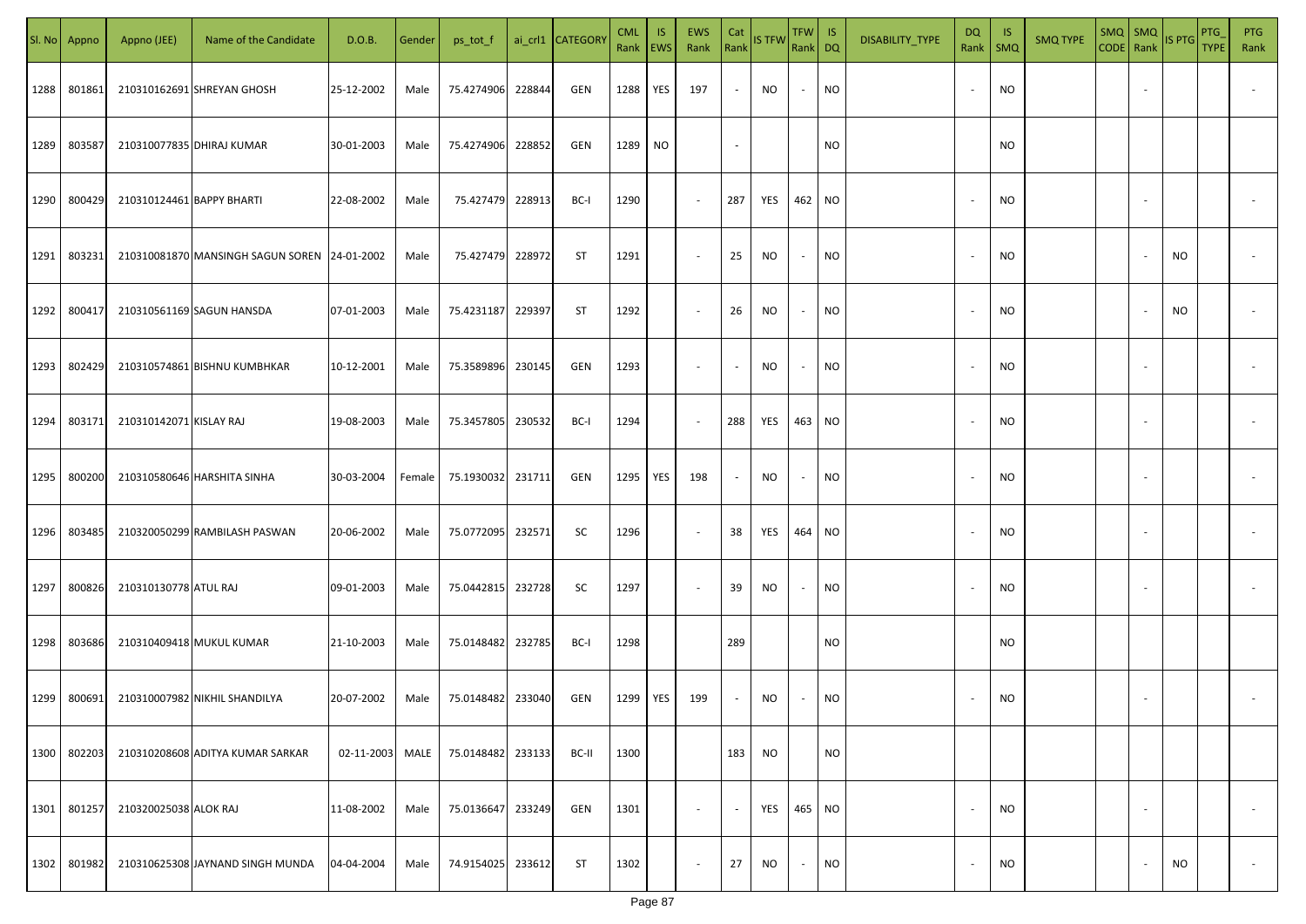| SI. No | Appno  | Appno (JEE)               | Name of the Candidate                        | D.O.B.     | Gender | ps_tot_f          |        | ai_crl1 CATEGORY | <b>CML</b><br>Rank   EWS | <b>IS</b> | EWS<br>Rank              | Cat    | Rank IS TFW | TFW IS<br>Rank DQ |           | DISABILITY_TYPE | <b>DQ</b><br>Rank        | - IS<br><b>SMQ</b> | <b>SMQ TYPE</b> | $SMQ$ SMQ<br>CODE Rank |                          | IS PTG    | PTG<br><b>TYPE</b> | <b>PTG</b><br>Rank       |
|--------|--------|---------------------------|----------------------------------------------|------------|--------|-------------------|--------|------------------|--------------------------|-----------|--------------------------|--------|-------------|-------------------|-----------|-----------------|--------------------------|--------------------|-----------------|------------------------|--------------------------|-----------|--------------------|--------------------------|
| 1288   | 801861 |                           | 210310162691 SHREYAN GHOSH                   | 25-12-2002 | Male   | 75.4274906        | 228844 | GEN              | 1288                     | YES       | 197                      | $\sim$ | <b>NO</b>   | $\sim$            | NO        |                 | $\overline{\phantom{a}}$ | <b>NO</b>          |                 |                        |                          |           |                    |                          |
| 1289   | 803587 |                           | 210310077835 DHIRAJ KUMAR                    | 30-01-2003 | Male   | 75.4274906        | 228852 | GEN              | 1289                     | <b>NO</b> |                          | $\sim$ |             |                   | <b>NO</b> |                 |                          | <b>NO</b>          |                 |                        |                          |           |                    |                          |
| 1290   | 800429 | 210310124461 BAPPY BHARTI |                                              | 22-08-2002 | Male   | 75.427479 228913  |        | BC-I             | 1290                     |           | $\sim$                   | 287    | YES         | 462 NO            |           |                 |                          | <b>NO</b>          |                 |                        |                          |           |                    |                          |
| 1291   | 803231 |                           | 210310081870 MANSINGH SAGUN SOREN 24-01-2002 |            | Male   | 75.427479 228972  |        | ST               | 1291                     |           | $\sim$                   | 25     | NO          | $\sim$            | NO        |                 |                          | <b>NO</b>          |                 |                        |                          | NO        |                    |                          |
| 1292   | 800417 |                           | 210310561169 SAGUN HANSDA                    | 07-01-2003 | Male   | 75.4231187        | 229397 | ST               | 1292                     |           | $\sim$                   | 26     | NO.         | $\sim$            | NO        |                 |                          | NO                 |                 |                        |                          | NO        |                    |                          |
| 1293   | 802429 |                           | 210310574861 BISHNU KUMBHKAR                 | 10-12-2001 | Male   | 75.3589896        | 230145 | GEN              | 1293                     |           | $\overline{\phantom{a}}$ | $\sim$ | NO.         | $\sim$            | <b>NO</b> |                 |                          | <b>NO</b>          |                 |                        |                          |           |                    |                          |
| 1294   | 803171 | 210310142071 KISLAY RAJ   |                                              | 19-08-2003 | Male   | 75.3457805        | 230532 | BC-I             | 1294                     |           | $\sim$                   | 288    | YES         | 463 NO            |           |                 |                          | <b>NO</b>          |                 |                        |                          |           |                    |                          |
| 1295   | 800200 |                           | 210310580646 HARSHITA SINHA                  | 30-03-2004 | Female | 75.1930032 231711 |        | GEN              | 1295                     | YES       | 198                      | $\sim$ | NO          | $\sim$            | NO        |                 |                          | <b>NO</b>          |                 |                        |                          |           |                    |                          |
| 1296   | 803485 |                           | 210320050299 RAMBILASH PASWAN                | 20-06-2002 | Male   | 75.0772095 232571 |        | SC               | 1296                     |           | $\sim$                   | 38     | YES         | 464 NO            |           |                 |                          | <b>NO</b>          |                 |                        |                          |           |                    |                          |
| 1297   | 800826 | 210310130778 ATUL RAJ     |                                              | 09-01-2003 | Male   | 75.0442815 232728 |        | SC               | 1297                     |           | $\sim$                   | 39     | <b>NO</b>   | $\sim$            | <b>NO</b> |                 |                          | <b>NO</b>          |                 |                        |                          |           |                    |                          |
| 1298   | 803686 |                           | 210310409418 MUKUL KUMAR                     | 21-10-2003 | Male   | 75.0148482 232785 |        | BC-I             | 1298                     |           |                          | 289    |             |                   | <b>NO</b> |                 |                          | <b>NO</b>          |                 |                        |                          |           |                    |                          |
| 1299   | 800691 |                           | 210310007982 NIKHIL SHANDILYA                | 20-07-2002 | Male   | 75.0148482 233040 |        | GEN              | 1299                     | YES       | 199                      | $\sim$ | NO          | $\sim$            | <b>NO</b> |                 |                          | <b>NO</b>          |                 |                        |                          |           |                    |                          |
| 1300   | 802203 |                           | 210310208608 ADITYA KUMAR SARKAR             | 02-11-2003 | MALE   | 75.0148482 233133 |        | BC-II            | 1300                     |           |                          | 183    | NO          |                   | NO        |                 |                          |                    |                 |                        |                          |           |                    |                          |
| 1301   | 801257 | 210320025038 ALOK RAJ     |                                              | 11-08-2002 | Male   | 75.0136647        | 233249 | GEN              | 1301                     |           | $\sim$                   | $\sim$ | YES         | 465 NO            |           |                 | $\overline{\phantom{a}}$ | <b>NO</b>          |                 |                        | $\overline{\phantom{a}}$ |           |                    | $\overline{\phantom{a}}$ |
| 1302   | 801982 |                           | 210310625308 JAYNAND SINGH MUNDA             | 04-04-2004 | Male   | 74.9154025 233612 |        | ST               | 1302                     |           | $\sim$                   | 27     | NO          | $\sim$            | <b>NO</b> |                 | $\overline{\phantom{a}}$ | NO                 |                 |                        | $\overline{\phantom{a}}$ | <b>NO</b> |                    | $\sim$                   |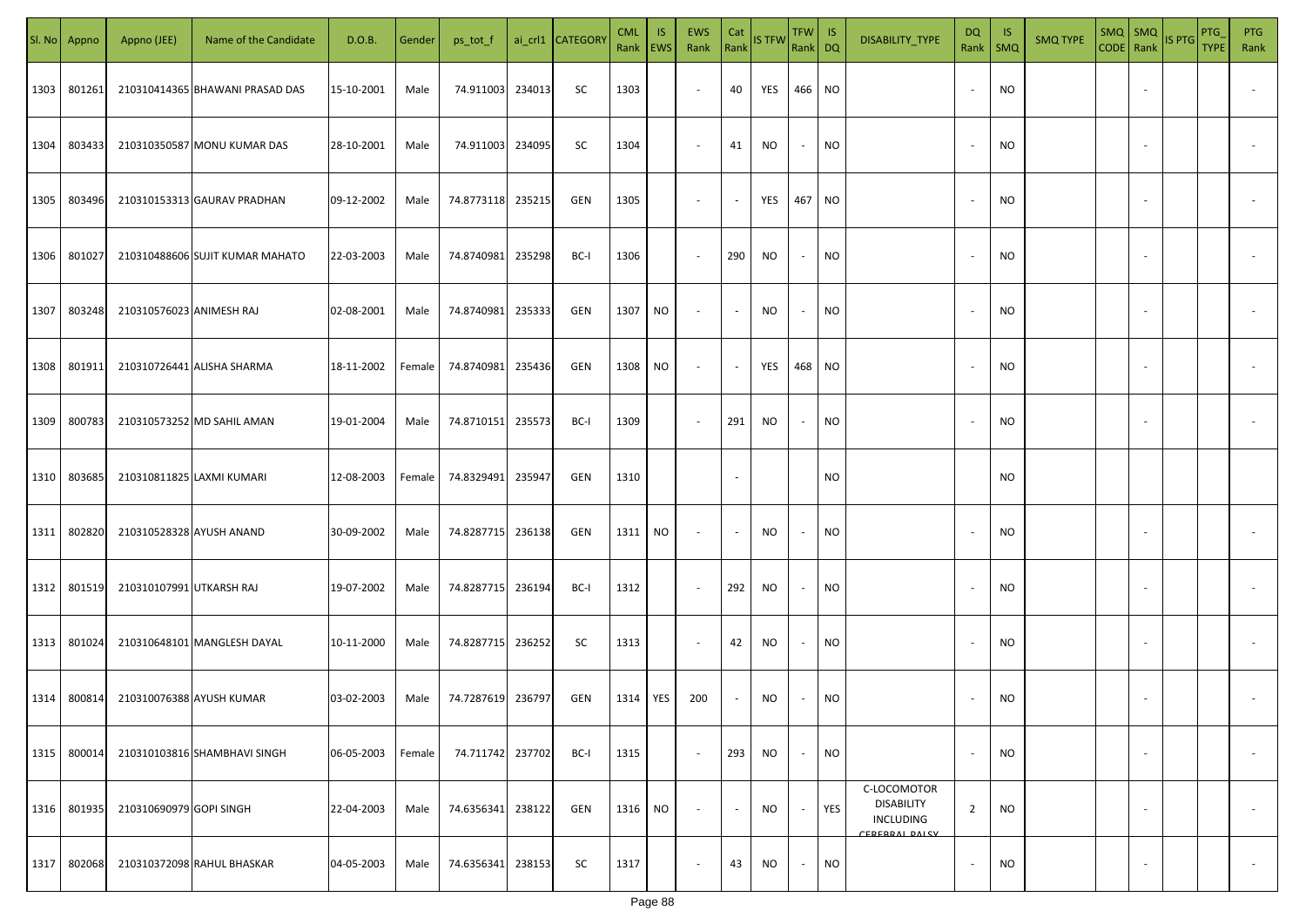| SI. No | Appno  | Appno (JEE)              | Name of the Candidate           | D.O.B.     | Gender | ps_tot_f          |        | ai_crl1 CATEGORY | <b>CML</b><br>Rank EWS | <b>IS</b> | EWS<br>Rank              | Cat<br>Rank              | IS TFW    | TFW<br>Rank DQ           | IS        | DISABILITY_TYPE                                                        | DQ<br>Rank   SMQ | -IS       | <b>SMQ TYPE</b> | $SMQ$ $SMQ$<br>CODE   Rank | IS PTG | PTG<br><b>TYPE</b> | <b>PTG</b><br>Rank |
|--------|--------|--------------------------|---------------------------------|------------|--------|-------------------|--------|------------------|------------------------|-----------|--------------------------|--------------------------|-----------|--------------------------|-----------|------------------------------------------------------------------------|------------------|-----------|-----------------|----------------------------|--------|--------------------|--------------------|
| 1303   | 801261 |                          | 210310414365 BHAWANI PRASAD DAS | 15-10-2001 | Male   | 74.911003         | 234013 | SC               | 1303                   |           | $\overline{\phantom{a}}$ | 40                       | YES       | 466                      | <b>NO</b> |                                                                        | $\sim$           | NO        |                 |                            |        |                    |                    |
| 1304   | 803433 |                          | 210310350587 MONU KUMAR DAS     | 28-10-2001 | Male   | 74.911003 234095  |        | SC               | 1304                   |           | $\sim$                   | 41                       | <b>NO</b> | $\sim$                   | <b>NO</b> |                                                                        | $\sim$           | <b>NO</b> |                 |                            |        |                    |                    |
| 1305   | 803496 |                          | 210310153313 GAURAV PRADHAN     | 09-12-2002 | Male   | 74.8773118 235215 |        | GEN              | 1305                   |           | $\sim$                   | $\sim$                   | YES       | 467                      | <b>NO</b> |                                                                        | $\sim$           | NO        |                 |                            |        |                    |                    |
| 1306   | 801027 |                          | 210310488606 SUJIT KUMAR MAHATO | 22-03-2003 | Male   | 74.8740981        | 235298 | BC-I             | 1306                   |           | $\sim$                   | 290                      | NO        | $\sim$                   | <b>NO</b> |                                                                        | $\sim$           | <b>NO</b> |                 |                            |        |                    |                    |
| 1307   | 803248 | 210310576023 ANIMESH RAJ |                                 | 02-08-2001 | Male   | 74.8740981 235333 |        | GEN              | 1307 NO                |           | $\overline{\phantom{a}}$ | $\overline{\phantom{a}}$ | NO.       | $\overline{\phantom{a}}$ | NO        |                                                                        | $\sim$           | NO.       |                 |                            |        |                    |                    |
| 1308   | 801911 |                          | 210310726441 ALISHA SHARMA      | 18-11-2002 | Female | 74.8740981 235436 |        | GEN              | 1308 NO                |           | $\sim$                   | $\overline{\phantom{a}}$ | YES       | 468                      | <b>NO</b> |                                                                        |                  | <b>NO</b> |                 |                            |        |                    |                    |
| 1309   | 800783 |                          | 210310573252 MD SAHIL AMAN      | 19-01-2004 | Male   | 74.8710151 235573 |        | BC-I             | 1309                   |           | $\sim$                   | 291                      | NO        |                          | NO.       |                                                                        |                  | <b>NO</b> |                 |                            |        |                    |                    |
| 1310   | 803685 |                          | 210310811825 LAXMI KUMARI       | 12-08-2003 | Female | 74.8329491        | 235947 | GEN              | 1310                   |           |                          |                          |           |                          | NO.       |                                                                        |                  | <b>NO</b> |                 |                            |        |                    |                    |
| 1311   | 802820 | 210310528328 AYUSH ANAND |                                 | 30-09-2002 | Male   | 74.8287715 236138 |        | GEN              | 1311 NO                |           | $\sim$                   |                          | <b>NO</b> |                          | NO.       |                                                                        |                  | <b>NO</b> |                 |                            |        |                    |                    |
| 1312   | 801519 | 210310107991 UTKARSH RAJ |                                 | 19-07-2002 | Male   | 74.8287715 236194 |        | BC-I             | 1312                   |           | $\sim$                   | 292                      | NO        |                          | <b>NO</b> |                                                                        |                  | <b>NO</b> |                 |                            |        |                    |                    |
| 1313   | 801024 |                          | 210310648101 MANGLESH DAYAL     | 10-11-2000 | Male   | 74.8287715 236252 |        | SC               | 1313                   |           | $\sim$                   | 42                       | <b>NO</b> |                          | <b>NO</b> |                                                                        |                  | <b>NO</b> |                 |                            |        |                    |                    |
| 1314   | 800814 |                          | 210310076388 AYUSH KUMAR        | 03-02-2003 | Male   | 74.7287619 236797 |        | GEN              | 1314                   | YES       | 200                      |                          | NO        |                          | <b>NO</b> |                                                                        | $\sim$           | <b>NO</b> |                 |                            |        |                    |                    |
| 1315   | 800014 |                          | 210310103816 SHAMBHAVI SINGH    | 06-05-2003 | Female | 74.711742         | 237702 | BC-I             | 1315                   |           | $\overline{\phantom{a}}$ | 293                      | NO        | $\overline{\phantom{a}}$ | <b>NO</b> |                                                                        | $\sim$           | <b>NO</b> |                 | $\overline{\phantom{a}}$   |        |                    | $\sim$             |
| 1316   | 801935 | 210310690979 GOPI SINGH  |                                 | 22-04-2003 | Male   | 74.6356341        | 238122 | GEN              | 1316                   | NO        | $\overline{\phantom{a}}$ | $\blacksquare$           | <b>NO</b> | $\overline{\phantom{a}}$ | YES       | C-LOCOMOTOR<br><b>DISABILITY</b><br><b>INCLUDING</b><br>CERERRAL DALCY | $\overline{2}$   | <b>NO</b> |                 | $\overline{\phantom{a}}$   |        |                    | $\sim$             |
| 1317   | 802068 |                          | 210310372098 RAHUL BHASKAR      | 04-05-2003 | Male   | 74.6356341        | 238153 | SC               | 1317                   |           | $\overline{\phantom{a}}$ | 43                       | NO.       | $\sim$                   | <b>NO</b> |                                                                        | $\sim$           | <b>NO</b> |                 | $\overline{\phantom{a}}$   |        |                    | $\sim$             |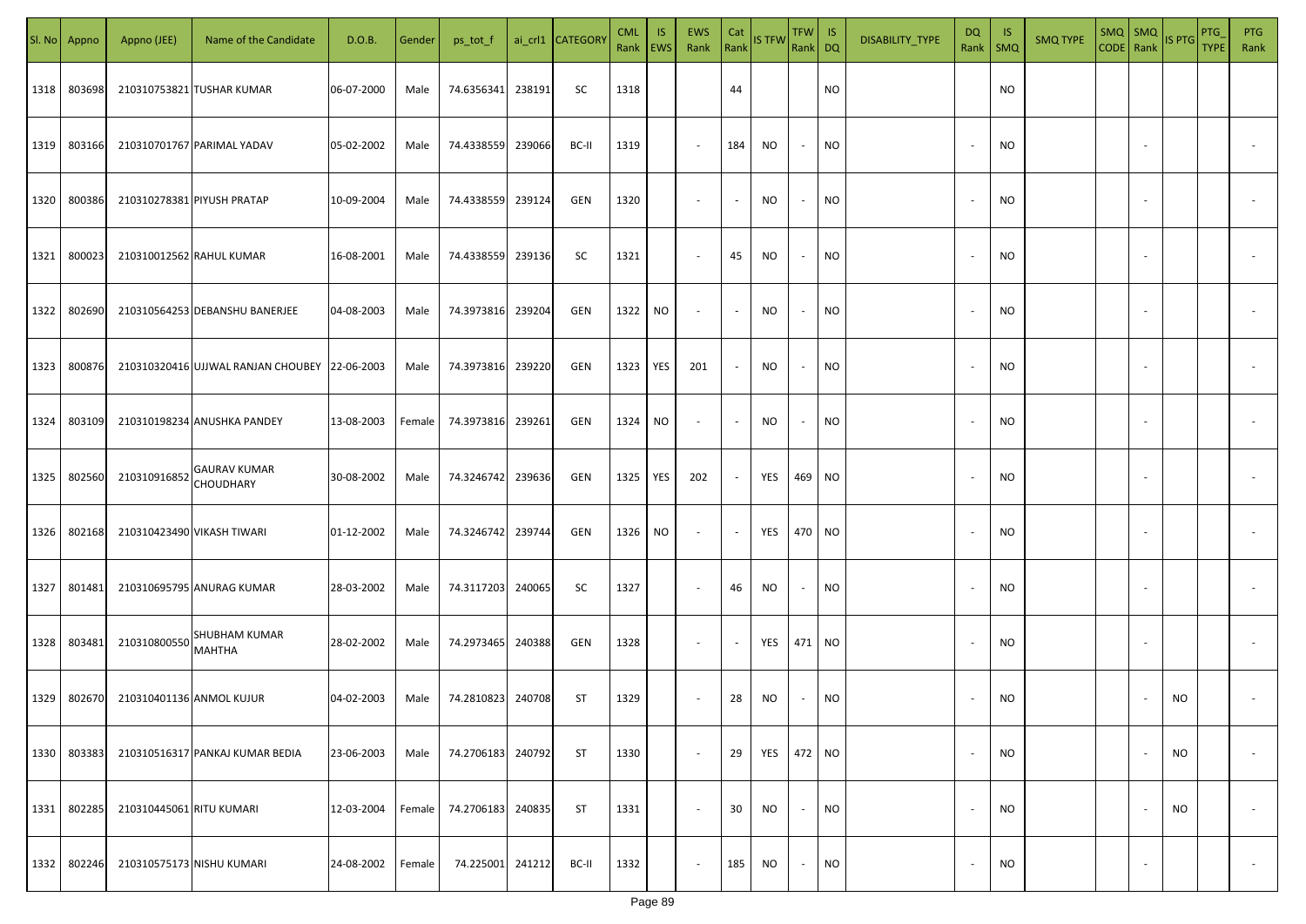|      | Sl. No Appno | Appno (JEE)                | Name of the Candidate                         | D.O.B.     | Gender | ps_tot_f   |        | ai_crl1 CATEGOR\ | <b>CML</b><br>Rank EWS | IS. | <b>EWS</b><br>Rank       | Cat<br>Rank              | <b>IS TFW</b> | $TFW$ IS<br>Rank DQ |           | DISABILITY_TYPE | DQ<br>Rank               | -IS<br><b>SMQ</b> | <b>SMQ TYPE</b> | $SMQ$ $SMQ$<br>CODE Rank |        | IS PTG | PTG<br><b>TYPE</b> | <b>PTG</b><br>Rank       |
|------|--------------|----------------------------|-----------------------------------------------|------------|--------|------------|--------|------------------|------------------------|-----|--------------------------|--------------------------|---------------|---------------------|-----------|-----------------|--------------------------|-------------------|-----------------|--------------------------|--------|--------|--------------------|--------------------------|
| 1318 | 803698       |                            | 210310753821 TUSHAR KUMAR                     | 06-07-2000 | Male   | 74.6356341 | 238191 | SC               | 1318                   |     |                          | 44                       |               |                     | NO        |                 |                          | <b>NO</b>         |                 |                          |        |        |                    |                          |
| 1319 | 803166       |                            | 210310701767 PARIMAL YADAV                    | 05-02-2002 | Male   | 74.4338559 | 239066 | BC-II            | 1319                   |     | $\sim$                   | 184                      | NO.           | $\sim$              | <b>NO</b> |                 | $\overline{\phantom{a}}$ | <b>NO</b>         |                 |                          |        |        |                    |                          |
| 1320 | 800386       |                            | 210310278381 PIYUSH PRATAP                    | 10-09-2004 | Male   | 74.4338559 | 239124 | GEN              | 1320                   |     | $\overline{\phantom{a}}$ | $\sim$                   | NO.           | $\sim$              | <b>NO</b> |                 |                          | <b>NO</b>         |                 |                          |        |        |                    |                          |
| 1321 | 800023       |                            | 210310012562 RAHUL KUMAR                      | 16-08-2001 | Male   | 74.4338559 | 239136 | SC               | 1321                   |     | $\overline{\phantom{a}}$ | 45                       | NO            | $\sim$              | NO        |                 |                          | <b>NO</b>         |                 |                          |        |        |                    |                          |
| 1322 | 802690       |                            | 210310564253 DEBANSHU BANERJEE                | 04-08-2003 | Male   | 74.3973816 | 239204 | GEN              | 1322                   | NO  | $\sim$                   | $\sim$                   | NO.           | $\sim$              | NO        |                 |                          | <b>NO</b>         |                 |                          |        |        |                    |                          |
| 1323 | 800876       |                            | 210310320416 UJJWAL RANJAN CHOUBEY 22-06-2003 |            | Male   | 74.3973816 | 239220 | GEN              | 1323                   | YES | 201                      | $\sim$                   | NO.           | $\sim$              | NO        |                 |                          | <b>NO</b>         |                 |                          |        |        |                    |                          |
| 1324 | 803109       |                            | 210310198234 ANUSHKA PANDEY                   | 13-08-2003 | Female | 74.3973816 | 239261 | GEN              | 1324                   | NO  | $\overline{\phantom{a}}$ | $\blacksquare$           | NO            | $\sim$              | NO        |                 |                          | <b>NO</b>         |                 |                          |        |        |                    |                          |
| 1325 | 802560       | 210310916852               | <b>GAURAV KUMAR</b><br>CHOUDHARY              | 30-08-2002 | Male   | 74.3246742 | 239636 | GEN              | 1325                   | YES | 202                      | $\sim$                   | YES           | 469 NO              |           |                 |                          | <b>NO</b>         |                 |                          |        |        |                    |                          |
| 1326 | 802168       | 210310423490 VIKASH TIWARI |                                               | 01-12-2002 | Male   | 74.3246742 | 239744 | GEN              | 1326                   | NO  | $\sim$                   | $\sim$                   | YES           | 470 NO              |           |                 |                          | <b>NO</b>         |                 |                          |        |        |                    |                          |
| 1327 | 801481       |                            | 210310695795 ANURAG KUMAR                     | 28-03-2002 | Male   | 74.3117203 | 240065 | SC               | 1327                   |     | $\sim$                   | 46                       | NO            | $\sim$              | NO        |                 |                          | <b>NO</b>         |                 |                          |        |        |                    |                          |
| 1328 | 803481       | 210310800550               | <b>SHUBHAM KUMAR</b><br>MAHTHA                | 28-02-2002 | Male   | 74.2973465 | 240388 | GEN              | 1328                   |     | $\sim$                   | $\overline{\phantom{a}}$ | YES           | 471 NO              |           |                 |                          | <b>NO</b>         |                 |                          |        |        |                    |                          |
| 1329 | 802670       | 210310401136 ANMOL KUJUR   |                                               | 04-02-2003 | Male   | 74.2810823 | 240708 | ST               | 1329                   |     | $\overline{\phantom{a}}$ | 28                       | NO.           | $\sim$              | <b>NO</b> |                 |                          | <b>NO</b>         |                 |                          |        | NO.    |                    |                          |
| 1330 | 803383       |                            | 210310516317 PANKAJ KUMAR BEDIA               | 23-06-2003 | Male   | 74.2706183 | 240792 | ST               | 1330                   |     | $\sim$                   | 29                       | YES           | 472 NO              |           |                 | $\overline{\phantom{a}}$ | <b>NO</b>         |                 |                          |        | NO     |                    | $\overline{\phantom{a}}$ |
| 1331 | 802285       | 210310445061 RITU KUMARI   |                                               | 12-03-2004 | Female | 74.2706183 | 240835 | ST               | 1331                   |     | $\sim$                   | 30                       | NO            | $\sim$              | <b>NO</b> |                 | $\overline{\phantom{a}}$ | <b>NO</b>         |                 |                          |        | NO     |                    | $\overline{\phantom{a}}$ |
| 1332 | 802246       |                            | 210310575173 NISHU KUMARI                     | 24-08-2002 | Female | 74.225001  | 241212 | BC-II            | 1332                   |     | $\sim$                   | 185                      | NO            | $\sim$              | <b>NO</b> |                 |                          | <b>NO</b>         |                 |                          | $\sim$ |        |                    | $\sim$                   |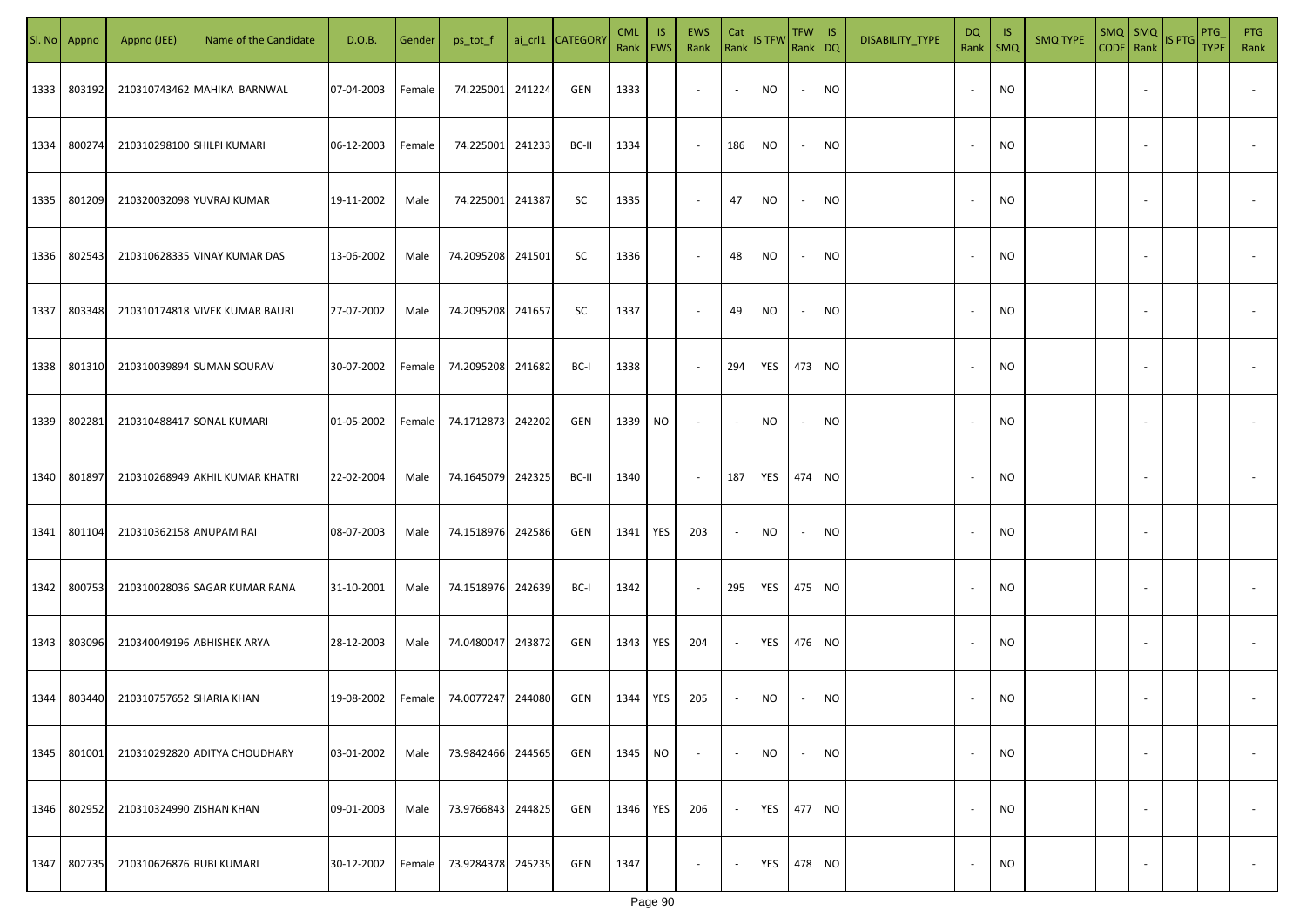|      | Sl. No Appno | Appno (JEE)              | Name of the Candidate           | D.O.B.     | Gender | ps_tot_f          |        | ai_crl1 CATEGORY | <b>CML</b><br>Rank   EWS | IS. | EWS<br>Rank              | Cat<br>Rank              | <b>IS TFW</b> | $TFW$ IS<br>Rank DQ      |           | DISABILITY_TYPE | <b>DQ</b><br>Rank | - IS<br>$\mathsf{SMQ}$ | <b>SMQ TYPE</b> |                          | $\begin{array}{ c c c c }\n\hline\n\text{SMQ} & \text{SMQ} \\ \hline\n\text{CODE} & \text{Rank}\n\end{array}$ IS PTG | <b>PTG</b><br><b>TYPE</b> | <b>PTG</b><br>Rank       |
|------|--------------|--------------------------|---------------------------------|------------|--------|-------------------|--------|------------------|--------------------------|-----|--------------------------|--------------------------|---------------|--------------------------|-----------|-----------------|-------------------|------------------------|-----------------|--------------------------|----------------------------------------------------------------------------------------------------------------------|---------------------------|--------------------------|
| 1333 | 803192       |                          | 210310743462 MAHIKA BARNWAL     | 07-04-2003 | Female | 74.225001 241224  |        | GEN              | 1333                     |     | $\blacksquare$           | $\overline{\phantom{a}}$ | <b>NO</b>     | $\overline{\phantom{a}}$ | <b>NO</b> |                 |                   | <b>NO</b>              |                 | $\sim$                   |                                                                                                                      |                           |                          |
| 1334 | 800274       |                          | 210310298100 SHILPI KUMARI      | 06-12-2003 | Female | 74.225001 241233  |        | BC-II            | 1334                     |     | $\sim$                   | 186                      | <b>NO</b>     |                          | <b>NO</b> |                 |                   | <b>NO</b>              |                 |                          |                                                                                                                      |                           |                          |
| 1335 | 801209       |                          | 210320032098 YUVRAJ KUMAR       | 19-11-2002 | Male   | 74.225001 241387  |        | SC               | 1335                     |     | $\overline{\phantom{a}}$ | 47                       | NO            | $\overline{\phantom{a}}$ | <b>NO</b> |                 | $\sim$            | <b>NO</b>              |                 |                          |                                                                                                                      |                           |                          |
| 1336 | 802543       |                          | 210310628335 VINAY KUMAR DAS    | 13-06-2002 | Male   | 74.2095208 241501 |        | SC               | 1336                     |     | $\overline{\phantom{a}}$ | 48                       | NO            | $\overline{\phantom{a}}$ | <b>NO</b> |                 | $\sim$            | <b>NO</b>              |                 |                          |                                                                                                                      |                           |                          |
| 1337 | 803348       |                          | 210310174818 VIVEK KUMAR BAURI  | 27-07-2002 | Male   | 74.2095208 241657 |        | SC               | 1337                     |     | $\overline{\phantom{a}}$ | 49                       | <b>NO</b>     | $\overline{\phantom{a}}$ | <b>NO</b> |                 | $\sim$            | <b>NO</b>              |                 | $\overline{\phantom{a}}$ |                                                                                                                      |                           |                          |
| 1338 | 801310       |                          | 210310039894 SUMAN SOURAV       | 30-07-2002 | Female | 74.2095208 241682 |        | BC-I             | 1338                     |     | $\overline{\phantom{a}}$ | 294                      | YES           | 473 NO                   |           |                 |                   | <b>NO</b>              |                 |                          |                                                                                                                      |                           |                          |
| 1339 | 802281       |                          | 210310488417 SONAL KUMARI       | 01-05-2002 | Female | 74.1712873 242202 |        | GEN              | 1339 NO                  |     | $\overline{\phantom{a}}$ |                          | NO.           | $\overline{\phantom{a}}$ | <b>NO</b> |                 |                   | <b>NO</b>              |                 |                          |                                                                                                                      |                           |                          |
| 1340 | 801897       |                          | 210310268949 AKHIL KUMAR KHATRI | 22-02-2004 | Male   | 74.1645079 242325 |        | BC-II            | 1340                     |     | $\sim$                   | 187                      | YES           | 474                      | <b>NO</b> |                 |                   | <b>NO</b>              |                 |                          |                                                                                                                      |                           |                          |
| 1341 | 801104       | 210310362158 ANUPAM RAI  |                                 | 08-07-2003 | Male   | 74.1518976        | 242586 | GEN              | 1341                     | YES | 203                      |                          | <b>NO</b>     |                          | <b>NO</b> |                 |                   | <b>NO</b>              |                 |                          |                                                                                                                      |                           |                          |
| 1342 | 800753       |                          | 210310028036 SAGAR KUMAR RANA   | 31-10-2001 | Male   | 74.1518976        | 242639 | BC-I             | 1342                     |     | $\overline{\phantom{a}}$ | 295                      | YES           | 475 NO                   |           |                 |                   | <b>NO</b>              |                 |                          |                                                                                                                      |                           |                          |
| 1343 | 803096       |                          | 210340049196 ABHISHEK ARYA      | 28-12-2003 | Male   | 74.0480047        | 243872 | GEN              | 1343                     | YES | 204                      |                          | YES           | 476 NO                   |           |                 |                   | <b>NO</b>              |                 |                          |                                                                                                                      |                           |                          |
| 1344 | 803440       | 210310757652 SHARIA KHAN |                                 | 19-08-2002 | Female | 74.0077247        | 244080 | GEN              | 1344                     | YES | 205                      |                          | <b>NO</b>     |                          | <b>NO</b> |                 |                   | <b>NO</b>              |                 |                          |                                                                                                                      |                           |                          |
| 1345 | 801001       |                          | 210310292820 ADITYA CHOUDHARY   | 03-01-2002 | Male   | 73.9842466        | 244565 | GEN              | 1345                     | NO  | $\overline{\phantom{a}}$ |                          | <b>NO</b>     |                          | <b>NO</b> |                 | $\sim$            | <b>NO</b>              |                 | $\overline{\phantom{a}}$ |                                                                                                                      |                           | $\overline{\phantom{a}}$ |
| 1346 | 802952       | 210310324990 ZISHAN KHAN |                                 | 09-01-2003 | Male   | 73.9766843        | 244825 | GEN              | 1346                     | YES | 206                      |                          | YES           | 477 NO                   |           |                 | $\sim$            | <b>NO</b>              |                 | $\overline{\phantom{a}}$ |                                                                                                                      |                           | $\overline{\phantom{a}}$ |
| 1347 | 802735       | 210310626876 RUBI KUMARI |                                 | 30-12-2002 | Female | 73.9284378        | 245235 | GEN              | 1347                     |     | $\overline{\phantom{a}}$ |                          | YES           | 478 NO                   |           |                 |                   | <b>NO</b>              |                 | $\sim$                   |                                                                                                                      |                           | $\overline{\phantom{a}}$ |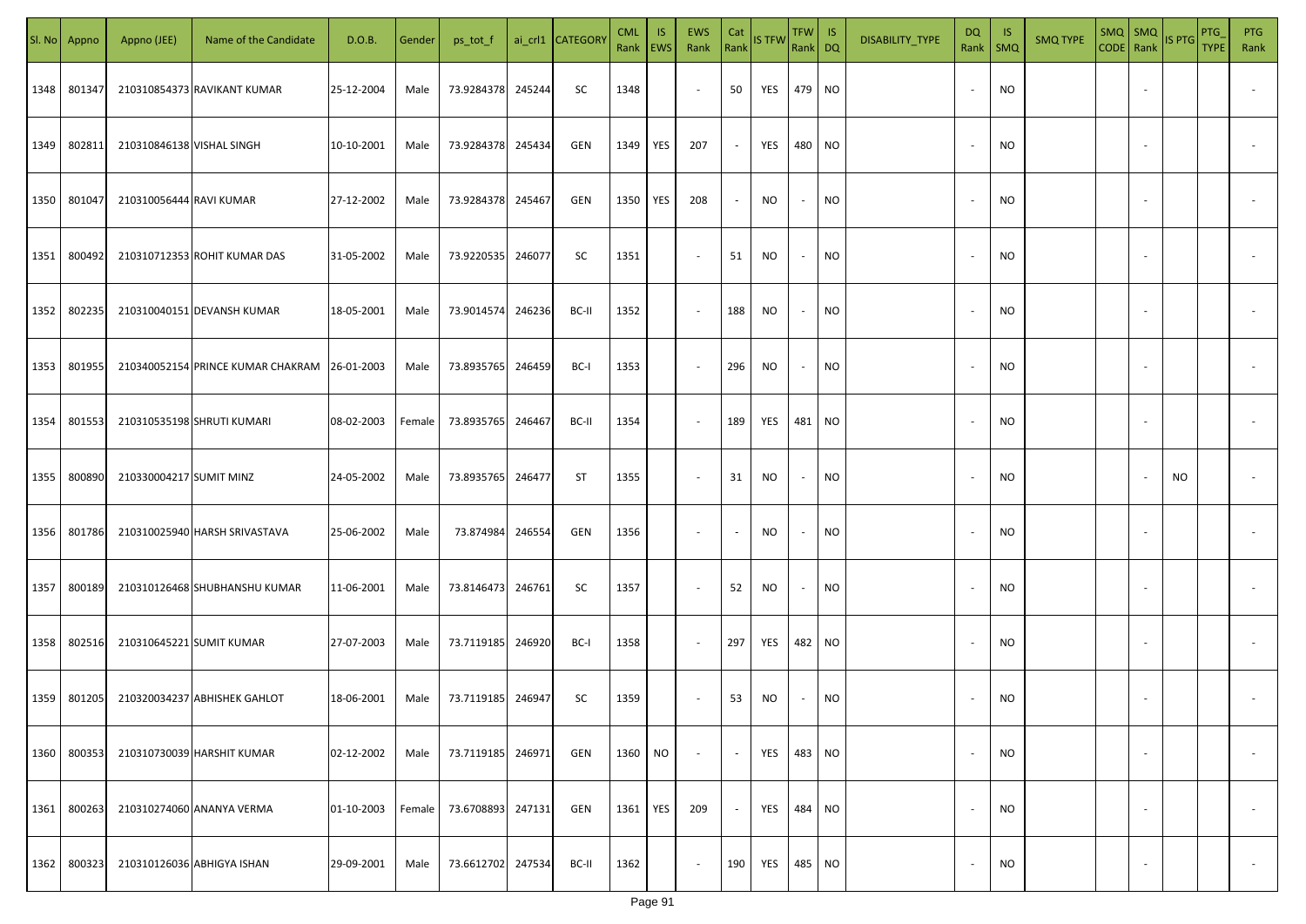|      | Sl. No Appno | Appno (JEE)               | Name of the Candidate                        | D.O.B.     | Gender | ps_tot_f          |        | ai_crl1 CATEGORY | <b>CML</b><br>Rank   EWS | IS.       | <b>EWS</b><br>Rank       | Cat<br>Rank              | <b>IS TFW</b> | $TFW$ IS<br>Rank DQ      |           | DISABILITY_TYPE | <b>DQ</b> | - IS<br>Rank   SMQ | <b>SMQ TYPE</b> |                          | SMQ SMQ<br>CODE Rank IS PTG | <b>PTG</b><br><b>TYPE</b> | <b>PTG</b><br>Rank       |
|------|--------------|---------------------------|----------------------------------------------|------------|--------|-------------------|--------|------------------|--------------------------|-----------|--------------------------|--------------------------|---------------|--------------------------|-----------|-----------------|-----------|--------------------|-----------------|--------------------------|-----------------------------|---------------------------|--------------------------|
| 1348 | 801347       |                           | 210310854373 RAVIKANT KUMAR                  | 25-12-2004 | Male   | 73.9284378        | 245244 | SC               | 1348                     |           | $\sim$                   | 50                       | YES           | 479 NO                   |           |                 |           | <b>NO</b>          |                 |                          |                             |                           |                          |
| 1349 | 802811       | 210310846138 VISHAL SINGH |                                              | 10-10-2001 | Male   | 73.9284378 245434 |        | GEN              | 1349                     | YES       | 207                      | $\sim$                   | YES           | 480 NO                   |           |                 |           | <b>NO</b>          |                 |                          |                             |                           |                          |
| 1350 | 801047       | 210310056444 RAVI KUMAR   |                                              | 27-12-2002 | Male   | 73.9284378        | 245467 | GEN              | 1350                     | YES       | 208                      | $\sim$                   | NO            | $\sim$                   | <b>NO</b> |                 |           | <b>NO</b>          |                 |                          |                             |                           |                          |
| 1351 | 800492       |                           | 210310712353 ROHIT KUMAR DAS                 | 31-05-2002 | Male   | 73.9220535        | 246077 | SC               | 1351                     |           | $\overline{\phantom{a}}$ | 51                       | NO            | $\sim$                   | <b>NO</b> |                 |           | <b>NO</b>          |                 |                          |                             |                           |                          |
| 1352 | 802235       |                           | 210310040151 DEVANSH KUMAR                   | 18-05-2001 | Male   | 73.9014574        | 246236 | BC-II            | 1352                     |           | $\overline{\phantom{a}}$ | 188                      | NO            | $\sim$                   | <b>NO</b> |                 |           | <b>NO</b>          |                 |                          |                             |                           |                          |
| 1353 | 801955       |                           | 210340052154 PRINCE KUMAR CHAKRAM 26-01-2003 |            | Male   | 73.8935765        | 246459 | BC-I             | 1353                     |           | $\overline{\phantom{a}}$ | 296                      | NO            | $\sim$                   | <b>NO</b> |                 |           | <b>NO</b>          |                 |                          |                             |                           |                          |
| 1354 | 801553       |                           | 210310535198 SHRUTI KUMARI                   | 08-02-2003 | Female | 73.8935765        | 246467 | BC-II            | 1354                     |           | $\overline{\phantom{a}}$ | 189                      | YES           | 481 NO                   |           |                 |           | <b>NO</b>          |                 |                          |                             |                           |                          |
| 1355 | 800890       | 210330004217 SUMIT MINZ   |                                              | 24-05-2002 | Male   | 73.8935765 246477 |        | ST               | 1355                     |           | $\sim$                   | 31                       | NO            | $\overline{\phantom{a}}$ | <b>NO</b> |                 |           | <b>NO</b>          |                 |                          | NO                          |                           |                          |
| 1356 | 801786       |                           | 210310025940 HARSH SRIVASTAVA                | 25-06-2002 | Male   | 73.874984         | 246554 | GEN              | 1356                     |           | $\sim$                   | $\overline{\phantom{a}}$ | NO            | $\overline{\phantom{a}}$ | <b>NO</b> |                 |           | NO                 |                 |                          |                             |                           |                          |
| 1357 | 800189       |                           | 210310126468 SHUBHANSHU KUMAR                | 11-06-2001 | Male   | 73.8146473        | 246761 | SC               | 1357                     |           | $\sim$                   | 52                       | NO            | $\sim$                   | <b>NO</b> |                 |           | <b>NO</b>          |                 |                          |                             |                           |                          |
| 1358 | 802516       | 210310645221 SUMIT KUMAR  |                                              | 27-07-2003 | Male   | 73.7119185 246920 |        | BC-I             | 1358                     |           | $\sim$                   | 297                      | YES           | 482 NO                   |           |                 |           | <b>NO</b>          |                 |                          |                             |                           |                          |
| 1359 | 801205       |                           | 210320034237 ABHISHEK GAHLOT                 | 18-06-2001 | Male   | 73.7119185 246947 |        | SC               | 1359                     |           | $\overline{\phantom{a}}$ | 53                       | NO            |                          | NO        |                 |           | <b>NO</b>          |                 |                          |                             |                           |                          |
| 1360 | 800353       |                           | 210310730039 HARSHIT KUMAR                   | 02-12-2002 | Male   | 73.7119185        | 246971 | GEN              | 1360                     | <b>NO</b> | $\overline{\phantom{a}}$ | $\blacksquare$           | YES           | 483 NO                   |           |                 |           | <b>NO</b>          |                 | $\overline{\phantom{a}}$ |                             |                           | $\overline{\phantom{a}}$ |
| 1361 | 800263       |                           | 210310274060 ANANYA VERMA                    | 01-10-2003 | Female | 73.6708893        | 247131 | GEN              | 1361                     | YES       | 209                      | $\sim$                   | YES           | 484 NO                   |           |                 |           | <b>NO</b>          |                 | $\overline{\phantom{a}}$ |                             |                           | $\overline{\phantom{a}}$ |
| 1362 | 800323       |                           | 210310126036 ABHIGYA ISHAN                   | 29-09-2001 | Male   | 73.6612702        | 247534 | BC-II            | 1362                     |           | $\sim$                   | 190                      | YES           | 485 NO                   |           |                 |           | <b>NO</b>          |                 | $\overline{\phantom{a}}$ |                             |                           | $\overline{\phantom{a}}$ |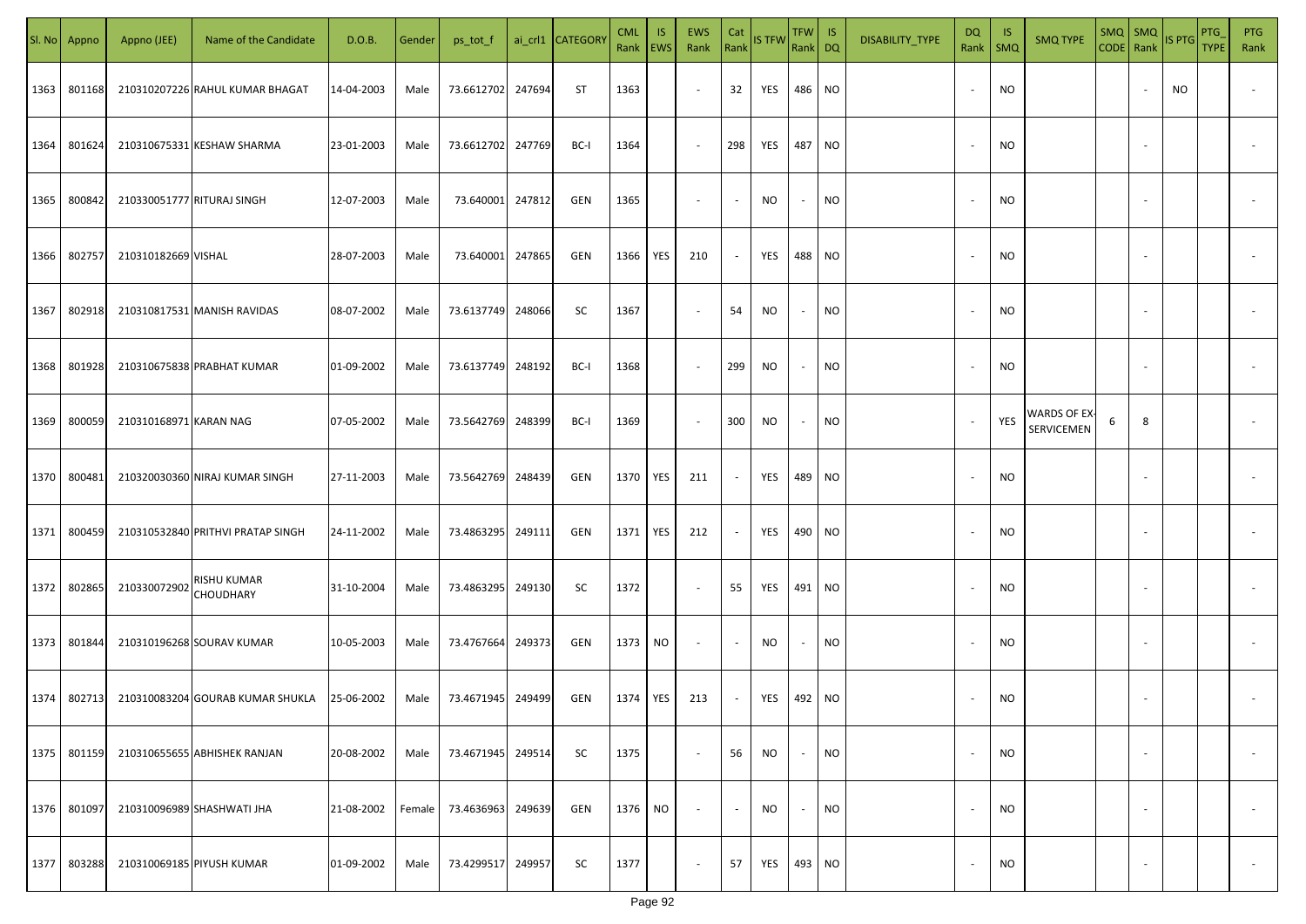| SI. No | Appno  | Appno (JEE)            | Name of the Candidate             | D.O.B.     | Gender | ps_tot_f          |        | ai_crl1 CATEGORY | <b>CML</b><br>Rank EWS | IS. | <b>EWS</b><br>Rank       | Cat<br>Rank    | <b>IS TFW</b> | TFW IS<br>Rank DQ        |           | DISABILITY_TYPE | DQ<br>Rank               | - IS<br>$\mathsf{SMQ}$ | <b>SMQ TYPE</b>            | $SMQ$ $SMQ$<br>CODE Rank IS PTG |                          |    | <b>PTG</b><br><b>TYPE</b> | <b>PTG</b><br>Rank       |
|--------|--------|------------------------|-----------------------------------|------------|--------|-------------------|--------|------------------|------------------------|-----|--------------------------|----------------|---------------|--------------------------|-----------|-----------------|--------------------------|------------------------|----------------------------|---------------------------------|--------------------------|----|---------------------------|--------------------------|
| 1363   | 801168 |                        | 210310207226 RAHUL KUMAR BHAGAT   | 14-04-2003 | Male   | 73.6612702        | 247694 | ST               | 1363                   |     | $\sim$                   | 32             | YES           | 486 NO                   |           |                 |                          | <b>NO</b>              |                            |                                 |                          | NO |                           |                          |
| 1364   | 801624 |                        | 210310675331 KESHAW SHARMA        | 23-01-2003 | Male   | 73.6612702        | 247769 | BC-I             | 1364                   |     | $\sim$                   | 298            | YES           | 487 NO                   |           |                 |                          | <b>NO</b>              |                            |                                 |                          |    |                           |                          |
| 1365   | 800842 |                        | 210330051777 RITURAJ SINGH        | 12-07-2003 | Male   | 73.640001         | 247812 | GEN              | 1365                   |     | $\overline{\phantom{a}}$ | $\blacksquare$ | <b>NO</b>     | $\sim$                   | <b>NO</b> |                 |                          | <b>NO</b>              |                            |                                 |                          |    |                           |                          |
| 1366   | 802757 | 210310182669 VISHAL    |                                   | 28-07-2003 | Male   | 73.640001         | 247865 | GEN              | 1366                   | YES | 210                      | $\sim$         | YES           | 488 NO                   |           |                 |                          | <b>NO</b>              |                            |                                 |                          |    |                           |                          |
| 1367   | 802918 |                        | 210310817531 MANISH RAVIDAS       | 08-07-2002 | Male   | 73.6137749        | 248066 | SC               | 1367                   |     | $\sim$                   | 54             | NO            | $\sim$                   | <b>NO</b> |                 |                          | <b>NO</b>              |                            |                                 |                          |    |                           |                          |
| 1368   | 801928 |                        | 210310675838 PRABHAT KUMAR        | 01-09-2002 | Male   | 73.6137749        | 248192 | BC-I             | 1368                   |     | $\overline{\phantom{a}}$ | 299            | <b>NO</b>     | $\sim$                   | <b>NO</b> |                 |                          | <b>NO</b>              |                            |                                 |                          |    |                           |                          |
| 1369   | 800059 | 210310168971 KARAN NAG |                                   | 07-05-2002 | Male   | 73.5642769        | 248399 | BC-I             | 1369                   |     | $\sim$                   | 300            | NO            | $\sim$                   | <b>NO</b> |                 |                          | YES                    | WARDS OF EX-<br>SERVICEMEN | 6                               | 8                        |    |                           |                          |
| 1370   | 800481 |                        | 210320030360 NIRAJ KUMAR SINGH    | 27-11-2003 | Male   | 73.5642769        | 248439 | GEN              | 1370                   | YES | 211                      | $\sim$         | YES           | 489 NO                   |           |                 |                          | <b>NO</b>              |                            |                                 |                          |    |                           |                          |
| 1371   | 800459 |                        | 210310532840 PRITHVI PRATAP SINGH | 24-11-2002 | Male   | 73.4863295        | 249111 | GEN              | 1371                   | YES | 212                      | $\sim$         | YES           | 490 NO                   |           |                 |                          | <b>NO</b>              |                            |                                 |                          |    |                           |                          |
| 1372   | 802865 | 210330072902           | RISHU KUMAR<br><b>CHOUDHARY</b>   | 31-10-2004 | Male   | 73.4863295 249130 |        | SC               | 1372                   |     | $\sim$                   | 55             | YES           | 491 NO                   |           |                 |                          | <b>NO</b>              |                            |                                 |                          |    |                           |                          |
| 1373   | 801844 |                        | 210310196268 SOURAV KUMAR         | 10-05-2003 | Male   | 73.4767664        | 249373 | GEN              | 1373                   | NO. | $\sim$                   | $\sim$         | NO.           | $\sim$                   | <b>NO</b> |                 |                          | <b>NO</b>              |                            |                                 |                          |    |                           |                          |
| 1374   | 802713 |                        | 210310083204 GOURAB KUMAR SHUKLA  | 25-06-2002 | Male   | 73.4671945        | 249499 | GEN              | 1374                   | YES | 213                      | $\sim$         | YES           | 492 NO                   |           |                 |                          | <b>NO</b>              |                            |                                 |                          |    |                           |                          |
| 1375   | 801159 |                        | 210310655655 ABHISHEK RANJAN      | 20-08-2002 | Male   | 73.4671945        | 249514 | <b>SC</b>        | 1375                   |     | $\sim$                   | 56             | <b>NO</b>     | $\sim$                   | <b>NO</b> |                 |                          | <b>NO</b>              |                            |                                 | $\overline{\phantom{a}}$ |    |                           | $\overline{\phantom{a}}$ |
| 1376   | 801097 |                        | 210310096989 SHASHWATI JHA        | 21-08-2002 | Female | 73.4636963        | 249639 | GEN              | 1376                   | NO  | $\sim$                   | $\sim$         | <b>NO</b>     | $\overline{\phantom{a}}$ | <b>NO</b> |                 | $\overline{\phantom{a}}$ | <b>NO</b>              |                            |                                 | $\overline{\phantom{a}}$ |    |                           | $\overline{\phantom{a}}$ |
| 1377   | 803288 |                        | 210310069185 PIYUSH KUMAR         | 01-09-2002 | Male   | 73.4299517        | 249957 | <b>SC</b>        | 1377                   |     | $\sim$                   | 57             | YES           | 493 NO                   |           |                 |                          | <b>NO</b>              |                            |                                 | $\overline{\phantom{a}}$ |    |                           | $\overline{\phantom{a}}$ |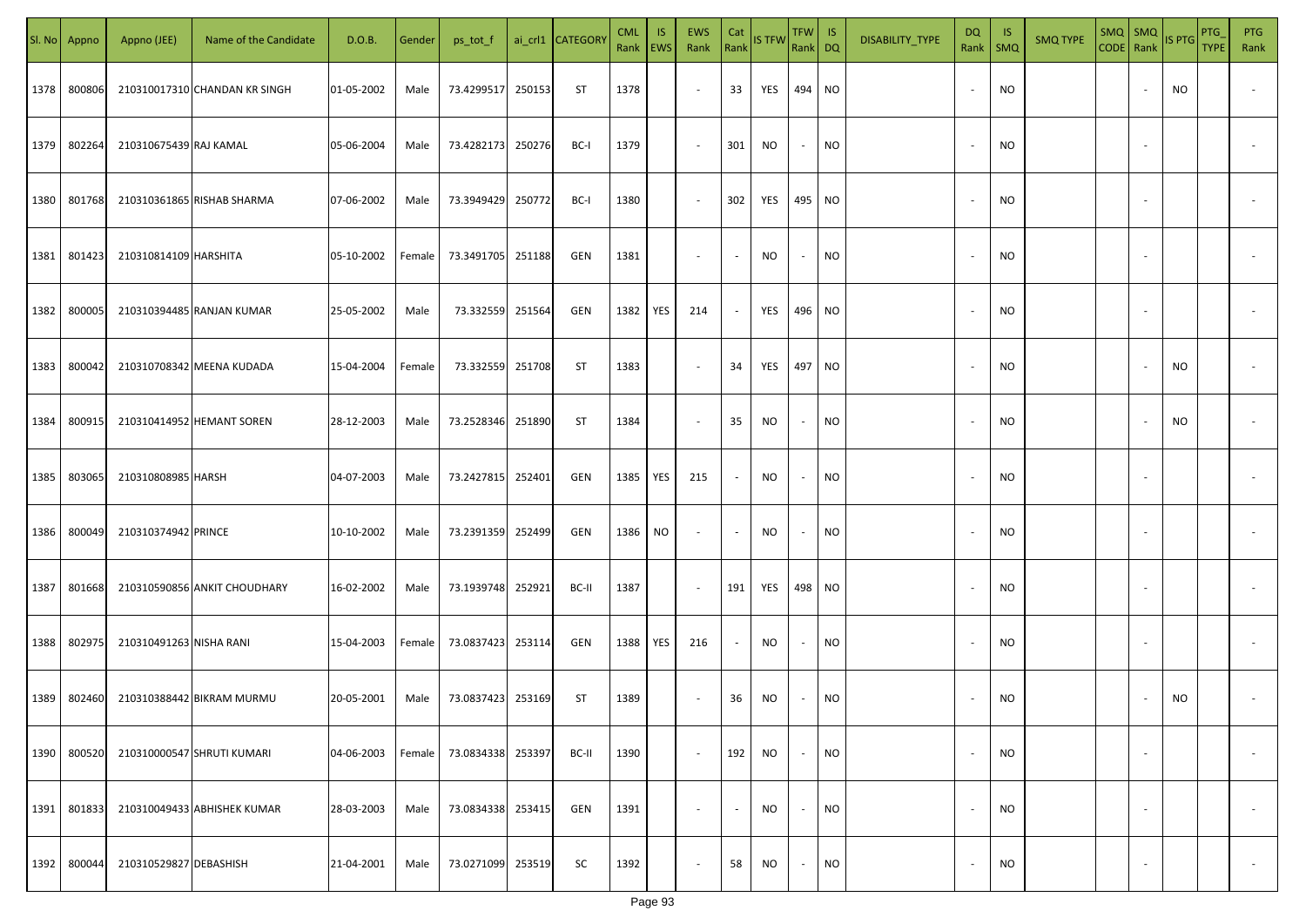|      | Sl. No Appno | Appno (JEE)             | Name of the Candidate         | D.O.B.     | Gender | ps_tot_f          |        | ai_crl1 CATEGORY | <b>CML</b><br>Rank   EWS | IS. | <b>EWS</b><br>Rank       | Cat<br>Rank              | <b>IS TFW</b> | $TFW$ IS<br>Rank DQ      |           | DISABILITY_TYPE | <b>DQ</b>                | - IS<br>Rank   SMQ | <b>SMQ TYPE</b> |                          | $\begin{array}{ c c c c }\n\hline\n\text{SMQ} & \text{SMQ} & \text{IS PTG}\n\hline\n\text{CODE} & \text{Rank}\n\end{array}$ | PTG<br><b>TYPE</b> | <b>PTG</b><br>Rank       |
|------|--------------|-------------------------|-------------------------------|------------|--------|-------------------|--------|------------------|--------------------------|-----|--------------------------|--------------------------|---------------|--------------------------|-----------|-----------------|--------------------------|--------------------|-----------------|--------------------------|-----------------------------------------------------------------------------------------------------------------------------|--------------------|--------------------------|
| 1378 | 800806       |                         | 210310017310 CHANDAN KR SINGH | 01-05-2002 | Male   | 73.4299517        | 250153 | ST               | 1378                     |     | $\sim$                   | 33                       | YES           | 494 NO                   |           |                 |                          | <b>NO</b>          |                 |                          | NO.                                                                                                                         |                    |                          |
| 1379 | 802264       | 210310675439 RAJ KAMAL  |                               | 05-06-2004 | Male   | 73.4282173        | 250276 | BC-I             | 1379                     |     | $\sim$                   | 301                      | NO            | $\sim$                   | <b>NO</b> |                 |                          | <b>NO</b>          |                 |                          |                                                                                                                             |                    |                          |
| 1380 | 801768       |                         | 210310361865 RISHAB SHARMA    | 07-06-2002 | Male   | 73.3949429        | 250772 | BC-I             | 1380                     |     | $\overline{\phantom{a}}$ | 302                      | YES           | 495 NO                   |           |                 |                          | <b>NO</b>          |                 |                          |                                                                                                                             |                    |                          |
| 1381 | 801423       | 210310814109 HARSHITA   |                               | 05-10-2002 | Female | 73.3491705        | 251188 | GEN              | 1381                     |     | $\overline{\phantom{a}}$ | $\sim$                   | NO            | $\sim$                   | <b>NO</b> |                 |                          | <b>NO</b>          |                 |                          |                                                                                                                             |                    |                          |
| 1382 | 800005       |                         | 210310394485 RANJAN KUMAR     | 25-05-2002 | Male   | 73.332559         | 251564 | GEN              | 1382                     | YES | 214                      | $\sim$                   | YES           | 496 NO                   |           |                 |                          | <b>NO</b>          |                 |                          |                                                                                                                             |                    |                          |
| 1383 | 800042       |                         | 210310708342 MEENA KUDADA     | 15-04-2004 | Female | 73.332559         | 251708 | ST               | 1383                     |     | $\overline{\phantom{a}}$ | 34                       | YES           | 497 NO                   |           |                 |                          | <b>NO</b>          |                 |                          | NO                                                                                                                          |                    |                          |
| 1384 | 800915       |                         | 210310414952 HEMANT SOREN     | 28-12-2003 | Male   | 73.2528346        | 251890 | ST               | 1384                     |     | $\overline{\phantom{a}}$ | 35                       | NO            | $\overline{\phantom{a}}$ | <b>NO</b> |                 |                          | <b>NO</b>          |                 |                          | NO                                                                                                                          |                    |                          |
| 1385 | 803065       | 210310808985 HARSH      |                               | 04-07-2003 | Male   | 73.2427815        | 252401 | GEN              | 1385                     | YES | 215                      | $\overline{\phantom{a}}$ | NO            | $\overline{\phantom{a}}$ | <b>NO</b> |                 |                          | <b>NO</b>          |                 |                          |                                                                                                                             |                    |                          |
| 1386 | 800049       | 210310374942 PRINCE     |                               | 10-10-2002 | Male   | 73.2391359 252499 |        | GEN              | 1386                     | NO. | $\sim$                   | $\overline{\phantom{a}}$ | NO            | $\overline{\phantom{a}}$ | <b>NO</b> |                 |                          | NO                 |                 |                          |                                                                                                                             |                    |                          |
| 1387 | 801668       |                         | 210310590856 ANKIT CHOUDHARY  | 16-02-2002 | Male   | 73.1939748 252921 |        | BC-II            | 1387                     |     | $\sim$                   | 191                      | YES           | 498 NO                   |           |                 |                          | <b>NO</b>          |                 |                          |                                                                                                                             |                    |                          |
| 1388 | 802975       | 210310491263 NISHA RANI |                               | 15-04-2003 | Female | 73.0837423        | 253114 | GEN              | 1388                     | YES | 216                      | $\sim$                   | NO.           |                          | <b>NO</b> |                 |                          | <b>NO</b>          |                 |                          |                                                                                                                             |                    |                          |
| 1389 | 802460       |                         | 210310388442 BIKRAM MURMU     | 20-05-2001 | Male   | 73.0837423        | 253169 | ST               | 1389                     |     | $\sim$                   | 36                       | NO            |                          | <b>NO</b> |                 |                          | <b>NO</b>          |                 |                          | <b>NO</b>                                                                                                                   |                    |                          |
| 1390 | 800520       |                         | 210310000547 SHRUTI KUMARI    | 04-06-2003 | Female | 73.0834338        | 253397 | BC-II            | 1390                     |     | $\blacksquare$           | 192                      | <b>NO</b>     | $\overline{\phantom{a}}$ | <b>NO</b> |                 |                          | <b>NO</b>          |                 | $\overline{\phantom{a}}$ |                                                                                                                             |                    | $\overline{\phantom{a}}$ |
| 1391 | 801833       |                         | 210310049433 ABHISHEK KUMAR   | 28-03-2003 | Male   | 73.0834338        | 253415 | GEN              | 1391                     |     | $\overline{\phantom{a}}$ | $\blacksquare$           | <b>NO</b>     | $\overline{\phantom{a}}$ | <b>NO</b> |                 | $\overline{\phantom{a}}$ | <b>NO</b>          |                 | $\overline{\phantom{a}}$ |                                                                                                                             |                    | $\overline{\phantom{a}}$ |
| 1392 | 800044       | 210310529827 DEBASHISH  |                               | 21-04-2001 | Male   | 73.0271099        | 253519 | SC               | 1392                     |     | $\overline{\phantom{a}}$ | 58                       | <b>NO</b>     | $\sim$                   | <b>NO</b> |                 |                          | <b>NO</b>          |                 | $\overline{\phantom{a}}$ |                                                                                                                             |                    | $\overline{\phantom{a}}$ |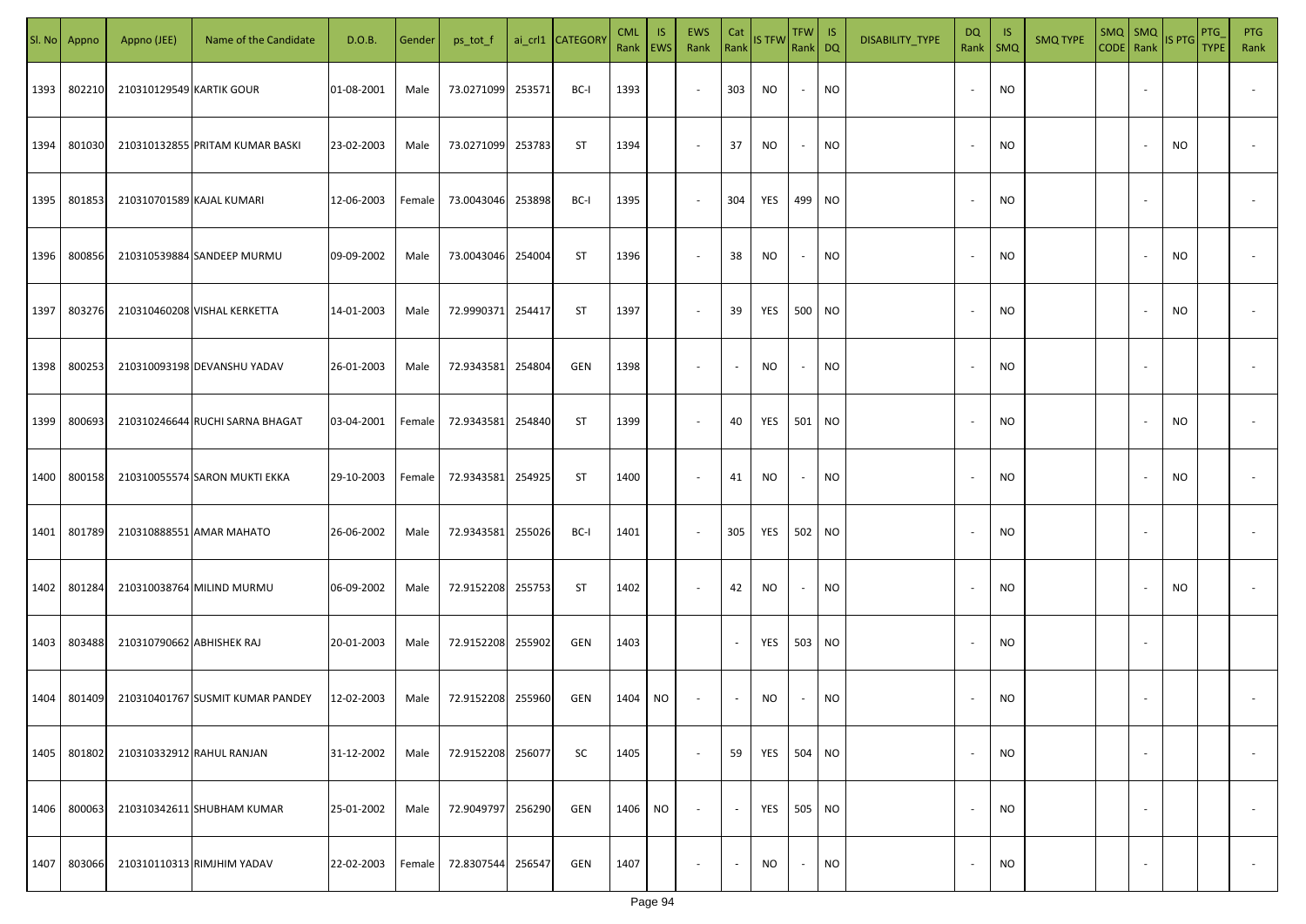| SI. No. | Appno  | Appno (JEE)               | Name of the Candidate            | D.O.B.     | Gender | ps_tot_f   |        | ai_crl1 CATEGORY | <b>CML</b><br>Rank | IS.<br>EWS | <b>EWS</b><br>Rank       | Cat<br>Rank | <b>IS TFW</b> | <b>TFW</b><br>Rank DQ    | IS        | DISABILITY_TYPE | DQ<br>Rank               | -IS<br>$\mathsf{SMQ}$ | <b>SMQ TYPE</b> | CODE Rank | $SMQ$ $SMQ$ | IS PTG | PTG<br><b>TYPE</b> | <b>PTG</b><br>Rank |
|---------|--------|---------------------------|----------------------------------|------------|--------|------------|--------|------------------|--------------------|------------|--------------------------|-------------|---------------|--------------------------|-----------|-----------------|--------------------------|-----------------------|-----------------|-----------|-------------|--------|--------------------|--------------------|
| 1393    | 802210 | 210310129549 KARTIK GOUR  |                                  | 01-08-2001 | Male   | 73.0271099 | 253571 | BC-I             | 1393               |            | $\sim$                   | 303         | <b>NO</b>     | $\overline{\phantom{a}}$ | <b>NO</b> |                 | $\overline{\phantom{a}}$ | NO                    |                 |           |             |        |                    |                    |
| 1394    | 801030 |                           | 210310132855 PRITAM KUMAR BASKI  | 23-02-2003 | Male   | 73.0271099 | 253783 | ST               | 1394               |            | $\sim$                   | 37          | NO            | $\sim$                   | <b>NO</b> |                 | $\overline{\phantom{a}}$ | NO                    |                 |           |             | NO.    |                    |                    |
| 1395    | 801853 | 210310701589 KAJAL KUMARI |                                  | 12-06-2003 | Female | 73.0043046 | 253898 | BC-I             | 1395               |            | $\sim$                   | 304         | YES           | 499 NO                   |           |                 | $\overline{\phantom{a}}$ | <b>NO</b>             |                 |           |             |        |                    |                    |
| 1396    | 800856 |                           | 210310539884 SANDEEP MURMU       | 09-09-2002 | Male   | 73.0043046 | 254004 | <b>ST</b>        | 1396               |            | $\overline{\phantom{a}}$ | 38          | NO            | $\overline{\phantom{a}}$ | <b>NO</b> |                 | $\overline{\phantom{a}}$ | NO                    |                 |           |             | NO.    |                    |                    |
| 1397    | 803276 |                           | 210310460208 VISHAL KERKETTA     | 14-01-2003 | Male   | 72.9990371 | 254417 | ST               | 1397               |            | $\overline{\phantom{a}}$ | 39          | YES           | 500 NO                   |           |                 | $\sim$                   | NO                    |                 |           |             | NO.    |                    |                    |
| 1398    | 800253 |                           | 210310093198 DEVANSHU YADAV      | 26-01-2003 | Male   | 72.9343581 | 254804 | GEN              | 1398               |            | $\overline{\phantom{a}}$ |             | <b>NO</b>     | $\overline{\phantom{a}}$ | NO.       |                 | $\overline{\phantom{a}}$ | NO                    |                 |           |             |        |                    |                    |
| 1399    | 800693 |                           | 210310246644 RUCHI SARNA BHAGAT  | 03-04-2001 | Female | 72.9343581 | 254840 | <b>ST</b>        | 1399               |            | $\overline{\phantom{a}}$ | 40          | YES           | 501                      | <b>NO</b> |                 |                          | <b>NO</b>             |                 |           |             | NO.    |                    |                    |
| 1400    | 800158 |                           | 210310055574 SARON MUKTI EKKA    | 29-10-2003 | Female | 72.9343581 | 254925 | <b>ST</b>        | 1400               |            | $\overline{\phantom{a}}$ | 41          | NO            |                          | <b>NO</b> |                 |                          | <b>NO</b>             |                 |           |             | NO.    |                    |                    |
| 1401    | 801789 |                           | 210310888551 AMAR MAHATO         | 26-06-2002 | Male   | 72.9343581 | 255026 | BC-I             | 1401               |            | $\sim$                   | 305         | YES           | 502                      | <b>NO</b> |                 | $\overline{\phantom{a}}$ | <b>NO</b>             |                 |           |             |        |                    |                    |
| 1402    | 801284 |                           | 210310038764 MILIND MURMU        | 06-09-2002 | Male   | 72.9152208 | 255753 | ST               | 1402               |            | $\sim$                   | 42          | <b>NO</b>     | $\sim$                   | <b>NO</b> |                 |                          | NO                    |                 |           |             | NO.    |                    |                    |
| 1403    | 803488 | 210310790662 ABHISHEK RAJ |                                  | 20-01-2003 | Male   | 72.9152208 | 255902 | GEN              | 1403               |            |                          |             | YES           | 503                      | <b>NO</b> |                 | $\overline{\phantom{a}}$ | <b>NO</b>             |                 |           |             |        |                    |                    |
| 1404    | 801409 |                           | 210310401767 SUSMIT KUMAR PANDEY | 12-02-2003 | Male   | 72.9152208 | 255960 | GEN              | 1404               | NO.        | $\sim$                   |             | <b>NO</b>     |                          | <b>NO</b> |                 |                          | <b>NO</b>             |                 |           |             |        |                    |                    |
| 1405    | 801802 |                           | 210310332912 RAHUL RANJAN        | 31-12-2002 | Male   | 72.9152208 | 256077 | <b>SC</b>        | 1405               |            | $\overline{\phantom{a}}$ | 59          | YES           | 504 NO                   |           |                 | $\overline{\phantom{a}}$ | <b>NO</b>             |                 |           |             |        |                    |                    |
| 1406    | 800063 |                           | 210310342611 SHUBHAM KUMAR       | 25-01-2002 | Male   | 72.9049797 | 256290 | GEN              | 1406               | NO.        | $\overline{\phantom{a}}$ |             | YES           | 505 NO                   |           |                 | $\overline{\phantom{a}}$ | <b>NO</b>             |                 |           |             |        |                    |                    |
| 1407    | 803066 |                           | 210310110313 RIMJHIM YADAV       | 22-02-2003 | Female | 72.8307544 | 256547 | GEN              | 1407               |            | $\overline{\phantom{a}}$ |             | NO            | $\overline{\phantom{a}}$ | <b>NO</b> |                 | $\overline{\phantom{a}}$ | <b>NO</b>             |                 |           |             |        |                    |                    |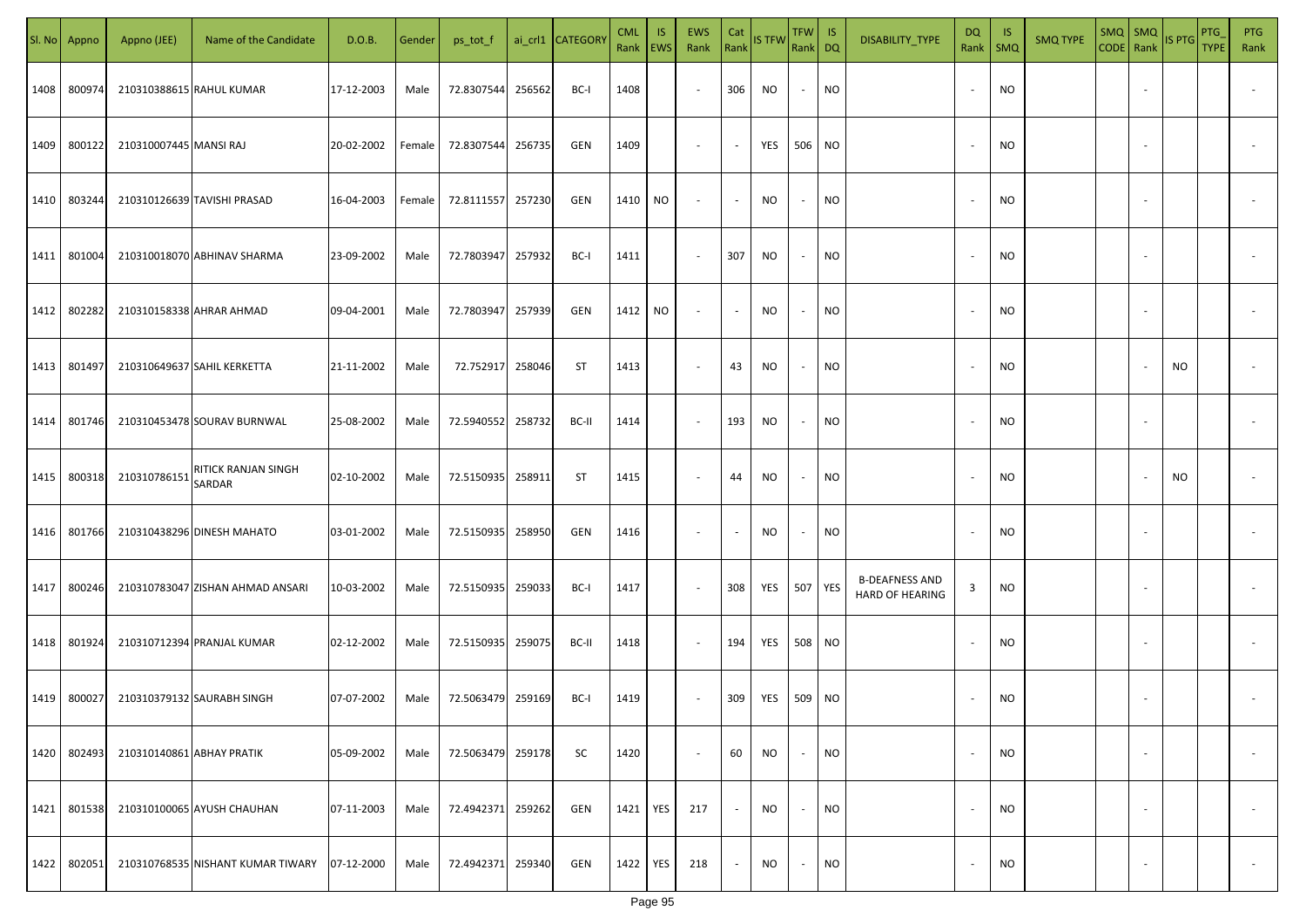| SI. No. | Appno  | Appno (JEE)               | Name of the Candidate             | D.O.B.     | Gender | ps_tot_f   |        | ai_crl1 CATEGORY | <b>CML</b><br>Rank EWS | IS.        | EWS<br>Rank              | Cat<br>Rank              | <b>IS TFW</b> | <b>TFW</b><br>Rank DQ    | IS        | DISABILITY_TYPE                          | DQ<br>Rank               | -IS<br>$\mathsf{SMQ}$ | <b>SMQ TYPE</b> | CODE Rank | $SMQ$ SMQ                | IS PTG    | PTG<br><b>TYPE</b> | <b>PTG</b><br>Rank |
|---------|--------|---------------------------|-----------------------------------|------------|--------|------------|--------|------------------|------------------------|------------|--------------------------|--------------------------|---------------|--------------------------|-----------|------------------------------------------|--------------------------|-----------------------|-----------------|-----------|--------------------------|-----------|--------------------|--------------------|
| 1408    | 800974 |                           | 210310388615 RAHUL KUMAR          | 17-12-2003 | Male   | 72.8307544 | 256562 | BC-I             | 1408                   |            | $\overline{\phantom{a}}$ | 306                      | NO            | $\sim$                   | <b>NO</b> |                                          |                          | NO                    |                 |           |                          |           |                    |                    |
| 1409    | 800122 | 210310007445 MANSI RAJ    |                                   | 20-02-2002 | Female | 72.8307544 | 256735 | GEN              | 1409                   |            | $\overline{\phantom{a}}$ | $\sim$                   | YES           | 506 NO                   |           |                                          |                          | <b>NO</b>             |                 |           |                          |           |                    |                    |
| 1410    | 803244 |                           | 210310126639 TAVISHI PRASAD       | 16-04-2003 | Female | 72.8111557 | 257230 | GEN              | 1410                   | <b>NO</b>  | $\overline{\phantom{a}}$ | $\sim$                   | NO            | $\sim$                   | <b>NO</b> |                                          |                          | NO.                   |                 |           |                          |           |                    |                    |
| 1411    | 801004 |                           | 210310018070 ABHINAV SHARMA       | 23-09-2002 | Male   | 72.7803947 | 257932 | BC-I             | 1411                   |            | $\overline{\phantom{a}}$ | 307                      | NO            | $\sim$                   | NO        |                                          |                          | NO.                   |                 |           |                          |           |                    |                    |
| 1412    | 802282 |                           | 210310158338 AHRAR AHMAD          | 09-04-2001 | Male   | 72.7803947 | 257939 | GEN              | 1412                   | NO         | $\overline{\phantom{a}}$ | $\overline{\phantom{a}}$ | NO.           | $\overline{\phantom{a}}$ | NO.       |                                          |                          | NO.                   |                 |           |                          |           |                    |                    |
| 1413    | 801497 |                           | 210310649637 SAHIL KERKETTA       | 21-11-2002 | Male   | 72.752917  | 258046 | <b>ST</b>        | 1413                   |            | $\overline{\phantom{a}}$ | 43                       | NO.           | $\overline{\phantom{a}}$ | <b>NO</b> |                                          |                          | <b>NO</b>             |                 |           |                          | <b>NO</b> |                    |                    |
| 1414    | 801746 |                           | 210310453478 SOURAV BURNWAL       | 25-08-2002 | Male   | 72.5940552 | 258732 | BC-II            | 1414                   |            | $\overline{\phantom{a}}$ | 193                      | <b>NO</b>     | $\overline{\phantom{a}}$ | <b>NO</b> |                                          |                          | <b>NO</b>             |                 |           |                          |           |                    |                    |
| 1415    | 800318 | 210310786151              | RITICK RANJAN SINGH<br>SARDAR     | 02-10-2002 | Male   | 72.5150935 | 258911 | ST               | 1415                   |            | $\sim$                   | 44                       | NO.           | $\overline{\phantom{a}}$ | <b>NO</b> |                                          |                          | <b>NO</b>             |                 |           |                          | <b>NO</b> |                    |                    |
| 1416    | 801766 |                           | 210310438296 DINESH MAHATO        | 03-01-2002 | Male   | 72.5150935 | 258950 | GEN              | 1416                   |            | $\sim$                   |                          | NO.           |                          | <b>NO</b> |                                          |                          | <b>NO</b>             |                 |           |                          |           |                    |                    |
| 1417    | 800246 |                           | 210310783047 ZISHAN AHMAD ANSARI  | 10-03-2002 | Male   | 72.5150935 | 259033 | BC-I             | 1417                   |            | $\overline{\phantom{a}}$ | 308                      | YES           | 507 YES                  |           | <b>B-DEAFNESS AND</b><br>HARD OF HEARING | 3                        | <b>NO</b>             |                 |           |                          |           |                    |                    |
| 1418    | 801924 |                           | 210310712394 PRANJAL KUMAR        | 02-12-2002 | Male   | 72.5150935 | 259075 | BC-II            | 1418                   |            | $\sim$                   | 194                      | YES           | 508 NO                   |           |                                          |                          | <b>NO</b>             |                 |           |                          |           |                    |                    |
| 1419    | 800027 |                           | 210310379132 SAURABH SINGH        | 07-07-2002 | Male   | 72.5063479 | 259169 | BC-I             | 1419                   |            | $\overline{\phantom{a}}$ | 309                      | YES           | 509 NO                   |           |                                          |                          | <b>NO</b>             |                 |           |                          |           |                    |                    |
| 1420    | 802493 | 210310140861 ABHAY PRATIK |                                   | 05-09-2002 | Male   | 72.5063479 | 259178 | SC               | 1420                   |            | $\overline{\phantom{a}}$ | 60                       | NO.           | $\sim$                   | <b>NO</b> |                                          | $\overline{\phantom{a}}$ | <b>NO</b>             |                 |           | $\overline{\phantom{a}}$ |           |                    | $\sim$             |
| 1421    | 801538 |                           | 210310100065 AYUSH CHAUHAN        | 07-11-2003 | Male   | 72.4942371 | 259262 | GEN              | 1421                   | <b>YES</b> | 217                      | $\overline{\phantom{a}}$ | <b>NO</b>     | $\sim$                   | <b>NO</b> |                                          | $\overline{\phantom{a}}$ | <b>NO</b>             |                 |           | $\sim$                   |           |                    | $\sim$             |
| 1422    | 802051 |                           | 210310768535 NISHANT KUMAR TIWARY | 07-12-2000 | Male   | 72.4942371 | 259340 | GEN              | 1422                   | <b>YES</b> | 218                      | $\sim$                   | <b>NO</b>     | $\sim$                   | <b>NO</b> |                                          |                          | <b>NO</b>             |                 |           | $\sim$                   |           |                    | $\sim$             |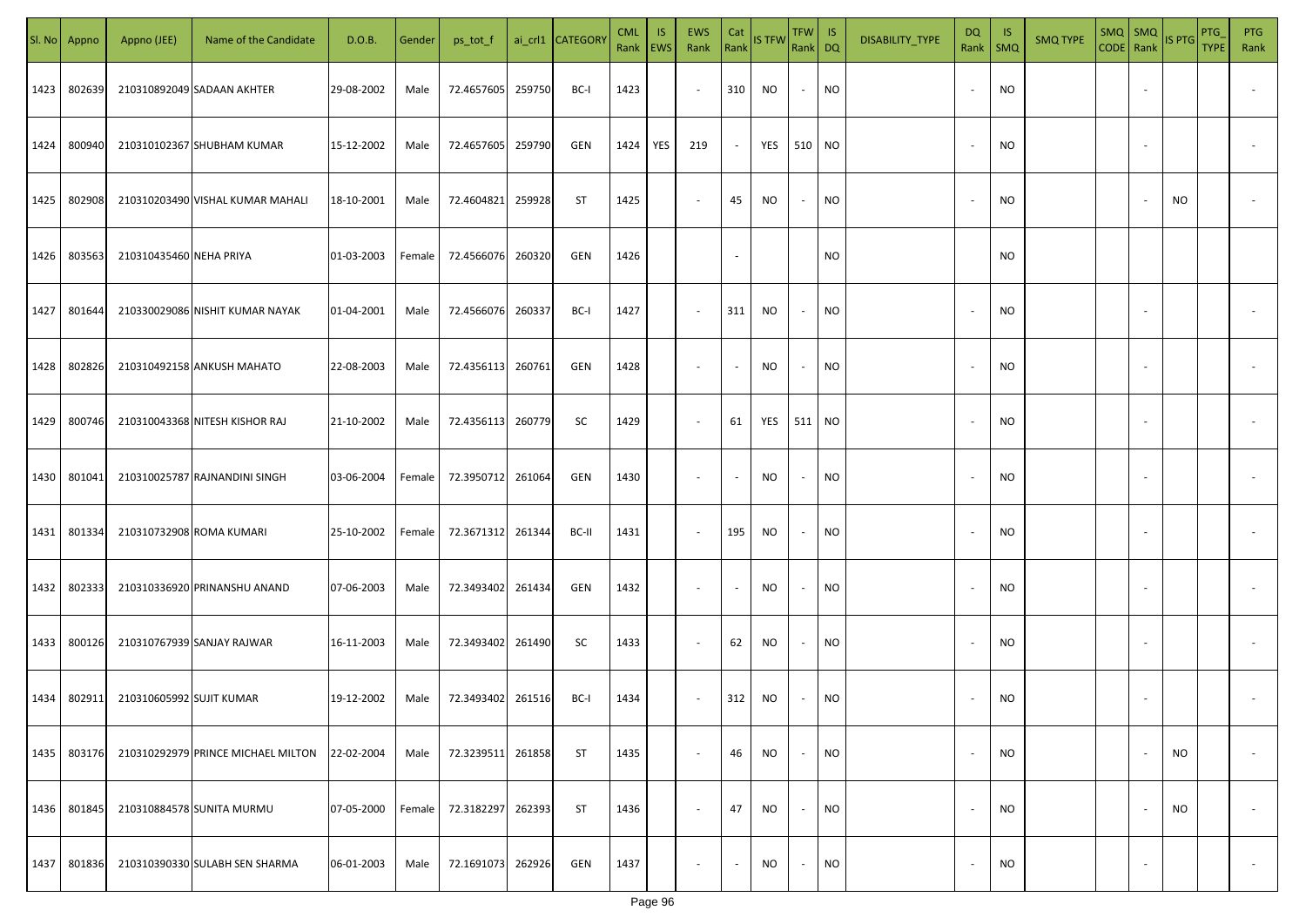| SI. No | Appno  | Appno (JEE)              | Name of the Candidate              | D.O.B.     | Gender | ps_tot_f          |        | ai_crl1 CATEGORY | <b>CML</b><br>Rank EWS | <b>IS</b> | EWS<br>Rank              | Cat                      | Rank IS TFW | TFW   IS<br>Rank DQ |           | DISABILITY_TYPE | <b>DQ</b><br>Rank        | - IS<br><b>SMQ</b> | <b>SMQ TYPE</b> | $SMQ$ SMQ<br>CODE Rank |                          | IS PTG | PTG<br><b>TYPE</b> | <b>PTG</b><br>Rank       |
|--------|--------|--------------------------|------------------------------------|------------|--------|-------------------|--------|------------------|------------------------|-----------|--------------------------|--------------------------|-------------|---------------------|-----------|-----------------|--------------------------|--------------------|-----------------|------------------------|--------------------------|--------|--------------------|--------------------------|
| 1423   | 802639 |                          | 210310892049 SADAAN AKHTER         | 29-08-2002 | Male   | 72.4657605        | 259750 | BC-I             | 1423                   |           | $\sim$                   | 310                      | NO.         | $\sim$              | NO        |                 | $\overline{\phantom{a}}$ | <b>NO</b>          |                 |                        |                          |        |                    |                          |
| 1424   | 800940 |                          | 210310102367 SHUBHAM KUMAR         | 15-12-2002 | Male   | 72.4657605        | 259790 | GEN              | 1424                   | YES       | 219                      | $\sim$                   | YES         | 510 NO              |           |                 | $\overline{\phantom{a}}$ | <b>NO</b>          |                 |                        |                          |        |                    |                          |
| 1425   | 802908 |                          | 210310203490 VISHAL KUMAR MAHALI   | 18-10-2001 | Male   | 72.4604821        | 259928 | ST               | 1425                   |           | $\overline{\phantom{a}}$ | 45                       | <b>NO</b>   | $\sim$              | <b>NO</b> |                 |                          | <b>NO</b>          |                 |                        |                          | NO.    |                    |                          |
| 1426   | 803563 | 210310435460 NEHA PRIYA  |                                    | 01-03-2003 | Female | 72.4566076        | 260320 | GEN              | 1426                   |           |                          | $\sim$                   |             |                     | NO        |                 |                          | <b>NO</b>          |                 |                        |                          |        |                    |                          |
| 1427   | 801644 |                          | 210330029086 NISHIT KUMAR NAYAK    | 01-04-2001 | Male   | 72.4566076        | 260337 | BC-I             | 1427                   |           | $\sim$                   | 311                      | NO.         | $\sim$              | NO        |                 |                          | <b>NO</b>          |                 |                        |                          |        |                    |                          |
| 1428   | 802826 |                          | 210310492158 ANKUSH MAHATO         | 22-08-2003 | Male   | 72.4356113 260761 |        | GEN              | 1428                   |           | $\overline{\phantom{a}}$ | $\sim$                   | NO          | $\sim$              | <b>NO</b> |                 |                          | <b>NO</b>          |                 |                        |                          |        |                    |                          |
| 1429   | 800746 |                          | 210310043368 NITESH KISHOR RAJ     | 21-10-2002 | Male   | 72.4356113 260779 |        | SC               | 1429                   |           | $\sim$                   | 61                       | YES         | 511 NO              |           |                 |                          | <b>NO</b>          |                 |                        |                          |        |                    |                          |
| 1430   | 801041 |                          | 210310025787 RAJNANDINI SINGH      | 03-06-2004 | Female | 72.3950712 261064 |        | GEN              | 1430                   |           | $\sim$                   | $\sim$                   | NO          | $\sim$              | NO        |                 |                          | <b>NO</b>          |                 |                        |                          |        |                    |                          |
| 1431   | 801334 |                          | 210310732908 ROMA KUMARI           | 25-10-2002 | Female | 72.3671312 261344 |        | BC-II            | 1431                   |           | $\sim$                   | 195                      | NO          | $\sim$              | NO        |                 |                          | <b>NO</b>          |                 |                        |                          |        |                    |                          |
| 1432   | 802333 |                          | 210310336920 PRINANSHU ANAND       | 07-06-2003 | Male   | 72.3493402 261434 |        | GEN              | 1432                   |           | $\sim$                   | $\overline{\phantom{a}}$ | NO.         | $\sim$              | <b>NO</b> |                 |                          | <b>NO</b>          |                 |                        |                          |        |                    |                          |
| 1433   | 800126 |                          | 210310767939 SANJAY RAJWAR         | 16-11-2003 | Male   | 72.3493402 261490 |        | SC               | 1433                   |           | $\sim$                   | 62                       | <b>NO</b>   | $\sim$              | <b>NO</b> |                 |                          | <b>NO</b>          |                 |                        |                          |        |                    |                          |
| 1434   | 802911 | 210310605992 SUJIT KUMAR |                                    | 19-12-2002 | Male   | 72.3493402 261516 |        | BC-I             | 1434                   |           | $\sim$                   | 312                      | NO          | $\sim$              | <b>NO</b> |                 |                          | <b>NO</b>          |                 |                        |                          |        |                    |                          |
| 1435   | 803176 |                          | 210310292979 PRINCE MICHAEL MILTON | 22-02-2004 | Male   | 72.3239511 261858 |        | ST               | 1435                   |           | $\sim$                   | 46                       | NO          | $\sim$              | <b>NO</b> |                 | $\sim$                   | <b>NO</b>          |                 |                        |                          | NO     |                    | $\overline{\phantom{a}}$ |
| 1436   | 801845 |                          | 210310884578 SUNITA MURMU          | 07-05-2000 | Female | 72.3182297        | 262393 | ST               | 1436                   |           | $\sim$                   | 47                       | <b>NO</b>   | $\sim$              | <b>NO</b> |                 | $\overline{\phantom{a}}$ | <b>NO</b>          |                 |                        |                          | NO     |                    | $\overline{\phantom{a}}$ |
| 1437   | 801836 |                          | 210310390330 SULABH SEN SHARMA     | 06-01-2003 | Male   | 72.1691073 262926 |        | GEN              | 1437                   |           | $\overline{\phantom{a}}$ | $\blacksquare$           | NO          | $\sim$              | <b>NO</b> |                 | $\overline{\phantom{a}}$ | NO                 |                 |                        | $\overline{\phantom{a}}$ |        |                    | $\sim$                   |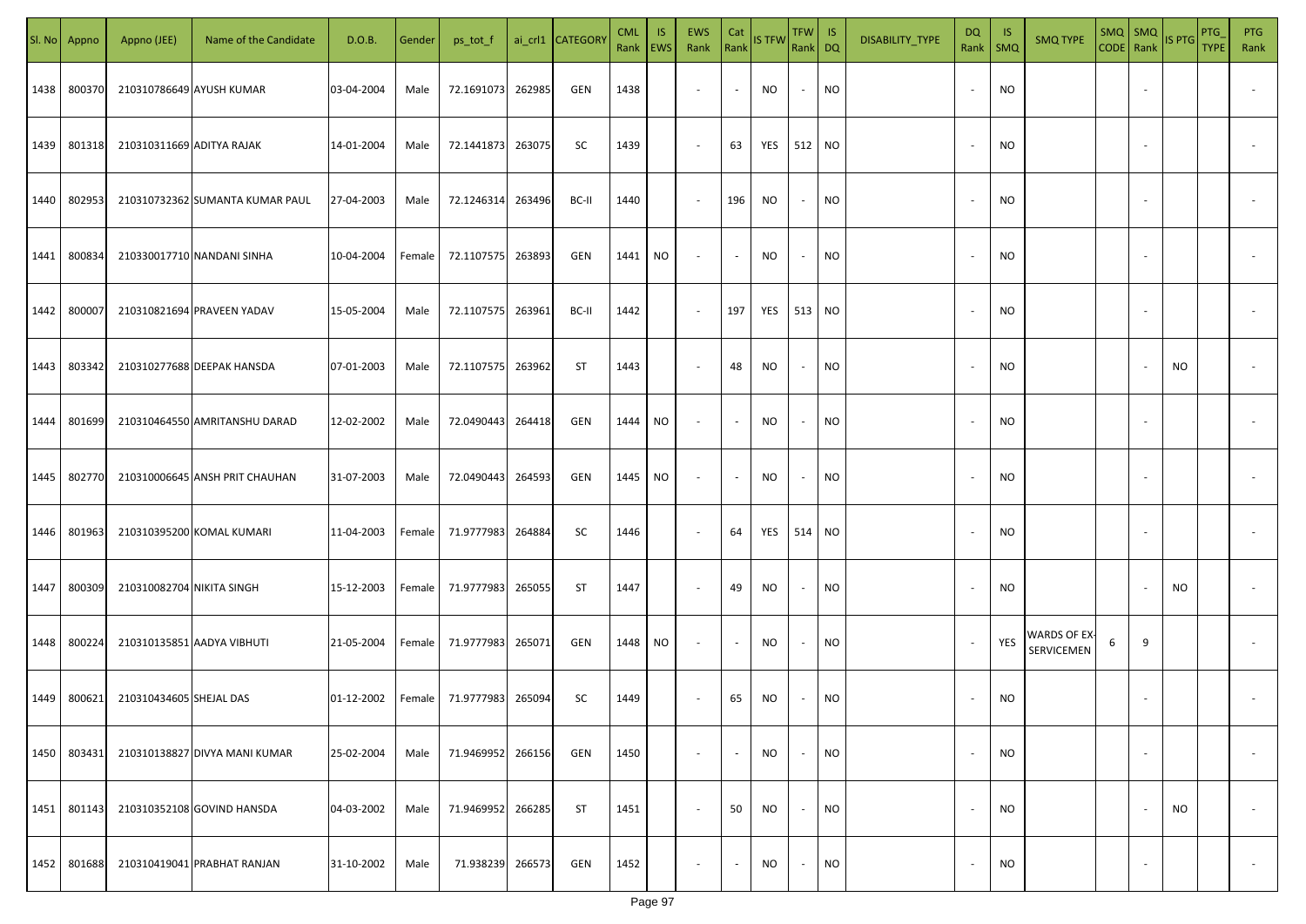| SI. No | Appno  | Appno (JEE)               | Name of the Candidate           | D.O.B.     | Gender | ps_tot_f          |        | ai_crl1 CATEGORY | <b>CML</b><br>Rank EWS | <b>IS</b> | EWS<br>Rank              | Cat<br>Rank              | IS TFW Rank DQ | TFW                      | IS        | DISABILITY_TYPE | DQ<br>Rank   SMQ         | -IS       | <b>SMQ TYPE</b>                        | CODE Rank | $SMQ$ $SMQ$              | IS PTG    | PTG<br><b>TYPE</b> | <b>PTG</b><br>Rank |
|--------|--------|---------------------------|---------------------------------|------------|--------|-------------------|--------|------------------|------------------------|-----------|--------------------------|--------------------------|----------------|--------------------------|-----------|-----------------|--------------------------|-----------|----------------------------------------|-----------|--------------------------|-----------|--------------------|--------------------|
| 1438   | 800370 |                           | 210310786649 AYUSH KUMAR        | 03-04-2004 | Male   | 72.1691073        | 262985 | GEN              | 1438                   |           | $\overline{\phantom{a}}$ | $\sim$                   | NO             | $\overline{\phantom{a}}$ | <b>NO</b> |                 | $\sim$                   | <b>NO</b> |                                        |           |                          |           |                    |                    |
| 1439   | 801318 | 210310311669 ADITYA RAJAK |                                 | 14-01-2004 | Male   | 72.1441873 263075 |        | SC               | 1439                   |           | $\sim$                   | 63                       | YES            | 512 NO                   |           |                 | $\sim$                   | <b>NO</b> |                                        |           |                          |           |                    |                    |
| 1440   | 802953 |                           | 210310732362 SUMANTA KUMAR PAUL | 27-04-2003 | Male   | 72.1246314        | 263496 | BC-II            | 1440                   |           | $\sim$                   | 196                      | <b>NO</b>      | $\sim$                   | <b>NO</b> |                 | $\sim$                   | NO        |                                        |           |                          |           |                    |                    |
| 1441   | 800834 |                           | 210330017710 NANDANI SINHA      | 10-04-2004 | Female | 72.1107575 263893 |        | GEN              | 1441 NO                |           | $\sim$                   | $\overline{\phantom{a}}$ | NO             | $\overline{\phantom{a}}$ | <b>NO</b> |                 | $\sim$                   | <b>NO</b> |                                        |           |                          |           |                    |                    |
| 1442   | 800007 |                           | 210310821694 PRAVEEN YADAV      | 15-05-2004 | Male   | 72.1107575 263961 |        | BC-II            | 1442                   |           | $\sim$                   | 197                      | YES            | 513                      | <b>NO</b> |                 | $\sim$                   | NO.       |                                        |           |                          |           |                    |                    |
| 1443   | 803342 |                           | 210310277688 DEEPAK HANSDA      | 07-01-2003 | Male   | 72.1107575 263962 |        | ST               | 1443                   |           | $\sim$                   | 48                       | <b>NO</b>      | $\overline{\phantom{a}}$ | <b>NO</b> |                 |                          | <b>NO</b> |                                        |           |                          | <b>NO</b> |                    |                    |
| 1444   | 801699 |                           | 210310464550 AMRITANSHU DARAD   | 12-02-2002 | Male   | 72.0490443 264418 |        | GEN              | 1444 NO                |           | $\sim$                   |                          | <b>NO</b>      |                          | <b>NO</b> |                 |                          | <b>NO</b> |                                        |           |                          |           |                    |                    |
| 1445   | 802770 |                           | 210310006645 ANSH PRIT CHAUHAN  | 31-07-2003 | Male   | 72.0490443 264593 |        | GEN              | 1445 NO                |           | $\sim$                   |                          | <b>NO</b>      |                          | NO        |                 |                          | <b>NO</b> |                                        |           |                          |           |                    |                    |
| 1446   | 801963 |                           | 210310395200 KOMAL KUMARI       | 11-04-2003 | Female | 71.9777983        | 264884 | SC               | 1446                   |           | $\sim$                   | 64                       | YES            | 514                      | <b>NO</b> |                 |                          | <b>NO</b> |                                        |           |                          |           |                    |                    |
| 1447   | 800309 | 210310082704 NIKITA SINGH |                                 | 15-12-2003 | Female | 71.9777983 265055 |        | ST               | 1447                   |           | $\sim$                   | 49                       | <b>NO</b>      |                          | <b>NO</b> |                 |                          | <b>NO</b> |                                        |           |                          | <b>NO</b> |                    |                    |
| 1448   | 800224 |                           | 210310135851 AADYA VIBHUTI      | 21-05-2004 | Female | 71.9777983 265071 |        | GEN              | 1448                   | NO        | $\sim$                   | $\overline{\phantom{a}}$ | <b>NO</b>      |                          | <b>NO</b> |                 | $\overline{\phantom{a}}$ | YES       | WARDS OF EX <sub>:</sub><br>SERVICEMEN | 6         | 9                        |           |                    |                    |
| 1449   | 800621 | 210310434605 SHEJAL DAS   |                                 | 01-12-2002 | Female | 71.9777983        | 265094 | SC               | 1449                   |           | $\sim$                   | 65                       | <b>NO</b>      | $\sim$                   | <b>NO</b> |                 | $\sim$                   | <b>NO</b> |                                        |           |                          |           |                    |                    |
| 1450   | 803431 |                           | 210310138827 DIVYA MANI KUMAR   | 25-02-2004 | Male   | 71.9469952        | 266156 | GEN              | 1450                   |           | $\overline{\phantom{a}}$ | $\sim$                   | NO             | $\overline{\phantom{a}}$ | <b>NO</b> |                 | $\sim$                   | <b>NO</b> |                                        |           | $\overline{\phantom{a}}$ |           |                    | $\sim$             |
| 1451   | 801143 |                           | 210310352108 GOVIND HANSDA      | 04-03-2002 | Male   | 71.9469952        | 266285 | <b>ST</b>        | 1451                   |           | $\overline{\phantom{a}}$ | 50                       | NO             | $\overline{\phantom{a}}$ | <b>NO</b> |                 | $\sim$                   | <b>NO</b> |                                        |           |                          | NO        |                    | $\sim$             |
| 1452   | 801688 |                           | 210310419041 PRABHAT RANJAN     | 31-10-2002 | Male   | 71.938239         | 266573 | GEN              | 1452                   |           | $\overline{\phantom{a}}$ | $\overline{\phantom{a}}$ | NO             | $\overline{\phantom{a}}$ | <b>NO</b> |                 | $\sim$                   | <b>NO</b> |                                        |           | $\overline{\phantom{a}}$ |           |                    | $\sim$             |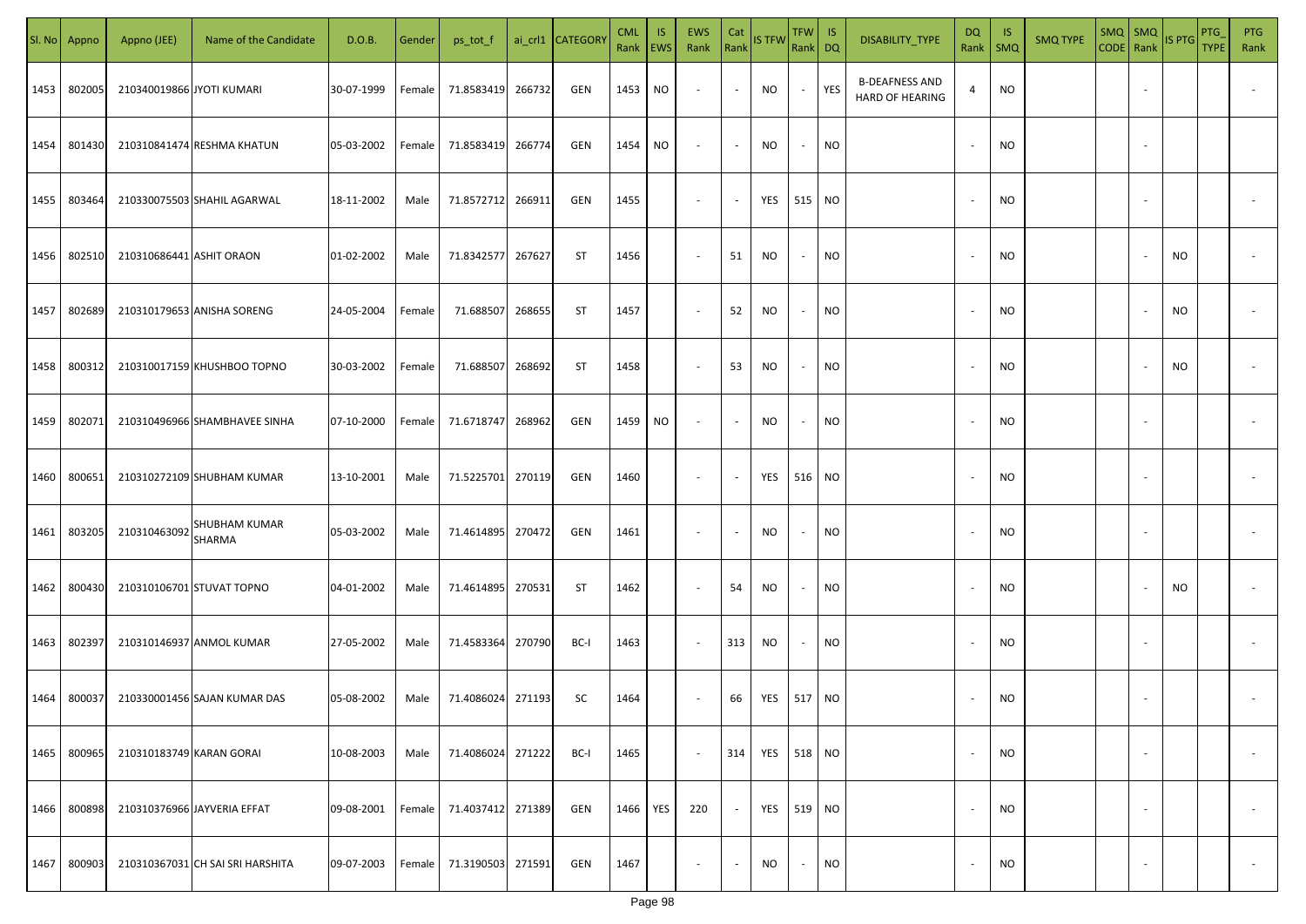| SI. No. | Appno  | Appno (JEE)               | Name of the Candidate            | D.O.B.     | Gender | ps_tot_f   |        | ai_crl1 CATEGOR\ | <b>CML</b><br>Rank EWS | IS. | <b>EWS</b><br>Rank       | Cat<br>Rank              | IS TFW    | TFW IS<br>Rank DQ |           | DISABILITY_TYPE                                 | <b>DQ</b><br>Rank        | -IS<br>SMQ | <b>SMQ TYPE</b> | $SMQ$ $SMQ$<br>CODE Rank |                          | IS PTG | PTG<br><b>TYPE</b> | <b>PTG</b><br>Rank       |
|---------|--------|---------------------------|----------------------------------|------------|--------|------------|--------|------------------|------------------------|-----|--------------------------|--------------------------|-----------|-------------------|-----------|-------------------------------------------------|--------------------------|------------|-----------------|--------------------------|--------------------------|--------|--------------------|--------------------------|
| 1453    | 802005 | 210340019866 JYOTI KUMARI |                                  | 30-07-1999 | Female | 71.8583419 | 266732 | GEN              | 1453                   | NO  | $\sim$                   | $\blacksquare$           | NO        | $\sim$            | YES       | <b>B-DEAFNESS AND</b><br><b>HARD OF HEARING</b> | 4                        | <b>NO</b>  |                 |                          |                          |        |                    |                          |
| 1454    | 801430 |                           | 210310841474 RESHMA KHATUN       | 05-03-2002 | Female | 71.8583419 | 266774 | GEN              | 1454                   | NO  | $\sim$                   | $\sim$                   | NO.       | $\sim$            | <b>NO</b> |                                                 | $\overline{\phantom{a}}$ | <b>NO</b>  |                 |                          |                          |        |                    |                          |
| 1455    | 803464 |                           | 210330075503 SHAHIL AGARWAL      | 18-11-2002 | Male   | 71.8572712 | 266911 | GEN              | 1455                   |     | $\overline{\phantom{a}}$ | $\blacksquare$           | YES       | 515 NO            |           |                                                 |                          | <b>NO</b>  |                 |                          |                          |        |                    |                          |
| 1456    | 802510 | 210310686441 ASHIT ORAON  |                                  | 01-02-2002 | Male   | 71.8342577 | 267627 | ST               | 1456                   |     | $\overline{\phantom{a}}$ | 51                       | NO.       | $\sim$            | NO        |                                                 |                          | <b>NO</b>  |                 |                          |                          | NO.    |                    |                          |
| 1457    | 802689 |                           | 210310179653 ANISHA SORENG       | 24-05-2004 | Female | 71.688507  | 268655 | ST               | 1457                   |     | $\sim$                   | 52                       | NO.       | $\sim$            | NO        |                                                 |                          | <b>NO</b>  |                 |                          |                          | NO.    |                    |                          |
| 1458    | 800312 |                           | 210310017159 KHUSHBOO TOPNO      | 30-03-2002 | Female | 71.688507  | 268692 | <b>ST</b>        | 1458                   |     | $\overline{\phantom{a}}$ | 53                       | <b>NO</b> | $\sim$            | NO.       |                                                 |                          | <b>NO</b>  |                 |                          |                          | NO     |                    |                          |
| 1459    | 802071 |                           | 210310496966 SHAMBHAVEE SINHA    | 07-10-2000 | Female | 71.6718747 | 268962 | GEN              | 1459                   | NO  | $\sim$                   | $\overline{\phantom{a}}$ | NO        | $\sim$            | <b>NO</b> |                                                 |                          | <b>NO</b>  |                 |                          |                          |        |                    |                          |
| 1460    | 800651 |                           | 210310272109 SHUBHAM KUMAR       | 13-10-2001 | Male   | 71.5225701 | 270119 | GEN              | 1460                   |     | $\sim$                   | $\overline{\phantom{a}}$ | YES       | 516 NO            |           |                                                 |                          | <b>NO</b>  |                 |                          |                          |        |                    |                          |
| 1461    | 803205 | 210310463092              | <b>SHUBHAM KUMAR</b><br>SHARMA   | 05-03-2002 | Male   | 71.4614895 | 270472 | GEN              | 1461                   |     | $\sim$                   | $\overline{\phantom{a}}$ | NO.       | $\sim$            | <b>NO</b> |                                                 |                          | <b>NO</b>  |                 |                          |                          |        |                    |                          |
| 1462    | 800430 | 210310106701 STUVAT TOPNO |                                  | 04-01-2002 | Male   | 71.4614895 | 270531 | ST               | 1462                   |     | $\sim$                   | 54                       | NO.       | $\sim$            | <b>NO</b> |                                                 |                          | <b>NO</b>  |                 |                          |                          | NO     |                    |                          |
| 1463    | 802397 |                           | 210310146937 ANMOL KUMAR         | 27-05-2002 | Male   | 71.4583364 | 270790 | BC-I             | 1463                   |     | $\sim$                   | 313                      | NO        | $\sim$            | <b>NO</b> |                                                 |                          | <b>NO</b>  |                 |                          |                          |        |                    |                          |
| 1464    | 800037 |                           | 210330001456 SAJAN KUMAR DAS     | 05-08-2002 | Male   | 71.4086024 | 271193 | SC               | 1464                   |     | $\overline{\phantom{a}}$ | 66                       | YES       | 517 NO            |           |                                                 |                          | <b>NO</b>  |                 |                          |                          |        |                    |                          |
| 1465    | 800965 | 210310183749 KARAN GORAI  |                                  | 10-08-2003 | Male   | 71.4086024 | 271222 | BC-I             | 1465                   |     | $\sim$                   | 314                      | YES       | 518 NO            |           |                                                 | $\overline{\phantom{a}}$ | <b>NO</b>  |                 |                          | $\overline{\phantom{a}}$ |        |                    | $\overline{\phantom{a}}$ |
| 1466    | 800898 |                           | 210310376966 JAYVERIA EFFAT      | 09-08-2001 | Female | 71.4037412 | 271389 | GEN              | 1466                   | YES | 220                      | $\sim$                   | YES       | 519 NO            |           |                                                 | $\overline{\phantom{a}}$ | <b>NO</b>  |                 |                          | $\sim$                   |        |                    | $\overline{\phantom{a}}$ |
| 1467    | 800903 |                           | 210310367031 CH SAI SRI HARSHITA | 09-07-2003 | Female | 71.3190503 | 271591 | GEN              | 1467                   |     | $\overline{\phantom{a}}$ | $\blacksquare$           | NO        | $\sim$            | <b>NO</b> |                                                 |                          | <b>NO</b>  |                 |                          | $\sim$                   |        |                    | $\sim$                   |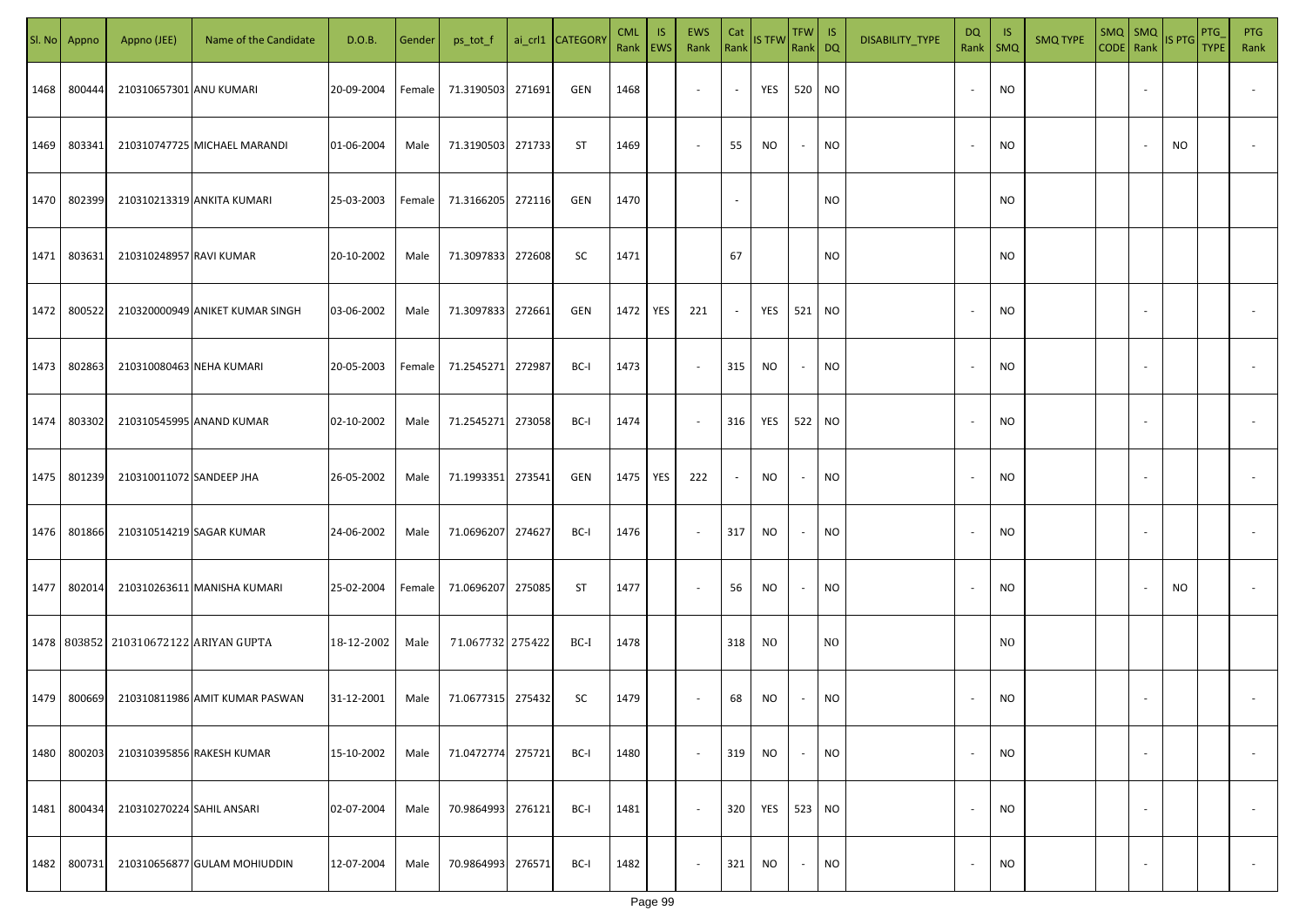|      | Sl. No Appno | Appno (JEE)                           | Name of the Candidate           | D.O.B.     | Gender | ps_tot_f          |        | ai_crl1 CATEGOR\ | <b>CML</b><br>Rank   EWS | IS. | <b>EWS</b><br>Rank | Cat    | Rank IS TFW | $TFW$ IS<br>Rank DQ |                | DISABILITY_TYPE | <b>DQ</b><br>Rank        | - IS<br>SMQ    | <b>SMQ TYPE</b> | $SMQ$ SMQ<br>CODE Rank |                          | IS PTG | PTG<br>TYPE | <b>PTG</b><br>Rank |
|------|--------------|---------------------------------------|---------------------------------|------------|--------|-------------------|--------|------------------|--------------------------|-----|--------------------|--------|-------------|---------------------|----------------|-----------------|--------------------------|----------------|-----------------|------------------------|--------------------------|--------|-------------|--------------------|
| 1468 | 800444       | 210310657301 ANU KUMARI               |                                 | 20-09-2004 | Female | 71.3190503        | 271691 | GEN              | 1468                     |     | $\sim$             | $\sim$ | YES         | 520 NO              |                |                 | $\sim$                   | <b>NO</b>      |                 |                        | $\sim$                   |        |             |                    |
| 1469 | 803341       |                                       | 210310747725 MICHAEL MARANDI    | 01-06-2004 | Male   | 71.3190503        | 271733 | ST               | 1469                     |     | $\sim$             | 55     | NO.         | $\sim$              | NO             |                 | $\sim$                   | NO             |                 |                        |                          | NO     |             |                    |
| 1470 | 802399       |                                       | 210310213319 ANKITA KUMARI      | 25-03-2003 | Female | 71.3166205 272116 |        | GEN              | 1470                     |     |                    | $\sim$ |             |                     | <b>NO</b>      |                 |                          | <b>NO</b>      |                 |                        |                          |        |             |                    |
| 1471 | 803631       | 210310248957 RAVI KUMAR               |                                 | 20-10-2002 | Male   | 71.3097833        | 272608 | SC               | 1471                     |     |                    | 67     |             |                     | NO.            |                 |                          | <b>NO</b>      |                 |                        |                          |        |             |                    |
| 1472 | 800522       |                                       | 210320000949 ANIKET KUMAR SINGH | 03-06-2002 | Male   | 71.3097833        | 272661 | GEN              | 1472                     | YES | 221                | $\sim$ | YES         | 521 NO              |                |                 | $\overline{\phantom{a}}$ | <b>NO</b>      |                 |                        | $\sim$                   |        |             |                    |
| 1473 | 802863       | 210310080463 NEHA KUMARI              |                                 | 20-05-2003 | Female | 71.2545271        | 272987 | BC-I             | 1473                     |     | $\sim$             | 315    | NO          | $\sim$              | NO             |                 |                          | <b>NO</b>      |                 |                        | $\sim$                   |        |             |                    |
| 1474 | 803302       |                                       | 210310545995 ANAND KUMAR        | 02-10-2002 | Male   | 71.2545271        | 273058 | BC-I             | 1474                     |     | $\sim$             | 316    | YES         | 522 NO              |                |                 |                          | <b>NO</b>      |                 |                        | $\overline{\phantom{a}}$ |        |             |                    |
| 1475 | 801239       | 210310011072 SANDEEP JHA              |                                 | 26-05-2002 | Male   | 71.1993351        | 273541 | GEN              | 1475                     | YES | 222                | $\sim$ | NO          | $\sim$              | NO             |                 |                          | <b>NO</b>      |                 |                        | $\sim$                   |        |             |                    |
| 1476 | 801866       |                                       | 210310514219 SAGAR KUMAR        | 24-06-2002 | Male   | 71.0696207        | 274627 | BC-I             | 1476                     |     | $\sim$             | 317    | NO          | $\sim$              | NO             |                 |                          | <b>NO</b>      |                 |                        | $\sim$                   |        |             |                    |
| 1477 | 802014       |                                       | 210310263611 MANISHA KUMARI     | 25-02-2004 | Female | 71.0696207        | 275085 | ST               | 1477                     |     | $\sim$             | 56     | NO.         | $\sim$              | NO             |                 |                          | <b>NO</b>      |                 |                        |                          | NO     |             |                    |
|      |              | 1478 803852 210310672122 ARIYAN GUPTA |                                 | 18-12-2002 | Male   | 71.067732 275422  |        | BC-I             | 1478                     |     |                    | 318    | NO.         |                     | N <sub>O</sub> |                 |                          | N <sub>O</sub> |                 |                        |                          |        |             |                    |
| 1479 | 800669       |                                       | 210310811986 AMIT KUMAR PASWAN  | 31-12-2001 | Male   | 71.0677315 275432 |        | SC               | 1479                     |     | $\sim$             | 68     | NO          | $\sim$              | <b>NO</b>      |                 |                          | <b>NO</b>      |                 |                        |                          |        |             |                    |
| 1480 | 800203       |                                       | 210310395856 RAKESH KUMAR       | 15-10-2002 | Male   | 71.0472774        | 275721 | BC-I             | 1480                     |     | $\sim$             | 319    | <b>NO</b>   | $\sim$              | <b>NO</b>      |                 | $\overline{\phantom{a}}$ | <b>NO</b>      |                 |                        | $\overline{\phantom{a}}$ |        |             | $\sim$             |
| 1481 | 800434       | 210310270224 SAHIL ANSARI             |                                 | 02-07-2004 | Male   | 70.9864993        | 276121 | BC-I             | 1481                     |     | $\sim$             | 320    | YES         | 523 NO              |                |                 | $\overline{\phantom{a}}$ | <b>NO</b>      |                 |                        | $\sim$                   |        |             | $\sim$             |
| 1482 | 800731       |                                       | 210310656877 GULAM MOHIUDDIN    | 12-07-2004 | Male   | 70.9864993        | 276571 | BC-I             | 1482                     |     | $\sim$             | 321    | NO          | $\sim$              | NO             |                 |                          | <b>NO</b>      |                 |                        | $\overline{\phantom{a}}$ |        |             | $\sim$             |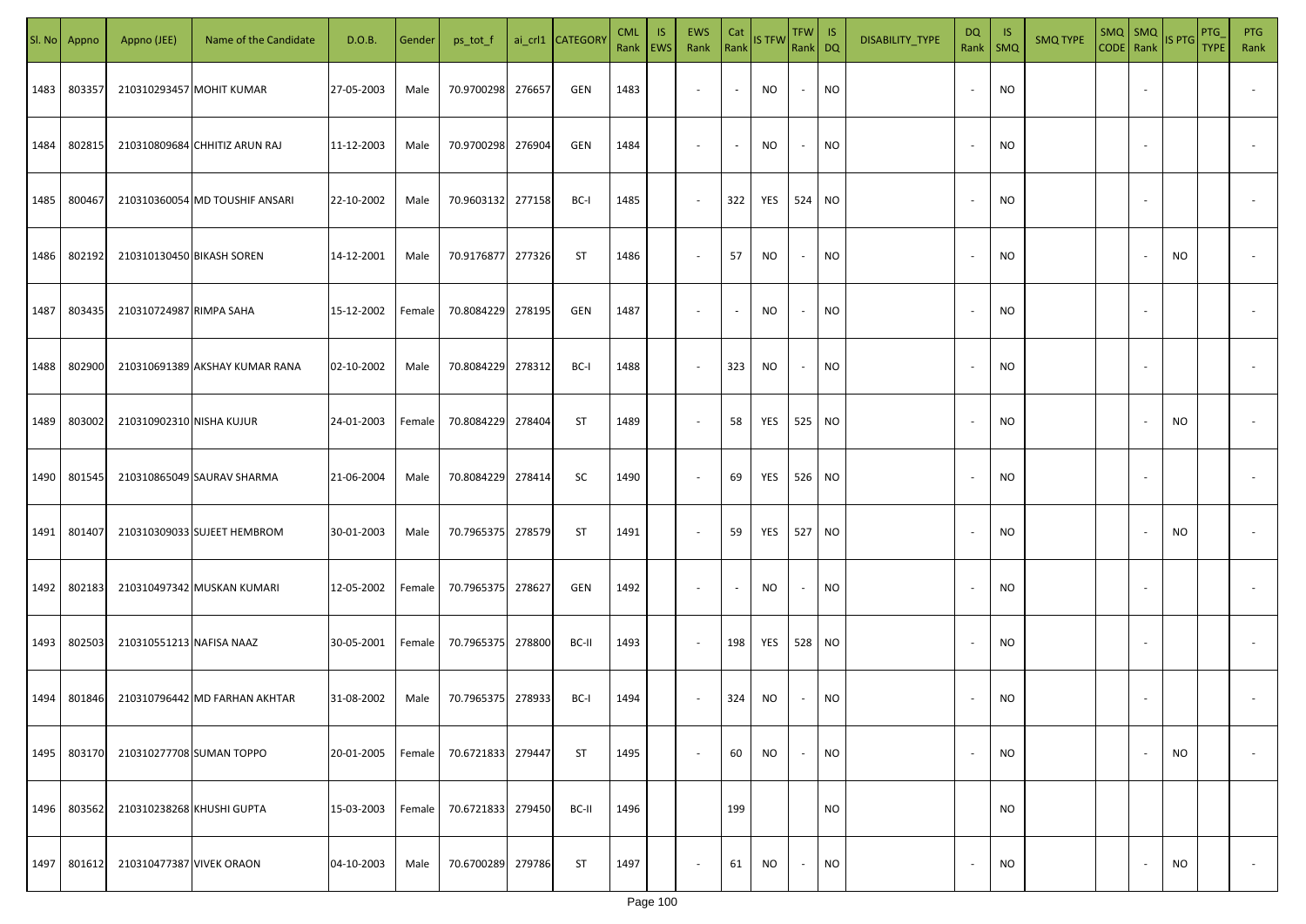| SI. No | Appno  | Appno (JEE)               | Name of the Candidate          | D.O.B.     | Gender | ps_tot_f          |        | ai_crl1 CATEGORY | <b>CML</b><br>Rank EWS | <b>IS</b> | EWS<br>Rank              | Cat<br>Rank              | IS TFW    | <b>TFW</b><br>Rank DQ    | IS        | DISABILITY_TYPE | <b>DQ</b><br>Rank        | -IS<br>$\mathsf{SMQ}$ | <b>SMQ TYPE</b> | $SMQ$ SMQ<br>CODE Rank | IS PTG    | PTG<br><b>TYPE</b> | <b>PTG</b><br>Rank       |
|--------|--------|---------------------------|--------------------------------|------------|--------|-------------------|--------|------------------|------------------------|-----------|--------------------------|--------------------------|-----------|--------------------------|-----------|-----------------|--------------------------|-----------------------|-----------------|------------------------|-----------|--------------------|--------------------------|
| 1483   | 803357 |                           | 210310293457 MOHIT KUMAR       | 27-05-2003 | Male   | 70.9700298        | 276657 | GEN              | 1483                   |           | $\blacksquare$           | $\sim$                   | <b>NO</b> | $\overline{\phantom{a}}$ | <b>NO</b> |                 | $\sim$                   | NO                    |                 |                        |           |                    |                          |
| 1484   | 802815 |                           | 210310809684 CHHITIZ ARUN RAJ  | 11-12-2003 | Male   | 70.9700298 276904 |        | GEN              | 1484                   |           | $\sim$                   | $\sim$                   | <b>NO</b> | $\sim$                   | <b>NO</b> |                 | $\sim$                   | <b>NO</b>             |                 |                        |           |                    |                          |
| 1485   | 800467 |                           | 210310360054 MD TOUSHIF ANSARI | 22-10-2002 | Male   | 70.9603132 277158 |        | BC-I             | 1485                   |           | $\sim$                   | 322                      | YES       | 524                      | <b>NO</b> |                 | $\sim$                   | <b>NO</b>             |                 |                        |           |                    |                          |
| 1486   | 802192 | 210310130450 BIKASH SOREN |                                | 14-12-2001 | Male   | 70.9176877 277326 |        | <b>ST</b>        | 1486                   |           | $\sim$                   | 57                       | <b>NO</b> | $\sim$                   | <b>NO</b> |                 | $\overline{\phantom{a}}$ | NO                    |                 |                        | NO        |                    |                          |
| 1487   | 803435 | 210310724987 RIMPA SAHA   |                                | 15-12-2002 | Female | 70.8084229 278195 |        | GEN              | 1487                   |           | $\overline{\phantom{a}}$ | $\sim$                   | NO        | $\overline{\phantom{a}}$ | <b>NO</b> |                 | $\overline{\phantom{a}}$ | <b>NO</b>             |                 |                        |           |                    |                          |
| 1488   | 802900 |                           | 210310691389 AKSHAY KUMAR RANA | 02-10-2002 | Male   | 70.8084229        | 278312 | BC-I             | 1488                   |           | $\overline{\phantom{a}}$ | 323                      | <b>NO</b> | $\overline{\phantom{a}}$ | NO.       |                 |                          | NO                    |                 |                        |           |                    |                          |
| 1489   | 803002 | 210310902310 NISHA KUJUR  |                                | 24-01-2003 | Female | 70.8084229        | 278404 | <b>ST</b>        | 1489                   |           | $\overline{\phantom{a}}$ | 58                       | YES       | 525                      | <b>NO</b> |                 |                          | <b>NO</b>             |                 |                        | <b>NO</b> |                    |                          |
| 1490   | 801545 |                           | 210310865049 SAURAV SHARMA     | 21-06-2004 | Male   | 70.8084229        | 278414 | SC               | 1490                   |           | $\overline{\phantom{a}}$ | 69                       | YES       | 526                      | <b>NO</b> |                 |                          | <b>NO</b>             |                 |                        |           |                    |                          |
| 1491   | 801407 |                           | 210310309033 SUJEET HEMBROM    | 30-01-2003 | Male   | 70.7965375        | 278579 | ST               | 1491                   |           | $\sim$                   | 59                       | YES       | 527                      | <b>NO</b> |                 |                          | <b>NO</b>             |                 |                        | <b>NO</b> |                    |                          |
| 1492   | 802183 |                           | 210310497342 MUSKAN KUMARI     | 12-05-2002 | Female | 70.7965375        | 278627 | GEN              | 1492                   |           | $\sim$                   | $\overline{\phantom{a}}$ | <b>NO</b> |                          | NO.       |                 |                          | <b>NO</b>             |                 |                        |           |                    |                          |
| 1493   | 802503 | 210310551213 NAFISA NAAZ  |                                | 30-05-2001 | Female | 70.7965375 278800 |        | BC-II            | 1493                   |           | $\sim$                   | 198                      | YES       | 528                      | <b>NO</b> |                 |                          | <b>NO</b>             |                 |                        |           |                    |                          |
| 1494   | 801846 |                           | 210310796442 MD FARHAN AKHTAR  | 31-08-2002 | Male   | 70.7965375 278933 |        | BC-I             | 1494                   |           | $\sim$                   | 324                      | <b>NO</b> |                          | <b>NO</b> |                 |                          | <b>NO</b>             |                 |                        |           |                    |                          |
| 1495   | 803170 |                           | 210310277708 SUMAN TOPPO       | 20-01-2005 | Female | 70.6721833        | 279447 | ST               | 1495                   |           | $\sim$                   | 60                       | <b>NO</b> | $\overline{\phantom{a}}$ | <b>NO</b> |                 | $\sim$                   | <b>NO</b>             |                 |                        | <b>NO</b> |                    | $\overline{\phantom{a}}$ |
| 1496   | 803562 |                           | 210310238268 KHUSHI GUPTA      | 15-03-2003 | Female | 70.6721833 279450 |        | BC-II            | 1496                   |           |                          | 199                      |           |                          | <b>NO</b> |                 |                          | <b>NO</b>             |                 |                        |           |                    |                          |
| 1497   | 801612 | 210310477387 VIVEK ORAON  |                                | 04-10-2003 | Male   | 70.6700289        | 279786 | ST               | 1497                   |           | $\overline{\phantom{a}}$ | 61                       | NO.       | $\overline{\phantom{a}}$ | <b>NO</b> |                 |                          | <b>NO</b>             |                 |                        | <b>NO</b> |                    | $\sim$                   |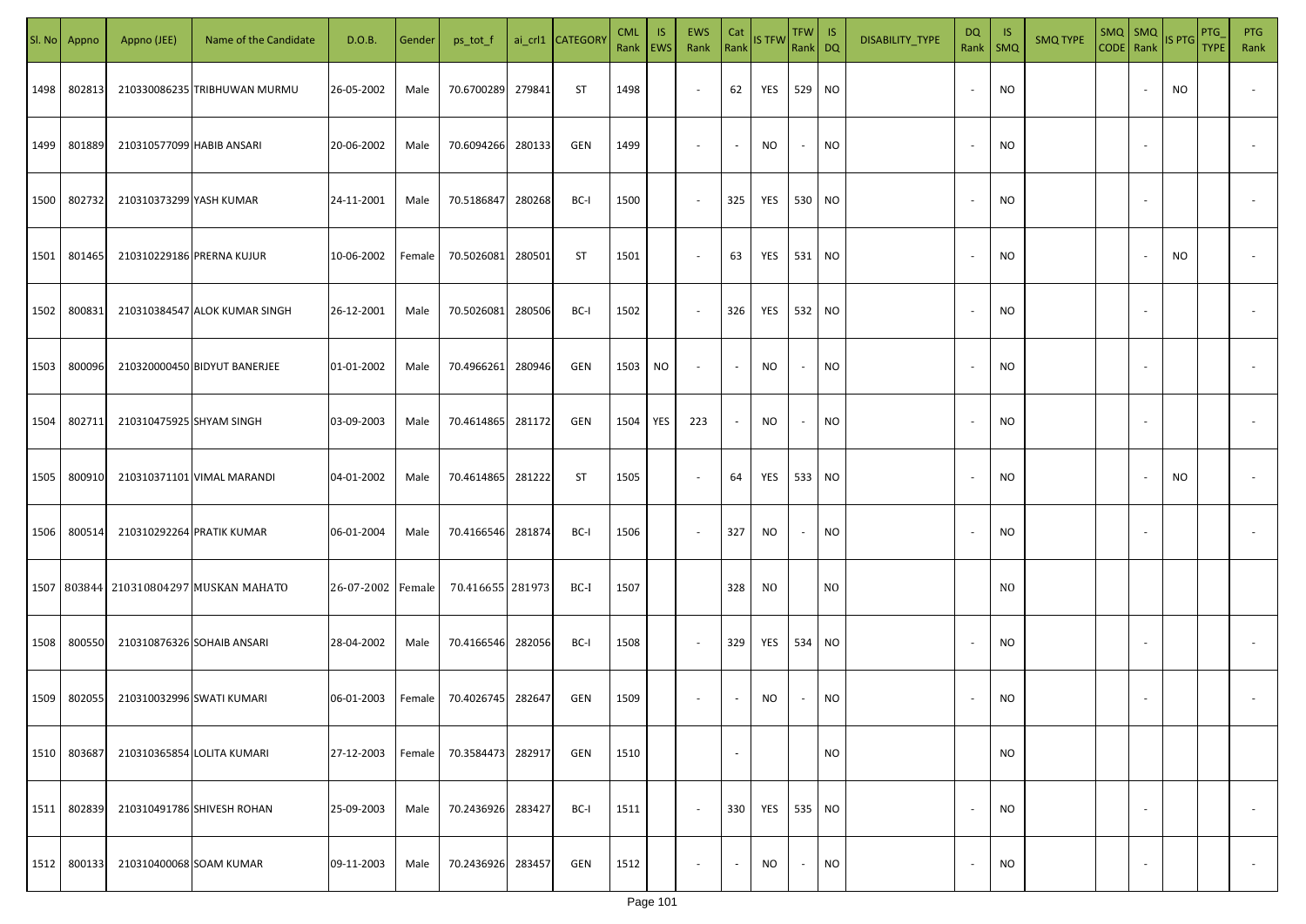| SI. No | Appno       | Appno (JEE)               | Name of the Candidate         | D.O.B.            | Gender | ps_tot_f         |        | ai_crl1 CATEGORY | <b>CML</b><br>Rank   EWS | IS. | <b>EWS</b><br>Rank       | Cat<br>Rank    | <b>IS TFW</b> | $TFW$ IS<br>Rank DQ |                | DISABILITY_TYPE | DQ                       | - IS<br>Rank   SMQ | <b>SMQ TYPE</b> | SMQ SMQ<br>CODE Rank IS PTG |                          |    | PTG<br><b>TYPE</b> | <b>PTG</b><br>Rank       |
|--------|-------------|---------------------------|-------------------------------|-------------------|--------|------------------|--------|------------------|--------------------------|-----|--------------------------|----------------|---------------|---------------------|----------------|-----------------|--------------------------|--------------------|-----------------|-----------------------------|--------------------------|----|--------------------|--------------------------|
| 1498   | 802813      |                           | 210330086235 TRIBHUWAN MURMU  | 26-05-2002        | Male   | 70.6700289       | 279841 | ST               | 1498                     |     | $\sim$                   | 62             | YES           | 529 NO              |                |                 |                          | <b>NO</b>          |                 |                             |                          | NO |                    |                          |
| 1499   | 801889      | 210310577099 HABIB ANSARI |                               | 20-06-2002        | Male   | 70.6094266       | 280133 | GEN              | 1499                     |     | $\sim$                   | $\blacksquare$ | NO            | $\sim$              | <b>NO</b>      |                 |                          | <b>NO</b>          |                 |                             |                          |    |                    |                          |
| 1500   | 802732      | 210310373299 YASH KUMAR   |                               | 24-11-2001        | Male   | 70.5186847       | 280268 | BC-I             | 1500                     |     | $\sim$                   | 325            | YES           | 530 NO              |                |                 |                          | <b>NO</b>          |                 |                             |                          |    |                    |                          |
| 1501   | 801465      |                           | 210310229186 PRERNA KUJUR     | 10-06-2002        | Female | 70.5026081       | 280501 | ST               | 1501                     |     | $\overline{\phantom{a}}$ | 63             | YES           | 531 NO              |                |                 | $\sim$                   | <b>NO</b>          |                 |                             |                          | NO |                    |                          |
| 1502   | 800831      |                           | 210310384547 ALOK KUMAR SINGH | 26-12-2001        | Male   | 70.5026081       | 280506 | BC-I             | 1502                     |     | $\sim$                   | 326            | YES           | 532 NO              |                |                 | $\sim$                   | <b>NO</b>          |                 |                             |                          |    |                    |                          |
| 1503   | 800096      |                           | 210320000450 BIDYUT BANERJEE  | 01-01-2002        | Male   | 70.4966261       | 280946 | GEN              | 1503                     | NO  | $\sim$                   | $\blacksquare$ | NO            | $\sim$              | <b>NO</b>      |                 |                          | <b>NO</b>          |                 |                             |                          |    |                    |                          |
| 1504   | 802711      | 210310475925 SHYAM SINGH  |                               | 03-09-2003        | Male   | 70.4614865       | 281172 | GEN              | 1504                     | YES | 223                      | $\sim$         | NO.           | $\sim$              | <b>NO</b>      |                 |                          | <b>NO</b>          |                 |                             |                          |    |                    |                          |
| 1505   | 800910      |                           | 210310371101 VIMAL MARANDI    | 04-01-2002        | Male   | 70.4614865       | 281222 | ST               | 1505                     |     | $\overline{\phantom{a}}$ | 64             | YES           | 533 NO              |                |                 |                          | <b>NO</b>          |                 |                             |                          | NO |                    |                          |
| 1506   | 800514      |                           | 210310292264 PRATIK KUMAR     | 06-01-2004        | Male   | 70.4166546       | 281874 | BC-I             | 1506                     |     | $\sim$                   | 327            | NO            | $\sim$              | <b>NO</b>      |                 |                          | <b>NO</b>          |                 |                             |                          |    |                    |                          |
|        | 1507 803844 |                           | 210310804297 MUSKAN MAHATO    | 26-07-2002 Female |        | 70.416655 281973 |        | BC-I             | 1507                     |     |                          | 328            | NO.           |                     | N <sub>0</sub> |                 |                          | N <sub>0</sub>     |                 |                             |                          |    |                    |                          |
| 1508   | 800550      |                           | 210310876326 SOHAIB ANSARI    | 28-04-2002        | Male   | 70.4166546       | 282056 | BC-I             | 1508                     |     | $\sim$                   | 329            | YES           | 534 NO              |                |                 |                          | <b>NO</b>          |                 |                             |                          |    |                    |                          |
| 1509   | 802055      |                           | 210310032996 SWATI KUMARI     | 06-01-2003        | Female | 70.4026745       | 282647 | GEN              | 1509                     |     | $\sim$                   | $\sim$         | NO.           | $\sim$              | <b>NO</b>      |                 |                          | <b>NO</b>          |                 |                             |                          |    |                    |                          |
| 1510   | 803687      |                           | 210310365854 LOLITA KUMARI    | 27-12-2003        | Female | 70.3584473       | 282917 | GEN              | 1510                     |     |                          | $\blacksquare$ |               |                     | <b>NO</b>      |                 |                          | <b>NO</b>          |                 |                             |                          |    |                    |                          |
| 1511   | 802839      |                           | 210310491786 SHIVESH ROHAN    | 25-09-2003        | Male   | 70.2436926       | 283427 | BC-I             | 1511                     |     | $\sim$                   | 330            | YES           | 535 NO              |                |                 | $\overline{\phantom{a}}$ | <b>NO</b>          |                 |                             | $\overline{\phantom{a}}$ |    |                    | $\overline{\phantom{a}}$ |
| 1512   | 800133      | 210310400068 SOAM KUMAR   |                               | 09-11-2003        | Male   | 70.2436926       | 283457 | GEN              | 1512                     |     | $\overline{\phantom{a}}$ | $\blacksquare$ | <b>NO</b>     | $\sim$              | <b>NO</b>      |                 |                          | <b>NO</b>          |                 |                             | $\overline{\phantom{a}}$ |    |                    | $\overline{\phantom{a}}$ |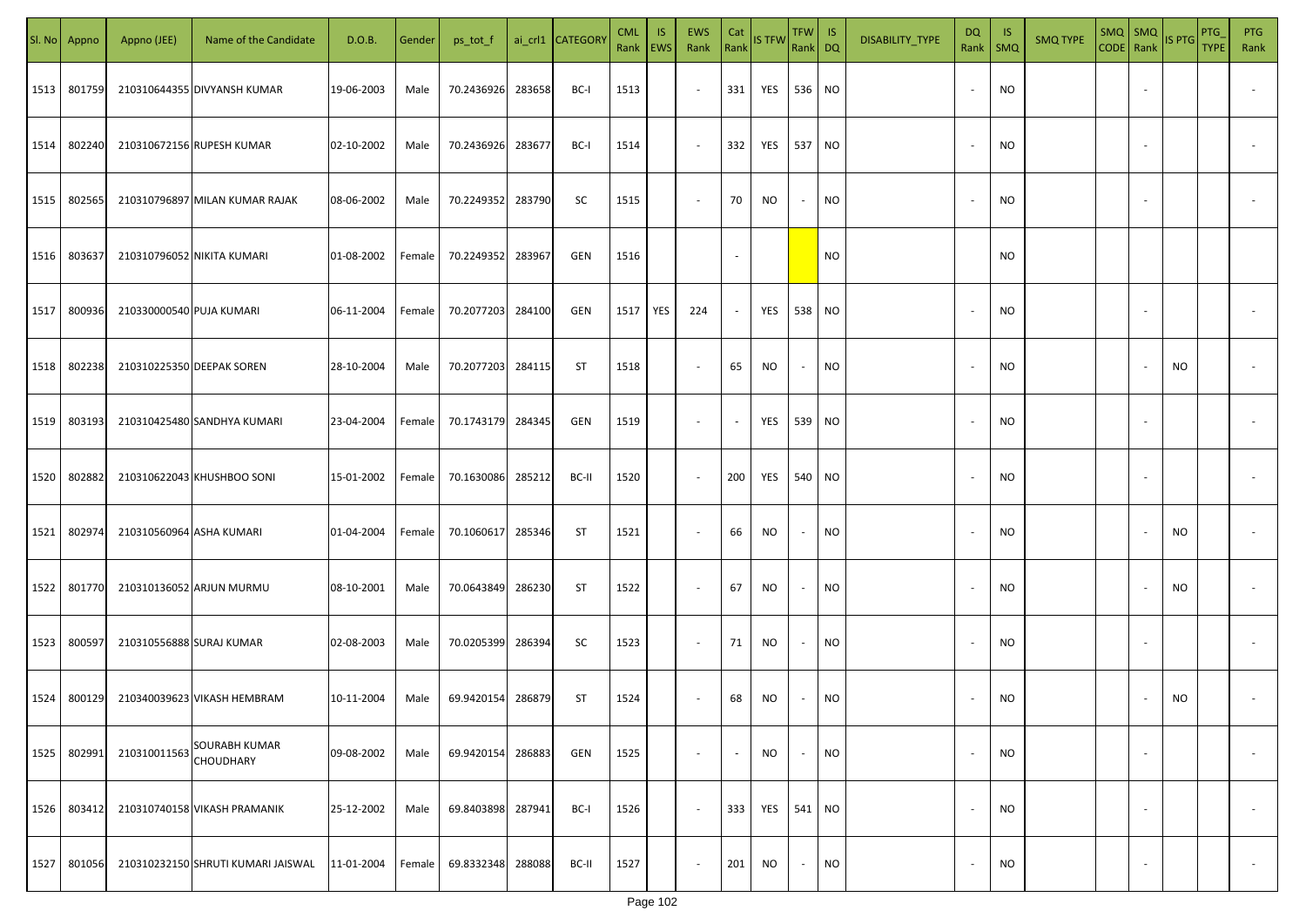|      | Sl. No Appno | Appno (JEE)              | Name of the Candidate                    | D.O.B.     | Gender | ps_tot_f          |        | ai_crl1 CATEGORY | <b>CML</b><br>Rank   EWS | IS. | EWS<br>Rank              | Cat<br>Rank              | <b>IS TFW</b>     | $TFW$ IS<br>Rank DQ      |           | DISABILITY_TYPE | <b>DQ</b><br>Rank | - IS<br>$\mathsf{SMQ}$ | <b>SMQ TYPE</b> | CODE Rank | SMQ   SMQ                | IS PTG    | PTG<br><b>TYPE</b> | <b>PTG</b><br>Rank       |
|------|--------------|--------------------------|------------------------------------------|------------|--------|-------------------|--------|------------------|--------------------------|-----|--------------------------|--------------------------|-------------------|--------------------------|-----------|-----------------|-------------------|------------------------|-----------------|-----------|--------------------------|-----------|--------------------|--------------------------|
| 1513 | 801759       |                          | 210310644355 DIVYANSH KUMAR              | 19-06-2003 | Male   | 70.2436926        | 283658 | BC-I             | 1513                     |     | $\overline{\phantom{a}}$ | 331                      | <b>YES</b> 536 NO |                          |           |                 |                   | <b>NO</b>              |                 |           | $\overline{\phantom{a}}$ |           |                    |                          |
| 1514 | 802240       |                          | 210310672156 RUPESH KUMAR                | 02-10-2002 | Male   | 70.2436926        | 283677 | BC-I             | 1514                     |     | $\overline{\phantom{a}}$ | 332                      | <b>YES</b> 537 NO |                          |           |                 |                   | <b>NO</b>              |                 |           | $\sim$                   |           |                    |                          |
| 1515 | 802565       |                          | 210310796897 MILAN KUMAR RAJAK           | 08-06-2002 | Male   | 70.2249352        | 283790 | SC               | 1515                     |     | $\sim$                   | 70                       | <b>NO</b>         | $\overline{\phantom{a}}$ | <b>NO</b> |                 |                   | <b>NO</b>              |                 |           |                          |           |                    |                          |
| 1516 | 803637       |                          | 210310796052 NIKITA KUMARI               | 01-08-2002 | Female | 70.2249352        | 283967 | GEN              | 1516                     |     |                          |                          |                   |                          | <b>NO</b> |                 |                   | <b>NO</b>              |                 |           |                          |           |                    |                          |
| 1517 | 800936       | 210330000540 PUJA KUMARI |                                          | 06-11-2004 | Female | 70.2077203        | 284100 | GEN              | 1517                     | YES | 224                      | $\sim$                   | YES               | 538 NO                   |           |                 |                   | <b>NO</b>              |                 |           |                          |           |                    |                          |
| 1518 | 802238       |                          | 210310225350 DEEPAK SOREN                | 28-10-2004 | Male   | 70.2077203 284115 |        | ST               | 1518                     |     | $\overline{\phantom{a}}$ | 65                       | <b>NO</b>         | $\overline{\phantom{a}}$ | NO        |                 |                   | <b>NO</b>              |                 |           |                          | NO.       |                    |                          |
| 1519 | 803193       |                          | 210310425480 SANDHYA KUMARI              | 23-04-2004 | Female | 70.1743179        | 284345 | GEN              | 1519                     |     | $\overline{\phantom{a}}$ | $\overline{\phantom{a}}$ | YES               | 539 NO                   |           |                 |                   | <b>NO</b>              |                 |           |                          |           |                    |                          |
| 1520 | 802882       |                          | 210310622043 KHUSHBOO SONI               | 15-01-2002 | Female | 70.1630086        | 285212 | BC-II            | 1520                     |     | $\overline{\phantom{a}}$ | 200                      | YES               | 540                      | <b>NO</b> |                 |                   | <b>NO</b>              |                 |           |                          |           |                    |                          |
| 1521 | 802974       | 210310560964 ASHA KUMARI |                                          | 01-04-2004 | Female | 70.1060617        | 285346 | ST               | 1521                     |     | $\overline{\phantom{a}}$ | 66                       | NO.               | $\overline{\phantom{a}}$ | <b>NO</b> |                 |                   | NO.                    |                 |           |                          | NO        |                    |                          |
| 1522 | 801770       |                          | 210310136052 ARJUN MURMU                 | 08-10-2001 | Male   | 70.0643849        | 286230 | ST               | 1522                     |     | $\overline{\phantom{a}}$ | 67                       | <b>NO</b>         |                          | <b>NO</b> |                 |                   | <b>NO</b>              |                 |           |                          | <b>NO</b> |                    |                          |
| 1523 | 800597       | 210310556888 SURAJ KUMAR |                                          | 02-08-2003 | Male   | 70.0205399        | 286394 | SC               | 1523                     |     | $\sim$                   | 71                       | <b>NO</b>         |                          | NO.       |                 |                   | NO                     |                 |           |                          |           |                    |                          |
| 1524 | 800129       |                          | 210340039623 VIKASH HEMBRAM              | 10-11-2004 | Male   | 69.9420154 286879 |        | ST               | 1524                     |     | $\sim$                   | 68                       | NO                |                          | <b>NO</b> |                 |                   | <b>NO</b>              |                 |           |                          | NO.       |                    |                          |
| 1525 | 802991       | 210310011563             | <b>SOURABH KUMAR</b><br><b>CHOUDHARY</b> | 09-08-2002 | Male   | 69.9420154        | 286883 | GEN              | 1525                     |     | $\overline{\phantom{a}}$ | $\overline{\phantom{a}}$ | <b>NO</b>         | $\overline{\phantom{a}}$ | <b>NO</b> |                 | $\sim$            | <b>NO</b>              |                 |           | $\overline{\phantom{a}}$ |           |                    | $\overline{\phantom{a}}$ |
| 1526 | 803412       |                          | 210310740158 VIKASH PRAMANIK             | 25-12-2002 | Male   | 69.8403898        | 287941 | BC-I             | 1526                     |     | $\sim$                   | 333                      | YES               | 541 NO                   |           |                 | $\sim$            | <b>NO</b>              |                 |           | $\overline{\phantom{a}}$ |           |                    | $\overline{\phantom{a}}$ |
| 1527 | 801056       |                          | 210310232150 SHRUTI KUMARI JAISWAL       | 11-01-2004 | Female | 69.8332348        | 288088 | BC-II            | 1527                     |     | $\overline{\phantom{a}}$ | 201                      | NO                | $\overline{\phantom{a}}$ | <b>NO</b> |                 |                   | NO                     |                 |           | $\sim$                   |           |                    | $\sim$                   |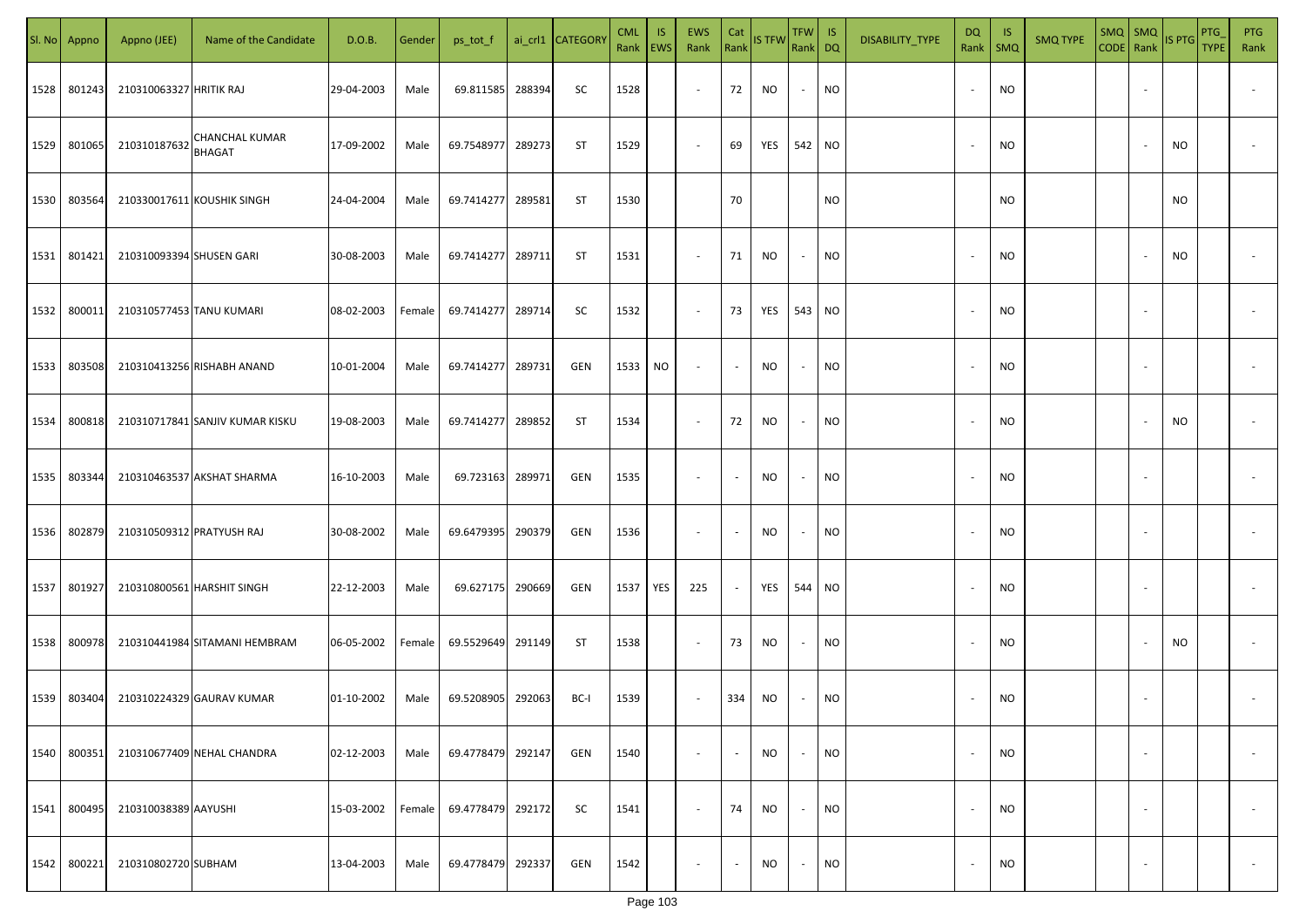| SI. No. | Appno  | Appno (JEE)               | Name of the Candidate                  | D.O.B.     | Gender | ps_tot_f   |        | ai_crl1 CATEGORY | <b>CML</b><br>Rank   EWS | IS. | EWS<br>Rank              | Cat<br>Rank              | <b>IS TFW</b> | $TFW$ IS<br>Rank DQ      |           | DISABILITY_TYPE | DQ                       | -IS<br>Rank   SMQ | <b>SMQ TYPE</b> |                          | SMQ SMQ<br>CODE Rank IS PTG | PTG<br><b>TYPE</b> | <b>PTG</b><br>Rank       |
|---------|--------|---------------------------|----------------------------------------|------------|--------|------------|--------|------------------|--------------------------|-----|--------------------------|--------------------------|---------------|--------------------------|-----------|-----------------|--------------------------|-------------------|-----------------|--------------------------|-----------------------------|--------------------|--------------------------|
| 1528    | 801243 | 210310063327 HRITIK RAJ   |                                        | 29-04-2003 | Male   | 69.811585  | 288394 | SC               | 1528                     |     | $\overline{\phantom{a}}$ | 72                       | NO            | $\overline{\phantom{a}}$ | <b>NO</b> |                 |                          | <b>NO</b>         |                 |                          |                             |                    |                          |
| 1529    | 801065 | 210310187632              | <b>CHANCHAL KUMAR</b><br><b>BHAGAT</b> | 17-09-2002 | Male   | 69.7548977 | 289273 | ST               | 1529                     |     | $\overline{\phantom{a}}$ | 69                       | YES           | 542 NO                   |           |                 |                          | <b>NO</b>         |                 |                          | NO                          |                    |                          |
| 1530    | 803564 |                           | 210330017611 KOUSHIK SINGH             | 24-04-2004 | Male   | 69.7414277 | 289581 | ST               | 1530                     |     |                          | 70                       |               |                          | <b>NO</b> |                 |                          | <b>NO</b>         |                 |                          | NO.                         |                    |                          |
| 1531    | 801421 | 210310093394 SHUSEN GARI  |                                        | 30-08-2003 | Male   | 69.7414277 | 289711 | ST               | 1531                     |     | $\overline{\phantom{a}}$ | 71                       | NO            | $\overline{\phantom{a}}$ | <b>NO</b> |                 |                          | <b>NO</b>         |                 |                          | NO                          |                    |                          |
| 1532    | 800011 | 210310577453 TANU KUMARI  |                                        | 08-02-2003 | Female | 69.7414277 | 289714 | SC               | 1532                     |     | $\overline{\phantom{a}}$ | 73                       | YES           | 543 NO                   |           |                 | $\sim$                   | NO                |                 |                          |                             |                    |                          |
| 1533    | 803508 |                           | 210310413256 RISHABH ANAND             | 10-01-2004 | Male   | 69.7414277 | 289731 | GEN              | 1533                     | NO  | $\overline{\phantom{a}}$ | $\sim$                   | NO            | $\overline{\phantom{a}}$ | <b>NO</b> |                 |                          | <b>NO</b>         |                 |                          |                             |                    |                          |
| 1534    | 800818 |                           | 210310717841 SANJIV KUMAR KISKU        | 19-08-2003 | Male   | 69.7414277 | 289852 | ST               | 1534                     |     | $\overline{\phantom{a}}$ | 72                       | <b>NO</b>     | $\sim$                   | <b>NO</b> |                 |                          | <b>NO</b>         |                 |                          | NO                          |                    |                          |
| 1535    | 803344 |                           | 210310463537 AKSHAT SHARMA             | 16-10-2003 | Male   | 69.723163  | 289971 | GEN              | 1535                     |     | $\overline{\phantom{a}}$ | $\overline{\phantom{a}}$ | NO            | $\overline{\phantom{a}}$ | <b>NO</b> |                 |                          | <b>NO</b>         |                 |                          |                             |                    |                          |
| 1536    | 802879 | 210310509312 PRATYUSH RAJ |                                        | 30-08-2002 | Male   | 69.6479395 | 290379 | GEN              | 1536                     |     | $\overline{\phantom{a}}$ | $\overline{\phantom{a}}$ | NO            | $\overline{\phantom{a}}$ | <b>NO</b> |                 |                          | <b>NO</b>         |                 |                          |                             |                    |                          |
| 1537    | 801927 |                           | 210310800561 HARSHIT SINGH             | 22-12-2003 | Male   | 69.627175  | 290669 | GEN              | 1537                     | YES | 225                      | $\sim$                   | YES           | 544 NO                   |           |                 |                          | <b>NO</b>         |                 |                          |                             |                    |                          |
| 1538    | 800978 |                           | 210310441984 SITAMANI HEMBRAM          | 06-05-2002 | Female | 69.5529649 | 291149 | ST               | 1538                     |     | $\sim$                   | 73                       | NO            | $\overline{\phantom{a}}$ | <b>NO</b> |                 |                          | <b>NO</b>         |                 |                          | NO                          |                    |                          |
| 1539    | 803404 |                           | 210310224329 GAURAV KUMAR              | 01-10-2002 | Male   | 69.5208905 | 292063 | BC-I             | 1539                     |     | $\overline{\phantom{a}}$ | 334                      | NO            |                          | <b>NO</b> |                 |                          | <b>NO</b>         |                 |                          |                             |                    |                          |
| 1540    | 800351 |                           | 210310677409 NEHAL CHANDRA             | 02-12-2003 | Male   | 69.4778479 | 292147 | GEN              | 1540                     |     | $\overline{\phantom{a}}$ | $\overline{\phantom{a}}$ | <b>NO</b>     | $\overline{\phantom{a}}$ | <b>NO</b> |                 |                          | <b>NO</b>         |                 | $\overline{\phantom{a}}$ |                             |                    | $\overline{\phantom{a}}$ |
| 1541    | 800495 | 210310038389 AAYUSHI      |                                        | 15-03-2002 | Female | 69.4778479 | 292172 | SC               | 1541                     |     | $\overline{\phantom{a}}$ | 74                       | <b>NO</b>     | $\sim$                   | <b>NO</b> |                 | $\overline{\phantom{a}}$ | <b>NO</b>         |                 | $\overline{\phantom{a}}$ |                             |                    | $\overline{\phantom{a}}$ |
| 1542    | 800221 | 210310802720 SUBHAM       |                                        | 13-04-2003 | Male   | 69.4778479 | 292337 | GEN              | 1542                     |     | $\overline{\phantom{a}}$ | $\blacksquare$           | <b>NO</b>     | $\sim$                   | <b>NO</b> |                 |                          | <b>NO</b>         |                 | $\sim$                   |                             |                    | $\overline{\phantom{a}}$ |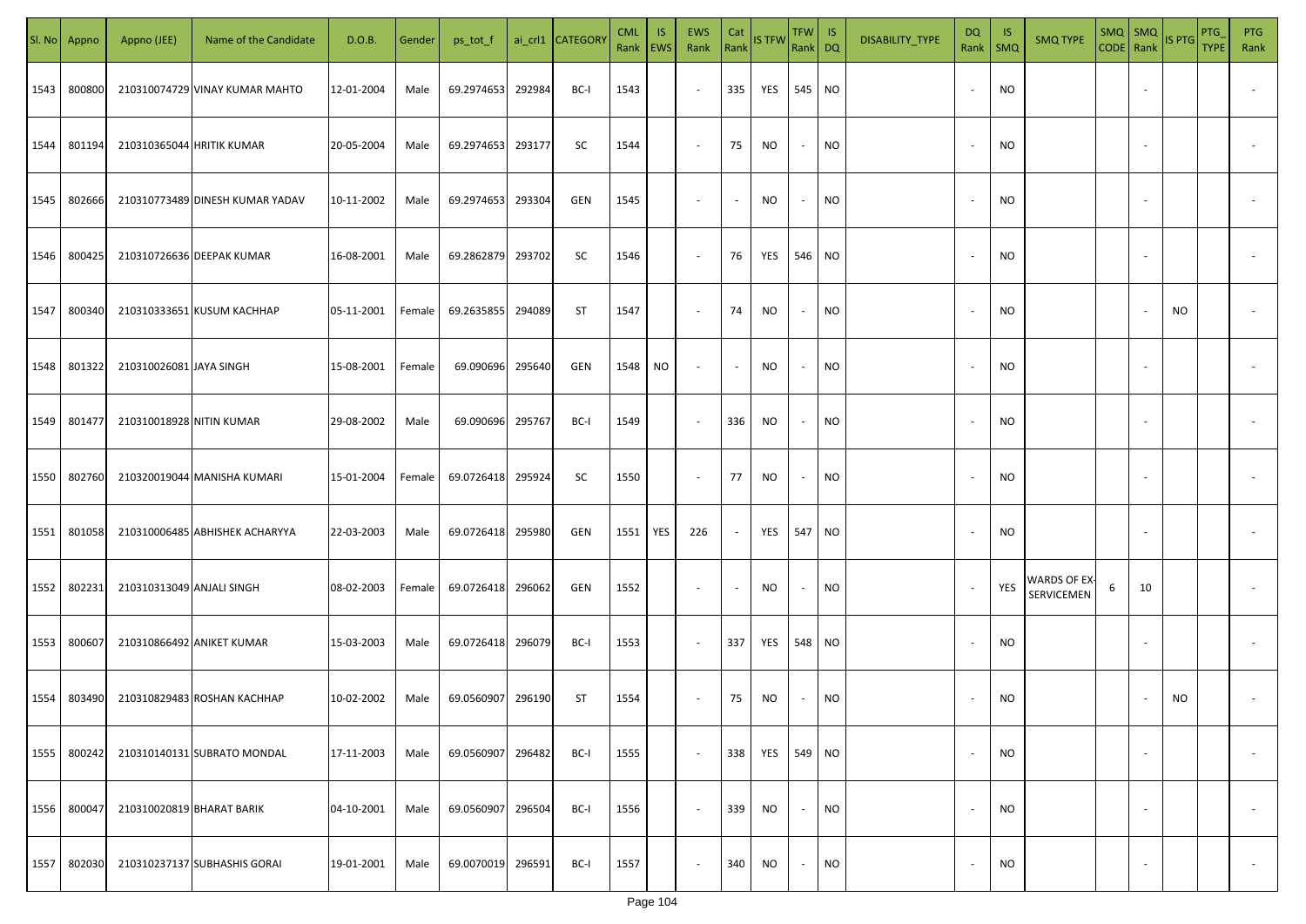|      | Sl. No Appno | Appno (JEE)               | Name of the Candidate           | D.O.B.     | Gender | ps_tot_f          |        | ai_crl1 CATEGORY | <b>CML</b><br>Rank   EWS | <b>IS</b> | EWS<br>Rank              | Cat<br>Rank              | <b>IS TFW</b> | TFW IS<br>Rank DQ |           | DISABILITY_TYPE | DQ<br>Rank               | -IS<br><b>SMQ</b> | <b>SMQ TYPE</b>            | $SMQ$ $SMQ$ |                          | CODE Rank IS PTG | <b>PTG</b><br><b>TYPE</b> | <b>PTG</b><br>Rank       |
|------|--------------|---------------------------|---------------------------------|------------|--------|-------------------|--------|------------------|--------------------------|-----------|--------------------------|--------------------------|---------------|-------------------|-----------|-----------------|--------------------------|-------------------|----------------------------|-------------|--------------------------|------------------|---------------------------|--------------------------|
| 1543 | 800800       |                           | 210310074729 VINAY KUMAR MAHTO  | 12-01-2004 | Male   | 69.2974653        | 292984 | BC-I             | 1543                     |           | $\sim$                   | 335                      | YES           | 545 NO            |           |                 | $\sim$                   | <b>NO</b>         |                            |             |                          |                  |                           |                          |
| 1544 | 801194       | 210310365044 HRITIK KUMAR |                                 | 20-05-2004 | Male   | 69.2974653 293177 |        | SC               | 1544                     |           | $\overline{\phantom{a}}$ | 75                       | NO.           | $\sim$            | NO        |                 | $\overline{\phantom{a}}$ | <b>NO</b>         |                            |             |                          |                  |                           |                          |
| 1545 | 802666       |                           | 210310773489 DINESH KUMAR YADAV | 10-11-2002 | Male   | 69.2974653 293304 |        | GEN              | 1545                     |           | $\sim$                   | $\sim$                   | ΝO            | $\sim$            | NO        |                 | $\overline{\phantom{a}}$ | <b>NO</b>         |                            |             |                          |                  |                           |                          |
| 1546 | 800425       |                           | 210310726636 DEEPAK KUMAR       | 16-08-2001 | Male   | 69.2862879 293702 |        | SC               | 1546                     |           | $\sim$                   | 76                       | YES           | 546 NO            |           |                 | $\sim$                   | <b>NO</b>         |                            |             |                          |                  |                           |                          |
| 1547 | 800340       |                           | 210310333651 KUSUM KACHHAP      | 05-11-2001 | Female | 69.2635855        | 294089 | ST               | 1547                     |           | $\sim$                   | 74                       | NO.           | $\sim$            | <b>NO</b> |                 |                          | <b>NO</b>         |                            |             |                          | NO.              |                           |                          |
| 1548 | 801322       | 210310026081 JAYA SINGH   |                                 | 15-08-2001 | Female | 69.090696 295640  |        | GEN              | 1548                     | NO        | $\overline{\phantom{a}}$ | $\sim$                   | NO.           | $\sim$            | <b>NO</b> |                 |                          | <b>NO</b>         |                            |             |                          |                  |                           |                          |
| 1549 | 801477       | 210310018928 NITIN KUMAR  |                                 | 29-08-2002 | Male   | 69.090696 295767  |        | BC-I             | 1549                     |           | $\sim$                   | 336                      | NO            | $\sim$            | <b>NO</b> |                 |                          | <b>NO</b>         |                            |             |                          |                  |                           |                          |
| 1550 | 802760       |                           | 210320019044 MANISHA KUMARI     | 15-01-2004 | Female | 69.0726418 295924 |        | SC               | 1550                     |           | $\sim$                   | 77                       | NO            | $\sim$            | <b>NO</b> |                 |                          | <b>NO</b>         |                            |             |                          |                  |                           |                          |
| 1551 | 801058       |                           | 210310006485 ABHISHEK ACHARYYA  | 22-03-2003 | Male   | 69.0726418 295980 |        | GEN              | 1551                     | YES       | 226                      | $\sim$                   | YES           | 547 NO            |           |                 |                          | <b>NO</b>         |                            |             |                          |                  |                           |                          |
| 1552 | 802231       | 210310313049 ANJALI SINGH |                                 | 08-02-2003 | Female | 69.0726418 296062 |        | GEN              | 1552                     |           | $\sim$                   | $\overline{\phantom{a}}$ | NO.           | $\sim$            | NO        |                 |                          | YES               | WARDS OF EX-<br>SERVICEMEN | 6           | 10                       |                  |                           |                          |
| 1553 | 800607       |                           | 210310866492 ANIKET KUMAR       | 15-03-2003 | Male   | 69.0726418 296079 |        | BC-I             | 1553                     |           | $\sim$                   | 337                      | YES           | 548 NO            |           |                 |                          | <b>NO</b>         |                            |             |                          |                  |                           |                          |
| 1554 | 803490       |                           | 210310829483 ROSHAN KACHHAP     | 10-02-2002 | Male   | 69.0560907 296190 |        | <b>ST</b>        | 1554                     |           | $\overline{\phantom{a}}$ | 75                       | NO.           | $\sim$            | <b>NO</b> |                 |                          | <b>NO</b>         |                            |             |                          | <b>NO</b>        |                           |                          |
| 1555 | 800242       |                           | 210310140131 SUBRATO MONDAL     | 17-11-2003 | Male   | 69.0560907 296482 |        | BC-I             | 1555                     |           | $\sim$                   | 338                      | YES           | 549 NO            |           |                 | $\sim$                   | <b>NO</b>         |                            |             | $\overline{\phantom{a}}$ |                  |                           | $\overline{\phantom{a}}$ |
| 1556 | 800047       | 210310020819 BHARAT BARIK |                                 | 04-10-2001 | Male   | 69.0560907        | 296504 | BC-I             | 1556                     |           | $\sim$                   | 339                      | NO.           | $\sim$            | <b>NO</b> |                 | $\overline{\phantom{a}}$ | <b>NO</b>         |                            |             | $\sim$                   |                  |                           | $\overline{\phantom{a}}$ |
| 1557 | 802030       |                           | 210310237137 SUBHASHIS GORAI    | 19-01-2001 | Male   | 69.0070019 296591 |        | BC-I             | 1557                     |           | $\sim$                   | 340                      | NO.           | $\sim$            | <b>NO</b> |                 |                          | <b>NO</b>         |                            |             | $\overline{\phantom{a}}$ |                  |                           | $\overline{\phantom{a}}$ |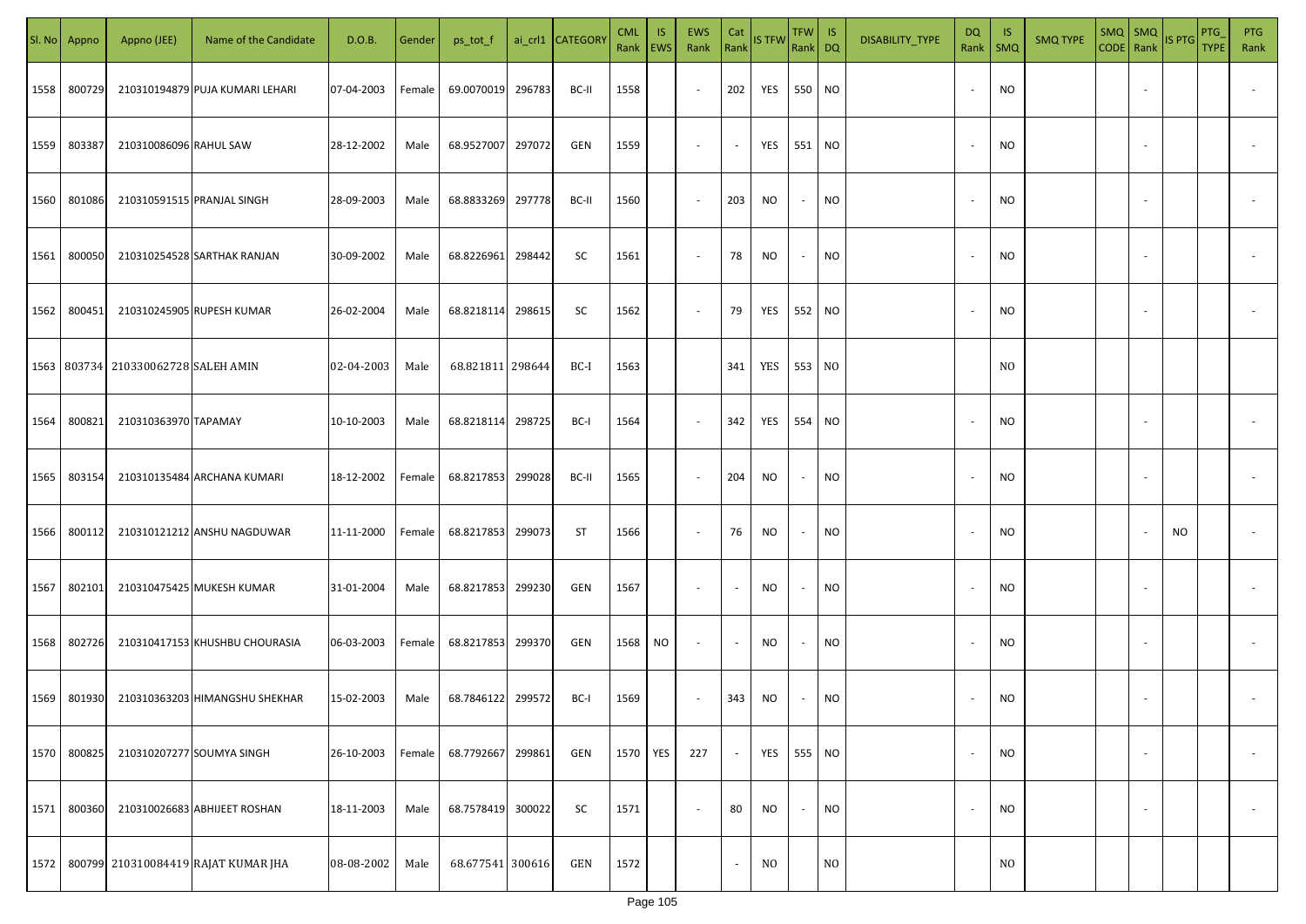|      | Sl. No Appno | Appno (JEE)                               | Name of the Candidate               | D.O.B.     | Gender | ps_tot_f          |        | ai_crl1 CATEGORY | <b>CML</b><br>Rank   EWS | IS. | <b>EWS</b><br>Rank       | Cat<br>Rank | <b>IS TFW</b>  | $TFW$ IS<br>Rank DQ      |                | DISABILITY_TYPE | DQ     | -IS<br>Rank   SMQ | <b>SMQ TYPE</b> |                          | $\begin{array}{ c c c c }\n\hline\n\text{SMQ} & \text{SMQ} \\ \hline\n\text{CODE} & \text{Rank}\n\end{array}$ IS PTG | PTG<br><b>TYPE</b> | <b>PTG</b><br>Rank       |
|------|--------------|-------------------------------------------|-------------------------------------|------------|--------|-------------------|--------|------------------|--------------------------|-----|--------------------------|-------------|----------------|--------------------------|----------------|-----------------|--------|-------------------|-----------------|--------------------------|----------------------------------------------------------------------------------------------------------------------|--------------------|--------------------------|
| 1558 | 800729       |                                           | 210310194879 PUJA KUMARI LEHARI     | 07-04-2003 | Female | 69.0070019        | 296783 | BC-II            | 1558                     |     | $\sim$                   | 202         | YES            | 550 NO                   |                |                 |        | <b>NO</b>         |                 |                          |                                                                                                                      |                    |                          |
| 1559 | 803387       | 210310086096 RAHUL SAW                    |                                     | 28-12-2002 | Male   | 68.9527007        | 297072 | GEN              | 1559                     |     | $\sim$                   | $\sim$      | YES            | 551 NO                   |                |                 |        | <b>NO</b>         |                 |                          |                                                                                                                      |                    |                          |
| 1560 | 801086       |                                           | 210310591515 PRANJAL SINGH          | 28-09-2003 | Male   | 68.8833269        | 297778 | BC-II            | 1560                     |     | $\sim$                   | 203         | NO             | $\sim$                   | <b>NO</b>      |                 |        | <b>NO</b>         |                 |                          |                                                                                                                      |                    |                          |
| 1561 | 800050       |                                           | 210310254528 SARTHAK RANJAN         | 30-09-2002 | Male   | 68.8226961        | 298442 | SC               | 1561                     |     | $\overline{\phantom{a}}$ | 78          | NO             | $\overline{\phantom{a}}$ | <b>NO</b>      |                 |        | <b>NO</b>         |                 |                          |                                                                                                                      |                    |                          |
| 1562 | 800451       |                                           | 210310245905 RUPESH KUMAR           | 26-02-2004 | Male   | 68.8218114        | 298615 | SC               | 1562                     |     | $\overline{\phantom{a}}$ | 79          | YES            | 552 NO                   |                |                 | $\sim$ | <b>NO</b>         |                 |                          |                                                                                                                      |                    |                          |
|      |              | 1563   803734   210330062728   SALEH AMIN |                                     | 02-04-2003 | Male   | 68.821811 298644  |        | BC-I             | 1563                     |     |                          | 341         | YES 553 NO     |                          |                |                 |        | N <sub>0</sub>    |                 |                          |                                                                                                                      |                    |                          |
| 1564 | 800821       | 210310363970 TAPAMAY                      |                                     | 10-10-2003 | Male   | 68.8218114        | 298725 | BC-I             | 1564                     |     | $\overline{\phantom{a}}$ | 342         | YES            | 554 NO                   |                |                 |        | <b>NO</b>         |                 |                          |                                                                                                                      |                    |                          |
| 1565 | 803154       |                                           | 210310135484 ARCHANA KUMARI         | 18-12-2002 | Female | 68.8217853        | 299028 | BC-II            | 1565                     |     | $\sim$                   | 204         | NO             | $\sim$                   | <b>NO</b>      |                 |        | <b>NO</b>         |                 |                          |                                                                                                                      |                    |                          |
| 1566 | 800112       |                                           | 210310121212 ANSHU NAGDUWAR         | 11-11-2000 | Female | 68.8217853        | 299073 | ST               | 1566                     |     | $\overline{\phantom{a}}$ | 76          | NO             | $\overline{\phantom{a}}$ | <b>NO</b>      |                 |        | <b>NO</b>         |                 |                          | NO                                                                                                                   |                    |                          |
| 1567 | 802101       |                                           | 210310475425 MUKESH KUMAR           | 31-01-2004 | Male   | 68.8217853        | 299230 | GEN              | 1567                     |     | $\overline{\phantom{a}}$ |             | NO             |                          | <b>NO</b>      |                 |        | <b>NO</b>         |                 |                          |                                                                                                                      |                    |                          |
| 1568 | 802726       |                                           | 210310417153 KHUSHBU CHOURASIA      | 06-03-2003 | Female | 68.8217853        | 299370 | GEN              | 1568                     | NO. | $\sim$                   | $\sim$      | NO             |                          | <b>NO</b>      |                 |        | <b>NO</b>         |                 |                          |                                                                                                                      |                    |                          |
| 1569 | 801930       |                                           | 210310363203 HIMANGSHU SHEKHAR      | 15-02-2003 | Male   | 68.7846122 299572 |        | BC-I             | 1569                     |     | $\sim$                   | 343         | NO             |                          | <b>NO</b>      |                 |        | <b>NO</b>         |                 |                          |                                                                                                                      |                    |                          |
| 1570 | 800825       |                                           | 210310207277 SOUMYA SINGH           | 26-10-2003 | Female | 68.7792667        | 299861 | GEN              | 1570                     | YES | 227                      | $\sim$      | YES            | 555 NO                   |                |                 |        | <b>NO</b>         |                 | ÷                        |                                                                                                                      |                    | $\overline{\phantom{a}}$ |
| 1571 | 800360       |                                           | 210310026683 ABHIJEET ROSHAN        | 18-11-2003 | Male   | 68.7578419        | 300022 | SC               | 1571                     |     | $\overline{\phantom{a}}$ | 80          | <b>NO</b>      |                          | <b>NO</b>      |                 |        | <b>NO</b>         |                 | $\overline{\phantom{a}}$ |                                                                                                                      |                    | $\overline{\phantom{a}}$ |
| 1572 |              |                                           | 800799 210310084419 RAJAT KUMAR JHA | 08-08-2002 | Male   | 68.677541 300616  |        | GEN              | 1572                     |     |                          | $\sim$      | N <sub>0</sub> |                          | N <sub>O</sub> |                 |        | N <sub>O</sub>    |                 |                          |                                                                                                                      |                    |                          |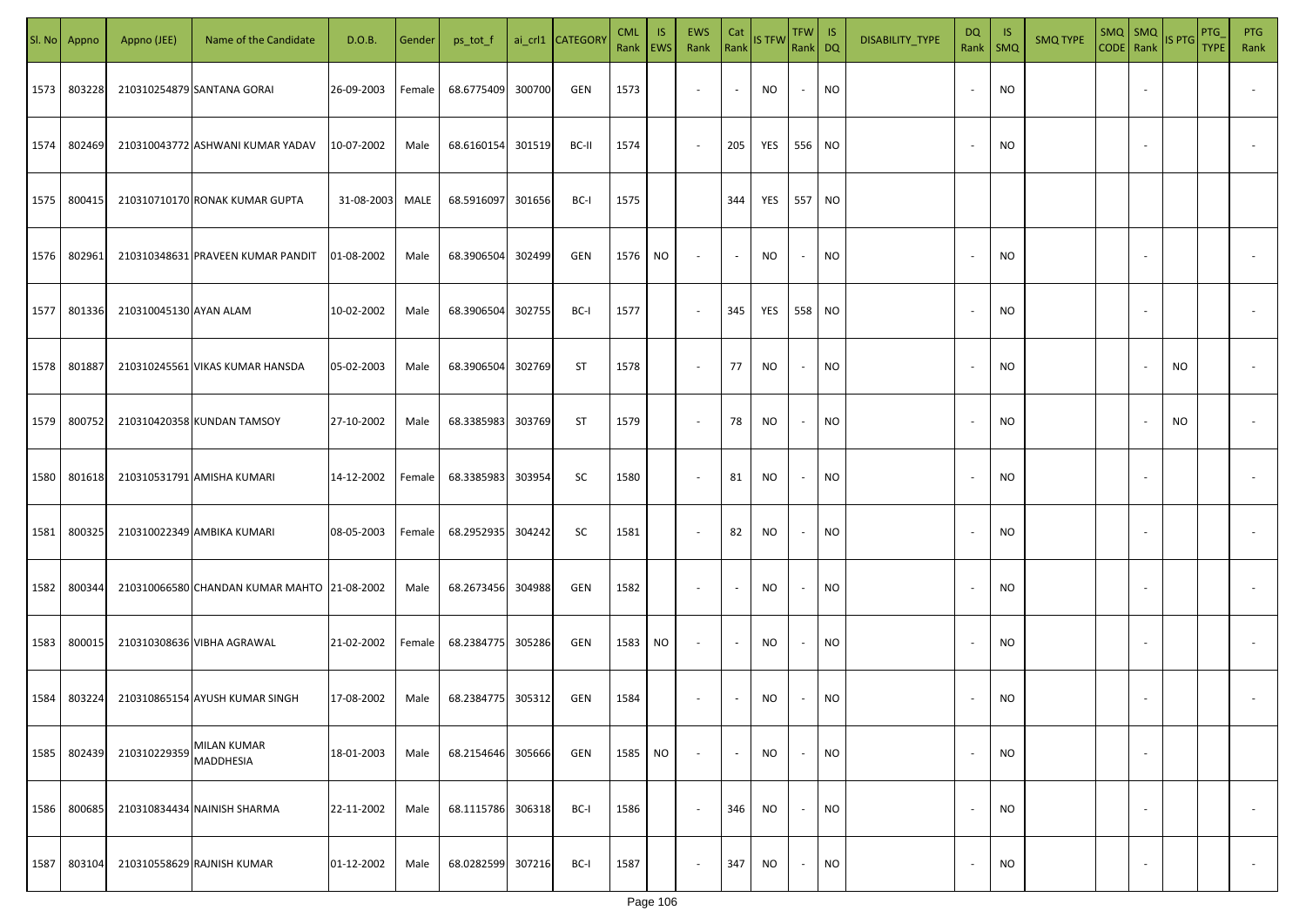|      | SI. No Appno | Appno (JEE)            | Name of the Candidate                       | D.O.B.     | Gender | ps_tot_f          |        | ai_crl1 CATEGORY | <b>CML</b><br>Rank   EWS | IS.       | EWS<br>Rank              | Cat<br>Rank              | <b>IS TFW</b>     | TFW  <br>Rank DQ         | $\overline{\mathsf{S}}$ | DISABILITY_TYPE | DQ<br>Rank | - IS<br>$\mathsf{SMQ}$ | <b>SMQ TYPE</b> | CODE Rank | $SMQ$ $SMQ$              | <b>IS PTG</b> | <b>PTG</b><br><b>TYPE</b> | PTG<br>Rank              |
|------|--------------|------------------------|---------------------------------------------|------------|--------|-------------------|--------|------------------|--------------------------|-----------|--------------------------|--------------------------|-------------------|--------------------------|-------------------------|-----------------|------------|------------------------|-----------------|-----------|--------------------------|---------------|---------------------------|--------------------------|
| 1573 | 803228       |                        | 210310254879 SANTANA GORAI                  | 26-09-2003 | Female | 68.6775409        | 300700 | GEN              | 1573                     |           | $\overline{\phantom{a}}$ | $\overline{\phantom{a}}$ | <b>NO</b>         | $\overline{\phantom{a}}$ | <b>NO</b>               |                 |            | <b>NO</b>              |                 |           |                          |               |                           |                          |
| 1574 | 802469       |                        | 210310043772 ASHWANI KUMAR YADAV            | 10-07-2002 | Male   | 68.6160154 301519 |        | BC-II            | 1574                     |           | $\sim$                   | 205                      | <b>YES</b> 556 NO |                          |                         |                 |            | <b>NO</b>              |                 |           |                          |               |                           |                          |
| 1575 | 800415       |                        | 210310710170 RONAK KUMAR GUPTA              | 31-08-2003 | MALE   | 68.5916097 301656 |        | BC-I             | 1575                     |           |                          | 344                      | <b>YES</b> 557 NO |                          |                         |                 |            |                        |                 |           |                          |               |                           |                          |
| 1576 | 802961       |                        | 210310348631 PRAVEEN KUMAR PANDIT           | 01-08-2002 | Male   | 68.3906504        | 302499 | GEN              | 1576 NO                  |           | $\overline{\phantom{a}}$ | $\overline{\phantom{a}}$ | <b>NO</b>         | ٠                        | NO                      |                 | $\sim$     | <b>NO</b>              |                 |           |                          |               |                           |                          |
| 1577 | 801336       | 210310045130 AYAN ALAM |                                             | 10-02-2002 | Male   | 68.3906504 302755 |        | BC-I             | 1577                     |           | $\overline{\phantom{a}}$ | 345                      | YES               | 558 NO                   |                         |                 | $\sim$     | <b>NO</b>              |                 |           | $\overline{\phantom{a}}$ |               |                           |                          |
| 1578 | 801887       |                        | 210310245561 VIKAS KUMAR HANSDA             | 05-02-2003 | Male   | 68.3906504 302769 |        | ST               | 1578                     |           | $\sim$                   | 77                       | NO.               | $\overline{\phantom{a}}$ | <b>NO</b>               |                 |            | <b>NO</b>              |                 |           |                          | NO.           |                           |                          |
| 1579 | 800752       |                        | 210310420358 KUNDAN TAMSOY                  | 27-10-2002 | Male   | 68.3385983 303769 |        | ST               | 1579                     |           | $\overline{\phantom{a}}$ | 78                       | NO.               | $\overline{\phantom{a}}$ | <b>NO</b>               |                 |            | <b>NO</b>              |                 |           |                          | NO            |                           |                          |
| 1580 | 801618       |                        | 210310531791 AMISHA KUMARI                  | 14-12-2002 | Female | 68.3385983        | 303954 | SC               | 1580                     |           | $\overline{\phantom{a}}$ | 81                       | <b>NO</b>         |                          | NO                      |                 |            | <b>NO</b>              |                 |           |                          |               |                           |                          |
| 1581 | 800325       |                        | 210310022349 AMBIKA KUMARI                  | 08-05-2003 | Female | 68.2952935        | 304242 | SC               | 1581                     |           | $\overline{\phantom{a}}$ | 82                       | <b>NO</b>         |                          | <b>NO</b>               |                 |            | <b>NO</b>              |                 |           |                          |               |                           |                          |
| 1582 | 800344       |                        | 210310066580 CHANDAN KUMAR MAHTO 21-08-2002 |            | Male   | 68.2673456 304988 |        | GEN              | 1582                     |           | $\overline{\phantom{a}}$ |                          | <b>NO</b>         |                          | <b>NO</b>               |                 |            | <b>NO</b>              |                 |           |                          |               |                           |                          |
| 1583 | 800015       |                        | 210310308636 VIBHA AGRAWAL                  | 21-02-2002 | Female | 68.2384775 305286 |        | GEN              | 1583                     | NO        | $\sim$                   |                          | <b>NO</b>         |                          | <b>NO</b>               |                 |            | <b>NO</b>              |                 |           |                          |               |                           |                          |
| 1584 | 803224       |                        | 210310865154 AYUSH KUMAR SINGH              | 17-08-2002 | Male   | 68.2384775 305312 |        | GEN              | 1584                     |           | $\overline{\phantom{a}}$ |                          | <b>NO</b>         |                          | <b>NO</b>               |                 |            | <b>NO</b>              |                 |           |                          |               |                           |                          |
| 1585 | 802439       | 210310229359           | <b>MILAN KUMAR</b><br><b>MADDHESIA</b>      | 18-01-2003 | Male   | 68.2154646        | 305666 | GEN              | 1585                     | <b>NO</b> | $\overline{\phantom{a}}$ | $\overline{\phantom{a}}$ | <b>NO</b>         |                          | <b>NO</b>               |                 | $\sim$     | <b>NO</b>              |                 |           | $\overline{\phantom{a}}$ |               |                           |                          |
| 1586 | 800685       |                        | 210310834434 NAINISH SHARMA                 | 22-11-2002 | Male   | 68.1115786        | 306318 | BC-I             | 1586                     |           | $\overline{\phantom{a}}$ | 346                      | <b>NO</b>         | $\overline{\phantom{a}}$ | <b>NO</b>               |                 | $\sim$     | <b>NO</b>              |                 |           | $\overline{\phantom{a}}$ |               |                           | $\overline{\phantom{a}}$ |
| 1587 | 803104       |                        | 210310558629 RAJNISH KUMAR                  | 01-12-2002 | Male   | 68.0282599        | 307216 | BC-I             | 1587                     |           | $\overline{\phantom{a}}$ | 347                      | NO                | $\overline{\phantom{a}}$ | <b>NO</b>               |                 |            | <b>NO</b>              |                 |           | $\sim$                   |               |                           | $\overline{\phantom{a}}$ |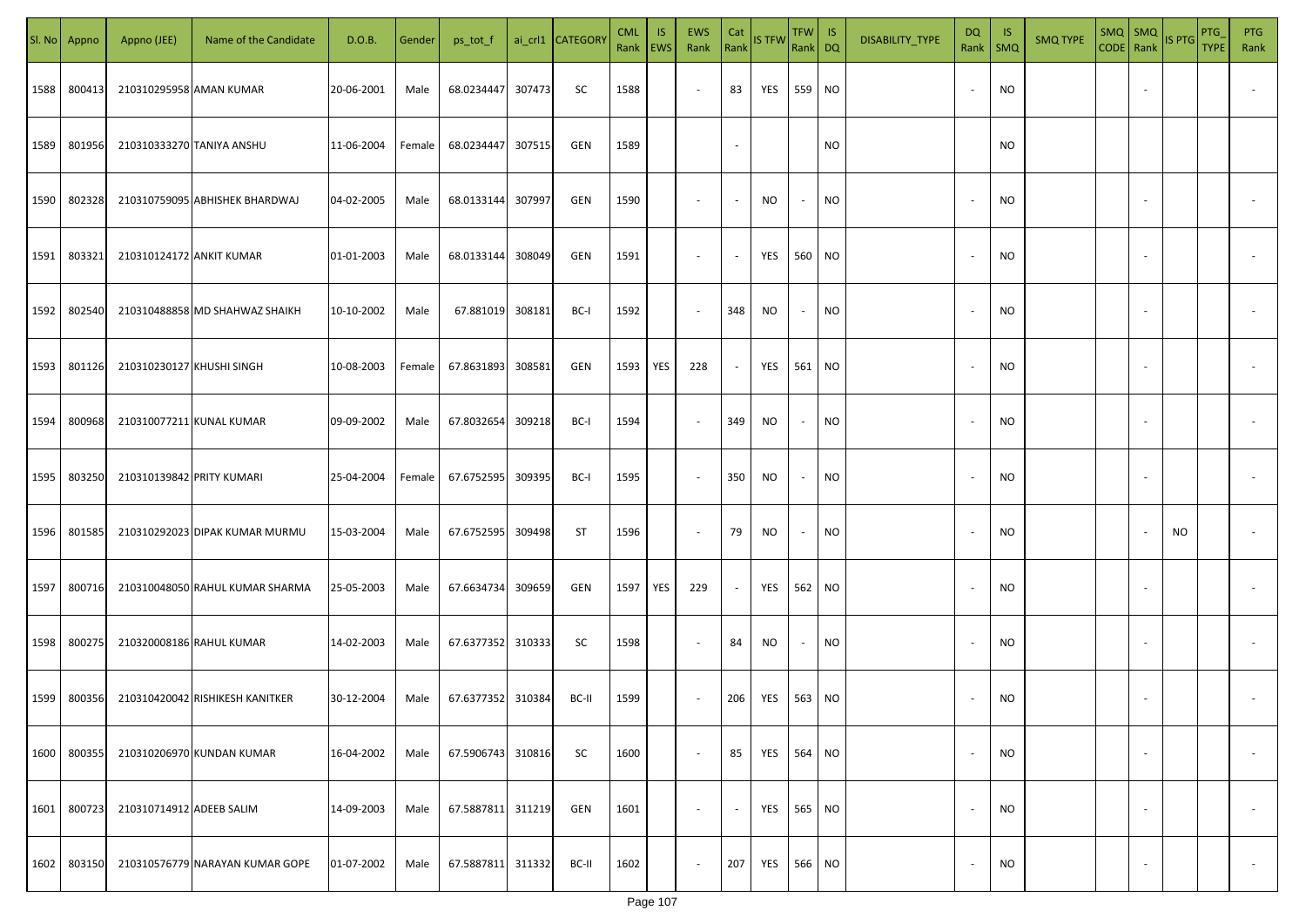| SI. No. | Appno  | Appno (JEE)               | Name of the Candidate           | D.O.B.     | Gender | ps_tot_f          |        | ai_crl1 CATEGORY | <b>CML</b><br>Rank   EWS | IS. | <b>EWS</b><br>Rank       | Cat<br>Rank    | <b>IS TFW</b> | $TFW$ IS<br>Rank DQ      |           | DISABILITY_TYPE | <b>DQ</b> | -IS<br>Rank   SMQ | <b>SMQ TYPE</b> |                          | $\begin{array}{ c c c c }\n\hline\n\text{SMQ} & \text{SMQ} \\ \hline\n\text{CODE} & \text{Rank}\n\end{array}$ IS PTG | PTG<br><b>TYPE</b> | <b>PTG</b><br>Rank       |
|---------|--------|---------------------------|---------------------------------|------------|--------|-------------------|--------|------------------|--------------------------|-----|--------------------------|----------------|---------------|--------------------------|-----------|-----------------|-----------|-------------------|-----------------|--------------------------|----------------------------------------------------------------------------------------------------------------------|--------------------|--------------------------|
| 1588    | 800413 | 210310295958 AMAN KUMAR   |                                 | 20-06-2001 | Male   | 68.0234447        | 307473 | SC               | 1588                     |     | $\overline{\phantom{a}}$ | 83             | YES           | 559 NO                   |           |                 |           | <b>NO</b>         |                 |                          |                                                                                                                      |                    |                          |
| 1589    | 801956 |                           | 210310333270 TANIYA ANSHU       | 11-06-2004 | Female | 68.0234447        | 307515 | GEN              | 1589                     |     |                          | $\sim$         |               |                          | <b>NO</b> |                 |           | <b>NO</b>         |                 |                          |                                                                                                                      |                    |                          |
| 1590    | 802328 |                           | 210310759095 ABHISHEK BHARDWAJ  | 04-02-2005 | Male   | 68.0133144        | 307997 | GEN              | 1590                     |     | $\overline{\phantom{a}}$ | $\sim$         | NO            | $\sim$                   | <b>NO</b> |                 |           | <b>NO</b>         |                 |                          |                                                                                                                      |                    |                          |
| 1591    | 803321 | 210310124172 ANKIT KUMAR  |                                 | 01-01-2003 | Male   | 68.0133144        | 308049 | GEN              | 1591                     |     | $\overline{\phantom{a}}$ | $\sim$         | YES           | 560 NO                   |           |                 | $\sim$    | <b>NO</b>         |                 |                          |                                                                                                                      |                    |                          |
| 1592    | 802540 |                           | 210310488858 MD SHAHWAZ SHAIKH  | 10-10-2002 | Male   | 67.881019         | 308181 | BC-I             | 1592                     |     | $\sim$                   | 348            | NO            | $\sim$                   | <b>NO</b> |                 | $\sim$    | <b>NO</b>         |                 |                          |                                                                                                                      |                    |                          |
| 1593    | 801126 | 210310230127 KHUSHI SINGH |                                 | 10-08-2003 | Female | 67.8631893        | 308581 | GEN              | 1593                     | YES | 228                      | $\sim$         | YES           | 561 NO                   |           |                 |           | <b>NO</b>         |                 |                          |                                                                                                                      |                    |                          |
| 1594    | 800968 |                           | 210310077211 KUNAL KUMAR        | 09-09-2002 | Male   | 67.8032654        | 309218 | BC-I             | 1594                     |     | $\overline{\phantom{a}}$ | 349            | <b>NO</b>     | $\sim$                   | <b>NO</b> |                 |           | <b>NO</b>         |                 |                          |                                                                                                                      |                    |                          |
| 1595    | 803250 | 210310139842 PRITY KUMARI |                                 | 25-04-2004 | Female | 67.6752595        | 309395 | BC-I             | 1595                     |     | $\sim$                   | 350            | NO            | $\overline{\phantom{a}}$ | <b>NO</b> |                 |           | <b>NO</b>         |                 |                          |                                                                                                                      |                    |                          |
| 1596    | 801585 |                           | 210310292023 DIPAK KUMAR MURMU  | 15-03-2004 | Male   | 67.6752595        | 309498 | ST               | 1596                     |     | $\overline{\phantom{a}}$ | 79             | NO            | $\overline{\phantom{a}}$ | <b>NO</b> |                 |           | <b>NO</b>         |                 |                          | NO                                                                                                                   |                    |                          |
| 1597    | 800716 |                           | 210310048050 RAHUL KUMAR SHARMA | 25-05-2003 | Male   | 67.6634734        | 309659 | GEN              | 1597                     | YES | 229                      | $\sim$         | YES           | 562 NO                   |           |                 |           | <b>NO</b>         |                 |                          |                                                                                                                      |                    |                          |
| 1598    | 800275 |                           | 210320008186 RAHUL KUMAR        | 14-02-2003 | Male   | 67.6377352 310333 |        | SC               | 1598                     |     | $\sim$                   | 84             | NO            | $\sim$                   | <b>NO</b> |                 |           | <b>NO</b>         |                 |                          |                                                                                                                      |                    |                          |
| 1599    | 800356 |                           | 210310420042 RISHIKESH KANITKER | 30-12-2004 | Male   | 67.6377352 310384 |        | BC-II            | 1599                     |     | $\sim$                   | 206            | YES           | 563 NO                   |           |                 |           | <b>NO</b>         |                 |                          |                                                                                                                      |                    |                          |
| 1600    | 800355 |                           | 210310206970 KUNDAN KUMAR       | 16-04-2002 | Male   | 67.5906743        | 310816 | SC               | 1600                     |     | $\overline{\phantom{a}}$ | 85             | YES           | 564 NO                   |           |                 |           | <b>NO</b>         |                 | $\overline{\phantom{a}}$ |                                                                                                                      |                    | $\overline{\phantom{a}}$ |
| 1601    | 800723 | 210310714912 ADEEB SALIM  |                                 | 14-09-2003 | Male   | 67.5887811 311219 |        | GEN              | 1601                     |     | $\overline{\phantom{a}}$ | $\blacksquare$ | YES           | 565 NO                   |           |                 |           | <b>NO</b>         |                 | $\overline{\phantom{a}}$ |                                                                                                                      |                    | $\overline{\phantom{a}}$ |
| 1602    | 803150 |                           | 210310576779 NARAYAN KUMAR GOPE | 01-07-2002 | Male   | 67.5887811        | 311332 | BC-II            | 1602                     |     | $\overline{\phantom{a}}$ | 207            | YES           | 566 NO                   |           |                 |           | <b>NO</b>         |                 | $\sim$                   |                                                                                                                      |                    | $\sim$                   |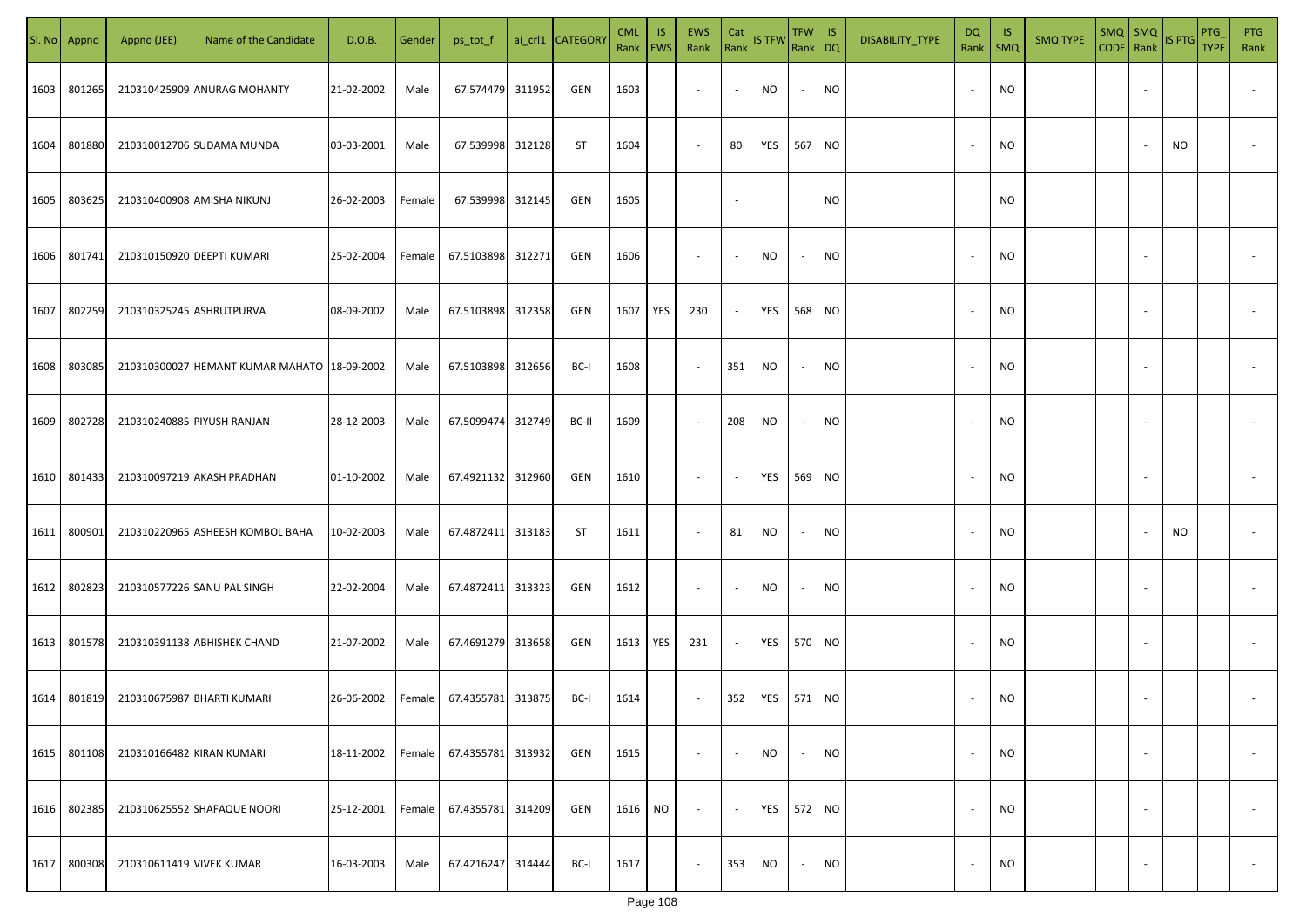| SI. No | Appno  | Appno (JEE)               | Name of the Candidate                       | D.O.B.     | Gender | ps_tot_f          |        | ai_crl1 CATEGORY | <b>CML</b><br>Rank   EWS | <b>IS</b> | <b>EWS</b><br>Rank | Cat                      | Rank IS TFW       | $TFW$ IS<br>Rank DQ      |           | DISABILITY_TYPE | <b>DQ</b><br>Rank        | - IS<br>SMQ | <b>SMQ TYPE</b> | $SMQ$ $SMQ$<br>CODE Rank |                          | IS PTG | PTG<br><b>TYPE</b> | <b>PTG</b><br>Rank       |
|--------|--------|---------------------------|---------------------------------------------|------------|--------|-------------------|--------|------------------|--------------------------|-----------|--------------------|--------------------------|-------------------|--------------------------|-----------|-----------------|--------------------------|-------------|-----------------|--------------------------|--------------------------|--------|--------------------|--------------------------|
| 1603   | 801265 |                           | 210310425909 ANURAG MOHANTY                 | 21-02-2002 | Male   | 67.574479 311952  |        | GEN              | 1603                     |           | $\sim$             | $\sim$                   | NO                | $\overline{\phantom{a}}$ | NO        |                 | $\overline{\phantom{a}}$ | <b>NO</b>   |                 |                          |                          |        |                    |                          |
| 1604   | 801880 |                           | 210310012706 SUDAMA MUNDA                   | 03-03-2001 | Male   | 67.539998 312128  |        | ST               | 1604                     |           | $\sim$             | 80                       | YES               | 567                      | <b>NO</b> |                 |                          | <b>NO</b>   |                 |                          |                          | NO     |                    |                          |
| 1605   | 803625 |                           | 210310400908 AMISHA NIKUNJ                  | 26-02-2003 | Female | 67.539998 312145  |        | GEN              | 1605                     |           |                    |                          |                   |                          | <b>NO</b> |                 |                          | <b>NO</b>   |                 |                          |                          |        |                    |                          |
| 1606   | 801741 |                           | 210310150920 DEEPTI KUMARI                  | 25-02-2004 | Female | 67.5103898 312271 |        | GEN              | 1606                     |           | $\sim$             | $\sim$                   | NO.               | $\sim$                   | <b>NO</b> |                 | $\overline{\phantom{a}}$ | <b>NO</b>   |                 |                          |                          |        |                    |                          |
| 1607   | 802259 |                           | 210310325245 ASHRUTPURVA                    | 08-09-2002 | Male   | 67.5103898 312358 |        | GEN              | 1607                     | YES       | 230                | $\sim$                   | YES               | 568 NO                   |           |                 | $\overline{\phantom{a}}$ | <b>NO</b>   |                 |                          |                          |        |                    |                          |
| 1608   | 803085 |                           | 210310300027 HEMANT KUMAR MAHATO 18-09-2002 |            | Male   | 67.5103898 312656 |        | BC-I             | 1608                     |           | $\sim$             | 351                      | NO.               | $\sim$                   | NO        |                 |                          | ΝO          |                 |                          |                          |        |                    |                          |
| 1609   | 802728 |                           | 210310240885 PIYUSH RANJAN                  | 28-12-2003 | Male   | 67.5099474 312749 |        | BC-II            | 1609                     |           | $\sim$             | 208                      | NO.               | $\sim$                   | NO        |                 |                          | <b>NO</b>   |                 |                          |                          |        |                    |                          |
| 1610   | 801433 |                           | 210310097219 AKASH PRADHAN                  | 01-10-2002 | Male   | 67.4921132 312960 |        | GEN              | 1610                     |           | $\sim$             | $\overline{\phantom{a}}$ | YES               | 569 NO                   |           |                 |                          | <b>NO</b>   |                 |                          |                          |        |                    |                          |
| 1611   | 800901 |                           | 210310220965 ASHEESH KOMBOL BAHA            | 10-02-2003 | Male   | 67.4872411 313183 |        | ST               | 1611                     |           | $\sim$             | 81                       | <b>NO</b>         | $\sim$                   | NO        |                 |                          | <b>NO</b>   |                 |                          |                          | NO     |                    |                          |
| 1612   | 802823 |                           | 210310577226 SANU PAL SINGH                 | 22-02-2004 | Male   | 67.4872411 313323 |        | GEN              | 1612                     |           | $\sim$             |                          | NO.               | $\sim$                   | NO        |                 |                          | <b>NO</b>   |                 |                          |                          |        |                    |                          |
| 1613   | 801578 |                           | 210310391138 ABHISHEK CHAND                 | 21-07-2002 | Male   | 67.4691279 313658 |        | GEN              | 1613 YES                 |           | 231                | $\sim$                   | YES               |                          | 570 NO    |                 |                          | <b>NO</b>   |                 |                          |                          |        |                    |                          |
| 1614   | 801819 |                           | 210310675987 BHARTI KUMARI                  | 26-06-2002 | Female | 67.4355781 313875 |        | BC-I             | 1614                     |           | $\sim$             | 352                      | <b>YES</b> 571 NO |                          |           |                 |                          | <b>NO</b>   |                 |                          |                          |        |                    |                          |
| 1615   | 801108 | 210310166482 KIRAN KUMARI |                                             | 18-11-2002 | Female | 67.4355781 313932 |        | GEN              | 1615                     |           | $\sim$             | $\sim$                   | <b>NO</b>         | $\sim$                   | <b>NO</b> |                 | $\overline{\phantom{a}}$ | <b>NO</b>   |                 |                          | $\overline{\phantom{a}}$ |        |                    | $\overline{\phantom{a}}$ |
| 1616   | 802385 |                           | 210310625552 SHAFAQUE NOORI                 | 25-12-2001 | Female | 67.4355781 314209 |        | GEN              | 1616                     | <b>NO</b> | $\sim$             | $\sim$                   | YES               | 572 NO                   |           |                 | $\overline{\phantom{a}}$ | <b>NO</b>   |                 |                          | $\overline{\phantom{a}}$ |        |                    | $\overline{\phantom{a}}$ |
| 1617   | 800308 | 210310611419 VIVEK KUMAR  |                                             | 16-03-2003 | Male   | 67.4216247        | 314444 | BC-I             | 1617                     |           | $\sim$             | 353                      | NO.               | $\sim$                   | <b>NO</b> |                 |                          | <b>NO</b>   |                 |                          | $\sim$                   |        |                    | $\sim$                   |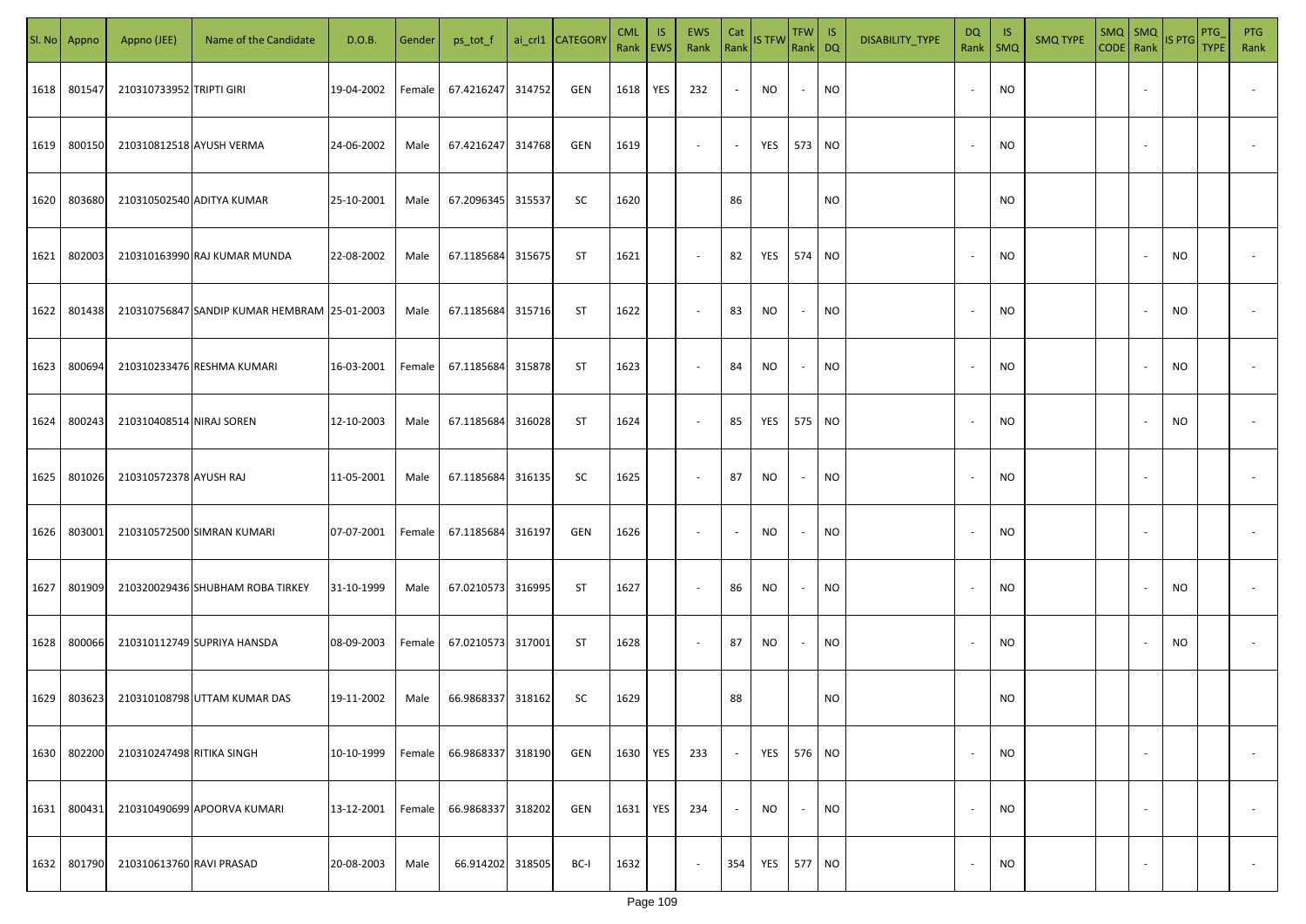| SI. No. | Appno  | Appno (JEE)               | Name of the Candidate                        | D.O.B.     | Gender | ps_tot_f          |        | ai_crl1 CATEGORY | <b>CML</b><br>Rank   EWS | IS. | <b>EWS</b><br>Rank       | Cat<br>Rank              | <b>IS TFW</b> | $TFW$ IS<br>Rank DQ      |           | DISABILITY_TYPE | <b>DQ</b>                | -IS<br>Rank   SMQ | <b>SMQ TYPE</b> |                          | $\begin{array}{ c c c c }\n\hline\n\text{SMQ} & \text{SMQ} \\ \hline\n\text{CODE} & \text{Rank}\n\end{array}$ IS PTG | <b>PTG</b><br><b>TYPE</b> | <b>PTG</b><br>Rank       |
|---------|--------|---------------------------|----------------------------------------------|------------|--------|-------------------|--------|------------------|--------------------------|-----|--------------------------|--------------------------|---------------|--------------------------|-----------|-----------------|--------------------------|-------------------|-----------------|--------------------------|----------------------------------------------------------------------------------------------------------------------|---------------------------|--------------------------|
| 1618    | 801547 | 210310733952 TRIPTI GIRI  |                                              | 19-04-2002 | Female | 67.4216247        | 314752 | GEN              | 1618                     | YES | 232                      | $\sim$                   | NO            | $\sim$                   | <b>NO</b> |                 |                          | <b>NO</b>         |                 |                          |                                                                                                                      |                           |                          |
| 1619    | 800150 | 210310812518 AYUSH VERMA  |                                              | 24-06-2002 | Male   | 67.4216247 314768 |        | GEN              | 1619                     |     | $\sim$                   | $\sim$                   | YES           | 573 NO                   |           |                 |                          | <b>NO</b>         |                 |                          |                                                                                                                      |                           |                          |
| 1620    | 803680 |                           | 210310502540 ADITYA KUMAR                    | 25-10-2001 | Male   | 67.2096345 315537 |        | SC               | 1620                     |     |                          | 86                       |               |                          | <b>NO</b> |                 |                          | <b>NO</b>         |                 |                          |                                                                                                                      |                           |                          |
| 1621    | 802003 |                           | 210310163990 RAJ KUMAR MUNDA                 | 22-08-2002 | Male   | 67.1185684        | 315675 | ST               | 1621                     |     | $\overline{\phantom{a}}$ | 82                       | YES           | 574 NO                   |           |                 |                          | <b>NO</b>         |                 |                          | NO                                                                                                                   |                           |                          |
| 1622    | 801438 |                           | 210310756847 SANDIP KUMAR HEMBRAM 25-01-2003 |            | Male   | 67.1185684        | 315716 | ST               | 1622                     |     | $\overline{\phantom{a}}$ | 83                       | NO            | $\sim$                   | <b>NO</b> |                 | $\sim$                   | <b>NO</b>         |                 |                          | NO                                                                                                                   |                           |                          |
| 1623    | 800694 |                           | 210310233476 RESHMA KUMARI                   | 16-03-2001 | Female | 67.1185684        | 315878 | ST               | 1623                     |     | $\overline{\phantom{a}}$ | 84                       | <b>NO</b>     | $\sim$                   | <b>NO</b> |                 |                          | <b>NO</b>         |                 |                          | NO.                                                                                                                  |                           |                          |
| 1624    | 800243 | 210310408514 NIRAJ SOREN  |                                              | 12-10-2003 | Male   | 67.1185684        | 316028 | ST               | 1624                     |     | $\overline{\phantom{a}}$ | 85                       | YES           | 575 NO                   |           |                 |                          | <b>NO</b>         |                 |                          | <b>NO</b>                                                                                                            |                           |                          |
| 1625    | 801026 | 210310572378 AYUSH RAJ    |                                              | 11-05-2001 | Male   | 67.1185684        | 316135 | SC               | 1625                     |     | $\overline{\phantom{a}}$ | 87                       | NO            | $\overline{\phantom{a}}$ | <b>NO</b> |                 |                          | <b>NO</b>         |                 |                          |                                                                                                                      |                           |                          |
| 1626    | 803001 |                           | 210310572500 SIMRAN KUMARI                   | 07-07-2001 | Female | 67.1185684        | 316197 | GEN              | 1626                     |     | $\overline{\phantom{a}}$ | $\overline{\phantom{a}}$ | NO            | $\overline{\phantom{a}}$ | <b>NO</b> |                 |                          | <b>NO</b>         |                 |                          |                                                                                                                      |                           |                          |
| 1627    | 801909 |                           | 210320029436 SHUBHAM ROBA TIRKEY             | 31-10-1999 | Male   | 67.0210573 316995 |        | ST               | 1627                     |     | $\overline{\phantom{a}}$ | 86                       | NO            | $\overline{\phantom{a}}$ | <b>NO</b> |                 |                          | <b>NO</b>         |                 |                          | NO                                                                                                                   |                           |                          |
| 1628    | 800066 |                           | 210310112749 SUPRIYA HANSDA                  | 08-09-2003 | Female | 67.0210573 317001 |        | ST               | 1628                     |     | $\sim$                   | 87                       | NO            | $\overline{\phantom{a}}$ | <b>NO</b> |                 |                          | <b>NO</b>         |                 |                          | NO                                                                                                                   |                           |                          |
| 1629    | 803623 |                           | 210310108798 UTTAM KUMAR DAS                 | 19-11-2002 | Male   | 66.9868337 318162 |        | SC               | 1629                     |     |                          | 88                       |               |                          | <b>NO</b> |                 |                          | <b>NO</b>         |                 |                          |                                                                                                                      |                           |                          |
| 1630    | 802200 | 210310247498 RITIKA SINGH |                                              | 10-10-1999 | Female | 66.9868337        | 318190 | GEN              | 1630                     | YES | 233                      | $\sim$                   | YES           | 576 NO                   |           |                 |                          | <b>NO</b>         |                 | $\overline{\phantom{a}}$ |                                                                                                                      |                           | $\overline{\phantom{a}}$ |
| 1631    | 800431 |                           | 210310490699 APOORVA KUMARI                  | 13-12-2001 | Female | 66.9868337        | 318202 | GEN              | 1631                     | YES | 234                      | $\sim$                   | <b>NO</b>     |                          | <b>NO</b> |                 | $\overline{\phantom{a}}$ | <b>NO</b>         |                 | $\overline{\phantom{a}}$ |                                                                                                                      |                           | $\overline{\phantom{a}}$ |
| 1632    | 801790 | 210310613760 RAVI PRASAD  |                                              | 20-08-2003 | Male   | 66.914202         | 318505 | BC-I             | 1632                     |     | $\overline{\phantom{a}}$ | 354                      | YES           | 577 NO                   |           |                 |                          | <b>NO</b>         |                 | $\sim$                   |                                                                                                                      |                           | $\sim$                   |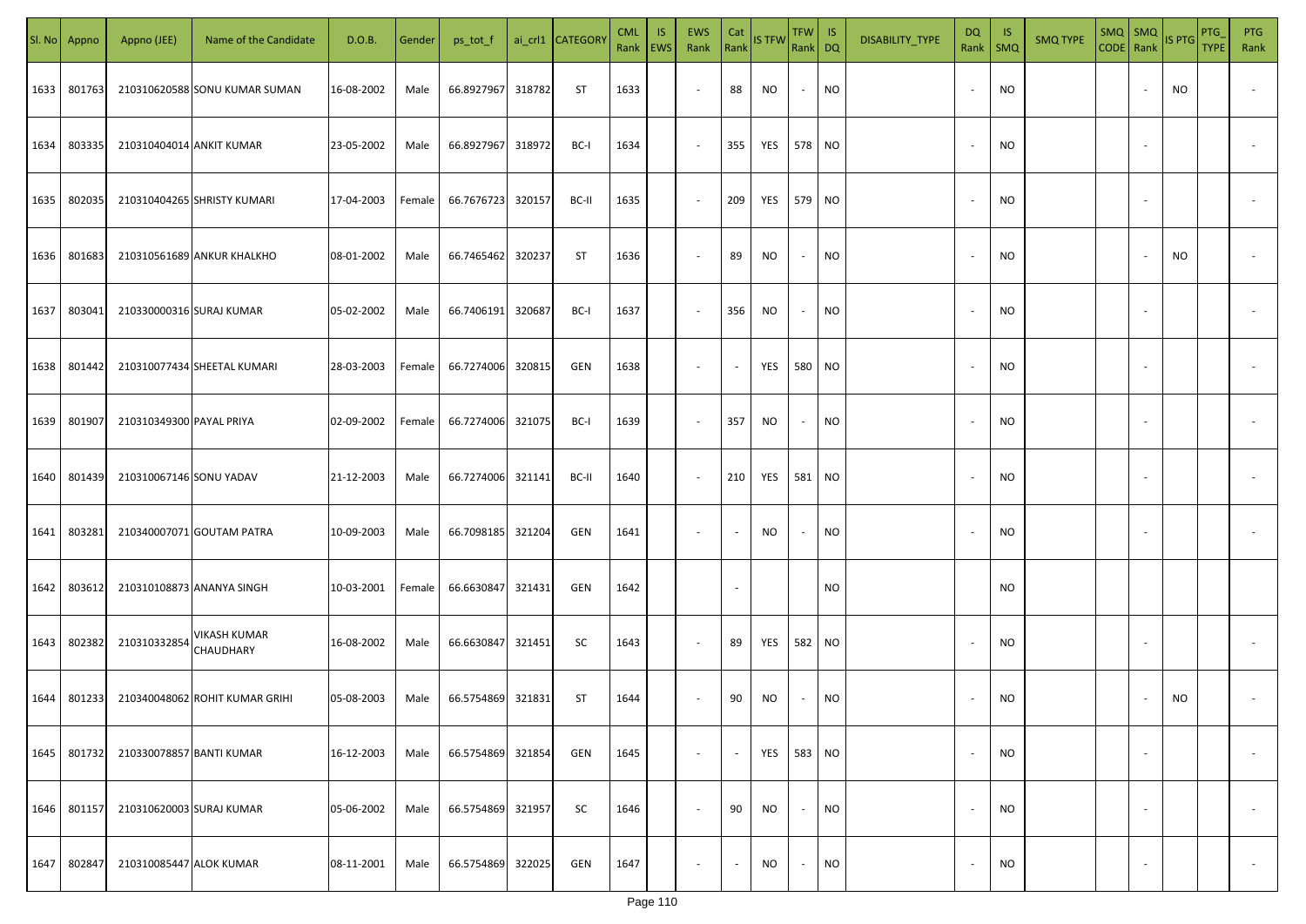| SI. No | Appno  | Appno (JEE)              | Name of the Candidate            | D.O.B.     | Gender | ps_tot_f          |        | ai_crl1 CATEGORY | <b>CML</b><br>Rank EWS | <b>IS</b> | <b>EWS</b><br>Rank       | Cat<br>Rank              | <b>IS TFW</b> | <b>TFW</b><br>Rank DQ    | IS        | DISABILITY_TYPE | <b>DQ</b><br>Rank        | -IS<br>$\mathsf{SMQ}$ | <b>SMQ TYPE</b> | CODE Rank | $SMQ$ $SMQ$              | <b>IS PTG</b> | PTG<br><b>TYPE</b> | <b>PTG</b><br>Rank       |
|--------|--------|--------------------------|----------------------------------|------------|--------|-------------------|--------|------------------|------------------------|-----------|--------------------------|--------------------------|---------------|--------------------------|-----------|-----------------|--------------------------|-----------------------|-----------------|-----------|--------------------------|---------------|--------------------|--------------------------|
| 1633   | 801763 |                          | 210310620588 SONU KUMAR SUMAN    | 16-08-2002 | Male   | 66.8927967        | 318782 | ST               | 1633                   |           | $\overline{\phantom{a}}$ | 88                       | <b>NO</b>     | $\overline{\phantom{a}}$ | <b>NO</b> |                 | $\sim$                   | NO                    |                 |           |                          | NO            |                    |                          |
| 1634   | 803335 | 210310404014 ANKIT KUMAR |                                  | 23-05-2002 | Male   | 66.8927967 318972 |        | BC-I             | 1634                   |           | $\sim$                   | 355                      | YES           | 578                      | <b>NO</b> |                 | $\sim$                   | <b>NO</b>             |                 |           |                          |               |                    |                          |
| 1635   | 802035 |                          | 210310404265 SHRISTY KUMARI      | 17-04-2003 | Female | 66.7676723 320157 |        | BC-II            | 1635                   |           | $\sim$                   | 209                      | YES           | 579 NO                   |           |                 | $\sim$                   | <b>NO</b>             |                 |           |                          |               |                    |                          |
| 1636   | 801683 |                          | 210310561689 ANKUR KHALKHO       | 08-01-2002 | Male   | 66.7465462        | 320237 | <b>ST</b>        | 1636                   |           | $\sim$                   | 89                       | <b>NO</b>     | $\overline{\phantom{a}}$ | <b>NO</b> |                 | $\overline{\phantom{a}}$ | NO                    |                 |           |                          | NO            |                    |                          |
| 1637   | 803041 | 210330000316 SURAJ KUMAR |                                  | 05-02-2002 | Male   | 66.7406191        | 320687 | BC-I             | 1637                   |           | $\overline{\phantom{a}}$ | 356                      | <b>NO</b>     | $\overline{\phantom{a}}$ | <b>NO</b> |                 | $\overline{\phantom{a}}$ | NO.                   |                 |           |                          |               |                    |                          |
| 1638   | 801442 |                          | 210310077434 SHEETAL KUMARI      | 28-03-2003 | Female | 66.7274006 320815 |        | GEN              | 1638                   |           | $\overline{\phantom{a}}$ | $\overline{\phantom{a}}$ | YES           | 580                      | <b>NO</b> |                 |                          | NO                    |                 |           |                          |               |                    |                          |
| 1639   | 801907 | 210310349300 PAYAL PRIYA |                                  | 02-09-2002 | Female | 66.7274006 321075 |        | BC-I             | 1639                   |           | $\overline{\phantom{a}}$ | 357                      | <b>NO</b>     | $\overline{\phantom{a}}$ | <b>NO</b> |                 |                          | <b>NO</b>             |                 |           |                          |               |                    |                          |
| 1640   | 801439 | 210310067146 SONU YADAV  |                                  | 21-12-2003 | Male   | 66.7274006 321141 |        | BC-II            | 1640                   |           | $\overline{\phantom{a}}$ | 210                      | YES           | 581                      | <b>NO</b> |                 |                          | <b>NO</b>             |                 |           |                          |               |                    |                          |
| 1641   | 803281 |                          | 210340007071 GOUTAM PATRA        | 10-09-2003 | Male   | 66.7098185        | 321204 | GEN              | 1641                   |           | $\sim$                   | $\overline{a}$           | NO            |                          | <b>NO</b> |                 |                          | <b>NO</b>             |                 |           |                          |               |                    |                          |
| 1642   | 803612 |                          | 210310108873 ANANYA SINGH        | 10-03-2001 | Female | 66.6630847        | 321431 | GEN              | 1642                   |           |                          |                          |               |                          | NO.       |                 |                          | <b>NO</b>             |                 |           |                          |               |                    |                          |
| 1643   | 802382 | 210310332854             | <b>VIKASH KUMAR</b><br>CHAUDHARY | 16-08-2002 | Male   | 66.6630847 321451 |        | SC               | 1643                   |           | $\sim$                   | 89                       | YES           | 582                      | <b>NO</b> |                 |                          | <b>NO</b>             |                 |           |                          |               |                    |                          |
| 1644   | 801233 |                          | 210340048062 ROHIT KUMAR GRIHI   | 05-08-2003 | Male   | 66.5754869        | 321831 | <b>ST</b>        | 1644                   |           | $\overline{\phantom{a}}$ | 90                       | NO            |                          | <b>NO</b> |                 |                          | <b>NO</b>             |                 |           |                          | <b>NO</b>     |                    |                          |
| 1645   | 801732 | 210330078857 BANTI KUMAR |                                  | 16-12-2003 | Male   | 66.5754869        | 321854 | GEN              | 1645                   |           | $\overline{\phantom{a}}$ | $\overline{\phantom{a}}$ | YES           | 583                      | <b>NO</b> |                 | $\sim$                   | <b>NO</b>             |                 |           |                          |               |                    | $\overline{\phantom{a}}$ |
| 1646   | 801157 | 210310620003 SURAJ KUMAR |                                  | 05-06-2002 | Male   | 66.5754869        | 321957 | SC               | 1646                   |           | $\overline{\phantom{a}}$ | 90                       | <b>NO</b>     | $\overline{\phantom{a}}$ | <b>NO</b> |                 | $\sim$                   | <b>NO</b>             |                 |           | $\overline{\phantom{a}}$ |               |                    | $\overline{\phantom{a}}$ |
| 1647   | 802847 | 210310085447 ALOK KUMAR  |                                  | 08-11-2001 | Male   | 66.5754869        | 322025 | GEN              | 1647                   |           | $\overline{\phantom{a}}$ | $\overline{\phantom{a}}$ | <b>NO</b>     | $\overline{\phantom{a}}$ | <b>NO</b> |                 | $\overline{\phantom{a}}$ | <b>NO</b>             |                 |           | $\overline{\phantom{a}}$ |               |                    | $\sim$                   |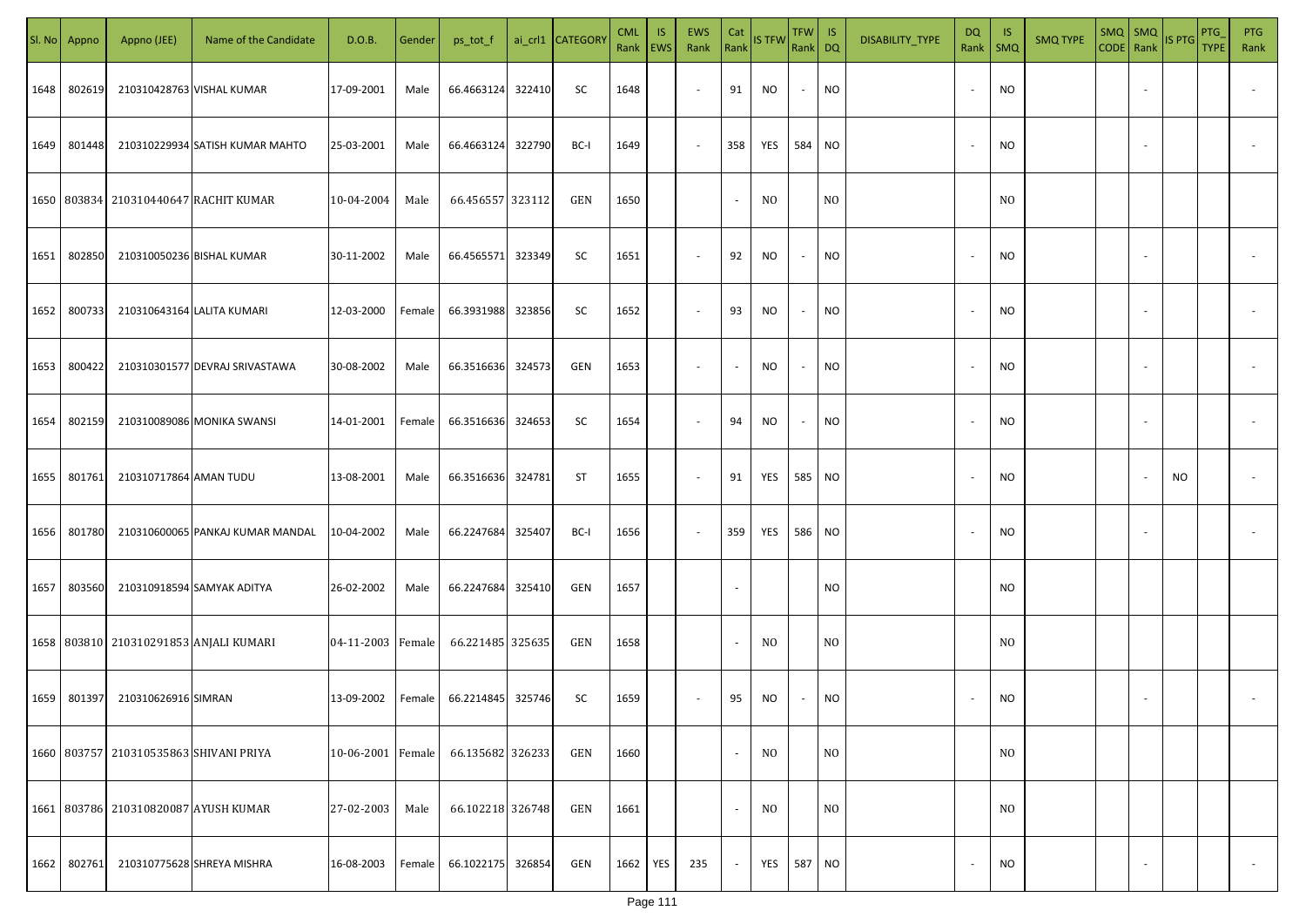| SI. No. | Appno  | Appno (JEE)                            | Name of the Candidate                       | D.O.B.            | Gender | ps_tot_f          |        | ai_crl1 CATEGORY | <b>CML</b><br>Rank   EWS | <b>IS</b> | EWS<br>Rank | Cat                      | Rank IS TFW    | $TFW$ IS<br>Rank DQ |                | DISABILITY_TYPE | DQ                       | - IS<br>Rank   SMQ | <b>SMQ TYPE</b> | $SMQ$ SMQ<br>CODE Rank |                          | IS PTG | PTG<br>TYPE | <b>PTG</b><br>Rank |
|---------|--------|----------------------------------------|---------------------------------------------|-------------------|--------|-------------------|--------|------------------|--------------------------|-----------|-------------|--------------------------|----------------|---------------------|----------------|-----------------|--------------------------|--------------------|-----------------|------------------------|--------------------------|--------|-------------|--------------------|
| 1648    | 802619 |                                        | 210310428763 VISHAL KUMAR                   | 17-09-2001        | Male   | 66.4663124        | 322410 | SC               | 1648                     |           | $\sim$      | 91                       | NO             | $\sim$              | <b>NO</b>      |                 | $\overline{\phantom{a}}$ | NO.                |                 |                        | $\overline{\phantom{a}}$ |        |             |                    |
| 1649    | 801448 |                                        | 210310229934 SATISH KUMAR MAHTO             | 25-03-2001        | Male   | 66.4663124 322790 |        | BC-I             | 1649                     |           | $\sim$      | 358                      | YES            | 584                 | <b>NO</b>      |                 | $\overline{\phantom{a}}$ | NO.                |                 |                        | $\sim$                   |        |             |                    |
|         |        |                                        | 1650   803834   210310440647   RACHIT KUMAR | 10-04-2004        | Male   | 66.456557 323112  |        | GEN              | 1650                     |           |             | $\overline{\phantom{a}}$ | N <sub>0</sub> |                     | N <sub>O</sub> |                 |                          | N <sub>0</sub>     |                 |                        |                          |        |             |                    |
| 1651    | 802850 | 210310050236 BISHAL KUMAR              |                                             | 30-11-2002        | Male   | 66.4565571        | 323349 | SC               | 1651                     |           | $\sim$      | 92                       | NO             | $\sim$              | <b>NO</b>      |                 | $\overline{\phantom{a}}$ | NO.                |                 |                        | $\sim$                   |        |             |                    |
| 1652    | 800733 |                                        | 210310643164 LALITA KUMARI                  | 12-03-2000        | Female | 66.3931988        | 323856 | SC               | 1652                     |           | $\sim$      | 93                       | NO             | $\sim$              | <b>NO</b>      |                 | $\overline{\phantom{a}}$ | NO.                |                 |                        | $\sim$                   |        |             |                    |
| 1653    | 800422 |                                        | 210310301577 DEVRAJ SRIVASTAWA              | 30-08-2002        | Male   | 66.3516636 324573 |        | GEN              | 1653                     |           | $\sim$      | $\blacksquare$           | NO.            | $\sim$              | <b>NO</b>      |                 | $\overline{\phantom{a}}$ | NO.                |                 |                        | $\sim$                   |        |             |                    |
| 1654    | 802159 |                                        | 210310089086 MONIKA SWANSI                  | 14-01-2001        | Female | 66.3516636 324653 |        | SC               | 1654                     |           | $\sim$      | 94                       | <b>NO</b>      | $\sim$              | <b>NO</b>      |                 | $\overline{\phantom{a}}$ | NO.                |                 |                        | $\overline{\phantom{a}}$ |        |             |                    |
| 1655    | 801761 | 210310717864 AMAN TUDU                 |                                             | 13-08-2001        | Male   | 66.3516636        | 324781 | ST               | 1655                     |           | $\sim$      | 91                       | YES            | 585                 | <b>NO</b>      |                 |                          | NO.                |                 |                        |                          | NO.    |             |                    |
| 1656    | 801780 |                                        | 210310600065 PANKAJ KUMAR MANDAL            | 10-04-2002        | Male   | 66.2247684        | 325407 | BC-I             | 1656                     |           | $\sim$      | 359                      | YES            | 586                 | <b>NO</b>      |                 |                          | NO.                |                 |                        |                          |        |             |                    |
| 1657    | 803560 |                                        | 210310918594 SAMYAK ADITYA                  | 26-02-2002        | Male   | 66.2247684 325410 |        | GEN              | 1657                     |           |             |                          |                |                     | <b>NO</b>      |                 |                          | NO.                |                 |                        |                          |        |             |                    |
|         |        |                                        | 1658 803810 210310291853 ANJALI KUMARI      | 04-11-2003 Female |        | 66.221485 325635  |        | GEN              | 1658                     |           |             | $\overline{\phantom{a}}$ | NO.            |                     | N <sub>O</sub> |                 |                          | N <sub>O</sub>     |                 |                        |                          |        |             |                    |
| 1659    | 801397 | 210310626916 SIMRAN                    |                                             | 13-09-2002        | Female | 66.2214845 325746 |        | SC               | 1659                     |           |             | 95                       | NO.            | $\sim$              | <b>NO</b>      |                 |                          | <b>NO</b>          |                 |                        |                          |        |             |                    |
|         |        | 1660 803757 210310535863 SHIVANI PRIYA |                                             | 10-06-2001 Female |        | 66.135682 326233  |        | GEN              | 1660                     |           |             | $\overline{\phantom{a}}$ | N <sub>0</sub> |                     | N <sub>O</sub> |                 |                          | N <sub>O</sub>     |                 |                        |                          |        |             |                    |
|         |        | 1661 803786 210310820087 AYUSH KUMAR   |                                             | 27-02-2003        | Male   | 66.102218 326748  |        | GEN              | 1661                     |           |             | $\sim$                   | N <sub>0</sub> |                     | N <sub>O</sub> |                 |                          | N <sub>O</sub>     |                 |                        |                          |        |             |                    |
| 1662    | 802761 |                                        | 210310775628 SHREYA MISHRA                  | 16-08-2003        | Female | 66.1022175 326854 |        | GEN              | 1662                     | YES       | 235         | $\sim$                   | YES            | 587                 | <b>NO</b>      |                 |                          | NO.                |                 |                        | $\overline{\phantom{a}}$ |        |             | $\sim$             |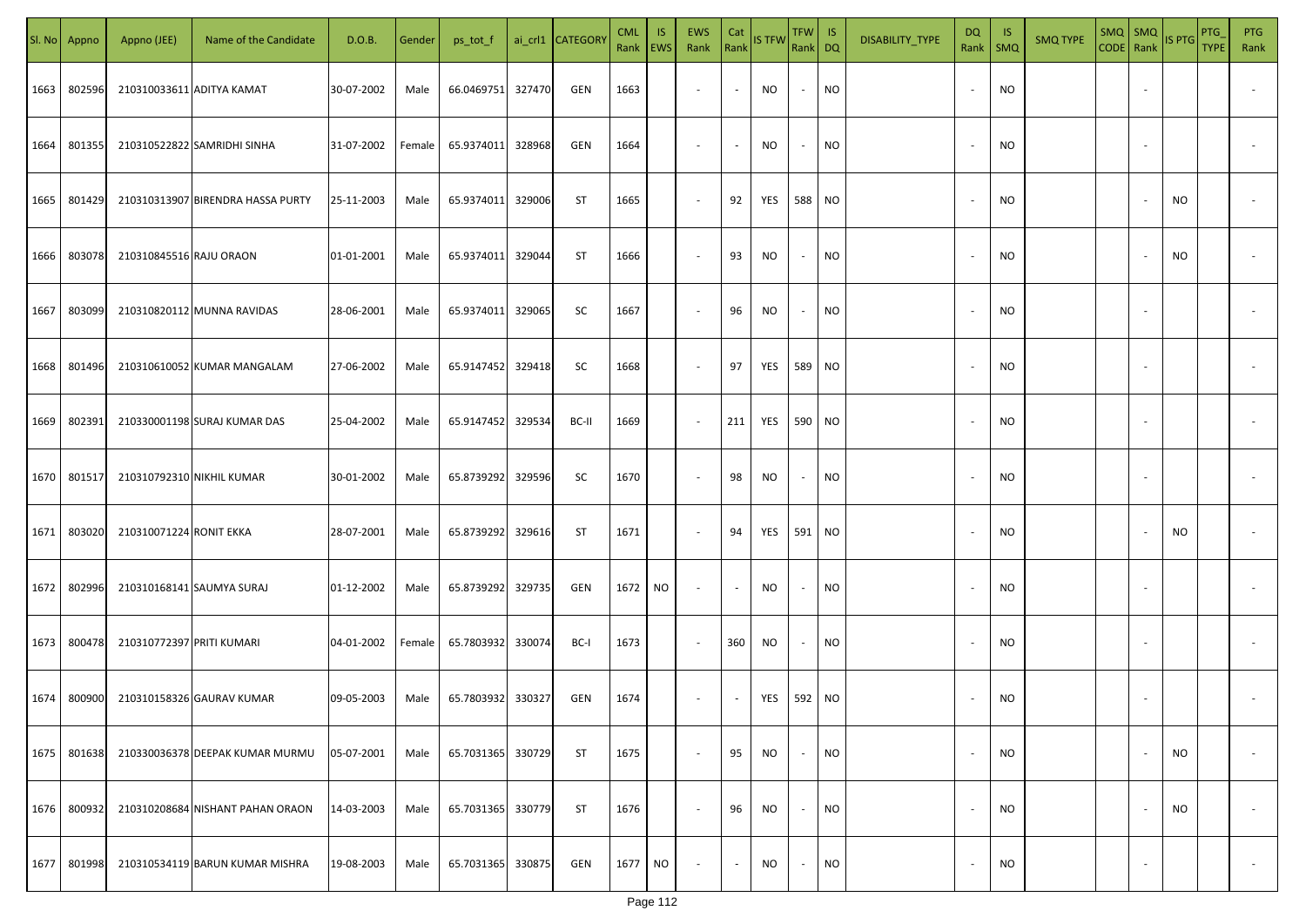| SI. No. | Appno  | Appno (JEE)               | Name of the Candidate             | D.O.B.     | Gender | ps_tot_f          |        | ai_crl1 CATEGORY | <b>CML</b><br>Rank   EWS | IS.       | <b>EWS</b><br>Rank       | Cat<br>Rank              | <b>IS TFW</b> | $TFW$ IS<br>Rank DQ      |           | DISABILITY_TYPE | DQ     | -IS<br>Rank   SMQ | <b>SMQ TYPE</b> |        | $\begin{array}{ c c c c }\n\hline\n\text{SMQ} & \text{SMQ} \\ \hline\n\text{CODE} & \text{Rank}\n\end{array}$ IS PTG | PTG<br><b>TYPE</b> | <b>PTG</b><br>Rank       |
|---------|--------|---------------------------|-----------------------------------|------------|--------|-------------------|--------|------------------|--------------------------|-----------|--------------------------|--------------------------|---------------|--------------------------|-----------|-----------------|--------|-------------------|-----------------|--------|----------------------------------------------------------------------------------------------------------------------|--------------------|--------------------------|
| 1663    | 802596 |                           | 210310033611 ADITYA KAMAT         | 30-07-2002 | Male   | 66.0469751        | 327470 | GEN              | 1663                     |           | $\sim$                   | $\sim$                   | NO            | $\sim$                   | <b>NO</b> |                 |        | <b>NO</b>         |                 |        |                                                                                                                      |                    |                          |
| 1664    | 801355 |                           | 210310522822 SAMRIDHI SINHA       | 31-07-2002 | Female | 65.9374011        | 328968 | GEN              | 1664                     |           | $\sim$                   | $\sim$                   | NO            | $\sim$                   | <b>NO</b> |                 |        | <b>NO</b>         |                 |        |                                                                                                                      |                    |                          |
| 1665    | 801429 |                           | 210310313907 BIRENDRA HASSA PURTY | 25-11-2003 | Male   | 65.9374011        | 329006 | ST               | 1665                     |           | $\overline{\phantom{a}}$ | 92                       | YES           | 588 NO                   |           |                 |        | <b>NO</b>         |                 |        | NO                                                                                                                   |                    |                          |
| 1666    | 803078 | 210310845516 RAJU ORAON   |                                   | 01-01-2001 | Male   | 65.9374011        | 329044 | ST               | 1666                     |           | $\overline{\phantom{a}}$ | 93                       | NO            | $\overline{\phantom{a}}$ | <b>NO</b> |                 |        | <b>NO</b>         |                 |        | NO                                                                                                                   |                    |                          |
| 1667    | 803099 |                           | 210310820112 MUNNA RAVIDAS        | 28-06-2001 | Male   | 65.9374011        | 329065 | SC               | 1667                     |           | $\overline{\phantom{a}}$ | 96                       | NO            | $\sim$                   | <b>NO</b> |                 | $\sim$ | <b>NO</b>         |                 |        |                                                                                                                      |                    |                          |
| 1668    | 801496 |                           | 210310610052 KUMAR MANGALAM       | 27-06-2002 | Male   | 65.9147452        | 329418 | SC               | 1668                     |           | $\overline{\phantom{a}}$ | 97                       | YES           | 589 NO                   |           |                 |        | <b>NO</b>         |                 |        |                                                                                                                      |                    |                          |
| 1669    | 802391 |                           | 210330001198 SURAJ KUMAR DAS      | 25-04-2002 | Male   | 65.9147452 329534 |        | BC-II            | 1669                     |           | $\overline{\phantom{a}}$ | 211                      | YES           | 590 NO                   |           |                 |        | <b>NO</b>         |                 |        |                                                                                                                      |                    |                          |
| 1670    | 801517 | 210310792310 NIKHIL KUMAR |                                   | 30-01-2002 | Male   | 65.8739292        | 329596 | SC               | 1670                     |           | $\overline{\phantom{a}}$ | 98                       | NO            | $\sim$                   | <b>NO</b> |                 |        | <b>NO</b>         |                 |        |                                                                                                                      |                    |                          |
| 1671    | 803020 | 210310071224 RONIT EKKA   |                                   | 28-07-2001 | Male   | 65.8739292        | 329616 | ST               | 1671                     |           | $\overline{\phantom{a}}$ | 94                       | YES           | 591 NO                   |           |                 |        | <b>NO</b>         |                 |        | NO                                                                                                                   |                    |                          |
| 1672    | 802996 |                           | 210310168141 SAUMYA SURAJ         | 01-12-2002 | Male   | 65.8739292        | 329735 | GEN              | 1672 NO                  |           | $\overline{\phantom{a}}$ | $\overline{\phantom{a}}$ | NO            |                          | <b>NO</b> |                 |        | <b>NO</b>         |                 |        |                                                                                                                      |                    |                          |
| 1673    | 800478 | 210310772397 PRITI KUMARI |                                   | 04-01-2002 | Female | 65.7803932        | 330074 | BC-I             | 1673                     |           | $\sim$                   | 360                      | NO            | $\sim$                   | <b>NO</b> |                 |        | <b>NO</b>         |                 |        |                                                                                                                      |                    |                          |
| 1674    | 800900 |                           | 210310158326 GAURAV KUMAR         | 09-05-2003 | Male   | 65.7803932 330327 |        | GEN              | 1674                     |           | $\overline{\phantom{a}}$ | $\sim$                   | YES           | 592 NO                   |           |                 |        | <b>NO</b>         |                 |        |                                                                                                                      |                    |                          |
| 1675    | 801638 |                           | 210330036378 DEEPAK KUMAR MURMU   | 05-07-2001 | Male   | 65.7031365        | 330729 | ST               | 1675                     |           | $\overline{\phantom{a}}$ | 95                       | <b>NO</b>     |                          | <b>NO</b> |                 |        | <b>NO</b>         |                 |        | <b>NO</b>                                                                                                            |                    | $\overline{\phantom{a}}$ |
| 1676    | 800932 |                           | 210310208684 NISHANT PAHAN ORAON  | 14-03-2003 | Male   | 65.7031365        | 330779 | <b>ST</b>        | 1676                     |           | $\sim$                   | 96                       | <b>NO</b>     | $\sim$                   | <b>NO</b> |                 |        | <b>NO</b>         |                 |        | NO                                                                                                                   |                    | $\overline{\phantom{a}}$ |
| 1677    | 801998 |                           | 210310534119 BARUN KUMAR MISHRA   | 19-08-2003 | Male   | 65.7031365        | 330875 | GEN              | 1677                     | <b>NO</b> | $\sim$                   | $\sim$                   | <b>NO</b>     | $\sim$                   | <b>NO</b> |                 |        | <b>NO</b>         |                 | $\sim$ |                                                                                                                      |                    | $\sim$                   |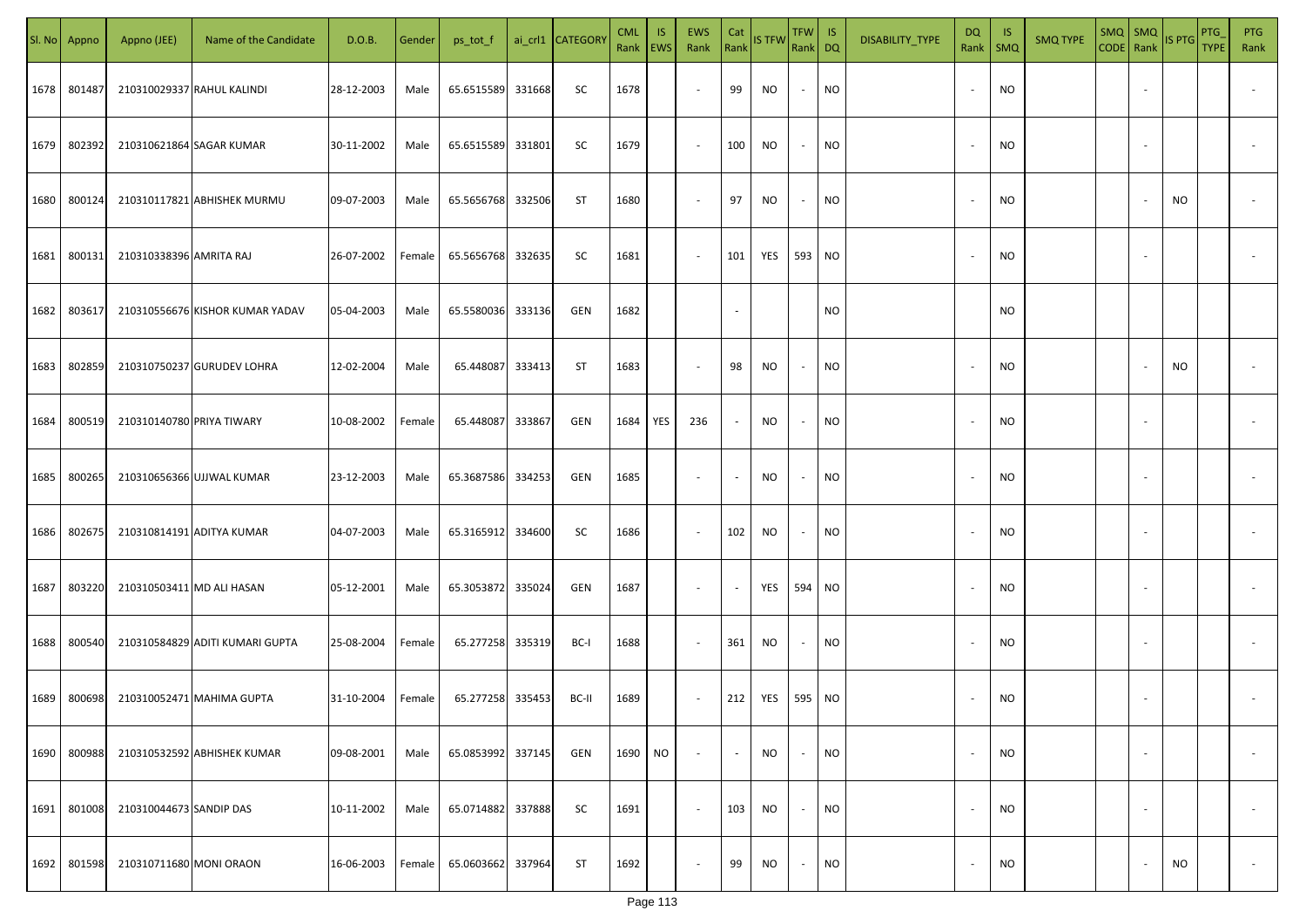|      | Sl. No Appno | Appno (JEE)               | Name of the Candidate           | D.O.B.     | Gender | ps_tot_f          |        | ai_crl1 CATEGORY | <b>CML</b><br>Rank   EWS | IS. | <b>EWS</b><br>Rank       | Cat<br>Rank              | <b>IS TFW</b> | $TFW$ IS<br>Rank DQ      |           | DISABILITY_TYPE | DQ                       | -IS<br>Rank   SMQ | <b>SMQ TYPE</b> | $\begin{array}{ c c c c }\n\hline\n\text{SMQ} & \text{SMQ} \\ \hline\n\text{CODE} & \text{Rank}\n\end{array}$ IS PTG |                          |     | PTG<br><b>TYPE</b> | <b>PTG</b><br>Rank       |
|------|--------------|---------------------------|---------------------------------|------------|--------|-------------------|--------|------------------|--------------------------|-----|--------------------------|--------------------------|---------------|--------------------------|-----------|-----------------|--------------------------|-------------------|-----------------|----------------------------------------------------------------------------------------------------------------------|--------------------------|-----|--------------------|--------------------------|
| 1678 | 801487       |                           | 210310029337 RAHUL KALINDI      | 28-12-2003 | Male   | 65.6515589        | 331668 | SC               | 1678                     |     | $\overline{\phantom{a}}$ | 99                       | NO            | $\sim$                   | <b>NO</b> |                 |                          | <b>NO</b>         |                 |                                                                                                                      |                          |     |                    |                          |
| 1679 | 802392       |                           | 210310621864 SAGAR KUMAR        | 30-11-2002 | Male   | 65.6515589        | 331801 | SC               | 1679                     |     | $\sim$                   | 100                      | NO            | $\sim$                   | <b>NO</b> |                 |                          | <b>NO</b>         |                 |                                                                                                                      |                          |     |                    |                          |
| 1680 | 800124       |                           | 210310117821 ABHISHEK MURMU     | 09-07-2003 | Male   | 65.5656768 332506 |        | ST               | 1680                     |     | $\overline{\phantom{a}}$ | 97                       | NO            | $\sim$                   | <b>NO</b> |                 |                          | <b>NO</b>         |                 |                                                                                                                      |                          | NO  |                    |                          |
| 1681 | 800131       | 210310338396 AMRITA RAJ   |                                 | 26-07-2002 | Female | 65.5656768        | 332635 | SC               | 1681                     |     | $\sim$                   | 101                      | YES           | 593 NO                   |           |                 |                          | <b>NO</b>         |                 |                                                                                                                      |                          |     |                    |                          |
| 1682 | 803617       |                           | 210310556676 KISHOR KUMAR YADAV | 05-04-2003 | Male   | 65.5580036        | 333136 | GEN              | 1682                     |     |                          | $\overline{\phantom{a}}$ |               |                          | NO        |                 |                          | <b>NO</b>         |                 |                                                                                                                      |                          |     |                    |                          |
| 1683 | 802859       |                           | 210310750237 GURUDEV LOHRA      | 12-02-2004 | Male   | 65.448087         | 333413 | ST               | 1683                     |     | $\overline{\phantom{a}}$ | 98                       | <b>NO</b>     | $\sim$                   | <b>NO</b> |                 |                          | <b>NO</b>         |                 |                                                                                                                      |                          | NO. |                    |                          |
| 1684 | 800519       | 210310140780 PRIYA TIWARY |                                 | 10-08-2002 | Female | 65.448087         | 333867 | GEN              | 1684                     | YES | 236                      | $\sim$                   | NO.           | $\sim$                   | <b>NO</b> |                 |                          | <b>NO</b>         |                 |                                                                                                                      |                          |     |                    |                          |
| 1685 | 800265       |                           | 210310656366 UJJWAL KUMAR       | 23-12-2003 | Male   | 65.3687586        | 334253 | GEN              | 1685                     |     | $\overline{\phantom{a}}$ | $\overline{\phantom{a}}$ | NO            | $\overline{\phantom{a}}$ | <b>NO</b> |                 |                          | <b>NO</b>         |                 |                                                                                                                      |                          |     |                    |                          |
| 1686 | 802675       |                           | 210310814191 ADITYA KUMAR       | 04-07-2003 | Male   | 65.3165912        | 334600 | SC               | 1686                     |     | $\sim$                   | 102                      | NO            | $\overline{\phantom{a}}$ | <b>NO</b> |                 |                          | <b>NO</b>         |                 |                                                                                                                      |                          |     |                    |                          |
| 1687 | 803220       | 210310503411 MD ALI HASAN |                                 | 05-12-2001 | Male   | 65.3053872        | 335024 | GEN              | 1687                     |     | $\sim$                   | $\overline{\phantom{a}}$ | YES           | 594 NO                   |           |                 |                          | <b>NO</b>         |                 |                                                                                                                      |                          |     |                    |                          |
| 1688 | 800540       |                           | 210310584829 ADITI KUMARI GUPTA | 25-08-2004 | Female | 65.277258 335319  |        | BC-I             | 1688                     |     | $\sim$                   | 361                      | <b>NO</b>     | $\sim$                   | <b>NO</b> |                 |                          | <b>NO</b>         |                 |                                                                                                                      |                          |     |                    |                          |
| 1689 | 800698       |                           | 210310052471 MAHIMA GUPTA       | 31-10-2004 | Female | 65.277258 335453  |        | BC-II            | 1689                     |     | $\sim$                   | 212                      | YES           | 595 NO                   |           |                 |                          | <b>NO</b>         |                 |                                                                                                                      |                          |     |                    |                          |
| 1690 | 800988       |                           | 210310532592 ABHISHEK KUMAR     | 09-08-2001 | Male   | 65.0853992        | 337145 | GEN              | 1690                     | NO. | $\overline{\phantom{a}}$ | $\overline{\phantom{a}}$ | <b>NO</b>     | $\overline{\phantom{a}}$ | <b>NO</b> |                 |                          | <b>NO</b>         |                 |                                                                                                                      | $\overline{\phantom{a}}$ |     |                    | $\overline{\phantom{a}}$ |
| 1691 | 801008       | 210310044673 SANDIP DAS   |                                 | 10-11-2002 | Male   | 65.0714882        | 337888 | SC               | 1691                     |     | $\sim$                   | 103                      | <b>NO</b>     | $\sim$                   | <b>NO</b> |                 | $\overline{\phantom{a}}$ | <b>NO</b>         |                 |                                                                                                                      | $\overline{\phantom{a}}$ |     |                    | $\overline{\phantom{a}}$ |
| 1692 | 801598       | 210310711680 MONI ORAON   |                                 | 16-06-2003 | Female | 65.0603662        | 337964 | ST               | 1692                     |     | $\overline{\phantom{a}}$ | 99                       | NO            | $\sim$                   | <b>NO</b> |                 |                          | <b>NO</b>         |                 |                                                                                                                      |                          | NO  |                    | $\sim$                   |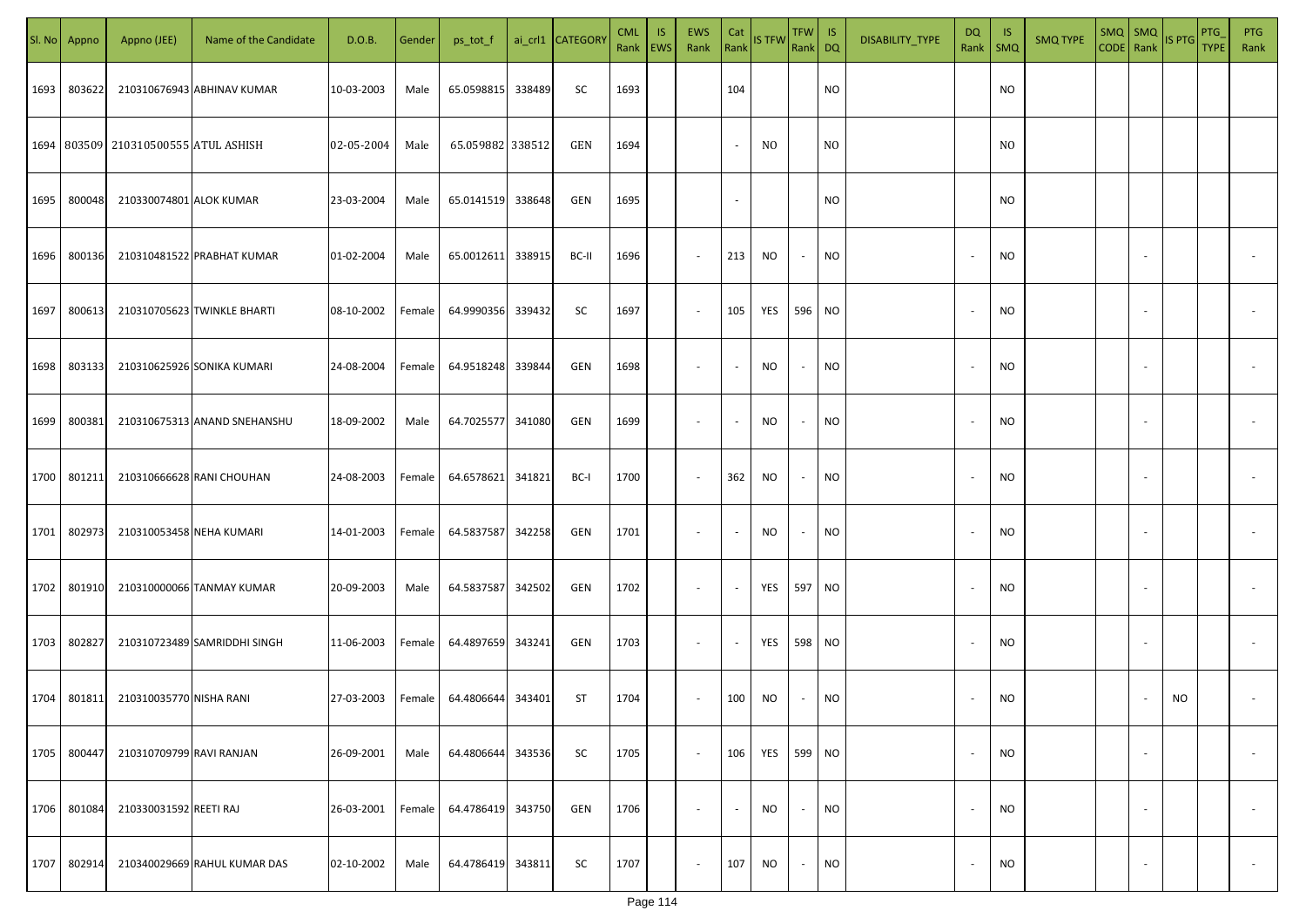| SI. No. | Appno  | Appno (JEE)                          | Name of the Candidate        | D.O.B.     | Gender | ps_tot_f          | ai_crl1 CATEGORY | <b>CML</b> | <b>IS</b><br>Rank EWS | EWS<br>Rank              | Cat            | Rank IS TFW | TFW IS<br>Rank DQ |                 | DISABILITY_TYPE | DQ<br>Rank               | -IS<br>SMQ | <b>SMQ TYPE</b> | $SMQ$ SMQ<br>CODE Rank IS PTG |                          |           | PTG<br><b>TYPE</b> | <b>PTG</b><br>Rank |
|---------|--------|--------------------------------------|------------------------------|------------|--------|-------------------|------------------|------------|-----------------------|--------------------------|----------------|-------------|-------------------|-----------------|-----------------|--------------------------|------------|-----------------|-------------------------------|--------------------------|-----------|--------------------|--------------------|
| 1693    | 803622 |                                      | 210310676943 ABHINAV KUMAR   | 10-03-2003 | Male   | 65.0598815 338489 | SC               | 1693       |                       |                          | 104            |             |                   | <b>NO</b>       |                 |                          | <b>NO</b>  |                 |                               |                          |           |                    |                    |
|         |        | 1694 803509 210310500555 ATUL ASHISH |                              | 02-05-2004 | Male   | 65.059882 338512  | GEN              | 1694       |                       |                          | $\blacksquare$ | NO.         |                   | N <sub>O</sub>  |                 |                          | NO.        |                 |                               |                          |           |                    |                    |
| 1695    | 800048 | 210330074801 ALOK KUMAR              |                              | 23-03-2004 | Male   | 65.0141519 338648 | GEN              | 1695       |                       |                          | $\sim$         |             |                   | <b>NO</b>       |                 |                          | <b>NO</b>  |                 |                               |                          |           |                    |                    |
| 1696    | 800136 |                                      | 210310481522 PRABHAT KUMAR   | 01-02-2004 | Male   | 65.0012611 338915 | BC-II            | 1696       |                       | $\sim$                   | 213            | NO          | $\sim$            | <b>NO</b>       |                 | $\overline{\phantom{a}}$ | <b>NO</b>  |                 |                               |                          |           |                    |                    |
| 1697    | 800613 |                                      | 210310705623 TWINKLE BHARTI  | 08-10-2002 | Female | 64.9990356 339432 | SC               | 1697       |                       | $\sim$                   | 105            | YES         | 596 NO            |                 |                 | $\overline{\phantom{a}}$ | NO         |                 |                               |                          |           |                    |                    |
| 1698    | 803133 |                                      | 210310625926 SONIKA KUMARI   | 24-08-2004 | Female | 64.9518248 339844 | GEN              | 1698       |                       | $\overline{\phantom{a}}$ | $\sim$         | NO          | $\sim$            | <b>NO</b>       |                 | $\overline{\phantom{a}}$ | <b>NO</b>  |                 |                               |                          |           |                    |                    |
| 1699    | 800381 |                                      | 210310675313 ANAND SNEHANSHU | 18-09-2002 | Male   | 64.7025577 341080 | GEN              | 1699       |                       | $\sim$                   | $\sim$         | NO          | $\sim$            | <b>NO</b>       |                 | $\overline{\phantom{a}}$ | <b>NO</b>  |                 |                               |                          |           |                    |                    |
| 1700    | 801211 |                                      | 210310666628 RANI CHOUHAN    | 24-08-2003 | Female | 64.6578621 341821 | BC-I             | 1700       |                       | $\sim$                   | 362            | NO          | $\sim$            | <b>NO</b>       |                 | $\overline{\phantom{a}}$ | <b>NO</b>  |                 |                               |                          |           |                    |                    |
| 1701    | 802973 | 210310053458 NEHA KUMARI             |                              | 14-01-2003 | Female | 64.5837587 342258 | GEN              | 1701       |                       | $\sim$                   | $\sim$         | NO          | $\sim$            | <b>NO</b>       |                 | $\overline{\phantom{a}}$ | NO         |                 |                               |                          |           |                    |                    |
| 1702    | 801910 |                                      | 210310000066 TANMAY KUMAR    | 20-09-2003 | Male   | 64.5837587 342502 | GEN              | 1702       |                       | $\sim$                   | $\sim$         | YES         | 597               | NO <sub>1</sub> |                 | $\overline{\phantom{a}}$ | <b>NO</b>  |                 |                               |                          |           |                    |                    |
| 1703    | 802827 |                                      | 210310723489 SAMRIDDHI SINGH | 11-06-2003 | Female | 64.4897659 343241 | GEN              | 1703       |                       | $\overline{\phantom{a}}$ | $\sim$         | YES         | 598 NO            |                 |                 | $\overline{\phantom{a}}$ | <b>NO</b>  |                 |                               |                          |           |                    |                    |
| 1704    | 801811 | 210310035770 NISHA RANI              |                              | 27-03-2003 | Female | 64.4806644 343401 | ST               | 1704       |                       | $\sim$                   | 100            | NO          | $\sim$            | <b>NO</b>       |                 | $\overline{\phantom{a}}$ | <b>NO</b>  |                 |                               |                          | <b>NO</b> |                    |                    |
| 1705    | 800447 | 210310709799 RAVI RANJAN             |                              | 26-09-2001 | Male   | 64.4806644 343536 | SC               | 1705       |                       | $\sim$                   | 106            | YES         | 599               | <b>NO</b>       |                 | $\overline{\phantom{a}}$ | NO         |                 |                               | $\sim$                   |           |                    | $\sim$             |
| 1706    | 801084 | 210330031592 REETI RAJ               |                              | 26-03-2001 | Female | 64.4786419 343750 | GEN              | 1706       |                       | $\sim$                   | $\sim$         | NO          | $\sim$            | <b>NO</b>       |                 | $\overline{\phantom{a}}$ | <b>NO</b>  |                 |                               | $\sim$                   |           |                    | $\sim$             |
| 1707    | 802914 |                                      | 210340029669 RAHUL KUMAR DAS | 02-10-2002 | Male   | 64.4786419 343811 | SC               | 1707       |                       | $\sim$                   | 107            | NO          | $\sim$            | <b>NO</b>       |                 | $\overline{\phantom{a}}$ | <b>NO</b>  |                 |                               | $\overline{\phantom{a}}$ |           |                    | $\sim$             |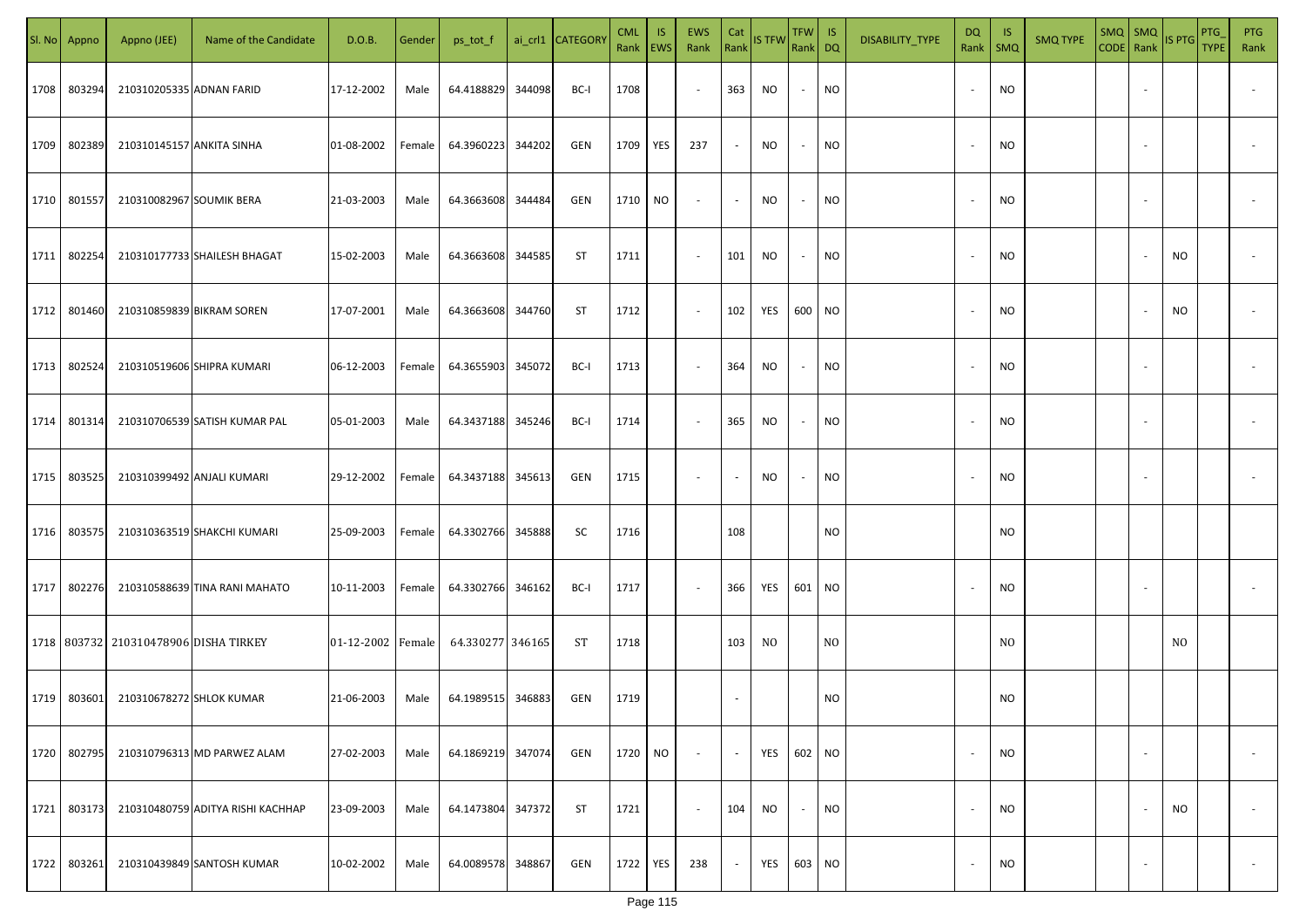| SI. No | Appno       | Appno (JEE)                               | Name of the Candidate             | D.O.B.            | Gender | ps_tot_f          |        | ai_crl1 CATEGORY | <b>CML</b><br>Rank   EWS | IS.       | EWS<br>Rank              | Cat<br>Rank    | <b>IS TFW</b> | $TFW$ IS<br>Rank DQ |                 | DISABILITY_TYPE | DQ                       | - IS<br>Rank   SMQ | <b>SMQ TYPE</b> | $\left \frac{\text{SMQ}}{\text{CODE}}\right \frac{\text{SMQ}}{\text{Rank}}\left \frac{\text{IS PTG}}{\text{B}}\right $ |                          |     | PTG<br><b>TYPE</b> | <b>PTG</b><br>Rank       |
|--------|-------------|-------------------------------------------|-----------------------------------|-------------------|--------|-------------------|--------|------------------|--------------------------|-----------|--------------------------|----------------|---------------|---------------------|-----------------|-----------------|--------------------------|--------------------|-----------------|------------------------------------------------------------------------------------------------------------------------|--------------------------|-----|--------------------|--------------------------|
| 1708   | 803294      | 210310205335 ADNAN FARID                  |                                   | 17-12-2002        | Male   | 64.4188829        | 344098 | BC-I             | 1708                     |           | $\sim$                   | 363            | NO            | $\sim$              | <b>NO</b>       |                 |                          | <b>NO</b>          |                 |                                                                                                                        |                          |     |                    |                          |
| 1709   | 802389      | 210310145157 ANKITA SINHA                 |                                   | 01-08-2002        | Female | 64.3960223        | 344202 | GEN              | 1709                     | YES       | 237                      | $\sim$         | NO.           | $\sim$              | <b>NO</b>       |                 |                          | <b>NO</b>          |                 |                                                                                                                        |                          |     |                    |                          |
| 1710   | 801557      | 210310082967 SOUMIK BERA                  |                                   | 21-03-2003        | Male   | 64.3663608        | 344484 | GEN              | 1710                     | NO        | $\sim$                   | $\sim$         | NO            | $\sim$              | <b>NO</b>       |                 | $\overline{\phantom{a}}$ | <b>NO</b>          |                 |                                                                                                                        |                          |     |                    |                          |
| 1711   | 802254      |                                           | 210310177733 SHAILESH BHAGAT      | 15-02-2003        | Male   | 64.3663608        | 344585 | ST               | 1711                     |           | $\sim$                   | 101            | NO            | $\sim$              | <b>NO</b>       |                 | $\sim$                   | <b>NO</b>          |                 |                                                                                                                        |                          | NO  |                    |                          |
| 1712   | 801460      |                                           | 210310859839 BIKRAM SOREN         | 17-07-2001        | Male   | 64.3663608        | 344760 | ST               | 1712                     |           | $\sim$                   | 102            | YES           | 600 NO              |                 |                 | $\sim$                   | <b>NO</b>          |                 |                                                                                                                        |                          | NO  |                    |                          |
| 1713   | 802524      |                                           | 210310519606 SHIPRA KUMARI        | 06-12-2003        | Female | 64.3655903        | 345072 | BC-I             | 1713                     |           | $\sim$                   | 364            | NO            | $\sim$              | NO <sub>1</sub> |                 |                          | <b>NO</b>          |                 |                                                                                                                        |                          |     |                    |                          |
| 1714   | 801314      |                                           | 210310706539 SATISH KUMAR PAL     | 05-01-2003        | Male   | 64.3437188        | 345246 | BC-I             | 1714                     |           | $\sim$                   | 365            | <b>NO</b>     | $\sim$              | NO <sub>1</sub> |                 |                          | <b>NO</b>          |                 |                                                                                                                        |                          |     |                    |                          |
| 1715   | 803525      |                                           | 210310399492 ANJALI KUMARI        | 29-12-2002        | Female | 64.3437188        | 345613 | GEN              | 1715                     |           | $\overline{\phantom{a}}$ | $\blacksquare$ | <b>NO</b>     | $\sim$              | <b>NO</b>       |                 |                          | <b>NO</b>          |                 |                                                                                                                        |                          |     |                    |                          |
| 1716   | 803575      |                                           | 210310363519 SHAKCHI KUMARI       | 25-09-2003        | Female | 64.3302766        | 345888 | <b>SC</b>        | 1716                     |           |                          | 108            |               |                     | <b>NO</b>       |                 |                          | <b>NO</b>          |                 |                                                                                                                        |                          |     |                    |                          |
| 1717   | 802276      |                                           | 210310588639 TINA RANI MAHATO     | 10-11-2003        | Female | 64.3302766        | 346162 | BC-I             | 1717                     |           | $\sim$                   | 366            | YES           | 601 NO              |                 |                 |                          | <b>NO</b>          |                 |                                                                                                                        |                          |     |                    |                          |
|        |             | 1718   803732   210310478906 DISHA TIRKEY |                                   | 01-12-2002 Female |        | 64.330277 346165  |        | ST               | 1718                     |           |                          | 103            | NO.           |                     | N <sub>O</sub>  |                 |                          | N <sub>O</sub>     |                 |                                                                                                                        |                          | NO. |                    |                          |
|        | 1719 803601 | 210310678272 SHLOK KUMAR                  |                                   | 21-06-2003        | Male   | 64.1989515 346883 |        | GEN              | 1719                     |           |                          |                |               |                     | <b>NO</b>       |                 |                          | <b>NO</b>          |                 |                                                                                                                        |                          |     |                    |                          |
| 1720   | 802795      |                                           | 210310796313 MD PARWEZ ALAM       | 27-02-2003        | Male   | 64.1869219        | 347074 | GEN              | 1720                     | <b>NO</b> | $\sim$                   | $\sim$         | YES           | 602 NO              |                 |                 |                          | <b>NO</b>          |                 |                                                                                                                        | $\overline{\phantom{a}}$ |     |                    | $\overline{\phantom{a}}$ |
| 1721   | 803173      |                                           | 210310480759 ADITYA RISHI KACHHAP | 23-09-2003        | Male   | 64.1473804        | 347372 | ST               | 1721                     |           | $\sim$                   | 104            | NO            | $\sim$              | <b>NO</b>       |                 | $\overline{\phantom{a}}$ | <b>NO</b>          |                 |                                                                                                                        |                          | NO  |                    | $\overline{\phantom{a}}$ |
| 1722   | 803261      |                                           | 210310439849 SANTOSH KUMAR        | 10-02-2002        | Male   | 64.0089578        | 348867 | GEN              | 1722                     | YES       | 238                      | $\sim$         | YES           | 603 NO              |                 |                 |                          | <b>NO</b>          |                 |                                                                                                                        | $\overline{\phantom{a}}$ |     |                    | $\overline{\phantom{a}}$ |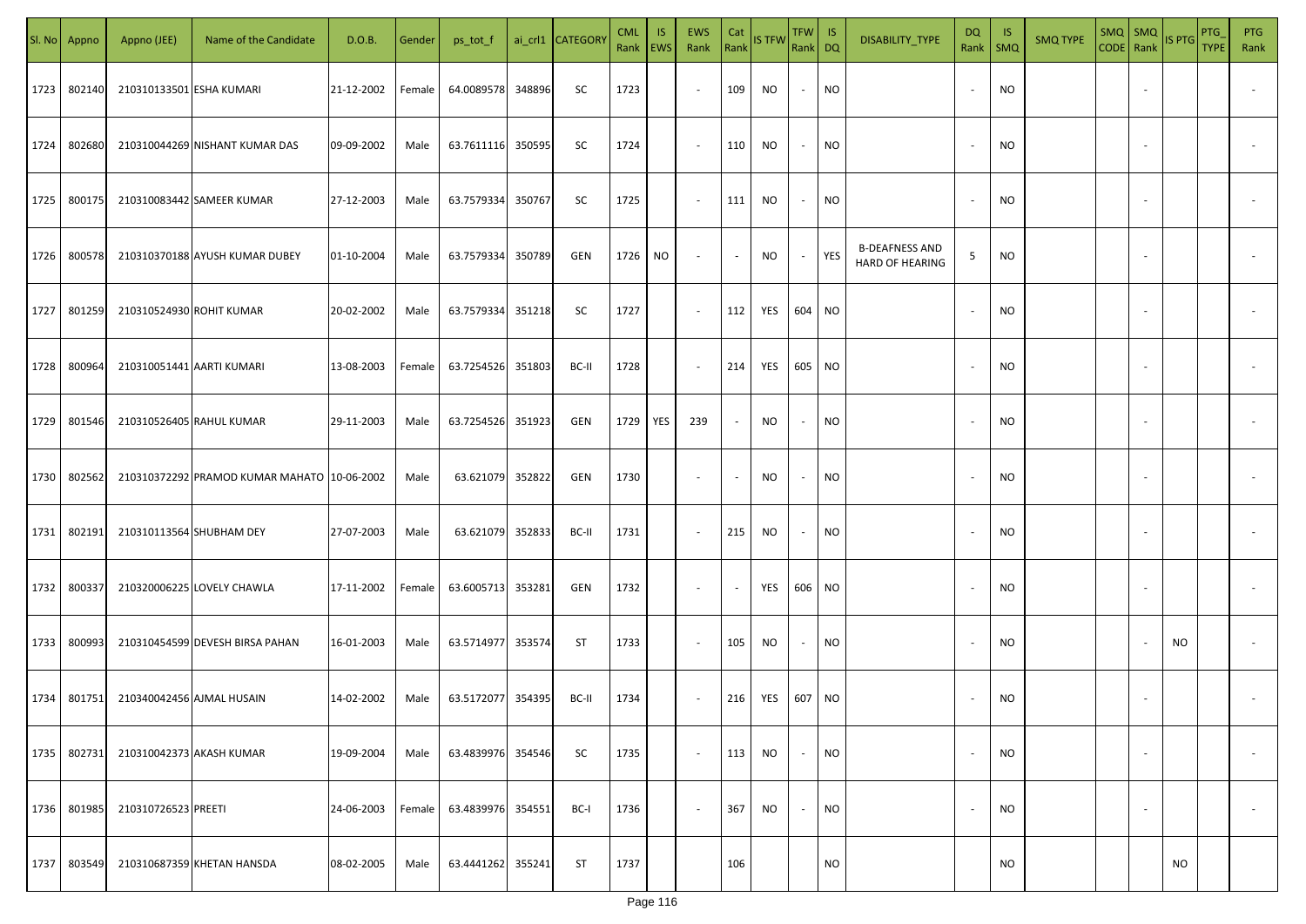|      | Sl. No Appno | Appno (JEE)               | Name of the Candidate                       | D.O.B.     | Gender | ps_tot_f          |        | ai_crl1 CATEGORY | <b>CML</b><br>Rank   EWS | IS. | <b>EWS</b><br>Rank       | Cat<br>Rank              | <b>IS TFW</b> | $TFW$ IS<br>Rank DQ      |           | DISABILITY_TYPE                          | <b>DQ</b> | -IS<br>Rank   SMQ | <b>SMQ TYPE</b> | CODE Rank IS PTG | SMQ   SMQ                |           | <b>PTG</b><br><b>TYPE</b> | <b>PTG</b><br>Rank       |
|------|--------------|---------------------------|---------------------------------------------|------------|--------|-------------------|--------|------------------|--------------------------|-----|--------------------------|--------------------------|---------------|--------------------------|-----------|------------------------------------------|-----------|-------------------|-----------------|------------------|--------------------------|-----------|---------------------------|--------------------------|
| 1723 | 802140       | 210310133501 ESHA KUMARI  |                                             | 21-12-2002 | Female | 64.0089578        | 348896 | SC               | 1723                     |     | $\sim$                   | 109                      | NO            | $\sim$                   | <b>NO</b> |                                          |           | <b>NO</b>         |                 |                  |                          |           |                           |                          |
| 1724 | 802680       |                           | 210310044269 NISHANT KUMAR DAS              | 09-09-2002 | Male   | 63.7611116 350595 |        | SC               | 1724                     |     | $\sim$                   | 110                      | NO            | $\sim$                   | <b>NO</b> |                                          |           | <b>NO</b>         |                 |                  |                          |           |                           |                          |
| 1725 | 800175       |                           | 210310083442 SAMEER KUMAR                   | 27-12-2003 | Male   | 63.7579334        | 350767 | SC               | 1725                     |     | $\sim$                   | 111                      | NO            | $\overline{\phantom{a}}$ | <b>NO</b> |                                          |           | <b>NO</b>         |                 |                  |                          |           |                           |                          |
| 1726 | 800578       |                           | 210310370188 AYUSH KUMAR DUBEY              | 01-10-2004 | Male   | 63.7579334        | 350789 | GEN              | 1726                     | NO  | $\overline{\phantom{a}}$ | $\sim$                   | NO            | $\overline{\phantom{a}}$ | YES       | <b>B-DEAFNESS AND</b><br>HARD OF HEARING | 5         | NO                |                 |                  |                          |           |                           |                          |
| 1727 | 801259       | 210310524930 ROHIT KUMAR  |                                             | 20-02-2002 | Male   | 63.7579334        | 351218 | SC               | 1727                     |     | $\overline{\phantom{a}}$ | 112                      | YES           | 604 NO                   |           |                                          |           | <b>NO</b>         |                 |                  |                          |           |                           |                          |
| 1728 | 800964       | 210310051441 AARTI KUMARI |                                             | 13-08-2003 | Female | 63.7254526        | 351803 | BC-II            | 1728                     |     | $\overline{\phantom{a}}$ | 214                      | YES           | 605 NO                   |           |                                          |           | <b>NO</b>         |                 |                  |                          |           |                           |                          |
| 1729 | 801546       |                           | 210310526405 RAHUL KUMAR                    | 29-11-2003 | Male   | 63.7254526        | 351923 | GEN              | 1729                     | YES | 239                      | $\overline{\phantom{a}}$ | NO            | $\overline{\phantom{a}}$ | <b>NO</b> |                                          |           | <b>NO</b>         |                 |                  |                          |           |                           |                          |
| 1730 | 802562       |                           | 210310372292 PRAMOD KUMAR MAHATO 10-06-2002 |            | Male   | 63.621079         | 352822 | GEN              | 1730                     |     | $\overline{\phantom{a}}$ | $\sim$                   | NO            |                          | <b>NO</b> |                                          |           | <b>NO</b>         |                 |                  |                          |           |                           |                          |
| 1731 | 802191       | 210310113564 SHUBHAM DEY  |                                             | 27-07-2003 | Male   | 63.621079         | 352833 | BC-II            | 1731                     |     | $\sim$                   | 215                      | <b>NO</b>     | $\overline{\phantom{a}}$ | <b>NO</b> |                                          |           | NO                |                 |                  |                          |           |                           |                          |
| 1732 | 800337       |                           | 210320006225 LOVELY CHAWLA                  | 17-11-2002 | Female | 63.6005713        | 353281 | GEN              | 1732                     |     | $\sim$                   | $\overline{\phantom{a}}$ | YES           | 606 NO                   |           |                                          |           | <b>NO</b>         |                 |                  |                          |           |                           |                          |
| 1733 | 800993       |                           | 210310454599 DEVESH BIRSA PAHAN             | 16-01-2003 | Male   | 63.5714977        | 353574 | ST               | 1733                     |     | $\sim$                   | 105                      | NO.           | $\overline{\phantom{a}}$ | <b>NO</b> |                                          |           | <b>NO</b>         |                 |                  |                          | NO.       |                           |                          |
| 1734 | 801751       | 210340042456 AJMAL HUSAIN |                                             | 14-02-2002 | Male   | 63.5172077        | 354395 | BC-II            | 1734                     |     | $\sim$                   | 216                      | YES           | 607 NO                   |           |                                          |           | <b>NO</b>         |                 |                  |                          |           |                           |                          |
| 1735 | 802731       | 210310042373 AKASH KUMAR  |                                             | 19-09-2004 | Male   | 63.4839976        | 354546 | SC               | 1735                     |     | $\blacksquare$           | 113                      | NO            | $\sim$                   | <b>NO</b> |                                          |           | <b>NO</b>         |                 |                  | $\overline{\phantom{a}}$ |           |                           | $\overline{\phantom{a}}$ |
| 1736 | 801985       | 210310726523 PREETI       |                                             | 24-06-2003 | Female | 63.4839976        | 354551 | BC-I             | 1736                     |     | $\sim$                   | 367                      | <b>NO</b>     | $\sim$                   | <b>NO</b> |                                          |           | <b>NO</b>         |                 |                  | $\overline{\phantom{a}}$ |           |                           | $\overline{\phantom{a}}$ |
| 1737 | 803549       |                           | 210310687359 KHETAN HANSDA                  | 08-02-2005 | Male   | 63.4441262        | 355241 | ST               | 1737                     |     |                          | 106                      |               |                          | <b>NO</b> |                                          |           | <b>NO</b>         |                 |                  |                          | <b>NO</b> |                           |                          |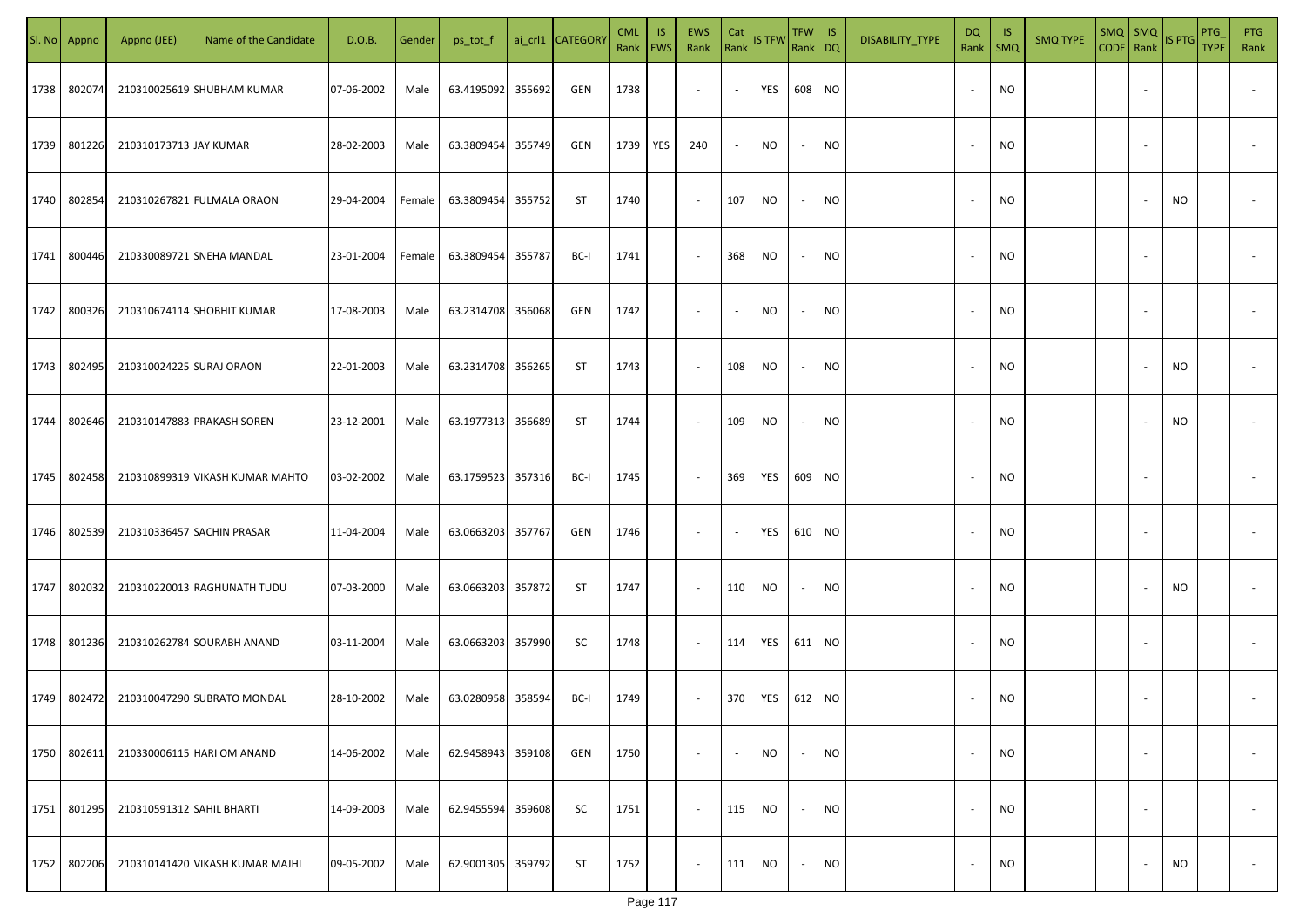|      | Sl. No Appno | Appno (JEE)               | Name of the Candidate           | D.O.B.     | Gender | ps_tot_f          |        | ai_crl1 CATEGORY | <b>CML</b> | IS.<br>Rank   EWS | EWS<br>Rank              | Cat<br>Rank              | <b>IS TFW</b> | $TFW$ IS<br>Rank DQ      |           | DISABILITY_TYPE | <b>DQ</b><br>Rank        | - IS<br>$\mathsf{SMQ}$ | <b>SMQ TYPE</b> | $\begin{array}{ c c c c }\n\hline\n\text{SMQ} & \text{SMQ} \\ \hline\n\text{CODE} & \text{Rank}\n\end{array}$ IS PTG |                          |     | <b>PTG</b><br><b>TYPE</b> | <b>PTG</b><br>Rank       |
|------|--------------|---------------------------|---------------------------------|------------|--------|-------------------|--------|------------------|------------|-------------------|--------------------------|--------------------------|---------------|--------------------------|-----------|-----------------|--------------------------|------------------------|-----------------|----------------------------------------------------------------------------------------------------------------------|--------------------------|-----|---------------------------|--------------------------|
| 1738 | 802074       |                           | 210310025619 SHUBHAM KUMAR      | 07-06-2002 | Male   | 63.4195092        | 355692 | GEN              | 1738       |                   | $\blacksquare$           | $\overline{\phantom{a}}$ | YES           | 608                      | <b>NO</b> |                 |                          | <b>NO</b>              |                 |                                                                                                                      | $\sim$                   |     |                           |                          |
| 1739 | 801226       | 210310173713 JAY KUMAR    |                                 | 28-02-2003 | Male   | 63.3809454        | 355749 | GEN              | 1739       | <b>YES</b>        | 240                      |                          | <b>NO</b>     |                          | <b>NO</b> |                 |                          | <b>NO</b>              |                 |                                                                                                                      |                          |     |                           |                          |
| 1740 | 802854       |                           | 210310267821 FULMALA ORAON      | 29-04-2004 | Female | 63.3809454        | 355752 | <b>ST</b>        | 1740       |                   | $\sim$                   | 107                      | <b>NO</b>     | $\overline{\phantom{a}}$ | <b>NO</b> |                 | $\overline{\phantom{a}}$ | <b>NO</b>              |                 |                                                                                                                      |                          | NO. |                           |                          |
| 1741 | 800446       |                           | 210330089721 SNEHA MANDAL       | 23-01-2004 | Female | 63.3809454        | 355787 | BC-I             | 1741       |                   | $\sim$                   | 368                      | NO            | $\overline{\phantom{a}}$ | <b>NO</b> |                 | $\sim$                   | <b>NO</b>              |                 |                                                                                                                      |                          |     |                           |                          |
| 1742 | 800326       |                           | 210310674114 SHOBHIT KUMAR      | 17-08-2003 | Male   | 63.2314708        | 356068 | GEN              | 1742       |                   | $\overline{\phantom{a}}$ |                          | <b>NO</b>     | $\overline{\phantom{a}}$ | <b>NO</b> |                 | $\sim$                   | <b>NO</b>              |                 |                                                                                                                      | $\overline{\phantom{a}}$ |     |                           |                          |
| 1743 | 802495       | 210310024225 SURAJ ORAON  |                                 | 22-01-2003 | Male   | 63.2314708 356265 |        | ST               | 1743       |                   | $\overline{\phantom{a}}$ | 108                      | <b>NO</b>     | $\overline{\phantom{a}}$ | <b>NO</b> |                 |                          | <b>NO</b>              |                 |                                                                                                                      |                          | NO. |                           |                          |
| 1744 | 802646       |                           | 210310147883 PRAKASH SOREN      | 23-12-2001 | Male   | 63.1977313 356689 |        | ST               | 1744       |                   | $\overline{\phantom{a}}$ | 109                      | NO.           | $\overline{\phantom{a}}$ | <b>NO</b> |                 |                          | NO.                    |                 |                                                                                                                      |                          | NO  |                           |                          |
| 1745 | 802458       |                           | 210310899319 VIKASH KUMAR MAHTO | 03-02-2002 | Male   | 63.1759523 357316 |        | BC-I             | 1745       |                   | $\overline{\phantom{a}}$ | 369                      | YES           | 609                      | <b>NO</b> |                 |                          | <b>NO</b>              |                 |                                                                                                                      |                          |     |                           |                          |
| 1746 | 802539       |                           | 210310336457 SACHIN PRASAR      | 11-04-2004 | Male   | 63.0663203 357767 |        | GEN              | 1746       |                   | $\overline{\phantom{a}}$ |                          | YES           | 610                      | <b>NO</b> |                 |                          | <b>NO</b>              |                 |                                                                                                                      |                          |     |                           |                          |
| 1747 | 802032       |                           | 210310220013 RAGHUNATH TUDU     | 07-03-2000 | Male   | 63.0663203 357872 |        | ST               | 1747       |                   | $\overline{\phantom{a}}$ | 110                      | <b>NO</b>     |                          | <b>NO</b> |                 |                          | <b>NO</b>              |                 |                                                                                                                      |                          | NO. |                           |                          |
| 1748 | 801236       |                           | 210310262784 SOURABH ANAND      | 03-11-2004 | Male   | 63.0663203 357990 |        | SC               | 1748       |                   | $\sim$                   | 114                      | YES           | 611 NO                   |           |                 |                          | <b>NO</b>              |                 |                                                                                                                      |                          |     |                           |                          |
| 1749 | 802472       |                           | 210310047290 SUBRATO MONDAL     | 28-10-2002 | Male   | 63.0280958        | 358594 | BC-I             | 1749       |                   | $\overline{\phantom{a}}$ | 370                      | YES 612 NO    |                          |           |                 |                          | <b>NO</b>              |                 |                                                                                                                      |                          |     |                           |                          |
| 1750 | 802611       |                           | 210330006115 HARI OM ANAND      | 14-06-2002 | Male   | 62.9458943        | 359108 | GEN              | 1750       |                   | $\overline{\phantom{a}}$ |                          | <b>NO</b>     |                          | <b>NO</b> |                 |                          | <b>NO</b>              |                 |                                                                                                                      | $\overline{\phantom{a}}$ |     |                           | $\overline{\phantom{a}}$ |
| 1751 | 801295       | 210310591312 SAHIL BHARTI |                                 | 14-09-2003 | Male   | 62.9455594        | 359608 | SC               | 1751       |                   | $\blacksquare$           | 115                      | <b>NO</b>     | $\overline{\phantom{a}}$ | <b>NO</b> |                 | $\sim$                   | <b>NO</b>              |                 |                                                                                                                      | $\overline{\phantom{a}}$ |     |                           | $\overline{\phantom{a}}$ |
| 1752 | 802206       |                           | 210310141420 VIKASH KUMAR MAJHI | 09-05-2002 | Male   | 62.9001305 359792 |        | ST               | 1752       |                   | $\overline{\phantom{a}}$ | 111                      | NO            | $\sim$                   | <b>NO</b> |                 |                          | NO                     |                 |                                                                                                                      |                          | NO  |                           | $\overline{\phantom{a}}$ |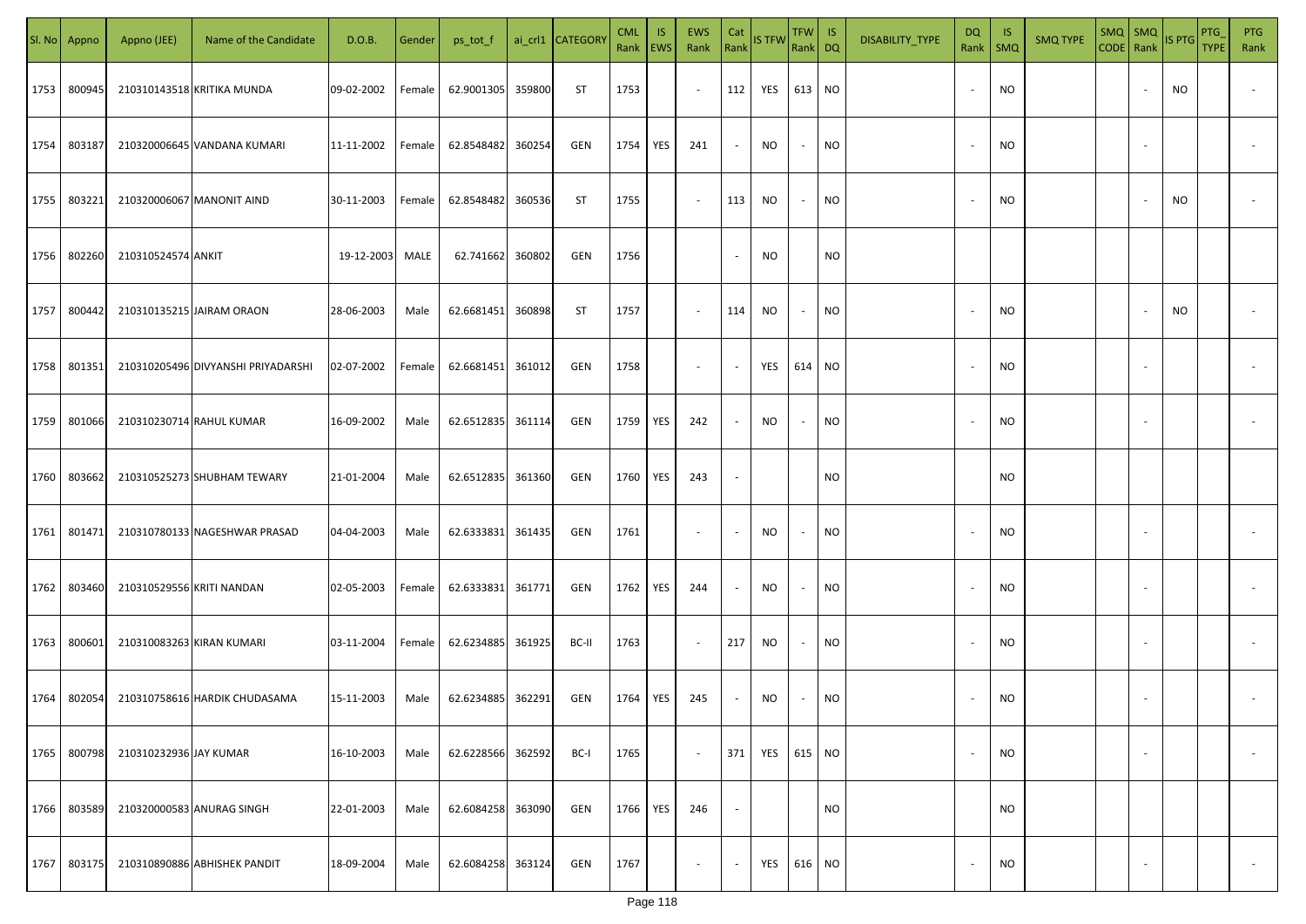| SI. No | Appno  | Appno (JEE)               | Name of the Candidate              | D.O.B.     | Gender | ps_tot_f          |        | ai_crl1 CATEGORY | <b>CML</b><br>Rank   EWS | <b>IS</b> | EWS<br>Rank              | Cat                      | Rank IS TFW | $TFW$ IS<br>Rank DQ |           | DISABILITY_TYPE | <b>DQ</b><br>Rank   SMQ  | -IS       | <b>SMQ TYPE</b> | $SMQ$ SMQ<br>CODE Rank |                          | IS PTG    | PTG<br><b>TYPE</b> | <b>PTG</b><br>Rank |
|--------|--------|---------------------------|------------------------------------|------------|--------|-------------------|--------|------------------|--------------------------|-----------|--------------------------|--------------------------|-------------|---------------------|-----------|-----------------|--------------------------|-----------|-----------------|------------------------|--------------------------|-----------|--------------------|--------------------|
| 1753   | 800945 |                           | 210310143518 KRITIKA MUNDA         | 09-02-2002 | Female | 62.9001305        | 359800 | ST               | 1753                     |           | $\sim$                   | 112                      | YES         | 613 NO              |           |                 | $\overline{\phantom{a}}$ | NO.       |                 |                        |                          | <b>NO</b> |                    |                    |
| 1754   | 803187 |                           | 210320006645 VANDANA KUMARI        | 11-11-2002 | Female | 62.8548482 360254 |        | GEN              | 1754                     | YES       | 241                      | $\sim$                   | NO          | $\sim$              | <b>NO</b> |                 | $\overline{\phantom{a}}$ | NO.       |                 |                        | $\sim$                   |           |                    |                    |
| 1755   | 803221 |                           | 210320006067 MANONIT AIND          | 30-11-2003 | Female | 62.8548482 360536 |        | ST               | 1755                     |           | $\sim$                   | 113                      | NO          | $\sim$              | <b>NO</b> |                 | $\overline{\phantom{a}}$ | NO.       |                 |                        |                          | <b>NO</b> |                    |                    |
| 1756   | 802260 | 210310524574 ANKIT        |                                    | 19-12-2003 | MALE   | 62.741662 360802  |        | GEN              | 1756                     |           |                          | $\overline{\phantom{a}}$ | NO          |                     | <b>NO</b> |                 |                          |           |                 |                        |                          |           |                    |                    |
| 1757   | 800442 |                           | 210310135215 JAIRAM ORAON          | 28-06-2003 | Male   | 62.6681451 360898 |        | ST               | 1757                     |           | $\sim$                   | 114                      | NO          | $\sim$              | NO        |                 | $\sim$                   | NO.       |                 |                        | $\sim$                   | NO        |                    |                    |
| 1758   | 801351 |                           | 210310205496 DIVYANSHI PRIYADARSHI | 02-07-2002 | Female | 62.6681451 361012 |        | GEN              | 1758                     |           | $\overline{\phantom{a}}$ | $\sim$                   | YES         | 614 NO              |           |                 |                          | NO.       |                 |                        |                          |           |                    |                    |
| 1759   | 801066 |                           | 210310230714 RAHUL KUMAR           | 16-09-2002 | Male   | 62.6512835 361114 |        | GEN              | 1759                     | YES       | 242                      | $\sim$                   | NO.         | $\sim$              | <b>NO</b> |                 |                          | NO.       |                 |                        |                          |           |                    |                    |
| 1760   | 803662 |                           | 210310525273 SHUBHAM TEWARY        | 21-01-2004 | Male   | 62.6512835 361360 |        | GEN              | 1760                     | YES       | 243                      | $\overline{\phantom{a}}$ |             |                     | <b>NO</b> |                 |                          | NO.       |                 |                        |                          |           |                    |                    |
| 1761   | 801471 |                           | 210310780133 NAGESHWAR PRASAD      | 04-04-2003 | Male   | 62.6333831 361435 |        | GEN              | 1761                     |           | $\sim$                   | $\overline{\phantom{a}}$ | NO.         | $\sim$              | <b>NO</b> |                 |                          | NO.       |                 |                        |                          |           |                    |                    |
| 1762   | 803460 | 210310529556 KRITI NANDAN |                                    | 02-05-2003 | Female | 62.6333831 361771 |        | GEN              | 1762                     | YES       | 244                      | $\sim$                   | NO          | $\sim$              | <b>NO</b> |                 |                          | NO.       |                 |                        |                          |           |                    |                    |
| 1763   | 800601 | 210310083263 KIRAN KUMARI |                                    | 03-11-2004 | Female | 62.6234885 361925 |        | BC-II            | 1763                     |           | $\sim$                   | 217                      | NO          | $\sim$              | <b>NO</b> |                 |                          | <b>NO</b> |                 |                        |                          |           |                    |                    |
| 1764   | 802054 |                           | 210310758616 HARDIK CHUDASAMA      | 15-11-2003 | Male   | 62.6234885 362291 |        | GEN              | 1764                     | YES       | 245                      | $\sim$                   | NO          | $\sim$              | <b>NO</b> |                 |                          | <b>NO</b> |                 |                        |                          |           |                    |                    |
| 1765   | 800798 | 210310232936 JAY KUMAR    |                                    | 16-10-2003 | Male   | 62.6228566 362592 |        | BC-I             | 1765                     |           | $\sim$                   | 371                      | YES         | 615 NO              |           |                 | $\overline{\phantom{a}}$ | <b>NO</b> |                 |                        | $\overline{\phantom{a}}$ |           |                    | $\sim$             |
| 1766   | 803589 |                           | 210320000583 ANURAG SINGH          | 22-01-2003 | Male   | 62.6084258 363090 |        | GEN              | 1766                     | YES       | 246                      | $\sim$                   |             |                     | <b>NO</b> |                 |                          | <b>NO</b> |                 |                        |                          |           |                    |                    |
| 1767   | 803175 |                           | 210310890886 ABHISHEK PANDIT       | 18-09-2004 | Male   | 62.6084258 363124 |        | GEN              | 1767                     |           | $\sim$                   | $\sim$                   | YES         | 616 NO              |           |                 |                          | <b>NO</b> |                 |                        | $\overline{\phantom{a}}$ |           |                    | $\sim$             |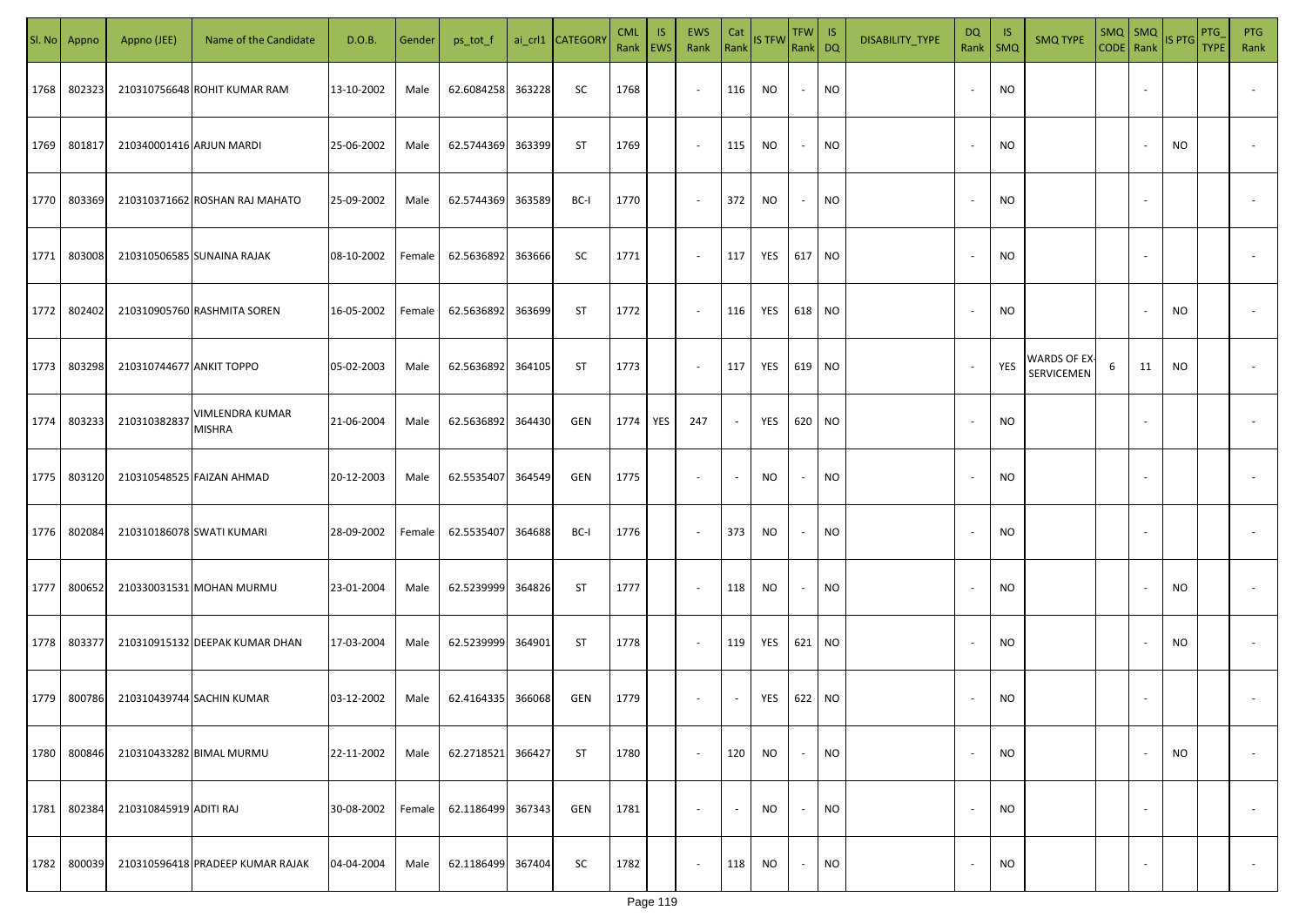|      | Sl. No Appno | Appno (JEE)              | Name of the Candidate            | D.O.B.     | Gender | ps_tot_f   |        | ai_crl1 CATEGORY | <b>CML</b><br>Rank   EWS | IS. | <b>EWS</b><br>Rank       | Cat<br>Rank              | IS TFW    | TFW IS<br>Rank DQ        |           | DISABILITY_TYPE | <b>DQ</b><br>Rank        | -IS<br>$\mathsf{SMQ}$ | <b>SMQ TYPE</b>           | $SMQ$ $SMQ$<br>CODE Rank |                          | IS PTG    | PTG<br><b>TYPE</b> | <b>PTG</b><br>Rank |
|------|--------------|--------------------------|----------------------------------|------------|--------|------------|--------|------------------|--------------------------|-----|--------------------------|--------------------------|-----------|--------------------------|-----------|-----------------|--------------------------|-----------------------|---------------------------|--------------------------|--------------------------|-----------|--------------------|--------------------|
| 1768 | 802323       |                          | 210310756648 ROHIT KUMAR RAM     | 13-10-2002 | Male   | 62.6084258 | 363228 | SC               | 1768                     |     | $\sim$                   | 116                      | <b>NO</b> | $\overline{\phantom{a}}$ | <b>NO</b> |                 | $\sim$                   | <b>NO</b>             |                           |                          |                          |           |                    |                    |
| 1769 | 801817       | 210340001416 ARJUN MARDI |                                  | 25-06-2002 | Male   | 62.5744369 | 363399 | ST               | 1769                     |     | $\sim$                   | 115                      | NO        | $\sim$                   | <b>NO</b> |                 | $\sim$                   | <b>NO</b>             |                           |                          |                          | <b>NO</b> |                    |                    |
| 1770 | 803369       |                          | 210310371662 ROSHAN RAJ MAHATO   | 25-09-2002 | Male   | 62.5744369 | 363589 | BC-I             | 1770                     |     | $\sim$                   | 372                      | NO        | $\overline{\phantom{a}}$ | <b>NO</b> |                 | $\sim$                   | <b>NO</b>             |                           |                          |                          |           |                    |                    |
| 1771 | 803008       |                          | 210310506585 SUNAINA RAJAK       | 08-10-2002 | Female | 62.5636892 | 363666 | SC               | 1771                     |     | $\overline{\phantom{a}}$ | 117                      | YES       | 617 NO                   |           |                 | $\sim$                   | <b>NO</b>             |                           |                          |                          |           |                    |                    |
| 1772 | 802402       |                          | 210310905760 RASHMITA SOREN      | 16-05-2002 | Female | 62.5636892 | 363699 | ST               | 1772                     |     | $\overline{\phantom{a}}$ | 116                      | YES       | 618                      | <b>NO</b> |                 | $\overline{\phantom{a}}$ | NO                    |                           |                          |                          | <b>NO</b> |                    |                    |
| 1773 | 803298       | 210310744677 ANKIT TOPPO |                                  | 05-02-2003 | Male   | 62.5636892 | 364105 | ST               | 1773                     |     | $\overline{\phantom{a}}$ | 117                      | YES       | 619                      | <b>NO</b> |                 |                          | YES                   | WARDS OF EX<br>SERVICEMEN | 6                        | 11                       | <b>NO</b> |                    |                    |
| 1774 | 803233       | 210310382837             | VIMLENDRA KUMAR<br><b>MISHRA</b> | 21-06-2004 | Male   | 62.5636892 | 364430 | GEN              | 1774                     | YES | 247                      |                          | YES       | 620                      | <b>NO</b> |                 |                          | NO                    |                           |                          |                          |           |                    |                    |
| 1775 | 803120       |                          | 210310548525 FAIZAN AHMAD        | 20-12-2003 | Male   | 62.5535407 | 364549 | GEN              | 1775                     |     | $\overline{\phantom{a}}$ |                          | <b>NO</b> |                          | NO        |                 |                          | <b>NO</b>             |                           |                          |                          |           |                    |                    |
| 1776 | 802084       |                          | 210310186078 SWATI KUMARI        | 28-09-2002 | Female | 62.5535407 | 364688 | BC-I             | 1776                     |     | $\sim$                   | 373                      | <b>NO</b> |                          | NO.       |                 |                          | <b>NO</b>             |                           |                          |                          |           |                    |                    |
| 1777 | 800652       |                          | 210330031531 MOHAN MURMU         | 23-01-2004 | Male   | 62.5239999 | 364826 | ST               | 1777                     |     | $\sim$                   | 118                      | <b>NO</b> |                          | <b>NO</b> |                 |                          | <b>NO</b>             |                           |                          |                          | <b>NO</b> |                    |                    |
| 1778 | 803377       |                          | 210310915132 DEEPAK KUMAR DHAN   | 17-03-2004 | Male   | 62.5239999 | 364901 | <b>ST</b>        | 1778                     |     | $\sim$                   | 119                      | YES       | 621                      | <b>NO</b> |                 |                          | <b>NO</b>             |                           |                          |                          | <b>NO</b> |                    |                    |
|      | 1779 800786  |                          | 210310439744 SACHIN KUMAR        | 03-12-2002 | Male   | 62.4164335 | 366068 | GEN              | 1779                     |     | $\overline{\phantom{a}}$ |                          | YES       | 622 NO                   |           |                 |                          | <b>NO</b>             |                           |                          |                          |           |                    |                    |
| 1780 | 800846       |                          | 210310433282 BIMAL MURMU         | 22-11-2002 | Male   | 62.2718521 | 366427 | ST               | 1780                     |     | $\sim$                   | 120                      | <b>NO</b> | $\overline{\phantom{a}}$ | <b>NO</b> |                 | $\sim$                   | <b>NO</b>             |                           |                          |                          | NO        |                    | $\sim$             |
| 1781 | 802384       | 210310845919 ADITI RAJ   |                                  | 30-08-2002 | Female | 62.1186499 | 367343 | GEN              | 1781                     |     | $\overline{\phantom{a}}$ | $\overline{\phantom{a}}$ | <b>NO</b> | $\overline{\phantom{a}}$ | <b>NO</b> |                 | $\sim$                   | <b>NO</b>             |                           |                          | $\overline{\phantom{a}}$ |           |                    | $\sim$             |
| 1782 | 800039       |                          | 210310596418 PRADEEP KUMAR RAJAK | 04-04-2004 | Male   | 62.1186499 | 367404 | <b>SC</b>        | 1782                     |     | $\sim$                   | 118                      | <b>NO</b> | $\overline{\phantom{a}}$ | <b>NO</b> |                 | $\sim$                   | <b>NO</b>             |                           |                          | $\overline{\phantom{a}}$ |           |                    | $\sim$             |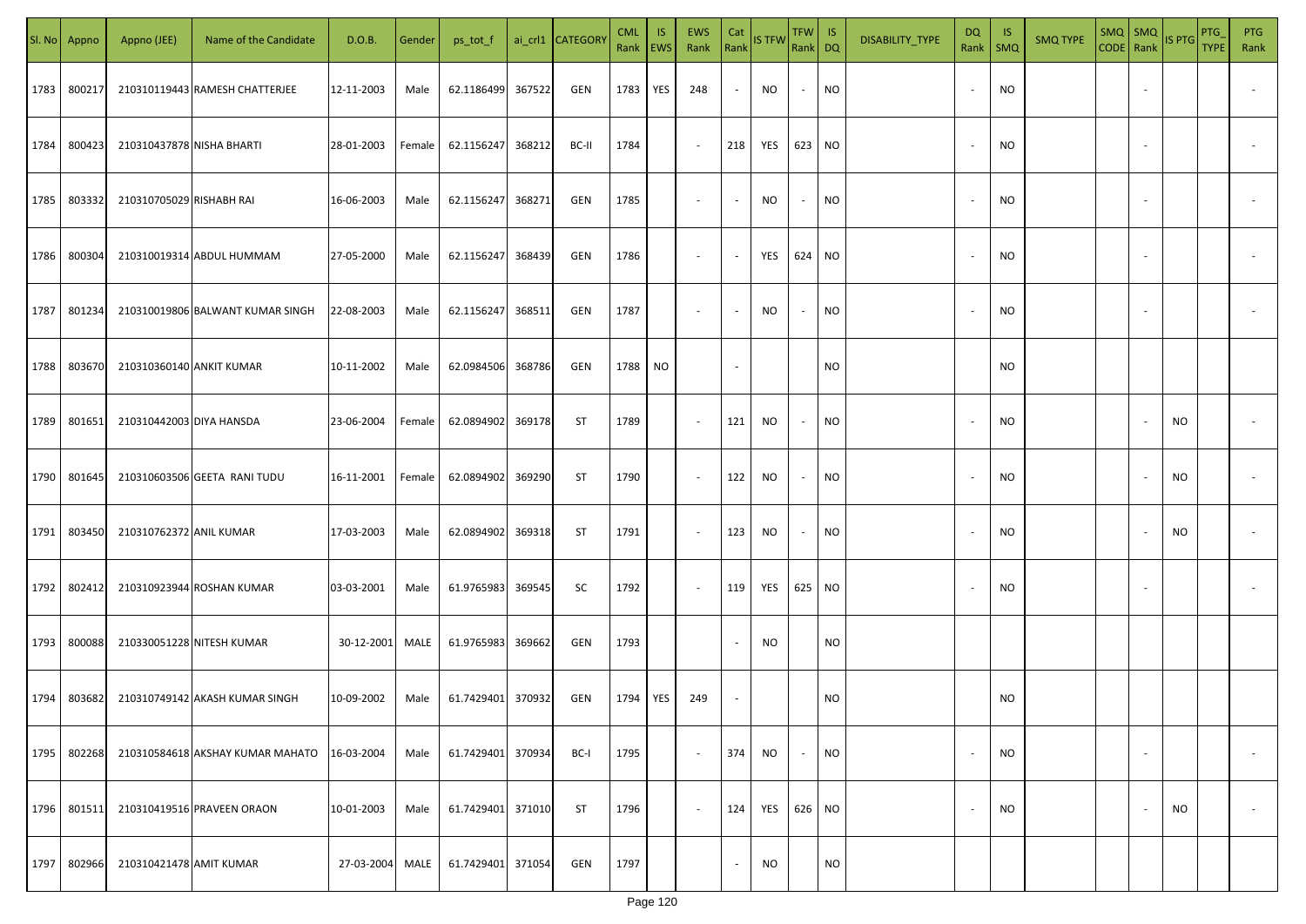| SI. No | Appno  | Appno (JEE)               | Name of the Candidate            | D.O.B.     | Gender | ps_tot_f          |        | ai_crl1 CATEGORY | <b>CML</b><br>Rank   EWS | <b>IS</b> | EWS<br>Rank              | Cat                      | Rank IS TFW | TFW IS<br>Rank DQ |           | DISABILITY_TYPE | DQ<br>Rank               | -IS<br>SMQ | <b>SMQ TYPE</b> | $SMQ$ SMQ<br>CODE Rank |                          | IS PTG | PTG<br><b>TYPE</b> | PTG<br>Rank              |
|--------|--------|---------------------------|----------------------------------|------------|--------|-------------------|--------|------------------|--------------------------|-----------|--------------------------|--------------------------|-------------|-------------------|-----------|-----------------|--------------------------|------------|-----------------|------------------------|--------------------------|--------|--------------------|--------------------------|
| 1783   | 800217 |                           | 210310119443 RAMESH CHATTERJEE   | 12-11-2003 | Male   | 62.1186499        | 367522 | GEN              | 1783                     | YES       | 248                      | $\sim$                   | NO          | $\sim$            | <b>NO</b> |                 | $\overline{\phantom{a}}$ | <b>NO</b>  |                 |                        |                          |        |                    |                          |
| 1784   | 800423 | 210310437878 NISHA BHARTI |                                  | 28-01-2003 | Female | 62.1156247        | 368212 | BC-II            | 1784                     |           | $\sim$                   | 218                      | YES         | 623 NO            |           |                 | $\overline{\phantom{a}}$ | <b>NO</b>  |                 |                        |                          |        |                    |                          |
| 1785   | 803332 | 210310705029 RISHABH RAI  |                                  | 16-06-2003 | Male   | 62.1156247        | 368271 | GEN              | 1785                     |           | $\sim$                   | $\sim$                   | NO          | $\sim$            | NO        |                 | $\overline{\phantom{a}}$ | <b>NO</b>  |                 |                        | $\overline{\phantom{a}}$ |        |                    |                          |
| 1786   | 800304 |                           | 210310019314 ABDUL HUMMAM        | 27-05-2000 | Male   | 62.1156247        | 368439 | GEN              | 1786                     |           | $\sim$                   | $\sim$                   | YES         | 624 NO            |           |                 |                          | <b>NO</b>  |                 |                        |                          |        |                    |                          |
| 1787   | 801234 |                           | 210310019806 BALWANT KUMAR SINGH | 22-08-2003 | Male   | 62.1156247        | 368511 | GEN              | 1787                     |           | $\overline{\phantom{a}}$ | $\sim$                   | <b>NO</b>   | $\sim$            | <b>NO</b> |                 |                          | <b>NO</b>  |                 |                        |                          |        |                    |                          |
| 1788   | 803670 | 210310360140 ANKIT KUMAR  |                                  | 10-11-2002 | Male   | 62.0984506        | 368786 | GEN              | 1788                     | <b>NO</b> |                          | $\overline{\phantom{a}}$ |             |                   | NO        |                 |                          | <b>NO</b>  |                 |                        |                          |        |                    |                          |
| 1789   | 801651 | 210310442003 DIYA HANSDA  |                                  | 23-06-2004 | Female | 62.0894902 369178 |        | ST               | 1789                     |           | $\sim$                   | 121                      | NO          | $\sim$            | NO        |                 |                          | <b>NO</b>  |                 |                        |                          | NO     |                    |                          |
| 1790   | 801645 |                           | 210310603506 GEETA RANI TUDU     | 16-11-2001 | Female | 62.0894902 369290 |        | ST               | 1790                     |           | $\sim$                   | 122                      | NO.         | $\sim$            | <b>NO</b> |                 |                          | <b>NO</b>  |                 |                        |                          | NO     |                    |                          |
| 1791   | 803450 | 210310762372 ANIL KUMAR   |                                  | 17-03-2003 | Male   | 62.0894902 369318 |        | ST               | 1791                     |           | $\sim$                   | 123                      | NO          | $\sim$            | <b>NO</b> |                 |                          | <b>NO</b>  |                 |                        |                          | NO     |                    |                          |
| 1792   | 802412 |                           | 210310923944 ROSHAN KUMAR        | 03-03-2001 | Male   | 61.9765983        | 369545 | SC               | 1792                     |           | $\sim$                   | 119                      | YES         | 625               | <b>NO</b> |                 |                          | <b>NO</b>  |                 |                        |                          |        |                    |                          |
| 1793   | 800088 |                           | 210330051228 NITESH KUMAR        | 30-12-2001 | MALE   | 61.9765983        | 369662 | GEN              | 1793                     |           |                          | $\overline{\phantom{a}}$ | NO          |                   | <b>NO</b> |                 |                          |            |                 |                        |                          |        |                    |                          |
| 1794   | 803682 |                           | 210310749142 AKASH KUMAR SINGH   | 10-09-2002 | Male   | 61.7429401        | 370932 | GEN              | 1794                     | YES       | 249                      | $\sim$                   |             |                   | NO        |                 |                          | <b>NO</b>  |                 |                        |                          |        |                    |                          |
| 1795   | 802268 |                           | 210310584618 AKSHAY KUMAR MAHATO | 16-03-2004 | Male   | 61.7429401        | 370934 | BC-I             | 1795                     |           | $\sim$                   | 374                      | NO.         | $\sim$            | <b>NO</b> |                 | $\overline{\phantom{a}}$ | <b>NO</b>  |                 |                        | $\sim$                   |        |                    | $\overline{\phantom{a}}$ |
| 1796   | 801511 |                           | 210310419516 PRAVEEN ORAON       | 10-01-2003 | Male   | 61.7429401        | 371010 | ST               | 1796                     |           | $\sim$                   | 124                      | YES         | 626 NO            |           |                 | $\overline{\phantom{a}}$ | <b>NO</b>  |                 |                        |                          | NO     |                    | $\overline{\phantom{a}}$ |
| 1797   | 802966 | 210310421478 AMIT KUMAR   |                                  | 27-03-2004 | MALE   | 61.7429401        | 371054 | GEN              | 1797                     |           |                          | $\sim$                   | NO          |                   | NO        |                 |                          |            |                 |                        |                          |        |                    |                          |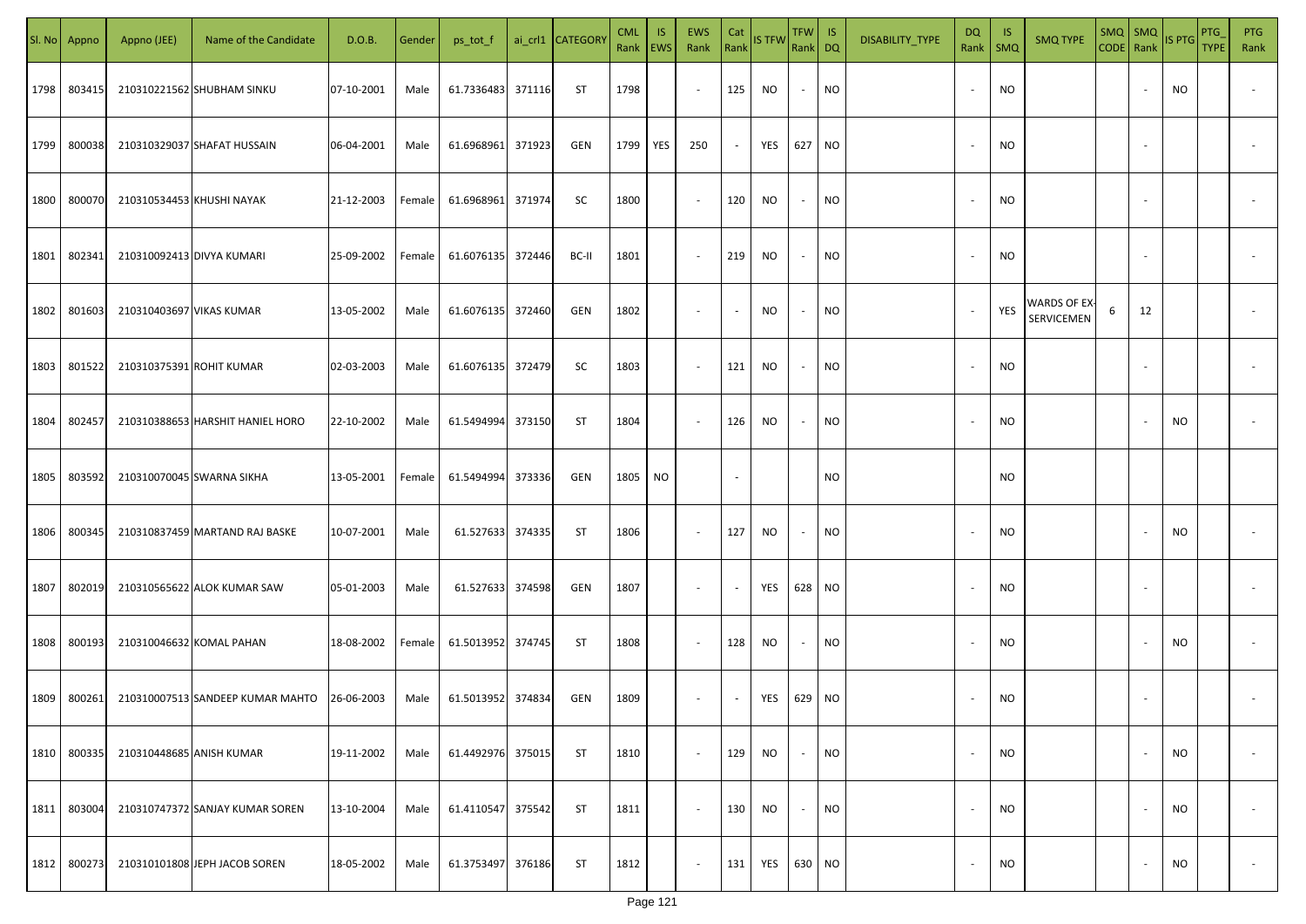| SI. No. | Appno  | Appno (JEE)               | Name of the Candidate            | D.O.B.     | Gender | ps_tot_f          |        | ai_crl1 CATEGORY | <b>CML</b><br>Rank   EWS | IS. | <b>EWS</b><br>Rank       | Cat<br>Rank              | <b>IS TFW</b> | $TFW$ IS<br>Rank DQ      |           | DISABILITY_TYPE | DQ     | -IS<br>Rank   SMQ | <b>SMQ TYPE</b>            | CODE Rank |    | SMQ SMQ IS PTG | PTG<br><b>TYPE</b> | <b>PTG</b><br>Rank       |
|---------|--------|---------------------------|----------------------------------|------------|--------|-------------------|--------|------------------|--------------------------|-----|--------------------------|--------------------------|---------------|--------------------------|-----------|-----------------|--------|-------------------|----------------------------|-----------|----|----------------|--------------------|--------------------------|
| 1798    | 803415 |                           | 210310221562 SHUBHAM SINKU       | 07-10-2001 | Male   | 61.7336483        | 371116 | ST               | 1798                     |     | $\sim$                   | 125                      | NO            | $\sim$                   | <b>NO</b> |                 |        | <b>NO</b>         |                            |           |    | NO             |                    |                          |
| 1799    | 800038 |                           | 210310329037 SHAFAT HUSSAIN      | 06-04-2001 | Male   | 61.6968961        | 371923 | GEN              | 1799                     | YES | 250                      | $\sim$                   | YES           | 627 NO                   |           |                 |        | <b>NO</b>         |                            |           |    |                |                    |                          |
| 1800    | 800070 |                           | 210310534453 KHUSHI NAYAK        | 21-12-2003 | Female | 61.6968961        | 371974 | SC               | 1800                     |     | $\sim$                   | 120                      | NO            | $\sim$                   | <b>NO</b> |                 |        | <b>NO</b>         |                            |           |    |                |                    |                          |
| 1801    | 802341 | 210310092413 DIVYA KUMARI |                                  | 25-09-2002 | Female | 61.6076135 372446 |        | BC-II            | 1801                     |     | $\sim$                   | 219                      | NO            | $\overline{\phantom{a}}$ | <b>NO</b> |                 |        | <b>NO</b>         |                            |           |    |                |                    |                          |
| 1802    | 801603 | 210310403697 VIKAS KUMAR  |                                  | 13-05-2002 | Male   | 61.6076135 372460 |        | GEN              | 1802                     |     | $\overline{\phantom{a}}$ | $\overline{\phantom{a}}$ | NO            | $\sim$                   | <b>NO</b> |                 | $\sim$ | YES               | WARDS OF EX-<br>SERVICEMEN | 6         | 12 |                |                    |                          |
| 1803    | 801522 | 210310375391 ROHIT KUMAR  |                                  | 02-03-2003 | Male   | 61.6076135 372479 |        | SC               | 1803                     |     | $\overline{\phantom{a}}$ | 121                      | NO            | $\sim$                   | <b>NO</b> |                 |        | <b>NO</b>         |                            |           |    |                |                    |                          |
| 1804    | 802457 |                           | 210310388653 HARSHIT HANIEL HORO | 22-10-2002 | Male   | 61.5494994        | 373150 | ST               | 1804                     |     | $\overline{\phantom{a}}$ | 126                      | NO.           | $\sim$                   | <b>NO</b> |                 |        | <b>NO</b>         |                            |           |    | <b>NO</b>      |                    |                          |
| 1805    | 803592 |                           | 210310070045 SWARNA SIKHA        | 13-05-2001 | Female | 61.5494994        | 373336 | GEN              | 1805 NO                  |     |                          | $\overline{\phantom{a}}$ |               |                          | <b>NO</b> |                 |        | <b>NO</b>         |                            |           |    |                |                    |                          |
| 1806    | 800345 |                           | 210310837459 MARTAND RAJ BASKE   | 10-07-2001 | Male   | 61.527633 374335  |        | ST               | 1806                     |     | $\overline{\phantom{a}}$ | 127                      | NO            | $\overline{\phantom{a}}$ | <b>NO</b> |                 |        | <b>NO</b>         |                            |           |    | NO             |                    |                          |
| 1807    | 802019 |                           | 210310565622 ALOK KUMAR SAW      | 05-01-2003 | Male   | 61.527633 374598  |        | GEN              | 1807                     |     | $\overline{\phantom{a}}$ | $\overline{\phantom{a}}$ | YES           | 628 NO                   |           |                 |        | <b>NO</b>         |                            |           |    |                |                    |                          |
| 1808    | 800193 |                           | 210310046632 KOMAL PAHAN         | 18-08-2002 | Female | 61.5013952 374745 |        | ST               | 1808                     |     | $\sim$                   | 128                      | NO            | $\sim$                   | <b>NO</b> |                 |        | <b>NO</b>         |                            |           |    | NO             |                    |                          |
| 1809    | 800261 |                           | 210310007513 SANDEEP KUMAR MAHTO | 26-06-2003 | Male   | 61.5013952 374834 |        | GEN              | 1809                     |     | $\sim$                   | $\sim$                   | YES           | 629 NO                   |           |                 |        | <b>NO</b>         |                            |           |    |                |                    |                          |
| 1810    | 800335 | 210310448685 ANISH KUMAR  |                                  | 19-11-2002 | Male   | 61.4492976        | 375015 | ST               | 1810                     |     | $\sim$                   | 129                      | NO            | $\overline{\phantom{a}}$ | <b>NO</b> |                 |        | <b>NO</b>         |                            |           |    | <b>NO</b>      |                    | $\overline{\phantom{a}}$ |
| 1811    | 803004 |                           | 210310747372 SANJAY KUMAR SOREN  | 13-10-2004 | Male   | 61.4110547        | 375542 | <b>ST</b>        | 1811                     |     | $\sim$                   | 130                      | NO            |                          | <b>NO</b> |                 |        | <b>NO</b>         |                            |           |    | NO             |                    | $\overline{\phantom{a}}$ |
| 1812    | 800273 |                           | 210310101808 JEPH JACOB SOREN    | 18-05-2002 | Male   | 61.3753497        | 376186 | <b>ST</b>        | 1812                     |     | $\overline{\phantom{a}}$ | 131                      | YES           | 630 NO                   |           |                 |        | <b>NO</b>         |                            |           |    | NO             |                    | $\overline{\phantom{a}}$ |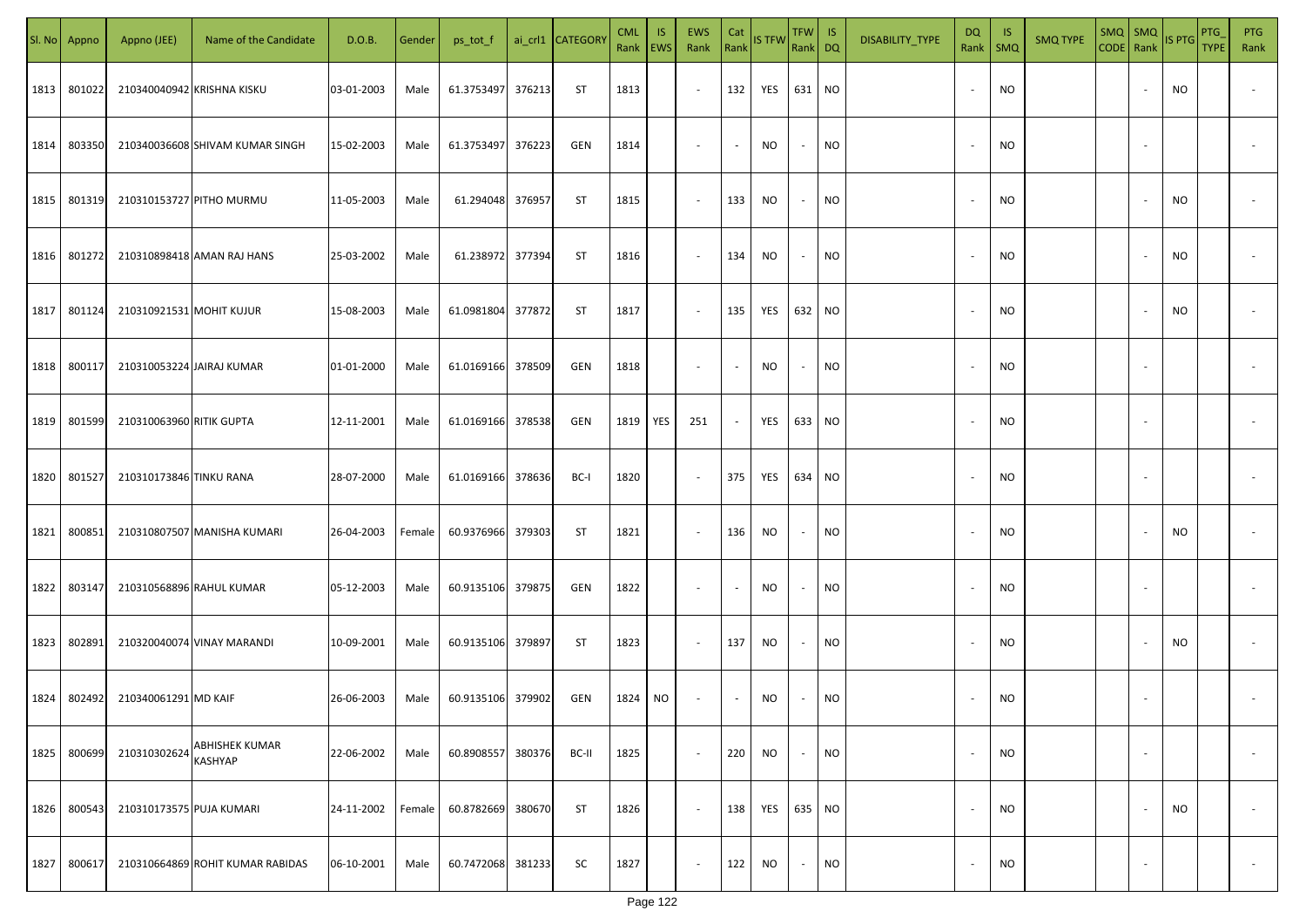|      | Sl. No Appno | Appno (JEE)              | Name of the Candidate            | D.O.B.     | Gender | ps_tot_f   |        | ai_crl1 CATEGORY | <b>CML</b><br>Rank   EWS | <b>IS</b> | <b>EWS</b><br>Rank       | Cat<br>Rank              | IS TFW    | <b>TFW</b><br>Rank DQ    | -IS       | DISABILITY_TYPE | <b>DQ</b><br>Rank        | -IS<br>SMQ | <b>SMQ TYPE</b> | CODE Rank | $SMQ$ $SMQ$              | IS PTG    | PTG<br><b>TYPE</b> | <b>PTG</b><br>Rank       |
|------|--------------|--------------------------|----------------------------------|------------|--------|------------|--------|------------------|--------------------------|-----------|--------------------------|--------------------------|-----------|--------------------------|-----------|-----------------|--------------------------|------------|-----------------|-----------|--------------------------|-----------|--------------------|--------------------------|
| 1813 | 801022       |                          | 210340040942 KRISHNA KISKU       | 03-01-2003 | Male   | 61.3753497 | 376213 | <b>ST</b>        | 1813                     |           | $\overline{\phantom{a}}$ | 132                      | YES       | 631                      | <b>NO</b> |                 |                          | <b>NO</b>  |                 |           |                          | NO.       |                    |                          |
| 1814 | 803350       |                          | 210340036608 SHIVAM KUMAR SINGH  | 15-02-2003 | Male   | 61.3753497 | 376223 | GEN              | 1814                     |           | $\overline{\phantom{a}}$ | $\sim$                   | <b>NO</b> | $\sim$                   | NO.       |                 |                          | <b>NO</b>  |                 |           | $\sim$                   |           |                    |                          |
| 1815 | 801319       |                          | 210310153727 PITHO MURMU         | 11-05-2003 | Male   | 61.294048  | 376957 | ST               | 1815                     |           | $\overline{\phantom{a}}$ | 133                      | <b>NO</b> | $\sim$                   | NO        |                 |                          | <b>NO</b>  |                 |           |                          | NO.       |                    |                          |
| 1816 | 801272       |                          | 210310898418 AMAN RAJ HANS       | 25-03-2002 | Male   | 61.238972  | 377394 | ST               | 1816                     |           | $\sim$                   | 134                      | <b>NO</b> | $\sim$                   | NO.       |                 | $\sim$                   | <b>NO</b>  |                 |           |                          | NO        |                    |                          |
| 1817 | 801124       | 210310921531 MOHIT KUJUR |                                  | 15-08-2003 | Male   | 61.0981804 | 377872 | <b>ST</b>        | 1817                     |           | $\sim$                   | 135                      | YES       | 632 NO                   |           |                 | $\overline{\phantom{a}}$ | <b>NO</b>  |                 |           |                          | NO.       |                    |                          |
| 1818 | 800117       |                          | 210310053224 JAIRAJ KUMAR        | 01-01-2000 | Male   | 61.0169166 | 378509 | GEN              | 1818                     |           | $\overline{\phantom{a}}$ | $\overline{\phantom{a}}$ | <b>NO</b> | $\overline{\phantom{a}}$ | <b>NO</b> |                 | $\sim$                   | <b>NO</b>  |                 |           |                          |           |                    |                          |
| 1819 | 801599       | 210310063960 RITIK GUPTA |                                  | 12-11-2001 | Male   | 61.0169166 | 378538 | GEN              | 1819                     | YES       | 251                      | $\overline{\phantom{a}}$ | YES       | 633                      | <b>NO</b> |                 | $\sim$                   | NO         |                 |           | $\overline{\phantom{a}}$ |           |                    |                          |
| 1820 | 801527       | 210310173846 TINKU RANA  |                                  | 28-07-2000 | Male   | 61.0169166 | 378636 | BC-I             | 1820                     |           | $\overline{\phantom{a}}$ | 375                      | YES       | 634                      | <b>NO</b> |                 |                          | <b>NO</b>  |                 |           |                          |           |                    |                          |
| 1821 | 800851       |                          | 210310807507 MANISHA KUMARI      | 26-04-2003 | Female | 60.9376966 | 379303 | <b>ST</b>        | 1821                     |           | $\overline{\phantom{a}}$ | 136                      | <b>NO</b> | $\overline{\phantom{a}}$ | <b>NO</b> |                 |                          | NO         |                 |           |                          | NO.       |                    |                          |
| 1822 | 803147       |                          | 210310568896 RAHUL KUMAR         | 05-12-2003 | Male   | 60.9135106 | 379875 | GEN              | 1822                     |           | $\overline{\phantom{a}}$ | $\overline{\phantom{a}}$ | <b>NO</b> | $\overline{\phantom{a}}$ | NO.       |                 |                          | <b>NO</b>  |                 |           |                          |           |                    |                          |
| 1823 | 802891       |                          | 210320040074 VINAY MARANDI       | 10-09-2001 | Male   | 60.9135106 | 379897 | <b>ST</b>        | 1823                     |           | $\sim$                   | 137                      | <b>NO</b> |                          | NO.       |                 |                          | <b>NO</b>  |                 |           |                          | NO        |                    |                          |
| 1824 | 802492       | 210340061291 MD KAIF     |                                  | 26-06-2003 | Male   | 60.9135106 | 379902 | GEN              | 1824                     | NO        | $\overline{\phantom{a}}$ |                          | <b>NO</b> |                          | NO        |                 |                          | <b>NO</b>  |                 |           |                          |           |                    |                          |
| 1825 | 800699       | 210310302624             | ABHISHEK KUMAR<br><b>KASHYAP</b> | 22-06-2002 | Male   | 60.8908557 | 380376 | BC-II            | 1825                     |           | $\overline{\phantom{a}}$ | 220                      | <b>NO</b> |                          | <b>NO</b> |                 | $\sim$                   | <b>NO</b>  |                 |           | $\overline{\phantom{a}}$ |           |                    | $\sim$                   |
| 1826 | 800543       | 210310173575 PUJA KUMARI |                                  | 24-11-2002 | Female | 60.8782669 | 380670 | <b>ST</b>        | 1826                     |           | $\overline{\phantom{a}}$ | 138                      | YES       | 635                      | <b>NO</b> |                 | $\overline{\phantom{a}}$ | <b>NO</b>  |                 |           | $\overline{\phantom{a}}$ | <b>NO</b> |                    | $\overline{\phantom{a}}$ |
| 1827 | 800617       |                          | 210310664869 ROHIT KUMAR RABIDAS | 06-10-2001 | Male   | 60.7472068 | 381233 | <b>SC</b>        | 1827                     |           | $\overline{\phantom{a}}$ | 122                      | <b>NO</b> | $\overline{\phantom{a}}$ | <b>NO</b> |                 |                          | <b>NO</b>  |                 |           | $\overline{\phantom{a}}$ |           |                    | $\sim$                   |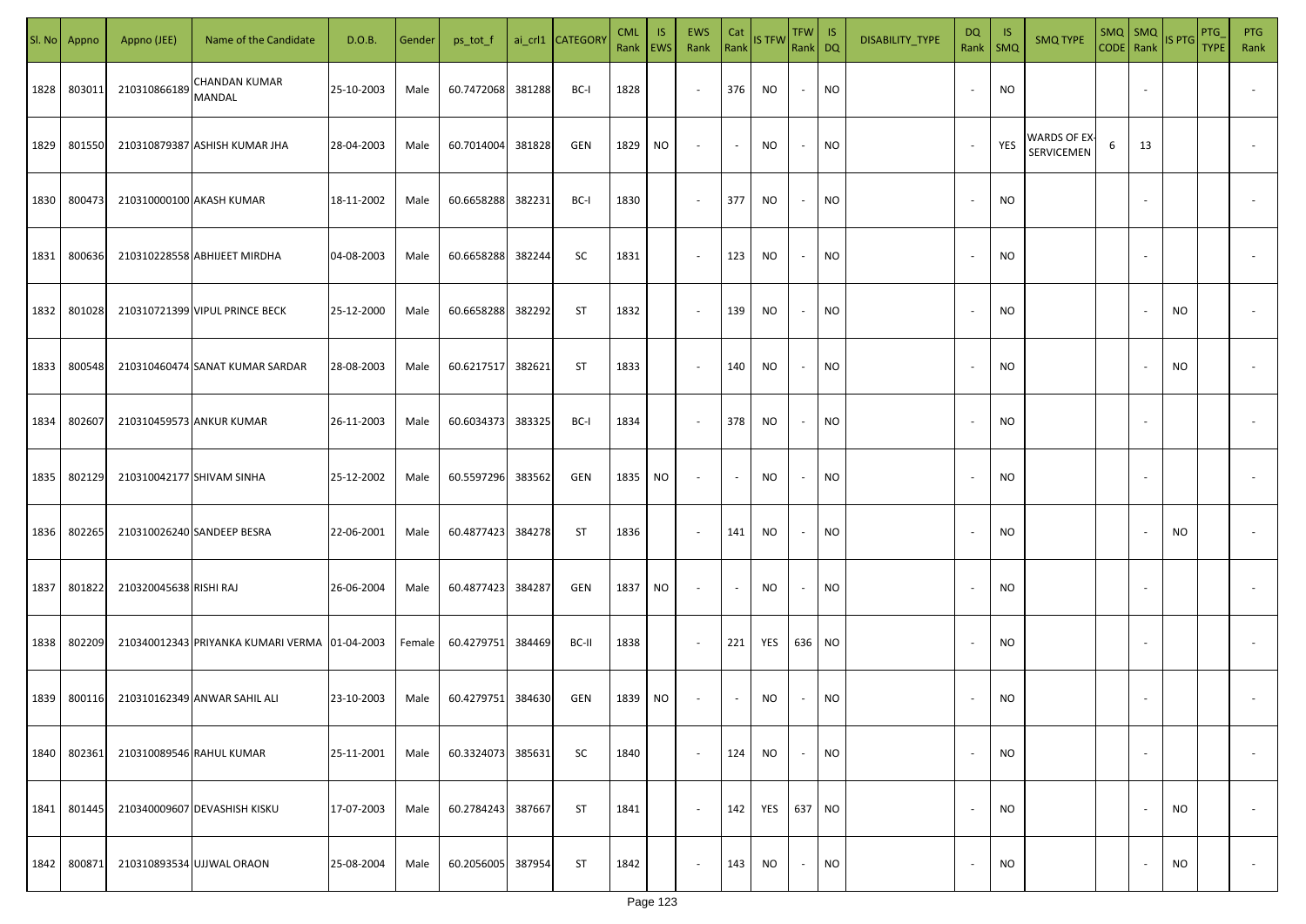| SI. No | Appno  | Appno (JEE)            | Name of the Candidate                         | D.O.B.     | Gender | ps_tot_f   |        | ai_crl1 CATEGORY | <b>CML</b><br>Rank EWS | IS. | <b>EWS</b><br>Rank       | Cat<br>Rank | <b>IS TFW</b> | TFW IS<br>Rank DQ |           | DISABILITY_TYPE | DQ<br>Rank               | -IS<br>$\mathsf{SMQ}$ | <b>SMQ TYPE</b>            |   | $SMQ$ $SMQ$              | CODE Rank IS PTG | <b>PTG</b><br><b>TYPE</b> | <b>PTG</b><br>Rank       |
|--------|--------|------------------------|-----------------------------------------------|------------|--------|------------|--------|------------------|------------------------|-----|--------------------------|-------------|---------------|-------------------|-----------|-----------------|--------------------------|-----------------------|----------------------------|---|--------------------------|------------------|---------------------------|--------------------------|
| 1828   | 803011 | 210310866189           | CHANDAN KUMAR<br><b>MANDAL</b>                | 25-10-2003 | Male   | 60.7472068 | 381288 | BC-I             | 1828                   |     | $\sim$                   | 376         | NO.           | $\sim$            | <b>NO</b> |                 |                          | <b>NO</b>             |                            |   |                          |                  |                           |                          |
| 1829   | 801550 |                        | 210310879387 ASHISH KUMAR JHA                 | 28-04-2003 | Male   | 60.7014004 | 381828 | GEN              | 1829                   | NO  | $\overline{\phantom{a}}$ | $\sim$      | <b>NO</b>     | $\sim$            | <b>NO</b> |                 |                          | YES                   | WARDS OF EX-<br>SERVICEMEN | 6 | 13                       |                  |                           |                          |
| 1830   | 800473 |                        | 210310000100 AKASH KUMAR                      | 18-11-2002 | Male   | 60.6658288 | 382231 | BC-I             | 1830                   |     | $\sim$                   | 377         | NO            | $\sim$            | <b>NO</b> |                 |                          | <b>NO</b>             |                            |   |                          |                  |                           |                          |
| 1831   | 800636 |                        | 210310228558 ABHIJEET MIRDHA                  | 04-08-2003 | Male   | 60.6658288 | 382244 | SC               | 1831                   |     | $\sim$                   | 123         | NO            | $\sim$            | <b>NO</b> |                 |                          | <b>NO</b>             |                            |   |                          |                  |                           |                          |
| 1832   | 801028 |                        | 210310721399 VIPUL PRINCE BECK                | 25-12-2000 | Male   | 60.6658288 | 382292 | ST               | 1832                   |     | $\sim$                   | 139         | NO            | $\sim$            | <b>NO</b> |                 |                          | <b>NO</b>             |                            |   |                          | NO               |                           |                          |
| 1833   | 800548 |                        | 210310460474 SANAT KUMAR SARDAR               | 28-08-2003 | Male   | 60.6217517 | 382621 | ST               | 1833                   |     | $\overline{\phantom{a}}$ | 140         | NO            | $\sim$            | <b>NO</b> |                 |                          | <b>NO</b>             |                            |   |                          | NO               |                           |                          |
| 1834   | 802607 |                        | 210310459573 ANKUR KUMAR                      | 26-11-2003 | Male   | 60.6034373 | 383325 | BC-I             | 1834                   |     | $\sim$                   | 378         | NO            | $\sim$            | <b>NO</b> |                 |                          | <b>NO</b>             |                            |   |                          |                  |                           |                          |
| 1835   | 802129 |                        | 210310042177 SHIVAM SINHA                     | 25-12-2002 | Male   | 60.5597296 | 383562 | GEN              | 1835                   | NO  | $\overline{\phantom{a}}$ | $\sim$      | <b>NO</b>     | $\sim$            | <b>NO</b> |                 |                          | <b>NO</b>             |                            |   |                          |                  |                           |                          |
| 1836   | 802265 |                        | 210310026240 SANDEEP BESRA                    | 22-06-2001 | Male   | 60.4877423 | 384278 | ST               | 1836                   |     | $\sim$                   | 141         | NO            | $\sim$            | <b>NO</b> |                 |                          | <b>NO</b>             |                            |   |                          | NO               |                           |                          |
| 1837   | 801822 | 210320045638 RISHI RAJ |                                               | 26-06-2004 | Male   | 60.4877423 | 384287 | GEN              | 1837                   | NO  | $\sim$                   | $\sim$      | NO.           | $\sim$            | <b>NO</b> |                 |                          | <b>NO</b>             |                            |   |                          |                  |                           |                          |
| 1838   | 802209 |                        | 210340012343 PRIYANKA KUMARI VERMA 01-04-2003 |            | Female | 60.4279751 | 384469 | BC-II            | 1838                   |     | $\sim$                   | 221         | YES           | 636 NO            |           |                 |                          | <b>NO</b>             |                            |   |                          |                  |                           |                          |
| 1839   | 800116 |                        | 210310162349 ANWAR SAHIL ALI                  | 23-10-2003 | Male   | 60.4279751 | 384630 | GEN              | 1839                   | NO  | $\overline{\phantom{a}}$ | $\sim$      | <b>NO</b>     | $\sim$            | <b>NO</b> |                 |                          | <b>NO</b>             |                            |   |                          |                  |                           |                          |
| 1840   | 802361 |                        | 210310089546 RAHUL KUMAR                      | 25-11-2001 | Male   | 60.3324073 | 385631 | <b>SC</b>        | 1840                   |     | $\sim$                   | 124         | NO            | $\sim$            | <b>NO</b> |                 |                          | <b>NO</b>             |                            |   | $\overline{\phantom{a}}$ |                  |                           | $\overline{\phantom{a}}$ |
| 1841   | 801445 |                        | 210340009607 DEVASHISH KISKU                  | 17-07-2003 | Male   | 60.2784243 | 387667 | ST               | 1841                   |     | $\overline{\phantom{a}}$ | 142         | YES           | 637 NO            |           |                 | $\overline{\phantom{a}}$ | <b>NO</b>             |                            |   |                          | <b>NO</b>        |                           | $\overline{\phantom{a}}$ |
| 1842   | 800871 |                        | 210310893534 UJJWAL ORAON                     | 25-08-2004 | Male   | 60.2056005 | 387954 | ST               | 1842                   |     | $\sim$                   | 143         | NO.           | $\sim$            | <b>NO</b> |                 |                          | <b>NO</b>             |                            |   | $\overline{\phantom{a}}$ | <b>NO</b>        |                           | $\overline{\phantom{a}}$ |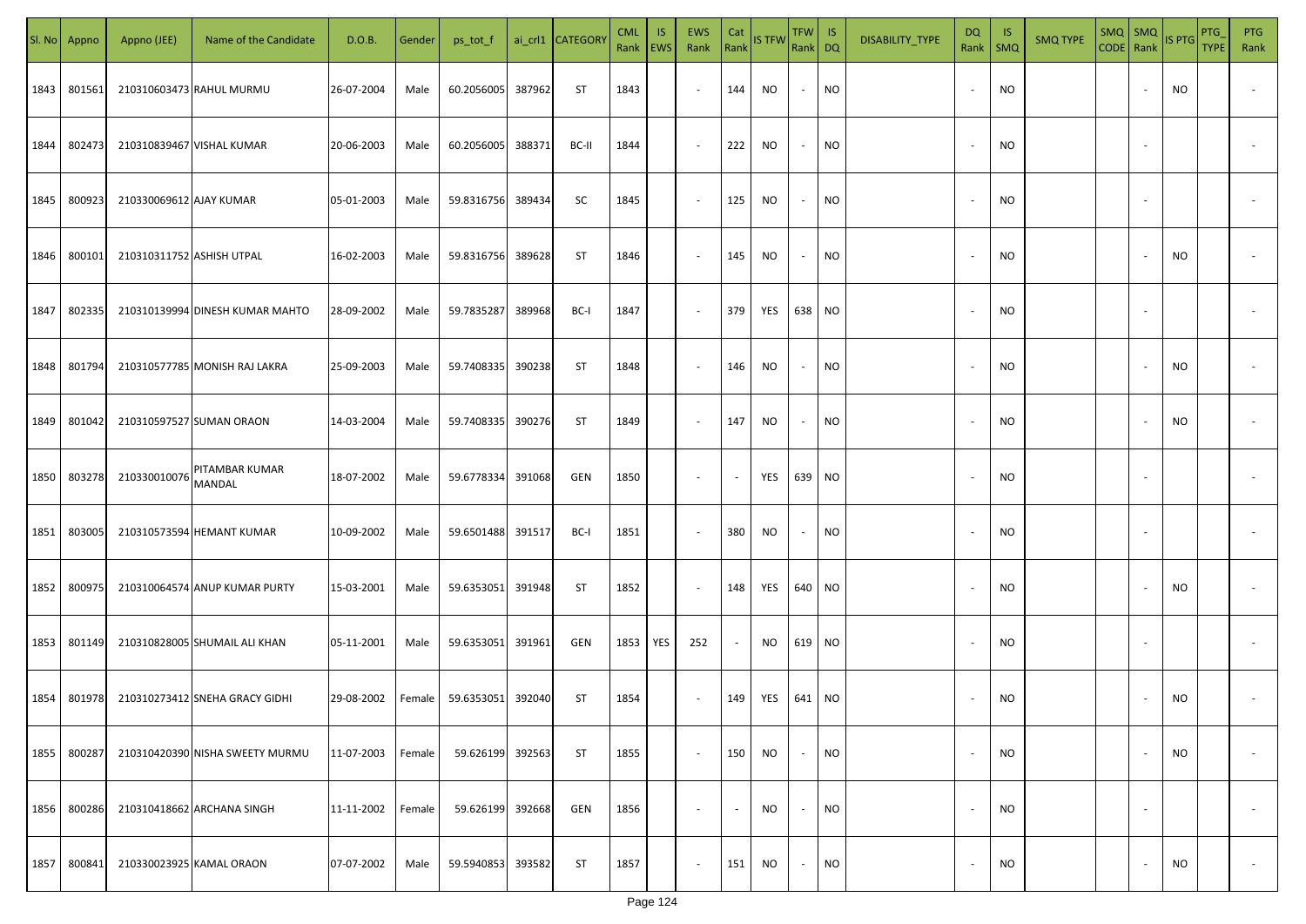| SI. No | Appno  | Appno (JEE)               | Name of the Candidate           | D.O.B.     | Gender | ps_tot_f   |        | ai_crl1 CATEGOR\ | <b>CML</b><br>Rank EWS | IS. | <b>EWS</b><br>Rank       | Cat<br>Rank | <b>IS TFW</b> | TFW IS<br>Rank DQ |                 | DISABILITY_TYPE | <b>DQ</b><br>Rank        | - IS<br>$\mathsf{SMQ}$ | <b>SMQ TYPE</b> | CODE Rank IS PTG | SMQ   SMQ                |           | <b>PTG</b><br><b>TYPE</b> | <b>PTG</b><br>Rank       |
|--------|--------|---------------------------|---------------------------------|------------|--------|------------|--------|------------------|------------------------|-----|--------------------------|-------------|---------------|-------------------|-----------------|-----------------|--------------------------|------------------------|-----------------|------------------|--------------------------|-----------|---------------------------|--------------------------|
| 1843   | 801561 |                           | 210310603473 RAHUL MURMU        | 26-07-2004 | Male   | 60.2056005 | 387962 | ST               | 1843                   |     | $\sim$                   | 144         | NO.           | $\sim$            | <b>NO</b>       |                 |                          | <b>NO</b>              |                 |                  |                          | NO.       |                           |                          |
| 1844   | 802473 |                           | 210310839467 VISHAL KUMAR       | 20-06-2003 | Male   | 60.2056005 | 388371 | BC-II            | 1844                   |     | $\sim$                   | 222         | <b>NO</b>     | $\sim$            | <b>NO</b>       |                 |                          | <b>NO</b>              |                 |                  |                          |           |                           |                          |
| 1845   | 800923 | 210330069612 AJAY KUMAR   |                                 | 05-01-2003 | Male   | 59.8316756 | 389434 | SC               | 1845                   |     | $\sim$                   | 125         | NO            | $\sim$            | <b>NO</b>       |                 |                          | <b>NO</b>              |                 |                  |                          |           |                           |                          |
| 1846   | 800101 | 210310311752 ASHISH UTPAL |                                 | 16-02-2003 | Male   | 59.8316756 | 389628 | ST               | 1846                   |     | $\sim$                   | 145         | NO            | $\sim$            | NO <sub>1</sub> |                 |                          | <b>NO</b>              |                 |                  |                          | NO        |                           |                          |
| 1847   | 802335 |                           | 210310139994 DINESH KUMAR MAHTO | 28-09-2002 | Male   | 59.7835287 | 389968 | BC-I             | 1847                   |     | $\overline{\phantom{a}}$ | 379         | YES           | 638 NO            |                 |                 |                          | <b>NO</b>              |                 |                  |                          |           |                           |                          |
| 1848   | 801794 |                           | 210310577785 MONISH RAJ LAKRA   | 25-09-2003 | Male   | 59.7408335 | 390238 | ST               | 1848                   |     | $\overline{\phantom{a}}$ | 146         | NO            | $\sim$            | <b>NO</b>       |                 |                          | <b>NO</b>              |                 |                  |                          | NO        |                           |                          |
| 1849   | 801042 |                           | 210310597527 SUMAN ORAON        | 14-03-2004 | Male   | 59.7408335 | 390276 | ST               | 1849                   |     | $\sim$                   | 147         | NO            | $\sim$            | <b>NO</b>       |                 |                          | <b>NO</b>              |                 |                  |                          | <b>NO</b> |                           |                          |
| 1850   | 803278 | 210330010076 MANDAL       | PITAMBAR KUMAR                  | 18-07-2002 | Male   | 59.6778334 | 391068 | GEN              | 1850                   |     | $\sim$                   | $\sim$      | YES           | 639 NO            |                 |                 |                          | <b>NO</b>              |                 |                  |                          |           |                           |                          |
| 1851   | 803005 |                           | 210310573594 HEMANT KUMAR       | 10-09-2002 | Male   | 59.6501488 | 391517 | BC-I             | 1851                   |     | $\sim$                   | 380         | NO.           | $\sim$            | NO              |                 |                          | <b>NO</b>              |                 |                  |                          |           |                           |                          |
| 1852   | 800975 |                           | 210310064574 ANUP KUMAR PURTY   | 15-03-2001 | Male   | 59.6353051 | 391948 | ST               | 1852                   |     | $\sim$                   | 148         | YES           | 640 NO            |                 |                 |                          | <b>NO</b>              |                 |                  |                          | <b>NO</b> |                           |                          |
| 1853   | 801149 |                           | 210310828005 SHUMAIL ALI KHAN   | 05-11-2001 | Male   | 59.6353051 | 391961 | GEN              | 1853                   | YES | 252                      | $\sim$      | NO.           | 619 NO            |                 |                 |                          | <b>NO</b>              |                 |                  |                          |           |                           |                          |
| 1854   | 801978 |                           | 210310273412 SNEHA GRACY GIDHI  | 29-08-2002 | Female | 59.6353051 | 392040 | <b>ST</b>        | 1854                   |     | $\sim$                   | 149         | YES           | 641 NO            |                 |                 |                          | <b>NO</b>              |                 |                  |                          | <b>NO</b> |                           |                          |
| 1855   | 800287 |                           | 210310420390 NISHA SWEETY MURMU | 11-07-2003 | Female | 59.626199  | 392563 | <b>ST</b>        | 1855                   |     | $\sim$                   | 150         | NO            | $\sim$            | <b>NO</b>       |                 |                          | <b>NO</b>              |                 |                  | $\overline{\phantom{a}}$ | NO.       |                           | $\overline{\phantom{a}}$ |
| 1856   | 800286 |                           | 210310418662 ARCHANA SINGH      | 11-11-2002 | Female | 59.626199  | 392668 | GEN              | 1856                   |     | $\sim$                   | $\sim$      | <b>NO</b>     | $\sim$            | <b>NO</b>       |                 | $\overline{\phantom{a}}$ | <b>NO</b>              |                 |                  | $\overline{\phantom{a}}$ |           |                           | $\overline{\phantom{a}}$ |
| 1857   | 800841 |                           | 210330023925 KAMAL ORAON        | 07-07-2002 | Male   | 59.5940853 | 393582 | <b>ST</b>        | 1857                   |     | $\sim$                   | 151         | NO.           | $\sim$            | <b>NO</b>       |                 |                          | <b>NO</b>              |                 |                  | $\overline{\phantom{a}}$ | NO        |                           | $\overline{\phantom{a}}$ |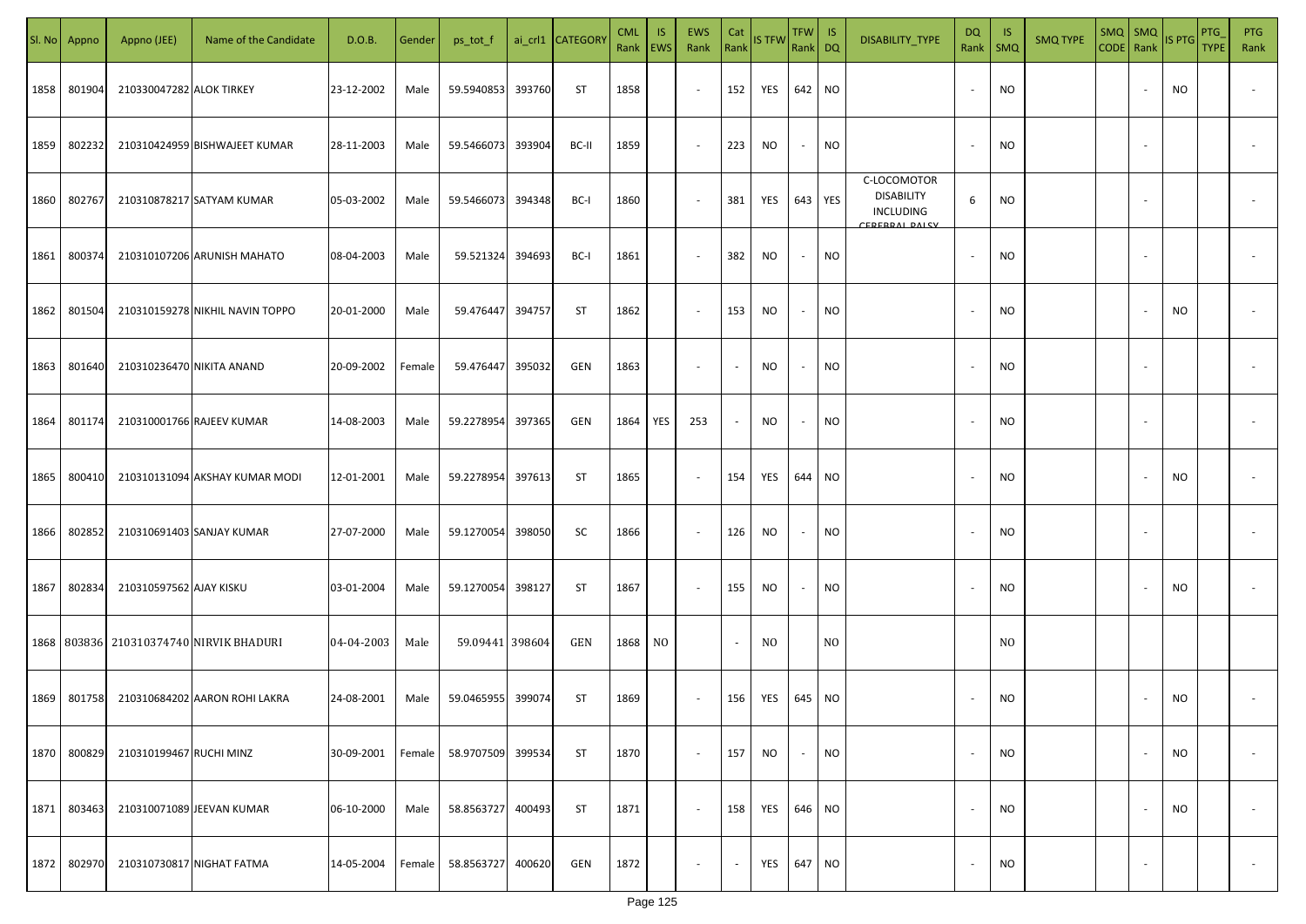| SI. No | Appno       | Appno (JEE)               | Name of the Candidate           | D.O.B.     | Gender | ps_tot_f        |        | ai_crl1 CATEGORY | <b>CML</b><br>Rank   EWS | IS. | <b>EWS</b><br>Rank       | Cat<br>Rank    | <b>IS TFW</b>  | $TFW$ IS<br>Rank DQ |                | DISABILITY_TYPE                                                        | DQ<br>Rank               | -IS<br>$\mathsf{SMQ}$ | <b>SMQ TYPE</b> | CODE Rank | $SMQ$ $SMQ$              | <b>IS PTG</b> | <b>PTG</b><br><b>TYPE</b> | <b>PTG</b><br>Rank       |
|--------|-------------|---------------------------|---------------------------------|------------|--------|-----------------|--------|------------------|--------------------------|-----|--------------------------|----------------|----------------|---------------------|----------------|------------------------------------------------------------------------|--------------------------|-----------------------|-----------------|-----------|--------------------------|---------------|---------------------------|--------------------------|
| 1858   | 801904      | 210330047282 ALOK TIRKEY  |                                 | 23-12-2002 | Male   | 59.5940853      | 393760 | ST               | 1858                     |     | $\sim$                   | 152            | YES            | 642 NO              |                |                                                                        |                          | <b>NO</b>             |                 |           |                          | NO            |                           |                          |
| 1859   | 802232      |                           | 210310424959 BISHWAJEET KUMAR   | 28-11-2003 | Male   | 59.5466073      | 393904 | BC-II            | 1859                     |     | $\sim$                   | 223            | <b>NO</b>      | $\sim$              | <b>NO</b>      |                                                                        |                          | <b>NO</b>             |                 |           |                          |               |                           |                          |
| 1860   | 802767      |                           | 210310878217 SATYAM KUMAR       | 05-03-2002 | Male   | 59.5466073      | 394348 | BC-I             | 1860                     |     | $\sim$                   | 381            | YES            | 643 YES             |                | C-LOCOMOTOR<br><b>DISABILITY</b><br><b>INCLUDING</b><br>CEDEDDAL DALCV | 6                        | <b>NO</b>             |                 |           |                          |               |                           |                          |
| 1861   | 800374      |                           | 210310107206 ARUNISH MAHATO     | 08-04-2003 | Male   | 59.521324       | 394693 | BC-I             | 1861                     |     | $\sim$                   | 382            | <b>NO</b>      | $\sim$              | <b>NO</b>      |                                                                        |                          | <b>NO</b>             |                 |           |                          |               |                           |                          |
| 1862   | 801504      |                           | 210310159278 NIKHIL NAVIN TOPPO | 20-01-2000 | Male   | 59.476447       | 394757 | ST               | 1862                     |     | $\overline{\phantom{a}}$ | 153            | NO             | $\sim$              | <b>NO</b>      |                                                                        |                          | <b>NO</b>             |                 |           |                          | NO.           |                           |                          |
| 1863   | 801640      | 210310236470 NIKITA ANAND |                                 | 20-09-2002 | Female | 59.476447       | 395032 | GEN              | 1863                     |     | $\overline{\phantom{a}}$ | $\sim$         | <b>NO</b>      | $\sim$              | <b>NO</b>      |                                                                        |                          | <b>NO</b>             |                 |           |                          |               |                           |                          |
| 1864   | 801174      |                           | 210310001766 RAJEEV KUMAR       | 14-08-2003 | Male   | 59.2278954      | 397365 | GEN              | 1864                     | YES | 253                      | $\sim$         | <b>NO</b>      | $\sim$              | <b>NO</b>      |                                                                        |                          | <b>NO</b>             |                 |           |                          |               |                           |                          |
| 1865   | 800410      |                           | 210310131094 AKSHAY KUMAR MODI  | 12-01-2001 | Male   | 59.2278954      | 397613 | ST               | 1865                     |     | $\sim$                   | 154            | YES            | 644 NO              |                |                                                                        |                          | <b>NO</b>             |                 |           |                          | NO            |                           |                          |
| 1866   | 802852      |                           | 210310691403 SANJAY KUMAR       | 27-07-2000 | Male   | 59.1270054      | 398050 | SC               | 1866                     |     | $\sim$                   | 126            | NO             | $\sim$              | <b>NO</b>      |                                                                        |                          | <b>NO</b>             |                 |           |                          |               |                           |                          |
| 1867   | 802834      | 210310597562 AJAY KISKU   |                                 | 03-01-2004 | Male   | 59.1270054      | 398127 | ST               | 1867                     |     | $\sim$                   | 155            | NO.            | $\sim$              | <b>NO</b>      |                                                                        |                          | <b>NO</b>             |                 |           |                          | NO.           |                           |                          |
|        | 1868 803836 |                           | 210310374740 NIRVIK BHADURI     | 04-04-2003 | Male   | 59.09441 398604 |        | GEN              | 1868                     | NO. |                          | $\sim$         | N <sub>0</sub> |                     | N <sub>0</sub> |                                                                        |                          | N <sub>O</sub>        |                 |           |                          |               |                           |                          |
| 1869   | 801758      |                           | 210310684202 AARON ROHI LAKRA   | 24-08-2001 | Male   | 59.0465955      | 399074 | ST               | 1869                     |     | $\overline{\phantom{a}}$ | 156            | YES            | 645 NO              |                |                                                                        |                          | <b>NO</b>             |                 |           |                          | <b>NO</b>     |                           |                          |
| 1870   | 800829      | 210310199467 RUCHI MINZ   |                                 | 30-09-2001 | Female | 58.9707509      | 399534 | <b>ST</b>        | 1870                     |     | $\sim$                   | 157            | NO             | $\sim$              | <b>NO</b>      |                                                                        |                          | <b>NO</b>             |                 |           | $\overline{\phantom{a}}$ | NO.           |                           | $\overline{\phantom{a}}$ |
| 1871   | 803463      |                           | 210310071089 JEEVAN KUMAR       | 06-10-2000 | Male   | 58.8563727      | 400493 | <b>ST</b>        | 1871                     |     | $\sim$                   | 158            | YES            | 646 NO              |                |                                                                        | $\overline{\phantom{a}}$ | <b>NO</b>             |                 |           |                          | <b>NO</b>     |                           | $\overline{\phantom{a}}$ |
| 1872   | 802970      |                           | 210310730817 NIGHAT FATMA       | 14-05-2004 | Female | 58.8563727      | 400620 | GEN              | 1872                     |     | $\sim$                   | $\blacksquare$ | YES            | 647 NO              |                |                                                                        |                          | <b>NO</b>             |                 |           | $\overline{\phantom{a}}$ |               |                           | $\sim$                   |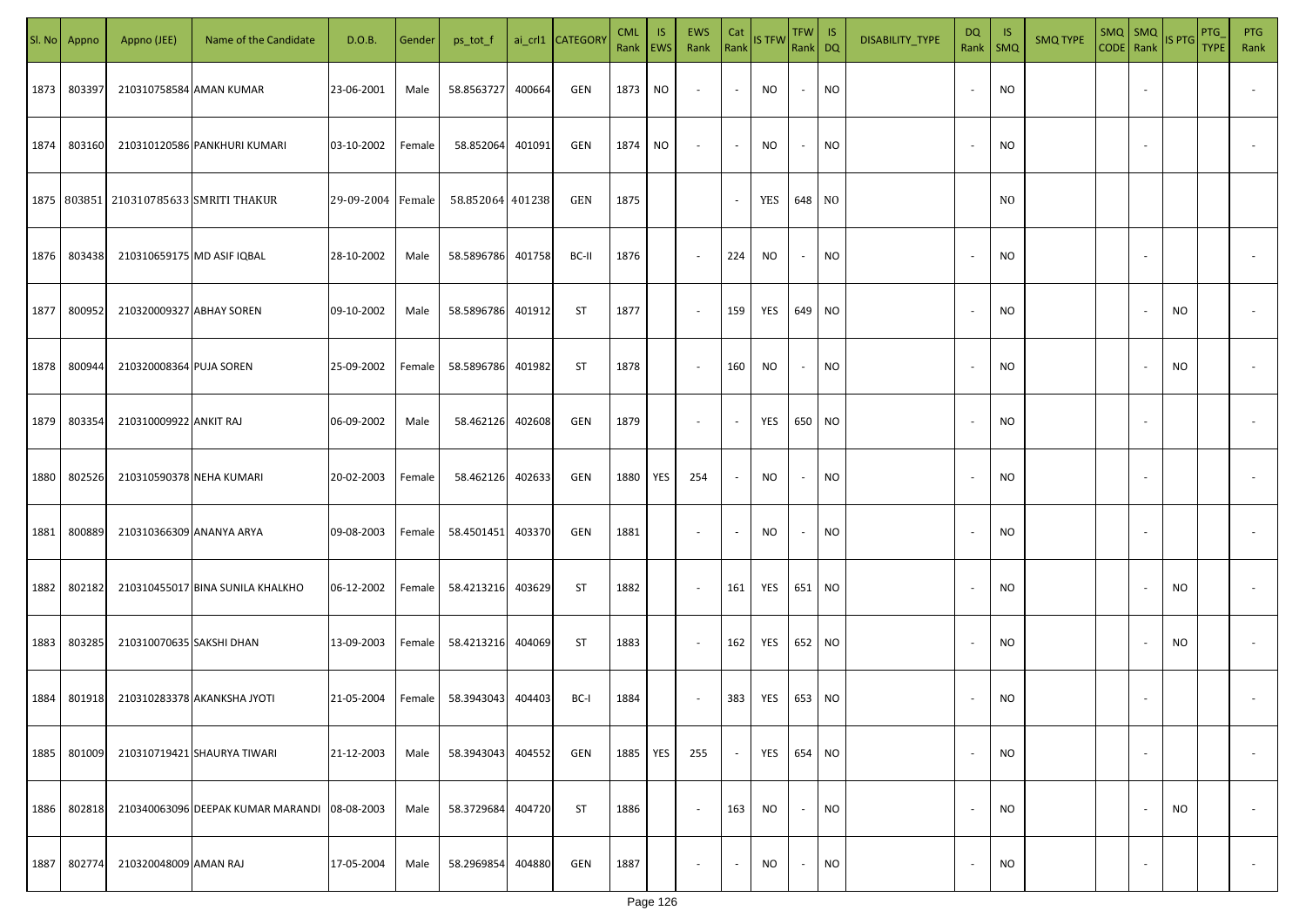| SI. No | Appno  | Appno (JEE)                | Name of the Candidate                        | D.O.B.            | Gender | ps_tot_f         |        | ai_crl1 CATEGORY | <b>CML</b><br>Rank   EWS | IS. | EWS<br>Rank              | Cat                      | Rank IS TFW | TFW IS<br>Rank DQ |           | DISABILITY_TYPE | DQ<br>Rank               | -IS<br>SMQ     | <b>SMQ TYPE</b> | $SMQ$ $SMQ$ | CODE Rank IS PTG | PTG<br><b>TYPE</b> | PTG<br>Rank              |
|--------|--------|----------------------------|----------------------------------------------|-------------------|--------|------------------|--------|------------------|--------------------------|-----|--------------------------|--------------------------|-------------|-------------------|-----------|-----------------|--------------------------|----------------|-----------------|-------------|------------------|--------------------|--------------------------|
| 1873   | 803397 | 210310758584 AMAN KUMAR    |                                              | 23-06-2001        | Male   | 58.8563727       | 400664 | GEN              | 1873                     | NO  | $\sim$                   | $\sim$                   | NO          | $\sim$            | <b>NO</b> |                 | $\overline{\phantom{a}}$ | <b>NO</b>      |                 |             |                  |                    |                          |
| 1874   | 803160 |                            | 210310120586 PANKHURI KUMARI                 | 03-10-2002        | Female | 58.852064        | 401091 | GEN              | 1874                     | NO  | $\overline{\phantom{a}}$ | $\sim$                   | <b>NO</b>   | $\sim$            | <b>NO</b> |                 | $\sim$                   | <b>NO</b>      |                 |             |                  |                    |                          |
|        |        |                            | 1875   803851   210310785633 SMRITI THAKUR   | 29-09-2004 Female |        | 58.852064 401238 |        | GEN              | 1875                     |     |                          | $\sim$                   | YES         | 648 NO            |           |                 |                          | N <sub>0</sub> |                 |             |                  |                    |                          |
| 1876   | 803438 | 210310659175 MD ASIF IQBAL |                                              | 28-10-2002        | Male   | 58.5896786       | 401758 | BC-II            | 1876                     |     | $\sim$                   | 224                      | NO          | $\sim$            | <b>NO</b> |                 |                          | <b>NO</b>      |                 |             |                  |                    |                          |
| 1877   | 800952 | 210320009327 ABHAY SOREN   |                                              | 09-10-2002        | Male   | 58.5896786       | 401912 | ST               | 1877                     |     | $\overline{\phantom{a}}$ | 159                      | YES         | 649 NO            |           |                 |                          | <b>NO</b>      |                 |             | <b>NO</b>        |                    |                          |
| 1878   | 800944 | 210320008364 PUJA SOREN    |                                              | 25-09-2002        | Female | 58.5896786       | 401982 | ST               | 1878                     |     | $\sim$                   | 160                      | NO          | $\sim$            | <b>NO</b> |                 |                          | <b>NO</b>      |                 |             | <b>NO</b>        |                    |                          |
| 1879   | 803354 | 210310009922 ANKIT RAJ     |                                              | 06-09-2002        | Male   | 58.462126        | 402608 | GEN              | 1879                     |     | $\sim$                   | $\overline{\phantom{a}}$ | YES         | 650 NO            |           |                 |                          | <b>NO</b>      |                 |             |                  |                    |                          |
| 1880   | 802526 | 210310590378 NEHA KUMARI   |                                              | 20-02-2003        | Female | 58.462126        | 402633 | GEN              | 1880                     | YES | 254                      | $\sim$                   | NO          | $\sim$            | <b>NO</b> |                 |                          | <b>NO</b>      |                 |             |                  |                    |                          |
| 1881   | 800889 | 210310366309 ANANYA ARYA   |                                              | 09-08-2003        | Female | 58.4501451       | 403370 | GEN              | 1881                     |     | $\sim$                   | $\overline{\phantom{a}}$ | <b>NO</b>   | $\sim$            | <b>NO</b> |                 |                          | <b>NO</b>      |                 |             |                  |                    |                          |
| 1882   | 802182 |                            | 210310455017 BINA SUNILA KHALKHO             | 06-12-2002        | Female | 58.4213216       | 403629 | <b>ST</b>        | 1882                     |     | $\sim$                   | 161                      | YES         | 651 NO            |           |                 |                          | <b>NO</b>      |                 |             | NO.              |                    |                          |
| 1883   | 803285 | 210310070635 SAKSHI DHAN   |                                              | 13-09-2003        | Female | 58.4213216       | 404069 | <b>ST</b>        | 1883                     |     | $\sim$                   | 162                      | YES         | 652 NO            |           |                 |                          | <b>NO</b>      |                 |             | NO.              |                    |                          |
| 1884   | 801918 |                            | 210310283378 AKANKSHA JYOTI                  | 21-05-2004        | Female | 58.3943043       | 404403 | BC-I             | 1884                     |     | $\sim$                   | 383                      | YES         | 653 NO            |           |                 |                          | <b>NO</b>      |                 |             |                  |                    |                          |
| 1885   | 801009 |                            | 210310719421 SHAURYA TIWARI                  | 21-12-2003        | Male   | 58.3943043       | 404552 | GEN              | 1885                     | YES | 255                      | $\sim$                   | YES         | 654 NO            |           |                 |                          | <b>NO</b>      |                 | $\sim$      |                  |                    | $\overline{\phantom{a}}$ |
| 1886   | 802818 |                            | 210340063096 DEEPAK KUMAR MARANDI 08-08-2003 |                   | Male   | 58.3729684       | 404720 | <b>ST</b>        | 1886                     |     | $\sim$                   | 163                      | NO.         | $\sim$            | <b>NO</b> |                 |                          | <b>NO</b>      |                 |             | <b>NO</b>        |                    | $\overline{\phantom{a}}$ |
| 1887   | 802774 | 210320048009 AMAN RAJ      |                                              | 17-05-2004        | Male   | 58.2969854       | 404880 | GEN              | 1887                     |     | $\overline{\phantom{a}}$ | $\sim$                   | NO          | $\sim$            | <b>NO</b> |                 |                          | <b>NO</b>      |                 | $\sim$      |                  |                    | $\overline{\phantom{a}}$ |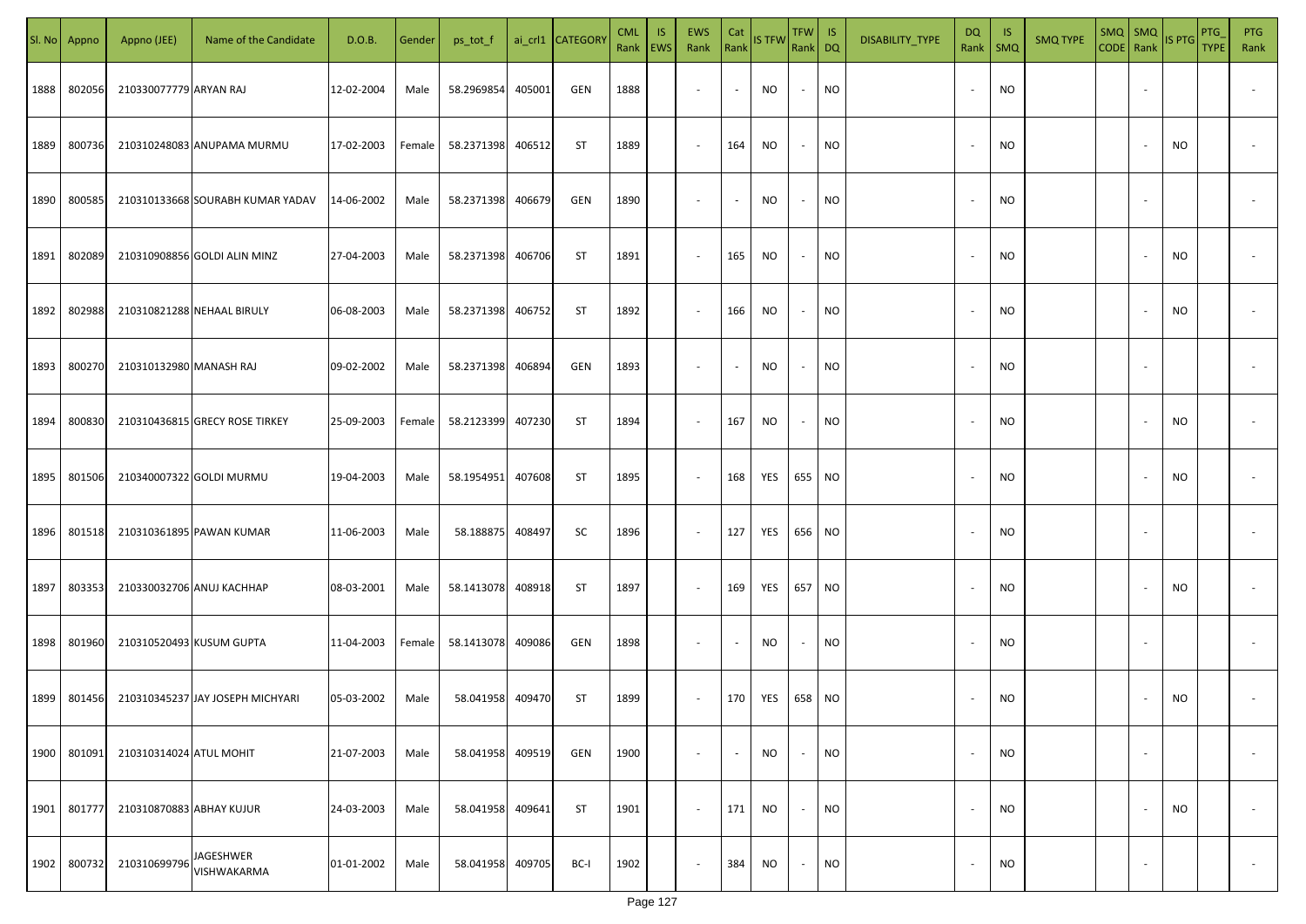| SI. No. | Appno  | Appno (JEE)              | Name of the Candidate            | D.O.B.     | Gender | ps_tot_f   |        | ai_crl1 CATEGORY | <b>CML</b> | IS.<br>Rank   EWS | EWS<br>Rank              | Cat<br>Rank              | <b>IS TFW</b> | TFW  <br>Rank DQ         | IS        | DISABILITY_TYPE | DQ<br>Rank               | -IS<br>$\mathsf{SMQ}$ | <b>SMQ TYPE</b> | $SMQ$ SMQ<br>CODE Rank | IS PTG    | PTG<br><b>TYPE</b> | <b>PTG</b><br>Rank       |
|---------|--------|--------------------------|----------------------------------|------------|--------|------------|--------|------------------|------------|-------------------|--------------------------|--------------------------|---------------|--------------------------|-----------|-----------------|--------------------------|-----------------------|-----------------|------------------------|-----------|--------------------|--------------------------|
| 1888    | 802056 | 210330077779 ARYAN RAJ   |                                  | 12-02-2004 | Male   | 58.2969854 | 405001 | GEN              | 1888       |                   | $\overline{\phantom{a}}$ | $\sim$                   | NO            | $\sim$                   | <b>NO</b> |                 |                          | <b>NO</b>             |                 |                        |           |                    |                          |
| 1889    | 800736 |                          | 210310248083 ANUPAMA MURMU       | 17-02-2003 | Female | 58.2371398 | 406512 | ST               | 1889       |                   | $\overline{\phantom{a}}$ | 164                      | NO            | $\sim$                   | <b>NO</b> |                 |                          | NO                    |                 |                        | NO        |                    |                          |
| 1890    | 800585 |                          | 210310133668 SOURABH KUMAR YADAV | 14-06-2002 | Male   | 58.2371398 | 406679 | GEN              | 1890       |                   | $\overline{\phantom{a}}$ | $\overline{\phantom{a}}$ | <b>NO</b>     | $\sim$                   | <b>NO</b> |                 |                          | <b>NO</b>             |                 |                        |           |                    |                          |
| 1891    | 802089 |                          | 210310908856 GOLDI ALIN MINZ     | 27-04-2003 | Male   | 58.2371398 | 406706 | <b>ST</b>        | 1891       |                   | $\overline{\phantom{a}}$ | 165                      | <b>NO</b>     | $\sim$                   | NO        |                 |                          | NO.                   |                 |                        | NO        |                    |                          |
| 1892    | 802988 |                          | 210310821288 NEHAAL BIRULY       | 06-08-2003 | Male   | 58.2371398 | 406752 | ST               | 1892       |                   | $\overline{\phantom{a}}$ | 166                      | <b>NO</b>     | $\sim$                   | <b>NO</b> |                 |                          | NO.                   |                 |                        | NO        |                    |                          |
| 1893    | 800270 | 210310132980 MANASH RAJ  |                                  | 09-02-2002 | Male   | 58.2371398 | 406894 | <b>GEN</b>       | 1893       |                   | $\overline{\phantom{a}}$ | $\overline{\phantom{a}}$ | NO.           | $\overline{\phantom{a}}$ | NO        |                 |                          | NO.                   |                 |                        |           |                    |                          |
| 1894    | 800830 |                          | 210310436815 GRECY ROSE TIRKEY   | 25-09-2003 | Female | 58.2123399 | 407230 | <b>ST</b>        | 1894       |                   | $\overline{\phantom{a}}$ | 167                      | NO.           | $\overline{\phantom{a}}$ | <b>NO</b> |                 |                          | <b>NO</b>             |                 |                        | <b>NO</b> |                    |                          |
| 1895    | 801506 |                          | 210340007322 GOLDI MURMU         | 19-04-2003 | Male   | 58.1954951 | 407608 | <b>ST</b>        | 1895       |                   | $\sim$                   | 168                      | YES           | 655 NO                   |           |                 |                          | <b>NO</b>             |                 |                        | <b>NO</b> |                    |                          |
| 1896    | 801518 |                          | 210310361895 PAWAN KUMAR         | 11-06-2003 | Male   | 58.188875  | 408497 | SC               | 1896       |                   | $\sim$                   | 127                      | YES           | 656 NO                   |           |                 |                          | <b>NO</b>             |                 |                        |           |                    |                          |
| 1897    | 803353 |                          | 210330032706 ANUJ KACHHAP        | 08-03-2001 | Male   | 58.1413078 | 408918 | ST               | 1897       |                   | $\sim$                   | 169                      | YES           | 657                      | <b>NO</b> |                 |                          | <b>NO</b>             |                 |                        | NO        |                    |                          |
| 1898    | 801960 |                          | 210310520493 KUSUM GUPTA         | 11-04-2003 | Female | 58.1413078 | 409086 | GEN              | 1898       |                   | $\sim$                   |                          | NO.           | $\sim$                   | <b>NO</b> |                 |                          | <b>NO</b>             |                 |                        |           |                    |                          |
| 1899    | 801456 |                          | 210310345237 JAY JOSEPH MICHYARI | 05-03-2002 | Male   | 58.041958  | 409470 | <b>ST</b>        | 1899       |                   | $\overline{\phantom{a}}$ | 170                      | YES           | 658 NO                   |           |                 |                          | <b>NO</b>             |                 |                        | <b>NO</b> |                    |                          |
| 1900    | 801091 | 210310314024 ATUL MOHIT  |                                  | 21-07-2003 | Male   | 58.041958  | 409519 | GEN              | 1900       |                   | $\overline{\phantom{a}}$ | $\overline{\phantom{a}}$ | <b>NO</b>     | $\sim$                   | <b>NO</b> |                 | $\overline{\phantom{a}}$ | <b>NO</b>             |                 |                        |           |                    | $\overline{\phantom{a}}$ |
| 1901    | 801777 | 210310870883 ABHAY KUJUR |                                  | 24-03-2003 | Male   | 58.041958  | 409641 | <b>ST</b>        | 1901       |                   | $\overline{\phantom{a}}$ | 171                      | <b>NO</b>     | $\overline{\phantom{a}}$ | <b>NO</b> |                 | $\overline{\phantom{a}}$ | <b>NO</b>             |                 |                        | <b>NO</b> |                    | $\overline{\phantom{a}}$ |
| 1902    | 800732 | 21031069979              | JAGESHWER<br>VISHWAKARMA         | 01-01-2002 | Male   | 58.041958  | 409705 | BC-I             | 1902       |                   | $\overline{\phantom{a}}$ | 384                      | NO            | $\sim$                   | <b>NO</b> |                 |                          | <b>NO</b>             |                 |                        |           |                    | $\sim$                   |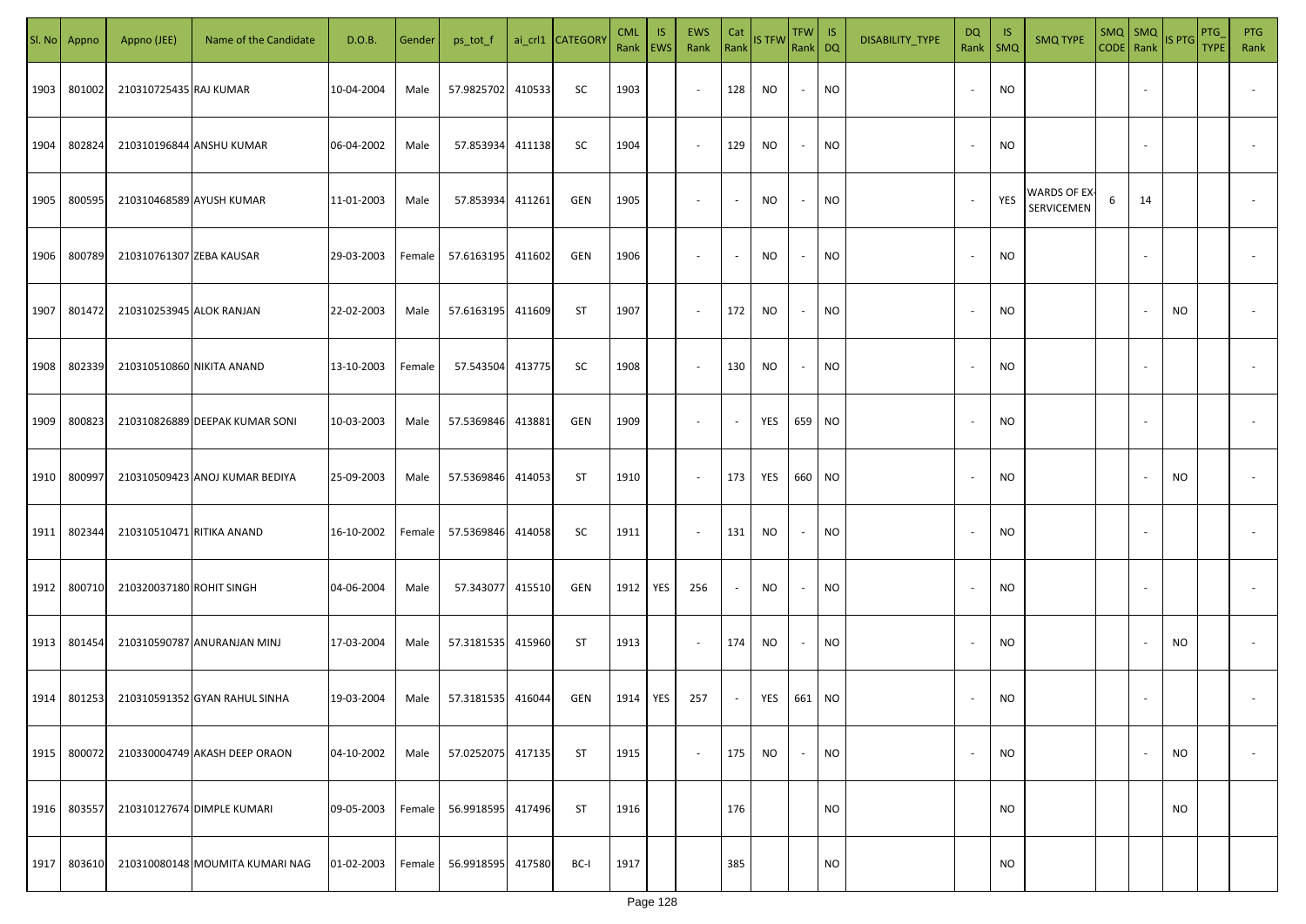| SI. No. | Appno  | Appno (JEE)               | Name of the Candidate           | D.O.B.     | Gender | ps_tot_f          |        | ai_crl1 CATEGORY | <b>CML</b><br>Rank   EWS | IS. | <b>EWS</b><br>Rank       | Cat<br>Rank              | <b>IS TFW</b> | $TFW$ IS<br>Rank DQ      |           | DISABILITY_TYPE | DQ                       | -IS<br>Rank   SMQ | <b>SMQ TYPE</b>            |   |    | $\begin{array}{ c c c c }\n\hline\n\text{SMQ} & \text{SMQ} \\ \hline\n\text{CODE} & \text{Rank}\n\end{array}$ IS PTG | PTG<br><b>TYPE</b> | <b>PTG</b><br>Rank       |
|---------|--------|---------------------------|---------------------------------|------------|--------|-------------------|--------|------------------|--------------------------|-----|--------------------------|--------------------------|---------------|--------------------------|-----------|-----------------|--------------------------|-------------------|----------------------------|---|----|----------------------------------------------------------------------------------------------------------------------|--------------------|--------------------------|
| 1903    | 801002 | 210310725435 RAJ KUMAR    |                                 | 10-04-2004 | Male   | 57.9825702        | 410533 | SC               | 1903                     |     | $\sim$                   | 128                      | NO            | $\sim$                   | <b>NO</b> |                 |                          | <b>NO</b>         |                            |   |    |                                                                                                                      |                    |                          |
| 1904    | 802824 |                           | 210310196844 ANSHU KUMAR        | 06-04-2002 | Male   | 57.853934         | 411138 | SC               | 1904                     |     | $\sim$                   | 129                      | NO            | $\sim$                   | <b>NO</b> |                 |                          | <b>NO</b>         |                            |   |    |                                                                                                                      |                    |                          |
| 1905    | 800595 |                           | 210310468589 AYUSH KUMAR        | 11-01-2003 | Male   | 57.853934         | 411261 | GEN              | 1905                     |     | $\overline{\phantom{a}}$ | $\sim$                   | NO            | $\sim$                   | <b>NO</b> |                 | $\overline{\phantom{a}}$ | YES               | WARDS OF EX-<br>SERVICEMEN | 6 | 14 |                                                                                                                      |                    |                          |
| 1906    | 800789 | 210310761307 ZEBA KAUSAR  |                                 | 29-03-2003 | Female | 57.6163195        | 411602 | GEN              | 1906                     |     | $\overline{\phantom{a}}$ | $\overline{\phantom{a}}$ | NO            | $\overline{\phantom{a}}$ | <b>NO</b> |                 | $\sim$                   | <b>NO</b>         |                            |   |    |                                                                                                                      |                    |                          |
| 1907    | 801472 | 210310253945 ALOK RANJAN  |                                 | 22-02-2003 | Male   | 57.6163195 411609 |        | ST               | 1907                     |     | $\overline{\phantom{a}}$ | 172                      | NO            | $\sim$                   | <b>NO</b> |                 | $\sim$                   | <b>NO</b>         |                            |   |    | NO                                                                                                                   |                    |                          |
| 1908    | 802339 | 210310510860 NIKITA ANAND |                                 | 13-10-2003 | Female | 57.543504 413775  |        | SC               | 1908                     |     | $\overline{\phantom{a}}$ | 130                      | NO            | $\sim$                   | <b>NO</b> |                 |                          | <b>NO</b>         |                            |   |    |                                                                                                                      |                    |                          |
| 1909    | 800823 |                           | 210310826889 DEEPAK KUMAR SONI  | 10-03-2003 | Male   | 57.5369846        | 413881 | GEN              | 1909                     |     | $\overline{\phantom{a}}$ | $\sim$                   | YES           | 659 NO                   |           |                 |                          | <b>NO</b>         |                            |   |    |                                                                                                                      |                    |                          |
| 1910    | 800997 |                           | 210310509423 ANOJ KUMAR BEDIYA  | 25-09-2003 | Male   | 57.5369846        | 414053 | ST               | 1910                     |     | $\sim$                   | 173                      | YES           | 660 NO                   |           |                 |                          | <b>NO</b>         |                            |   |    | NO                                                                                                                   |                    |                          |
| 1911    | 802344 | 210310510471 RITIKA ANAND |                                 | 16-10-2002 | Female | 57.5369846        | 414058 | SC               | 1911                     |     | $\sim$                   | 131                      | NO            | $\overline{\phantom{a}}$ | <b>NO</b> |                 |                          | <b>NO</b>         |                            |   |    |                                                                                                                      |                    |                          |
| 1912    | 800710 | 210320037180 ROHIT SINGH  |                                 | 04-06-2004 | Male   | 57.343077         | 415510 | GEN              | 1912                     | YES | 256                      | $\overline{\phantom{a}}$ | NO            |                          | <b>NO</b> |                 |                          | <b>NO</b>         |                            |   |    |                                                                                                                      |                    |                          |
| 1913    | 801454 |                           | 210310590787 ANURANJAN MINJ     | 17-03-2004 | Male   | 57.3181535 415960 |        | ST               | 1913                     |     | $\sim$                   | 174                      | <b>NO</b>     | $\sim$                   | <b>NO</b> |                 |                          | <b>NO</b>         |                            |   |    | NO                                                                                                                   |                    |                          |
| 1914    | 801253 |                           | 210310591352 GYAN RAHUL SINHA   | 19-03-2004 | Male   | 57.3181535 416044 |        | GEN              | 1914                     | YES | 257                      | $\sim$                   | YES           | 661 NO                   |           |                 |                          | <b>NO</b>         |                            |   |    |                                                                                                                      |                    |                          |
| 1915    | 800072 |                           | 210330004749 AKASH DEEP ORAON   | 04-10-2002 | Male   | 57.0252075        | 417135 | <b>ST</b>        | 1915                     |     | $\sim$                   | 175                      | <b>NO</b>     |                          | <b>NO</b> |                 |                          | <b>NO</b>         |                            |   |    | <b>NO</b>                                                                                                            |                    | $\overline{\phantom{a}}$ |
| 1916    | 803557 |                           | 210310127674 DIMPLE KUMARI      | 09-05-2003 | Female | 56.9918595 417496 |        | <b>ST</b>        | 1916                     |     |                          | 176                      |               |                          | <b>NO</b> |                 |                          | <b>NO</b>         |                            |   |    | NO                                                                                                                   |                    |                          |
| 1917    | 803610 |                           | 210310080148 MOUMITA KUMARI NAG | 01-02-2003 | Female | 56.9918595        | 417580 | BC-I             | 1917                     |     |                          | 385                      |               |                          | <b>NO</b> |                 |                          | <b>NO</b>         |                            |   |    |                                                                                                                      |                    |                          |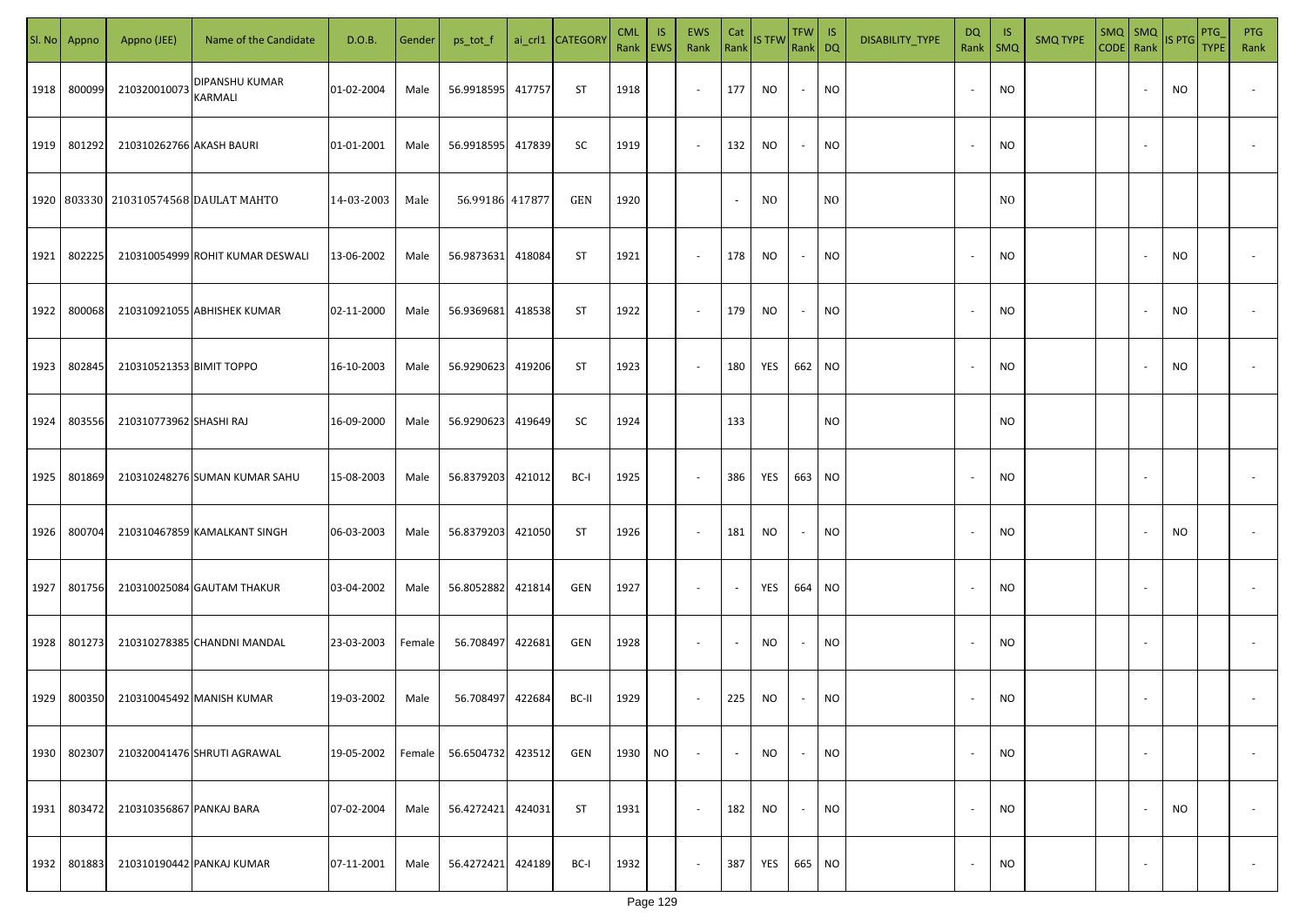| SI. No | Appno  | Appno (JEE)              | Name of the Candidate                 | D.O.B.     | Gender | ps_tot_f        |        | ai_crl1 CATEGORY | <b>CML</b> | <b>IS</b><br>Rank   EWS | EWS<br>Rank | Cat    | Rank IS TFW | TFW IS<br>Rank DQ        |                | DISABILITY_TYPE | DQ<br>Rank               | -IS<br>SMQ     | <b>SMQ TYPE</b> | $SMQ$ SMQ<br>CODE Rank |        | IS PTG    | PTG<br><b>TYPE</b> | PTG<br>Rank              |
|--------|--------|--------------------------|---------------------------------------|------------|--------|-----------------|--------|------------------|------------|-------------------------|-------------|--------|-------------|--------------------------|----------------|-----------------|--------------------------|----------------|-----------------|------------------------|--------|-----------|--------------------|--------------------------|
| 1918   | 800099 | 210320010073             | DIPANSHU KUMAR<br>KARMALI             | 01-02-2004 | Male   | 56.9918595      | 417757 | ST               | 1918       |                         | $\sim$      | 177    | NO          | $\sim$                   | <b>NO</b>      |                 | $\overline{\phantom{a}}$ | <b>NO</b>      |                 |                        |        | NO        |                    |                          |
| 1919   | 801292 | 210310262766 AKASH BAURI |                                       | 01-01-2001 | Male   | 56.9918595      | 417839 | SC               | 1919       |                         | $\sim$      | 132    | NO          | $\sim$                   | <b>NO</b>      |                 | $\overline{\phantom{a}}$ | <b>NO</b>      |                 |                        |        |           |                    |                          |
|        |        |                          | 1920 803330 210310574568 DAULAT MAHTO | 14-03-2003 | Male   | 56.99186 417877 |        | GEN              | 1920       |                         |             | $\sim$ | NO.         |                          | N <sub>O</sub> |                 |                          | N <sub>0</sub> |                 |                        |        |           |                    |                          |
| 1921   | 802225 |                          | 210310054999 ROHIT KUMAR DESWALI      | 13-06-2002 | Male   | 56.9873631      | 418084 | ST               | 1921       |                         | $\sim$      | 178    | NO.         | $\sim$                   | NO             |                 |                          | <b>NO</b>      |                 |                        |        | NO        |                    |                          |
| 1922   | 800068 |                          | 210310921055 ABHISHEK KUMAR           | 02-11-2000 | Male   | 56.9369681      | 418538 | ST               | 1922       |                         | $\sim$      | 179    | <b>NO</b>   | $\sim$                   | <b>NO</b>      |                 |                          | <b>NO</b>      |                 |                        |        | <b>NO</b> |                    |                          |
| 1923   | 802845 | 210310521353 BIMIT TOPPO |                                       | 16-10-2003 | Male   | 56.9290623      | 419206 | ST               | 1923       |                         | $\sim$      | 180    | YES         | 662 NO                   |                |                 |                          | <b>NO</b>      |                 |                        |        | NO        |                    |                          |
| 1924   | 803556 | 210310773962 SHASHI RAJ  |                                       | 16-09-2000 | Male   | 56.9290623      | 419649 | SC               | 1924       |                         |             | 133    |             |                          | NO             |                 |                          | <b>NO</b>      |                 |                        |        |           |                    |                          |
| 1925   | 801869 |                          | 210310248276 SUMAN KUMAR SAHU         | 15-08-2003 | Male   | 56.8379203      | 421012 | BC-I             | 1925       |                         | $\sim$      | 386    | YES         | 663                      | <b>NO</b>      |                 |                          | <b>NO</b>      |                 |                        |        |           |                    |                          |
| 1926   | 800704 |                          | 210310467859 KAMALKANT SINGH          | 06-03-2003 | Male   | 56.8379203      | 421050 | ST               | 1926       |                         | $\sim$      | 181    | NO          | $\overline{\phantom{a}}$ | <b>NO</b>      |                 |                          | <b>NO</b>      |                 |                        |        | NO.       |                    |                          |
| 1927   | 801756 |                          | 210310025084 GAUTAM THAKUR            | 03-04-2002 | Male   | 56.8052882      | 421814 | GEN              | 1927       |                         | $\sim$      | $\sim$ | YES         | 664                      | <b>NO</b>      |                 |                          | <b>NO</b>      |                 |                        |        |           |                    |                          |
| 1928   | 801273 |                          | 210310278385 CHANDNI MANDAL           | 23-03-2003 | Female | 56.708497       | 422681 | GEN              | 1928       |                         | $\sim$      | $\sim$ | NO          | $\sim$                   | <b>NO</b>      |                 |                          | <b>NO</b>      |                 |                        |        |           |                    |                          |
| 1929   | 800350 |                          | 210310045492 MANISH KUMAR             | 19-03-2002 | Male   | 56.708497       | 422684 | BC-II            | 1929       |                         | $\sim$      | 225    | NO.         | $\sim$                   | NO             |                 |                          | <b>NO</b>      |                 |                        |        |           |                    |                          |
| 1930   | 802307 |                          | 210320041476 SHRUTI AGRAWAL           | 19-05-2002 | Female | 56.6504732      | 423512 | GEN              | 1930       | <b>NO</b>               | $\sim$      | $\sim$ | NO          | $\sim$                   | <b>NO</b>      |                 | $\overline{\phantom{a}}$ | <b>NO</b>      |                 |                        | $\sim$ |           |                    | $\overline{\phantom{a}}$ |
| 1931   | 803472 | 210310356867 PANKAJ BARA |                                       | 07-02-2004 | Male   | 56.4272421      | 424031 | ST               | 1931       |                         | $\sim$      | 182    | NO          | $\sim$                   | <b>NO</b>      |                 | $\overline{\phantom{a}}$ | <b>NO</b>      |                 |                        |        | <b>NO</b> |                    | $\overline{\phantom{a}}$ |
| 1932   | 801883 |                          | 210310190442 PANKAJ KUMAR             | 07-11-2001 | Male   | 56.4272421      | 424189 | BC-I             | 1932       |                         | $\sim$      | 387    | YES         | 665 NO                   |                |                 | $\overline{\phantom{a}}$ | <b>NO</b>      |                 |                        | $\sim$ |           |                    | $\overline{\phantom{a}}$ |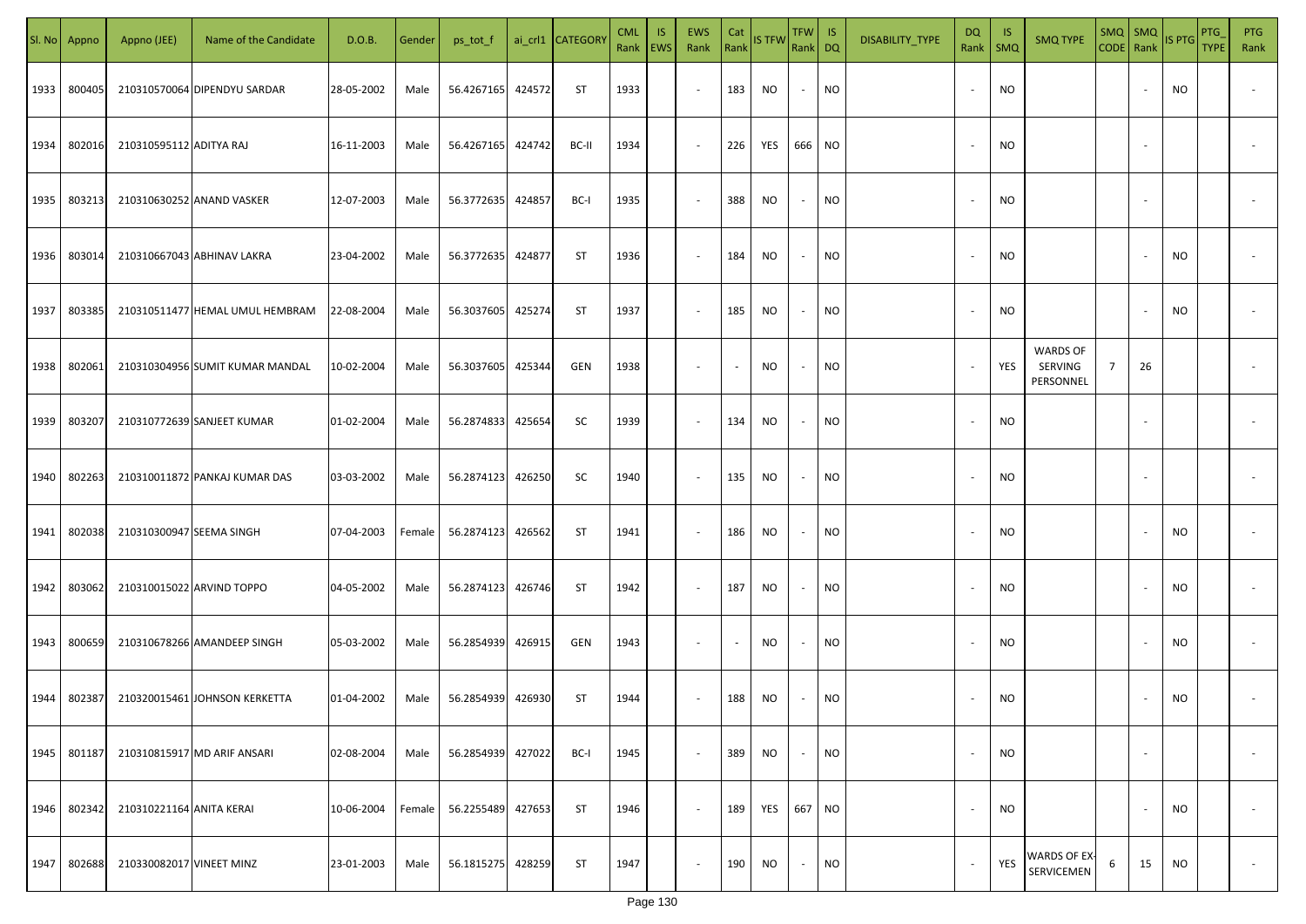| SI. No | Appno  | Appno (JEE)              | Name of the Candidate           | D.O.B.     | Gender | ps_tot_f   |        | ai_crl1 CATEGORY | <b>CML</b><br>Rank   EWS | IS. | <b>EWS</b><br>Rank       | Cat<br>Rank              | <b>IS TFW</b> | $TFW$ IS<br>Rank DQ      |           | DISABILITY_TYPE | <b>DQ</b>                | -IS<br>Rank   SMQ | <b>SMQ TYPE</b>                         |                |                          | $\begin{array}{ c c c c }\n\hline\n\text{SMQ} & \text{SMQ} \\ \hline\n\text{CODE} & \text{Rank}\n\end{array}$ IS PTG | <b>PTG</b><br><b>TYPE</b> | <b>PTG</b><br>Rank       |
|--------|--------|--------------------------|---------------------------------|------------|--------|------------|--------|------------------|--------------------------|-----|--------------------------|--------------------------|---------------|--------------------------|-----------|-----------------|--------------------------|-------------------|-----------------------------------------|----------------|--------------------------|----------------------------------------------------------------------------------------------------------------------|---------------------------|--------------------------|
| 1933   | 800405 |                          | 210310570064 DIPENDYU SARDAR    | 28-05-2002 | Male   | 56.4267165 | 424572 | ST               | 1933                     |     | $\sim$                   | 183                      | NO            | $\overline{\phantom{a}}$ | <b>NO</b> |                 |                          | <b>NO</b>         |                                         |                |                          | NO                                                                                                                   |                           |                          |
| 1934   | 802016 | 210310595112 ADITYA RAJ  |                                 | 16-11-2003 | Male   | 56.4267165 | 424742 | BC-II            | 1934                     |     | $\sim$                   | 226                      | YES           | 666 NO                   |           |                 |                          | <b>NO</b>         |                                         |                |                          |                                                                                                                      |                           |                          |
| 1935   | 803213 |                          | 210310630252 ANAND VASKER       | 12-07-2003 | Male   | 56.3772635 | 424857 | BC-I             | 1935                     |     | $\overline{\phantom{a}}$ | 388                      | NO            | $\sim$                   | <b>NO</b> |                 |                          | <b>NO</b>         |                                         |                |                          |                                                                                                                      |                           |                          |
| 1936   | 803014 |                          | 210310667043 ABHINAV LAKRA      | 23-04-2002 | Male   | 56.3772635 | 424877 | ST               | 1936                     |     | $\overline{\phantom{a}}$ | 184                      | NO            | $\overline{\phantom{a}}$ | <b>NO</b> |                 |                          | <b>NO</b>         |                                         |                |                          | NO                                                                                                                   |                           |                          |
| 1937   | 803385 |                          | 210310511477 HEMAL UMUL HEMBRAM | 22-08-2004 | Male   | 56.3037605 | 425274 | ST               | 1937                     |     | $\overline{\phantom{a}}$ | 185                      | NO            | $\sim$                   | <b>NO</b> |                 | $\sim$                   | <b>NO</b>         |                                         |                |                          | NO                                                                                                                   |                           |                          |
| 1938   | 802061 |                          | 210310304956 SUMIT KUMAR MANDAL | 10-02-2004 | Male   | 56.3037605 | 425344 | GEN              | 1938                     |     | $\overline{\phantom{a}}$ | $\overline{\phantom{a}}$ | NO            | $\overline{\phantom{a}}$ | <b>NO</b> |                 |                          | YES               | <b>WARDS OF</b><br>SERVING<br>PERSONNEL | $\overline{7}$ | 26                       |                                                                                                                      |                           |                          |
| 1939   | 803207 |                          | 210310772639 SANJEET KUMAR      | 01-02-2004 | Male   | 56.2874833 | 425654 | SC               | 1939                     |     | $\overline{\phantom{a}}$ | 134                      | NO.           | $\sim$                   | <b>NO</b> |                 |                          | <b>NO</b>         |                                         |                |                          |                                                                                                                      |                           |                          |
| 1940   | 802263 |                          | 210310011872 PANKAJ KUMAR DAS   | 03-03-2002 | Male   | 56.2874123 | 426250 | SC               | 1940                     |     | $\sim$                   | 135                      | <b>NO</b>     | $\overline{\phantom{a}}$ | <b>NO</b> |                 |                          | <b>NO</b>         |                                         |                |                          |                                                                                                                      |                           |                          |
| 1941   | 802038 | 210310300947 SEEMA SINGH |                                 | 07-04-2003 | Female | 56.2874123 | 426562 | ST               | 1941                     |     | $\overline{\phantom{a}}$ | 186                      | NO            | $\overline{\phantom{a}}$ | <b>NO</b> |                 |                          | <b>NO</b>         |                                         |                |                          | NO.                                                                                                                  |                           |                          |
| 1942   | 803062 |                          | 210310015022 ARVIND TOPPO       | 04-05-2002 | Male   | 56.2874123 | 426746 | ST               | 1942                     |     | $\sim$                   | 187                      | NO            |                          | <b>NO</b> |                 |                          | <b>NO</b>         |                                         |                |                          | NO                                                                                                                   |                           |                          |
| 1943   | 800659 |                          | 210310678266 AMANDEEP SINGH     | 05-03-2002 | Male   | 56.2854939 | 426915 | GEN              | 1943                     |     | $\sim$                   |                          | NO            |                          | <b>NO</b> |                 |                          | <b>NO</b>         |                                         |                |                          | NO                                                                                                                   |                           |                          |
| 1944   | 802387 |                          | 210320015461 JOHNSON KERKETTA   | 01-04-2002 | Male   | 56.2854939 | 426930 | ST               | 1944                     |     | $\sim$                   | 188                      | NO            |                          | <b>NO</b> |                 |                          | <b>NO</b>         |                                         |                |                          | NO                                                                                                                   |                           |                          |
| 1945   | 801187 |                          | 210310815917 MD ARIF ANSARI     | 02-08-2004 | Male   | 56.2854939 | 427022 | BC-I             | 1945                     |     | $\sim$                   | 389                      | NO            |                          | <b>NO</b> |                 |                          | <b>NO</b>         |                                         |                | $\overline{\phantom{a}}$ |                                                                                                                      |                           | $\overline{\phantom{a}}$ |
| 1946   | 802342 | 210310221164 ANITA KERAI |                                 | 10-06-2004 | Female | 56.2255489 | 427653 | <b>ST</b>        | 1946                     |     | $\sim$                   | 189                      | YES           | 667 NO                   |           |                 | $\overline{\phantom{a}}$ | <b>NO</b>         |                                         |                |                          | NO                                                                                                                   |                           | $\overline{\phantom{a}}$ |
| 1947   | 802688 | 210330082017 VINEET MINZ |                                 | 23-01-2003 | Male   | 56.1815275 | 428259 | ST               | 1947                     |     | $\overline{\phantom{a}}$ | 190                      | <b>NO</b>     | $\sim$                   | <b>NO</b> |                 |                          | YES               | WARDS OF EX-<br>SERVICEMEN              | 6              | 15                       | <b>NO</b>                                                                                                            |                           | $\overline{\phantom{a}}$ |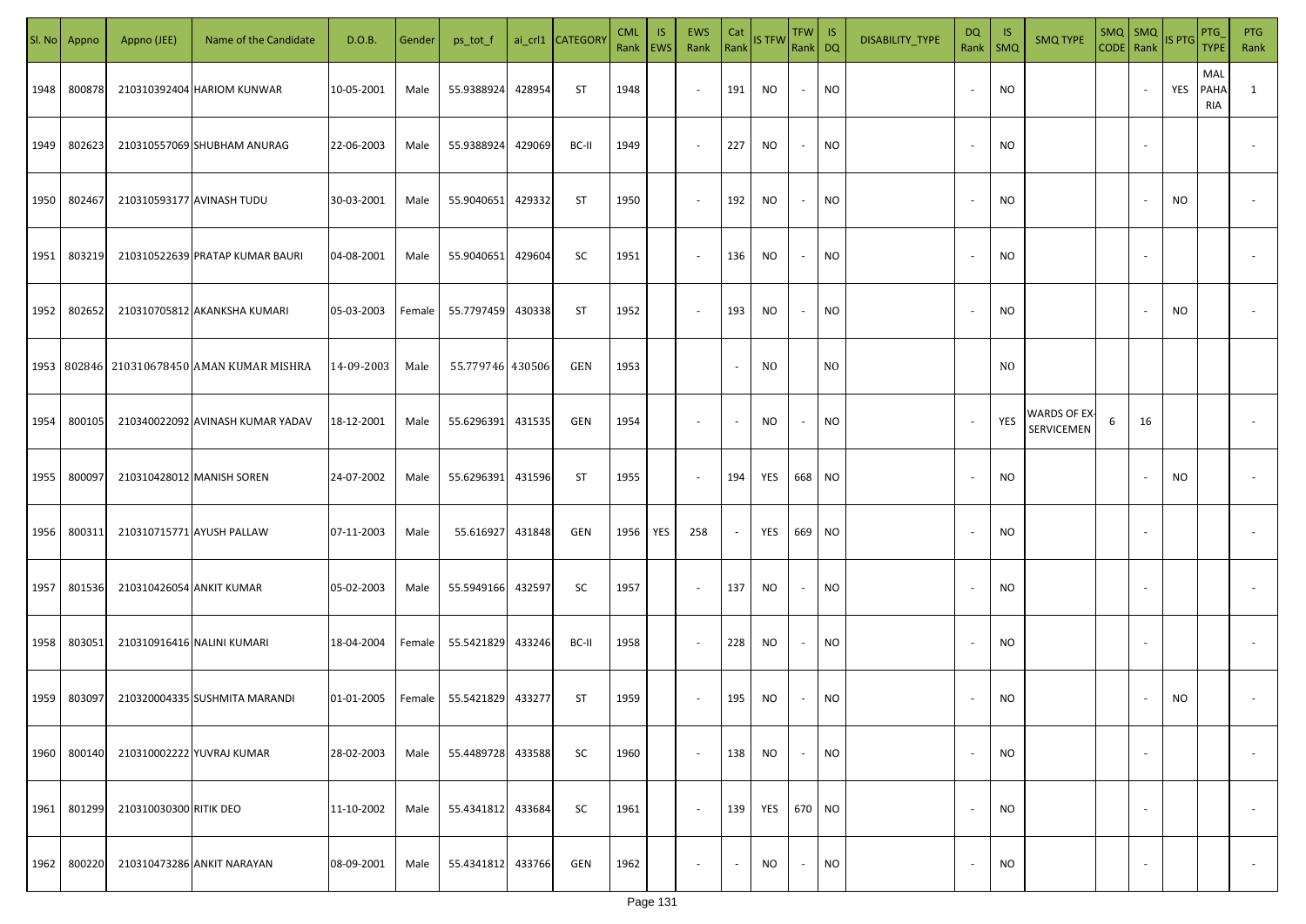|      | Sl. No Appno | Appno (JEE)               | Name of the Candidate                          | D.O.B.     | Gender | ps_tot_f          |        | ai_crl1 CATEGORY | <b>CML</b> | <b>IS</b><br>Rank   EWS | EWS<br>Rank              | Cat<br>Rank | <b>IS TFW</b> | TFW IS<br>Rank DQ |           | DISABILITY_TYPE | DQ<br>Rank               | -IS<br><b>SMQ</b> | <b>SMQ TYPE</b>            | $SMQ$ $SMQ$<br>CODE Rank |                          | <b>IS PTG</b> | <b>PTG</b><br><b>TYPE</b> | <b>PTG</b><br>Rank       |
|------|--------------|---------------------------|------------------------------------------------|------------|--------|-------------------|--------|------------------|------------|-------------------------|--------------------------|-------------|---------------|-------------------|-----------|-----------------|--------------------------|-------------------|----------------------------|--------------------------|--------------------------|---------------|---------------------------|--------------------------|
| 1948 | 800878       |                           | 210310392404 HARIOM KUNWAR                     | 10-05-2001 | Male   | 55.9388924        | 428954 | ST               | 1948       |                         | $\sim$                   | 191         | NO.           | $\sim$            | <b>NO</b> |                 | $\sim$                   | <b>NO</b>         |                            |                          |                          | YES           | MAL<br><b>PAHA</b><br>RIA | $\mathbf{1}$             |
| 1949 | 802623       |                           | 210310557069 SHUBHAM ANURAG                    | 22-06-2003 | Male   | 55.9388924        | 429069 | BC-II            | 1949       |                         | $\sim$                   | 227         | NO.           | $\sim$            | <b>NO</b> |                 | $\overline{\phantom{a}}$ | <b>NO</b>         |                            |                          |                          |               |                           |                          |
| 1950 | 802467       |                           | 210310593177 AVINASH TUDU                      | 30-03-2001 | Male   | 55.9040651        | 429332 | ST               | 1950       |                         | $\sim$                   | 192         | NO.           | $\sim$            | <b>NO</b> |                 | $\overline{\phantom{a}}$ | <b>NO</b>         |                            |                          |                          | NO            |                           |                          |
| 1951 | 803219       |                           | 210310522639 PRATAP KUMAR BAURI                | 04-08-2001 | Male   | 55.9040651        | 429604 | SC               | 1951       |                         | $\sim$                   | 136         | NO            | $\sim$            | NO        |                 | $\sim$                   | <b>NO</b>         |                            |                          |                          |               |                           |                          |
| 1952 | 802652       |                           | 210310705812 AKANKSHA KUMARI                   | 05-03-2003 | Female | 55.7797459 430338 |        | ST               | 1952       |                         | $\sim$                   | 193         | NO.           | $\sim$            | <b>NO</b> |                 |                          | <b>NO</b>         |                            |                          |                          | NO.           |                           |                          |
|      |              |                           | 1953   802846   210310678450 AMAN KUMAR MISHRA | 14-09-2003 | Male   | 55.779746 430506  |        | GEN              | 1953       |                         |                          | $\sim$      | NO.           |                   | NO.       |                 |                          | N <sub>O</sub>    |                            |                          |                          |               |                           |                          |
| 1954 | 800105       |                           | 210340022092 AVINASH KUMAR YADAV               | 18-12-2001 | Male   | 55.6296391 431535 |        | GEN              | 1954       |                         | $\overline{\phantom{a}}$ | $\sim$      | NO.           | $\sim$            | <b>NO</b> |                 |                          | YES               | WARDS OF EX-<br>SERVICEMEN | 6                        | 16                       |               |                           |                          |
| 1955 | 800097       |                           | 210310428012 MANISH SOREN                      | 24-07-2002 | Male   | 55.6296391 431596 |        | ST               | 1955       |                         | $\sim$                   | 194         | YES           | 668 NO            |           |                 |                          | <b>NO</b>         |                            |                          |                          | <b>NO</b>     |                           |                          |
| 1956 | 800311       | 210310715771 AYUSH PALLAW |                                                | 07-11-2003 | Male   | 55.616927 431848  |        | GEN              | 1956       | YES                     | 258                      | $\sim$      | YES           | 669 NO            |           |                 |                          | <b>NO</b>         |                            |                          |                          |               |                           |                          |
| 1957 | 801536       | 210310426054 ANKIT KUMAR  |                                                | 05-02-2003 | Male   | 55.5949166 432597 |        | SC               | 1957       |                         | $\sim$                   | 137         | NO.           | $\sim$            | NO        |                 |                          | <b>NO</b>         |                            |                          |                          |               |                           |                          |
| 1958 | 803051       |                           | 210310916416 NALINI KUMARI                     | 18-04-2004 | Female | 55.5421829 433246 |        | BC-II            | 1958       |                         | $\sim$                   | 228         | NO.           | $\sim$            | <b>NO</b> |                 |                          | <b>NO</b>         |                            |                          |                          |               |                           |                          |
|      | 1959 803097  |                           | 210320004335 SUSHMITA MARANDI                  | 01-01-2005 | Female | 55.5421829 433277 |        | ST               | 1959       |                         | $\overline{\phantom{a}}$ | 195         | NO            | $\sim$            | <b>NO</b> |                 |                          | <b>NO</b>         |                            |                          |                          | <b>NO</b>     |                           |                          |
| 1960 | 800140       |                           | 210310002222 YUVRAJ KUMAR                      | 28-02-2003 | Male   | 55.4489728 433588 |        | SC               | 1960       |                         | $\sim$                   | 138         | NO.           | $\sim$            | <b>NO</b> |                 | $\sim$                   | <b>NO</b>         |                            |                          | $\overline{\phantom{a}}$ |               |                           | $\overline{\phantom{a}}$ |
| 1961 | 801299       | 210310030300 RITIK DEO    |                                                | 11-10-2002 | Male   | 55.4341812 433684 |        | SC               | 1961       |                         | $\sim$                   | 139         | YES           | 670 NO            |           |                 | $\overline{\phantom{a}}$ | <b>NO</b>         |                            |                          | $\overline{\phantom{a}}$ |               |                           | $\overline{\phantom{a}}$ |
| 1962 | 800220       |                           | 210310473286 ANKIT NARAYAN                     | 08-09-2001 | Male   | 55.4341812 433766 |        | GEN              | 1962       |                         | $\overline{\phantom{a}}$ | $\sim$      | NO.           | $\sim$            | <b>NO</b> |                 | $\overline{\phantom{a}}$ | <b>NO</b>         |                            |                          | $\overline{\phantom{a}}$ |               |                           | $\overline{\phantom{a}}$ |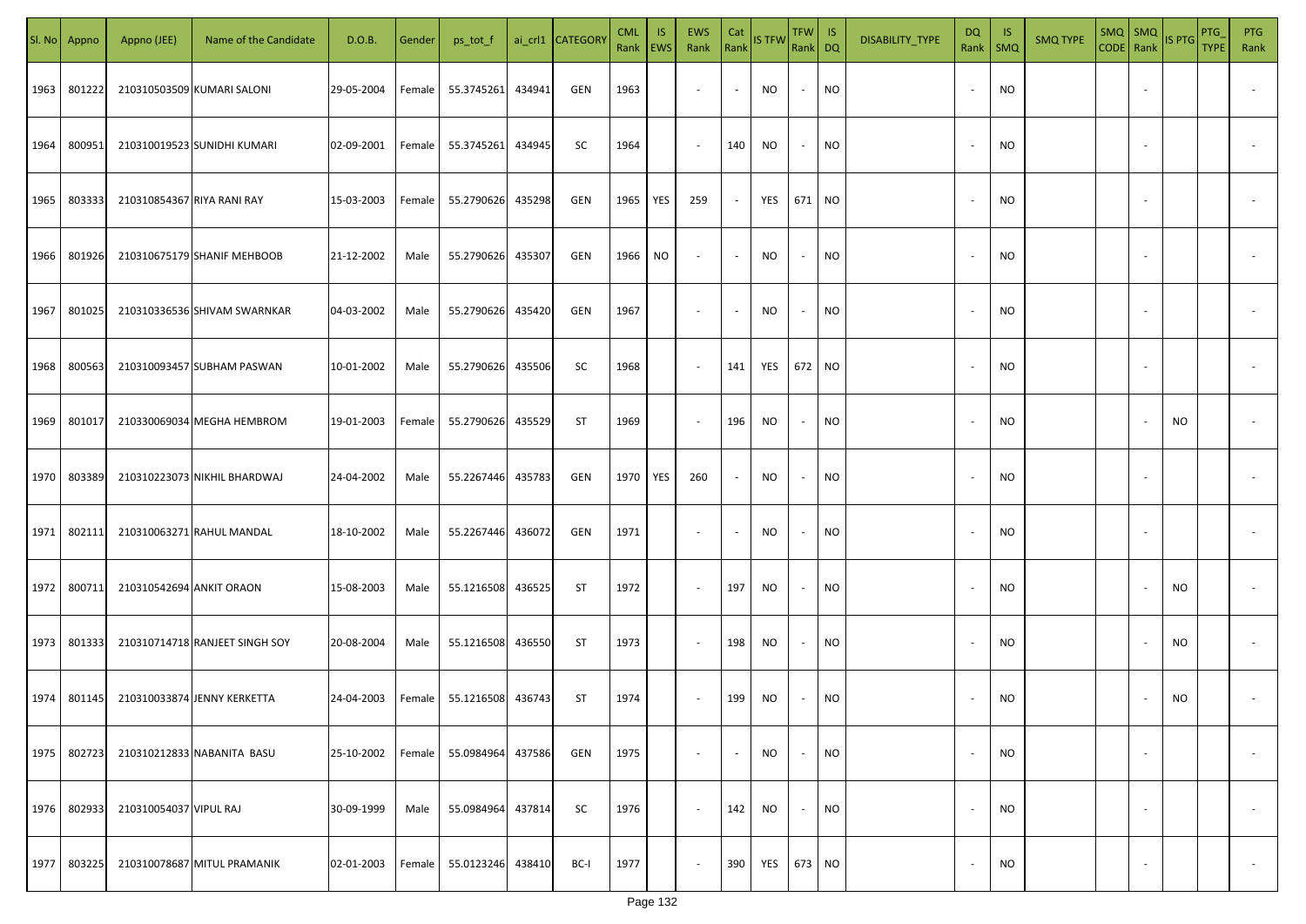|      | Sl. No Appno | Appno (JEE)                | Name of the Candidate          | D.O.B.     | Gender | ps_tot_f   |        | ai_crl1 CATEGORY | <b>CML</b><br>Rank | IS.<br>EWS | <b>EWS</b><br>Rank       | Cat<br>Rank | <b>IS TFW</b> | <b>TFW</b><br>Rank DQ    | IS        | DISABILITY_TYPE | DQ<br>Rank               | -IS<br>$\mathsf{SMQ}$ | <b>SMQ TYPE</b> | $SMQ$ $SMQ$<br>CODE Rank | IS PTG | PTG<br><b>TYPE</b> | <b>PTG</b><br>Rank       |
|------|--------------|----------------------------|--------------------------------|------------|--------|------------|--------|------------------|--------------------|------------|--------------------------|-------------|---------------|--------------------------|-----------|-----------------|--------------------------|-----------------------|-----------------|--------------------------|--------|--------------------|--------------------------|
| 1963 | 801222       |                            | 210310503509 KUMARI SALONI     | 29-05-2004 | Female | 55.3745261 | 434941 | GEN              | 1963               |            | $\overline{\phantom{a}}$ |             | NO            | $\overline{\phantom{a}}$ | <b>NO</b> |                 | $\overline{\phantom{a}}$ | <b>NO</b>             |                 |                          |        |                    |                          |
| 1964 | 800951       |                            | 210310019523 SUNIDHI KUMARI    | 02-09-2001 | Female | 55.3745261 | 434945 | SC               | 1964               |            | $\sim$                   | 140         | <b>NO</b>     | $\sim$                   | <b>NO</b> |                 | $\overline{\phantom{a}}$ | <b>NO</b>             |                 |                          |        |                    |                          |
| 1965 | 803333       | 210310854367 RIYA RANI RAY |                                | 15-03-2003 | Female | 55.2790626 | 435298 | GEN              | 1965               | YES        | 259                      |             | YES           | 671 NO                   |           |                 | $\overline{\phantom{a}}$ | NO                    |                 |                          |        |                    |                          |
| 1966 | 801926       |                            | 210310675179 SHANIF MEHBOOB    | 21-12-2002 | Male   | 55.2790626 | 435307 | GEN              | 1966               | NO.        | $\overline{\phantom{a}}$ |             | NO            | $\sim$                   | NO        |                 | $\sim$                   | NO                    |                 |                          |        |                    |                          |
| 1967 | 801025       |                            | 210310336536 SHIVAM SWARNKAR   | 04-03-2002 | Male   | 55.2790626 | 435420 | GEN              | 1967               |            | $\sim$                   |             | <b>NO</b>     | $\sim$                   | NO.       |                 | $\overline{\phantom{a}}$ | NO                    |                 |                          |        |                    |                          |
| 1968 | 800563       |                            | 210310093457 SUBHAM PASWAN     | 10-01-2002 | Male   | 55.2790626 | 435506 | SC               | 1968               |            | $\overline{\phantom{a}}$ | 141         | YES           | 672                      | NO        |                 | $\overline{\phantom{a}}$ | <b>NO</b>             |                 |                          |        |                    |                          |
| 1969 | 801017       |                            | 210330069034 MEGHA HEMBROM     | 19-01-2003 | Female | 55.2790626 | 435529 | ST               | 1969               |            | $\overline{\phantom{a}}$ | 196         | <b>NO</b>     | $\sim$                   | <b>NO</b> |                 | $\overline{\phantom{a}}$ | NO                    |                 |                          | NO.    |                    |                          |
| 1970 | 803389       |                            | 210310223073 NIKHIL BHARDWAJ   | 24-04-2002 | Male   | 55.2267446 | 435783 | GEN              | 1970               | YES        | 260                      |             | NO.           | $\sim$                   | <b>NO</b> |                 | $\overline{\phantom{a}}$ | NO                    |                 |                          |        |                    |                          |
| 1971 | 802111       |                            | 210310063271 RAHUL MANDAL      | 18-10-2002 | Male   | 55.2267446 | 436072 | GEN              | 1971               |            | $\overline{\phantom{a}}$ |             | NO.           | $\overline{\phantom{a}}$ | <b>NO</b> |                 |                          | NO                    |                 |                          |        |                    |                          |
| 1972 | 800711       | 210310542694 ANKIT ORAON   |                                | 15-08-2003 | Male   | 55.1216508 | 436525 | <b>ST</b>        | 1972               |            | $\sim$                   | 197         | <b>NO</b>     | $\sim$                   | <b>NO</b> |                 |                          | <b>NO</b>             |                 |                          | NO.    |                    |                          |
| 1973 | 801333       |                            | 210310714718 RANJEET SINGH SOY | 20-08-2004 | Male   | 55.1216508 | 436550 | <b>ST</b>        | 1973               |            | $\sim$                   | 198         | <b>NO</b>     | $\sim$                   | <b>NO</b> |                 | $\overline{\phantom{a}}$ | <b>NO</b>             |                 |                          | NO.    |                    |                          |
| 1974 | 801145       |                            | 210310033874 JENNY KERKETTA    | 24-04-2003 | Female | 55.1216508 | 436743 | <b>ST</b>        | 1974               |            | $\overline{\phantom{a}}$ | 199         | <b>NO</b>     |                          | <b>NO</b> |                 | $\overline{\phantom{a}}$ | <b>NO</b>             |                 |                          | NO.    |                    |                          |
| 1975 | 802723       |                            | 210310212833 NABANITA BASU     | 25-10-2002 | Female | 55.0984964 | 437586 | GEN              | 1975               |            | $\overline{\phantom{a}}$ |             | NO            | $\sim$                   | <b>NO</b> |                 | $\overline{\phantom{a}}$ | <b>NO</b>             |                 |                          |        |                    |                          |
| 1976 | 802933       | 210310054037 VIPUL RAJ     |                                | 30-09-1999 | Male   | 55.0984964 | 437814 | SC               | 1976               |            | $\blacksquare$           | 142         | NO            | $\sim$                   | <b>NO</b> |                 | $\overline{\phantom{a}}$ | <b>NO</b>             |                 |                          |        |                    |                          |
| 1977 | 803225       |                            | 210310078687 MITUL PRAMANIK    | 02-01-2003 | Female | 55.0123246 | 438410 | BC-I             | 1977               |            | $\overline{\phantom{a}}$ | 390         | YES           | 673 NO                   |           |                 | $\overline{\phantom{a}}$ | <b>NO</b>             |                 |                          |        |                    | $\overline{\phantom{a}}$ |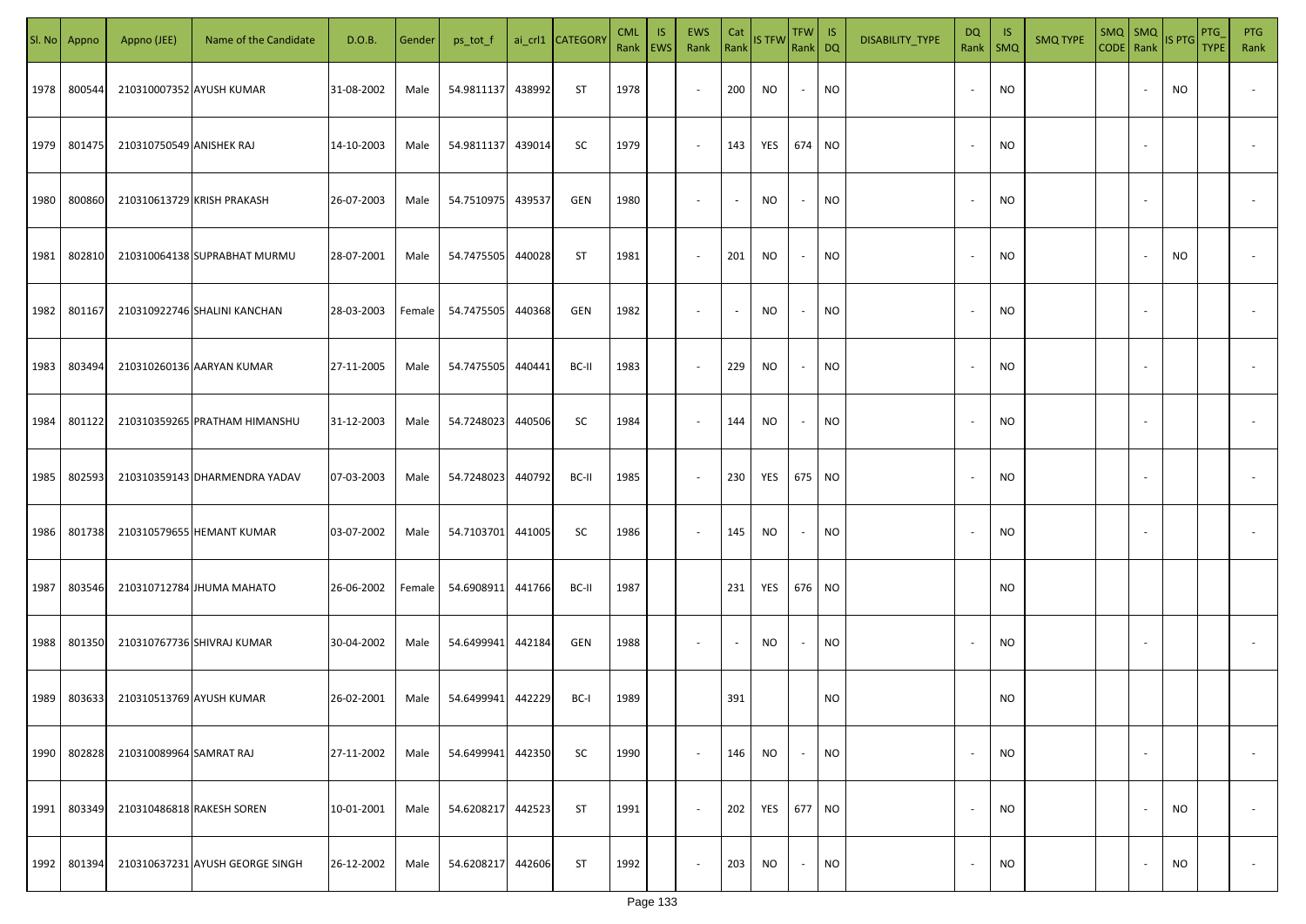| SI. No | Appno  | Appno (JEE)              | Name of the Candidate           | D.O.B.     | Gender | ps_tot_f          |        | ai_crl1 CATEGORY | <b>CML</b><br>Rank   EWS | <b>IS</b> | EWS<br>Rank | Cat                      | Rank IS TFW | $TFW$ IS<br>Rank DQ |           | DISABILITY_TYPE | <b>DQ</b><br>Rank        | - IS<br>SMQ | <b>SMQ TYPE</b> | $SMQ$ $SMQ$<br>CODE Rank |                          | <b>IS PTG</b> | PTG<br><b>TYPE</b> | <b>PTG</b><br>Rank       |
|--------|--------|--------------------------|---------------------------------|------------|--------|-------------------|--------|------------------|--------------------------|-----------|-------------|--------------------------|-------------|---------------------|-----------|-----------------|--------------------------|-------------|-----------------|--------------------------|--------------------------|---------------|--------------------|--------------------------|
| 1978   | 800544 |                          | 210310007352 AYUSH KUMAR        | 31-08-2002 | Male   | 54.9811137        | 438992 | ST               | 1978                     |           | $\sim$      | 200                      | NO          | $\sim$              | NO        |                 | $\overline{\phantom{a}}$ | <b>NO</b>   |                 |                          |                          | NO            |                    |                          |
| 1979   | 801475 | 210310750549 ANISHEK RAJ |                                 | 14-10-2003 | Male   | 54.9811137        | 439014 | SC               | 1979                     |           | $\sim$      | 143                      | YES         | 674 NO              |           |                 | $\overline{\phantom{a}}$ | <b>NO</b>   |                 |                          |                          |               |                    |                          |
| 1980   | 800860 |                          | 210310613729 KRISH PRAKASH      | 26-07-2003 | Male   | 54.7510975        | 439537 | GEN              | 1980                     |           | $\sim$      | $\sim$                   | NO          | $\sim$              | <b>NO</b> |                 | $\overline{\phantom{a}}$ | <b>NO</b>   |                 |                          |                          |               |                    |                          |
| 1981   | 802810 |                          | 210310064138 SUPRABHAT MURMU    | 28-07-2001 | Male   | 54.7475505        | 440028 | ST               | 1981                     |           | $\sim$      | 201                      | NO          | $\sim$              | <b>NO</b> |                 | $\overline{\phantom{a}}$ | <b>NO</b>   |                 |                          |                          | NO            |                    |                          |
| 1982   | 801167 |                          | 210310922746 SHALINI KANCHAN    | 28-03-2003 | Female | 54.7475505        | 440368 | GEN              | 1982                     |           | $\sim$      | $\sim$                   | NO.         | $\sim$              | NO        |                 | $\overline{\phantom{a}}$ | <b>NO</b>   |                 |                          | $\overline{\phantom{a}}$ |               |                    |                          |
| 1983   | 803494 |                          | 210310260136 AARYAN KUMAR       | 27-11-2005 | Male   | 54.7475505        | 440441 | BC-II            | 1983                     |           | $\sim$      | 229                      | NO.         | $\sim$              | NO        |                 |                          | ΝO          |                 |                          |                          |               |                    |                          |
| 1984   | 801122 |                          | 210310359265 PRATHAM HIMANSHU   | 31-12-2003 | Male   | 54.7248023        | 440506 | SC               | 1984                     |           | $\sim$      | 144                      | NO.         | $\sim$              | NO        |                 |                          | <b>NO</b>   |                 |                          |                          |               |                    |                          |
| 1985   | 802593 |                          | 210310359143 DHARMENDRA YADAV   | 07-03-2003 | Male   | 54.7248023        | 440792 | BC-II            | 1985                     |           | $\sim$      | 230                      | YES         | 675 NO              |           |                 |                          | <b>NO</b>   |                 |                          |                          |               |                    |                          |
| 1986   | 801738 |                          | 210310579655 HEMANT KUMAR       | 03-07-2002 | Male   | 54.7103701        | 441005 | SC               | 1986                     |           | $\sim$      | 145                      | NO          | $\sim$              | NO        |                 |                          | <b>NO</b>   |                 |                          |                          |               |                    |                          |
| 1987   | 803546 |                          | 210310712784 JHUMA MAHATO       | 26-06-2002 | Female | 54.6908911        | 441766 | BC-II            | 1987                     |           |             | 231                      | YES         | 676 NO              |           |                 |                          | <b>NO</b>   |                 |                          |                          |               |                    |                          |
| 1988   | 801350 |                          | 210310767736 SHIVRAJ KUMAR      | 30-04-2002 | Male   | 54.6499941        | 442184 | GEN              | 1988                     |           | $\sim$      | $\overline{\phantom{a}}$ | NO.         | $\sim$              | <b>NO</b> |                 |                          | <b>NO</b>   |                 |                          |                          |               |                    |                          |
| 1989   | 803633 |                          | 210310513769 AYUSH KUMAR        | 26-02-2001 | Male   | 54.6499941 442229 |        | BC-I             | 1989                     |           |             | 391                      |             |                     | <b>NO</b> |                 |                          | <b>NO</b>   |                 |                          |                          |               |                    |                          |
| 1990   | 802828 | 210310089964 SAMRAT RAJ  |                                 | 27-11-2002 | Male   | 54.6499941        | 442350 | SC               | 1990                     |           | $\sim$      | 146                      | <b>NO</b>   | $\sim$              | <b>NO</b> |                 | $\overline{\phantom{a}}$ | <b>NO</b>   |                 |                          | $\overline{\phantom{a}}$ |               |                    | $\overline{\phantom{a}}$ |
| 1991   | 803349 |                          | 210310486818 RAKESH SOREN       | 10-01-2001 | Male   | 54.6208217        | 442523 | ST               | 1991                     |           | $\sim$      | 202                      | YES         | 677 NO              |           |                 | $\overline{\phantom{a}}$ | <b>NO</b>   |                 |                          |                          | NO.           |                    | $\overline{\phantom{a}}$ |
| 1992   | 801394 |                          | 210310637231 AYUSH GEORGE SINGH | 26-12-2002 | Male   | 54.6208217        | 442606 | ST               | 1992                     |           | $\sim$      | 203                      | NO.         | $\sim$              | <b>NO</b> |                 |                          | <b>NO</b>   |                 |                          |                          | NO            |                    | $\sim$                   |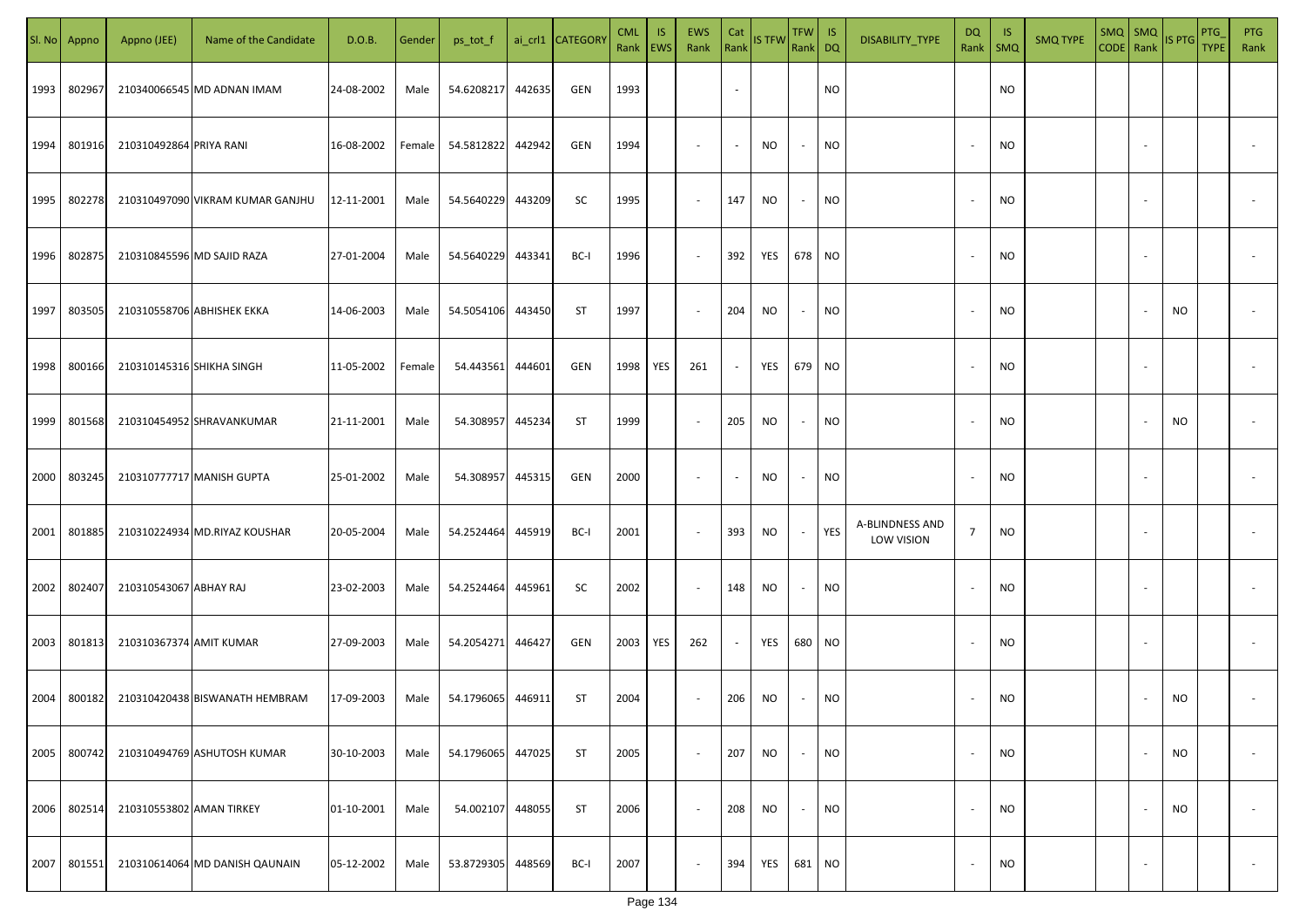|      | Sl. No Appno | Appno (JEE)               | Name of the Candidate            | D.O.B.     | Gender | ps_tot_f   |        | ai_crl1 CATEGOR\ | <b>CML</b><br>Rank EWS | IS. | <b>EWS</b><br>Rank | Cat                      | Rank IS TFW | TFW IS<br>Rank DQ |           | DISABILITY_TYPE               | DQ<br>Rank               | -IS<br><b>SMQ</b> | <b>SMQ TYPE</b> | SMQ SMQ<br>CODE Rank |                          | IS PTG | PTG<br><b>TYPE</b> | PTG<br>Rank              |
|------|--------------|---------------------------|----------------------------------|------------|--------|------------|--------|------------------|------------------------|-----|--------------------|--------------------------|-------------|-------------------|-----------|-------------------------------|--------------------------|-------------------|-----------------|----------------------|--------------------------|--------|--------------------|--------------------------|
| 1993 | 802967       |                           | 210340066545 MD ADNAN IMAM       | 24-08-2002 | Male   | 54.6208217 | 442635 | GEN              | 1993                   |     |                    | $\sim$                   |             |                   | NO        |                               |                          | <b>NO</b>         |                 |                      |                          |        |                    |                          |
| 1994 | 801916       | 210310492864 PRIYA RANI   |                                  | 16-08-2002 | Female | 54.5812822 | 442942 | GEN              | 1994                   |     | $\sim$             | $\sim$                   | NO.         | $\sim$            | NO.       |                               | $\overline{\phantom{a}}$ | <b>NO</b>         |                 |                      |                          |        |                    |                          |
| 1995 | 802278       |                           | 210310497090 VIKRAM KUMAR GANJHU | 12-11-2001 | Male   | 54.5640229 | 443209 | SC               | 1995                   |     | $\sim$             | 147                      | NO          | $\sim$            | NO        |                               |                          | <b>NO</b>         |                 |                      |                          |        |                    |                          |
| 1996 | 802875       |                           | 210310845596 MD SAJID RAZA       | 27-01-2004 | Male   | 54.5640229 | 443341 | BC-I             | 1996                   |     | $\sim$             | 392                      | YES         | 678 NO            |           |                               |                          | <b>NO</b>         |                 |                      |                          |        |                    |                          |
| 1997 | 803505       |                           | 210310558706 ABHISHEK EKKA       | 14-06-2003 | Male   | 54.5054106 | 443450 | ST               | 1997                   |     | $\sim$             | 204                      | NO          | $\sim$            | NO        |                               |                          | <b>NO</b>         |                 |                      |                          | NO     |                    |                          |
| 1998 | 800166       | 210310145316 SHIKHA SINGH |                                  | 11-05-2002 | Female | 54.443561  | 444601 | GEN              | 1998                   | YES | 261                | $\sim$                   | YES         | 679 NO            |           |                               |                          | <b>NO</b>         |                 |                      |                          |        |                    |                          |
| 1999 | 801568       |                           | 210310454952 SHRAVANKUMAR        | 21-11-2001 | Male   | 54.308957  | 445234 | ST               | 1999                   |     | $\sim$             | 205                      | NO          | $\sim$            | <b>NO</b> |                               |                          | <b>NO</b>         |                 |                      |                          | NO     |                    |                          |
| 2000 | 803245       |                           | 210310777717 MANISH GUPTA        | 25-01-2002 | Male   | 54.308957  | 445315 | GEN              | 2000                   |     | $\sim$             | $\overline{\phantom{a}}$ | NO          | $\sim$            | <b>NO</b> |                               |                          | <b>NO</b>         |                 |                      |                          |        |                    |                          |
| 2001 | 801885       |                           | 210310224934 MD.RIYAZ KOUSHAR    | 20-05-2004 | Male   | 54.2524464 | 445919 | BC-I             | 2001                   |     | $\sim$             | 393                      | NO.         | $\sim$            | YES       | A-BLINDNESS AND<br>LOW VISION | $\overline{7}$           | <b>NO</b>         |                 |                      |                          |        |                    |                          |
| 2002 | 802407       | 210310543067 ABHAY RAJ    |                                  | 23-02-2003 | Male   | 54.2524464 | 445961 | SC               | 2002                   |     | $\sim$             | 148                      | NO.         | $\sim$            | NO        |                               |                          | <b>NO</b>         |                 |                      |                          |        |                    |                          |
| 2003 | 801813       | 210310367374 AMIT KUMAR   |                                  | 27-09-2003 | Male   | 54.2054271 | 446427 | GEN              | 2003                   | YES | 262                | $\sim$                   | YES         | 680 NO            |           |                               |                          | <b>NO</b>         |                 |                      |                          |        |                    |                          |
| 2004 | 800182       |                           | 210310420438 BISWANATH HEMBRAM   | 17-09-2003 | Male   | 54.1796065 | 446911 | ST               | 2004                   |     | $\sim$             | 206                      | NO.         | $\sim$            | <b>NO</b> |                               |                          | <b>NO</b>         |                 |                      |                          | NO.    |                    |                          |
| 2005 | 800742       |                           | 210310494769 ASHUTOSH KUMAR      | 30-10-2003 | Male   | 54.1796065 | 447025 | <b>ST</b>        | 2005                   |     | $\sim$             | 207                      | NO.         | $\sim$            | <b>NO</b> |                               | $\overline{\phantom{a}}$ | <b>NO</b>         |                 |                      |                          | NO     |                    | $\overline{\phantom{a}}$ |
| 2006 | 802514       | 210310553802 AMAN TIRKEY  |                                  | 01-10-2001 | Male   | 54.002107  | 448055 | <b>ST</b>        | 2006                   |     | $\sim$             | 208                      | NO.         | $\sim$            | <b>NO</b> |                               | $\sim$                   | <b>NO</b>         |                 |                      |                          | NO     |                    | $\overline{\phantom{a}}$ |
| 2007 | 801551       |                           | 210310614064 MD DANISH QAUNAIN   | 05-12-2002 | Male   | 53.8729305 | 448569 | BC-I             | 2007                   |     | $\sim$             | 394                      | YES         | 681 NO            |           |                               |                          | <b>NO</b>         |                 |                      | $\overline{\phantom{a}}$ |        |                    | $\sim$                   |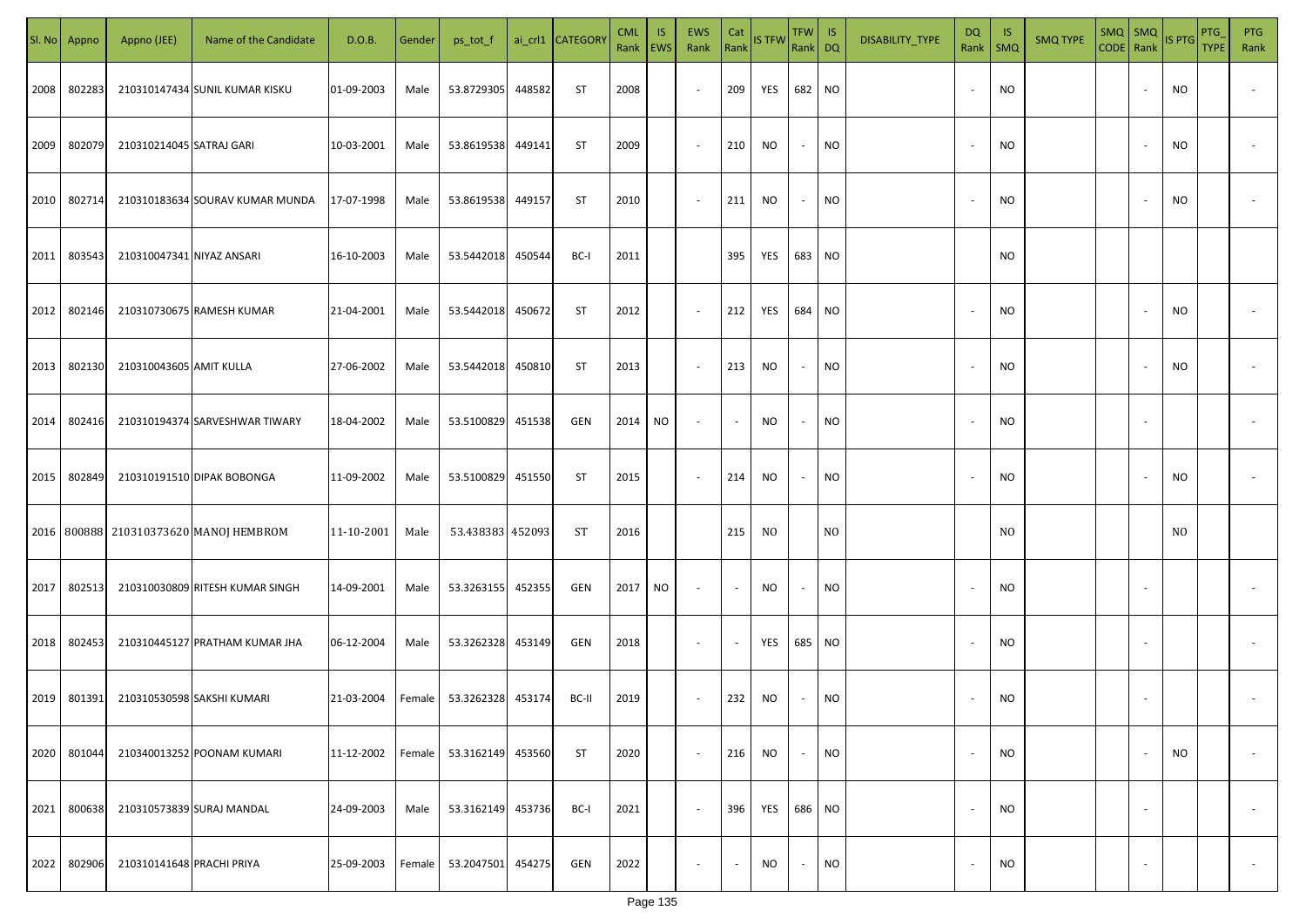| SI. No. | Appno  | Appno (JEE)               | Name of the Candidate                  | D.O.B.     | Gender | ps_tot_f         |        | ai_crl1 CATEGORY | <b>CML</b><br>Rank EWS | <b>IS</b> | EWS<br>Rank | Cat    | Rank IS TFW | $TFW$ IS<br>Rank DQ |           | DISABILITY_TYPE | DQ<br>Rank   SMQ         | - IS           | <b>SMQ TYPE</b> | $SMQ$ SMQ<br>CODE Rank |                          | IS PTG    | PTG<br><b>TYPE</b> | <b>PTG</b><br>Rank |
|---------|--------|---------------------------|----------------------------------------|------------|--------|------------------|--------|------------------|------------------------|-----------|-------------|--------|-------------|---------------------|-----------|-----------------|--------------------------|----------------|-----------------|------------------------|--------------------------|-----------|--------------------|--------------------|
| 2008    | 802283 |                           | 210310147434 SUNIL KUMAR KISKU         | 01-09-2003 | Male   | 53.8729305       | 448582 | ST               | 2008                   |           | $\sim$      | 209    | YES         | 682                 | <b>NO</b> |                 | $\overline{\phantom{a}}$ | NO.            |                 |                        |                          | <b>NO</b> |                    |                    |
| 2009    | 802079 | 210310214045 SATRAJ GARI  |                                        | 10-03-2001 | Male   | 53.8619538       | 449141 | ST               | 2009                   |           | $\sim$      | 210    | NO          | $\sim$              | <b>NO</b> |                 | $\overline{\phantom{a}}$ | <b>NO</b>      |                 |                        |                          | <b>NO</b> |                    |                    |
| 2010    | 802714 |                           | 210310183634 SOURAV KUMAR MUNDA        | 17-07-1998 | Male   | 53.8619538       | 449157 | ST               | 2010                   |           | $\sim$      | 211    | <b>NO</b>   | $\sim$              | <b>NO</b> |                 | $\overline{\phantom{a}}$ | NO.            |                 |                        | $\overline{\phantom{a}}$ | <b>NO</b> |                    |                    |
| 2011    | 803543 | 210310047341 NIYAZ ANSARI |                                        | 16-10-2003 | Male   | 53.5442018       | 450544 | BC-I             | 2011                   |           |             | 395    | YES         | 683 NO              |           |                 |                          | NO.            |                 |                        |                          |           |                    |                    |
| 2012    | 802146 |                           | 210310730675 RAMESH KUMAR              | 21-04-2001 | Male   | 53.5442018       | 450672 | ST               | 2012                   |           | $\sim$      | 212    | YES         | 684 NO              |           |                 |                          | NO.            |                 |                        |                          | NO        |                    |                    |
| 2013    | 802130 | 210310043605 AMIT KULLA   |                                        | 27-06-2002 | Male   | 53.5442018       | 450810 | ST               | 2013                   |           | $\sim$      | 213    | <b>NO</b>   | $\sim$              | <b>NO</b> |                 |                          | <b>NO</b>      |                 |                        |                          | <b>NO</b> |                    |                    |
| 2014    | 802416 |                           | 210310194374 SARVESHWAR TIWARY         | 18-04-2002 | Male   | 53.5100829       | 451538 | GEN              | 2014                   | <b>NO</b> | $\sim$      | $\sim$ | <b>NO</b>   | $\sim$              | <b>NO</b> |                 |                          | <b>NO</b>      |                 |                        | $\overline{\phantom{a}}$ |           |                    |                    |
| 2015    | 802849 |                           | 210310191510 DIPAK BOBONGA             | 11-09-2002 | Male   | 53.5100829       | 451550 | ST               | 2015                   |           | $\sim$      | 214    | <b>NO</b>   | $\sim$              | <b>NO</b> |                 |                          | <b>NO</b>      |                 |                        |                          | <b>NO</b> |                    |                    |
|         |        |                           | 2016 800888 210310373620 MANOJ HEMBROM | 11-10-2001 | Male   | 53.438383 452093 |        | ST               | 2016                   |           |             | 215    | NO.         |                     | NO        |                 |                          | N <sub>O</sub> |                 |                        |                          | NO.       |                    |                    |
| 2017    | 802513 |                           | 210310030809 RITESH KUMAR SINGH        | 14-09-2001 | Male   | 53.3263155       | 452355 | GEN              | 2017                   | <b>NO</b> | $\sim$      | $\sim$ | NO          | $\sim$              | <b>NO</b> |                 |                          | NO.            |                 |                        |                          |           |                    |                    |
| 2018    | 802453 |                           | 210310445127 PRATHAM KUMAR JHA         | 06-12-2004 | Male   | 53.3262328       | 453149 | GEN              | 2018                   |           | $\sim$      | $\sim$ | YES         | 685                 | <b>NO</b> |                 |                          | <b>NO</b>      |                 |                        |                          |           |                    |                    |
| 2019    | 801391 |                           | 210310530598 SAKSHI KUMARI             | 21-03-2004 | Female | 53.3262328       | 453174 | BC-II            | 2019                   |           | $\sim$      | 232    | <b>NO</b>   | $\sim$              | <b>NO</b> |                 |                          | NO.            |                 |                        |                          |           |                    |                    |
| 2020    | 801044 |                           | 210340013252 POONAM KUMARI             | 11-12-2002 | Female | 53.3162149       | 453560 | ST               | 2020                   |           | $\sim$      | 216    | <b>NO</b>   | $\sim$              | <b>NO</b> |                 | $\overline{\phantom{a}}$ | NO.            |                 |                        | $\overline{\phantom{a}}$ | <b>NO</b> |                    | $\sim$             |
| 2021    | 800638 |                           | 210310573839 SURAJ MANDAL              | 24-09-2003 | Male   | 53.3162149       | 453736 | BC-I             | 2021                   |           | $\sim$      | 396    | YES         | 686 NO              |           |                 | $\overline{\phantom{a}}$ | <b>NO</b>      |                 |                        | $\overline{\phantom{a}}$ |           |                    | $\sim$             |
| 2022    | 802906 | 210310141648 PRACHI PRIYA |                                        | 25-09-2003 | Female | 53.2047501       | 454275 | GEN              | 2022                   |           | $\sim$      | $\sim$ | <b>NO</b>   | $\sim$              | <b>NO</b> |                 | $\overline{\phantom{a}}$ | <b>NO</b>      |                 |                        | $\overline{\phantom{a}}$ |           |                    | $\sim$             |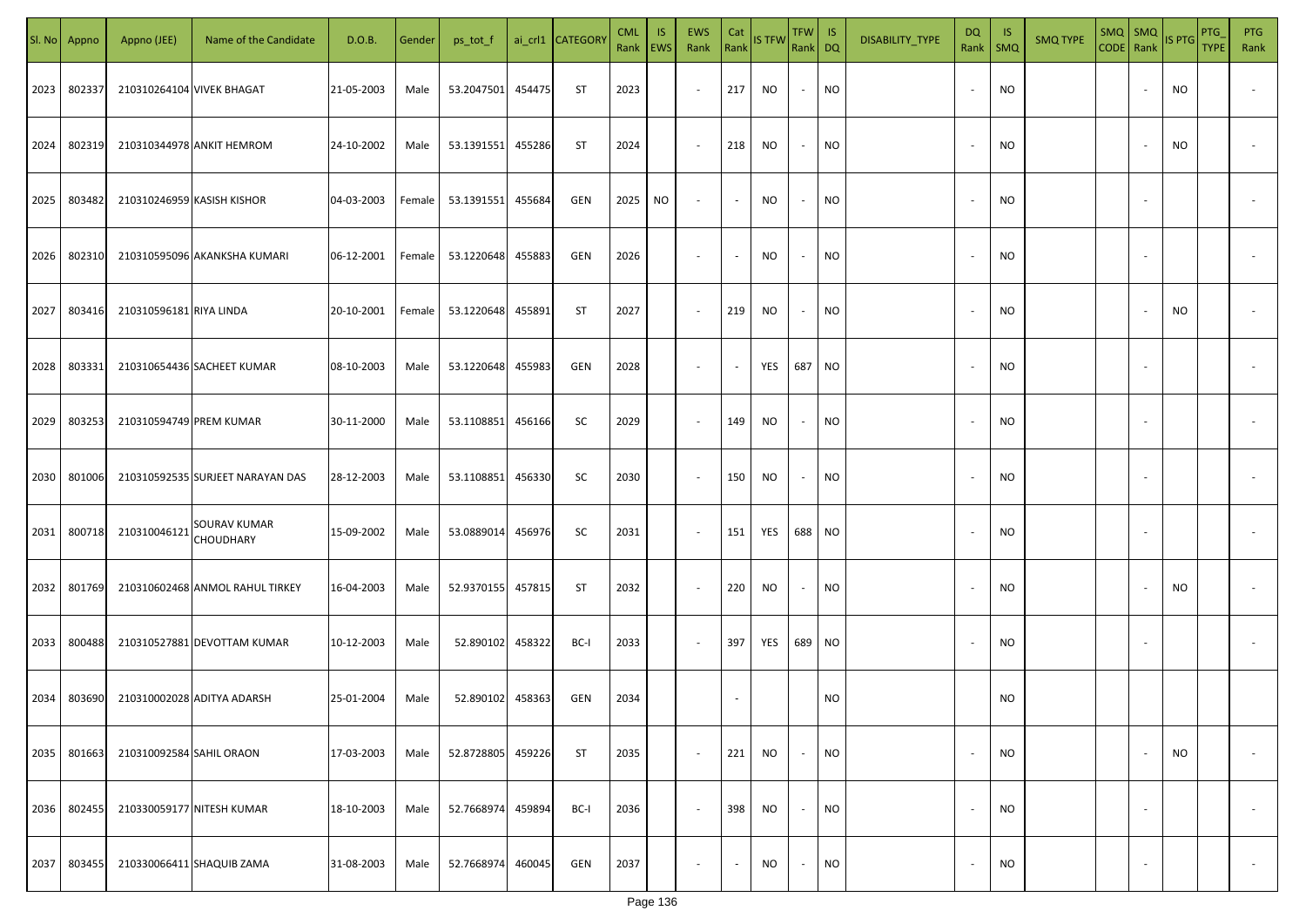|      | Sl. No Appno | Appno (JEE)                | Name of the Candidate            | D.O.B.     | Gender | ps_tot_f   |        | ai_crl1 CATEGOR\ | <b>CML</b><br>Rank EWS | IS.       | <b>EWS</b><br>Rank       | Cat<br>Rank | IS TFW | TFW IS<br>Rank DQ |           | DISABILITY_TYPE | DQ<br>Rank               | -IS<br>SMQ | <b>SMQ TYPE</b> | $SMQ$ $SMQ$<br>CODE Rank |                          | IS PTG | PTG<br><b>TYPE</b> | PTG<br>Rank              |
|------|--------------|----------------------------|----------------------------------|------------|--------|------------|--------|------------------|------------------------|-----------|--------------------------|-------------|--------|-------------------|-----------|-----------------|--------------------------|------------|-----------------|--------------------------|--------------------------|--------|--------------------|--------------------------|
| 2023 | 802337       | 210310264104 VIVEK BHAGAT  |                                  | 21-05-2003 | Male   | 53.2047501 | 454475 | ST               | 2023                   |           | $\sim$                   | 217         | NO.    | $\sim$            | <b>NO</b> |                 | $\overline{\phantom{a}}$ | <b>NO</b>  |                 |                          |                          | NO     |                    |                          |
| 2024 | 802319       |                            | 210310344978 ANKIT HEMROM        | 24-10-2002 | Male   | 53.1391551 | 455286 | ST               | 2024                   |           | $\sim$                   | 218         | NO.    | $\sim$            | NO.       |                 | $\overline{\phantom{a}}$ | <b>NO</b>  |                 |                          |                          | NO     |                    |                          |
| 2025 | 803482       | 210310246959 KASISH KISHOR |                                  | 04-03-2003 | Female | 53.1391551 | 455684 | GEN              | 2025                   | <b>NO</b> | $\overline{\phantom{a}}$ | $\sim$      | NO.    | $\sim$            | <b>NO</b> |                 |                          | <b>NO</b>  |                 |                          |                          |        |                    |                          |
| 2026 | 802310       |                            | 210310595096 AKANKSHA KUMARI     | 06-12-2001 | Female | 53.1220648 | 455883 | GEN              | 2026                   |           | $\overline{\phantom{a}}$ | $\sim$      | NO.    | $\sim$            | NO        |                 |                          | <b>NO</b>  |                 |                          |                          |        |                    |                          |
| 2027 | 803416       | 210310596181 RIYA LINDA    |                                  | 20-10-2001 | Female | 53.1220648 | 455891 | ST               | 2027                   |           | $\sim$                   | 219         | NO     | $\sim$            | <b>NO</b> |                 |                          | <b>NO</b>  |                 |                          |                          | NO     |                    |                          |
| 2028 | 803331       |                            | 210310654436 SACHEET KUMAR       | 08-10-2003 | Male   | 53.1220648 | 455983 | GEN              | 2028                   |           | $\overline{\phantom{a}}$ | $\sim$      | YES    | 687 NO            |           |                 |                          | <b>NO</b>  |                 |                          |                          |        |                    |                          |
| 2029 | 803253       | 210310594749 PREM KUMAR    |                                  | 30-11-2000 | Male   | 53.1108851 | 456166 | SC               | 2029                   |           | $\sim$                   | 149         | NO     | $\sim$            | <b>NO</b> |                 |                          | <b>NO</b>  |                 |                          |                          |        |                    |                          |
| 2030 | 801006       |                            | 210310592535 SURJEET NARAYAN DAS | 28-12-2003 | Male   | 53.1108851 | 456330 | SC               | 2030                   |           | $\sim$                   | 150         | NO.    | $\sim$            | <b>NO</b> |                 |                          | <b>NO</b>  |                 |                          |                          |        |                    |                          |
| 2031 | 800718       | 210310046121               | <b>SOURAV KUMAR</b><br>CHOUDHARY | 15-09-2002 | Male   | 53.0889014 | 456976 | SC               | 2031                   |           | $\sim$                   | 151         | YES    | 688 NO            |           |                 |                          | <b>NO</b>  |                 |                          |                          |        |                    |                          |
| 2032 | 801769       |                            | 210310602468 ANMOL RAHUL TIRKEY  | 16-04-2003 | Male   | 52.9370155 | 457815 | ST               | 2032                   |           | $\sim$                   | 220         | NO     | $\sim$            | NO        |                 |                          | <b>NO</b>  |                 |                          |                          | NO     |                    |                          |
| 2033 | 800488       |                            | 210310527881 DEVOTTAM KUMAR      | 10-12-2003 | Male   | 52.890102  | 458322 | BC-I             | 2033                   |           | $\sim$                   | 397         | YES    | 689 NO            |           |                 |                          | <b>NO</b>  |                 |                          |                          |        |                    |                          |
| 2034 | 803690       |                            | 210310002028 ADITYA ADARSH       | 25-01-2004 | Male   | 52.890102  | 458363 | GEN              | 2034                   |           |                          |             |        |                   | NO        |                 |                          | <b>NO</b>  |                 |                          |                          |        |                    |                          |
| 2035 | 801663       | 210310092584 SAHIL ORAON   |                                  | 17-03-2003 | Male   | 52.8728805 | 459226 | <b>ST</b>        | 2035                   |           | $\sim$                   | 221         | NO     | $\sim$            | <b>NO</b> |                 | $\overline{\phantom{a}}$ | <b>NO</b>  |                 |                          |                          | NO     |                    | $\overline{\phantom{a}}$ |
| 2036 | 802455       | 210330059177 NITESH KUMAR  |                                  | 18-10-2003 | Male   | 52.7668974 | 459894 | BC-I             | 2036                   |           | $\sim$                   | 398         | NO.    | $\sim$            | <b>NO</b> |                 | $\overline{\phantom{a}}$ | <b>NO</b>  |                 |                          | $\overline{\phantom{a}}$ |        |                    | $\overline{\phantom{a}}$ |
| 2037 | 803455       |                            | 210330066411 SHAQUIB ZAMA        | 31-08-2003 | Male   | 52.7668974 | 460045 | GEN              | 2037                   |           | $\overline{\phantom{a}}$ | $\sim$      | NO     | $\sim$            | <b>NO</b> |                 |                          | <b>NO</b>  |                 |                          | $\overline{\phantom{a}}$ |        |                    | $\sim$                   |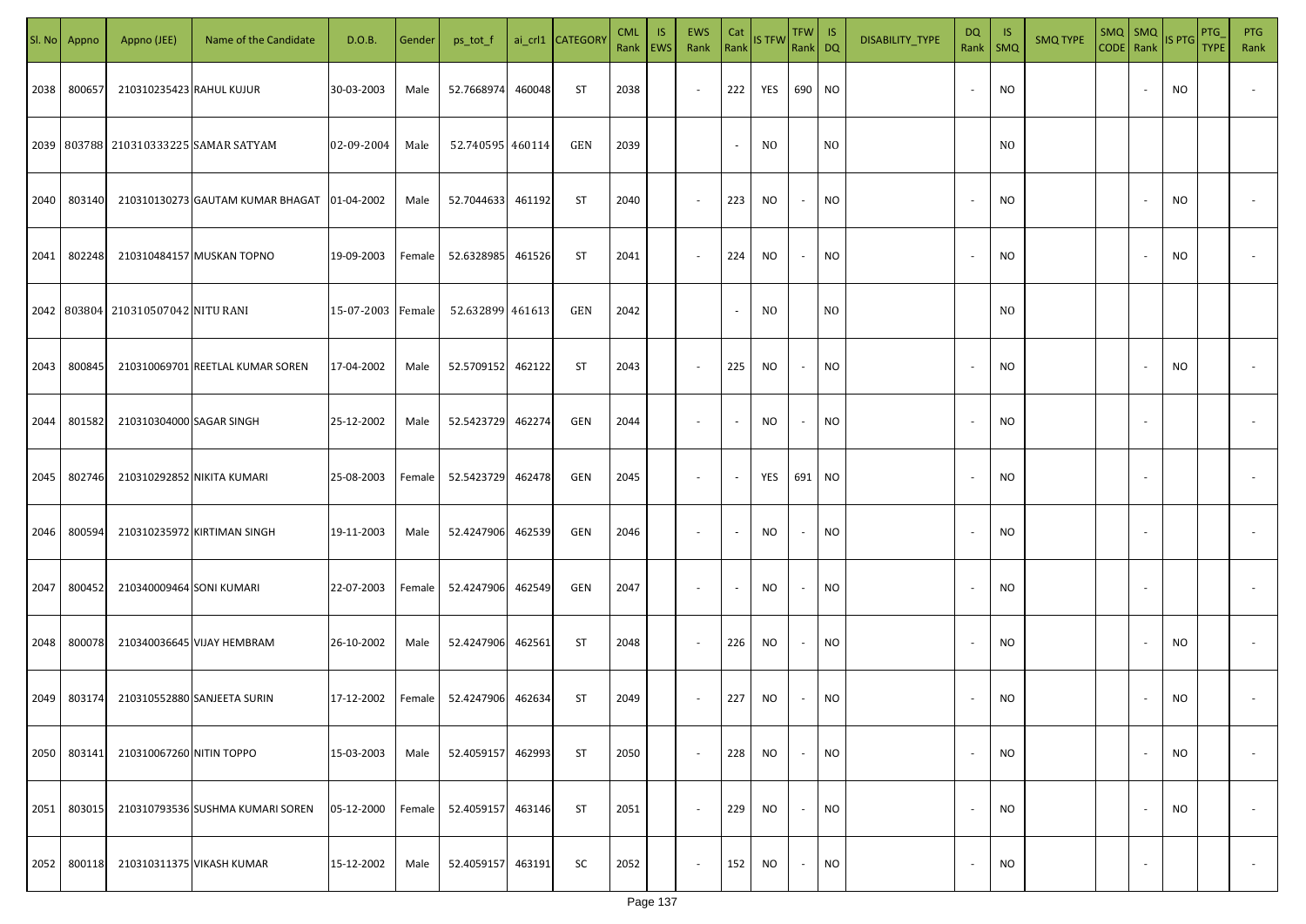|      | Sl. No Appno | Appno (JEE)                        | Name of the Candidate                       | D.O.B.            | Gender | ps_tot_f         |        | ai_crl1 CATEGORY | <b>CML</b><br>Rank EWS | <b>IS</b> | <b>EWS</b><br>Rank Rank IS TFW | Cat    |                | TFW IS<br>Rank DQ |                | DISABILITY_TYPE | DQ<br>Rank   SMQ         | - IS           | <b>SMQ TYPE</b> | $SMQ$ SMQ<br>CODE Rank |                          | IS PTG    | PTG<br><b>TYPE</b> | <b>PTG</b><br>Rank |
|------|--------------|------------------------------------|---------------------------------------------|-------------------|--------|------------------|--------|------------------|------------------------|-----------|--------------------------------|--------|----------------|-------------------|----------------|-----------------|--------------------------|----------------|-----------------|------------------------|--------------------------|-----------|--------------------|--------------------|
| 2038 | 800657       | 210310235423 RAHUL KUJUR           |                                             | 30-03-2003        | Male   | 52.7668974       | 460048 | ST               | 2038                   |           | $\sim$                         | 222    | YES            | 690               | <b>NO</b>      |                 | $\overline{\phantom{a}}$ | NO.            |                 |                        |                          | NO        |                    |                    |
|      |              |                                    | 2039 803788 210310333225 SAMAR SATYAM       | 02-09-2004        | Male   | 52.740595 460114 |        | GEN              | 2039                   |           |                                | $\sim$ | N <sub>0</sub> |                   | N <sub>O</sub> |                 |                          | N <sub>0</sub> |                 |                        |                          |           |                    |                    |
| 2040 | 803140       |                                    | 210310130273 GAUTAM KUMAR BHAGAT 01-04-2002 |                   | Male   | 52.7044633       | 461192 | ST               | 2040                   |           | $\sim$                         | 223    | NO             | $\sim$            | <b>NO</b>      |                 |                          | NO.            |                 |                        | $\overline{\phantom{a}}$ | <b>NO</b> |                    |                    |
| 2041 | 802248       |                                    | 210310484157 MUSKAN TOPNO                   | 19-09-2003        | Female | 52.6328985       | 461526 | ST               | 2041                   |           | $\sim$                         | 224    | <b>NO</b>      | $\sim$            | NO             |                 | $\overline{\phantom{a}}$ | NO.            |                 |                        | $\overline{\phantom{a}}$ | NO        |                    |                    |
|      |              | 2042 803804 210310507042 NITU RANI |                                             | 15-07-2003 Female |        | 52.632899 461613 |        | GEN              | 2042                   |           |                                | $\sim$ | NO.            |                   | N <sub>0</sub> |                 |                          | N <sub>0</sub> |                 |                        |                          |           |                    |                    |
| 2043 | 800845       |                                    | 210310069701 REETLAL KUMAR SOREN            | 17-04-2002        | Male   | 52.5709152       | 462122 | ST               | 2043                   |           | $\sim$                         | 225    | NO.            | $\sim$            | <b>NO</b>      |                 |                          | NO.            |                 |                        |                          | <b>NO</b> |                    |                    |
| 2044 | 801582       | 210310304000 SAGAR SINGH           |                                             | 25-12-2002        | Male   | 52.5423729       | 462274 | GEN              | 2044                   |           | $\sim$                         | $\sim$ | NO             | $\sim$            | <b>NO</b>      |                 |                          | NO.            |                 |                        | $\overline{\phantom{a}}$ |           |                    |                    |
| 2045 | 802746       |                                    | 210310292852 NIKITA KUMARI                  | 25-08-2003        | Female | 52.5423729       | 462478 | GEN              | 2045                   |           | $\sim$                         | $\sim$ | YES            | 691               | <b>NO</b>      |                 |                          | NO.            |                 |                        |                          |           |                    |                    |
| 2046 | 800594       |                                    | 210310235972 KIRTIMAN SINGH                 | 19-11-2003        | Male   | 52.4247906       | 462539 | GEN              | 2046                   |           | $\sim$                         | $\sim$ | NO             | $\sim$            | NO             |                 |                          | NO.            |                 |                        |                          |           |                    |                    |
| 2047 | 800452       | 210340009464 SONI KUMARI           |                                             | 22-07-2003        | Female | 52.4247906       | 462549 | GEN              | 2047                   |           | $\sim$                         | $\sim$ | <b>NO</b>      | $\sim$            | <b>NO</b>      |                 |                          | NO.            |                 |                        |                          |           |                    |                    |
| 2048 | 800078       |                                    | 210340036645 VIJAY HEMBRAM                  | 26-10-2002        | Male   | 52.4247906       | 462561 | <b>ST</b>        | 2048                   |           | $\sim$                         | 226    | NO.            | $\sim$            | <b>NO</b>      |                 |                          | <b>NO</b>      |                 |                        |                          | <b>NO</b> |                    |                    |
| 2049 | 803174       |                                    | 210310552880 SANJEETA SURIN                 | 17-12-2002        | Female | 52.4247906       | 462634 | <b>ST</b>        | 2049                   |           | $\sim$                         | 227    | NO.            | $\sim$            | <b>NO</b>      |                 |                          | NO.            |                 |                        | $\overline{\phantom{a}}$ | <b>NO</b> |                    |                    |
| 2050 | 803141       | 210310067260 NITIN TOPPO           |                                             | 15-03-2003        | Male   | 52.4059157       | 462993 | ST               | 2050                   |           | $\sim$                         | 228    | <b>NO</b>      | $\sim$            | <b>NO</b>      |                 | $\overline{\phantom{a}}$ | <b>NO</b>      |                 |                        | $\overline{\phantom{a}}$ | <b>NO</b> |                    | $\sim$             |
| 2051 | 803015       |                                    | 210310793536 SUSHMA KUMARI SOREN            | 05-12-2000        | Female | 52.4059157       | 463146 | ST               | 2051                   |           | $\sim$                         | 229    | NO.            | $\sim$            | <b>NO</b>      |                 | $\overline{\phantom{a}}$ | <b>NO</b>      |                 |                        | $\overline{\phantom{a}}$ | <b>NO</b> |                    | $\sim$             |
| 2052 | 800118       |                                    | 210310311375 VIKASH KUMAR                   | 15-12-2002        | Male   | 52.4059157       | 463191 | SC               | 2052                   |           | $\sim$                         | 152    | NO.            | $\sim$            | <b>NO</b>      |                 | $\overline{\phantom{a}}$ | <b>NO</b>      |                 |                        | $\overline{\phantom{a}}$ |           |                    | $\sim$             |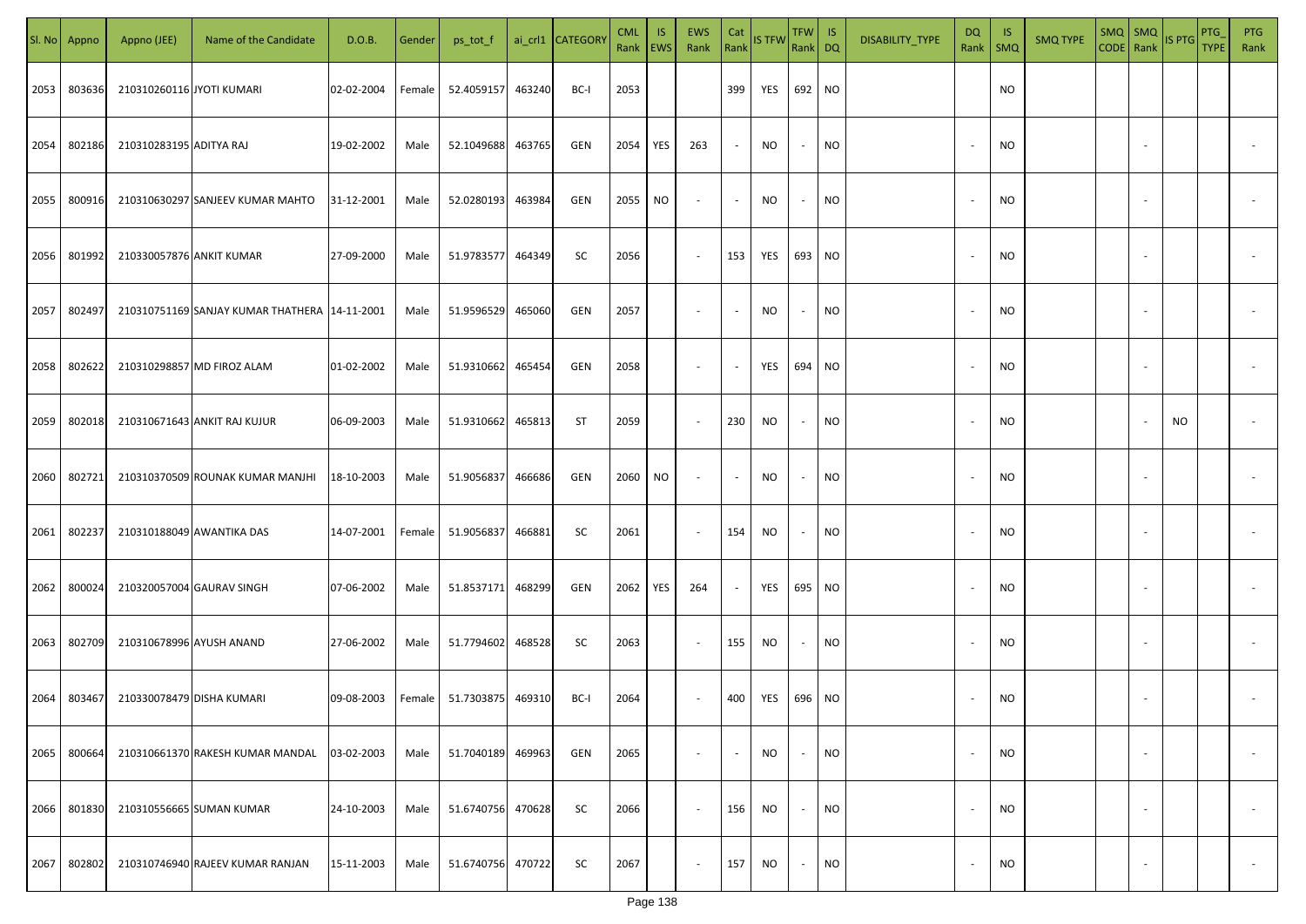|      | Sl. No Appno | Appno (JEE)               | Name of the Candidate                           | D.O.B.     | Gender | ps_tot_f   |        | ai_crl1 CATEGORY | <b>CML</b><br>Rank EWS | <b>IS</b>  | EWS<br>Rank              | Cat    | Rank IS TFW | TFW   IS<br>Rank DQ      |           | DISABILITY_TYPE | DQ<br>Rank   SMQ         | - IS      | <b>SMQ TYPE</b> | $SMQ$ SMQ<br>CODE Rank |                          | IS PTG    | PTG<br><b>TYPE</b> | <b>PTG</b><br>Rank |
|------|--------------|---------------------------|-------------------------------------------------|------------|--------|------------|--------|------------------|------------------------|------------|--------------------------|--------|-------------|--------------------------|-----------|-----------------|--------------------------|-----------|-----------------|------------------------|--------------------------|-----------|--------------------|--------------------|
| 2053 | 803636       | 210310260116 JYOTI KUMARI |                                                 | 02-02-2004 | Female | 52.4059157 | 463240 | BC-I             | 2053                   |            |                          | 399    | YES         | 692                      | <b>NO</b> |                 |                          | NO.       |                 |                        |                          |           |                    |                    |
| 2054 | 802186       | 210310283195 ADITYA RAJ   |                                                 | 19-02-2002 | Male   | 52.1049688 | 463765 | GEN              | 2054                   | YES        | 263                      | $\sim$ | <b>NO</b>   | $\sim$                   | <b>NO</b> |                 | $\sim$                   | NO.       |                 |                        | $\sim$                   |           |                    |                    |
| 2055 | 800916       |                           | 210310630297 SANJEEV KUMAR MAHTO                | 31-12-2001 | Male   | 52.0280193 | 463984 | GEN              | 2055                   | NO         | $\overline{\phantom{a}}$ | $\sim$ | <b>NO</b>   | $\sim$                   | <b>NO</b> |                 |                          | NO.       |                 |                        | $\sim$                   |           |                    |                    |
| 2056 | 801992       | 210330057876 ANKIT KUMAR  |                                                 | 27-09-2000 | Male   | 51.9783577 | 464349 | SC               | 2056                   |            | $\sim$                   | 153    | YES         | 693 NO                   |           |                 | $\overline{\phantom{a}}$ | NO.       |                 |                        | $\sim$                   |           |                    |                    |
| 2057 | 802497       |                           | 210310751169 SANJAY KUMAR THATHERA   14-11-2001 |            | Male   | 51.9596529 | 465060 | GEN              | 2057                   |            | $\sim$                   | $\sim$ | NO.         | $\sim$                   | <b>NO</b> |                 |                          | NO.       |                 |                        |                          |           |                    |                    |
| 2058 | 802622       |                           | 210310298857 MD FIROZ ALAM                      | 01-02-2002 | Male   | 51.9310662 | 465454 | GEN              | 2058                   |            | $\overline{\phantom{a}}$ | $\sim$ | YES         | 694                      | <b>NO</b> |                 |                          | NO.       |                 |                        | $\overline{\phantom{a}}$ |           |                    |                    |
| 2059 | 802018       |                           | 210310671643 ANKIT RAJ KUJUR                    | 06-09-2003 | Male   | 51.9310662 | 465813 | ST               | 2059                   |            | $\sim$                   | 230    | <b>NO</b>   | $\sim$                   | <b>NO</b> |                 |                          | NO.       |                 |                        |                          | <b>NO</b> |                    |                    |
| 2060 | 802721       |                           | 210310370509 ROUNAK KUMAR MANJHI                | 18-10-2003 | Male   | 51.9056837 | 466686 | GEN              | 2060                   | NO         | $\sim$                   | $\sim$ | NO          | $\overline{\phantom{a}}$ | <b>NO</b> |                 |                          | NO.       |                 |                        |                          |           |                    |                    |
| 2061 | 802237       |                           | 210310188049 AWANTIKA DAS                       | 14-07-2001 | Female | 51.9056837 | 466881 | SC               | 2061                   |            | $\sim$                   | 154    | <b>NO</b>   | $\sim$                   | NO        |                 |                          | NO.       |                 |                        |                          |           |                    |                    |
| 2062 | 800024       |                           | 210320057004 GAURAV SINGH                       | 07-06-2002 | Male   | 51.8537171 | 468299 | GEN              | 2062                   | <b>YES</b> | 264                      | $\sim$ | YES         | 695                      | <b>NO</b> |                 |                          | NO.       |                 |                        |                          |           |                    |                    |
| 2063 | 802709       | 210310678996 AYUSH ANAND  |                                                 | 27-06-2002 | Male   | 51.7794602 | 468528 | SC               | 2063                   |            | $\sim$                   | 155    | NO.         | $\sim$                   | <b>NO</b> |                 |                          | <b>NO</b> |                 |                        |                          |           |                    |                    |
| 2064 | 803467       | 210330078479 DISHA KUMARI |                                                 | 09-08-2003 | Female | 51.7303875 | 469310 | BC-I             | 2064                   |            | $\sim$                   | 400    | YES         | 696 NO                   |           |                 |                          | NO.       |                 |                        |                          |           |                    |                    |
| 2065 | 800664       |                           | 210310661370 RAKESH KUMAR MANDAL                | 03-02-2003 | Male   | 51.7040189 | 469963 | GEN              | 2065                   |            | $\sim$                   | $\sim$ | NO          | $\sim$                   | <b>NO</b> |                 | $\overline{\phantom{a}}$ | <b>NO</b> |                 |                        | $\overline{\phantom{a}}$ |           |                    | $\sim$             |
| 2066 | 801830       |                           | 210310556665 SUMAN KUMAR                        | 24-10-2003 | Male   | 51.6740756 | 470628 | SC               | 2066                   |            | $\sim$                   | 156    | NO.         | $\sim$                   | <b>NO</b> |                 | $\overline{\phantom{a}}$ | <b>NO</b> |                 |                        | $\overline{\phantom{a}}$ |           |                    | $\sim$             |
| 2067 | 802802       |                           | 210310746940 RAJEEV KUMAR RANJAN                | 15-11-2003 | Male   | 51.6740756 | 470722 | SC               | 2067                   |            | $\sim$                   | 157    | NO.         | $\sim$                   | <b>NO</b> |                 | $\overline{\phantom{a}}$ | <b>NO</b> |                 |                        | $\overline{\phantom{a}}$ |           |                    | $\sim$             |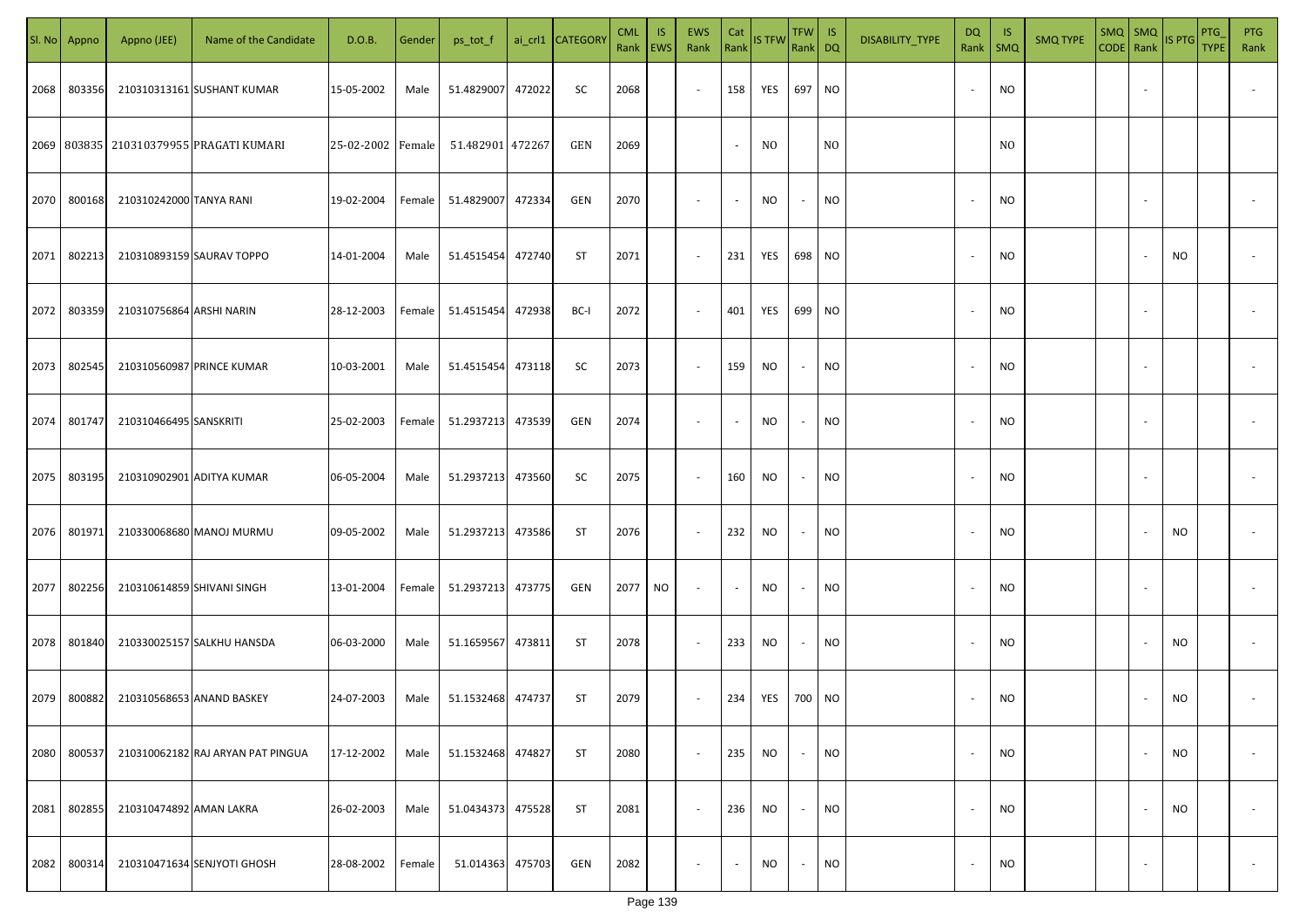|      | Sl. No Appno | Appno (JEE)                | Name of the Candidate                         | D.O.B.            | Gender | ps_tot_f          |        | ai_crl1 CATEGORY | <b>CML</b><br>Rank   EWS | IS. | EWS<br>Rank              | Cat<br>Rank              | <b>IS TFW</b>  | $TFW$ IS<br>Rank DQ      |                | DISABILITY_TYPE | <b>DQ</b> | - IS<br>Rank   SMQ | <b>SMQ TYPE</b> |                          | $\begin{array}{ c c c c }\n\hline\n\text{SMQ} & \text{SMQ} \\ \text{CODE} & \text{Rank}\n\end{array}$ | <b>PTG</b><br><b>TYPE</b> | <b>PTG</b><br>Rank       |
|------|--------------|----------------------------|-----------------------------------------------|-------------------|--------|-------------------|--------|------------------|--------------------------|-----|--------------------------|--------------------------|----------------|--------------------------|----------------|-----------------|-----------|--------------------|-----------------|--------------------------|-------------------------------------------------------------------------------------------------------|---------------------------|--------------------------|
| 2068 | 803356       |                            | 210310313161 SUSHANT KUMAR                    | 15-05-2002        | Male   | 51.4829007        | 472022 | SC               | 2068                     |     | $\sim$                   | 158                      | YES            | 697 NO                   |                |                 |           | <b>NO</b>          |                 |                          |                                                                                                       |                           |                          |
|      |              |                            | 2069   803835   210310379955   PRAGATI KUMARI | 25-02-2002 Female |        | 51.482901 472267  |        | GEN              | 2069                     |     |                          | $\sim$                   | N <sub>0</sub> |                          | N <sub>0</sub> |                 |           | N <sub>O</sub>     |                 |                          |                                                                                                       |                           |                          |
| 2070 | 800168       | 210310242000 TANYA RANI    |                                               | 19-02-2004        | Female | 51.4829007        | 472334 | GEN              | 2070                     |     | $\overline{\phantom{a}}$ | $\sim$                   | NO             | $\overline{\phantom{a}}$ | <b>NO</b>      |                 |           | <b>NO</b>          |                 |                          |                                                                                                       |                           |                          |
| 2071 | 802213       |                            | 210310893159 SAURAV TOPPO                     | 14-01-2004        | Male   | 51.4515454        | 472740 | ST               | 2071                     |     | $\overline{\phantom{a}}$ | 231                      | YES            | 698 NO                   |                |                 |           | <b>NO</b>          |                 |                          | NO                                                                                                    |                           |                          |
| 2072 | 803359       | 210310756864 ARSHI NARIN   |                                               | 28-12-2003        | Female | 51.4515454        | 472938 | BC-I             | 2072                     |     | $\overline{\phantom{a}}$ | 401                      | YES            | 699 NO                   |                |                 |           | <b>NO</b>          |                 |                          |                                                                                                       |                           |                          |
| 2073 | 802545       |                            | 210310560987 PRINCE KUMAR                     | 10-03-2001        | Male   | 51.4515454        | 473118 | SC               | 2073                     |     | $\overline{\phantom{a}}$ | 159                      | NO             | $\sim$                   | <b>NO</b>      |                 |           | <b>NO</b>          |                 |                          |                                                                                                       |                           |                          |
| 2074 | 801747       | 210310466495 SANSKRITI     |                                               | 25-02-2003        | Female | 51.2937213        | 473539 | GEN              | 2074                     |     | $\overline{\phantom{a}}$ | $\overline{\phantom{a}}$ | NO             | $\overline{\phantom{a}}$ | <b>NO</b>      |                 |           | <b>NO</b>          |                 |                          |                                                                                                       |                           |                          |
| 2075 | 803195       |                            | 210310902901 ADITYA KUMAR                     | 06-05-2004        | Male   | 51.2937213        | 473560 | SC               | 2075                     |     | $\sim$                   | 160                      | <b>NO</b>      | $\sim$                   | <b>NO</b>      |                 |           | <b>NO</b>          |                 |                          |                                                                                                       |                           |                          |
| 2076 | 801971       |                            | 210330068680 MANOJ MURMU                      | 09-05-2002        | Male   | 51.2937213        | 473586 | ST               | 2076                     |     | $\sim$                   | 232                      | <b>NO</b>      | $\sim$                   | <b>NO</b>      |                 |           | NO                 |                 |                          | NO                                                                                                    |                           |                          |
| 2077 | 802256       | 210310614859 SHIVANI SINGH |                                               | 13-01-2004        | Female | 51.2937213 473775 |        | GEN              | 2077                     | NO  | $\sim$                   | $\sim$                   | NO.            |                          | <b>NO</b>      |                 |           | <b>NO</b>          |                 |                          |                                                                                                       |                           |                          |
| 2078 | 801840       |                            | 210330025157 SALKHU HANSDA                    | 06-03-2000        | Male   | 51.1659567        | 473811 | ST               | 2078                     |     | $\sim$                   | 233                      | <b>NO</b>      | $\overline{\phantom{a}}$ | <b>NO</b>      |                 |           | <b>NO</b>          |                 |                          | NO.                                                                                                   |                           |                          |
| 2079 | 800882       | 210310568653 ANAND BASKEY  |                                               | 24-07-2003        | Male   | 51.1532468        | 474737 | ST               | 2079                     |     | $\sim$                   | 234                      | YES            | 700 NO                   |                |                 |           | <b>NO</b>          |                 |                          | <b>NO</b>                                                                                             |                           |                          |
| 2080 | 800537       |                            | 210310062182 RAJ ARYAN PAT PINGUA             | 17-12-2002        | Male   | 51.1532468        | 474827 | <b>ST</b>        | 2080                     |     | $\blacksquare$           | 235                      | <b>NO</b>      | $\overline{\phantom{a}}$ | <b>NO</b>      |                 |           | <b>NO</b>          |                 | $\overline{\phantom{a}}$ | NO                                                                                                    |                           | $\overline{\phantom{a}}$ |
| 2081 | 802855       | 210310474892 AMAN LAKRA    |                                               | 26-02-2003        | Male   | 51.0434373        | 475528 | <b>ST</b>        | 2081                     |     | $\sim$                   | 236                      | <b>NO</b>      | $\sim$                   | <b>NO</b>      |                 |           | <b>NO</b>          |                 |                          | NO                                                                                                    |                           | $\overline{\phantom{a}}$ |
| 2082 | 800314       |                            | 210310471634 SENJYOTI GHOSH                   | 28-08-2002        | Female | 51.014363         | 475703 | GEN              | 2082                     |     | $\overline{\phantom{a}}$ | $\sim$                   | NO             | $\sim$                   | <b>NO</b>      |                 |           | <b>NO</b>          |                 | $\overline{\phantom{a}}$ |                                                                                                       |                           | $\sim$                   |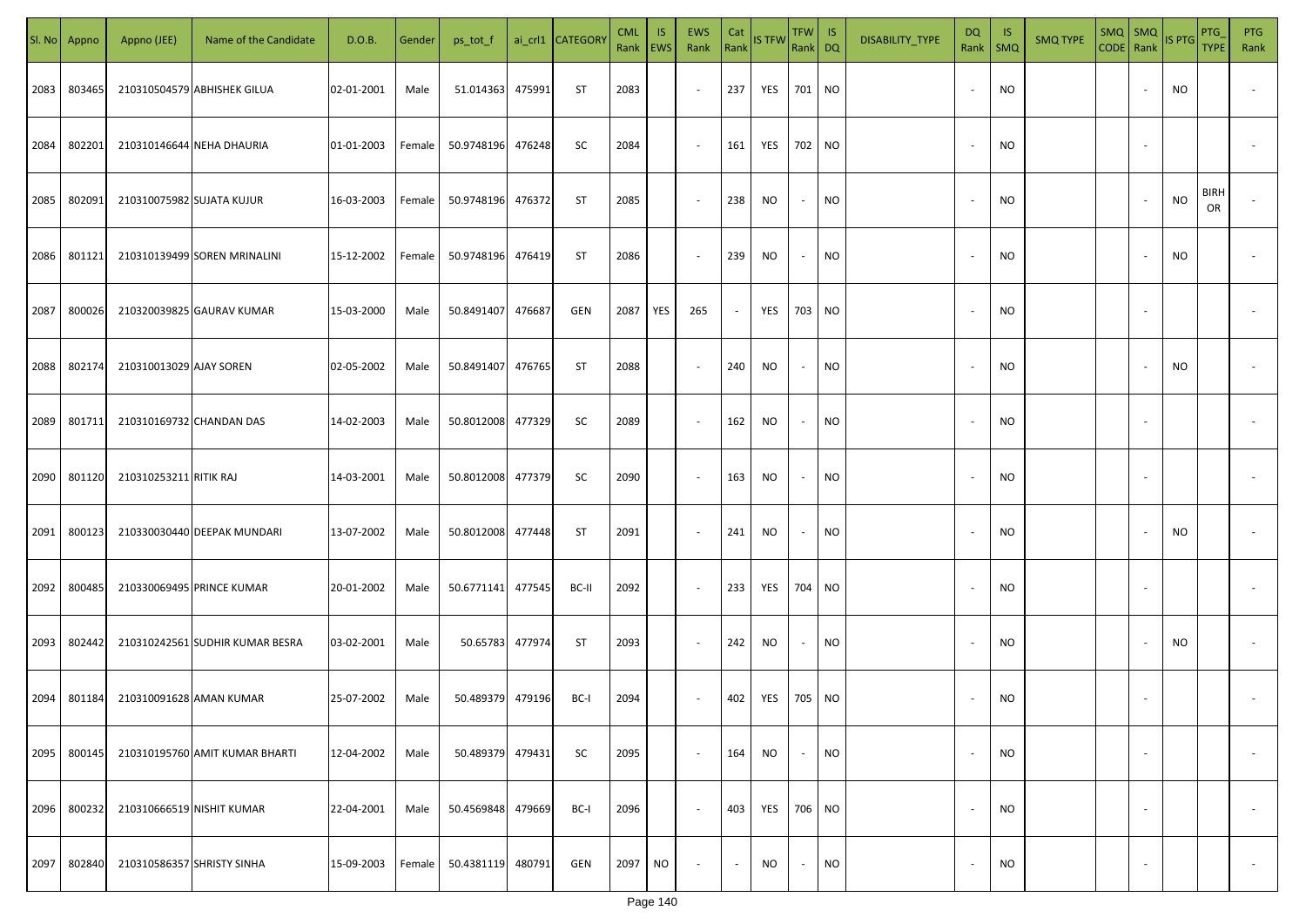| SI. No. | Appno  | Appno (JEE)               | Name of the Candidate           | D.O.B.     | Gender | ps_tot_f          |        | ai_crl1 CATEGORY | <b>CML</b><br>Rank   EWS | IS.       | <b>EWS</b><br>Rank       | Cat<br>Rank              | <b>IS TFW</b> | $TFW$ IS<br>Rank DQ      |           | DISABILITY_TYPE | DQ     | -IS<br>Rank   SMQ | <b>SMQ TYPE</b> | $\begin{array}{ c c c c }\n\hline\n\text{SMQ} & \text{SMQ} \\ \hline\n\text{CODE} & \text{Rank}\n\end{array}$ IS PTG |                          |           | PTG<br><b>TYPE</b> | <b>PTG</b><br>Rank       |
|---------|--------|---------------------------|---------------------------------|------------|--------|-------------------|--------|------------------|--------------------------|-----------|--------------------------|--------------------------|---------------|--------------------------|-----------|-----------------|--------|-------------------|-----------------|----------------------------------------------------------------------------------------------------------------------|--------------------------|-----------|--------------------|--------------------------|
| 2083    | 803465 |                           | 210310504579 ABHISHEK GILUA     | 02-01-2001 | Male   | 51.014363         | 475991 | ST               | 2083                     |           | $\sim$                   | 237                      | YES           | 701 NO                   |           |                 |        | <b>NO</b>         |                 |                                                                                                                      |                          | NO        |                    |                          |
| 2084    | 802201 |                           | 210310146644 NEHA DHAURIA       | 01-01-2003 | Female | 50.9748196        | 476248 | SC               | 2084                     |           | $\sim$                   | 161                      | YES           | 702 NO                   |           |                 |        | <b>NO</b>         |                 |                                                                                                                      |                          |           |                    |                          |
| 2085    | 802091 | 210310075982 SUJATA KUJUR |                                 | 16-03-2003 | Female | 50.9748196        | 476372 | ST               | 2085                     |           | $\sim$                   | 238                      | NO            | $\sim$                   | <b>NO</b> |                 |        | <b>NO</b>         |                 |                                                                                                                      |                          | <b>NO</b> | <b>BIRH</b><br>OR  |                          |
| 2086    | 801121 |                           | 210310139499 SOREN MRINALINI    | 15-12-2002 | Female | 50.9748196        | 476419 | ST               | 2086                     |           | $\sim$                   | 239                      | NO            | $\sim$                   | <b>NO</b> |                 | $\sim$ | <b>NO</b>         |                 |                                                                                                                      |                          | NO        |                    |                          |
| 2087    | 800026 |                           | 210320039825 GAURAV KUMAR       | 15-03-2000 | Male   | 50.8491407        | 476687 | GEN              | 2087                     | YES       | 265                      | $\overline{\phantom{a}}$ | YES           | 703 NO                   |           |                 | $\sim$ | <b>NO</b>         |                 |                                                                                                                      |                          |           |                    |                          |
| 2088    | 802174 | 210310013029 AJAY SOREN   |                                 | 02-05-2002 | Male   | 50.8491407        | 476765 | ST               | 2088                     |           | $\overline{\phantom{a}}$ | 240                      | <b>NO</b>     | $\sim$                   | <b>NO</b> |                 |        | <b>NO</b>         |                 |                                                                                                                      |                          | NO.       |                    |                          |
| 2089    | 801711 | 210310169732 CHANDAN DAS  |                                 | 14-02-2003 | Male   | 50.8012008        | 477329 | SC               | 2089                     |           | $\overline{\phantom{a}}$ | 162                      | NO            | $\sim$                   | <b>NO</b> |                 |        | <b>NO</b>         |                 |                                                                                                                      |                          |           |                    |                          |
| 2090    | 801120 | 210310253211 RITIK RAJ    |                                 | 14-03-2001 | Male   | 50.8012008        | 477379 | SC               | 2090                     |           | $\sim$                   | 163                      | <b>NO</b>     | $\overline{\phantom{a}}$ | <b>NO</b> |                 |        | <b>NO</b>         |                 |                                                                                                                      |                          |           |                    |                          |
| 2091    | 800123 |                           | 210330030440 DEEPAK MUNDARI     | 13-07-2002 | Male   | 50.8012008        | 477448 | <b>ST</b>        | 2091                     |           | $\overline{\phantom{a}}$ | 241                      | NO            | $\overline{\phantom{a}}$ | <b>NO</b> |                 |        | <b>NO</b>         |                 |                                                                                                                      |                          | NO        |                    |                          |
| 2092    | 800485 |                           | 210330069495 PRINCE KUMAR       | 20-01-2002 | Male   | 50.6771141 477545 |        | BC-II            | 2092                     |           | $\sim$                   | 233                      | YES           | 704 NO                   |           |                 |        | <b>NO</b>         |                 |                                                                                                                      |                          |           |                    |                          |
| 2093    | 802442 |                           | 210310242561 SUDHIR KUMAR BESRA | 03-02-2001 | Male   | 50.65783 477974   |        | ST               | 2093                     |           | $\sim$                   | 242                      | NO            | $\sim$                   | <b>NO</b> |                 |        | <b>NO</b>         |                 |                                                                                                                      |                          | NO        |                    |                          |
| 2094    | 801184 | 210310091628 AMAN KUMAR   |                                 | 25-07-2002 | Male   | 50.489379         | 479196 | BC-I             | 2094                     |           | $\sim$                   | 402                      | YES           | 705 NO                   |           |                 |        | <b>NO</b>         |                 |                                                                                                                      |                          |           |                    |                          |
| 2095    | 800145 |                           | 210310195760 AMIT KUMAR BHARTI  | 12-04-2002 | Male   | 50.489379         | 479431 | SC               | 2095                     |           | $\sim$                   | 164                      | <b>NO</b>     | $\overline{\phantom{a}}$ | <b>NO</b> |                 |        | <b>NO</b>         |                 |                                                                                                                      | $\overline{\phantom{a}}$ |           |                    | $\overline{\phantom{a}}$ |
| 2096    | 800232 | 210310666519 NISHIT KUMAR |                                 | 22-04-2001 | Male   | 50.4569848        | 479669 | BC-I             | 2096                     |           | $\sim$                   | 403                      | YES           | 706 NO                   |           |                 |        | <b>NO</b>         |                 |                                                                                                                      | $\overline{\phantom{a}}$ |           |                    | $\overline{\phantom{a}}$ |
| 2097    | 802840 |                           | 210310586357 SHRISTY SINHA      | 15-09-2003 | Female | 50.4381119        | 480791 | GEN              | 2097                     | <b>NO</b> | $\overline{\phantom{a}}$ | $\sim$                   | <b>NO</b>     | $\sim$                   | <b>NO</b> |                 |        | <b>NO</b>         |                 |                                                                                                                      | $\sim$                   |           |                    | $\overline{\phantom{a}}$ |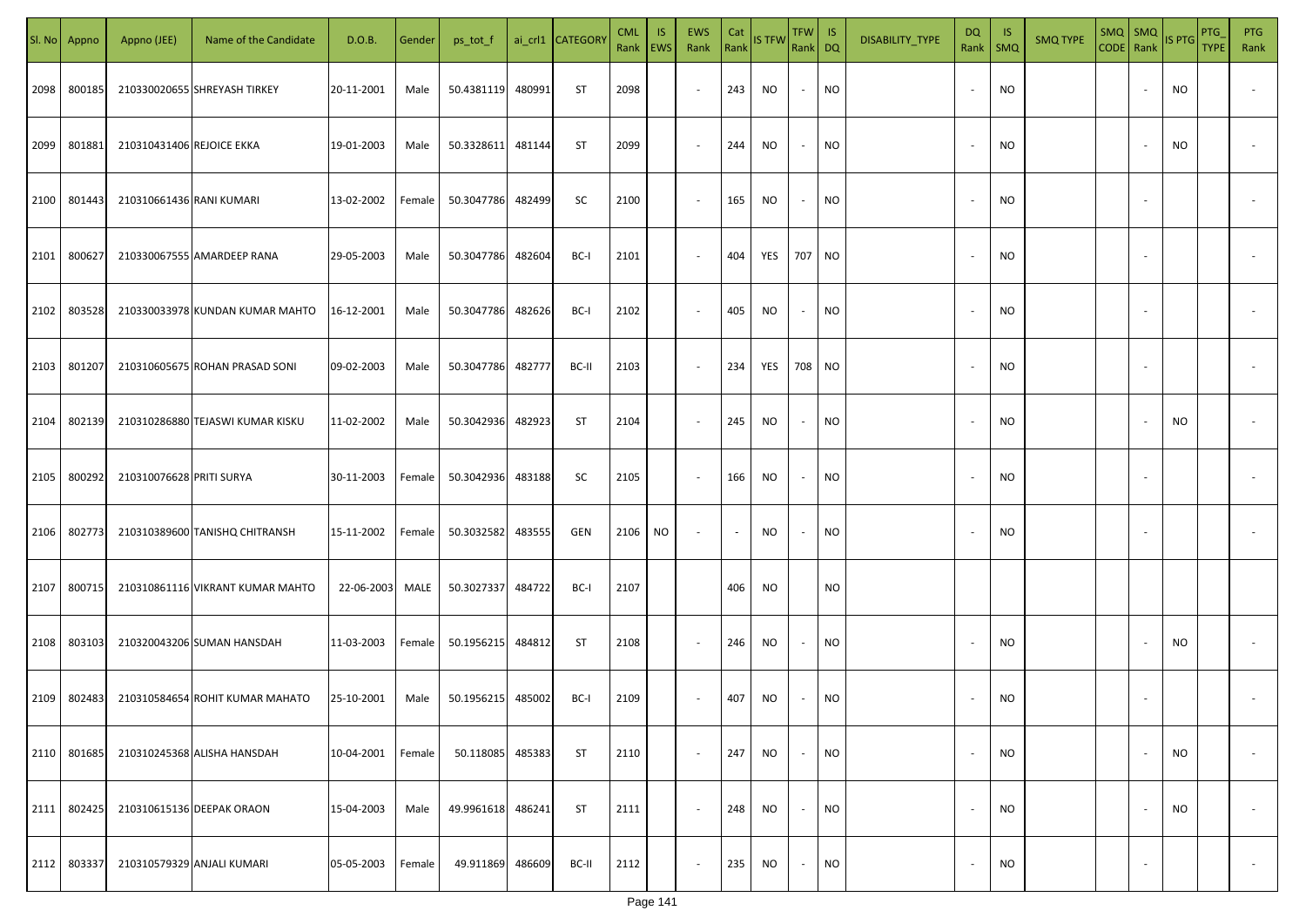|      | Sl. No Appno | Appno (JEE)               | Name of the Candidate            | D.O.B.     | Gender | ps_tot_f   |        | ai_crl1 CATEGORY | <b>CML</b><br>Rank   EWS | IS. | <b>EWS</b><br>Rank       | Cat<br>Rank | <b>IS TFW</b> | $TFW$ IS<br>Rank DQ      |           | DISABILITY_TYPE | <b>DQ</b> | - IS<br>Rank   SMQ | <b>SMQ TYPE</b> | SMQ   SMQ                | CODE Rank IS PTG | <b>PTG</b><br><b>TYPE</b> | <b>PTG</b><br>Rank       |
|------|--------------|---------------------------|----------------------------------|------------|--------|------------|--------|------------------|--------------------------|-----|--------------------------|-------------|---------------|--------------------------|-----------|-----------------|-----------|--------------------|-----------------|--------------------------|------------------|---------------------------|--------------------------|
| 2098 | 800185       |                           | 210330020655 SHREYASH TIRKEY     | 20-11-2001 | Male   | 50.4381119 | 480991 | ST               | 2098                     |     | $\sim$                   | 243         | <b>NO</b>     | $\sim$                   | <b>NO</b> |                 |           | <b>NO</b>          |                 |                          | NO.              |                           |                          |
| 2099 | 801881       | 210310431406 REJOICE EKKA |                                  | 19-01-2003 | Male   | 50.3328611 | 481144 | <b>ST</b>        | 2099                     |     | $\sim$                   | 244         | NO            | $\sim$                   | <b>NO</b> |                 |           | <b>NO</b>          |                 |                          | NO               |                           |                          |
| 2100 | 801443       | 210310661436 RANI KUMARI  |                                  | 13-02-2002 | Female | 50.3047786 | 482499 | SC               | 2100                     |     | $\overline{\phantom{a}}$ | 165         | NO            | $\sim$                   | <b>NO</b> |                 |           | <b>NO</b>          |                 |                          |                  |                           |                          |
| 2101 | 800627       |                           | 210330067555 AMARDEEP RANA       | 29-05-2003 | Male   | 50.3047786 | 482604 | BC-I             | 2101                     |     | $\overline{\phantom{a}}$ | 404         | YES           | 707 NO                   |           |                 |           | <b>NO</b>          |                 |                          |                  |                           |                          |
| 2102 | 803528       |                           | 210330033978 KUNDAN KUMAR MAHTO  | 16-12-2001 | Male   | 50.3047786 | 482626 | BC-I             | 2102                     |     | $\overline{\phantom{a}}$ | 405         | NO            | $\sim$                   | <b>NO</b> |                 |           | <b>NO</b>          |                 |                          |                  |                           |                          |
| 2103 | 801207       |                           | 210310605675 ROHAN PRASAD SONI   | 09-02-2003 | Male   | 50.3047786 | 482777 | BC-II            | 2103                     |     | $\overline{\phantom{a}}$ | 234         | YES           | 708 NO                   |           |                 |           | <b>NO</b>          |                 |                          |                  |                           |                          |
| 2104 | 802139       |                           | 210310286880 TEJASWI KUMAR KISKU | 11-02-2002 | Male   | 50.3042936 | 482923 | ST               | 2104                     |     | $\overline{\phantom{a}}$ | 245         | NO            | $\overline{\phantom{a}}$ | <b>NO</b> |                 |           | <b>NO</b>          |                 |                          | NO               |                           |                          |
| 2105 | 800292       | 210310076628 PRITI SURYA  |                                  | 30-11-2003 | Female | 50.3042936 | 483188 | SC               | 2105                     |     | $\sim$                   | 166         | <b>NO</b>     |                          | <b>NO</b> |                 |           | <b>NO</b>          |                 |                          |                  |                           |                          |
| 2106 | 802773       |                           | 210310389600 TANISHQ CHITRANSH   | 15-11-2002 | Female | 50.3032582 | 483555 | GEN              | 2106                     | NO  | $\overline{\phantom{a}}$ | $\sim$      | NO            |                          | <b>NO</b> |                 |           | NO                 |                 |                          |                  |                           |                          |
| 2107 | 800715       |                           | 210310861116 VIKRANT KUMAR MAHTO | 22-06-2003 | MALE   | 50.3027337 | 484722 | BC-I             | 2107                     |     |                          | 406         | NO.           |                          | <b>NO</b> |                 |           |                    |                 |                          |                  |                           |                          |
| 2108 | 803103       |                           | 210320043206 SUMAN HANSDAH       | 11-03-2003 | Female | 50.1956215 | 484812 | ST               | 2108                     |     | $\sim$                   | 246         | NO            |                          | <b>NO</b> |                 |           | <b>NO</b>          |                 |                          | NO.              |                           |                          |
| 2109 | 802483       |                           | 210310584654 ROHIT KUMAR MAHATO  | 25-10-2001 | Male   | 50.1956215 | 485002 | BC-I             | 2109                     |     | $\sim$                   | 407         | <b>NO</b>     |                          | <b>NO</b> |                 |           | <b>NO</b>          |                 |                          |                  |                           |                          |
| 2110 | 801685       |                           | 210310245368 ALISHA HANSDAH      | 10-04-2001 | Female | 50.118085  | 485383 | <b>ST</b>        | 2110                     |     | $\blacksquare$           | 247         | <b>NO</b>     | $\overline{\phantom{a}}$ | <b>NO</b> |                 |           | <b>NO</b>          |                 | $\overline{\phantom{a}}$ | NO               |                           | $\overline{\phantom{a}}$ |
| 2111 | 802425       |                           | 210310615136 DEEPAK ORAON        | 15-04-2003 | Male   | 49.9961618 | 486241 | <b>ST</b>        | 2111                     |     | $\blacksquare$           | 248         | <b>NO</b>     | $\sim$                   | <b>NO</b> |                 |           | <b>NO</b>          |                 |                          | NO               |                           | $\overline{\phantom{a}}$ |
| 2112 | 803337       |                           | 210310579329 ANJALI KUMARI       | 05-05-2003 | Female | 49.911869  | 486609 | BC-II            | 2112                     |     | $\sim$                   | 235         | NO            | $\sim$                   | <b>NO</b> |                 |           | <b>NO</b>          |                 | $\overline{\phantom{a}}$ |                  |                           | $\overline{\phantom{a}}$ |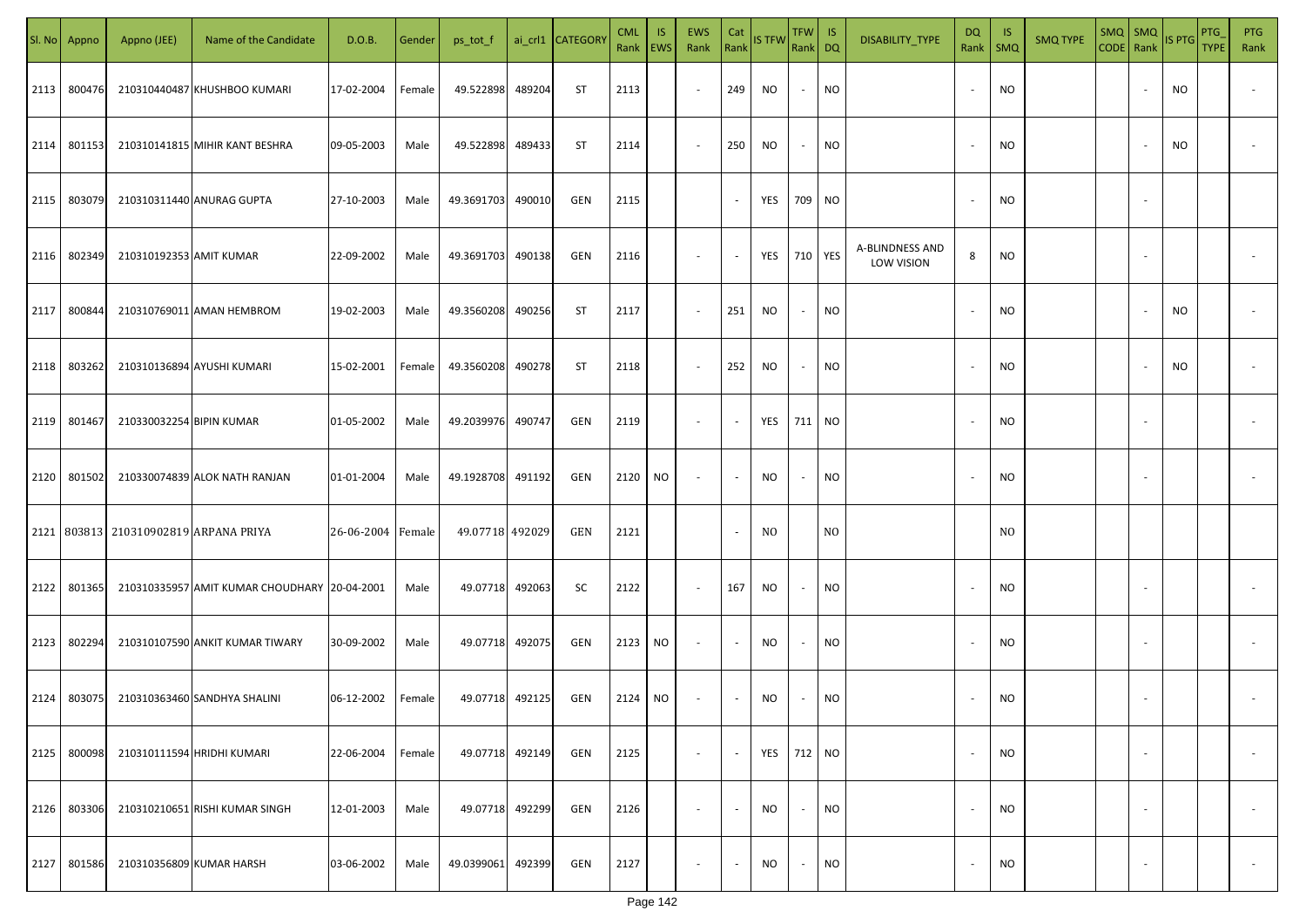|      | Sl. No Appno | Appno (JEE)                           | Name of the Candidate                        | D.O.B.            | Gender | ps_tot_f        |        | ai_crl1 CATEGORY | <b>CML</b><br>Rank EWS | <b>IS</b> | EWS<br>Rank              | Cat                      | Rank IS TFW    | TFW   IS<br>Rank DQ      |                | DISABILITY_TYPE               | DQ<br>Rank   SMQ         | - IS           | <b>SMQ TYPE</b> | $SMQ$ SMQ<br>CODE Rank |                          | IS PTG    | PTG<br><b>TYPE</b> | <b>PTG</b><br>Rank |
|------|--------------|---------------------------------------|----------------------------------------------|-------------------|--------|-----------------|--------|------------------|------------------------|-----------|--------------------------|--------------------------|----------------|--------------------------|----------------|-------------------------------|--------------------------|----------------|-----------------|------------------------|--------------------------|-----------|--------------------|--------------------|
| 2113 | 800476       |                                       | 210310440487 KHUSHBOO KUMARI                 | 17-02-2004        | Female | 49.522898       | 489204 | ST               | 2113                   |           | $\sim$                   | 249                      | NO             | $\sim$                   | <b>NO</b>      |                               | $\overline{\phantom{a}}$ | NO.            |                 |                        |                          | <b>NO</b> |                    |                    |
| 2114 | 801153       |                                       | 210310141815 MIHIR KANT BESHRA               | 09-05-2003        | Male   | 49.522898       | 489433 | ST               | 2114                   |           | $\sim$                   | 250                      | NO             | $\sim$                   | <b>NO</b>      |                               | $\overline{\phantom{a}}$ | NO.            |                 |                        |                          | <b>NO</b> |                    |                    |
| 2115 | 803079       |                                       | 210310311440 ANURAG GUPTA                    | 27-10-2003        | Male   | 49.3691703      | 490010 | GEN              | 2115                   |           |                          | $\sim$                   | YES            | 709                      | <b>NO</b>      |                               |                          | NO.            |                 |                        | $\sim$                   |           |                    |                    |
| 2116 | 802349       | 210310192353 AMIT KUMAR               |                                              | 22-09-2002        | Male   | 49.3691703      | 490138 | GEN              | 2116                   |           | $\overline{\phantom{a}}$ | $\sim$                   | YES            | 710 YES                  |                | A-BLINDNESS AND<br>LOW VISION | 8                        | NO.            |                 |                        | $\sim$                   |           |                    |                    |
| 2117 | 800844       |                                       | 210310769011 AMAN HEMBROM                    | 19-02-2003        | Male   | 49.3560208      | 490256 | ST               | 2117                   |           | $\sim$                   | 251                      | NO.            | $\sim$                   | NO             |                               |                          | NO.            |                 |                        |                          | NO        |                    |                    |
| 2118 | 803262       |                                       | 210310136894 AYUSHI KUMARI                   | 15-02-2001        | Female | 49.3560208      | 490278 | ST               | 2118                   |           | $\sim$                   | 252                      | NO             | $\sim$                   | <b>NO</b>      |                               |                          | NO.            |                 |                        |                          | <b>NO</b> |                    |                    |
| 2119 | 801467       | 210330032254 BIPIN KUMAR              |                                              | 01-05-2002        | Male   | 49.2039976      | 490747 | GEN              | 2119                   |           | $\sim$                   | $\overline{\phantom{a}}$ | YES            | 711                      | <b>NO</b>      |                               |                          | NO.            |                 |                        |                          |           |                    |                    |
| 2120 | 801502       |                                       | 210330074839 ALOK NATH RANJAN                | 01-01-2004        | Male   | 49.1928708      | 491192 | GEN              | 2120                   | NO        | $\sim$                   | $\sim$                   | NO             | $\overline{\phantom{a}}$ | <b>NO</b>      |                               |                          | NO.            |                 |                        |                          |           |                    |                    |
|      |              | 2121 803813 210310902819 ARPANA PRIYA |                                              | 26-06-2004 Female |        | 49.07718 492029 |        | GEN              | 2121                   |           |                          | $\overline{\phantom{a}}$ | N <sub>0</sub> |                          | N <sub>O</sub> |                               |                          | N <sub>O</sub> |                 |                        |                          |           |                    |                    |
| 2122 | 801365       |                                       | 210310335957 AMIT KUMAR CHOUDHARY 20-04-2001 |                   | Male   | 49.07718        | 492063 | SC               | 2122                   |           | $\sim$                   | 167                      | NO.            | $\sim$                   | <b>NO</b>      |                               |                          | NO.            |                 |                        |                          |           |                    |                    |
| 2123 | 802294       |                                       | 210310107590 ANKIT KUMAR TIWARY              | 30-09-2002        | Male   | 49.07718        | 492075 | GEN              | 2123                   | <b>NO</b> | $\sim$                   | $\sim$                   | <b>NO</b>      | $\sim$                   | <b>NO</b>      |                               |                          | <b>NO</b>      |                 |                        |                          |           |                    |                    |
| 2124 | 803075       |                                       | 210310363460 SANDHYA SHALINI                 | 06-12-2002        | Female | 49.07718        | 492125 | GEN              | 2124                   | <b>NO</b> | $\sim$                   | $\sim$                   | NO             | $\sim$                   | <b>NO</b>      |                               |                          | NO.            |                 |                        |                          |           |                    |                    |
| 2125 | 800098       |                                       | 210310111594 HRIDHI KUMARI                   | 22-06-2004        | Female | 49.07718        | 492149 | GEN              | 2125                   |           | $\sim$                   | $\sim$                   | YES            | 712 NO                   |                |                               | $\overline{\phantom{a}}$ | NO.            |                 |                        | $\overline{\phantom{a}}$ |           |                    | $\sim$             |
| 2126 | 803306       |                                       | 210310210651 RISHI KUMAR SINGH               | 12-01-2003        | Male   | 49.07718        | 492299 | GEN              | 2126                   |           | $\sim$                   | $\sim$                   | NO             | $\sim$                   | <b>NO</b>      |                               | $\overline{\phantom{a}}$ | <b>NO</b>      |                 |                        | $\overline{\phantom{a}}$ |           |                    | $\sim$             |
| 2127 | 801586       |                                       | 210310356809 KUMAR HARSH                     | 03-06-2002        | Male   | 49.0399061      | 492399 | GEN              | 2127                   |           | $\overline{\phantom{a}}$ | $\sim$                   | NO             | $\sim$                   | <b>NO</b>      |                               | $\overline{\phantom{a}}$ | <b>NO</b>      |                 |                        | $\overline{\phantom{a}}$ |           |                    | $\sim$             |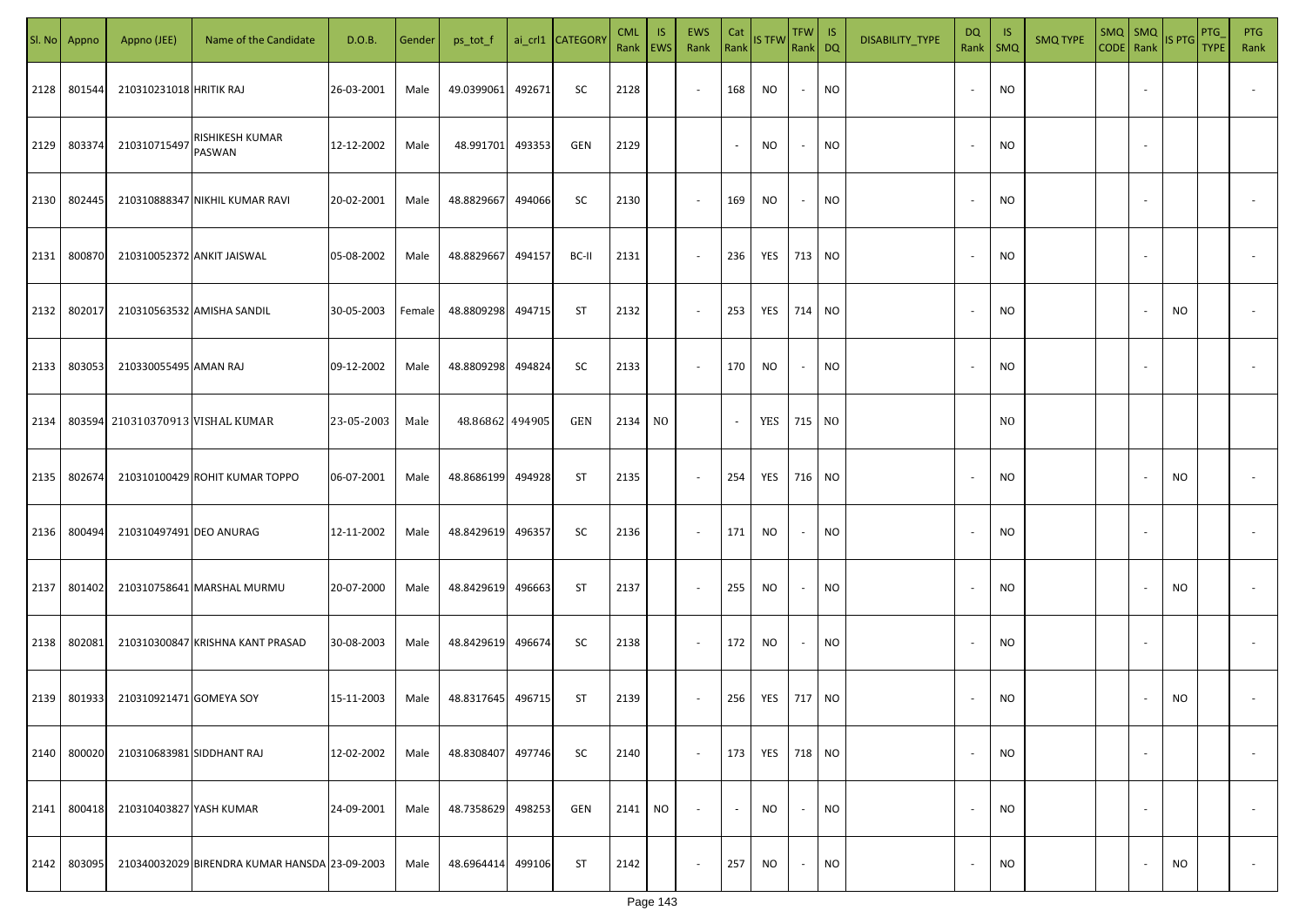|      | Sl. No Appno | Appno (JEE)               | Name of the Candidate                         | D.O.B.     | Gender | ps_tot_f        |        | ai_crl1 CATEGOR\ | <b>CML</b><br>Rank EWS | IS. | <b>EWS</b><br>Rank | Cat    | Rank IS TFW | TFW IS<br>Rank DQ |           | DISABILITY_TYPE | <b>DQ</b><br>Rank        | -IS<br><b>SMQ</b> | <b>SMQ TYPE</b> | $SMQ$ $SMQ$<br>CODE Rank |                          | IS PTG | <b>PTG</b><br><b>TYPE</b> | PTG<br>Rank              |
|------|--------------|---------------------------|-----------------------------------------------|------------|--------|-----------------|--------|------------------|------------------------|-----|--------------------|--------|-------------|-------------------|-----------|-----------------|--------------------------|-------------------|-----------------|--------------------------|--------------------------|--------|---------------------------|--------------------------|
| 2128 | 801544       | 210310231018 HRITIK RAJ   |                                               | 26-03-2001 | Male   | 49.0399061      | 492671 | SC               | 2128                   |     | $\sim$             | 168    | NO.         | $\sim$            | <b>NO</b> |                 | $\overline{\phantom{a}}$ | <b>NO</b>         |                 |                          |                          |        |                           |                          |
| 2129 | 803374       | 210310715497              | RISHIKESH KUMAR<br>PASWAN                     | 12-12-2002 | Male   | 48.991701       | 493353 | GEN              | 2129                   |     |                    | $\sim$ | NO          | $\sim$            | <b>NO</b> |                 | $\overline{\phantom{a}}$ | <b>NO</b>         |                 |                          |                          |        |                           |                          |
| 2130 | 802445       |                           | 210310888347 NIKHIL KUMAR RAVI                | 20-02-2001 | Male   | 48.8829667      | 494066 | SC               | 2130                   |     | $\sim$             | 169    | NO.         | $\sim$            | NO        |                 |                          | <b>NO</b>         |                 |                          |                          |        |                           |                          |
| 2131 | 800870       |                           | 210310052372 ANKIT JAISWAL                    | 05-08-2002 | Male   | 48.8829667      | 494157 | BC-II            | 2131                   |     | $\sim$             | 236    | YES         | 713 NO            |           |                 |                          | <b>NO</b>         |                 |                          |                          |        |                           |                          |
| 2132 | 802017       |                           | 210310563532 AMISHA SANDIL                    | 30-05-2003 | Female | 48.8809298      | 494715 | ST               | 2132                   |     | $\sim$             | 253    | YES         | 714 NO            |           |                 |                          | <b>NO</b>         |                 |                          |                          | NO     |                           |                          |
| 2133 | 803053       | 210330055495 AMAN RAJ     |                                               | 09-12-2002 | Male   | 48.8809298      | 494824 | SC               | 2133                   |     | $\sim$             | 170    | <b>NO</b>   | $\sim$            | NO        |                 |                          | <b>NO</b>         |                 |                          |                          |        |                           |                          |
| 2134 |              |                           | 803594 210310370913 VISHAL KUMAR              | 23-05-2003 | Male   | 48.86862 494905 |        | GEN              | 2134                   | NO. |                    | $\sim$ | YES         | 715 NO            |           |                 |                          | NO.               |                 |                          |                          |        |                           |                          |
| 2135 | 802674       |                           | 210310100429 ROHIT KUMAR TOPPO                | 06-07-2001 | Male   | 48.8686199      | 494928 | ST               | 2135                   |     | $\sim$             | 254    | YES         | 716 NO            |           |                 |                          | <b>NO</b>         |                 |                          |                          | NO     |                           |                          |
| 2136 | 800494       | 210310497491 DEO ANURAG   |                                               | 12-11-2002 | Male   | 48.8429619      | 496357 | SC               | 2136                   |     | $\sim$             | 171    | NO.         | $\sim$            | <b>NO</b> |                 |                          | <b>NO</b>         |                 |                          |                          |        |                           |                          |
| 2137 | 801402       |                           | 210310758641 MARSHAL MURMU                    | 20-07-2000 | Male   | 48.8429619      | 496663 | ST               | 2137                   |     | $\sim$             | 255    | NO          | $\sim$            | <b>NO</b> |                 |                          | <b>NO</b>         |                 |                          |                          | NO     |                           |                          |
| 2138 | 802081       |                           | 210310300847 KRISHNA KANT PRASAD              | 30-08-2003 | Male   | 48.8429619      | 496674 | SC               | 2138                   |     | $\sim$             | 172    | NO.         | $\sim$            | <b>NO</b> |                 |                          | <b>NO</b>         |                 |                          |                          |        |                           |                          |
| 2139 | 801933       | 210310921471 GOMEYA SOY   |                                               | 15-11-2003 | Male   | 48.8317645      | 496715 | ST               | 2139                   |     | $\sim$             | 256    | YES         | 717 NO            |           |                 |                          | <b>NO</b>         |                 |                          |                          | NO.    |                           |                          |
| 2140 | 800020       | 210310683981 SIDDHANT RAJ |                                               | 12-02-2002 | Male   | 48.8308407      | 497746 | SC               | 2140                   |     | $\sim$             | 173    | YES         | 718 NO            |           |                 | $\overline{\phantom{a}}$ | <b>NO</b>         |                 |                          | $\overline{\phantom{a}}$ |        |                           | $\overline{\phantom{a}}$ |
| 2141 | 800418       | 210310403827 YASH KUMAR   |                                               | 24-09-2001 | Male   | 48.7358629      | 498253 | GEN              | 2141                   | NO  | $\sim$             | $\sim$ | NO          | $\sim$            | <b>NO</b> |                 | $\overline{\phantom{a}}$ | <b>NO</b>         |                 |                          | $\sim$                   |        |                           | $\overline{\phantom{a}}$ |
| 2142 | 803095       |                           | 210340032029 BIRENDRA KUMAR HANSDA 23-09-2003 |            | Male   | 48.6964414      | 499106 | <b>ST</b>        | 2142                   |     | $\sim$             | 257    | NO.         | $\sim$            | <b>NO</b> |                 |                          | <b>NO</b>         |                 |                          |                          | NO     |                           | $\sim$                   |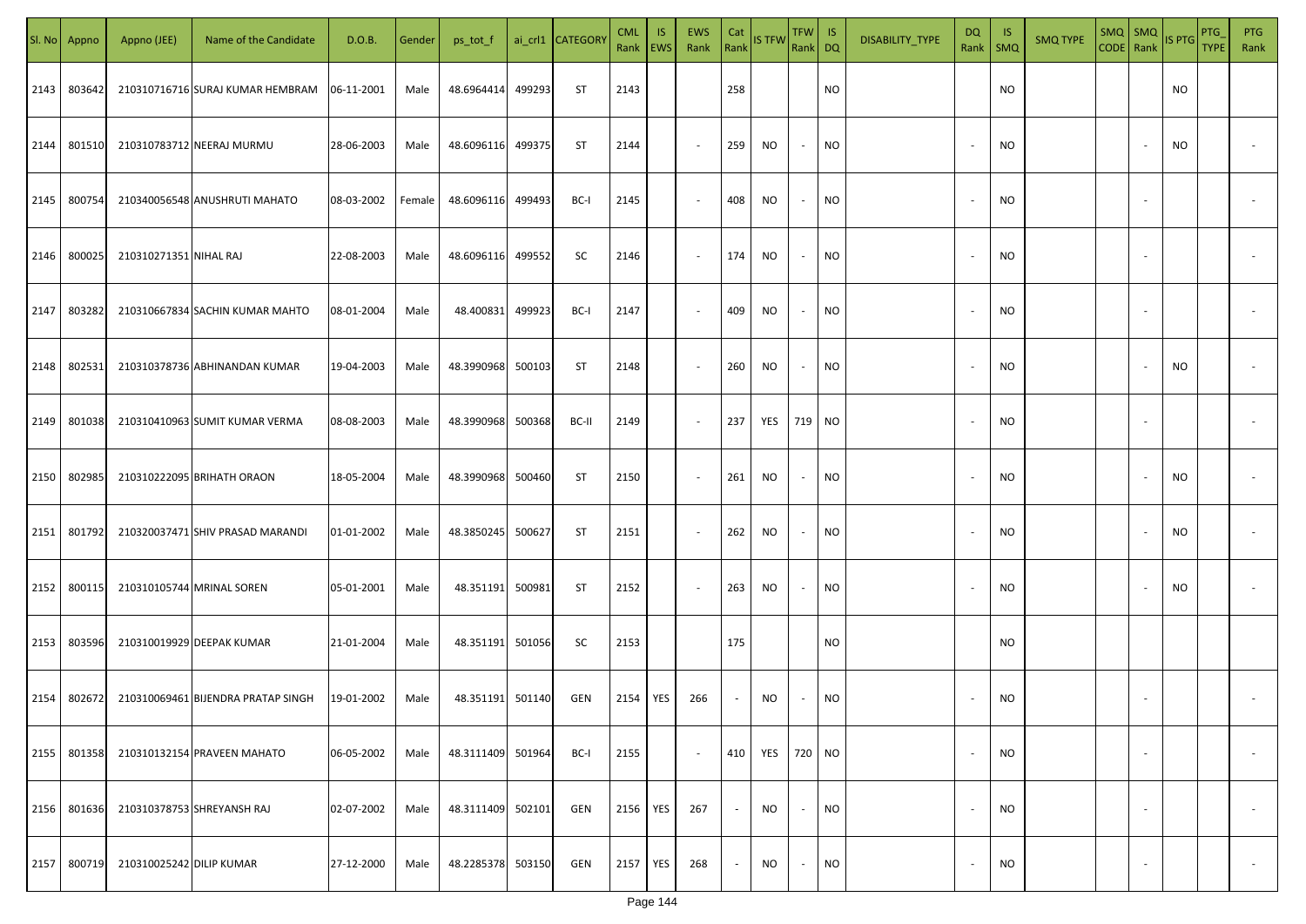|      | SI. No Appno | Appno (JEE)              | Name of the Candidate              | D.O.B.     | Gender | ps_tot_f          |        | ai_crl1 CATEGORY | <b>CML</b><br>Rank   EWS | IS. | <b>EWS</b><br>Rank       | Cat<br>Rank | <b>IS TFW</b> | <b>TFW</b><br>Rank DQ | IS.       | DISABILITY_TYPE | DQ<br>Rank               | - IS<br><b>SMQ</b> | <b>SMQ TYPE</b> | $SMQ$ SMQ<br>CODE Rank |                          | <b>IS PTG</b> | PTG<br><b>TYPE</b> | <b>PTG</b><br>Rank       |
|------|--------------|--------------------------|------------------------------------|------------|--------|-------------------|--------|------------------|--------------------------|-----|--------------------------|-------------|---------------|-----------------------|-----------|-----------------|--------------------------|--------------------|-----------------|------------------------|--------------------------|---------------|--------------------|--------------------------|
| 2143 | 803642       |                          | 210310716716 SURAJ KUMAR HEMBRAM   | 06-11-2001 | Male   | 48.6964414        | 499293 | ST               | 2143                     |     |                          | 258         |               |                       | <b>NO</b> |                 |                          | <b>NO</b>          |                 |                        |                          | NO            |                    |                          |
| 2144 | 801510       |                          | 210310783712 NEERAJ MURMU          | 28-06-2003 | Male   | 48.6096116        | 499375 | ST               | 2144                     |     | $\sim$                   | 259         | NO            | $\sim$                | <b>NO</b> |                 |                          | <b>NO</b>          |                 |                        |                          | NO            |                    |                          |
| 2145 | 800754       |                          | 210340056548 ANUSHRUTI MAHATO      | 08-03-2002 | Female | 48.6096116        | 499493 | BC-I             | 2145                     |     | $\overline{\phantom{a}}$ | 408         | NO            | $\sim$                | <b>NO</b> |                 | $\overline{\phantom{a}}$ | <b>NO</b>          |                 |                        |                          |               |                    |                          |
| 2146 | 800025       | 210310271351 NIHAL RAJ   |                                    | 22-08-2003 | Male   | 48.6096116        | 499552 | SC               | 2146                     |     | $\sim$                   | 174         | NO            | $\sim$                | <b>NO</b> |                 | $\sim$                   | <b>NO</b>          |                 |                        |                          |               |                    |                          |
| 2147 | 803282       |                          | 210310667834 SACHIN KUMAR MAHTO    | 08-01-2004 | Male   | 48.400831 499923  |        | BC-I             | 2147                     |     | $\overline{\phantom{a}}$ | 409         | NO            | $\sim$                | <b>NO</b> |                 | $\sim$                   | <b>NO</b>          |                 |                        |                          |               |                    |                          |
| 2148 | 802531       |                          | 210310378736 ABHINANDAN KUMAR      | 19-04-2003 | Male   | 48.3990968 500103 |        | ST               | 2148                     |     | $\overline{\phantom{a}}$ | 260         | NO.           | $\sim$                | <b>NO</b> |                 |                          | NO                 |                 |                        |                          | NO            |                    |                          |
| 2149 | 801038       |                          | 210310410963 SUMIT KUMAR VERMA     | 08-08-2003 | Male   | 48.3990968 500368 |        | BC-II            | 2149                     |     | $\overline{\phantom{a}}$ | 237         | YES           | 719 NO                |           |                 |                          | <b>NO</b>          |                 |                        |                          |               |                    |                          |
| 2150 | 802985       |                          | 210310222095 BRIHATH ORAON         | 18-05-2004 | Male   | 48.3990968 500460 |        | ST               | 2150                     |     | $\sim$                   | 261         | NO            | $\sim$                | <b>NO</b> |                 |                          | <b>NO</b>          |                 |                        |                          | NO            |                    |                          |
| 2151 | 801792       |                          | 210320037471 SHIV PRASAD MARANDI   | 01-01-2002 | Male   | 48.3850245 500627 |        | ST               | 2151                     |     | $\overline{\phantom{a}}$ | 262         | NO            | $\sim$                | <b>NO</b> |                 |                          | <b>NO</b>          |                 |                        |                          | NO            |                    |                          |
| 2152 | 800115       |                          | 210310105744 MRINAL SOREN          | 05-01-2001 | Male   | 48.351191 500981  |        | ST               | 2152                     |     | $\sim$                   | 263         | NO            | $\sim$                | <b>NO</b> |                 |                          | <b>NO</b>          |                 |                        |                          | NO            |                    |                          |
| 2153 | 803596       |                          | 210310019929 DEEPAK KUMAR          | 21-01-2004 | Male   | 48.351191 501056  |        | SC               | 2153                     |     |                          | 175         |               |                       | <b>NO</b> |                 |                          | <b>NO</b>          |                 |                        |                          |               |                    |                          |
| 2154 | 802672       |                          | 210310069461 BIJENDRA PRATAP SINGH | 19-01-2002 | Male   | 48.351191 501140  |        | GEN              | 2154                     | YES | 266                      | $\sim$      | NO            | $\sim$                | <b>NO</b> |                 |                          | <b>NO</b>          |                 |                        |                          |               |                    |                          |
| 2155 | 801358       |                          | 210310132154 PRAVEEN MAHATO        | 06-05-2002 | Male   | 48.3111409 501964 |        | BC-I             | 2155                     |     | $\sim$                   | 410         | YES           | 720 NO                |           |                 | $\overline{\phantom{a}}$ | <b>NO</b>          |                 |                        | $\overline{\phantom{a}}$ |               |                    | $\overline{\phantom{a}}$ |
| 2156 | 801636       |                          | 210310378753 SHREYANSH RAJ         | 02-07-2002 | Male   | 48.3111409 502101 |        | GEN              | 2156                     | YES | 267                      | $\sim$      | NO            | $\sim$                | <b>NO</b> |                 | $\overline{\phantom{a}}$ | <b>NO</b>          |                 |                        | $\sim$                   |               |                    | $\overline{\phantom{a}}$ |
| 2157 | 800719       | 210310025242 DILIP KUMAR |                                    | 27-12-2000 | Male   | 48.2285378 503150 |        | GEN              | 2157                     | YES | 268                      | $\sim$      | NO            | $\sim$                | NO        |                 |                          | <b>NO</b>          |                 |                        | $\overline{\phantom{a}}$ |               |                    | $\sim$                   |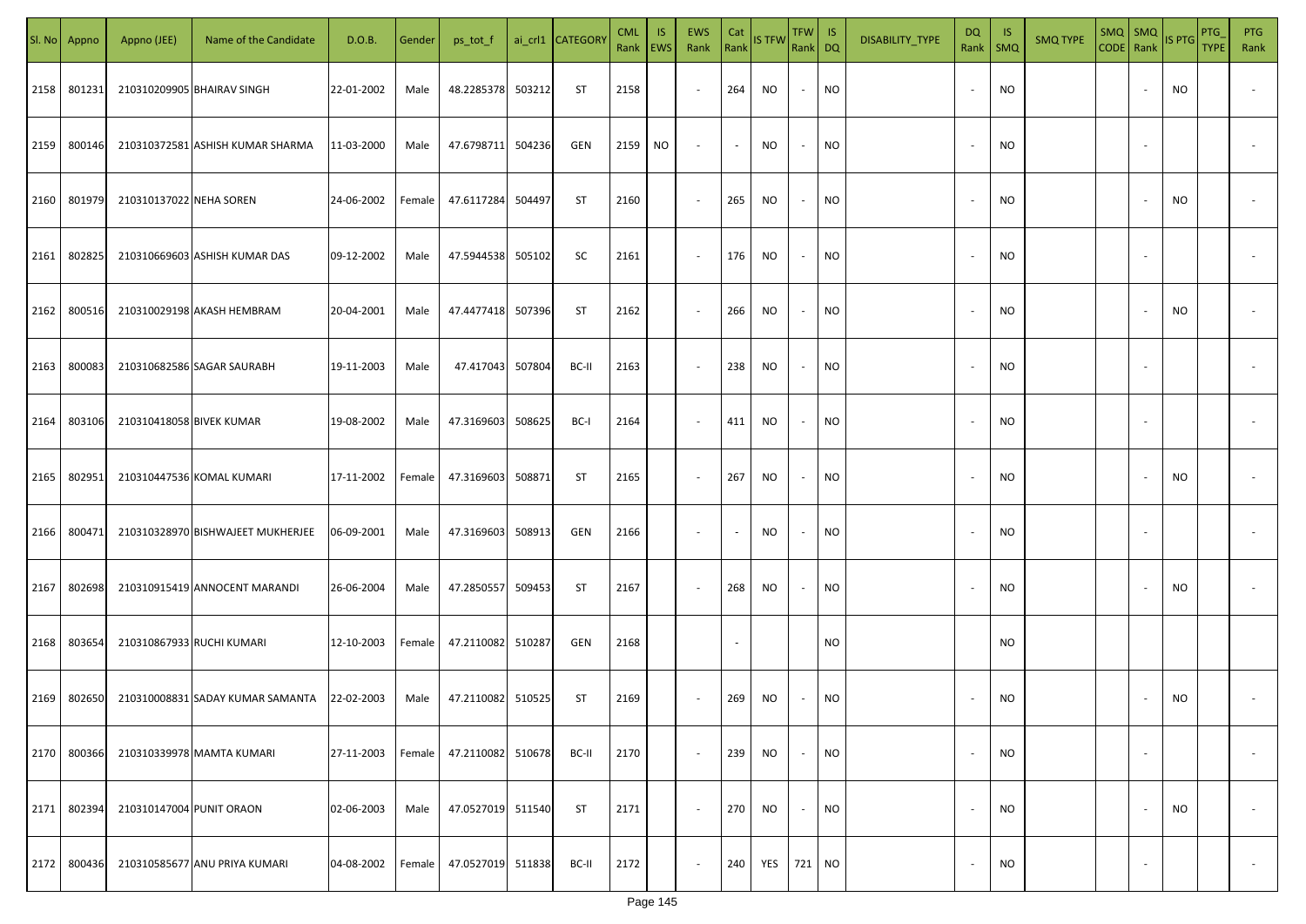|      | Sl. No Appno | Appno (JEE)               | Name of the Candidate                       | D.O.B.     | Gender | ps_tot_f          |        | ai_crl1 CATEGOR\ | <b>CML</b><br>Rank EWS | IS. | <b>EWS</b><br>Rank | Cat                      | Rank IS TFW | TFW IS<br>Rank DQ |           | DISABILITY_TYPE | <b>DQ</b><br>Rank        | -IS<br><b>SMQ</b> | <b>SMQ TYPE</b> | SMQ SMQ<br>CODE Rank |                          | IS PTG | PTG<br><b>TYPE</b> | <b>PTG</b><br>Rank       |
|------|--------------|---------------------------|---------------------------------------------|------------|--------|-------------------|--------|------------------|------------------------|-----|--------------------|--------------------------|-------------|-------------------|-----------|-----------------|--------------------------|-------------------|-----------------|----------------------|--------------------------|--------|--------------------|--------------------------|
| 2158 | 801231       |                           | 210310209905 BHAIRAV SINGH                  | 22-01-2002 | Male   | 48.2285378        | 503212 | ST               | 2158                   |     | $\sim$             | 264                      | NO.         | $\sim$            | <b>NO</b> |                 |                          | <b>NO</b>         |                 |                      |                          | NO     |                    |                          |
| 2159 | 800146       |                           | 210310372581 ASHISH KUMAR SHARMA            | 11-03-2000 | Male   | 47.6798711        | 504236 | GEN              | 2159                   | NO  | $\sim$             | $\sim$                   | NO.         | $\sim$            | <b>NO</b> |                 | $\overline{\phantom{a}}$ | <b>NO</b>         |                 |                      |                          |        |                    |                          |
| 2160 | 801979       | 210310137022 NEHA SOREN   |                                             | 24-06-2002 | Female | 47.6117284        | 504497 | <b>ST</b>        | 2160                   |     | $\sim$             | 265                      | NO          | $\sim$            | NO        |                 |                          | <b>NO</b>         |                 |                      |                          | NO     |                    |                          |
| 2161 | 802825       |                           | 210310669603 ASHISH KUMAR DAS               | 09-12-2002 | Male   | 47.5944538        | 505102 | SC               | 2161                   |     | $\sim$             | 176                      | NO          | $\sim$            | NO        |                 |                          | <b>NO</b>         |                 |                      |                          |        |                    |                          |
| 2162 | 800516       |                           | 210310029198 AKASH HEMBRAM                  | 20-04-2001 | Male   | 47.4477418        | 507396 | ST               | 2162                   |     | $\sim$             | 266                      | NO          | $\sim$            | NO        |                 |                          | <b>NO</b>         |                 |                      |                          | NO     |                    |                          |
| 2163 | 800083       |                           | 210310682586 SAGAR SAURABH                  | 19-11-2003 | Male   | 47.417043         | 507804 | BC-II            | 2163                   |     | $\sim$             | 238                      | NO.         | $\sim$            | NO        |                 |                          | <b>NO</b>         |                 |                      |                          |        |                    |                          |
| 2164 | 803106       | 210310418058 BIVEK KUMAR  |                                             | 19-08-2002 | Male   | 47.3169603        | 508625 | BC-I             | 2164                   |     | $\sim$             | 411                      | NO          | $\sim$            | <b>NO</b> |                 |                          | <b>NO</b>         |                 |                      |                          |        |                    |                          |
| 2165 | 802951       |                           | 210310447536 KOMAL KUMARI                   | 17-11-2002 | Female | 47.3169603        | 508871 | ST               | 2165                   |     | $\sim$             | 267                      | NO.         | $\sim$            | <b>NO</b> |                 |                          | <b>NO</b>         |                 |                      |                          | NO     |                    |                          |
| 2166 | 800471       |                           | 210310328970 BISHWAJEET MUKHERJEE           | 06-09-2001 | Male   | 47.3169603        | 508913 | GEN              | 2166                   |     | $\sim$             | $\overline{\phantom{a}}$ | NO.         | $\sim$            | <b>NO</b> |                 |                          | <b>NO</b>         |                 |                      |                          |        |                    |                          |
| 2167 | 802698       |                           | 210310915419 ANNOCENT MARANDI               | 26-06-2004 | Male   | 47.2850557        | 509453 | ST               | 2167                   |     | $\sim$             | 268                      | NO          | $\sim$            | <b>NO</b> |                 |                          | <b>NO</b>         |                 |                      |                          | NO     |                    |                          |
| 2168 | 803654       | 210310867933 RUCHI KUMARI |                                             | 12-10-2003 | Female | 47.2110082 510287 |        | GEN              | 2168                   |     |                    |                          |             |                   | <b>NO</b> |                 |                          | <b>NO</b>         |                 |                      |                          |        |                    |                          |
| 2169 | 802650       |                           | 210310008831 SADAY KUMAR SAMANTA 22-02-2003 |            | Male   | 47.2110082        | 510525 | <b>ST</b>        | 2169                   |     | $\sim$             | 269                      | NO.         | $\sim$            | NO        |                 |                          | <b>NO</b>         |                 |                      |                          | NO.    |                    |                          |
| 2170 | 800366       |                           | 210310339978 MAMTA KUMARI                   | 27-11-2003 | Female | 47.2110082        | 510678 | BC-II            | 2170                   |     | $\sim$             | 239                      | NO.         | $\sim$            | <b>NO</b> |                 | $\overline{\phantom{a}}$ | <b>NO</b>         |                 |                      | $\sim$                   |        |                    | $\overline{\phantom{a}}$ |
| 2171 | 802394       | 210310147004 PUNIT ORAON  |                                             | 02-06-2003 | Male   | 47.0527019        | 511540 | <b>ST</b>        | 2171                   |     | $\sim$             | 270                      | NO.         | $\sim$            | <b>NO</b> |                 | $\overline{\phantom{a}}$ | <b>NO</b>         |                 |                      |                          | NO     |                    | $\overline{\phantom{a}}$ |
| 2172 | 800436       |                           | 210310585677 ANU PRIYA KUMARI               | 04-08-2002 | Female | 47.0527019        | 511838 | BC-II            | 2172                   |     | $\sim$             | 240                      | YES         | 721 NO            |           |                 |                          | <b>NO</b>         |                 |                      | $\overline{\phantom{a}}$ |        |                    | $\sim$                   |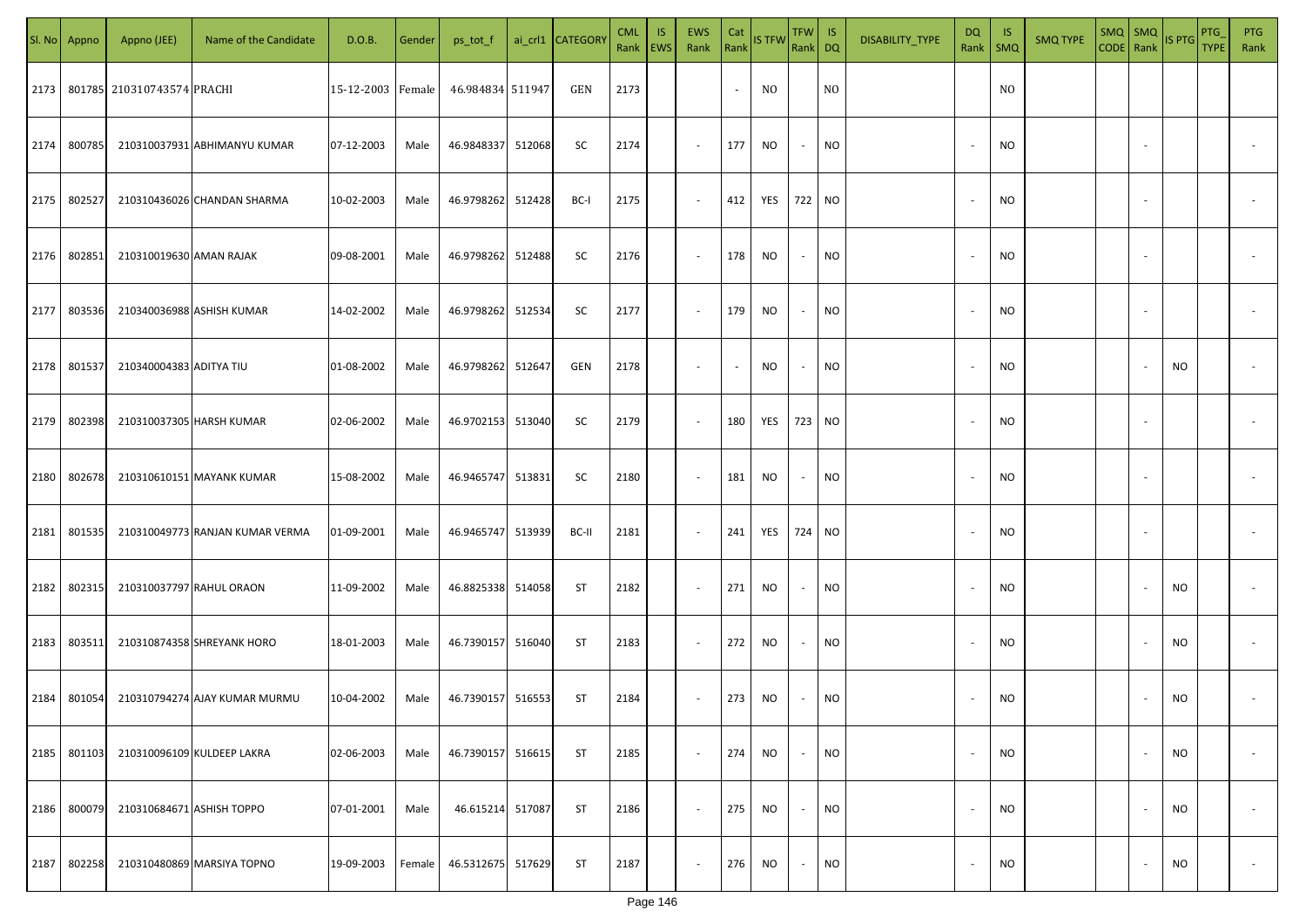|      | Sl. No Appno | Appno (JEE)                | Name of the Candidate           | D.O.B.            | Gender | ps_tot_f          |        | ai_crl1 CATEGOR\ | <b>CML</b><br>Rank EWS | IS. | <b>EWS</b><br>Rank       | Cat                      | Rank IS TFW | TFW IS<br>Rank DQ |           | DISABILITY_TYPE | <b>DQ</b><br>Rank        | - IS<br>SMQ    | <b>SMQ TYPE</b> | $SMQ$ SMQ<br>CODE Rank |                          | IS PTG    | PTG<br><b>TYPE</b> | <b>PTG</b><br>Rank |
|------|--------------|----------------------------|---------------------------------|-------------------|--------|-------------------|--------|------------------|------------------------|-----|--------------------------|--------------------------|-------------|-------------------|-----------|-----------------|--------------------------|----------------|-----------------|------------------------|--------------------------|-----------|--------------------|--------------------|
| 2173 |              | 801785 210310743574 PRACHI |                                 | 15-12-2003 Female |        | 46.984834 511947  |        | GEN              | 2173                   |     |                          | $\sim$                   | NO.         |                   | NO.       |                 |                          | N <sub>O</sub> |                 |                        |                          |           |                    |                    |
| 2174 | 800785       |                            | 210310037931 ABHIMANYU KUMAR    | 07-12-2003        | Male   | 46.9848337        | 512068 | SC               | 2174                   |     | $\sim$                   | 177                      | NO          | $\sim$            | <b>NO</b> |                 | $\overline{\phantom{a}}$ | <b>NO</b>      |                 |                        | $\sim$                   |           |                    |                    |
| 2175 | 802527       |                            | 210310436026 CHANDAN SHARMA     | 10-02-2003        | Male   | 46.9798262        | 512428 | BC-I             | 2175                   |     | $\sim$                   | 412                      | YES         | 722 NO            |           |                 | $\overline{\phantom{a}}$ | <b>NO</b>      |                 |                        | $\sim$                   |           |                    |                    |
| 2176 | 802851       | 210310019630 AMAN RAJAK    |                                 | 09-08-2001        | Male   | 46.9798262        | 512488 | SC               | 2176                   |     | $\sim$                   | 178                      | NO          | $\sim$            | NO        |                 | $\overline{\phantom{a}}$ | <b>NO</b>      |                 |                        | $\sim$                   |           |                    |                    |
| 2177 | 803536       |                            | 210340036988 ASHISH KUMAR       | 14-02-2002        | Male   | 46.9798262        | 512534 | SC               | 2177                   |     | $\sim$                   | 179                      | NO.         | $\sim$            | NO        |                 | $\overline{\phantom{a}}$ | NO             |                 |                        | $\sim$                   |           |                    |                    |
| 2178 | 801537       | 210340004383 ADITYA TIU    |                                 | 01-08-2002        | Male   | 46.9798262        | 512647 | GEN              | 2178                   |     | $\overline{\phantom{a}}$ | $\overline{\phantom{a}}$ | NO.         | $\sim$            | NO.       |                 | $\overline{\phantom{a}}$ | <b>NO</b>      |                 |                        |                          | NO.       |                    |                    |
| 2179 | 802398       |                            | 210310037305 HARSH KUMAR        | 02-06-2002        | Male   | 46.9702153        | 513040 | SC               | 2179                   |     | $\sim$                   | 180                      | YES         |                   | 723 NO    |                 |                          | <b>NO</b>      |                 |                        | $\sim$                   |           |                    |                    |
| 2180 | 802678       |                            | 210310610151 MAYANK KUMAR       | 15-08-2002        | Male   | 46.9465747 513831 |        | SC               | 2180                   |     | $\sim$                   | 181                      | NO          | $\sim$            | NO        |                 |                          | <b>NO</b>      |                 |                        | $\overline{\phantom{a}}$ |           |                    |                    |
| 2181 | 801535       |                            | 210310049773 RANJAN KUMAR VERMA | 01-09-2001        | Male   | 46.9465747 513939 |        | BC-II            | 2181                   |     | $\sim$                   | 241                      | YES         |                   | 724 NO    |                 |                          | <b>NO</b>      |                 |                        | $\overline{\phantom{a}}$ |           |                    |                    |
| 2182 | 802315       | 210310037797 RAHUL ORAON   |                                 | 11-09-2002        | Male   | 46.8825338 514058 |        | ST               | 2182                   |     | $\sim$                   | 271                      | NO.         | $\sim$            | <b>NO</b> |                 |                          | <b>NO</b>      |                 |                        |                          | <b>NO</b> |                    |                    |
| 2183 | 803511       |                            | 210310874358 SHREYANK HORO      | 18-01-2003        | Male   | 46.7390157        | 516040 | ST               | 2183                   |     | $\sim$                   | 272                      | NO.         | $\sim$            | <b>NO</b> |                 |                          | <b>NO</b>      |                 |                        |                          | <b>NO</b> |                    |                    |
| 2184 | 801054       |                            | 210310794274 AJAY KUMAR MURMU   | 10-04-2002        | Male   | 46.7390157        | 516553 | ST               | 2184                   |     | $\sim$                   | 273                      | NO          | $\sim$            | NO        |                 |                          | <b>NO</b>      |                 |                        | $\overline{\phantom{a}}$ | NO.       |                    |                    |
| 2185 | 801103       |                            | 210310096109 KULDEEP LAKRA      | 02-06-2003        | Male   | 46.7390157        | 516615 | ST               | 2185                   |     | $\sim$                   | 274                      | NO.         | $\sim$            | NO        |                 | $\overline{\phantom{a}}$ | <b>NO</b>      |                 |                        | $\overline{\phantom{a}}$ | NO        |                    | $\sim$             |
| 2186 | 800079       | 210310684671 ASHISH TOPPO  |                                 | 07-01-2001        | Male   | 46.615214         | 517087 | ST               | 2186                   |     | $\sim$                   | 275                      | NO.         | $\sim$            | NO        |                 | $\overline{\phantom{a}}$ | <b>NO</b>      |                 |                        | $\overline{\phantom{a}}$ | NO        |                    | $\sim$             |
| 2187 | 802258       |                            | 210310480869 MARSIYA TOPNO      | 19-09-2003        | Female | 46.5312675        | 517629 | <b>ST</b>        | 2187                   |     | $\sim$                   | 276                      | <b>NO</b>   | $\sim$            | <b>NO</b> |                 |                          | <b>NO</b>      |                 |                        | $\overline{\phantom{a}}$ | NO        |                    | $\sim$             |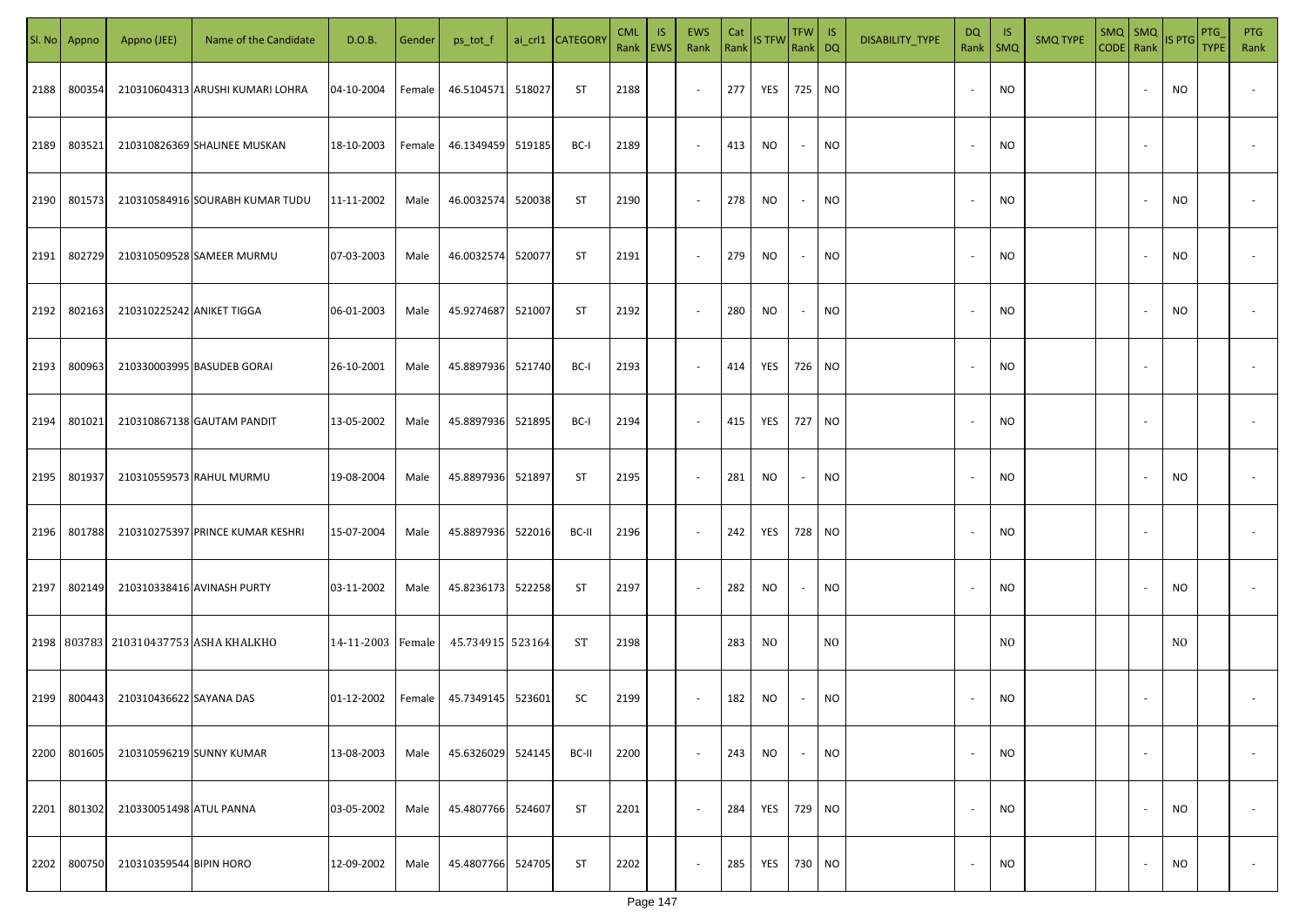|      | Sl. No Appno | Appno (JEE)               | Name of the Candidate                 | D.O.B.            | Gender | ps_tot_f          |        | ai_crl1 CATEGOR\ | <b>CML</b><br>Rank EWS | IS. | <b>EWS</b><br>Rank | Cat | Rank IS TFW | TFW IS<br>Rank DQ |           | DISABILITY_TYPE | <b>DQ</b><br>Rank        | -IS<br><b>SMQ</b> | <b>SMQ TYPE</b> | $SMQ$ SMQ<br>CODE Rank |                          | IS PTG         | PTG<br><b>TYPE</b> | PTG<br>Rank              |
|------|--------------|---------------------------|---------------------------------------|-------------------|--------|-------------------|--------|------------------|------------------------|-----|--------------------|-----|-------------|-------------------|-----------|-----------------|--------------------------|-------------------|-----------------|------------------------|--------------------------|----------------|--------------------|--------------------------|
| 2188 | 800354       |                           | 210310604313 ARUSHI KUMARI LOHRA      | 04-10-2004        | Female | 46.5104571        | 518027 | ST               | 2188                   |     | $\sim$             | 277 | YES         | 725 NO            |           |                 |                          | <b>NO</b>         |                 |                        |                          | NO             |                    |                          |
| 2189 | 803521       |                           | 210310826369 SHALINEE MUSKAN          | 18-10-2003        | Female | 46.1349459 519185 |        | BC-I             | 2189                   |     | $\sim$             | 413 | NO.         | $\sim$            | NO.       |                 | $\overline{\phantom{a}}$ | <b>NO</b>         |                 |                        |                          |                |                    |                          |
| 2190 | 801573       |                           | 210310584916 SOURABH KUMAR TUDU       | 11-11-2002        | Male   | 46.0032574        | 520038 | <b>ST</b>        | 2190                   |     | $\sim$             | 278 | NO          | $\sim$            | NO        |                 |                          | <b>NO</b>         |                 |                        |                          | NO             |                    |                          |
| 2191 | 802729       |                           | 210310509528 SAMEER MURMU             | 07-03-2003        | Male   | 46.0032574        | 520077 | ST               | 2191                   |     | $\sim$             | 279 | NO          | $\sim$            | NO        |                 |                          | <b>NO</b>         |                 |                        |                          | NO             |                    |                          |
| 2192 | 802163       | 210310225242 ANIKET TIGGA |                                       | 06-01-2003        | Male   | 45.9274687        | 521007 | ST               | 2192                   |     | $\sim$             | 280 | NO.         | $\sim$            | NO        |                 |                          | <b>NO</b>         |                 |                        |                          | NO             |                    |                          |
| 2193 | 800963       |                           | 210330003995 BASUDEB GORAI            | 26-10-2001        | Male   | 45.8897936        | 521740 | BC-I             | 2193                   |     | $\sim$             | 414 | YES         | 726 NO            |           |                 |                          | <b>NO</b>         |                 |                        |                          |                |                    |                          |
| 2194 | 801021       |                           | 210310867138 GAUTAM PANDIT            | 13-05-2002        | Male   | 45.8897936        | 521895 | BC-I             | 2194                   |     | $\sim$             | 415 | YES         | 727 NO            |           |                 |                          | <b>NO</b>         |                 |                        |                          |                |                    |                          |
| 2195 | 801937       |                           | 210310559573 RAHUL MURMU              | 19-08-2004        | Male   | 45.8897936        | 521897 | ST               | 2195                   |     | $\sim$             | 281 | NO.         | $\sim$            | <b>NO</b> |                 |                          | <b>NO</b>         |                 |                        |                          | NO             |                    |                          |
| 2196 | 801788       |                           | 210310275397 PRINCE KUMAR KESHRI      | 15-07-2004        | Male   | 45.8897936        | 522016 | BC-II            | 2196                   |     | $\sim$             | 242 | YES         | 728 NO            |           |                 |                          | <b>NO</b>         |                 |                        |                          |                |                    |                          |
| 2197 | 802149       |                           | 210310338416 AVINASH PURTY            | 03-11-2002        | Male   | 45.8236173        | 522258 | ST               | 2197                   |     | $\sim$             | 282 | NO          | $\sim$            | <b>NO</b> |                 |                          | <b>NO</b>         |                 |                        |                          | NO             |                    |                          |
|      |              |                           | 2198 803783 210310437753 ASHA KHALKHO | 14-11-2003 Female |        | 45.734915 523164  |        | ST               | 2198                   |     |                    | 283 | NO.         |                   | NO.       |                 |                          | NO.               |                 |                        |                          | N <sub>O</sub> |                    |                          |
| 2199 | 800443       | 210310436622 SAYANA DAS   |                                       | 01-12-2002        | Female | 45.7349145 523601 |        | SC               | 2199                   |     | $\sim$             | 182 | NO.         | $\sim$            | NO        |                 |                          | <b>NO</b>         |                 |                        |                          |                |                    |                          |
| 2200 | 801605       |                           | 210310596219 SUNNY KUMAR              | 13-08-2003        | Male   | 45.6326029        | 524145 | BC-II            | 2200                   |     | $\sim$             | 243 | NO.         | $\sim$            | <b>NO</b> |                 | $\overline{\phantom{a}}$ | <b>NO</b>         |                 |                        | $\overline{\phantom{a}}$ |                |                    | $\overline{\phantom{a}}$ |
| 2201 | 801302       | 210330051498 ATUL PANNA   |                                       | 03-05-2002        | Male   | 45.4807766        | 524607 | ST               | 2201                   |     | $\sim$             | 284 | YES         | 729 NO            |           |                 | $\overline{\phantom{a}}$ | <b>NO</b>         |                 |                        |                          | NO             |                    | $\overline{\phantom{a}}$ |
| 2202 | 800750       | 210310359544 BIPIN HORO   |                                       | 12-09-2002        | Male   | 45.4807766        | 524705 | ST               | 2202                   |     | $\sim$             | 285 | YES         | 730 NO            |           |                 |                          | <b>NO</b>         |                 |                        |                          | <b>NO</b>      |                    | $\sim$                   |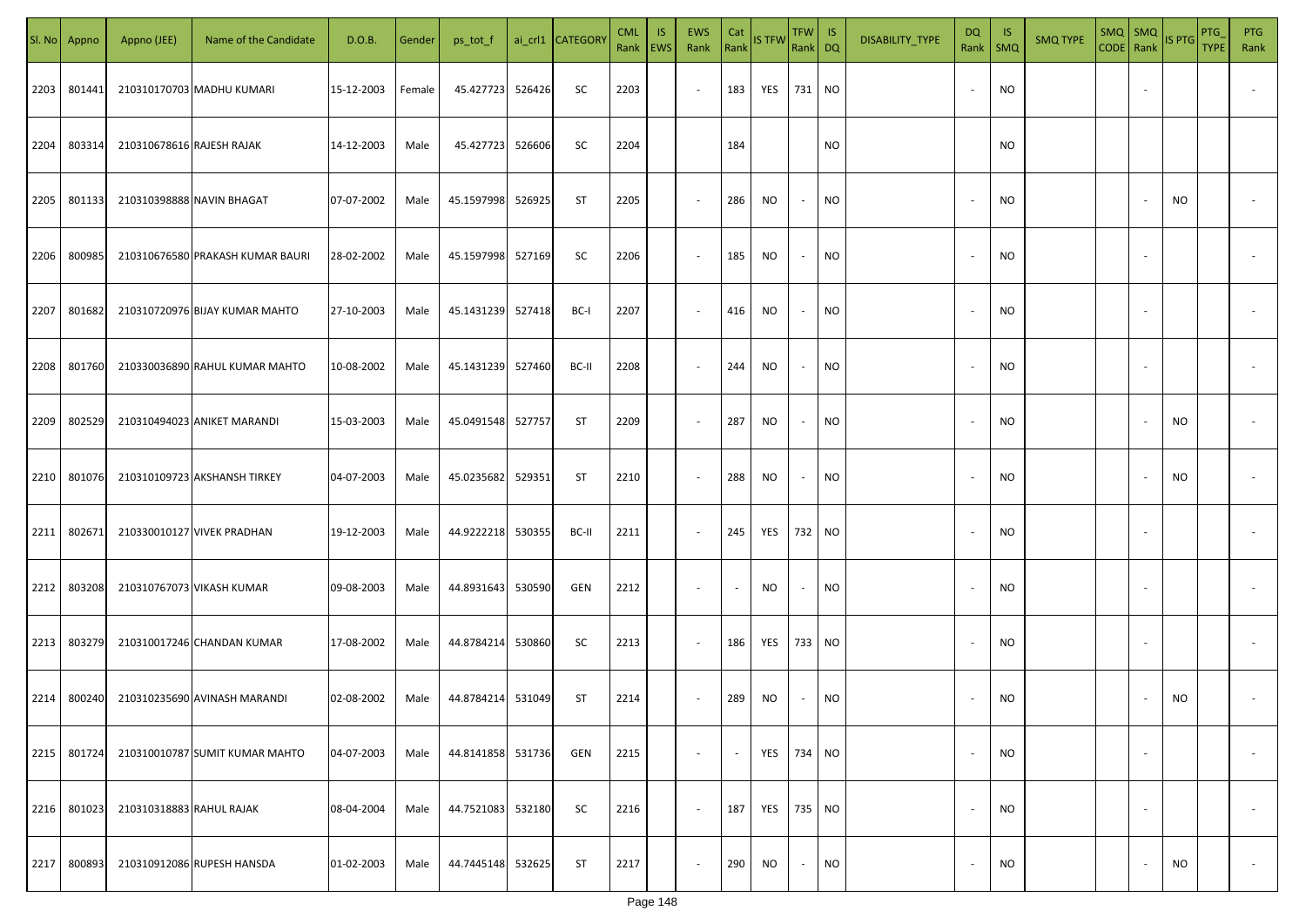| SI. No | Appno  | Appno (JEE)               | Name of the Candidate            | D.O.B.     | Gender | ps_tot_f          |        | ai_crl1 CATEGORY | <b>CML</b><br>Rank   EWS | <b>IS</b> | EWS<br>Rank | Cat                      | Rank STFW | TFW   IS<br>Rank DQ      |           | DISABILITY_TYPE | <b>DQ</b><br>Rank        | - IS<br>SMQ | <b>SMQ TYPE</b> | $SMQ$ SMQ<br>CODE Rank |                          | <b>IS PTG</b> | PTG<br><b>TYPE</b> | <b>PTG</b><br>Rank       |
|--------|--------|---------------------------|----------------------------------|------------|--------|-------------------|--------|------------------|--------------------------|-----------|-------------|--------------------------|-----------|--------------------------|-----------|-----------------|--------------------------|-------------|-----------------|------------------------|--------------------------|---------------|--------------------|--------------------------|
| 2203   | 801441 |                           | 210310170703 MADHU KUMARI        | 15-12-2003 | Female | 45.427723         | 526426 | SC               | 2203                     |           | $\sim$      | 183                      | YES       | 731 NO                   |           |                 | $\overline{\phantom{a}}$ | <b>NO</b>   |                 |                        |                          |               |                    |                          |
| 2204   | 803314 | 210310678616 RAJESH RAJAK |                                  | 14-12-2003 | Male   | 45.427723 526606  |        | SC               | 2204                     |           |             | 184                      |           |                          | NO        |                 |                          | <b>NO</b>   |                 |                        |                          |               |                    |                          |
| 2205   | 801133 |                           | 210310398888 NAVIN BHAGAT        | 07-07-2002 | Male   | 45.1597998        | 526925 | ST               | 2205                     |           | $\sim$      | 286                      | NO.       | $\overline{\phantom{a}}$ | NO.       |                 | $\overline{\phantom{a}}$ | <b>NO</b>   |                 |                        |                          | NO            |                    |                          |
| 2206   | 800985 |                           | 210310676580 PRAKASH KUMAR BAURI | 28-02-2002 | Male   | 45.1597998 527169 |        | SC               | 2206                     |           | $\sim$      | 185                      | NO        | $\sim$                   | <b>NO</b> |                 | $\overline{\phantom{a}}$ | <b>NO</b>   |                 |                        |                          |               |                    |                          |
| 2207   | 801682 |                           | 210310720976 BIJAY KUMAR MAHTO   | 27-10-2003 | Male   | 45.1431239 527418 |        | BC-I             | 2207                     |           | $\sim$      | 416                      | NO        | $\sim$                   | <b>NO</b> |                 | $\overline{\phantom{a}}$ | <b>NO</b>   |                 |                        |                          |               |                    |                          |
| 2208   | 801760 |                           | 210330036890 RAHUL KUMAR MAHTO   | 10-08-2002 | Male   | 45.1431239 527460 |        | BC-II            | 2208                     |           | $\sim$      | 244                      | NO        | $\sim$                   | NO        |                 |                          | ΝO          |                 |                        |                          |               |                    |                          |
| 2209   | 802529 |                           | 210310494023 ANIKET MARANDI      | 15-03-2003 | Male   | 45.0491548 527757 |        | ST               | 2209                     |           | $\sim$      | 287                      | <b>NO</b> | $\sim$                   | NO        |                 |                          | <b>NO</b>   |                 |                        |                          | NO            |                    |                          |
| 2210   | 801076 |                           | 210310109723 AKSHANSH TIRKEY     | 04-07-2003 | Male   | 45.0235682        | 529351 | ST               | 2210                     |           | $\sim$      | 288                      | <b>NO</b> | $\sim$                   | NO        |                 |                          | <b>NO</b>   |                 |                        |                          | NO            |                    |                          |
| 2211   | 802671 |                           | 210330010127 VIVEK PRADHAN       | 19-12-2003 | Male   | 44.9222218 530355 |        | BC-II            | 2211                     |           | $\sim$      | 245                      | YES       | 732 NO                   |           |                 |                          | <b>NO</b>   |                 |                        |                          |               |                    |                          |
| 2212   | 803208 |                           | 210310767073 VIKASH KUMAR        | 09-08-2003 | Male   | 44.8931643 530590 |        | GEN              | 2212                     |           | $\sim$      | $\overline{\phantom{a}}$ | NO.       | $\sim$                   | NO        |                 |                          | <b>NO</b>   |                 |                        |                          |               |                    |                          |
| 2213   | 803279 |                           | 210310017246 CHANDAN KUMAR       | 17-08-2002 | Male   | 44.8784214 530860 |        | SC               | 2213                     |           | $\sim$      | 186                      | YES       | 733 NO                   |           |                 |                          | <b>NO</b>   |                 |                        |                          |               |                    |                          |
| 2214   | 800240 |                           | 210310235690 AVINASH MARANDI     | 02-08-2002 | Male   | 44.8784214 531049 |        | ST               | 2214                     |           | $\sim$      | 289                      | NO.       | $\sim$                   | <b>NO</b> |                 |                          | <b>NO</b>   |                 |                        |                          | NO            |                    |                          |
| 2215   | 801724 |                           | 210310010787 SUMIT KUMAR MAHTO   | 04-07-2003 | Male   | 44.8141858 531736 |        | GEN              | 2215                     |           | $\sim$      | $\sim$                   | YES       | 734 NO                   |           |                 | $\overline{\phantom{a}}$ | <b>NO</b>   |                 |                        | $\overline{\phantom{a}}$ |               |                    | $\overline{\phantom{a}}$ |
| 2216   | 801023 | 210310318883 RAHUL RAJAK  |                                  | 08-04-2004 | Male   | 44.7521083 532180 |        | SC               | 2216                     |           | $\sim$      | 187                      | YES       | 735 NO                   |           |                 | $\overline{\phantom{a}}$ | <b>NO</b>   |                 |                        | $\sim$                   |               |                    | $\overline{\phantom{a}}$ |
| 2217   | 800893 |                           | 210310912086 RUPESH HANSDA       | 01-02-2003 | Male   | 44.7445148 532625 |        | ST               | 2217                     |           | $\sim$      | 290                      | NO.       | $\sim$                   | <b>NO</b> |                 |                          | <b>NO</b>   |                 |                        |                          | NO            |                    | $\sim$                   |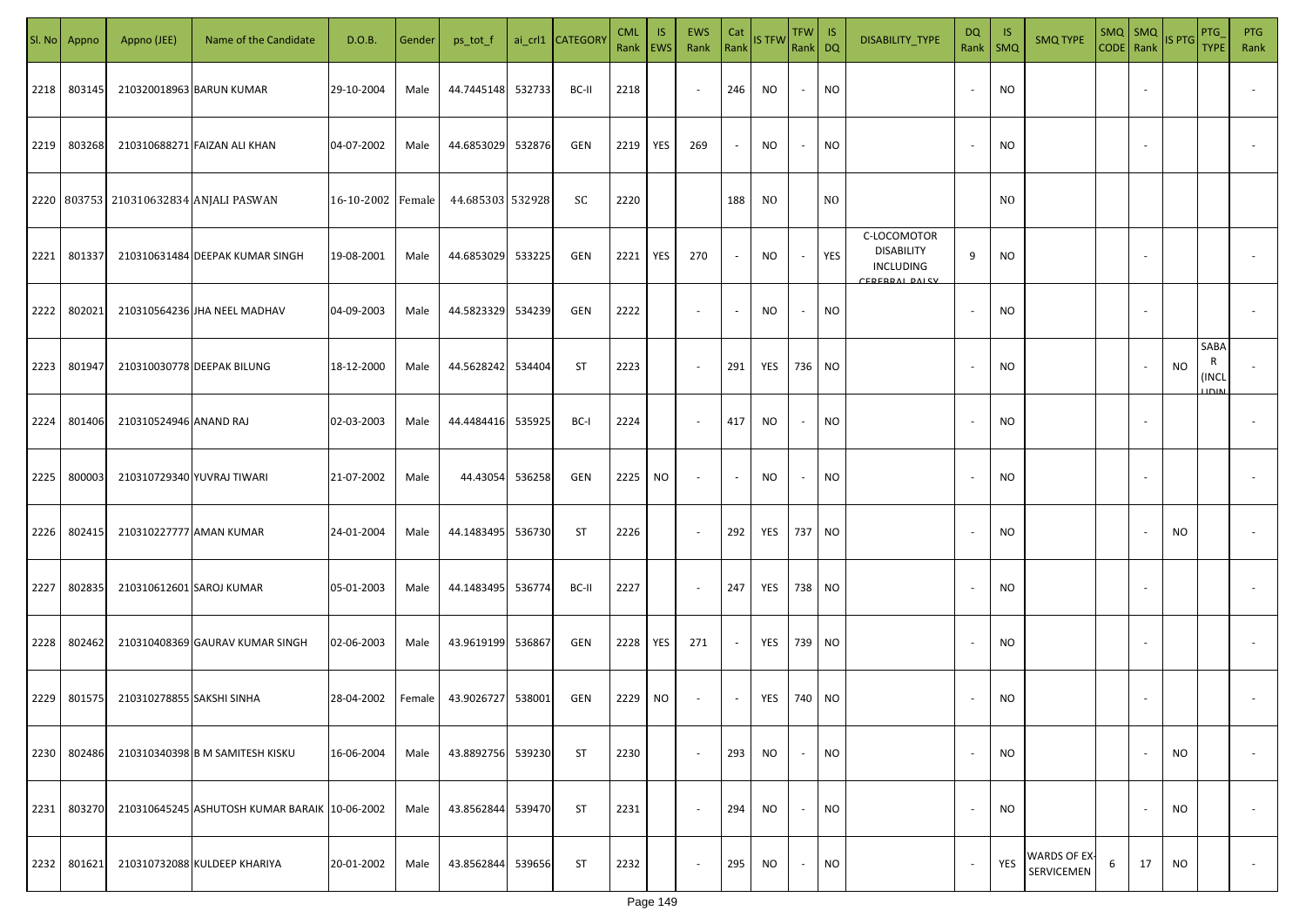| SI. No. | Appno  | Appno (JEE)               | Name of the Candidate                         | D.O.B.            | Gender | ps_tot_f          |        | ai_crl1 CATEGORY | <b>CML</b><br>Rank | IS.<br><b>EWS</b> | <b>EWS</b><br>Rank       | Cat<br>Rank | <b>IS TFW</b> | $TFW$ IS<br>Rank DQ      |                | DISABILITY_TYPE                                                 | DQ<br>Rank | -IS<br>$\mathsf{SMQ}$ | <b>SMQ TYPE</b>            | CODE Rank | $SMQ$ $SMQ$              | <b>IS PTG</b> | <b>PTG</b><br><b>TYPE</b> | <b>PTG</b><br>Rank       |
|---------|--------|---------------------------|-----------------------------------------------|-------------------|--------|-------------------|--------|------------------|--------------------|-------------------|--------------------------|-------------|---------------|--------------------------|----------------|-----------------------------------------------------------------|------------|-----------------------|----------------------------|-----------|--------------------------|---------------|---------------------------|--------------------------|
| 2218    | 803145 |                           | 210320018963 BARUN KUMAR                      | 29-10-2004        | Male   | 44.7445148 532733 |        | BC-II            | 2218               |                   | $\overline{\phantom{a}}$ | 246         | NO            | $\overline{\phantom{a}}$ | <b>NO</b>      |                                                                 |            | <b>NO</b>             |                            |           |                          |               |                           |                          |
| 2219    | 803268 |                           | 210310688271 FAIZAN ALI KHAN                  | 04-07-2002        | Male   | 44.6853029        | 532876 | GEN              | 2219               | YES               | 269                      | $\sim$      | NO            | $\overline{\phantom{a}}$ | <b>NO</b>      |                                                                 |            | <b>NO</b>             |                            |           |                          |               |                           |                          |
|         |        |                           | 2220 803753 210310632834 ANJALI PASWAN        | 16-10-2002 Female |        | 44.685303 532928  |        | SC               | 2220               |                   |                          | 188         | NO.           |                          | N <sub>O</sub> |                                                                 |            | N <sub>0</sub>        |                            |           |                          |               |                           |                          |
| 2221    | 801337 |                           | 210310631484 DEEPAK KUMAR SINGH               | 19-08-2001        | Male   | 44.6853029        | 533225 | GEN              | 2221               | YES               | 270                      | $\sim$      | NO            | $\overline{\phantom{a}}$ | YES            | C-LOCOMOTOR<br><b>DISABILITY</b><br>INCLUDING<br>CEREBRAL DALCY | 9          | <b>NO</b>             |                            |           |                          |               |                           |                          |
| 2222    | 802021 |                           | 210310564236 JHA NEEL MADHAV                  | 04-09-2003        | Male   | 44.5823329        | 534239 | GEN              | 2222               |                   | $\overline{\phantom{a}}$ | $\sim$      | NO            | $\overline{\phantom{a}}$ | <b>NO</b>      |                                                                 |            | <b>NO</b>             |                            |           |                          |               |                           |                          |
| 2223    | 801947 |                           | 210310030778 DEEPAK BILUNG                    | 18-12-2000        | Male   | 44.5628242        | 534404 | <b>ST</b>        | 2223               |                   | $\overline{\phantom{a}}$ | 291         | YES           | 736 NO                   |                |                                                                 |            | <b>NO</b>             |                            |           |                          | <b>NO</b>     | SABA<br>R<br><b>INCL</b>  |                          |
| 2224    | 801406 | 210310524946 ANAND RAJ    |                                               | 02-03-2003        | Male   | 44.4484416        | 535925 | BC-I             | 2224               |                   | $\overline{\phantom{a}}$ | 417         | <b>NO</b>     | $\overline{\phantom{a}}$ | <b>NO</b>      |                                                                 |            | <b>NO</b>             |                            |           |                          |               |                           |                          |
| 2225    | 800003 |                           | 210310729340 YUVRAJ TIWARI                    | 21-07-2002        | Male   | 44.43054          | 536258 | GEN              | 2225               | NO.               | $\overline{\phantom{a}}$ | $\sim$      | NO            |                          | <b>NO</b>      |                                                                 |            | <b>NO</b>             |                            |           |                          |               |                           |                          |
| 2226    | 802415 | 210310227777 AMAN KUMAR   |                                               | 24-01-2004        | Male   | 44.1483495        | 536730 | ST               | 2226               |                   | $\sim$                   | 292         | YES           | 737 NO                   |                |                                                                 |            | <b>NO</b>             |                            |           |                          | NO.           |                           |                          |
| 2227    | 802835 | 210310612601 SAROJ KUMAR  |                                               | 05-01-2003        | Male   | 44.1483495 536774 |        | BC-II            | 2227               |                   | $\sim$                   | 247         | YES           | 738 NO                   |                |                                                                 |            | <b>NO</b>             |                            |           |                          |               |                           |                          |
| 2228    | 802462 |                           | 210310408369 GAURAV KUMAR SINGH               | 02-06-2003        | Male   | 43.9619199        | 536867 | GEN              | 2228               | YES               | 271                      | $\sim$      | YES           | 739 NO                   |                |                                                                 |            | <b>NO</b>             |                            |           |                          |               |                           |                          |
| 2229    | 801575 | 210310278855 SAKSHI SINHA |                                               | 28-04-2002        | Female | 43.9026727        | 538001 | GEN              | 2229               | NO.               | $\overline{\phantom{a}}$ | $\sim$      | YES           | 740 NO                   |                |                                                                 |            | <b>NO</b>             |                            |           |                          |               |                           |                          |
| 2230    | 802486 |                           | 210310340398 B M SAMITESH KISKU               | 16-06-2004        | Male   | 43.8892756        | 539230 | <b>ST</b>        | 2230               |                   | $\sim$                   | 293         | <b>NO</b>     | $\overline{\phantom{a}}$ | <b>NO</b>      |                                                                 |            | <b>NO</b>             |                            |           | $\overline{\phantom{a}}$ | NO.           |                           | $\overline{\phantom{a}}$ |
| 2231    | 803270 |                           | 210310645245 ASHUTOSH KUMAR BARAIK 10-06-2002 |                   | Male   | 43.8562844        | 539470 | <b>ST</b>        | 2231               |                   | $\sim$                   | 294         | NO            | $\overline{\phantom{a}}$ | <b>NO</b>      |                                                                 |            | <b>NO</b>             |                            |           |                          | NO.           |                           | $\overline{\phantom{a}}$ |
| 2232    | 801621 |                           | 210310732088 KULDEEP KHARIYA                  | 20-01-2002        | Male   | 43.8562844        | 539656 | <b>ST</b>        | 2232               |                   | $\overline{\phantom{a}}$ | 295         | NO            | $\sim$                   | <b>NO</b>      |                                                                 |            | YES                   | WARDS OF EX-<br>SERVICEMEN | 6         | 17                       | NO            |                           | $\overline{\phantom{a}}$ |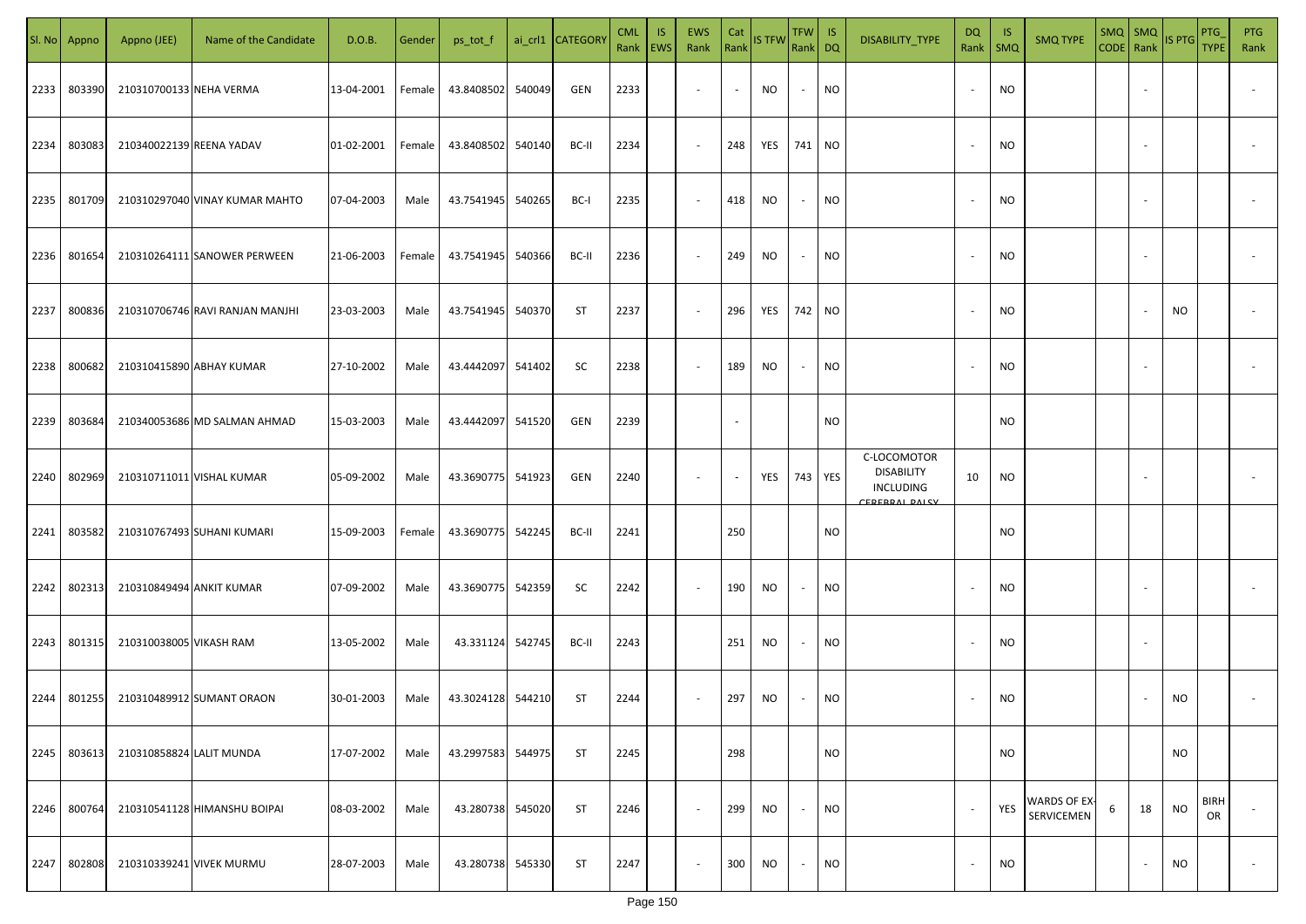| SI. No | Appno  | Appno (JEE)              | Name of the Candidate           | D.O.B.     | Gender | ps_tot_f          |        | ai_crl1 CATEGORY | <b>CML</b> | <b>IS</b><br>Rank   EWS | <b>EWS</b><br>Rank       | Cat<br>Rank              | <b>IS TFW</b> | $TFW$ IS<br>Rank DQ      |           | DISABILITY_TYPE                                                              | <b>DQ</b><br>Rank        | <b>IS</b><br>SMQ | <b>SMQ TYPE</b>            | $SMQ$ $SMQ$<br>CODE Rank |    | IS PTG    | PTG<br><b>TYPE</b> | <b>PTG</b><br>Rank       |
|--------|--------|--------------------------|---------------------------------|------------|--------|-------------------|--------|------------------|------------|-------------------------|--------------------------|--------------------------|---------------|--------------------------|-----------|------------------------------------------------------------------------------|--------------------------|------------------|----------------------------|--------------------------|----|-----------|--------------------|--------------------------|
| 2233   | 803390 | 210310700133 NEHA VERMA  |                                 | 13-04-2001 | Female | 43.8408502        | 540049 | GEN              | 2233       |                         | $\sim$                   | $\sim$                   | NO            | $\overline{\phantom{a}}$ | NO        |                                                                              | $\overline{\phantom{a}}$ | <b>NO</b>        |                            |                          |    |           |                    |                          |
| 2234   | 803083 | 210340022139 REENA YADAV |                                 | 01-02-2001 | Female | 43.8408502        | 540140 | BC-II            | 2234       |                         | $\sim$                   | 248                      | YES           | 741                      | NO        |                                                                              |                          | <b>NO</b>        |                            |                          |    |           |                    |                          |
| 2235   | 801709 |                          | 210310297040 VINAY KUMAR MAHTO  | 07-04-2003 | Male   | 43.7541945        | 540265 | BC-I             | 2235       |                         | $\sim$                   | 418                      | NO            | $\overline{\phantom{a}}$ | <b>NO</b> |                                                                              | $\overline{\phantom{a}}$ | <b>NO</b>        |                            |                          |    |           |                    |                          |
| 2236   | 801654 |                          | 210310264111 SANOWER PERWEEN    | 21-06-2003 | Female | 43.7541945        | 540366 | BC-II            | 2236       |                         | $\sim$                   | 249                      | NO            | $\sim$                   | <b>NO</b> |                                                                              | $\overline{\phantom{a}}$ | <b>NO</b>        |                            |                          |    |           |                    |                          |
| 2237   | 800836 |                          | 210310706746 RAVI RANJAN MANJHI | 23-03-2003 | Male   | 43.7541945        | 540370 | ST               | 2237       |                         | $\sim$                   | 296                      | YES           | 742 NO                   |           |                                                                              | $\overline{\phantom{a}}$ | <b>NO</b>        |                            |                          |    | NO.       |                    |                          |
| 2238   | 800682 |                          | 210310415890 ABHAY KUMAR        | 27-10-2002 | Male   | 43.4442097        | 541402 | SC               | 2238       |                         | $\sim$                   | 189                      | NO.           | $\sim$                   | NO.       |                                                                              |                          | ΝO               |                            |                          |    |           |                    |                          |
| 2239   | 803684 |                          | 210340053686 MD SALMAN AHMAD    | 15-03-2003 | Male   | 43.4442097        | 541520 | GEN              | 2239       |                         |                          | $\overline{\phantom{a}}$ |               |                          | NO        |                                                                              |                          | <b>NO</b>        |                            |                          |    |           |                    |                          |
| 2240   | 802969 |                          | 210310711011 VISHAL KUMAR       | 05-09-2002 | Male   | 43.3690775        | 541923 | GEN              | 2240       |                         | $\overline{\phantom{a}}$ | $\overline{\phantom{a}}$ | YES           |                          | 743 YES   | C-LOCOMOTOR<br><b>DISABILITY</b><br><b>INCLUDING</b><br><b>EDEDDAL DAICY</b> | 10                       | <b>NO</b>        |                            |                          |    |           |                    |                          |
| 2241   | 803582 |                          | 210310767493 SUHANI KUMARI      | 15-09-2003 | Female | 43.3690775        | 542245 | BC-II            | 2241       |                         |                          | 250                      |               |                          | NO.       |                                                                              |                          | <b>NO</b>        |                            |                          |    |           |                    |                          |
| 2242   | 802313 | 210310849494 ANKIT KUMAR |                                 | 07-09-2002 | Male   | 43.3690775 542359 |        | SC               | 2242       |                         | $\sim$                   | 190                      | NO            | $\overline{\phantom{a}}$ | NO        |                                                                              |                          | <b>NO</b>        |                            |                          |    |           |                    |                          |
| 2243   | 801315 | 210310038005 VIKASH RAM  |                                 | 13-05-2002 | Male   | 43.331124 542745  |        | BC-II            | 2243       |                         |                          | 251                      | NO            | $\overline{\phantom{a}}$ | NO        |                                                                              |                          | <b>NO</b>        |                            |                          |    |           |                    |                          |
| 2244   | 801255 |                          | 210310489912 SUMANT ORAON       | 30-01-2003 | Male   | 43.3024128 544210 |        | ST               | 2244       |                         | $\sim$                   | 297                      | NO            | $\sim$                   | <b>NO</b> |                                                                              |                          | <b>NO</b>        |                            |                          |    | NO.       |                    |                          |
| 2245   | 803613 | 210310858824 LALIT MUNDA |                                 | 17-07-2002 | Male   | 43.2997583        | 544975 | ST               | 2245       |                         |                          | 298                      |               |                          | <b>NO</b> |                                                                              |                          | <b>NO</b>        |                            |                          |    | NO        |                    |                          |
| 2246   | 800764 |                          | 210310541128 HIMANSHU BOIPAI    | 08-03-2002 | Male   | 43.280738         | 545020 | ST               | 2246       |                         | $\sim$                   | 299                      | NO            | $\sim$                   | <b>NO</b> |                                                                              | $\sim$                   | YES              | WARDS OF EX-<br>SERVICEMEN | 6                        | 18 | <b>NO</b> | <b>BIRH</b><br>OR  |                          |
| 2247   | 802808 |                          | 210310339241 VIVEK MURMU        | 28-07-2003 | Male   | 43.280738         | 545330 | ST               | 2247       |                         | $\sim$                   | 300                      | NO.           | $\sim$                   | NO        |                                                                              | $\overline{\phantom{a}}$ | <b>NO</b>        |                            |                          |    | NO        |                    | $\overline{\phantom{a}}$ |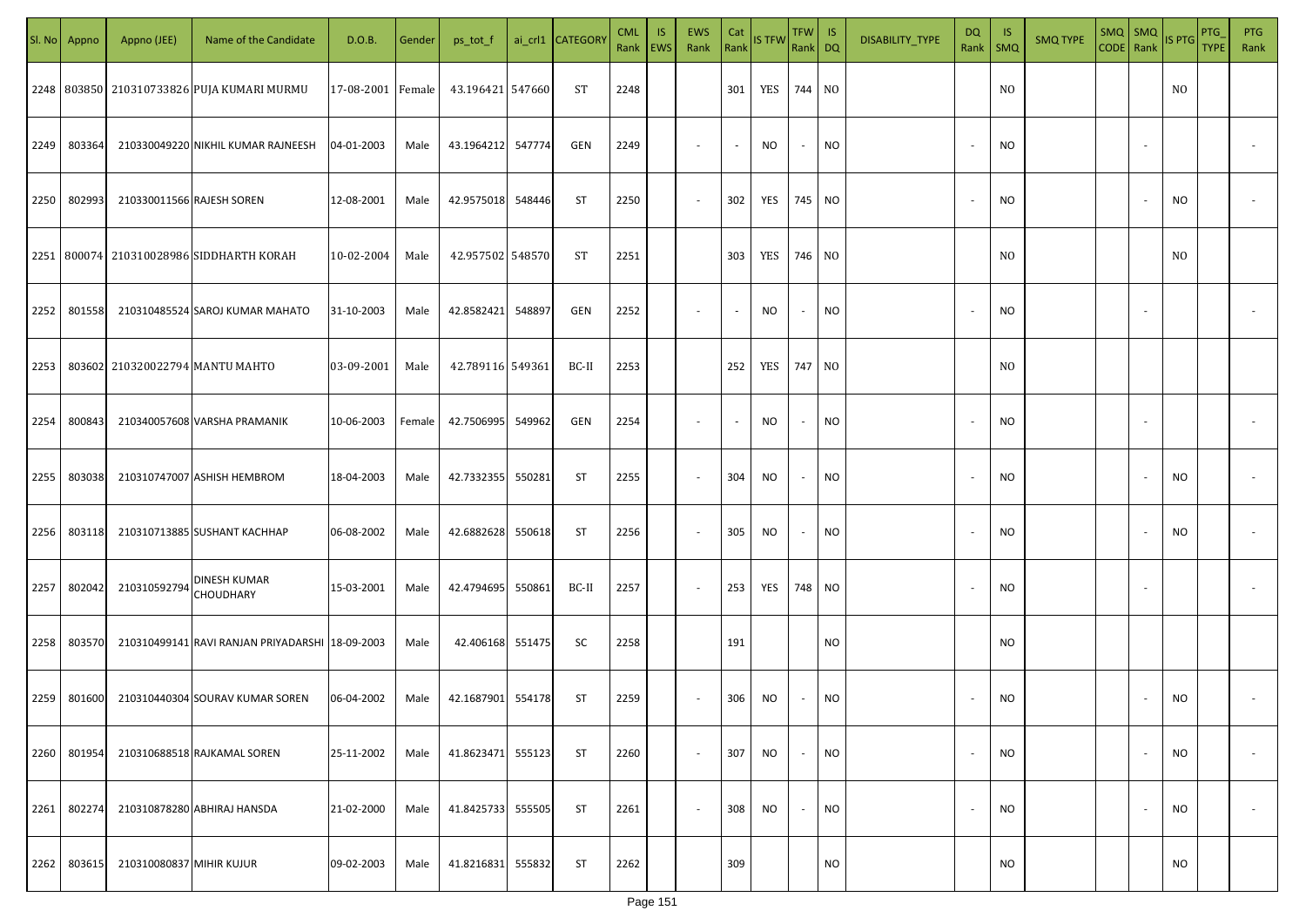| SI. No. | Appno  | Appno (JEE)               | Name of the Candidate                           | D.O.B.            | Gender | ps_tot_f          | ai_crl1 CATEGORY | <b>CML</b> | <b>IS</b><br>Rank   EWS | <b>EWS</b><br>Rank       | Cat<br>$\vert$ Rank $\vert$ | <b>IS TFW</b> | TFW   IS<br>Rank DQ |           | DISABILITY_TYPE | DQ<br>Rank               | -IS<br>SMQ     | <b>SMQ TYPE</b> | $SMQ$ SMQ<br>CODE Rank IS PTG |        |           | <b>PTG</b><br><b>TYPE</b> | <b>PTG</b><br>Rank |
|---------|--------|---------------------------|-------------------------------------------------|-------------------|--------|-------------------|------------------|------------|-------------------------|--------------------------|-----------------------------|---------------|---------------------|-----------|-----------------|--------------------------|----------------|-----------------|-------------------------------|--------|-----------|---------------------------|--------------------|
|         |        |                           | 2248 803850 210310733826 PUJA KUMARI MURMU      | 17-08-2001 Female |        | 43.196421 547660  | ST               | 2248       |                         |                          | 301                         | YES           | 744 NO              |           |                 |                          | N <sub>O</sub> |                 |                               |        | NO.       |                           |                    |
| 2249    | 803364 |                           | 210330049220 NIKHIL KUMAR RAJNEESH              | 04-01-2003        | Male   | 43.1964212 547774 | GEN              | 2249       |                         | $\overline{\phantom{a}}$ | $\sim$                      | NO            | $\sim$              | <b>NO</b> |                 | $\overline{\phantom{a}}$ | <b>NO</b>      |                 |                               |        |           |                           |                    |
| 2250    | 802993 | 210330011566 RAJESH SOREN |                                                 | 12-08-2001        | Male   | 42.9575018 548446 | <b>ST</b>        | 2250       |                         | $\overline{\phantom{a}}$ | 302                         | YES           | 745 NO              |           |                 | $\overline{\phantom{a}}$ | <b>NO</b>      |                 |                               |        | <b>NO</b> |                           |                    |
|         |        |                           | 2251   800074   210310028986 SIDDHARTH KORAH    | 10-02-2004        | Male   | 42.957502 548570  | ST               | 2251       |                         |                          | 303                         | YES           | 746 NO              |           |                 |                          | N <sub>O</sub> |                 |                               |        | NO.       |                           |                    |
| 2252    | 801558 |                           | 210310485524 SAROJ KUMAR MAHATO                 | 31-10-2003        | Male   | 42.8582421 548897 | GEN              | 2252       |                         | $\sim$                   | $\sim$                      | NO.           | $\sim$              | NO        |                 | $\overline{\phantom{a}}$ | <b>NO</b>      |                 |                               |        |           |                           |                    |
| 2253    |        |                           | 803602 210320022794 MANTU MAHTO                 | 03-09-2001        | Male   | 42.789116 549361  | BC-II            | 2253       |                         |                          | 252                         | YES           | 747 NO              |           |                 |                          | NO.            |                 |                               |        |           |                           |                    |
| 2254    | 800843 |                           | 210340057608 VARSHA PRAMANIK                    | 10-06-2003        | Female | 42.7506995 549962 | GEN              | 2254       |                         | $\sim$                   | $\sim$                      | NO            | $\sim$              | <b>NO</b> |                 | $\overline{\phantom{a}}$ | <b>NO</b>      |                 |                               |        |           |                           |                    |
| 2255    | 803038 |                           | 210310747007 ASHISH HEMBROM                     | 18-04-2003        | Male   | 42.7332355 550281 | ST               | 2255       |                         | $\sim$                   | 304                         | NO            | $\sim$              | <b>NO</b> |                 | $\overline{\phantom{a}}$ | <b>NO</b>      |                 |                               |        | <b>NO</b> |                           |                    |
| 2256    | 803118 |                           | 210310713885 SUSHANT KACHHAP                    | 06-08-2002        | Male   | 42.6882628 550618 | ST               | 2256       |                         | $\sim$                   | 305                         | NO            | $\sim$              | <b>NO</b> |                 | $\sim$                   | <b>NO</b>      |                 |                               |        | NO        |                           |                    |
| 2257    | 802042 | 210310592794              | DINESH KUMAR<br>CHOUDHARY                       | 15-03-2001        | Male   | 42.4794695 550861 | BC-II            | 2257       |                         | $\sim$                   | 253                         | YES           | 748 NO              |           |                 | $\overline{\phantom{a}}$ | <b>NO</b>      |                 |                               |        |           |                           |                    |
| 2258    | 803570 |                           | 210310499141 RAVI RANJAN PRIYADARSHI 18-09-2003 |                   | Male   | 42.406168 551475  | SC               | 2258       |                         |                          | 191                         |               |                     | <b>NO</b> |                 |                          | <b>NO</b>      |                 |                               |        |           |                           |                    |
| 2259    | 801600 |                           | 210310440304 SOURAV KUMAR SOREN                 | 06-04-2002        | Male   | 42.1687901 554178 | ST               | 2259       |                         | $\sim$                   | 306                         | NO            | $\sim$              | <b>NO</b> |                 | $\overline{\phantom{a}}$ | <b>NO</b>      |                 |                               |        | NO.       |                           |                    |
| 2260    | 801954 |                           | 210310688518 RAJKAMAL SOREN                     | 25-11-2002        | Male   | 41.8623471 555123 | <b>ST</b>        | 2260       |                         | $\sim$                   | 307                         | NO            | $\sim$              | <b>NO</b> |                 | $\overline{\phantom{a}}$ | <b>NO</b>      |                 |                               | $\sim$ | <b>NO</b> |                           | $\sim$             |
| 2261    | 802274 |                           | 210310878280 ABHIRAJ HANSDA                     | 21-02-2000        | Male   | 41.8425733 555505 | <b>ST</b>        | 2261       |                         | $\sim$                   | 308                         | NO            | $\sim$              | <b>NO</b> |                 | $\overline{\phantom{a}}$ | <b>NO</b>      |                 |                               | $\sim$ | <b>NO</b> |                           | $\sim$             |
| 2262    | 803615 | 210310080837 MIHIR KUJUR  |                                                 | 09-02-2003        | Male   | 41.8216831 555832 | <b>ST</b>        | 2262       |                         |                          | 309                         |               |                     | <b>NO</b> |                 |                          | NO.            |                 |                               |        | NO        |                           |                    |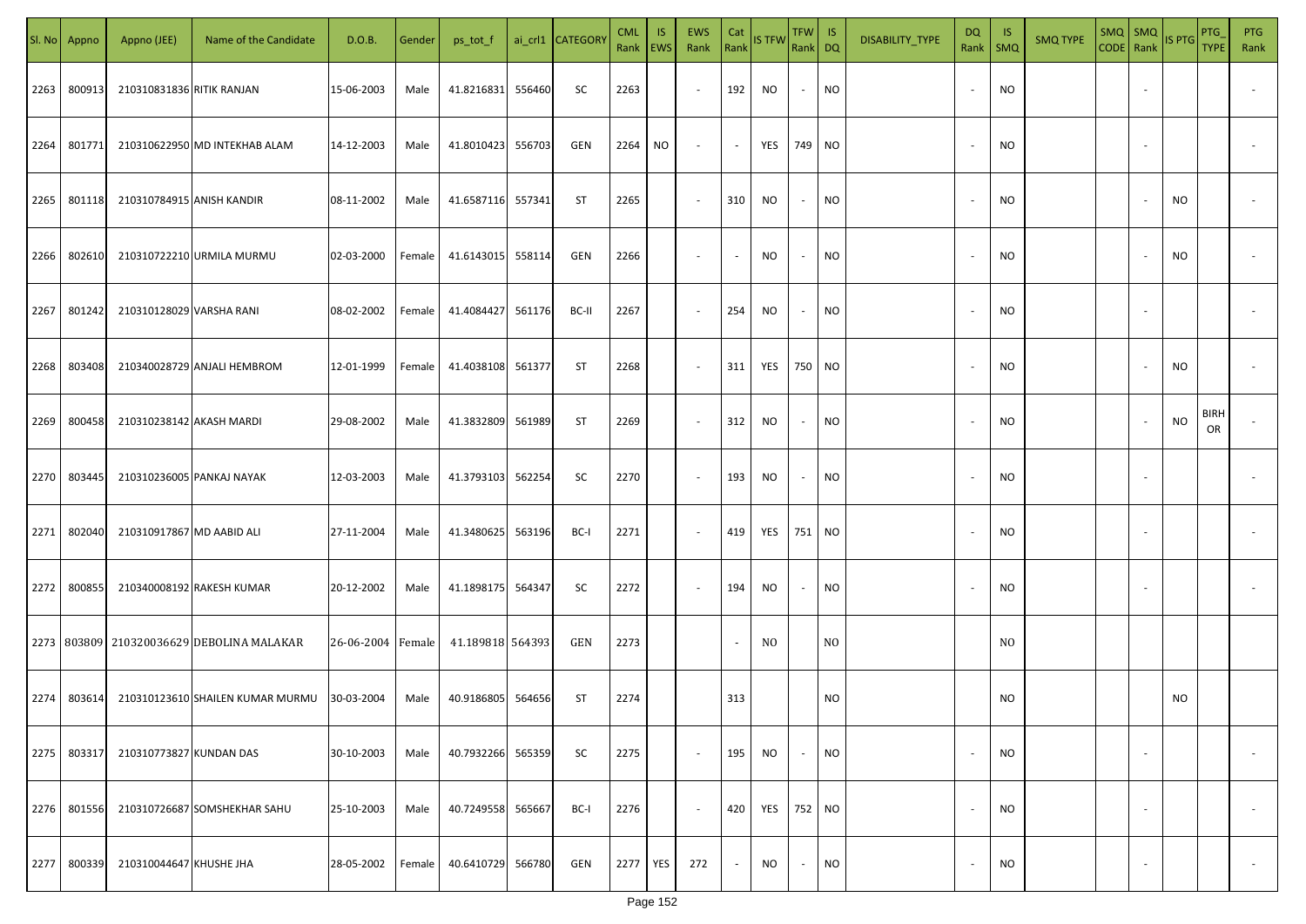|      | Sl. No Appno | Appno (JEE)               | Name of the Candidate                     | D.O.B.            | Gender | ps_tot_f          |        | ai_crl1 CATEGORY | <b>CML</b><br>Rank   EWS | IS.       | <b>EWS</b><br>Rank       | Cat<br>Rank | <b>IS TFW</b> | $TFW$ IS<br>Rank DQ      |                | DISABILITY_TYPE | DQ     | - IS<br>Rank   SMQ | <b>SMQ TYPE</b> | $\begin{array}{ c c c c }\n\hline\n\text{SMQ} & \text{SMQ} \\ \hline\n\text{CODE} & \text{Rank}\n\end{array}$ IS PTG |                          |           | PTG<br><b>TYPE</b> | <b>PTG</b><br>Rank       |
|------|--------------|---------------------------|-------------------------------------------|-------------------|--------|-------------------|--------|------------------|--------------------------|-----------|--------------------------|-------------|---------------|--------------------------|----------------|-----------------|--------|--------------------|-----------------|----------------------------------------------------------------------------------------------------------------------|--------------------------|-----------|--------------------|--------------------------|
| 2263 | 800913       | 210310831836 RITIK RANJAN |                                           | 15-06-2003        | Male   | 41.8216831        | 556460 | SC               | 2263                     |           | $\sim$                   | 192         | NO            | $\sim$                   | <b>NO</b>      |                 |        | <b>NO</b>          |                 |                                                                                                                      |                          |           |                    |                          |
| 2264 | 801771       |                           | 210310622950 MD INTEKHAB ALAM             | 14-12-2003        | Male   | 41.8010423        | 556703 | GEN              | 2264                     | <b>NO</b> | $\sim$                   | $\sim$      | YES           | 749 NO                   |                |                 |        | <b>NO</b>          |                 |                                                                                                                      |                          |           |                    |                          |
| 2265 | 801118       | 210310784915 ANISH KANDIR |                                           | 08-11-2002        | Male   | 41.6587116 557341 |        | ST               | 2265                     |           | $\sim$                   | 310         | NO            | $\sim$                   | <b>NO</b>      |                 |        | <b>NO</b>          |                 |                                                                                                                      |                          | NO        |                    |                          |
| 2266 | 802610       |                           | 210310722210 URMILA MURMU                 | 02-03-2000        | Female | 41.6143015        | 558114 | GEN              | 2266                     |           | $\overline{\phantom{a}}$ | $\sim$      | NO            | $\overline{\phantom{a}}$ | <b>NO</b>      |                 |        | <b>NO</b>          |                 |                                                                                                                      |                          | NO        |                    |                          |
| 2267 | 801242       | 210310128029 VARSHA RANI  |                                           | 08-02-2002        | Female | 41.4084427        | 561176 | BC-II            | 2267                     |           | $\sim$                   | 254         | NO            | $\sim$                   | <b>NO</b>      |                 | $\sim$ | <b>NO</b>          |                 |                                                                                                                      |                          |           |                    |                          |
| 2268 | 803408       |                           | 210340028729 ANJALI HEMBROM               | 12-01-1999        | Female | 41.4038108 561377 |        | ST               | 2268                     |           | $\overline{\phantom{a}}$ | 311         | YES           | 750 NO                   |                |                 |        | <b>NO</b>          |                 |                                                                                                                      |                          | NO.       |                    |                          |
| 2269 | 800458       | 210310238142 AKASH MARDI  |                                           | 29-08-2002        | Male   | 41.3832809        | 561989 | ST               | 2269                     |           | $\overline{\phantom{a}}$ | 312         | NO            | $\sim$                   | <b>NO</b>      |                 |        | <b>NO</b>          |                 |                                                                                                                      |                          | <b>NO</b> | <b>BIRH</b><br>OR  |                          |
| 2270 | 803445       |                           | 210310236005 PANKAJ NAYAK                 | 12-03-2003        | Male   | 41.3793103        | 562254 | SC               | 2270                     |           | $\sim$                   | 193         | <b>NO</b>     | $\sim$                   | <b>NO</b>      |                 |        | <b>NO</b>          |                 |                                                                                                                      |                          |           |                    |                          |
| 2271 | 802040       | 210310917867 MD AABID ALI |                                           | 27-11-2004        | Male   | 41.3480625        | 563196 | BC-I             | 2271                     |           | $\overline{\phantom{a}}$ | 419         | YES           | 751 NO                   |                |                 |        | <b>NO</b>          |                 |                                                                                                                      |                          |           |                    |                          |
| 2272 | 800855       |                           | 210340008192 RAKESH KUMAR                 | 20-12-2002        | Male   | 41.1898175        | 564347 | SC               | 2272                     |           | $\sim$                   | 194         | <b>NO</b>     |                          | <b>NO</b>      |                 |        | <b>NO</b>          |                 |                                                                                                                      |                          |           |                    |                          |
|      |              |                           | 2273 803809 210320036629 DEBOLINA MALAKAR | 26-06-2004 Female |        | 41.189818 564393  |        | GEN              | 2273                     |           |                          |             | NO.           |                          | N <sub>O</sub> |                 |        | N <sub>O</sub>     |                 |                                                                                                                      |                          |           |                    |                          |
| 2274 | 803614       |                           | 210310123610 SHAILEN KUMAR MURMU          | 30-03-2004        | Male   | 40.9186805 564656 |        | <b>ST</b>        | 2274                     |           |                          | 313         |               |                          | <b>NO</b>      |                 |        | <b>NO</b>          |                 |                                                                                                                      |                          | <b>NO</b> |                    |                          |
| 2275 | 803317       | 210310773827 KUNDAN DAS   |                                           | 30-10-2003        | Male   | 40.7932266        | 565359 | SC               | 2275                     |           | $\sim$                   | 195         | <b>NO</b>     |                          | <b>NO</b>      |                 |        | <b>NO</b>          |                 |                                                                                                                      | $\overline{\phantom{a}}$ |           |                    | $\overline{\phantom{a}}$ |
| 2276 | 801556       |                           | 210310726687 SOMSHEKHAR SAHU              | 25-10-2003        | Male   | 40.7249558        | 565667 | BC-I             | 2276                     |           | $\sim$                   | 420         | YES           | 752 NO                   |                |                 |        | <b>NO</b>          |                 |                                                                                                                      | $\overline{\phantom{a}}$ |           |                    | $\overline{\phantom{a}}$ |
| 2277 | 800339       | 210310044647 KHUSHE JHA   |                                           | 28-05-2002        | Female | 40.6410729        | 566780 | GEN              | 2277                     | YES       | 272                      | $\sim$      | <b>NO</b>     | $\sim$                   | <b>NO</b>      |                 |        | <b>NO</b>          |                 |                                                                                                                      |                          |           |                    | $\sim$                   |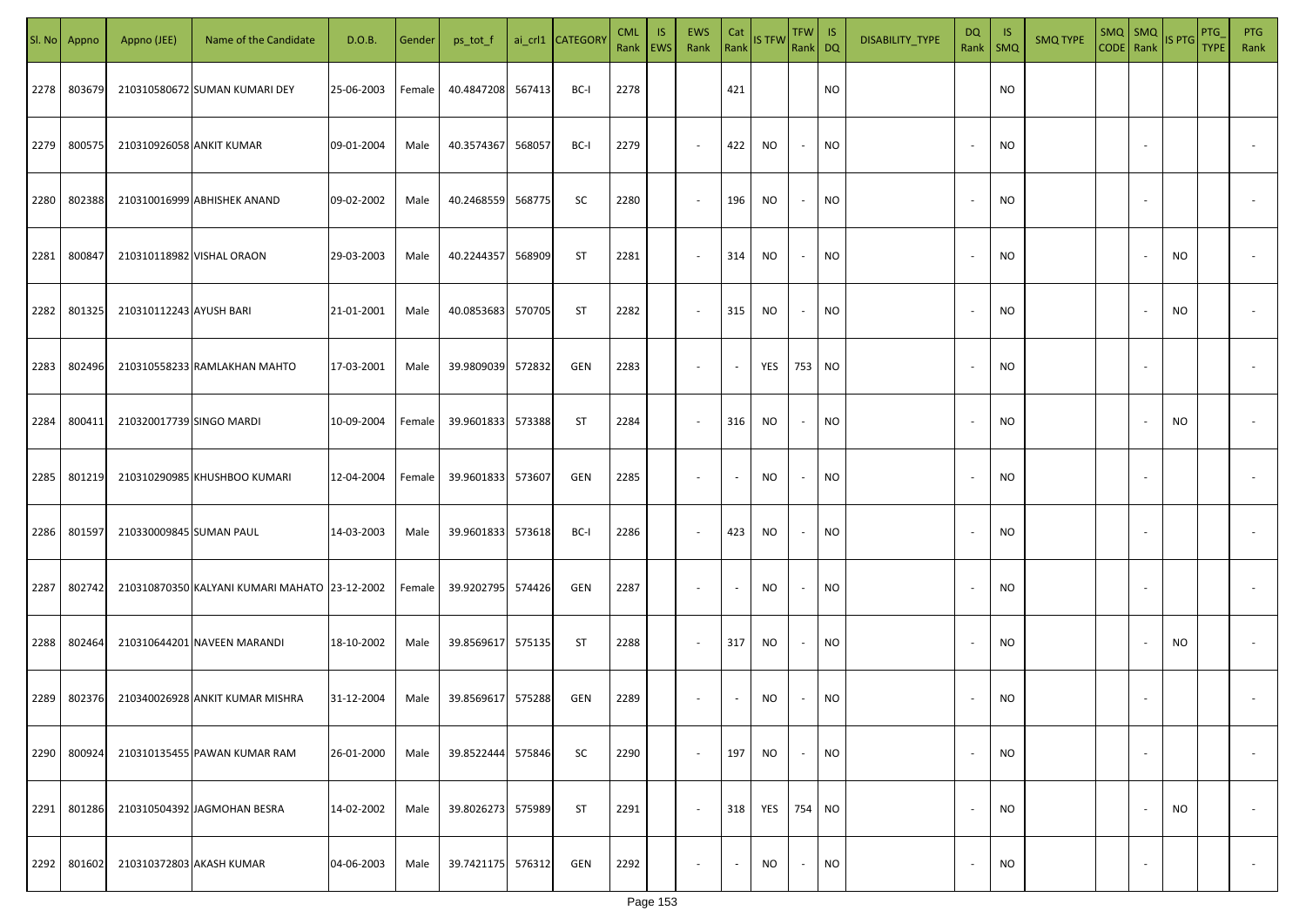|      | Sl. No Appno | Appno (JEE)              | Name of the Candidate                         | D.O.B.     | Gender | ps_tot_f          |        | ai_crl1 CATEGORY | <b>CML</b><br>Rank   EWS | IS. | <b>EWS</b><br>Rank       | Cat<br>Rank              | <b>IS TFW</b>     | $TFW$ IS<br>Rank DQ      |           | DISABILITY_TYPE | <b>DQ</b> | - IS<br>Rank   SMQ | <b>SMQ TYPE</b> |                          | SMQ SMQ<br>CODE Rank IS PTG | <b>PTG</b><br><b>TYPE</b> | <b>PTG</b><br>Rank       |
|------|--------------|--------------------------|-----------------------------------------------|------------|--------|-------------------|--------|------------------|--------------------------|-----|--------------------------|--------------------------|-------------------|--------------------------|-----------|-----------------|-----------|--------------------|-----------------|--------------------------|-----------------------------|---------------------------|--------------------------|
| 2278 | 803679       |                          | 210310580672 SUMAN KUMARI DEY                 | 25-06-2003 | Female | 40.4847208 567413 |        | BC-I             | 2278                     |     |                          | 421                      |                   |                          | <b>NO</b> |                 |           | <b>NO</b>          |                 |                          |                             |                           |                          |
| 2279 | 800575       | 210310926058 ANKIT KUMAR |                                               | 09-01-2004 | Male   | 40.3574367        | 568057 | BC-I             | 2279                     |     | $\sim$                   | 422                      | NO                | $\sim$                   | <b>NO</b> |                 |           | <b>NO</b>          |                 |                          |                             |                           |                          |
| 2280 | 802388       |                          | 210310016999 ABHISHEK ANAND                   | 09-02-2002 | Male   | 40.2468559        | 568775 | SC               | 2280                     |     | $\overline{\phantom{a}}$ | 196                      | NO                | $\sim$                   | <b>NO</b> |                 |           | <b>NO</b>          |                 |                          |                             |                           |                          |
| 2281 | 800847       |                          | 210310118982 VISHAL ORAON                     | 29-03-2003 | Male   | 40.2244357        | 568909 | ST               | 2281                     |     | $\overline{\phantom{a}}$ | 314                      | NO                | $\sim$                   | <b>NO</b> |                 |           | NO                 |                 |                          | NO                          |                           |                          |
| 2282 | 801325       | 210310112243 AYUSH BARI  |                                               | 21-01-2001 | Male   | 40.0853683        | 570705 | ST               | 2282                     |     | $\overline{\phantom{a}}$ | 315                      | NO                | $\sim$                   | <b>NO</b> |                 |           | <b>NO</b>          |                 |                          | NO.                         |                           |                          |
| 2283 | 802496       |                          | 210310558233 RAMLAKHAN MAHTO                  | 17-03-2001 | Male   | 39.9809039        | 572832 | GEN              | 2283                     |     | $\overline{\phantom{a}}$ | $\sim$                   | YES               | 753 NO                   |           |                 |           | <b>NO</b>          |                 |                          |                             |                           |                          |
| 2284 | 800411       | 210320017739 SINGO MARDI |                                               | 10-09-2004 | Female | 39.9601833        | 573388 | <b>ST</b>        | 2284                     |     | $\overline{\phantom{a}}$ | 316                      | NO                | $\overline{\phantom{a}}$ | <b>NO</b> |                 |           | <b>NO</b>          |                 |                          | NO                          |                           |                          |
| 2285 | 801219       |                          | 210310290985 KHUSHBOO KUMARI                  | 12-04-2004 | Female | 39.9601833        | 573607 | GEN              | 2285                     |     | $\overline{\phantom{a}}$ | $\sim$                   | NO                |                          | <b>NO</b> |                 |           | <b>NO</b>          |                 |                          |                             |                           |                          |
| 2286 | 801597       | 210330009845 SUMAN PAUL  |                                               | 14-03-2003 | Male   | 39.9601833        | 573618 | BC-I             | 2286                     |     | $\sim$                   | 423                      | <b>NO</b>         | $\sim$                   | <b>NO</b> |                 |           | NO                 |                 |                          |                             |                           |                          |
| 2287 | 802742       |                          | 210310870350 KALYANI KUMARI MAHATO 23-12-2002 |            | Female | 39.9202795 574426 |        | GEN              | 2287                     |     | $\sim$                   | $\sim$                   | NO                |                          | <b>NO</b> |                 |           | <b>NO</b>          |                 |                          |                             |                           |                          |
| 2288 | 802464       |                          | 210310644201 NAVEEN MARANDI                   | 18-10-2002 | Male   | 39.8569617 575135 |        | ST               | 2288                     |     | $\sim$                   | 317                      | NO                | $\overline{\phantom{a}}$ | <b>NO</b> |                 |           | <b>NO</b>          |                 |                          | NO.                         |                           |                          |
| 2289 | 802376       |                          | 210340026928 ANKIT KUMAR MISHRA               | 31-12-2004 | Male   | 39.8569617        | 575288 | GEN              | 2289                     |     | $\overline{\phantom{a}}$ | $\overline{\phantom{a}}$ | NO                |                          | <b>NO</b> |                 |           | <b>NO</b>          |                 |                          |                             |                           |                          |
| 2290 | 800924       |                          | 210310135455 PAWAN KUMAR RAM                  | 26-01-2000 | Male   | 39.8522444        | 575846 | SC               | 2290                     |     | $\sim$                   | 197                      | <b>NO</b>         | $\overline{\phantom{a}}$ | <b>NO</b> |                 |           | <b>NO</b>          |                 | $\overline{\phantom{a}}$ |                             |                           | $\overline{\phantom{a}}$ |
| 2291 | 801286       |                          | 210310504392 JAGMOHAN BESRA                   | 14-02-2002 | Male   | 39.8026273        | 575989 | <b>ST</b>        | 2291                     |     | $\sim$                   | 318                      | <b>YES</b> 754 NO |                          |           |                 |           | <b>NO</b>          |                 |                          | NO                          |                           | $\overline{\phantom{a}}$ |
| 2292 | 801602       |                          | 210310372803 AKASH KUMAR                      | 04-06-2003 | Male   | 39.7421175        | 576312 | GEN              | 2292                     |     | $\overline{\phantom{a}}$ | $\sim$                   | NO                | $\sim$                   | <b>NO</b> |                 |           | <b>NO</b>          |                 | $\overline{\phantom{a}}$ |                             |                           | $\overline{\phantom{a}}$ |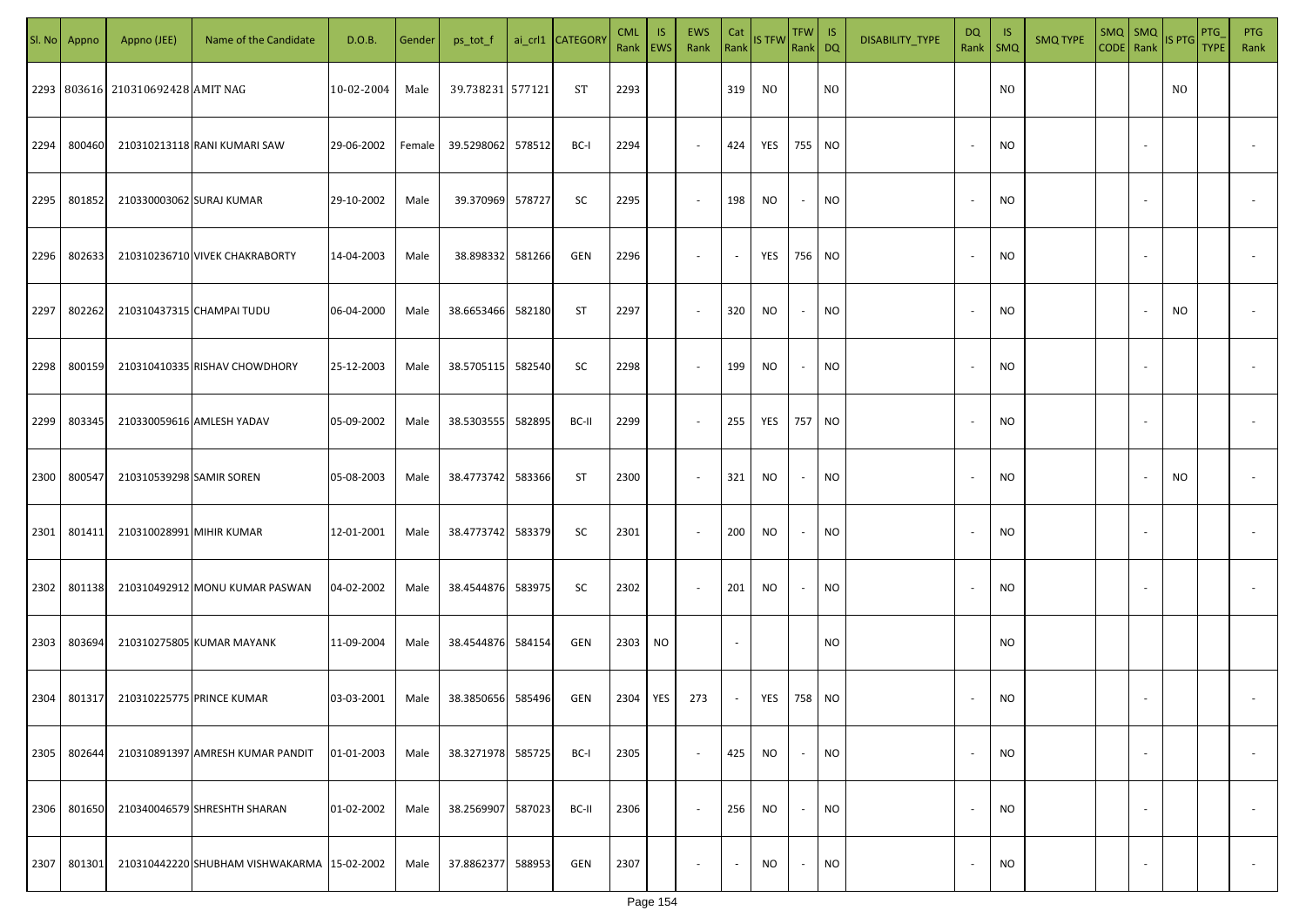| SI. No. | Appno  | Appno (JEE)                       | Name of the Candidate                       | D.O.B.     | Gender | ps_tot_f          |        | ai_crl1 CATEGORY | <b>CML</b><br>Rank   EWS | <b>IS</b> | EWS<br>Rank              | Cat<br>$\vert$ Rank $\vert$ | <b>IS TFW</b>  | $TFW$ IS<br>Rank DQ |                | DISABILITY_TYPE | DQ<br>Rank   SMQ         | <b>IS</b> | <b>SMQ TYPE</b> | $SMQ$ SMQ<br>$CODE$ Rank |        | ISPTG | PTG<br>TYPE | <b>PTG</b><br>Rank |
|---------|--------|-----------------------------------|---------------------------------------------|------------|--------|-------------------|--------|------------------|--------------------------|-----------|--------------------------|-----------------------------|----------------|---------------------|----------------|-----------------|--------------------------|-----------|-----------------|--------------------------|--------|-------|-------------|--------------------|
|         |        | 2293 803616 210310692428 AMIT NAG |                                             | 10-02-2004 | Male   | 39.738231 577121  |        | ST               | 2293                     |           |                          | 319                         | N <sub>0</sub> |                     | N <sub>O</sub> |                 |                          | NO.       |                 |                          |        | NO.   |             |                    |
| 2294    | 800460 |                                   | 210310213118 RANI KUMARI SAW                | 29-06-2002 | Female | 39.5298062 578512 |        | BC-I             | 2294                     |           | $\sim$                   | 424                         | YES            | 755 NO              |                |                 | $\overline{\phantom{a}}$ | NO        |                 |                          | $\sim$ |       |             |                    |
| 2295    | 801852 | 210330003062 SURAJ KUMAR          |                                             | 29-10-2002 | Male   | 39.370969 578727  |        | SC               | 2295                     |           | $\sim$                   | 198                         | <b>NO</b>      | $\sim$              | <b>NO</b>      |                 | $\overline{\phantom{a}}$ | <b>NO</b> |                 |                          | $\sim$ |       |             |                    |
| 2296    | 802633 |                                   | 210310236710 VIVEK CHAKRABORTY              | 14-04-2003 | Male   | 38.898332 581266  |        | GEN              | 2296                     |           | $\sim$                   | $\sim$                      | YES            | 756 NO              |                |                 | $\overline{\phantom{a}}$ | NO.       |                 |                          | $\sim$ |       |             |                    |
| 2297    | 802262 |                                   | 210310437315 CHAMPAI TUDU                   | 06-04-2000 | Male   | 38.6653466 582180 |        | ST               | 2297                     |           | $\sim$                   | 320                         | NO             | $\sim$              | <b>NO</b>      |                 | $\overline{\phantom{a}}$ | NO.       |                 |                          | $\sim$ | NO    |             |                    |
| 2298    | 800159 |                                   | 210310410335 RISHAV CHOWDHORY               | 25-12-2003 | Male   | 38.5705115 582540 |        | SC               | 2298                     |           | $\overline{\phantom{a}}$ | 199                         | NO             | $\sim$              | <b>NO</b>      |                 |                          | NO.       |                 |                          | $\sim$ |       |             |                    |
| 2299    | 803345 |                                   | 210330059616 AMLESH YADAV                   | 05-09-2002 | Male   | 38.5303555 582895 |        | BC-II            | 2299                     |           | $\overline{\phantom{a}}$ | 255                         | YES            | 757 NO              |                |                 |                          | NO.       |                 |                          |        |       |             |                    |
| 2300    | 800547 | 210310539298 SAMIR SOREN          |                                             | 05-08-2003 | Male   | 38.4773742 583366 |        | ST               | 2300                     |           | $\sim$                   | 321                         | NO             | $\sim$              | <b>NO</b>      |                 |                          | NO.       |                 |                          |        | NO.   |             |                    |
| 2301    | 801411 | 210310028991 MIHIR KUMAR          |                                             | 12-01-2001 | Male   | 38.4773742 583379 |        | SC               | 2301                     |           | $\sim$                   | 200                         | NO             | $\sim$              | <b>NO</b>      |                 |                          | NO.       |                 |                          |        |       |             |                    |
| 2302    | 801138 |                                   | 210310492912 MONU KUMAR PASWAN              | 04-02-2002 | Male   | 38.4544876 583975 |        | SC               | 2302                     |           | $\sim$                   | 201                         | NO             | $\sim$              | <b>NO</b>      |                 |                          | NO.       |                 |                          |        |       |             |                    |
| 2303    | 803694 |                                   | 210310275805 KUMAR MAYANK                   | 11-09-2004 | Male   | 38.4544876 584154 |        | GEN              | 2303                     | NO        |                          |                             |                |                     | <b>NO</b>      |                 |                          | NO.       |                 |                          |        |       |             |                    |
| 2304    | 801317 |                                   | 210310225775 PRINCE KUMAR                   | 03-03-2001 | Male   | 38.3850656 585496 |        | GEN              | 2304                     | YES       | 273                      |                             | YES            | 758 NO              |                |                 |                          | <b>NO</b> |                 |                          |        |       |             |                    |
| 2305    | 802644 |                                   | 210310891397 AMRESH KUMAR PANDIT            | 01-01-2003 | Male   | 38.3271978 585725 |        | BC-I             | 2305                     |           | $\sim$                   | 425                         | <b>NO</b>      | $\sim$              | <b>NO</b>      |                 | $\overline{\phantom{a}}$ | <b>NO</b> |                 |                          | $\sim$ |       |             | $\sim$             |
| 2306    | 801650 |                                   | 210340046579 SHRESHTH SHARAN                | 01-02-2002 | Male   | 38.2569907        | 587023 | BC-II            | 2306                     |           | $\sim$                   | 256                         | <b>NO</b>      | $\sim$              | <b>NO</b>      |                 | $\overline{\phantom{a}}$ | <b>NO</b> |                 |                          | $\sim$ |       |             | $\sim$             |
| 2307    | 801301 |                                   | 210310442220 SHUBHAM VISHWAKARMA 15-02-2002 |            | Male   | 37.8862377        | 588953 | GEN              | 2307                     |           | $\overline{\phantom{a}}$ | $\sim$                      | NO             | $\sim$              | <b>NO</b>      |                 | $\overline{\phantom{a}}$ | NO.       |                 |                          | $\sim$ |       |             | $\sim$             |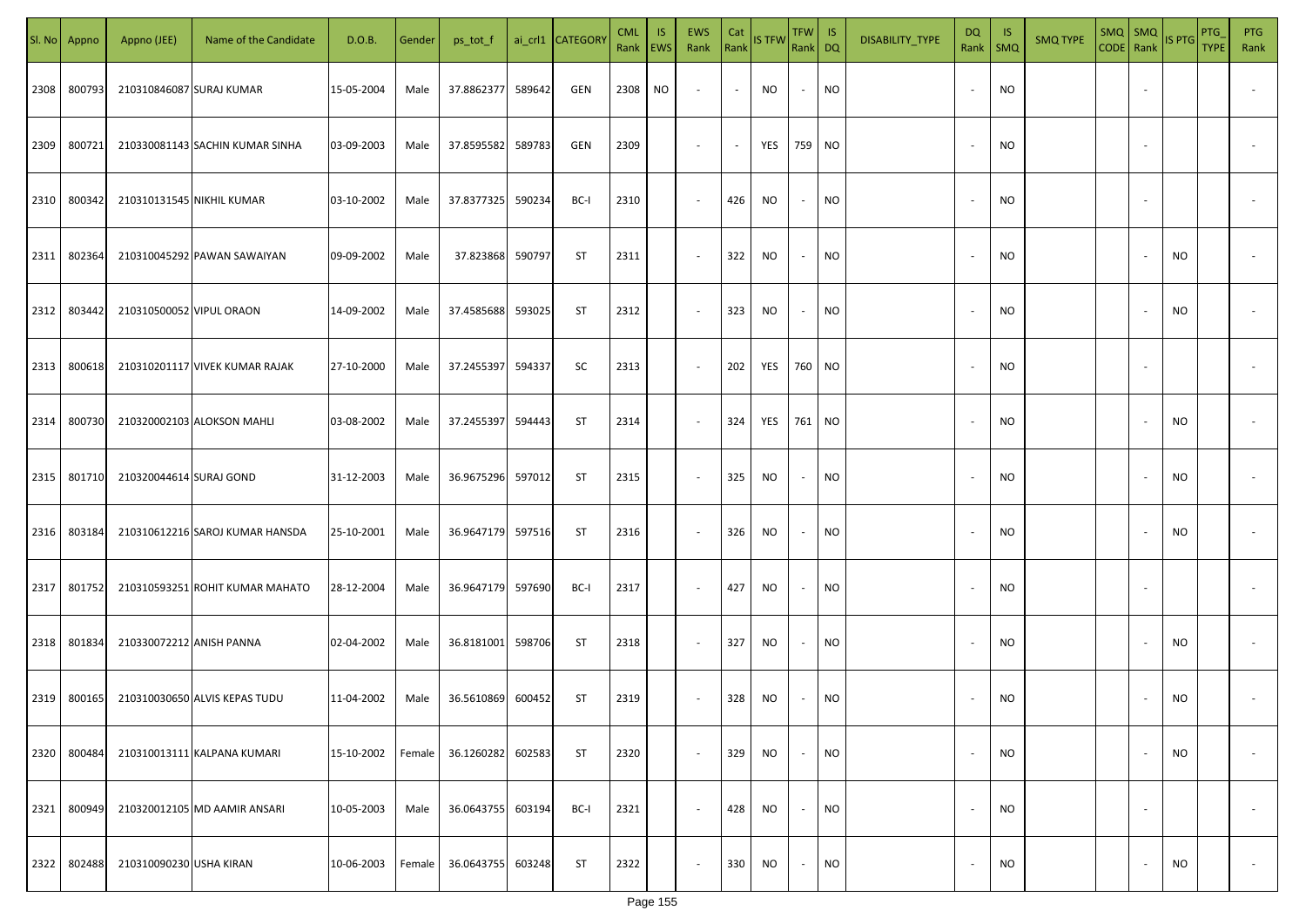|      | SI. No Appno | Appno (JEE)              | Name of the Candidate           | D.O.B.     | Gender | ps_tot_f          |        | ai_crl1 CATEGORY | <b>CML</b><br>Rank EWS | <b>IS</b> | EWS<br>Rank              | Cat<br>Rank | IS TFW Rank DQ | TFW                      | $\overline{\phantom{a}}$ IS | DISABILITY_TYPE | DQ<br>Rank               | -IS<br>SMQ | <b>SMQ TYPE</b> | $SMQ$ SMQ<br>CODE Rank | IS PTG    | PTG<br><b>TYPE</b> | <b>PTG</b><br>Rank |
|------|--------------|--------------------------|---------------------------------|------------|--------|-------------------|--------|------------------|------------------------|-----------|--------------------------|-------------|----------------|--------------------------|-----------------------------|-----------------|--------------------------|------------|-----------------|------------------------|-----------|--------------------|--------------------|
| 2308 | 800793       | 210310846087 SURAJ KUMAR |                                 | 15-05-2004 | Male   | 37.8862377        | 589642 | GEN              | 2308                   | NO        | $\overline{\phantom{a}}$ |             | NO             |                          | <b>NO</b>                   |                 | $\overline{\phantom{a}}$ | <b>NO</b>  |                 |                        |           |                    |                    |
| 2309 | 800721       |                          | 210330081143 SACHIN KUMAR SINHA | 03-09-2003 | Male   | 37.8595582        | 589783 | GEN              | 2309                   |           | $\sim$                   | $\sim$      | YES            | 759 NO                   |                             |                 | $\sim$                   | NO         |                 |                        |           |                    |                    |
| 2310 | 800342       |                          | 210310131545 NIKHIL KUMAR       | 03-10-2002 | Male   | 37.8377325        | 590234 | BC-I             | 2310                   |           | $\sim$                   | 426         | NO             | $\sim$                   | NO                          |                 | $\overline{\phantom{a}}$ | NO         |                 |                        |           |                    |                    |
| 2311 | 802364       |                          | 210310045292 PAWAN SAWAIYAN     | 09-09-2002 | Male   | 37.823868         | 590797 | <b>ST</b>        | 2311                   |           | $\overline{\phantom{a}}$ | 322         | NO             | $\sim$                   | <b>NO</b>                   |                 | $\overline{\phantom{a}}$ | <b>NO</b>  |                 |                        | <b>NO</b> |                    |                    |
| 2312 | 803442       | 210310500052 VIPUL ORAON |                                 | 14-09-2002 | Male   | 37.4585688        | 593025 | ST               | 2312                   |           | $\overline{\phantom{a}}$ | 323         | NO             | $\sim$                   | NO                          |                 | $\overline{\phantom{a}}$ | NO         |                 |                        | <b>NO</b> |                    |                    |
| 2313 | 800618       |                          | 210310201117 VIVEK KUMAR RAJAK  | 27-10-2000 | Male   | 37.2455397        | 594337 | SC               | 2313                   |           | $\sim$                   | 202         | YES            | 760 NO                   |                             |                 | $\overline{\phantom{a}}$ | NO         |                 |                        |           |                    |                    |
| 2314 | 800730       |                          | 210320002103 ALOKSON MAHLI      | 03-08-2002 | Male   | 37.2455397        | 594443 | ST               | 2314                   |           | $\overline{\phantom{a}}$ | 324         | YES            | 761 NO                   |                             |                 | $\overline{\phantom{a}}$ | NO         |                 |                        | NO        |                    |                    |
| 2315 | 801710       | 210320044614 SURAJ GOND  |                                 | 31-12-2003 | Male   | 36.9675296        | 597012 | <b>ST</b>        | 2315                   |           | $\sim$                   | 325         | NO             |                          | NO                          |                 | $\overline{\phantom{a}}$ | <b>NO</b>  |                 |                        | <b>NO</b> |                    |                    |
| 2316 | 803184       |                          | 210310612216 SAROJ KUMAR HANSDA | 25-10-2001 | Male   | 36.9647179        | 597516 | ST               | 2316                   |           | $\sim$                   | 326         | NO             |                          | NO                          |                 | $\overline{\phantom{a}}$ | NO         |                 |                        | <b>NO</b> |                    |                    |
| 2317 | 801752       |                          | 210310593251 ROHIT KUMAR MAHATO | 28-12-2004 | Male   | 36.9647179        | 597690 | BC-I             | 2317                   |           | $\sim$                   | 427         | NO             |                          | NO                          |                 | $\overline{\phantom{a}}$ | <b>NO</b>  |                 |                        |           |                    |                    |
| 2318 | 801834       | 210330072212 ANISH PANNA |                                 | 02-04-2002 | Male   | 36.8181001 598706 |        | ST               | 2318                   |           | $\sim$                   | 327         | NO             |                          | NO                          |                 | $\overline{\phantom{a}}$ | NO         |                 |                        | <b>NO</b> |                    |                    |
|      | 2319 800165  |                          | 210310030650 ALVIS KEPAS TUDU   | 11-04-2002 | Male   | 36.5610869        | 600452 | ST               | 2319                   |           | $\sim$                   | 328         | NO             |                          | NO                          |                 | $\overline{\phantom{a}}$ | <b>NO</b>  |                 |                        | <b>NO</b> |                    |                    |
|      | 2320 800484  |                          | 210310013111 KALPANA KUMARI     | 15-10-2002 | Female | 36.1260282        | 602583 | <b>ST</b>        | 2320                   |           | $\overline{\phantom{a}}$ | 329         | <b>NO</b>      |                          | <b>NO</b>                   |                 | $\overline{\phantom{a}}$ | <b>NO</b>  |                 |                        | <b>NO</b> |                    |                    |
| 2321 | 800949       |                          | 210320012105 MD AAMIR ANSARI    | 10-05-2003 | Male   | 36.0643755        | 603194 | BC-I             | 2321                   |           | $\sim$                   | 428         | <b>NO</b>      | $\overline{\phantom{a}}$ | NO                          |                 | $\overline{\phantom{a}}$ | <b>NO</b>  |                 |                        |           |                    |                    |
| 2322 | 802488       | 210310090230 USHA KIRAN  |                                 | 10-06-2003 | Female | 36.0643755        | 603248 | <b>ST</b>        | 2322                   |           | $\sim$                   | 330         | <b>NO</b>      | $\sim$                   | NO                          |                 | $\overline{\phantom{a}}$ | NO         |                 |                        | <b>NO</b> |                    | $\sim$             |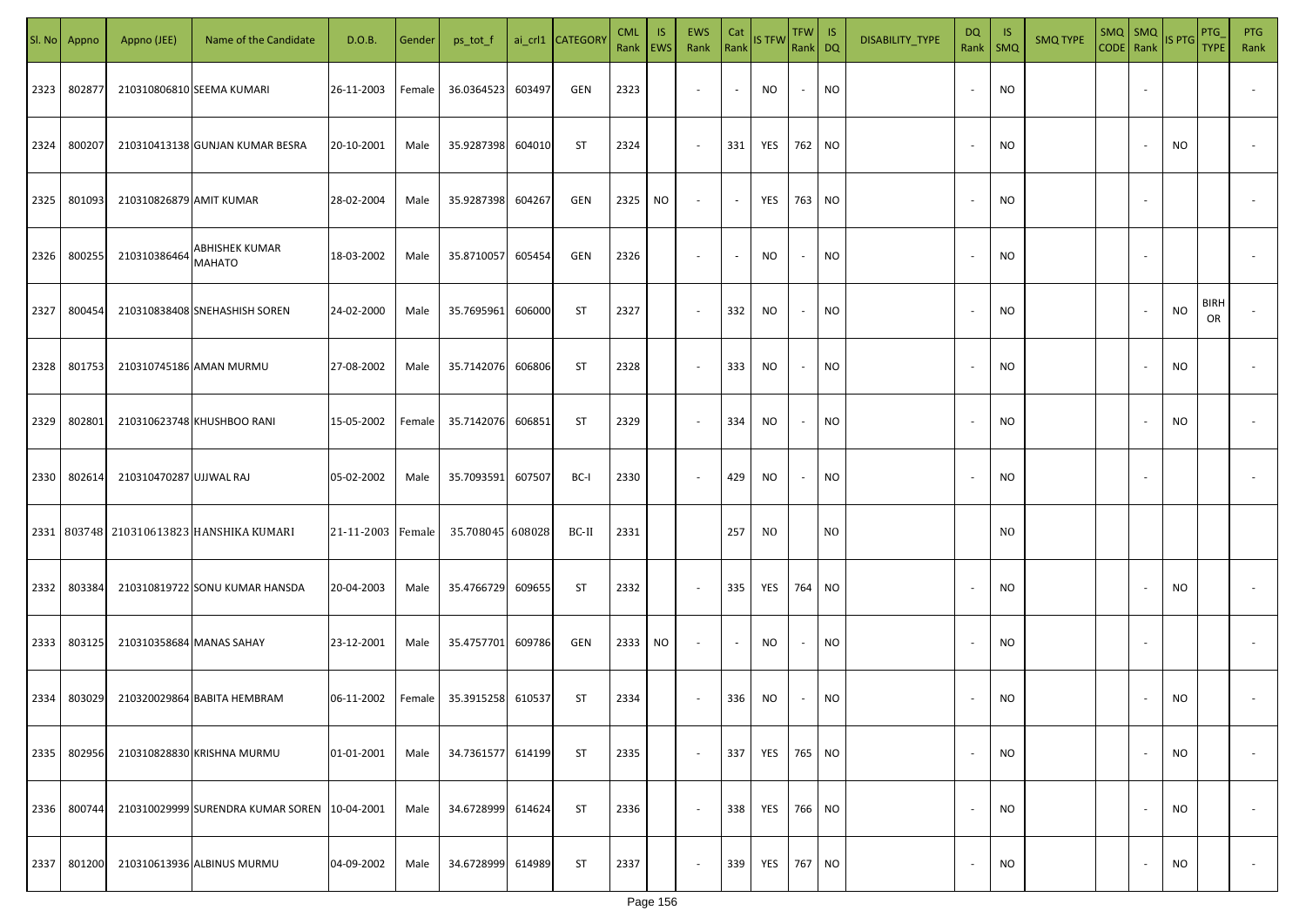|      | Sl. No Appno | Appno (JEE)              | Name of the Candidate                          | D.O.B.            | Gender | ps_tot_f         |        | ai_crl1 CATEGORY | <b>CML</b><br>Rank   EWS | IS. | <b>EWS</b><br>Rank       | Cat<br>Rank              | <b>IS TFW</b>  | $TFW$ IS<br>Rank DQ      |                | DISABILITY_TYPE | <b>DQ</b> | - IS<br>Rank   SMQ | <b>SMQ TYPE</b> | CODE Rank IS PTG | SMQ SMQ                  |           | <b>PTG</b><br><b>TYPE</b> | <b>PTG</b><br>Rank       |
|------|--------------|--------------------------|------------------------------------------------|-------------------|--------|------------------|--------|------------------|--------------------------|-----|--------------------------|--------------------------|----------------|--------------------------|----------------|-----------------|-----------|--------------------|-----------------|------------------|--------------------------|-----------|---------------------------|--------------------------|
| 2323 | 802877       |                          | 210310806810 SEEMA KUMARI                      | 26-11-2003        | Female | 36.0364523       | 603497 | GEN              | 2323                     |     | $\overline{\phantom{a}}$ | $\sim$                   | NO             | $\sim$                   | <b>NO</b>      |                 |           | <b>NO</b>          |                 |                  |                          |           |                           |                          |
| 2324 | 800207       |                          | 210310413138 GUNJAN KUMAR BESRA                | 20-10-2001        | Male   | 35.9287398       | 604010 | <b>ST</b>        | 2324                     |     | $\sim$                   | 331                      | YES            | 762 NO                   |                |                 |           | <b>NO</b>          |                 |                  |                          | NO        |                           |                          |
| 2325 | 801093       | 210310826879 AMIT KUMAR  |                                                | 28-02-2004        | Male   | 35.9287398       | 604267 | GEN              | 2325                     | NO  | $\overline{\phantom{a}}$ | $\sim$                   | YES            | 763 NO                   |                |                 |           | <b>NO</b>          |                 |                  |                          |           |                           |                          |
| 2326 | 800255       | 210310386464             | <b>ABHISHEK KUMAR</b><br><b>MAHATO</b>         | 18-03-2002        | Male   | 35.8710057       | 605454 | GEN              | 2326                     |     | $\overline{\phantom{a}}$ | $\sim$                   | NO             | $\sim$                   | <b>NO</b>      |                 |           | <b>NO</b>          |                 |                  |                          |           |                           |                          |
| 2327 | 800454       |                          | 210310838408 SNEHASHISH SOREN                  | 24-02-2000        | Male   | 35.7695961       | 606000 | ST               | 2327                     |     | $\overline{\phantom{a}}$ | 332                      | NO             | $\overline{\phantom{a}}$ | <b>NO</b>      |                 |           | <b>NO</b>          |                 |                  |                          | NO        | <b>BIRH</b><br>OR         |                          |
| 2328 | 801753       |                          | 210310745186 AMAN MURMU                        | 27-08-2002        | Male   | 35.7142076       | 606806 | <b>ST</b>        | 2328                     |     | $\overline{\phantom{a}}$ | 333                      | NO             | $\sim$                   | <b>NO</b>      |                 |           | <b>NO</b>          |                 |                  |                          | NO        |                           |                          |
| 2329 | 802801       |                          | 210310623748 KHUSHBOO RANI                     | 15-05-2002        | Female | 35.7142076       | 606851 | ST               | 2329                     |     | $\overline{\phantom{a}}$ | 334                      | NO             | $\overline{\phantom{a}}$ | <b>NO</b>      |                 |           | <b>NO</b>          |                 |                  |                          | NO        |                           |                          |
| 2330 | 802614       | 210310470287 UJJWAL RAJ  |                                                | 05-02-2002        | Male   | 35.7093591       | 607507 | BC-I             | 2330                     |     | $\overline{\phantom{a}}$ | 429                      | NO             |                          | <b>NO</b>      |                 |           | <b>NO</b>          |                 |                  |                          |           |                           |                          |
|      |              |                          | 2331   803748   210310613823   HANSHIKA KUMARI | 21-11-2003 Female |        | 35.708045 608028 |        | BC-II            | 2331                     |     |                          | 257                      | N <sub>0</sub> |                          | N <sub>O</sub> |                 |           | N <sub>O</sub>     |                 |                  |                          |           |                           |                          |
| 2332 | 803384       |                          | 210310819722 SONU KUMAR HANSDA                 | 20-04-2003        | Male   | 35.4766729       | 609655 | ST               | 2332                     |     | $\sim$                   | 335                      | YES            | 764 NO                   |                |                 |           | <b>NO</b>          |                 |                  |                          | NO.       |                           |                          |
| 2333 | 803125       | 210310358684 MANAS SAHAY |                                                | 23-12-2001        | Male   | 35.4757701       | 609786 | GEN              | 2333                     | NO. | $\sim$                   | $\overline{\phantom{a}}$ | <b>NO</b>      |                          | <b>NO</b>      |                 |           | <b>NO</b>          |                 |                  |                          |           |                           |                          |
| 2334 | 803029       |                          | 210320029864 BABITA HEMBRAM                    | 06-11-2002        | Female | 35.3915258       | 610537 | <b>ST</b>        | 2334                     |     | $\sim$                   | 336                      | NO             |                          | <b>NO</b>      |                 |           | <b>NO</b>          |                 |                  |                          | <b>NO</b> |                           |                          |
| 2335 | 802956       |                          | 210310828830 KRISHNA MURMU                     | 01-01-2001        | Male   | 34.7361577       | 614199 | <b>ST</b>        | 2335                     |     | $\sim$                   | 337                      | YES 765 NO     |                          |                |                 |           | <b>NO</b>          |                 |                  | $\overline{\phantom{a}}$ | NO        |                           | $\overline{\phantom{a}}$ |
| 2336 | 800744       |                          | 210310029999 SURENDRA KUMAR SOREN 10-04-2001   |                   | Male   | 34.6728999       | 614624 | <b>ST</b>        | 2336                     |     | $\sim$                   | 338                      | YES 766 NO     |                          |                |                 |           | <b>NO</b>          |                 |                  |                          | <b>NO</b> |                           | $\overline{\phantom{a}}$ |
| 2337 | 801200       |                          | 210310613936 ALBINUS MURMU                     | 04-09-2002        | Male   | 34.6728999       | 614989 | <b>ST</b>        | 2337                     |     | $\overline{\phantom{a}}$ | 339                      | YES            | 767 NO                   |                |                 |           | <b>NO</b>          |                 |                  |                          | NO        |                           | $\overline{\phantom{a}}$ |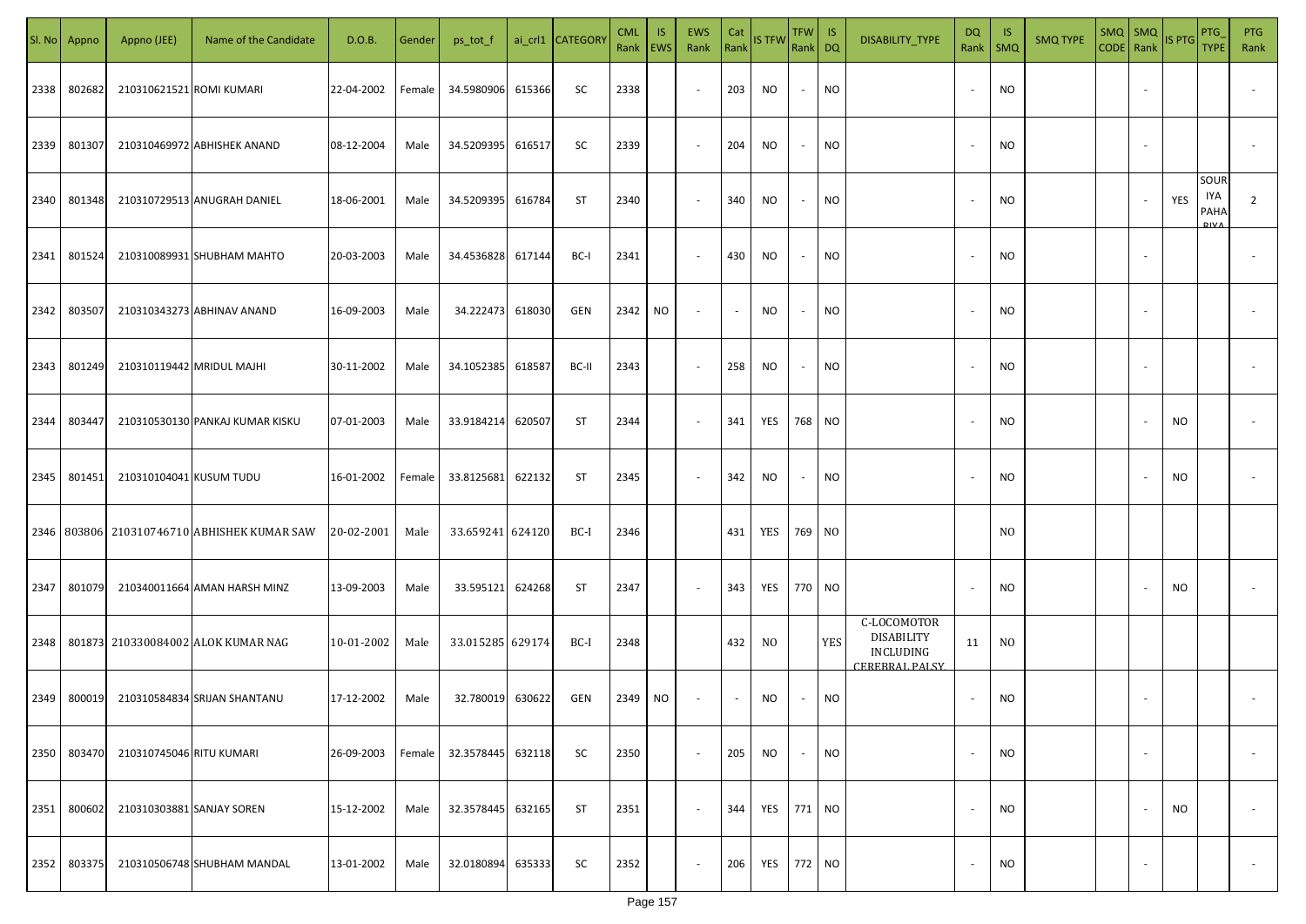| SI. No | Appno  | Appno (JEE)               | Name of the Candidate                             | D.O.B.     | Gender | ps_tot_f         |        | ai_crl1 CATEGORY | <b>CML</b><br>Rank | IS.<br><b>EWS</b> | <b>EWS</b><br>Rank       | Cat<br>Rank              | <b>IS TFW</b>  | <b>TFW</b><br>Rank DQ    | IS         | DISABILITY_TYPE                                                 | DQ<br>Rank | -IS<br>$\mathsf{SMQ}$ | <b>SMQ TYPE</b> | CODE Rank | $SMQ$ $SMQ$              | <b>IS PTG</b> | <b>PTG</b><br><b>TYPE</b> | <b>PTG</b><br>Rank       |
|--------|--------|---------------------------|---------------------------------------------------|------------|--------|------------------|--------|------------------|--------------------|-------------------|--------------------------|--------------------------|----------------|--------------------------|------------|-----------------------------------------------------------------|------------|-----------------------|-----------------|-----------|--------------------------|---------------|---------------------------|--------------------------|
| 2338   | 802682 | 210310621521 ROMI KUMARI  |                                                   | 22-04-2002 | Female | 34.5980906       | 615366 | SC               | 2338               |                   | $\sim$                   | 203                      | NO             | $\sim$                   | <b>NO</b>  |                                                                 |            | <b>NO</b>             |                 |           |                          |               |                           |                          |
| 2339   | 801307 |                           | 210310469972 ABHISHEK ANAND                       | 08-12-2004 | Male   | 34.5209395       | 616517 | SC               | 2339               |                   | $\sim$                   | 204                      | NO             | $\sim$                   | <b>NO</b>  |                                                                 |            | <b>NO</b>             |                 |           |                          |               |                           |                          |
| 2340   | 801348 |                           | 210310729513 ANUGRAH DANIEL                       | 18-06-2001 | Male   | 34.5209395       | 616784 | ST               | 2340               |                   | $\overline{\phantom{a}}$ | 340                      | NO             | $\sim$                   | <b>NO</b>  |                                                                 |            | <b>NO</b>             |                 |           |                          | YES           | SOUR<br>IYA<br>PAHA       | $\overline{2}$           |
| 2341   | 801524 |                           | 210310089931 SHUBHAM MAHTO                        | 20-03-2003 | Male   | 34.4536828       | 617144 | BC-I             | 2341               |                   | $\overline{\phantom{a}}$ | 430                      | NO             | $\overline{\phantom{a}}$ | <b>NO</b>  |                                                                 |            | <b>NO</b>             |                 |           |                          |               |                           |                          |
| 2342   | 803507 |                           | 210310343273 ABHINAV ANAND                        | 16-09-2003 | Male   | 34.222473        | 618030 | GEN              | 2342               | NO                | $\overline{\phantom{a}}$ | $\overline{\phantom{a}}$ | NO             | $\sim$                   | <b>NO</b>  |                                                                 | $\sim$     | <b>NO</b>             |                 |           |                          |               |                           |                          |
| 2343   | 801249 |                           | 210310119442 MRIDUL MAJHI                         | 30-11-2002 | Male   | 34.1052385       | 618587 | BC-II            | 2343               |                   | $\overline{\phantom{a}}$ | 258                      | NO             | $\sim$                   | <b>NO</b>  |                                                                 |            | <b>NO</b>             |                 |           |                          |               |                           |                          |
| 2344   | 803447 |                           | 210310530130 PANKAJ KUMAR KISKU                   | 07-01-2003 | Male   | 33.9184214       | 620507 | ST               | 2344               |                   | $\overline{\phantom{a}}$ | 341                      | YES            | 768 NO                   |            |                                                                 |            | <b>NO</b>             |                 |           |                          | <b>NO</b>     |                           |                          |
| 2345   | 801451 | 210310104041 KUSUM TUDU   |                                                   | 16-01-2002 | Female | 33.8125681       | 622132 | ST               | 2345               |                   | $\overline{\phantom{a}}$ | 342                      | NO             | $\overline{\phantom{a}}$ | <b>NO</b>  |                                                                 |            | <b>NO</b>             |                 |           |                          | NO            |                           |                          |
|        |        |                           | 2346   803806   210310746710   ABHISHEK KUMAR SAW | 20-02-2001 | Male   | 33.659241 624120 |        | BC-I             | 2346               |                   |                          | 431                      | YES            | 769 NO                   |            |                                                                 |            | N <sub>0</sub>        |                 |           |                          |               |                           |                          |
| 2347   | 801079 |                           | 210340011664 AMAN HARSH MINZ                      | 13-09-2003 | Male   | 33.595121        | 624268 | ST               | 2347               |                   | $\overline{\phantom{a}}$ | 343                      | YES            | 770 NO                   |            |                                                                 |            | <b>NO</b>             |                 |           |                          | NO            |                           |                          |
| 2348   |        |                           | 801873 210330084002 ALOK KUMAR NAG                | 10-01-2002 | Male   | 33.015285 629174 |        | BC-I             | 2348               |                   |                          | 432                      | N <sub>0</sub> |                          | <b>YES</b> | C-LOCOMOTOR<br><b>DISABILITY</b><br>INCLUDING<br>CEREBRAL PALSY | 11         | N <sub>O</sub>        |                 |           |                          |               |                           |                          |
| 2349   | 800019 |                           | 210310584834 SRIJAN SHANTANU                      | 17-12-2002 | Male   | 32.780019        | 630622 | GEN              | 2349               | NO.               |                          | $\sim$                   | NO             |                          | <b>NO</b>  |                                                                 |            | <b>NO</b>             |                 |           |                          |               |                           |                          |
| 2350   | 803470 | 210310745046 RITU KUMARI  |                                                   | 26-09-2003 | Female | 32.3578445       | 632118 | SC               | 2350               |                   | $\sim$                   | 205                      | <b>NO</b>      |                          | <b>NO</b>  |                                                                 |            | <b>NO</b>             |                 |           | $\overline{\phantom{a}}$ |               |                           | $\overline{\phantom{a}}$ |
| 2351   | 800602 | 210310303881 SANJAY SOREN |                                                   | 15-12-2002 | Male   | 32.3578445       | 632165 | <b>ST</b>        | 2351               |                   | $\sim$                   | 344                      | YES 771 NO     |                          |            |                                                                 |            | <b>NO</b>             |                 |           |                          | NO            |                           | $\overline{\phantom{a}}$ |
| 2352   | 803375 |                           | 210310506748 SHUBHAM MANDAL                       | 13-01-2002 | Male   | 32.0180894       | 635333 | SC               | 2352               |                   | $\overline{\phantom{a}}$ | 206                      | YES 772 NO     |                          |            |                                                                 |            | <b>NO</b>             |                 |           | $\sim$                   |               |                           | $\overline{\phantom{a}}$ |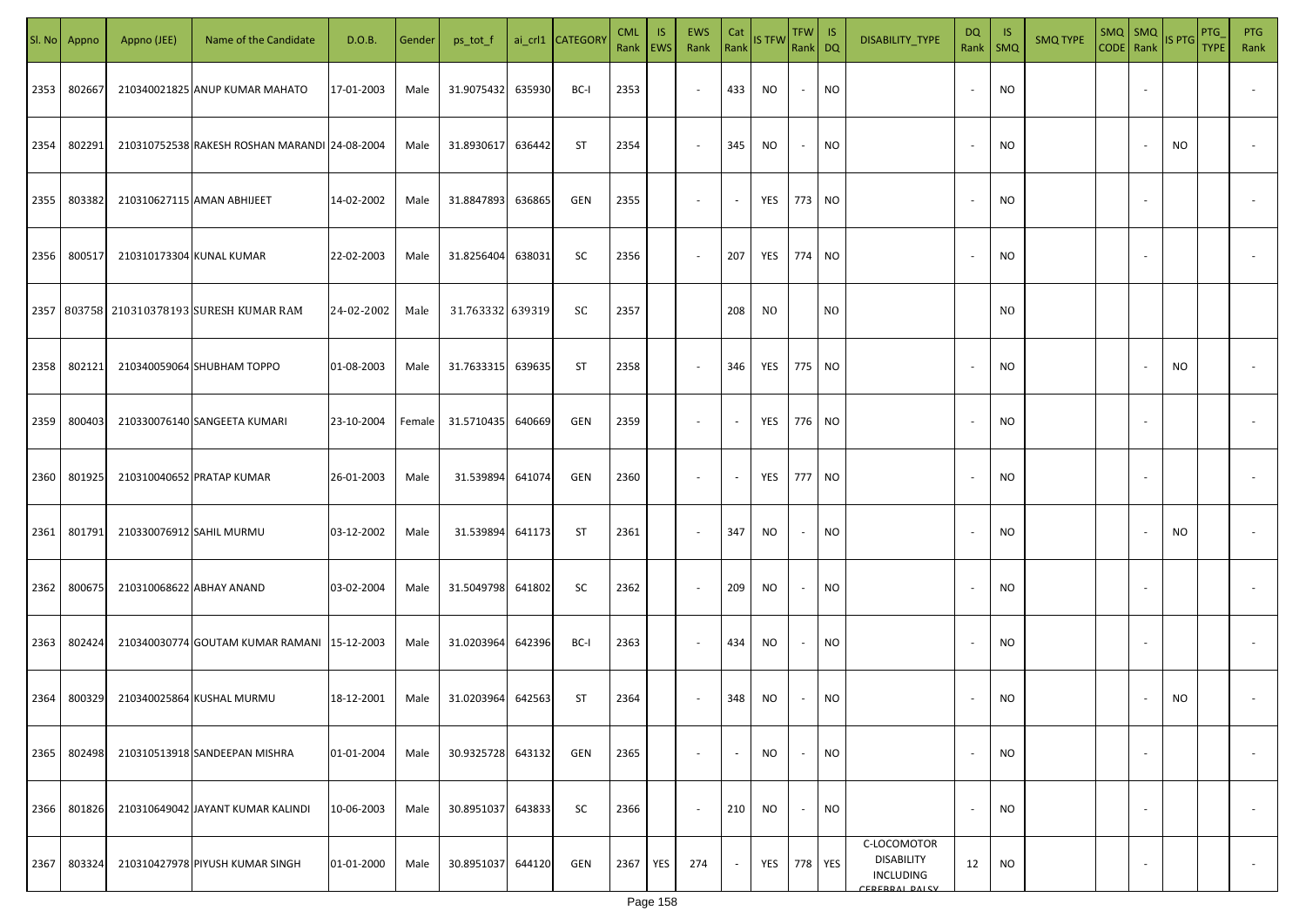| SI. No. | Appno  | Appno (JEE)              | Name of the Candidate                           | D.O.B.     | Gender | ps_tot_f         |        | ai_crl1 CATEGORY | <b>CML</b><br>Rank EWS | IS.        | EWS<br>Rank              | Cat<br>Rank              | <b>IS TFW</b>  | <b>TFW</b><br>Rank DQ | IS             | DISABILITY_TYPE                                                        | DQ<br>Rank               | -IS<br>$\mathsf{SMQ}$ | <b>SMQ TYPE</b> | $SMQ$ SMQ<br>CODE Rank |                          | <b>IS PTG</b> | <b>PTG</b><br><b>TYPE</b> | <b>PTG</b><br>Rank       |
|---------|--------|--------------------------|-------------------------------------------------|------------|--------|------------------|--------|------------------|------------------------|------------|--------------------------|--------------------------|----------------|-----------------------|----------------|------------------------------------------------------------------------|--------------------------|-----------------------|-----------------|------------------------|--------------------------|---------------|---------------------------|--------------------------|
| 2353    | 802667 |                          | 210340021825 ANUP KUMAR MAHATO                  | 17-01-2003 | Male   | 31.9075432       | 635930 | BC-I             | 2353                   |            | $\sim$                   | 433                      | <b>NO</b>      | $\sim$                | <b>NO</b>      |                                                                        |                          | NO                    |                 |                        |                          |               |                           |                          |
| 2354    | 802291 |                          | 210310752538 RAKESH ROSHAN MARANDI 24-08-2004   |            | Male   | 31.8930617       | 636442 | <b>ST</b>        | 2354                   |            | $\overline{\phantom{a}}$ | 345                      | NO             | $\sim$                | <b>NO</b>      |                                                                        |                          | <b>NO</b>             |                 |                        |                          | <b>NO</b>     |                           |                          |
| 2355    | 803382 |                          | 210310627115 AMAN ABHIJEET                      | 14-02-2002 | Male   | 31.8847893       | 636865 | <b>GEN</b>       | 2355                   |            | $\overline{\phantom{a}}$ | $\sim$                   | YES            | 773 NO                |                |                                                                        |                          | NO.                   |                 |                        |                          |               |                           |                          |
| 2356    | 800517 | 210310173304 KUNAL KUMAR |                                                 | 22-02-2003 | Male   | 31.8256404       | 638031 | SC               | 2356                   |            | $\overline{\phantom{a}}$ | 207                      | YES            | 774 NO                |                |                                                                        |                          | NO.                   |                 |                        |                          |               |                           |                          |
|         |        |                          | 2357   803758   210310378193   SURESH KUMAR RAM | 24-02-2002 | Male   | 31.763332 639319 |        | SC               | 2357                   |            |                          | 208                      | N <sub>0</sub> |                       | N <sub>0</sub> |                                                                        |                          | N <sub>0</sub>        |                 |                        |                          |               |                           |                          |
| 2358    | 802121 |                          | 210340059064 SHUBHAM TOPPO                      | 01-08-2003 | Male   | 31.7633315       | 639635 | ST               | 2358                   |            | $\overline{\phantom{a}}$ | 346                      | YES            | 775 NO                |                |                                                                        |                          | <b>NO</b>             |                 |                        |                          | <b>NO</b>     |                           |                          |
| 2359    | 800403 |                          | 210330076140 SANGEETA KUMARI                    | 23-10-2004 | Female | 31.5710435       | 640669 | <b>GEN</b>       | 2359                   |            | $\overline{\phantom{a}}$ | $\overline{\phantom{a}}$ | YES            | 776 NO                |                |                                                                        |                          | <b>NO</b>             |                 |                        |                          |               |                           |                          |
| 2360    | 801925 |                          | 210310040652 PRATAP KUMAR                       | 26-01-2003 | Male   | 31.539894        | 641074 | GEN              | 2360                   |            | $\sim$                   |                          | YES            | 777                   | <b>NO</b>      |                                                                        |                          | <b>NO</b>             |                 |                        |                          |               |                           |                          |
| 2361    | 801791 | 210330076912 SAHIL MURMU |                                                 | 03-12-2002 | Male   | 31.539894        | 641173 | ST               | 2361                   |            | $\sim$                   | 347                      | <b>NO</b>      |                       | <b>NO</b>      |                                                                        |                          | <b>NO</b>             |                 |                        |                          | <b>NO</b>     |                           |                          |
| 2362    | 800675 | 210310068622 ABHAY ANAND |                                                 | 03-02-2004 | Male   | 31.5049798       | 641802 | SC               | 2362                   |            | $\overline{\phantom{a}}$ | 209                      | <b>NO</b>      | $\sim$                | <b>NO</b>      |                                                                        |                          | <b>NO</b>             |                 |                        |                          |               |                           |                          |
| 2363    | 802424 |                          | 210340030774 GOUTAM KUMAR RAMANI 15-12-2003     |            | Male   | 31.0203964       | 642396 | BC-I             | 2363                   |            | $\sim$                   | 434                      | <b>NO</b>      | $\sim$                | <b>NO</b>      |                                                                        |                          | <b>NO</b>             |                 |                        |                          |               |                           |                          |
| 2364    | 800329 |                          | 210340025864 KUSHAL MURMU                       | 18-12-2001 | Male   | 31.0203964       | 642563 | <b>ST</b>        | 2364                   |            | $\overline{\phantom{a}}$ | 348                      | NO             |                       | <b>NO</b>      |                                                                        |                          | <b>NO</b>             |                 |                        |                          | <b>NO</b>     |                           |                          |
| 2365    | 802498 |                          | 210310513918 SANDEEPAN MISHRA                   | 01-01-2004 | Male   | 30.9325728       | 643132 | GEN              | 2365                   |            | $\sim$                   | $\overline{\phantom{a}}$ | <b>NO</b>      | $\sim$                | <b>NO</b>      |                                                                        | ٠                        | NO.                   |                 |                        | $\overline{\phantom{a}}$ |               |                           | $\sim$                   |
| 2366    | 801826 |                          | 210310649042 JAYANT KUMAR KALINDI               | 10-06-2003 | Male   | 30.8951037       | 643833 | SC               | 2366                   |            | $\overline{\phantom{a}}$ | 210                      | <b>NO</b>      | $\sim$                | <b>NO</b>      |                                                                        | $\overline{\phantom{a}}$ | <b>NO</b>             |                 |                        | $\overline{\phantom{a}}$ |               |                           | $\sim$                   |
| 2367    | 803324 |                          | 210310427978 PIYUSH KUMAR SINGH                 | 01-01-2000 | Male   | 30.8951037       | 644120 | GEN              | 2367                   | <b>YES</b> | 274                      |                          | YES            |                       | 778 YES        | C-LOCOMOTOR<br><b>DISABILITY</b><br><b>INCLUDING</b><br>CERERRAL DAICY | 12                       | <b>NO</b>             |                 |                        |                          |               |                           | $\overline{\phantom{a}}$ |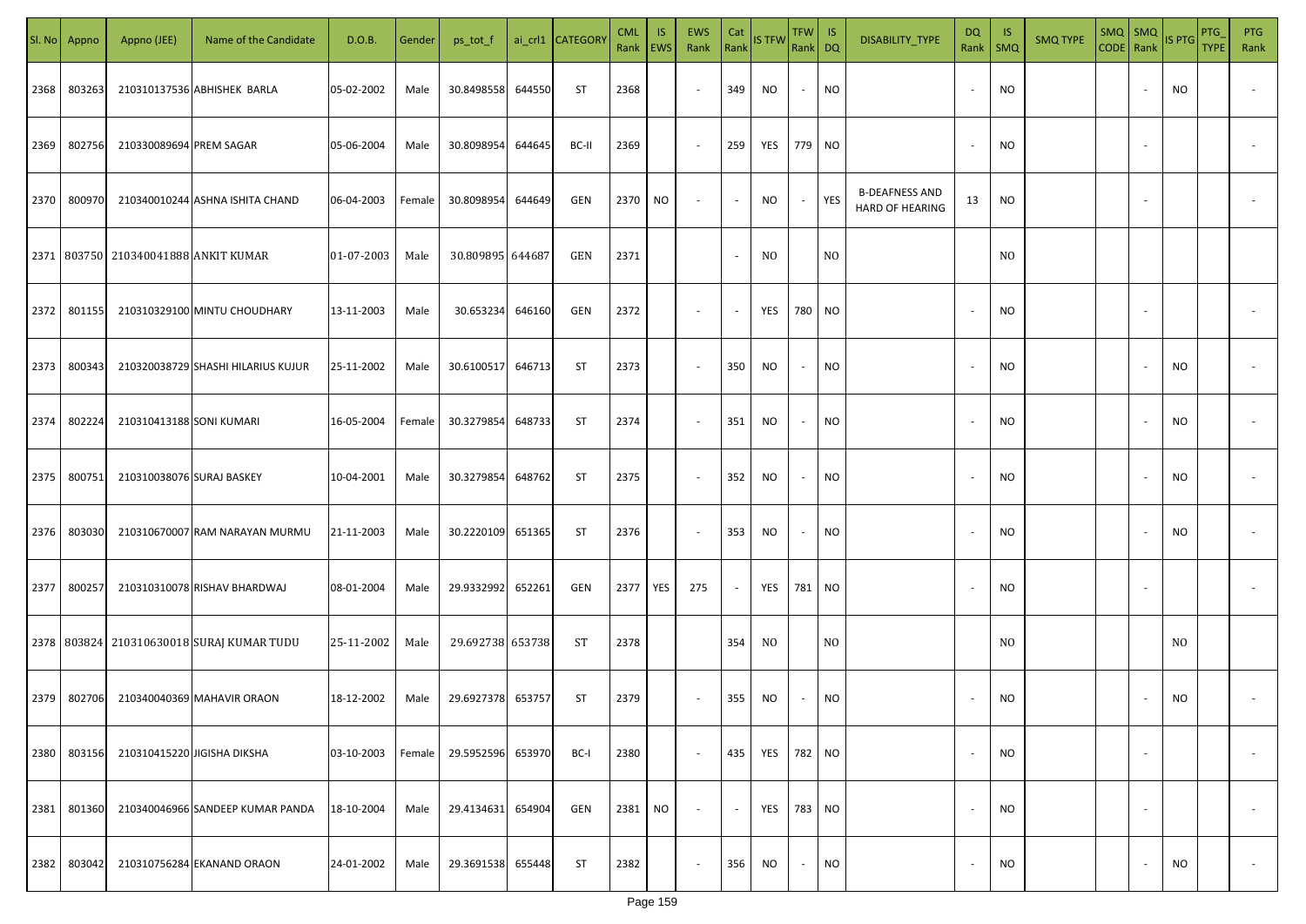|      | Sl. No Appno | Appno (JEE)                              | Name of the Candidate                     | D.O.B.     | Gender | ps_tot_f         |        | ai_crl1 CATEGOR\ | <b>CML</b><br>Rank EWS | IS. | <b>EWS</b><br>Rank       | Cat                      | Rank IS TFW | TFW IS<br>Rank DQ |                | DISABILITY_TYPE                          | <b>DQ</b><br>Rank        | -IS<br><b>SMQ</b> | <b>SMQ TYPE</b> | $SMQ$ $SMQ$<br>CODE Rank |                          | IS PTG | PTG<br><b>TYPE</b> | PTG<br>Rank              |
|------|--------------|------------------------------------------|-------------------------------------------|------------|--------|------------------|--------|------------------|------------------------|-----|--------------------------|--------------------------|-------------|-------------------|----------------|------------------------------------------|--------------------------|-------------------|-----------------|--------------------------|--------------------------|--------|--------------------|--------------------------|
| 2368 | 803263       |                                          | 210310137536 ABHISHEK BARLA               | 05-02-2002 | Male   | 30.8498558       | 644550 | ST               | 2368                   |     | $\sim$                   | 349                      | NO.         | $\sim$            | <b>NO</b>      |                                          |                          | <b>NO</b>         |                 |                          |                          | NO     |                    |                          |
| 2369 | 802756       | 210330089694 PREM SAGAR                  |                                           | 05-06-2004 | Male   | 30.8098954       | 644645 | BC-II            | 2369                   |     | $\sim$                   | 259                      | YES         | 779 NO            |                |                                          | $\overline{\phantom{a}}$ | <b>NO</b>         |                 |                          |                          |        |                    |                          |
| 2370 | 800970       |                                          | 210340010244 ASHNA ISHITA CHAND           | 06-04-2003 | Female | 30.8098954       | 644649 | GEN              | 2370                   | NO  | $\overline{\phantom{a}}$ | $\sim$                   | NO          | $\sim$            | YES            | <b>B-DEAFNESS AND</b><br>HARD OF HEARING | 13                       | <b>NO</b>         |                 |                          |                          |        |                    |                          |
|      |              | 2371   803750   210340041888 ANKIT KUMAR |                                           | 01-07-2003 | Male   | 30.809895 644687 |        | GEN              | 2371                   |     |                          | $\overline{\phantom{a}}$ | NO.         |                   | N <sub>O</sub> |                                          |                          | N <sub>0</sub>    |                 |                          |                          |        |                    |                          |
| 2372 | 801155       |                                          | 210310329100 MINTU CHOUDHARY              | 13-11-2003 | Male   | 30.653234        | 646160 | GEN              | 2372                   |     | $\sim$                   | $\sim$                   | YES         | 780 NO            |                |                                          |                          | <b>NO</b>         |                 |                          |                          |        |                    |                          |
| 2373 | 800343       |                                          | 210320038729 SHASHI HILARIUS KUJUR        | 25-11-2002 | Male   | 30.6100517       | 646713 | <b>ST</b>        | 2373                   |     | $\overline{\phantom{a}}$ | 350                      | NO.         | $\sim$            | <b>NO</b>      |                                          |                          | <b>NO</b>         |                 |                          |                          | NO     |                    |                          |
| 2374 | 802224       | 210310413188 SONI KUMARI                 |                                           | 16-05-2004 | Female | 30.3279854       | 648733 | <b>ST</b>        | 2374                   |     | $\sim$                   | 351                      | NO.         | $\sim$            | <b>NO</b>      |                                          |                          | <b>NO</b>         |                 |                          |                          | NO     |                    |                          |
| 2375 | 800751       | 210310038076 SURAJ BASKEY                |                                           | 10-04-2001 | Male   | 30.3279854       | 648762 | <b>ST</b>        | 2375                   |     | $\sim$                   | 352                      | NO.         | $\sim$            | <b>NO</b>      |                                          |                          | <b>NO</b>         |                 |                          |                          | NO     |                    |                          |
| 2376 | 803030       |                                          | 210310670007 RAM NARAYAN MURMU            | 21-11-2003 | Male   | 30.2220109       | 651365 | ST               | 2376                   |     | $\sim$                   | 353                      | NO.         | $\sim$            | <b>NO</b>      |                                          |                          | <b>NO</b>         |                 |                          |                          | NO     |                    |                          |
| 2377 | 800257       |                                          | 210310310078 RISHAV BHARDWAJ              | 08-01-2004 | Male   | 29.9332992       | 652261 | GEN              | 2377                   | YES | 275                      | $\sim$                   | YES         | 781 NO            |                |                                          |                          | <b>NO</b>         |                 |                          |                          |        |                    |                          |
|      |              |                                          | 2378 803824 210310630018 SURAJ KUMAR TUDU | 25-11-2002 | Male   | 29.692738 653738 |        | <b>ST</b>        | 2378                   |     |                          | 354                      | NO.         |                   | N <sub>O</sub> |                                          |                          | N <sub>O</sub>    |                 |                          |                          | NO.    |                    |                          |
| 2379 | 802706       |                                          | 210340040369 MAHAVIR ORAON                | 18-12-2002 | Male   | 29.6927378       | 653757 | <b>ST</b>        | 2379                   |     | $\sim$                   | 355                      | NO.         | $\sim$            | <b>NO</b>      |                                          |                          | <b>NO</b>         |                 |                          |                          | NO.    |                    |                          |
| 2380 | 803156       |                                          | 210310415220 JIGISHA DIKSHA               | 03-10-2003 | Female | 29.5952596       | 653970 | BC-I             | 2380                   |     | $\sim$                   | 435                      | YES         | 782 NO            |                |                                          | $\overline{\phantom{a}}$ | <b>NO</b>         |                 |                          | $\overline{\phantom{a}}$ |        |                    | $\overline{\phantom{a}}$ |
| 2381 | 801360       |                                          | 210340046966 SANDEEP KUMAR PANDA          | 18-10-2004 | Male   | 29.4134631       | 654904 | GEN              | 2381                   | NO  | $\overline{\phantom{a}}$ | $\sim$                   | YES         | 783 NO            |                |                                          | $\sim$                   | <b>NO</b>         |                 |                          | $\sim$                   |        |                    | $\overline{\phantom{a}}$ |
| 2382 | 803042       |                                          | 210310756284 EKANAND ORAON                | 24-01-2002 | Male   | 29.3691538       | 655448 | <b>ST</b>        | 2382                   |     | $\sim$                   | 356                      | NO.         | $\sim$            | <b>NO</b>      |                                          |                          | <b>NO</b>         |                 |                          |                          | NO     |                    | $\sim$                   |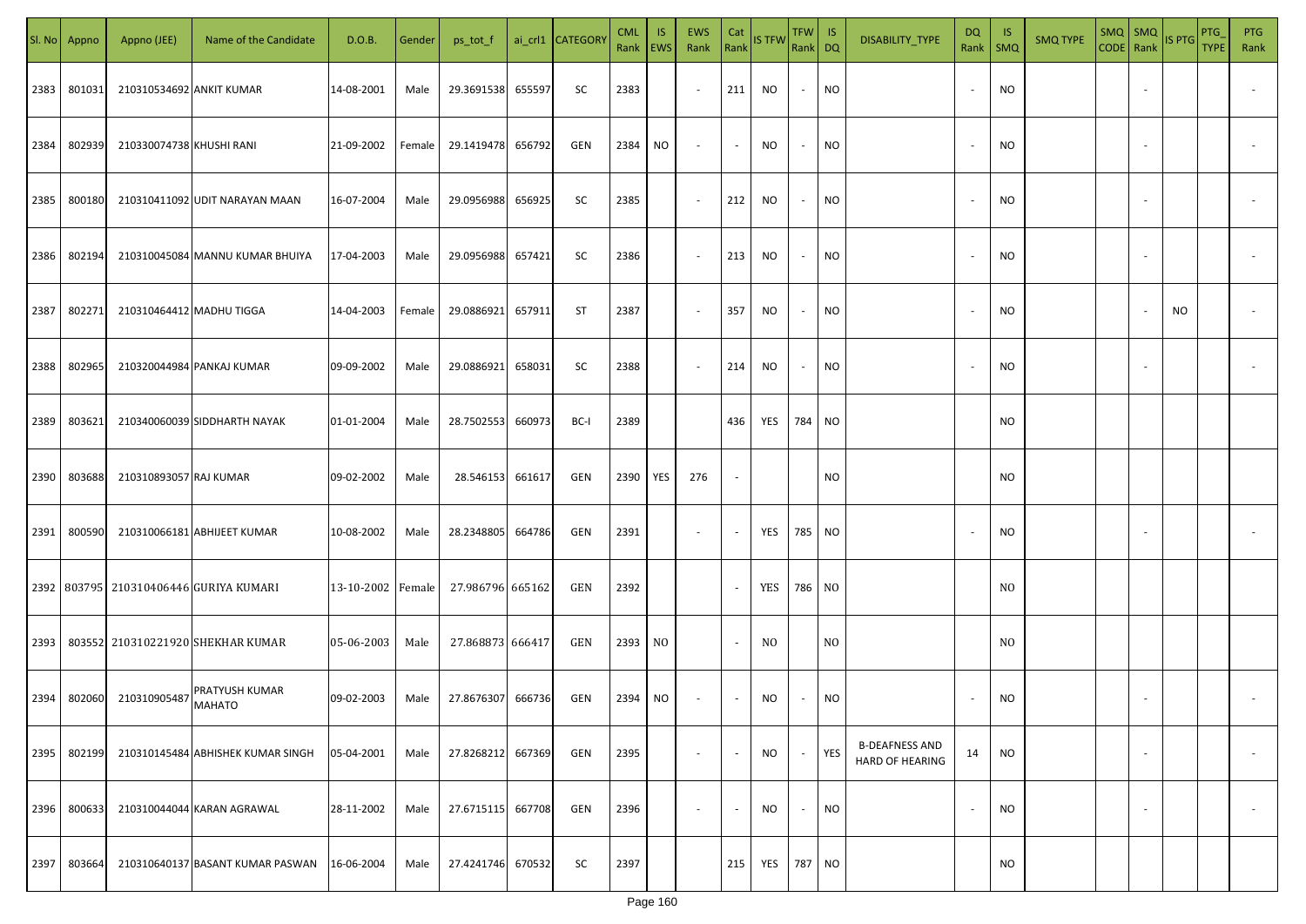|      | Sl. No Appno | Appno (JEE)              | Name of the Candidate                      | D.O.B.            | Gender | ps_tot_f         |        | ai_crl1 CATEGORY | <b>CML</b><br>Rank   EWS | IS. | <b>EWS</b><br>Rank       | Cat<br>Rank              | <b>IS TFW</b>  | $TFW$ IS<br>Rank DQ |                | DISABILITY_TYPE                                 | <b>DQ</b> | - IS<br>Rank   SMQ | <b>SMQ TYPE</b> | SMQ SMQ<br>CODE Rank IS PTG |                          |     | <b>PTG</b><br><b>TYPE</b> | <b>PTG</b><br>Rank       |
|------|--------------|--------------------------|--------------------------------------------|-------------------|--------|------------------|--------|------------------|--------------------------|-----|--------------------------|--------------------------|----------------|---------------------|----------------|-------------------------------------------------|-----------|--------------------|-----------------|-----------------------------|--------------------------|-----|---------------------------|--------------------------|
| 2383 | 801031       | 210310534692 ANKIT KUMAR |                                            | 14-08-2001        | Male   | 29.3691538       | 655597 | SC               | 2383                     |     | $\sim$                   | 211                      | <b>NO</b>      | $\sim$              | <b>NO</b>      |                                                 |           | <b>NO</b>          |                 |                             |                          |     |                           |                          |
| 2384 | 802939       | 210330074738 KHUSHI RANI |                                            | 21-09-2002        | Female | 29.1419478       | 656792 | GEN              | 2384                     | NO. | $\sim$                   | $\sim$                   | NO             | $\sim$              | <b>NO</b>      |                                                 | $\sim$    | <b>NO</b>          |                 |                             |                          |     |                           |                          |
| 2385 | 800180       |                          | 210310411092 UDIT NARAYAN MAAN             | 16-07-2004        | Male   | 29.0956988       | 656925 | SC               | 2385                     |     | $\sim$                   | 212                      | NO             | $\sim$              | <b>NO</b>      |                                                 |           | <b>NO</b>          |                 |                             |                          |     |                           |                          |
| 2386 | 802194       |                          | 210310045084 MANNU KUMAR BHUIYA            | 17-04-2003        | Male   | 29.0956988       | 657421 | SC               | 2386                     |     | $\overline{\phantom{a}}$ | 213                      | NO             | $\sim$              | <b>NO</b>      |                                                 |           | <b>NO</b>          |                 |                             |                          |     |                           |                          |
| 2387 | 802271       | 210310464412 MADHU TIGGA |                                            | 14-04-2003        | Female | 29.0886921       | 657911 | ST               | 2387                     |     | $\overline{\phantom{a}}$ | 357                      | NO             | $\sim$              | <b>NO</b>      |                                                 |           | <b>NO</b>          |                 |                             |                          | NO. |                           |                          |
| 2388 | 802965       |                          | 210320044984 PANKAJ KUMAR                  | 09-09-2002        | Male   | 29.0886921       | 658031 | SC               | 2388                     |     | $\overline{\phantom{a}}$ | 214                      | NO             | $\sim$              | <b>NO</b>      |                                                 |           | <b>NO</b>          |                 |                             |                          |     |                           |                          |
| 2389 | 803621       |                          | 210340060039 SIDDHARTH NAYAK               | 01-01-2004        | Male   | 28.7502553       | 660973 | BC-I             | 2389                     |     |                          | 436                      | YES            | 784 NO              |                |                                                 |           | <b>NO</b>          |                 |                             |                          |     |                           |                          |
| 2390 | 803688       | 210310893057 RAJ KUMAR   |                                            | 09-02-2002        | Male   | 28.546153        | 661617 | GEN              | 2390                     | YES | 276                      | $\sim$                   |                |                     | <b>NO</b>      |                                                 |           | <b>NO</b>          |                 |                             |                          |     |                           |                          |
| 2391 | 800590       |                          | 210310066181 ABHIJEET KUMAR                | 10-08-2002        | Male   | 28.2348805       | 664786 | GEN              | 2391                     |     | $\sim$                   | $\sim$                   | YES            | 785 NO              |                |                                                 |           | NO                 |                 |                             |                          |     |                           |                          |
|      |              |                          | 2392   803795   210310406446 GURIYA KUMARI | 13-10-2002 Female |        | 27.986796 665162 |        | GEN              | 2392                     |     |                          | $\overline{\phantom{a}}$ | YES            | 786 NO              |                |                                                 |           | N <sub>O</sub>     |                 |                             |                          |     |                           |                          |
| 2393 |              |                          | 803552 210310221920 SHEKHAR KUMAR          | 05-06-2003        | Male   | 27.868873 666417 |        | GEN              | 2393                     | NO. |                          | $\sim$                   | N <sub>0</sub> |                     | N <sub>O</sub> |                                                 |           | NO.                |                 |                             |                          |     |                           |                          |
| 2394 | 802060       | 210310905487             | PRATYUSH KUMAR<br><b>MAHATO</b>            | 09-02-2003        | Male   | 27.8676307       | 666736 | GEN              | 2394                     | NO. | $\overline{\phantom{a}}$ | $\sim$                   | NO             |                     | <b>NO</b>      |                                                 |           | <b>NO</b>          |                 |                             |                          |     |                           |                          |
| 2395 | 802199       |                          | 210310145484 ABHISHEK KUMAR SINGH          | 05-04-2001        | Male   | 27.8268212       | 667369 | GEN              | 2395                     |     | $\overline{\phantom{a}}$ | $\overline{\phantom{a}}$ | NO             | $\sim$              | YES            | <b>B-DEAFNESS AND</b><br><b>HARD OF HEARING</b> | 14        | NO                 |                 |                             | $\overline{\phantom{a}}$ |     |                           | $\overline{\phantom{a}}$ |
| 2396 | 800633       |                          | 210310044044 KARAN AGRAWAL                 | 28-11-2002        | Male   | 27.6715115       | 667708 | GEN              | 2396                     |     | $\overline{\phantom{a}}$ | $\sim$                   | NO             | $\sim$              | <b>NO</b>      |                                                 |           | <b>NO</b>          |                 |                             | $\overline{\phantom{a}}$ |     |                           | $\overline{\phantom{a}}$ |
| 2397 | 803664       |                          | 210310640137 BASANT KUMAR PASWAN           | 16-06-2004        | Male   | 27.4241746       | 670532 | SC               | 2397                     |     |                          | 215                      | YES            | 787 NO              |                |                                                 |           | <b>NO</b>          |                 |                             |                          |     |                           |                          |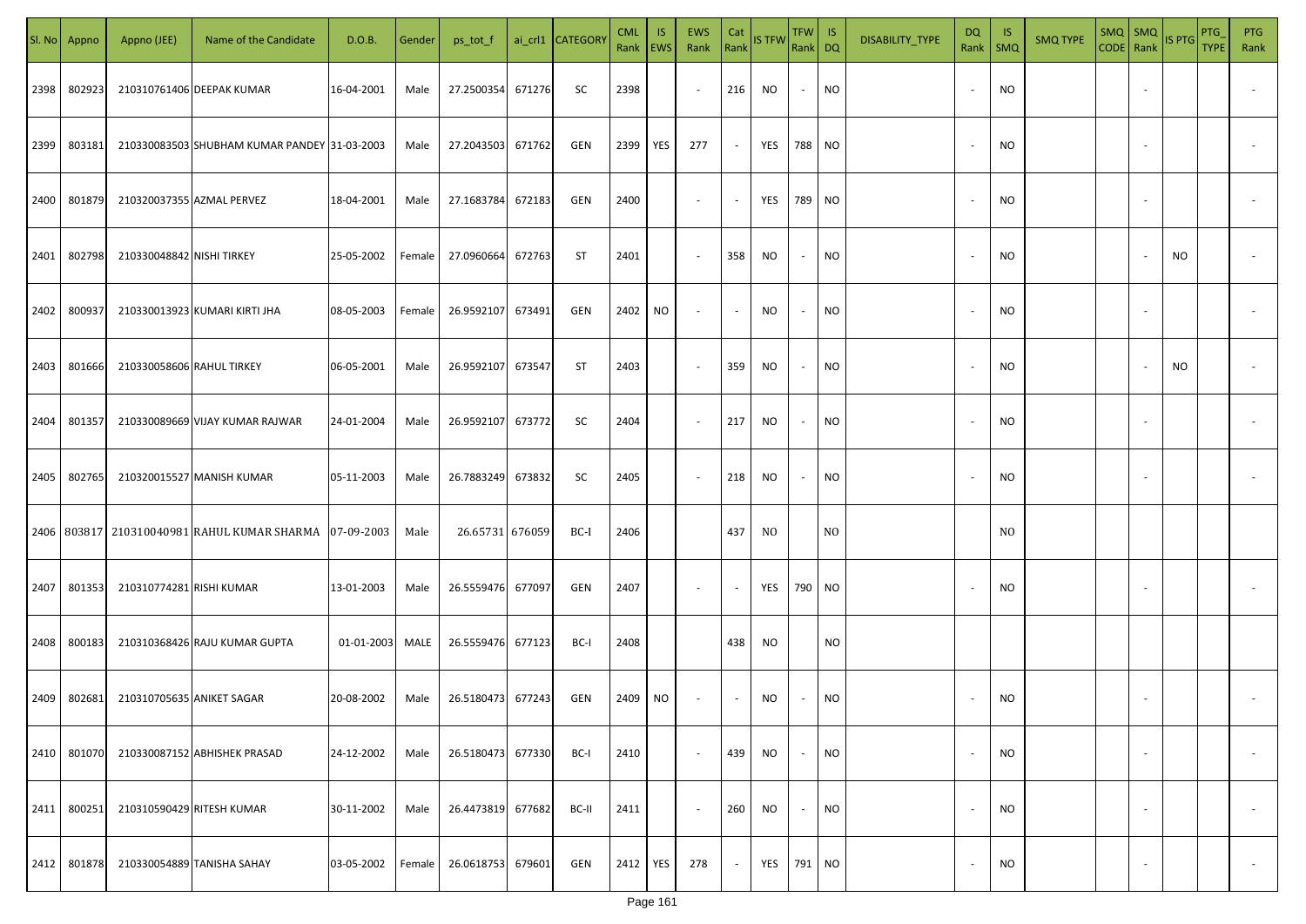|      | Sl. No Appno | Appno (JEE)               | Name of the Candidate                             | D.O.B.     | Gender | ps_tot_f          |        | ai_crl1 CATEGORY | <b>CML</b><br>Rank | IS.<br><b>EWS</b> | EWS<br>Rank              | Cat<br>Rank              | IS TFW    | TFW<br>Rank DQ           | IS             | DISABILITY_TYPE | DQ<br>Rank               | -IS<br>$\mathsf{SMQ}$ | <b>SMQ TYPE</b> | $SMQ$ SMQ<br>CODE Rank | IS PTG | PTG<br><b>TYPE</b> | <b>PTG</b><br>Rank       |
|------|--------------|---------------------------|---------------------------------------------------|------------|--------|-------------------|--------|------------------|--------------------|-------------------|--------------------------|--------------------------|-----------|--------------------------|----------------|-----------------|--------------------------|-----------------------|-----------------|------------------------|--------|--------------------|--------------------------|
| 2398 | 802923       |                           | 210310761406 DEEPAK KUMAR                         | 16-04-2001 | Male   | 27.2500354        | 671276 | SC               | 2398               |                   | $\overline{\phantom{a}}$ | 216                      | NO        | $\overline{\phantom{a}}$ | NO             |                 | $\sim$                   | <b>NO</b>             |                 |                        |        |                    |                          |
| 2399 | 803181       |                           | 210330083503 SHUBHAM KUMAR PANDEY 31-03-2003      |            | Male   | 27.2043503        | 671762 | <b>GEN</b>       | 2399               | YES               | 277                      | $\sim$                   | YES       | 788 NO                   |                |                 | $\sim$                   | <b>NO</b>             |                 |                        |        |                    |                          |
| 2400 | 801879       |                           | 210320037355 AZMAL PERVEZ                         | 18-04-2001 | Male   | 27.1683784        | 672183 | <b>GEN</b>       | 2400               |                   | $\overline{\phantom{a}}$ | $\overline{\phantom{a}}$ | YES       | 789 NO                   |                |                 | $\sim$                   | NO                    |                 |                        |        |                    |                          |
| 2401 | 802798       | 210330048842 NISHI TIRKEY |                                                   | 25-05-2002 | Female | 27.0960664        | 672763 | ST               | 2401               |                   | $\overline{\phantom{a}}$ | 358                      | <b>NO</b> | $\overline{\phantom{a}}$ | NO             |                 | $\sim$                   | NO                    |                 |                        | NO.    |                    |                          |
| 2402 | 800937       |                           | 210330013923 KUMARI KIRTI JHA                     | 08-05-2003 | Female | 26.9592107 673491 |        | <b>GEN</b>       | 2402               | NO                | $\overline{\phantom{a}}$ |                          | NO.       |                          | NO             |                 | $\overline{\phantom{a}}$ | NO                    |                 |                        |        |                    |                          |
| 2403 | 801666       | 210330058606 RAHUL TIRKEY |                                                   | 06-05-2001 | Male   | 26.9592107        | 673547 | ST               | 2403               |                   | $\overline{\phantom{a}}$ | 359                      | NO        | $\overline{\phantom{a}}$ | NO             |                 | $\overline{\phantom{a}}$ | <b>NO</b>             |                 |                        | NO.    |                    |                          |
| 2404 | 801357       |                           | 210330089669 VIJAY KUMAR RAJWAR                   | 24-01-2004 | Male   | 26.9592107        | 673772 | SC               | 2404               |                   | $\sim$                   | 217                      | <b>NO</b> |                          | NO             |                 | $\overline{\phantom{a}}$ | <b>NO</b>             |                 |                        |        |                    |                          |
| 2405 | 802765       |                           | 210320015527 MANISH KUMAR                         | 05-11-2003 | Male   | 26.7883249        | 673832 | SC               | 2405               |                   | $\sim$                   | 218                      | <b>NO</b> |                          | NO             |                 | $\overline{\phantom{a}}$ | NO                    |                 |                        |        |                    |                          |
|      |              |                           | 2406   803817   210310040981   RAHUL KUMAR SHARMA | 07-09-2003 | Male   | 26.65731 676059   |        | BC-I             | 2406               |                   |                          | 437                      | NO.       |                          | N <sub>O</sub> |                 |                          | NO.                   |                 |                        |        |                    |                          |
| 2407 | 801353       | 210310774281 RISHI KUMAR  |                                                   | 13-01-2003 | Male   | 26.5559476 677097 |        | GEN              | 2407               |                   | $\sim$                   |                          | YES       | 790                      | <b>NO</b>      |                 | $\overline{\phantom{a}}$ | <b>NO</b>             |                 |                        |        |                    |                          |
| 2408 | 800183       |                           | 210310368426 RAJU KUMAR GUPTA                     | 01-01-2003 | MALE   | 26.5559476 677123 |        | BC-I             | 2408               |                   |                          | 438                      | <b>NO</b> |                          | <b>NO</b>      |                 |                          |                       |                 |                        |        |                    |                          |
| 2409 | 802681       | 210310705635 ANIKET SAGAR |                                                   | 20-08-2002 | Male   | 26.5180473        | 677243 | <b>GEN</b>       | 2409               | NO.               | $\sim$                   |                          | <b>NO</b> |                          | <b>NO</b>      |                 | $\overline{\phantom{a}}$ | <b>NO</b>             |                 |                        |        |                    |                          |
| 2410 | 801070       |                           | 210330087152 ABHISHEK PRASAD                      | 24-12-2002 | Male   | 26.5180473        | 677330 | BC-I             | 2410               |                   | $\overline{\phantom{a}}$ | 439                      | <b>NO</b> | $\overline{\phantom{a}}$ | NO             |                 | $\sim$                   | NO                    |                 |                        |        |                    |                          |
| 2411 | 800251       |                           | 210310590429 RITESH KUMAR                         | 30-11-2002 | Male   | 26.4473819        | 677682 | BC-II            | 2411               |                   | $\overline{\phantom{a}}$ | 260                      | <b>NO</b> | $\overline{\phantom{a}}$ | NO             |                 | $\overline{\phantom{a}}$ | NO                    |                 |                        |        |                    |                          |
| 2412 | 801878       |                           | 210330054889 TANISHA SAHAY                        | 03-05-2002 | Female | 26.0618753        | 679601 | GEN              | 2412               | YES               | 278                      |                          | YES       | 791                      | <b>NO</b>      |                 | $\overline{\phantom{a}}$ | <b>NO</b>             |                 |                        |        |                    | $\overline{\phantom{a}}$ |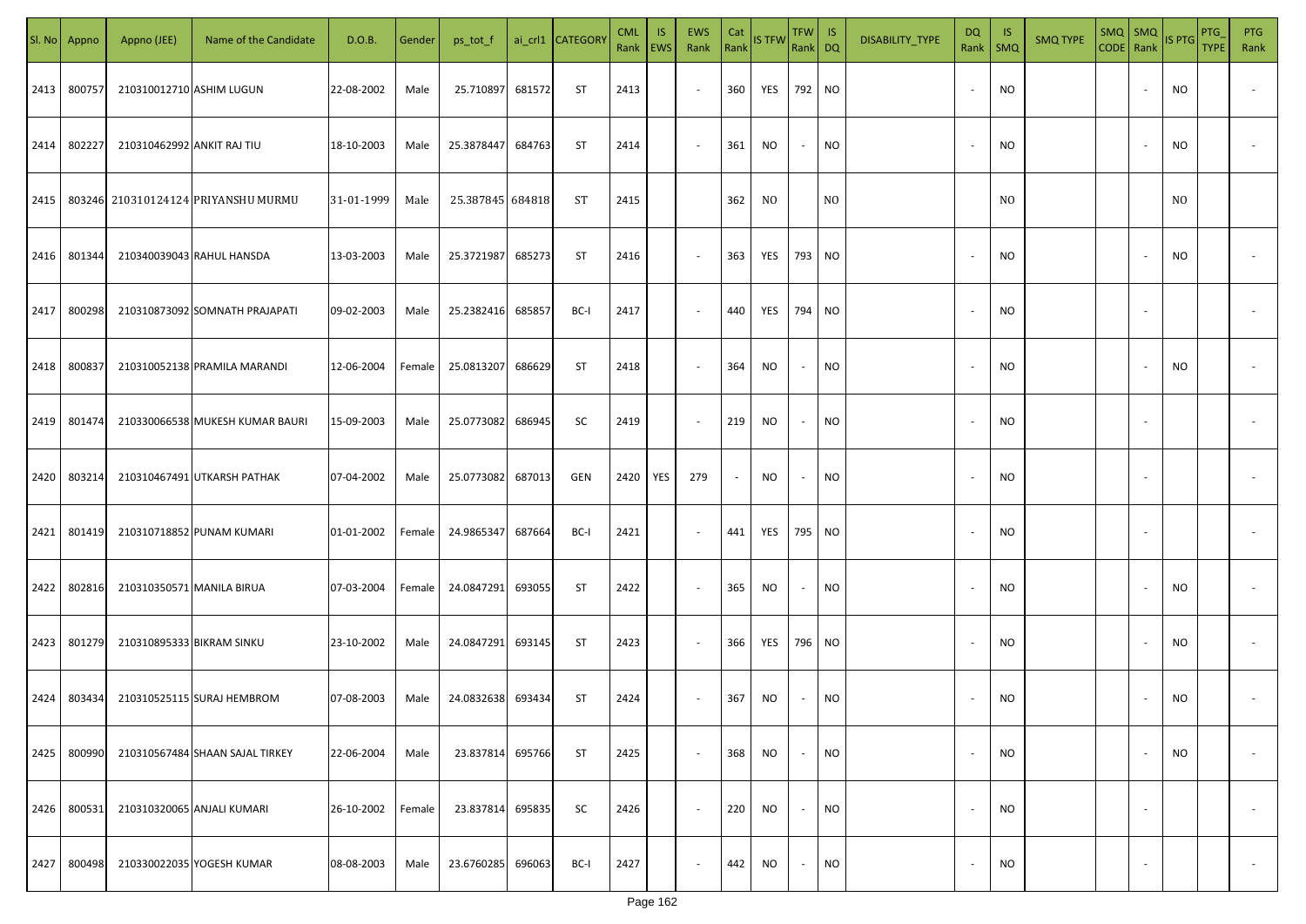| SI. No | Appno  | Appno (JEE)                | Name of the Candidate               | D.O.B.     | Gender | ps_tot_f          |        | ai_crl1 CATEGORY | <b>CML</b><br>Rank   EWS | <b>IS</b> | <b>EWS</b><br>Rank | Cat    | Rank IS TFW | $TFW$ IS<br>Rank DQ |                | DISABILITY_TYPE | DQ<br>Rank   SMQ         | - IS           | <b>SMQ TYPE</b> | $SMQ$ $SMQ$<br>CODE Rank |                          | IS PTG    | PTG<br><b>TYPE</b> | <b>PTG</b><br>Rank |
|--------|--------|----------------------------|-------------------------------------|------------|--------|-------------------|--------|------------------|--------------------------|-----------|--------------------|--------|-------------|---------------------|----------------|-----------------|--------------------------|----------------|-----------------|--------------------------|--------------------------|-----------|--------------------|--------------------|
| 2413   | 800757 | 210310012710 ASHIM LUGUN   |                                     | 22-08-2002 | Male   | 25.710897         | 681572 | ST               | 2413                     |           | $\sim$             | 360    | YES         | 792 NO              |                |                 | $\overline{\phantom{a}}$ | NO.            |                 |                          |                          | <b>NO</b> |                    |                    |
| 2414   | 802227 | 210310462992 ANKIT RAJ TIU |                                     | 18-10-2003 | Male   | 25.3878447        | 684763 | ST               | 2414                     |           | $\sim$             | 361    | NO.         | $\sim$              | <b>NO</b>      |                 | $\overline{\phantom{a}}$ | NO.            |                 |                          |                          | NO.       |                    |                    |
| 2415   |        |                            | 803246 210310124124 PRIYANSHU MURMU | 31-01-1999 | Male   | 25.387845 684818  |        | ST               | 2415                     |           |                    | 362    | NO.         |                     | N <sub>O</sub> |                 |                          | N <sub>0</sub> |                 |                          |                          | NO.       |                    |                    |
| 2416   | 801344 |                            | 210340039043 RAHUL HANSDA           | 13-03-2003 | Male   | 25.3721987        | 685273 | ST               | 2416                     |           | $\sim$             | 363    | YES         | 793 NO              |                |                 | $\overline{\phantom{a}}$ | NO.            |                 |                          | $\sim$                   | NO        |                    |                    |
| 2417   | 800298 |                            | 210310873092 SOMNATH PRAJAPATI      | 09-02-2003 | Male   | 25.2382416        | 685857 | BC-I             | 2417                     |           | $\sim$             | 440    | YES         | 794 NO              |                |                 | $\sim$                   | NO.            |                 |                          | $\sim$                   |           |                    |                    |
| 2418   | 800837 |                            | 210310052138 PRAMILA MARANDI        | 12-06-2004 | Female | 25.0813207        | 686629 | ST               | 2418                     |           | $\sim$             | 364    | NO          | $\sim$              | NO             |                 |                          | NO             |                 |                          |                          | NO        |                    |                    |
| 2419   | 801474 |                            | 210330066538 MUKESH KUMAR BAURI     | 15-09-2003 | Male   | 25.0773082        | 686945 | SC               | 2419                     |           | $\sim$             | 219    | NO.         | $\sim$              | <b>NO</b>      |                 |                          | NO.            |                 |                          | $\sim$                   |           |                    |                    |
| 2420   | 803214 |                            | 210310467491 UTKARSH PATHAK         | 07-04-2002 | Male   | 25.0773082        | 687013 | GEN              | 2420                     | YES       | 279                | $\sim$ | <b>NO</b>   | $\sim$              | NO.            |                 |                          | NO.            |                 |                          | $\overline{\phantom{a}}$ |           |                    |                    |
| 2421   | 801419 |                            | 210310718852 PUNAM KUMARI           | 01-01-2002 | Female | 24.9865347        | 687664 | BC-I             | 2421                     |           | $\sim$             | 441    | YES         | 795                 | <b>NO</b>      |                 |                          | NO.            |                 |                          |                          |           |                    |                    |
| 2422   | 802816 | 210310350571 MANILA BIRUA  |                                     | 07-03-2004 | Female | 24.0847291        | 693055 | ST               | 2422                     |           | $\sim$             | 365    | <b>NO</b>   | $\sim$              | <b>NO</b>      |                 |                          | NO.            |                 |                          |                          | NO        |                    |                    |
| 2423   | 801279 | 210310895333 BIKRAM SINKU  |                                     | 23-10-2002 | Male   | 24.0847291        | 693145 | ST               | 2423                     |           | $\sim$             | 366    | YES         | 796                 | <b>NO</b>      |                 |                          | NO.            |                 |                          |                          | <b>NO</b> |                    |                    |
| 2424   | 803434 |                            | 210310525115 SURAJ HEMBROM          | 07-08-2003 | Male   | 24.0832638 693434 |        | ST               | 2424                     |           | $\sim$             | 367    | NO.         | $\sim$              | <b>NO</b>      |                 |                          | <b>NO</b>      |                 |                          |                          | NO.       |                    |                    |
| 2425   | 800990 |                            | 210310567484 SHAAN SAJAL TIRKEY     | 22-06-2004 | Male   | 23.837814         | 695766 | ST               | 2425                     |           | $\sim$             | 368    | <b>NO</b>   | $\sim$              | <b>NO</b>      |                 | $\overline{\phantom{a}}$ | <b>NO</b>      |                 |                          | $\overline{\phantom{a}}$ | <b>NO</b> |                    | $\sim$             |
| 2426   | 800531 |                            | 210310320065 ANJALI KUMARI          | 26-10-2002 | Female | 23.837814         | 695835 | SC               | 2426                     |           | $\sim$             | 220    | <b>NO</b>   | $\sim$              | <b>NO</b>      |                 | $\overline{\phantom{a}}$ | <b>NO</b>      |                 |                          | $\overline{\phantom{a}}$ |           |                    | $\sim$             |
| 2427   | 800498 |                            | 210330022035 YOGESH KUMAR           | 08-08-2003 | Male   | 23.6760285        | 696063 | BC-I             | 2427                     |           | $\sim$             | 442    | NO.         | $\sim$              | <b>NO</b>      |                 |                          | <b>NO</b>      |                 |                          | $\overline{\phantom{a}}$ |           |                    | $\sim$             |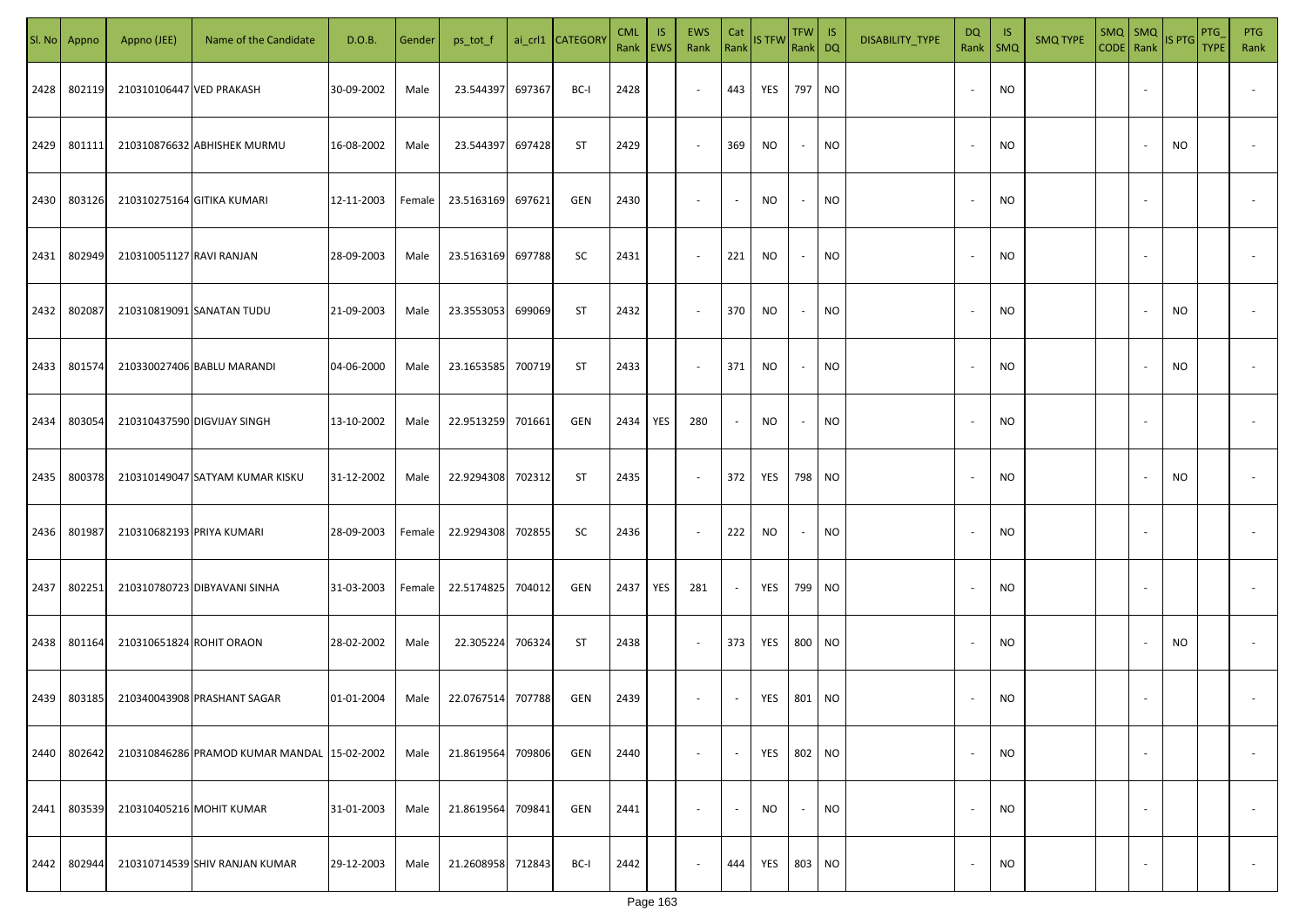|      | SI. No Appno | Appno (JEE)               | Name of the Candidate                       | D.O.B.     | Gender | ps_tot_f   |        | ai_crl1 CATEGORY | <b>CML</b><br>Rank | IS.<br>EWS | <b>EWS</b><br>Rank       | Cat<br>Rank | <b>IS TFW</b> | <b>TFW</b><br>Rank DQ    | IS        | DISABILITY_TYPE | DQ<br>Rank               | -IS<br>$\mathsf{SMQ}$ | <b>SMQ TYPE</b> | $SMQ$ SMQ<br>CODE Rank |                          | IS PTG    | PTG<br><b>TYPE</b> | <b>PTG</b><br>Rank       |
|------|--------------|---------------------------|---------------------------------------------|------------|--------|------------|--------|------------------|--------------------|------------|--------------------------|-------------|---------------|--------------------------|-----------|-----------------|--------------------------|-----------------------|-----------------|------------------------|--------------------------|-----------|--------------------|--------------------------|
| 2428 | 802119       | 210310106447 VED PRAKASH  |                                             | 30-09-2002 | Male   | 23.544397  | 697367 | BC-I             | 2428               |            | $\blacksquare$           | 443         | YES           | 797 NO                   |           |                 |                          | NO                    |                 |                        |                          |           |                    |                          |
| 2429 | 801111       |                           | 210310876632 ABHISHEK MURMU                 | 16-08-2002 | Male   | 23.544397  | 697428 | ST               | 2429               |            | $\sim$                   | 369         | NO            | $\overline{\phantom{a}}$ | <b>NO</b> |                 |                          | NO.                   |                 |                        |                          | NO        |                    |                          |
| 2430 | 803126       |                           | 210310275164 GITIKA KUMARI                  | 12-11-2003 | Female | 23.5163169 | 697621 | <b>GEN</b>       | 2430               |            | $\overline{\phantom{a}}$ | $\sim$      | NO            | $\sim$                   | <b>NO</b> |                 | $\overline{\phantom{a}}$ | <b>NO</b>             |                 |                        |                          |           |                    |                          |
| 2431 | 802949       | 210310051127 RAVI RANJAN  |                                             | 28-09-2003 | Male   | 23.5163169 | 697788 | SC               | 2431               |            | $\sim$                   | 221         | NO            | $\sim$                   | <b>NO</b> |                 |                          | NO                    |                 |                        |                          |           |                    |                          |
| 2432 | 802087       |                           | 210310819091 SANATAN TUDU                   | 21-09-2003 | Male   | 23.3553053 | 699069 | ST               | 2432               |            | $\sim$                   | 370         | NO            | $\sim$                   | <b>NO</b> |                 |                          | NO                    |                 |                        |                          | NO        |                    |                          |
| 2433 | 801574       |                           | 210330027406 BABLU MARANDI                  | 04-06-2000 | Male   | 23.1653585 | 700719 | ST               | 2433               |            | $\overline{\phantom{a}}$ | 371         | <b>NO</b>     | $\overline{\phantom{a}}$ | <b>NO</b> |                 |                          | NO                    |                 |                        |                          | <b>NO</b> |                    |                          |
| 2434 | 803054       |                           | 210310437590 DIGVIJAY SINGH                 | 13-10-2002 | Male   | 22.9513259 | 701661 | <b>GEN</b>       | 2434               | YES        | 280                      |             | NO.           | $\sim$                   | <b>NO</b> |                 |                          | <b>NO</b>             |                 |                        |                          |           |                    |                          |
| 2435 | 800378       |                           | 210310149047 SATYAM KUMAR KISKU             | 31-12-2002 | Male   | 22.9294308 | 702312 | ST               | 2435               |            | $\sim$                   | 372         | YES           | 798 NO                   |           |                 |                          | NO                    |                 |                        |                          | NO.       |                    |                          |
| 2436 | 801987       | 210310682193 PRIYA KUMARI |                                             | 28-09-2003 | Female | 22.9294308 | 702855 | SC               | 2436               |            | $\overline{\phantom{a}}$ | 222         | NO.           | $\overline{\phantom{a}}$ | <b>NO</b> |                 |                          | <b>NO</b>             |                 |                        |                          |           |                    |                          |
| 2437 | 802251       |                           | 210310780723 DIBYAVANI SINHA                | 31-03-2003 | Female | 22.5174825 | 704012 | <b>GEN</b>       | 2437               | YES        | 281                      |             | YES           | 799 NO                   |           |                 |                          | NO                    |                 |                        |                          |           |                    |                          |
| 2438 | 801164       | 210310651824 ROHIT ORAON  |                                             | 28-02-2002 | Male   | 22.305224  | 706324 | <b>ST</b>        | 2438               |            | $\sim$                   | 373         | YES           | 800 NO                   |           |                 |                          | NO                    |                 |                        |                          | NO        |                    |                          |
| 2439 | 803185       |                           | 210340043908 PRASHANT SAGAR                 | 01-01-2004 | Male   | 22.0767514 | 707788 | <b>GEN</b>       | 2439               |            | $\sim$                   |             | YES           | 801 NO                   |           |                 |                          | <b>NO</b>             |                 |                        |                          |           |                    |                          |
| 2440 | 802642       |                           | 210310846286 PRAMOD KUMAR MANDAL 15-02-2002 |            | Male   | 21.8619564 | 709806 | GEN              | 2440               |            | $\overline{\phantom{a}}$ |             | YES           | 802 NO                   |           |                 | $\overline{\phantom{a}}$ | <b>NO</b>             |                 |                        |                          |           |                    | $\overline{\phantom{a}}$ |
| 2441 | 803539       |                           | 210310405216 MOHIT KUMAR                    | 31-01-2003 | Male   | 21.8619564 | 709841 | GEN              | 2441               |            | $\overline{\phantom{a}}$ |             | <b>NO</b>     | $\sim$                   | <b>NO</b> |                 | $\sim$                   | NO.                   |                 |                        | $\overline{\phantom{a}}$ |           |                    | $\sim$                   |
| 2442 | 802944       |                           | 210310714539 SHIV RANJAN KUMAR              | 29-12-2003 | Male   | 21.2608958 | 712843 | BC-I             | 2442               |            | $\overline{\phantom{a}}$ | 444         | YES           | 803 NO                   |           |                 |                          | <b>NO</b>             |                 |                        |                          |           |                    | $\sim$                   |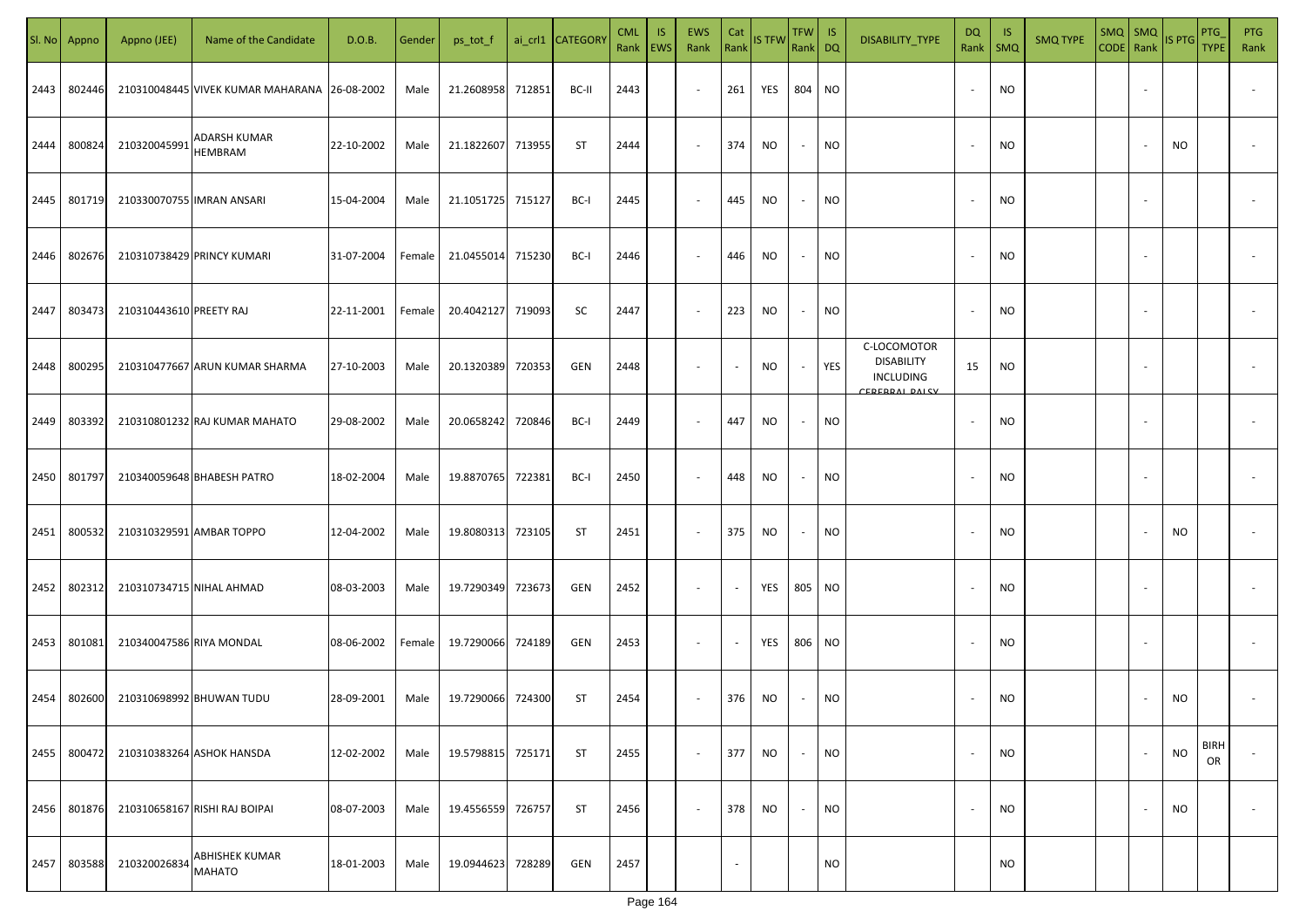|      | Sl. No Appno | Appno (JEE)              | Name of the Candidate                        | D.O.B.     | Gender | ps_tot_f   |        | ai_crl1 CATEGORY | <b>CML</b> | <b>IS</b><br>Rank   EWS | <b>EWS</b><br>Rank       | Cat<br>Rank              | <b>IS TFW</b> | <b>TFW</b><br>Rank DQ    | -IS       | DISABILITY_TYPE                                                              | <b>DQ</b><br>Rank        | -IS<br>$\mathsf{SMQ}$ | <b>SMQ TYPE</b> | CODE   Rank | $SMQ$ $SMQ$              | <b>IS PTG</b> | <b>PTG</b><br><b>TYPE</b> | <b>PTG</b><br>Rank       |
|------|--------------|--------------------------|----------------------------------------------|------------|--------|------------|--------|------------------|------------|-------------------------|--------------------------|--------------------------|---------------|--------------------------|-----------|------------------------------------------------------------------------------|--------------------------|-----------------------|-----------------|-------------|--------------------------|---------------|---------------------------|--------------------------|
| 2443 | 802446       |                          | 210310048445 VIVEK KUMAR MAHARANA 26-08-2002 |            | Male   | 21.2608958 | 712851 | BC-II            | 2443       |                         | $\sim$                   | 261                      | YES           | 804                      | <b>NO</b> |                                                                              |                          | <b>NO</b>             |                 |             | $\sim$                   |               |                           |                          |
| 2444 | 800824       | 210320045991             | ADARSH KUMAR<br>HEMBRAM                      | 22-10-2002 | Male   | 21.1822607 | 713955 | ST               | 2444       |                         | $\overline{\phantom{a}}$ | 374                      | <b>NO</b>     | $\sim$                   | <b>NO</b> |                                                                              |                          | <b>NO</b>             |                 |             |                          | NO            |                           |                          |
| 2445 | 801719       |                          | 210330070755 IMRAN ANSARI                    | 15-04-2004 | Male   | 21.1051725 | 715127 | BC-I             | 2445       |                         | $\overline{\phantom{a}}$ | 445                      | <b>NO</b>     | $\overline{\phantom{a}}$ | <b>NO</b> |                                                                              | $\overline{\phantom{a}}$ | <b>NO</b>             |                 |             |                          |               |                           |                          |
| 2446 | 802676       |                          | 210310738429 PRINCY KUMARI                   | 31-07-2004 | Female | 21.0455014 | 715230 | BC-I             | 2446       |                         | $\overline{\phantom{a}}$ | 446                      | <b>NO</b>     | $\overline{\phantom{a}}$ | <b>NO</b> |                                                                              |                          | <b>NO</b>             |                 |             |                          |               |                           |                          |
| 2447 | 803473       | 210310443610 PREETY RAJ  |                                              | 22-11-2001 | Female | 20.4042127 | 719093 | SC               | 2447       |                         | $\overline{\phantom{a}}$ | 223                      | <b>NO</b>     | $\overline{\phantom{a}}$ | <b>NO</b> |                                                                              | $\sim$                   | <b>NO</b>             |                 |             | $\overline{\phantom{a}}$ |               |                           |                          |
| 2448 | 800295       |                          | 210310477667 ARUN KUMAR SHARMA               | 27-10-2003 | Male   | 20.1320389 | 720353 | GEN              | 2448       |                         | $\overline{\phantom{a}}$ | $\overline{\phantom{a}}$ | NO.           | $\sim$                   | YES       | C-LOCOMOTOR<br><b>DISABILITY</b><br><b>INCLUDING</b><br><b>EDEDDAL DAICY</b> | 15                       | <b>NO</b>             |                 |             |                          |               |                           |                          |
| 2449 | 803392       |                          | 210310801232 RAJ KUMAR MAHATO                | 29-08-2002 | Male   | 20.0658242 | 720846 | BC-I             | 2449       |                         | $\overline{\phantom{a}}$ | 447                      | NO.           | $\overline{\phantom{a}}$ | NO.       |                                                                              |                          | <b>NO</b>             |                 |             |                          |               |                           |                          |
| 2450 | 801797       |                          | 210340059648 BHABESH PATRO                   | 18-02-2004 | Male   | 19.8870765 | 722381 | BC-I             | 2450       |                         | $\sim$                   | 448                      | NO            |                          | NO.       |                                                                              |                          | <b>NO</b>             |                 |             |                          |               |                           |                          |
| 2451 | 800532       |                          | 210310329591 AMBAR TOPPO                     | 12-04-2002 | Male   | 19.8080313 | 723105 | <b>ST</b>        | 2451       |                         | $\overline{\phantom{a}}$ | 375                      | <b>NO</b>     |                          | NO.       |                                                                              |                          | <b>NO</b>             |                 |             |                          | NO.           |                           |                          |
| 2452 | 802312       |                          | 210310734715 NIHAL AHMAD                     | 08-03-2003 | Male   | 19.7290349 | 723673 | GEN              | 2452       |                         | $\sim$                   |                          | YES           | 805                      | <b>NO</b> |                                                                              |                          | NO                    |                 |             |                          |               |                           |                          |
| 2453 | 801081       | 210340047586 RIYA MONDAL |                                              | 08-06-2002 | Female | 19.7290066 | 724189 | GEN              | 2453       |                         | $\sim$                   |                          | YES           | 806                      | <b>NO</b> |                                                                              |                          | <b>NO</b>             |                 |             |                          |               |                           |                          |
| 2454 | 802600       |                          | 210310698992 BHUWAN TUDU                     | 28-09-2001 | Male   | 19.7290066 | 724300 | <b>ST</b>        | 2454       |                         | $\overline{\phantom{a}}$ | 376                      | NO            |                          | <b>NO</b> |                                                                              |                          | <b>NO</b>             |                 |             |                          | NO.           |                           |                          |
| 2455 | 800472       |                          | 210310383264 ASHOK HANSDA                    | 12-02-2002 | Male   | 19.5798815 | 725171 | <b>ST</b>        | 2455       |                         | $\overline{\phantom{a}}$ | 377                      | <b>NO</b>     | $\sim$                   | <b>NO</b> |                                                                              | $\overline{\phantom{a}}$ | <b>NO</b>             |                 |             | $\overline{\phantom{a}}$ | <b>NO</b>     | <b>BIRH</b><br>OR         |                          |
| 2456 | 801876       |                          | 210310658167 RISHI RAJ BOIPAI                | 08-07-2003 | Male   | 19.4556559 | 726757 | <b>ST</b>        | 2456       |                         | $\overline{\phantom{a}}$ | 378                      | NO            | $\overline{\phantom{a}}$ | <b>NO</b> |                                                                              | $\sim$                   | NO                    |                 |             | $\overline{\phantom{a}}$ | NO.           |                           | $\overline{\phantom{a}}$ |
| 2457 | 803588       | 210320026834             | ABHISHEK KUMAR<br><b>MAHATO</b>              | 18-01-2003 | Male   | 19.0944623 | 728289 | GEN              | 2457       |                         |                          |                          |               |                          | <b>NO</b> |                                                                              |                          | <b>NO</b>             |                 |             |                          |               |                           |                          |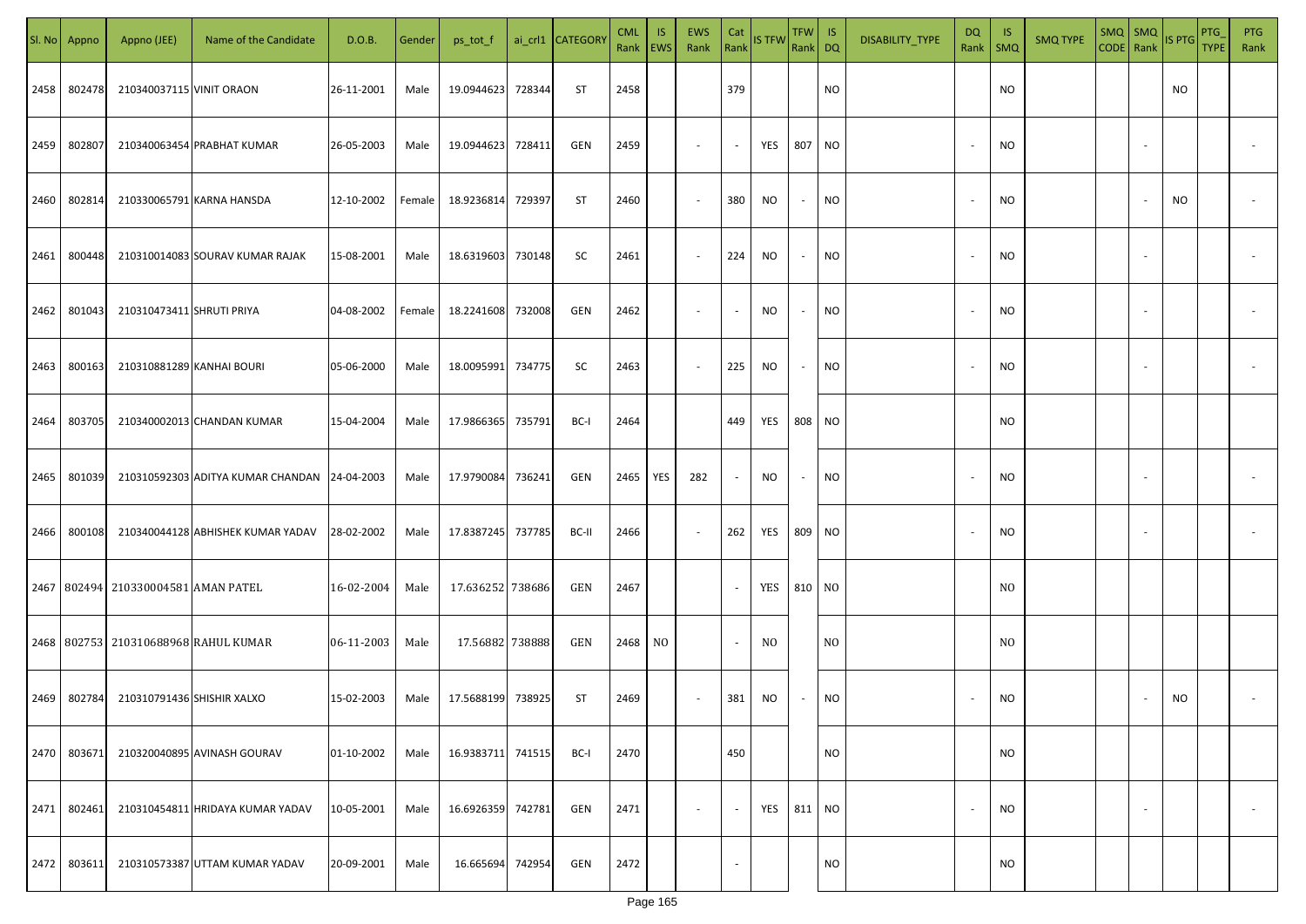| SI. No. | Appno  | Appno (JEE)                         | Name of the Candidate                        | D.O.B.     | Gender | ps_tot_f          |        | ai_crl1 CATEGORY | <b>CML</b><br>Rank   EWS | <b>IS</b>      | EWS<br>Rank | Cat            | Rank IS TFW | TFW IS<br>Rank DQ |                 | DISABILITY_TYPE | DQ                       | -IS<br>Rank   SMQ | <b>SMQ TYPE</b> | $SMQ$ SMQ |        | CODE Rank IS PTG | PTG<br><b>TYPE</b> | <b>PTG</b><br>Rank |
|---------|--------|-------------------------------------|----------------------------------------------|------------|--------|-------------------|--------|------------------|--------------------------|----------------|-------------|----------------|-------------|-------------------|-----------------|-----------------|--------------------------|-------------------|-----------------|-----------|--------|------------------|--------------------|--------------------|
| 2458    | 802478 | 210340037115 VINIT ORAON            |                                              | 26-11-2001 | Male   | 19.0944623 728344 |        | ST               | 2458                     |                |             | 379            |             |                   | <b>NO</b>       |                 |                          | <b>NO</b>         |                 |           |        | NO               |                    |                    |
| 2459    | 802807 |                                     | 210340063454 PRABHAT KUMAR                   | 26-05-2003 | Male   | 19.0944623 728411 |        | GEN              | 2459                     |                | $\sim$      | $\sim$         | YES         | 807               | NO <sub>1</sub> |                 | $\overline{\phantom{a}}$ | <b>NO</b>         |                 |           |        |                  |                    |                    |
| 2460    | 802814 |                                     | 210330065791 KARNA HANSDA                    | 12-10-2002 | Female | 18.9236814 729397 |        | ST               | 2460                     |                | $\sim$      | 380            | NO          | $\sim$            | <b>NO</b>       |                 | $\overline{\phantom{a}}$ | <b>NO</b>         |                 |           |        | <b>NO</b>        |                    |                    |
| 2461    | 800448 |                                     | 210310014083 SOURAV KUMAR RAJAK              | 15-08-2001 | Male   | 18.6319603 730148 |        | SC               | 2461                     |                | $\sim$      | 224            | NO          | $\sim$            | <b>NO</b>       |                 | $\overline{\phantom{a}}$ | <b>NO</b>         |                 |           |        |                  |                    |                    |
| 2462    | 801043 | 210310473411 SHRUTI PRIYA           |                                              | 04-08-2002 | Female | 18.2241608 732008 |        | GEN              | 2462                     |                | $\sim$      | $\sim$         | NO.         | $\sim$            | <b>NO</b>       |                 | $\overline{\phantom{a}}$ | NO.               |                 |           |        |                  |                    |                    |
| 2463    | 800163 | 210310881289 KANHAI BOURI           |                                              | 05-06-2000 | Male   | 18.0095991 734775 |        | SC               | 2463                     |                | $\sim$      | 225            | NO          | $\sim$            | <b>NO</b>       |                 | $\overline{\phantom{a}}$ | <b>NO</b>         |                 |           |        |                  |                    |                    |
| 2464    | 803705 |                                     | 210340002013 CHANDAN KUMAR                   | 15-04-2004 | Male   | 17.9866365 735791 |        | BC-I             | 2464                     |                |             | 449            | YES         | 808 NO            |                 |                 |                          | <b>NO</b>         |                 |           |        |                  |                    |                    |
| 2465    | 801039 |                                     | 210310592303 ADITYA KUMAR CHANDAN 24-04-2003 |            | Male   | 17.9790084 736241 |        | GEN              | 2465                     | YES            | 282         | $\sim$         | NO          | $\sim$            | <b>NO</b>       |                 | $\overline{\phantom{a}}$ | <b>NO</b>         |                 |           |        |                  |                    |                    |
| 2466    | 800108 |                                     | 210340044128 ABHISHEK KUMAR YADAV            | 28-02-2002 | Male   | 17.8387245 737785 |        | BC-II            | 2466                     |                | $\sim$      | 262            | YES         | 809 NO            |                 |                 | $\overline{\phantom{a}}$ | NO                |                 |           |        |                  |                    |                    |
|         |        | 2467 802494 210330004581 AMAN PATEL |                                              | 16-02-2004 | Male   | 17.636252 738686  |        | GEN              | 2467                     |                |             | $\sim$         | YES         | 810 NO            |                 |                 |                          | N <sub>O</sub>    |                 |           |        |                  |                    |                    |
|         |        |                                     | 2468 802753 210310688968 RAHUL KUMAR         | 06-11-2003 | Male   | 17.56882 738888   |        | GEN              | 2468                     | N <sub>0</sub> |             | $\blacksquare$ | NO.         |                   | NO.             |                 |                          | N <sub>O</sub>    |                 |           |        |                  |                    |                    |
| 2469    | 802784 | 210310791436 SHISHIR XALXO          |                                              | 15-02-2003 | Male   | 17.5688199 738925 |        | ST               | 2469                     |                | $\sim$      | 381            | NO          | $\sim$            | <b>NO</b>       |                 | $\overline{\phantom{a}}$ | NO                |                 |           |        | <b>NO</b>        |                    |                    |
| 2470    | 803671 |                                     | 210320040895 AVINASH GOURAV                  | 01-10-2002 | Male   | 16.9383711 741515 |        | BC-I             | 2470                     |                |             | 450            |             |                   | <b>NO</b>       |                 |                          | NO                |                 |           |        |                  |                    |                    |
| 2471    | 802461 |                                     | 210310454811 HRIDAYA KUMAR YADAV             | 10-05-2001 | Male   | 16.6926359 742781 |        | GEN              | 2471                     |                | $\sim$      | $\sim$         | YES         | 811 NO            |                 |                 | $\overline{\phantom{a}}$ | <b>NO</b>         |                 |           | $\sim$ |                  |                    | $\sim$             |
| 2472    | 803611 |                                     | 210310573387 UTTAM KUMAR YADAV               | 20-09-2001 | Male   | 16.665694         | 742954 | GEN              | 2472                     |                |             | $\sim$         |             |                   | <b>NO</b>       |                 |                          | NO                |                 |           |        |                  |                    |                    |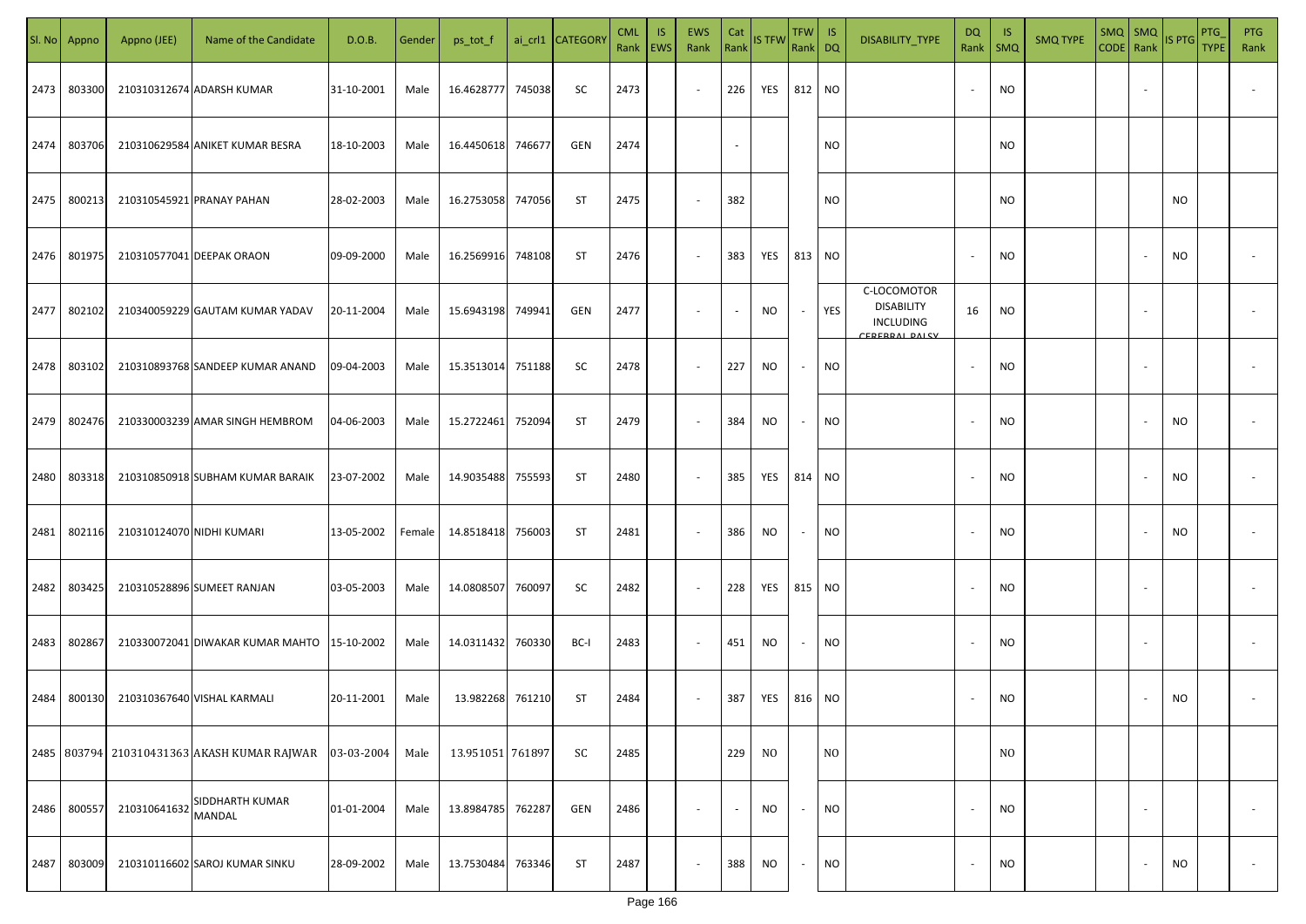| SI. No | Appno  | Appno (JEE)               | Name of the Candidate                       | D.O.B.     | Gender | ps_tot_f         |        | ai_crl1 CATEGOR | <b>CML</b><br>Rank   EWS | <b>IS</b> | <b>EWS</b><br>Rank       | Cat<br>Rank | <b>IS TFW</b>  | <b>TFW</b><br>Rank DQ | -IS            | DISABILITY_TYPE                                                       | DQ<br>Rank               | -IS<br><b>SMQ</b> | <b>SMQ TYPE</b> | SMQ   SMQ<br>CODE Rank |                          | IS PTG    | PTG<br>TYPE | <b>PTG</b><br>Rank |
|--------|--------|---------------------------|---------------------------------------------|------------|--------|------------------|--------|-----------------|--------------------------|-----------|--------------------------|-------------|----------------|-----------------------|----------------|-----------------------------------------------------------------------|--------------------------|-------------------|-----------------|------------------------|--------------------------|-----------|-------------|--------------------|
| 2473   | 803300 |                           | 210310312674 ADARSH KUMAR                   | 31-10-2001 | Male   | 16.4628777       | 745038 | SC              | 2473                     |           | $\sim$                   | 226         | YES            | 812 NO                |                |                                                                       | $\sim$                   | NO                |                 |                        | $\sim$                   |           |             |                    |
| 2474   | 803706 |                           | 210310629584 ANIKET KUMAR BESRA             | 18-10-2003 | Male   | 16.4450618       | 746677 | GEN             | 2474                     |           |                          | $\sim$      |                |                       | NO.            |                                                                       |                          | NO.               |                 |                        |                          |           |             |                    |
| 2475   | 800213 |                           | 210310545921 PRANAY PAHAN                   | 28-02-2003 | Male   | 16.2753058       | 747056 | ST              | 2475                     |           | $\overline{\phantom{a}}$ | 382         |                |                       | <b>NO</b>      |                                                                       |                          | <b>NO</b>         |                 |                        |                          | <b>NO</b> |             |                    |
| 2476   | 801975 |                           | 210310577041 DEEPAK ORAON                   | 09-09-2000 | Male   | 16.2569916       | 748108 | ST              | 2476                     |           | $\overline{\phantom{a}}$ | 383         | YES            | 813 NO                |                |                                                                       | $\sim$                   | NO                |                 |                        |                          | <b>NO</b> |             |                    |
| 2477   | 802102 |                           | 210340059229 GAUTAM KUMAR YADAV             | 20-11-2004 | Male   | 15.6943198       | 749941 | GEN             | 2477                     |           | $\sim$                   | $\sim$      | NO             | $\sim$                | YES            | C-LOCOMOTOR<br><b>DISABILITY</b><br>INCLUDING<br><b>EDEDDAL DALCV</b> | 16                       | NO                |                 |                        | $\sim$                   |           |             |                    |
| 2478   | 803102 |                           | 210310893768 SANDEEP KUMAR ANAND            | 09-04-2003 | Male   | 15.3513014       | 751188 | SC              | 2478                     |           | $\sim$                   | 227         | <b>NO</b>      | $\sim$                | NO             |                                                                       | $\overline{\phantom{a}}$ | NO.               |                 |                        | $\overline{\phantom{a}}$ |           |             |                    |
| 2479   | 802476 |                           | 210330003239 AMAR SINGH HEMBROM             | 04-06-2003 | Male   | 15.2722461       | 752094 | ST              | 2479                     |           | $\sim$                   | 384         | NO.            | $\sim$                | NO             |                                                                       | $\overline{\phantom{a}}$ | NO                |                 |                        | $\sim$                   | <b>NO</b> |             |                    |
| 2480   | 803318 |                           | 210310850918 SUBHAM KUMAR BARAIK            | 23-07-2002 | Male   | 14.9035488       | 755593 | ST              | 2480                     |           | $\sim$                   | 385         | YES            | 814 NO                |                |                                                                       | $\overline{\phantom{a}}$ | NO                |                 |                        |                          | <b>NO</b> |             |                    |
| 2481   | 802116 | 210310124070 NIDHI KUMARI |                                             | 13-05-2002 | Female | 14.8518418       | 756003 | ST              | 2481                     |           | $\sim$                   | 386         | NO             | $\sim$                | NO             |                                                                       | $\overline{\phantom{a}}$ | NO                |                 |                        | $\overline{\phantom{a}}$ | <b>NO</b> |             |                    |
| 2482   | 803425 |                           | 210310528896 SUMEET RANJAN                  | 03-05-2003 | Male   | 14.0808507       | 760097 | SC              | 2482                     |           | $\sim$                   | 228         | YES            | 815 NO                |                |                                                                       | $\overline{\phantom{a}}$ | NO                |                 |                        |                          |           |             |                    |
| 2483   | 802867 |                           | 210330072041 DIWAKAR KUMAR MAHTO 15-10-2002 |            | Male   | 14.0311432       | 760330 | BC-I            | 2483                     |           | $\sim$                   | 451         | NO             | $\sim$                | NO             |                                                                       | $\overline{\phantom{a}}$ | NO                |                 |                        |                          |           |             |                    |
| 2484   | 800130 |                           | 210310367640 VISHAL KARMALI                 | 20-11-2001 | Male   | 13.982268        | 761210 | <b>ST</b>       | 2484                     |           | $\sim$                   | 387         | YES            | 816 NO                |                |                                                                       |                          | NO                |                 |                        |                          | <b>NO</b> |             |                    |
|        |        |                           | 2485 803794 210310431363 AKASH KUMAR RAJWAR | 03-03-2004 | Male   | 13.951051 761897 |        | SC              | 2485                     |           |                          | 229         | N <sub>O</sub> |                       | N <sub>O</sub> |                                                                       |                          | N <sub>O</sub>    |                 |                        |                          |           |             |                    |
| 2486   | 800557 | 210310641632              | SIDDHARTH KUMAR<br><b>MANDAL</b>            | 01-01-2004 | Male   | 13.8984785       | 762287 | GEN             | 2486                     |           | $\sim$                   | $\sim$      | NO             | $\sim$                | <b>NO</b>      |                                                                       | $\overline{\phantom{a}}$ | NO                |                 |                        | $\sim$                   |           |             | $\sim$             |
| 2487   | 803009 |                           | 210310116602 SAROJ KUMAR SINKU              | 28-09-2002 | Male   | 13.7530484       | 763346 | ST              | 2487                     |           | $\sim$                   | 388         | <b>NO</b>      | $\sim$                | <b>NO</b>      |                                                                       | $\overline{\phantom{a}}$ | NO                |                 |                        | $\sim$                   | <b>NO</b> |             | $\sim$             |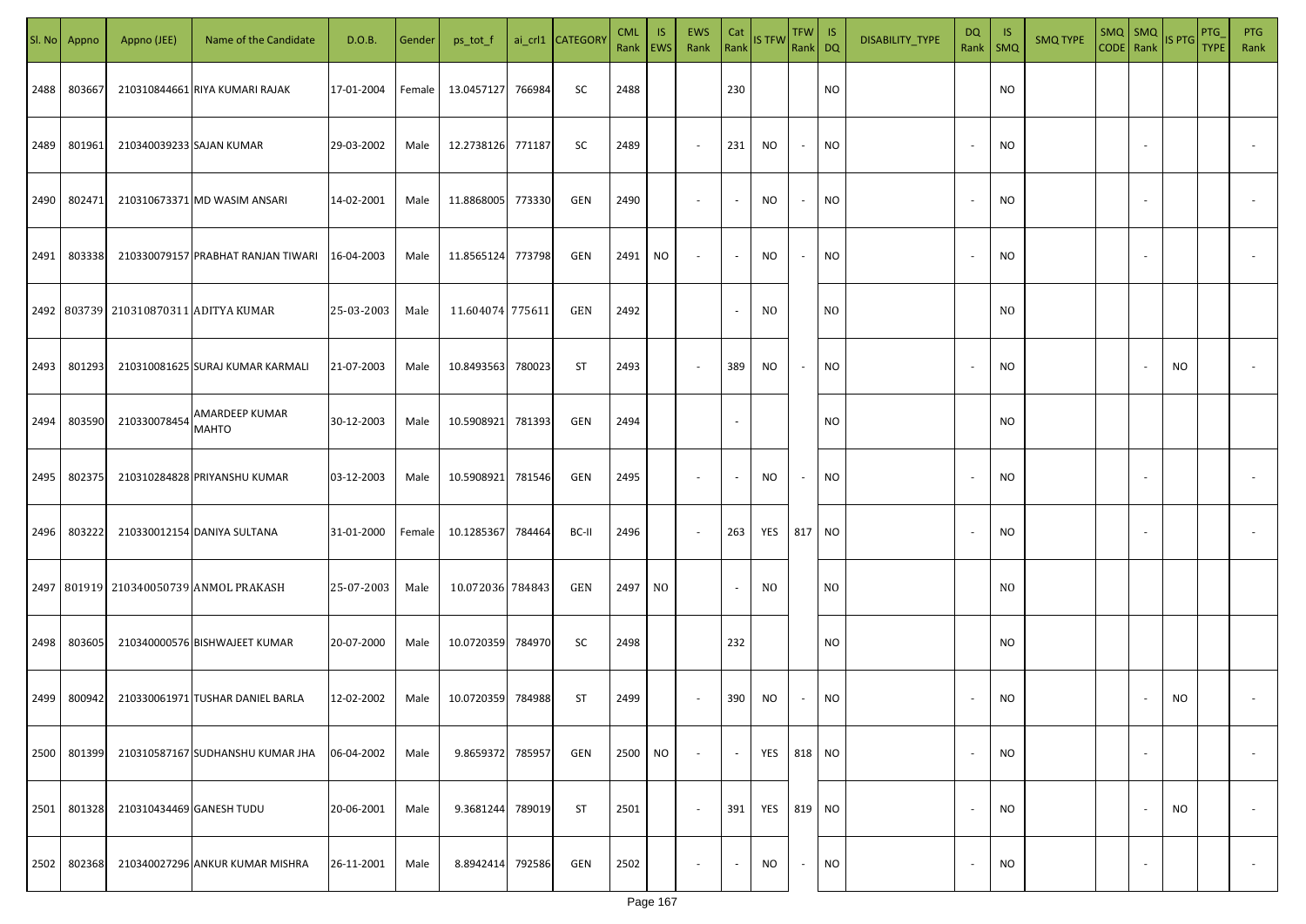| SI. No | Appno  | Appno (JEE)              | Name of the Candidate                     | D.O.B.     | Gender | ps_tot_f         |        | ai_crl1 CATEGORY | <b>CML</b><br>Rank   EWS | <b>IS</b>      | <b>EWS</b><br>Rank       | Cat    | Rank IS TFW Rank DQ | TFW   IS |                | DISABILITY_TYPE | DQ                       | - IS<br>Rank   SMQ | <b>SMQ TYPE</b> | $SMQ$ SMQ |        | CODE Rank IS PTG | PTG<br><b>TYPE</b> | <b>PTG</b><br>Rank |
|--------|--------|--------------------------|-------------------------------------------|------------|--------|------------------|--------|------------------|--------------------------|----------------|--------------------------|--------|---------------------|----------|----------------|-----------------|--------------------------|--------------------|-----------------|-----------|--------|------------------|--------------------|--------------------|
| 2488   | 803667 |                          | 210310844661 RIYA KUMARI RAJAK            | 17-01-2004 | Female | 13.0457127       | 766984 | SC               | 2488                     |                |                          | 230    |                     |          | <b>NO</b>      |                 |                          | NO.                |                 |           |        |                  |                    |                    |
| 2489   | 801961 | 210340039233 SAJAN KUMAR |                                           | 29-03-2002 | Male   | 12.2738126       | 771187 | SC               | 2489                     |                | $\sim$                   | 231    | NO                  | $\sim$   | <b>NO</b>      |                 | $\sim$                   | NO.                |                 |           |        |                  |                    |                    |
| 2490   | 802471 |                          | 210310673371 MD WASIM ANSARI              | 14-02-2001 | Male   | 11.8868005       | 773330 | GEN              | 2490                     |                | $\overline{\phantom{a}}$ | $\sim$ | NO                  | $\sim$   | NO             |                 | $\overline{\phantom{a}}$ | NO.                |                 |           |        |                  |                    |                    |
| 2491   | 803338 |                          | 210330079157 PRABHAT RANJAN TIWARI        | 16-04-2003 | Male   | 11.8565124       | 773798 | GEN              | 2491                     | <b>NO</b>      |                          | $\sim$ | NO                  | $\sim$   | <b>NO</b>      |                 | $\overline{\phantom{a}}$ | NO.                |                 |           |        |                  |                    |                    |
|        |        |                          | 2492   803739   210310870311 ADITYA KUMAR | 25-03-2003 | Male   | 11.604074 775611 |        | GEN              | 2492                     |                |                          | $\sim$ | NO.                 |          | N <sub>O</sub> |                 |                          | NO.                |                 |           |        |                  |                    |                    |
| 2493   | 801293 |                          | 210310081625 SURAJ KUMAR KARMALI          | 21-07-2003 | Male   | 10.8493563       | 780023 | <b>ST</b>        | 2493                     |                |                          | 389    | NO                  | $\sim$   | <b>NO</b>      |                 | $\overline{\phantom{a}}$ | NO.                |                 |           |        | <b>NO</b>        |                    |                    |
| 2494   | 803590 | 210330078454             | AMARDEEP KUMAR<br><b>MAHTO</b>            | 30-12-2003 | Male   | 10.5908921       | 781393 | GEN              | 2494                     |                |                          | $\sim$ |                     |          | NO             |                 |                          | NO.                |                 |           |        |                  |                    |                    |
| 2495   | 802375 |                          | 210310284828 PRIYANSHU KUMAR              | 03-12-2003 | Male   | 10.5908921       | 781546 | GEN              | 2495                     |                |                          | $\sim$ | NO                  | $\sim$   | <b>NO</b>      |                 | $\overline{\phantom{a}}$ | NO.                |                 |           |        |                  |                    |                    |
| 2496   | 803222 |                          | 210330012154 DANIYA SULTANA               | 31-01-2000 | Female | 10.1285367       | 784464 | BC-II            | 2496                     |                | $\sim$                   | 263    | YES                 | 817      | <b>NO</b>      |                 | $\overline{\phantom{a}}$ | NO.                |                 |           |        |                  |                    |                    |
|        |        |                          | 2497 801919 210340050739 ANMOL PRAKASH    | 25-07-2003 | Male   | 10.072036 784843 |        | GEN              | 2497                     | N <sub>O</sub> |                          | $\sim$ | NO.                 |          | N <sub>O</sub> |                 |                          | NO.                |                 |           |        |                  |                    |                    |
| 2498   | 803605 |                          | 210340000576 BISHWAJEET KUMAR             | 20-07-2000 | Male   | 10.0720359       | 784970 | SC               | 2498                     |                |                          | 232    |                     |          | <b>NO</b>      |                 |                          | NO.                |                 |           |        |                  |                    |                    |
| 2499   | 800942 |                          | 210330061971 TUSHAR DANIEL BARLA          | 12-02-2002 | Male   | 10.0720359       | 784988 | ST               | 2499                     |                | $\overline{\phantom{a}}$ | 390    | NO                  | $\sim$   | NO             |                 | $\overline{\phantom{a}}$ | NO.                |                 |           |        | NO               |                    |                    |
| 2500   | 801399 |                          | 210310587167 SUDHANSHU KUMAR JHA          | 06-04-2002 | Male   | 9.8659372        | 785957 | GEN              | 2500                     | <b>NO</b>      | $\sim$                   | $\sim$ | YES                 | 818 NO   |                |                 | $\overline{\phantom{a}}$ | NO.                |                 |           | $\sim$ |                  |                    | $\sim$             |
| 2501   | 801328 | 210310434469 GANESH TUDU |                                           | 20-06-2001 | Male   | 9.3681244        | 789019 | ST               | 2501                     |                | $\sim$                   | 391    | YES                 | 819 NO   |                |                 | $\overline{\phantom{a}}$ | NO.                |                 |           |        | <b>NO</b>        |                    | $\sim$             |
| 2502   | 802368 |                          | 210340027296 ANKUR KUMAR MISHRA           | 26-11-2001 | Male   | 8.8942414        | 792586 | GEN              | 2502                     |                |                          | $\sim$ | NO                  | $\sim$   | NO             |                 | $\overline{\phantom{a}}$ | NO                 |                 |           | $\sim$ |                  |                    | $\sim$             |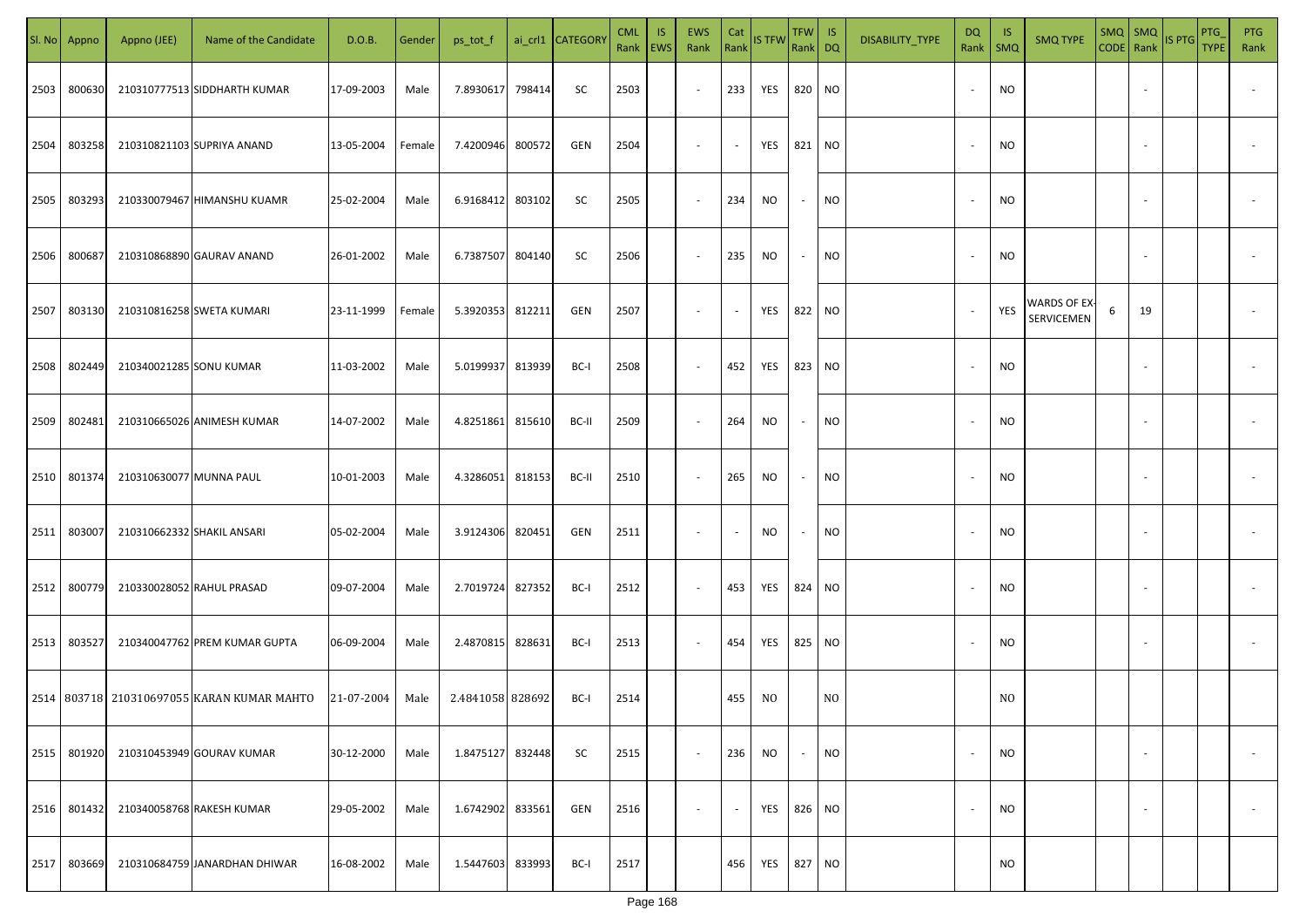| SI. No | Appno  | Appno (JEE)                | Name of the Candidate                      | D.O.B.     | Gender | ps_tot_f         |        | ai_crl1 CATEGORY | <b>CML</b><br>Rank | -IS<br>EWS | <b>EWS</b><br>Rank       | Cat<br>Rank | <b>IS TFW</b> | $TFW$ IS<br>Rank DQ      |                | DISABILITY_TYPE | DQ<br>Rank               | -IS<br>SMQ | <b>SMQ TYPE</b>                         | $SMQ$ SMQ<br>CODE   Rank |    | IS PTG | PTG<br><b>TYPE</b> | <b>PTG</b><br>Rank       |
|--------|--------|----------------------------|--------------------------------------------|------------|--------|------------------|--------|------------------|--------------------|------------|--------------------------|-------------|---------------|--------------------------|----------------|-----------------|--------------------------|------------|-----------------------------------------|--------------------------|----|--------|--------------------|--------------------------|
| 2503   | 800630 |                            | 210310777513 SIDDHARTH KUMAR               | 17-09-2003 | Male   | 7.8930617        | 798414 | SC               | 2503               |            | $\sim$                   | 233         | YES           | 820                      | <b>NO</b>      |                 | $\overline{\phantom{a}}$ | <b>NO</b>  |                                         |                          |    |        |                    |                          |
| 2504   | 803258 |                            | 210310821103 SUPRIYA ANAND                 | 13-05-2004 | Female | 7.4200946        | 800572 | GEN              | 2504               |            | $\sim$                   | $\sim$      | YES           | 821                      | <b>NO</b>      |                 | $\overline{\phantom{a}}$ | NO.        |                                         |                          |    |        |                    |                          |
| 2505   | 803293 |                            | 210330079467 HIMANSHU KUAMR                | 25-02-2004 | Male   | 6.9168412        | 803102 | SC               | 2505               |            | $\overline{\phantom{a}}$ | 234         | <b>NO</b>     | $\overline{\phantom{a}}$ | <b>NO</b>      |                 | $\overline{\phantom{a}}$ | NO.        |                                         |                          |    |        |                    |                          |
| 2506   | 800687 |                            | 210310868890 GAURAV ANAND                  | 26-01-2002 | Male   | 6.7387507        | 804140 | SC               | 2506               |            | $\sim$                   | 235         | <b>NO</b>     | $\overline{\phantom{a}}$ | <b>NO</b>      |                 | $\overline{\phantom{a}}$ | NO.        |                                         |                          |    |        |                    |                          |
| 2507   | 803130 |                            | 210310816258 SWETA KUMARI                  | 23-11-1999 | Female | 5.3920353        | 812211 | GEN              | 2507               |            | $\sim$                   | $\sim$      | YES           | 822                      | <b>NO</b>      |                 | $\overline{\phantom{a}}$ | YES        | <b>WARDS OF EX</b><br><b>SERVICEMEN</b> | 6                        | 19 |        |                    |                          |
| 2508   | 802449 | 210340021285 SONU KUMAR    |                                            | 11-03-2002 | Male   | 5.0199937        | 813939 | BC-I             | 2508               |            |                          | 452         | YES           | 823                      | <b>NO</b>      |                 | $\overline{\phantom{a}}$ | NO.        |                                         |                          |    |        |                    |                          |
| 2509   | 802481 |                            | 210310665026 ANIMESH KUMAR                 | 14-07-2002 | Male   | 4.8251861        | 815610 | BC-II            | 2509               |            |                          | 264         | <b>NO</b>     | $\overline{\phantom{a}}$ | <b>NO</b>      |                 | $\overline{\phantom{a}}$ | NO.        |                                         |                          |    |        |                    |                          |
| 2510   | 801374 | 210310630077 MUNNA PAUL    |                                            | 10-01-2003 | Male   | 4.3286051        | 818153 | BC-II            | 2510               |            | $\overline{\phantom{a}}$ | 265         | NO            | $\sim$                   | <b>NO</b>      |                 | $\overline{\phantom{a}}$ | NO.        |                                         |                          |    |        |                    |                          |
| 2511   | 803007 | 210310662332 SHAKIL ANSARI |                                            | 05-02-2004 | Male   | 3.9124306        | 820451 | GEN              | 2511               |            | $\overline{\phantom{a}}$ | $\sim$      | NO            | $\sim$                   | <b>NO</b>      |                 | $\overline{\phantom{a}}$ | NO.        |                                         |                          |    |        |                    |                          |
| 2512   | 800779 |                            | 210330028052 RAHUL PRASAD                  | 09-07-2004 | Male   | 2.7019724        | 827352 | BC-I             | 2512               |            | $\sim$                   | 453         | YES           | 824                      | <b>NO</b>      |                 | $\overline{\phantom{a}}$ | NO.        |                                         |                          |    |        |                    |                          |
| 2513   | 803527 |                            | 210340047762 PREM KUMAR GUPTA              | 06-09-2004 | Male   | 2.4870815        | 828631 | BC-I             | 2513               |            | $\overline{\phantom{a}}$ | 454         | YES           | 825                      | <b>NO</b>      |                 | $\overline{\phantom{a}}$ | NO.        |                                         |                          |    |        |                    |                          |
|        |        |                            | 2514 803718 210310697055 KARAN KUMAR MAHTO | 21-07-2004 | Male   | 2.4841058 828692 |        | BC-I             | 2514               |            |                          | 455         | NO            |                          | N <sub>O</sub> |                 |                          | NO.        |                                         |                          |    |        |                    |                          |
| 2515   | 801920 |                            | 210310453949 GOURAV KUMAR                  | 30-12-2000 | Male   | 1.8475127        | 832448 | SC               | 2515               |            | $\sim$                   | 236         | <b>NO</b>     | $\overline{\phantom{a}}$ | <b>NO</b>      |                 | $\overline{\phantom{a}}$ | NO.        |                                         |                          |    |        |                    | $\overline{\phantom{a}}$ |
| 2516   | 801432 |                            | 210340058768 RAKESH KUMAR                  | 29-05-2002 | Male   | 1.6742902        | 833561 | GEN              | 2516               |            | $\sim$                   | $\sim$      | YES           | 826                      | <b>NO</b>      |                 | $\sim$                   | NO.        |                                         |                          |    |        |                    | $\sim$                   |
| 2517   | 803669 |                            | 210310684759 JANARDHAN DHIWAR              | 16-08-2002 | Male   | 1.5447603        | 833993 | BC-I             | 2517               |            |                          | 456         | YES           | 827                      | <b>NO</b>      |                 |                          | NO.        |                                         |                          |    |        |                    |                          |